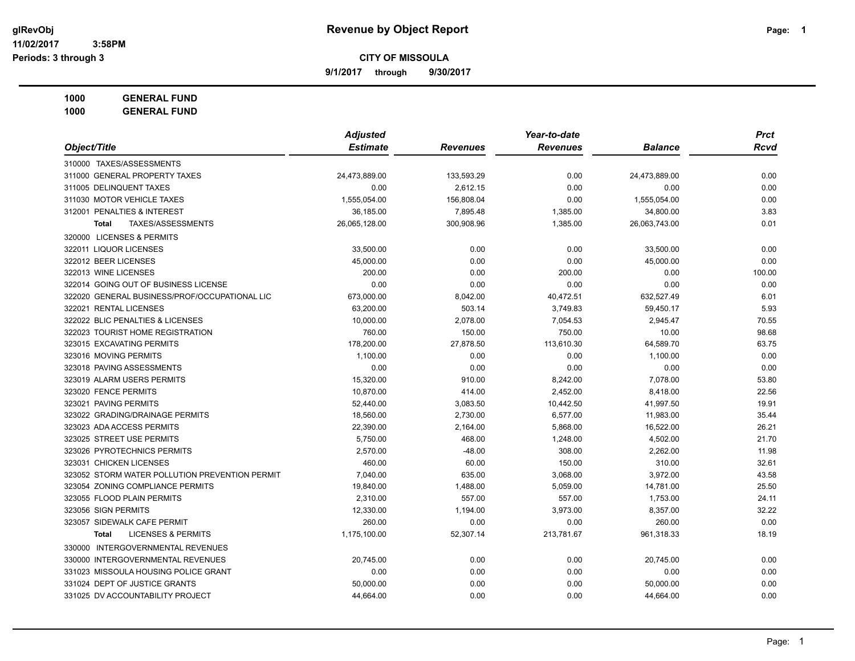# **CITY OF MISSOULA**

**9/1/2017 through 9/30/2017**

 **3:58PM**

**1000 GENERAL FUND**

|                                                | <b>Adjusted</b> |                 | Year-to-date    |                | <b>Prct</b> |
|------------------------------------------------|-----------------|-----------------|-----------------|----------------|-------------|
| Object/Title                                   | <b>Estimate</b> | <b>Revenues</b> | <b>Revenues</b> | <b>Balance</b> | Rcvd        |
| 310000 TAXES/ASSESSMENTS                       |                 |                 |                 |                |             |
| 311000 GENERAL PROPERTY TAXES                  | 24,473,889.00   | 133,593.29      | 0.00            | 24,473,889.00  | 0.00        |
| 311005 DELINQUENT TAXES                        | 0.00            | 2,612.15        | 0.00            | 0.00           | 0.00        |
| 311030 MOTOR VEHICLE TAXES                     | 1,555,054.00    | 156,808.04      | 0.00            | 1,555,054.00   | 0.00        |
| 312001 PENALTIES & INTEREST                    | 36,185.00       | 7,895.48        | 1,385.00        | 34,800.00      | 3.83        |
| TAXES/ASSESSMENTS<br>Total                     | 26,065,128.00   | 300,908.96      | 1,385.00        | 26,063,743.00  | 0.01        |
| 320000 LICENSES & PERMITS                      |                 |                 |                 |                |             |
| 322011 LIQUOR LICENSES                         | 33,500.00       | 0.00            | 0.00            | 33,500.00      | 0.00        |
| 322012 BEER LICENSES                           | 45,000.00       | 0.00            | 0.00            | 45,000.00      | 0.00        |
| 322013 WINE LICENSES                           | 200.00          | 0.00            | 200.00          | 0.00           | 100.00      |
| 322014 GOING OUT OF BUSINESS LICENSE           | 0.00            | 0.00            | 0.00            | 0.00           | 0.00        |
| 322020 GENERAL BUSINESS/PROF/OCCUPATIONAL LIC  | 673,000.00      | 8,042.00        | 40,472.51       | 632,527.49     | 6.01        |
| 322021 RENTAL LICENSES                         | 63,200.00       | 503.14          | 3,749.83        | 59,450.17      | 5.93        |
| 322022 BLIC PENALTIES & LICENSES               | 10,000.00       | 2,078.00        | 7,054.53        | 2,945.47       | 70.55       |
| 322023 TOURIST HOME REGISTRATION               | 760.00          | 150.00          | 750.00          | 10.00          | 98.68       |
| 323015 EXCAVATING PERMITS                      | 178,200.00      | 27,878.50       | 113,610.30      | 64,589.70      | 63.75       |
| 323016 MOVING PERMITS                          | 1,100.00        | 0.00            | 0.00            | 1,100.00       | 0.00        |
| 323018 PAVING ASSESSMENTS                      | 0.00            | 0.00            | 0.00            | 0.00           | 0.00        |
| 323019 ALARM USERS PERMITS                     | 15,320.00       | 910.00          | 8,242.00        | 7,078.00       | 53.80       |
| 323020 FENCE PERMITS                           | 10,870.00       | 414.00          | 2,452.00        | 8,418.00       | 22.56       |
| 323021 PAVING PERMITS                          | 52,440.00       | 3,083.50        | 10,442.50       | 41,997.50      | 19.91       |
| 323022 GRADING/DRAINAGE PERMITS                | 18,560.00       | 2,730.00        | 6,577.00        | 11,983.00      | 35.44       |
| 323023 ADA ACCESS PERMITS                      | 22,390.00       | 2,164.00        | 5,868.00        | 16,522.00      | 26.21       |
| 323025 STREET USE PERMITS                      | 5,750.00        | 468.00          | 1,248.00        | 4,502.00       | 21.70       |
| 323026 PYROTECHNICS PERMITS                    | 2,570.00        | $-48.00$        | 308.00          | 2,262.00       | 11.98       |
| 323031 CHICKEN LICENSES                        | 460.00          | 60.00           | 150.00          | 310.00         | 32.61       |
| 323052 STORM WATER POLLUTION PREVENTION PERMIT | 7,040.00        | 635.00          | 3,068.00        | 3,972.00       | 43.58       |
| 323054 ZONING COMPLIANCE PERMITS               | 19,840.00       | 1,488.00        | 5,059.00        | 14,781.00      | 25.50       |
| 323055 FLOOD PLAIN PERMITS                     | 2,310.00        | 557.00          | 557.00          | 1,753.00       | 24.11       |
| 323056 SIGN PERMITS                            | 12,330.00       | 1,194.00        | 3,973.00        | 8,357.00       | 32.22       |
| 323057 SIDEWALK CAFE PERMIT                    | 260.00          | 0.00            | 0.00            | 260.00         | 0.00        |
| <b>LICENSES &amp; PERMITS</b><br><b>Total</b>  | 1,175,100.00    | 52,307.14       | 213,781.67      | 961,318.33     | 18.19       |
| 330000 INTERGOVERNMENTAL REVENUES              |                 |                 |                 |                |             |
| 330000 INTERGOVERNMENTAL REVENUES              | 20,745.00       | 0.00            | 0.00            | 20,745.00      | 0.00        |
| 331023 MISSOULA HOUSING POLICE GRANT           | 0.00            | 0.00            | 0.00            | 0.00           | 0.00        |
| 331024 DEPT OF JUSTICE GRANTS                  | 50,000.00       | 0.00            | 0.00            | 50,000.00      | 0.00        |
| 331025 DV ACCOUNTABILITY PROJECT               | 44,664.00       | 0.00            | 0.00            | 44,664.00      | 0.00        |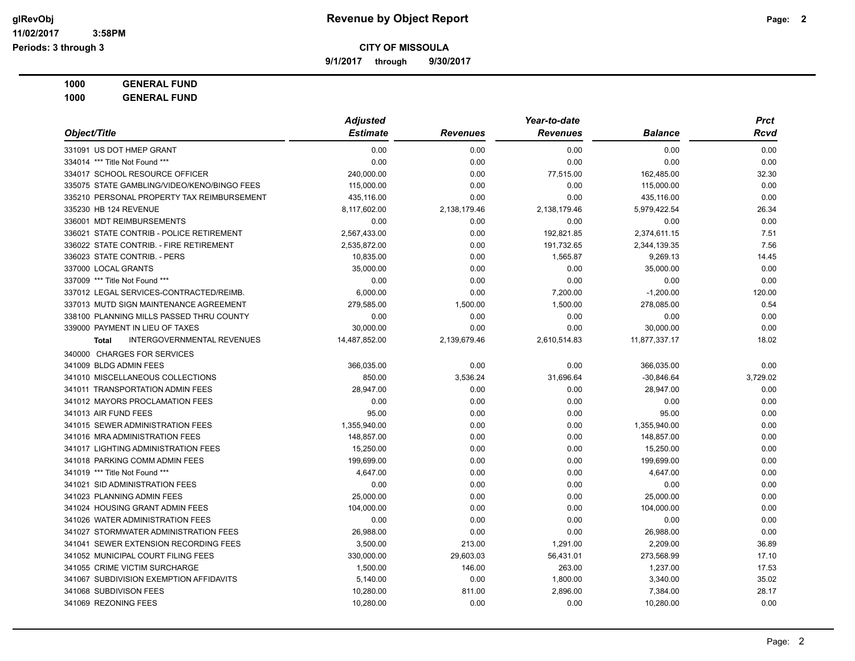**9/1/2017 through 9/30/2017**

#### **1000 GENERAL FUND**

|                                                   | <b>Adjusted</b> |                 | Year-to-date    |                | <b>Prct</b> |
|---------------------------------------------------|-----------------|-----------------|-----------------|----------------|-------------|
| Object/Title                                      | <b>Estimate</b> | <b>Revenues</b> | <b>Revenues</b> | <b>Balance</b> | <b>Rcvd</b> |
| 331091 US DOT HMEP GRANT                          | 0.00            | 0.00            | 0.00            | 0.00           | 0.00        |
| 334014 *** Title Not Found ***                    | 0.00            | 0.00            | 0.00            | 0.00           | 0.00        |
| 334017 SCHOOL RESOURCE OFFICER                    | 240,000.00      | 0.00            | 77,515.00       | 162,485.00     | 32.30       |
| 335075 STATE GAMBLING/VIDEO/KENO/BINGO FEES       | 115,000.00      | 0.00            | 0.00            | 115,000.00     | 0.00        |
| 335210 PERSONAL PROPERTY TAX REIMBURSEMENT        | 435.116.00      | 0.00            | 0.00            | 435,116.00     | 0.00        |
| 335230 HB 124 REVENUE                             | 8,117,602.00    | 2,138,179.46    | 2,138,179.46    | 5,979,422.54   | 26.34       |
| 336001 MDT REIMBURSEMENTS                         | 0.00            | 0.00            | 0.00            | 0.00           | 0.00        |
| 336021 STATE CONTRIB - POLICE RETIREMENT          | 2,567,433.00    | 0.00            | 192,821.85      | 2,374,611.15   | 7.51        |
| 336022 STATE CONTRIB. - FIRE RETIREMENT           | 2,535,872.00    | 0.00            | 191,732.65      | 2,344,139.35   | 7.56        |
| 336023 STATE CONTRIB. - PERS                      | 10,835.00       | 0.00            | 1,565.87        | 9,269.13       | 14.45       |
| 337000 LOCAL GRANTS                               | 35,000.00       | 0.00            | 0.00            | 35,000.00      | 0.00        |
| 337009 *** Title Not Found ***                    | 0.00            | 0.00            | 0.00            | 0.00           | 0.00        |
| 337012 LEGAL SERVICES-CONTRACTED/REIMB.           | 6,000.00        | 0.00            | 7,200.00        | $-1,200.00$    | 120.00      |
| 337013 MUTD SIGN MAINTENANCE AGREEMENT            | 279,585.00      | 1,500.00        | 1,500.00        | 278,085.00     | 0.54        |
| 338100 PLANNING MILLS PASSED THRU COUNTY          | 0.00            | 0.00            | 0.00            | 0.00           | 0.00        |
| 339000 PAYMENT IN LIEU OF TAXES                   | 30,000.00       | 0.00            | 0.00            | 30,000.00      | 0.00        |
| <b>INTERGOVERNMENTAL REVENUES</b><br><b>Total</b> | 14,487,852.00   | 2,139,679.46    | 2,610,514.83    | 11,877,337.17  | 18.02       |
| 340000 CHARGES FOR SERVICES                       |                 |                 |                 |                |             |
| 341009 BLDG ADMIN FEES                            | 366,035.00      | 0.00            | 0.00            | 366,035.00     | 0.00        |
| 341010 MISCELLANEOUS COLLECTIONS                  | 850.00          | 3,536.24        | 31,696.64       | $-30,846.64$   | 3,729.02    |
| 341011 TRANSPORTATION ADMIN FEES                  | 28,947.00       | 0.00            | 0.00            | 28,947.00      | 0.00        |
| 341012 MAYORS PROCLAMATION FEES                   | 0.00            | 0.00            | 0.00            | 0.00           | 0.00        |
| 341013 AIR FUND FEES                              | 95.00           | 0.00            | 0.00            | 95.00          | 0.00        |
| 341015 SEWER ADMINISTRATION FEES                  | 1,355,940.00    | 0.00            | 0.00            | 1,355,940.00   | 0.00        |
| 341016 MRA ADMINISTRATION FEES                    | 148,857.00      | 0.00            | 0.00            | 148,857.00     | 0.00        |
| 341017 LIGHTING ADMINISTRATION FEES               | 15,250.00       | 0.00            | 0.00            | 15,250.00      | 0.00        |
| 341018 PARKING COMM ADMIN FEES                    | 199,699.00      | 0.00            | 0.00            | 199,699.00     | 0.00        |
| 341019 *** Title Not Found ***                    | 4,647.00        | 0.00            | 0.00            | 4,647.00       | 0.00        |
| 341021 SID ADMINISTRATION FEES                    | 0.00            | 0.00            | 0.00            | 0.00           | 0.00        |
| 341023 PLANNING ADMIN FEES                        | 25,000.00       | 0.00            | 0.00            | 25,000.00      | 0.00        |
| 341024 HOUSING GRANT ADMIN FEES                   | 104,000.00      | 0.00            | 0.00            | 104,000.00     | 0.00        |
| 341026 WATER ADMINISTRATION FEES                  | 0.00            | 0.00            | 0.00            | 0.00           | 0.00        |
| 341027 STORMWATER ADMINISTRATION FEES             | 26,988.00       | 0.00            | 0.00            | 26,988.00      | 0.00        |
| 341041 SEWER EXTENSION RECORDING FEES             | 3,500.00        | 213.00          | 1,291.00        | 2,209.00       | 36.89       |
| 341052 MUNICIPAL COURT FILING FEES                | 330,000.00      | 29,603.03       | 56,431.01       | 273,568.99     | 17.10       |
| 341055 CRIME VICTIM SURCHARGE                     | 1,500.00        | 146.00          | 263.00          | 1,237.00       | 17.53       |
| 341067 SUBDIVISION EXEMPTION AFFIDAVITS           | 5,140.00        | 0.00            | 1,800.00        | 3,340.00       | 35.02       |
| 341068 SUBDIVISON FEES                            | 10,280.00       | 811.00          | 2,896.00        | 7,384.00       | 28.17       |
| 341069 REZONING FEES                              | 10,280.00       | 0.00            | 0.00            | 10,280.00      | 0.00        |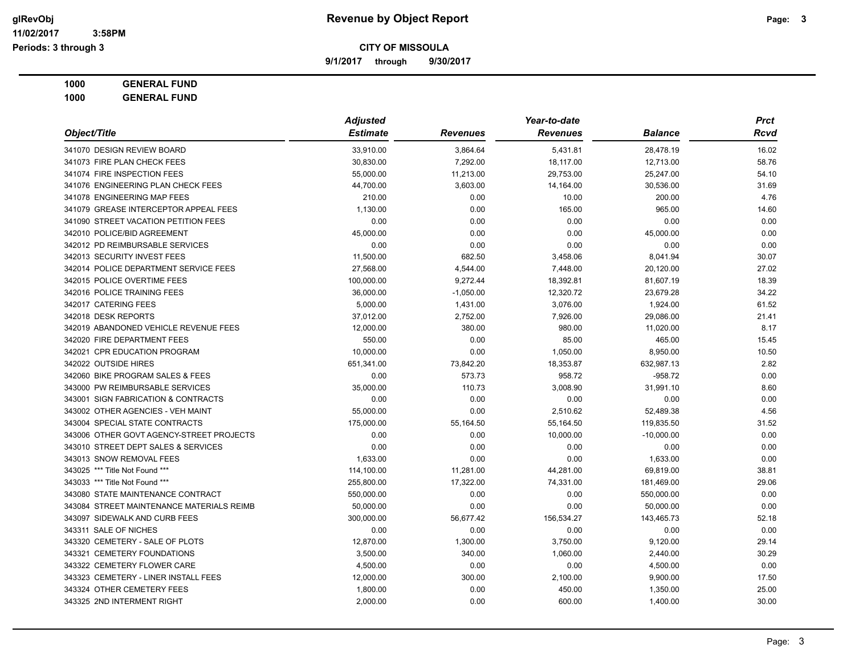**9/1/2017 through 9/30/2017**

**1000 GENERAL FUND**

|                                           | <b>Adjusted</b> |                 |                 | <b>Prct</b>    |       |
|-------------------------------------------|-----------------|-----------------|-----------------|----------------|-------|
| Object/Title                              | <b>Estimate</b> | <b>Revenues</b> | <b>Revenues</b> | <b>Balance</b> | Rcvd  |
| 341070 DESIGN REVIEW BOARD                | 33,910.00       | 3,864.64        | 5,431.81        | 28,478.19      | 16.02 |
| 341073 FIRE PLAN CHECK FEES               | 30,830.00       | 7,292.00        | 18,117.00       | 12,713.00      | 58.76 |
| 341074 FIRE INSPECTION FEES               | 55,000.00       | 11,213.00       | 29,753.00       | 25,247.00      | 54.10 |
| 341076 ENGINEERING PLAN CHECK FEES        | 44,700.00       | 3,603.00        | 14,164.00       | 30,536.00      | 31.69 |
| 341078 ENGINEERING MAP FEES               | 210.00          | 0.00            | 10.00           | 200.00         | 4.76  |
| 341079 GREASE INTERCEPTOR APPEAL FEES     | 1,130.00        | 0.00            | 165.00          | 965.00         | 14.60 |
| 341090 STREET VACATION PETITION FEES      | 0.00            | 0.00            | 0.00            | 0.00           | 0.00  |
| 342010 POLICE/BID AGREEMENT               | 45,000.00       | 0.00            | 0.00            | 45,000.00      | 0.00  |
| 342012 PD REIMBURSABLE SERVICES           | 0.00            | 0.00            | 0.00            | 0.00           | 0.00  |
| 342013 SECURITY INVEST FEES               | 11,500.00       | 682.50          | 3,458.06        | 8,041.94       | 30.07 |
| 342014 POLICE DEPARTMENT SERVICE FEES     | 27,568.00       | 4,544.00        | 7,448.00        | 20,120.00      | 27.02 |
| 342015 POLICE OVERTIME FEES               | 100,000.00      | 9,272.44        | 18,392.81       | 81,607.19      | 18.39 |
| 342016 POLICE TRAINING FEES               | 36,000.00       | $-1,050.00$     | 12,320.72       | 23,679.28      | 34.22 |
| 342017 CATERING FEES                      | 5,000.00        | 1,431.00        | 3,076.00        | 1,924.00       | 61.52 |
| 342018 DESK REPORTS                       | 37,012.00       | 2,752.00        | 7,926.00        | 29,086.00      | 21.41 |
| 342019 ABANDONED VEHICLE REVENUE FEES     | 12,000.00       | 380.00          | 980.00          | 11,020.00      | 8.17  |
| 342020 FIRE DEPARTMENT FEES               | 550.00          | 0.00            | 85.00           | 465.00         | 15.45 |
| 342021 CPR EDUCATION PROGRAM              | 10,000.00       | 0.00            | 1,050.00        | 8,950.00       | 10.50 |
| 342022 OUTSIDE HIRES                      | 651,341.00      | 73,842.20       | 18,353.87       | 632,987.13     | 2.82  |
| 342060 BIKE PROGRAM SALES & FEES          | 0.00            | 573.73          | 958.72          | $-958.72$      | 0.00  |
| 343000 PW REIMBURSABLE SERVICES           | 35,000.00       | 110.73          | 3,008.90        | 31,991.10      | 8.60  |
| 343001 SIGN FABRICATION & CONTRACTS       | 0.00            | 0.00            | 0.00            | 0.00           | 0.00  |
| 343002 OTHER AGENCIES - VEH MAINT         | 55,000.00       | 0.00            | 2,510.62        | 52,489.38      | 4.56  |
| 343004 SPECIAL STATE CONTRACTS            | 175,000.00      | 55,164.50       | 55,164.50       | 119,835.50     | 31.52 |
| 343006 OTHER GOVT AGENCY-STREET PROJECTS  | 0.00            | 0.00            | 10,000.00       | $-10,000.00$   | 0.00  |
| 343010 STREET DEPT SALES & SERVICES       | 0.00            | 0.00            | 0.00            | 0.00           | 0.00  |
| 343013 SNOW REMOVAL FEES                  | 1,633.00        | 0.00            | 0.00            | 1,633.00       | 0.00  |
| 343025 *** Title Not Found ***            | 114,100.00      | 11,281.00       | 44,281.00       | 69,819.00      | 38.81 |
| 343033 *** Title Not Found ***            | 255,800.00      | 17,322.00       | 74,331.00       | 181,469.00     | 29.06 |
| 343080 STATE MAINTENANCE CONTRACT         | 550,000.00      | 0.00            | 0.00            | 550,000.00     | 0.00  |
| 343084 STREET MAINTENANCE MATERIALS REIMB | 50,000.00       | 0.00            | 0.00            | 50,000.00      | 0.00  |
| 343097 SIDEWALK AND CURB FEES             | 300,000.00      | 56,677.42       | 156,534.27      | 143,465.73     | 52.18 |
| 343311 SALE OF NICHES                     | 0.00            | 0.00            | 0.00            | 0.00           | 0.00  |
| 343320 CEMETERY - SALE OF PLOTS           | 12,870.00       | 1,300.00        | 3,750.00        | 9,120.00       | 29.14 |
| 343321 CEMETERY FOUNDATIONS               | 3,500.00        | 340.00          | 1,060.00        | 2,440.00       | 30.29 |
| 343322 CEMETERY FLOWER CARE               | 4,500.00        | 0.00            | 0.00            | 4,500.00       | 0.00  |
| 343323 CEMETERY - LINER INSTALL FEES      | 12,000.00       | 300.00          | 2,100.00        | 9,900.00       | 17.50 |
| 343324 OTHER CEMETERY FEES                | 1,800.00        | 0.00            | 450.00          | 1,350.00       | 25.00 |
| 343325 2ND INTERMENT RIGHT                | 2,000.00        | 0.00            | 600.00          | 1,400.00       | 30.00 |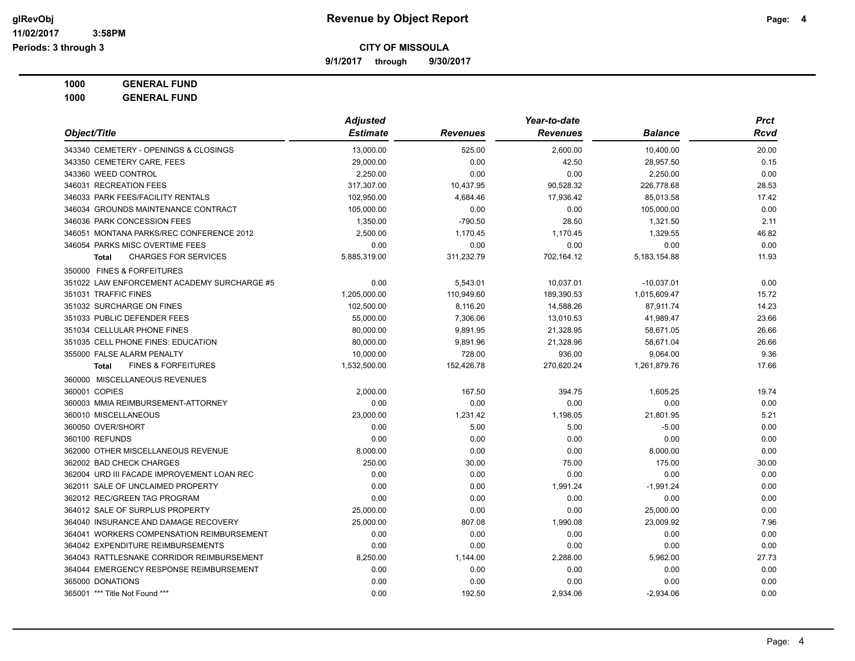**9/1/2017 through 9/30/2017**

#### **1000 GENERAL FUND**

|                                             | <b>Adjusted</b> | Year-to-date    |                 |                | <b>Prct</b> |
|---------------------------------------------|-----------------|-----------------|-----------------|----------------|-------------|
| Object/Title                                | <b>Estimate</b> | <b>Revenues</b> | <b>Revenues</b> | <b>Balance</b> | Rcvd        |
| 343340 CEMETERY - OPENINGS & CLOSINGS       | 13.000.00       | 525.00          | 2,600.00        | 10,400.00      | 20.00       |
| 343350 CEMETERY CARE, FEES                  | 29,000.00       | 0.00            | 42.50           | 28,957.50      | 0.15        |
| 343360 WEED CONTROL                         | 2,250.00        | 0.00            | 0.00            | 2,250.00       | 0.00        |
| 346031 RECREATION FEES                      | 317,307.00      | 10,437.95       | 90,528.32       | 226,778.68     | 28.53       |
| 346033 PARK FEES/FACILITY RENTALS           | 102,950.00      | 4,684.46        | 17,936.42       | 85,013.58      | 17.42       |
| 346034 GROUNDS MAINTENANCE CONTRACT         | 105,000.00      | 0.00            | 0.00            | 105,000.00     | 0.00        |
| 346036 PARK CONCESSION FEES                 | 1,350.00        | $-790.50$       | 28.50           | 1,321.50       | 2.11        |
| 346051 MONTANA PARKS/REC CONFERENCE 2012    | 2,500.00        | 1,170.45        | 1,170.45        | 1,329.55       | 46.82       |
| 346054 PARKS MISC OVERTIME FEES             | 0.00            | 0.00            | 0.00            | 0.00           | 0.00        |
| <b>CHARGES FOR SERVICES</b><br>Total        | 5,885,319.00    | 311,232.79      | 702,164.12      | 5,183,154.88   | 11.93       |
| 350000 FINES & FORFEITURES                  |                 |                 |                 |                |             |
| 351022 LAW ENFORCEMENT ACADEMY SURCHARGE #5 | 0.00            | 5,543.01        | 10,037.01       | $-10,037.01$   | 0.00        |
| 351031 TRAFFIC FINES                        | 1,205,000.00    | 110,949.60      | 189,390.53      | 1,015,609.47   | 15.72       |
| 351032 SURCHARGE ON FINES                   | 102,500.00      | 8,116.20        | 14,588.26       | 87,911.74      | 14.23       |
| 351033 PUBLIC DEFENDER FEES                 | 55,000.00       | 7,306.06        | 13,010.53       | 41,989.47      | 23.66       |
| 351034 CELLULAR PHONE FINES                 | 80,000.00       | 9,891.95        | 21,328.95       | 58,671.05      | 26.66       |
| 351035 CELL PHONE FINES: EDUCATION          | 80,000.00       | 9,891.96        | 21,328.96       | 58,671.04      | 26.66       |
| 355000 FALSE ALARM PENALTY                  | 10,000.00       | 728.00          | 936.00          | 9,064.00       | 9.36        |
| <b>FINES &amp; FORFEITURES</b><br>Total     | 1,532,500.00    | 152,426.78      | 270,620.24      | 1,261,879.76   | 17.66       |
| 360000 MISCELLANEOUS REVENUES               |                 |                 |                 |                |             |
| 360001 COPIES                               | 2,000.00        | 167.50          | 394.75          | 1,605.25       | 19.74       |
| 360003 MMIA REIMBURSEMENT-ATTORNEY          | 0.00            | 0.00            | 0.00            | 0.00           | 0.00        |
| 360010 MISCELLANEOUS                        | 23,000.00       | 1,231.42        | 1,198.05        | 21,801.95      | 5.21        |
| 360050 OVER/SHORT                           | 0.00            | 5.00            | 5.00            | $-5.00$        | 0.00        |
| 360100 REFUNDS                              | 0.00            | 0.00            | 0.00            | 0.00           | 0.00        |
| 362000 OTHER MISCELLANEOUS REVENUE          | 8,000.00        | 0.00            | 0.00            | 8,000.00       | 0.00        |
| 362002 BAD CHECK CHARGES                    | 250.00          | 30.00           | 75.00           | 175.00         | 30.00       |
| 362004 URD III FACADE IMPROVEMENT LOAN REC  | 0.00            | 0.00            | 0.00            | 0.00           | 0.00        |
| 362011 SALE OF UNCLAIMED PROPERTY           | 0.00            | 0.00            | 1,991.24        | $-1,991.24$    | 0.00        |
| 362012 REC/GREEN TAG PROGRAM                | 0.00            | 0.00            | 0.00            | 0.00           | 0.00        |
| 364012 SALE OF SURPLUS PROPERTY             | 25,000.00       | 0.00            | 0.00            | 25,000.00      | 0.00        |
| 364040 INSURANCE AND DAMAGE RECOVERY        | 25,000.00       | 807.08          | 1,990.08        | 23,009.92      | 7.96        |
| 364041 WORKERS COMPENSATION REIMBURSEMENT   | 0.00            | 0.00            | 0.00            | 0.00           | 0.00        |
| 364042 EXPENDITURE REIMBURSEMENTS           | 0.00            | 0.00            | 0.00            | 0.00           | 0.00        |
| 364043 RATTLESNAKE CORRIDOR REIMBURSEMENT   | 8,250.00        | 1,144.00        | 2,288.00        | 5,962.00       | 27.73       |
| 364044 EMERGENCY RESPONSE REIMBURSEMENT     | 0.00            | 0.00            | 0.00            | 0.00           | 0.00        |
| 365000 DONATIONS                            | 0.00            | 0.00            | 0.00            | 0.00           | 0.00        |
| 365001 *** Title Not Found ***              | 0.00            | 192.50          | 2,934.06        | $-2,934.06$    | 0.00        |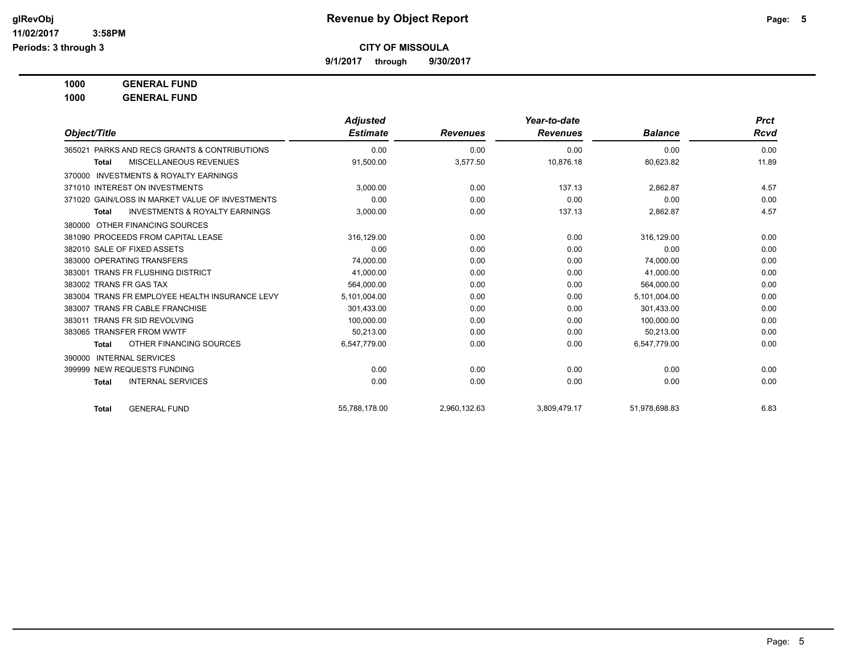**9/1/2017 through 9/30/2017**

# **1000 GENERAL FUND**

|                                                           | <b>Adjusted</b> |                 | Year-to-date    |                | <b>Prct</b> |
|-----------------------------------------------------------|-----------------|-----------------|-----------------|----------------|-------------|
| Object/Title                                              | <b>Estimate</b> | <b>Revenues</b> | <b>Revenues</b> | <b>Balance</b> | Rcvd        |
| 365021 PARKS AND RECS GRANTS & CONTRIBUTIONS              | 0.00            | 0.00            | 0.00            | 0.00           | 0.00        |
| <b>MISCELLANEOUS REVENUES</b><br><b>Total</b>             | 91,500.00       | 3,577.50        | 10,876.18       | 80,623.82      | 11.89       |
| 370000 INVESTMENTS & ROYALTY EARNINGS                     |                 |                 |                 |                |             |
| 371010 INTEREST ON INVESTMENTS                            | 3.000.00        | 0.00            | 137.13          | 2.862.87       | 4.57        |
| 371020 GAIN/LOSS IN MARKET VALUE OF INVESTMENTS           | 0.00            | 0.00            | 0.00            | 0.00           | 0.00        |
| <b>INVESTMENTS &amp; ROYALTY EARNINGS</b><br><b>Total</b> | 3,000.00        | 0.00            | 137.13          | 2,862.87       | 4.57        |
| 380000 OTHER FINANCING SOURCES                            |                 |                 |                 |                |             |
| 381090 PROCEEDS FROM CAPITAL LEASE                        | 316,129.00      | 0.00            | 0.00            | 316,129.00     | 0.00        |
| 382010 SALE OF FIXED ASSETS                               | 0.00            | 0.00            | 0.00            | 0.00           | 0.00        |
| 383000 OPERATING TRANSFERS                                | 74,000.00       | 0.00            | 0.00            | 74,000.00      | 0.00        |
| 383001 TRANS FR FLUSHING DISTRICT                         | 41,000.00       | 0.00            | 0.00            | 41,000.00      | 0.00        |
| 383002 TRANS FR GAS TAX                                   | 564,000.00      | 0.00            | 0.00            | 564.000.00     | 0.00        |
| 383004 TRANS FR EMPLOYEE HEALTH INSURANCE LEVY            | 5,101,004.00    | 0.00            | 0.00            | 5,101,004.00   | 0.00        |
| 383007 TRANS FR CABLE FRANCHISE                           | 301,433.00      | 0.00            | 0.00            | 301,433.00     | 0.00        |
| 383011 TRANS FR SID REVOLVING                             | 100,000.00      | 0.00            | 0.00            | 100,000.00     | 0.00        |
| 383065 TRANSFER FROM WWTF                                 | 50.213.00       | 0.00            | 0.00            | 50.213.00      | 0.00        |
| OTHER FINANCING SOURCES<br>Total                          | 6,547,779.00    | 0.00            | 0.00            | 6,547,779.00   | 0.00        |
| 390000 INTERNAL SERVICES                                  |                 |                 |                 |                |             |
| 399999 NEW REQUESTS FUNDING                               | 0.00            | 0.00            | 0.00            | 0.00           | 0.00        |
| <b>INTERNAL SERVICES</b><br><b>Total</b>                  | 0.00            | 0.00            | 0.00            | 0.00           | 0.00        |
| <b>GENERAL FUND</b><br><b>Total</b>                       | 55.788.178.00   | 2,960,132.63    | 3,809,479.17    | 51.978.698.83  | 6.83        |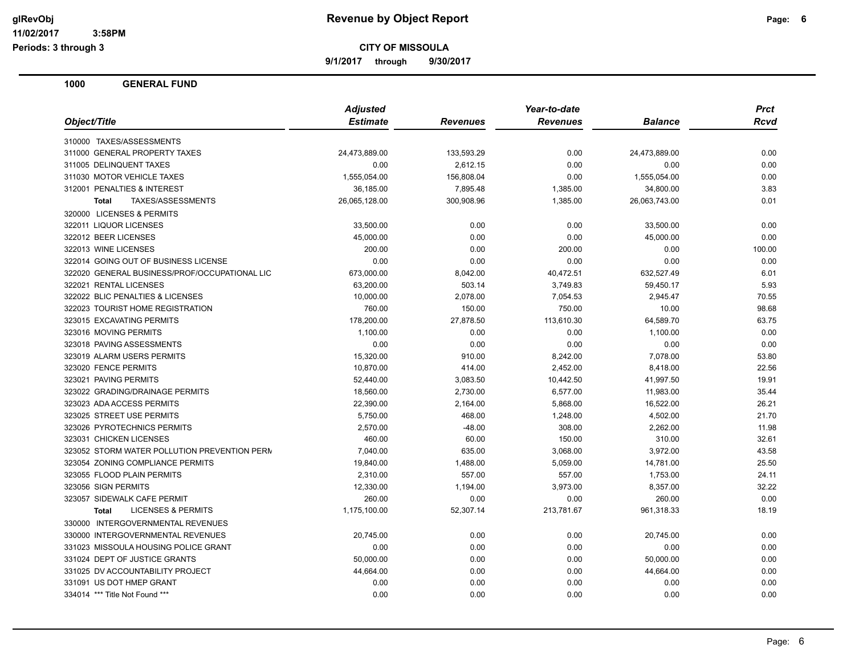**11/02/2017**

**CITY OF MISSOULA**

**9/1/2017 through 9/30/2017**

| Object/Title                                  | <b>Adjusted</b> |            | Year-to-date    | <b>Prct</b>    |        |
|-----------------------------------------------|-----------------|------------|-----------------|----------------|--------|
|                                               | <b>Estimate</b> | Revenues   | <b>Revenues</b> | <b>Balance</b> | Rcvd   |
| 310000 TAXES/ASSESSMENTS                      |                 |            |                 |                |        |
| 311000 GENERAL PROPERTY TAXES                 | 24,473,889.00   | 133,593.29 | 0.00            | 24,473,889.00  | 0.00   |
| 311005 DELINQUENT TAXES                       | 0.00            | 2,612.15   | 0.00            | 0.00           | 0.00   |
| 311030 MOTOR VEHICLE TAXES                    | 1,555,054.00    | 156,808.04 | 0.00            | 1,555,054.00   | 0.00   |
| 312001 PENALTIES & INTEREST                   | 36,185.00       | 7,895.48   | 1,385.00        | 34,800.00      | 3.83   |
| TAXES/ASSESSMENTS<br><b>Total</b>             | 26,065,128.00   | 300,908.96 | 1,385.00        | 26,063,743.00  | 0.01   |
| 320000 LICENSES & PERMITS                     |                 |            |                 |                |        |
| 322011 LIQUOR LICENSES                        | 33,500.00       | 0.00       | 0.00            | 33,500.00      | 0.00   |
| 322012 BEER LICENSES                          | 45,000.00       | 0.00       | 0.00            | 45,000.00      | 0.00   |
| 322013 WINE LICENSES                          | 200.00          | 0.00       | 200.00          | 0.00           | 100.00 |
| 322014 GOING OUT OF BUSINESS LICENSE          | 0.00            | 0.00       | 0.00            | 0.00           | 0.00   |
| 322020 GENERAL BUSINESS/PROF/OCCUPATIONAL LIC | 673,000.00      | 8,042.00   | 40,472.51       | 632,527.49     | 6.01   |
| 322021 RENTAL LICENSES                        | 63,200.00       | 503.14     | 3,749.83        | 59,450.17      | 5.93   |
| 322022 BLIC PENALTIES & LICENSES              | 10,000.00       | 2,078.00   | 7,054.53        | 2,945.47       | 70.55  |
| 322023 TOURIST HOME REGISTRATION              | 760.00          | 150.00     | 750.00          | 10.00          | 98.68  |
| 323015 EXCAVATING PERMITS                     | 178,200.00      | 27,878.50  | 113,610.30      | 64,589.70      | 63.75  |
| 323016 MOVING PERMITS                         | 1,100.00        | 0.00       | 0.00            | 1,100.00       | 0.00   |
| 323018 PAVING ASSESSMENTS                     | 0.00            | 0.00       | 0.00            | 0.00           | 0.00   |
| 323019 ALARM USERS PERMITS                    | 15,320.00       | 910.00     | 8,242.00        | 7,078.00       | 53.80  |
| 323020 FENCE PERMITS                          | 10,870.00       | 414.00     | 2,452.00        | 8,418.00       | 22.56  |
| 323021 PAVING PERMITS                         | 52,440.00       | 3,083.50   | 10,442.50       | 41,997.50      | 19.91  |
| 323022 GRADING/DRAINAGE PERMITS               | 18,560.00       | 2,730.00   | 6,577.00        | 11,983.00      | 35.44  |
| 323023 ADA ACCESS PERMITS                     | 22,390.00       | 2,164.00   | 5,868.00        | 16,522.00      | 26.21  |
| 323025 STREET USE PERMITS                     | 5,750.00        | 468.00     | 1,248.00        | 4,502.00       | 21.70  |
| 323026 PYROTECHNICS PERMITS                   | 2,570.00        | $-48.00$   | 308.00          | 2,262.00       | 11.98  |
| 323031 CHICKEN LICENSES                       | 460.00          | 60.00      | 150.00          | 310.00         | 32.61  |
| 323052 STORM WATER POLLUTION PREVENTION PERM  | 7,040.00        | 635.00     | 3,068.00        | 3,972.00       | 43.58  |
| 323054 ZONING COMPLIANCE PERMITS              | 19,840.00       | 1,488.00   | 5,059.00        | 14,781.00      | 25.50  |
| 323055 FLOOD PLAIN PERMITS                    | 2,310.00        | 557.00     | 557.00          | 1,753.00       | 24.11  |
| 323056 SIGN PERMITS                           | 12,330.00       | 1,194.00   | 3,973.00        | 8,357.00       | 32.22  |
| 323057 SIDEWALK CAFE PERMIT                   | 260.00          | 0.00       | 0.00            | 260.00         | 0.00   |
| <b>LICENSES &amp; PERMITS</b><br><b>Total</b> | 1,175,100.00    | 52,307.14  | 213,781.67      | 961,318.33     | 18.19  |
| 330000 INTERGOVERNMENTAL REVENUES             |                 |            |                 |                |        |
| 330000 INTERGOVERNMENTAL REVENUES             | 20,745.00       | 0.00       | 0.00            | 20,745.00      | 0.00   |
| 331023 MISSOULA HOUSING POLICE GRANT          | 0.00            | 0.00       | 0.00            | 0.00           | 0.00   |
| 331024 DEPT OF JUSTICE GRANTS                 | 50,000.00       | 0.00       | 0.00            | 50,000.00      | 0.00   |
| 331025 DV ACCOUNTABILITY PROJECT              | 44,664.00       | 0.00       | 0.00            | 44,664.00      | 0.00   |
| 331091 US DOT HMEP GRANT                      | 0.00            | 0.00       | 0.00            | 0.00           | 0.00   |
| 334014 *** Title Not Found ***                | 0.00            | 0.00       | 0.00            | 0.00           | 0.00   |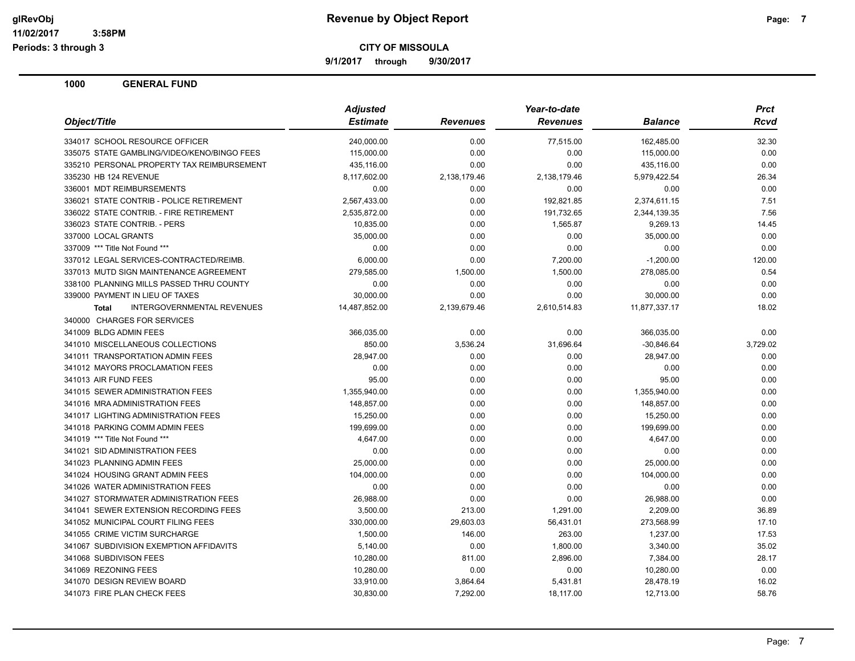**CITY OF MISSOULA**

**9/1/2017 through 9/30/2017**

| Object/Title                                      | <b>Adjusted</b> |                 | Year-to-date    | Prct           |          |
|---------------------------------------------------|-----------------|-----------------|-----------------|----------------|----------|
|                                                   | <b>Estimate</b> | <b>Revenues</b> | <b>Revenues</b> | <b>Balance</b> | Rcvd     |
| 334017 SCHOOL RESOURCE OFFICER                    | 240,000.00      | 0.00            | 77,515.00       | 162,485.00     | 32.30    |
| 335075 STATE GAMBLING/VIDEO/KENO/BINGO FEES       | 115,000.00      | 0.00            | 0.00            | 115,000.00     | 0.00     |
| 335210 PERSONAL PROPERTY TAX REIMBURSEMENT        | 435,116.00      | 0.00            | 0.00            | 435,116.00     | 0.00     |
| 335230 HB 124 REVENUE                             | 8,117,602.00    | 2,138,179.46    | 2,138,179.46    | 5,979,422.54   | 26.34    |
| 336001 MDT REIMBURSEMENTS                         | 0.00            | 0.00            | 0.00            | 0.00           | 0.00     |
| 336021 STATE CONTRIB - POLICE RETIREMENT          | 2,567,433.00    | 0.00            | 192,821.85      | 2,374,611.15   | 7.51     |
| 336022 STATE CONTRIB. - FIRE RETIREMENT           | 2,535,872.00    | 0.00            | 191,732.65      | 2,344,139.35   | 7.56     |
| 336023 STATE CONTRIB. - PERS                      | 10,835.00       | 0.00            | 1,565.87        | 9,269.13       | 14.45    |
| 337000 LOCAL GRANTS                               | 35,000.00       | 0.00            | 0.00            | 35,000.00      | 0.00     |
| 337009 *** Title Not Found ***                    | 0.00            | 0.00            | 0.00            | 0.00           | 0.00     |
| 337012 LEGAL SERVICES-CONTRACTED/REIMB.           | 6,000.00        | 0.00            | 7,200.00        | $-1,200.00$    | 120.00   |
| 337013 MUTD SIGN MAINTENANCE AGREEMENT            | 279,585.00      | 1,500.00        | 1,500.00        | 278,085.00     | 0.54     |
| 338100 PLANNING MILLS PASSED THRU COUNTY          | 0.00            | 0.00            | 0.00            | 0.00           | 0.00     |
| 339000 PAYMENT IN LIEU OF TAXES                   | 30,000.00       | 0.00            | 0.00            | 30,000.00      | 0.00     |
| <b>INTERGOVERNMENTAL REVENUES</b><br><b>Total</b> | 14,487,852.00   | 2,139,679.46    | 2,610,514.83    | 11,877,337.17  | 18.02    |
| 340000 CHARGES FOR SERVICES                       |                 |                 |                 |                |          |
| 341009 BLDG ADMIN FEES                            | 366,035.00      | 0.00            | 0.00            | 366,035.00     | 0.00     |
| 341010 MISCELLANEOUS COLLECTIONS                  | 850.00          | 3,536.24        | 31,696.64       | $-30,846.64$   | 3,729.02 |
| 341011 TRANSPORTATION ADMIN FEES                  | 28,947.00       | 0.00            | 0.00            | 28,947.00      | 0.00     |
| 341012 MAYORS PROCLAMATION FEES                   | 0.00            | 0.00            | 0.00            | 0.00           | 0.00     |
| 341013 AIR FUND FEES                              | 95.00           | 0.00            | 0.00            | 95.00          | 0.00     |
| 341015 SEWER ADMINISTRATION FEES                  | 1,355,940.00    | 0.00            | 0.00            | 1,355,940.00   | 0.00     |
| 341016 MRA ADMINISTRATION FEES                    | 148,857.00      | 0.00            | 0.00            | 148,857.00     | 0.00     |
| 341017 LIGHTING ADMINISTRATION FEES               | 15,250.00       | 0.00            | 0.00            | 15,250.00      | 0.00     |
| 341018 PARKING COMM ADMIN FEES                    | 199,699.00      | 0.00            | 0.00            | 199,699.00     | 0.00     |
| 341019 *** Title Not Found ***                    | 4,647.00        | 0.00            | 0.00            | 4,647.00       | 0.00     |
| 341021 SID ADMINISTRATION FEES                    | 0.00            | 0.00            | 0.00            | 0.00           | 0.00     |
| 341023 PLANNING ADMIN FEES                        | 25,000.00       | 0.00            | 0.00            | 25,000.00      | 0.00     |
| 341024 HOUSING GRANT ADMIN FEES                   | 104,000.00      | 0.00            | 0.00            | 104,000.00     | 0.00     |
| 341026 WATER ADMINISTRATION FEES                  | 0.00            | 0.00            | 0.00            | 0.00           | 0.00     |
| 341027 STORMWATER ADMINISTRATION FEES             | 26,988.00       | 0.00            | 0.00            | 26,988.00      | 0.00     |
| 341041 SEWER EXTENSION RECORDING FEES             | 3.500.00        | 213.00          | 1,291.00        | 2,209.00       | 36.89    |
| 341052 MUNICIPAL COURT FILING FEES                | 330,000.00      | 29,603.03       | 56,431.01       | 273,568.99     | 17.10    |
| 341055 CRIME VICTIM SURCHARGE                     | 1,500.00        | 146.00          | 263.00          | 1,237.00       | 17.53    |
| 341067 SUBDIVISION EXEMPTION AFFIDAVITS           | 5,140.00        | 0.00            | 1,800.00        | 3,340.00       | 35.02    |
| 341068 SUBDIVISON FEES                            | 10,280.00       | 811.00          | 2,896.00        | 7,384.00       | 28.17    |
| 341069 REZONING FEES                              | 10,280.00       | 0.00            | 0.00            | 10,280.00      | 0.00     |
| 341070 DESIGN REVIEW BOARD                        | 33,910.00       | 3,864.64        | 5,431.81        | 28,478.19      | 16.02    |
| 341073 FIRE PLAN CHECK FEES                       | 30,830.00       | 7.292.00        | 18.117.00       | 12,713.00      | 58.76    |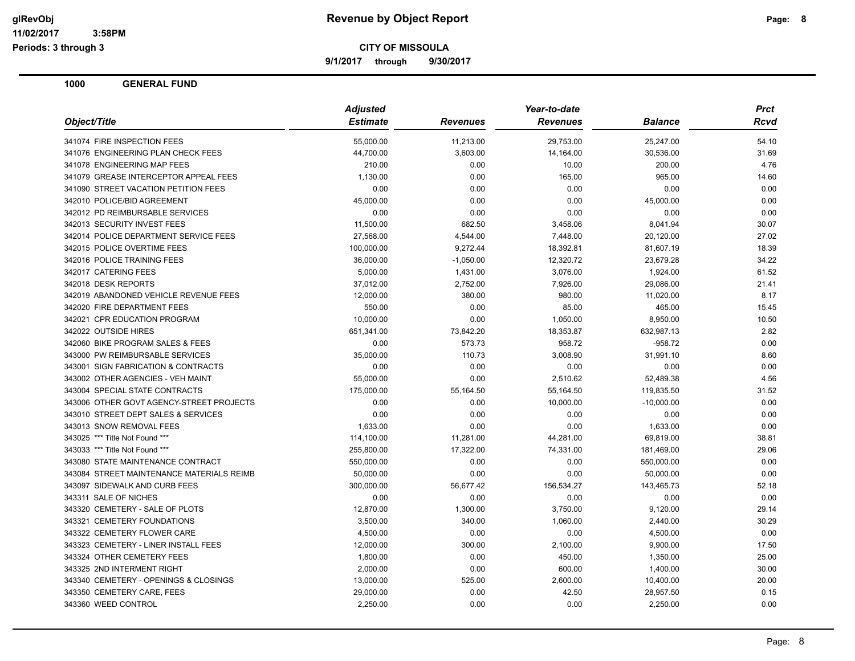**CITY OF MISSOULA**

**9/1/2017 through 9/30/2017**

| Object/Title                              | <b>Adjusted</b><br><b>Estimate</b> | <b>Revenues</b> | Year-to-date<br><b>Revenues</b> | <b>Balance</b> | <b>Prct</b><br>Rcvd |
|-------------------------------------------|------------------------------------|-----------------|---------------------------------|----------------|---------------------|
| 341074 FIRE INSPECTION FEES               | 55,000.00                          | 11,213.00       | 29,753.00                       | 25,247.00      | 54.10               |
| 341076 ENGINEERING PLAN CHECK FEES        | 44,700.00                          | 3,603.00        | 14,164.00                       | 30,536.00      | 31.69               |
| 341078 ENGINEERING MAP FEES               | 210.00                             | 0.00            | 10.00                           | 200.00         | 4.76                |
| 341079 GREASE INTERCEPTOR APPEAL FEES     | 1,130.00                           | 0.00            | 165.00                          | 965.00         | 14.60               |
| 341090 STREET VACATION PETITION FEES      | 0.00                               | 0.00            | 0.00                            | 0.00           | 0.00                |
| 342010 POLICE/BID AGREEMENT               | 45,000.00                          | 0.00            | 0.00                            | 45,000.00      | 0.00                |
| 342012 PD REIMBURSABLE SERVICES           | 0.00                               | 0.00            | 0.00                            | 0.00           | 0.00                |
| 342013 SECURITY INVEST FEES               | 11,500.00                          | 682.50          | 3,458.06                        | 8,041.94       | 30.07               |
| 342014 POLICE DEPARTMENT SERVICE FEES     | 27,568.00                          | 4,544.00        | 7,448.00                        | 20,120.00      | 27.02               |
| 342015 POLICE OVERTIME FEES               | 100,000.00                         | 9,272.44        | 18,392.81                       | 81,607.19      | 18.39               |
| 342016 POLICE TRAINING FEES               | 36,000.00                          | $-1,050.00$     | 12,320.72                       | 23,679.28      | 34.22               |
| 342017 CATERING FEES                      | 5,000.00                           | 1,431.00        | 3,076.00                        | 1,924.00       | 61.52               |
| 342018 DESK REPORTS                       | 37,012.00                          | 2,752.00        | 7,926.00                        | 29,086.00      | 21.41               |
| 342019 ABANDONED VEHICLE REVENUE FEES     | 12,000.00                          | 380.00          | 980.00                          | 11,020.00      | 8.17                |
| 342020 FIRE DEPARTMENT FEES               | 550.00                             | 0.00            | 85.00                           | 465.00         | 15.45               |
| 342021 CPR EDUCATION PROGRAM              | 10,000.00                          | 0.00            | 1,050.00                        | 8,950.00       | 10.50               |
| 342022 OUTSIDE HIRES                      | 651,341.00                         | 73,842.20       | 18,353.87                       | 632,987.13     | 2.82                |
| 342060 BIKE PROGRAM SALES & FEES          | 0.00                               | 573.73          | 958.72                          | $-958.72$      | 0.00                |
| 343000 PW REIMBURSABLE SERVICES           | 35,000.00                          | 110.73          | 3,008.90                        | 31,991.10      | 8.60                |
| 343001 SIGN FABRICATION & CONTRACTS       | 0.00                               | 0.00            | 0.00                            | 0.00           | 0.00                |
| 343002 OTHER AGENCIES - VEH MAINT         | 55,000.00                          | 0.00            | 2,510.62                        | 52,489.38      | 4.56                |
| 343004 SPECIAL STATE CONTRACTS            | 175,000.00                         | 55,164.50       | 55,164.50                       | 119,835.50     | 31.52               |
| 343006 OTHER GOVT AGENCY-STREET PROJECTS  | 0.00                               | 0.00            | 10,000.00                       | $-10,000.00$   | 0.00                |
| 343010 STREET DEPT SALES & SERVICES       | 0.00                               | 0.00            | 0.00                            | 0.00           | 0.00                |
| 343013 SNOW REMOVAL FEES                  | 1,633.00                           | 0.00            | 0.00                            | 1,633.00       | 0.00                |
| 343025 *** Title Not Found ***            | 114,100.00                         | 11,281.00       | 44,281.00                       | 69,819.00      | 38.81               |
| 343033 *** Title Not Found ***            | 255,800.00                         | 17,322.00       | 74,331.00                       | 181,469.00     | 29.06               |
| 343080 STATE MAINTENANCE CONTRACT         | 550,000.00                         | 0.00            | 0.00                            | 550,000.00     | 0.00                |
| 343084 STREET MAINTENANCE MATERIALS REIMB | 50,000.00                          | 0.00            | 0.00                            | 50,000.00      | 0.00                |
| 343097 SIDEWALK AND CURB FEES             | 300,000.00                         | 56,677.42       | 156,534.27                      | 143,465.73     | 52.18               |
| 343311 SALE OF NICHES                     | 0.00                               | 0.00            | 0.00                            | 0.00           | 0.00                |
| 343320 CEMETERY - SALE OF PLOTS           | 12,870.00                          | 1,300.00        | 3,750.00                        | 9,120.00       | 29.14               |
| 343321 CEMETERY FOUNDATIONS               | 3,500.00                           | 340.00          | 1,060.00                        | 2,440.00       | 30.29               |
| 343322 CEMETERY FLOWER CARE               | 4,500.00                           | 0.00            | 0.00                            | 4,500.00       | 0.00                |
| 343323 CEMETERY - LINER INSTALL FEES      | 12,000.00                          | 300.00          | 2,100.00                        | 9,900.00       | 17.50               |
| 343324 OTHER CEMETERY FEES                | 1,800.00                           | 0.00            | 450.00                          | 1,350.00       | 25.00               |
| 343325 2ND INTERMENT RIGHT                | 2,000.00                           | 0.00            | 600.00                          | 1,400.00       | 30.00               |
| 343340 CEMETERY - OPENINGS & CLOSINGS     | 13,000.00                          | 525.00          | 2,600.00                        | 10,400.00      | 20.00               |
| 343350 CEMETERY CARE, FEES                | 29,000.00                          | 0.00            | 42.50                           | 28,957.50      | 0.15                |
| 343360 WEED CONTROL                       | 2,250.00                           | 0.00            | 0.00                            | 2,250.00       | 0.00                |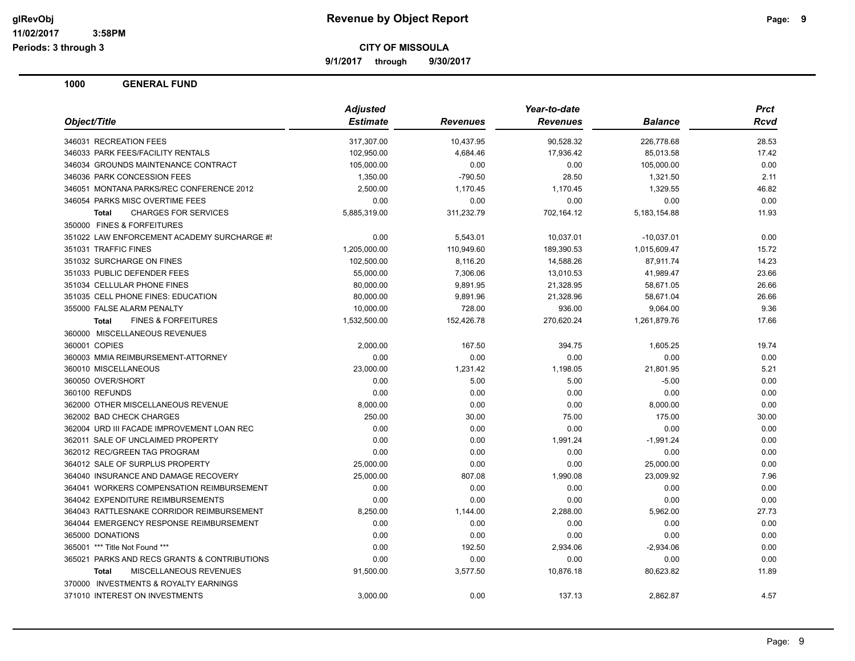**CITY OF MISSOULA**

**9/1/2017 through 9/30/2017**

| Object/Title                                                              | <b>Adjusted</b><br><b>Estimate</b> | <b>Revenues</b>        | Year-to-date<br><b>Revenues</b> | <b>Balance</b>               | <b>Prct</b><br>Rcvd |
|---------------------------------------------------------------------------|------------------------------------|------------------------|---------------------------------|------------------------------|---------------------|
| 346031 RECREATION FEES                                                    | 317,307.00                         | 10,437.95              | 90,528.32                       | 226,778.68                   | 28.53               |
| 346033 PARK FEES/FACILITY RENTALS                                         | 102,950.00                         | 4,684.46               | 17,936.42                       | 85,013.58                    | 17.42               |
| 346034 GROUNDS MAINTENANCE CONTRACT                                       | 105,000.00                         | 0.00                   | 0.00                            | 105,000.00                   | 0.00                |
| 346036 PARK CONCESSION FEES                                               | 1,350.00                           | $-790.50$              | 28.50                           | 1,321.50                     | 2.11                |
| 346051 MONTANA PARKS/REC CONFERENCE 2012                                  | 2,500.00                           | 1,170.45               | 1,170.45                        | 1,329.55                     | 46.82               |
| 346054 PARKS MISC OVERTIME FEES                                           | 0.00                               | 0.00                   | 0.00                            | 0.00                         | 0.00                |
| <b>CHARGES FOR SERVICES</b><br><b>Total</b>                               | 5,885,319.00                       | 311,232.79             | 702,164.12                      | 5,183,154.88                 | 11.93               |
|                                                                           |                                    |                        |                                 |                              |                     |
| 350000 FINES & FORFEITURES<br>351022 LAW ENFORCEMENT ACADEMY SURCHARGE #! |                                    |                        |                                 |                              |                     |
| 351031 TRAFFIC FINES                                                      | 0.00                               | 5,543.01<br>110,949.60 | 10,037.01<br>189,390.53         | $-10,037.01$<br>1,015,609.47 | 0.00<br>15.72       |
|                                                                           | 1,205,000.00                       |                        |                                 |                              |                     |
| 351032 SURCHARGE ON FINES                                                 | 102,500.00                         | 8,116.20               | 14,588.26                       | 87,911.74                    | 14.23               |
| 351033 PUBLIC DEFENDER FEES                                               | 55,000.00                          | 7,306.06               | 13,010.53                       | 41,989.47                    | 23.66               |
| 351034 CELLULAR PHONE FINES                                               | 80,000.00                          | 9,891.95               | 21,328.95                       | 58,671.05                    | 26.66               |
| 351035 CELL PHONE FINES: EDUCATION                                        | 80,000.00                          | 9,891.96               | 21,328.96                       | 58,671.04                    | 26.66               |
| 355000 FALSE ALARM PENALTY                                                | 10,000.00                          | 728.00                 | 936.00                          | 9,064.00                     | 9.36                |
| <b>FINES &amp; FORFEITURES</b><br><b>Total</b>                            | 1,532,500.00                       | 152,426.78             | 270,620.24                      | 1,261,879.76                 | 17.66               |
| 360000 MISCELLANEOUS REVENUES                                             |                                    |                        |                                 |                              |                     |
| 360001 COPIES                                                             | 2,000.00                           | 167.50                 | 394.75                          | 1,605.25                     | 19.74               |
| 360003 MMIA REIMBURSEMENT-ATTORNEY                                        | 0.00                               | 0.00                   | 0.00                            | 0.00                         | 0.00                |
| 360010 MISCELLANEOUS                                                      | 23,000.00                          | 1,231.42               | 1,198.05                        | 21,801.95                    | 5.21                |
| 360050 OVER/SHORT                                                         | 0.00                               | 5.00                   | 5.00                            | $-5.00$                      | 0.00                |
| 360100 REFUNDS                                                            | 0.00                               | 0.00                   | 0.00                            | 0.00                         | 0.00                |
| 362000 OTHER MISCELLANEOUS REVENUE                                        | 8,000.00                           | 0.00                   | 0.00                            | 8,000.00                     | 0.00                |
| 362002 BAD CHECK CHARGES                                                  | 250.00                             | 30.00                  | 75.00                           | 175.00                       | 30.00               |
| 362004 URD III FACADE IMPROVEMENT LOAN REC                                | 0.00                               | 0.00                   | 0.00                            | 0.00                         | 0.00                |
| 362011 SALE OF UNCLAIMED PROPERTY                                         | 0.00                               | 0.00                   | 1,991.24                        | $-1,991.24$                  | 0.00                |
| 362012 REC/GREEN TAG PROGRAM                                              | 0.00                               | 0.00                   | 0.00                            | 0.00                         | 0.00                |
| 364012 SALE OF SURPLUS PROPERTY                                           | 25,000.00                          | 0.00                   | 0.00                            | 25,000.00                    | 0.00                |
| 364040 INSURANCE AND DAMAGE RECOVERY                                      | 25,000.00                          | 807.08                 | 1,990.08                        | 23,009.92                    | 7.96                |
| 364041 WORKERS COMPENSATION REIMBURSEMENT                                 | 0.00                               | 0.00                   | 0.00                            | 0.00                         | 0.00                |
| 364042 EXPENDITURE REIMBURSEMENTS                                         | 0.00                               | 0.00                   | 0.00                            | 0.00                         | 0.00                |
| 364043 RATTLESNAKE CORRIDOR REIMBURSEMENT                                 | 8,250.00                           | 1,144.00               | 2,288.00                        | 5,962.00                     | 27.73               |
| 364044 EMERGENCY RESPONSE REIMBURSEMENT                                   | 0.00                               | 0.00                   | 0.00                            | 0.00                         | 0.00                |
| 365000 DONATIONS                                                          | 0.00                               | 0.00                   | 0.00                            | 0.00                         | 0.00                |
| 365001 *** Title Not Found ***                                            | 0.00                               | 192.50                 | 2,934.06                        | $-2,934.06$                  | 0.00                |
| 365021 PARKS AND RECS GRANTS & CONTRIBUTIONS                              | 0.00                               | 0.00                   | 0.00                            | 0.00                         | 0.00                |
| <b>MISCELLANEOUS REVENUES</b><br><b>Total</b>                             | 91,500.00                          | 3,577.50               | 10,876.18                       | 80,623.82                    | 11.89               |
| 370000 INVESTMENTS & ROYALTY EARNINGS                                     |                                    |                        |                                 |                              |                     |
| 371010 INTEREST ON INVESTMENTS                                            | 3,000.00                           | 0.00                   | 137.13                          | 2,862.87                     | 4.57                |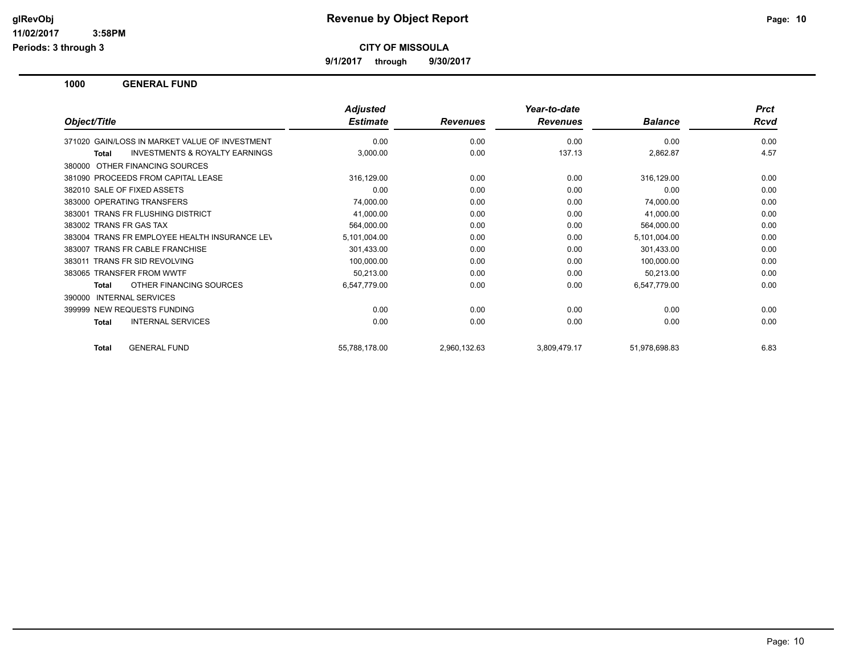**9/1/2017 through 9/30/2017**

|                                                    | <b>Adjusted</b> |                 | Year-to-date    |                | <b>Prct</b> |
|----------------------------------------------------|-----------------|-----------------|-----------------|----------------|-------------|
| Object/Title                                       | <b>Estimate</b> | <b>Revenues</b> | <b>Revenues</b> | <b>Balance</b> | Rcvd        |
| 371020 GAIN/LOSS IN MARKET VALUE OF INVESTMENT     | 0.00            | 0.00            | 0.00            | 0.00           | 0.00        |
| <b>INVESTMENTS &amp; ROYALTY EARNINGS</b><br>Total | 3,000.00        | 0.00            | 137.13          | 2,862.87       | 4.57        |
| 380000 OTHER FINANCING SOURCES                     |                 |                 |                 |                |             |
| 381090 PROCEEDS FROM CAPITAL LEASE                 | 316,129.00      | 0.00            | 0.00            | 316,129.00     | 0.00        |
| 382010 SALE OF FIXED ASSETS                        | 0.00            | 0.00            | 0.00            | 0.00           | 0.00        |
| 383000 OPERATING TRANSFERS                         | 74,000.00       | 0.00            | 0.00            | 74,000.00      | 0.00        |
| 383001 TRANS FR FLUSHING DISTRICT                  | 41,000.00       | 0.00            | 0.00            | 41,000.00      | 0.00        |
| 383002 TRANS FR GAS TAX                            | 564,000.00      | 0.00            | 0.00            | 564,000.00     | 0.00        |
| 383004 TRANS FR EMPLOYEE HEALTH INSURANCE LEV      | 5,101,004.00    | 0.00            | 0.00            | 5,101,004.00   | 0.00        |
| 383007 TRANS FR CABLE FRANCHISE                    | 301,433.00      | 0.00            | 0.00            | 301,433.00     | 0.00        |
| 383011 TRANS FR SID REVOLVING                      | 100,000.00      | 0.00            | 0.00            | 100,000.00     | 0.00        |
| 383065 TRANSFER FROM WWTF                          | 50,213.00       | 0.00            | 0.00            | 50,213.00      | 0.00        |
| OTHER FINANCING SOURCES<br><b>Total</b>            | 6,547,779.00    | 0.00            | 0.00            | 6,547,779.00   | 0.00        |
| <b>INTERNAL SERVICES</b><br>390000                 |                 |                 |                 |                |             |
| 399999 NEW REQUESTS FUNDING                        | 0.00            | 0.00            | 0.00            | 0.00           | 0.00        |
| <b>INTERNAL SERVICES</b><br><b>Total</b>           | 0.00            | 0.00            | 0.00            | 0.00           | 0.00        |
| <b>GENERAL FUND</b><br><b>Total</b>                | 55,788,178.00   | 2,960,132.63    | 3,809,479.17    | 51,978,698.83  | 6.83        |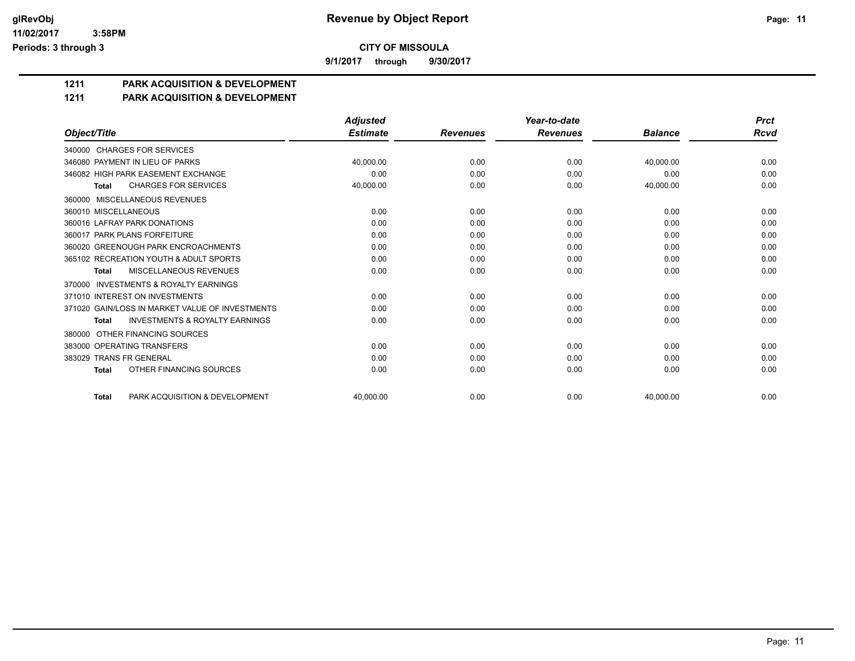**9/1/2017 through 9/30/2017**

# **1211 PARK ACQUISITION & DEVELOPMENT**

## **1211 PARK ACQUISITION & DEVELOPMENT**

|                                                     | <b>Adjusted</b> |                 | Year-to-date    |                |      |
|-----------------------------------------------------|-----------------|-----------------|-----------------|----------------|------|
| Object/Title                                        | <b>Estimate</b> | <b>Revenues</b> | <b>Revenues</b> | <b>Balance</b> | Rcvd |
| 340000 CHARGES FOR SERVICES                         |                 |                 |                 |                |      |
| 346080 PAYMENT IN LIEU OF PARKS                     | 40,000.00       | 0.00            | 0.00            | 40,000.00      | 0.00 |
| 346082 HIGH PARK EASEMENT EXCHANGE                  | 0.00            | 0.00            | 0.00            | 0.00           | 0.00 |
| <b>CHARGES FOR SERVICES</b><br><b>Total</b>         | 40,000.00       | 0.00            | 0.00            | 40,000.00      | 0.00 |
| 360000 MISCELLANEOUS REVENUES                       |                 |                 |                 |                |      |
| 360010 MISCELLANEOUS                                | 0.00            | 0.00            | 0.00            | 0.00           | 0.00 |
| 360016 LAFRAY PARK DONATIONS                        | 0.00            | 0.00            | 0.00            | 0.00           | 0.00 |
| 360017 PARK PLANS FORFEITURE                        | 0.00            | 0.00            | 0.00            | 0.00           | 0.00 |
| 360020 GREENOUGH PARK ENCROACHMENTS                 | 0.00            | 0.00            | 0.00            | 0.00           | 0.00 |
| 365102 RECREATION YOUTH & ADULT SPORTS              | 0.00            | 0.00            | 0.00            | 0.00           | 0.00 |
| <b>MISCELLANEOUS REVENUES</b><br><b>Total</b>       | 0.00            | 0.00            | 0.00            | 0.00           | 0.00 |
| <b>INVESTMENTS &amp; ROYALTY EARNINGS</b><br>370000 |                 |                 |                 |                |      |
| 371010 INTEREST ON INVESTMENTS                      | 0.00            | 0.00            | 0.00            | 0.00           | 0.00 |
| 371020 GAIN/LOSS IN MARKET VALUE OF INVESTMENTS     | 0.00            | 0.00            | 0.00            | 0.00           | 0.00 |
| <b>INVESTMENTS &amp; ROYALTY EARNINGS</b><br>Total  | 0.00            | 0.00            | 0.00            | 0.00           | 0.00 |
| 380000 OTHER FINANCING SOURCES                      |                 |                 |                 |                |      |
| 383000 OPERATING TRANSFERS                          | 0.00            | 0.00            | 0.00            | 0.00           | 0.00 |
| 383029 TRANS FR GENERAL                             | 0.00            | 0.00            | 0.00            | 0.00           | 0.00 |
| OTHER FINANCING SOURCES<br><b>Total</b>             | 0.00            | 0.00            | 0.00            | 0.00           | 0.00 |
| PARK ACQUISITION & DEVELOPMENT<br>Total             | 40.000.00       | 0.00            | 0.00            | 40.000.00      | 0.00 |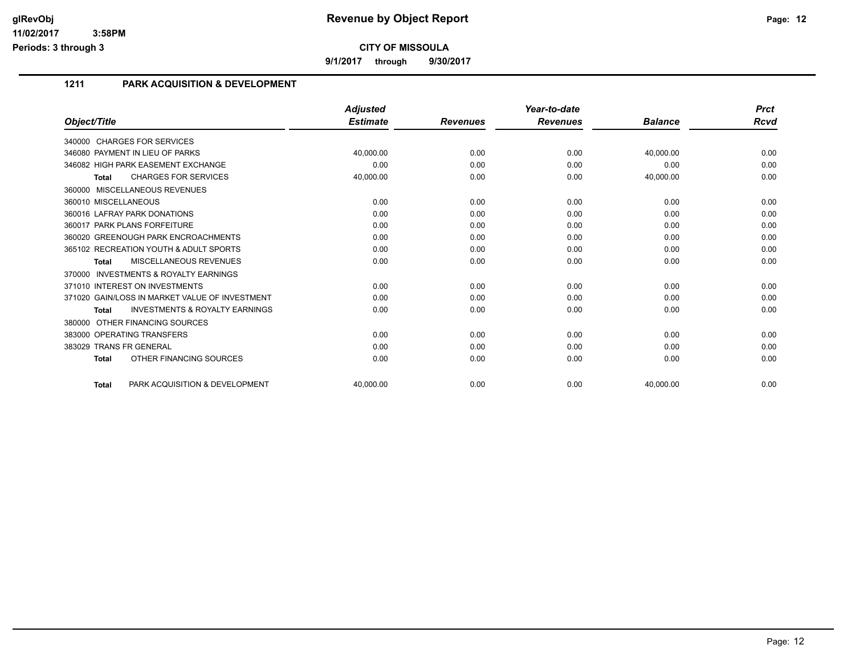**9/1/2017 through 9/30/2017**

# **1211 PARK ACQUISITION & DEVELOPMENT**

|                                                           | <b>Adjusted</b> |                 | Year-to-date    |                | <b>Prct</b> |
|-----------------------------------------------------------|-----------------|-----------------|-----------------|----------------|-------------|
| Object/Title                                              | <b>Estimate</b> | <b>Revenues</b> | <b>Revenues</b> | <b>Balance</b> | Rcvd        |
| 340000 CHARGES FOR SERVICES                               |                 |                 |                 |                |             |
| 346080 PAYMENT IN LIEU OF PARKS                           | 40,000.00       | 0.00            | 0.00            | 40,000.00      | 0.00        |
| 346082 HIGH PARK EASEMENT EXCHANGE                        | 0.00            | 0.00            | 0.00            | 0.00           | 0.00        |
| <b>CHARGES FOR SERVICES</b><br><b>Total</b>               | 40,000.00       | 0.00            | 0.00            | 40,000.00      | 0.00        |
| 360000 MISCELLANEOUS REVENUES                             |                 |                 |                 |                |             |
| 360010 MISCELLANEOUS                                      | 0.00            | 0.00            | 0.00            | 0.00           | 0.00        |
| 360016 LAFRAY PARK DONATIONS                              | 0.00            | 0.00            | 0.00            | 0.00           | 0.00        |
| 360017 PARK PLANS FORFEITURE                              | 0.00            | 0.00            | 0.00            | 0.00           | 0.00        |
| 360020 GREENOUGH PARK ENCROACHMENTS                       | 0.00            | 0.00            | 0.00            | 0.00           | 0.00        |
| 365102 RECREATION YOUTH & ADULT SPORTS                    | 0.00            | 0.00            | 0.00            | 0.00           | 0.00        |
| <b>MISCELLANEOUS REVENUES</b><br><b>Total</b>             | 0.00            | 0.00            | 0.00            | 0.00           | 0.00        |
| <b>INVESTMENTS &amp; ROYALTY EARNINGS</b><br>370000       |                 |                 |                 |                |             |
| 371010 INTEREST ON INVESTMENTS                            | 0.00            | 0.00            | 0.00            | 0.00           | 0.00        |
| 371020 GAIN/LOSS IN MARKET VALUE OF INVESTMENT            | 0.00            | 0.00            | 0.00            | 0.00           | 0.00        |
| <b>INVESTMENTS &amp; ROYALTY EARNINGS</b><br><b>Total</b> | 0.00            | 0.00            | 0.00            | 0.00           | 0.00        |
| 380000 OTHER FINANCING SOURCES                            |                 |                 |                 |                |             |
| 383000 OPERATING TRANSFERS                                | 0.00            | 0.00            | 0.00            | 0.00           | 0.00        |
| 383029 TRANS FR GENERAL                                   | 0.00            | 0.00            | 0.00            | 0.00           | 0.00        |
| OTHER FINANCING SOURCES<br><b>Total</b>                   | 0.00            | 0.00            | 0.00            | 0.00           | 0.00        |
| PARK ACQUISITION & DEVELOPMENT<br><b>Total</b>            | 40,000.00       | 0.00            | 0.00            | 40,000.00      | 0.00        |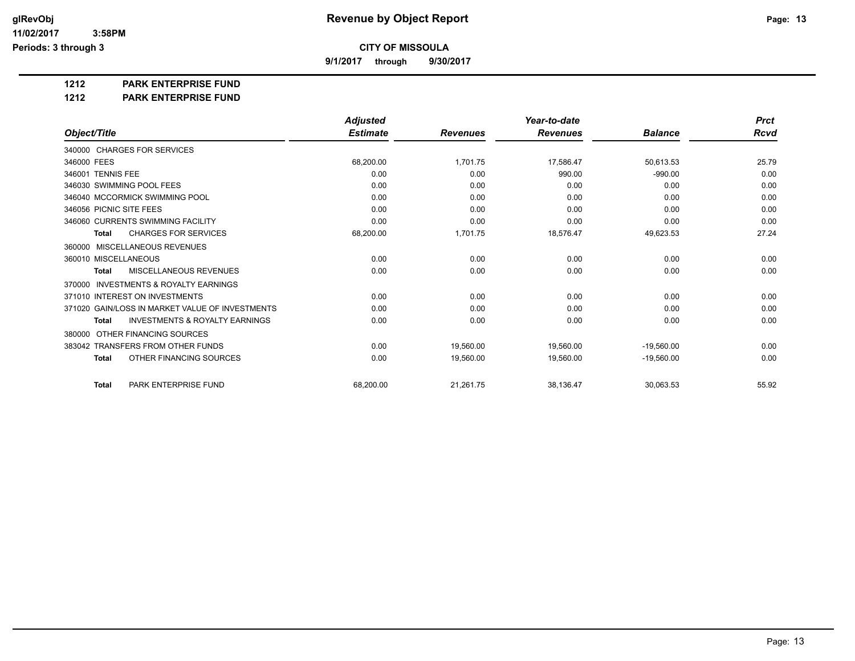**9/1/2017 through 9/30/2017**

**1212 PARK ENTERPRISE FUND**

**1212 PARK ENTERPRISE FUND**

|                                                           | <b>Adjusted</b> |                 | Year-to-date    |                | <b>Prct</b><br>Rcvd |
|-----------------------------------------------------------|-----------------|-----------------|-----------------|----------------|---------------------|
| Object/Title                                              | <b>Estimate</b> | <b>Revenues</b> | <b>Revenues</b> | <b>Balance</b> |                     |
| 340000 CHARGES FOR SERVICES                               |                 |                 |                 |                |                     |
| 346000 FEES                                               | 68,200.00       | 1,701.75        | 17,586.47       | 50,613.53      | 25.79               |
| 346001 TENNIS FEE                                         | 0.00            | 0.00            | 990.00          | $-990.00$      | 0.00                |
| 346030 SWIMMING POOL FEES                                 | 0.00            | 0.00            | 0.00            | 0.00           | 0.00                |
| 346040 MCCORMICK SWIMMING POOL                            | 0.00            | 0.00            | 0.00            | 0.00           | 0.00                |
| 346056 PICNIC SITE FEES                                   | 0.00            | 0.00            | 0.00            | 0.00           | 0.00                |
| 346060 CURRENTS SWIMMING FACILITY                         | 0.00            | 0.00            | 0.00            | 0.00           | 0.00                |
| <b>CHARGES FOR SERVICES</b><br><b>Total</b>               | 68,200.00       | 1,701.75        | 18,576.47       | 49,623.53      | 27.24               |
| MISCELLANEOUS REVENUES<br>360000                          |                 |                 |                 |                |                     |
| 360010 MISCELLANEOUS                                      | 0.00            | 0.00            | 0.00            | 0.00           | 0.00                |
| <b>MISCELLANEOUS REVENUES</b><br><b>Total</b>             | 0.00            | 0.00            | 0.00            | 0.00           | 0.00                |
| <b>INVESTMENTS &amp; ROYALTY EARNINGS</b><br>370000       |                 |                 |                 |                |                     |
| 371010 INTEREST ON INVESTMENTS                            | 0.00            | 0.00            | 0.00            | 0.00           | 0.00                |
| 371020 GAIN/LOSS IN MARKET VALUE OF INVESTMENTS           | 0.00            | 0.00            | 0.00            | 0.00           | 0.00                |
| <b>INVESTMENTS &amp; ROYALTY EARNINGS</b><br><b>Total</b> | 0.00            | 0.00            | 0.00            | 0.00           | 0.00                |
| OTHER FINANCING SOURCES<br>380000                         |                 |                 |                 |                |                     |
| 383042 TRANSFERS FROM OTHER FUNDS                         | 0.00            | 19,560.00       | 19,560.00       | $-19,560.00$   | 0.00                |
| OTHER FINANCING SOURCES<br><b>Total</b>                   | 0.00            | 19,560.00       | 19,560.00       | $-19,560.00$   | 0.00                |
| PARK ENTERPRISE FUND<br><b>Total</b>                      | 68,200.00       | 21,261.75       | 38,136.47       | 30,063.53      | 55.92               |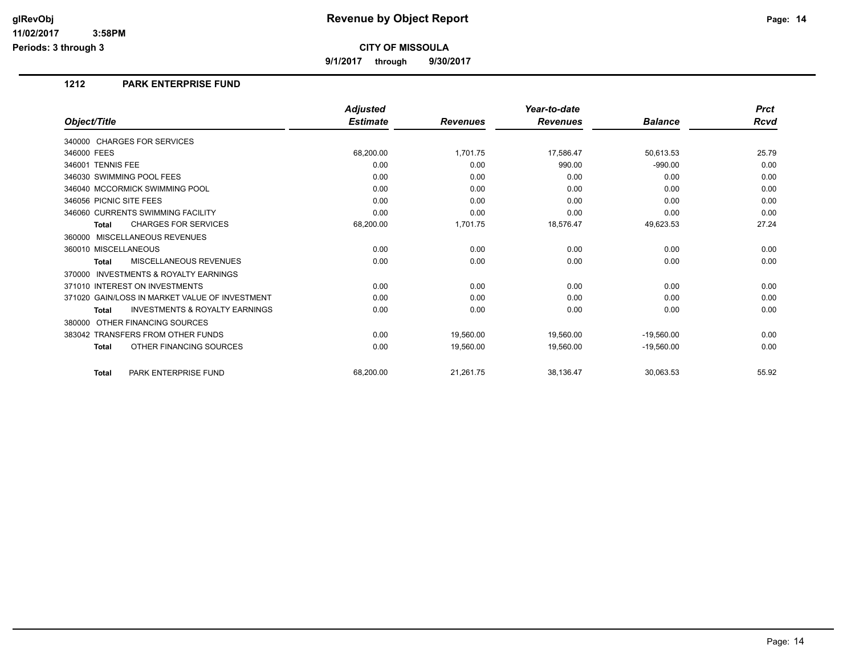**9/1/2017 through 9/30/2017**

## **1212 PARK ENTERPRISE FUND**

|                                                           | <b>Adjusted</b> |                 | Year-to-date    |                | <b>Prct</b> |
|-----------------------------------------------------------|-----------------|-----------------|-----------------|----------------|-------------|
| Object/Title                                              | <b>Estimate</b> | <b>Revenues</b> | <b>Revenues</b> | <b>Balance</b> | Rcvd        |
| 340000 CHARGES FOR SERVICES                               |                 |                 |                 |                |             |
| 346000 FEES                                               | 68,200.00       | 1,701.75        | 17,586.47       | 50,613.53      | 25.79       |
| 346001 TENNIS FEE                                         | 0.00            | 0.00            | 990.00          | $-990.00$      | 0.00        |
| 346030 SWIMMING POOL FEES                                 | 0.00            | 0.00            | 0.00            | 0.00           | 0.00        |
| 346040 MCCORMICK SWIMMING POOL                            | 0.00            | 0.00            | 0.00            | 0.00           | 0.00        |
| 346056 PICNIC SITE FEES                                   | 0.00            | 0.00            | 0.00            | 0.00           | 0.00        |
| 346060 CURRENTS SWIMMING FACILITY                         | 0.00            | 0.00            | 0.00            | 0.00           | 0.00        |
| <b>CHARGES FOR SERVICES</b><br><b>Total</b>               | 68,200.00       | 1,701.75        | 18,576.47       | 49,623.53      | 27.24       |
| 360000 MISCELLANEOUS REVENUES                             |                 |                 |                 |                |             |
| 360010 MISCELLANEOUS                                      | 0.00            | 0.00            | 0.00            | 0.00           | 0.00        |
| <b>MISCELLANEOUS REVENUES</b><br><b>Total</b>             | 0.00            | 0.00            | 0.00            | 0.00           | 0.00        |
| INVESTMENTS & ROYALTY EARNINGS<br>370000                  |                 |                 |                 |                |             |
| 371010 INTEREST ON INVESTMENTS                            | 0.00            | 0.00            | 0.00            | 0.00           | 0.00        |
| 371020 GAIN/LOSS IN MARKET VALUE OF INVESTMENT            | 0.00            | 0.00            | 0.00            | 0.00           | 0.00        |
| <b>INVESTMENTS &amp; ROYALTY EARNINGS</b><br><b>Total</b> | 0.00            | 0.00            | 0.00            | 0.00           | 0.00        |
| OTHER FINANCING SOURCES<br>380000                         |                 |                 |                 |                |             |
| 383042 TRANSFERS FROM OTHER FUNDS                         | 0.00            | 19,560.00       | 19,560.00       | $-19,560.00$   | 0.00        |
| OTHER FINANCING SOURCES<br><b>Total</b>                   | 0.00            | 19,560.00       | 19,560.00       | $-19,560.00$   | 0.00        |
| PARK ENTERPRISE FUND<br><b>Total</b>                      | 68,200.00       | 21,261.75       | 38,136.47       | 30,063.53      | 55.92       |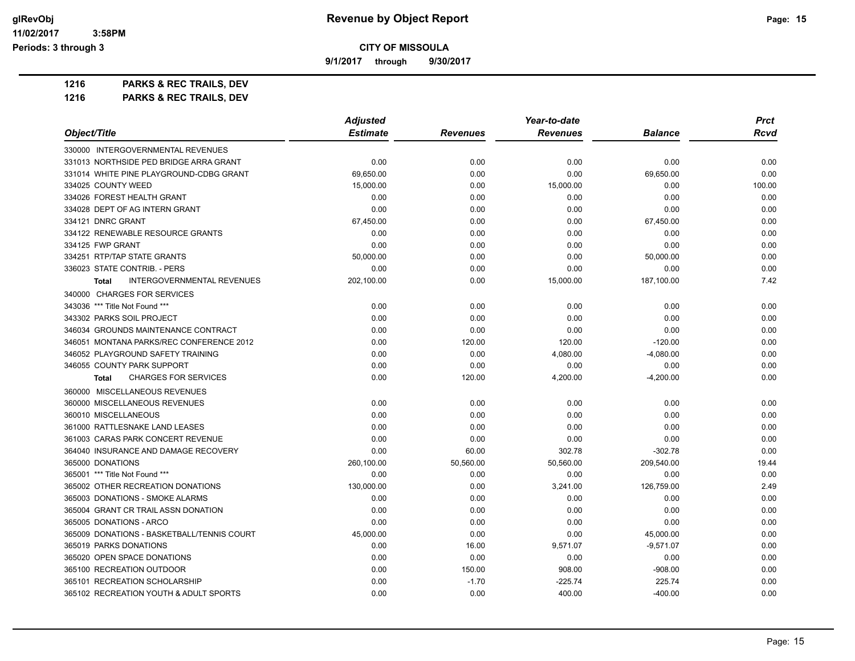**9/1/2017 through 9/30/2017**

**1216 PARKS & REC TRAILS, DEV**

| <b>PARKS &amp; REC TRAILS, DEV</b> |
|------------------------------------|
|                                    |

|                                             | <b>Adjusted</b> |                 | Year-to-date    |                | <b>Prct</b> |
|---------------------------------------------|-----------------|-----------------|-----------------|----------------|-------------|
| Object/Title                                | <b>Estimate</b> | <b>Revenues</b> | <b>Revenues</b> | <b>Balance</b> | <b>Rcvd</b> |
| 330000 INTERGOVERNMENTAL REVENUES           |                 |                 |                 |                |             |
| 331013 NORTHSIDE PED BRIDGE ARRA GRANT      | 0.00            | 0.00            | 0.00            | 0.00           | 0.00        |
| 331014 WHITE PINE PLAYGROUND-CDBG GRANT     | 69,650.00       | 0.00            | 0.00            | 69,650.00      | 0.00        |
| 334025 COUNTY WEED                          | 15,000.00       | 0.00            | 15,000.00       | 0.00           | 100.00      |
| 334026 FOREST HEALTH GRANT                  | 0.00            | 0.00            | 0.00            | 0.00           | 0.00        |
| 334028 DEPT OF AG INTERN GRANT              | 0.00            | 0.00            | 0.00            | 0.00           | 0.00        |
| 334121 DNRC GRANT                           | 67,450.00       | 0.00            | 0.00            | 67,450.00      | 0.00        |
| 334122 RENEWABLE RESOURCE GRANTS            | 0.00            | 0.00            | 0.00            | 0.00           | 0.00        |
| 334125 FWP GRANT                            | 0.00            | 0.00            | 0.00            | 0.00           | 0.00        |
| 334251 RTP/TAP STATE GRANTS                 | 50,000.00       | 0.00            | 0.00            | 50,000.00      | 0.00        |
| 336023 STATE CONTRIB. - PERS                | 0.00            | 0.00            | 0.00            | 0.00           | 0.00        |
| <b>INTERGOVERNMENTAL REVENUES</b><br>Total  | 202,100.00      | 0.00            | 15,000.00       | 187,100.00     | 7.42        |
| 340000 CHARGES FOR SERVICES                 |                 |                 |                 |                |             |
| 343036 *** Title Not Found ***              | 0.00            | 0.00            | 0.00            | 0.00           | 0.00        |
| 343302 PARKS SOIL PROJECT                   | 0.00            | 0.00            | 0.00            | 0.00           | 0.00        |
| 346034 GROUNDS MAINTENANCE CONTRACT         | 0.00            | 0.00            | 0.00            | 0.00           | 0.00        |
| 346051 MONTANA PARKS/REC CONFERENCE 2012    | 0.00            | 120.00          | 120.00          | $-120.00$      | 0.00        |
| 346052 PLAYGROUND SAFETY TRAINING           | 0.00            | 0.00            | 4,080.00        | $-4,080.00$    | 0.00        |
| 346055 COUNTY PARK SUPPORT                  | 0.00            | 0.00            | 0.00            | 0.00           | 0.00        |
| <b>CHARGES FOR SERVICES</b><br><b>Total</b> | 0.00            | 120.00          | 4,200.00        | $-4,200.00$    | 0.00        |
| 360000 MISCELLANEOUS REVENUES               |                 |                 |                 |                |             |
| 360000 MISCELLANEOUS REVENUES               | 0.00            | 0.00            | 0.00            | 0.00           | 0.00        |
| 360010 MISCELLANEOUS                        | 0.00            | 0.00            | 0.00            | 0.00           | 0.00        |
| 361000 RATTLESNAKE LAND LEASES              | 0.00            | 0.00            | 0.00            | 0.00           | 0.00        |
| 361003 CARAS PARK CONCERT REVENUE           | 0.00            | 0.00            | 0.00            | 0.00           | 0.00        |
| 364040 INSURANCE AND DAMAGE RECOVERY        | 0.00            | 60.00           | 302.78          | $-302.78$      | 0.00        |
| 365000 DONATIONS                            | 260,100.00      | 50,560.00       | 50,560.00       | 209,540.00     | 19.44       |
| 365001 *** Title Not Found ***              | 0.00            | 0.00            | 0.00            | 0.00           | 0.00        |
| 365002 OTHER RECREATION DONATIONS           | 130,000.00      | 0.00            | 3,241.00        | 126,759.00     | 2.49        |
| 365003 DONATIONS - SMOKE ALARMS             | 0.00            | 0.00            | 0.00            | 0.00           | 0.00        |
| 365004 GRANT CR TRAIL ASSN DONATION         | 0.00            | 0.00            | 0.00            | 0.00           | 0.00        |
| 365005 DONATIONS - ARCO                     | 0.00            | 0.00            | 0.00            | 0.00           | 0.00        |
| 365009 DONATIONS - BASKETBALL/TENNIS COURT  | 45,000.00       | 0.00            | 0.00            | 45,000.00      | 0.00        |
| 365019 PARKS DONATIONS                      | 0.00            | 16.00           | 9,571.07        | $-9,571.07$    | 0.00        |
| 365020 OPEN SPACE DONATIONS                 | 0.00            | 0.00            | 0.00            | 0.00           | 0.00        |
| 365100 RECREATION OUTDOOR                   | 0.00            | 150.00          | 908.00          | $-908.00$      | 0.00        |
| 365101 RECREATION SCHOLARSHIP               | 0.00            | $-1.70$         | $-225.74$       | 225.74         | 0.00        |
| 365102 RECREATION YOUTH & ADULT SPORTS      | 0.00            | 0.00            | 400.00          | $-400.00$      | 0.00        |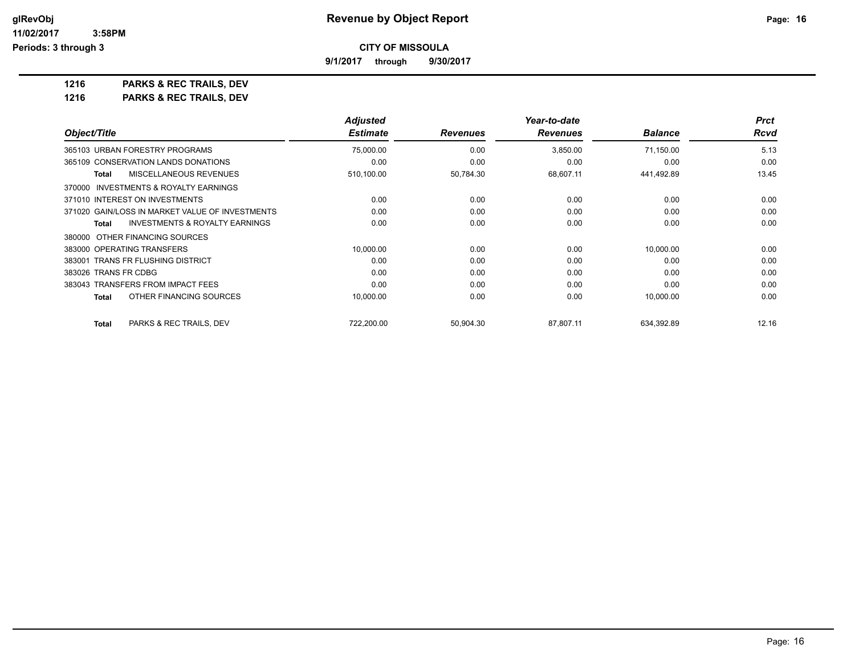**9/1/2017 through 9/30/2017**

**1216 PARKS & REC TRAILS, DEV**

**1216 PARKS & REC TRAILS, DEV**

|                                                     | <b>Adjusted</b> |                 | Year-to-date    |                | <b>Prct</b> |
|-----------------------------------------------------|-----------------|-----------------|-----------------|----------------|-------------|
| Object/Title                                        | <b>Estimate</b> | <b>Revenues</b> | <b>Revenues</b> | <b>Balance</b> | <b>Rcvd</b> |
| 365103 URBAN FORESTRY PROGRAMS                      | 75,000.00       | 0.00            | 3,850.00        | 71,150.00      | 5.13        |
| 365109 CONSERVATION LANDS DONATIONS                 | 0.00            | 0.00            | 0.00            | 0.00           | 0.00        |
| MISCELLANEOUS REVENUES<br>Total                     | 510,100.00      | 50,784.30       | 68,607.11       | 441,492.89     | 13.45       |
| <b>INVESTMENTS &amp; ROYALTY EARNINGS</b><br>370000 |                 |                 |                 |                |             |
| 371010 INTEREST ON INVESTMENTS                      | 0.00            | 0.00            | 0.00            | 0.00           | 0.00        |
| 371020 GAIN/LOSS IN MARKET VALUE OF INVESTMENTS     | 0.00            | 0.00            | 0.00            | 0.00           | 0.00        |
| <b>INVESTMENTS &amp; ROYALTY EARNINGS</b><br>Total  | 0.00            | 0.00            | 0.00            | 0.00           | 0.00        |
| 380000 OTHER FINANCING SOURCES                      |                 |                 |                 |                |             |
| 383000 OPERATING TRANSFERS                          | 10,000.00       | 0.00            | 0.00            | 10,000.00      | 0.00        |
| 383001 TRANS FR FLUSHING DISTRICT                   | 0.00            | 0.00            | 0.00            | 0.00           | 0.00        |
| 383026 TRANS FR CDBG                                | 0.00            | 0.00            | 0.00            | 0.00           | 0.00        |
| 383043 TRANSFERS FROM IMPACT FEES                   | 0.00            | 0.00            | 0.00            | 0.00           | 0.00        |
| OTHER FINANCING SOURCES<br>Total                    | 10,000.00       | 0.00            | 0.00            | 10,000.00      | 0.00        |
| PARKS & REC TRAILS, DEV<br>Total                    | 722,200.00      | 50,904.30       | 87,807.11       | 634,392.89     | 12.16       |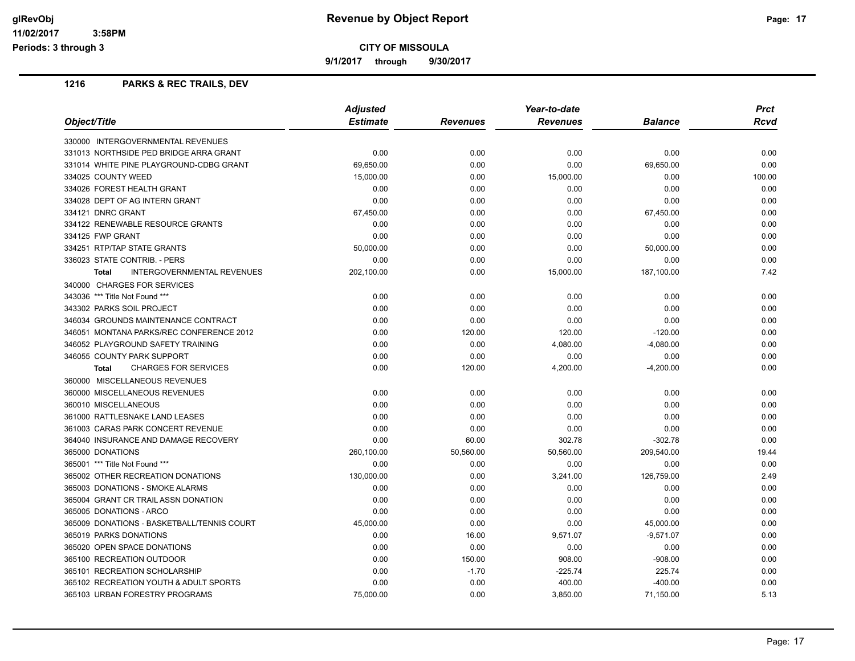**CITY OF MISSOULA**

**9/1/2017 through 9/30/2017**

# **1216 PARKS & REC TRAILS, DEV**

 **3:58PM**

| Object/Title                                      | <b>Adjusted</b> |                 | Year-to-date    | <b>Prct</b>    |        |
|---------------------------------------------------|-----------------|-----------------|-----------------|----------------|--------|
|                                                   | <b>Estimate</b> | <b>Revenues</b> | <b>Revenues</b> | <b>Balance</b> | Rcvd   |
| 330000 INTERGOVERNMENTAL REVENUES                 |                 |                 |                 |                |        |
| 331013 NORTHSIDE PED BRIDGE ARRA GRANT            | 0.00            | 0.00            | 0.00            | 0.00           | 0.00   |
| 331014 WHITE PINE PLAYGROUND-CDBG GRANT           | 69,650.00       | 0.00            | 0.00            | 69,650.00      | 0.00   |
| 334025 COUNTY WEED                                | 15,000.00       | 0.00            | 15,000.00       | 0.00           | 100.00 |
| 334026 FOREST HEALTH GRANT                        | 0.00            | 0.00            | 0.00            | 0.00           | 0.00   |
| 334028 DEPT OF AG INTERN GRANT                    | 0.00            | 0.00            | 0.00            | 0.00           | 0.00   |
| 334121 DNRC GRANT                                 | 67,450.00       | 0.00            | 0.00            | 67,450.00      | 0.00   |
| 334122 RENEWABLE RESOURCE GRANTS                  | 0.00            | 0.00            | 0.00            | 0.00           | 0.00   |
| 334125 FWP GRANT                                  | 0.00            | 0.00            | 0.00            | 0.00           | 0.00   |
| 334251 RTP/TAP STATE GRANTS                       | 50,000.00       | 0.00            | 0.00            | 50,000.00      | 0.00   |
| 336023 STATE CONTRIB. - PERS                      | 0.00            | 0.00            | 0.00            | 0.00           | 0.00   |
| <b>INTERGOVERNMENTAL REVENUES</b><br><b>Total</b> | 202,100.00      | 0.00            | 15,000.00       | 187,100.00     | 7.42   |
| 340000 CHARGES FOR SERVICES                       |                 |                 |                 |                |        |
| 343036 *** Title Not Found ***                    | 0.00            | 0.00            | 0.00            | 0.00           | 0.00   |
| 343302 PARKS SOIL PROJECT                         | 0.00            | 0.00            | 0.00            | 0.00           | 0.00   |
| 346034 GROUNDS MAINTENANCE CONTRACT               | 0.00            | 0.00            | 0.00            | 0.00           | 0.00   |
| 346051 MONTANA PARKS/REC CONFERENCE 2012          | 0.00            | 120.00          | 120.00          | $-120.00$      | 0.00   |
| 346052 PLAYGROUND SAFETY TRAINING                 | 0.00            | 0.00            | 4,080.00        | $-4,080.00$    | 0.00   |
| 346055 COUNTY PARK SUPPORT                        | 0.00            | 0.00            | 0.00            | 0.00           | 0.00   |
| <b>CHARGES FOR SERVICES</b><br>Total              | 0.00            | 120.00          | 4,200.00        | $-4,200.00$    | 0.00   |
| 360000 MISCELLANEOUS REVENUES                     |                 |                 |                 |                |        |
| 360000 MISCELLANEOUS REVENUES                     | 0.00            | 0.00            | 0.00            | 0.00           | 0.00   |
| 360010 MISCELLANEOUS                              | 0.00            | 0.00            | 0.00            | 0.00           | 0.00   |
| 361000 RATTLESNAKE LAND LEASES                    | 0.00            | 0.00            | 0.00            | 0.00           | 0.00   |
| 361003 CARAS PARK CONCERT REVENUE                 | 0.00            | 0.00            | 0.00            | 0.00           | 0.00   |
| 364040 INSURANCE AND DAMAGE RECOVERY              | 0.00            | 60.00           | 302.78          | $-302.78$      | 0.00   |
| 365000 DONATIONS                                  | 260,100.00      | 50,560.00       | 50,560.00       | 209,540.00     | 19.44  |
| 365001 *** Title Not Found ***                    | 0.00            | 0.00            | 0.00            | 0.00           | 0.00   |
| 365002 OTHER RECREATION DONATIONS                 | 130,000.00      | 0.00            | 3,241.00        | 126,759.00     | 2.49   |
| 365003 DONATIONS - SMOKE ALARMS                   | 0.00            | 0.00            | 0.00            | 0.00           | 0.00   |
| 365004 GRANT CR TRAIL ASSN DONATION               | 0.00            | 0.00            | 0.00            | 0.00           | 0.00   |
| 365005 DONATIONS - ARCO                           | 0.00            | 0.00            | 0.00            | 0.00           | 0.00   |
| 365009 DONATIONS - BASKETBALL/TENNIS COURT        | 45,000.00       | 0.00            | 0.00            | 45,000.00      | 0.00   |
| 365019 PARKS DONATIONS                            | 0.00            | 16.00           | 9,571.07        | $-9,571.07$    | 0.00   |
| 365020 OPEN SPACE DONATIONS                       | 0.00            | 0.00            | 0.00            | 0.00           | 0.00   |
| 365100 RECREATION OUTDOOR                         | 0.00            | 150.00          | 908.00          | $-908.00$      | 0.00   |
| 365101 RECREATION SCHOLARSHIP                     | 0.00            | $-1.70$         | $-225.74$       | 225.74         | 0.00   |
| 365102 RECREATION YOUTH & ADULT SPORTS            | 0.00            | 0.00            | 400.00          | $-400.00$      | 0.00   |
| 365103 URBAN FORESTRY PROGRAMS                    | 75.000.00       | 0.00            | 3,850.00        | 71,150.00      | 5.13   |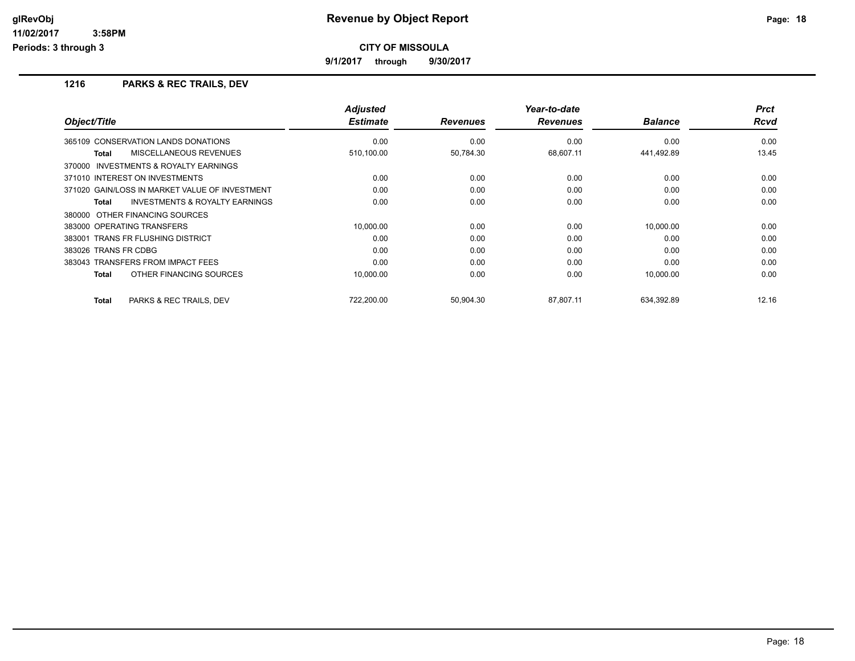**CITY OF MISSOULA**

**9/1/2017 through 9/30/2017**

# **1216 PARKS & REC TRAILS, DEV**

 **3:58PM**

| Object/Title                                              | <b>Adjusted</b><br><b>Estimate</b> | <b>Revenues</b> | Year-to-date<br><b>Revenues</b> | <b>Balance</b> | <b>Prct</b><br>Rcvd |
|-----------------------------------------------------------|------------------------------------|-----------------|---------------------------------|----------------|---------------------|
| 365109 CONSERVATION LANDS DONATIONS                       | 0.00                               | 0.00            | 0.00                            | 0.00           | 0.00                |
|                                                           |                                    |                 |                                 |                |                     |
| <b>MISCELLANEOUS REVENUES</b><br><b>Total</b>             | 510,100.00                         | 50,784.30       | 68,607.11                       | 441,492.89     | 13.45               |
| INVESTMENTS & ROYALTY EARNINGS<br>370000                  |                                    |                 |                                 |                |                     |
| 371010 INTEREST ON INVESTMENTS                            | 0.00                               | 0.00            | 0.00                            | 0.00           | 0.00                |
| 371020 GAIN/LOSS IN MARKET VALUE OF INVESTMENT            | 0.00                               | 0.00            | 0.00                            | 0.00           | 0.00                |
| <b>INVESTMENTS &amp; ROYALTY EARNINGS</b><br><b>Total</b> | 0.00                               | 0.00            | 0.00                            | 0.00           | 0.00                |
| 380000 OTHER FINANCING SOURCES                            |                                    |                 |                                 |                |                     |
| 383000 OPERATING TRANSFERS                                | 10,000.00                          | 0.00            | 0.00                            | 10,000.00      | 0.00                |
| 383001 TRANS FR FLUSHING DISTRICT                         | 0.00                               | 0.00            | 0.00                            | 0.00           | 0.00                |
| 383026 TRANS FR CDBG                                      | 0.00                               | 0.00            | 0.00                            | 0.00           | 0.00                |
| 383043 TRANSFERS FROM IMPACT FEES                         | 0.00                               | 0.00            | 0.00                            | 0.00           | 0.00                |
| OTHER FINANCING SOURCES<br><b>Total</b>                   | 10,000.00                          | 0.00            | 0.00                            | 10,000.00      | 0.00                |
| PARKS & REC TRAILS, DEV<br><b>Total</b>                   | 722,200.00                         | 50,904.30       | 87,807.11                       | 634,392.89     | 12.16               |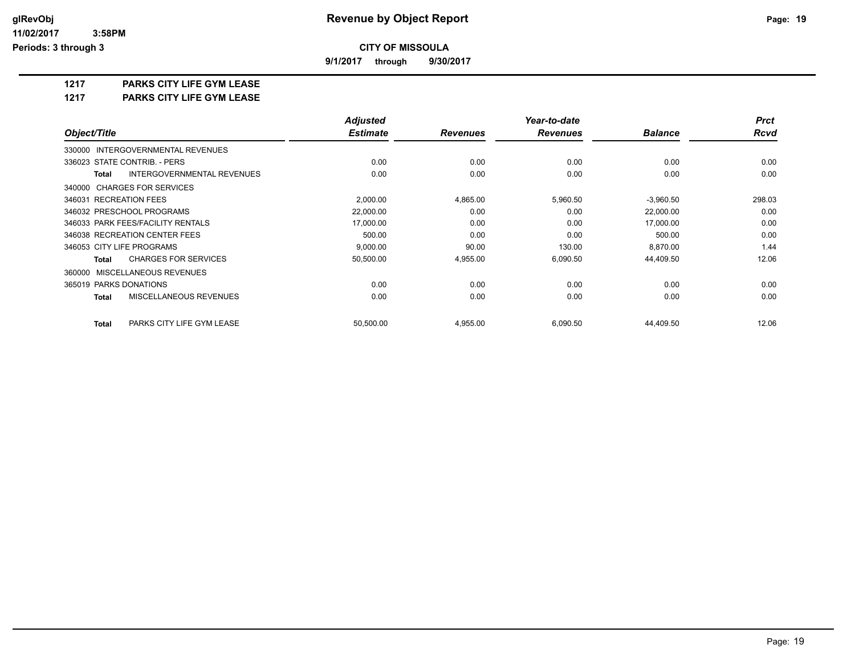**CITY OF MISSOULA**

**9/1/2017 through 9/30/2017**

## **1217 PARKS CITY LIFE GYM LEASE**

**1217 PARKS CITY LIFE GYM LEASE**

|                                      | <b>Adjusted</b> |                 | Year-to-date    |                | <b>Prct</b> |
|--------------------------------------|-----------------|-----------------|-----------------|----------------|-------------|
| Object/Title                         | <b>Estimate</b> | <b>Revenues</b> | <b>Revenues</b> | <b>Balance</b> | <b>Rcvd</b> |
| 330000 INTERGOVERNMENTAL REVENUES    |                 |                 |                 |                |             |
| 336023 STATE CONTRIB. - PERS         | 0.00            | 0.00            | 0.00            | 0.00           | 0.00        |
| INTERGOVERNMENTAL REVENUES<br>Total  | 0.00            | 0.00            | 0.00            | 0.00           | 0.00        |
| 340000 CHARGES FOR SERVICES          |                 |                 |                 |                |             |
| 346031 RECREATION FEES               | 2,000.00        | 4,865.00        | 5,960.50        | $-3,960.50$    | 298.03      |
| 346032 PRESCHOOL PROGRAMS            | 22,000.00       | 0.00            | 0.00            | 22,000.00      | 0.00        |
| 346033 PARK FEES/FACILITY RENTALS    | 17.000.00       | 0.00            | 0.00            | 17,000.00      | 0.00        |
| 346038 RECREATION CENTER FEES        | 500.00          | 0.00            | 0.00            | 500.00         | 0.00        |
| 346053 CITY LIFE PROGRAMS            | 9,000.00        | 90.00           | 130.00          | 8,870.00       | 1.44        |
| <b>CHARGES FOR SERVICES</b><br>Total | 50,500.00       | 4,955.00        | 6,090.50        | 44,409.50      | 12.06       |
| 360000 MISCELLANEOUS REVENUES        |                 |                 |                 |                |             |
| 365019 PARKS DONATIONS               | 0.00            | 0.00            | 0.00            | 0.00           | 0.00        |
| MISCELLANEOUS REVENUES<br>Total      | 0.00            | 0.00            | 0.00            | 0.00           | 0.00        |
| PARKS CITY LIFE GYM LEASE<br>Total   | 50,500.00       | 4,955.00        | 6,090.50        | 44,409.50      | 12.06       |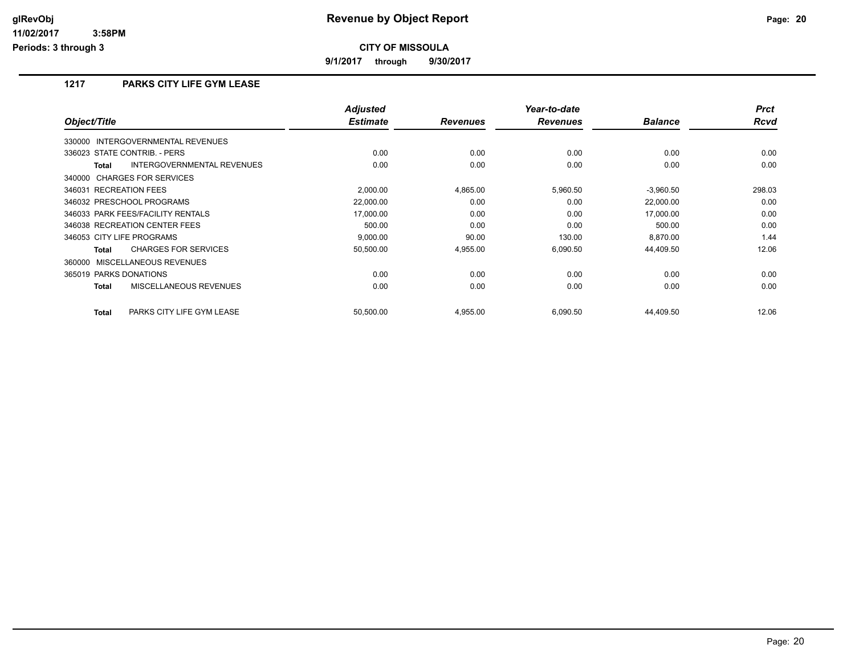**9/1/2017 through 9/30/2017**

# **1217 PARKS CITY LIFE GYM LEASE**

|                                             | <b>Adjusted</b> |                 | Year-to-date    |                | <b>Prct</b> |
|---------------------------------------------|-----------------|-----------------|-----------------|----------------|-------------|
| Object/Title                                | <b>Estimate</b> | <b>Revenues</b> | <b>Revenues</b> | <b>Balance</b> | <b>Rcvd</b> |
| 330000 INTERGOVERNMENTAL REVENUES           |                 |                 |                 |                |             |
| 336023 STATE CONTRIB. - PERS                | 0.00            | 0.00            | 0.00            | 0.00           | 0.00        |
| INTERGOVERNMENTAL REVENUES<br><b>Total</b>  | 0.00            | 0.00            | 0.00            | 0.00           | 0.00        |
| 340000 CHARGES FOR SERVICES                 |                 |                 |                 |                |             |
| 346031 RECREATION FEES                      | 2,000.00        | 4,865.00        | 5,960.50        | $-3,960.50$    | 298.03      |
| 346032 PRESCHOOL PROGRAMS                   | 22,000.00       | 0.00            | 0.00            | 22,000.00      | 0.00        |
| 346033 PARK FEES/FACILITY RENTALS           | 17,000.00       | 0.00            | 0.00            | 17,000.00      | 0.00        |
| 346038 RECREATION CENTER FEES               | 500.00          | 0.00            | 0.00            | 500.00         | 0.00        |
| 346053 CITY LIFE PROGRAMS                   | 9,000.00        | 90.00           | 130.00          | 8,870.00       | 1.44        |
| <b>CHARGES FOR SERVICES</b><br><b>Total</b> | 50,500.00       | 4,955.00        | 6,090.50        | 44,409.50      | 12.06       |
| 360000 MISCELLANEOUS REVENUES               |                 |                 |                 |                |             |
| 365019 PARKS DONATIONS                      | 0.00            | 0.00            | 0.00            | 0.00           | 0.00        |
| MISCELLANEOUS REVENUES<br><b>Total</b>      | 0.00            | 0.00            | 0.00            | 0.00           | 0.00        |
| PARKS CITY LIFE GYM LEASE<br><b>Total</b>   | 50,500.00       | 4,955.00        | 6,090.50        | 44,409.50      | 12.06       |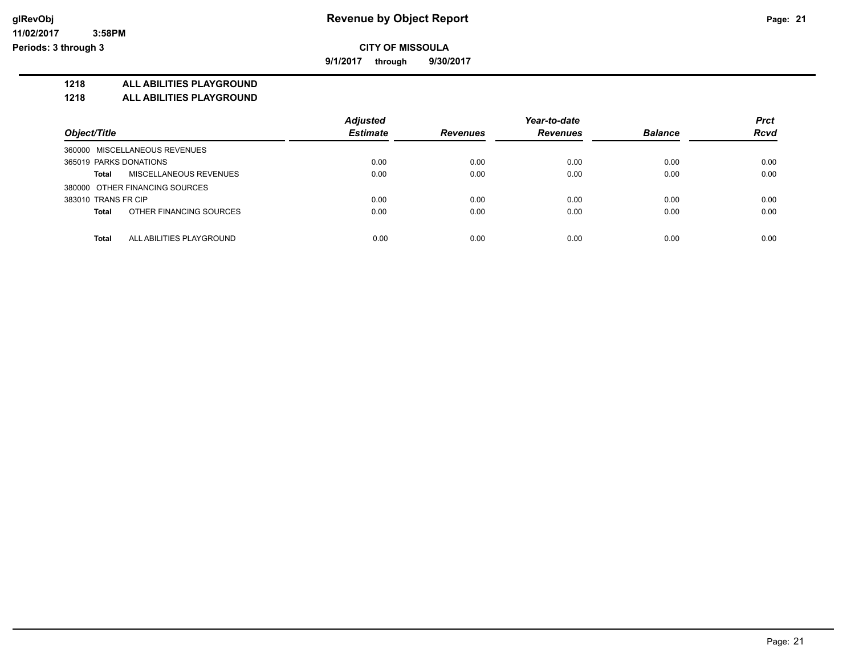**9/1/2017 through 9/30/2017**

**1218 ALL ABILITIES PLAYGROUND**

**1218 ALL ABILITIES PLAYGROUND**

|                                               | <b>Adjusted</b> |                 |                 | <b>Prct</b>    |             |
|-----------------------------------------------|-----------------|-----------------|-----------------|----------------|-------------|
| Object/Title                                  | <b>Estimate</b> | <b>Revenues</b> | <b>Revenues</b> | <b>Balance</b> | <b>Rcvd</b> |
| 360000 MISCELLANEOUS REVENUES                 |                 |                 |                 |                |             |
| 365019 PARKS DONATIONS                        | 0.00            | 0.00            | 0.00            | 0.00           | 0.00        |
| <b>MISCELLANEOUS REVENUES</b><br><b>Total</b> | 0.00            | 0.00            | 0.00            | 0.00           | 0.00        |
| 380000 OTHER FINANCING SOURCES                |                 |                 |                 |                |             |
| 383010 TRANS FR CIP                           | 0.00            | 0.00            | 0.00            | 0.00           | 0.00        |
| OTHER FINANCING SOURCES<br><b>Total</b>       | 0.00            | 0.00            | 0.00            | 0.00           | 0.00        |
|                                               |                 |                 |                 |                |             |
| ALL ABILITIES PLAYGROUND<br><b>Total</b>      | 0.00            | 0.00            | 0.00            | 0.00           | 0.00        |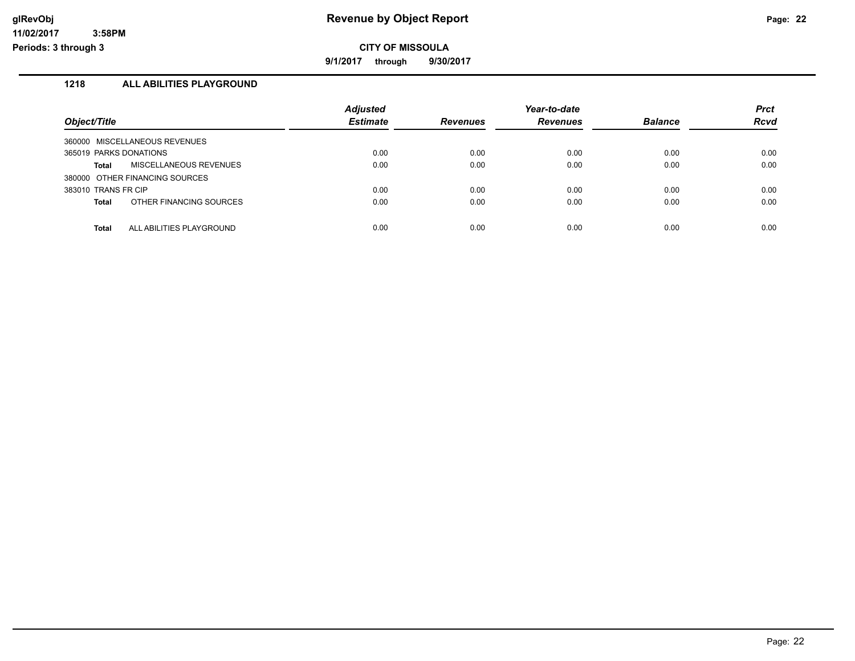**CITY OF MISSOULA**

**9/1/2017 through 9/30/2017**

## **1218 ALL ABILITIES PLAYGROUND**

 **3:58PM**

| Object/Title                             | <b>Adjusted</b><br><b>Estimate</b> | <b>Revenues</b> | Year-to-date<br><b>Revenues</b> | <b>Balance</b> | <b>Prct</b><br><b>Rcvd</b> |
|------------------------------------------|------------------------------------|-----------------|---------------------------------|----------------|----------------------------|
| 360000 MISCELLANEOUS REVENUES            |                                    |                 |                                 |                |                            |
| 365019 PARKS DONATIONS                   | 0.00                               | 0.00            | 0.00                            | 0.00           | 0.00                       |
| MISCELLANEOUS REVENUES<br>Total          | 0.00                               | 0.00            | 0.00                            | 0.00           | 0.00                       |
| 380000 OTHER FINANCING SOURCES           |                                    |                 |                                 |                |                            |
| 383010 TRANS FR CIP                      | 0.00                               | 0.00            | 0.00                            | 0.00           | 0.00                       |
| OTHER FINANCING SOURCES<br><b>Total</b>  | 0.00                               | 0.00            | 0.00                            | 0.00           | 0.00                       |
| ALL ABILITIES PLAYGROUND<br><b>Total</b> | 0.00                               | 0.00            | 0.00                            | 0.00           | 0.00                       |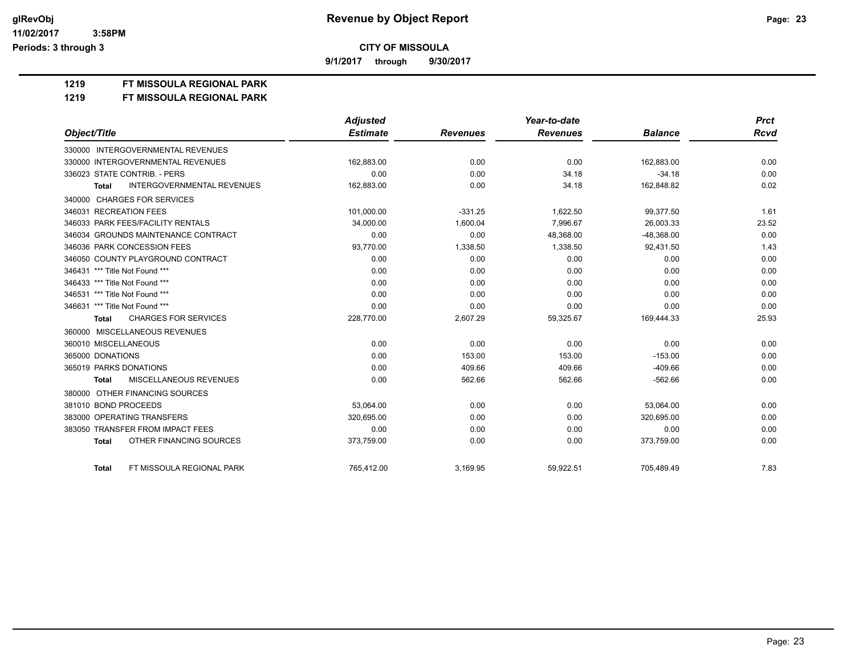**9/1/2017 through 9/30/2017**

**1219 FT MISSOULA REGIONAL PARK**

**1219 FT MISSOULA REGIONAL PARK**

|                                                   | <b>Adjusted</b> |                 | Year-to-date    |                | <b>Prct</b> |
|---------------------------------------------------|-----------------|-----------------|-----------------|----------------|-------------|
| Object/Title                                      | <b>Estimate</b> | <b>Revenues</b> | <b>Revenues</b> | <b>Balance</b> | <b>Rcvd</b> |
| 330000 INTERGOVERNMENTAL REVENUES                 |                 |                 |                 |                |             |
| 330000 INTERGOVERNMENTAL REVENUES                 | 162,883.00      | 0.00            | 0.00            | 162,883.00     | 0.00        |
| 336023 STATE CONTRIB. - PERS                      | 0.00            | 0.00            | 34.18           | $-34.18$       | 0.00        |
| <b>INTERGOVERNMENTAL REVENUES</b><br><b>Total</b> | 162,883.00      | 0.00            | 34.18           | 162,848.82     | 0.02        |
| 340000 CHARGES FOR SERVICES                       |                 |                 |                 |                |             |
| 346031 RECREATION FEES                            | 101,000.00      | $-331.25$       | 1,622.50        | 99,377.50      | 1.61        |
| 346033 PARK FEES/FACILITY RENTALS                 | 34,000.00       | 1,600.04        | 7,996.67        | 26,003.33      | 23.52       |
| 346034 GROUNDS MAINTENANCE CONTRACT               | 0.00            | 0.00            | 48,368.00       | $-48,368.00$   | 0.00        |
| 346036 PARK CONCESSION FEES                       | 93,770.00       | 1,338.50        | 1,338.50        | 92,431.50      | 1.43        |
| 346050 COUNTY PLAYGROUND CONTRACT                 | 0.00            | 0.00            | 0.00            | 0.00           | 0.00        |
| 346431 *** Title Not Found ***                    | 0.00            | 0.00            | 0.00            | 0.00           | 0.00        |
| 346433 *** Title Not Found ***                    | 0.00            | 0.00            | 0.00            | 0.00           | 0.00        |
| 346531 *** Title Not Found ***                    | 0.00            | 0.00            | 0.00            | 0.00           | 0.00        |
| 346631 *** Title Not Found ***                    | 0.00            | 0.00            | 0.00            | 0.00           | 0.00        |
| <b>CHARGES FOR SERVICES</b><br><b>Total</b>       | 228,770.00      | 2,607.29        | 59,325.67       | 169,444.33     | 25.93       |
| 360000 MISCELLANEOUS REVENUES                     |                 |                 |                 |                |             |
| 360010 MISCELLANEOUS                              | 0.00            | 0.00            | 0.00            | 0.00           | 0.00        |
| 365000 DONATIONS                                  | 0.00            | 153.00          | 153.00          | $-153.00$      | 0.00        |
| 365019 PARKS DONATIONS                            | 0.00            | 409.66          | 409.66          | $-409.66$      | 0.00        |
| MISCELLANEOUS REVENUES<br><b>Total</b>            | 0.00            | 562.66          | 562.66          | $-562.66$      | 0.00        |
| OTHER FINANCING SOURCES<br>380000                 |                 |                 |                 |                |             |
| 381010 BOND PROCEEDS                              | 53.064.00       | 0.00            | 0.00            | 53.064.00      | 0.00        |
| 383000 OPERATING TRANSFERS                        | 320.695.00      | 0.00            | 0.00            | 320.695.00     | 0.00        |
| 383050 TRANSFER FROM IMPACT FEES                  | 0.00            | 0.00            | 0.00            | 0.00           | 0.00        |
| OTHER FINANCING SOURCES<br><b>Total</b>           | 373,759.00      | 0.00            | 0.00            | 373,759.00     | 0.00        |
| FT MISSOULA REGIONAL PARK<br><b>Total</b>         | 765.412.00      | 3,169.95        | 59,922.51       | 705,489.49     | 7.83        |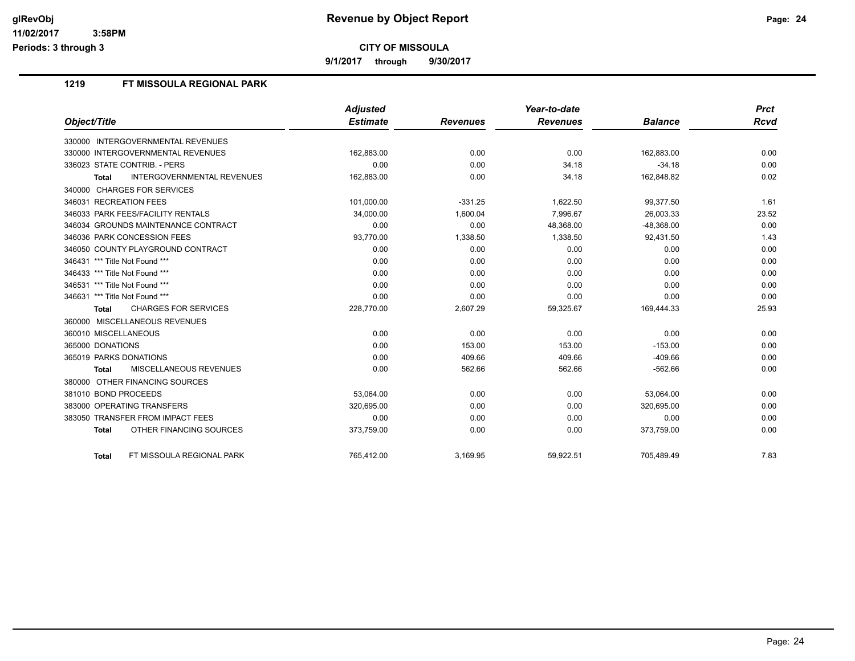**9/1/2017 through 9/30/2017**

# **1219 FT MISSOULA REGIONAL PARK**

|                                             | <b>Adjusted</b> |                 | Year-to-date    |                | <b>Prct</b> |
|---------------------------------------------|-----------------|-----------------|-----------------|----------------|-------------|
| Object/Title                                | <b>Estimate</b> | <b>Revenues</b> | <b>Revenues</b> | <b>Balance</b> | <b>Rcvd</b> |
| 330000 INTERGOVERNMENTAL REVENUES           |                 |                 |                 |                |             |
| 330000 INTERGOVERNMENTAL REVENUES           | 162,883.00      | 0.00            | 0.00            | 162,883.00     | 0.00        |
| 336023 STATE CONTRIB. - PERS                | 0.00            | 0.00            | 34.18           | $-34.18$       | 0.00        |
| INTERGOVERNMENTAL REVENUES<br><b>Total</b>  | 162,883.00      | 0.00            | 34.18           | 162,848.82     | 0.02        |
| 340000 CHARGES FOR SERVICES                 |                 |                 |                 |                |             |
| 346031 RECREATION FEES                      | 101,000.00      | $-331.25$       | 1,622.50        | 99,377.50      | 1.61        |
| 346033 PARK FEES/FACILITY RENTALS           | 34,000.00       | 1,600.04        | 7.996.67        | 26,003.33      | 23.52       |
| 346034 GROUNDS MAINTENANCE CONTRACT         | 0.00            | 0.00            | 48,368.00       | $-48,368.00$   | 0.00        |
| 346036 PARK CONCESSION FEES                 | 93,770.00       | 1,338.50        | 1,338.50        | 92,431.50      | 1.43        |
| 346050 COUNTY PLAYGROUND CONTRACT           | 0.00            | 0.00            | 0.00            | 0.00           | 0.00        |
| 346431 *** Title Not Found ***              | 0.00            | 0.00            | 0.00            | 0.00           | 0.00        |
| 346433 *** Title Not Found ***              | 0.00            | 0.00            | 0.00            | 0.00           | 0.00        |
| 346531 *** Title Not Found ***              | 0.00            | 0.00            | 0.00            | 0.00           | 0.00        |
| 346631 *** Title Not Found ***              | 0.00            | 0.00            | 0.00            | 0.00           | 0.00        |
| <b>CHARGES FOR SERVICES</b><br><b>Total</b> | 228,770.00      | 2,607.29        | 59,325.67       | 169,444.33     | 25.93       |
| 360000 MISCELLANEOUS REVENUES               |                 |                 |                 |                |             |
| 360010 MISCELLANEOUS                        | 0.00            | 0.00            | 0.00            | 0.00           | 0.00        |
| 365000 DONATIONS                            | 0.00            | 153.00          | 153.00          | $-153.00$      | 0.00        |
| 365019 PARKS DONATIONS                      | 0.00            | 409.66          | 409.66          | $-409.66$      | 0.00        |
| MISCELLANEOUS REVENUES<br><b>Total</b>      | 0.00            | 562.66          | 562.66          | $-562.66$      | 0.00        |
| OTHER FINANCING SOURCES<br>380000           |                 |                 |                 |                |             |
| 381010 BOND PROCEEDS                        | 53.064.00       | 0.00            | 0.00            | 53,064.00      | 0.00        |
| 383000 OPERATING TRANSFERS                  | 320,695.00      | 0.00            | 0.00            | 320,695.00     | 0.00        |
| 383050 TRANSFER FROM IMPACT FEES            | 0.00            | 0.00            | 0.00            | 0.00           | 0.00        |
| OTHER FINANCING SOURCES<br><b>Total</b>     | 373,759.00      | 0.00            | 0.00            | 373,759.00     | 0.00        |
| FT MISSOULA REGIONAL PARK<br><b>Total</b>   | 765,412.00      | 3,169.95        | 59,922.51       | 705,489.49     | 7.83        |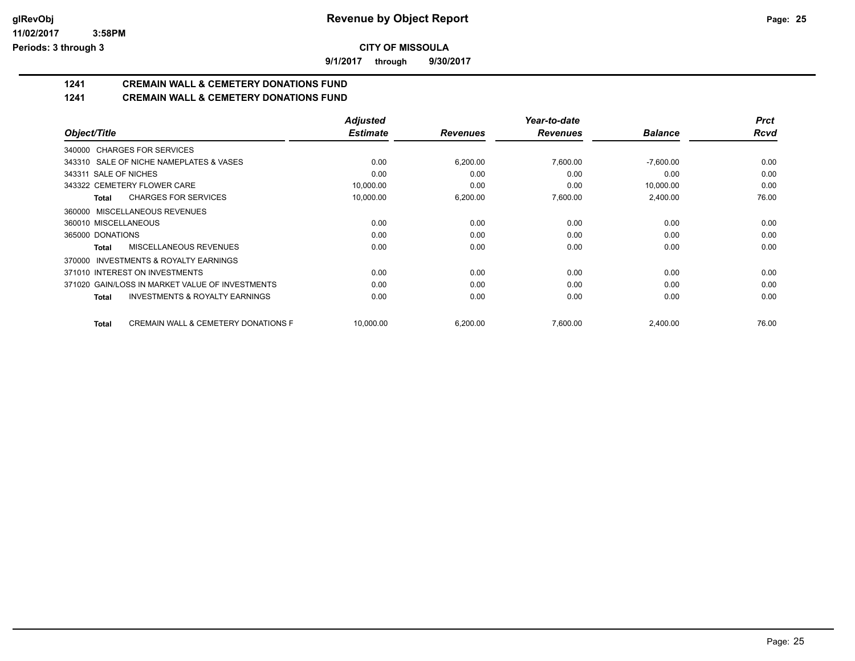**CITY OF MISSOULA**

**9/1/2017 through 9/30/2017**

# **1241 CREMAIN WALL & CEMETERY DONATIONS FUND**

# **1241 CREMAIN WALL & CEMETERY DONATIONS FUND**

|                                                                | <b>Adjusted</b> |                 | Year-to-date    |                | <b>Prct</b> |
|----------------------------------------------------------------|-----------------|-----------------|-----------------|----------------|-------------|
| Object/Title                                                   | <b>Estimate</b> | <b>Revenues</b> | <b>Revenues</b> | <b>Balance</b> | <b>Rcvd</b> |
| 340000 CHARGES FOR SERVICES                                    |                 |                 |                 |                |             |
| 343310 SALE OF NICHE NAMEPLATES & VASES                        | 0.00            | 6,200.00        | 7,600.00        | $-7,600.00$    | 0.00        |
| 343311 SALE OF NICHES                                          | 0.00            | 0.00            | 0.00            | 0.00           | 0.00        |
| 343322 CEMETERY FLOWER CARE                                    | 10,000.00       | 0.00            | 0.00            | 10,000.00      | 0.00        |
| <b>CHARGES FOR SERVICES</b><br>Total                           | 10,000.00       | 6,200.00        | 7,600.00        | 2,400.00       | 76.00       |
| MISCELLANEOUS REVENUES<br>360000                               |                 |                 |                 |                |             |
| 360010 MISCELLANEOUS                                           | 0.00            | 0.00            | 0.00            | 0.00           | 0.00        |
| 365000 DONATIONS                                               | 0.00            | 0.00            | 0.00            | 0.00           | 0.00        |
| MISCELLANEOUS REVENUES<br>Total                                | 0.00            | 0.00            | 0.00            | 0.00           | 0.00        |
| INVESTMENTS & ROYALTY EARNINGS<br>370000                       |                 |                 |                 |                |             |
| 371010 INTEREST ON INVESTMENTS                                 | 0.00            | 0.00            | 0.00            | 0.00           | 0.00        |
| 371020 GAIN/LOSS IN MARKET VALUE OF INVESTMENTS                | 0.00            | 0.00            | 0.00            | 0.00           | 0.00        |
| <b>INVESTMENTS &amp; ROYALTY EARNINGS</b><br>Total             | 0.00            | 0.00            | 0.00            | 0.00           | 0.00        |
| <b>CREMAIN WALL &amp; CEMETERY DONATIONS F</b><br><b>Total</b> | 10,000.00       | 6,200.00        | 7,600.00        | 2,400.00       | 76.00       |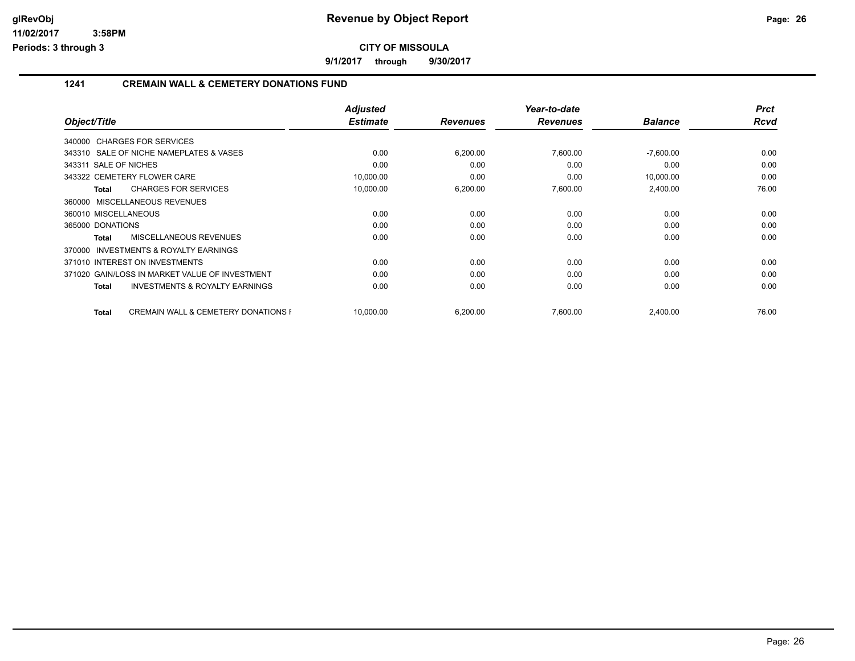**9/1/2017 through 9/30/2017**

# **1241 CREMAIN WALL & CEMETERY DONATIONS FUND**

| Object/Title                                              | <b>Adjusted</b><br><b>Estimate</b> | <b>Revenues</b> | Year-to-date<br><b>Revenues</b> | <b>Balance</b> | <b>Prct</b><br><b>Rcvd</b> |
|-----------------------------------------------------------|------------------------------------|-----------------|---------------------------------|----------------|----------------------------|
| 340000 CHARGES FOR SERVICES                               |                                    |                 |                                 |                |                            |
| 343310 SALE OF NICHE NAMEPLATES & VASES                   | 0.00                               | 6,200.00        | 7.600.00                        | $-7,600.00$    | 0.00                       |
| 343311 SALE OF NICHES                                     | 0.00                               | 0.00            | 0.00                            | 0.00           | 0.00                       |
| 343322 CEMETERY FLOWER CARE                               | 10,000.00                          | 0.00            | 0.00                            | 10,000.00      | 0.00                       |
| <b>CHARGES FOR SERVICES</b><br><b>Total</b>               | 10,000.00                          | 6,200.00        | 7,600.00                        | 2,400.00       | 76.00                      |
| 360000 MISCELLANEOUS REVENUES                             |                                    |                 |                                 |                |                            |
| 360010 MISCELLANEOUS                                      | 0.00                               | 0.00            | 0.00                            | 0.00           | 0.00                       |
| 365000 DONATIONS                                          | 0.00                               | 0.00            | 0.00                            | 0.00           | 0.00                       |
| <b>MISCELLANEOUS REVENUES</b><br><b>Total</b>             | 0.00                               | 0.00            | 0.00                            | 0.00           | 0.00                       |
| <b>INVESTMENTS &amp; ROYALTY EARNINGS</b><br>370000       |                                    |                 |                                 |                |                            |
| 371010 INTEREST ON INVESTMENTS                            | 0.00                               | 0.00            | 0.00                            | 0.00           | 0.00                       |
| 371020 GAIN/LOSS IN MARKET VALUE OF INVESTMENT            | 0.00                               | 0.00            | 0.00                            | 0.00           | 0.00                       |
| <b>INVESTMENTS &amp; ROYALTY EARNINGS</b><br><b>Total</b> | 0.00                               | 0.00            | 0.00                            | 0.00           | 0.00                       |
| <b>CREMAIN WALL &amp; CEMETERY DONATIONS F</b><br>Total   | 10,000.00                          | 6,200.00        | 7.600.00                        | 2,400.00       | 76.00                      |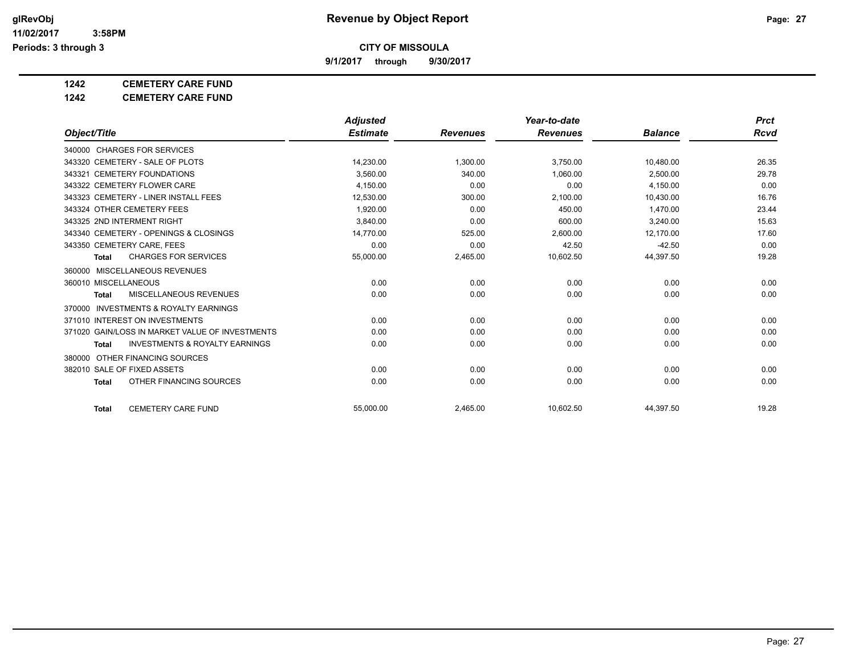**9/1/2017 through 9/30/2017**

#### **1242 CEMETERY CARE FUND**

**1242 CEMETERY CARE FUND**

|                                                           | <b>Adjusted</b> |                 | Year-to-date    |                | <b>Prct</b> |
|-----------------------------------------------------------|-----------------|-----------------|-----------------|----------------|-------------|
| Object/Title                                              | <b>Estimate</b> | <b>Revenues</b> | <b>Revenues</b> | <b>Balance</b> | Rcvd        |
| 340000 CHARGES FOR SERVICES                               |                 |                 |                 |                |             |
| 343320 CEMETERY - SALE OF PLOTS                           | 14,230.00       | 1,300.00        | 3,750.00        | 10,480.00      | 26.35       |
| 343321 CEMETERY FOUNDATIONS                               | 3.560.00        | 340.00          | 1.060.00        | 2.500.00       | 29.78       |
| 343322 CEMETERY FLOWER CARE                               | 4.150.00        | 0.00            | 0.00            | 4,150.00       | 0.00        |
| 343323 CEMETERY - LINER INSTALL FEES                      | 12,530.00       | 300.00          | 2,100.00        | 10,430.00      | 16.76       |
| 343324 OTHER CEMETERY FEES                                | 1.920.00        | 0.00            | 450.00          | 1.470.00       | 23.44       |
| 343325 2ND INTERMENT RIGHT                                | 3.840.00        | 0.00            | 600.00          | 3.240.00       | 15.63       |
| 343340 CEMETERY - OPENINGS & CLOSINGS                     | 14,770.00       | 525.00          | 2,600.00        | 12,170.00      | 17.60       |
| 343350 CEMETERY CARE, FEES                                | 0.00            | 0.00            | 42.50           | $-42.50$       | 0.00        |
| <b>CHARGES FOR SERVICES</b><br><b>Total</b>               | 55,000.00       | 2,465.00        | 10,602.50       | 44,397.50      | 19.28       |
| 360000 MISCELLANEOUS REVENUES                             |                 |                 |                 |                |             |
| 360010 MISCELLANEOUS                                      | 0.00            | 0.00            | 0.00            | 0.00           | 0.00        |
| MISCELLANEOUS REVENUES<br><b>Total</b>                    | 0.00            | 0.00            | 0.00            | 0.00           | 0.00        |
| INVESTMENTS & ROYALTY EARNINGS<br>370000                  |                 |                 |                 |                |             |
| 371010 INTEREST ON INVESTMENTS                            | 0.00            | 0.00            | 0.00            | 0.00           | 0.00        |
| 371020 GAIN/LOSS IN MARKET VALUE OF INVESTMENTS           | 0.00            | 0.00            | 0.00            | 0.00           | 0.00        |
| <b>INVESTMENTS &amp; ROYALTY EARNINGS</b><br><b>Total</b> | 0.00            | 0.00            | 0.00            | 0.00           | 0.00        |
| 380000 OTHER FINANCING SOURCES                            |                 |                 |                 |                |             |
| 382010 SALE OF FIXED ASSETS                               | 0.00            | 0.00            | 0.00            | 0.00           | 0.00        |
| OTHER FINANCING SOURCES<br>Total                          | 0.00            | 0.00            | 0.00            | 0.00           | 0.00        |
| <b>CEMETERY CARE FUND</b><br><b>Total</b>                 | 55.000.00       | 2.465.00        | 10.602.50       | 44.397.50      | 19.28       |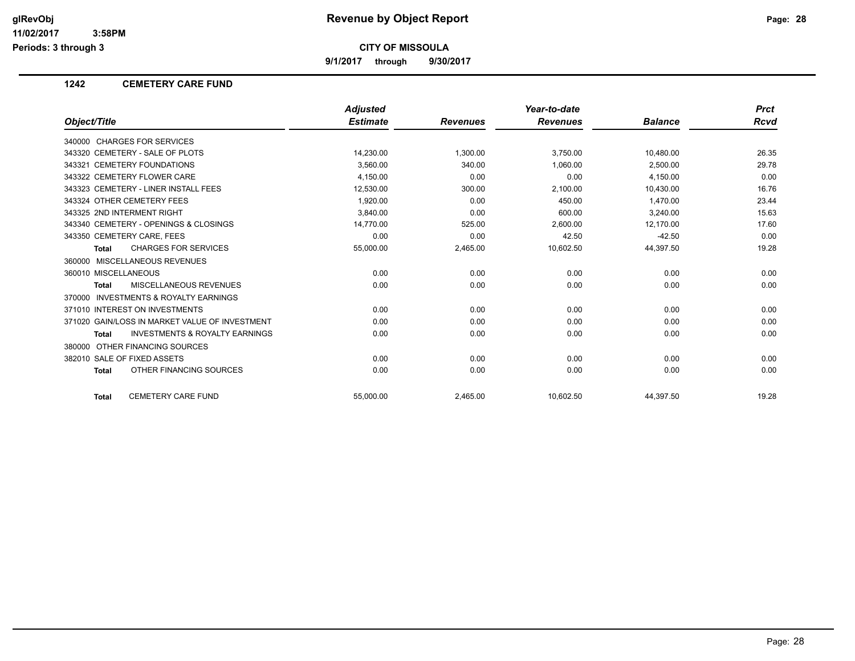**9/1/2017 through 9/30/2017**

#### **1242 CEMETERY CARE FUND**

|                                                           | <b>Adjusted</b> |                 | Year-to-date    |                | <b>Prct</b> |
|-----------------------------------------------------------|-----------------|-----------------|-----------------|----------------|-------------|
| Object/Title                                              | <b>Estimate</b> | <b>Revenues</b> | <b>Revenues</b> | <b>Balance</b> | Rcvd        |
| 340000 CHARGES FOR SERVICES                               |                 |                 |                 |                |             |
| 343320 CEMETERY - SALE OF PLOTS                           | 14,230.00       | 1,300.00        | 3,750.00        | 10,480.00      | 26.35       |
| 343321 CEMETERY FOUNDATIONS                               | 3,560.00        | 340.00          | 1,060.00        | 2,500.00       | 29.78       |
| 343322 CEMETERY FLOWER CARE                               | 4,150.00        | 0.00            | 0.00            | 4,150.00       | 0.00        |
| 343323 CEMETERY - LINER INSTALL FEES                      | 12,530.00       | 300.00          | 2.100.00        | 10,430.00      | 16.76       |
| 343324 OTHER CEMETERY FEES                                | 1.920.00        | 0.00            | 450.00          | 1.470.00       | 23.44       |
| 343325 2ND INTERMENT RIGHT                                | 3,840.00        | 0.00            | 600.00          | 3,240.00       | 15.63       |
| 343340 CEMETERY - OPENINGS & CLOSINGS                     | 14.770.00       | 525.00          | 2.600.00        | 12.170.00      | 17.60       |
| 343350 CEMETERY CARE, FEES                                | 0.00            | 0.00            | 42.50           | $-42.50$       | 0.00        |
| <b>CHARGES FOR SERVICES</b><br><b>Total</b>               | 55,000.00       | 2,465.00        | 10,602.50       | 44,397.50      | 19.28       |
| 360000 MISCELLANEOUS REVENUES                             |                 |                 |                 |                |             |
| 360010 MISCELLANEOUS                                      | 0.00            | 0.00            | 0.00            | 0.00           | 0.00        |
| <b>MISCELLANEOUS REVENUES</b><br><b>Total</b>             | 0.00            | 0.00            | 0.00            | 0.00           | 0.00        |
| 370000 INVESTMENTS & ROYALTY EARNINGS                     |                 |                 |                 |                |             |
| 371010 INTEREST ON INVESTMENTS                            | 0.00            | 0.00            | 0.00            | 0.00           | 0.00        |
| 371020 GAIN/LOSS IN MARKET VALUE OF INVESTMENT            | 0.00            | 0.00            | 0.00            | 0.00           | 0.00        |
| <b>INVESTMENTS &amp; ROYALTY EARNINGS</b><br><b>Total</b> | 0.00            | 0.00            | 0.00            | 0.00           | 0.00        |
| 380000 OTHER FINANCING SOURCES                            |                 |                 |                 |                |             |
| 382010 SALE OF FIXED ASSETS                               | 0.00            | 0.00            | 0.00            | 0.00           | 0.00        |
| OTHER FINANCING SOURCES<br><b>Total</b>                   | 0.00            | 0.00            | 0.00            | 0.00           | 0.00        |
| <b>CEMETERY CARE FUND</b><br><b>Total</b>                 | 55.000.00       | 2,465.00        | 10,602.50       | 44,397.50      | 19.28       |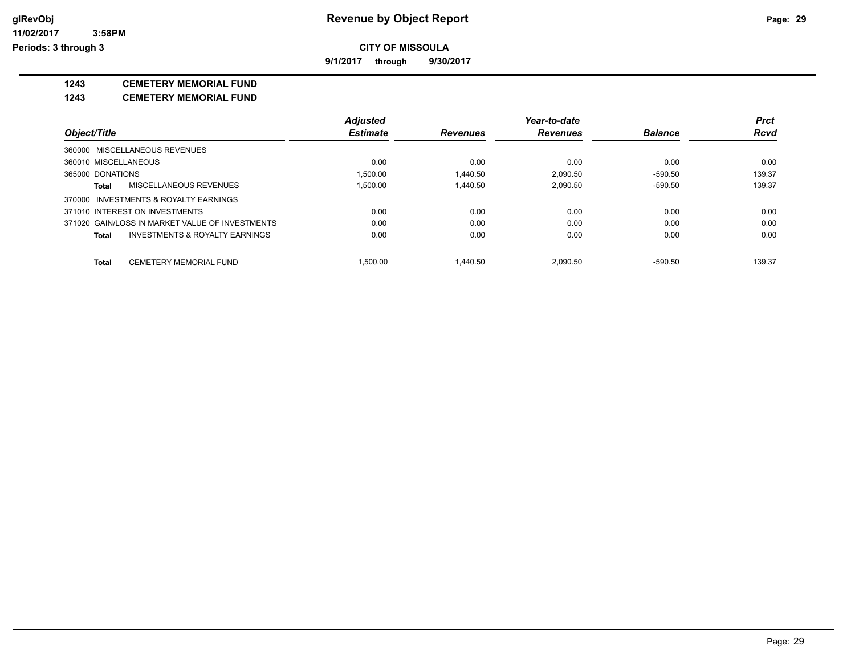**9/1/2017 through 9/30/2017**

# **1243 CEMETERY MEMORIAL FUND**

**1243 CEMETERY MEMORIAL FUND**

|                                                           | <b>Adjusted</b> |                 | Year-to-date    |                | <b>Prct</b> |
|-----------------------------------------------------------|-----------------|-----------------|-----------------|----------------|-------------|
| Object/Title                                              | <b>Estimate</b> | <b>Revenues</b> | <b>Revenues</b> | <b>Balance</b> | Rcvd        |
| 360000 MISCELLANEOUS REVENUES                             |                 |                 |                 |                |             |
| 360010 MISCELLANEOUS                                      | 0.00            | 0.00            | 0.00            | 0.00           | 0.00        |
| 365000 DONATIONS                                          | 1.500.00        | 1.440.50        | 2.090.50        | $-590.50$      | 139.37      |
| MISCELLANEOUS REVENUES<br>Total                           | 1.500.00        | 1.440.50        | 2,090.50        | $-590.50$      | 139.37      |
| 370000 INVESTMENTS & ROYALTY EARNINGS                     |                 |                 |                 |                |             |
| 371010 INTEREST ON INVESTMENTS                            | 0.00            | 0.00            | 0.00            | 0.00           | 0.00        |
| 371020 GAIN/LOSS IN MARKET VALUE OF INVESTMENTS           | 0.00            | 0.00            | 0.00            | 0.00           | 0.00        |
| <b>INVESTMENTS &amp; ROYALTY EARNINGS</b><br><b>Total</b> | 0.00            | 0.00            | 0.00            | 0.00           | 0.00        |
| <b>CEMETERY MEMORIAL FUND</b><br>Total                    | 1.500.00        | .440.50         | 2.090.50        | $-590.50$      | 139.37      |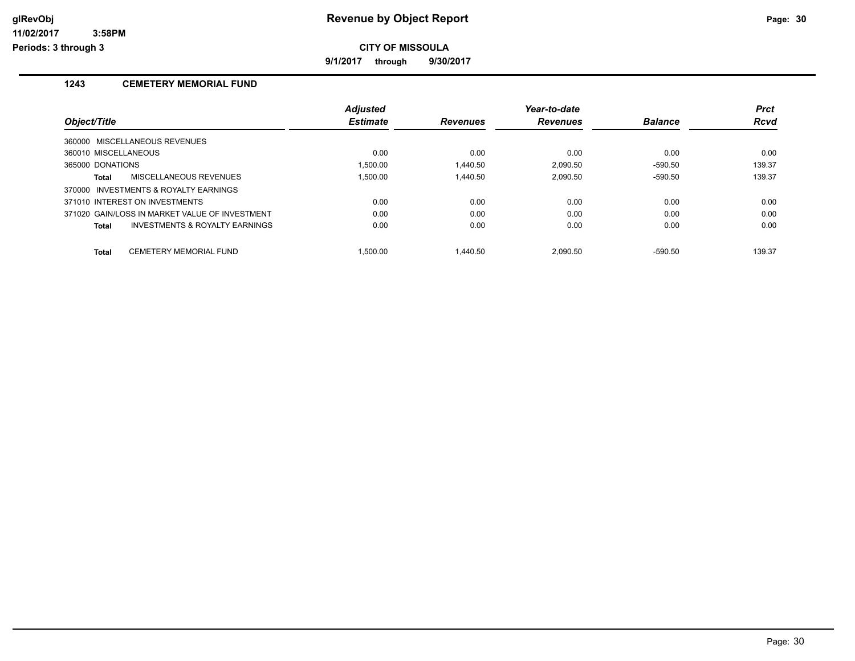**CITY OF MISSOULA**

**9/1/2017 through 9/30/2017**

# **1243 CEMETERY MEMORIAL FUND**

 **3:58PM**

|                      |                                                | <b>Adjusted</b> |                 | Year-to-date    |                | <b>Prct</b> |
|----------------------|------------------------------------------------|-----------------|-----------------|-----------------|----------------|-------------|
| Object/Title         |                                                | <b>Estimate</b> | <b>Revenues</b> | <b>Revenues</b> | <b>Balance</b> | <b>Rcvd</b> |
|                      | 360000 MISCELLANEOUS REVENUES                  |                 |                 |                 |                |             |
| 360010 MISCELLANEOUS |                                                | 0.00            | 0.00            | 0.00            | 0.00           | 0.00        |
| 365000 DONATIONS     |                                                | 1.500.00        | 1.440.50        | 2.090.50        | $-590.50$      | 139.37      |
| Total                | MISCELLANEOUS REVENUES                         | 1.500.00        | 1.440.50        | 2.090.50        | $-590.50$      | 139.37      |
|                      | 370000 INVESTMENTS & ROYALTY EARNINGS          |                 |                 |                 |                |             |
|                      | 371010 INTEREST ON INVESTMENTS                 | 0.00            | 0.00            | 0.00            | 0.00           | 0.00        |
|                      | 371020 GAIN/LOSS IN MARKET VALUE OF INVESTMENT | 0.00            | 0.00            | 0.00            | 0.00           | 0.00        |
| <b>Total</b>         | INVESTMENTS & ROYALTY EARNINGS                 | 0.00            | 0.00            | 0.00            | 0.00           | 0.00        |
| <b>Total</b>         | <b>CEMETERY MEMORIAL FUND</b>                  | 1.500.00        | 1.440.50        | 2.090.50        | $-590.50$      | 139.37      |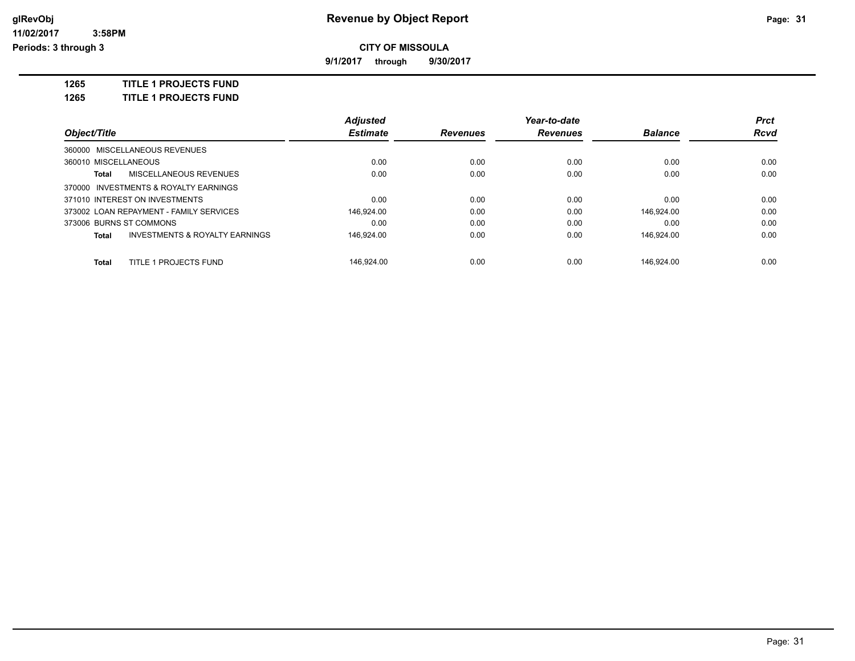**9/1/2017 through 9/30/2017**

**1265 TITLE 1 PROJECTS FUND**

**1265 TITLE 1 PROJECTS FUND**

|                         |                                           | <b>Adjusted</b> |                 | Year-to-date    |                | <b>Prct</b> |
|-------------------------|-------------------------------------------|-----------------|-----------------|-----------------|----------------|-------------|
| Object/Title            |                                           | <b>Estimate</b> | <b>Revenues</b> | <b>Revenues</b> | <b>Balance</b> | Rcvd        |
|                         | 360000 MISCELLANEOUS REVENUES             |                 |                 |                 |                |             |
| 360010 MISCELLANEOUS    |                                           | 0.00            | 0.00            | 0.00            | 0.00           | 0.00        |
| Total                   | MISCELLANEOUS REVENUES                    | 0.00            | 0.00            | 0.00            | 0.00           | 0.00        |
|                         | 370000 INVESTMENTS & ROYALTY EARNINGS     |                 |                 |                 |                |             |
|                         | 371010 INTEREST ON INVESTMENTS            | 0.00            | 0.00            | 0.00            | 0.00           | 0.00        |
|                         | 373002 LOAN REPAYMENT - FAMILY SERVICES   | 146.924.00      | 0.00            | 0.00            | 146.924.00     | 0.00        |
| 373006 BURNS ST COMMONS |                                           | 0.00            | 0.00            | 0.00            | 0.00           | 0.00        |
| Total                   | <b>INVESTMENTS &amp; ROYALTY EARNINGS</b> | 146,924.00      | 0.00            | 0.00            | 146,924.00     | 0.00        |
| Total                   | TITLE 1 PROJECTS FUND                     | 146.924.00      | 0.00            | 0.00            | 146.924.00     | 0.00        |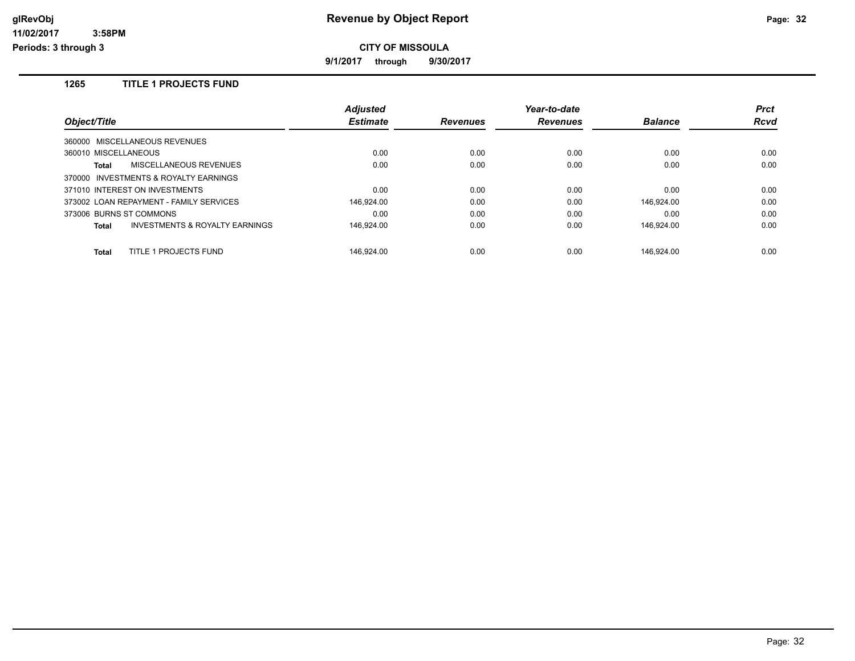**CITY OF MISSOULA**

**9/1/2017 through 9/30/2017**

# **1265 TITLE 1 PROJECTS FUND**

 **3:58PM**

|                                                | <b>Adjusted</b> |                 | Year-to-date    |                | <b>Prct</b> |
|------------------------------------------------|-----------------|-----------------|-----------------|----------------|-------------|
| Object/Title                                   | <b>Estimate</b> | <b>Revenues</b> | <b>Revenues</b> | <b>Balance</b> | <b>Rcvd</b> |
| 360000 MISCELLANEOUS REVENUES                  |                 |                 |                 |                |             |
| 360010 MISCELLANEOUS                           | 0.00            | 0.00            | 0.00            | 0.00           | 0.00        |
| <b>MISCELLANEOUS REVENUES</b><br><b>Total</b>  | 0.00            | 0.00            | 0.00            | 0.00           | 0.00        |
| 370000 INVESTMENTS & ROYALTY EARNINGS          |                 |                 |                 |                |             |
| 371010 INTEREST ON INVESTMENTS                 | 0.00            | 0.00            | 0.00            | 0.00           | 0.00        |
| 373002 LOAN REPAYMENT - FAMILY SERVICES        | 146.924.00      | 0.00            | 0.00            | 146.924.00     | 0.00        |
| 373006 BURNS ST COMMONS                        | 0.00            | 0.00            | 0.00            | 0.00           | 0.00        |
| INVESTMENTS & ROYALTY EARNINGS<br><b>Total</b> | 146.924.00      | 0.00            | 0.00            | 146.924.00     | 0.00        |
| TITLE 1 PROJECTS FUND<br><b>Total</b>          | 146.924.00      | 0.00            | 0.00            | 146.924.00     | 0.00        |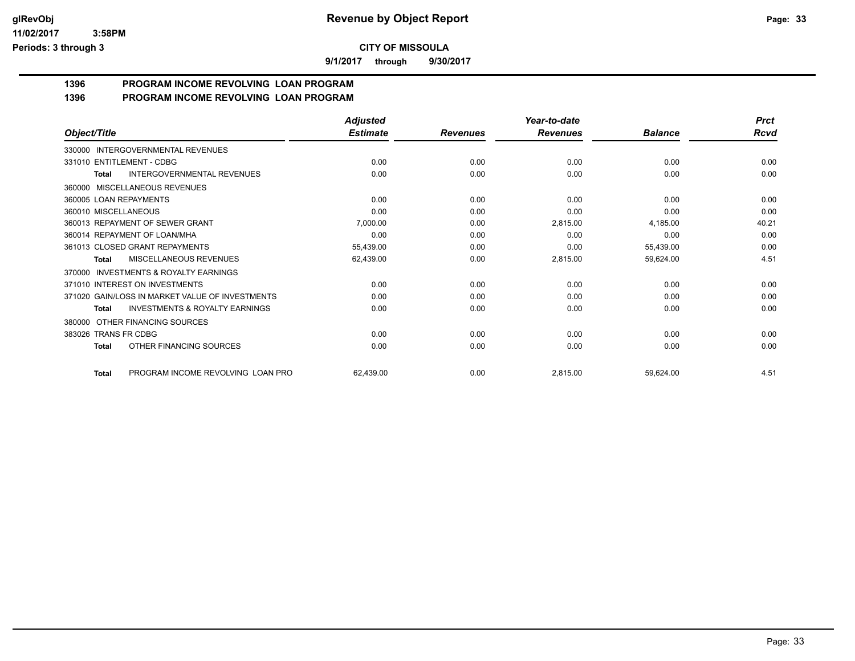*Prct Rcvd*

**CITY OF MISSOULA**

**9/1/2017 through 9/30/2017**

#### **1396 PROGRAM INCOME REVOLVING LOAN PROGRAM 1396 PROGRAM INCOME REVOLVING LOAN PROGRAM**

|                                     | <b>Adjusted</b> |                 | Year-to-date    |                | <b>Prct</b> |
|-------------------------------------|-----------------|-----------------|-----------------|----------------|-------------|
| Object/Title                        | <b>Estimate</b> | <b>Revenues</b> | <b>Revenues</b> | <b>Balance</b> | Rcva        |
| 330000 INTERGOVERNMENTAL REVENUES   |                 |                 |                 |                |             |
| 331010 ENTITLEMENT - CDBG           | 0.00            | 0.00            | 0.00            | 0.00           | 0.00        |
| INTERGOVERNMENTAL REVENUES<br>Total | 0.00            | 0.00            | 0.00            | 0.00           | 0.00        |
| MISCELLANEOUS REVENUES<br>360000    |                 |                 |                 |                |             |
| 360005 LOAN REPAYMENTS              | 0.00            | 0.00            | 0.00            | 0.00           | 0.00        |
| 360010 MISCELLANEOUS                | 0.00            | 0.00            | 0.00            | 0.00           | 0.00        |

| Total        | INTERGOVERNMENTAL REVENUES                      | 0.00      | 0.00 | 0.00     | 0.00      | 0.00  |
|--------------|-------------------------------------------------|-----------|------|----------|-----------|-------|
|              | 360000 MISCELLANEOUS REVENUES                   |           |      |          |           |       |
|              | 360005 LOAN REPAYMENTS                          | 0.00      | 0.00 | 0.00     | 0.00      | 0.00  |
|              | 360010 MISCELLANEOUS                            | 0.00      | 0.00 | 0.00     | 0.00      | 0.00  |
|              | 360013 REPAYMENT OF SEWER GRANT                 | 7,000.00  | 0.00 | 2,815.00 | 4,185.00  | 40.21 |
|              | 360014 REPAYMENT OF LOAN/MHA                    | 0.00      | 0.00 | 0.00     | 0.00      | 0.00  |
|              | 361013 CLOSED GRANT REPAYMENTS                  | 55,439.00 | 0.00 | 0.00     | 55,439.00 | 0.00  |
| Total        | MISCELLANEOUS REVENUES                          | 62,439.00 | 0.00 | 2,815.00 | 59,624.00 | 4.51  |
|              | 370000 INVESTMENTS & ROYALTY EARNINGS           |           |      |          |           |       |
|              | 371010 INTEREST ON INVESTMENTS                  | 0.00      | 0.00 | 0.00     | 0.00      | 0.00  |
|              | 371020 GAIN/LOSS IN MARKET VALUE OF INVESTMENTS | 0.00      | 0.00 | 0.00     | 0.00      | 0.00  |
| Total        | <b>INVESTMENTS &amp; ROYALTY EARNINGS</b>       | 0.00      | 0.00 | 0.00     | 0.00      | 0.00  |
|              | 380000 OTHER FINANCING SOURCES                  |           |      |          |           |       |
|              | 383026 TRANS FR CDBG                            | 0.00      | 0.00 | 0.00     | 0.00      | 0.00  |
| Total        | OTHER FINANCING SOURCES                         | 0.00      | 0.00 | 0.00     | 0.00      | 0.00  |
| <b>Total</b> | PROGRAM INCOME REVOLVING LOAN PRO               | 62,439.00 | 0.00 | 2,815.00 | 59,624.00 | 4.51  |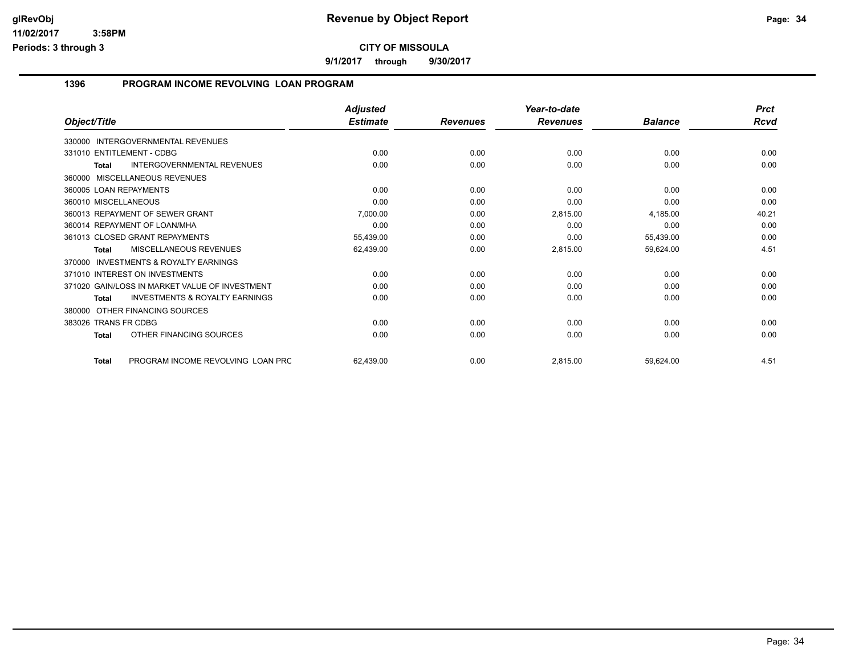**CITY OF MISSOULA**

**9/1/2017 through 9/30/2017**

#### **1396 PROGRAM INCOME REVOLVING LOAN PROGRAM**

|                                                     | <b>Adjusted</b> |                 | Year-to-date    |                | <b>Prct</b> |
|-----------------------------------------------------|-----------------|-----------------|-----------------|----------------|-------------|
| Object/Title                                        | <b>Estimate</b> | <b>Revenues</b> | <b>Revenues</b> | <b>Balance</b> | Rcvd        |
| 330000 INTERGOVERNMENTAL REVENUES                   |                 |                 |                 |                |             |
| 331010 ENTITLEMENT - CDBG                           | 0.00            | 0.00            | 0.00            | 0.00           | 0.00        |
| <b>INTERGOVERNMENTAL REVENUES</b><br>Total          | 0.00            | 0.00            | 0.00            | 0.00           | 0.00        |
| 360000 MISCELLANEOUS REVENUES                       |                 |                 |                 |                |             |
| 360005 LOAN REPAYMENTS                              | 0.00            | 0.00            | 0.00            | 0.00           | 0.00        |
| 360010 MISCELLANEOUS                                | 0.00            | 0.00            | 0.00            | 0.00           | 0.00        |
| 360013 REPAYMENT OF SEWER GRANT                     | 7,000.00        | 0.00            | 2,815.00        | 4,185.00       | 40.21       |
| 360014 REPAYMENT OF LOAN/MHA                        | 0.00            | 0.00            | 0.00            | 0.00           | 0.00        |
| 361013 CLOSED GRANT REPAYMENTS                      | 55,439.00       | 0.00            | 0.00            | 55,439.00      | 0.00        |
| MISCELLANEOUS REVENUES<br><b>Total</b>              | 62,439.00       | 0.00            | 2,815.00        | 59,624.00      | 4.51        |
| <b>INVESTMENTS &amp; ROYALTY EARNINGS</b><br>370000 |                 |                 |                 |                |             |
| 371010 INTEREST ON INVESTMENTS                      | 0.00            | 0.00            | 0.00            | 0.00           | 0.00        |
| 371020 GAIN/LOSS IN MARKET VALUE OF INVESTMENT      | 0.00            | 0.00            | 0.00            | 0.00           | 0.00        |
| <b>INVESTMENTS &amp; ROYALTY EARNINGS</b><br>Total  | 0.00            | 0.00            | 0.00            | 0.00           | 0.00        |
| 380000 OTHER FINANCING SOURCES                      |                 |                 |                 |                |             |
| 383026 TRANS FR CDBG                                | 0.00            | 0.00            | 0.00            | 0.00           | 0.00        |
| OTHER FINANCING SOURCES<br><b>Total</b>             | 0.00            | 0.00            | 0.00            | 0.00           | 0.00        |
| PROGRAM INCOME REVOLVING LOAN PRC<br><b>Total</b>   | 62,439.00       | 0.00            | 2,815.00        | 59,624.00      | 4.51        |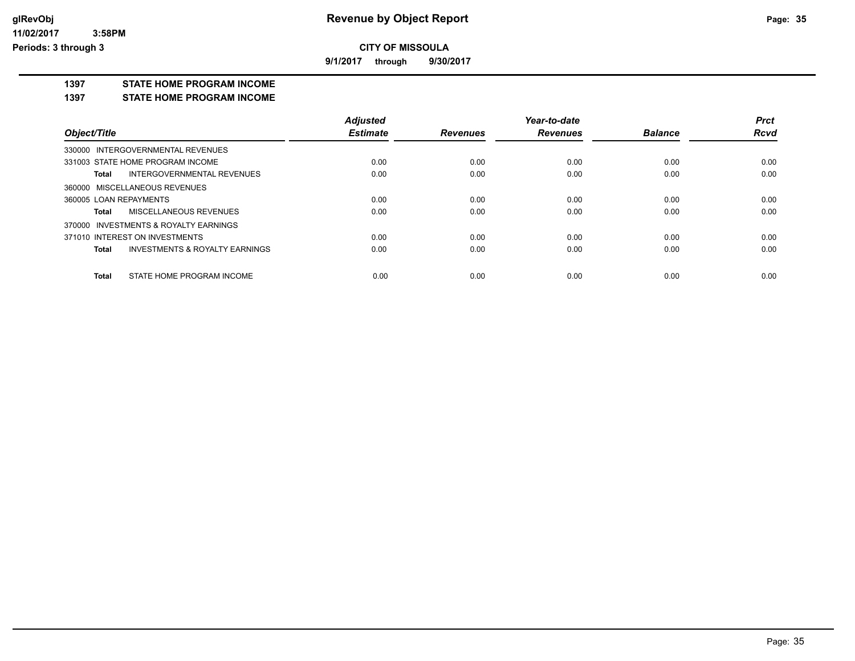**CITY OF MISSOULA**

**9/1/2017 through 9/30/2017**

# **1397 STATE HOME PROGRAM INCOME**

 **3:58PM**

#### **1397 STATE HOME PROGRAM INCOME**

|                                                           | <b>Adjusted</b> |                 | Year-to-date    |                | <b>Prct</b> |
|-----------------------------------------------------------|-----------------|-----------------|-----------------|----------------|-------------|
| Object/Title                                              | <b>Estimate</b> | <b>Revenues</b> | <b>Revenues</b> | <b>Balance</b> | <b>Rcvd</b> |
| 330000 INTERGOVERNMENTAL REVENUES                         |                 |                 |                 |                |             |
| 331003 STATE HOME PROGRAM INCOME                          | 0.00            | 0.00            | 0.00            | 0.00           | 0.00        |
| INTERGOVERNMENTAL REVENUES<br>Total                       | 0.00            | 0.00            | 0.00            | 0.00           | 0.00        |
| 360000 MISCELLANEOUS REVENUES                             |                 |                 |                 |                |             |
| 360005 LOAN REPAYMENTS                                    | 0.00            | 0.00            | 0.00            | 0.00           | 0.00        |
| <b>MISCELLANEOUS REVENUES</b><br>Total                    | 0.00            | 0.00            | 0.00            | 0.00           | 0.00        |
| 370000 INVESTMENTS & ROYALTY EARNINGS                     |                 |                 |                 |                |             |
| 371010 INTEREST ON INVESTMENTS                            | 0.00            | 0.00            | 0.00            | 0.00           | 0.00        |
| <b>INVESTMENTS &amp; ROYALTY EARNINGS</b><br><b>Total</b> | 0.00            | 0.00            | 0.00            | 0.00           | 0.00        |
|                                                           |                 |                 |                 |                |             |
| STATE HOME PROGRAM INCOME<br><b>Total</b>                 | 0.00            | 0.00            | 0.00            | 0.00           | 0.00        |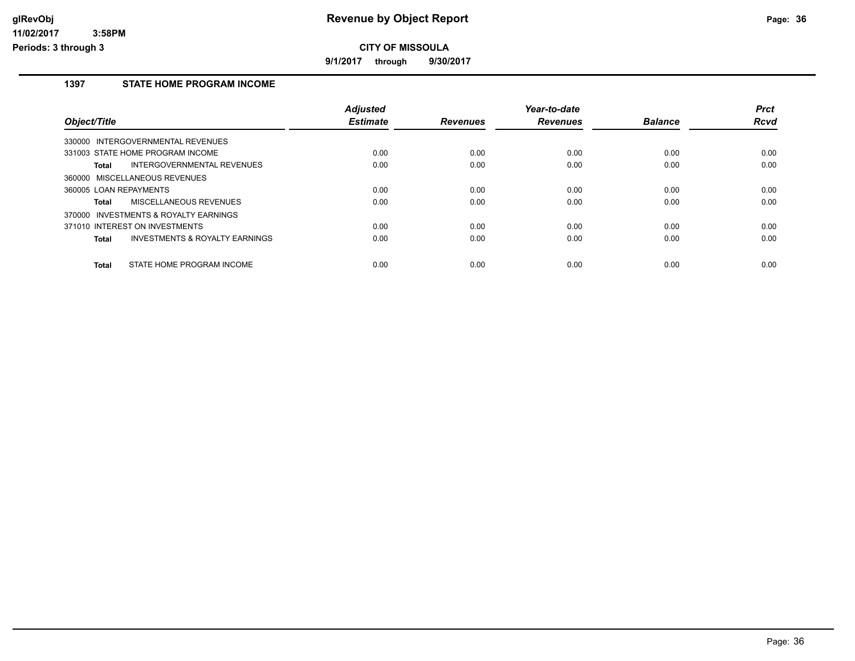**CITY OF MISSOULA**

**9/1/2017 through 9/30/2017**

## **1397 STATE HOME PROGRAM INCOME**

| Object/Title                                              | <b>Adjusted</b><br><b>Estimate</b> | <b>Revenues</b> | Year-to-date<br><b>Revenues</b> | <b>Balance</b> | <b>Prct</b><br><b>Rcvd</b> |
|-----------------------------------------------------------|------------------------------------|-----------------|---------------------------------|----------------|----------------------------|
| INTERGOVERNMENTAL REVENUES<br>330000                      |                                    |                 |                                 |                |                            |
| 331003 STATE HOME PROGRAM INCOME                          | 0.00                               | 0.00            | 0.00                            | 0.00           | 0.00                       |
| INTERGOVERNMENTAL REVENUES<br><b>Total</b>                | 0.00                               | 0.00            | 0.00                            | 0.00           | 0.00                       |
| MISCELLANEOUS REVENUES<br>360000                          |                                    |                 |                                 |                |                            |
| 360005 LOAN REPAYMENTS                                    | 0.00                               | 0.00            | 0.00                            | 0.00           | 0.00                       |
| <b>MISCELLANEOUS REVENUES</b><br><b>Total</b>             | 0.00                               | 0.00            | 0.00                            | 0.00           | 0.00                       |
| INVESTMENTS & ROYALTY EARNINGS<br>370000                  |                                    |                 |                                 |                |                            |
| 371010 INTEREST ON INVESTMENTS                            | 0.00                               | 0.00            | 0.00                            | 0.00           | 0.00                       |
| <b>INVESTMENTS &amp; ROYALTY EARNINGS</b><br><b>Total</b> | 0.00                               | 0.00            | 0.00                            | 0.00           | 0.00                       |
| STATE HOME PROGRAM INCOME<br><b>Total</b>                 | 0.00                               | 0.00            | 0.00                            | 0.00           | 0.00                       |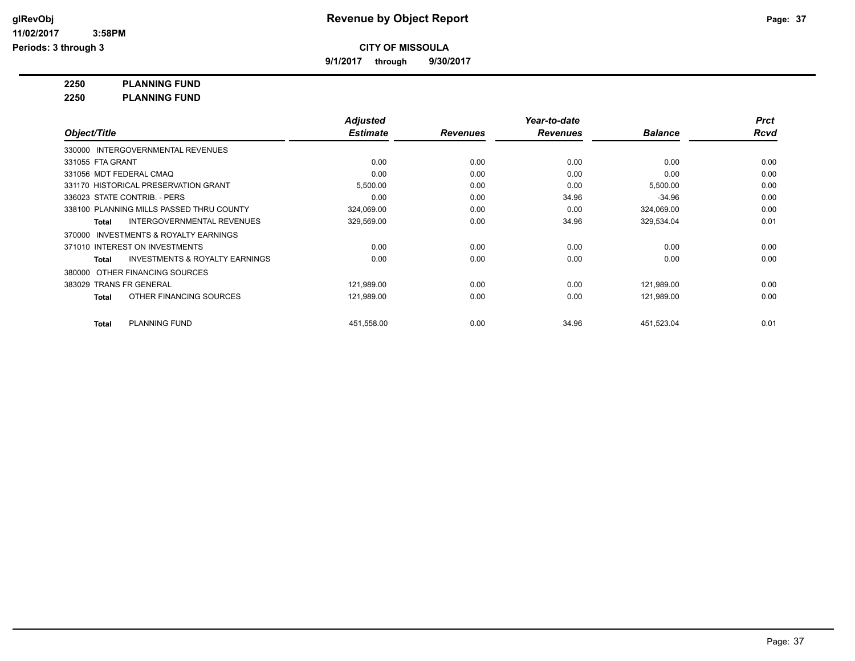**9/1/2017 through 9/30/2017**

#### **2250 PLANNING FUND**

**2250 PLANNING FUND**

|                                                    | <b>Adjusted</b> |                 | Year-to-date    |                | <b>Prct</b> |
|----------------------------------------------------|-----------------|-----------------|-----------------|----------------|-------------|
| Object/Title                                       | <b>Estimate</b> | <b>Revenues</b> | <b>Revenues</b> | <b>Balance</b> | <b>Rcvd</b> |
| 330000 INTERGOVERNMENTAL REVENUES                  |                 |                 |                 |                |             |
| 331055 FTA GRANT                                   | 0.00            | 0.00            | 0.00            | 0.00           | 0.00        |
| 331056 MDT FEDERAL CMAQ                            | 0.00            | 0.00            | 0.00            | 0.00           | 0.00        |
| 331170 HISTORICAL PRESERVATION GRANT               | 5,500.00        | 0.00            | 0.00            | 5,500.00       | 0.00        |
| 336023 STATE CONTRIB. - PERS                       | 0.00            | 0.00            | 34.96           | $-34.96$       | 0.00        |
| 338100 PLANNING MILLS PASSED THRU COUNTY           | 324,069.00      | 0.00            | 0.00            | 324,069.00     | 0.00        |
| <b>INTERGOVERNMENTAL REVENUES</b><br>Total         | 329,569.00      | 0.00            | 34.96           | 329,534.04     | 0.01        |
| 370000 INVESTMENTS & ROYALTY EARNINGS              |                 |                 |                 |                |             |
| 371010 INTEREST ON INVESTMENTS                     | 0.00            | 0.00            | 0.00            | 0.00           | 0.00        |
| <b>INVESTMENTS &amp; ROYALTY EARNINGS</b><br>Total | 0.00            | 0.00            | 0.00            | 0.00           | 0.00        |
| OTHER FINANCING SOURCES<br>380000                  |                 |                 |                 |                |             |
| 383029 TRANS FR GENERAL                            | 121,989.00      | 0.00            | 0.00            | 121,989.00     | 0.00        |
| OTHER FINANCING SOURCES<br>Total                   | 121,989.00      | 0.00            | 0.00            | 121,989.00     | 0.00        |
|                                                    |                 |                 |                 |                |             |
| <b>PLANNING FUND</b><br>Total                      | 451,558.00      | 0.00            | 34.96           | 451,523.04     | 0.01        |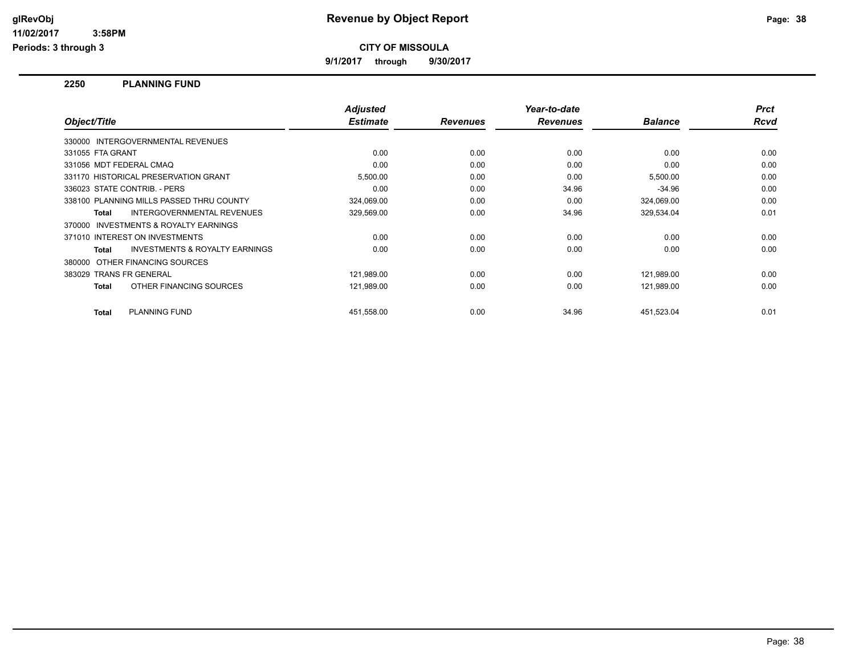**11/02/2017 3:58PM Periods: 3 through 3**

**CITY OF MISSOULA**

**9/1/2017 through 9/30/2017**

#### **2250 PLANNING FUND**

| Object/Title                                        | <b>Adjusted</b><br><b>Estimate</b> | <b>Revenues</b> | Year-to-date<br><b>Revenues</b> | <b>Balance</b> | <b>Prct</b><br><b>Rcvd</b> |
|-----------------------------------------------------|------------------------------------|-----------------|---------------------------------|----------------|----------------------------|
| 330000 INTERGOVERNMENTAL REVENUES                   |                                    |                 |                                 |                |                            |
| 331055 FTA GRANT                                    | 0.00                               | 0.00            | 0.00                            | 0.00           | 0.00                       |
| 331056 MDT FEDERAL CMAQ                             | 0.00                               | 0.00            | 0.00                            | 0.00           | 0.00                       |
| 331170 HISTORICAL PRESERVATION GRANT                | 5,500.00                           | 0.00            | 0.00                            | 5,500.00       | 0.00                       |
| 336023 STATE CONTRIB. - PERS                        | 0.00                               | 0.00            | 34.96                           | $-34.96$       | 0.00                       |
| 338100 PLANNING MILLS PASSED THRU COUNTY            | 324,069.00                         | 0.00            | 0.00                            | 324,069.00     | 0.00                       |
| <b>INTERGOVERNMENTAL REVENUES</b><br>Total          | 329,569.00                         | 0.00            | 34.96                           | 329,534.04     | 0.01                       |
| <b>INVESTMENTS &amp; ROYALTY EARNINGS</b><br>370000 |                                    |                 |                                 |                |                            |
| 371010 INTEREST ON INVESTMENTS                      | 0.00                               | 0.00            | 0.00                            | 0.00           | 0.00                       |
| <b>INVESTMENTS &amp; ROYALTY EARNINGS</b><br>Total  | 0.00                               | 0.00            | 0.00                            | 0.00           | 0.00                       |
| 380000 OTHER FINANCING SOURCES                      |                                    |                 |                                 |                |                            |
| 383029 TRANS FR GENERAL                             | 121,989.00                         | 0.00            | 0.00                            | 121,989.00     | 0.00                       |
| OTHER FINANCING SOURCES<br>Total                    | 121,989.00                         | 0.00            | 0.00                            | 121,989.00     | 0.00                       |
| <b>PLANNING FUND</b><br>Total                       | 451,558.00                         | 0.00            | 34.96                           | 451,523.04     | 0.01                       |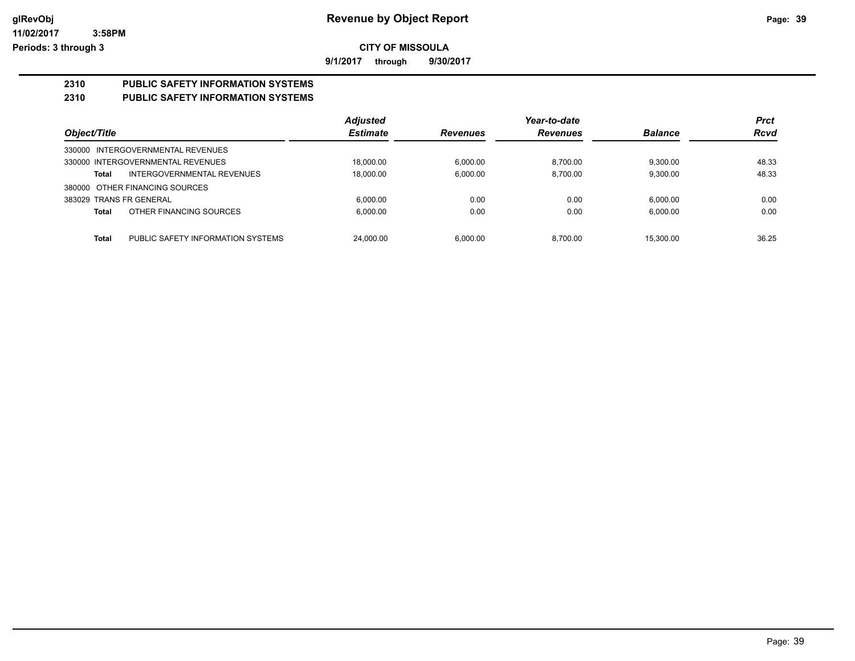**9/1/2017 through 9/30/2017**

#### **2310 PUBLIC SAFETY INFORMATION SYSTEMS 2310 PUBLIC SAFETY INFORMATION SYSTEMS**

|                                            | <b>Adjusted</b> |                 | Year-to-date    |                | <b>Prct</b> |
|--------------------------------------------|-----------------|-----------------|-----------------|----------------|-------------|
| Object/Title                               | <b>Estimate</b> | <b>Revenues</b> | <b>Revenues</b> | <b>Balance</b> | Rcvd        |
| 330000 INTERGOVERNMENTAL REVENUES          |                 |                 |                 |                |             |
| 330000 INTERGOVERNMENTAL REVENUES          | 18.000.00       | 6.000.00        | 8.700.00        | 9.300.00       | 48.33       |
| <b>INTERGOVERNMENTAL REVENUES</b><br>Total | 18.000.00       | 6,000.00        | 8,700.00        | 9.300.00       | 48.33       |
| 380000 OTHER FINANCING SOURCES             |                 |                 |                 |                |             |
| 383029 TRANS FR GENERAL                    | 6.000.00        | 0.00            | 0.00            | 6.000.00       | 0.00        |
| OTHER FINANCING SOURCES<br>Total           | 6.000.00        | 0.00            | 0.00            | 6.000.00       | 0.00        |
|                                            |                 |                 |                 |                |             |
| PUBLIC SAFETY INFORMATION SYSTEMS<br>Total | 24.000.00       | 6.000.00        | 8.700.00        | 15.300.00      | 36.25       |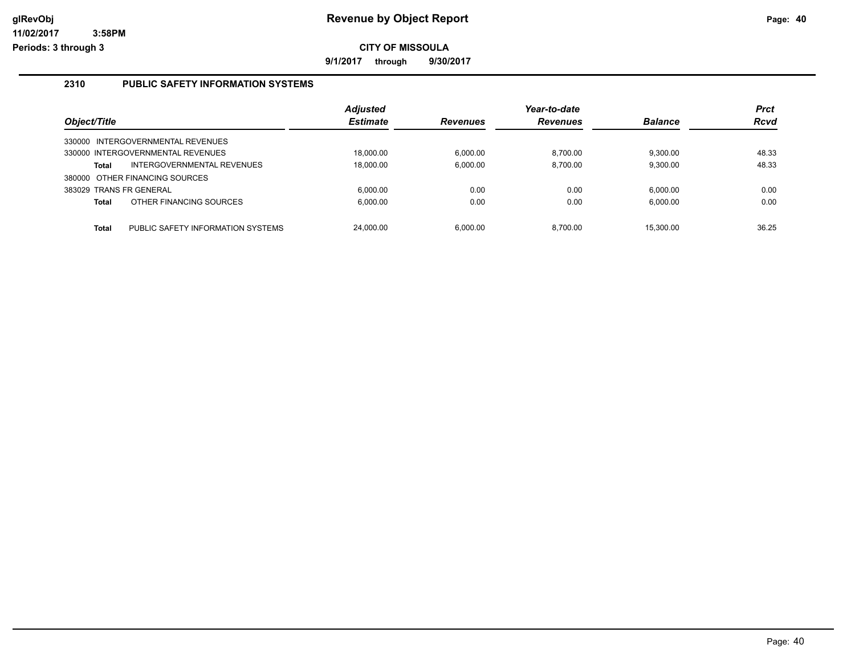**9/1/2017 through 9/30/2017**

#### **2310 PUBLIC SAFETY INFORMATION SYSTEMS**

|                         |                                   | <b>Adjusted</b> |                 | Year-to-date    |                | <b>Prct</b> |
|-------------------------|-----------------------------------|-----------------|-----------------|-----------------|----------------|-------------|
| Object/Title            |                                   | <b>Estimate</b> | <b>Revenues</b> | <b>Revenues</b> | <b>Balance</b> | <b>Rcvd</b> |
|                         | 330000 INTERGOVERNMENTAL REVENUES |                 |                 |                 |                |             |
|                         | 330000 INTERGOVERNMENTAL REVENUES | 18.000.00       | 6.000.00        | 8.700.00        | 9.300.00       | 48.33       |
| Total                   | INTERGOVERNMENTAL REVENUES        | 18,000.00       | 6,000.00        | 8.700.00        | 9,300.00       | 48.33       |
|                         | 380000 OTHER FINANCING SOURCES    |                 |                 |                 |                |             |
| 383029 TRANS FR GENERAL |                                   | 6.000.00        | 0.00            | 0.00            | 6.000.00       | 0.00        |
| <b>Total</b>            | OTHER FINANCING SOURCES           | 6,000.00        | 0.00            | 0.00            | 6.000.00       | 0.00        |
| <b>Total</b>            | PUBLIC SAFETY INFORMATION SYSTEMS | 24.000.00       | 6.000.00        | 8.700.00        | 15.300.00      | 36.25       |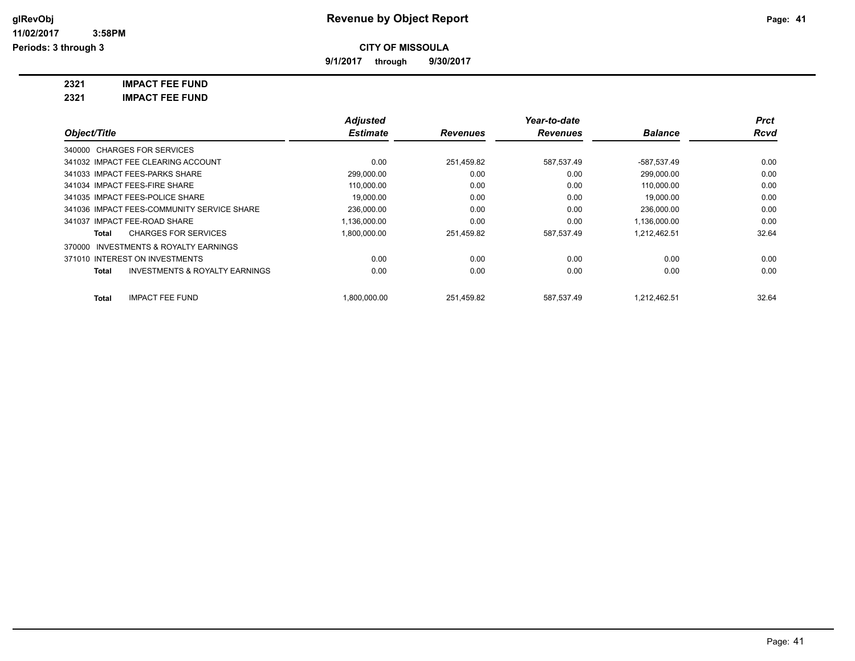**9/1/2017 through 9/30/2017**

**2321 IMPACT FEE FUND**

**2321 IMPACT FEE FUND**

|                                                           | <b>Adjusted</b> |                 | Year-to-date    |                | <b>Prct</b> |
|-----------------------------------------------------------|-----------------|-----------------|-----------------|----------------|-------------|
| Object/Title                                              | <b>Estimate</b> | <b>Revenues</b> | <b>Revenues</b> | <b>Balance</b> | Rcvd        |
| 340000 CHARGES FOR SERVICES                               |                 |                 |                 |                |             |
| 341032 IMPACT FEE CLEARING ACCOUNT                        | 0.00            | 251,459.82      | 587,537.49      | $-587,537.49$  | 0.00        |
| 341033 IMPACT FEES-PARKS SHARE                            | 299,000.00      | 0.00            | 0.00            | 299.000.00     | 0.00        |
| 341034 IMPACT FEES-FIRE SHARE                             | 110,000.00      | 0.00            | 0.00            | 110.000.00     | 0.00        |
| 341035 IMPACT FEES-POLICE SHARE                           | 19.000.00       | 0.00            | 0.00            | 19.000.00      | 0.00        |
| 341036 IMPACT FEES-COMMUNITY SERVICE SHARE                | 236,000.00      | 0.00            | 0.00            | 236,000.00     | 0.00        |
| 341037 IMPACT FEE-ROAD SHARE                              | 1,136,000.00    | 0.00            | 0.00            | 1,136,000.00   | 0.00        |
| <b>CHARGES FOR SERVICES</b><br>Total                      | 1,800,000.00    | 251,459.82      | 587,537.49      | 1,212,462.51   | 32.64       |
| 370000 INVESTMENTS & ROYALTY EARNINGS                     |                 |                 |                 |                |             |
| 371010 INTEREST ON INVESTMENTS                            | 0.00            | 0.00            | 0.00            | 0.00           | 0.00        |
| <b>INVESTMENTS &amp; ROYALTY EARNINGS</b><br><b>Total</b> | 0.00            | 0.00            | 0.00            | 0.00           | 0.00        |
| <b>IMPACT FEE FUND</b><br><b>Total</b>                    | 1.800.000.00    | 251.459.82      | 587.537.49      | 1.212.462.51   | 32.64       |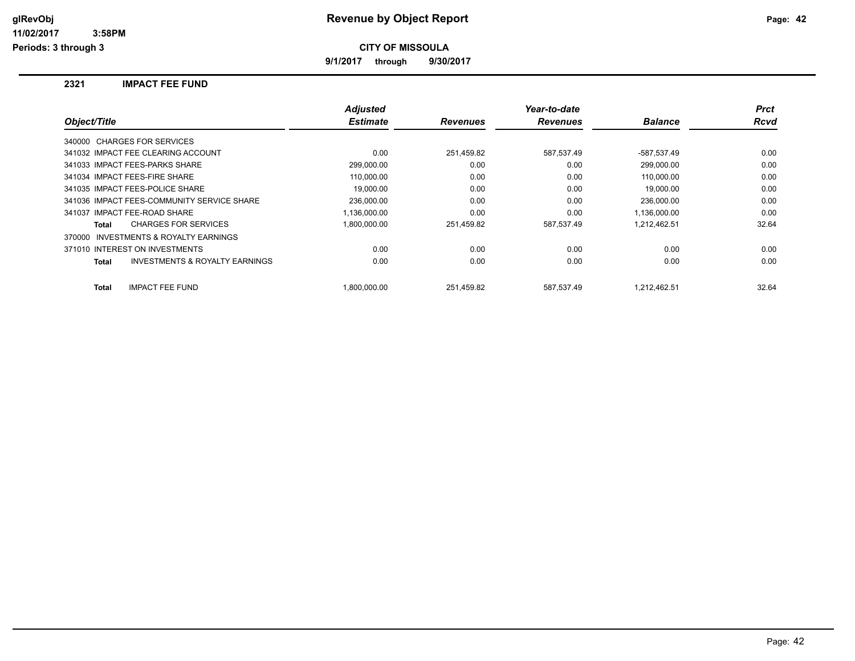**CITY OF MISSOULA**

**9/1/2017 through 9/30/2017**

#### **2321 IMPACT FEE FUND**

 **3:58PM**

|                                                           | <b>Adjusted</b> |                 | Year-to-date    |                | <b>Prct</b> |
|-----------------------------------------------------------|-----------------|-----------------|-----------------|----------------|-------------|
| Object/Title                                              | <b>Estimate</b> | <b>Revenues</b> | <b>Revenues</b> | <b>Balance</b> | <b>Rcvd</b> |
| 340000 CHARGES FOR SERVICES                               |                 |                 |                 |                |             |
| 341032 IMPACT FEE CLEARING ACCOUNT                        | 0.00            | 251,459.82      | 587,537.49      | -587,537.49    | 0.00        |
| 341033 IMPACT FEES-PARKS SHARE                            | 299.000.00      | 0.00            | 0.00            | 299.000.00     | 0.00        |
| 341034 IMPACT FEES-FIRE SHARE                             | 110.000.00      | 0.00            | 0.00            | 110.000.00     | 0.00        |
| 341035 IMPACT FEES-POLICE SHARE                           | 19,000.00       | 0.00            | 0.00            | 19.000.00      | 0.00        |
| 341036 IMPACT FEES-COMMUNITY SERVICE SHARE                | 236,000.00      | 0.00            | 0.00            | 236,000.00     | 0.00        |
| 341037 IMPACT FEE-ROAD SHARE                              | 1,136,000.00    | 0.00            | 0.00            | 1,136,000.00   | 0.00        |
| <b>CHARGES FOR SERVICES</b><br><b>Total</b>               | 1,800,000.00    | 251,459.82      | 587,537.49      | 1,212,462.51   | 32.64       |
| INVESTMENTS & ROYALTY EARNINGS<br>370000                  |                 |                 |                 |                |             |
| 371010 INTEREST ON INVESTMENTS                            | 0.00            | 0.00            | 0.00            | 0.00           | 0.00        |
| <b>INVESTMENTS &amp; ROYALTY EARNINGS</b><br><b>Total</b> | 0.00            | 0.00            | 0.00            | 0.00           | 0.00        |
| <b>IMPACT FEE FUND</b><br><b>Total</b>                    | 1.800.000.00    | 251,459.82      | 587,537.49      | 1.212.462.51   | 32.64       |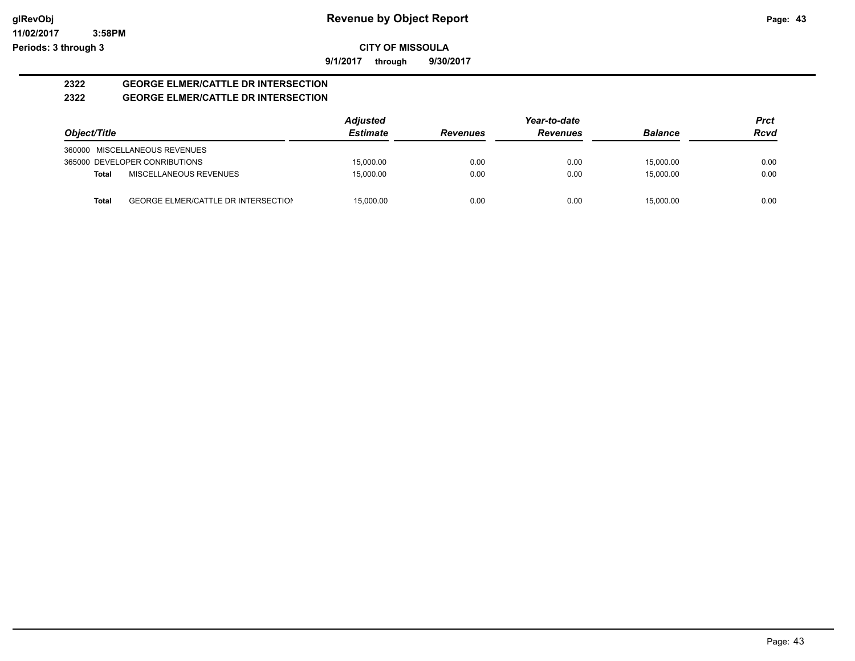#### **11/02/2017 3:58PM Periods: 3 through 3**

**CITY OF MISSOULA**

**9/1/2017 through 9/30/2017**

#### **2322 GEORGE ELMER/CATTLE DR INTERSECTION 2322 GEORGE ELMER/CATTLE DR INTERSECTION**

|              |                                            | <b>Adjusted</b> |                 | Year-to-date    |                | Prct |
|--------------|--------------------------------------------|-----------------|-----------------|-----------------|----------------|------|
| Object/Title |                                            | <b>Estimate</b> | <b>Revenues</b> | <b>Revenues</b> | <b>Balance</b> | Rcvd |
|              | 360000 MISCELLANEOUS REVENUES              |                 |                 |                 |                |      |
|              | 365000 DEVELOPER CONRIBUTIONS              | 15,000.00       | 0.00            | 0.00            | 15,000.00      | 0.00 |
| Total        | MISCELLANEOUS REVENUES                     | 15.000.00       | 0.00            | 0.00            | 15,000.00      | 0.00 |
| Total        | <b>GEORGE ELMER/CATTLE DR INTERSECTION</b> | 15.000.00       | 0.00            | 0.00            | 15,000.00      | 0.00 |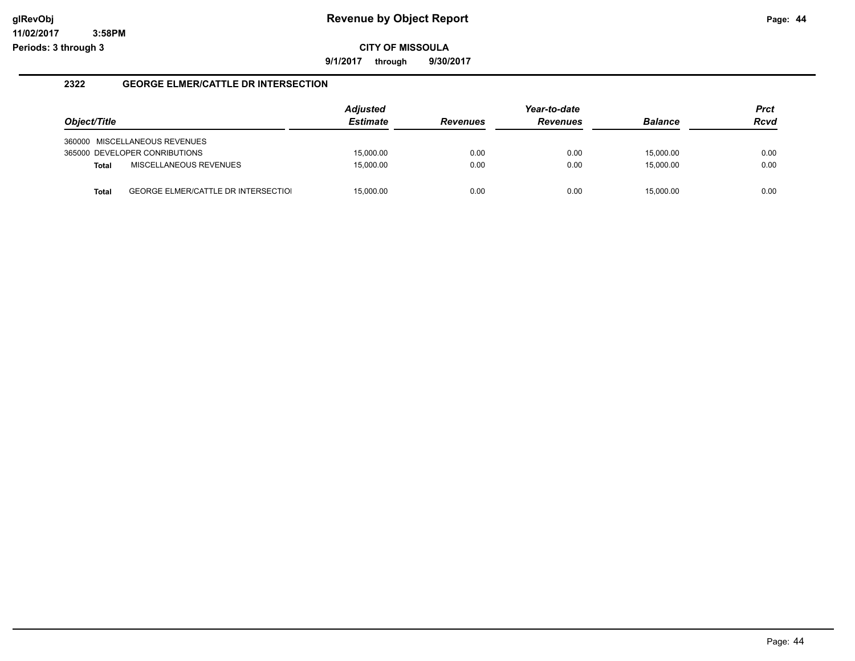**9/1/2017 through 9/30/2017**

#### **2322 GEORGE ELMER/CATTLE DR INTERSECTION**

| Object/Title |                                            | <b>Adjusted</b><br><b>Estimate</b> | <b>Revenues</b> | Year-to-date<br><b>Revenues</b> | <b>Balance</b> | <b>Prct</b><br><b>Rcvd</b> |
|--------------|--------------------------------------------|------------------------------------|-----------------|---------------------------------|----------------|----------------------------|
|              | 360000 MISCELLANEOUS REVENUES              |                                    |                 |                                 |                |                            |
|              | 365000 DEVELOPER CONRIBUTIONS              | 15.000.00                          | 0.00            | 0.00                            | 15.000.00      | 0.00                       |
| <b>Total</b> | MISCELLANEOUS REVENUES                     | 15.000.00                          | 0.00            | 0.00                            | 15.000.00      | 0.00                       |
| Total        | <b>GEORGE ELMER/CATTLE DR INTERSECTIOL</b> | 15.000.00                          | 0.00            | 0.00                            | 15.000.00      | 0.00                       |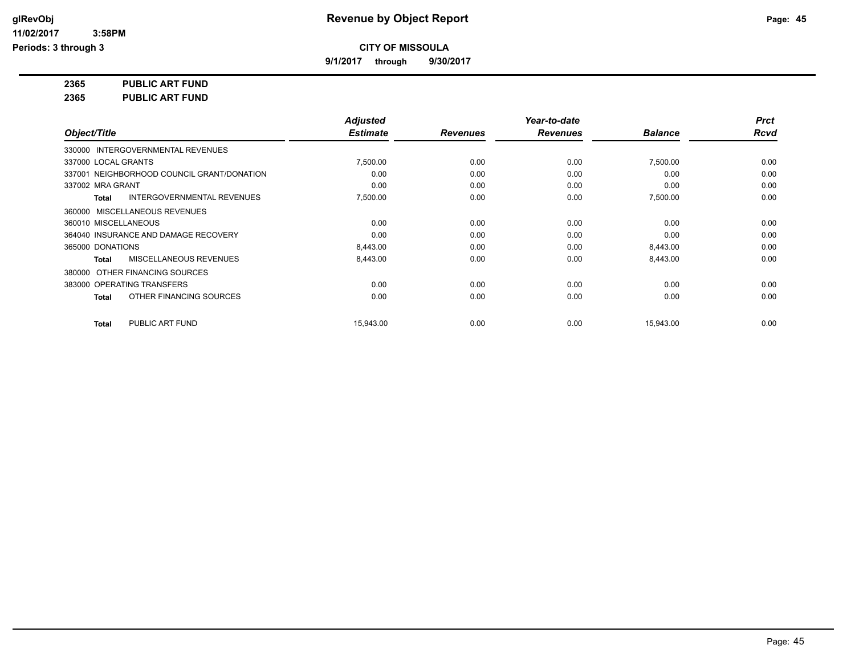**9/1/2017 through 9/30/2017**

**2365 PUBLIC ART FUND**

**2365 PUBLIC ART FUND**

|                                                   | <b>Adjusted</b> |                 | Year-to-date    |                | <b>Prct</b> |
|---------------------------------------------------|-----------------|-----------------|-----------------|----------------|-------------|
| Object/Title                                      | <b>Estimate</b> | <b>Revenues</b> | <b>Revenues</b> | <b>Balance</b> | <b>Rcvd</b> |
| 330000 INTERGOVERNMENTAL REVENUES                 |                 |                 |                 |                |             |
| 337000 LOCAL GRANTS                               | 7,500.00        | 0.00            | 0.00            | 7,500.00       | 0.00        |
| 337001 NEIGHBORHOOD COUNCIL GRANT/DONATION        | 0.00            | 0.00            | 0.00            | 0.00           | 0.00        |
| 337002 MRA GRANT                                  | 0.00            | 0.00            | 0.00            | 0.00           | 0.00        |
| <b>INTERGOVERNMENTAL REVENUES</b><br><b>Total</b> | 7,500.00        | 0.00            | 0.00            | 7,500.00       | 0.00        |
| 360000 MISCELLANEOUS REVENUES                     |                 |                 |                 |                |             |
| 360010 MISCELLANEOUS                              | 0.00            | 0.00            | 0.00            | 0.00           | 0.00        |
| 364040 INSURANCE AND DAMAGE RECOVERY              | 0.00            | 0.00            | 0.00            | 0.00           | 0.00        |
| 365000 DONATIONS                                  | 8,443.00        | 0.00            | 0.00            | 8,443.00       | 0.00        |
| MISCELLANEOUS REVENUES<br><b>Total</b>            | 8.443.00        | 0.00            | 0.00            | 8,443.00       | 0.00        |
| 380000 OTHER FINANCING SOURCES                    |                 |                 |                 |                |             |
| 383000 OPERATING TRANSFERS                        | 0.00            | 0.00            | 0.00            | 0.00           | 0.00        |
| OTHER FINANCING SOURCES<br><b>Total</b>           | 0.00            | 0.00            | 0.00            | 0.00           | 0.00        |
| PUBLIC ART FUND<br>Total                          | 15,943.00       | 0.00            | 0.00            | 15,943.00      | 0.00        |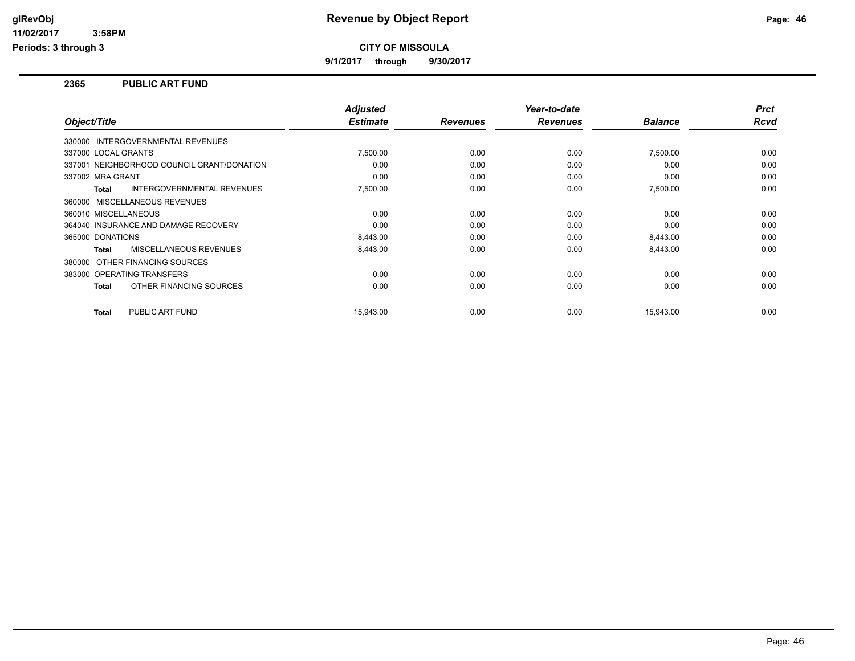**CITY OF MISSOULA**

**9/1/2017 through 9/30/2017**

#### **2365 PUBLIC ART FUND**

 **3:58PM**

| Object/Title                               | <b>Adjusted</b><br><b>Estimate</b> | <b>Revenues</b> | Year-to-date<br><b>Revenues</b> | <b>Balance</b> | <b>Prct</b><br><b>Rcvd</b> |
|--------------------------------------------|------------------------------------|-----------------|---------------------------------|----------------|----------------------------|
|                                            |                                    |                 |                                 |                |                            |
| 330000 INTERGOVERNMENTAL REVENUES          |                                    |                 |                                 |                |                            |
| 337000 LOCAL GRANTS                        | 7,500.00                           | 0.00            | 0.00                            | 7,500.00       | 0.00                       |
| 337001 NEIGHBORHOOD COUNCIL GRANT/DONATION | 0.00                               | 0.00            | 0.00                            | 0.00           | 0.00                       |
| 337002 MRA GRANT                           | 0.00                               | 0.00            | 0.00                            | 0.00           | 0.00                       |
| INTERGOVERNMENTAL REVENUES<br><b>Total</b> | 7,500.00                           | 0.00            | 0.00                            | 7,500.00       | 0.00                       |
| 360000 MISCELLANEOUS REVENUES              |                                    |                 |                                 |                |                            |
| 360010 MISCELLANEOUS                       | 0.00                               | 0.00            | 0.00                            | 0.00           | 0.00                       |
| 364040 INSURANCE AND DAMAGE RECOVERY       | 0.00                               | 0.00            | 0.00                            | 0.00           | 0.00                       |
| 365000 DONATIONS                           | 8,443.00                           | 0.00            | 0.00                            | 8,443.00       | 0.00                       |
| MISCELLANEOUS REVENUES<br><b>Total</b>     | 8,443.00                           | 0.00            | 0.00                            | 8,443.00       | 0.00                       |
| 380000 OTHER FINANCING SOURCES             |                                    |                 |                                 |                |                            |
| 383000 OPERATING TRANSFERS                 | 0.00                               | 0.00            | 0.00                            | 0.00           | 0.00                       |
| OTHER FINANCING SOURCES<br><b>Total</b>    | 0.00                               | 0.00            | 0.00                            | 0.00           | 0.00                       |
|                                            |                                    |                 |                                 |                |                            |
| PUBLIC ART FUND<br><b>Total</b>            | 15.943.00                          | 0.00            | 0.00                            | 15,943.00      | 0.00                       |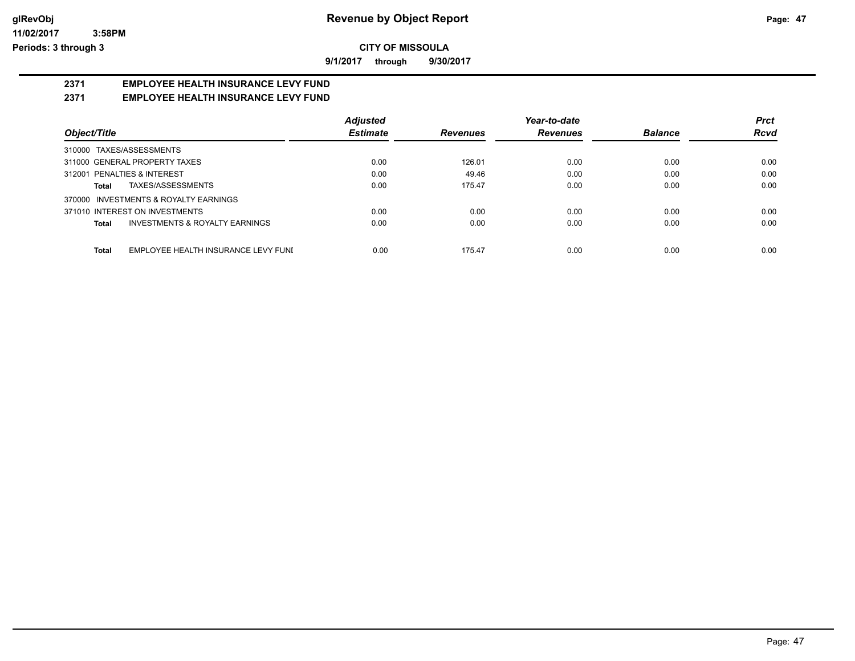**glRevObj Revenue by Object Report Page: 47** 

**11/02/2017 3:58PM Periods: 3 through 3**

#### **CITY OF MISSOULA**

**9/1/2017 through 9/30/2017**

## **2371 EMPLOYEE HEALTH INSURANCE LEVY FUND**

### **2371 EMPLOYEE HEALTH INSURANCE LEVY FUND**

|                                              | <b>Adjusted</b> |                 | Year-to-date    |                | <b>Prct</b> |
|----------------------------------------------|-----------------|-----------------|-----------------|----------------|-------------|
| Object/Title                                 | <b>Estimate</b> | <b>Revenues</b> | <b>Revenues</b> | <b>Balance</b> | <b>Rcvd</b> |
| 310000 TAXES/ASSESSMENTS                     |                 |                 |                 |                |             |
| 311000 GENERAL PROPERTY TAXES                | 0.00            | 126.01          | 0.00            | 0.00           | 0.00        |
| 312001 PENALTIES & INTEREST                  | 0.00            | 49.46           | 0.00            | 0.00           | 0.00        |
| TAXES/ASSESSMENTS<br>Total                   | 0.00            | 175.47          | 0.00            | 0.00           | 0.00        |
| 370000 INVESTMENTS & ROYALTY EARNINGS        |                 |                 |                 |                |             |
| 371010 INTEREST ON INVESTMENTS               | 0.00            | 0.00            | 0.00            | 0.00           | 0.00        |
| INVESTMENTS & ROYALTY EARNINGS<br>Total      | 0.00            | 0.00            | 0.00            | 0.00           | 0.00        |
| EMPLOYEE HEALTH INSURANCE LEVY FUNI<br>Total | 0.00            | 175.47          | 0.00            | 0.00           | 0.00        |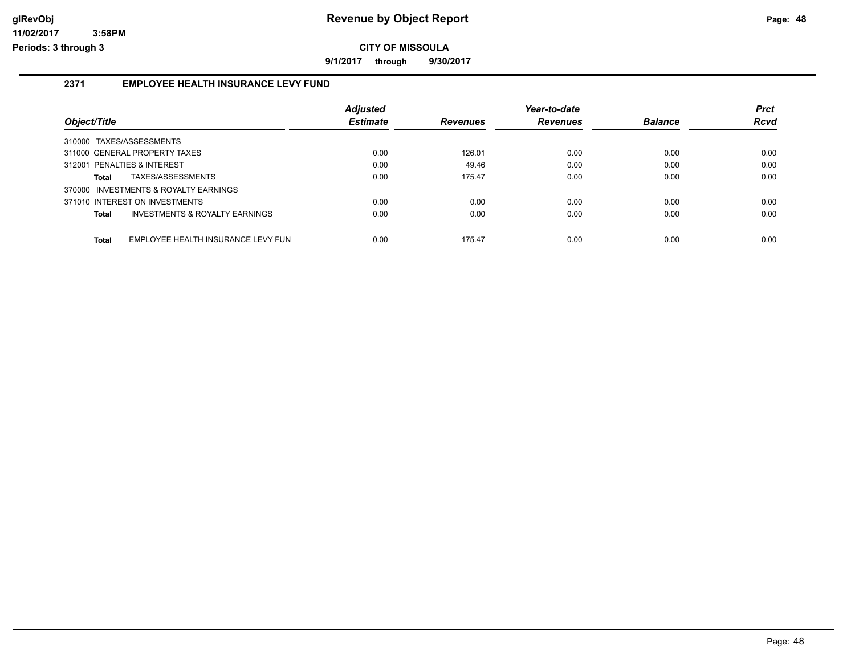**9/1/2017 through 9/30/2017**

#### **2371 EMPLOYEE HEALTH INSURANCE LEVY FUND**

|                                             | <b>Adjusted</b> |                 | Year-to-date    |                | <b>Prct</b> |
|---------------------------------------------|-----------------|-----------------|-----------------|----------------|-------------|
| Object/Title                                | <b>Estimate</b> | <b>Revenues</b> | <b>Revenues</b> | <b>Balance</b> | <b>Rcvd</b> |
| 310000 TAXES/ASSESSMENTS                    |                 |                 |                 |                |             |
| 311000 GENERAL PROPERTY TAXES               | 0.00            | 126.01          | 0.00            | 0.00           | 0.00        |
| 312001 PENALTIES & INTEREST                 | 0.00            | 49.46           | 0.00            | 0.00           | 0.00        |
| TAXES/ASSESSMENTS<br>Total                  | 0.00            | 175.47          | 0.00            | 0.00           | 0.00        |
| 370000 INVESTMENTS & ROYALTY EARNINGS       |                 |                 |                 |                |             |
| 371010 INTEREST ON INVESTMENTS              | 0.00            | 0.00            | 0.00            | 0.00           | 0.00        |
| INVESTMENTS & ROYALTY EARNINGS<br>Total     | 0.00            | 0.00            | 0.00            | 0.00           | 0.00        |
|                                             |                 |                 |                 |                |             |
| Total<br>EMPLOYEE HEALTH INSURANCE LEVY FUN | 0.00            | 175.47          | 0.00            | 0.00           | 0.00        |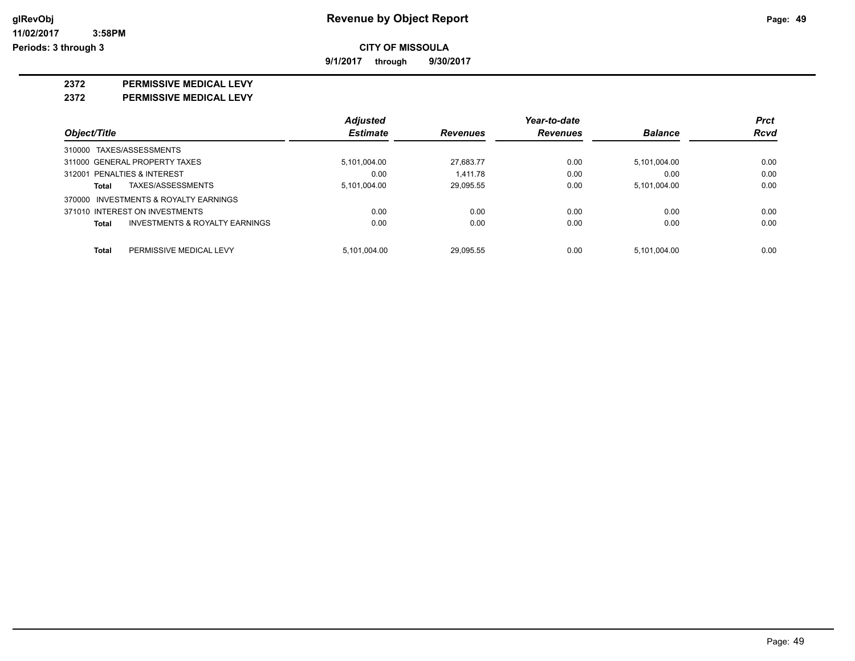**9/1/2017 through 9/30/2017**

**2372 PERMISSIVE MEDICAL LEVY**

**2372 PERMISSIVE MEDICAL LEVY**

|                                                           | <b>Adjusted</b> |                 | Year-to-date    |                | <b>Prct</b> |
|-----------------------------------------------------------|-----------------|-----------------|-----------------|----------------|-------------|
| Object/Title                                              | <b>Estimate</b> | <b>Revenues</b> | <b>Revenues</b> | <b>Balance</b> | Rcvd        |
| 310000 TAXES/ASSESSMENTS                                  |                 |                 |                 |                |             |
| 311000 GENERAL PROPERTY TAXES                             | 5,101,004.00    | 27,683.77       | 0.00            | 5,101,004.00   | 0.00        |
| 312001 PENALTIES & INTEREST                               | 0.00            | 1.411.78        | 0.00            | 0.00           | 0.00        |
| TAXES/ASSESSMENTS<br>Total                                | 5.101.004.00    | 29.095.55       | 0.00            | 5.101.004.00   | 0.00        |
| 370000 INVESTMENTS & ROYALTY EARNINGS                     |                 |                 |                 |                |             |
| 371010 INTEREST ON INVESTMENTS                            | 0.00            | 0.00            | 0.00            | 0.00           | 0.00        |
| <b>INVESTMENTS &amp; ROYALTY EARNINGS</b><br><b>Total</b> | 0.00            | 0.00            | 0.00            | 0.00           | 0.00        |
| Total<br>PERMISSIVE MEDICAL LEVY                          | 5.101.004.00    | 29.095.55       | 0.00            | 5.101.004.00   | 0.00        |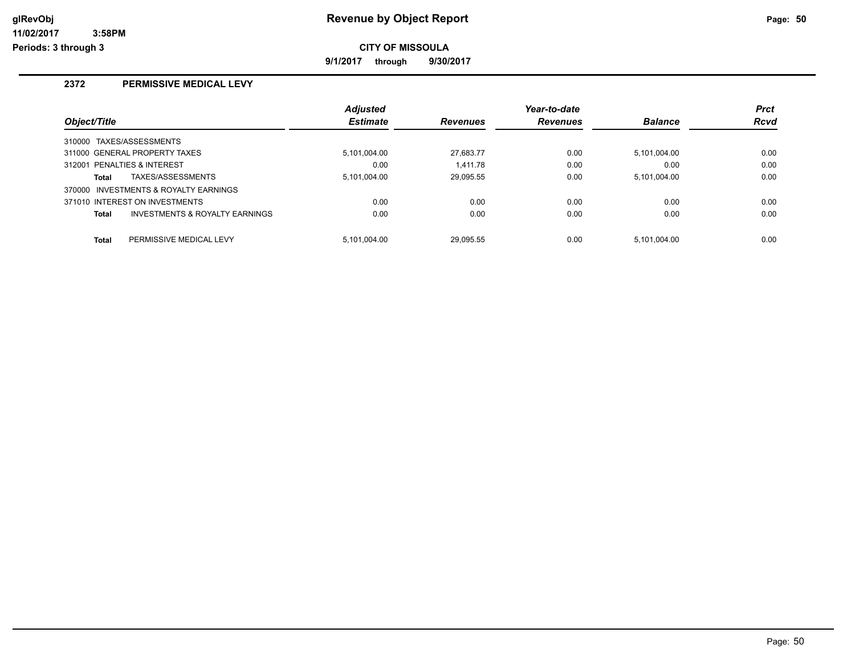**9/1/2017 through 9/30/2017**

#### **2372 PERMISSIVE MEDICAL LEVY**

|                          |                                       | <b>Adjusted</b> |                 | Year-to-date    |                | <b>Prct</b> |
|--------------------------|---------------------------------------|-----------------|-----------------|-----------------|----------------|-------------|
| Object/Title             |                                       | <b>Estimate</b> | <b>Revenues</b> | <b>Revenues</b> | <b>Balance</b> | <b>Rcvd</b> |
| 310000 TAXES/ASSESSMENTS |                                       |                 |                 |                 |                |             |
|                          | 311000 GENERAL PROPERTY TAXES         | 5,101,004.00    | 27,683.77       | 0.00            | 5,101,004.00   | 0.00        |
|                          | 312001 PENALTIES & INTEREST           | 0.00            | 1.411.78        | 0.00            | 0.00           | 0.00        |
| <b>Total</b>             | TAXES/ASSESSMENTS                     | 5,101,004.00    | 29.095.55       | 0.00            | 5,101,004.00   | 0.00        |
|                          | 370000 INVESTMENTS & ROYALTY EARNINGS |                 |                 |                 |                |             |
|                          | 371010 INTEREST ON INVESTMENTS        | 0.00            | 0.00            | 0.00            | 0.00           | 0.00        |
| <b>Total</b>             | INVESTMENTS & ROYALTY EARNINGS        | 0.00            | 0.00            | 0.00            | 0.00           | 0.00        |
|                          |                                       |                 |                 |                 |                |             |
| <b>Total</b>             | PERMISSIVE MEDICAL LEVY               | 5.101.004.00    | 29.095.55       | 0.00            | 5.101.004.00   | 0.00        |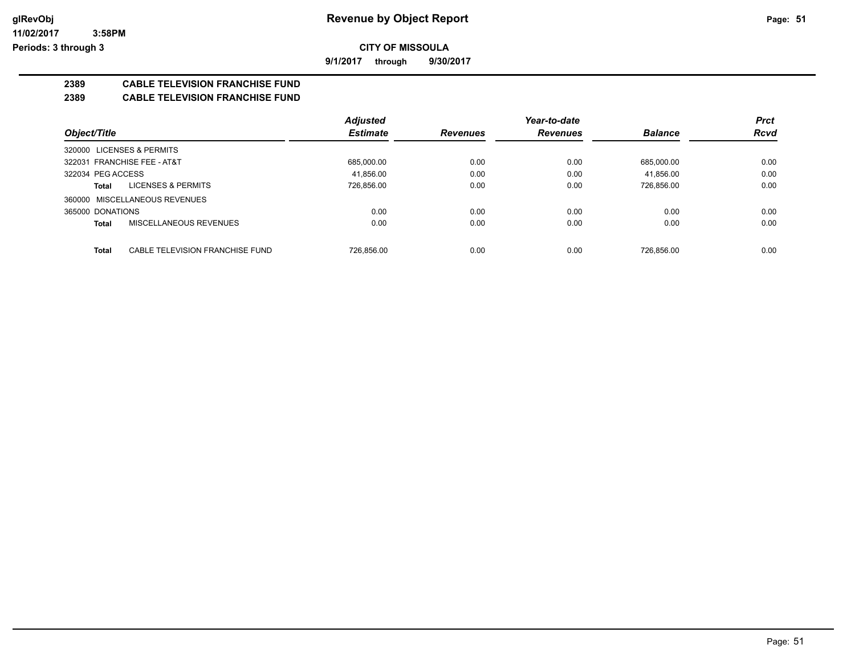**3:58PM**

**CITY OF MISSOULA**

**9/1/2017 through 9/30/2017**

# **2389 CABLE TELEVISION FRANCHISE FUND**

## **2389 CABLE TELEVISION FRANCHISE FUND**

|                                                 | <b>Adjusted</b> |                 | Year-to-date    |                | <b>Prct</b> |
|-------------------------------------------------|-----------------|-----------------|-----------------|----------------|-------------|
| Object/Title                                    | <b>Estimate</b> | <b>Revenues</b> | <b>Revenues</b> | <b>Balance</b> | <b>Rcvd</b> |
| 320000 LICENSES & PERMITS                       |                 |                 |                 |                |             |
| 322031 FRANCHISE FEE - AT&T                     | 685.000.00      | 0.00            | 0.00            | 685,000.00     | 0.00        |
| 322034 PEG ACCESS                               | 41.856.00       | 0.00            | 0.00            | 41.856.00      | 0.00        |
| <b>LICENSES &amp; PERMITS</b><br>Total          | 726.856.00      | 0.00            | 0.00            | 726.856.00     | 0.00        |
| 360000 MISCELLANEOUS REVENUES                   |                 |                 |                 |                |             |
| 365000 DONATIONS                                | 0.00            | 0.00            | 0.00            | 0.00           | 0.00        |
| MISCELLANEOUS REVENUES<br>Total                 | 0.00            | 0.00            | 0.00            | 0.00           | 0.00        |
|                                                 |                 |                 |                 |                |             |
| CABLE TELEVISION FRANCHISE FUND<br><b>Total</b> | 726.856.00      | 0.00            | 0.00            | 726.856.00     | 0.00        |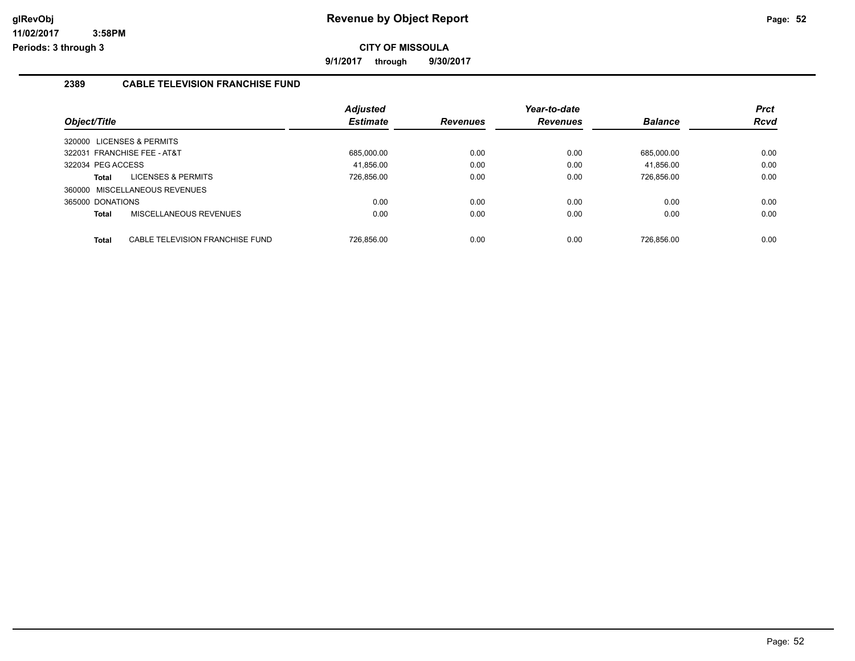**3:58PM**

**CITY OF MISSOULA**

**9/1/2017 through 9/30/2017**

#### **2389 CABLE TELEVISION FRANCHISE FUND**

|                           |                                 | <b>Adjusted</b> |                 | Year-to-date    |                | <b>Prct</b> |
|---------------------------|---------------------------------|-----------------|-----------------|-----------------|----------------|-------------|
| Object/Title              |                                 | <b>Estimate</b> | <b>Revenues</b> | <b>Revenues</b> | <b>Balance</b> | <b>Rcvd</b> |
| 320000 LICENSES & PERMITS |                                 |                 |                 |                 |                |             |
|                           | 322031 FRANCHISE FEE - AT&T     | 685,000.00      | 0.00            | 0.00            | 685.000.00     | 0.00        |
| 322034 PEG ACCESS         |                                 | 41.856.00       | 0.00            | 0.00            | 41.856.00      | 0.00        |
| Total                     | <b>LICENSES &amp; PERMITS</b>   | 726.856.00      | 0.00            | 0.00            | 726.856.00     | 0.00        |
|                           | 360000 MISCELLANEOUS REVENUES   |                 |                 |                 |                |             |
| 365000 DONATIONS          |                                 | 0.00            | 0.00            | 0.00            | 0.00           | 0.00        |
| Total                     | MISCELLANEOUS REVENUES          | 0.00            | 0.00            | 0.00            | 0.00           | 0.00        |
|                           |                                 |                 |                 |                 |                |             |
| <b>Total</b>              | CABLE TELEVISION FRANCHISE FUND | 726.856.00      | 0.00            | 0.00            | 726.856.00     | 0.00        |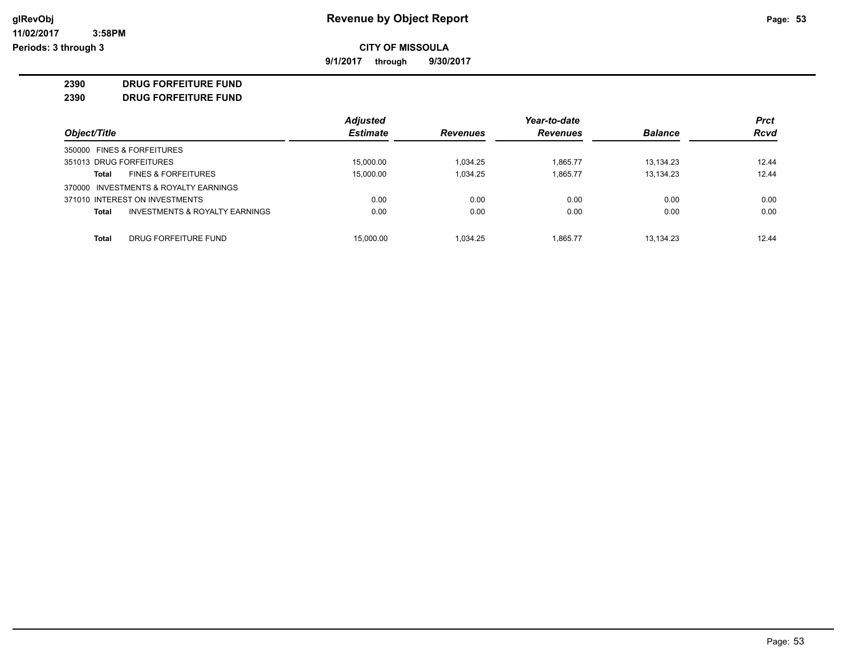**9/1/2017 through 9/30/2017**

#### **2390 DRUG FORFEITURE FUND**

**2390 DRUG FORFEITURE FUND**

|                                                    | <b>Adiusted</b> |                 | Year-to-date    |                | <b>Prct</b> |
|----------------------------------------------------|-----------------|-----------------|-----------------|----------------|-------------|
| Object/Title                                       | <b>Estimate</b> | <b>Revenues</b> | <b>Revenues</b> | <b>Balance</b> | <b>Rcvd</b> |
| 350000 FINES & FORFEITURES                         |                 |                 |                 |                |             |
| 351013 DRUG FORFEITURES                            | 15.000.00       | 1.034.25        | 1.865.77        | 13.134.23      | 12.44       |
| <b>FINES &amp; FORFEITURES</b><br><b>Total</b>     | 15,000.00       | 1,034.25        | 1.865.77        | 13.134.23      | 12.44       |
| 370000 INVESTMENTS & ROYALTY EARNINGS              |                 |                 |                 |                |             |
| 371010 INTEREST ON INVESTMENTS                     | 0.00            | 0.00            | 0.00            | 0.00           | 0.00        |
| <b>INVESTMENTS &amp; ROYALTY EARNINGS</b><br>Total | 0.00            | 0.00            | 0.00            | 0.00           | 0.00        |
| DRUG FORFEITURE FUND<br><b>Total</b>               | 15,000.00       | 1.034.25        | 1.865.77        | 13.134.23      | 12.44       |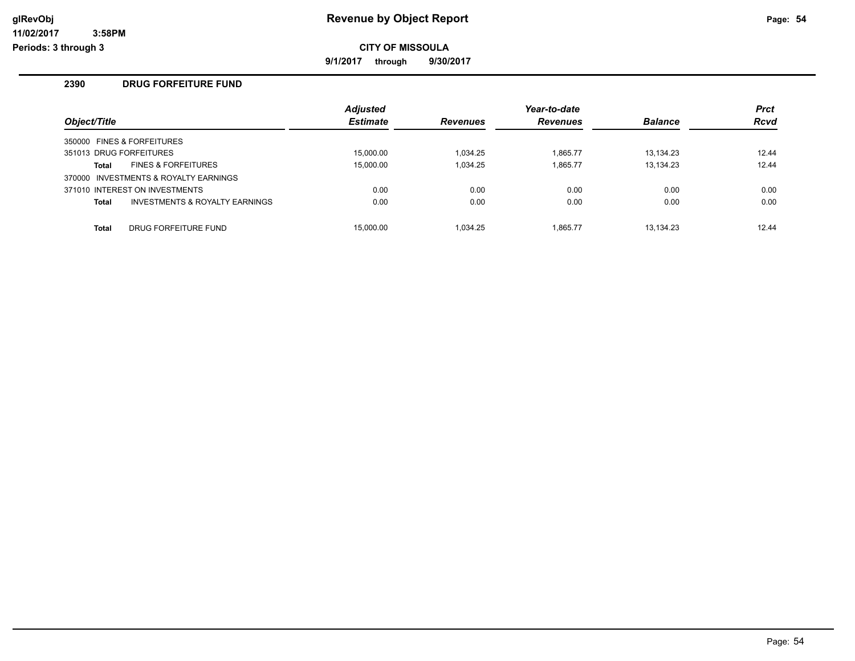**CITY OF MISSOULA**

**9/1/2017 through 9/30/2017**

#### **2390 DRUG FORFEITURE FUND**

 **3:58PM**

|                                |                                           | <b>Adjusted</b> |                 | Year-to-date    |                | <b>Prct</b> |
|--------------------------------|-------------------------------------------|-----------------|-----------------|-----------------|----------------|-------------|
| Object/Title                   |                                           | <b>Estimate</b> | <b>Revenues</b> | <b>Revenues</b> | <b>Balance</b> | <b>Rcvd</b> |
| 350000 FINES & FORFEITURES     |                                           |                 |                 |                 |                |             |
| 351013 DRUG FORFEITURES        |                                           | 15,000.00       | 1.034.25        | 1.865.77        | 13.134.23      | 12.44       |
| <b>Total</b>                   | <b>FINES &amp; FORFEITURES</b>            | 15,000.00       | 1,034.25        | 1.865.77        | 13.134.23      | 12.44       |
| 370000                         | INVESTMENTS & ROYALTY EARNINGS            |                 |                 |                 |                |             |
| 371010 INTEREST ON INVESTMENTS |                                           | 0.00            | 0.00            | 0.00            | 0.00           | 0.00        |
| <b>Total</b>                   | <b>INVESTMENTS &amp; ROYALTY EARNINGS</b> | 0.00            | 0.00            | 0.00            | 0.00           | 0.00        |
| Total                          | DRUG FORFEITURE FUND                      | 15.000.00       | 1.034.25        | 1.865.77        | 13.134.23      | 12.44       |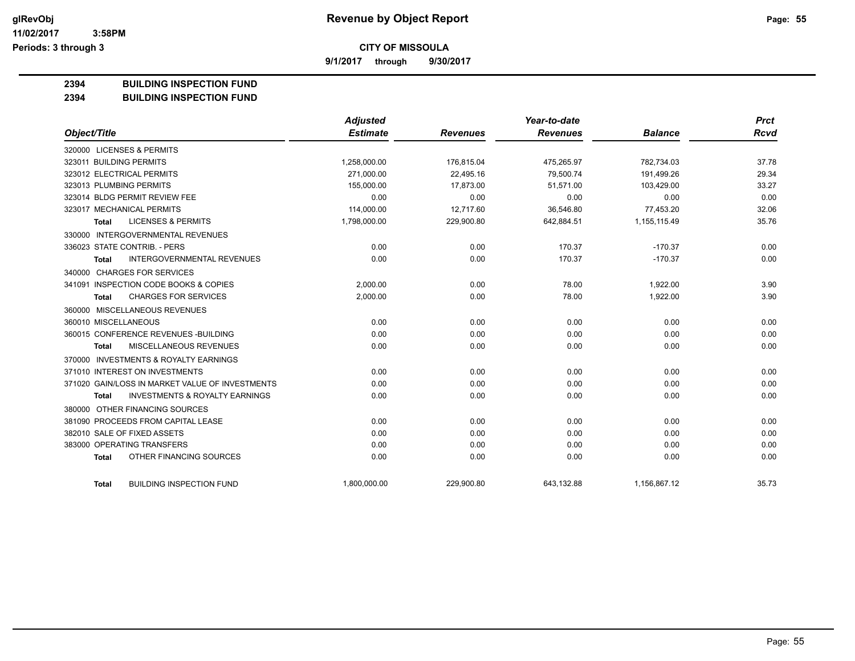**9/1/2017 through 9/30/2017**

#### **2394 BUILDING INSPECTION FUND**

#### **2394 BUILDING INSPECTION FUND**

|                                                    | <b>Adjusted</b> |                 | Year-to-date    |                | <b>Prct</b> |
|----------------------------------------------------|-----------------|-----------------|-----------------|----------------|-------------|
| Object/Title                                       | <b>Estimate</b> | <b>Revenues</b> | <b>Revenues</b> | <b>Balance</b> | Rcvd        |
| 320000 LICENSES & PERMITS                          |                 |                 |                 |                |             |
| 323011 BUILDING PERMITS                            | 1,258,000.00    | 176,815.04      | 475,265.97      | 782,734.03     | 37.78       |
| 323012 ELECTRICAL PERMITS                          | 271,000.00      | 22,495.16       | 79,500.74       | 191,499.26     | 29.34       |
| 323013 PLUMBING PERMITS                            | 155,000.00      | 17,873.00       | 51,571.00       | 103,429.00     | 33.27       |
| 323014 BLDG PERMIT REVIEW FEE                      | 0.00            | 0.00            | 0.00            | 0.00           | 0.00        |
| 323017 MECHANICAL PERMITS                          | 114,000.00      | 12,717.60       | 36,546.80       | 77,453.20      | 32.06       |
| <b>LICENSES &amp; PERMITS</b><br>Total             | 1,798,000.00    | 229,900.80      | 642,884.51      | 1,155,115.49   | 35.76       |
| 330000 INTERGOVERNMENTAL REVENUES                  |                 |                 |                 |                |             |
| 336023 STATE CONTRIB. - PERS                       | 0.00            | 0.00            | 170.37          | $-170.37$      | 0.00        |
| <b>INTERGOVERNMENTAL REVENUES</b><br><b>Total</b>  | 0.00            | 0.00            | 170.37          | $-170.37$      | 0.00        |
| 340000 CHARGES FOR SERVICES                        |                 |                 |                 |                |             |
| 341091 INSPECTION CODE BOOKS & COPIES              | 2,000.00        | 0.00            | 78.00           | 1,922.00       | 3.90        |
| <b>CHARGES FOR SERVICES</b><br><b>Total</b>        | 2,000.00        | 0.00            | 78.00           | 1,922.00       | 3.90        |
| 360000 MISCELLANEOUS REVENUES                      |                 |                 |                 |                |             |
| 360010 MISCELLANEOUS                               | 0.00            | 0.00            | 0.00            | 0.00           | 0.00        |
| 360015 CONFERENCE REVENUES - BUILDING              | 0.00            | 0.00            | 0.00            | 0.00           | 0.00        |
| <b>MISCELLANEOUS REVENUES</b><br>Total             | 0.00            | 0.00            | 0.00            | 0.00           | 0.00        |
| 370000 INVESTMENTS & ROYALTY EARNINGS              |                 |                 |                 |                |             |
| 371010 INTEREST ON INVESTMENTS                     | 0.00            | 0.00            | 0.00            | 0.00           | 0.00        |
| 371020 GAIN/LOSS IN MARKET VALUE OF INVESTMENTS    | 0.00            | 0.00            | 0.00            | 0.00           | 0.00        |
| <b>INVESTMENTS &amp; ROYALTY EARNINGS</b><br>Total | 0.00            | 0.00            | 0.00            | 0.00           | 0.00        |
| 380000 OTHER FINANCING SOURCES                     |                 |                 |                 |                |             |
| 381090 PROCEEDS FROM CAPITAL LEASE                 | 0.00            | 0.00            | 0.00            | 0.00           | 0.00        |
| 382010 SALE OF FIXED ASSETS                        | 0.00            | 0.00            | 0.00            | 0.00           | 0.00        |
| 383000 OPERATING TRANSFERS                         | 0.00            | 0.00            | 0.00            | 0.00           | 0.00        |
| OTHER FINANCING SOURCES<br><b>Total</b>            | 0.00            | 0.00            | 0.00            | 0.00           | 0.00        |
| <b>BUILDING INSPECTION FUND</b><br><b>Total</b>    | 1,800,000.00    | 229,900.80      | 643,132.88      | 1,156,867.12   | 35.73       |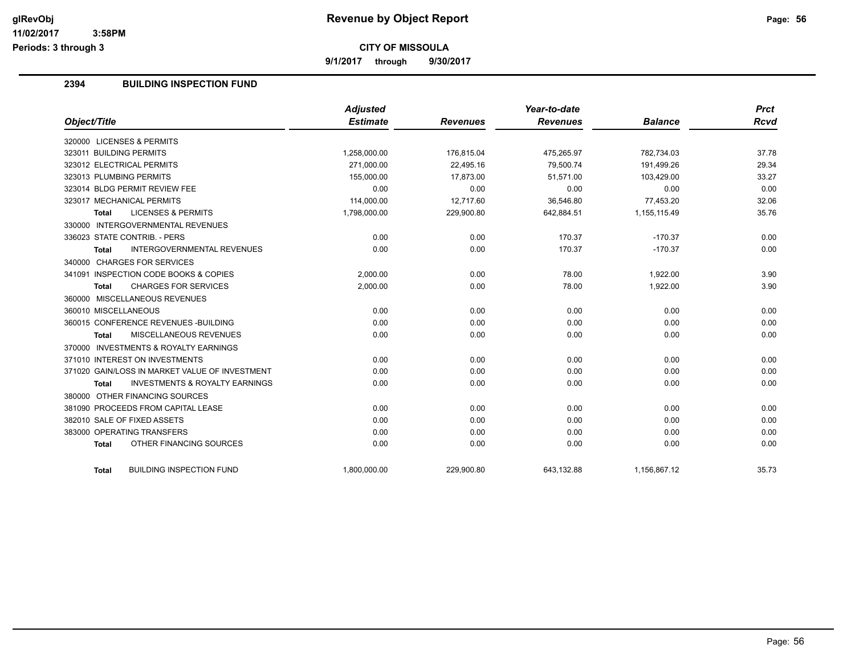**11/02/2017 3:58PM Periods: 3 through 3**

**CITY OF MISSOULA**

**9/1/2017 through 9/30/2017**

#### **2394 BUILDING INSPECTION FUND**

|                                                           | <b>Adjusted</b> |                 | Year-to-date    |                | <b>Prct</b> |
|-----------------------------------------------------------|-----------------|-----------------|-----------------|----------------|-------------|
| Object/Title                                              | <b>Estimate</b> | <b>Revenues</b> | <b>Revenues</b> | <b>Balance</b> | <b>Rcvd</b> |
| 320000 LICENSES & PERMITS                                 |                 |                 |                 |                |             |
| 323011 BUILDING PERMITS                                   | 1,258,000.00    | 176,815.04      | 475,265.97      | 782,734.03     | 37.78       |
| 323012 ELECTRICAL PERMITS                                 | 271,000.00      | 22,495.16       | 79,500.74       | 191,499.26     | 29.34       |
| 323013 PLUMBING PERMITS                                   | 155,000.00      | 17,873.00       | 51,571.00       | 103,429.00     | 33.27       |
| 323014 BLDG PERMIT REVIEW FEE                             | 0.00            | 0.00            | 0.00            | 0.00           | 0.00        |
| 323017 MECHANICAL PERMITS                                 | 114,000.00      | 12,717.60       | 36,546.80       | 77,453.20      | 32.06       |
| <b>LICENSES &amp; PERMITS</b><br><b>Total</b>             | 1,798,000.00    | 229,900.80      | 642,884.51      | 1,155,115.49   | 35.76       |
| 330000 INTERGOVERNMENTAL REVENUES                         |                 |                 |                 |                |             |
| 336023 STATE CONTRIB. - PERS                              | 0.00            | 0.00            | 170.37          | $-170.37$      | 0.00        |
| <b>INTERGOVERNMENTAL REVENUES</b><br><b>Total</b>         | 0.00            | 0.00            | 170.37          | $-170.37$      | 0.00        |
| 340000 CHARGES FOR SERVICES                               |                 |                 |                 |                |             |
| 341091 INSPECTION CODE BOOKS & COPIES                     | 2,000.00        | 0.00            | 78.00           | 1,922.00       | 3.90        |
| <b>CHARGES FOR SERVICES</b><br>Total                      | 2,000.00        | 0.00            | 78.00           | 1,922.00       | 3.90        |
| 360000 MISCELLANEOUS REVENUES                             |                 |                 |                 |                |             |
| 360010 MISCELLANEOUS                                      | 0.00            | 0.00            | 0.00            | 0.00           | 0.00        |
| 360015 CONFERENCE REVENUES - BUILDING                     | 0.00            | 0.00            | 0.00            | 0.00           | 0.00        |
| MISCELLANEOUS REVENUES<br><b>Total</b>                    | 0.00            | 0.00            | 0.00            | 0.00           | 0.00        |
| 370000 INVESTMENTS & ROYALTY EARNINGS                     |                 |                 |                 |                |             |
| 371010 INTEREST ON INVESTMENTS                            | 0.00            | 0.00            | 0.00            | 0.00           | 0.00        |
| 371020 GAIN/LOSS IN MARKET VALUE OF INVESTMENT            | 0.00            | 0.00            | 0.00            | 0.00           | 0.00        |
| <b>INVESTMENTS &amp; ROYALTY EARNINGS</b><br><b>Total</b> | 0.00            | 0.00            | 0.00            | 0.00           | 0.00        |
| 380000 OTHER FINANCING SOURCES                            |                 |                 |                 |                |             |
| 381090 PROCEEDS FROM CAPITAL LEASE                        | 0.00            | 0.00            | 0.00            | 0.00           | 0.00        |
| 382010 SALE OF FIXED ASSETS                               | 0.00            | 0.00            | 0.00            | 0.00           | 0.00        |
| 383000 OPERATING TRANSFERS                                | 0.00            | 0.00            | 0.00            | 0.00           | 0.00        |
| OTHER FINANCING SOURCES<br><b>Total</b>                   | 0.00            | 0.00            | 0.00            | 0.00           | 0.00        |
| <b>BUILDING INSPECTION FUND</b><br>Total                  | 1,800,000.00    | 229,900.80      | 643,132.88      | 1,156,867.12   | 35.73       |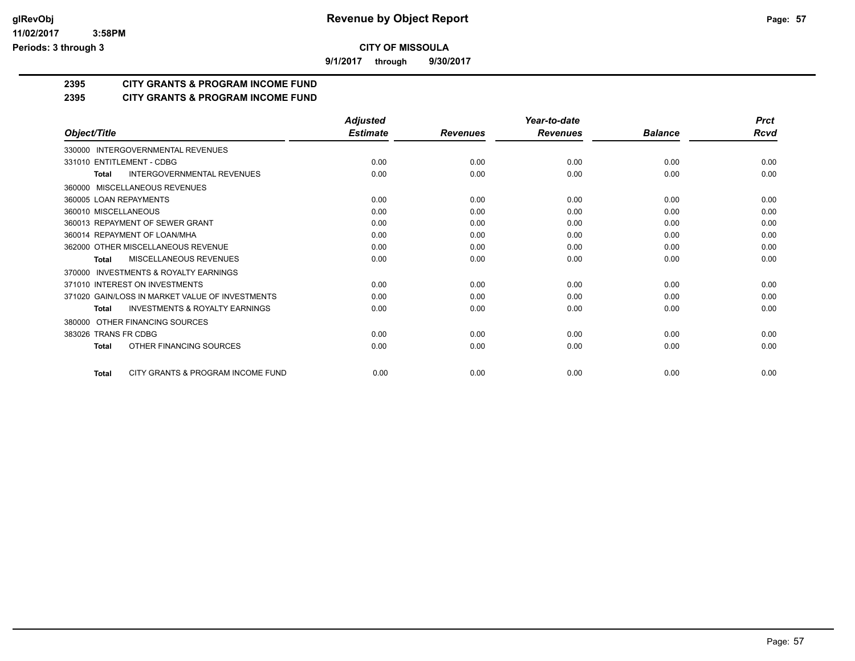**3:58PM**

**glRevObj Revenue by Object Report Page: 57** 

**9/1/2017 through 9/30/2017**

**CITY OF MISSOULA**

## **2395 CITY GRANTS & PROGRAM INCOME FUND**

### **2395 CITY GRANTS & PROGRAM INCOME FUND**

|                                                           | <b>Adjusted</b> |                 | Year-to-date    |                | <b>Prct</b> |
|-----------------------------------------------------------|-----------------|-----------------|-----------------|----------------|-------------|
| Object/Title                                              | <b>Estimate</b> | <b>Revenues</b> | <b>Revenues</b> | <b>Balance</b> | <b>Rcvd</b> |
| 330000 INTERGOVERNMENTAL REVENUES                         |                 |                 |                 |                |             |
| 331010 ENTITLEMENT - CDBG                                 | 0.00            | 0.00            | 0.00            | 0.00           | 0.00        |
| <b>INTERGOVERNMENTAL REVENUES</b><br><b>Total</b>         | 0.00            | 0.00            | 0.00            | 0.00           | 0.00        |
| 360000 MISCELLANEOUS REVENUES                             |                 |                 |                 |                |             |
| 360005 LOAN REPAYMENTS                                    | 0.00            | 0.00            | 0.00            | 0.00           | 0.00        |
| 360010 MISCELLANEOUS                                      | 0.00            | 0.00            | 0.00            | 0.00           | 0.00        |
| 360013 REPAYMENT OF SEWER GRANT                           | 0.00            | 0.00            | 0.00            | 0.00           | 0.00        |
| 360014 REPAYMENT OF LOAN/MHA                              | 0.00            | 0.00            | 0.00            | 0.00           | 0.00        |
| 362000 OTHER MISCELLANEOUS REVENUE                        | 0.00            | 0.00            | 0.00            | 0.00           | 0.00        |
| MISCELLANEOUS REVENUES<br><b>Total</b>                    | 0.00            | 0.00            | 0.00            | 0.00           | 0.00        |
| <b>INVESTMENTS &amp; ROYALTY EARNINGS</b><br>370000       |                 |                 |                 |                |             |
| 371010 INTEREST ON INVESTMENTS                            | 0.00            | 0.00            | 0.00            | 0.00           | 0.00        |
| 371020 GAIN/LOSS IN MARKET VALUE OF INVESTMENTS           | 0.00            | 0.00            | 0.00            | 0.00           | 0.00        |
| <b>INVESTMENTS &amp; ROYALTY EARNINGS</b><br><b>Total</b> | 0.00            | 0.00            | 0.00            | 0.00           | 0.00        |
| OTHER FINANCING SOURCES<br>380000                         |                 |                 |                 |                |             |
| 383026 TRANS FR CDBG                                      | 0.00            | 0.00            | 0.00            | 0.00           | 0.00        |
| OTHER FINANCING SOURCES<br><b>Total</b>                   | 0.00            | 0.00            | 0.00            | 0.00           | 0.00        |
| CITY GRANTS & PROGRAM INCOME FUND<br>Total                | 0.00            | 0.00            | 0.00            | 0.00           | 0.00        |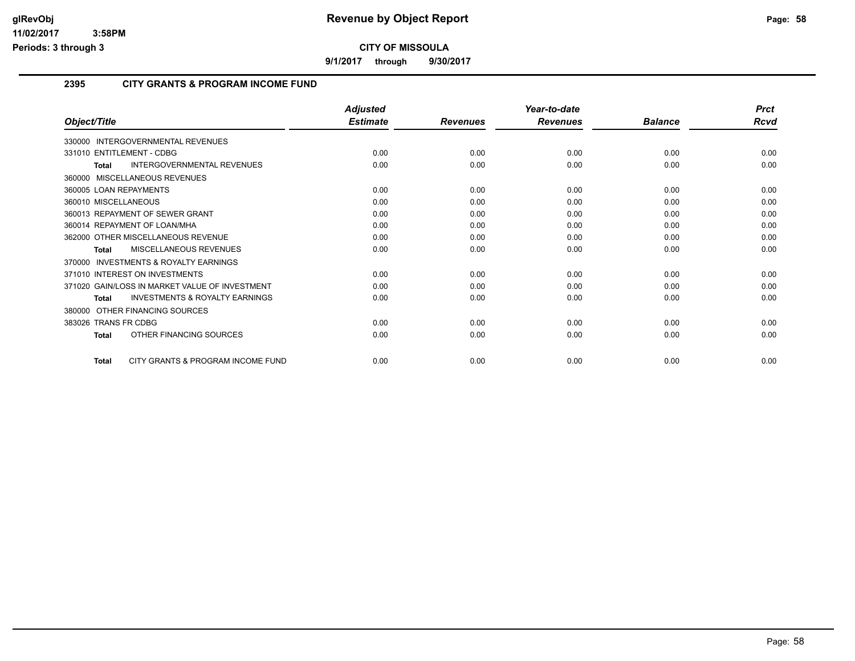**3:58PM**

**CITY OF MISSOULA**

**9/1/2017 through 9/30/2017**

#### **2395 CITY GRANTS & PROGRAM INCOME FUND**

|                                                    | <b>Adjusted</b> |                 | Year-to-date    |                | <b>Prct</b> |
|----------------------------------------------------|-----------------|-----------------|-----------------|----------------|-------------|
| Object/Title                                       | <b>Estimate</b> | <b>Revenues</b> | <b>Revenues</b> | <b>Balance</b> | Rcvd        |
| 330000 INTERGOVERNMENTAL REVENUES                  |                 |                 |                 |                |             |
| 331010 ENTITLEMENT - CDBG                          | 0.00            | 0.00            | 0.00            | 0.00           | 0.00        |
| <b>INTERGOVERNMENTAL REVENUES</b><br>Total         | 0.00            | 0.00            | 0.00            | 0.00           | 0.00        |
| 360000 MISCELLANEOUS REVENUES                      |                 |                 |                 |                |             |
| 360005 LOAN REPAYMENTS                             | 0.00            | 0.00            | 0.00            | 0.00           | 0.00        |
| 360010 MISCELLANEOUS                               | 0.00            | 0.00            | 0.00            | 0.00           | 0.00        |
| 360013 REPAYMENT OF SEWER GRANT                    | 0.00            | 0.00            | 0.00            | 0.00           | 0.00        |
| 360014 REPAYMENT OF LOAN/MHA                       | 0.00            | 0.00            | 0.00            | 0.00           | 0.00        |
| 362000 OTHER MISCELLANEOUS REVENUE                 | 0.00            | 0.00            | 0.00            | 0.00           | 0.00        |
| MISCELLANEOUS REVENUES<br>Total                    | 0.00            | 0.00            | 0.00            | 0.00           | 0.00        |
| 370000 INVESTMENTS & ROYALTY EARNINGS              |                 |                 |                 |                |             |
| 371010 INTEREST ON INVESTMENTS                     | 0.00            | 0.00            | 0.00            | 0.00           | 0.00        |
| 371020 GAIN/LOSS IN MARKET VALUE OF INVESTMENT     | 0.00            | 0.00            | 0.00            | 0.00           | 0.00        |
| <b>INVESTMENTS &amp; ROYALTY EARNINGS</b><br>Total | 0.00            | 0.00            | 0.00            | 0.00           | 0.00        |
| 380000 OTHER FINANCING SOURCES                     |                 |                 |                 |                |             |
| 383026 TRANS FR CDBG                               | 0.00            | 0.00            | 0.00            | 0.00           | 0.00        |
| OTHER FINANCING SOURCES<br>Total                   | 0.00            | 0.00            | 0.00            | 0.00           | 0.00        |
| CITY GRANTS & PROGRAM INCOME FUND<br><b>Total</b>  | 0.00            | 0.00            | 0.00            | 0.00           | 0.00        |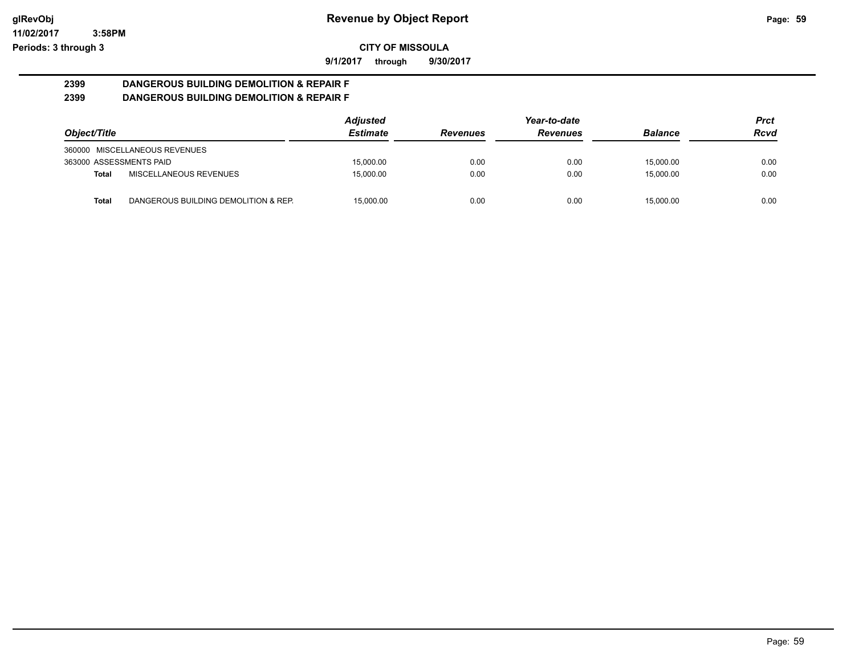**11/02/2017 3:58PM Periods: 3 through 3**

**CITY OF MISSOULA**

**9/1/2017 through 9/30/2017**

#### **2399 DANGEROUS BUILDING DEMOLITION & REPAIR F 2399 DANGEROUS BUILDING DEMOLITION & REPAIR F**

|                         |                                      | <b>Adjusted</b> |                 | Year-to-date    |                | Prct |
|-------------------------|--------------------------------------|-----------------|-----------------|-----------------|----------------|------|
| Object/Title            |                                      | <b>Estimate</b> | <b>Revenues</b> | <b>Revenues</b> | <b>Balance</b> | Rcvd |
|                         | 360000 MISCELLANEOUS REVENUES        |                 |                 |                 |                |      |
| 363000 ASSESSMENTS PAID |                                      | 15,000.00       | 0.00            | 0.00            | 15.000.00      | 0.00 |
| Total                   | MISCELLANEOUS REVENUES               | 15.000.00       | 0.00            | 0.00            | 15.000.00      | 0.00 |
| Total                   | DANGEROUS BUILDING DEMOLITION & REP. | 15.000.00       | 0.00            | 0.00            | 15.000.00      | 0.00 |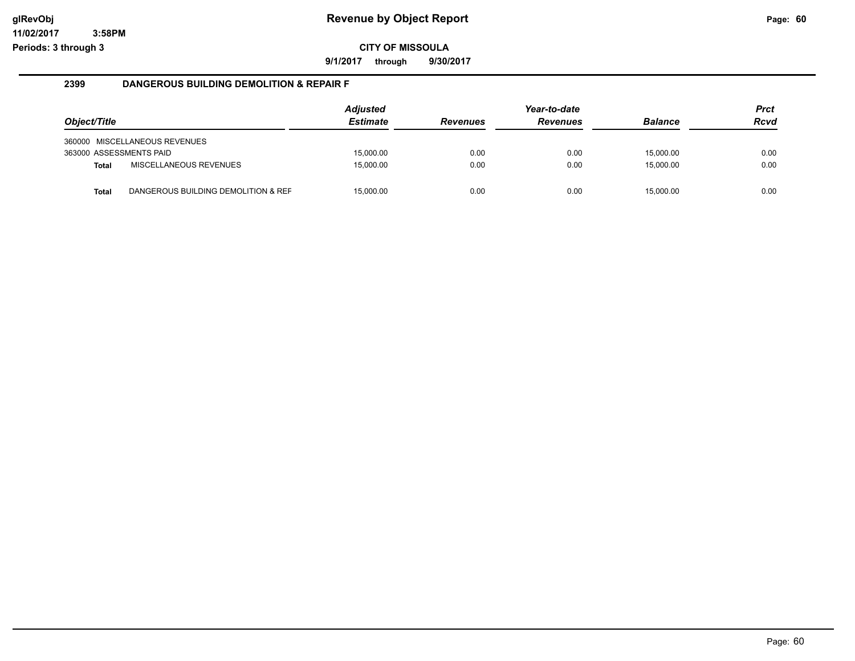**11/02/2017 3:58PM Periods: 3 through 3**

#### **CITY OF MISSOULA**

**9/1/2017 through 9/30/2017**

#### **2399 DANGEROUS BUILDING DEMOLITION & REPAIR F**

|                         |                                     | <b>Adjusted</b><br><b>Estimate</b> |                 | Year-to-date    |                | <b>Prct</b><br><b>Rcvd</b> |
|-------------------------|-------------------------------------|------------------------------------|-----------------|-----------------|----------------|----------------------------|
| Object/Title            |                                     |                                    | <b>Revenues</b> | <b>Revenues</b> | <b>Balance</b> |                            |
|                         | 360000 MISCELLANEOUS REVENUES       |                                    |                 |                 |                |                            |
| 363000 ASSESSMENTS PAID |                                     | 15.000.00                          | 0.00            | 0.00            | 15.000.00      | 0.00                       |
| <b>Total</b>            | MISCELLANEOUS REVENUES              | 15.000.00                          | 0.00            | 0.00            | 15.000.00      | 0.00                       |
| <b>Total</b>            | DANGEROUS BUILDING DEMOLITION & REF | 15,000.00                          | 0.00            | 0.00            | 15.000.00      | 0.00                       |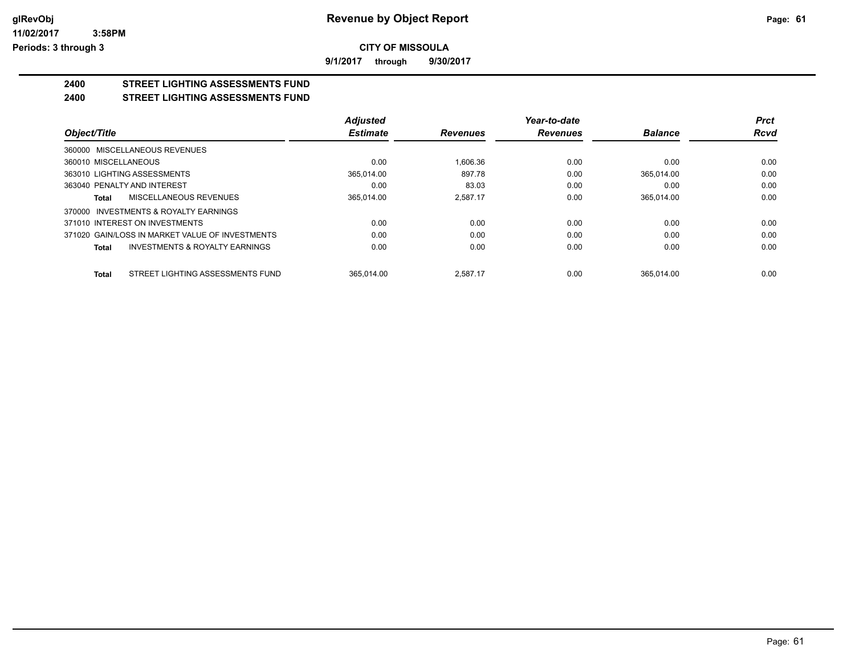*Prct Rcvd*

**CITY OF MISSOULA**

**9/1/2017 through 9/30/2017**

#### **2400 STREET LIGHTING ASSESSMENTS FUND 2400 STREET LIGHTING ASSESSMENTS FUND**

|                                                 | <b>Adjusted</b> |                 | Year-to-date    |                | <b>Prct</b> |
|-------------------------------------------------|-----------------|-----------------|-----------------|----------------|-------------|
| Object/Title                                    | <b>Estimate</b> | <b>Revenues</b> | <b>Revenues</b> | <b>Balance</b> | Rcvd        |
| 360000 MISCELLANEOUS REVENUES                   |                 |                 |                 |                |             |
| 360010 MISCELLANEOUS                            | 0.00            | 1.606.36        | 0.00            | 0.00           | 0.00        |
| 363010 LIGHTING ASSESSMENTS                     | 365,014.00      | 897.78          | 0.00            | 365,014.00     | 0.00        |
| 363040 PENALTY AND INTEREST                     | 0.00            | 83.03           | 0.00            | 0.00           | 0.00        |
| MISCELLANEOUS REVENUES<br>Total                 | 365.014.00      | 2.587.17        | 0.00            | 365.014.00     | 0.00        |
| 370000 INVESTMENTS & ROYALTY EARNINGS           |                 |                 |                 |                |             |
| 371010 INTEREST ON INVESTMENTS                  | 0.00            | 0.00            | 0.00            | 0.00           | 0.00        |
| 371020 GAIN/LOSS IN MARKET VALUE OF INVESTMENTS | 0.00            | 0.00            | 0.00            | 0.00           | 0.00        |
| INVESTMENTS & ROYALTY EARNINGS<br>Total         | 0.00            | 0.00            | 0.00            | 0.00           | 0.00        |

**Total** STREET LIGHTING ASSESSMENTS FUND 365,014.00 2,587.17 0.00 365,014.00 0.00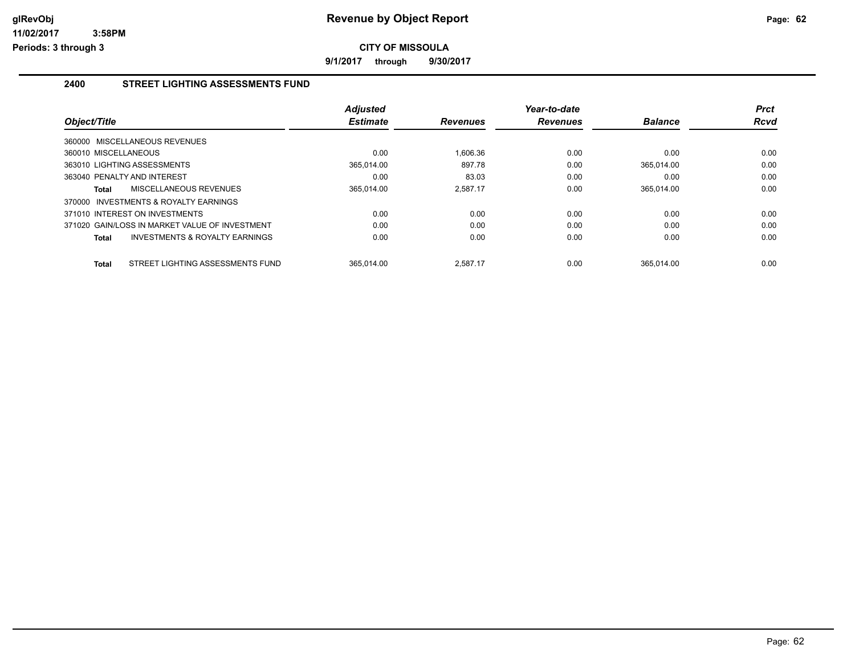**9/1/2017 through 9/30/2017**

#### **2400 STREET LIGHTING ASSESSMENTS FUND**

| Object/Title                                     | <b>Adjusted</b><br><b>Estimate</b> | <b>Revenues</b> | Year-to-date<br><b>Revenues</b> | <b>Balance</b> | <b>Prct</b><br><b>Rcvd</b> |
|--------------------------------------------------|------------------------------------|-----------------|---------------------------------|----------------|----------------------------|
| 360000 MISCELLANEOUS REVENUES                    |                                    |                 |                                 |                |                            |
| 360010 MISCELLANEOUS                             | 0.00                               | 1.606.36        | 0.00                            | 0.00           | 0.00                       |
| 363010 LIGHTING ASSESSMENTS                      | 365.014.00                         | 897.78          | 0.00                            | 365.014.00     | 0.00                       |
| 363040 PENALTY AND INTEREST                      | 0.00                               | 83.03           | 0.00                            | 0.00           | 0.00                       |
| MISCELLANEOUS REVENUES<br>Total                  | 365,014.00                         | 2.587.17        | 0.00                            | 365.014.00     | 0.00                       |
| INVESTMENTS & ROYALTY EARNINGS<br>370000         |                                    |                 |                                 |                |                            |
| 371010 INTEREST ON INVESTMENTS                   | 0.00                               | 0.00            | 0.00                            | 0.00           | 0.00                       |
| 371020 GAIN/LOSS IN MARKET VALUE OF INVESTMENT   | 0.00                               | 0.00            | 0.00                            | 0.00           | 0.00                       |
| INVESTMENTS & ROYALTY EARNINGS<br>Total          | 0.00                               | 0.00            | 0.00                            | 0.00           | 0.00                       |
| STREET LIGHTING ASSESSMENTS FUND<br><b>Total</b> | 365.014.00                         | 2.587.17        | 0.00                            | 365.014.00     | 0.00                       |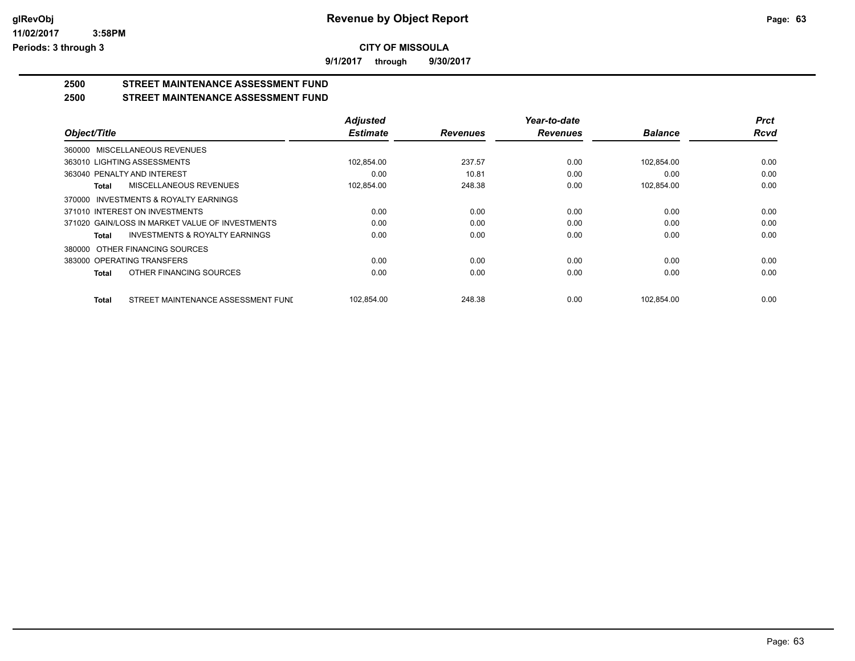**11/02/2017 3:58PM Periods: 3 through 3**

**CITY OF MISSOULA**

**9/1/2017 through 9/30/2017**

## **2500 STREET MAINTENANCE ASSESSMENT FUND**

## **2500 STREET MAINTENANCE ASSESSMENT FUND**

|                                                    | <b>Adjusted</b> |                 | Year-to-date    |                | <b>Prct</b> |
|----------------------------------------------------|-----------------|-----------------|-----------------|----------------|-------------|
| Object/Title                                       | <b>Estimate</b> | <b>Revenues</b> | <b>Revenues</b> | <b>Balance</b> | <b>Rcvd</b> |
| 360000 MISCELLANEOUS REVENUES                      |                 |                 |                 |                |             |
| 363010 LIGHTING ASSESSMENTS                        | 102,854.00      | 237.57          | 0.00            | 102,854.00     | 0.00        |
| 363040 PENALTY AND INTEREST                        | 0.00            | 10.81           | 0.00            | 0.00           | 0.00        |
| <b>MISCELLANEOUS REVENUES</b><br>Total             | 102,854.00      | 248.38          | 0.00            | 102,854.00     | 0.00        |
| 370000 INVESTMENTS & ROYALTY EARNINGS              |                 |                 |                 |                |             |
| 371010 INTEREST ON INVESTMENTS                     | 0.00            | 0.00            | 0.00            | 0.00           | 0.00        |
| 371020 GAIN/LOSS IN MARKET VALUE OF INVESTMENTS    | 0.00            | 0.00            | 0.00            | 0.00           | 0.00        |
| <b>INVESTMENTS &amp; ROYALTY EARNINGS</b><br>Total | 0.00            | 0.00            | 0.00            | 0.00           | 0.00        |
| OTHER FINANCING SOURCES<br>380000                  |                 |                 |                 |                |             |
| 383000 OPERATING TRANSFERS                         | 0.00            | 0.00            | 0.00            | 0.00           | 0.00        |
| OTHER FINANCING SOURCES<br>Total                   | 0.00            | 0.00            | 0.00            | 0.00           | 0.00        |
| STREET MAINTENANCE ASSESSMENT FUND<br>Total        | 102.854.00      | 248.38          | 0.00            | 102.854.00     | 0.00        |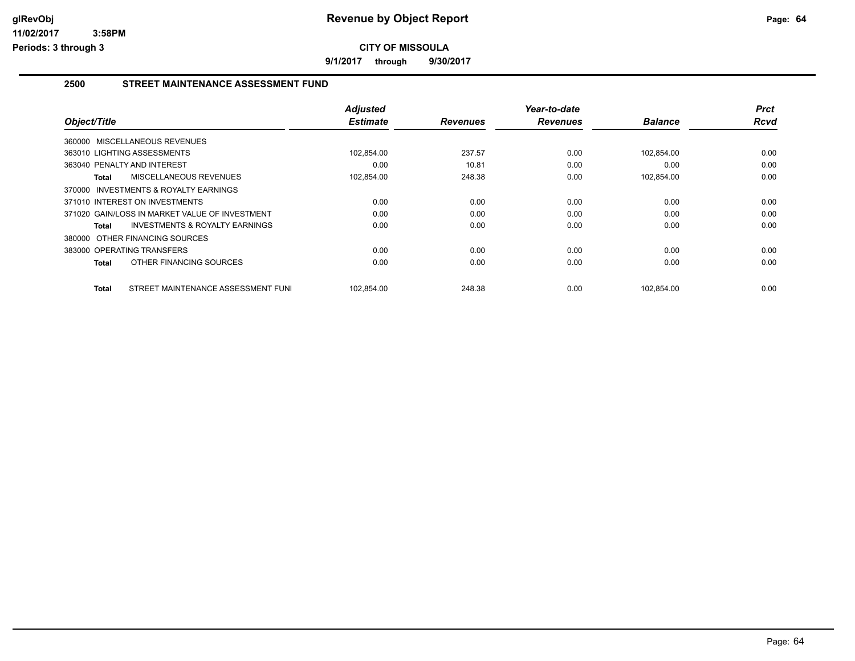**3:58PM**

**CITY OF MISSOULA**

**9/1/2017 through 9/30/2017**

#### **2500 STREET MAINTENANCE ASSESSMENT FUND**

| Object/Title                                       | <b>Adjusted</b><br><b>Estimate</b> | <b>Revenues</b> | Year-to-date<br><b>Revenues</b> | <b>Balance</b> | <b>Prct</b><br>Rcvd |
|----------------------------------------------------|------------------------------------|-----------------|---------------------------------|----------------|---------------------|
| 360000 MISCELLANEOUS REVENUES                      |                                    |                 |                                 |                |                     |
| 363010 LIGHTING ASSESSMENTS                        | 102,854.00                         | 237.57          | 0.00                            | 102,854.00     | 0.00                |
| 363040 PENALTY AND INTEREST                        | 0.00                               | 10.81           | 0.00                            | 0.00           | 0.00                |
| <b>MISCELLANEOUS REVENUES</b><br>Total             | 102,854.00                         | 248.38          | 0.00                            | 102,854.00     | 0.00                |
| 370000 INVESTMENTS & ROYALTY EARNINGS              |                                    |                 |                                 |                |                     |
| 371010 INTEREST ON INVESTMENTS                     | 0.00                               | 0.00            | 0.00                            | 0.00           | 0.00                |
| 371020 GAIN/LOSS IN MARKET VALUE OF INVESTMENT     | 0.00                               | 0.00            | 0.00                            | 0.00           | 0.00                |
| <b>INVESTMENTS &amp; ROYALTY EARNINGS</b><br>Total | 0.00                               | 0.00            | 0.00                            | 0.00           | 0.00                |
| 380000 OTHER FINANCING SOURCES                     |                                    |                 |                                 |                |                     |
| 383000 OPERATING TRANSFERS                         | 0.00                               | 0.00            | 0.00                            | 0.00           | 0.00                |
| OTHER FINANCING SOURCES<br>Total                   | 0.00                               | 0.00            | 0.00                            | 0.00           | 0.00                |
| STREET MAINTENANCE ASSESSMENT FUNI<br>Total        | 102.854.00                         | 248.38          | 0.00                            | 102.854.00     | 0.00                |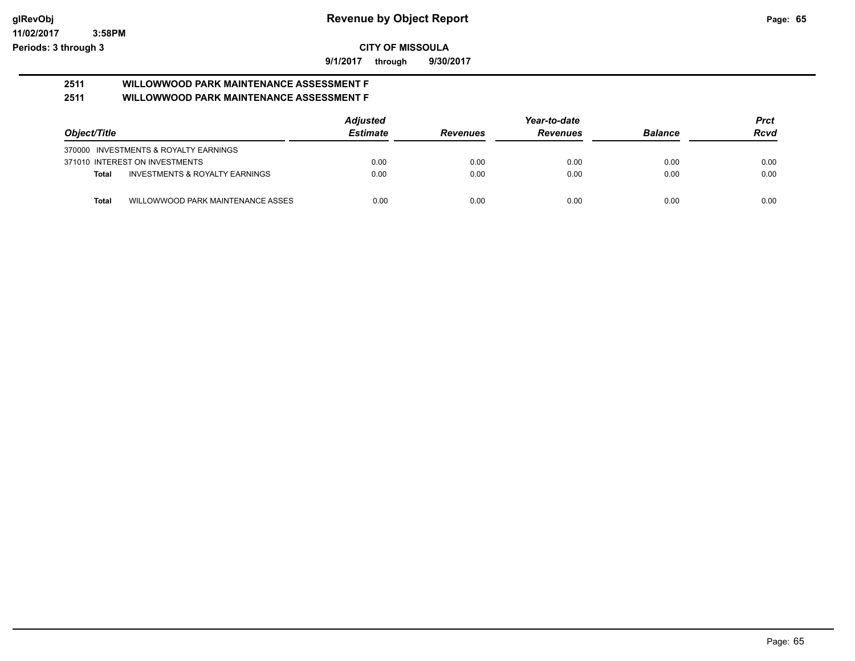**11/02/2017 3:58PM Periods: 3 through 3**

**CITY OF MISSOULA**

**9/1/2017 through 9/30/2017**

#### **2511 WILLOWWOOD PARK MAINTENANCE ASSESSMENT F 2511 WILLOWWOOD PARK MAINTENANCE ASSESSMENT F**

|              |                                           | <b>Adjusted</b> |                 | Year-to-date    |                | Prct        |
|--------------|-------------------------------------------|-----------------|-----------------|-----------------|----------------|-------------|
| Object/Title |                                           | <b>Estimate</b> | <b>Revenues</b> | <b>Revenues</b> | <b>Balance</b> | <b>Rcvd</b> |
|              | 370000 INVESTMENTS & ROYALTY EARNINGS     |                 |                 |                 |                |             |
|              | 371010 INTEREST ON INVESTMENTS            | 0.00            | 0.00            | 0.00            | 0.00           | 0.00        |
| <b>Total</b> | <b>INVESTMENTS &amp; ROYALTY EARNINGS</b> | 0.00            | 0.00            | 0.00            | 0.00           | 0.00        |
| <b>Total</b> | WILLOWWOOD PARK MAINTENANCE ASSES         | 0.00            | 0.00            | 0.00            | 0.00           | 0.00        |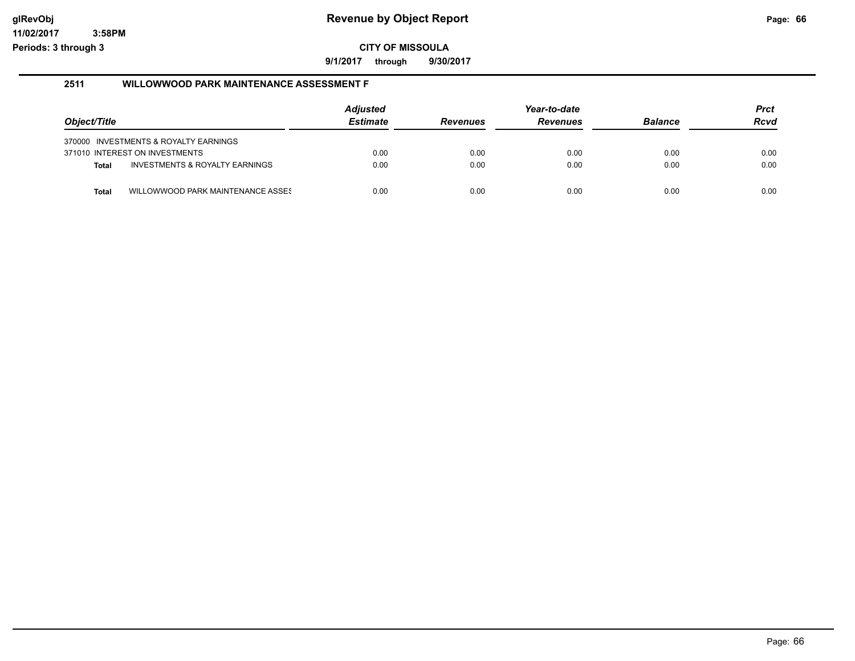**9/1/2017 through 9/30/2017**

#### **2511 WILLOWWOOD PARK MAINTENANCE ASSESSMENT F**

| Object/Title |                                       | Adjusted<br><b>Estimate</b> | <b>Revenues</b> | Year-to-date<br><b>Revenues</b> | <b>Balance</b> | <b>Prct</b><br><b>Rcvd</b> |
|--------------|---------------------------------------|-----------------------------|-----------------|---------------------------------|----------------|----------------------------|
|              | 370000 INVESTMENTS & ROYALTY EARNINGS |                             |                 |                                 |                |                            |
|              | 371010 INTEREST ON INVESTMENTS        | 0.00                        | 0.00            | 0.00                            | 0.00           | 0.00                       |
| <b>Total</b> | INVESTMENTS & ROYALTY EARNINGS        | 0.00                        | 0.00            | 0.00                            | 0.00           | 0.00                       |
| <b>Total</b> | WILLOWWOOD PARK MAINTENANCE ASSES     | 0.00                        | 0.00            | 0.00                            | 0.00           | 0.00                       |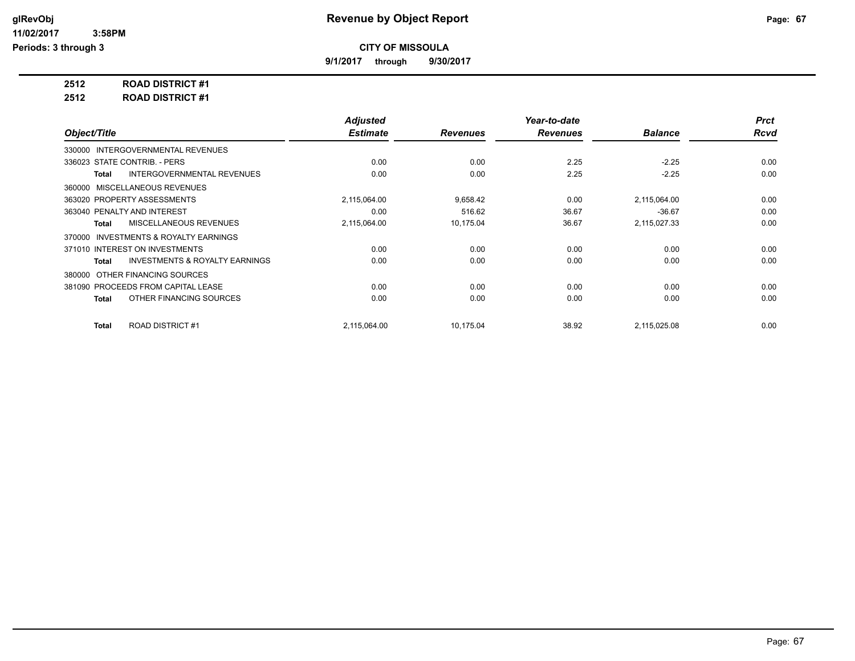**9/1/2017 through 9/30/2017**

**2512 ROAD DISTRICT #1**

**2512 ROAD DISTRICT #1**

|                                                     | <b>Adjusted</b> |                 | Year-to-date    |                | <b>Prct</b> |
|-----------------------------------------------------|-----------------|-----------------|-----------------|----------------|-------------|
| Object/Title                                        | <b>Estimate</b> | <b>Revenues</b> | <b>Revenues</b> | <b>Balance</b> | <b>Rcvd</b> |
| 330000 INTERGOVERNMENTAL REVENUES                   |                 |                 |                 |                |             |
| 336023 STATE CONTRIB. - PERS                        | 0.00            | 0.00            | 2.25            | $-2.25$        | 0.00        |
| <b>INTERGOVERNMENTAL REVENUES</b><br>Total          | 0.00            | 0.00            | 2.25            | $-2.25$        | 0.00        |
| 360000 MISCELLANEOUS REVENUES                       |                 |                 |                 |                |             |
| 363020 PROPERTY ASSESSMENTS                         | 2,115,064.00    | 9,658.42        | 0.00            | 2,115,064.00   | 0.00        |
| 363040 PENALTY AND INTEREST                         | 0.00            | 516.62          | 36.67           | $-36.67$       | 0.00        |
| MISCELLANEOUS REVENUES<br>Total                     | 2,115,064.00    | 10,175.04       | 36.67           | 2,115,027.33   | 0.00        |
| <b>INVESTMENTS &amp; ROYALTY EARNINGS</b><br>370000 |                 |                 |                 |                |             |
| 371010 INTEREST ON INVESTMENTS                      | 0.00            | 0.00            | 0.00            | 0.00           | 0.00        |
| <b>INVESTMENTS &amp; ROYALTY EARNINGS</b><br>Total  | 0.00            | 0.00            | 0.00            | 0.00           | 0.00        |
| 380000 OTHER FINANCING SOURCES                      |                 |                 |                 |                |             |
| 381090 PROCEEDS FROM CAPITAL LEASE                  | 0.00            | 0.00            | 0.00            | 0.00           | 0.00        |
| OTHER FINANCING SOURCES<br>Total                    | 0.00            | 0.00            | 0.00            | 0.00           | 0.00        |
|                                                     |                 |                 |                 |                |             |
| <b>ROAD DISTRICT #1</b><br><b>Total</b>             | 2,115,064.00    | 10,175.04       | 38.92           | 2,115,025.08   | 0.00        |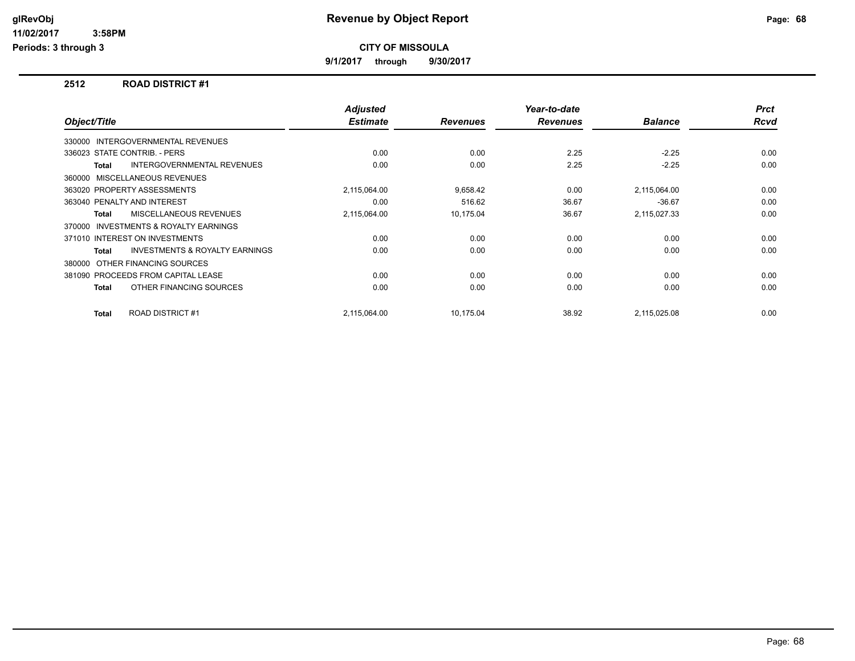**CITY OF MISSOULA**

**9/1/2017 through 9/30/2017**

#### **2512 ROAD DISTRICT #1**

 **3:58PM**

| Object/Title                                        | <b>Adjusted</b><br><b>Estimate</b> | <b>Revenues</b> | Year-to-date<br><b>Revenues</b> | <b>Balance</b> | <b>Prct</b><br>Rcvd |
|-----------------------------------------------------|------------------------------------|-----------------|---------------------------------|----------------|---------------------|
| 330000 INTERGOVERNMENTAL REVENUES                   |                                    |                 |                                 |                |                     |
| 336023 STATE CONTRIB. - PERS                        | 0.00                               | 0.00            | 2.25                            | $-2.25$        | 0.00                |
| <b>INTERGOVERNMENTAL REVENUES</b><br>Total          | 0.00                               | 0.00            | 2.25                            | $-2.25$        | 0.00                |
| 360000 MISCELLANEOUS REVENUES                       |                                    |                 |                                 |                |                     |
| 363020 PROPERTY ASSESSMENTS                         | 2,115,064.00                       | 9,658.42        | 0.00                            | 2,115,064.00   | 0.00                |
| 363040 PENALTY AND INTEREST                         | 0.00                               | 516.62          | 36.67                           | $-36.67$       | 0.00                |
| MISCELLANEOUS REVENUES<br><b>Total</b>              | 2,115,064.00                       | 10,175.04       | 36.67                           | 2,115,027.33   | 0.00                |
| <b>INVESTMENTS &amp; ROYALTY EARNINGS</b><br>370000 |                                    |                 |                                 |                |                     |
| 371010 INTEREST ON INVESTMENTS                      | 0.00                               | 0.00            | 0.00                            | 0.00           | 0.00                |
| <b>INVESTMENTS &amp; ROYALTY EARNINGS</b><br>Total  | 0.00                               | 0.00            | 0.00                            | 0.00           | 0.00                |
| 380000 OTHER FINANCING SOURCES                      |                                    |                 |                                 |                |                     |
| 381090 PROCEEDS FROM CAPITAL LEASE                  | 0.00                               | 0.00            | 0.00                            | 0.00           | 0.00                |
| OTHER FINANCING SOURCES<br><b>Total</b>             | 0.00                               | 0.00            | 0.00                            | 0.00           | 0.00                |
| ROAD DISTRICT #1<br><b>Total</b>                    | 2,115,064.00                       | 10,175.04       | 38.92                           | 2,115,025.08   | 0.00                |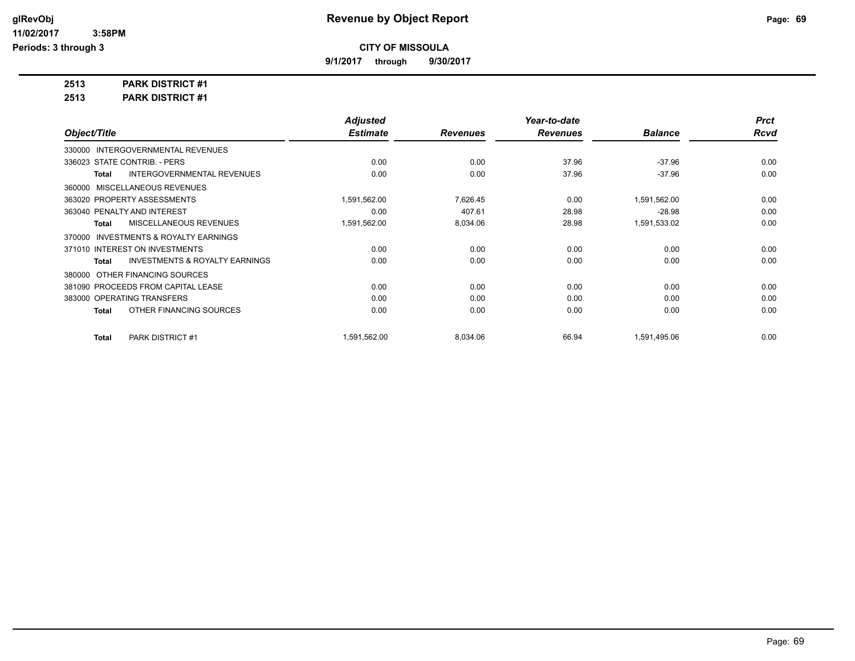**9/1/2017 through 9/30/2017**

**2513 PARK DISTRICT #1**

**2513 PARK DISTRICT #1**

|                                                     | <b>Adjusted</b> |                 | Year-to-date    |                | <b>Prct</b> |
|-----------------------------------------------------|-----------------|-----------------|-----------------|----------------|-------------|
| Object/Title                                        | <b>Estimate</b> | <b>Revenues</b> | <b>Revenues</b> | <b>Balance</b> | Rcvd        |
| 330000 INTERGOVERNMENTAL REVENUES                   |                 |                 |                 |                |             |
| 336023 STATE CONTRIB. - PERS                        | 0.00            | 0.00            | 37.96           | $-37.96$       | 0.00        |
| <b>INTERGOVERNMENTAL REVENUES</b><br><b>Total</b>   | 0.00            | 0.00            | 37.96           | $-37.96$       | 0.00        |
| MISCELLANEOUS REVENUES<br>360000                    |                 |                 |                 |                |             |
| 363020 PROPERTY ASSESSMENTS                         | 1,591,562.00    | 7,626.45        | 0.00            | 1,591,562.00   | 0.00        |
| 363040 PENALTY AND INTEREST                         | 0.00            | 407.61          | 28.98           | $-28.98$       | 0.00        |
| <b>MISCELLANEOUS REVENUES</b><br><b>Total</b>       | 1,591,562.00    | 8,034.06        | 28.98           | 1,591,533.02   | 0.00        |
| <b>INVESTMENTS &amp; ROYALTY EARNINGS</b><br>370000 |                 |                 |                 |                |             |
| 371010 INTEREST ON INVESTMENTS                      | 0.00            | 0.00            | 0.00            | 0.00           | 0.00        |
| <b>INVESTMENTS &amp; ROYALTY EARNINGS</b><br>Total  | 0.00            | 0.00            | 0.00            | 0.00           | 0.00        |
| OTHER FINANCING SOURCES<br>380000                   |                 |                 |                 |                |             |
| 381090 PROCEEDS FROM CAPITAL LEASE                  | 0.00            | 0.00            | 0.00            | 0.00           | 0.00        |
| 383000 OPERATING TRANSFERS                          | 0.00            | 0.00            | 0.00            | 0.00           | 0.00        |
| OTHER FINANCING SOURCES<br><b>Total</b>             | 0.00            | 0.00            | 0.00            | 0.00           | 0.00        |
| <b>PARK DISTRICT #1</b><br><b>Total</b>             | 1,591,562.00    | 8,034.06        | 66.94           | 1,591,495.06   | 0.00        |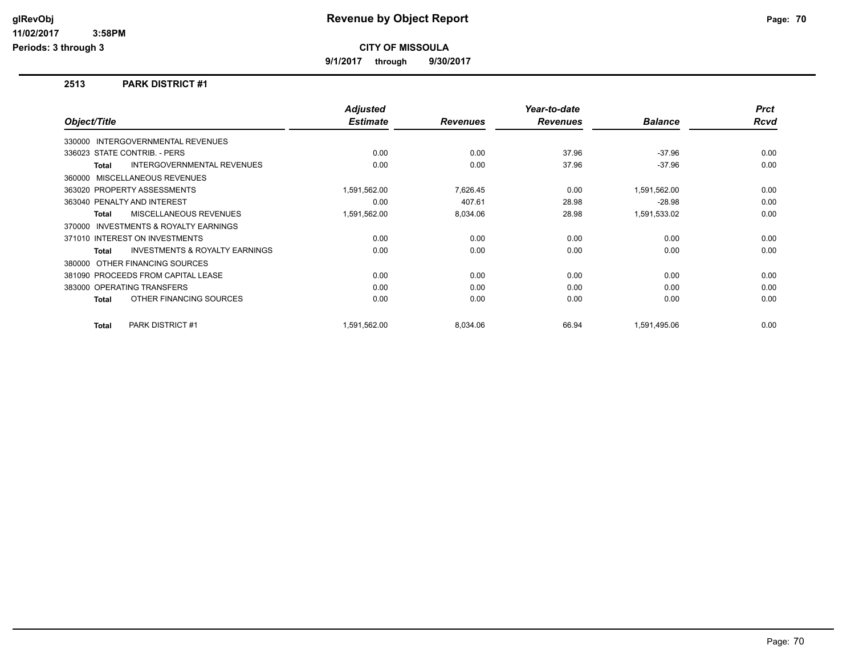**9/1/2017 through 9/30/2017**

#### **2513 PARK DISTRICT #1**

|                                                           | <b>Adjusted</b> |                 | Year-to-date    |                | <b>Prct</b> |
|-----------------------------------------------------------|-----------------|-----------------|-----------------|----------------|-------------|
| Object/Title                                              | <b>Estimate</b> | <b>Revenues</b> | <b>Revenues</b> | <b>Balance</b> | Rcvd        |
| 330000 INTERGOVERNMENTAL REVENUES                         |                 |                 |                 |                |             |
| 336023 STATE CONTRIB. - PERS                              | 0.00            | 0.00            | 37.96           | $-37.96$       | 0.00        |
| <b>INTERGOVERNMENTAL REVENUES</b><br><b>Total</b>         | 0.00            | 0.00            | 37.96           | $-37.96$       | 0.00        |
| 360000 MISCELLANEOUS REVENUES                             |                 |                 |                 |                |             |
| 363020 PROPERTY ASSESSMENTS                               | 1,591,562.00    | 7,626.45        | 0.00            | 1,591,562.00   | 0.00        |
| 363040 PENALTY AND INTEREST                               | 0.00            | 407.61          | 28.98           | $-28.98$       | 0.00        |
| MISCELLANEOUS REVENUES<br><b>Total</b>                    | 1,591,562.00    | 8,034.06        | 28.98           | 1,591,533.02   | 0.00        |
| <b>INVESTMENTS &amp; ROYALTY EARNINGS</b><br>370000       |                 |                 |                 |                |             |
| 371010 INTEREST ON INVESTMENTS                            | 0.00            | 0.00            | 0.00            | 0.00           | 0.00        |
| <b>INVESTMENTS &amp; ROYALTY EARNINGS</b><br><b>Total</b> | 0.00            | 0.00            | 0.00            | 0.00           | 0.00        |
| OTHER FINANCING SOURCES<br>380000                         |                 |                 |                 |                |             |
| 381090 PROCEEDS FROM CAPITAL LEASE                        | 0.00            | 0.00            | 0.00            | 0.00           | 0.00        |
| 383000 OPERATING TRANSFERS                                | 0.00            | 0.00            | 0.00            | 0.00           | 0.00        |
| OTHER FINANCING SOURCES<br><b>Total</b>                   | 0.00            | 0.00            | 0.00            | 0.00           | 0.00        |
| <b>PARK DISTRICT #1</b><br><b>Total</b>                   | 1,591,562.00    | 8,034.06        | 66.94           | 1,591,495.06   | 0.00        |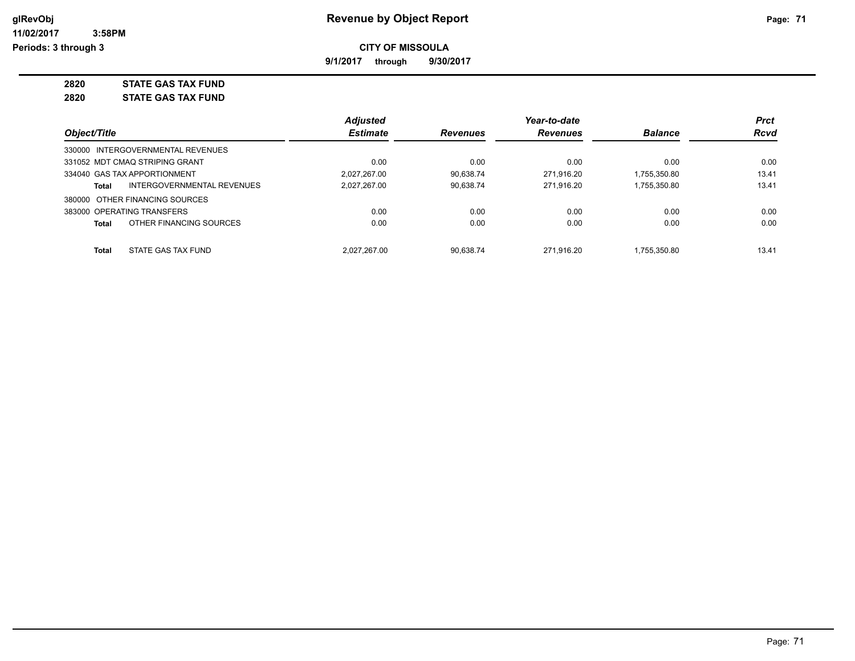**9/1/2017 through 9/30/2017**

**2820 STATE GAS TAX FUND**

**2820 STATE GAS TAX FUND**

|                                     | <b>Adjusted</b> |                 | Year-to-date    |                | <b>Prct</b> |
|-------------------------------------|-----------------|-----------------|-----------------|----------------|-------------|
| Object/Title                        | <b>Estimate</b> | <b>Revenues</b> | <b>Revenues</b> | <b>Balance</b> | Rcvd        |
| 330000 INTERGOVERNMENTAL REVENUES   |                 |                 |                 |                |             |
| 331052 MDT CMAQ STRIPING GRANT      | 0.00            | 0.00            | 0.00            | 0.00           | 0.00        |
| 334040 GAS TAX APPORTIONMENT        | 2.027.267.00    | 90.638.74       | 271.916.20      | 1,755,350.80   | 13.41       |
| INTERGOVERNMENTAL REVENUES<br>Total | 2,027,267.00    | 90,638.74       | 271,916.20      | 1,755,350.80   | 13.41       |
| 380000 OTHER FINANCING SOURCES      |                 |                 |                 |                |             |
| 383000 OPERATING TRANSFERS          | 0.00            | 0.00            | 0.00            | 0.00           | 0.00        |
| OTHER FINANCING SOURCES<br>Total    | 0.00            | 0.00            | 0.00            | 0.00           | 0.00        |
| <b>STATE GAS TAX FUND</b><br>Total  | 2.027.267.00    | 90.638.74       | 271.916.20      | 1.755.350.80   | 13.41       |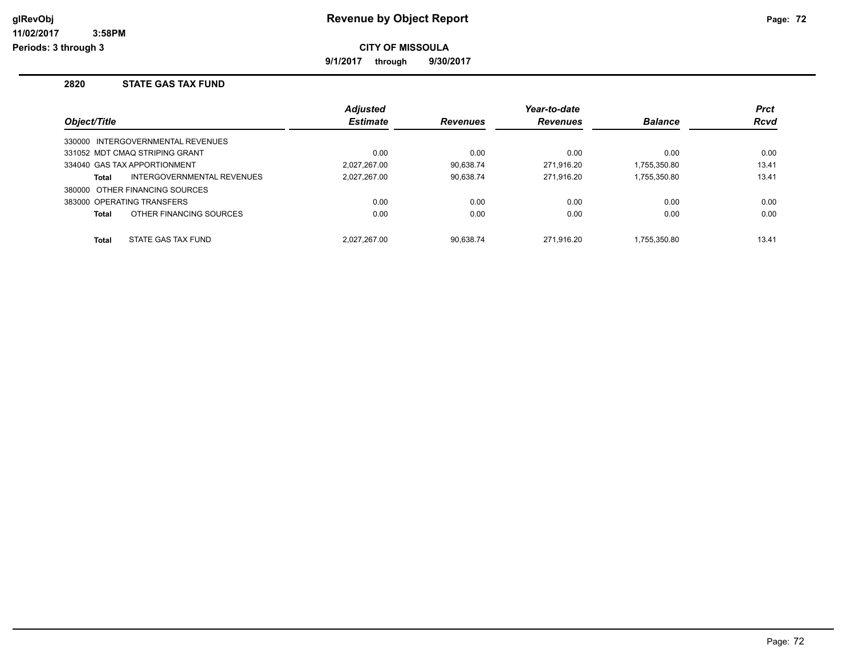**CITY OF MISSOULA**

**9/1/2017 through 9/30/2017**

#### **2820 STATE GAS TAX FUND**

 **3:58PM**

|              |                                   | <b>Adjusted</b> |                 | Year-to-date    |                | <b>Prct</b> |
|--------------|-----------------------------------|-----------------|-----------------|-----------------|----------------|-------------|
| Object/Title |                                   | <b>Estimate</b> | <b>Revenues</b> | <b>Revenues</b> | <b>Balance</b> | <b>Rcvd</b> |
|              | 330000 INTERGOVERNMENTAL REVENUES |                 |                 |                 |                |             |
|              | 331052 MDT CMAQ STRIPING GRANT    | 0.00            | 0.00            | 0.00            | 0.00           | 0.00        |
|              | 334040 GAS TAX APPORTIONMENT      | 2.027.267.00    | 90.638.74       | 271.916.20      | 1,755,350.80   | 13.41       |
| <b>Total</b> | INTERGOVERNMENTAL REVENUES        | 2.027.267.00    | 90,638.74       | 271.916.20      | 1,755,350.80   | 13.41       |
|              | 380000 OTHER FINANCING SOURCES    |                 |                 |                 |                |             |
|              | 383000 OPERATING TRANSFERS        | 0.00            | 0.00            | 0.00            | 0.00           | 0.00        |
| <b>Total</b> | OTHER FINANCING SOURCES           | 0.00            | 0.00            | 0.00            | 0.00           | 0.00        |
| <b>Total</b> | STATE GAS TAX FUND                | 2.027.267.00    | 90.638.74       | 271.916.20      | 1.755.350.80   | 13.41       |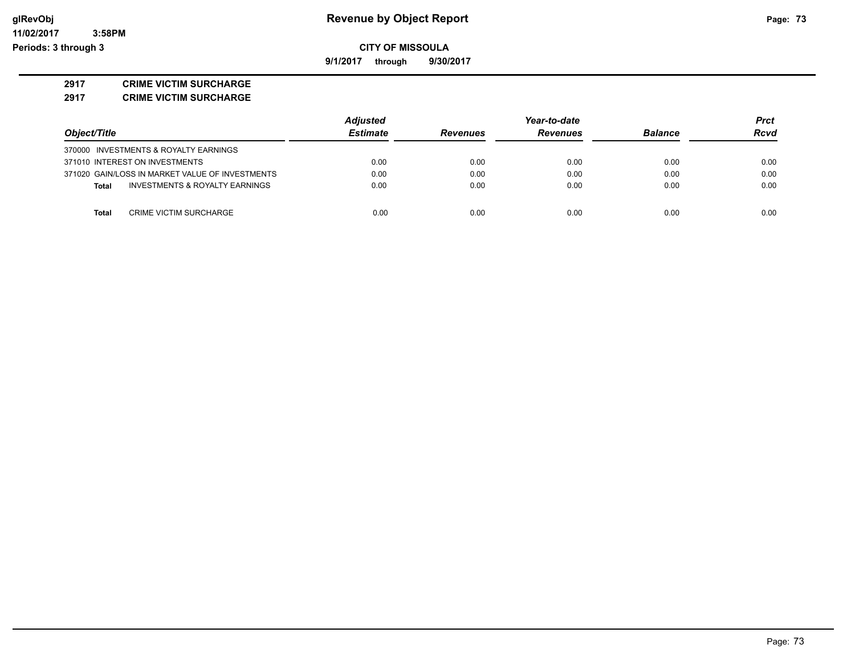**11/02/2017 3:58PM Periods: 3 through 3**

**CITY OF MISSOULA**

**9/1/2017 through 9/30/2017**

#### **2917 CRIME VICTIM SURCHARGE**

**2917 CRIME VICTIM SURCHARGE**

|                                                           | <b>Adjusted</b> |                 | Year-to-date    |                |      |
|-----------------------------------------------------------|-----------------|-----------------|-----------------|----------------|------|
| Object/Title                                              | <b>Estimate</b> | <b>Revenues</b> | <b>Revenues</b> | <b>Balance</b> | Rcvd |
| 370000 INVESTMENTS & ROYALTY EARNINGS                     |                 |                 |                 |                |      |
| 371010 INTEREST ON INVESTMENTS                            | 0.00            | 0.00            | 0.00            | 0.00           | 0.00 |
| 371020 GAIN/LOSS IN MARKET VALUE OF INVESTMENTS           | 0.00            | 0.00            | 0.00            | 0.00           | 0.00 |
| <b>INVESTMENTS &amp; ROYALTY EARNINGS</b><br><b>Total</b> | 0.00            | 0.00            | 0.00            | 0.00           | 0.00 |
|                                                           |                 |                 |                 |                |      |
| <b>Total</b><br>CRIME VICTIM SURCHARGE                    | 0.00            | 0.00            | 0.00            | 0.00           | 0.00 |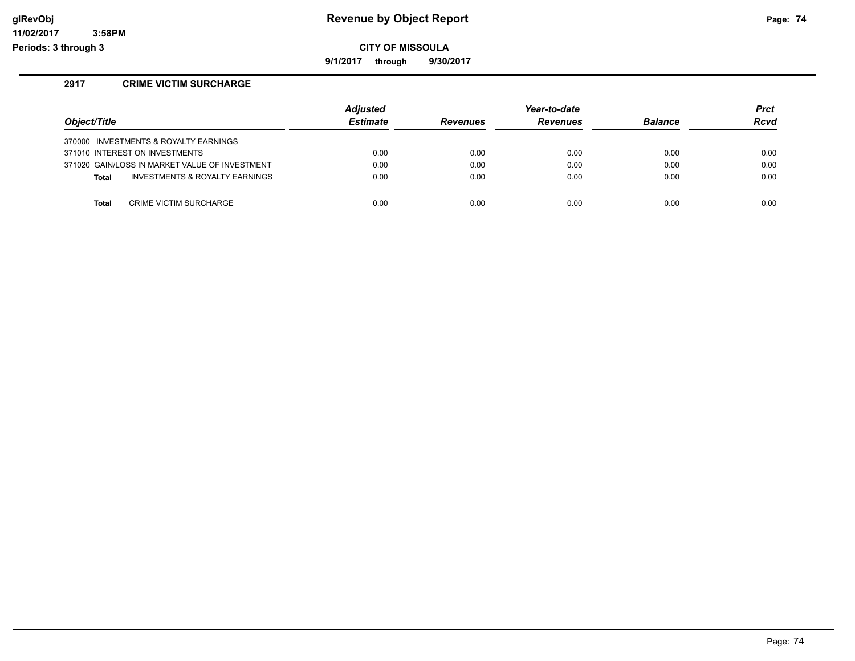**CITY OF MISSOULA**

**9/1/2017 through 9/30/2017**

#### **2917 CRIME VICTIM SURCHARGE**

 **3:58PM**

| Object/Title |                                                | <b>Adiusted</b><br><b>Estimate</b> | <b>Revenues</b> | Year-to-date<br><b>Revenues</b> | <b>Balance</b> | <b>Prct</b><br><b>Rcvd</b> |
|--------------|------------------------------------------------|------------------------------------|-----------------|---------------------------------|----------------|----------------------------|
|              | 370000 INVESTMENTS & ROYALTY EARNINGS          |                                    |                 |                                 |                |                            |
|              | 371010 INTEREST ON INVESTMENTS                 | 0.00                               | 0.00            | 0.00                            | 0.00           | 0.00                       |
|              | 371020 GAIN/LOSS IN MARKET VALUE OF INVESTMENT | 0.00                               | 0.00            | 0.00                            | 0.00           | 0.00                       |
| <b>Total</b> | INVESTMENTS & ROYALTY EARNINGS                 | 0.00                               | 0.00            | 0.00                            | 0.00           | 0.00                       |
|              |                                                |                                    |                 |                                 |                |                            |
| Total        | <b>CRIME VICTIM SURCHARGE</b>                  | 0.00                               | 0.00            | 0.00                            | 0.00           | 0.00                       |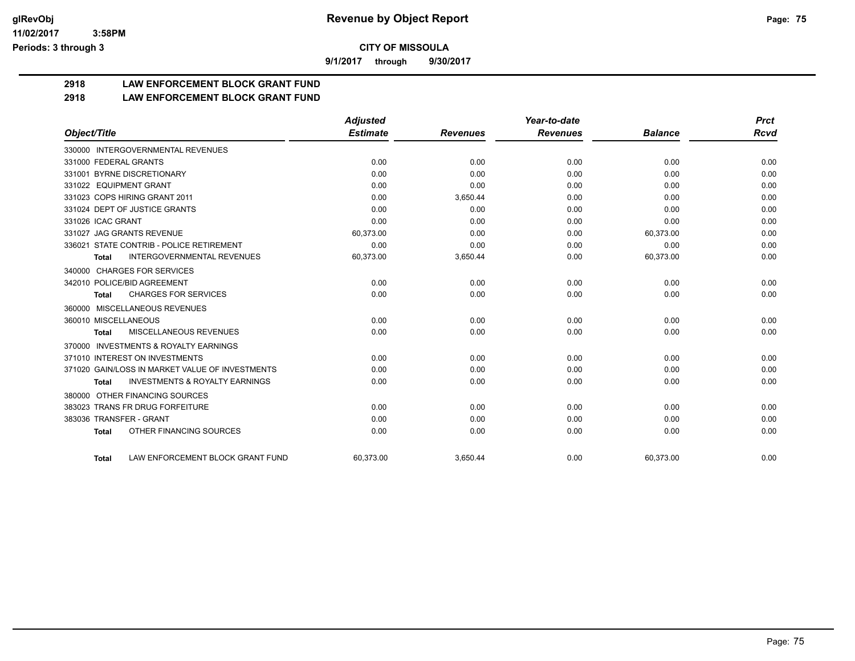**CITY OF MISSOULA**

**9/1/2017 through 9/30/2017**

# **2918 LAW ENFORCEMENT BLOCK GRANT FUND**

## **2918 LAW ENFORCEMENT BLOCK GRANT FUND**

|                                                           | <b>Adjusted</b> |                 | Year-to-date    |                | <b>Prct</b> |
|-----------------------------------------------------------|-----------------|-----------------|-----------------|----------------|-------------|
| Object/Title                                              | <b>Estimate</b> | <b>Revenues</b> | <b>Revenues</b> | <b>Balance</b> | <b>Rcvd</b> |
| 330000 INTERGOVERNMENTAL REVENUES                         |                 |                 |                 |                |             |
| 331000 FEDERAL GRANTS                                     | 0.00            | 0.00            | 0.00            | 0.00           | 0.00        |
| 331001 BYRNE DISCRETIONARY                                | 0.00            | 0.00            | 0.00            | 0.00           | 0.00        |
| 331022 EQUIPMENT GRANT                                    | 0.00            | 0.00            | 0.00            | 0.00           | 0.00        |
| 331023 COPS HIRING GRANT 2011                             | 0.00            | 3,650.44        | 0.00            | 0.00           | 0.00        |
| 331024 DEPT OF JUSTICE GRANTS                             | 0.00            | 0.00            | 0.00            | 0.00           | 0.00        |
| 331026 ICAC GRANT                                         | 0.00            | 0.00            | 0.00            | 0.00           | 0.00        |
| 331027 JAG GRANTS REVENUE                                 | 60,373.00       | 0.00            | 0.00            | 60,373.00      | 0.00        |
| STATE CONTRIB - POLICE RETIREMENT<br>336021               | 0.00            | 0.00            | 0.00            | 0.00           | 0.00        |
| <b>INTERGOVERNMENTAL REVENUES</b><br><b>Total</b>         | 60,373.00       | 3,650.44        | 0.00            | 60,373.00      | 0.00        |
| 340000 CHARGES FOR SERVICES                               |                 |                 |                 |                |             |
| 342010 POLICE/BID AGREEMENT                               | 0.00            | 0.00            | 0.00            | 0.00           | 0.00        |
| <b>CHARGES FOR SERVICES</b><br><b>Total</b>               | 0.00            | 0.00            | 0.00            | 0.00           | 0.00        |
| 360000 MISCELLANEOUS REVENUES                             |                 |                 |                 |                |             |
| 360010 MISCELLANEOUS                                      | 0.00            | 0.00            | 0.00            | 0.00           | 0.00        |
| <b>MISCELLANEOUS REVENUES</b><br><b>Total</b>             | 0.00            | 0.00            | 0.00            | 0.00           | 0.00        |
| <b>INVESTMENTS &amp; ROYALTY EARNINGS</b><br>370000       |                 |                 |                 |                |             |
| 371010 INTEREST ON INVESTMENTS                            | 0.00            | 0.00            | 0.00            | 0.00           | 0.00        |
| 371020 GAIN/LOSS IN MARKET VALUE OF INVESTMENTS           | 0.00            | 0.00            | 0.00            | 0.00           | 0.00        |
| <b>INVESTMENTS &amp; ROYALTY EARNINGS</b><br><b>Total</b> | 0.00            | 0.00            | 0.00            | 0.00           | 0.00        |
| OTHER FINANCING SOURCES<br>380000                         |                 |                 |                 |                |             |
| 383023 TRANS FR DRUG FORFEITURE                           | 0.00            | 0.00            | 0.00            | 0.00           | 0.00        |
| 383036 TRANSFER - GRANT                                   | 0.00            | 0.00            | 0.00            | 0.00           | 0.00        |
| OTHER FINANCING SOURCES<br><b>Total</b>                   | 0.00            | 0.00            | 0.00            | 0.00           | 0.00        |
|                                                           |                 |                 |                 |                |             |
| LAW ENFORCEMENT BLOCK GRANT FUND<br><b>Total</b>          | 60,373.00       | 3,650.44        | 0.00            | 60,373.00      | 0.00        |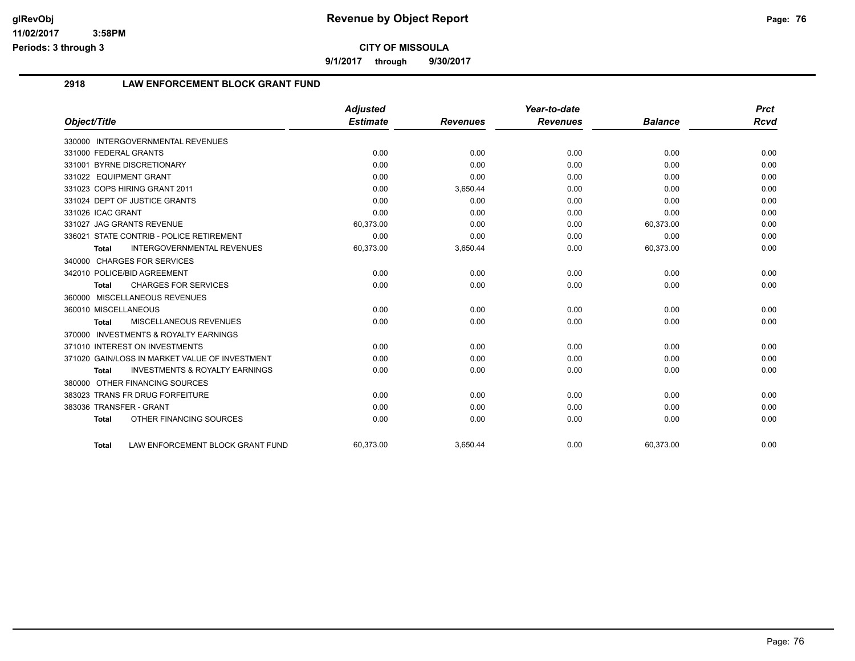**9/1/2017 through 9/30/2017**

## **2918 LAW ENFORCEMENT BLOCK GRANT FUND**

|                                                           | <b>Adjusted</b> |                 | Year-to-date    |                | <b>Prct</b> |
|-----------------------------------------------------------|-----------------|-----------------|-----------------|----------------|-------------|
| Object/Title                                              | <b>Estimate</b> | <b>Revenues</b> | <b>Revenues</b> | <b>Balance</b> | <b>Rcvd</b> |
| 330000 INTERGOVERNMENTAL REVENUES                         |                 |                 |                 |                |             |
| 331000 FEDERAL GRANTS                                     | 0.00            | 0.00            | 0.00            | 0.00           | 0.00        |
| 331001 BYRNE DISCRETIONARY                                | 0.00            | 0.00            | 0.00            | 0.00           | 0.00        |
| 331022 EQUIPMENT GRANT                                    | 0.00            | 0.00            | 0.00            | 0.00           | 0.00        |
| 331023 COPS HIRING GRANT 2011                             | 0.00            | 3,650.44        | 0.00            | 0.00           | 0.00        |
| 331024 DEPT OF JUSTICE GRANTS                             | 0.00            | 0.00            | 0.00            | 0.00           | 0.00        |
| 331026 ICAC GRANT                                         | 0.00            | 0.00            | 0.00            | 0.00           | 0.00        |
| 331027 JAG GRANTS REVENUE                                 | 60,373.00       | 0.00            | 0.00            | 60,373.00      | 0.00        |
| 336021 STATE CONTRIB - POLICE RETIREMENT                  | 0.00            | 0.00            | 0.00            | 0.00           | 0.00        |
| <b>INTERGOVERNMENTAL REVENUES</b><br><b>Total</b>         | 60,373.00       | 3,650.44        | 0.00            | 60,373.00      | 0.00        |
| 340000 CHARGES FOR SERVICES                               |                 |                 |                 |                |             |
| 342010 POLICE/BID AGREEMENT                               | 0.00            | 0.00            | 0.00            | 0.00           | 0.00        |
| <b>CHARGES FOR SERVICES</b><br>Total                      | 0.00            | 0.00            | 0.00            | 0.00           | 0.00        |
| 360000 MISCELLANEOUS REVENUES                             |                 |                 |                 |                |             |
| 360010 MISCELLANEOUS                                      | 0.00            | 0.00            | 0.00            | 0.00           | 0.00        |
| MISCELLANEOUS REVENUES<br><b>Total</b>                    | 0.00            | 0.00            | 0.00            | 0.00           | 0.00        |
| 370000 INVESTMENTS & ROYALTY EARNINGS                     |                 |                 |                 |                |             |
| 371010 INTEREST ON INVESTMENTS                            | 0.00            | 0.00            | 0.00            | 0.00           | 0.00        |
| 371020 GAIN/LOSS IN MARKET VALUE OF INVESTMENT            | 0.00            | 0.00            | 0.00            | 0.00           | 0.00        |
| <b>INVESTMENTS &amp; ROYALTY EARNINGS</b><br><b>Total</b> | 0.00            | 0.00            | 0.00            | 0.00           | 0.00        |
| 380000 OTHER FINANCING SOURCES                            |                 |                 |                 |                |             |
| 383023 TRANS FR DRUG FORFEITURE                           | 0.00            | 0.00            | 0.00            | 0.00           | 0.00        |
| 383036 TRANSFER - GRANT                                   | 0.00            | 0.00            | 0.00            | 0.00           | 0.00        |
| OTHER FINANCING SOURCES<br><b>Total</b>                   | 0.00            | 0.00            | 0.00            | 0.00           | 0.00        |
| LAW ENFORCEMENT BLOCK GRANT FUND<br><b>Total</b>          | 60,373.00       | 3,650.44        | 0.00            | 60,373.00      | 0.00        |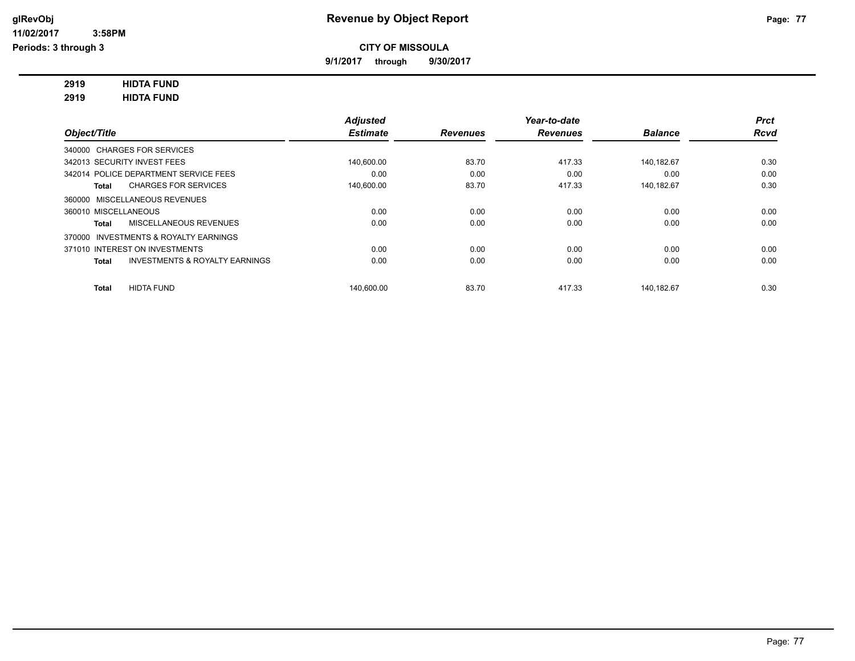**9/1/2017 through 9/30/2017**

## **2919 HIDTA FUND**

**2919 HIDTA FUND**

|                                                    | <b>Adjusted</b> |                 | Year-to-date    |                | <b>Prct</b> |
|----------------------------------------------------|-----------------|-----------------|-----------------|----------------|-------------|
| Object/Title                                       | <b>Estimate</b> | <b>Revenues</b> | <b>Revenues</b> | <b>Balance</b> | <b>Rcvd</b> |
| 340000 CHARGES FOR SERVICES                        |                 |                 |                 |                |             |
| 342013 SECURITY INVEST FEES                        | 140,600.00      | 83.70           | 417.33          | 140,182.67     | 0.30        |
| 342014 POLICE DEPARTMENT SERVICE FEES              | 0.00            | 0.00            | 0.00            | 0.00           | 0.00        |
| <b>CHARGES FOR SERVICES</b><br>Total               | 140,600.00      | 83.70           | 417.33          | 140,182.67     | 0.30        |
| 360000 MISCELLANEOUS REVENUES                      |                 |                 |                 |                |             |
| 360010 MISCELLANEOUS                               | 0.00            | 0.00            | 0.00            | 0.00           | 0.00        |
| MISCELLANEOUS REVENUES<br>Total                    | 0.00            | 0.00            | 0.00            | 0.00           | 0.00        |
| 370000 INVESTMENTS & ROYALTY EARNINGS              |                 |                 |                 |                |             |
| 371010 INTEREST ON INVESTMENTS                     | 0.00            | 0.00            | 0.00            | 0.00           | 0.00        |
| <b>INVESTMENTS &amp; ROYALTY EARNINGS</b><br>Total | 0.00            | 0.00            | 0.00            | 0.00           | 0.00        |
| <b>HIDTA FUND</b><br>Total                         | 140.600.00      | 83.70           | 417.33          | 140.182.67     | 0.30        |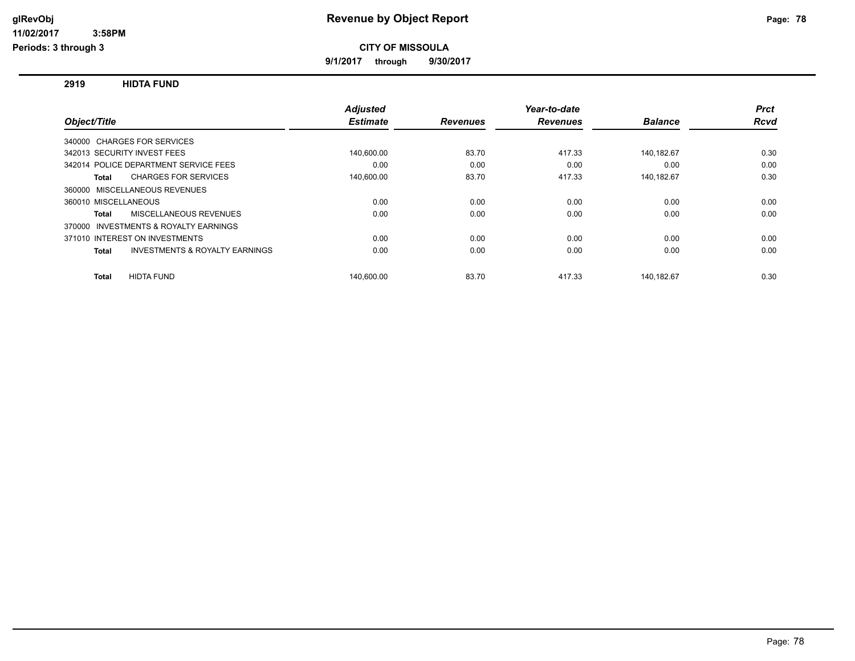**11/02/2017 3:58PM Periods: 3 through 3**

**CITY OF MISSOULA**

**9/1/2017 through 9/30/2017**

**2919 HIDTA FUND**

|                                                    | <b>Adjusted</b> |                 | Year-to-date    |                | <b>Prct</b> |
|----------------------------------------------------|-----------------|-----------------|-----------------|----------------|-------------|
| Object/Title                                       | <b>Estimate</b> | <b>Revenues</b> | <b>Revenues</b> | <b>Balance</b> | <b>Rcvd</b> |
| 340000 CHARGES FOR SERVICES                        |                 |                 |                 |                |             |
| 342013 SECURITY INVEST FEES                        | 140.600.00      | 83.70           | 417.33          | 140.182.67     | 0.30        |
| 342014 POLICE DEPARTMENT SERVICE FEES              | 0.00            | 0.00            | 0.00            | 0.00           | 0.00        |
| <b>CHARGES FOR SERVICES</b><br>Total               | 140,600.00      | 83.70           | 417.33          | 140,182.67     | 0.30        |
| 360000 MISCELLANEOUS REVENUES                      |                 |                 |                 |                |             |
| 360010 MISCELLANEOUS                               | 0.00            | 0.00            | 0.00            | 0.00           | 0.00        |
| <b>MISCELLANEOUS REVENUES</b><br>Total             | 0.00            | 0.00            | 0.00            | 0.00           | 0.00        |
| INVESTMENTS & ROYALTY EARNINGS<br>370000           |                 |                 |                 |                |             |
| 371010 INTEREST ON INVESTMENTS                     | 0.00            | 0.00            | 0.00            | 0.00           | 0.00        |
| <b>INVESTMENTS &amp; ROYALTY EARNINGS</b><br>Total | 0.00            | 0.00            | 0.00            | 0.00           | 0.00        |
| <b>HIDTA FUND</b><br><b>Total</b>                  | 140.600.00      | 83.70           | 417.33          | 140.182.67     | 0.30        |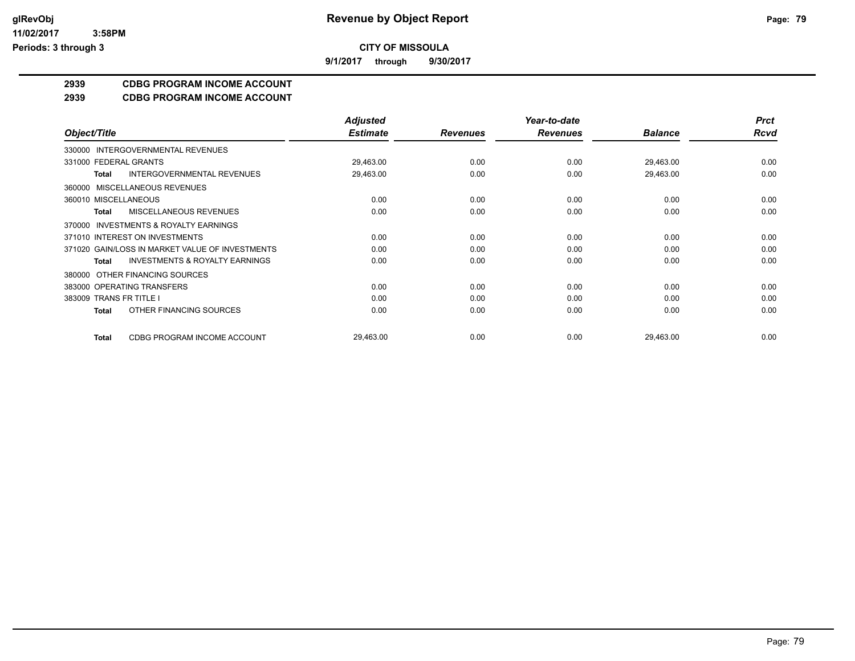**11/02/2017 3:58PM Periods: 3 through 3**

**CITY OF MISSOULA**

**9/1/2017 through 9/30/2017**

## **2939 CDBG PROGRAM INCOME ACCOUNT**

#### **2939 CDBG PROGRAM INCOME ACCOUNT**

|                                                    | <b>Adjusted</b> |                 | Year-to-date    |                | <b>Prct</b> |
|----------------------------------------------------|-----------------|-----------------|-----------------|----------------|-------------|
| Object/Title                                       | <b>Estimate</b> | <b>Revenues</b> | <b>Revenues</b> | <b>Balance</b> | Rcvd        |
| 330000 INTERGOVERNMENTAL REVENUES                  |                 |                 |                 |                |             |
| 331000 FEDERAL GRANTS                              | 29,463.00       | 0.00            | 0.00            | 29,463.00      | 0.00        |
| INTERGOVERNMENTAL REVENUES<br>Total                | 29,463.00       | 0.00            | 0.00            | 29,463.00      | 0.00        |
| 360000 MISCELLANEOUS REVENUES                      |                 |                 |                 |                |             |
| 360010 MISCELLANEOUS                               | 0.00            | 0.00            | 0.00            | 0.00           | 0.00        |
| <b>MISCELLANEOUS REVENUES</b><br>Total             | 0.00            | 0.00            | 0.00            | 0.00           | 0.00        |
| 370000 INVESTMENTS & ROYALTY EARNINGS              |                 |                 |                 |                |             |
| 371010 INTEREST ON INVESTMENTS                     | 0.00            | 0.00            | 0.00            | 0.00           | 0.00        |
| 371020 GAIN/LOSS IN MARKET VALUE OF INVESTMENTS    | 0.00            | 0.00            | 0.00            | 0.00           | 0.00        |
| <b>INVESTMENTS &amp; ROYALTY EARNINGS</b><br>Total | 0.00            | 0.00            | 0.00            | 0.00           | 0.00        |
| 380000 OTHER FINANCING SOURCES                     |                 |                 |                 |                |             |
| 383000 OPERATING TRANSFERS                         | 0.00            | 0.00            | 0.00            | 0.00           | 0.00        |
| 383009 TRANS FR TITLE I                            | 0.00            | 0.00            | 0.00            | 0.00           | 0.00        |
| OTHER FINANCING SOURCES<br>Total                   | 0.00            | 0.00            | 0.00            | 0.00           | 0.00        |
| CDBG PROGRAM INCOME ACCOUNT<br>Total               | 29.463.00       | 0.00            | 0.00            | 29.463.00      | 0.00        |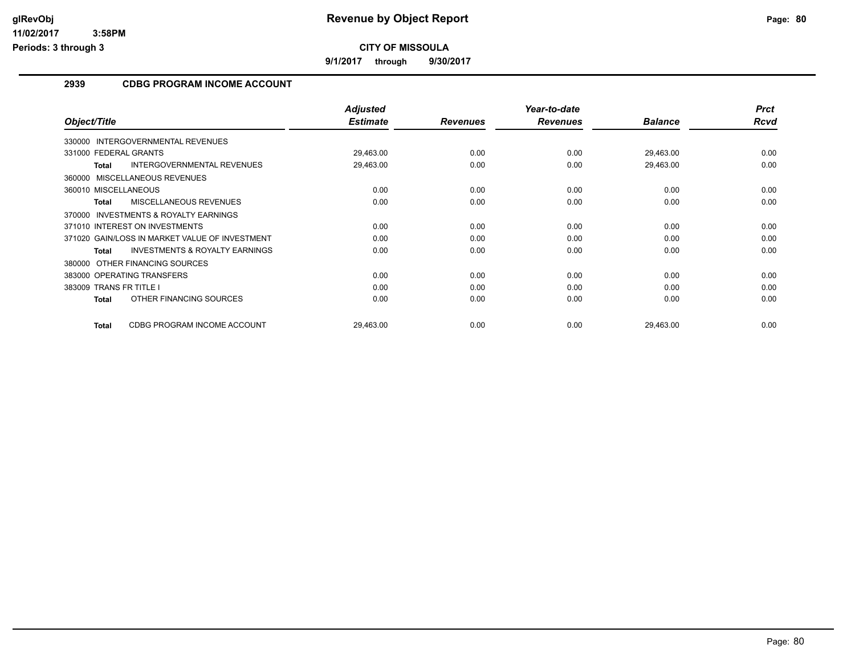**3:58PM**

**CITY OF MISSOULA**

**9/1/2017 through 9/30/2017**

## **2939 CDBG PROGRAM INCOME ACCOUNT**

|                                                           | <b>Adjusted</b> |                 | Year-to-date    |                | <b>Prct</b> |
|-----------------------------------------------------------|-----------------|-----------------|-----------------|----------------|-------------|
| Object/Title                                              | <b>Estimate</b> | <b>Revenues</b> | <b>Revenues</b> | <b>Balance</b> | Rcvd        |
| 330000 INTERGOVERNMENTAL REVENUES                         |                 |                 |                 |                |             |
| 331000 FEDERAL GRANTS                                     | 29,463.00       | 0.00            | 0.00            | 29,463.00      | 0.00        |
| INTERGOVERNMENTAL REVENUES<br><b>Total</b>                | 29,463.00       | 0.00            | 0.00            | 29,463.00      | 0.00        |
| 360000 MISCELLANEOUS REVENUES                             |                 |                 |                 |                |             |
| 360010 MISCELLANEOUS                                      | 0.00            | 0.00            | 0.00            | 0.00           | 0.00        |
| <b>MISCELLANEOUS REVENUES</b><br><b>Total</b>             | 0.00            | 0.00            | 0.00            | 0.00           | 0.00        |
| <b>INVESTMENTS &amp; ROYALTY EARNINGS</b><br>370000       |                 |                 |                 |                |             |
| 371010 INTEREST ON INVESTMENTS                            | 0.00            | 0.00            | 0.00            | 0.00           | 0.00        |
| 371020 GAIN/LOSS IN MARKET VALUE OF INVESTMENT            | 0.00            | 0.00            | 0.00            | 0.00           | 0.00        |
| <b>INVESTMENTS &amp; ROYALTY EARNINGS</b><br><b>Total</b> | 0.00            | 0.00            | 0.00            | 0.00           | 0.00        |
| 380000 OTHER FINANCING SOURCES                            |                 |                 |                 |                |             |
| 383000 OPERATING TRANSFERS                                | 0.00            | 0.00            | 0.00            | 0.00           | 0.00        |
| 383009 TRANS FR TITLE I                                   | 0.00            | 0.00            | 0.00            | 0.00           | 0.00        |
| OTHER FINANCING SOURCES<br><b>Total</b>                   | 0.00            | 0.00            | 0.00            | 0.00           | 0.00        |
| CDBG PROGRAM INCOME ACCOUNT<br><b>Total</b>               | 29,463.00       | 0.00            | 0.00            | 29,463.00      | 0.00        |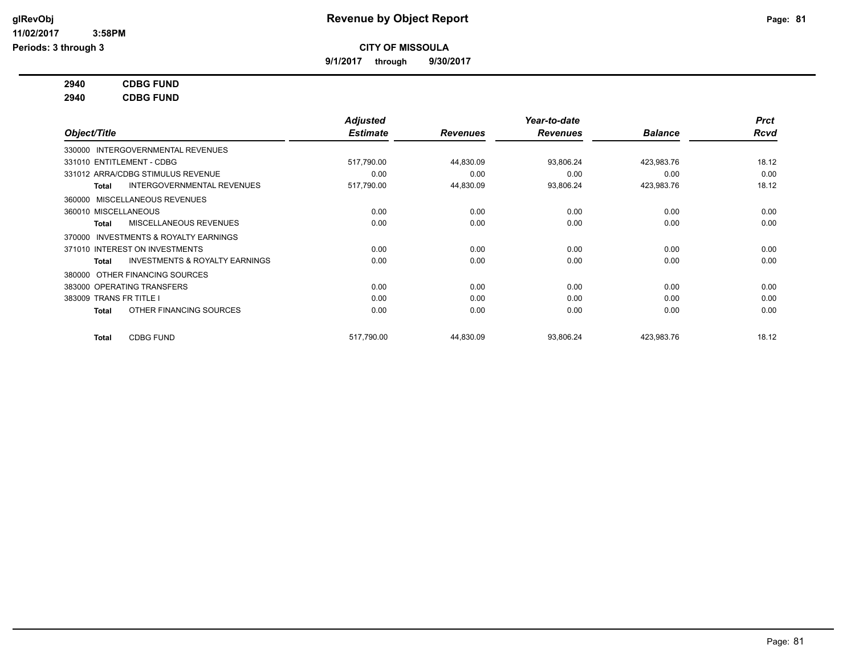**9/1/2017 through 9/30/2017**

## **2940 CDBG FUND**

**2940 CDBG FUND**

|                           |                                           | <b>Adjusted</b> |                 | Year-to-date    |                | <b>Prct</b> |
|---------------------------|-------------------------------------------|-----------------|-----------------|-----------------|----------------|-------------|
| Object/Title              |                                           | <b>Estimate</b> | <b>Revenues</b> | <b>Revenues</b> | <b>Balance</b> | Rcvd        |
|                           | 330000 INTERGOVERNMENTAL REVENUES         |                 |                 |                 |                |             |
| 331010 ENTITLEMENT - CDBG |                                           | 517,790.00      | 44,830.09       | 93,806.24       | 423,983.76     | 18.12       |
|                           | 331012 ARRA/CDBG STIMULUS REVENUE         | 0.00            | 0.00            | 0.00            | 0.00           | 0.00        |
| Total                     | <b>INTERGOVERNMENTAL REVENUES</b>         | 517,790.00      | 44,830.09       | 93,806.24       | 423,983.76     | 18.12       |
|                           | 360000 MISCELLANEOUS REVENUES             |                 |                 |                 |                |             |
| 360010 MISCELLANEOUS      |                                           | 0.00            | 0.00            | 0.00            | 0.00           | 0.00        |
| Total                     | MISCELLANEOUS REVENUES                    | 0.00            | 0.00            | 0.00            | 0.00           | 0.00        |
| 370000                    | <b>INVESTMENTS &amp; ROYALTY EARNINGS</b> |                 |                 |                 |                |             |
|                           | 371010 INTEREST ON INVESTMENTS            | 0.00            | 0.00            | 0.00            | 0.00           | 0.00        |
| Total                     | <b>INVESTMENTS &amp; ROYALTY EARNINGS</b> | 0.00            | 0.00            | 0.00            | 0.00           | 0.00        |
| 380000                    | OTHER FINANCING SOURCES                   |                 |                 |                 |                |             |
|                           | 383000 OPERATING TRANSFERS                | 0.00            | 0.00            | 0.00            | 0.00           | 0.00        |
| 383009 TRANS FR TITLE I   |                                           | 0.00            | 0.00            | 0.00            | 0.00           | 0.00        |
| Total                     | OTHER FINANCING SOURCES                   | 0.00            | 0.00            | 0.00            | 0.00           | 0.00        |
| <b>Total</b>              | <b>CDBG FUND</b>                          | 517,790.00      | 44,830.09       | 93,806.24       | 423,983.76     | 18.12       |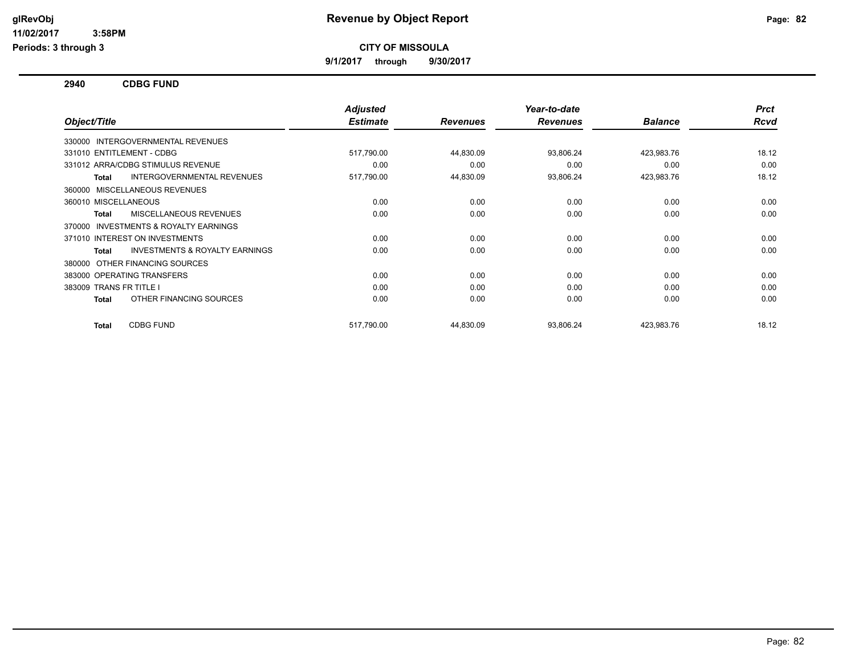**11/02/2017 3:58PM Periods: 3 through 3**

**CITY OF MISSOULA**

**9/1/2017 through 9/30/2017**

**2940 CDBG FUND**

|                                                     | <b>Adjusted</b> |                 | Year-to-date    |                | <b>Prct</b> |
|-----------------------------------------------------|-----------------|-----------------|-----------------|----------------|-------------|
| Object/Title                                        | <b>Estimate</b> | <b>Revenues</b> | <b>Revenues</b> | <b>Balance</b> | <b>Rcvd</b> |
| 330000 INTERGOVERNMENTAL REVENUES                   |                 |                 |                 |                |             |
| 331010 ENTITLEMENT - CDBG                           | 517,790.00      | 44,830.09       | 93,806.24       | 423,983.76     | 18.12       |
| 331012 ARRA/CDBG STIMULUS REVENUE                   | 0.00            | 0.00            | 0.00            | 0.00           | 0.00        |
| <b>INTERGOVERNMENTAL REVENUES</b><br>Total          | 517,790.00      | 44,830.09       | 93,806.24       | 423,983.76     | 18.12       |
| 360000 MISCELLANEOUS REVENUES                       |                 |                 |                 |                |             |
| 360010 MISCELLANEOUS                                | 0.00            | 0.00            | 0.00            | 0.00           | 0.00        |
| <b>MISCELLANEOUS REVENUES</b><br><b>Total</b>       | 0.00            | 0.00            | 0.00            | 0.00           | 0.00        |
| <b>INVESTMENTS &amp; ROYALTY EARNINGS</b><br>370000 |                 |                 |                 |                |             |
| 371010 INTEREST ON INVESTMENTS                      | 0.00            | 0.00            | 0.00            | 0.00           | 0.00        |
| <b>INVESTMENTS &amp; ROYALTY EARNINGS</b><br>Total  | 0.00            | 0.00            | 0.00            | 0.00           | 0.00        |
| 380000 OTHER FINANCING SOURCES                      |                 |                 |                 |                |             |
| 383000 OPERATING TRANSFERS                          | 0.00            | 0.00            | 0.00            | 0.00           | 0.00        |
| 383009 TRANS FR TITLE I                             | 0.00            | 0.00            | 0.00            | 0.00           | 0.00        |
| OTHER FINANCING SOURCES<br><b>Total</b>             | 0.00            | 0.00            | 0.00            | 0.00           | 0.00        |
|                                                     |                 |                 |                 |                |             |
| <b>CDBG FUND</b><br><b>Total</b>                    | 517,790.00      | 44,830.09       | 93,806.24       | 423,983.76     | 18.12       |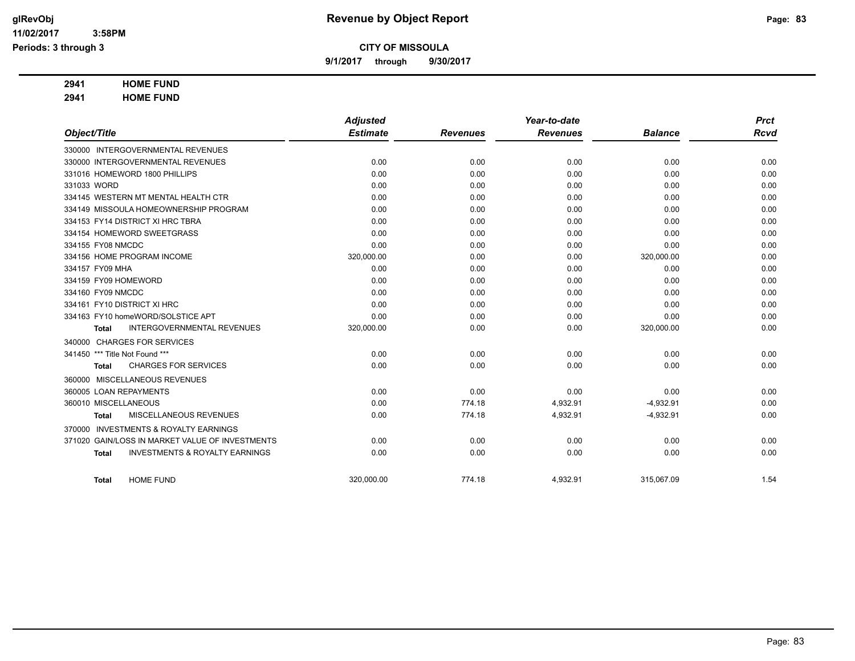**9/1/2017 through 9/30/2017**

## **2941 HOME FUND**

**2941 HOME FUND**

|                                                           | <b>Adjusted</b> |                 | Year-to-date    |                | <b>Prct</b> |
|-----------------------------------------------------------|-----------------|-----------------|-----------------|----------------|-------------|
| Object/Title                                              | <b>Estimate</b> | <b>Revenues</b> | <b>Revenues</b> | <b>Balance</b> | <b>Rcvd</b> |
| 330000 INTERGOVERNMENTAL REVENUES                         |                 |                 |                 |                |             |
| 330000 INTERGOVERNMENTAL REVENUES                         | 0.00            | 0.00            | 0.00            | 0.00           | 0.00        |
| 331016 HOMEWORD 1800 PHILLIPS                             | 0.00            | 0.00            | 0.00            | 0.00           | 0.00        |
| 331033 WORD                                               | 0.00            | 0.00            | 0.00            | 0.00           | 0.00        |
| 334145 WESTERN MT MENTAL HEALTH CTR                       | 0.00            | 0.00            | 0.00            | 0.00           | 0.00        |
| 334149 MISSOULA HOMEOWNERSHIP PROGRAM                     | 0.00            | 0.00            | 0.00            | 0.00           | 0.00        |
| 334153 FY14 DISTRICT XI HRC TBRA                          | 0.00            | 0.00            | 0.00            | 0.00           | 0.00        |
| 334154 HOMEWORD SWEETGRASS                                | 0.00            | 0.00            | 0.00            | 0.00           | 0.00        |
| 334155 FY08 NMCDC                                         | 0.00            | 0.00            | 0.00            | 0.00           | 0.00        |
| 334156 HOME PROGRAM INCOME                                | 320,000.00      | 0.00            | 0.00            | 320,000.00     | 0.00        |
| 334157 FY09 MHA                                           | 0.00            | 0.00            | 0.00            | 0.00           | 0.00        |
| 334159 FY09 HOMEWORD                                      | 0.00            | 0.00            | 0.00            | 0.00           | 0.00        |
| 334160 FY09 NMCDC                                         | 0.00            | 0.00            | 0.00            | 0.00           | 0.00        |
| 334161 FY10 DISTRICT XI HRC                               | 0.00            | 0.00            | 0.00            | 0.00           | 0.00        |
| 334163 FY10 homeWORD/SOLSTICE APT                         | 0.00            | 0.00            | 0.00            | 0.00           | 0.00        |
| <b>INTERGOVERNMENTAL REVENUES</b><br>Total                | 320,000.00      | 0.00            | 0.00            | 320,000.00     | 0.00        |
| 340000 CHARGES FOR SERVICES                               |                 |                 |                 |                |             |
| 341450 *** Title Not Found ***                            | 0.00            | 0.00            | 0.00            | 0.00           | 0.00        |
| <b>CHARGES FOR SERVICES</b><br><b>Total</b>               | 0.00            | 0.00            | 0.00            | 0.00           | 0.00        |
| 360000 MISCELLANEOUS REVENUES                             |                 |                 |                 |                |             |
| 360005 LOAN REPAYMENTS                                    | 0.00            | 0.00            | 0.00            | 0.00           | 0.00        |
| 360010 MISCELLANEOUS                                      | 0.00            | 774.18          | 4,932.91        | $-4,932.91$    | 0.00        |
| MISCELLANEOUS REVENUES<br><b>Total</b>                    | 0.00            | 774.18          | 4,932.91        | $-4,932.91$    | 0.00        |
| <b>INVESTMENTS &amp; ROYALTY EARNINGS</b><br>370000       |                 |                 |                 |                |             |
| 371020 GAIN/LOSS IN MARKET VALUE OF INVESTMENTS           | 0.00            | 0.00            | 0.00            | 0.00           | 0.00        |
| <b>INVESTMENTS &amp; ROYALTY EARNINGS</b><br><b>Total</b> | 0.00            | 0.00            | 0.00            | 0.00           | 0.00        |
|                                                           |                 |                 |                 |                |             |
| <b>HOME FUND</b><br>Total                                 | 320.000.00      | 774.18          | 4,932.91        | 315.067.09     | 1.54        |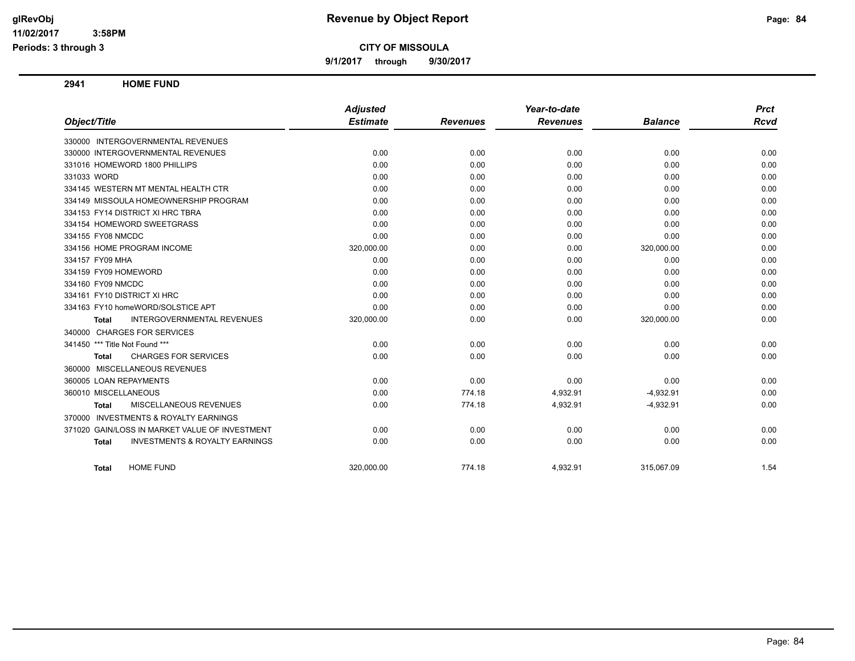**11/02/2017 3:58PM Periods: 3 through 3**

**CITY OF MISSOULA**

**9/1/2017 through 9/30/2017**

**2941 HOME FUND**

|                                                           | <b>Adjusted</b> |                 | Year-to-date    |                | <b>Prct</b> |
|-----------------------------------------------------------|-----------------|-----------------|-----------------|----------------|-------------|
| Object/Title                                              | <b>Estimate</b> | <b>Revenues</b> | <b>Revenues</b> | <b>Balance</b> | <b>Rcvd</b> |
| 330000 INTERGOVERNMENTAL REVENUES                         |                 |                 |                 |                |             |
| 330000 INTERGOVERNMENTAL REVENUES                         | 0.00            | 0.00            | 0.00            | 0.00           | 0.00        |
| 331016 HOMEWORD 1800 PHILLIPS                             | 0.00            | 0.00            | 0.00            | 0.00           | 0.00        |
| 331033 WORD                                               | 0.00            | 0.00            | 0.00            | 0.00           | 0.00        |
| 334145 WESTERN MT MENTAL HEALTH CTR                       | 0.00            | 0.00            | 0.00            | 0.00           | 0.00        |
| 334149 MISSOULA HOMEOWNERSHIP PROGRAM                     | 0.00            | 0.00            | 0.00            | 0.00           | 0.00        |
| 334153 FY14 DISTRICT XI HRC TBRA                          | 0.00            | 0.00            | 0.00            | 0.00           | 0.00        |
| 334154 HOMEWORD SWEETGRASS                                | 0.00            | 0.00            | 0.00            | 0.00           | 0.00        |
| 334155 FY08 NMCDC                                         | 0.00            | 0.00            | 0.00            | 0.00           | 0.00        |
| 334156 HOME PROGRAM INCOME                                | 320,000.00      | 0.00            | 0.00            | 320,000.00     | 0.00        |
| 334157 FY09 MHA                                           | 0.00            | 0.00            | 0.00            | 0.00           | 0.00        |
| 334159 FY09 HOMEWORD                                      | 0.00            | 0.00            | 0.00            | 0.00           | 0.00        |
| 334160 FY09 NMCDC                                         | 0.00            | 0.00            | 0.00            | 0.00           | 0.00        |
| 334161 FY10 DISTRICT XI HRC                               | 0.00            | 0.00            | 0.00            | 0.00           | 0.00        |
| 334163 FY10 homeWORD/SOLSTICE APT                         | 0.00            | 0.00            | 0.00            | 0.00           | 0.00        |
| <b>INTERGOVERNMENTAL REVENUES</b><br><b>Total</b>         | 320,000.00      | 0.00            | 0.00            | 320,000.00     | 0.00        |
| 340000 CHARGES FOR SERVICES                               |                 |                 |                 |                |             |
| 341450 *** Title Not Found ***                            | 0.00            | 0.00            | 0.00            | 0.00           | 0.00        |
| <b>CHARGES FOR SERVICES</b><br><b>Total</b>               | 0.00            | 0.00            | 0.00            | 0.00           | 0.00        |
| 360000 MISCELLANEOUS REVENUES                             |                 |                 |                 |                |             |
| 360005 LOAN REPAYMENTS                                    | 0.00            | 0.00            | 0.00            | 0.00           | 0.00        |
| 360010 MISCELLANEOUS                                      | 0.00            | 774.18          | 4,932.91        | $-4,932.91$    | 0.00        |
| MISCELLANEOUS REVENUES<br><b>Total</b>                    | 0.00            | 774.18          | 4,932.91        | $-4,932.91$    | 0.00        |
| 370000 INVESTMENTS & ROYALTY EARNINGS                     |                 |                 |                 |                |             |
| 371020 GAIN/LOSS IN MARKET VALUE OF INVESTMENT            | 0.00            | 0.00            | 0.00            | 0.00           | 0.00        |
| <b>INVESTMENTS &amp; ROYALTY EARNINGS</b><br><b>Total</b> | 0.00            | 0.00            | 0.00            | 0.00           | 0.00        |
| <b>HOME FUND</b><br><b>Total</b>                          | 320,000.00      | 774.18          | 4,932.91        | 315,067.09     | 1.54        |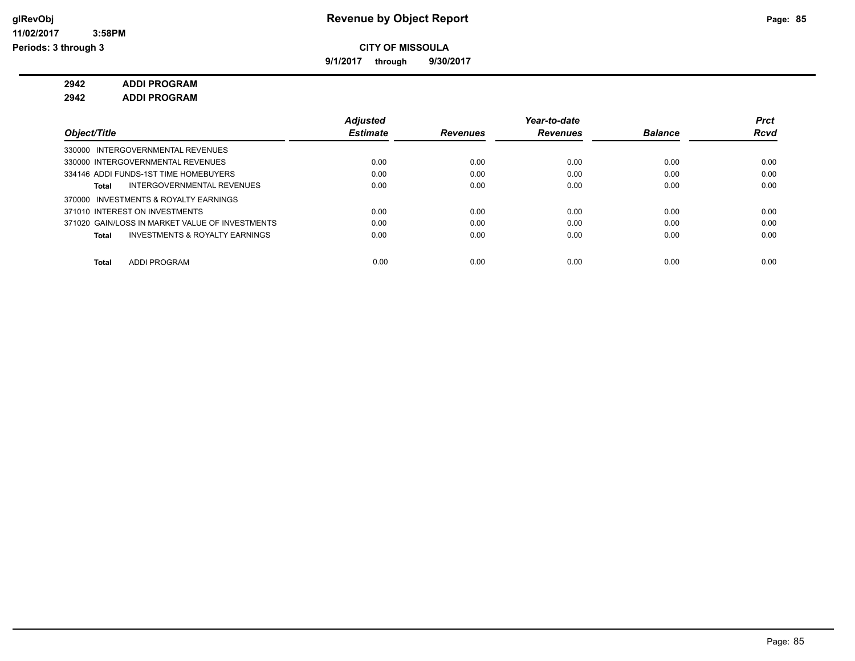**9/1/2017 through 9/30/2017**

**2942 ADDI PROGRAM**

**2942 ADDI PROGRAM**

|                                                    | Adjusted        |                 | Year-to-date    |                | <b>Prct</b> |
|----------------------------------------------------|-----------------|-----------------|-----------------|----------------|-------------|
| Object/Title                                       | <b>Estimate</b> | <b>Revenues</b> | <b>Revenues</b> | <b>Balance</b> | <b>Rcvd</b> |
| 330000 INTERGOVERNMENTAL REVENUES                  |                 |                 |                 |                |             |
| 330000 INTERGOVERNMENTAL REVENUES                  | 0.00            | 0.00            | 0.00            | 0.00           | 0.00        |
| 334146 ADDI FUNDS-1ST TIME HOMEBUYERS              | 0.00            | 0.00            | 0.00            | 0.00           | 0.00        |
| INTERGOVERNMENTAL REVENUES<br>Total                | 0.00            | 0.00            | 0.00            | 0.00           | 0.00        |
| 370000 INVESTMENTS & ROYALTY EARNINGS              |                 |                 |                 |                |             |
| 371010 INTEREST ON INVESTMENTS                     | 0.00            | 0.00            | 0.00            | 0.00           | 0.00        |
| 371020 GAIN/LOSS IN MARKET VALUE OF INVESTMENTS    | 0.00            | 0.00            | 0.00            | 0.00           | 0.00        |
| <b>INVESTMENTS &amp; ROYALTY EARNINGS</b><br>Total | 0.00            | 0.00            | 0.00            | 0.00           | 0.00        |
| <b>ADDI PROGRAM</b><br>Total                       | 0.00            | 0.00            | 0.00            | 0.00           | 0.00        |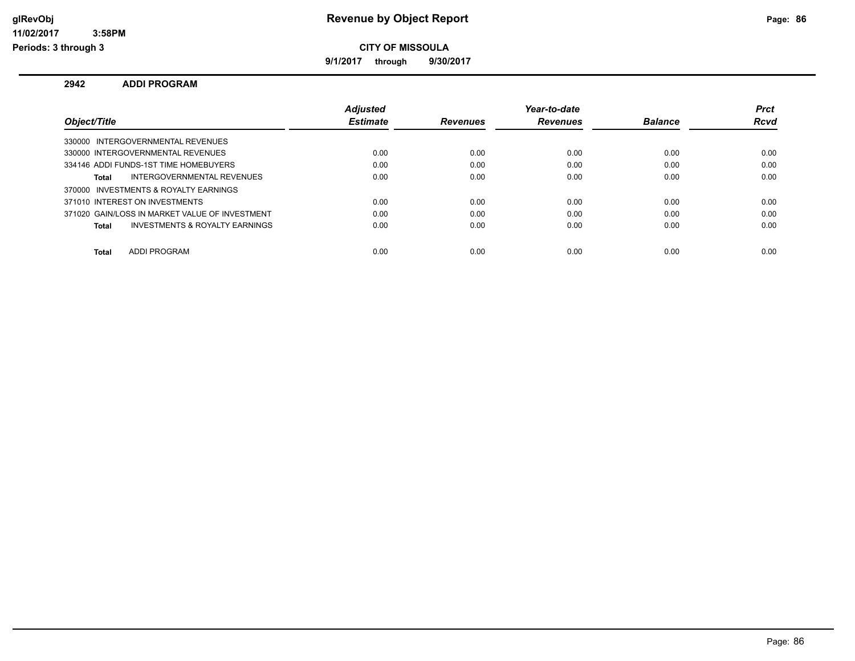**CITY OF MISSOULA**

**9/1/2017 through 9/30/2017**

#### **2942 ADDI PROGRAM**

 **3:58PM**

|                                                | <b>Adjusted</b> |                 | Year-to-date    |                | <b>Prct</b> |
|------------------------------------------------|-----------------|-----------------|-----------------|----------------|-------------|
| Object/Title                                   | <b>Estimate</b> | <b>Revenues</b> | <b>Revenues</b> | <b>Balance</b> | Rcvd        |
| 330000 INTERGOVERNMENTAL REVENUES              |                 |                 |                 |                |             |
| 330000 INTERGOVERNMENTAL REVENUES              | 0.00            | 0.00            | 0.00            | 0.00           | 0.00        |
| 334146 ADDI FUNDS-1ST TIME HOMEBUYERS          | 0.00            | 0.00            | 0.00            | 0.00           | 0.00        |
| INTERGOVERNMENTAL REVENUES<br>Total            | 0.00            | 0.00            | 0.00            | 0.00           | 0.00        |
| 370000 INVESTMENTS & ROYALTY EARNINGS          |                 |                 |                 |                |             |
| 371010 INTEREST ON INVESTMENTS                 | 0.00            | 0.00            | 0.00            | 0.00           | 0.00        |
| 371020 GAIN/LOSS IN MARKET VALUE OF INVESTMENT | 0.00            | 0.00            | 0.00            | 0.00           | 0.00        |
| Total<br>INVESTMENTS & ROYALTY EARNINGS        | 0.00            | 0.00            | 0.00            | 0.00           | 0.00        |
|                                                |                 |                 |                 |                |             |
| <b>ADDI PROGRAM</b><br>Total                   | 0.00            | 0.00            | 0.00            | 0.00           | 0.00        |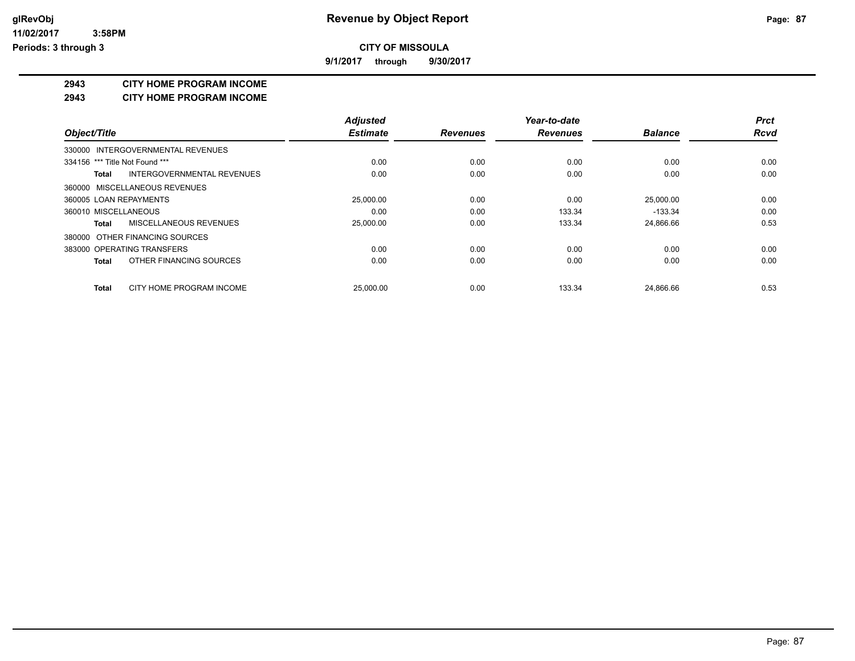**glRevObj Revenue by Object Report Page: 87** 

**11/02/2017 3:58PM Periods: 3 through 3**

## **CITY OF MISSOULA**

**9/1/2017 through 9/30/2017**

#### **2943 CITY HOME PROGRAM INCOME**

#### **2943 CITY HOME PROGRAM INCOME**

|                                            | <b>Adjusted</b> |                 | Year-to-date    |                | <b>Prct</b> |
|--------------------------------------------|-----------------|-----------------|-----------------|----------------|-------------|
| Object/Title                               | <b>Estimate</b> | <b>Revenues</b> | <b>Revenues</b> | <b>Balance</b> | <b>Rcvd</b> |
| 330000 INTERGOVERNMENTAL REVENUES          |                 |                 |                 |                |             |
| 334156 *** Title Not Found ***             | 0.00            | 0.00            | 0.00            | 0.00           | 0.00        |
| <b>INTERGOVERNMENTAL REVENUES</b><br>Total | 0.00            | 0.00            | 0.00            | 0.00           | 0.00        |
| 360000 MISCELLANEOUS REVENUES              |                 |                 |                 |                |             |
| 360005 LOAN REPAYMENTS                     | 25,000.00       | 0.00            | 0.00            | 25,000.00      | 0.00        |
| 360010 MISCELLANEOUS                       | 0.00            | 0.00            | 133.34          | $-133.34$      | 0.00        |
| MISCELLANEOUS REVENUES<br>Total            | 25,000.00       | 0.00            | 133.34          | 24,866.66      | 0.53        |
| 380000 OTHER FINANCING SOURCES             |                 |                 |                 |                |             |
| 383000 OPERATING TRANSFERS                 | 0.00            | 0.00            | 0.00            | 0.00           | 0.00        |
| OTHER FINANCING SOURCES<br>Total           | 0.00            | 0.00            | 0.00            | 0.00           | 0.00        |
| CITY HOME PROGRAM INCOME<br>Total          | 25.000.00       | 0.00            | 133.34          | 24.866.66      | 0.53        |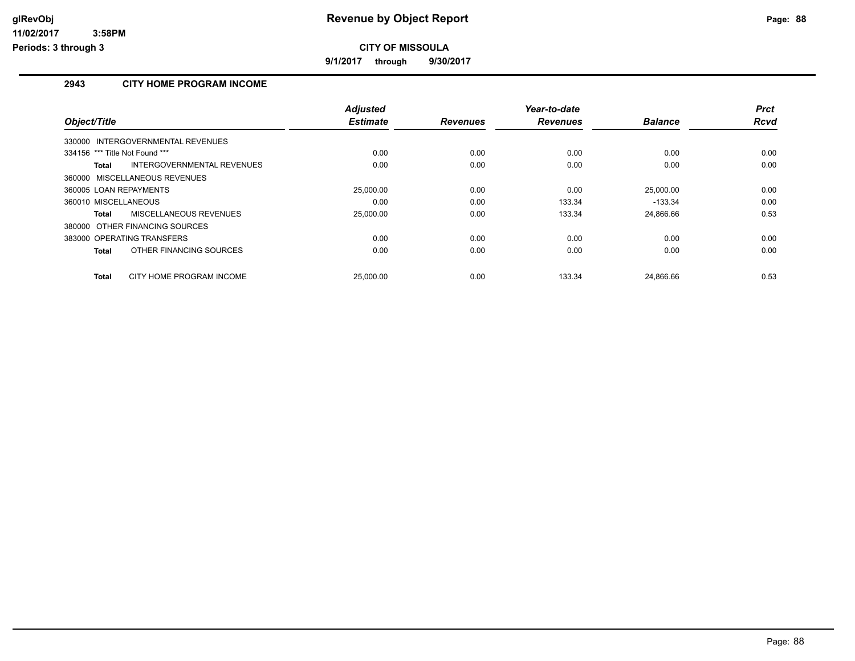**CITY OF MISSOULA**

**9/1/2017 through 9/30/2017**

## **2943 CITY HOME PROGRAM INCOME**

 **3:58PM**

| Object/Title                               | <b>Adjusted</b><br><b>Estimate</b> | <b>Revenues</b> | Year-to-date<br><b>Revenues</b> | <b>Balance</b> | <b>Prct</b><br><b>Rcvd</b> |
|--------------------------------------------|------------------------------------|-----------------|---------------------------------|----------------|----------------------------|
|                                            |                                    |                 |                                 |                |                            |
| 330000 INTERGOVERNMENTAL REVENUES          |                                    |                 |                                 |                |                            |
| 334156 *** Title Not Found ***             | 0.00                               | 0.00            | 0.00                            | 0.00           | 0.00                       |
| INTERGOVERNMENTAL REVENUES<br><b>Total</b> | 0.00                               | 0.00            | 0.00                            | 0.00           | 0.00                       |
| 360000 MISCELLANEOUS REVENUES              |                                    |                 |                                 |                |                            |
| 360005 LOAN REPAYMENTS                     | 25,000.00                          | 0.00            | 0.00                            | 25,000.00      | 0.00                       |
| 360010 MISCELLANEOUS                       | 0.00                               | 0.00            | 133.34                          | $-133.34$      | 0.00                       |
| MISCELLANEOUS REVENUES<br><b>Total</b>     | 25,000.00                          | 0.00            | 133.34                          | 24.866.66      | 0.53                       |
| 380000 OTHER FINANCING SOURCES             |                                    |                 |                                 |                |                            |
| 383000 OPERATING TRANSFERS                 | 0.00                               | 0.00            | 0.00                            | 0.00           | 0.00                       |
| OTHER FINANCING SOURCES<br><b>Total</b>    | 0.00                               | 0.00            | 0.00                            | 0.00           | 0.00                       |
| CITY HOME PROGRAM INCOME<br><b>Total</b>   | 25.000.00                          | 0.00            | 133.34                          | 24.866.66      | 0.53                       |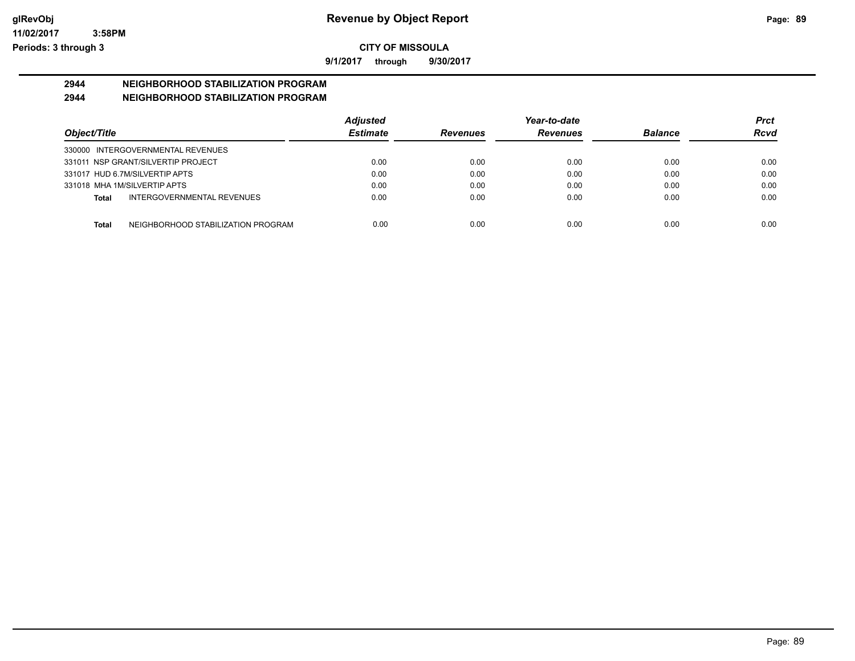**9/1/2017 through 9/30/2017**

# **2944 NEIGHBORHOOD STABILIZATION PROGRAM**

## **2944 NEIGHBORHOOD STABILIZATION PROGRAM**

|                                                    | <b>Adjusted</b> |                 | Year-to-date    |                | <b>Prct</b> |
|----------------------------------------------------|-----------------|-----------------|-----------------|----------------|-------------|
| Object/Title                                       | <b>Estimate</b> | <b>Revenues</b> | <b>Revenues</b> | <b>Balance</b> | Rcvd        |
| 330000 INTERGOVERNMENTAL REVENUES                  |                 |                 |                 |                |             |
| 331011 NSP GRANT/SILVERTIP PROJECT                 | 0.00            | 0.00            | 0.00            | 0.00           | 0.00        |
| 331017 HUD 6.7M/SILVERTIP APTS                     | 0.00            | 0.00            | 0.00            | 0.00           | 0.00        |
| 331018 MHA 1M/SILVERTIP APTS                       | 0.00            | 0.00            | 0.00            | 0.00           | 0.00        |
| INTERGOVERNMENTAL REVENUES<br>Total                | 0.00            | 0.00            | 0.00            | 0.00           | 0.00        |
| NEIGHBORHOOD STABILIZATION PROGRAM<br><b>Total</b> | 0.00            | 0.00            | 0.00            | 0.00           | 0.00        |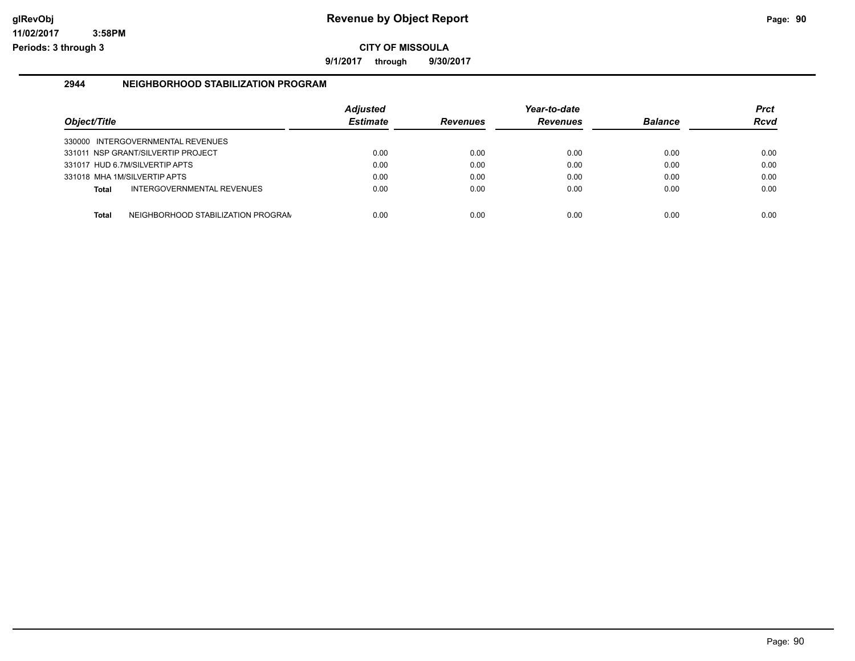**9/1/2017 through 9/30/2017**

#### **2944 NEIGHBORHOOD STABILIZATION PROGRAM**

| Object/Title |                                    | <b>Adjusted</b><br><b>Estimate</b> | <b>Revenues</b> | Year-to-date<br><b>Revenues</b> | <b>Balance</b> | <b>Prct</b><br><b>Rcvd</b> |
|--------------|------------------------------------|------------------------------------|-----------------|---------------------------------|----------------|----------------------------|
|              | 330000 INTERGOVERNMENTAL REVENUES  |                                    |                 |                                 |                |                            |
|              | 331011 NSP GRANT/SILVERTIP PROJECT | 0.00                               | 0.00            | 0.00                            | 0.00           | 0.00                       |
|              | 331017 HUD 6.7M/SILVERTIP APTS     | 0.00                               | 0.00            | 0.00                            | 0.00           | 0.00                       |
|              | 331018 MHA 1M/SILVERTIP APTS       | 0.00                               | 0.00            | 0.00                            | 0.00           | 0.00                       |
| Total        | INTERGOVERNMENTAL REVENUES         | 0.00                               | 0.00            | 0.00                            | 0.00           | 0.00                       |
| <b>Total</b> | NEIGHBORHOOD STABILIZATION PROGRAN | 0.00                               | 0.00            | 0.00                            | 0.00           | 0.00                       |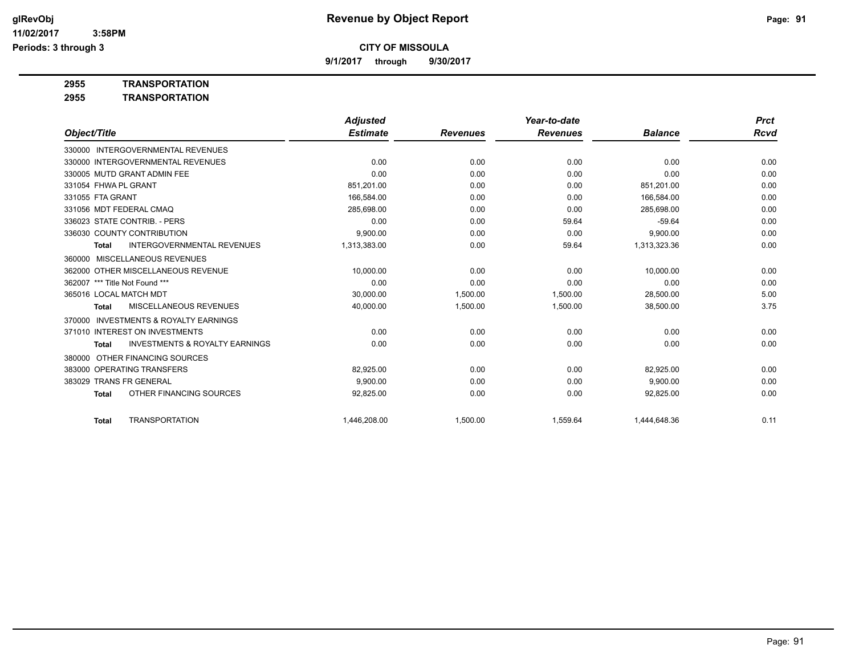**9/1/2017 through 9/30/2017**

**2955 TRANSPORTATION**

**2955 TRANSPORTATION**

|                                                           | <b>Adjusted</b> |                 | Year-to-date    |                | <b>Prct</b> |
|-----------------------------------------------------------|-----------------|-----------------|-----------------|----------------|-------------|
| Object/Title                                              | <b>Estimate</b> | <b>Revenues</b> | <b>Revenues</b> | <b>Balance</b> | Rcvd        |
| 330000 INTERGOVERNMENTAL REVENUES                         |                 |                 |                 |                |             |
| 330000 INTERGOVERNMENTAL REVENUES                         | 0.00            | 0.00            | 0.00            | 0.00           | 0.00        |
| 330005 MUTD GRANT ADMIN FEE                               | 0.00            | 0.00            | 0.00            | 0.00           | 0.00        |
| 331054 FHWA PL GRANT                                      | 851.201.00      | 0.00            | 0.00            | 851,201.00     | 0.00        |
| 331055 FTA GRANT                                          | 166,584.00      | 0.00            | 0.00            | 166,584.00     | 0.00        |
| 331056 MDT FEDERAL CMAQ                                   | 285.698.00      | 0.00            | 0.00            | 285.698.00     | 0.00        |
| 336023 STATE CONTRIB. - PERS                              | 0.00            | 0.00            | 59.64           | $-59.64$       | 0.00        |
| 336030 COUNTY CONTRIBUTION                                | 9,900.00        | 0.00            | 0.00            | 9,900.00       | 0.00        |
| <b>INTERGOVERNMENTAL REVENUES</b><br><b>Total</b>         | 1,313,383.00    | 0.00            | 59.64           | 1,313,323.36   | 0.00        |
| MISCELLANEOUS REVENUES<br>360000                          |                 |                 |                 |                |             |
| 362000 OTHER MISCELLANEOUS REVENUE                        | 10,000.00       | 0.00            | 0.00            | 10,000.00      | 0.00        |
| 362007 *** Title Not Found ***                            | 0.00            | 0.00            | 0.00            | 0.00           | 0.00        |
| 365016 LOCAL MATCH MDT                                    | 30,000.00       | 1,500.00        | 1,500.00        | 28,500.00      | 5.00        |
| <b>MISCELLANEOUS REVENUES</b><br><b>Total</b>             | 40,000.00       | 1,500.00        | 1,500.00        | 38,500.00      | 3.75        |
| <b>INVESTMENTS &amp; ROYALTY EARNINGS</b><br>370000       |                 |                 |                 |                |             |
| 371010 INTEREST ON INVESTMENTS                            | 0.00            | 0.00            | 0.00            | 0.00           | 0.00        |
| <b>INVESTMENTS &amp; ROYALTY EARNINGS</b><br><b>Total</b> | 0.00            | 0.00            | 0.00            | 0.00           | 0.00        |
| OTHER FINANCING SOURCES<br>380000                         |                 |                 |                 |                |             |
| 383000 OPERATING TRANSFERS                                | 82,925.00       | 0.00            | 0.00            | 82,925.00      | 0.00        |
| 383029 TRANS FR GENERAL                                   | 9.900.00        | 0.00            | 0.00            | 9,900.00       | 0.00        |
| OTHER FINANCING SOURCES<br><b>Total</b>                   | 92,825.00       | 0.00            | 0.00            | 92,825.00      | 0.00        |
| <b>TRANSPORTATION</b><br><b>Total</b>                     | 1.446.208.00    | 1,500.00        | 1,559.64        | 1.444.648.36   | 0.11        |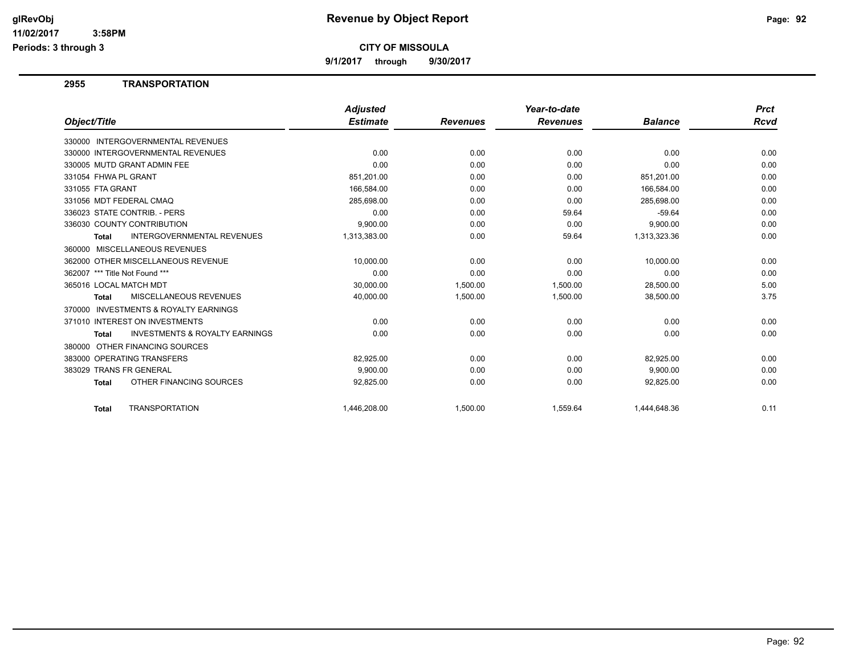**9/1/2017 through 9/30/2017**

#### **2955 TRANSPORTATION**

|                                                           | <b>Adjusted</b> |                 | Year-to-date    |                | <b>Prct</b> |
|-----------------------------------------------------------|-----------------|-----------------|-----------------|----------------|-------------|
| Object/Title                                              | <b>Estimate</b> | <b>Revenues</b> | <b>Revenues</b> | <b>Balance</b> | Rcvd        |
| 330000 INTERGOVERNMENTAL REVENUES                         |                 |                 |                 |                |             |
| 330000 INTERGOVERNMENTAL REVENUES                         | 0.00            | 0.00            | 0.00            | 0.00           | 0.00        |
| 330005 MUTD GRANT ADMIN FEE                               | 0.00            | 0.00            | 0.00            | 0.00           | 0.00        |
| 331054 FHWA PL GRANT                                      | 851,201.00      | 0.00            | 0.00            | 851,201.00     | 0.00        |
| 331055 FTA GRANT                                          | 166,584.00      | 0.00            | 0.00            | 166,584.00     | 0.00        |
| 331056 MDT FEDERAL CMAQ                                   | 285,698.00      | 0.00            | 0.00            | 285,698.00     | 0.00        |
| 336023 STATE CONTRIB. - PERS                              | 0.00            | 0.00            | 59.64           | $-59.64$       | 0.00        |
| 336030 COUNTY CONTRIBUTION                                | 9,900.00        | 0.00            | 0.00            | 9,900.00       | 0.00        |
| INTERGOVERNMENTAL REVENUES<br><b>Total</b>                | 1,313,383.00    | 0.00            | 59.64           | 1,313,323.36   | 0.00        |
| 360000 MISCELLANEOUS REVENUES                             |                 |                 |                 |                |             |
| 362000 OTHER MISCELLANEOUS REVENUE                        | 10,000.00       | 0.00            | 0.00            | 10,000.00      | 0.00        |
| 362007 *** Title Not Found ***                            | 0.00            | 0.00            | 0.00            | 0.00           | 0.00        |
| 365016 LOCAL MATCH MDT                                    | 30,000.00       | 1,500.00        | 1,500.00        | 28,500.00      | 5.00        |
| MISCELLANEOUS REVENUES<br>Total                           | 40,000.00       | 1,500.00        | 1,500.00        | 38,500.00      | 3.75        |
| 370000 INVESTMENTS & ROYALTY EARNINGS                     |                 |                 |                 |                |             |
| 371010 INTEREST ON INVESTMENTS                            | 0.00            | 0.00            | 0.00            | 0.00           | 0.00        |
| <b>INVESTMENTS &amp; ROYALTY EARNINGS</b><br><b>Total</b> | 0.00            | 0.00            | 0.00            | 0.00           | 0.00        |
| 380000 OTHER FINANCING SOURCES                            |                 |                 |                 |                |             |
| 383000 OPERATING TRANSFERS                                | 82,925.00       | 0.00            | 0.00            | 82,925.00      | 0.00        |
| 383029 TRANS FR GENERAL                                   | 9,900.00        | 0.00            | 0.00            | 9,900.00       | 0.00        |
| OTHER FINANCING SOURCES<br><b>Total</b>                   | 92,825.00       | 0.00            | 0.00            | 92,825.00      | 0.00        |
| <b>TRANSPORTATION</b><br><b>Total</b>                     | 1.446.208.00    | 1.500.00        | 1,559.64        | 1.444.648.36   | 0.11        |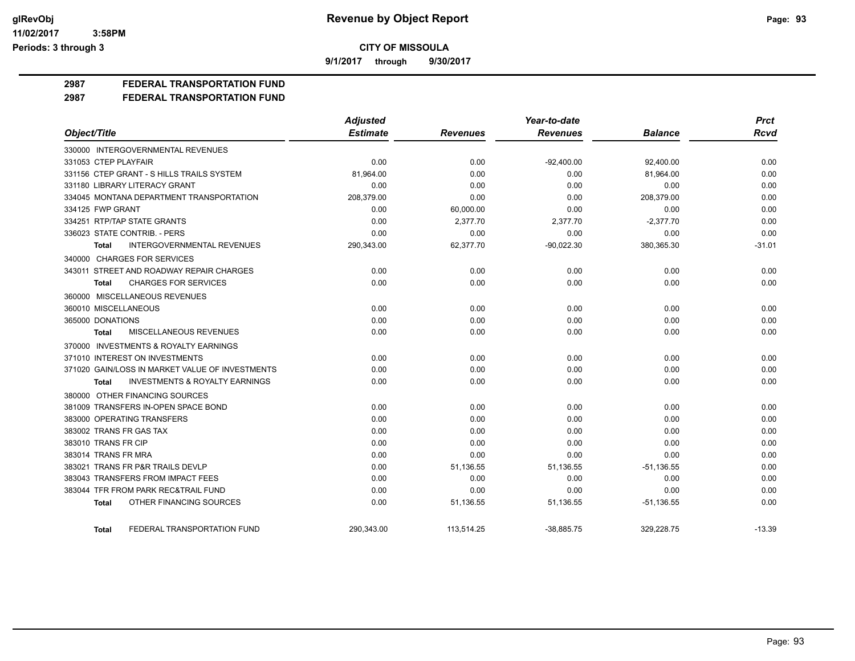**9/1/2017 through 9/30/2017**

**2987 FEDERAL TRANSPORTATION FUND**

**2987 FEDERAL TRANSPORTATION FUND**

|                                                    | <b>Adjusted</b> |                 | Year-to-date    |                | <b>Prct</b> |
|----------------------------------------------------|-----------------|-----------------|-----------------|----------------|-------------|
| Object/Title                                       | <b>Estimate</b> | <b>Revenues</b> | <b>Revenues</b> | <b>Balance</b> | <b>Rcvd</b> |
| 330000 INTERGOVERNMENTAL REVENUES                  |                 |                 |                 |                |             |
| 331053 CTEP PLAYFAIR                               | 0.00            | 0.00            | $-92,400.00$    | 92,400.00      | 0.00        |
| 331156 CTEP GRANT - S HILLS TRAILS SYSTEM          | 81.964.00       | 0.00            | 0.00            | 81,964.00      | 0.00        |
| 331180 LIBRARY LITERACY GRANT                      | 0.00            | 0.00            | 0.00            | 0.00           | 0.00        |
| 334045 MONTANA DEPARTMENT TRANSPORTATION           | 208,379.00      | 0.00            | 0.00            | 208,379.00     | 0.00        |
| 334125 FWP GRANT                                   | 0.00            | 60,000.00       | 0.00            | 0.00           | 0.00        |
| 334251 RTP/TAP STATE GRANTS                        | 0.00            | 2,377.70        | 2,377.70        | $-2,377.70$    | 0.00        |
| 336023 STATE CONTRIB. - PERS                       | 0.00            | 0.00            | 0.00            | 0.00           | 0.00        |
| <b>INTERGOVERNMENTAL REVENUES</b><br>Total         | 290,343.00      | 62,377.70       | $-90,022.30$    | 380,365.30     | $-31.01$    |
| 340000 CHARGES FOR SERVICES                        |                 |                 |                 |                |             |
| 343011 STREET AND ROADWAY REPAIR CHARGES           | 0.00            | 0.00            | 0.00            | 0.00           | 0.00        |
| <b>CHARGES FOR SERVICES</b><br><b>Total</b>        | 0.00            | 0.00            | 0.00            | 0.00           | 0.00        |
| 360000 MISCELLANEOUS REVENUES                      |                 |                 |                 |                |             |
| 360010 MISCELLANEOUS                               | 0.00            | 0.00            | 0.00            | 0.00           | 0.00        |
| 365000 DONATIONS                                   | 0.00            | 0.00            | 0.00            | 0.00           | 0.00        |
| MISCELLANEOUS REVENUES<br><b>Total</b>             | 0.00            | 0.00            | 0.00            | 0.00           | 0.00        |
| 370000 INVESTMENTS & ROYALTY EARNINGS              |                 |                 |                 |                |             |
| 371010 INTEREST ON INVESTMENTS                     | 0.00            | 0.00            | 0.00            | 0.00           | 0.00        |
| 371020 GAIN/LOSS IN MARKET VALUE OF INVESTMENTS    | 0.00            | 0.00            | 0.00            | 0.00           | 0.00        |
| <b>INVESTMENTS &amp; ROYALTY EARNINGS</b><br>Total | 0.00            | 0.00            | 0.00            | 0.00           | 0.00        |
| 380000 OTHER FINANCING SOURCES                     |                 |                 |                 |                |             |
| 381009 TRANSFERS IN-OPEN SPACE BOND                | 0.00            | 0.00            | 0.00            | 0.00           | 0.00        |
| 383000 OPERATING TRANSFERS                         | 0.00            | 0.00            | 0.00            | 0.00           | 0.00        |
| 383002 TRANS FR GAS TAX                            | 0.00            | 0.00            | 0.00            | 0.00           | 0.00        |
| 383010 TRANS FR CIP                                | 0.00            | 0.00            | 0.00            | 0.00           | 0.00        |
| 383014 TRANS FR MRA                                | 0.00            | 0.00            | 0.00            | 0.00           | 0.00        |
| 383021 TRANS FR P&R TRAILS DEVLP                   | 0.00            | 51,136.55       | 51,136.55       | $-51,136.55$   | 0.00        |
| 383043 TRANSFERS FROM IMPACT FEES                  | 0.00            | 0.00            | 0.00            | 0.00           | 0.00        |
| 383044 TFR FROM PARK REC&TRAIL FUND                | 0.00            | 0.00            | 0.00            | 0.00           | 0.00        |
| OTHER FINANCING SOURCES<br>Total                   | 0.00            | 51,136.55       | 51,136.55       | $-51, 136.55$  | 0.00        |
| FEDERAL TRANSPORTATION FUND<br><b>Total</b>        | 290,343.00      | 113.514.25      | $-38.885.75$    | 329.228.75     | $-13.39$    |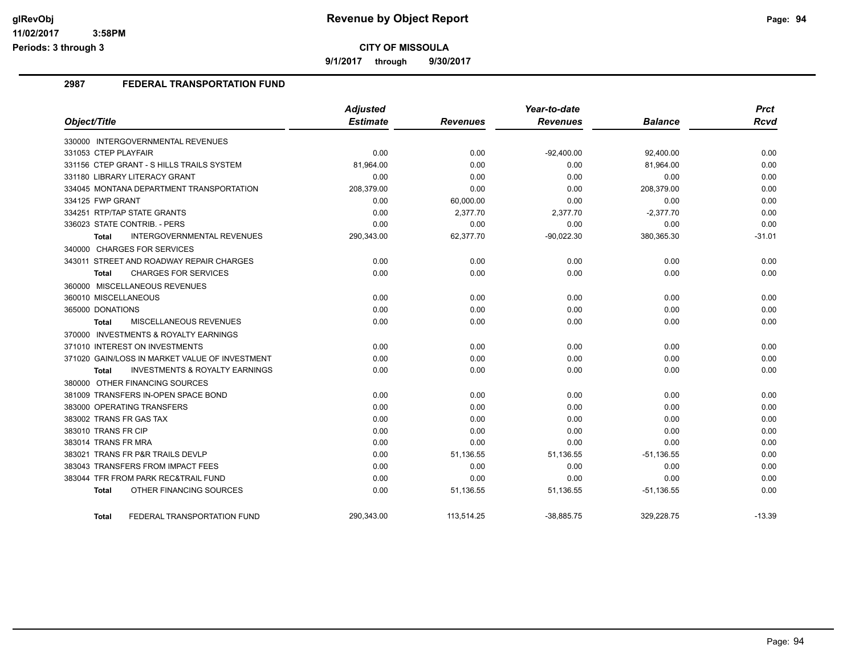**CITY OF MISSOULA**

**9/1/2017 through 9/30/2017**

## **2987 FEDERAL TRANSPORTATION FUND**

|                                                | <b>Adjusted</b> |                 | Year-to-date    |                | <b>Prct</b> |
|------------------------------------------------|-----------------|-----------------|-----------------|----------------|-------------|
| Object/Title                                   | <b>Estimate</b> | <b>Revenues</b> | <b>Revenues</b> | <b>Balance</b> | <b>Rcvd</b> |
| 330000 INTERGOVERNMENTAL REVENUES              |                 |                 |                 |                |             |
| 331053 CTEP PLAYFAIR                           | 0.00            | 0.00            | $-92,400.00$    | 92,400.00      | 0.00        |
| 331156 CTEP GRANT - S HILLS TRAILS SYSTEM      | 81.964.00       | 0.00            | 0.00            | 81,964.00      | 0.00        |
| 331180 LIBRARY LITERACY GRANT                  | 0.00            | 0.00            | 0.00            | 0.00           | 0.00        |
| 334045 MONTANA DEPARTMENT TRANSPORTATION       | 208,379.00      | 0.00            | 0.00            | 208,379.00     | 0.00        |
| 334125 FWP GRANT                               | 0.00            | 60,000.00       | 0.00            | 0.00           | 0.00        |
| 334251 RTP/TAP STATE GRANTS                    | 0.00            | 2,377.70        | 2,377.70        | $-2,377.70$    | 0.00        |
| 336023 STATE CONTRIB. - PERS                   | 0.00            | 0.00            | 0.00            | 0.00           | 0.00        |
| INTERGOVERNMENTAL REVENUES<br><b>Total</b>     | 290,343.00      | 62,377.70       | $-90,022.30$    | 380,365.30     | $-31.01$    |
| 340000 CHARGES FOR SERVICES                    |                 |                 |                 |                |             |
| 343011 STREET AND ROADWAY REPAIR CHARGES       | 0.00            | 0.00            | 0.00            | 0.00           | 0.00        |
| <b>CHARGES FOR SERVICES</b><br><b>Total</b>    | 0.00            | 0.00            | 0.00            | 0.00           | 0.00        |
| 360000 MISCELLANEOUS REVENUES                  |                 |                 |                 |                |             |
| 360010 MISCELLANEOUS                           | 0.00            | 0.00            | 0.00            | 0.00           | 0.00        |
| 365000 DONATIONS                               | 0.00            | 0.00            | 0.00            | 0.00           | 0.00        |
| MISCELLANEOUS REVENUES<br>Total                | 0.00            | 0.00            | 0.00            | 0.00           | 0.00        |
| 370000 INVESTMENTS & ROYALTY EARNINGS          |                 |                 |                 |                |             |
| 371010 INTEREST ON INVESTMENTS                 | 0.00            | 0.00            | 0.00            | 0.00           | 0.00        |
| 371020 GAIN/LOSS IN MARKET VALUE OF INVESTMENT | 0.00            | 0.00            | 0.00            | 0.00           | 0.00        |
| INVESTMENTS & ROYALTY EARNINGS<br><b>Total</b> | 0.00            | 0.00            | 0.00            | 0.00           | 0.00        |
| 380000 OTHER FINANCING SOURCES                 |                 |                 |                 |                |             |
| 381009 TRANSFERS IN-OPEN SPACE BOND            | 0.00            | 0.00            | 0.00            | 0.00           | 0.00        |
| 383000 OPERATING TRANSFERS                     | 0.00            | 0.00            | 0.00            | 0.00           | 0.00        |
| 383002 TRANS FR GAS TAX                        | 0.00            | 0.00            | 0.00            | 0.00           | 0.00        |
| 383010 TRANS FR CIP                            | 0.00            | 0.00            | 0.00            | 0.00           | 0.00        |
| 383014 TRANS FR MRA                            | 0.00            | 0.00            | 0.00            | 0.00           | 0.00        |
| 383021 TRANS FR P&R TRAILS DEVLP               | 0.00            | 51,136.55       | 51,136.55       | $-51,136.55$   | 0.00        |
| 383043 TRANSFERS FROM IMPACT FEES              | 0.00            | 0.00            | 0.00            | 0.00           | 0.00        |
| 383044 TFR FROM PARK REC&TRAIL FUND            | 0.00            | 0.00            | 0.00            | 0.00           | 0.00        |
| OTHER FINANCING SOURCES<br><b>Total</b>        | 0.00            | 51,136.55       | 51,136.55       | $-51,136.55$   | 0.00        |
| FEDERAL TRANSPORTATION FUND<br>Total           | 290,343.00      | 113,514.25      | $-38,885.75$    | 329,228.75     | $-13.39$    |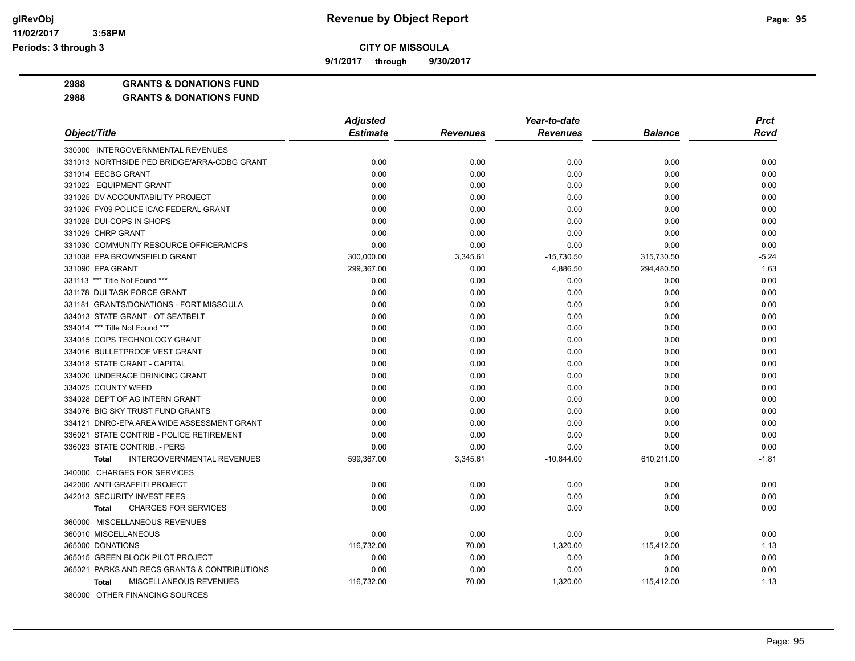**9/1/2017 through 9/30/2017**

**2988 GRANTS & DONATIONS FUND**

**2988 GRANTS & DONATIONS FUND**

|                                                   | <b>Adjusted</b> |                 | Year-to-date    |                | <b>Prct</b> |
|---------------------------------------------------|-----------------|-----------------|-----------------|----------------|-------------|
| Object/Title                                      | <b>Estimate</b> | <b>Revenues</b> | <b>Revenues</b> | <b>Balance</b> | Rcvd        |
| 330000 INTERGOVERNMENTAL REVENUES                 |                 |                 |                 |                |             |
| 331013 NORTHSIDE PED BRIDGE/ARRA-CDBG GRANT       | 0.00            | 0.00            | 0.00            | 0.00           | 0.00        |
| 331014 EECBG GRANT                                | 0.00            | 0.00            | 0.00            | 0.00           | 0.00        |
| 331022 EQUIPMENT GRANT                            | 0.00            | 0.00            | 0.00            | 0.00           | 0.00        |
| 331025 DV ACCOUNTABILITY PROJECT                  | 0.00            | 0.00            | 0.00            | 0.00           | 0.00        |
| 331026 FY09 POLICE ICAC FEDERAL GRANT             | 0.00            | 0.00            | 0.00            | 0.00           | 0.00        |
| 331028 DUI-COPS IN SHOPS                          | 0.00            | 0.00            | 0.00            | 0.00           | 0.00        |
| 331029 CHRP GRANT                                 | 0.00            | 0.00            | 0.00            | 0.00           | 0.00        |
| 331030 COMMUNITY RESOURCE OFFICER/MCPS            | 0.00            | 0.00            | 0.00            | 0.00           | 0.00        |
| 331038 EPA BROWNSFIELD GRANT                      | 300,000.00      | 3,345.61        | $-15,730.50$    | 315,730.50     | $-5.24$     |
| 331090 EPA GRANT                                  | 299,367.00      | 0.00            | 4,886.50        | 294,480.50     | 1.63        |
| 331113 *** Title Not Found ***                    | 0.00            | 0.00            | 0.00            | 0.00           | 0.00        |
| 331178 DUI TASK FORCE GRANT                       | 0.00            | 0.00            | 0.00            | 0.00           | 0.00        |
| 331181 GRANTS/DONATIONS - FORT MISSOULA           | 0.00            | 0.00            | 0.00            | 0.00           | 0.00        |
| 334013 STATE GRANT - OT SEATBELT                  | 0.00            | 0.00            | 0.00            | 0.00           | 0.00        |
| 334014 *** Title Not Found ***                    | 0.00            | 0.00            | 0.00            | 0.00           | 0.00        |
| 334015 COPS TECHNOLOGY GRANT                      | 0.00            | 0.00            | 0.00            | 0.00           | 0.00        |
| 334016 BULLETPROOF VEST GRANT                     | 0.00            | 0.00            | 0.00            | 0.00           | 0.00        |
| 334018 STATE GRANT - CAPITAL                      | 0.00            | 0.00            | 0.00            | 0.00           | 0.00        |
| 334020 UNDERAGE DRINKING GRANT                    | 0.00            | 0.00            | 0.00            | 0.00           | 0.00        |
| 334025 COUNTY WEED                                | 0.00            | 0.00            | 0.00            | 0.00           | 0.00        |
| 334028 DEPT OF AG INTERN GRANT                    | 0.00            | 0.00            | 0.00            | 0.00           | 0.00        |
| 334076 BIG SKY TRUST FUND GRANTS                  | 0.00            | 0.00            | 0.00            | 0.00           | 0.00        |
| 334121 DNRC-EPA AREA WIDE ASSESSMENT GRANT        | 0.00            | 0.00            | 0.00            | 0.00           | 0.00        |
| 336021 STATE CONTRIB - POLICE RETIREMENT          | 0.00            | 0.00            | 0.00            | 0.00           | 0.00        |
| 336023 STATE CONTRIB. - PERS                      | 0.00            | 0.00            | 0.00            | 0.00           | 0.00        |
| <b>INTERGOVERNMENTAL REVENUES</b><br><b>Total</b> | 599,367.00      | 3,345.61        | $-10,844.00$    | 610,211.00     | $-1.81$     |
| 340000 CHARGES FOR SERVICES                       |                 |                 |                 |                |             |
| 342000 ANTI-GRAFFITI PROJECT                      | 0.00            | 0.00            | 0.00            | 0.00           | 0.00        |
| 342013 SECURITY INVEST FEES                       | 0.00            | 0.00            | 0.00            | 0.00           | 0.00        |
| <b>CHARGES FOR SERVICES</b><br><b>Total</b>       | 0.00            | 0.00            | 0.00            | 0.00           | 0.00        |
| 360000 MISCELLANEOUS REVENUES                     |                 |                 |                 |                |             |
| 360010 MISCELLANEOUS                              | 0.00            | 0.00            | 0.00            | 0.00           | 0.00        |
| 365000 DONATIONS                                  | 116,732.00      | 70.00           | 1,320.00        | 115,412.00     | 1.13        |
| 365015 GREEN BLOCK PILOT PROJECT                  | 0.00            | 0.00            | 0.00            | 0.00           | 0.00        |
| 365021 PARKS AND RECS GRANTS & CONTRIBUTIONS      | 0.00            | 0.00            | 0.00            | 0.00           | 0.00        |
| MISCELLANEOUS REVENUES<br><b>Total</b>            | 116,732.00      | 70.00           | 1,320.00        | 115,412.00     | 1.13        |
| 380000 OTHER FINANCING SOURCES                    |                 |                 |                 |                |             |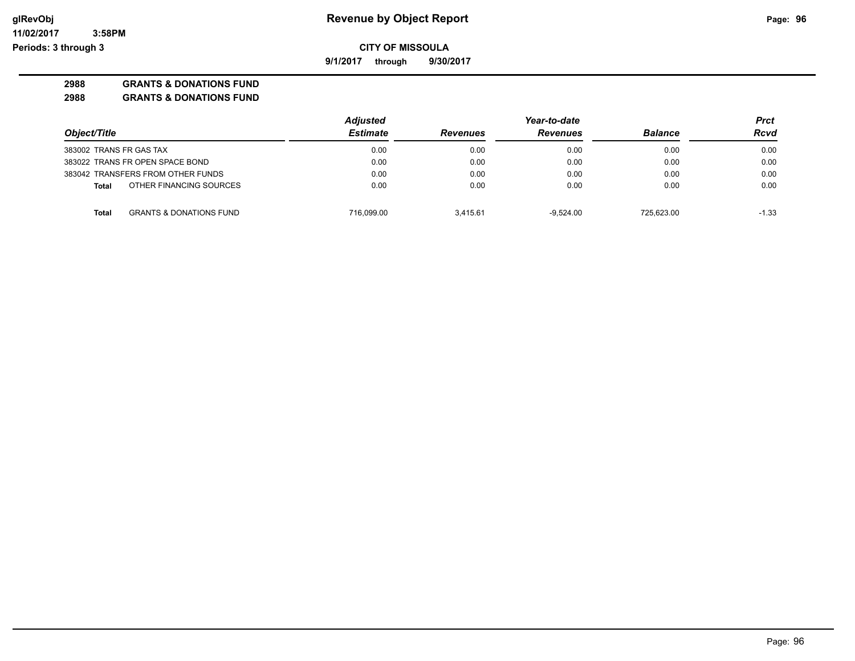**11/02/2017 3:58PM Periods: 3 through 3**

**CITY OF MISSOULA**

**9/1/2017 through 9/30/2017**

#### **2988 GRANTS & DONATIONS FUND**

**2988 GRANTS & DONATIONS FUND**

|                                                    | <b>Adjusted</b> |                 | Year-to-date    |                |         |
|----------------------------------------------------|-----------------|-----------------|-----------------|----------------|---------|
| Object/Title                                       | <b>Estimate</b> | <b>Revenues</b> | <b>Revenues</b> | <b>Balance</b> | Rcvd    |
| 383002 TRANS FR GAS TAX                            | 0.00            | 0.00            | 0.00            | 0.00           | 0.00    |
| 383022 TRANS FR OPEN SPACE BOND                    | 0.00            | 0.00            | 0.00            | 0.00           | 0.00    |
| 383042 TRANSFERS FROM OTHER FUNDS                  | 0.00            | 0.00            | 0.00            | 0.00           | 0.00    |
| OTHER FINANCING SOURCES<br><b>Total</b>            | 0.00            | 0.00            | 0.00            | 0.00           | 0.00    |
| <b>GRANTS &amp; DONATIONS FUND</b><br><b>Total</b> | 716.099.00      | 3.415.61        | $-9.524.00$     | 725.623.00     | $-1.33$ |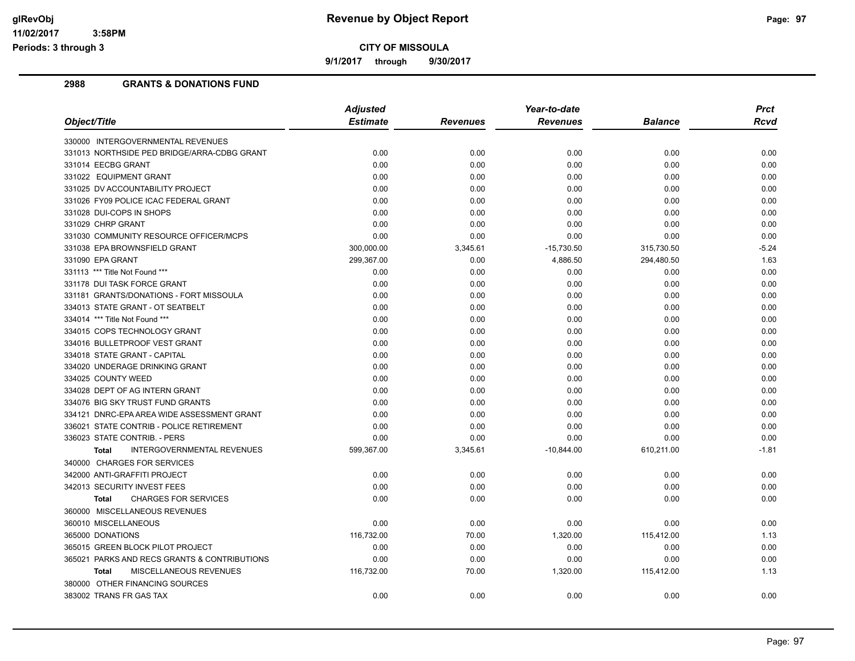**CITY OF MISSOULA**

**9/1/2017 through 9/30/2017**

#### **2988 GRANTS & DONATIONS FUND**

 **3:58PM**

|                                                   | <b>Adjusted</b> |                 | Year-to-date    | <b>Prct</b>    |         |
|---------------------------------------------------|-----------------|-----------------|-----------------|----------------|---------|
| Object/Title                                      | <b>Estimate</b> | <b>Revenues</b> | <b>Revenues</b> | <b>Balance</b> | Rcvd    |
| 330000 INTERGOVERNMENTAL REVENUES                 |                 |                 |                 |                |         |
| 331013 NORTHSIDE PED BRIDGE/ARRA-CDBG GRANT       | 0.00            | 0.00            | 0.00            | 0.00           | 0.00    |
| 331014 EECBG GRANT                                | 0.00            | 0.00            | 0.00            | 0.00           | 0.00    |
| 331022 EQUIPMENT GRANT                            | 0.00            | 0.00            | 0.00            | 0.00           | 0.00    |
| 331025 DV ACCOUNTABILITY PROJECT                  | 0.00            | 0.00            | 0.00            | 0.00           | 0.00    |
| 331026 FY09 POLICE ICAC FEDERAL GRANT             | 0.00            | 0.00            | 0.00            | 0.00           | 0.00    |
| 331028 DUI-COPS IN SHOPS                          | 0.00            | 0.00            | 0.00            | 0.00           | 0.00    |
| 331029 CHRP GRANT                                 | 0.00            | 0.00            | 0.00            | 0.00           | 0.00    |
| 331030 COMMUNITY RESOURCE OFFICER/MCPS            | 0.00            | 0.00            | 0.00            | 0.00           | 0.00    |
| 331038 EPA BROWNSFIELD GRANT                      | 300,000.00      | 3,345.61        | $-15,730.50$    | 315,730.50     | $-5.24$ |
| 331090 EPA GRANT                                  | 299,367.00      | 0.00            | 4,886.50        | 294,480.50     | 1.63    |
| 331113 *** Title Not Found ***                    | 0.00            | 0.00            | 0.00            | 0.00           | 0.00    |
| 331178 DUI TASK FORCE GRANT                       | 0.00            | 0.00            | 0.00            | 0.00           | 0.00    |
| 331181 GRANTS/DONATIONS - FORT MISSOULA           | 0.00            | 0.00            | 0.00            | 0.00           | 0.00    |
| 334013 STATE GRANT - OT SEATBELT                  | 0.00            | 0.00            | 0.00            | 0.00           | 0.00    |
| 334014 *** Title Not Found ***                    | 0.00            | 0.00            | 0.00            | 0.00           | 0.00    |
| 334015 COPS TECHNOLOGY GRANT                      | 0.00            | 0.00            | 0.00            | 0.00           | 0.00    |
| 334016 BULLETPROOF VEST GRANT                     | 0.00            | 0.00            | 0.00            | 0.00           | 0.00    |
| 334018 STATE GRANT - CAPITAL                      | 0.00            | 0.00            | 0.00            | 0.00           | 0.00    |
| 334020 UNDERAGE DRINKING GRANT                    | 0.00            | 0.00            | 0.00            | 0.00           | 0.00    |
| 334025 COUNTY WEED                                | 0.00            | 0.00            | 0.00            | 0.00           | 0.00    |
| 334028 DEPT OF AG INTERN GRANT                    | 0.00            | 0.00            | 0.00            | 0.00           | 0.00    |
| 334076 BIG SKY TRUST FUND GRANTS                  | 0.00            | 0.00            | 0.00            | 0.00           | 0.00    |
| 334121 DNRC-EPA AREA WIDE ASSESSMENT GRANT        | 0.00            | 0.00            | 0.00            | 0.00           | 0.00    |
| 336021 STATE CONTRIB - POLICE RETIREMENT          | 0.00            | 0.00            | 0.00            | 0.00           | 0.00    |
| 336023 STATE CONTRIB. - PERS                      | 0.00            | 0.00            | 0.00            | 0.00           | 0.00    |
| <b>INTERGOVERNMENTAL REVENUES</b><br><b>Total</b> | 599,367.00      | 3,345.61        | $-10,844.00$    | 610,211.00     | $-1.81$ |
| 340000 CHARGES FOR SERVICES                       |                 |                 |                 |                |         |
| 342000 ANTI-GRAFFITI PROJECT                      | 0.00            | 0.00            | 0.00            | 0.00           | 0.00    |
| 342013 SECURITY INVEST FEES                       | 0.00            | 0.00            | 0.00            | 0.00           | 0.00    |
| <b>CHARGES FOR SERVICES</b><br><b>Total</b>       | 0.00            | 0.00            | 0.00            | 0.00           | 0.00    |
| 360000 MISCELLANEOUS REVENUES                     |                 |                 |                 |                |         |
| 360010 MISCELLANEOUS                              | 0.00            | 0.00            | 0.00            | 0.00           | 0.00    |
| 365000 DONATIONS                                  | 116,732.00      | 70.00           | 1,320.00        | 115,412.00     | 1.13    |
| 365015 GREEN BLOCK PILOT PROJECT                  | 0.00            | 0.00            | 0.00            | 0.00           | 0.00    |
| 365021 PARKS AND RECS GRANTS & CONTRIBUTIONS      | 0.00            | 0.00            | 0.00            | 0.00           | 0.00    |
| MISCELLANEOUS REVENUES<br><b>Total</b>            | 116,732.00      | 70.00           | 1,320.00        | 115,412.00     | 1.13    |
| 380000 OTHER FINANCING SOURCES                    |                 |                 |                 |                |         |
| 383002 TRANS FR GAS TAX                           | 0.00            | 0.00            | 0.00            | 0.00           | 0.00    |
|                                                   |                 |                 |                 |                |         |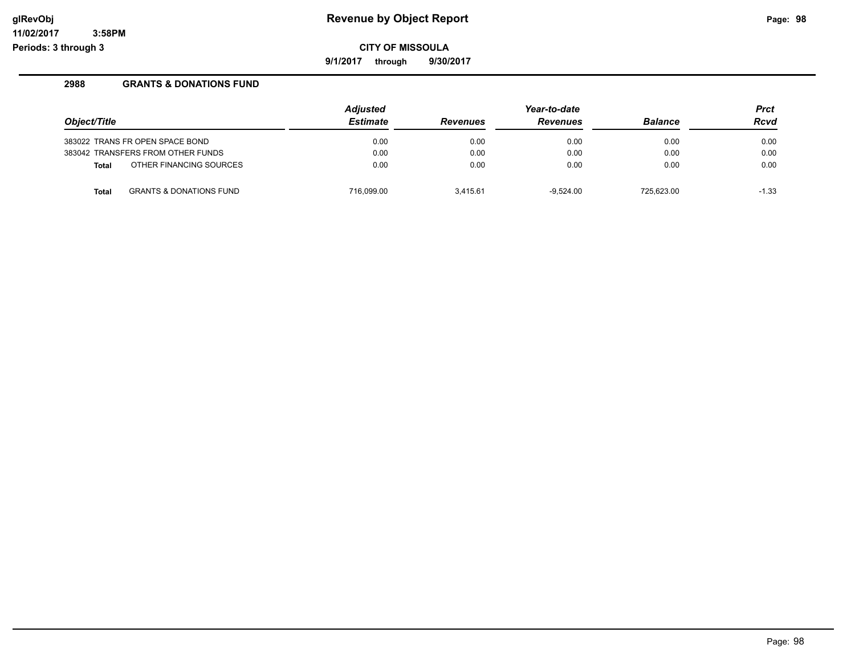**CITY OF MISSOULA**

**9/1/2017 through 9/30/2017**

#### **2988 GRANTS & DONATIONS FUND**

 **3:58PM**

| Object/Title |                                    | <b>Adjusted</b><br><b>Estimate</b> | <b>Revenues</b> | Year-to-date<br><b>Revenues</b> | <b>Balance</b> | <b>Prct</b><br><b>Rcvd</b> |
|--------------|------------------------------------|------------------------------------|-----------------|---------------------------------|----------------|----------------------------|
|              | 383022 TRANS FR OPEN SPACE BOND    | 0.00                               | 0.00            | 0.00                            | 0.00           | 0.00                       |
|              | 383042 TRANSFERS FROM OTHER FUNDS  | 0.00                               | 0.00            | 0.00                            | 0.00           | 0.00                       |
| <b>Total</b> | OTHER FINANCING SOURCES            | 0.00                               | 0.00            | 0.00                            | 0.00           | 0.00                       |
| <b>Total</b> | <b>GRANTS &amp; DONATIONS FUND</b> | 716.099.00                         | 3.415.61        | $-9.524.00$                     | 725.623.00     | $-1.33$                    |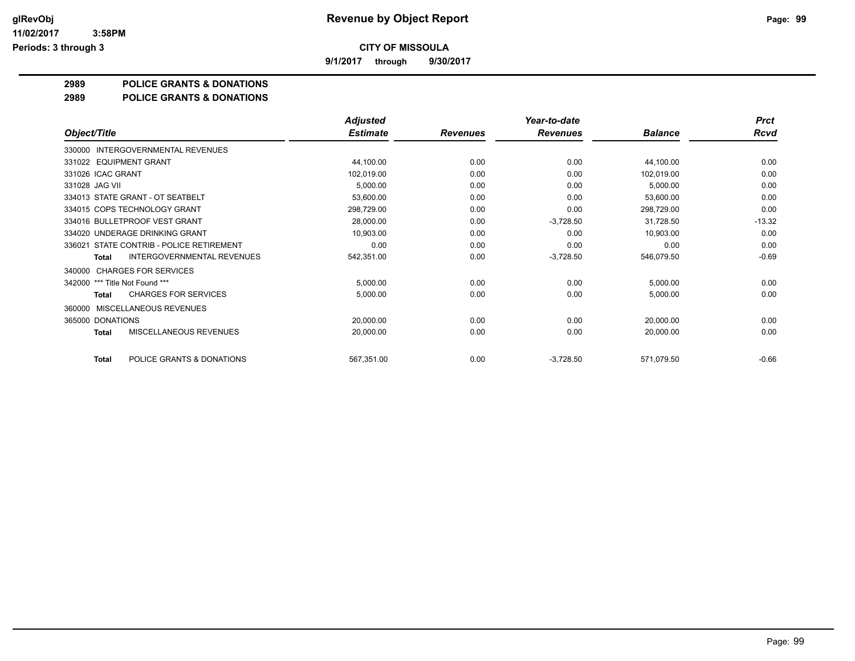**CITY OF MISSOULA**

**9/1/2017 through 9/30/2017**

## **2989 POLICE GRANTS & DONATIONS**

**2989 POLICE GRANTS & DONATIONS**

|                                               | <b>Adjusted</b> |                 | Year-to-date    |                | <b>Prct</b> |
|-----------------------------------------------|-----------------|-----------------|-----------------|----------------|-------------|
| Object/Title                                  | <b>Estimate</b> | <b>Revenues</b> | <b>Revenues</b> | <b>Balance</b> | <b>Rcvd</b> |
| INTERGOVERNMENTAL REVENUES<br>330000          |                 |                 |                 |                |             |
| 331022 EQUIPMENT GRANT                        | 44,100.00       | 0.00            | 0.00            | 44,100.00      | 0.00        |
| 331026 ICAC GRANT                             | 102,019.00      | 0.00            | 0.00            | 102,019.00     | 0.00        |
| 331028 JAG VII                                | 5,000.00        | 0.00            | 0.00            | 5,000.00       | 0.00        |
| 334013 STATE GRANT - OT SEATBELT              | 53,600.00       | 0.00            | 0.00            | 53,600.00      | 0.00        |
| 334015 COPS TECHNOLOGY GRANT                  | 298,729.00      | 0.00            | 0.00            | 298,729.00     | 0.00        |
| 334016 BULLETPROOF VEST GRANT                 | 28,000.00       | 0.00            | $-3,728.50$     | 31,728.50      | $-13.32$    |
| 334020 UNDERAGE DRINKING GRANT                | 10,903.00       | 0.00            | 0.00            | 10,903.00      | 0.00        |
| 336021 STATE CONTRIB - POLICE RETIREMENT      | 0.00            | 0.00            | 0.00            | 0.00           | 0.00        |
| <b>INTERGOVERNMENTAL REVENUES</b><br>Total    | 542,351.00      | 0.00            | $-3,728.50$     | 546,079.50     | $-0.69$     |
| <b>CHARGES FOR SERVICES</b><br>340000         |                 |                 |                 |                |             |
| *** Title Not Found ***<br>342000             | 5,000.00        | 0.00            | 0.00            | 5,000.00       | 0.00        |
| <b>CHARGES FOR SERVICES</b><br><b>Total</b>   | 5,000.00        | 0.00            | 0.00            | 5,000.00       | 0.00        |
| <b>MISCELLANEOUS REVENUES</b><br>360000       |                 |                 |                 |                |             |
| 365000 DONATIONS                              | 20,000.00       | 0.00            | 0.00            | 20,000.00      | 0.00        |
| <b>MISCELLANEOUS REVENUES</b><br><b>Total</b> | 20,000.00       | 0.00            | 0.00            | 20,000.00      | 0.00        |
| POLICE GRANTS & DONATIONS<br><b>Total</b>     | 567,351.00      | 0.00            | $-3,728.50$     | 571,079.50     | $-0.66$     |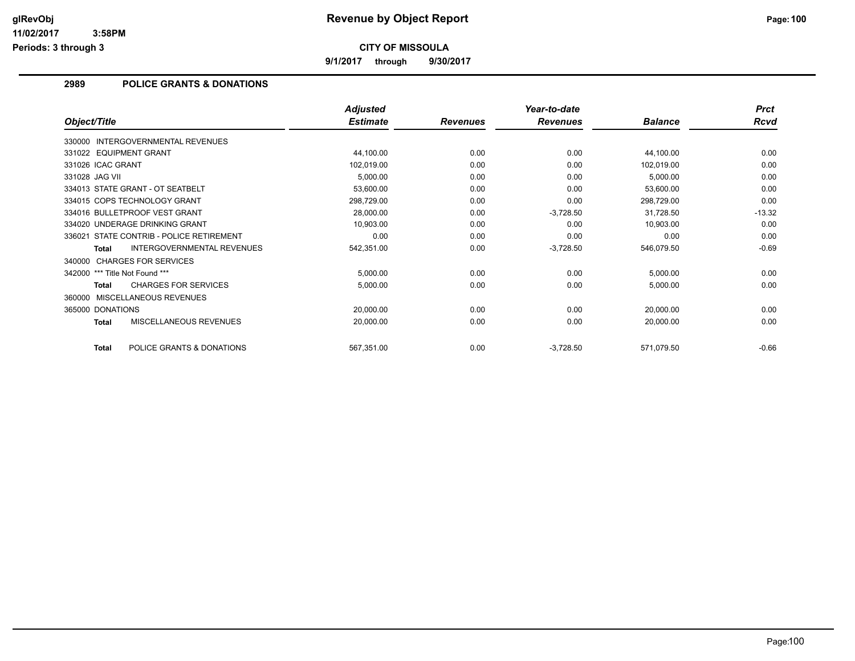**CITY OF MISSOULA**

**9/1/2017 through 9/30/2017**

## **2989 POLICE GRANTS & DONATIONS**

 **3:58PM**

|                                                   | <b>Adjusted</b> |                 | Year-to-date    |                | <b>Prct</b> |
|---------------------------------------------------|-----------------|-----------------|-----------------|----------------|-------------|
| Object/Title                                      | <b>Estimate</b> | <b>Revenues</b> | <b>Revenues</b> | <b>Balance</b> | Rcvd        |
| INTERGOVERNMENTAL REVENUES<br>330000              |                 |                 |                 |                |             |
| 331022 EQUIPMENT GRANT                            | 44,100.00       | 0.00            | 0.00            | 44,100.00      | 0.00        |
| 331026 ICAC GRANT                                 | 102,019.00      | 0.00            | 0.00            | 102,019.00     | 0.00        |
| 331028 JAG VII                                    | 5,000.00        | 0.00            | 0.00            | 5,000.00       | 0.00        |
| 334013 STATE GRANT - OT SEATBELT                  | 53,600.00       | 0.00            | 0.00            | 53,600.00      | 0.00        |
| 334015 COPS TECHNOLOGY GRANT                      | 298,729.00      | 0.00            | 0.00            | 298,729.00     | 0.00        |
| 334016 BULLETPROOF VEST GRANT                     | 28,000.00       | 0.00            | $-3,728.50$     | 31,728.50      | $-13.32$    |
| 334020 UNDERAGE DRINKING GRANT                    | 10,903.00       | 0.00            | 0.00            | 10,903.00      | 0.00        |
| 336021 STATE CONTRIB - POLICE RETIREMENT          | 0.00            | 0.00            | 0.00            | 0.00           | 0.00        |
| <b>INTERGOVERNMENTAL REVENUES</b><br><b>Total</b> | 542,351.00      | 0.00            | $-3,728.50$     | 546,079.50     | $-0.69$     |
| 340000 CHARGES FOR SERVICES                       |                 |                 |                 |                |             |
| 342000 *** Title Not Found ***                    | 5,000.00        | 0.00            | 0.00            | 5,000.00       | 0.00        |
| <b>CHARGES FOR SERVICES</b><br><b>Total</b>       | 5,000.00        | 0.00            | 0.00            | 5,000.00       | 0.00        |
| <b>MISCELLANEOUS REVENUES</b><br>360000           |                 |                 |                 |                |             |
| 365000 DONATIONS                                  | 20,000.00       | 0.00            | 0.00            | 20,000.00      | 0.00        |
| MISCELLANEOUS REVENUES<br><b>Total</b>            | 20,000.00       | 0.00            | 0.00            | 20,000.00      | 0.00        |
| POLICE GRANTS & DONATIONS<br>Total                | 567,351.00      | 0.00            | $-3,728.50$     | 571,079.50     | $-0.66$     |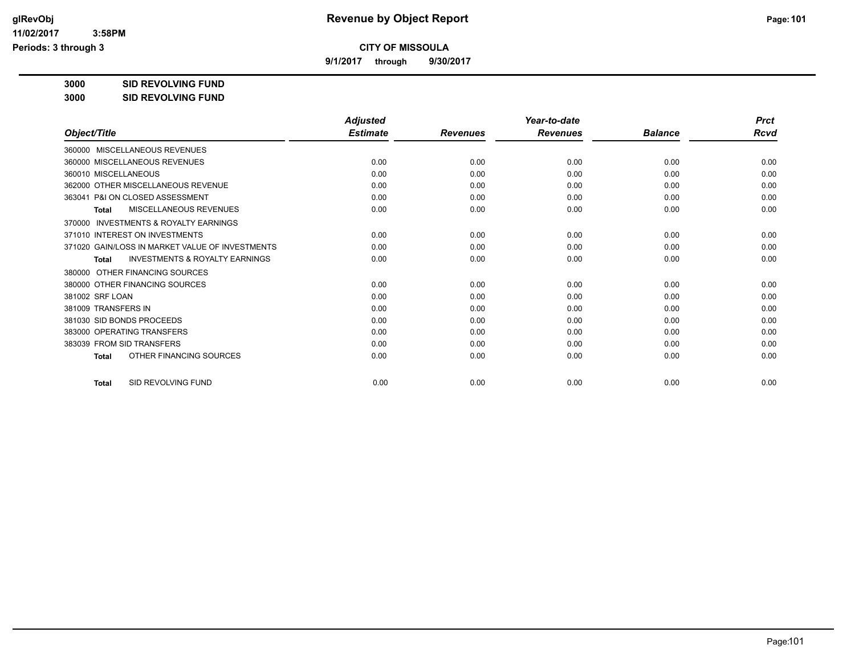**9/1/2017 through 9/30/2017**

**3000 SID REVOLVING FUND**

**3000 SID REVOLVING FUND**

|                                                           | <b>Adjusted</b> |                 | Year-to-date    |                | <b>Prct</b> |
|-----------------------------------------------------------|-----------------|-----------------|-----------------|----------------|-------------|
| Object/Title                                              | <b>Estimate</b> | <b>Revenues</b> | <b>Revenues</b> | <b>Balance</b> | Rcvd        |
| 360000 MISCELLANEOUS REVENUES                             |                 |                 |                 |                |             |
| 360000 MISCELLANEOUS REVENUES                             | 0.00            | 0.00            | 0.00            | 0.00           | 0.00        |
| 360010 MISCELLANEOUS                                      | 0.00            | 0.00            | 0.00            | 0.00           | 0.00        |
| 362000 OTHER MISCELLANEOUS REVENUE                        | 0.00            | 0.00            | 0.00            | 0.00           | 0.00        |
| 363041 P&I ON CLOSED ASSESSMENT                           | 0.00            | 0.00            | 0.00            | 0.00           | 0.00        |
| MISCELLANEOUS REVENUES<br><b>Total</b>                    | 0.00            | 0.00            | 0.00            | 0.00           | 0.00        |
| <b>INVESTMENTS &amp; ROYALTY EARNINGS</b><br>370000       |                 |                 |                 |                |             |
| 371010 INTEREST ON INVESTMENTS                            | 0.00            | 0.00            | 0.00            | 0.00           | 0.00        |
| 371020 GAIN/LOSS IN MARKET VALUE OF INVESTMENTS           | 0.00            | 0.00            | 0.00            | 0.00           | 0.00        |
| <b>INVESTMENTS &amp; ROYALTY EARNINGS</b><br><b>Total</b> | 0.00            | 0.00            | 0.00            | 0.00           | 0.00        |
| OTHER FINANCING SOURCES<br>380000                         |                 |                 |                 |                |             |
| 380000 OTHER FINANCING SOURCES                            | 0.00            | 0.00            | 0.00            | 0.00           | 0.00        |
| 381002 SRF LOAN                                           | 0.00            | 0.00            | 0.00            | 0.00           | 0.00        |
| 381009 TRANSFERS IN                                       | 0.00            | 0.00            | 0.00            | 0.00           | 0.00        |
| 381030 SID BONDS PROCEEDS                                 | 0.00            | 0.00            | 0.00            | 0.00           | 0.00        |
| 383000 OPERATING TRANSFERS                                | 0.00            | 0.00            | 0.00            | 0.00           | 0.00        |
| 383039 FROM SID TRANSFERS                                 | 0.00            | 0.00            | 0.00            | 0.00           | 0.00        |
| OTHER FINANCING SOURCES<br><b>Total</b>                   | 0.00            | 0.00            | 0.00            | 0.00           | 0.00        |
| <b>SID REVOLVING FUND</b><br><b>Total</b>                 | 0.00            | 0.00            | 0.00            | 0.00           | 0.00        |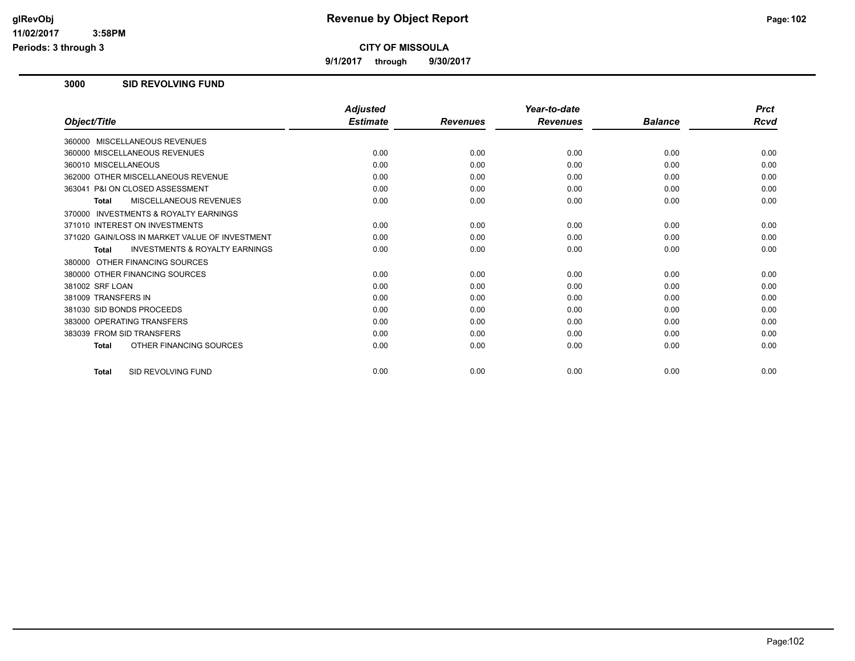**CITY OF MISSOULA**

**9/1/2017 through 9/30/2017**

#### **3000 SID REVOLVING FUND**

|                                                           | <b>Adjusted</b> |                 | Year-to-date    |                | <b>Prct</b> |
|-----------------------------------------------------------|-----------------|-----------------|-----------------|----------------|-------------|
| Object/Title                                              | <b>Estimate</b> | <b>Revenues</b> | <b>Revenues</b> | <b>Balance</b> | Rcvd        |
| 360000 MISCELLANEOUS REVENUES                             |                 |                 |                 |                |             |
| 360000 MISCELLANEOUS REVENUES                             | 0.00            | 0.00            | 0.00            | 0.00           | 0.00        |
| 360010 MISCELLANEOUS                                      | 0.00            | 0.00            | 0.00            | 0.00           | 0.00        |
| 362000 OTHER MISCELLANEOUS REVENUE                        | 0.00            | 0.00            | 0.00            | 0.00           | 0.00        |
| <b>P&amp;I ON CLOSED ASSESSMENT</b><br>363041             | 0.00            | 0.00            | 0.00            | 0.00           | 0.00        |
| MISCELLANEOUS REVENUES<br>Total                           | 0.00            | 0.00            | 0.00            | 0.00           | 0.00        |
| <b>INVESTMENTS &amp; ROYALTY EARNINGS</b><br>370000       |                 |                 |                 |                |             |
| 371010 INTEREST ON INVESTMENTS                            | 0.00            | 0.00            | 0.00            | 0.00           | 0.00        |
| 371020 GAIN/LOSS IN MARKET VALUE OF INVESTMENT            | 0.00            | 0.00            | 0.00            | 0.00           | 0.00        |
| <b>INVESTMENTS &amp; ROYALTY EARNINGS</b><br><b>Total</b> | 0.00            | 0.00            | 0.00            | 0.00           | 0.00        |
| 380000 OTHER FINANCING SOURCES                            |                 |                 |                 |                |             |
| 380000 OTHER FINANCING SOURCES                            | 0.00            | 0.00            | 0.00            | 0.00           | 0.00        |
| 381002 SRF LOAN                                           | 0.00            | 0.00            | 0.00            | 0.00           | 0.00        |
| 381009 TRANSFERS IN                                       | 0.00            | 0.00            | 0.00            | 0.00           | 0.00        |
| 381030 SID BONDS PROCEEDS                                 | 0.00            | 0.00            | 0.00            | 0.00           | 0.00        |
| 383000 OPERATING TRANSFERS                                | 0.00            | 0.00            | 0.00            | 0.00           | 0.00        |
| 383039 FROM SID TRANSFERS                                 | 0.00            | 0.00            | 0.00            | 0.00           | 0.00        |
| OTHER FINANCING SOURCES<br>Total                          | 0.00            | 0.00            | 0.00            | 0.00           | 0.00        |
| <b>SID REVOLVING FUND</b><br><b>Total</b>                 | 0.00            | 0.00            | 0.00            | 0.00           | 0.00        |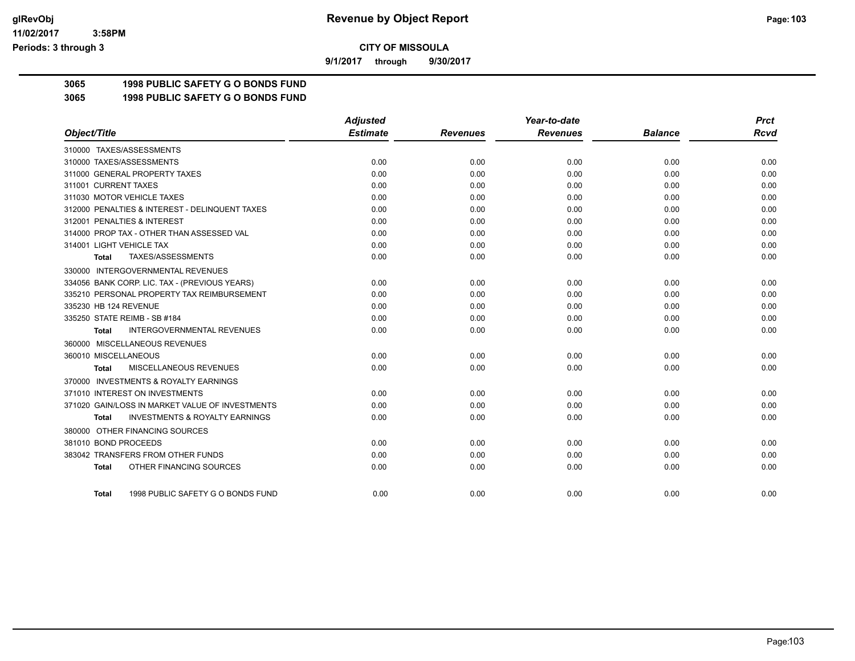**3:58PM**

**CITY OF MISSOULA**

**9/1/2017 through 9/30/2017**

## **3065 1998 PUBLIC SAFETY G O BONDS FUND**

**3065 1998 PUBLIC SAFETY G O BONDS FUND**

|                                                     | <b>Adjusted</b> |                 | Year-to-date    |                | <b>Prct</b> |
|-----------------------------------------------------|-----------------|-----------------|-----------------|----------------|-------------|
| Object/Title                                        | <b>Estimate</b> | <b>Revenues</b> | <b>Revenues</b> | <b>Balance</b> | <b>Rcvd</b> |
| 310000 TAXES/ASSESSMENTS                            |                 |                 |                 |                |             |
| 310000 TAXES/ASSESSMENTS                            | 0.00            | 0.00            | 0.00            | 0.00           | 0.00        |
| 311000 GENERAL PROPERTY TAXES                       | 0.00            | 0.00            | 0.00            | 0.00           | 0.00        |
| 311001 CURRENT TAXES                                | 0.00            | 0.00            | 0.00            | 0.00           | 0.00        |
| 311030 MOTOR VEHICLE TAXES                          | 0.00            | 0.00            | 0.00            | 0.00           | 0.00        |
| 312000 PENALTIES & INTEREST - DELINQUENT TAXES      | 0.00            | 0.00            | 0.00            | 0.00           | 0.00        |
| 312001 PENALTIES & INTEREST                         | 0.00            | 0.00            | 0.00            | 0.00           | 0.00        |
| 314000 PROP TAX - OTHER THAN ASSESSED VAL           | 0.00            | 0.00            | 0.00            | 0.00           | 0.00        |
| 314001 LIGHT VEHICLE TAX                            | 0.00            | 0.00            | 0.00            | 0.00           | 0.00        |
| TAXES/ASSESSMENTS<br><b>Total</b>                   | 0.00            | 0.00            | 0.00            | 0.00           | 0.00        |
| 330000 INTERGOVERNMENTAL REVENUES                   |                 |                 |                 |                |             |
| 334056 BANK CORP. LIC. TAX - (PREVIOUS YEARS)       | 0.00            | 0.00            | 0.00            | 0.00           | 0.00        |
| 335210 PERSONAL PROPERTY TAX REIMBURSEMENT          | 0.00            | 0.00            | 0.00            | 0.00           | 0.00        |
| 335230 HB 124 REVENUE                               | 0.00            | 0.00            | 0.00            | 0.00           | 0.00        |
| 335250 STATE REIMB - SB #184                        | 0.00            | 0.00            | 0.00            | 0.00           | 0.00        |
| <b>INTERGOVERNMENTAL REVENUES</b><br><b>Total</b>   | 0.00            | 0.00            | 0.00            | 0.00           | 0.00        |
| 360000 MISCELLANEOUS REVENUES                       |                 |                 |                 |                |             |
| 360010 MISCELLANEOUS                                | 0.00            | 0.00            | 0.00            | 0.00           | 0.00        |
| <b>MISCELLANEOUS REVENUES</b><br><b>Total</b>       | 0.00            | 0.00            | 0.00            | 0.00           | 0.00        |
| <b>INVESTMENTS &amp; ROYALTY EARNINGS</b><br>370000 |                 |                 |                 |                |             |
| 371010 INTEREST ON INVESTMENTS                      | 0.00            | 0.00            | 0.00            | 0.00           | 0.00        |
| 371020 GAIN/LOSS IN MARKET VALUE OF INVESTMENTS     | 0.00            | 0.00            | 0.00            | 0.00           | 0.00        |
| <b>INVESTMENTS &amp; ROYALTY EARNINGS</b><br>Total  | 0.00            | 0.00            | 0.00            | 0.00           | 0.00        |
| 380000 OTHER FINANCING SOURCES                      |                 |                 |                 |                |             |
| 381010 BOND PROCEEDS                                | 0.00            | 0.00            | 0.00            | 0.00           | 0.00        |
| 383042 TRANSFERS FROM OTHER FUNDS                   | 0.00            | 0.00            | 0.00            | 0.00           | 0.00        |
| OTHER FINANCING SOURCES<br><b>Total</b>             | 0.00            | 0.00            | 0.00            | 0.00           | 0.00        |
| 1998 PUBLIC SAFETY G O BONDS FUND<br>Total          | 0.00            | 0.00            | 0.00            | 0.00           | 0.00        |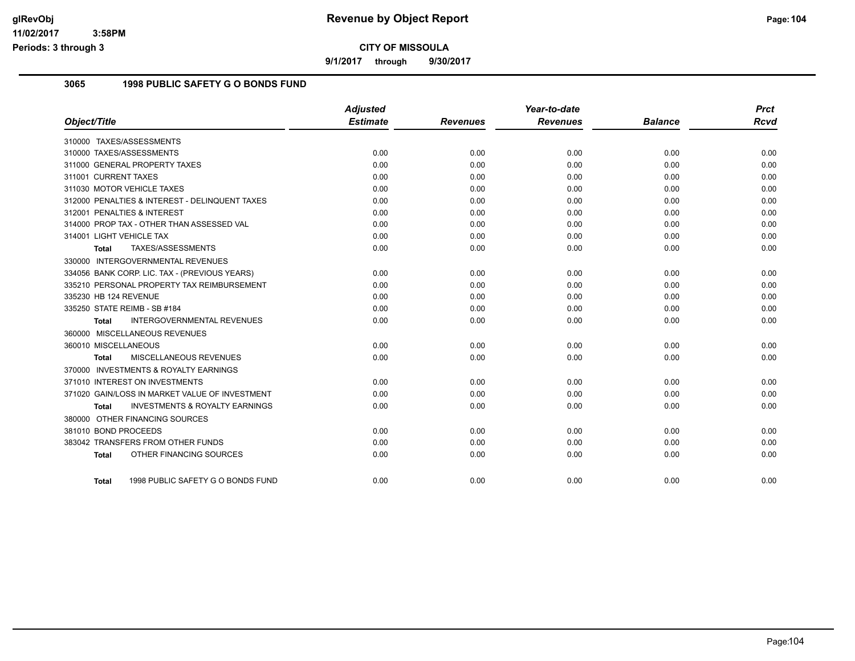**9/1/2017 through 9/30/2017**

## **3065 1998 PUBLIC SAFETY G O BONDS FUND**

|                                                    | Adjusted<br><b>Estimate</b> |                 | Year-to-date<br><b>Revenues</b> |                | <b>Prct</b> |
|----------------------------------------------------|-----------------------------|-----------------|---------------------------------|----------------|-------------|
| Object/Title                                       |                             | <b>Revenues</b> |                                 | <b>Balance</b> | Rcvd        |
| 310000 TAXES/ASSESSMENTS                           |                             |                 |                                 |                |             |
| 310000 TAXES/ASSESSMENTS                           | 0.00                        | 0.00            | 0.00                            | 0.00           | 0.00        |
| 311000 GENERAL PROPERTY TAXES                      | 0.00                        | 0.00            | 0.00                            | 0.00           | 0.00        |
| 311001 CURRENT TAXES                               | 0.00                        | 0.00            | 0.00                            | 0.00           | 0.00        |
| 311030 MOTOR VEHICLE TAXES                         | 0.00                        | 0.00            | 0.00                            | 0.00           | 0.00        |
| 312000 PENALTIES & INTEREST - DELINQUENT TAXES     | 0.00                        | 0.00            | 0.00                            | 0.00           | 0.00        |
| 312001 PENALTIES & INTEREST                        | 0.00                        | 0.00            | 0.00                            | 0.00           | 0.00        |
| 314000 PROP TAX - OTHER THAN ASSESSED VAL          | 0.00                        | 0.00            | 0.00                            | 0.00           | 0.00        |
| 314001 LIGHT VEHICLE TAX                           | 0.00                        | 0.00            | 0.00                            | 0.00           | 0.00        |
| <b>TAXES/ASSESSMENTS</b><br>Total                  | 0.00                        | 0.00            | 0.00                            | 0.00           | 0.00        |
| 330000 INTERGOVERNMENTAL REVENUES                  |                             |                 |                                 |                |             |
| 334056 BANK CORP. LIC. TAX - (PREVIOUS YEARS)      | 0.00                        | 0.00            | 0.00                            | 0.00           | 0.00        |
| 335210 PERSONAL PROPERTY TAX REIMBURSEMENT         | 0.00                        | 0.00            | 0.00                            | 0.00           | 0.00        |
| 335230 HB 124 REVENUE                              | 0.00                        | 0.00            | 0.00                            | 0.00           | 0.00        |
| 335250 STATE REIMB - SB #184                       | 0.00                        | 0.00            | 0.00                            | 0.00           | 0.00        |
| <b>INTERGOVERNMENTAL REVENUES</b><br><b>Total</b>  | 0.00                        | 0.00            | 0.00                            | 0.00           | 0.00        |
| 360000 MISCELLANEOUS REVENUES                      |                             |                 |                                 |                |             |
| 360010 MISCELLANEOUS                               | 0.00                        | 0.00            | 0.00                            | 0.00           | 0.00        |
| MISCELLANEOUS REVENUES<br><b>Total</b>             | 0.00                        | 0.00            | 0.00                            | 0.00           | 0.00        |
| 370000 INVESTMENTS & ROYALTY EARNINGS              |                             |                 |                                 |                |             |
| 371010 INTEREST ON INVESTMENTS                     | 0.00                        | 0.00            | 0.00                            | 0.00           | 0.00        |
| 371020 GAIN/LOSS IN MARKET VALUE OF INVESTMENT     | 0.00                        | 0.00            | 0.00                            | 0.00           | 0.00        |
| <b>INVESTMENTS &amp; ROYALTY EARNINGS</b><br>Total | 0.00                        | 0.00            | 0.00                            | 0.00           | 0.00        |
| 380000 OTHER FINANCING SOURCES                     |                             |                 |                                 |                |             |
| 381010 BOND PROCEEDS                               | 0.00                        | 0.00            | 0.00                            | 0.00           | 0.00        |
| 383042 TRANSFERS FROM OTHER FUNDS                  | 0.00                        | 0.00            | 0.00                            | 0.00           | 0.00        |
| OTHER FINANCING SOURCES<br><b>Total</b>            | 0.00                        | 0.00            | 0.00                            | 0.00           | 0.00        |
|                                                    |                             |                 |                                 |                |             |
| 1998 PUBLIC SAFETY G O BONDS FUND<br>Total         | 0.00                        | 0.00            | 0.00                            | 0.00           | 0.00        |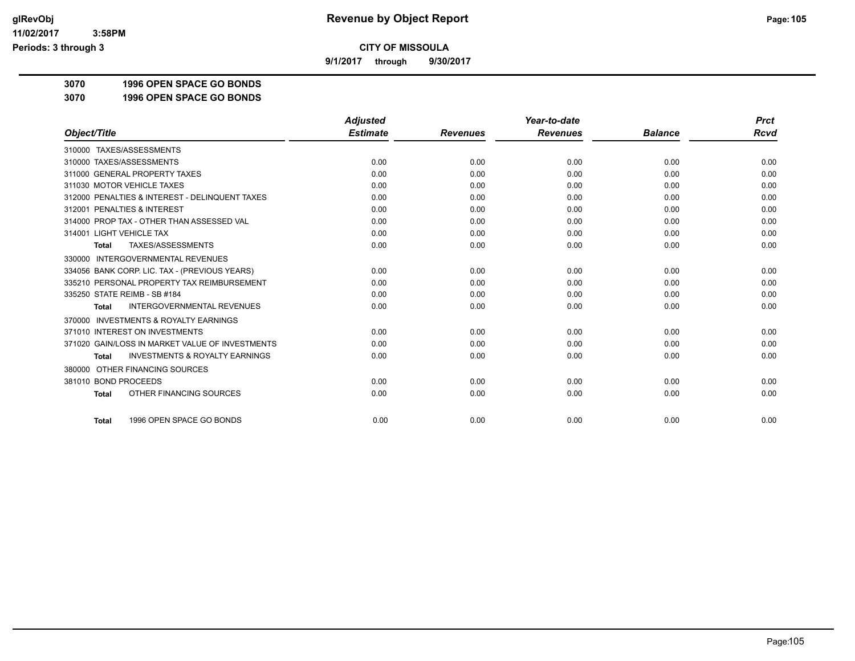**CITY OF MISSOULA**

**9/1/2017 through 9/30/2017**

**3070 1996 OPEN SPACE GO BONDS**

 **3:58PM**

**3070 1996 OPEN SPACE GO BONDS**

|                                                    | <b>Adjusted</b> |                 | Year-to-date    |                | <b>Prct</b> |
|----------------------------------------------------|-----------------|-----------------|-----------------|----------------|-------------|
| Object/Title                                       | <b>Estimate</b> | <b>Revenues</b> | <b>Revenues</b> | <b>Balance</b> | <b>Rcvd</b> |
| 310000 TAXES/ASSESSMENTS                           |                 |                 |                 |                |             |
| 310000 TAXES/ASSESSMENTS                           | 0.00            | 0.00            | 0.00            | 0.00           | 0.00        |
| 311000 GENERAL PROPERTY TAXES                      | 0.00            | 0.00            | 0.00            | 0.00           | 0.00        |
| 311030 MOTOR VEHICLE TAXES                         | 0.00            | 0.00            | 0.00            | 0.00           | 0.00        |
| 312000 PENALTIES & INTEREST - DELINQUENT TAXES     | 0.00            | 0.00            | 0.00            | 0.00           | 0.00        |
| 312001 PENALTIES & INTEREST                        | 0.00            | 0.00            | 0.00            | 0.00           | 0.00        |
| 314000 PROP TAX - OTHER THAN ASSESSED VAL          | 0.00            | 0.00            | 0.00            | 0.00           | 0.00        |
| 314001 LIGHT VEHICLE TAX                           | 0.00            | 0.00            | 0.00            | 0.00           | 0.00        |
| TAXES/ASSESSMENTS<br><b>Total</b>                  | 0.00            | 0.00            | 0.00            | 0.00           | 0.00        |
| <b>INTERGOVERNMENTAL REVENUES</b><br>330000        |                 |                 |                 |                |             |
| 334056 BANK CORP. LIC. TAX - (PREVIOUS YEARS)      | 0.00            | 0.00            | 0.00            | 0.00           | 0.00        |
| 335210 PERSONAL PROPERTY TAX REIMBURSEMENT         | 0.00            | 0.00            | 0.00            | 0.00           | 0.00        |
| 335250 STATE REIMB - SB #184                       | 0.00            | 0.00            | 0.00            | 0.00           | 0.00        |
| <b>INTERGOVERNMENTAL REVENUES</b><br><b>Total</b>  | 0.00            | 0.00            | 0.00            | 0.00           | 0.00        |
| 370000 INVESTMENTS & ROYALTY EARNINGS              |                 |                 |                 |                |             |
| 371010 INTEREST ON INVESTMENTS                     | 0.00            | 0.00            | 0.00            | 0.00           | 0.00        |
| 371020 GAIN/LOSS IN MARKET VALUE OF INVESTMENTS    | 0.00            | 0.00            | 0.00            | 0.00           | 0.00        |
| <b>INVESTMENTS &amp; ROYALTY EARNINGS</b><br>Total | 0.00            | 0.00            | 0.00            | 0.00           | 0.00        |
| OTHER FINANCING SOURCES<br>380000                  |                 |                 |                 |                |             |
| 381010 BOND PROCEEDS                               | 0.00            | 0.00            | 0.00            | 0.00           | 0.00        |
| OTHER FINANCING SOURCES<br><b>Total</b>            | 0.00            | 0.00            | 0.00            | 0.00           | 0.00        |
| 1996 OPEN SPACE GO BONDS<br>Total                  | 0.00            | 0.00            | 0.00            | 0.00           | 0.00        |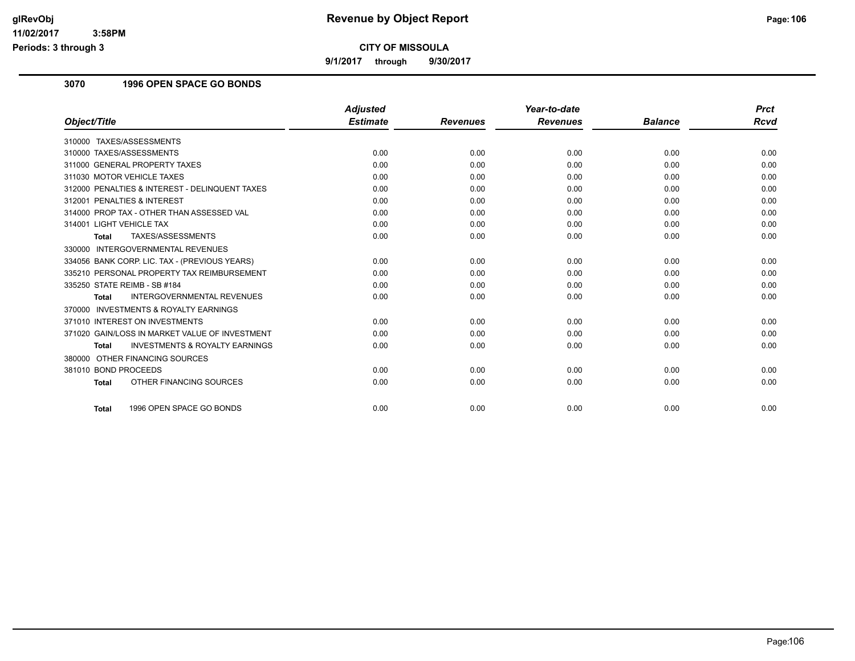**CITY OF MISSOULA**

**9/1/2017 through 9/30/2017**

## **3070 1996 OPEN SPACE GO BONDS**

 **3:58PM**

|                                                           | <b>Adjusted</b> |                 | Year-to-date    |                | <b>Prct</b> |
|-----------------------------------------------------------|-----------------|-----------------|-----------------|----------------|-------------|
| Object/Title                                              | <b>Estimate</b> | <b>Revenues</b> | <b>Revenues</b> | <b>Balance</b> | Rcvd        |
| 310000 TAXES/ASSESSMENTS                                  |                 |                 |                 |                |             |
| 310000 TAXES/ASSESSMENTS                                  | 0.00            | 0.00            | 0.00            | 0.00           | 0.00        |
| 311000 GENERAL PROPERTY TAXES                             | 0.00            | 0.00            | 0.00            | 0.00           | 0.00        |
| 311030 MOTOR VEHICLE TAXES                                | 0.00            | 0.00            | 0.00            | 0.00           | 0.00        |
| 312000 PENALTIES & INTEREST - DELINQUENT TAXES            | 0.00            | 0.00            | 0.00            | 0.00           | 0.00        |
| 312001 PENALTIES & INTEREST                               | 0.00            | 0.00            | 0.00            | 0.00           | 0.00        |
| 314000 PROP TAX - OTHER THAN ASSESSED VAL                 | 0.00            | 0.00            | 0.00            | 0.00           | 0.00        |
| 314001 LIGHT VEHICLE TAX                                  | 0.00            | 0.00            | 0.00            | 0.00           | 0.00        |
| TAXES/ASSESSMENTS<br><b>Total</b>                         | 0.00            | 0.00            | 0.00            | 0.00           | 0.00        |
| 330000 INTERGOVERNMENTAL REVENUES                         |                 |                 |                 |                |             |
| 334056 BANK CORP. LIC. TAX - (PREVIOUS YEARS)             | 0.00            | 0.00            | 0.00            | 0.00           | 0.00        |
| 335210 PERSONAL PROPERTY TAX REIMBURSEMENT                | 0.00            | 0.00            | 0.00            | 0.00           | 0.00        |
| 335250 STATE REIMB - SB #184                              | 0.00            | 0.00            | 0.00            | 0.00           | 0.00        |
| <b>INTERGOVERNMENTAL REVENUES</b><br><b>Total</b>         | 0.00            | 0.00            | 0.00            | 0.00           | 0.00        |
| <b>INVESTMENTS &amp; ROYALTY EARNINGS</b><br>370000       |                 |                 |                 |                |             |
| 371010 INTEREST ON INVESTMENTS                            | 0.00            | 0.00            | 0.00            | 0.00           | 0.00        |
| 371020 GAIN/LOSS IN MARKET VALUE OF INVESTMENT            | 0.00            | 0.00            | 0.00            | 0.00           | 0.00        |
| <b>INVESTMENTS &amp; ROYALTY EARNINGS</b><br><b>Total</b> | 0.00            | 0.00            | 0.00            | 0.00           | 0.00        |
| 380000 OTHER FINANCING SOURCES                            |                 |                 |                 |                |             |
| 381010 BOND PROCEEDS                                      | 0.00            | 0.00            | 0.00            | 0.00           | 0.00        |
| OTHER FINANCING SOURCES<br><b>Total</b>                   | 0.00            | 0.00            | 0.00            | 0.00           | 0.00        |
| 1996 OPEN SPACE GO BONDS<br><b>Total</b>                  | 0.00            | 0.00            | 0.00            | 0.00           | 0.00        |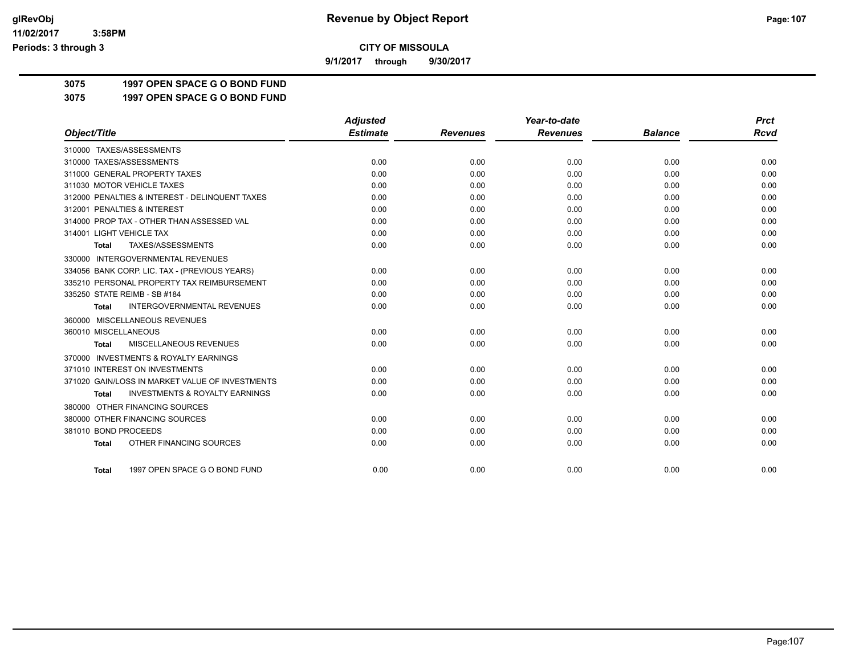**9/1/2017 through 9/30/2017**

## **3075 1997 OPEN SPACE G O BOND FUND**

#### **3075 1997 OPEN SPACE G O BOND FUND**

|                                                    | <b>Adjusted</b> |                 | Year-to-date    |                | <b>Prct</b> |
|----------------------------------------------------|-----------------|-----------------|-----------------|----------------|-------------|
| Object/Title                                       | <b>Estimate</b> | <b>Revenues</b> | <b>Revenues</b> | <b>Balance</b> | Rcvd        |
| 310000 TAXES/ASSESSMENTS                           |                 |                 |                 |                |             |
| 310000 TAXES/ASSESSMENTS                           | 0.00            | 0.00            | 0.00            | 0.00           | 0.00        |
| 311000 GENERAL PROPERTY TAXES                      | 0.00            | 0.00            | 0.00            | 0.00           | 0.00        |
| 311030 MOTOR VEHICLE TAXES                         | 0.00            | 0.00            | 0.00            | 0.00           | 0.00        |
| 312000 PENALTIES & INTEREST - DELINQUENT TAXES     | 0.00            | 0.00            | 0.00            | 0.00           | 0.00        |
| 312001 PENALTIES & INTEREST                        | 0.00            | 0.00            | 0.00            | 0.00           | 0.00        |
| 314000 PROP TAX - OTHER THAN ASSESSED VAL          | 0.00            | 0.00            | 0.00            | 0.00           | 0.00        |
| 314001 LIGHT VEHICLE TAX                           | 0.00            | 0.00            | 0.00            | 0.00           | 0.00        |
| TAXES/ASSESSMENTS<br>Total                         | 0.00            | 0.00            | 0.00            | 0.00           | 0.00        |
| 330000 INTERGOVERNMENTAL REVENUES                  |                 |                 |                 |                |             |
| 334056 BANK CORP. LIC. TAX - (PREVIOUS YEARS)      | 0.00            | 0.00            | 0.00            | 0.00           | 0.00        |
| 335210 PERSONAL PROPERTY TAX REIMBURSEMENT         | 0.00            | 0.00            | 0.00            | 0.00           | 0.00        |
| 335250 STATE REIMB - SB #184                       | 0.00            | 0.00            | 0.00            | 0.00           | 0.00        |
| <b>INTERGOVERNMENTAL REVENUES</b><br><b>Total</b>  | 0.00            | 0.00            | 0.00            | 0.00           | 0.00        |
| 360000 MISCELLANEOUS REVENUES                      |                 |                 |                 |                |             |
| 360010 MISCELLANEOUS                               | 0.00            | 0.00            | 0.00            | 0.00           | 0.00        |
| <b>MISCELLANEOUS REVENUES</b><br>Total             | 0.00            | 0.00            | 0.00            | 0.00           | 0.00        |
| 370000 INVESTMENTS & ROYALTY EARNINGS              |                 |                 |                 |                |             |
| 371010 INTEREST ON INVESTMENTS                     | 0.00            | 0.00            | 0.00            | 0.00           | 0.00        |
| 371020 GAIN/LOSS IN MARKET VALUE OF INVESTMENTS    | 0.00            | 0.00            | 0.00            | 0.00           | 0.00        |
| <b>INVESTMENTS &amp; ROYALTY EARNINGS</b><br>Total | 0.00            | 0.00            | 0.00            | 0.00           | 0.00        |
| 380000 OTHER FINANCING SOURCES                     |                 |                 |                 |                |             |
| 380000 OTHER FINANCING SOURCES                     | 0.00            | 0.00            | 0.00            | 0.00           | 0.00        |
| 381010 BOND PROCEEDS                               | 0.00            | 0.00            | 0.00            | 0.00           | 0.00        |
| OTHER FINANCING SOURCES<br><b>Total</b>            | 0.00            | 0.00            | 0.00            | 0.00           | 0.00        |
|                                                    |                 |                 |                 |                |             |
| 1997 OPEN SPACE G O BOND FUND<br><b>Total</b>      | 0.00            | 0.00            | 0.00            | 0.00           | 0.00        |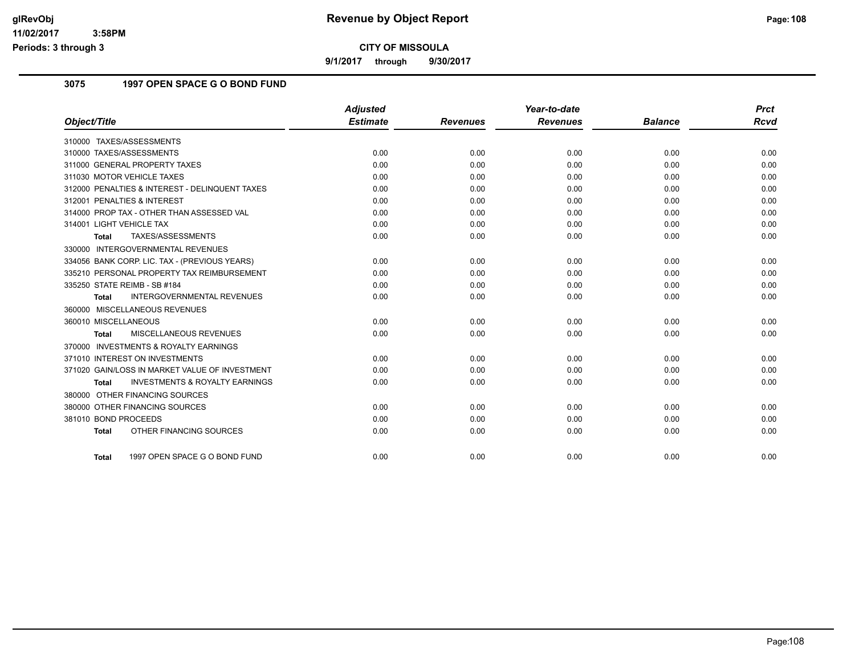**9/1/2017 through 9/30/2017**

## **3075 1997 OPEN SPACE G O BOND FUND**

|                                                           | <b>Adjusted</b> |                 | Year-to-date    |                | <b>Prct</b> |
|-----------------------------------------------------------|-----------------|-----------------|-----------------|----------------|-------------|
| Object/Title                                              | <b>Estimate</b> | <b>Revenues</b> | <b>Revenues</b> | <b>Balance</b> | <b>Rcvd</b> |
| 310000 TAXES/ASSESSMENTS                                  |                 |                 |                 |                |             |
| 310000 TAXES/ASSESSMENTS                                  | 0.00            | 0.00            | 0.00            | 0.00           | 0.00        |
| 311000 GENERAL PROPERTY TAXES                             | 0.00            | 0.00            | 0.00            | 0.00           | 0.00        |
| 311030 MOTOR VEHICLE TAXES                                | 0.00            | 0.00            | 0.00            | 0.00           | 0.00        |
| 312000 PENALTIES & INTEREST - DELINQUENT TAXES            | 0.00            | 0.00            | 0.00            | 0.00           | 0.00        |
| 312001 PENALTIES & INTEREST                               | 0.00            | 0.00            | 0.00            | 0.00           | 0.00        |
| 314000 PROP TAX - OTHER THAN ASSESSED VAL                 | 0.00            | 0.00            | 0.00            | 0.00           | 0.00        |
| 314001 LIGHT VEHICLE TAX                                  | 0.00            | 0.00            | 0.00            | 0.00           | 0.00        |
| TAXES/ASSESSMENTS<br><b>Total</b>                         | 0.00            | 0.00            | 0.00            | 0.00           | 0.00        |
| 330000 INTERGOVERNMENTAL REVENUES                         |                 |                 |                 |                |             |
| 334056 BANK CORP. LIC. TAX - (PREVIOUS YEARS)             | 0.00            | 0.00            | 0.00            | 0.00           | 0.00        |
| 335210 PERSONAL PROPERTY TAX REIMBURSEMENT                | 0.00            | 0.00            | 0.00            | 0.00           | 0.00        |
| 335250 STATE REIMB - SB #184                              | 0.00            | 0.00            | 0.00            | 0.00           | 0.00        |
| <b>INTERGOVERNMENTAL REVENUES</b><br><b>Total</b>         | 0.00            | 0.00            | 0.00            | 0.00           | 0.00        |
| 360000 MISCELLANEOUS REVENUES                             |                 |                 |                 |                |             |
| 360010 MISCELLANEOUS                                      | 0.00            | 0.00            | 0.00            | 0.00           | 0.00        |
| MISCELLANEOUS REVENUES<br><b>Total</b>                    | 0.00            | 0.00            | 0.00            | 0.00           | 0.00        |
| 370000 INVESTMENTS & ROYALTY EARNINGS                     |                 |                 |                 |                |             |
| 371010 INTEREST ON INVESTMENTS                            | 0.00            | 0.00            | 0.00            | 0.00           | 0.00        |
| 371020 GAIN/LOSS IN MARKET VALUE OF INVESTMENT            | 0.00            | 0.00            | 0.00            | 0.00           | 0.00        |
| <b>INVESTMENTS &amp; ROYALTY EARNINGS</b><br><b>Total</b> | 0.00            | 0.00            | 0.00            | 0.00           | 0.00        |
| 380000 OTHER FINANCING SOURCES                            |                 |                 |                 |                |             |
| 380000 OTHER FINANCING SOURCES                            | 0.00            | 0.00            | 0.00            | 0.00           | 0.00        |
| 381010 BOND PROCEEDS                                      | 0.00            | 0.00            | 0.00            | 0.00           | 0.00        |
| OTHER FINANCING SOURCES<br><b>Total</b>                   | 0.00            | 0.00            | 0.00            | 0.00           | 0.00        |
|                                                           |                 |                 |                 |                |             |
| 1997 OPEN SPACE G O BOND FUND<br><b>Total</b>             | 0.00            | 0.00            | 0.00            | 0.00           | 0.00        |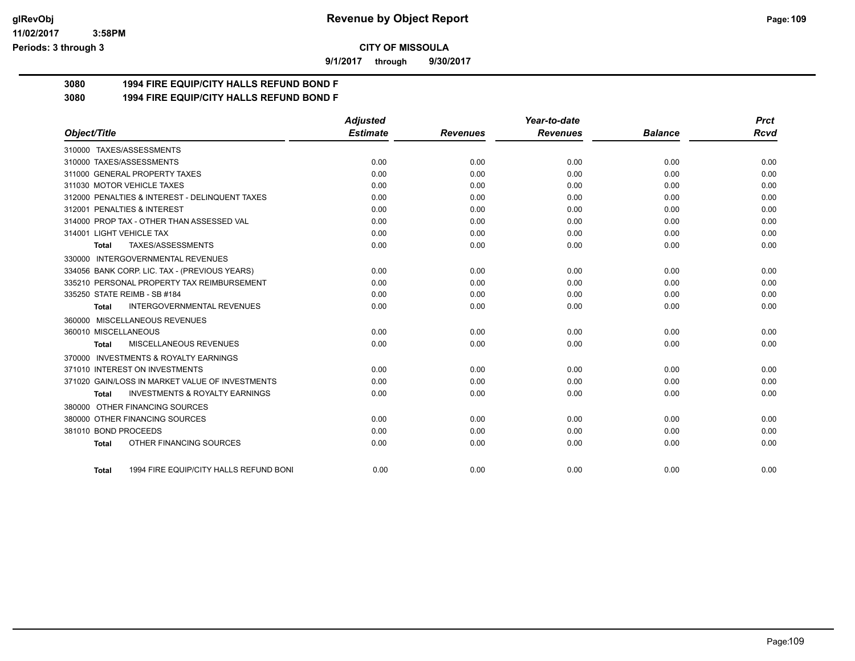**CITY OF MISSOULA**

**9/1/2017 through 9/30/2017**

## **3080 1994 FIRE EQUIP/CITY HALLS REFUND BOND F**

**3080 1994 FIRE EQUIP/CITY HALLS REFUND BOND F**

|                                                           | <b>Adjusted</b> |                 | Year-to-date    |                | <b>Prct</b> |
|-----------------------------------------------------------|-----------------|-----------------|-----------------|----------------|-------------|
| Object/Title                                              | <b>Estimate</b> | <b>Revenues</b> | <b>Revenues</b> | <b>Balance</b> | <b>Rcvd</b> |
| 310000 TAXES/ASSESSMENTS                                  |                 |                 |                 |                |             |
| 310000 TAXES/ASSESSMENTS                                  | 0.00            | 0.00            | 0.00            | 0.00           | 0.00        |
| 311000 GENERAL PROPERTY TAXES                             | 0.00            | 0.00            | 0.00            | 0.00           | 0.00        |
| 311030 MOTOR VEHICLE TAXES                                | 0.00            | 0.00            | 0.00            | 0.00           | 0.00        |
| 312000 PENALTIES & INTEREST - DELINQUENT TAXES            | 0.00            | 0.00            | 0.00            | 0.00           | 0.00        |
| 312001 PENALTIES & INTEREST                               | 0.00            | 0.00            | 0.00            | 0.00           | 0.00        |
| 314000 PROP TAX - OTHER THAN ASSESSED VAL                 | 0.00            | 0.00            | 0.00            | 0.00           | 0.00        |
| 314001 LIGHT VEHICLE TAX                                  | 0.00            | 0.00            | 0.00            | 0.00           | 0.00        |
| TAXES/ASSESSMENTS<br>Total                                | 0.00            | 0.00            | 0.00            | 0.00           | 0.00        |
| 330000 INTERGOVERNMENTAL REVENUES                         |                 |                 |                 |                |             |
| 334056 BANK CORP. LIC. TAX - (PREVIOUS YEARS)             | 0.00            | 0.00            | 0.00            | 0.00           | 0.00        |
| 335210 PERSONAL PROPERTY TAX REIMBURSEMENT                | 0.00            | 0.00            | 0.00            | 0.00           | 0.00        |
| 335250 STATE REIMB - SB #184                              | 0.00            | 0.00            | 0.00            | 0.00           | 0.00        |
| <b>INTERGOVERNMENTAL REVENUES</b><br><b>Total</b>         | 0.00            | 0.00            | 0.00            | 0.00           | 0.00        |
| 360000 MISCELLANEOUS REVENUES                             |                 |                 |                 |                |             |
| 360010 MISCELLANEOUS                                      | 0.00            | 0.00            | 0.00            | 0.00           | 0.00        |
| MISCELLANEOUS REVENUES<br><b>Total</b>                    | 0.00            | 0.00            | 0.00            | 0.00           | 0.00        |
| <b>INVESTMENTS &amp; ROYALTY EARNINGS</b><br>370000       |                 |                 |                 |                |             |
| 371010 INTEREST ON INVESTMENTS                            | 0.00            | 0.00            | 0.00            | 0.00           | 0.00        |
| 371020 GAIN/LOSS IN MARKET VALUE OF INVESTMENTS           | 0.00            | 0.00            | 0.00            | 0.00           | 0.00        |
| <b>INVESTMENTS &amp; ROYALTY EARNINGS</b><br><b>Total</b> | 0.00            | 0.00            | 0.00            | 0.00           | 0.00        |
| 380000 OTHER FINANCING SOURCES                            |                 |                 |                 |                |             |
| 380000 OTHER FINANCING SOURCES                            | 0.00            | 0.00            | 0.00            | 0.00           | 0.00        |
| 381010 BOND PROCEEDS                                      | 0.00            | 0.00            | 0.00            | 0.00           | 0.00        |
| OTHER FINANCING SOURCES<br><b>Total</b>                   | 0.00            | 0.00            | 0.00            | 0.00           | 0.00        |
|                                                           |                 |                 |                 |                |             |
| 1994 FIRE EQUIP/CITY HALLS REFUND BONI<br><b>Total</b>    | 0.00            | 0.00            | 0.00            | 0.00           | 0.00        |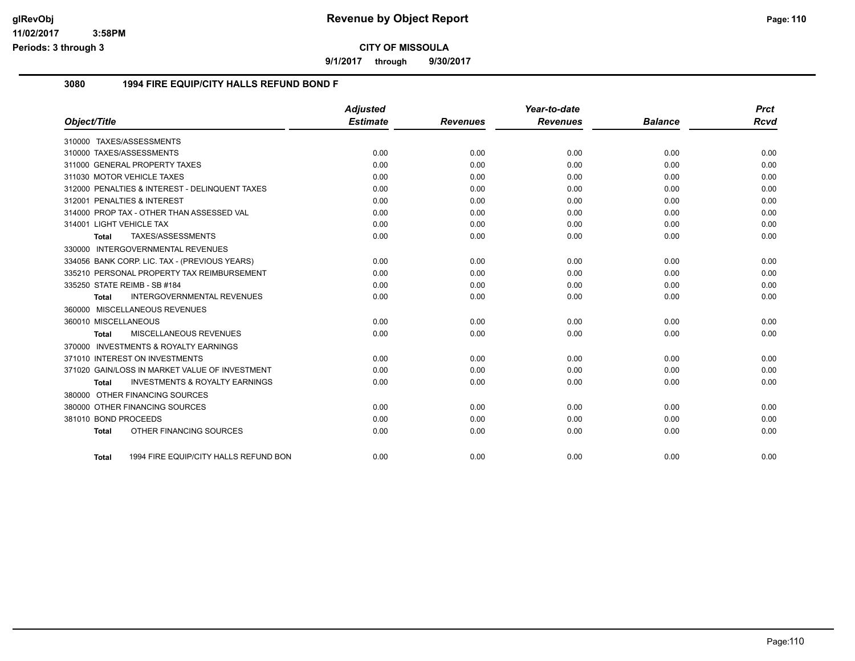**9/1/2017 through 9/30/2017**

## **3080 1994 FIRE EQUIP/CITY HALLS REFUND BOND F**

|                                                           | <b>Adjusted</b> |                 | Year-to-date    |                | <b>Prct</b> |
|-----------------------------------------------------------|-----------------|-----------------|-----------------|----------------|-------------|
| Object/Title                                              | <b>Estimate</b> | <b>Revenues</b> | <b>Revenues</b> | <b>Balance</b> | <b>Rcvd</b> |
| 310000 TAXES/ASSESSMENTS                                  |                 |                 |                 |                |             |
| 310000 TAXES/ASSESSMENTS                                  | 0.00            | 0.00            | 0.00            | 0.00           | 0.00        |
| 311000 GENERAL PROPERTY TAXES                             | 0.00            | 0.00            | 0.00            | 0.00           | 0.00        |
| 311030 MOTOR VEHICLE TAXES                                | 0.00            | 0.00            | 0.00            | 0.00           | 0.00        |
| 312000 PENALTIES & INTEREST - DELINQUENT TAXES            | 0.00            | 0.00            | 0.00            | 0.00           | 0.00        |
| 312001 PENALTIES & INTEREST                               | 0.00            | 0.00            | 0.00            | 0.00           | 0.00        |
| 314000 PROP TAX - OTHER THAN ASSESSED VAL                 | 0.00            | 0.00            | 0.00            | 0.00           | 0.00        |
| 314001 LIGHT VEHICLE TAX                                  | 0.00            | 0.00            | 0.00            | 0.00           | 0.00        |
| TAXES/ASSESSMENTS<br><b>Total</b>                         | 0.00            | 0.00            | 0.00            | 0.00           | 0.00        |
| 330000 INTERGOVERNMENTAL REVENUES                         |                 |                 |                 |                |             |
| 334056 BANK CORP. LIC. TAX - (PREVIOUS YEARS)             | 0.00            | 0.00            | 0.00            | 0.00           | 0.00        |
| 335210 PERSONAL PROPERTY TAX REIMBURSEMENT                | 0.00            | 0.00            | 0.00            | 0.00           | 0.00        |
| 335250 STATE REIMB - SB #184                              | 0.00            | 0.00            | 0.00            | 0.00           | 0.00        |
| <b>INTERGOVERNMENTAL REVENUES</b><br><b>Total</b>         | 0.00            | 0.00            | 0.00            | 0.00           | 0.00        |
| 360000 MISCELLANEOUS REVENUES                             |                 |                 |                 |                |             |
| 360010 MISCELLANEOUS                                      | 0.00            | 0.00            | 0.00            | 0.00           | 0.00        |
| MISCELLANEOUS REVENUES<br><b>Total</b>                    | 0.00            | 0.00            | 0.00            | 0.00           | 0.00        |
| 370000 INVESTMENTS & ROYALTY EARNINGS                     |                 |                 |                 |                |             |
| 371010 INTEREST ON INVESTMENTS                            | 0.00            | 0.00            | 0.00            | 0.00           | 0.00        |
| 371020 GAIN/LOSS IN MARKET VALUE OF INVESTMENT            | 0.00            | 0.00            | 0.00            | 0.00           | 0.00        |
| <b>INVESTMENTS &amp; ROYALTY EARNINGS</b><br><b>Total</b> | 0.00            | 0.00            | 0.00            | 0.00           | 0.00        |
| 380000 OTHER FINANCING SOURCES                            |                 |                 |                 |                |             |
| 380000 OTHER FINANCING SOURCES                            | 0.00            | 0.00            | 0.00            | 0.00           | 0.00        |
| 381010 BOND PROCEEDS                                      | 0.00            | 0.00            | 0.00            | 0.00           | 0.00        |
| OTHER FINANCING SOURCES<br><b>Total</b>                   | 0.00            | 0.00            | 0.00            | 0.00           | 0.00        |
| 1994 FIRE EQUIP/CITY HALLS REFUND BON<br>Total            | 0.00            | 0.00            | 0.00            | 0.00           | 0.00        |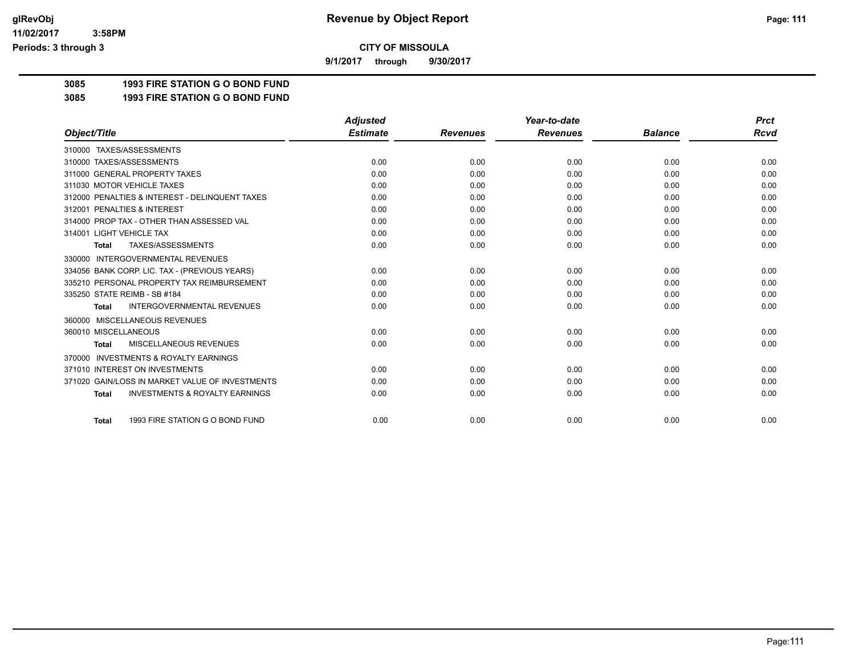**CITY OF MISSOULA**

**9/1/2017 through 9/30/2017**

**3085 1993 FIRE STATION G O BOND FUND**

**3085 1993 FIRE STATION G O BOND FUND**

|                                                           | <b>Adjusted</b> |                 | Year-to-date    |                | <b>Prct</b> |
|-----------------------------------------------------------|-----------------|-----------------|-----------------|----------------|-------------|
| Object/Title                                              | <b>Estimate</b> | <b>Revenues</b> | <b>Revenues</b> | <b>Balance</b> | Rcvd        |
| 310000 TAXES/ASSESSMENTS                                  |                 |                 |                 |                |             |
| 310000 TAXES/ASSESSMENTS                                  | 0.00            | 0.00            | 0.00            | 0.00           | 0.00        |
| 311000 GENERAL PROPERTY TAXES                             | 0.00            | 0.00            | 0.00            | 0.00           | 0.00        |
| 311030 MOTOR VEHICLE TAXES                                | 0.00            | 0.00            | 0.00            | 0.00           | 0.00        |
| 312000 PENALTIES & INTEREST - DELINQUENT TAXES            | 0.00            | 0.00            | 0.00            | 0.00           | 0.00        |
| 312001 PENALTIES & INTEREST                               | 0.00            | 0.00            | 0.00            | 0.00           | 0.00        |
| 314000 PROP TAX - OTHER THAN ASSESSED VAL                 | 0.00            | 0.00            | 0.00            | 0.00           | 0.00        |
| 314001 LIGHT VEHICLE TAX                                  | 0.00            | 0.00            | 0.00            | 0.00           | 0.00        |
| TAXES/ASSESSMENTS<br><b>Total</b>                         | 0.00            | 0.00            | 0.00            | 0.00           | 0.00        |
| <b>INTERGOVERNMENTAL REVENUES</b><br>330000               |                 |                 |                 |                |             |
| 334056 BANK CORP. LIC. TAX - (PREVIOUS YEARS)             | 0.00            | 0.00            | 0.00            | 0.00           | 0.00        |
| 335210 PERSONAL PROPERTY TAX REIMBURSEMENT                | 0.00            | 0.00            | 0.00            | 0.00           | 0.00        |
| 335250 STATE REIMB - SB #184                              | 0.00            | 0.00            | 0.00            | 0.00           | 0.00        |
| <b>INTERGOVERNMENTAL REVENUES</b><br><b>Total</b>         | 0.00            | 0.00            | 0.00            | 0.00           | 0.00        |
| MISCELLANEOUS REVENUES<br>360000                          |                 |                 |                 |                |             |
| 360010 MISCELLANEOUS                                      | 0.00            | 0.00            | 0.00            | 0.00           | 0.00        |
| <b>MISCELLANEOUS REVENUES</b><br><b>Total</b>             | 0.00            | 0.00            | 0.00            | 0.00           | 0.00        |
| <b>INVESTMENTS &amp; ROYALTY EARNINGS</b><br>370000       |                 |                 |                 |                |             |
| 371010 INTEREST ON INVESTMENTS                            | 0.00            | 0.00            | 0.00            | 0.00           | 0.00        |
| 371020 GAIN/LOSS IN MARKET VALUE OF INVESTMENTS           | 0.00            | 0.00            | 0.00            | 0.00           | 0.00        |
| <b>INVESTMENTS &amp; ROYALTY EARNINGS</b><br><b>Total</b> | 0.00            | 0.00            | 0.00            | 0.00           | 0.00        |
| 1993 FIRE STATION G O BOND FUND<br><b>Total</b>           | 0.00            | 0.00            | 0.00            | 0.00           | 0.00        |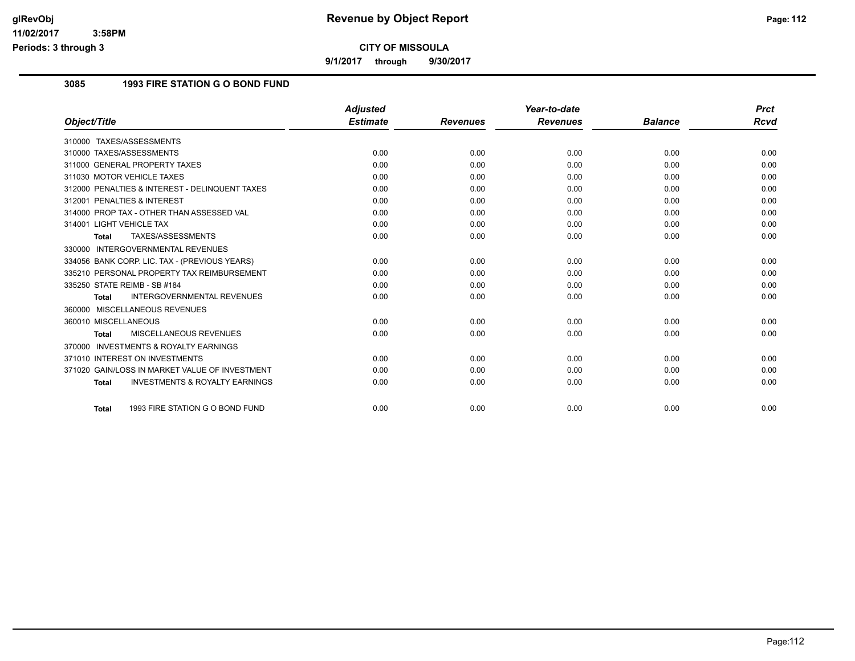**9/1/2017 through 9/30/2017**

## **3085 1993 FIRE STATION G O BOND FUND**

|                                                           | <b>Adjusted</b> |                 | Year-to-date    |                | <b>Prct</b> |
|-----------------------------------------------------------|-----------------|-----------------|-----------------|----------------|-------------|
| Object/Title                                              | <b>Estimate</b> | <b>Revenues</b> | <b>Revenues</b> | <b>Balance</b> | Rcvd        |
| 310000 TAXES/ASSESSMENTS                                  |                 |                 |                 |                |             |
| 310000 TAXES/ASSESSMENTS                                  | 0.00            | 0.00            | 0.00            | 0.00           | 0.00        |
| 311000 GENERAL PROPERTY TAXES                             | 0.00            | 0.00            | 0.00            | 0.00           | 0.00        |
| 311030 MOTOR VEHICLE TAXES                                | 0.00            | 0.00            | 0.00            | 0.00           | 0.00        |
| 312000 PENALTIES & INTEREST - DELINQUENT TAXES            | 0.00            | 0.00            | 0.00            | 0.00           | 0.00        |
| 312001 PENALTIES & INTEREST                               | 0.00            | 0.00            | 0.00            | 0.00           | 0.00        |
| 314000 PROP TAX - OTHER THAN ASSESSED VAL                 | 0.00            | 0.00            | 0.00            | 0.00           | 0.00        |
| 314001 LIGHT VEHICLE TAX                                  | 0.00            | 0.00            | 0.00            | 0.00           | 0.00        |
| TAXES/ASSESSMENTS<br>Total                                | 0.00            | 0.00            | 0.00            | 0.00           | 0.00        |
| 330000 INTERGOVERNMENTAL REVENUES                         |                 |                 |                 |                |             |
| 334056 BANK CORP. LIC. TAX - (PREVIOUS YEARS)             | 0.00            | 0.00            | 0.00            | 0.00           | 0.00        |
| 335210 PERSONAL PROPERTY TAX REIMBURSEMENT                | 0.00            | 0.00            | 0.00            | 0.00           | 0.00        |
| 335250 STATE REIMB - SB #184                              | 0.00            | 0.00            | 0.00            | 0.00           | 0.00        |
| <b>INTERGOVERNMENTAL REVENUES</b><br><b>Total</b>         | 0.00            | 0.00            | 0.00            | 0.00           | 0.00        |
| 360000 MISCELLANEOUS REVENUES                             |                 |                 |                 |                |             |
| 360010 MISCELLANEOUS                                      | 0.00            | 0.00            | 0.00            | 0.00           | 0.00        |
| MISCELLANEOUS REVENUES<br><b>Total</b>                    | 0.00            | 0.00            | 0.00            | 0.00           | 0.00        |
| 370000 INVESTMENTS & ROYALTY EARNINGS                     |                 |                 |                 |                |             |
| 371010 INTEREST ON INVESTMENTS                            | 0.00            | 0.00            | 0.00            | 0.00           | 0.00        |
| 371020 GAIN/LOSS IN MARKET VALUE OF INVESTMENT            | 0.00            | 0.00            | 0.00            | 0.00           | 0.00        |
| <b>INVESTMENTS &amp; ROYALTY EARNINGS</b><br><b>Total</b> | 0.00            | 0.00            | 0.00            | 0.00           | 0.00        |
| 1993 FIRE STATION G O BOND FUND<br>Total                  | 0.00            | 0.00            | 0.00            | 0.00           | 0.00        |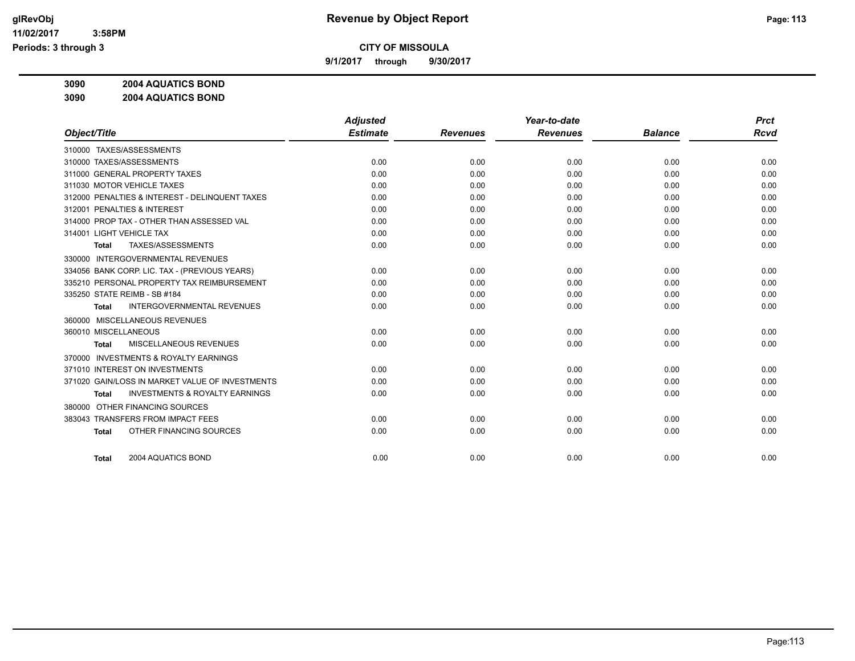**9/1/2017 through 9/30/2017**

**3090 2004 AQUATICS BOND**

**3090 2004 AQUATICS BOND**

|                                                           | <b>Adjusted</b> |                 | Year-to-date    |                | <b>Prct</b> |
|-----------------------------------------------------------|-----------------|-----------------|-----------------|----------------|-------------|
| Object/Title                                              | <b>Estimate</b> | <b>Revenues</b> | <b>Revenues</b> | <b>Balance</b> | <b>Rcvd</b> |
| 310000 TAXES/ASSESSMENTS                                  |                 |                 |                 |                |             |
| 310000 TAXES/ASSESSMENTS                                  | 0.00            | 0.00            | 0.00            | 0.00           | 0.00        |
| 311000 GENERAL PROPERTY TAXES                             | 0.00            | 0.00            | 0.00            | 0.00           | 0.00        |
| 311030 MOTOR VEHICLE TAXES                                | 0.00            | 0.00            | 0.00            | 0.00           | 0.00        |
| 312000 PENALTIES & INTEREST - DELINQUENT TAXES            | 0.00            | 0.00            | 0.00            | 0.00           | 0.00        |
| 312001 PENALTIES & INTEREST                               | 0.00            | 0.00            | 0.00            | 0.00           | 0.00        |
| 314000 PROP TAX - OTHER THAN ASSESSED VAL                 | 0.00            | 0.00            | 0.00            | 0.00           | 0.00        |
| 314001 LIGHT VEHICLE TAX                                  | 0.00            | 0.00            | 0.00            | 0.00           | 0.00        |
| TAXES/ASSESSMENTS<br><b>Total</b>                         | 0.00            | 0.00            | 0.00            | 0.00           | 0.00        |
| 330000 INTERGOVERNMENTAL REVENUES                         |                 |                 |                 |                |             |
| 334056 BANK CORP. LIC. TAX - (PREVIOUS YEARS)             | 0.00            | 0.00            | 0.00            | 0.00           | 0.00        |
| 335210 PERSONAL PROPERTY TAX REIMBURSEMENT                | 0.00            | 0.00            | 0.00            | 0.00           | 0.00        |
| 335250 STATE REIMB - SB #184                              | 0.00            | 0.00            | 0.00            | 0.00           | 0.00        |
| <b>INTERGOVERNMENTAL REVENUES</b><br><b>Total</b>         | 0.00            | 0.00            | 0.00            | 0.00           | 0.00        |
| MISCELLANEOUS REVENUES<br>360000                          |                 |                 |                 |                |             |
| 360010 MISCELLANEOUS                                      | 0.00            | 0.00            | 0.00            | 0.00           | 0.00        |
| <b>MISCELLANEOUS REVENUES</b><br><b>Total</b>             | 0.00            | 0.00            | 0.00            | 0.00           | 0.00        |
| <b>INVESTMENTS &amp; ROYALTY EARNINGS</b><br>370000       |                 |                 |                 |                |             |
| 371010 INTEREST ON INVESTMENTS                            | 0.00            | 0.00            | 0.00            | 0.00           | 0.00        |
| 371020 GAIN/LOSS IN MARKET VALUE OF INVESTMENTS           | 0.00            | 0.00            | 0.00            | 0.00           | 0.00        |
| <b>INVESTMENTS &amp; ROYALTY EARNINGS</b><br><b>Total</b> | 0.00            | 0.00            | 0.00            | 0.00           | 0.00        |
| OTHER FINANCING SOURCES<br>380000                         |                 |                 |                 |                |             |
| 383043 TRANSFERS FROM IMPACT FEES                         | 0.00            | 0.00            | 0.00            | 0.00           | 0.00        |
| OTHER FINANCING SOURCES<br><b>Total</b>                   | 0.00            | 0.00            | 0.00            | 0.00           | 0.00        |
| 2004 AQUATICS BOND<br><b>Total</b>                        | 0.00            | 0.00            | 0.00            | 0.00           | 0.00        |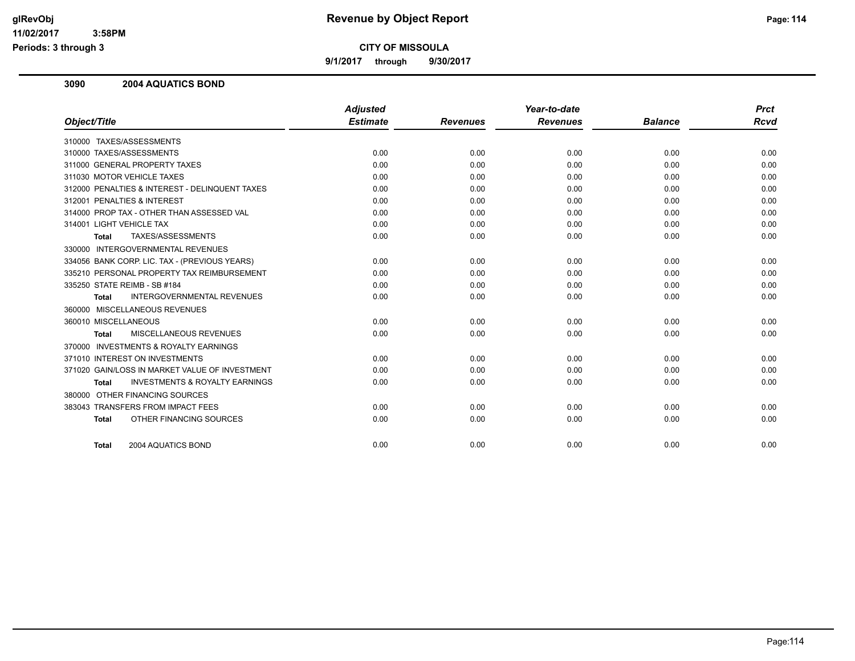**CITY OF MISSOULA**

**9/1/2017 through 9/30/2017**

### **3090 2004 AQUATICS BOND**

 **3:58PM**

|                                                           | <b>Adjusted</b> |                 | Year-to-date    |                | <b>Prct</b> |
|-----------------------------------------------------------|-----------------|-----------------|-----------------|----------------|-------------|
| Object/Title                                              | <b>Estimate</b> | <b>Revenues</b> | <b>Revenues</b> | <b>Balance</b> | <b>Rcvd</b> |
| 310000 TAXES/ASSESSMENTS                                  |                 |                 |                 |                |             |
| 310000 TAXES/ASSESSMENTS                                  | 0.00            | 0.00            | 0.00            | 0.00           | 0.00        |
| 311000 GENERAL PROPERTY TAXES                             | 0.00            | 0.00            | 0.00            | 0.00           | 0.00        |
| 311030 MOTOR VEHICLE TAXES                                | 0.00            | 0.00            | 0.00            | 0.00           | 0.00        |
| 312000 PENALTIES & INTEREST - DELINQUENT TAXES            | 0.00            | 0.00            | 0.00            | 0.00           | 0.00        |
| 312001 PENALTIES & INTEREST                               | 0.00            | 0.00            | 0.00            | 0.00           | 0.00        |
| 314000 PROP TAX - OTHER THAN ASSESSED VAL                 | 0.00            | 0.00            | 0.00            | 0.00           | 0.00        |
| 314001 LIGHT VEHICLE TAX                                  | 0.00            | 0.00            | 0.00            | 0.00           | 0.00        |
| TAXES/ASSESSMENTS<br><b>Total</b>                         | 0.00            | 0.00            | 0.00            | 0.00           | 0.00        |
| 330000 INTERGOVERNMENTAL REVENUES                         |                 |                 |                 |                |             |
| 334056 BANK CORP. LIC. TAX - (PREVIOUS YEARS)             | 0.00            | 0.00            | 0.00            | 0.00           | 0.00        |
| 335210 PERSONAL PROPERTY TAX REIMBURSEMENT                | 0.00            | 0.00            | 0.00            | 0.00           | 0.00        |
| 335250 STATE REIMB - SB #184                              | 0.00            | 0.00            | 0.00            | 0.00           | 0.00        |
| <b>INTERGOVERNMENTAL REVENUES</b><br><b>Total</b>         | 0.00            | 0.00            | 0.00            | 0.00           | 0.00        |
| 360000 MISCELLANEOUS REVENUES                             |                 |                 |                 |                |             |
| 360010 MISCELLANEOUS                                      | 0.00            | 0.00            | 0.00            | 0.00           | 0.00        |
| MISCELLANEOUS REVENUES<br><b>Total</b>                    | 0.00            | 0.00            | 0.00            | 0.00           | 0.00        |
| 370000 INVESTMENTS & ROYALTY EARNINGS                     |                 |                 |                 |                |             |
| 371010 INTEREST ON INVESTMENTS                            | 0.00            | 0.00            | 0.00            | 0.00           | 0.00        |
| 371020 GAIN/LOSS IN MARKET VALUE OF INVESTMENT            | 0.00            | 0.00            | 0.00            | 0.00           | 0.00        |
| <b>INVESTMENTS &amp; ROYALTY EARNINGS</b><br><b>Total</b> | 0.00            | 0.00            | 0.00            | 0.00           | 0.00        |
| 380000 OTHER FINANCING SOURCES                            |                 |                 |                 |                |             |
| 383043 TRANSFERS FROM IMPACT FEES                         | 0.00            | 0.00            | 0.00            | 0.00           | 0.00        |
| OTHER FINANCING SOURCES<br><b>Total</b>                   | 0.00            | 0.00            | 0.00            | 0.00           | 0.00        |
| 2004 AQUATICS BOND<br><b>Total</b>                        | 0.00            | 0.00            | 0.00            | 0.00           | 0.00        |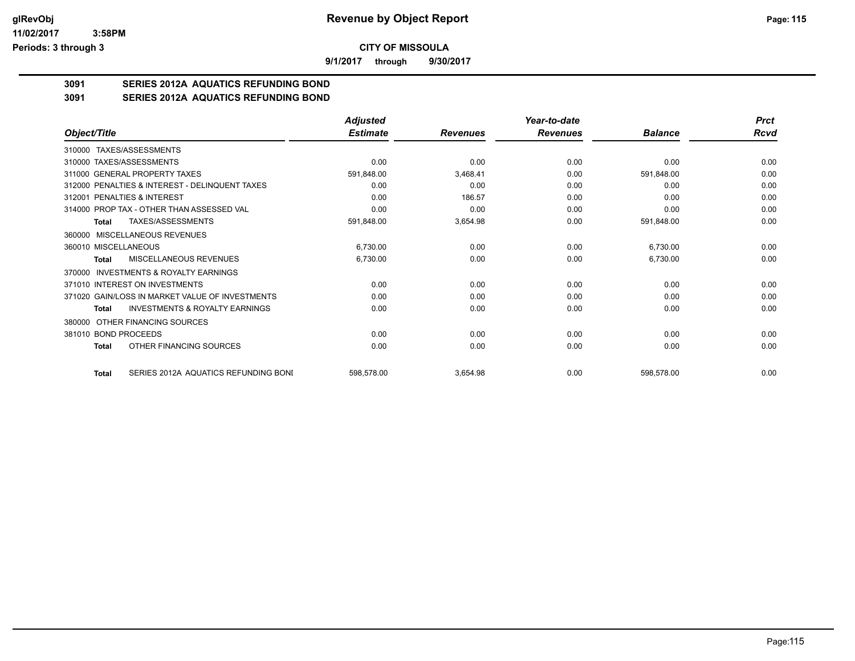**3:58PM**

**CITY OF MISSOULA**

**9/1/2017 through 9/30/2017**

# **3091 SERIES 2012A AQUATICS REFUNDING BOND**

## **3091 SERIES 2012A AQUATICS REFUNDING BOND**

|                             |                                                 | <b>Adjusted</b> |                 | Year-to-date    |                | <b>Prct</b> |
|-----------------------------|-------------------------------------------------|-----------------|-----------------|-----------------|----------------|-------------|
| Object/Title                |                                                 | <b>Estimate</b> | <b>Revenues</b> | <b>Revenues</b> | <b>Balance</b> | Rcvd        |
| 310000 TAXES/ASSESSMENTS    |                                                 |                 |                 |                 |                |             |
| 310000 TAXES/ASSESSMENTS    |                                                 | 0.00            | 0.00            | 0.00            | 0.00           | 0.00        |
|                             | 311000 GENERAL PROPERTY TAXES                   | 591,848.00      | 3,468.41        | 0.00            | 591,848.00     | 0.00        |
|                             | 312000 PENALTIES & INTEREST - DELINQUENT TAXES  | 0.00            | 0.00            | 0.00            | 0.00           | 0.00        |
| 312001 PENALTIES & INTEREST |                                                 | 0.00            | 186.57          | 0.00            | 0.00           | 0.00        |
|                             | 314000 PROP TAX - OTHER THAN ASSESSED VAL       | 0.00            | 0.00            | 0.00            | 0.00           | 0.00        |
| Total                       | TAXES/ASSESSMENTS                               | 591,848.00      | 3,654.98        | 0.00            | 591,848.00     | 0.00        |
|                             | 360000 MISCELLANEOUS REVENUES                   |                 |                 |                 |                |             |
| 360010 MISCELLANEOUS        |                                                 | 6,730.00        | 0.00            | 0.00            | 6,730.00       | 0.00        |
| Total                       | <b>MISCELLANEOUS REVENUES</b>                   | 6,730.00        | 0.00            | 0.00            | 6,730.00       | 0.00        |
| 370000                      | <b>INVESTMENTS &amp; ROYALTY EARNINGS</b>       |                 |                 |                 |                |             |
|                             | 371010 INTEREST ON INVESTMENTS                  | 0.00            | 0.00            | 0.00            | 0.00           | 0.00        |
|                             | 371020 GAIN/LOSS IN MARKET VALUE OF INVESTMENTS | 0.00            | 0.00            | 0.00            | 0.00           | 0.00        |
| Total                       | <b>INVESTMENTS &amp; ROYALTY EARNINGS</b>       | 0.00            | 0.00            | 0.00            | 0.00           | 0.00        |
| 380000                      | OTHER FINANCING SOURCES                         |                 |                 |                 |                |             |
| 381010 BOND PROCEEDS        |                                                 | 0.00            | 0.00            | 0.00            | 0.00           | 0.00        |
| Total                       | OTHER FINANCING SOURCES                         | 0.00            | 0.00            | 0.00            | 0.00           | 0.00        |
| Total                       | SERIES 2012A AQUATICS REFUNDING BONI            | 598,578.00      | 3,654.98        | 0.00            | 598,578.00     | 0.00        |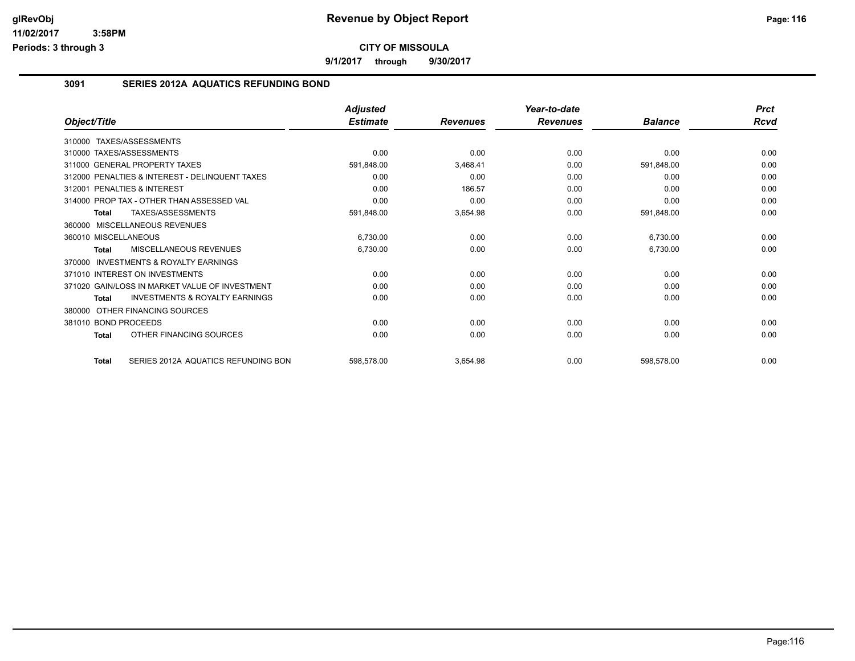**9/1/2017 through 9/30/2017**

## **3091 SERIES 2012A AQUATICS REFUNDING BOND**

| <b>Rcvd</b> |
|-------------|
|             |
|             |
| 0.00        |
| 0.00        |
| 0.00        |
| 0.00        |
| 0.00        |
| 0.00        |
|             |
| 0.00        |
| 0.00        |
|             |
| 0.00        |
| 0.00        |
| 0.00        |
|             |
| 0.00        |
| 0.00        |
| 0.00        |
|             |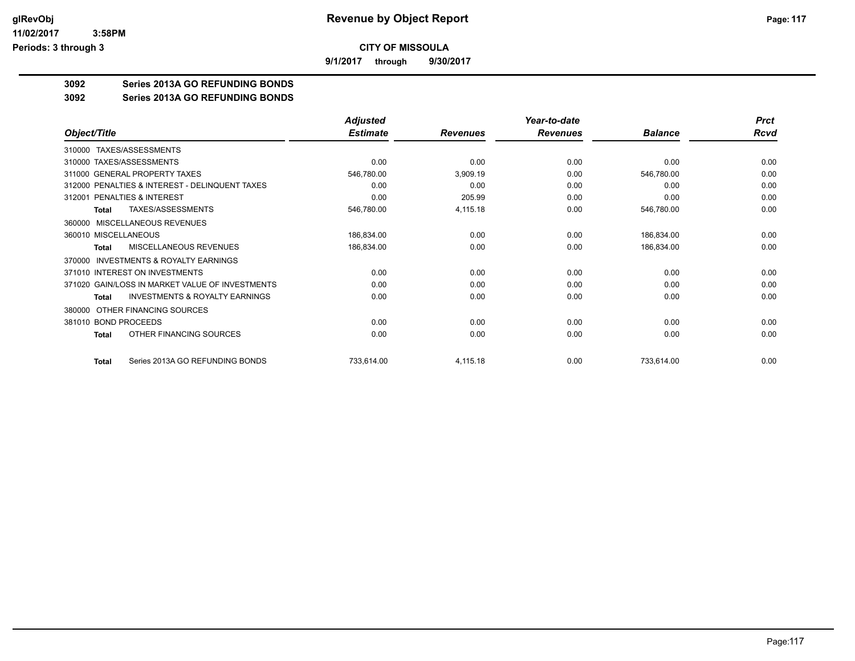**9/1/2017 through 9/30/2017**

# **3092 Series 2013A GO REFUNDING BONDS**

## **3092 Series 2013A GO REFUNDING BONDS**

|                                                     | <b>Adjusted</b> |                 | Year-to-date    |                | <b>Prct</b> |
|-----------------------------------------------------|-----------------|-----------------|-----------------|----------------|-------------|
| Object/Title                                        | <b>Estimate</b> | <b>Revenues</b> | <b>Revenues</b> | <b>Balance</b> | Rcvd        |
| 310000 TAXES/ASSESSMENTS                            |                 |                 |                 |                |             |
| 310000 TAXES/ASSESSMENTS                            | 0.00            | 0.00            | 0.00            | 0.00           | 0.00        |
| 311000 GENERAL PROPERTY TAXES                       | 546,780.00      | 3,909.19        | 0.00            | 546,780.00     | 0.00        |
| 312000 PENALTIES & INTEREST - DELINQUENT TAXES      | 0.00            | 0.00            | 0.00            | 0.00           | 0.00        |
| 312001 PENALTIES & INTEREST                         | 0.00            | 205.99          | 0.00            | 0.00           | 0.00        |
| TAXES/ASSESSMENTS<br>Total                          | 546,780.00      | 4,115.18        | 0.00            | 546,780.00     | 0.00        |
| <b>MISCELLANEOUS REVENUES</b><br>360000             |                 |                 |                 |                |             |
| 360010 MISCELLANEOUS                                | 186,834.00      | 0.00            | 0.00            | 186,834.00     | 0.00        |
| MISCELLANEOUS REVENUES<br>Total                     | 186,834.00      | 0.00            | 0.00            | 186,834.00     | 0.00        |
| <b>INVESTMENTS &amp; ROYALTY EARNINGS</b><br>370000 |                 |                 |                 |                |             |
| 371010 INTEREST ON INVESTMENTS                      | 0.00            | 0.00            | 0.00            | 0.00           | 0.00        |
| 371020 GAIN/LOSS IN MARKET VALUE OF INVESTMENTS     | 0.00            | 0.00            | 0.00            | 0.00           | 0.00        |
| <b>INVESTMENTS &amp; ROYALTY EARNINGS</b><br>Total  | 0.00            | 0.00            | 0.00            | 0.00           | 0.00        |
| OTHER FINANCING SOURCES<br>380000                   |                 |                 |                 |                |             |
| 381010 BOND PROCEEDS                                | 0.00            | 0.00            | 0.00            | 0.00           | 0.00        |
| OTHER FINANCING SOURCES<br><b>Total</b>             | 0.00            | 0.00            | 0.00            | 0.00           | 0.00        |
| Series 2013A GO REFUNDING BONDS<br><b>Total</b>     | 733,614.00      | 4,115.18        | 0.00            | 733,614.00     | 0.00        |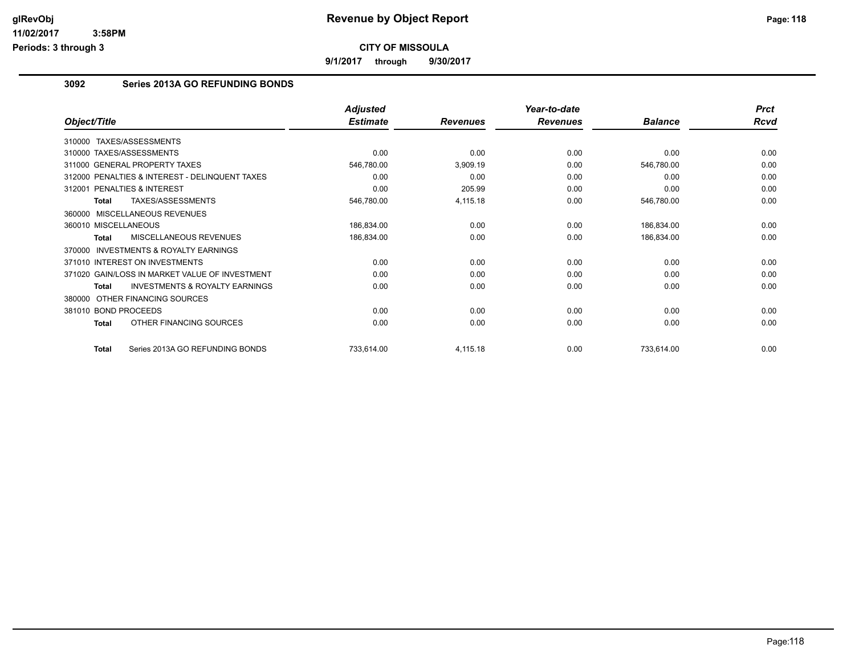**9/1/2017 through 9/30/2017**

## **3092 Series 2013A GO REFUNDING BONDS**

|                                                           | <b>Adjusted</b> |                 | Year-to-date    |                | <b>Prct</b> |
|-----------------------------------------------------------|-----------------|-----------------|-----------------|----------------|-------------|
| Object/Title                                              | <b>Estimate</b> | <b>Revenues</b> | <b>Revenues</b> | <b>Balance</b> | <b>Rcvd</b> |
| TAXES/ASSESSMENTS<br>310000                               |                 |                 |                 |                |             |
| 310000 TAXES/ASSESSMENTS                                  | 0.00            | 0.00            | 0.00            | 0.00           | 0.00        |
| 311000 GENERAL PROPERTY TAXES                             | 546,780.00      | 3,909.19        | 0.00            | 546,780.00     | 0.00        |
| 312000 PENALTIES & INTEREST - DELINQUENT TAXES            | 0.00            | 0.00            | 0.00            | 0.00           | 0.00        |
| 312001 PENALTIES & INTEREST                               | 0.00            | 205.99          | 0.00            | 0.00           | 0.00        |
| TAXES/ASSESSMENTS<br><b>Total</b>                         | 546,780.00      | 4,115.18        | 0.00            | 546,780.00     | 0.00        |
| 360000 MISCELLANEOUS REVENUES                             |                 |                 |                 |                |             |
| 360010 MISCELLANEOUS                                      | 186,834.00      | 0.00            | 0.00            | 186,834.00     | 0.00        |
| <b>MISCELLANEOUS REVENUES</b><br><b>Total</b>             | 186,834.00      | 0.00            | 0.00            | 186,834.00     | 0.00        |
| <b>INVESTMENTS &amp; ROYALTY EARNINGS</b><br>370000       |                 |                 |                 |                |             |
| 371010 INTEREST ON INVESTMENTS                            | 0.00            | 0.00            | 0.00            | 0.00           | 0.00        |
| 371020 GAIN/LOSS IN MARKET VALUE OF INVESTMENT            | 0.00            | 0.00            | 0.00            | 0.00           | 0.00        |
| <b>INVESTMENTS &amp; ROYALTY EARNINGS</b><br><b>Total</b> | 0.00            | 0.00            | 0.00            | 0.00           | 0.00        |
| OTHER FINANCING SOURCES<br>380000                         |                 |                 |                 |                |             |
| 381010 BOND PROCEEDS                                      | 0.00            | 0.00            | 0.00            | 0.00           | 0.00        |
| OTHER FINANCING SOURCES<br><b>Total</b>                   | 0.00            | 0.00            | 0.00            | 0.00           | 0.00        |
| Series 2013A GO REFUNDING BONDS<br><b>Total</b>           | 733,614.00      | 4,115.18        | 0.00            | 733,614.00     | 0.00        |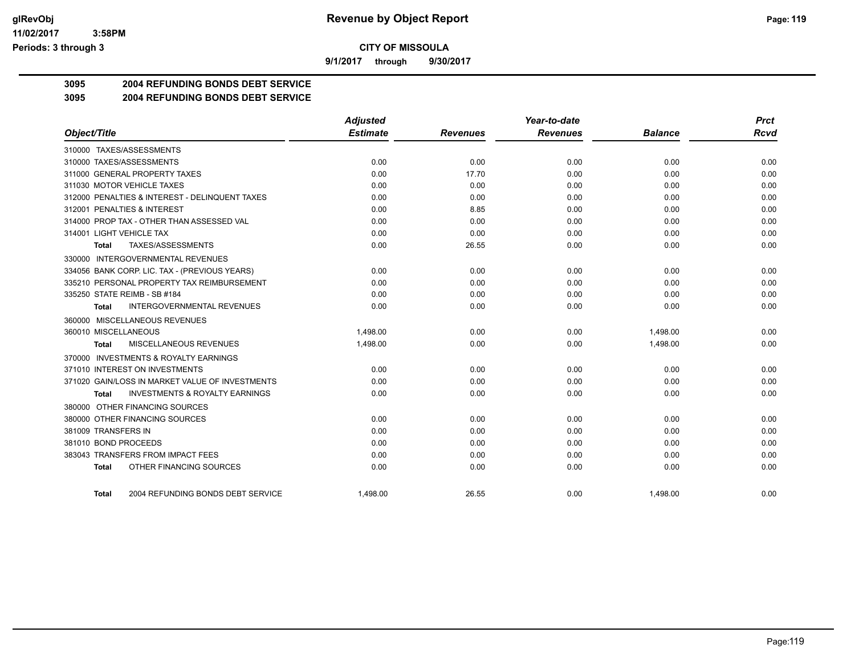**3:58PM**

**CITY OF MISSOULA**

**9/1/2017 through 9/30/2017**

# **3095 2004 REFUNDING BONDS DEBT SERVICE**

## **3095 2004 REFUNDING BONDS DEBT SERVICE**

|                                                    | <b>Adjusted</b> |                 | Year-to-date    |                | <b>Prct</b> |
|----------------------------------------------------|-----------------|-----------------|-----------------|----------------|-------------|
| Object/Title                                       | <b>Estimate</b> | <b>Revenues</b> | <b>Revenues</b> | <b>Balance</b> | <b>Rcvd</b> |
| 310000 TAXES/ASSESSMENTS                           |                 |                 |                 |                |             |
| 310000 TAXES/ASSESSMENTS                           | 0.00            | 0.00            | 0.00            | 0.00           | 0.00        |
| 311000 GENERAL PROPERTY TAXES                      | 0.00            | 17.70           | 0.00            | 0.00           | 0.00        |
| 311030 MOTOR VEHICLE TAXES                         | 0.00            | 0.00            | 0.00            | 0.00           | 0.00        |
| 312000 PENALTIES & INTEREST - DELINQUENT TAXES     | 0.00            | 0.00            | 0.00            | 0.00           | 0.00        |
| 312001 PENALTIES & INTEREST                        | 0.00            | 8.85            | 0.00            | 0.00           | 0.00        |
| 314000 PROP TAX - OTHER THAN ASSESSED VAL          | 0.00            | 0.00            | 0.00            | 0.00           | 0.00        |
| 314001 LIGHT VEHICLE TAX                           | 0.00            | 0.00            | 0.00            | 0.00           | 0.00        |
| TAXES/ASSESSMENTS<br>Total                         | 0.00            | 26.55           | 0.00            | 0.00           | 0.00        |
| 330000 INTERGOVERNMENTAL REVENUES                  |                 |                 |                 |                |             |
| 334056 BANK CORP. LIC. TAX - (PREVIOUS YEARS)      | 0.00            | 0.00            | 0.00            | 0.00           | 0.00        |
| 335210 PERSONAL PROPERTY TAX REIMBURSEMENT         | 0.00            | 0.00            | 0.00            | 0.00           | 0.00        |
| 335250 STATE REIMB - SB #184                       | 0.00            | 0.00            | 0.00            | 0.00           | 0.00        |
| <b>INTERGOVERNMENTAL REVENUES</b><br><b>Total</b>  | 0.00            | 0.00            | 0.00            | 0.00           | 0.00        |
| 360000 MISCELLANEOUS REVENUES                      |                 |                 |                 |                |             |
| 360010 MISCELLANEOUS                               | 1,498.00        | 0.00            | 0.00            | 1,498.00       | 0.00        |
| <b>MISCELLANEOUS REVENUES</b><br>Total             | 1,498.00        | 0.00            | 0.00            | 1,498.00       | 0.00        |
| 370000 INVESTMENTS & ROYALTY EARNINGS              |                 |                 |                 |                |             |
| 371010 INTEREST ON INVESTMENTS                     | 0.00            | 0.00            | 0.00            | 0.00           | 0.00        |
| 371020 GAIN/LOSS IN MARKET VALUE OF INVESTMENTS    | 0.00            | 0.00            | 0.00            | 0.00           | 0.00        |
| <b>INVESTMENTS &amp; ROYALTY EARNINGS</b><br>Total | 0.00            | 0.00            | 0.00            | 0.00           | 0.00        |
| 380000 OTHER FINANCING SOURCES                     |                 |                 |                 |                |             |
| 380000 OTHER FINANCING SOURCES                     | 0.00            | 0.00            | 0.00            | 0.00           | 0.00        |
| 381009 TRANSFERS IN                                | 0.00            | 0.00            | 0.00            | 0.00           | 0.00        |
| 381010 BOND PROCEEDS                               | 0.00            | 0.00            | 0.00            | 0.00           | 0.00        |
| 383043 TRANSFERS FROM IMPACT FEES                  | 0.00            | 0.00            | 0.00            | 0.00           | 0.00        |
| OTHER FINANCING SOURCES<br><b>Total</b>            | 0.00            | 0.00            | 0.00            | 0.00           | 0.00        |
| 2004 REFUNDING BONDS DEBT SERVICE<br>Total         | 1.498.00        | 26.55           | 0.00            | 1.498.00       | 0.00        |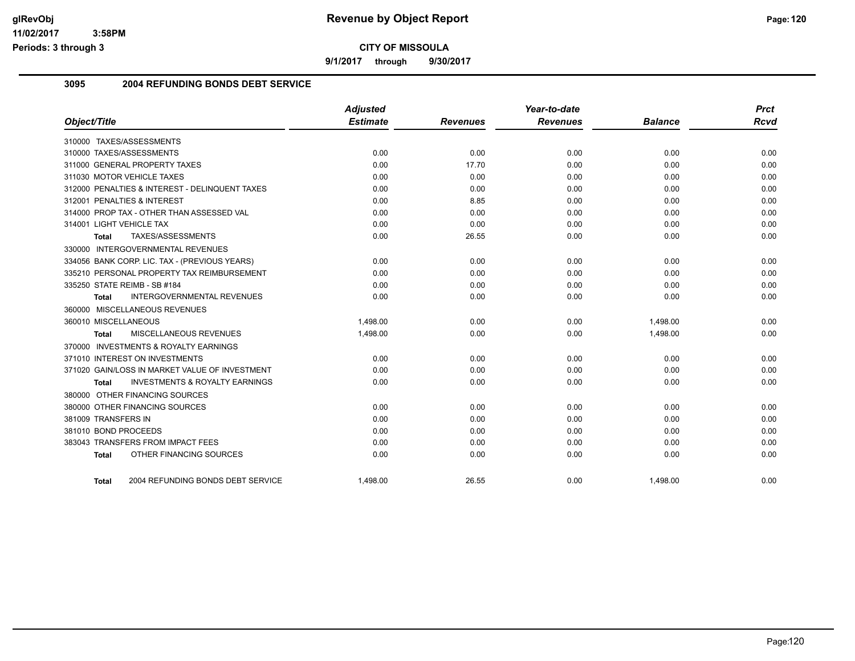**9/1/2017 through 9/30/2017**

## **3095 2004 REFUNDING BONDS DEBT SERVICE**

| Object/Title             |                                                | <b>Adjusted</b><br><b>Estimate</b> | <b>Revenues</b> | Year-to-date<br><b>Revenues</b> | <b>Balance</b> | <b>Prct</b><br>Rcvd |
|--------------------------|------------------------------------------------|------------------------------------|-----------------|---------------------------------|----------------|---------------------|
|                          |                                                |                                    |                 |                                 |                |                     |
|                          | 310000 TAXES/ASSESSMENTS                       |                                    |                 |                                 |                |                     |
| 310000 TAXES/ASSESSMENTS |                                                | 0.00                               | 0.00            | 0.00                            | 0.00           | 0.00                |
|                          | 311000 GENERAL PROPERTY TAXES                  | 0.00                               | 17.70           | 0.00                            | 0.00           | 0.00                |
|                          | 311030 MOTOR VEHICLE TAXES                     | 0.00                               | 0.00            | 0.00                            | 0.00           | 0.00                |
|                          | 312000 PENALTIES & INTEREST - DELINQUENT TAXES | 0.00                               | 0.00            | 0.00                            | 0.00           | 0.00                |
|                          | 312001 PENALTIES & INTEREST                    | 0.00                               | 8.85            | 0.00                            | 0.00           | 0.00                |
|                          | 314000 PROP TAX - OTHER THAN ASSESSED VAL      | 0.00                               | 0.00            | 0.00                            | 0.00           | 0.00                |
| 314001 LIGHT VEHICLE TAX |                                                | 0.00                               | 0.00            | 0.00                            | 0.00           | 0.00                |
| <b>Total</b>             | TAXES/ASSESSMENTS                              | 0.00                               | 26.55           | 0.00                            | 0.00           | 0.00                |
|                          | 330000 INTERGOVERNMENTAL REVENUES              |                                    |                 |                                 |                |                     |
|                          | 334056 BANK CORP. LIC. TAX - (PREVIOUS YEARS)  | 0.00                               | 0.00            | 0.00                            | 0.00           | 0.00                |
|                          | 335210 PERSONAL PROPERTY TAX REIMBURSEMENT     | 0.00                               | 0.00            | 0.00                            | 0.00           | 0.00                |
|                          | 335250 STATE REIMB - SB #184                   | 0.00                               | 0.00            | 0.00                            | 0.00           | 0.00                |
| <b>Total</b>             | <b>INTERGOVERNMENTAL REVENUES</b>              | 0.00                               | 0.00            | 0.00                            | 0.00           | 0.00                |
|                          | 360000 MISCELLANEOUS REVENUES                  |                                    |                 |                                 |                |                     |
| 360010 MISCELLANEOUS     |                                                | 1,498.00                           | 0.00            | 0.00                            | 1,498.00       | 0.00                |
| <b>Total</b>             | MISCELLANEOUS REVENUES                         | 1,498.00                           | 0.00            | 0.00                            | 1,498.00       | 0.00                |
|                          | 370000 INVESTMENTS & ROYALTY EARNINGS          |                                    |                 |                                 |                |                     |
|                          | 371010 INTEREST ON INVESTMENTS                 | 0.00                               | 0.00            | 0.00                            | 0.00           | 0.00                |
|                          | 371020 GAIN/LOSS IN MARKET VALUE OF INVESTMENT | 0.00                               | 0.00            | 0.00                            | 0.00           | 0.00                |
| Total                    | <b>INVESTMENTS &amp; ROYALTY EARNINGS</b>      | 0.00                               | 0.00            | 0.00                            | 0.00           | 0.00                |
|                          | 380000 OTHER FINANCING SOURCES                 |                                    |                 |                                 |                |                     |
|                          | 380000 OTHER FINANCING SOURCES                 | 0.00                               | 0.00            | 0.00                            | 0.00           | 0.00                |
| 381009 TRANSFERS IN      |                                                | 0.00                               | 0.00            | 0.00                            | 0.00           | 0.00                |
| 381010 BOND PROCEEDS     |                                                | 0.00                               | 0.00            | 0.00                            | 0.00           | 0.00                |
|                          | 383043 TRANSFERS FROM IMPACT FEES              | 0.00                               | 0.00            | 0.00                            | 0.00           | 0.00                |
| <b>Total</b>             | OTHER FINANCING SOURCES                        | 0.00                               | 0.00            | 0.00                            | 0.00           | 0.00                |
|                          |                                                |                                    |                 |                                 |                |                     |
| <b>Total</b>             | 2004 REFUNDING BONDS DEBT SERVICE              | 1,498.00                           | 26.55           | 0.00                            | 1,498.00       | 0.00                |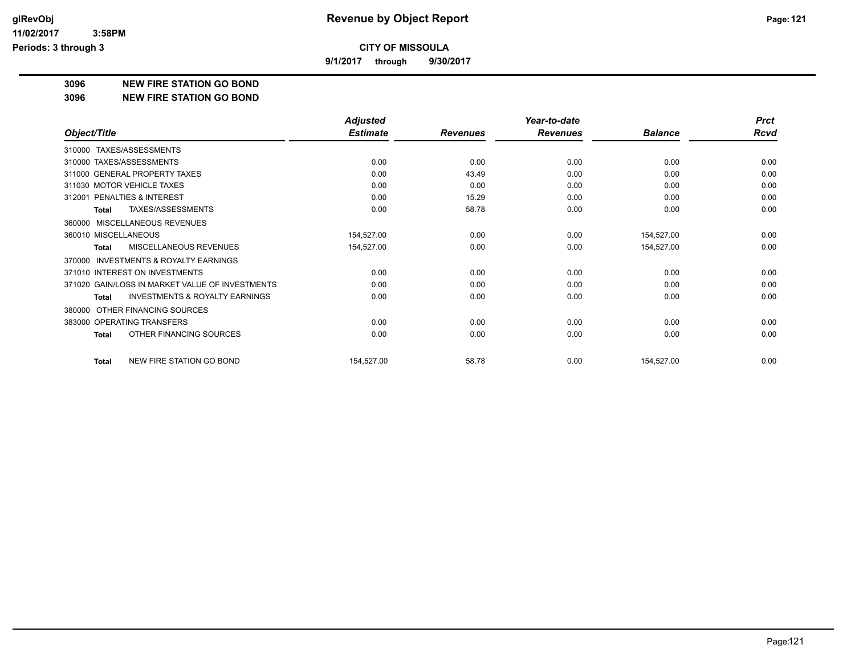**9/1/2017 through 9/30/2017**

**3096 NEW FIRE STATION GO BOND**

**3096 NEW FIRE STATION GO BOND**

|                                                           | <b>Adjusted</b> |                 | Year-to-date    |                | <b>Prct</b> |
|-----------------------------------------------------------|-----------------|-----------------|-----------------|----------------|-------------|
| Object/Title                                              | <b>Estimate</b> | <b>Revenues</b> | <b>Revenues</b> | <b>Balance</b> | <b>Rcvd</b> |
| TAXES/ASSESSMENTS<br>310000                               |                 |                 |                 |                |             |
| 310000 TAXES/ASSESSMENTS                                  | 0.00            | 0.00            | 0.00            | 0.00           | 0.00        |
| 311000 GENERAL PROPERTY TAXES                             | 0.00            | 43.49           | 0.00            | 0.00           | 0.00        |
| 311030 MOTOR VEHICLE TAXES                                | 0.00            | 0.00            | 0.00            | 0.00           | 0.00        |
| PENALTIES & INTEREST<br>312001                            | 0.00            | 15.29           | 0.00            | 0.00           | 0.00        |
| TAXES/ASSESSMENTS<br><b>Total</b>                         | 0.00            | 58.78           | 0.00            | 0.00           | 0.00        |
| 360000 MISCELLANEOUS REVENUES                             |                 |                 |                 |                |             |
| 360010 MISCELLANEOUS                                      | 154,527.00      | 0.00            | 0.00            | 154,527.00     | 0.00        |
| MISCELLANEOUS REVENUES<br><b>Total</b>                    | 154,527.00      | 0.00            | 0.00            | 154,527.00     | 0.00        |
| INVESTMENTS & ROYALTY EARNINGS<br>370000                  |                 |                 |                 |                |             |
| 371010 INTEREST ON INVESTMENTS                            | 0.00            | 0.00            | 0.00            | 0.00           | 0.00        |
| 371020 GAIN/LOSS IN MARKET VALUE OF INVESTMENTS           | 0.00            | 0.00            | 0.00            | 0.00           | 0.00        |
| <b>INVESTMENTS &amp; ROYALTY EARNINGS</b><br><b>Total</b> | 0.00            | 0.00            | 0.00            | 0.00           | 0.00        |
| OTHER FINANCING SOURCES<br>380000                         |                 |                 |                 |                |             |
| 383000 OPERATING TRANSFERS                                | 0.00            | 0.00            | 0.00            | 0.00           | 0.00        |
| OTHER FINANCING SOURCES<br><b>Total</b>                   | 0.00            | 0.00            | 0.00            | 0.00           | 0.00        |
| NEW FIRE STATION GO BOND<br><b>Total</b>                  | 154,527.00      | 58.78           | 0.00            | 154,527.00     | 0.00        |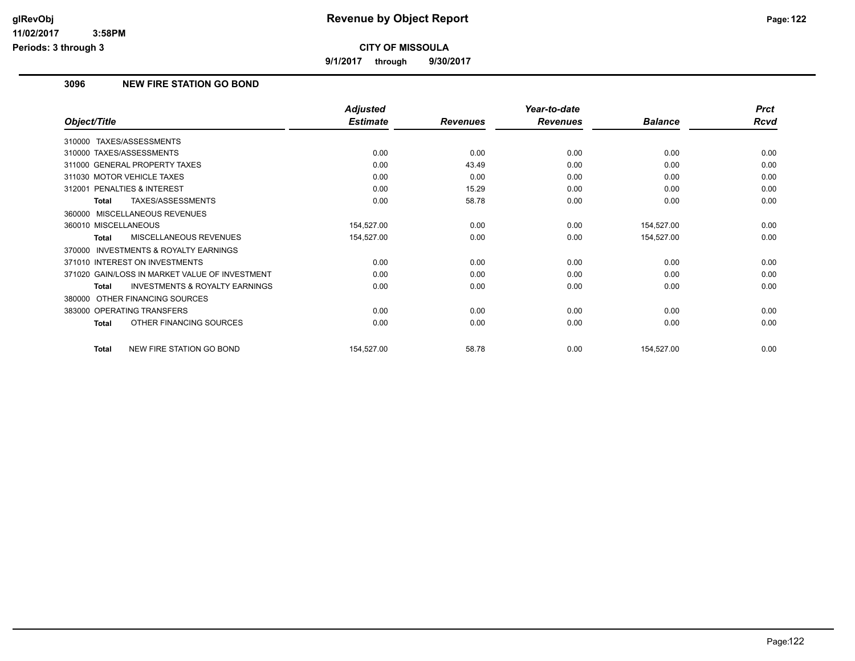**CITY OF MISSOULA**

**9/1/2017 through 9/30/2017**

## **3096 NEW FIRE STATION GO BOND**

 **3:58PM**

|                                                     | <b>Adjusted</b> |                 | Year-to-date    |                | <b>Prct</b> |
|-----------------------------------------------------|-----------------|-----------------|-----------------|----------------|-------------|
| Object/Title                                        | <b>Estimate</b> | <b>Revenues</b> | <b>Revenues</b> | <b>Balance</b> | Rcvd        |
| TAXES/ASSESSMENTS<br>310000                         |                 |                 |                 |                |             |
| 310000 TAXES/ASSESSMENTS                            | 0.00            | 0.00            | 0.00            | 0.00           | 0.00        |
| 311000 GENERAL PROPERTY TAXES                       | 0.00            | 43.49           | 0.00            | 0.00           | 0.00        |
| 311030 MOTOR VEHICLE TAXES                          | 0.00            | 0.00            | 0.00            | 0.00           | 0.00        |
| PENALTIES & INTEREST<br>312001                      | 0.00            | 15.29           | 0.00            | 0.00           | 0.00        |
| TAXES/ASSESSMENTS<br><b>Total</b>                   | 0.00            | 58.78           | 0.00            | 0.00           | 0.00        |
| 360000 MISCELLANEOUS REVENUES                       |                 |                 |                 |                |             |
| 360010 MISCELLANEOUS                                | 154,527.00      | 0.00            | 0.00            | 154,527.00     | 0.00        |
| <b>MISCELLANEOUS REVENUES</b><br>Total              | 154,527.00      | 0.00            | 0.00            | 154,527.00     | 0.00        |
| <b>INVESTMENTS &amp; ROYALTY EARNINGS</b><br>370000 |                 |                 |                 |                |             |
| 371010 INTEREST ON INVESTMENTS                      | 0.00            | 0.00            | 0.00            | 0.00           | 0.00        |
| 371020 GAIN/LOSS IN MARKET VALUE OF INVESTMENT      | 0.00            | 0.00            | 0.00            | 0.00           | 0.00        |
| <b>INVESTMENTS &amp; ROYALTY EARNINGS</b><br>Total  | 0.00            | 0.00            | 0.00            | 0.00           | 0.00        |
| OTHER FINANCING SOURCES<br>380000                   |                 |                 |                 |                |             |
| 383000 OPERATING TRANSFERS                          | 0.00            | 0.00            | 0.00            | 0.00           | 0.00        |
| OTHER FINANCING SOURCES<br><b>Total</b>             | 0.00            | 0.00            | 0.00            | 0.00           | 0.00        |
| <b>NEW FIRE STATION GO BOND</b><br><b>Total</b>     | 154,527.00      | 58.78           | 0.00            | 154,527.00     | 0.00        |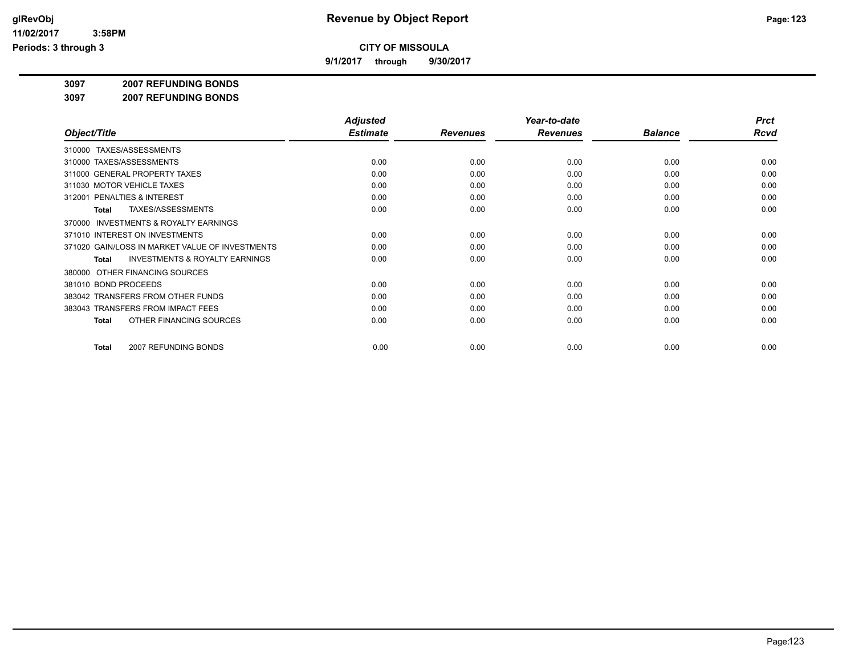**9/1/2017 through 9/30/2017**

**3097 2007 REFUNDING BONDS**

**3097 2007 REFUNDING BONDS**

|                                                     | <b>Adjusted</b> |                 | Year-to-date    |                | <b>Prct</b> |
|-----------------------------------------------------|-----------------|-----------------|-----------------|----------------|-------------|
| Object/Title                                        | <b>Estimate</b> | <b>Revenues</b> | <b>Revenues</b> | <b>Balance</b> | <b>Rcvd</b> |
| 310000 TAXES/ASSESSMENTS                            |                 |                 |                 |                |             |
| 310000 TAXES/ASSESSMENTS                            | 0.00            | 0.00            | 0.00            | 0.00           | 0.00        |
| 311000 GENERAL PROPERTY TAXES                       | 0.00            | 0.00            | 0.00            | 0.00           | 0.00        |
| 311030 MOTOR VEHICLE TAXES                          | 0.00            | 0.00            | 0.00            | 0.00           | 0.00        |
| PENALTIES & INTEREST<br>312001                      | 0.00            | 0.00            | 0.00            | 0.00           | 0.00        |
| TAXES/ASSESSMENTS<br>Total                          | 0.00            | 0.00            | 0.00            | 0.00           | 0.00        |
| <b>INVESTMENTS &amp; ROYALTY EARNINGS</b><br>370000 |                 |                 |                 |                |             |
| 371010 INTEREST ON INVESTMENTS                      | 0.00            | 0.00            | 0.00            | 0.00           | 0.00        |
| 371020 GAIN/LOSS IN MARKET VALUE OF INVESTMENTS     | 0.00            | 0.00            | 0.00            | 0.00           | 0.00        |
| <b>INVESTMENTS &amp; ROYALTY EARNINGS</b><br>Total  | 0.00            | 0.00            | 0.00            | 0.00           | 0.00        |
| OTHER FINANCING SOURCES<br>380000                   |                 |                 |                 |                |             |
| 381010 BOND PROCEEDS                                | 0.00            | 0.00            | 0.00            | 0.00           | 0.00        |
| 383042 TRANSFERS FROM OTHER FUNDS                   | 0.00            | 0.00            | 0.00            | 0.00           | 0.00        |
| 383043 TRANSFERS FROM IMPACT FEES                   | 0.00            | 0.00            | 0.00            | 0.00           | 0.00        |
| OTHER FINANCING SOURCES<br><b>Total</b>             | 0.00            | 0.00            | 0.00            | 0.00           | 0.00        |
| 2007 REFUNDING BONDS<br>Total                       | 0.00            | 0.00            | 0.00            | 0.00           | 0.00        |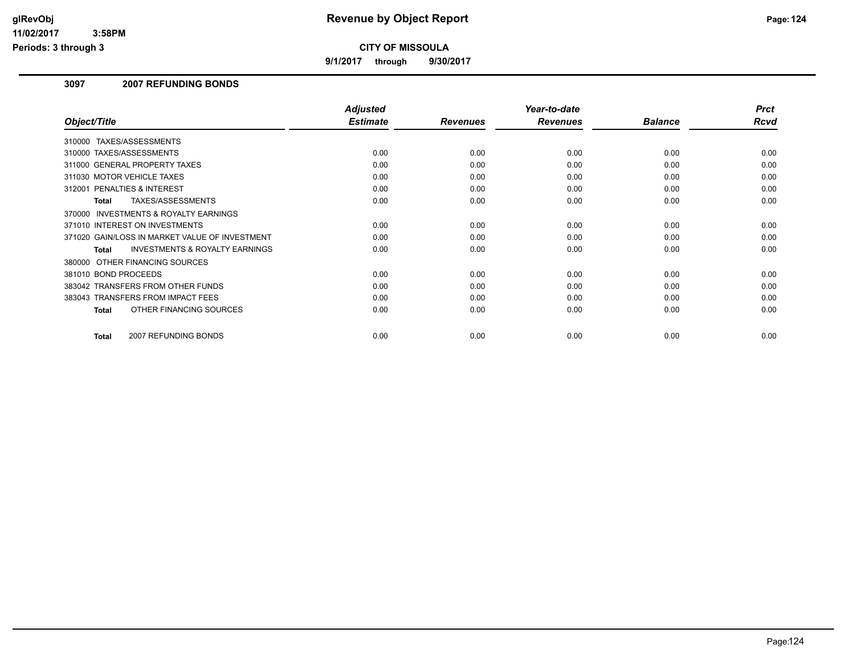**CITY OF MISSOULA**

**9/1/2017 through 9/30/2017**

## **3097 2007 REFUNDING BONDS**

|                                                           | <b>Adjusted</b> |                 | Year-to-date    |                | <b>Prct</b> |
|-----------------------------------------------------------|-----------------|-----------------|-----------------|----------------|-------------|
| Object/Title                                              | <b>Estimate</b> | <b>Revenues</b> | <b>Revenues</b> | <b>Balance</b> | <b>Rcvd</b> |
| 310000 TAXES/ASSESSMENTS                                  |                 |                 |                 |                |             |
| 310000 TAXES/ASSESSMENTS                                  | 0.00            | 0.00            | 0.00            | 0.00           | 0.00        |
| 311000 GENERAL PROPERTY TAXES                             | 0.00            | 0.00            | 0.00            | 0.00           | 0.00        |
| 311030 MOTOR VEHICLE TAXES                                | 0.00            | 0.00            | 0.00            | 0.00           | 0.00        |
| 312001 PENALTIES & INTEREST                               | 0.00            | 0.00            | 0.00            | 0.00           | 0.00        |
| TAXES/ASSESSMENTS<br><b>Total</b>                         | 0.00            | 0.00            | 0.00            | 0.00           | 0.00        |
| <b>INVESTMENTS &amp; ROYALTY EARNINGS</b><br>370000       |                 |                 |                 |                |             |
| 371010 INTEREST ON INVESTMENTS                            | 0.00            | 0.00            | 0.00            | 0.00           | 0.00        |
| 371020 GAIN/LOSS IN MARKET VALUE OF INVESTMENT            | 0.00            | 0.00            | 0.00            | 0.00           | 0.00        |
| <b>INVESTMENTS &amp; ROYALTY EARNINGS</b><br><b>Total</b> | 0.00            | 0.00            | 0.00            | 0.00           | 0.00        |
| 380000 OTHER FINANCING SOURCES                            |                 |                 |                 |                |             |
| 381010 BOND PROCEEDS                                      | 0.00            | 0.00            | 0.00            | 0.00           | 0.00        |
| 383042 TRANSFERS FROM OTHER FUNDS                         | 0.00            | 0.00            | 0.00            | 0.00           | 0.00        |
| 383043 TRANSFERS FROM IMPACT FEES                         | 0.00            | 0.00            | 0.00            | 0.00           | 0.00        |
| OTHER FINANCING SOURCES<br><b>Total</b>                   | 0.00            | 0.00            | 0.00            | 0.00           | 0.00        |
| 2007 REFUNDING BONDS<br>Total                             | 0.00            | 0.00            | 0.00            | 0.00           | 0.00        |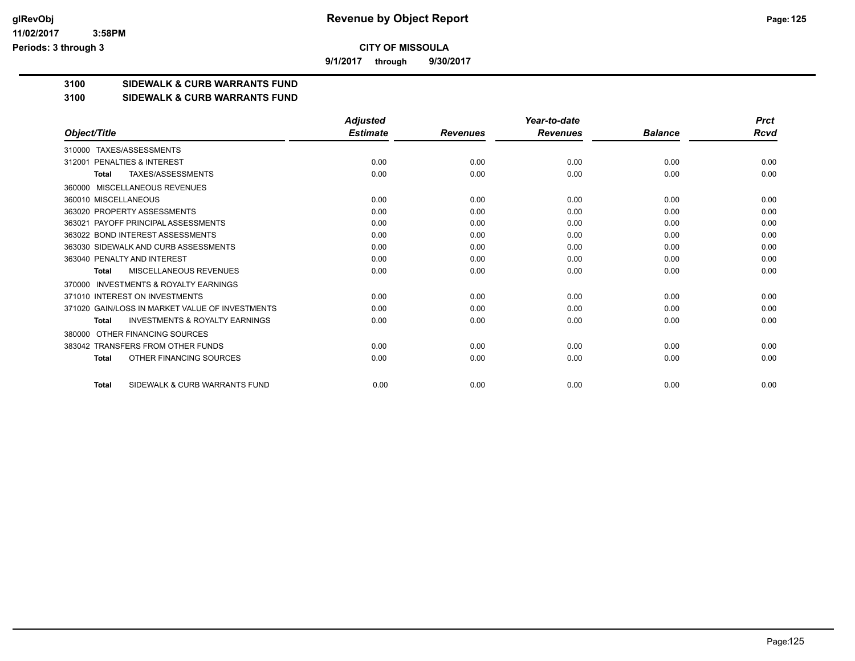**CITY OF MISSOULA**

**9/1/2017 through 9/30/2017**

## **3100 SIDEWALK & CURB WARRANTS FUND**

## **3100 SIDEWALK & CURB WARRANTS FUND**

|                                                     | <b>Adjusted</b> |                 | Year-to-date    |                | <b>Prct</b> |
|-----------------------------------------------------|-----------------|-----------------|-----------------|----------------|-------------|
| Object/Title                                        | <b>Estimate</b> | <b>Revenues</b> | <b>Revenues</b> | <b>Balance</b> | <b>Rcvd</b> |
| TAXES/ASSESSMENTS<br>310000                         |                 |                 |                 |                |             |
| 312001 PENALTIES & INTEREST                         | 0.00            | 0.00            | 0.00            | 0.00           | 0.00        |
| <b>TAXES/ASSESSMENTS</b><br><b>Total</b>            | 0.00            | 0.00            | 0.00            | 0.00           | 0.00        |
| MISCELLANEOUS REVENUES<br>360000                    |                 |                 |                 |                |             |
| 360010 MISCELLANEOUS                                | 0.00            | 0.00            | 0.00            | 0.00           | 0.00        |
| 363020 PROPERTY ASSESSMENTS                         | 0.00            | 0.00            | 0.00            | 0.00           | 0.00        |
| PAYOFF PRINCIPAL ASSESSMENTS<br>363021              | 0.00            | 0.00            | 0.00            | 0.00           | 0.00        |
| 363022 BOND INTEREST ASSESSMENTS                    | 0.00            | 0.00            | 0.00            | 0.00           | 0.00        |
| 363030 SIDEWALK AND CURB ASSESSMENTS                | 0.00            | 0.00            | 0.00            | 0.00           | 0.00        |
| 363040 PENALTY AND INTEREST                         | 0.00            | 0.00            | 0.00            | 0.00           | 0.00        |
| <b>MISCELLANEOUS REVENUES</b><br>Total              | 0.00            | 0.00            | 0.00            | 0.00           | 0.00        |
| <b>INVESTMENTS &amp; ROYALTY EARNINGS</b><br>370000 |                 |                 |                 |                |             |
| 371010 INTEREST ON INVESTMENTS                      | 0.00            | 0.00            | 0.00            | 0.00           | 0.00        |
| 371020 GAIN/LOSS IN MARKET VALUE OF INVESTMENTS     | 0.00            | 0.00            | 0.00            | 0.00           | 0.00        |
| <b>INVESTMENTS &amp; ROYALTY EARNINGS</b><br>Total  | 0.00            | 0.00            | 0.00            | 0.00           | 0.00        |
| OTHER FINANCING SOURCES<br>380000                   |                 |                 |                 |                |             |
| 383042 TRANSFERS FROM OTHER FUNDS                   | 0.00            | 0.00            | 0.00            | 0.00           | 0.00        |
| OTHER FINANCING SOURCES<br><b>Total</b>             | 0.00            | 0.00            | 0.00            | 0.00           | 0.00        |
| SIDEWALK & CURB WARRANTS FUND<br><b>Total</b>       | 0.00            | 0.00            | 0.00            | 0.00           | 0.00        |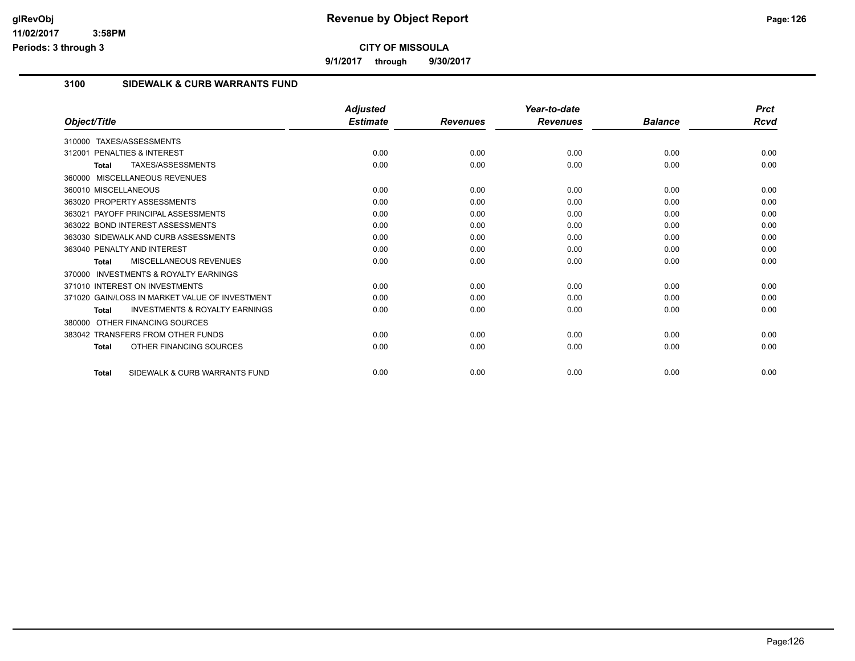**9/1/2017 through 9/30/2017**

## **3100 SIDEWALK & CURB WARRANTS FUND**

|                                                           | <b>Adjusted</b> |                 | Year-to-date    |                | <b>Prct</b> |
|-----------------------------------------------------------|-----------------|-----------------|-----------------|----------------|-------------|
| Object/Title                                              | <b>Estimate</b> | <b>Revenues</b> | <b>Revenues</b> | <b>Balance</b> | Rcvd        |
| TAXES/ASSESSMENTS<br>310000                               |                 |                 |                 |                |             |
| PENALTIES & INTEREST<br>312001                            | 0.00            | 0.00            | 0.00            | 0.00           | 0.00        |
| TAXES/ASSESSMENTS<br><b>Total</b>                         | 0.00            | 0.00            | 0.00            | 0.00           | 0.00        |
| MISCELLANEOUS REVENUES<br>360000                          |                 |                 |                 |                |             |
| 360010 MISCELLANEOUS                                      | 0.00            | 0.00            | 0.00            | 0.00           | 0.00        |
| 363020 PROPERTY ASSESSMENTS                               | 0.00            | 0.00            | 0.00            | 0.00           | 0.00        |
| 363021 PAYOFF PRINCIPAL ASSESSMENTS                       | 0.00            | 0.00            | 0.00            | 0.00           | 0.00        |
| 363022 BOND INTEREST ASSESSMENTS                          | 0.00            | 0.00            | 0.00            | 0.00           | 0.00        |
| 363030 SIDEWALK AND CURB ASSESSMENTS                      | 0.00            | 0.00            | 0.00            | 0.00           | 0.00        |
| 363040 PENALTY AND INTEREST                               | 0.00            | 0.00            | 0.00            | 0.00           | 0.00        |
| MISCELLANEOUS REVENUES<br><b>Total</b>                    | 0.00            | 0.00            | 0.00            | 0.00           | 0.00        |
| <b>INVESTMENTS &amp; ROYALTY EARNINGS</b><br>370000       |                 |                 |                 |                |             |
| 371010 INTEREST ON INVESTMENTS                            | 0.00            | 0.00            | 0.00            | 0.00           | 0.00        |
| 371020 GAIN/LOSS IN MARKET VALUE OF INVESTMENT            | 0.00            | 0.00            | 0.00            | 0.00           | 0.00        |
| <b>INVESTMENTS &amp; ROYALTY EARNINGS</b><br><b>Total</b> | 0.00            | 0.00            | 0.00            | 0.00           | 0.00        |
| OTHER FINANCING SOURCES<br>380000                         |                 |                 |                 |                |             |
| 383042 TRANSFERS FROM OTHER FUNDS                         | 0.00            | 0.00            | 0.00            | 0.00           | 0.00        |
| OTHER FINANCING SOURCES<br><b>Total</b>                   | 0.00            | 0.00            | 0.00            | 0.00           | 0.00        |
| SIDEWALK & CURB WARRANTS FUND<br><b>Total</b>             | 0.00            | 0.00            | 0.00            | 0.00           | 0.00        |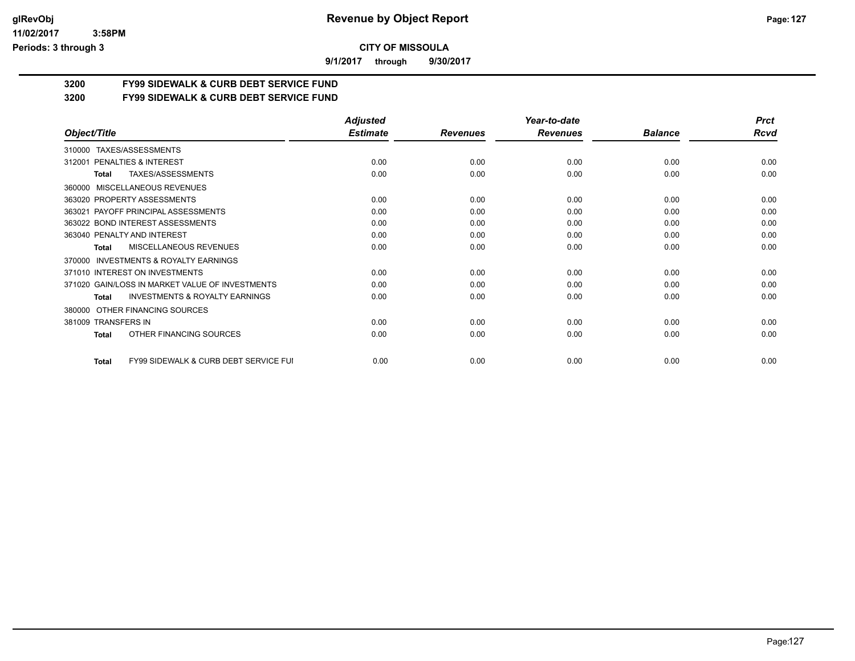## **CITY OF MISSOULA**

**9/1/2017 through 9/30/2017**

# **3200 FY99 SIDEWALK & CURB DEBT SERVICE FUND**

# **3200 FY99 SIDEWALK & CURB DEBT SERVICE FUND**

|                                                                  | <b>Adjusted</b> |                 | Year-to-date    |                | <b>Prct</b> |
|------------------------------------------------------------------|-----------------|-----------------|-----------------|----------------|-------------|
| Object/Title                                                     | <b>Estimate</b> | <b>Revenues</b> | <b>Revenues</b> | <b>Balance</b> | Rcvd        |
| TAXES/ASSESSMENTS<br>310000                                      |                 |                 |                 |                |             |
| PENALTIES & INTEREST<br>312001                                   | 0.00            | 0.00            | 0.00            | 0.00           | 0.00        |
| TAXES/ASSESSMENTS<br><b>Total</b>                                | 0.00            | 0.00            | 0.00            | 0.00           | 0.00        |
| MISCELLANEOUS REVENUES<br>360000                                 |                 |                 |                 |                |             |
| 363020 PROPERTY ASSESSMENTS                                      | 0.00            | 0.00            | 0.00            | 0.00           | 0.00        |
| 363021 PAYOFF PRINCIPAL ASSESSMENTS                              | 0.00            | 0.00            | 0.00            | 0.00           | 0.00        |
| 363022 BOND INTEREST ASSESSMENTS                                 | 0.00            | 0.00            | 0.00            | 0.00           | 0.00        |
| 363040 PENALTY AND INTEREST                                      | 0.00            | 0.00            | 0.00            | 0.00           | 0.00        |
| MISCELLANEOUS REVENUES<br><b>Total</b>                           | 0.00            | 0.00            | 0.00            | 0.00           | 0.00        |
| <b>INVESTMENTS &amp; ROYALTY EARNINGS</b><br>370000              |                 |                 |                 |                |             |
| 371010 INTEREST ON INVESTMENTS                                   | 0.00            | 0.00            | 0.00            | 0.00           | 0.00        |
| 371020 GAIN/LOSS IN MARKET VALUE OF INVESTMENTS                  | 0.00            | 0.00            | 0.00            | 0.00           | 0.00        |
| <b>INVESTMENTS &amp; ROYALTY EARNINGS</b><br><b>Total</b>        | 0.00            | 0.00            | 0.00            | 0.00           | 0.00        |
| OTHER FINANCING SOURCES<br>380000                                |                 |                 |                 |                |             |
| 381009 TRANSFERS IN                                              | 0.00            | 0.00            | 0.00            | 0.00           | 0.00        |
| OTHER FINANCING SOURCES<br><b>Total</b>                          | 0.00            | 0.00            | 0.00            | 0.00           | 0.00        |
| <b>FY99 SIDEWALK &amp; CURB DEBT SERVICE FUI</b><br><b>Total</b> | 0.00            | 0.00            | 0.00            | 0.00           | 0.00        |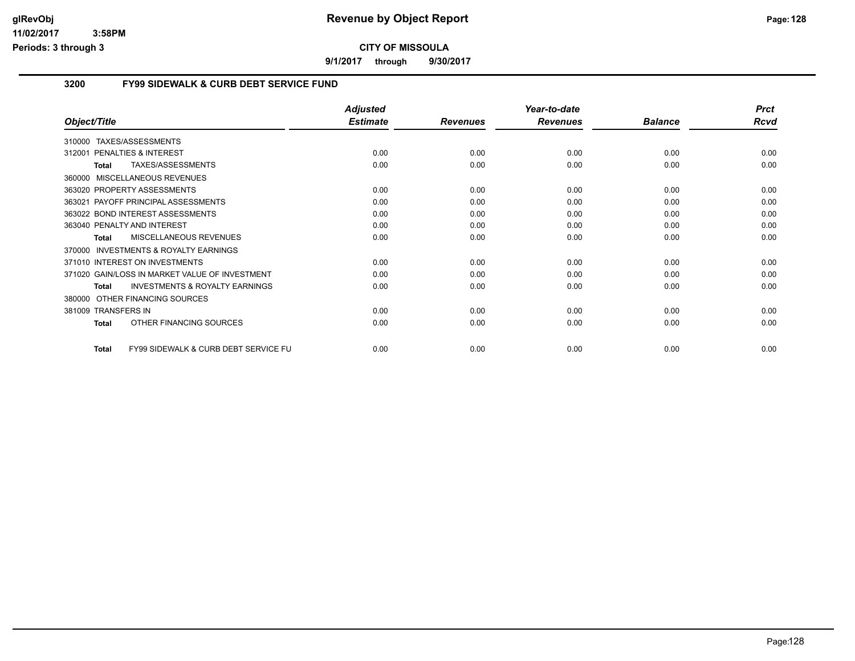**3:58PM**

**CITY OF MISSOULA**

**9/1/2017 through 9/30/2017**

## **3200 FY99 SIDEWALK & CURB DEBT SERVICE FUND**

|                                                                 | <b>Adjusted</b> |                 | Year-to-date    |                | <b>Prct</b> |
|-----------------------------------------------------------------|-----------------|-----------------|-----------------|----------------|-------------|
| Object/Title                                                    | <b>Estimate</b> | <b>Revenues</b> | <b>Revenues</b> | <b>Balance</b> | <b>Rcvd</b> |
| TAXES/ASSESSMENTS<br>310000                                     |                 |                 |                 |                |             |
| <b>PENALTIES &amp; INTEREST</b><br>312001                       | 0.00            | 0.00            | 0.00            | 0.00           | 0.00        |
| TAXES/ASSESSMENTS<br><b>Total</b>                               | 0.00            | 0.00            | 0.00            | 0.00           | 0.00        |
| MISCELLANEOUS REVENUES<br>360000                                |                 |                 |                 |                |             |
| 363020 PROPERTY ASSESSMENTS                                     | 0.00            | 0.00            | 0.00            | 0.00           | 0.00        |
| PAYOFF PRINCIPAL ASSESSMENTS<br>363021                          | 0.00            | 0.00            | 0.00            | 0.00           | 0.00        |
| 363022 BOND INTEREST ASSESSMENTS                                | 0.00            | 0.00            | 0.00            | 0.00           | 0.00        |
| 363040 PENALTY AND INTEREST                                     | 0.00            | 0.00            | 0.00            | 0.00           | 0.00        |
| MISCELLANEOUS REVENUES<br>Total                                 | 0.00            | 0.00            | 0.00            | 0.00           | 0.00        |
| INVESTMENTS & ROYALTY EARNINGS<br>370000                        |                 |                 |                 |                |             |
| 371010 INTEREST ON INVESTMENTS                                  | 0.00            | 0.00            | 0.00            | 0.00           | 0.00        |
| 371020 GAIN/LOSS IN MARKET VALUE OF INVESTMENT                  | 0.00            | 0.00            | 0.00            | 0.00           | 0.00        |
| <b>INVESTMENTS &amp; ROYALTY EARNINGS</b><br><b>Total</b>       | 0.00            | 0.00            | 0.00            | 0.00           | 0.00        |
| OTHER FINANCING SOURCES<br>380000                               |                 |                 |                 |                |             |
| 381009 TRANSFERS IN                                             | 0.00            | 0.00            | 0.00            | 0.00           | 0.00        |
| OTHER FINANCING SOURCES<br><b>Total</b>                         | 0.00            | 0.00            | 0.00            | 0.00           | 0.00        |
| <b>FY99 SIDEWALK &amp; CURB DEBT SERVICE FU</b><br><b>Total</b> | 0.00            | 0.00            | 0.00            | 0.00           | 0.00        |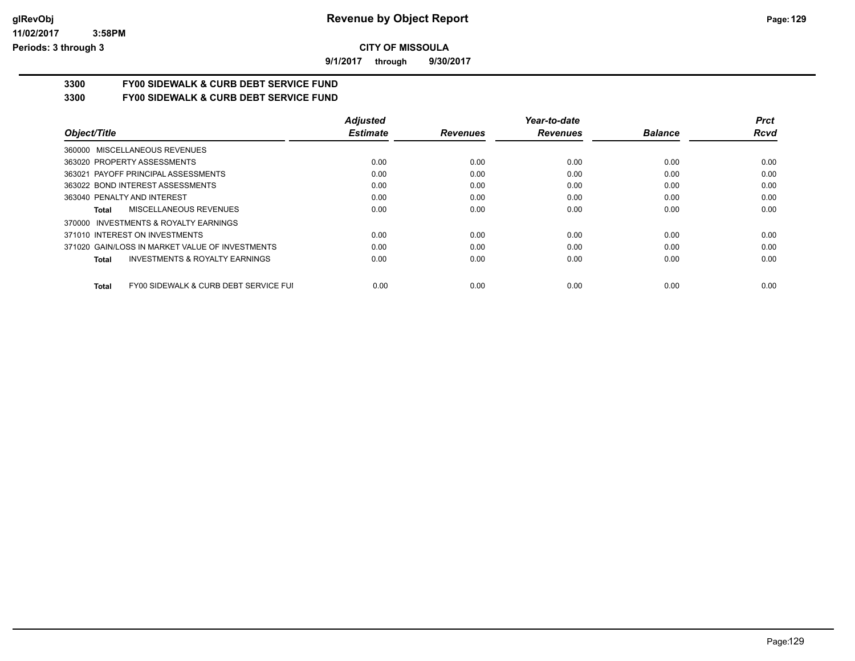## **CITY OF MISSOULA**

**9/1/2017 through 9/30/2017**

# **3300 FY00 SIDEWALK & CURB DEBT SERVICE FUND**

# **3300 FY00 SIDEWALK & CURB DEBT SERVICE FUND**

|                                                       | <b>Adjusted</b> |                 | Year-to-date    |                | <b>Prct</b> |
|-------------------------------------------------------|-----------------|-----------------|-----------------|----------------|-------------|
| Object/Title                                          | <b>Estimate</b> | <b>Revenues</b> | <b>Revenues</b> | <b>Balance</b> | <b>Rcvd</b> |
| 360000 MISCELLANEOUS REVENUES                         |                 |                 |                 |                |             |
| 363020 PROPERTY ASSESSMENTS                           | 0.00            | 0.00            | 0.00            | 0.00           | 0.00        |
| 363021 PAYOFF PRINCIPAL ASSESSMENTS                   | 0.00            | 0.00            | 0.00            | 0.00           | 0.00        |
| 363022 BOND INTEREST ASSESSMENTS                      | 0.00            | 0.00            | 0.00            | 0.00           | 0.00        |
| 363040 PENALTY AND INTEREST                           | 0.00            | 0.00            | 0.00            | 0.00           | 0.00        |
| MISCELLANEOUS REVENUES<br>Total                       | 0.00            | 0.00            | 0.00            | 0.00           | 0.00        |
| 370000 INVESTMENTS & ROYALTY EARNINGS                 |                 |                 |                 |                |             |
| 371010 INTEREST ON INVESTMENTS                        | 0.00            | 0.00            | 0.00            | 0.00           | 0.00        |
| 371020 GAIN/LOSS IN MARKET VALUE OF INVESTMENTS       | 0.00            | 0.00            | 0.00            | 0.00           | 0.00        |
| <b>INVESTMENTS &amp; ROYALTY EARNINGS</b><br>Total    | 0.00            | 0.00            | 0.00            | 0.00           | 0.00        |
| FY00 SIDEWALK & CURB DEBT SERVICE FUI<br><b>Total</b> | 0.00            | 0.00            | 0.00            | 0.00           | 0.00        |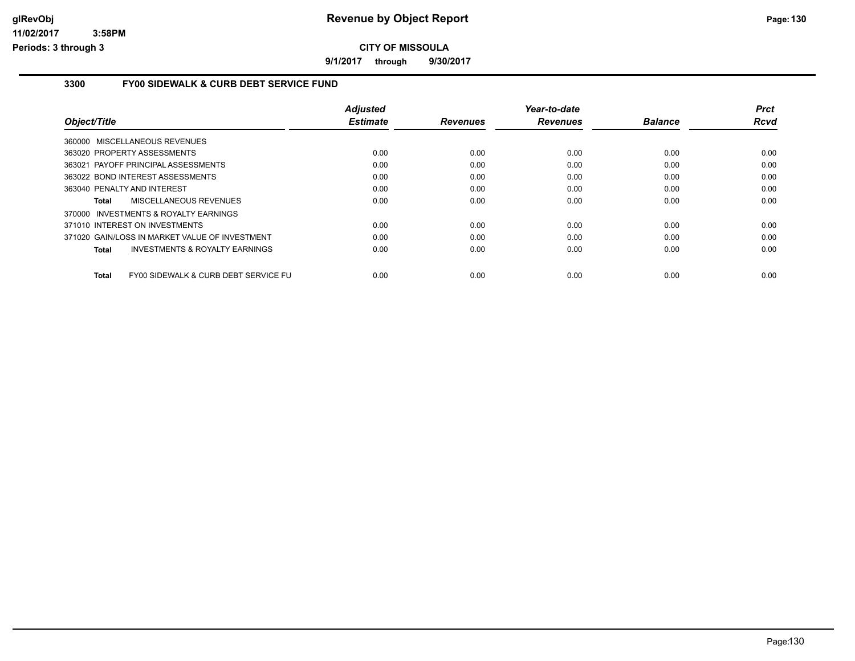**9/1/2017 through 9/30/2017**

## **3300 FY00 SIDEWALK & CURB DEBT SERVICE FUND**

|                                                      | <b>Adjusted</b> |                 | Year-to-date    |                | <b>Prct</b> |
|------------------------------------------------------|-----------------|-----------------|-----------------|----------------|-------------|
| Object/Title                                         | <b>Estimate</b> | <b>Revenues</b> | <b>Revenues</b> | <b>Balance</b> | <b>Rcvd</b> |
| 360000 MISCELLANEOUS REVENUES                        |                 |                 |                 |                |             |
| 363020 PROPERTY ASSESSMENTS                          | 0.00            | 0.00            | 0.00            | 0.00           | 0.00        |
| 363021 PAYOFF PRINCIPAL ASSESSMENTS                  | 0.00            | 0.00            | 0.00            | 0.00           | 0.00        |
| 363022 BOND INTEREST ASSESSMENTS                     | 0.00            | 0.00            | 0.00            | 0.00           | 0.00        |
| 363040 PENALTY AND INTEREST                          | 0.00            | 0.00            | 0.00            | 0.00           | 0.00        |
| <b>MISCELLANEOUS REVENUES</b><br>Total               | 0.00            | 0.00            | 0.00            | 0.00           | 0.00        |
| 370000 INVESTMENTS & ROYALTY EARNINGS                |                 |                 |                 |                |             |
| 371010 INTEREST ON INVESTMENTS                       | 0.00            | 0.00            | 0.00            | 0.00           | 0.00        |
| 371020 GAIN/LOSS IN MARKET VALUE OF INVESTMENT       | 0.00            | 0.00            | 0.00            | 0.00           | 0.00        |
| <b>INVESTMENTS &amp; ROYALTY EARNINGS</b><br>Total   | 0.00            | 0.00            | 0.00            | 0.00           | 0.00        |
| FY00 SIDEWALK & CURB DEBT SERVICE FU<br><b>Total</b> | 0.00            | 0.00            | 0.00            | 0.00           | 0.00        |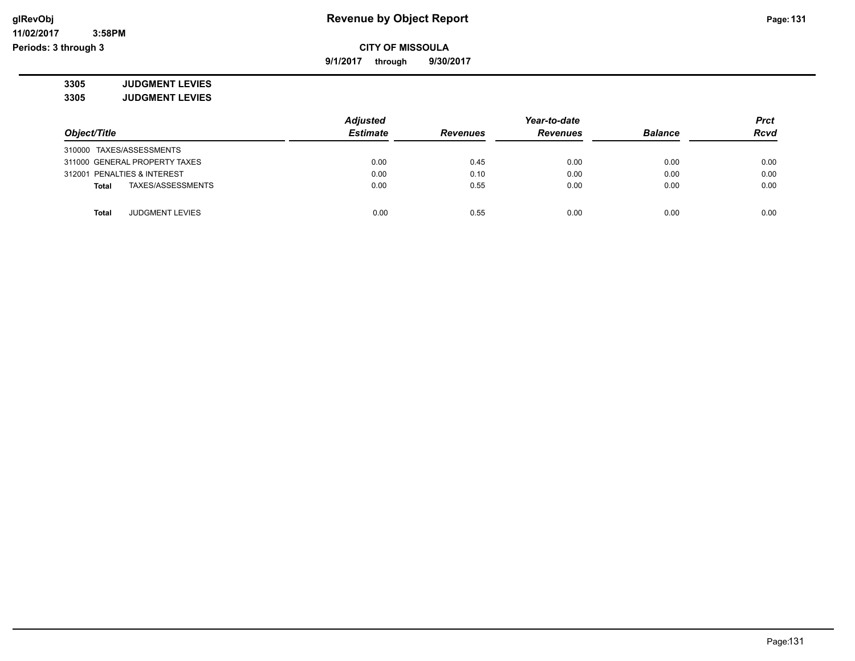**9/1/2017 through 9/30/2017**

**3305 JUDGMENT LEVIES**

**3305 JUDGMENT LEVIES**

|                                 | <b>Adjusted</b> |                 | Year-to-date    |                | <b>Prct</b> |
|---------------------------------|-----------------|-----------------|-----------------|----------------|-------------|
| Object/Title                    | <b>Estimate</b> | <b>Revenues</b> | <b>Revenues</b> | <b>Balance</b> | <b>Rcvd</b> |
| 310000 TAXES/ASSESSMENTS        |                 |                 |                 |                |             |
| 311000 GENERAL PROPERTY TAXES   | 0.00            | 0.45            | 0.00            | 0.00           | 0.00        |
| 312001 PENALTIES & INTEREST     | 0.00            | 0.10            | 0.00            | 0.00           | 0.00        |
| TAXES/ASSESSMENTS<br>Total      | 0.00            | 0.55            | 0.00            | 0.00           | 0.00        |
|                                 |                 |                 |                 |                |             |
| <b>JUDGMENT LEVIES</b><br>Total | 0.00            | 0.55            | 0.00            | 0.00           | 0.00        |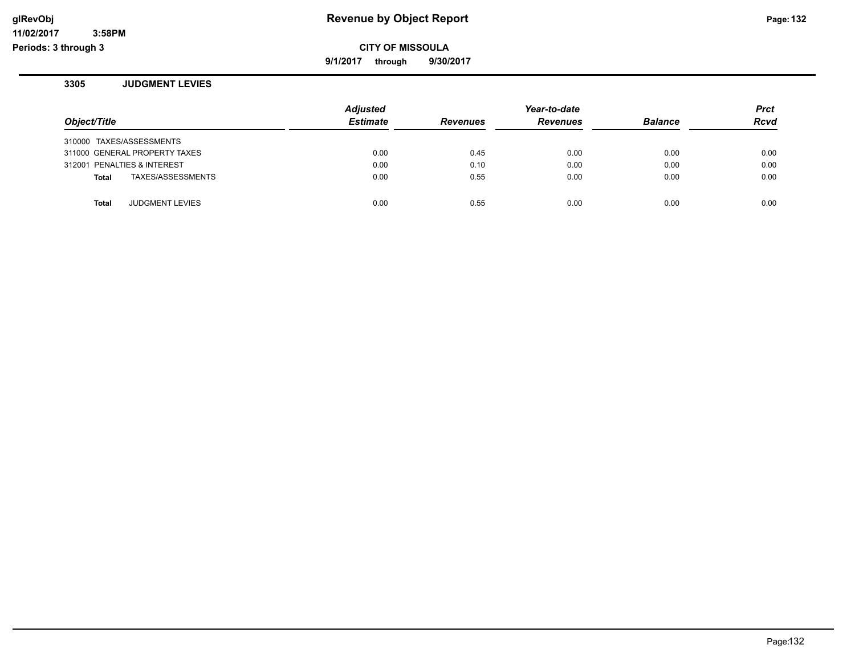**CITY OF MISSOULA**

**9/1/2017 through 9/30/2017**

### **3305 JUDGMENT LEVIES**

 **3:58PM**

|                                        | <b>Adjusted</b> |                 | Year-to-date    |                | <b>Prct</b> |
|----------------------------------------|-----------------|-----------------|-----------------|----------------|-------------|
| Object/Title                           | <b>Estimate</b> | <b>Revenues</b> | <b>Revenues</b> | <b>Balance</b> | <b>Rcvd</b> |
| 310000 TAXES/ASSESSMENTS               |                 |                 |                 |                |             |
| 311000 GENERAL PROPERTY TAXES          | 0.00            | 0.45            | 0.00            | 0.00           | 0.00        |
| 312001 PENALTIES & INTEREST            | 0.00            | 0.10            | 0.00            | 0.00           | 0.00        |
| TAXES/ASSESSMENTS<br><b>Total</b>      | 0.00            | 0.55            | 0.00            | 0.00           | 0.00        |
| <b>JUDGMENT LEVIES</b><br><b>Total</b> | 0.00            | 0.55            | 0.00            | 0.00           | 0.00        |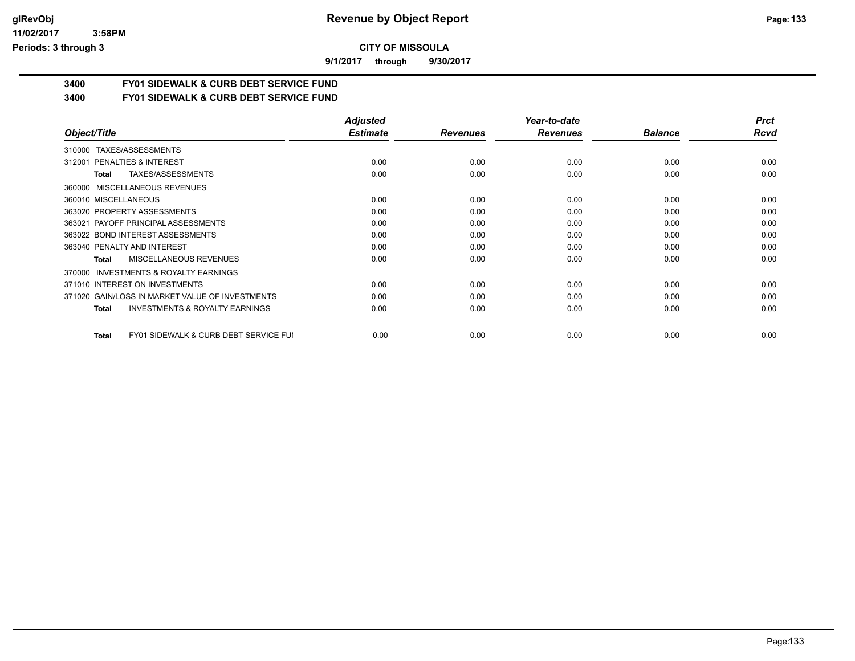**CITY OF MISSOULA**

**9/1/2017 through 9/30/2017**

# **3400 FY01 SIDEWALK & CURB DEBT SERVICE FUND**

# **3400 FY01 SIDEWALK & CURB DEBT SERVICE FUND**

|                                                           | <b>Adjusted</b> |                 | Year-to-date    |                | <b>Prct</b> |
|-----------------------------------------------------------|-----------------|-----------------|-----------------|----------------|-------------|
| Object/Title                                              | <b>Estimate</b> | <b>Revenues</b> | <b>Revenues</b> | <b>Balance</b> | Rcvd        |
| TAXES/ASSESSMENTS<br>310000                               |                 |                 |                 |                |             |
| 312001 PENALTIES & INTEREST                               | 0.00            | 0.00            | 0.00            | 0.00           | 0.00        |
| <b>TAXES/ASSESSMENTS</b><br>Total                         | 0.00            | 0.00            | 0.00            | 0.00           | 0.00        |
| MISCELLANEOUS REVENUES<br>360000                          |                 |                 |                 |                |             |
| 360010 MISCELLANEOUS                                      | 0.00            | 0.00            | 0.00            | 0.00           | 0.00        |
| 363020 PROPERTY ASSESSMENTS                               | 0.00            | 0.00            | 0.00            | 0.00           | 0.00        |
| 363021 PAYOFF PRINCIPAL ASSESSMENTS                       | 0.00            | 0.00            | 0.00            | 0.00           | 0.00        |
| 363022 BOND INTEREST ASSESSMENTS                          | 0.00            | 0.00            | 0.00            | 0.00           | 0.00        |
| 363040 PENALTY AND INTEREST                               | 0.00            | 0.00            | 0.00            | 0.00           | 0.00        |
| MISCELLANEOUS REVENUES<br>Total                           | 0.00            | 0.00            | 0.00            | 0.00           | 0.00        |
| <b>INVESTMENTS &amp; ROYALTY EARNINGS</b><br>370000       |                 |                 |                 |                |             |
| 371010 INTEREST ON INVESTMENTS                            | 0.00            | 0.00            | 0.00            | 0.00           | 0.00        |
| 371020 GAIN/LOSS IN MARKET VALUE OF INVESTMENTS           | 0.00            | 0.00            | 0.00            | 0.00           | 0.00        |
| <b>INVESTMENTS &amp; ROYALTY EARNINGS</b><br><b>Total</b> | 0.00            | 0.00            | 0.00            | 0.00           | 0.00        |
| FY01 SIDEWALK & CURB DEBT SERVICE FUI<br><b>Total</b>     | 0.00            | 0.00            | 0.00            | 0.00           | 0.00        |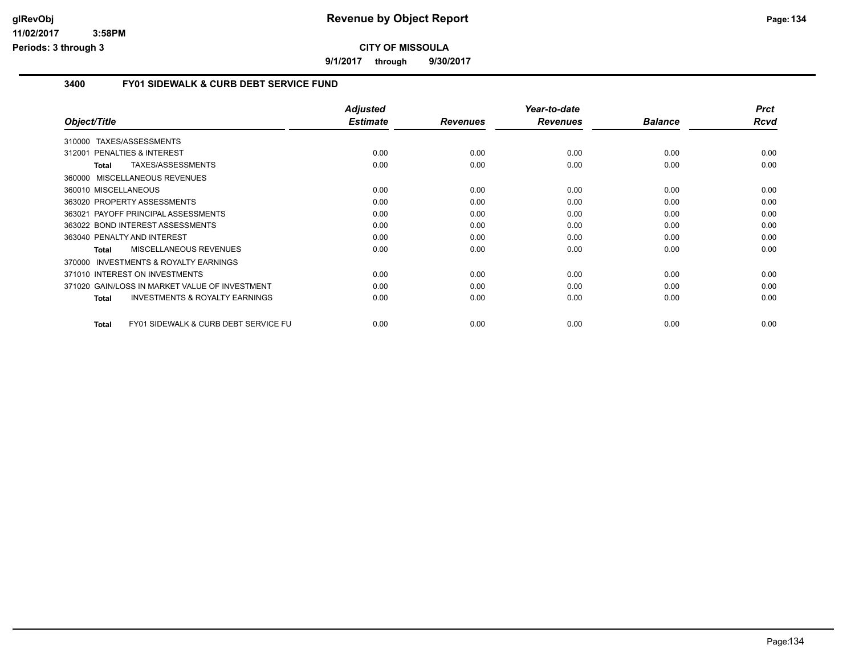**CITY OF MISSOULA**

**9/1/2017 through 9/30/2017**

## **3400 FY01 SIDEWALK & CURB DEBT SERVICE FUND**

|                                                           | <b>Adjusted</b> |                 | Year-to-date    |                | <b>Prct</b> |
|-----------------------------------------------------------|-----------------|-----------------|-----------------|----------------|-------------|
| Object/Title                                              | <b>Estimate</b> | <b>Revenues</b> | <b>Revenues</b> | <b>Balance</b> | Rcvd        |
| TAXES/ASSESSMENTS<br>310000                               |                 |                 |                 |                |             |
| <b>PENALTIES &amp; INTEREST</b><br>312001                 | 0.00            | 0.00            | 0.00            | 0.00           | 0.00        |
| TAXES/ASSESSMENTS<br><b>Total</b>                         | 0.00            | 0.00            | 0.00            | 0.00           | 0.00        |
| 360000 MISCELLANEOUS REVENUES                             |                 |                 |                 |                |             |
| 360010 MISCELLANEOUS                                      | 0.00            | 0.00            | 0.00            | 0.00           | 0.00        |
| 363020 PROPERTY ASSESSMENTS                               | 0.00            | 0.00            | 0.00            | 0.00           | 0.00        |
| PAYOFF PRINCIPAL ASSESSMENTS<br>363021                    | 0.00            | 0.00            | 0.00            | 0.00           | 0.00        |
| 363022 BOND INTEREST ASSESSMENTS                          | 0.00            | 0.00            | 0.00            | 0.00           | 0.00        |
| 363040 PENALTY AND INTEREST                               | 0.00            | 0.00            | 0.00            | 0.00           | 0.00        |
| <b>MISCELLANEOUS REVENUES</b><br>Total                    | 0.00            | 0.00            | 0.00            | 0.00           | 0.00        |
| <b>INVESTMENTS &amp; ROYALTY EARNINGS</b><br>370000       |                 |                 |                 |                |             |
| 371010 INTEREST ON INVESTMENTS                            | 0.00            | 0.00            | 0.00            | 0.00           | 0.00        |
| 371020 GAIN/LOSS IN MARKET VALUE OF INVESTMENT            | 0.00            | 0.00            | 0.00            | 0.00           | 0.00        |
| <b>INVESTMENTS &amp; ROYALTY EARNINGS</b><br><b>Total</b> | 0.00            | 0.00            | 0.00            | 0.00           | 0.00        |
| FY01 SIDEWALK & CURB DEBT SERVICE FU<br><b>Total</b>      | 0.00            | 0.00            | 0.00            | 0.00           | 0.00        |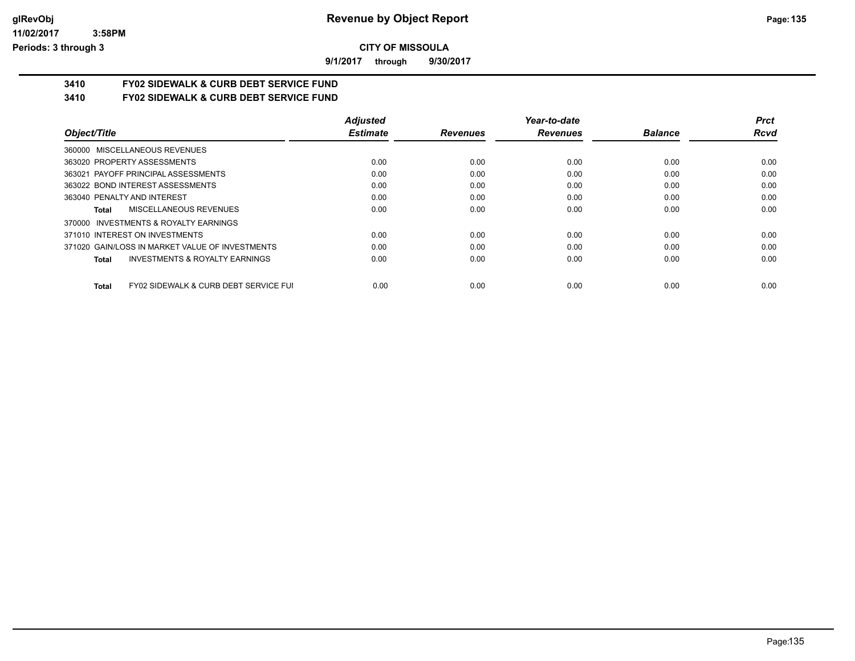### **CITY OF MISSOULA**

**9/1/2017 through 9/30/2017**

# **3410 FY02 SIDEWALK & CURB DEBT SERVICE FUND**

# **3410 FY02 SIDEWALK & CURB DEBT SERVICE FUND**

|                                                                  | <b>Adjusted</b> |                 | Year-to-date    |                | <b>Prct</b> |
|------------------------------------------------------------------|-----------------|-----------------|-----------------|----------------|-------------|
| Object/Title                                                     | <b>Estimate</b> | <b>Revenues</b> | <b>Revenues</b> | <b>Balance</b> | Rcvd        |
| 360000 MISCELLANEOUS REVENUES                                    |                 |                 |                 |                |             |
| 363020 PROPERTY ASSESSMENTS                                      | 0.00            | 0.00            | 0.00            | 0.00           | 0.00        |
| 363021 PAYOFF PRINCIPAL ASSESSMENTS                              | 0.00            | 0.00            | 0.00            | 0.00           | 0.00        |
| 363022 BOND INTEREST ASSESSMENTS                                 | 0.00            | 0.00            | 0.00            | 0.00           | 0.00        |
| 363040 PENALTY AND INTEREST                                      | 0.00            | 0.00            | 0.00            | 0.00           | 0.00        |
| MISCELLANEOUS REVENUES<br>Total                                  | 0.00            | 0.00            | 0.00            | 0.00           | 0.00        |
| 370000 INVESTMENTS & ROYALTY EARNINGS                            |                 |                 |                 |                |             |
| 371010 INTEREST ON INVESTMENTS                                   | 0.00            | 0.00            | 0.00            | 0.00           | 0.00        |
| 371020 GAIN/LOSS IN MARKET VALUE OF INVESTMENTS                  | 0.00            | 0.00            | 0.00            | 0.00           | 0.00        |
| <b>INVESTMENTS &amp; ROYALTY EARNINGS</b><br>Total               | 0.00            | 0.00            | 0.00            | 0.00           | 0.00        |
| <b>FY02 SIDEWALK &amp; CURB DEBT SERVICE FUI</b><br><b>Total</b> | 0.00            | 0.00            | 0.00            | 0.00           | 0.00        |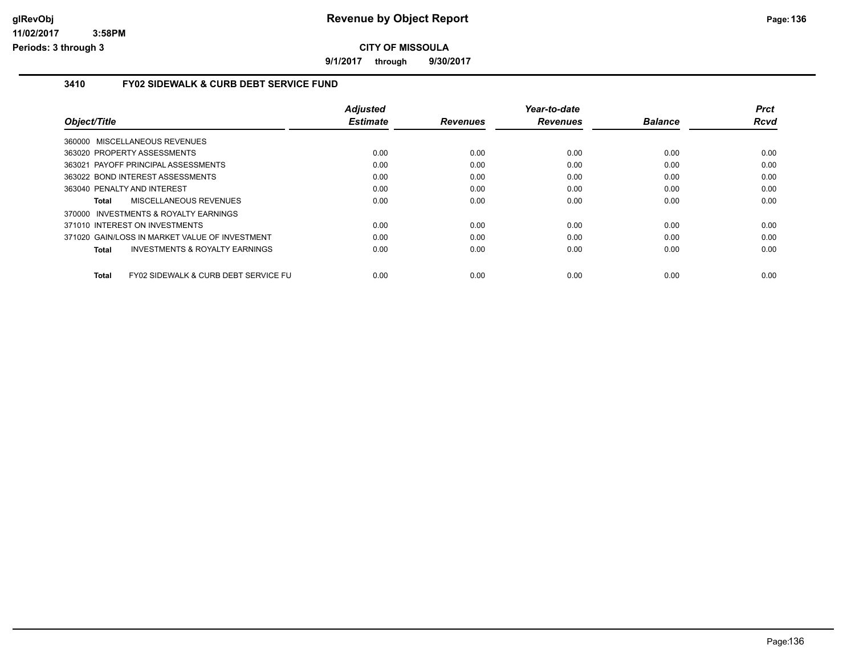**9/1/2017 through 9/30/2017**

## **3410 FY02 SIDEWALK & CURB DEBT SERVICE FUND**

|                                                      | <b>Adjusted</b> |                 | Year-to-date    |                | <b>Prct</b> |
|------------------------------------------------------|-----------------|-----------------|-----------------|----------------|-------------|
| Object/Title                                         | <b>Estimate</b> | <b>Revenues</b> | <b>Revenues</b> | <b>Balance</b> | Rcvd        |
| 360000 MISCELLANEOUS REVENUES                        |                 |                 |                 |                |             |
| 363020 PROPERTY ASSESSMENTS                          | 0.00            | 0.00            | 0.00            | 0.00           | 0.00        |
| 363021 PAYOFF PRINCIPAL ASSESSMENTS                  | 0.00            | 0.00            | 0.00            | 0.00           | 0.00        |
| 363022 BOND INTEREST ASSESSMENTS                     | 0.00            | 0.00            | 0.00            | 0.00           | 0.00        |
| 363040 PENALTY AND INTEREST                          | 0.00            | 0.00            | 0.00            | 0.00           | 0.00        |
| <b>MISCELLANEOUS REVENUES</b><br>Total               | 0.00            | 0.00            | 0.00            | 0.00           | 0.00        |
| 370000 INVESTMENTS & ROYALTY EARNINGS                |                 |                 |                 |                |             |
| 371010 INTEREST ON INVESTMENTS                       | 0.00            | 0.00            | 0.00            | 0.00           | 0.00        |
| 371020 GAIN/LOSS IN MARKET VALUE OF INVESTMENT       | 0.00            | 0.00            | 0.00            | 0.00           | 0.00        |
| <b>INVESTMENTS &amp; ROYALTY EARNINGS</b><br>Total   | 0.00            | 0.00            | 0.00            | 0.00           | 0.00        |
| FY02 SIDEWALK & CURB DEBT SERVICE FU<br><b>Total</b> | 0.00            | 0.00            | 0.00            | 0.00           | 0.00        |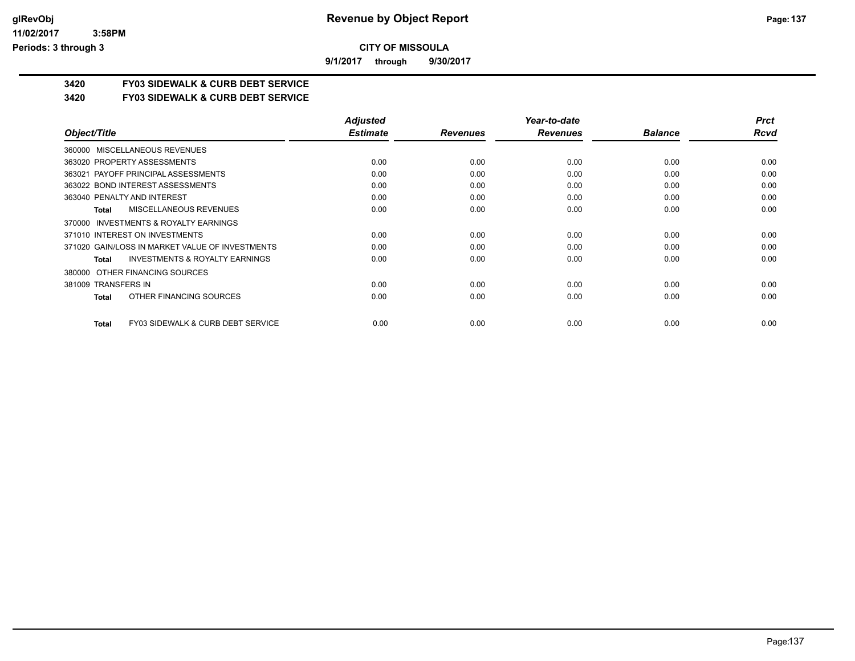**3:58PM**

**CITY OF MISSOULA**

**9/1/2017 through 9/30/2017**

# **3420 FY03 SIDEWALK & CURB DEBT SERVICE**

## **3420 FY03 SIDEWALK & CURB DEBT SERVICE**

|                                                    | <b>Adjusted</b> |                 | Year-to-date    |                | <b>Prct</b> |
|----------------------------------------------------|-----------------|-----------------|-----------------|----------------|-------------|
| Object/Title                                       | <b>Estimate</b> | <b>Revenues</b> | <b>Revenues</b> | <b>Balance</b> | <b>Rcvd</b> |
| 360000 MISCELLANEOUS REVENUES                      |                 |                 |                 |                |             |
| 363020 PROPERTY ASSESSMENTS                        | 0.00            | 0.00            | 0.00            | 0.00           | 0.00        |
| 363021 PAYOFF PRINCIPAL ASSESSMENTS                | 0.00            | 0.00            | 0.00            | 0.00           | 0.00        |
| 363022 BOND INTEREST ASSESSMENTS                   | 0.00            | 0.00            | 0.00            | 0.00           | 0.00        |
| 363040 PENALTY AND INTEREST                        | 0.00            | 0.00            | 0.00            | 0.00           | 0.00        |
| <b>MISCELLANEOUS REVENUES</b><br>Total             | 0.00            | 0.00            | 0.00            | 0.00           | 0.00        |
| 370000 INVESTMENTS & ROYALTY EARNINGS              |                 |                 |                 |                |             |
| 371010 INTEREST ON INVESTMENTS                     | 0.00            | 0.00            | 0.00            | 0.00           | 0.00        |
| 371020 GAIN/LOSS IN MARKET VALUE OF INVESTMENTS    | 0.00            | 0.00            | 0.00            | 0.00           | 0.00        |
| <b>INVESTMENTS &amp; ROYALTY EARNINGS</b><br>Total | 0.00            | 0.00            | 0.00            | 0.00           | 0.00        |
| OTHER FINANCING SOURCES<br>380000                  |                 |                 |                 |                |             |
| 381009 TRANSFERS IN                                | 0.00            | 0.00            | 0.00            | 0.00           | 0.00        |
| OTHER FINANCING SOURCES<br>Total                   | 0.00            | 0.00            | 0.00            | 0.00           | 0.00        |
| FY03 SIDEWALK & CURB DEBT SERVICE<br><b>Total</b>  | 0.00            | 0.00            | 0.00            | 0.00           | 0.00        |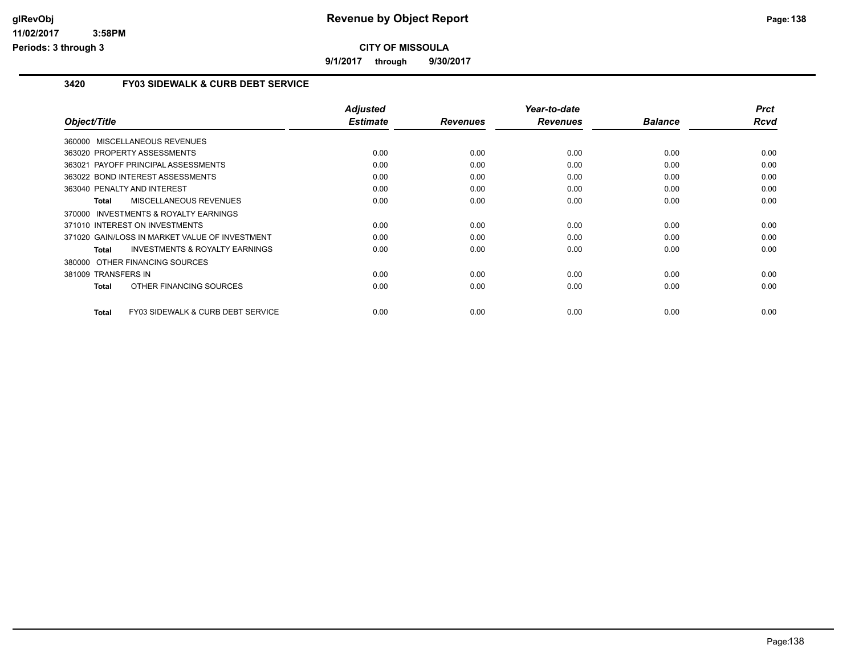**CITY OF MISSOULA**

**9/1/2017 through 9/30/2017**

## **3420 FY03 SIDEWALK & CURB DEBT SERVICE**

| Object/Title                                       | <b>Adjusted</b><br><b>Estimate</b> | <b>Revenues</b> | Year-to-date<br><b>Revenues</b> | <b>Balance</b> | <b>Prct</b><br>Rcvd |
|----------------------------------------------------|------------------------------------|-----------------|---------------------------------|----------------|---------------------|
| 360000 MISCELLANEOUS REVENUES                      |                                    |                 |                                 |                |                     |
| 363020 PROPERTY ASSESSMENTS                        | 0.00                               | 0.00            | 0.00                            | 0.00           | 0.00                |
| 363021 PAYOFF PRINCIPAL ASSESSMENTS                | 0.00                               | 0.00            | 0.00                            | 0.00           | 0.00                |
| 363022 BOND INTEREST ASSESSMENTS                   | 0.00                               | 0.00            | 0.00                            | 0.00           | 0.00                |
| 363040 PENALTY AND INTEREST                        | 0.00                               | 0.00            | 0.00                            | 0.00           | 0.00                |
| MISCELLANEOUS REVENUES<br>Total                    | 0.00                               | 0.00            | 0.00                            | 0.00           | 0.00                |
| 370000 INVESTMENTS & ROYALTY EARNINGS              |                                    |                 |                                 |                |                     |
| 371010 INTEREST ON INVESTMENTS                     | 0.00                               | 0.00            | 0.00                            | 0.00           | 0.00                |
| 371020 GAIN/LOSS IN MARKET VALUE OF INVESTMENT     | 0.00                               | 0.00            | 0.00                            | 0.00           | 0.00                |
| <b>INVESTMENTS &amp; ROYALTY EARNINGS</b><br>Total | 0.00                               | 0.00            | 0.00                            | 0.00           | 0.00                |
| 380000 OTHER FINANCING SOURCES                     |                                    |                 |                                 |                |                     |
| 381009 TRANSFERS IN                                | 0.00                               | 0.00            | 0.00                            | 0.00           | 0.00                |
| OTHER FINANCING SOURCES<br>Total                   | 0.00                               | 0.00            | 0.00                            | 0.00           | 0.00                |
| FY03 SIDEWALK & CURB DEBT SERVICE<br>Total         | 0.00                               | 0.00            | 0.00                            | 0.00           | 0.00                |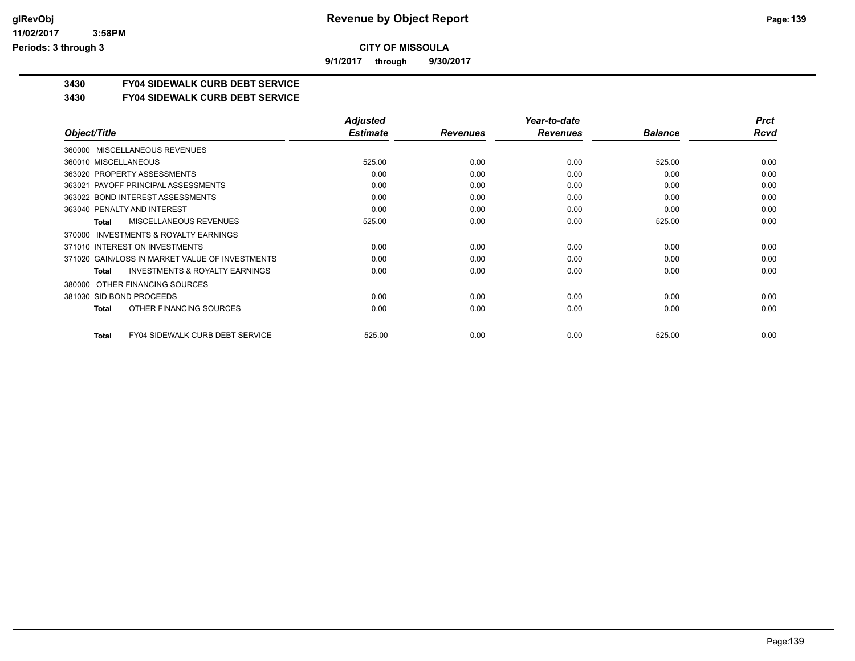**9/1/2017 through 9/30/2017**

# **3430 FY04 SIDEWALK CURB DEBT SERVICE**

## **3430 FY04 SIDEWALK CURB DEBT SERVICE**

|                                                           | <b>Adjusted</b> |                 | Year-to-date    |                | <b>Prct</b> |
|-----------------------------------------------------------|-----------------|-----------------|-----------------|----------------|-------------|
| Object/Title                                              | <b>Estimate</b> | <b>Revenues</b> | <b>Revenues</b> | <b>Balance</b> | Rcvd        |
| 360000 MISCELLANEOUS REVENUES                             |                 |                 |                 |                |             |
| 360010 MISCELLANEOUS                                      | 525.00          | 0.00            | 0.00            | 525.00         | 0.00        |
| 363020 PROPERTY ASSESSMENTS                               | 0.00            | 0.00            | 0.00            | 0.00           | 0.00        |
| 363021 PAYOFF PRINCIPAL ASSESSMENTS                       | 0.00            | 0.00            | 0.00            | 0.00           | 0.00        |
| 363022 BOND INTEREST ASSESSMENTS                          | 0.00            | 0.00            | 0.00            | 0.00           | 0.00        |
| 363040 PENALTY AND INTEREST                               | 0.00            | 0.00            | 0.00            | 0.00           | 0.00        |
| MISCELLANEOUS REVENUES<br>Total                           | 525.00          | 0.00            | 0.00            | 525.00         | 0.00        |
| INVESTMENTS & ROYALTY EARNINGS<br>370000                  |                 |                 |                 |                |             |
| 371010 INTEREST ON INVESTMENTS                            | 0.00            | 0.00            | 0.00            | 0.00           | 0.00        |
| 371020 GAIN/LOSS IN MARKET VALUE OF INVESTMENTS           | 0.00            | 0.00            | 0.00            | 0.00           | 0.00        |
| <b>INVESTMENTS &amp; ROYALTY EARNINGS</b><br><b>Total</b> | 0.00            | 0.00            | 0.00            | 0.00           | 0.00        |
| 380000 OTHER FINANCING SOURCES                            |                 |                 |                 |                |             |
| 381030 SID BOND PROCEEDS                                  | 0.00            | 0.00            | 0.00            | 0.00           | 0.00        |
| OTHER FINANCING SOURCES<br>Total                          | 0.00            | 0.00            | 0.00            | 0.00           | 0.00        |
| FY04 SIDEWALK CURB DEBT SERVICE<br>Total                  | 525.00          | 0.00            | 0.00            | 525.00         | 0.00        |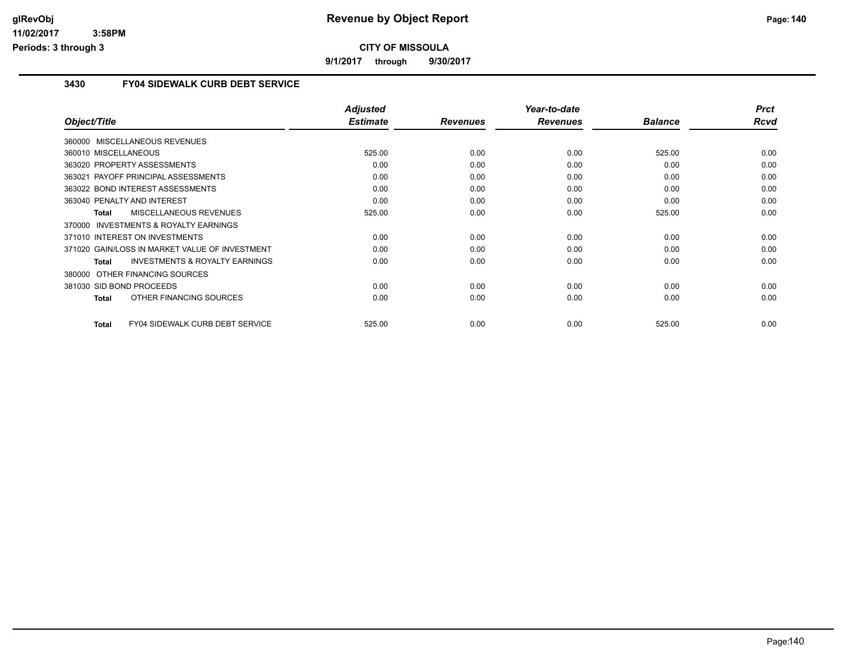**9/1/2017 through 9/30/2017**

## **3430 FY04 SIDEWALK CURB DEBT SERVICE**

| Object/Title                                       | <b>Adjusted</b><br><b>Estimate</b> | <b>Revenues</b> | Year-to-date<br><b>Revenues</b> | <b>Balance</b> | <b>Prct</b><br>Rcvd |
|----------------------------------------------------|------------------------------------|-----------------|---------------------------------|----------------|---------------------|
|                                                    |                                    |                 |                                 |                |                     |
| 360000 MISCELLANEOUS REVENUES                      |                                    |                 |                                 |                |                     |
| 360010 MISCELLANEOUS                               | 525.00                             | 0.00            | 0.00                            | 525.00         | 0.00                |
| 363020 PROPERTY ASSESSMENTS                        | 0.00                               | 0.00            | 0.00                            | 0.00           | 0.00                |
| 363021 PAYOFF PRINCIPAL ASSESSMENTS                | 0.00                               | 0.00            | 0.00                            | 0.00           | 0.00                |
| 363022 BOND INTEREST ASSESSMENTS                   | 0.00                               | 0.00            | 0.00                            | 0.00           | 0.00                |
| 363040 PENALTY AND INTEREST                        | 0.00                               | 0.00            | 0.00                            | 0.00           | 0.00                |
| <b>MISCELLANEOUS REVENUES</b><br><b>Total</b>      | 525.00                             | 0.00            | 0.00                            | 525.00         | 0.00                |
| INVESTMENTS & ROYALTY EARNINGS<br>370000           |                                    |                 |                                 |                |                     |
| 371010 INTEREST ON INVESTMENTS                     | 0.00                               | 0.00            | 0.00                            | 0.00           | 0.00                |
| 371020 GAIN/LOSS IN MARKET VALUE OF INVESTMENT     | 0.00                               | 0.00            | 0.00                            | 0.00           | 0.00                |
| <b>INVESTMENTS &amp; ROYALTY EARNINGS</b><br>Total | 0.00                               | 0.00            | 0.00                            | 0.00           | 0.00                |
| OTHER FINANCING SOURCES<br>380000                  |                                    |                 |                                 |                |                     |
| 381030 SID BOND PROCEEDS                           | 0.00                               | 0.00            | 0.00                            | 0.00           | 0.00                |
| OTHER FINANCING SOURCES<br><b>Total</b>            | 0.00                               | 0.00            | 0.00                            | 0.00           | 0.00                |
|                                                    |                                    |                 |                                 |                |                     |
| FY04 SIDEWALK CURB DEBT SERVICE<br><b>Total</b>    | 525.00                             | 0.00            | 0.00                            | 525.00         | 0.00                |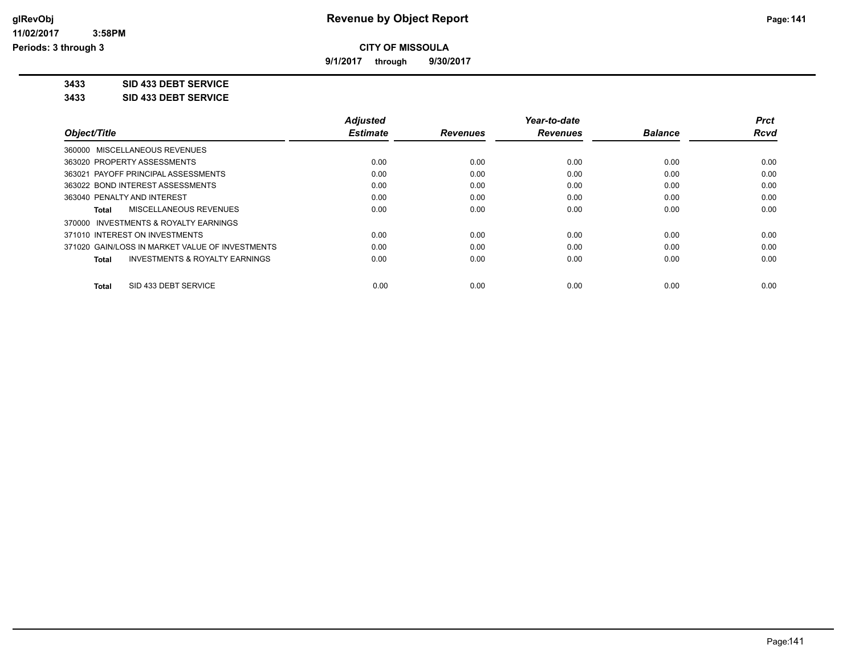**9/1/2017 through 9/30/2017**

**3433 SID 433 DEBT SERVICE**

**3433 SID 433 DEBT SERVICE**

|                                                           | <b>Adjusted</b> |                 | Year-to-date    |                | <b>Prct</b> |
|-----------------------------------------------------------|-----------------|-----------------|-----------------|----------------|-------------|
| Object/Title                                              | <b>Estimate</b> | <b>Revenues</b> | <b>Revenues</b> | <b>Balance</b> | <b>Rcvd</b> |
| 360000 MISCELLANEOUS REVENUES                             |                 |                 |                 |                |             |
| 363020 PROPERTY ASSESSMENTS                               | 0.00            | 0.00            | 0.00            | 0.00           | 0.00        |
| 363021 PAYOFF PRINCIPAL ASSESSMENTS                       | 0.00            | 0.00            | 0.00            | 0.00           | 0.00        |
| 363022 BOND INTEREST ASSESSMENTS                          | 0.00            | 0.00            | 0.00            | 0.00           | 0.00        |
| 363040 PENALTY AND INTEREST                               | 0.00            | 0.00            | 0.00            | 0.00           | 0.00        |
| MISCELLANEOUS REVENUES<br>Total                           | 0.00            | 0.00            | 0.00            | 0.00           | 0.00        |
| 370000 INVESTMENTS & ROYALTY EARNINGS                     |                 |                 |                 |                |             |
| 371010 INTEREST ON INVESTMENTS                            | 0.00            | 0.00            | 0.00            | 0.00           | 0.00        |
| 371020 GAIN/LOSS IN MARKET VALUE OF INVESTMENTS           | 0.00            | 0.00            | 0.00            | 0.00           | 0.00        |
| <b>INVESTMENTS &amp; ROYALTY EARNINGS</b><br><b>Total</b> | 0.00            | 0.00            | 0.00            | 0.00           | 0.00        |
| SID 433 DEBT SERVICE<br><b>Total</b>                      | 0.00            | 0.00            | 0.00            | 0.00           | 0.00        |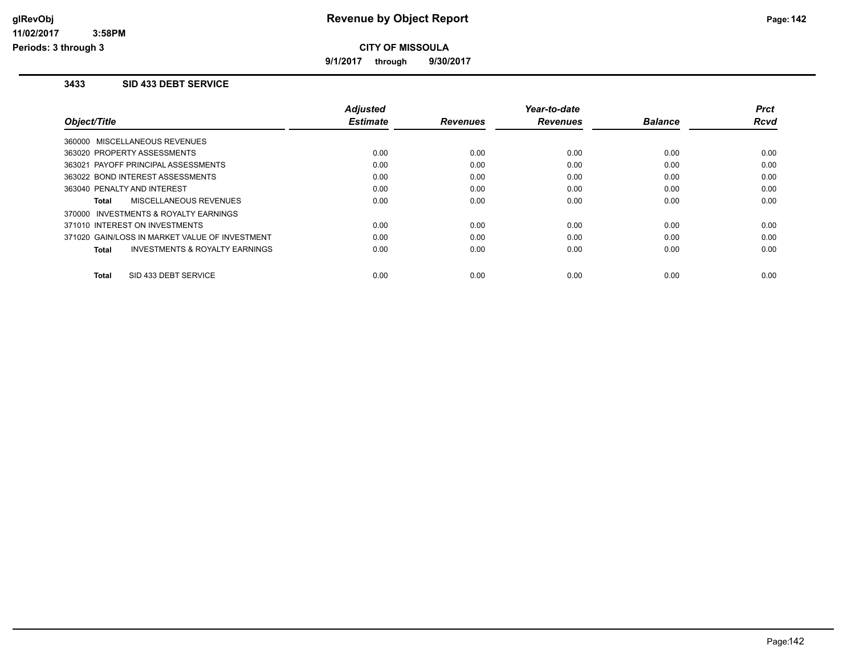**9/1/2017 through 9/30/2017**

## **3433 SID 433 DEBT SERVICE**

|                                                    | <b>Adjusted</b> |                 | Year-to-date    |                | Prct        |
|----------------------------------------------------|-----------------|-----------------|-----------------|----------------|-------------|
| Object/Title                                       | <b>Estimate</b> | <b>Revenues</b> | <b>Revenues</b> | <b>Balance</b> | <b>Rcvd</b> |
| 360000 MISCELLANEOUS REVENUES                      |                 |                 |                 |                |             |
| 363020 PROPERTY ASSESSMENTS                        | 0.00            | 0.00            | 0.00            | 0.00           | 0.00        |
| 363021 PAYOFF PRINCIPAL ASSESSMENTS                | 0.00            | 0.00            | 0.00            | 0.00           | 0.00        |
| 363022 BOND INTEREST ASSESSMENTS                   | 0.00            | 0.00            | 0.00            | 0.00           | 0.00        |
| 363040 PENALTY AND INTEREST                        | 0.00            | 0.00            | 0.00            | 0.00           | 0.00        |
| MISCELLANEOUS REVENUES<br>Total                    | 0.00            | 0.00            | 0.00            | 0.00           | 0.00        |
| 370000 INVESTMENTS & ROYALTY EARNINGS              |                 |                 |                 |                |             |
| 371010 INTEREST ON INVESTMENTS                     | 0.00            | 0.00            | 0.00            | 0.00           | 0.00        |
| 371020 GAIN/LOSS IN MARKET VALUE OF INVESTMENT     | 0.00            | 0.00            | 0.00            | 0.00           | 0.00        |
| <b>INVESTMENTS &amp; ROYALTY EARNINGS</b><br>Total | 0.00            | 0.00            | 0.00            | 0.00           | 0.00        |
|                                                    |                 |                 |                 |                |             |
| SID 433 DEBT SERVICE<br>Total                      | 0.00            | 0.00            | 0.00            | 0.00           | 0.00        |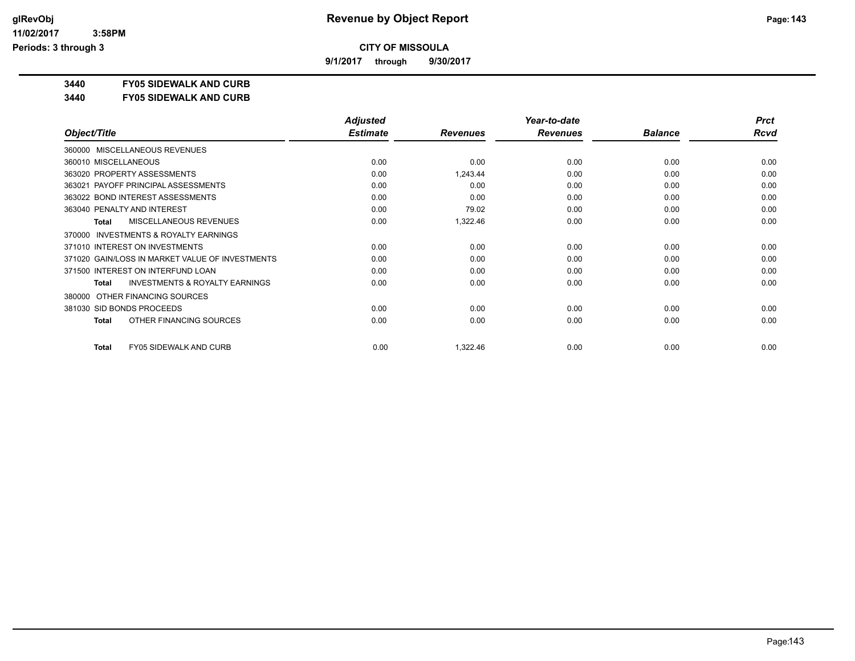**9/1/2017 through 9/30/2017**

**3440 FY05 SIDEWALK AND CURB**

**3440 FY05 SIDEWALK AND CURB**

|                                                           | <b>Adjusted</b> |                 | Year-to-date    |                | <b>Prct</b> |
|-----------------------------------------------------------|-----------------|-----------------|-----------------|----------------|-------------|
| Object/Title                                              | <b>Estimate</b> | <b>Revenues</b> | <b>Revenues</b> | <b>Balance</b> | <b>Rcvd</b> |
| MISCELLANEOUS REVENUES<br>360000                          |                 |                 |                 |                |             |
| 360010 MISCELLANEOUS                                      | 0.00            | 0.00            | 0.00            | 0.00           | 0.00        |
| 363020 PROPERTY ASSESSMENTS                               | 0.00            | 1,243.44        | 0.00            | 0.00           | 0.00        |
| 363021 PAYOFF PRINCIPAL ASSESSMENTS                       | 0.00            | 0.00            | 0.00            | 0.00           | 0.00        |
| 363022 BOND INTEREST ASSESSMENTS                          | 0.00            | 0.00            | 0.00            | 0.00           | 0.00        |
| 363040 PENALTY AND INTEREST                               | 0.00            | 79.02           | 0.00            | 0.00           | 0.00        |
| <b>MISCELLANEOUS REVENUES</b><br>Total                    | 0.00            | 1,322.46        | 0.00            | 0.00           | 0.00        |
| <b>INVESTMENTS &amp; ROYALTY EARNINGS</b><br>370000       |                 |                 |                 |                |             |
| 371010 INTEREST ON INVESTMENTS                            | 0.00            | 0.00            | 0.00            | 0.00           | 0.00        |
| 371020 GAIN/LOSS IN MARKET VALUE OF INVESTMENTS           | 0.00            | 0.00            | 0.00            | 0.00           | 0.00        |
| 371500 INTEREST ON INTERFUND LOAN                         | 0.00            | 0.00            | 0.00            | 0.00           | 0.00        |
| <b>INVESTMENTS &amp; ROYALTY EARNINGS</b><br><b>Total</b> | 0.00            | 0.00            | 0.00            | 0.00           | 0.00        |
| OTHER FINANCING SOURCES<br>380000                         |                 |                 |                 |                |             |
| 381030 SID BONDS PROCEEDS                                 | 0.00            | 0.00            | 0.00            | 0.00           | 0.00        |
| OTHER FINANCING SOURCES<br><b>Total</b>                   | 0.00            | 0.00            | 0.00            | 0.00           | 0.00        |
| <b>FY05 SIDEWALK AND CURB</b><br>Total                    | 0.00            | 1,322.46        | 0.00            | 0.00           | 0.00        |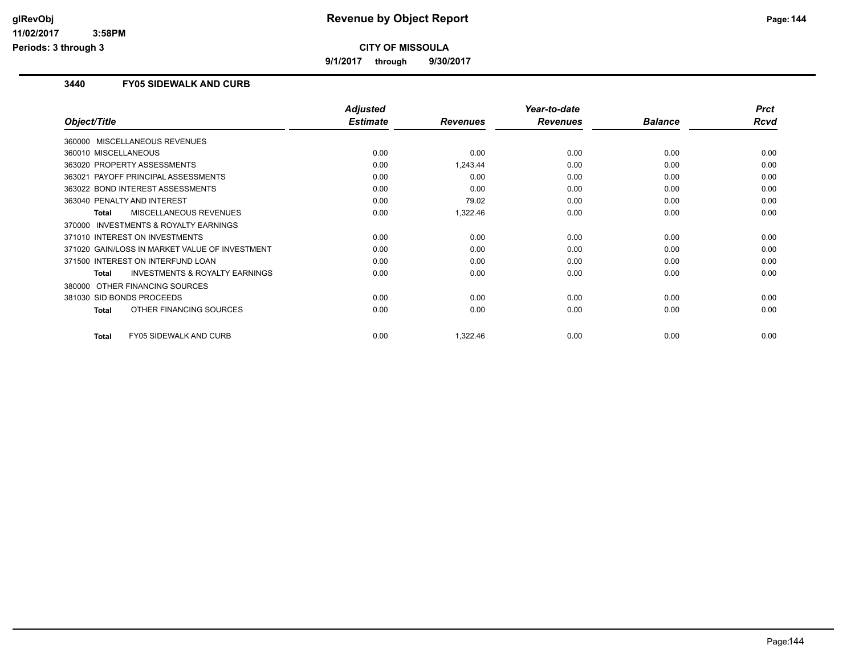**CITY OF MISSOULA**

**9/1/2017 through 9/30/2017**

## **3440 FY05 SIDEWALK AND CURB**

 **3:58PM**

|                                                     | <b>Adjusted</b> |                 | Year-to-date    |                | <b>Prct</b> |
|-----------------------------------------------------|-----------------|-----------------|-----------------|----------------|-------------|
| Object/Title                                        | <b>Estimate</b> | <b>Revenues</b> | <b>Revenues</b> | <b>Balance</b> | Rcvd        |
| 360000 MISCELLANEOUS REVENUES                       |                 |                 |                 |                |             |
| 360010 MISCELLANEOUS                                | 0.00            | 0.00            | 0.00            | 0.00           | 0.00        |
| 363020 PROPERTY ASSESSMENTS                         | 0.00            | 1,243.44        | 0.00            | 0.00           | 0.00        |
| 363021 PAYOFF PRINCIPAL ASSESSMENTS                 | 0.00            | 0.00            | 0.00            | 0.00           | 0.00        |
| 363022 BOND INTEREST ASSESSMENTS                    | 0.00            | 0.00            | 0.00            | 0.00           | 0.00        |
| 363040 PENALTY AND INTEREST                         | 0.00            | 79.02           | 0.00            | 0.00           | 0.00        |
| MISCELLANEOUS REVENUES<br>Total                     | 0.00            | 1,322.46        | 0.00            | 0.00           | 0.00        |
| <b>INVESTMENTS &amp; ROYALTY EARNINGS</b><br>370000 |                 |                 |                 |                |             |
| 371010 INTEREST ON INVESTMENTS                      | 0.00            | 0.00            | 0.00            | 0.00           | 0.00        |
| 371020 GAIN/LOSS IN MARKET VALUE OF INVESTMENT      | 0.00            | 0.00            | 0.00            | 0.00           | 0.00        |
| 371500 INTEREST ON INTERFUND LOAN                   | 0.00            | 0.00            | 0.00            | 0.00           | 0.00        |
| <b>INVESTMENTS &amp; ROYALTY EARNINGS</b><br>Total  | 0.00            | 0.00            | 0.00            | 0.00           | 0.00        |
| 380000 OTHER FINANCING SOURCES                      |                 |                 |                 |                |             |
| 381030 SID BONDS PROCEEDS                           | 0.00            | 0.00            | 0.00            | 0.00           | 0.00        |
| OTHER FINANCING SOURCES<br><b>Total</b>             | 0.00            | 0.00            | 0.00            | 0.00           | 0.00        |
| <b>FY05 SIDEWALK AND CURB</b><br>Total              | 0.00            | 1,322.46        | 0.00            | 0.00           | 0.00        |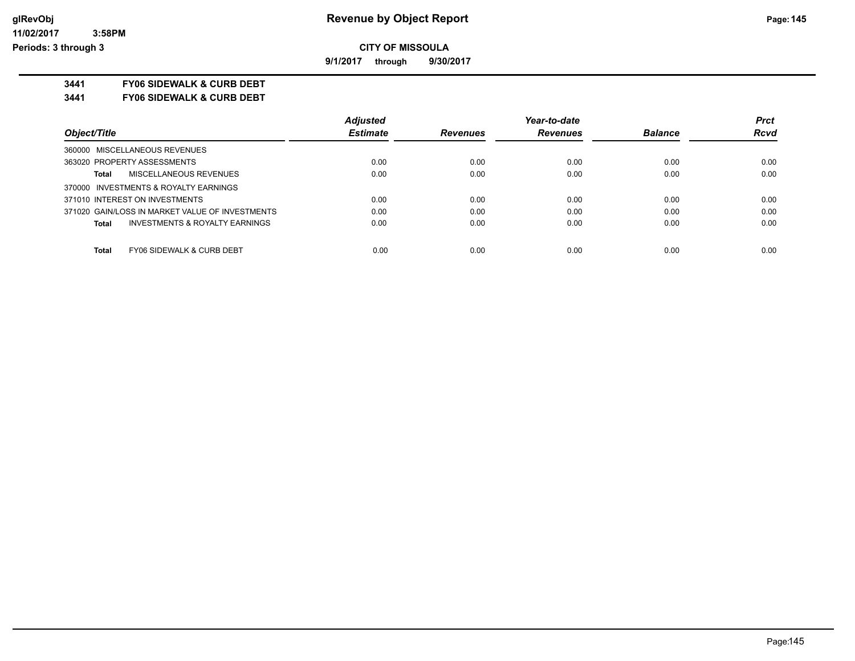**CITY OF MISSOULA**

**9/1/2017 through 9/30/2017**

**3441 FY06 SIDEWALK & CURB DEBT**

 **3:58PM**

**3441 FY06 SIDEWALK & CURB DEBT**

|                                                    | <b>Adjusted</b> |                 | Year-to-date    |                | <b>Prct</b> |
|----------------------------------------------------|-----------------|-----------------|-----------------|----------------|-------------|
| Object/Title                                       | <b>Estimate</b> | <b>Revenues</b> | <b>Revenues</b> | <b>Balance</b> | <b>Rcvd</b> |
| 360000 MISCELLANEOUS REVENUES                      |                 |                 |                 |                |             |
| 363020 PROPERTY ASSESSMENTS                        | 0.00            | 0.00            | 0.00            | 0.00           | 0.00        |
| MISCELLANEOUS REVENUES<br>Total                    | 0.00            | 0.00            | 0.00            | 0.00           | 0.00        |
| 370000 INVESTMENTS & ROYALTY EARNINGS              |                 |                 |                 |                |             |
| 371010 INTEREST ON INVESTMENTS                     | 0.00            | 0.00            | 0.00            | 0.00           | 0.00        |
| 371020 GAIN/LOSS IN MARKET VALUE OF INVESTMENTS    | 0.00            | 0.00            | 0.00            | 0.00           | 0.00        |
| <b>INVESTMENTS &amp; ROYALTY EARNINGS</b><br>Total | 0.00            | 0.00            | 0.00            | 0.00           | 0.00        |
|                                                    |                 |                 |                 |                |             |
| Total<br><b>FY06 SIDEWALK &amp; CURB DEBT</b>      | 0.00            | 0.00            | 0.00            | 0.00           | 0.00        |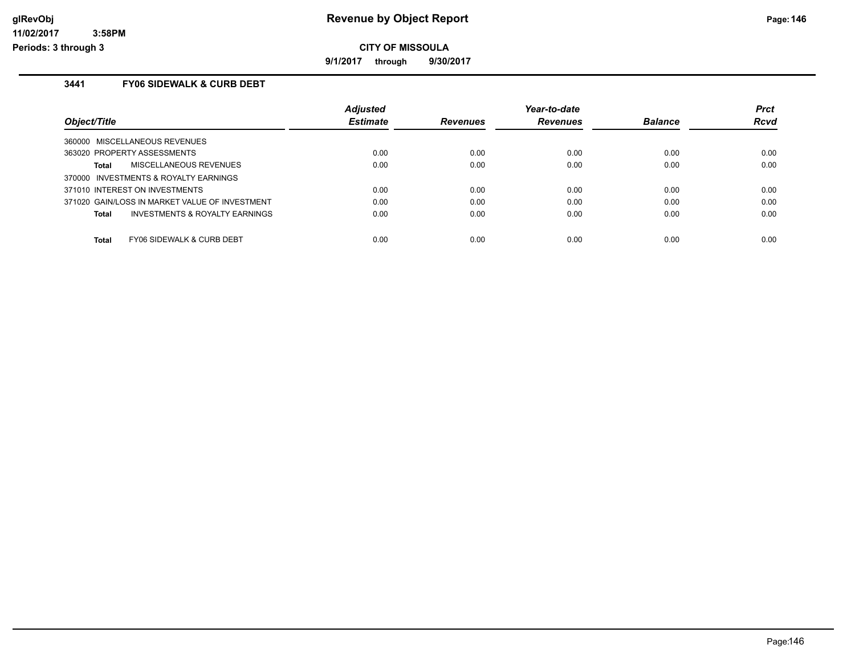**CITY OF MISSOULA**

**9/1/2017 through 9/30/2017**

# **3441 FY06 SIDEWALK & CURB DEBT**

 **3:58PM**

|                                                    | <b>Adjusted</b> |                 | Year-to-date    |                | <b>Prct</b> |
|----------------------------------------------------|-----------------|-----------------|-----------------|----------------|-------------|
| Object/Title                                       | <b>Estimate</b> | <b>Revenues</b> | <b>Revenues</b> | <b>Balance</b> | <b>Rcvd</b> |
| 360000 MISCELLANEOUS REVENUES                      |                 |                 |                 |                |             |
| 363020 PROPERTY ASSESSMENTS                        | 0.00            | 0.00            | 0.00            | 0.00           | 0.00        |
| MISCELLANEOUS REVENUES<br>Total                    | 0.00            | 0.00            | 0.00            | 0.00           | 0.00        |
| 370000 INVESTMENTS & ROYALTY EARNINGS              |                 |                 |                 |                |             |
| 371010 INTEREST ON INVESTMENTS                     | 0.00            | 0.00            | 0.00            | 0.00           | 0.00        |
| 371020 GAIN/LOSS IN MARKET VALUE OF INVESTMENT     | 0.00            | 0.00            | 0.00            | 0.00           | 0.00        |
| <b>INVESTMENTS &amp; ROYALTY EARNINGS</b><br>Total | 0.00            | 0.00            | 0.00            | 0.00           | 0.00        |
|                                                    |                 |                 |                 |                |             |
| Total<br><b>FY06 SIDEWALK &amp; CURB DEBT</b>      | 0.00            | 0.00            | 0.00            | 0.00           | 0.00        |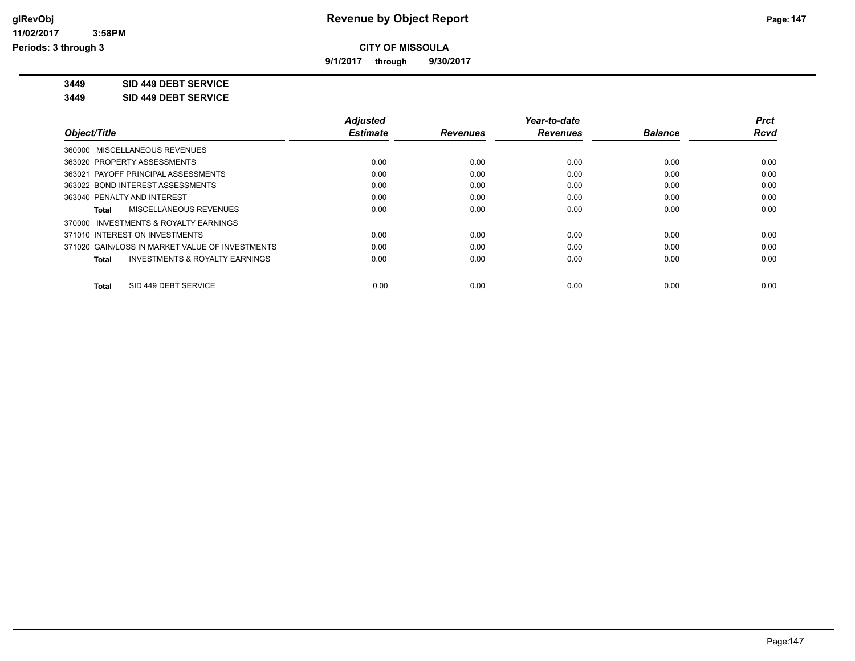**9/1/2017 through 9/30/2017**

**3449 SID 449 DEBT SERVICE**

**3449 SID 449 DEBT SERVICE**

|                                                    | <b>Adjusted</b> |                 | Year-to-date    |                | <b>Prct</b> |
|----------------------------------------------------|-----------------|-----------------|-----------------|----------------|-------------|
| Object/Title                                       | <b>Estimate</b> | <b>Revenues</b> | <b>Revenues</b> | <b>Balance</b> | Rcvd        |
| 360000 MISCELLANEOUS REVENUES                      |                 |                 |                 |                |             |
| 363020 PROPERTY ASSESSMENTS                        | 0.00            | 0.00            | 0.00            | 0.00           | 0.00        |
| 363021 PAYOFF PRINCIPAL ASSESSMENTS                | 0.00            | 0.00            | 0.00            | 0.00           | 0.00        |
| 363022 BOND INTEREST ASSESSMENTS                   | 0.00            | 0.00            | 0.00            | 0.00           | 0.00        |
| 363040 PENALTY AND INTEREST                        | 0.00            | 0.00            | 0.00            | 0.00           | 0.00        |
| MISCELLANEOUS REVENUES<br>Total                    | 0.00            | 0.00            | 0.00            | 0.00           | 0.00        |
| 370000 INVESTMENTS & ROYALTY EARNINGS              |                 |                 |                 |                |             |
| 371010 INTEREST ON INVESTMENTS                     | 0.00            | 0.00            | 0.00            | 0.00           | 0.00        |
| 371020 GAIN/LOSS IN MARKET VALUE OF INVESTMENTS    | 0.00            | 0.00            | 0.00            | 0.00           | 0.00        |
| <b>INVESTMENTS &amp; ROYALTY EARNINGS</b><br>Total | 0.00            | 0.00            | 0.00            | 0.00           | 0.00        |
| SID 449 DEBT SERVICE<br><b>Total</b>               | 0.00            | 0.00            | 0.00            | 0.00           | 0.00        |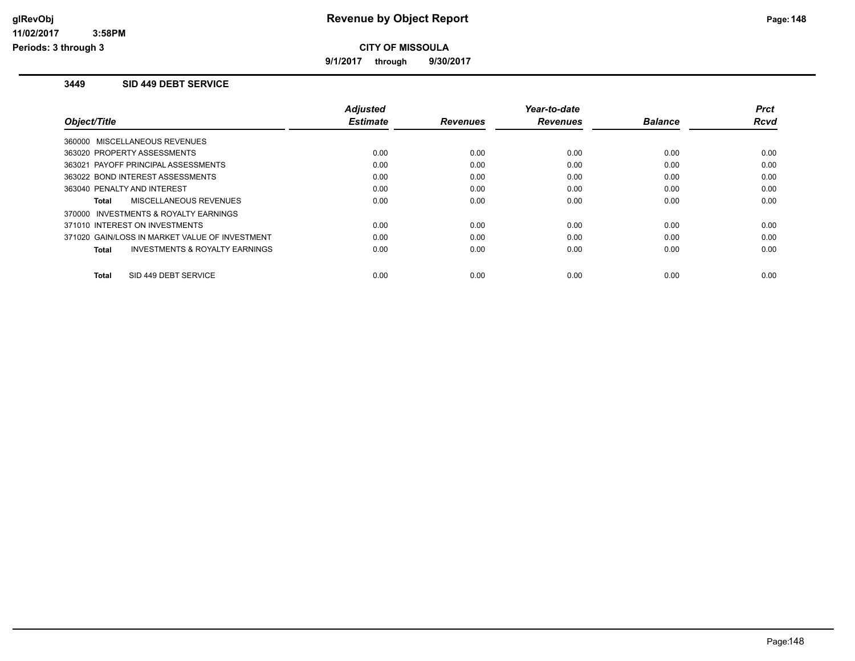**9/1/2017 through 9/30/2017**

### **3449 SID 449 DEBT SERVICE**

|                                                    | <b>Adjusted</b> |                 | Year-to-date    |                | <b>Prct</b> |
|----------------------------------------------------|-----------------|-----------------|-----------------|----------------|-------------|
| Object/Title                                       | <b>Estimate</b> | <b>Revenues</b> | <b>Revenues</b> | <b>Balance</b> | Rcvd        |
| 360000 MISCELLANEOUS REVENUES                      |                 |                 |                 |                |             |
| 363020 PROPERTY ASSESSMENTS                        | 0.00            | 0.00            | 0.00            | 0.00           | 0.00        |
| 363021 PAYOFF PRINCIPAL ASSESSMENTS                | 0.00            | 0.00            | 0.00            | 0.00           | 0.00        |
| 363022 BOND INTEREST ASSESSMENTS                   | 0.00            | 0.00            | 0.00            | 0.00           | 0.00        |
| 363040 PENALTY AND INTEREST                        | 0.00            | 0.00            | 0.00            | 0.00           | 0.00        |
| MISCELLANEOUS REVENUES<br>Total                    | 0.00            | 0.00            | 0.00            | 0.00           | 0.00        |
| 370000 INVESTMENTS & ROYALTY EARNINGS              |                 |                 |                 |                |             |
| 371010 INTEREST ON INVESTMENTS                     | 0.00            | 0.00            | 0.00            | 0.00           | 0.00        |
| 371020 GAIN/LOSS IN MARKET VALUE OF INVESTMENT     | 0.00            | 0.00            | 0.00            | 0.00           | 0.00        |
| <b>INVESTMENTS &amp; ROYALTY EARNINGS</b><br>Total | 0.00            | 0.00            | 0.00            | 0.00           | 0.00        |
|                                                    |                 |                 |                 |                |             |
| SID 449 DEBT SERVICE<br>Total                      | 0.00            | 0.00            | 0.00            | 0.00           | 0.00        |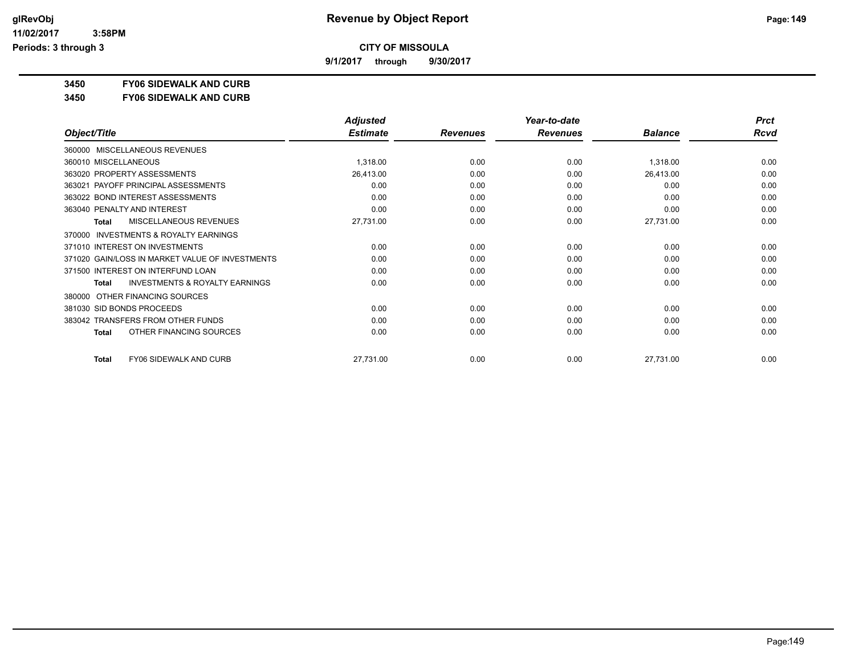**9/1/2017 through 9/30/2017**

**3450 FY06 SIDEWALK AND CURB**

**3450 FY06 SIDEWALK AND CURB**

|                                                           | <b>Adjusted</b> |                 | Year-to-date    |                | <b>Prct</b> |
|-----------------------------------------------------------|-----------------|-----------------|-----------------|----------------|-------------|
| Object/Title                                              | <b>Estimate</b> | <b>Revenues</b> | <b>Revenues</b> | <b>Balance</b> | Rcvd        |
| 360000 MISCELLANEOUS REVENUES                             |                 |                 |                 |                |             |
| 360010 MISCELLANEOUS                                      | 1,318.00        | 0.00            | 0.00            | 1,318.00       | 0.00        |
| 363020 PROPERTY ASSESSMENTS                               | 26,413.00       | 0.00            | 0.00            | 26,413.00      | 0.00        |
| 363021 PAYOFF PRINCIPAL ASSESSMENTS                       | 0.00            | 0.00            | 0.00            | 0.00           | 0.00        |
| 363022 BOND INTEREST ASSESSMENTS                          | 0.00            | 0.00            | 0.00            | 0.00           | 0.00        |
| 363040 PENALTY AND INTEREST                               | 0.00            | 0.00            | 0.00            | 0.00           | 0.00        |
| MISCELLANEOUS REVENUES<br><b>Total</b>                    | 27,731.00       | 0.00            | 0.00            | 27,731.00      | 0.00        |
| INVESTMENTS & ROYALTY EARNINGS<br>370000                  |                 |                 |                 |                |             |
| 371010 INTEREST ON INVESTMENTS                            | 0.00            | 0.00            | 0.00            | 0.00           | 0.00        |
| 371020 GAIN/LOSS IN MARKET VALUE OF INVESTMENTS           | 0.00            | 0.00            | 0.00            | 0.00           | 0.00        |
| 371500 INTEREST ON INTERFUND LOAN                         | 0.00            | 0.00            | 0.00            | 0.00           | 0.00        |
| <b>INVESTMENTS &amp; ROYALTY EARNINGS</b><br><b>Total</b> | 0.00            | 0.00            | 0.00            | 0.00           | 0.00        |
| OTHER FINANCING SOURCES<br>380000                         |                 |                 |                 |                |             |
| 381030 SID BONDS PROCEEDS                                 | 0.00            | 0.00            | 0.00            | 0.00           | 0.00        |
| 383042 TRANSFERS FROM OTHER FUNDS                         | 0.00            | 0.00            | 0.00            | 0.00           | 0.00        |
| OTHER FINANCING SOURCES<br><b>Total</b>                   | 0.00            | 0.00            | 0.00            | 0.00           | 0.00        |
|                                                           |                 |                 |                 |                |             |
| <b>FY06 SIDEWALK AND CURB</b><br><b>Total</b>             | 27,731.00       | 0.00            | 0.00            | 27,731.00      | 0.00        |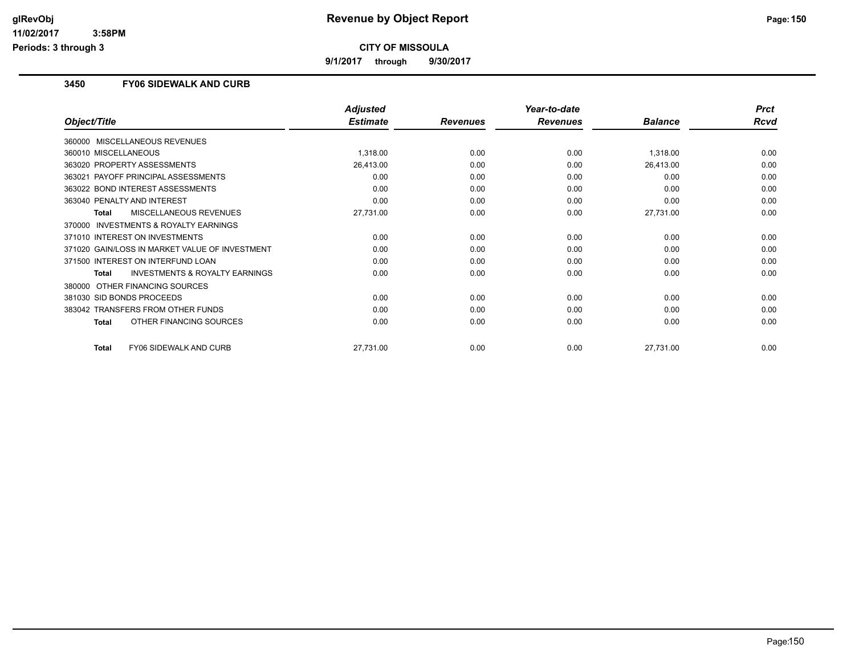**CITY OF MISSOULA**

**9/1/2017 through 9/30/2017**

# **3450 FY06 SIDEWALK AND CURB**

 **3:58PM**

|                                                     | <b>Adjusted</b> |                 | Year-to-date    |                | <b>Prct</b> |
|-----------------------------------------------------|-----------------|-----------------|-----------------|----------------|-------------|
| Object/Title                                        | <b>Estimate</b> | <b>Revenues</b> | <b>Revenues</b> | <b>Balance</b> | Rcvd        |
| 360000 MISCELLANEOUS REVENUES                       |                 |                 |                 |                |             |
| 360010 MISCELLANEOUS                                | 1,318.00        | 0.00            | 0.00            | 1,318.00       | 0.00        |
| 363020 PROPERTY ASSESSMENTS                         | 26,413.00       | 0.00            | 0.00            | 26,413.00      | 0.00        |
| 363021 PAYOFF PRINCIPAL ASSESSMENTS                 | 0.00            | 0.00            | 0.00            | 0.00           | 0.00        |
| 363022 BOND INTEREST ASSESSMENTS                    | 0.00            | 0.00            | 0.00            | 0.00           | 0.00        |
| 363040 PENALTY AND INTEREST                         | 0.00            | 0.00            | 0.00            | 0.00           | 0.00        |
| <b>MISCELLANEOUS REVENUES</b><br>Total              | 27,731.00       | 0.00            | 0.00            | 27,731.00      | 0.00        |
| <b>INVESTMENTS &amp; ROYALTY EARNINGS</b><br>370000 |                 |                 |                 |                |             |
| 371010 INTEREST ON INVESTMENTS                      | 0.00            | 0.00            | 0.00            | 0.00           | 0.00        |
| 371020 GAIN/LOSS IN MARKET VALUE OF INVESTMENT      | 0.00            | 0.00            | 0.00            | 0.00           | 0.00        |
| 371500 INTEREST ON INTERFUND LOAN                   | 0.00            | 0.00            | 0.00            | 0.00           | 0.00        |
| <b>INVESTMENTS &amp; ROYALTY EARNINGS</b><br>Total  | 0.00            | 0.00            | 0.00            | 0.00           | 0.00        |
| 380000 OTHER FINANCING SOURCES                      |                 |                 |                 |                |             |
| 381030 SID BONDS PROCEEDS                           | 0.00            | 0.00            | 0.00            | 0.00           | 0.00        |
| 383042 TRANSFERS FROM OTHER FUNDS                   | 0.00            | 0.00            | 0.00            | 0.00           | 0.00        |
| OTHER FINANCING SOURCES<br><b>Total</b>             | 0.00            | 0.00            | 0.00            | 0.00           | 0.00        |
| FY06 SIDEWALK AND CURB<br><b>Total</b>              | 27,731.00       | 0.00            | 0.00            | 27,731.00      | 0.00        |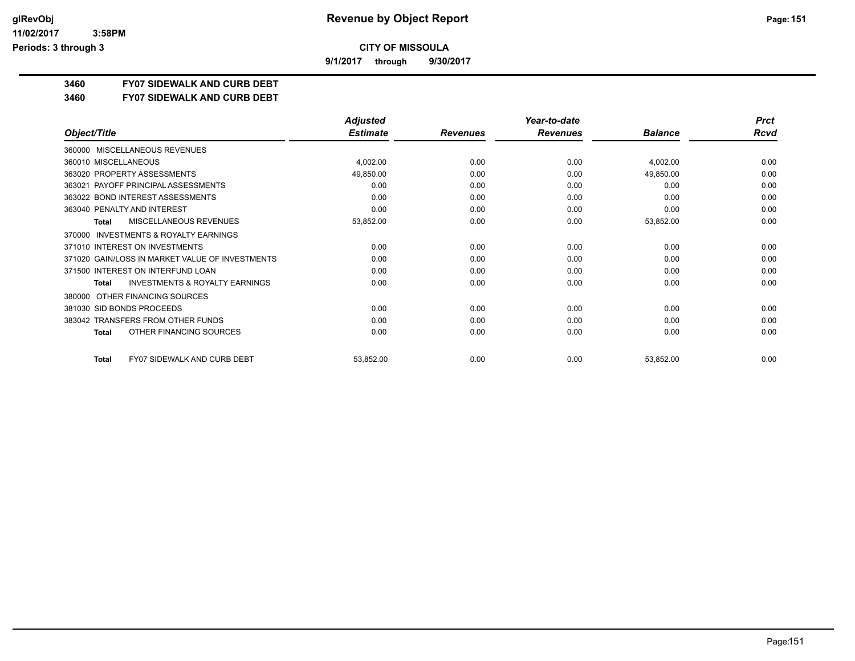**9/1/2017 through 9/30/2017**

**3460 FY07 SIDEWALK AND CURB DEBT**

### **3460 FY07 SIDEWALK AND CURB DEBT**

|                                                     | <b>Adjusted</b> |                 | Year-to-date    |                | <b>Prct</b> |
|-----------------------------------------------------|-----------------|-----------------|-----------------|----------------|-------------|
| Object/Title                                        | <b>Estimate</b> | <b>Revenues</b> | <b>Revenues</b> | <b>Balance</b> | <b>Rcvd</b> |
| 360000 MISCELLANEOUS REVENUES                       |                 |                 |                 |                |             |
| 360010 MISCELLANEOUS                                | 4,002.00        | 0.00            | 0.00            | 4,002.00       | 0.00        |
| 363020 PROPERTY ASSESSMENTS                         | 49,850.00       | 0.00            | 0.00            | 49,850.00      | 0.00        |
| 363021 PAYOFF PRINCIPAL ASSESSMENTS                 | 0.00            | 0.00            | 0.00            | 0.00           | 0.00        |
| 363022 BOND INTEREST ASSESSMENTS                    | 0.00            | 0.00            | 0.00            | 0.00           | 0.00        |
| 363040 PENALTY AND INTEREST                         | 0.00            | 0.00            | 0.00            | 0.00           | 0.00        |
| MISCELLANEOUS REVENUES<br>Total                     | 53,852.00       | 0.00            | 0.00            | 53,852.00      | 0.00        |
| <b>INVESTMENTS &amp; ROYALTY EARNINGS</b><br>370000 |                 |                 |                 |                |             |
| 371010 INTEREST ON INVESTMENTS                      | 0.00            | 0.00            | 0.00            | 0.00           | 0.00        |
| 371020 GAIN/LOSS IN MARKET VALUE OF INVESTMENTS     | 0.00            | 0.00            | 0.00            | 0.00           | 0.00        |
| 371500 INTEREST ON INTERFUND LOAN                   | 0.00            | 0.00            | 0.00            | 0.00           | 0.00        |
| <b>INVESTMENTS &amp; ROYALTY EARNINGS</b><br>Total  | 0.00            | 0.00            | 0.00            | 0.00           | 0.00        |
| OTHER FINANCING SOURCES<br>380000                   |                 |                 |                 |                |             |
| 381030 SID BONDS PROCEEDS                           | 0.00            | 0.00            | 0.00            | 0.00           | 0.00        |
| 383042 TRANSFERS FROM OTHER FUNDS                   | 0.00            | 0.00            | 0.00            | 0.00           | 0.00        |
| OTHER FINANCING SOURCES<br><b>Total</b>             | 0.00            | 0.00            | 0.00            | 0.00           | 0.00        |
|                                                     |                 |                 |                 |                |             |
| <b>FY07 SIDEWALK AND CURB DEBT</b><br><b>Total</b>  | 53,852.00       | 0.00            | 0.00            | 53,852.00      | 0.00        |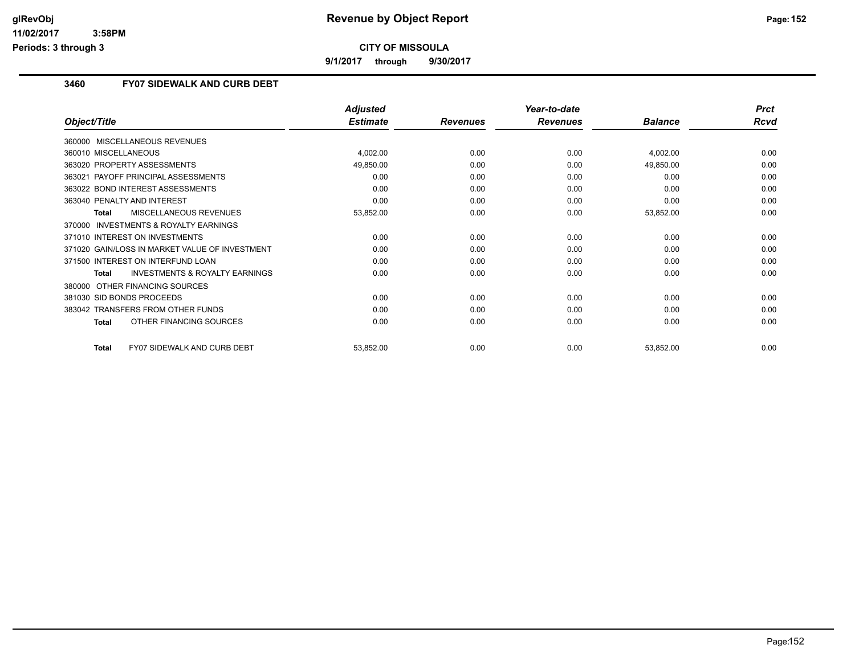**11/02/2017 3:58PM Periods: 3 through 3**

**CITY OF MISSOULA**

**9/1/2017 through 9/30/2017**

# **3460 FY07 SIDEWALK AND CURB DEBT**

|                                                           | <b>Adjusted</b> |                 | Year-to-date    |                | <b>Prct</b> |
|-----------------------------------------------------------|-----------------|-----------------|-----------------|----------------|-------------|
| Object/Title                                              | <b>Estimate</b> | <b>Revenues</b> | <b>Revenues</b> | <b>Balance</b> | <b>Rcvd</b> |
| 360000 MISCELLANEOUS REVENUES                             |                 |                 |                 |                |             |
| 360010 MISCELLANEOUS                                      | 4,002.00        | 0.00            | 0.00            | 4,002.00       | 0.00        |
| 363020 PROPERTY ASSESSMENTS                               | 49,850.00       | 0.00            | 0.00            | 49,850.00      | 0.00        |
| PAYOFF PRINCIPAL ASSESSMENTS<br>363021                    | 0.00            | 0.00            | 0.00            | 0.00           | 0.00        |
| 363022 BOND INTEREST ASSESSMENTS                          | 0.00            | 0.00            | 0.00            | 0.00           | 0.00        |
| 363040 PENALTY AND INTEREST                               | 0.00            | 0.00            | 0.00            | 0.00           | 0.00        |
| <b>MISCELLANEOUS REVENUES</b><br><b>Total</b>             | 53,852.00       | 0.00            | 0.00            | 53,852.00      | 0.00        |
| <b>INVESTMENTS &amp; ROYALTY EARNINGS</b><br>370000       |                 |                 |                 |                |             |
| 371010 INTEREST ON INVESTMENTS                            | 0.00            | 0.00            | 0.00            | 0.00           | 0.00        |
| 371020 GAIN/LOSS IN MARKET VALUE OF INVESTMENT            | 0.00            | 0.00            | 0.00            | 0.00           | 0.00        |
| 371500 INTEREST ON INTERFUND LOAN                         | 0.00            | 0.00            | 0.00            | 0.00           | 0.00        |
| <b>INVESTMENTS &amp; ROYALTY EARNINGS</b><br><b>Total</b> | 0.00            | 0.00            | 0.00            | 0.00           | 0.00        |
| OTHER FINANCING SOURCES<br>380000                         |                 |                 |                 |                |             |
| 381030 SID BONDS PROCEEDS                                 | 0.00            | 0.00            | 0.00            | 0.00           | 0.00        |
| 383042 TRANSFERS FROM OTHER FUNDS                         | 0.00            | 0.00            | 0.00            | 0.00           | 0.00        |
| OTHER FINANCING SOURCES<br><b>Total</b>                   | 0.00            | 0.00            | 0.00            | 0.00           | 0.00        |
| <b>FY07 SIDEWALK AND CURB DEBT</b><br><b>Total</b>        | 53,852.00       | 0.00            | 0.00            | 53,852.00      | 0.00        |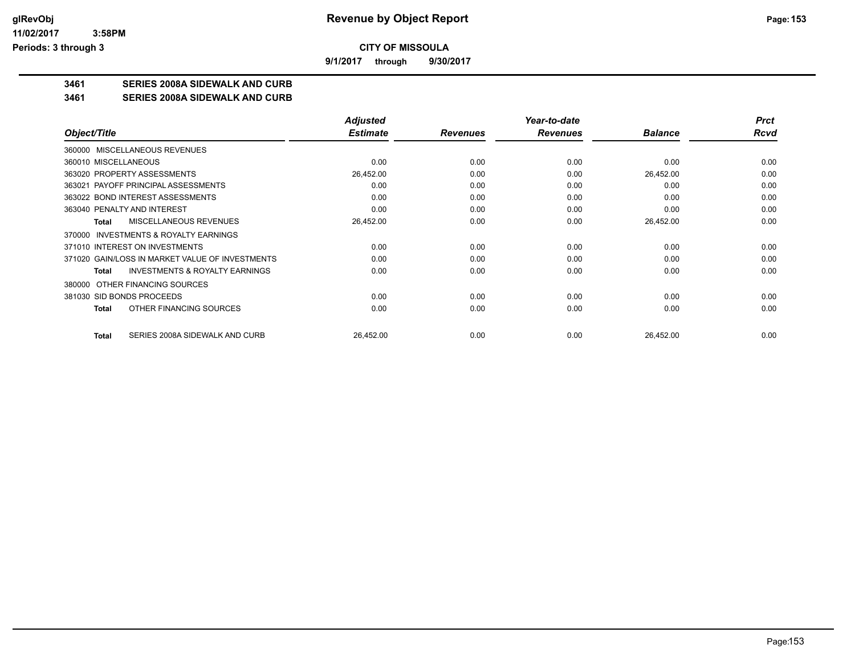**9/1/2017 through 9/30/2017**

# **3461 SERIES 2008A SIDEWALK AND CURB**

# **3461 SERIES 2008A SIDEWALK AND CURB**

|                                                           | <b>Adjusted</b> |                 | Year-to-date    |                | <b>Prct</b> |
|-----------------------------------------------------------|-----------------|-----------------|-----------------|----------------|-------------|
| Object/Title                                              | <b>Estimate</b> | <b>Revenues</b> | <b>Revenues</b> | <b>Balance</b> | Rcvd        |
| 360000 MISCELLANEOUS REVENUES                             |                 |                 |                 |                |             |
| 360010 MISCELLANEOUS                                      | 0.00            | 0.00            | 0.00            | 0.00           | 0.00        |
| 363020 PROPERTY ASSESSMENTS                               | 26,452.00       | 0.00            | 0.00            | 26,452.00      | 0.00        |
| 363021 PAYOFF PRINCIPAL ASSESSMENTS                       | 0.00            | 0.00            | 0.00            | 0.00           | 0.00        |
| 363022 BOND INTEREST ASSESSMENTS                          | 0.00            | 0.00            | 0.00            | 0.00           | 0.00        |
| 363040 PENALTY AND INTEREST                               | 0.00            | 0.00            | 0.00            | 0.00           | 0.00        |
| <b>MISCELLANEOUS REVENUES</b><br>Total                    | 26,452.00       | 0.00            | 0.00            | 26,452.00      | 0.00        |
| <b>INVESTMENTS &amp; ROYALTY EARNINGS</b><br>370000       |                 |                 |                 |                |             |
| 371010 INTEREST ON INVESTMENTS                            | 0.00            | 0.00            | 0.00            | 0.00           | 0.00        |
| 371020 GAIN/LOSS IN MARKET VALUE OF INVESTMENTS           | 0.00            | 0.00            | 0.00            | 0.00           | 0.00        |
| <b>INVESTMENTS &amp; ROYALTY EARNINGS</b><br><b>Total</b> | 0.00            | 0.00            | 0.00            | 0.00           | 0.00        |
| OTHER FINANCING SOURCES<br>380000                         |                 |                 |                 |                |             |
| 381030 SID BONDS PROCEEDS                                 | 0.00            | 0.00            | 0.00            | 0.00           | 0.00        |
| OTHER FINANCING SOURCES<br>Total                          | 0.00            | 0.00            | 0.00            | 0.00           | 0.00        |
| SERIES 2008A SIDEWALK AND CURB<br>Total                   | 26,452.00       | 0.00            | 0.00            | 26,452.00      | 0.00        |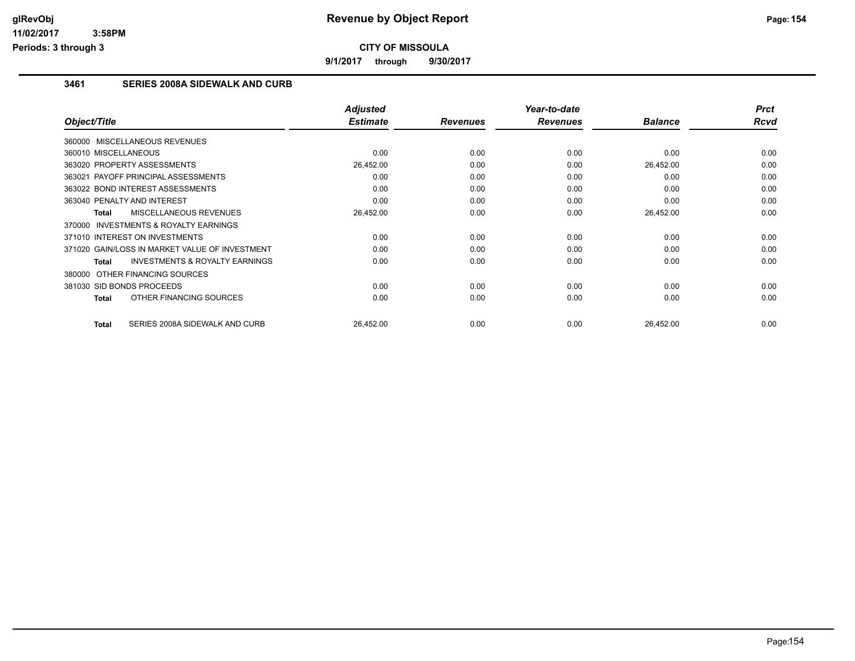**9/1/2017 through 9/30/2017**

# **3461 SERIES 2008A SIDEWALK AND CURB**

|                                                     | <b>Adjusted</b> |                 | Year-to-date    |                | <b>Prct</b> |
|-----------------------------------------------------|-----------------|-----------------|-----------------|----------------|-------------|
| Object/Title                                        | <b>Estimate</b> | <b>Revenues</b> | <b>Revenues</b> | <b>Balance</b> | Rcvd        |
| 360000 MISCELLANEOUS REVENUES                       |                 |                 |                 |                |             |
| 360010 MISCELLANEOUS                                | 0.00            | 0.00            | 0.00            | 0.00           | 0.00        |
| 363020 PROPERTY ASSESSMENTS                         | 26,452.00       | 0.00            | 0.00            | 26,452.00      | 0.00        |
| 363021 PAYOFF PRINCIPAL ASSESSMENTS                 | 0.00            | 0.00            | 0.00            | 0.00           | 0.00        |
| 363022 BOND INTEREST ASSESSMENTS                    | 0.00            | 0.00            | 0.00            | 0.00           | 0.00        |
| 363040 PENALTY AND INTEREST                         | 0.00            | 0.00            | 0.00            | 0.00           | 0.00        |
| <b>MISCELLANEOUS REVENUES</b><br>Total              | 26,452.00       | 0.00            | 0.00            | 26,452.00      | 0.00        |
| <b>INVESTMENTS &amp; ROYALTY EARNINGS</b><br>370000 |                 |                 |                 |                |             |
| 371010 INTEREST ON INVESTMENTS                      | 0.00            | 0.00            | 0.00            | 0.00           | 0.00        |
| 371020 GAIN/LOSS IN MARKET VALUE OF INVESTMENT      | 0.00            | 0.00            | 0.00            | 0.00           | 0.00        |
| <b>INVESTMENTS &amp; ROYALTY EARNINGS</b><br>Total  | 0.00            | 0.00            | 0.00            | 0.00           | 0.00        |
| 380000 OTHER FINANCING SOURCES                      |                 |                 |                 |                |             |
| 381030 SID BONDS PROCEEDS                           | 0.00            | 0.00            | 0.00            | 0.00           | 0.00        |
| OTHER FINANCING SOURCES<br>Total                    | 0.00            | 0.00            | 0.00            | 0.00           | 0.00        |
|                                                     |                 |                 |                 |                |             |
| SERIES 2008A SIDEWALK AND CURB<br>Total             | 26.452.00       | 0.00            | 0.00            | 26,452.00      | 0.00        |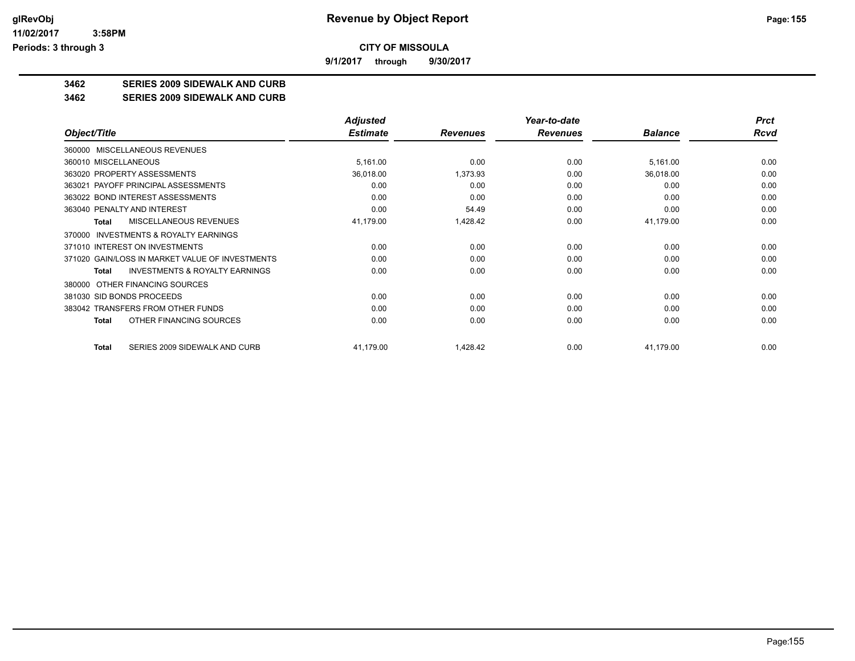**9/1/2017 through 9/30/2017**

# **3462 SERIES 2009 SIDEWALK AND CURB**

### **3462 SERIES 2009 SIDEWALK AND CURB**

|                                                     | <b>Adjusted</b> |                 | Year-to-date    |                | <b>Prct</b> |
|-----------------------------------------------------|-----------------|-----------------|-----------------|----------------|-------------|
| Object/Title                                        | <b>Estimate</b> | <b>Revenues</b> | <b>Revenues</b> | <b>Balance</b> | <b>Rcvd</b> |
| MISCELLANEOUS REVENUES<br>360000                    |                 |                 |                 |                |             |
| 360010 MISCELLANEOUS                                | 5,161.00        | 0.00            | 0.00            | 5,161.00       | 0.00        |
| 363020 PROPERTY ASSESSMENTS                         | 36,018.00       | 1,373.93        | 0.00            | 36,018.00      | 0.00        |
| 363021 PAYOFF PRINCIPAL ASSESSMENTS                 | 0.00            | 0.00            | 0.00            | 0.00           | 0.00        |
| 363022 BOND INTEREST ASSESSMENTS                    | 0.00            | 0.00            | 0.00            | 0.00           | 0.00        |
| 363040 PENALTY AND INTEREST                         | 0.00            | 54.49           | 0.00            | 0.00           | 0.00        |
| MISCELLANEOUS REVENUES<br>Total                     | 41,179.00       | 1,428.42        | 0.00            | 41,179.00      | 0.00        |
| <b>INVESTMENTS &amp; ROYALTY EARNINGS</b><br>370000 |                 |                 |                 |                |             |
| 371010 INTEREST ON INVESTMENTS                      | 0.00            | 0.00            | 0.00            | 0.00           | 0.00        |
| 371020 GAIN/LOSS IN MARKET VALUE OF INVESTMENTS     | 0.00            | 0.00            | 0.00            | 0.00           | 0.00        |
| <b>INVESTMENTS &amp; ROYALTY EARNINGS</b><br>Total  | 0.00            | 0.00            | 0.00            | 0.00           | 0.00        |
| OTHER FINANCING SOURCES<br>380000                   |                 |                 |                 |                |             |
| 381030 SID BONDS PROCEEDS                           | 0.00            | 0.00            | 0.00            | 0.00           | 0.00        |
| 383042 TRANSFERS FROM OTHER FUNDS                   | 0.00            | 0.00            | 0.00            | 0.00           | 0.00        |
| OTHER FINANCING SOURCES<br><b>Total</b>             | 0.00            | 0.00            | 0.00            | 0.00           | 0.00        |
| SERIES 2009 SIDEWALK AND CURB<br><b>Total</b>       | 41,179.00       | 1,428.42        | 0.00            | 41,179.00      | 0.00        |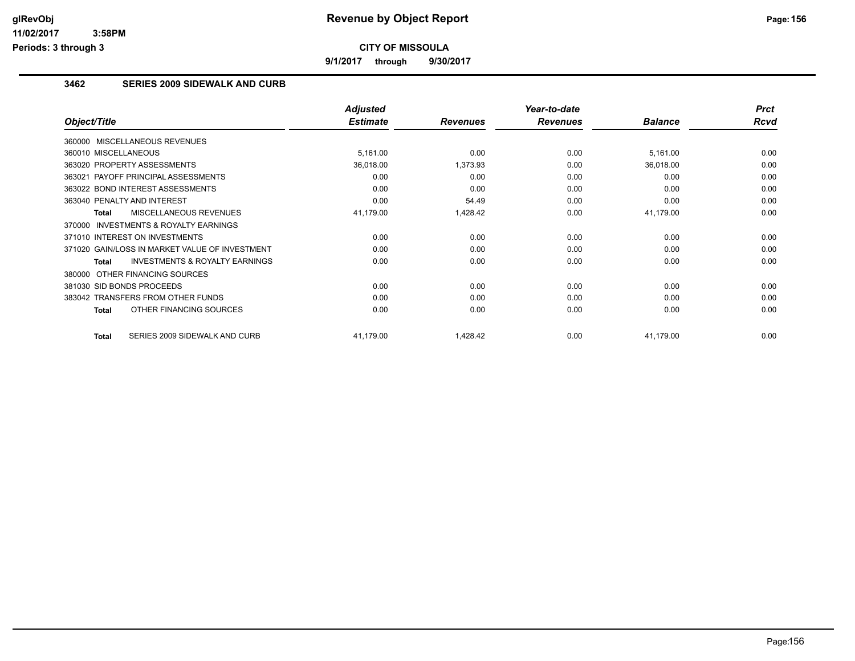**9/1/2017 through 9/30/2017**

# **3462 SERIES 2009 SIDEWALK AND CURB**

|                                                     | <b>Adjusted</b> |                 | Year-to-date    |                | <b>Prct</b> |
|-----------------------------------------------------|-----------------|-----------------|-----------------|----------------|-------------|
| Object/Title                                        | <b>Estimate</b> | <b>Revenues</b> | <b>Revenues</b> | <b>Balance</b> | Rcvd        |
| 360000 MISCELLANEOUS REVENUES                       |                 |                 |                 |                |             |
| 360010 MISCELLANEOUS                                | 5,161.00        | 0.00            | 0.00            | 5,161.00       | 0.00        |
| 363020 PROPERTY ASSESSMENTS                         | 36,018.00       | 1,373.93        | 0.00            | 36,018.00      | 0.00        |
| 363021 PAYOFF PRINCIPAL ASSESSMENTS                 | 0.00            | 0.00            | 0.00            | 0.00           | 0.00        |
| 363022 BOND INTEREST ASSESSMENTS                    | 0.00            | 0.00            | 0.00            | 0.00           | 0.00        |
| 363040 PENALTY AND INTEREST                         | 0.00            | 54.49           | 0.00            | 0.00           | 0.00        |
| <b>MISCELLANEOUS REVENUES</b><br>Total              | 41,179.00       | 1,428.42        | 0.00            | 41,179.00      | 0.00        |
| <b>INVESTMENTS &amp; ROYALTY EARNINGS</b><br>370000 |                 |                 |                 |                |             |
| 371010 INTEREST ON INVESTMENTS                      | 0.00            | 0.00            | 0.00            | 0.00           | 0.00        |
| 371020 GAIN/LOSS IN MARKET VALUE OF INVESTMENT      | 0.00            | 0.00            | 0.00            | 0.00           | 0.00        |
| <b>INVESTMENTS &amp; ROYALTY EARNINGS</b><br>Total  | 0.00            | 0.00            | 0.00            | 0.00           | 0.00        |
| 380000 OTHER FINANCING SOURCES                      |                 |                 |                 |                |             |
| 381030 SID BONDS PROCEEDS                           | 0.00            | 0.00            | 0.00            | 0.00           | 0.00        |
| 383042 TRANSFERS FROM OTHER FUNDS                   | 0.00            | 0.00            | 0.00            | 0.00           | 0.00        |
| OTHER FINANCING SOURCES<br><b>Total</b>             | 0.00            | 0.00            | 0.00            | 0.00           | 0.00        |
| SERIES 2009 SIDEWALK AND CURB<br>Total              | 41,179.00       | 1,428.42        | 0.00            | 41,179.00      | 0.00        |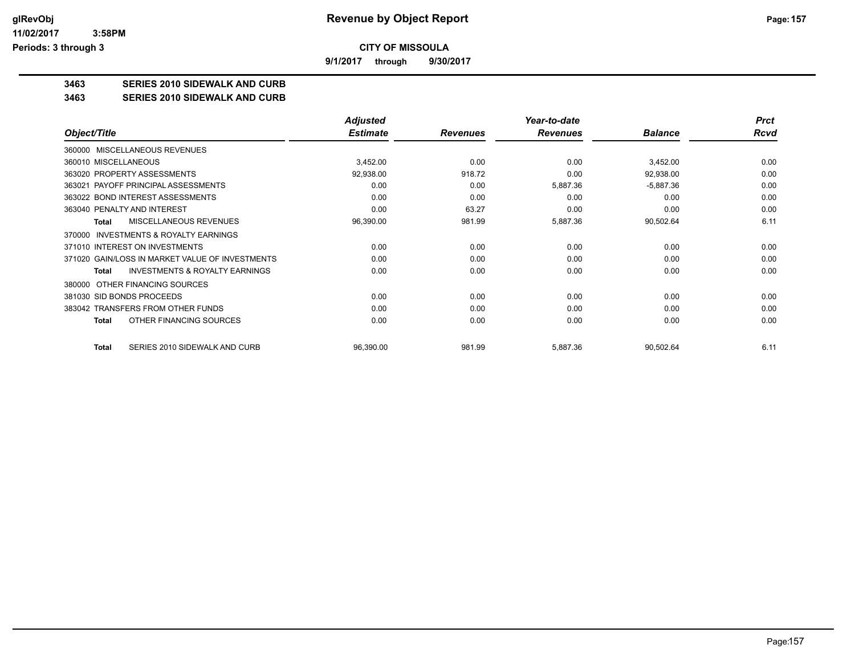**9/1/2017 through 9/30/2017**

# **3463 SERIES 2010 SIDEWALK AND CURB**

### **3463 SERIES 2010 SIDEWALK AND CURB**

|                                                     | <b>Adjusted</b> |                 | Year-to-date    |                | <b>Prct</b> |
|-----------------------------------------------------|-----------------|-----------------|-----------------|----------------|-------------|
| Object/Title                                        | <b>Estimate</b> | <b>Revenues</b> | <b>Revenues</b> | <b>Balance</b> | <b>Rcvd</b> |
| 360000 MISCELLANEOUS REVENUES                       |                 |                 |                 |                |             |
| 360010 MISCELLANEOUS                                | 3,452.00        | 0.00            | 0.00            | 3,452.00       | 0.00        |
| 363020 PROPERTY ASSESSMENTS                         | 92,938.00       | 918.72          | 0.00            | 92,938.00      | 0.00        |
| 363021 PAYOFF PRINCIPAL ASSESSMENTS                 | 0.00            | 0.00            | 5,887.36        | $-5,887.36$    | 0.00        |
| 363022 BOND INTEREST ASSESSMENTS                    | 0.00            | 0.00            | 0.00            | 0.00           | 0.00        |
| 363040 PENALTY AND INTEREST                         | 0.00            | 63.27           | 0.00            | 0.00           | 0.00        |
| MISCELLANEOUS REVENUES<br>Total                     | 96,390.00       | 981.99          | 5,887.36        | 90,502.64      | 6.11        |
| <b>INVESTMENTS &amp; ROYALTY EARNINGS</b><br>370000 |                 |                 |                 |                |             |
| 371010 INTEREST ON INVESTMENTS                      | 0.00            | 0.00            | 0.00            | 0.00           | 0.00        |
| 371020 GAIN/LOSS IN MARKET VALUE OF INVESTMENTS     | 0.00            | 0.00            | 0.00            | 0.00           | 0.00        |
| <b>INVESTMENTS &amp; ROYALTY EARNINGS</b><br>Total  | 0.00            | 0.00            | 0.00            | 0.00           | 0.00        |
| OTHER FINANCING SOURCES<br>380000                   |                 |                 |                 |                |             |
| 381030 SID BONDS PROCEEDS                           | 0.00            | 0.00            | 0.00            | 0.00           | 0.00        |
| 383042 TRANSFERS FROM OTHER FUNDS                   | 0.00            | 0.00            | 0.00            | 0.00           | 0.00        |
| OTHER FINANCING SOURCES<br><b>Total</b>             | 0.00            | 0.00            | 0.00            | 0.00           | 0.00        |
| SERIES 2010 SIDEWALK AND CURB<br><b>Total</b>       | 96,390.00       | 981.99          | 5,887.36        | 90,502.64      | 6.11        |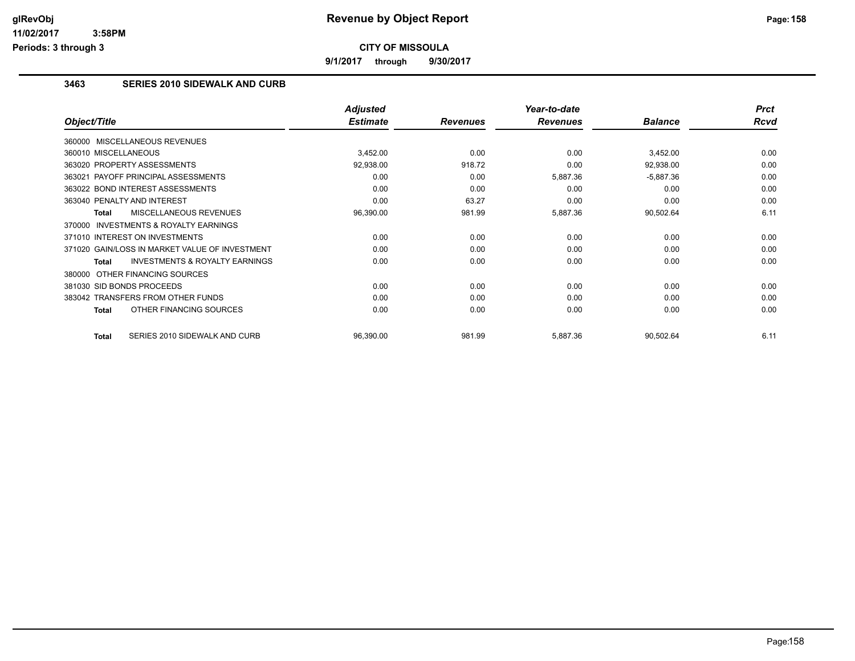**9/1/2017 through 9/30/2017**

# **3463 SERIES 2010 SIDEWALK AND CURB**

|                                                     | <b>Adjusted</b> |                 | Year-to-date    |                | <b>Prct</b> |
|-----------------------------------------------------|-----------------|-----------------|-----------------|----------------|-------------|
| Object/Title                                        | <b>Estimate</b> | <b>Revenues</b> | <b>Revenues</b> | <b>Balance</b> | Rcvd        |
| 360000 MISCELLANEOUS REVENUES                       |                 |                 |                 |                |             |
| 360010 MISCELLANEOUS                                | 3,452.00        | 0.00            | 0.00            | 3,452.00       | 0.00        |
| 363020 PROPERTY ASSESSMENTS                         | 92,938.00       | 918.72          | 0.00            | 92,938.00      | 0.00        |
| 363021 PAYOFF PRINCIPAL ASSESSMENTS                 | 0.00            | 0.00            | 5,887.36        | $-5,887.36$    | 0.00        |
| 363022 BOND INTEREST ASSESSMENTS                    | 0.00            | 0.00            | 0.00            | 0.00           | 0.00        |
| 363040 PENALTY AND INTEREST                         | 0.00            | 63.27           | 0.00            | 0.00           | 0.00        |
| <b>MISCELLANEOUS REVENUES</b><br>Total              | 96,390.00       | 981.99          | 5,887.36        | 90,502.64      | 6.11        |
| <b>INVESTMENTS &amp; ROYALTY EARNINGS</b><br>370000 |                 |                 |                 |                |             |
| 371010 INTEREST ON INVESTMENTS                      | 0.00            | 0.00            | 0.00            | 0.00           | 0.00        |
| 371020 GAIN/LOSS IN MARKET VALUE OF INVESTMENT      | 0.00            | 0.00            | 0.00            | 0.00           | 0.00        |
| <b>INVESTMENTS &amp; ROYALTY EARNINGS</b><br>Total  | 0.00            | 0.00            | 0.00            | 0.00           | 0.00        |
| 380000 OTHER FINANCING SOURCES                      |                 |                 |                 |                |             |
| 381030 SID BONDS PROCEEDS                           | 0.00            | 0.00            | 0.00            | 0.00           | 0.00        |
| 383042 TRANSFERS FROM OTHER FUNDS                   | 0.00            | 0.00            | 0.00            | 0.00           | 0.00        |
| OTHER FINANCING SOURCES<br><b>Total</b>             | 0.00            | 0.00            | 0.00            | 0.00           | 0.00        |
| SERIES 2010 SIDEWALK AND CURB<br>Total              | 96,390.00       | 981.99          | 5,887.36        | 90,502.64      | 6.11        |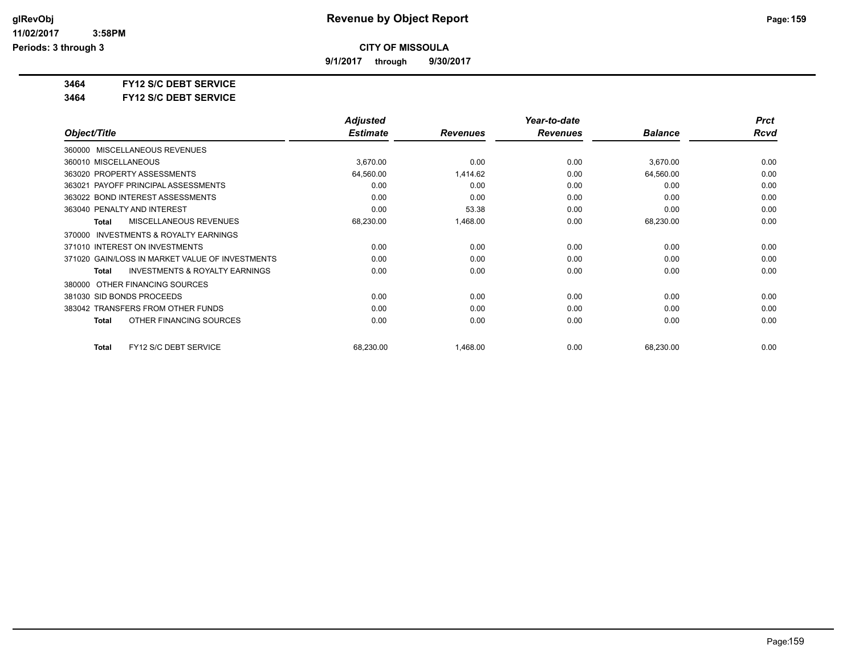**9/1/2017 through 9/30/2017**

**3464 FY12 S/C DEBT SERVICE**

**3464 FY12 S/C DEBT SERVICE**

|                                                     | <b>Adjusted</b> |                 | Year-to-date    |                | <b>Prct</b> |
|-----------------------------------------------------|-----------------|-----------------|-----------------|----------------|-------------|
| Object/Title                                        | <b>Estimate</b> | <b>Revenues</b> | <b>Revenues</b> | <b>Balance</b> | <b>Rcvd</b> |
| 360000 MISCELLANEOUS REVENUES                       |                 |                 |                 |                |             |
| 360010 MISCELLANEOUS                                | 3,670.00        | 0.00            | 0.00            | 3,670.00       | 0.00        |
| 363020 PROPERTY ASSESSMENTS                         | 64,560.00       | 1.414.62        | 0.00            | 64,560.00      | 0.00        |
| 363021 PAYOFF PRINCIPAL ASSESSMENTS                 | 0.00            | 0.00            | 0.00            | 0.00           | 0.00        |
| 363022 BOND INTEREST ASSESSMENTS                    | 0.00            | 0.00            | 0.00            | 0.00           | 0.00        |
| 363040 PENALTY AND INTEREST                         | 0.00            | 53.38           | 0.00            | 0.00           | 0.00        |
| MISCELLANEOUS REVENUES<br><b>Total</b>              | 68,230.00       | 1,468.00        | 0.00            | 68,230.00      | 0.00        |
| <b>INVESTMENTS &amp; ROYALTY EARNINGS</b><br>370000 |                 |                 |                 |                |             |
| 371010 INTEREST ON INVESTMENTS                      | 0.00            | 0.00            | 0.00            | 0.00           | 0.00        |
| 371020 GAIN/LOSS IN MARKET VALUE OF INVESTMENTS     | 0.00            | 0.00            | 0.00            | 0.00           | 0.00        |
| <b>INVESTMENTS &amp; ROYALTY EARNINGS</b><br>Total  | 0.00            | 0.00            | 0.00            | 0.00           | 0.00        |
| OTHER FINANCING SOURCES<br>380000                   |                 |                 |                 |                |             |
| 381030 SID BONDS PROCEEDS                           | 0.00            | 0.00            | 0.00            | 0.00           | 0.00        |
| 383042 TRANSFERS FROM OTHER FUNDS                   | 0.00            | 0.00            | 0.00            | 0.00           | 0.00        |
| OTHER FINANCING SOURCES<br><b>Total</b>             | 0.00            | 0.00            | 0.00            | 0.00           | 0.00        |
| FY12 S/C DEBT SERVICE<br><b>Total</b>               | 68,230.00       | 1,468.00        | 0.00            | 68,230.00      | 0.00        |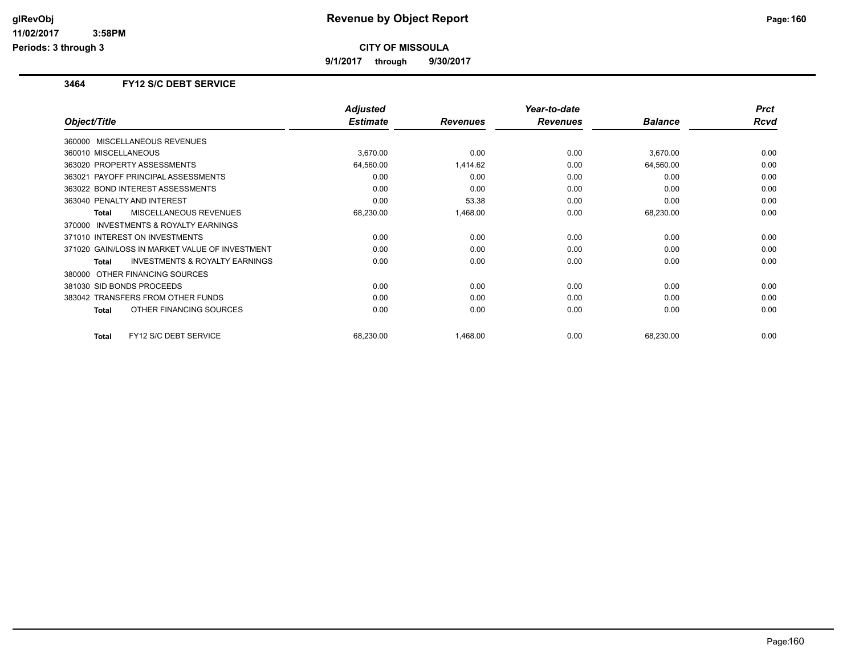**9/1/2017 through 9/30/2017**

## **3464 FY12 S/C DEBT SERVICE**

|                                                     | <b>Adjusted</b> |                 | Year-to-date    |                | <b>Prct</b> |
|-----------------------------------------------------|-----------------|-----------------|-----------------|----------------|-------------|
| Object/Title                                        | <b>Estimate</b> | <b>Revenues</b> | <b>Revenues</b> | <b>Balance</b> | <b>Rcvd</b> |
| 360000 MISCELLANEOUS REVENUES                       |                 |                 |                 |                |             |
| 360010 MISCELLANEOUS                                | 3,670.00        | 0.00            | 0.00            | 3,670.00       | 0.00        |
| 363020 PROPERTY ASSESSMENTS                         | 64,560.00       | 1,414.62        | 0.00            | 64,560.00      | 0.00        |
| 363021 PAYOFF PRINCIPAL ASSESSMENTS                 | 0.00            | 0.00            | 0.00            | 0.00           | 0.00        |
| 363022 BOND INTEREST ASSESSMENTS                    | 0.00            | 0.00            | 0.00            | 0.00           | 0.00        |
| 363040 PENALTY AND INTEREST                         | 0.00            | 53.38           | 0.00            | 0.00           | 0.00        |
| <b>MISCELLANEOUS REVENUES</b><br>Total              | 68,230.00       | 1,468.00        | 0.00            | 68,230.00      | 0.00        |
| <b>INVESTMENTS &amp; ROYALTY EARNINGS</b><br>370000 |                 |                 |                 |                |             |
| 371010 INTEREST ON INVESTMENTS                      | 0.00            | 0.00            | 0.00            | 0.00           | 0.00        |
| 371020 GAIN/LOSS IN MARKET VALUE OF INVESTMENT      | 0.00            | 0.00            | 0.00            | 0.00           | 0.00        |
| <b>INVESTMENTS &amp; ROYALTY EARNINGS</b><br>Total  | 0.00            | 0.00            | 0.00            | 0.00           | 0.00        |
| 380000 OTHER FINANCING SOURCES                      |                 |                 |                 |                |             |
| 381030 SID BONDS PROCEEDS                           | 0.00            | 0.00            | 0.00            | 0.00           | 0.00        |
| 383042 TRANSFERS FROM OTHER FUNDS                   | 0.00            | 0.00            | 0.00            | 0.00           | 0.00        |
| OTHER FINANCING SOURCES<br><b>Total</b>             | 0.00            | 0.00            | 0.00            | 0.00           | 0.00        |
| FY12 S/C DEBT SERVICE<br>Total                      | 68,230.00       | 1,468.00        | 0.00            | 68,230.00      | 0.00        |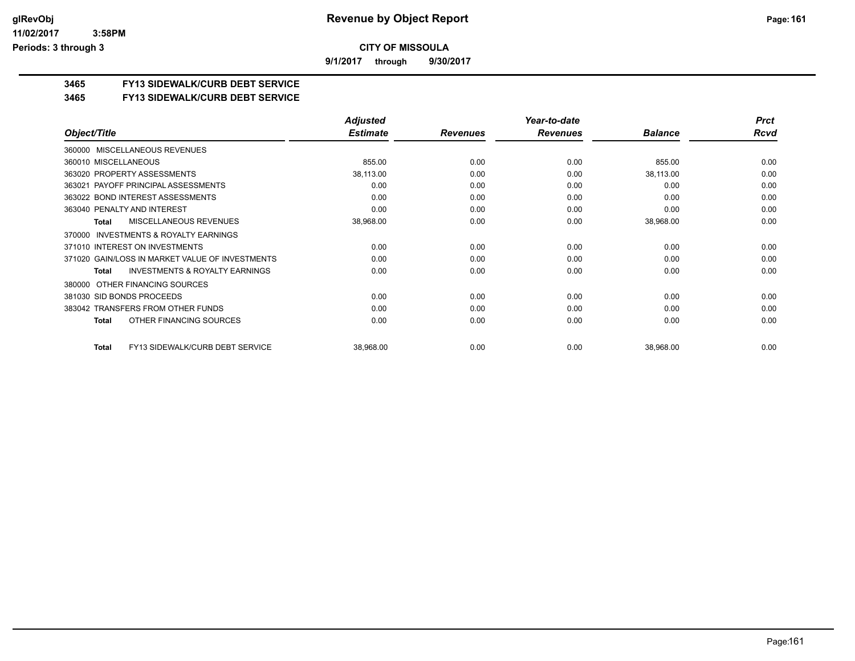**9/1/2017 through 9/30/2017**

# **3465 FY13 SIDEWALK/CURB DEBT SERVICE**

### **3465 FY13 SIDEWALK/CURB DEBT SERVICE**

|                                                     | <b>Adjusted</b> |                 | Year-to-date    |                | <b>Prct</b> |
|-----------------------------------------------------|-----------------|-----------------|-----------------|----------------|-------------|
| Object/Title                                        | <b>Estimate</b> | <b>Revenues</b> | <b>Revenues</b> | <b>Balance</b> | <b>Rcvd</b> |
| 360000 MISCELLANEOUS REVENUES                       |                 |                 |                 |                |             |
| 360010 MISCELLANEOUS                                | 855.00          | 0.00            | 0.00            | 855.00         | 0.00        |
| 363020 PROPERTY ASSESSMENTS                         | 38,113.00       | 0.00            | 0.00            | 38,113.00      | 0.00        |
| PAYOFF PRINCIPAL ASSESSMENTS<br>363021              | 0.00            | 0.00            | 0.00            | 0.00           | 0.00        |
| 363022 BOND INTEREST ASSESSMENTS                    | 0.00            | 0.00            | 0.00            | 0.00           | 0.00        |
| 363040 PENALTY AND INTEREST                         | 0.00            | 0.00            | 0.00            | 0.00           | 0.00        |
| <b>MISCELLANEOUS REVENUES</b><br>Total              | 38,968.00       | 0.00            | 0.00            | 38,968.00      | 0.00        |
| <b>INVESTMENTS &amp; ROYALTY EARNINGS</b><br>370000 |                 |                 |                 |                |             |
| 371010 INTEREST ON INVESTMENTS                      | 0.00            | 0.00            | 0.00            | 0.00           | 0.00        |
| 371020 GAIN/LOSS IN MARKET VALUE OF INVESTMENTS     | 0.00            | 0.00            | 0.00            | 0.00           | 0.00        |
| <b>INVESTMENTS &amp; ROYALTY EARNINGS</b><br>Total  | 0.00            | 0.00            | 0.00            | 0.00           | 0.00        |
| OTHER FINANCING SOURCES<br>380000                   |                 |                 |                 |                |             |
| 381030 SID BONDS PROCEEDS                           | 0.00            | 0.00            | 0.00            | 0.00           | 0.00        |
| 383042 TRANSFERS FROM OTHER FUNDS                   | 0.00            | 0.00            | 0.00            | 0.00           | 0.00        |
| OTHER FINANCING SOURCES<br>Total                    | 0.00            | 0.00            | 0.00            | 0.00           | 0.00        |
| FY13 SIDEWALK/CURB DEBT SERVICE<br>Total            | 38,968.00       | 0.00            | 0.00            | 38,968.00      | 0.00        |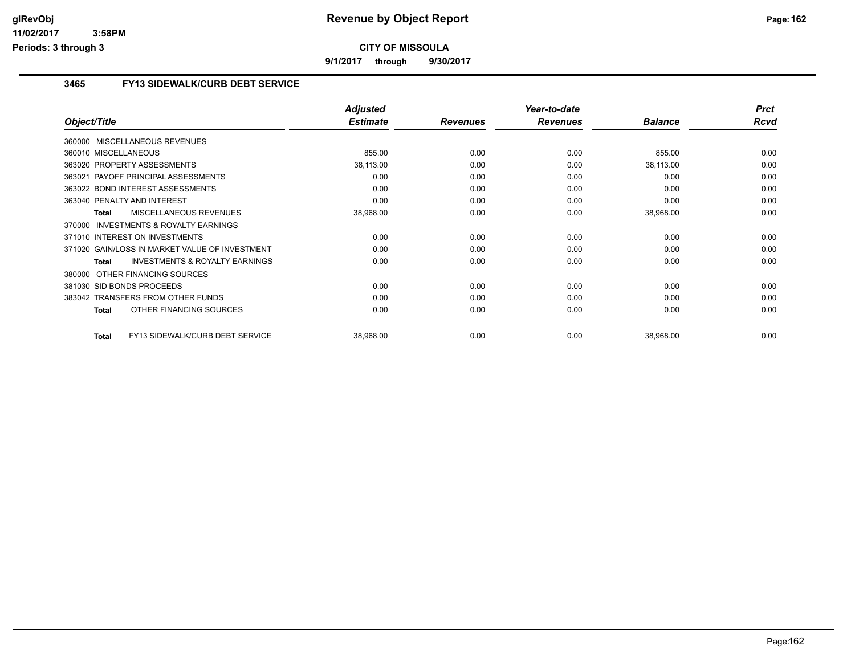**9/1/2017 through 9/30/2017**

# **3465 FY13 SIDEWALK/CURB DEBT SERVICE**

|                                                    | <b>Adjusted</b> |                 | Year-to-date    |                | <b>Prct</b> |
|----------------------------------------------------|-----------------|-----------------|-----------------|----------------|-------------|
| Object/Title                                       | <b>Estimate</b> | <b>Revenues</b> | <b>Revenues</b> | <b>Balance</b> | <b>Rcvd</b> |
| 360000 MISCELLANEOUS REVENUES                      |                 |                 |                 |                |             |
| 360010 MISCELLANEOUS                               | 855.00          | 0.00            | 0.00            | 855.00         | 0.00        |
| 363020 PROPERTY ASSESSMENTS                        | 38,113.00       | 0.00            | 0.00            | 38,113.00      | 0.00        |
| PAYOFF PRINCIPAL ASSESSMENTS<br>363021             | 0.00            | 0.00            | 0.00            | 0.00           | 0.00        |
| 363022 BOND INTEREST ASSESSMENTS                   | 0.00            | 0.00            | 0.00            | 0.00           | 0.00        |
| 363040 PENALTY AND INTEREST                        | 0.00            | 0.00            | 0.00            | 0.00           | 0.00        |
| <b>MISCELLANEOUS REVENUES</b><br>Total             | 38,968.00       | 0.00            | 0.00            | 38,968.00      | 0.00        |
| INVESTMENTS & ROYALTY EARNINGS<br>370000           |                 |                 |                 |                |             |
| 371010 INTEREST ON INVESTMENTS                     | 0.00            | 0.00            | 0.00            | 0.00           | 0.00        |
| 371020 GAIN/LOSS IN MARKET VALUE OF INVESTMENT     | 0.00            | 0.00            | 0.00            | 0.00           | 0.00        |
| <b>INVESTMENTS &amp; ROYALTY EARNINGS</b><br>Total | 0.00            | 0.00            | 0.00            | 0.00           | 0.00        |
| 380000 OTHER FINANCING SOURCES                     |                 |                 |                 |                |             |
| 381030 SID BONDS PROCEEDS                          | 0.00            | 0.00            | 0.00            | 0.00           | 0.00        |
| 383042 TRANSFERS FROM OTHER FUNDS                  | 0.00            | 0.00            | 0.00            | 0.00           | 0.00        |
| OTHER FINANCING SOURCES<br><b>Total</b>            | 0.00            | 0.00            | 0.00            | 0.00           | 0.00        |
|                                                    |                 |                 |                 |                |             |
| FY13 SIDEWALK/CURB DEBT SERVICE<br><b>Total</b>    | 38,968.00       | 0.00            | 0.00            | 38,968.00      | 0.00        |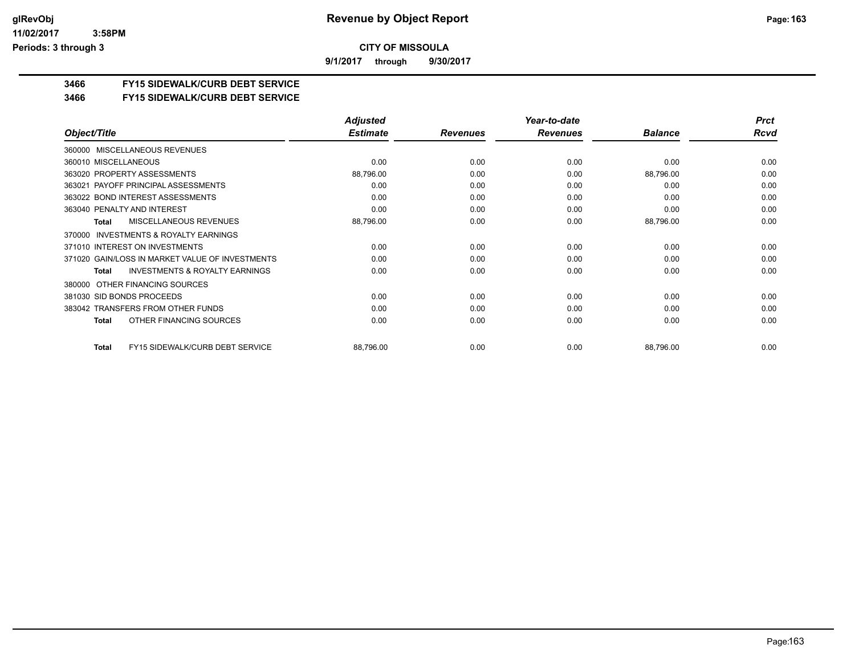**9/1/2017 through 9/30/2017**

# **3466 FY15 SIDEWALK/CURB DEBT SERVICE**

### **3466 FY15 SIDEWALK/CURB DEBT SERVICE**

|                                                     | <b>Adjusted</b> |                 | Year-to-date    |                | <b>Prct</b> |
|-----------------------------------------------------|-----------------|-----------------|-----------------|----------------|-------------|
| Object/Title                                        | <b>Estimate</b> | <b>Revenues</b> | <b>Revenues</b> | <b>Balance</b> | <b>Rcvd</b> |
| 360000 MISCELLANEOUS REVENUES                       |                 |                 |                 |                |             |
| 360010 MISCELLANEOUS                                | 0.00            | 0.00            | 0.00            | 0.00           | 0.00        |
| 363020 PROPERTY ASSESSMENTS                         | 88,796.00       | 0.00            | 0.00            | 88,796.00      | 0.00        |
| 363021 PAYOFF PRINCIPAL ASSESSMENTS                 | 0.00            | 0.00            | 0.00            | 0.00           | 0.00        |
| 363022 BOND INTEREST ASSESSMENTS                    | 0.00            | 0.00            | 0.00            | 0.00           | 0.00        |
| 363040 PENALTY AND INTEREST                         | 0.00            | 0.00            | 0.00            | 0.00           | 0.00        |
| MISCELLANEOUS REVENUES<br>Total                     | 88,796.00       | 0.00            | 0.00            | 88,796.00      | 0.00        |
| <b>INVESTMENTS &amp; ROYALTY EARNINGS</b><br>370000 |                 |                 |                 |                |             |
| 371010 INTEREST ON INVESTMENTS                      | 0.00            | 0.00            | 0.00            | 0.00           | 0.00        |
| 371020 GAIN/LOSS IN MARKET VALUE OF INVESTMENTS     | 0.00            | 0.00            | 0.00            | 0.00           | 0.00        |
| <b>INVESTMENTS &amp; ROYALTY EARNINGS</b><br>Total  | 0.00            | 0.00            | 0.00            | 0.00           | 0.00        |
| OTHER FINANCING SOURCES<br>380000                   |                 |                 |                 |                |             |
| 381030 SID BONDS PROCEEDS                           | 0.00            | 0.00            | 0.00            | 0.00           | 0.00        |
| 383042 TRANSFERS FROM OTHER FUNDS                   | 0.00            | 0.00            | 0.00            | 0.00           | 0.00        |
| OTHER FINANCING SOURCES<br><b>Total</b>             | 0.00            | 0.00            | 0.00            | 0.00           | 0.00        |
| <b>FY15 SIDEWALK/CURB DEBT SERVICE</b><br>Total     | 88,796.00       | 0.00            | 0.00            | 88,796.00      | 0.00        |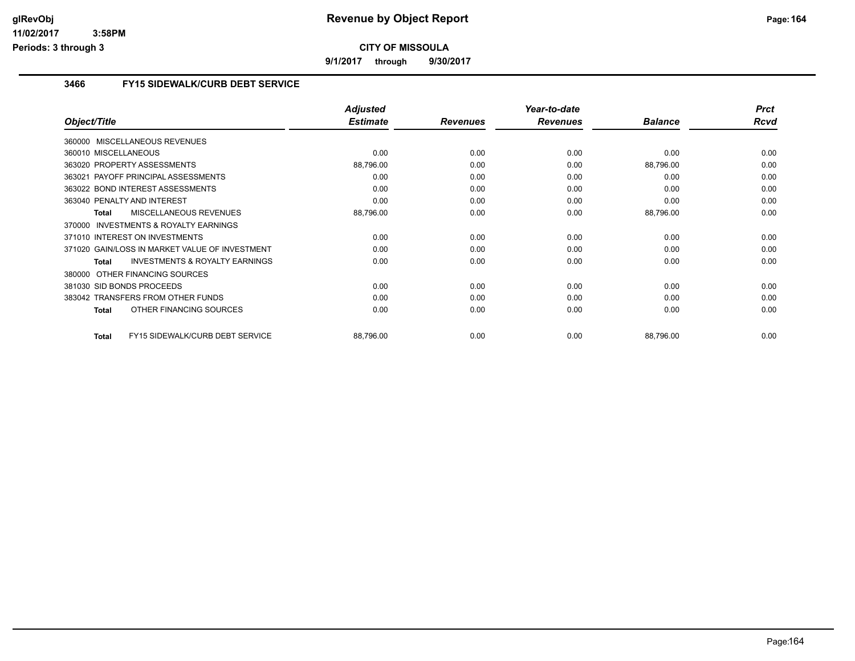**9/1/2017 through 9/30/2017**

# **3466 FY15 SIDEWALK/CURB DEBT SERVICE**

|                                                           | <b>Adjusted</b> |                 | Year-to-date    |                | <b>Prct</b> |
|-----------------------------------------------------------|-----------------|-----------------|-----------------|----------------|-------------|
| Object/Title                                              | <b>Estimate</b> | <b>Revenues</b> | <b>Revenues</b> | <b>Balance</b> | Rcvd        |
| 360000 MISCELLANEOUS REVENUES                             |                 |                 |                 |                |             |
| 360010 MISCELLANEOUS                                      | 0.00            | 0.00            | 0.00            | 0.00           | 0.00        |
| 363020 PROPERTY ASSESSMENTS                               | 88,796.00       | 0.00            | 0.00            | 88,796.00      | 0.00        |
| PAYOFF PRINCIPAL ASSESSMENTS<br>363021                    | 0.00            | 0.00            | 0.00            | 0.00           | 0.00        |
| 363022 BOND INTEREST ASSESSMENTS                          | 0.00            | 0.00            | 0.00            | 0.00           | 0.00        |
| 363040 PENALTY AND INTEREST                               | 0.00            | 0.00            | 0.00            | 0.00           | 0.00        |
| <b>MISCELLANEOUS REVENUES</b><br><b>Total</b>             | 88,796.00       | 0.00            | 0.00            | 88,796.00      | 0.00        |
| INVESTMENTS & ROYALTY EARNINGS<br>370000                  |                 |                 |                 |                |             |
| 371010 INTEREST ON INVESTMENTS                            | 0.00            | 0.00            | 0.00            | 0.00           | 0.00        |
| 371020 GAIN/LOSS IN MARKET VALUE OF INVESTMENT            | 0.00            | 0.00            | 0.00            | 0.00           | 0.00        |
| <b>INVESTMENTS &amp; ROYALTY EARNINGS</b><br><b>Total</b> | 0.00            | 0.00            | 0.00            | 0.00           | 0.00        |
| OTHER FINANCING SOURCES<br>380000                         |                 |                 |                 |                |             |
| 381030 SID BONDS PROCEEDS                                 | 0.00            | 0.00            | 0.00            | 0.00           | 0.00        |
| 383042 TRANSFERS FROM OTHER FUNDS                         | 0.00            | 0.00            | 0.00            | 0.00           | 0.00        |
| OTHER FINANCING SOURCES<br><b>Total</b>                   | 0.00            | 0.00            | 0.00            | 0.00           | 0.00        |
| FY15 SIDEWALK/CURB DEBT SERVICE<br><b>Total</b>           | 88,796.00       | 0.00            | 0.00            | 88,796.00      | 0.00        |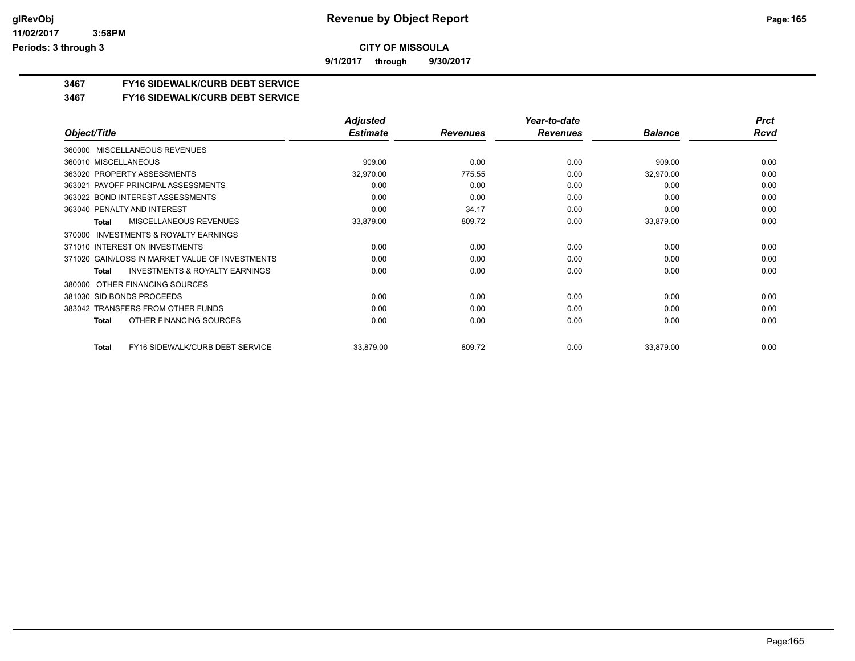**9/1/2017 through 9/30/2017**

# **3467 FY16 SIDEWALK/CURB DEBT SERVICE**

# **3467 FY16 SIDEWALK/CURB DEBT SERVICE**

|                                                           | <b>Adjusted</b> |                 | Year-to-date    |                | <b>Prct</b> |
|-----------------------------------------------------------|-----------------|-----------------|-----------------|----------------|-------------|
| Object/Title                                              | <b>Estimate</b> | <b>Revenues</b> | <b>Revenues</b> | <b>Balance</b> | <b>Rcvd</b> |
| 360000 MISCELLANEOUS REVENUES                             |                 |                 |                 |                |             |
| 360010 MISCELLANEOUS                                      | 909.00          | 0.00            | 0.00            | 909.00         | 0.00        |
| 363020 PROPERTY ASSESSMENTS                               | 32,970.00       | 775.55          | 0.00            | 32,970.00      | 0.00        |
| 363021 PAYOFF PRINCIPAL ASSESSMENTS                       | 0.00            | 0.00            | 0.00            | 0.00           | 0.00        |
| 363022 BOND INTEREST ASSESSMENTS                          | 0.00            | 0.00            | 0.00            | 0.00           | 0.00        |
| 363040 PENALTY AND INTEREST                               | 0.00            | 34.17           | 0.00            | 0.00           | 0.00        |
| MISCELLANEOUS REVENUES<br><b>Total</b>                    | 33,879.00       | 809.72          | 0.00            | 33,879.00      | 0.00        |
| <b>INVESTMENTS &amp; ROYALTY EARNINGS</b><br>370000       |                 |                 |                 |                |             |
| 371010 INTEREST ON INVESTMENTS                            | 0.00            | 0.00            | 0.00            | 0.00           | 0.00        |
| 371020 GAIN/LOSS IN MARKET VALUE OF INVESTMENTS           | 0.00            | 0.00            | 0.00            | 0.00           | 0.00        |
| <b>INVESTMENTS &amp; ROYALTY EARNINGS</b><br><b>Total</b> | 0.00            | 0.00            | 0.00            | 0.00           | 0.00        |
| OTHER FINANCING SOURCES<br>380000                         |                 |                 |                 |                |             |
| 381030 SID BONDS PROCEEDS                                 | 0.00            | 0.00            | 0.00            | 0.00           | 0.00        |
| 383042 TRANSFERS FROM OTHER FUNDS                         | 0.00            | 0.00            | 0.00            | 0.00           | 0.00        |
| OTHER FINANCING SOURCES<br><b>Total</b>                   | 0.00            | 0.00            | 0.00            | 0.00           | 0.00        |
| FY16 SIDEWALK/CURB DEBT SERVICE<br><b>Total</b>           | 33,879.00       | 809.72          | 0.00            | 33,879.00      | 0.00        |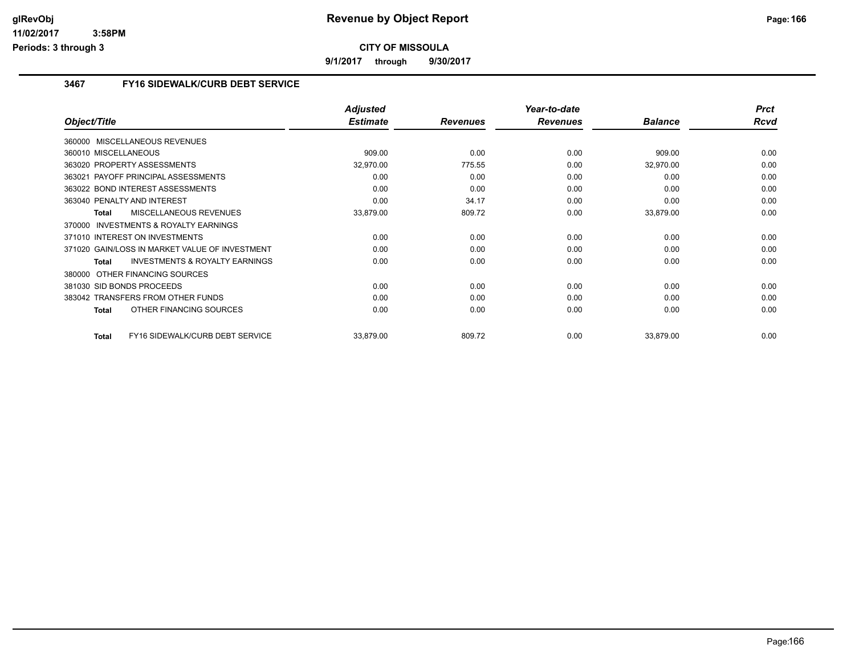**9/1/2017 through 9/30/2017**

# **3467 FY16 SIDEWALK/CURB DEBT SERVICE**

|                                                           | <b>Adjusted</b> |                 | Year-to-date    |                | <b>Prct</b> |
|-----------------------------------------------------------|-----------------|-----------------|-----------------|----------------|-------------|
| Object/Title                                              | <b>Estimate</b> | <b>Revenues</b> | <b>Revenues</b> | <b>Balance</b> | Rcvd        |
| 360000 MISCELLANEOUS REVENUES                             |                 |                 |                 |                |             |
| 360010 MISCELLANEOUS                                      | 909.00          | 0.00            | 0.00            | 909.00         | 0.00        |
| 363020 PROPERTY ASSESSMENTS                               | 32,970.00       | 775.55          | 0.00            | 32,970.00      | 0.00        |
| 363021 PAYOFF PRINCIPAL ASSESSMENTS                       | 0.00            | 0.00            | 0.00            | 0.00           | 0.00        |
| 363022 BOND INTEREST ASSESSMENTS                          | 0.00            | 0.00            | 0.00            | 0.00           | 0.00        |
| 363040 PENALTY AND INTEREST                               | 0.00            | 34.17           | 0.00            | 0.00           | 0.00        |
| MISCELLANEOUS REVENUES<br><b>Total</b>                    | 33,879.00       | 809.72          | 0.00            | 33,879.00      | 0.00        |
| <b>INVESTMENTS &amp; ROYALTY EARNINGS</b><br>370000       |                 |                 |                 |                |             |
| 371010 INTEREST ON INVESTMENTS                            | 0.00            | 0.00            | 0.00            | 0.00           | 0.00        |
| 371020 GAIN/LOSS IN MARKET VALUE OF INVESTMENT            | 0.00            | 0.00            | 0.00            | 0.00           | 0.00        |
| <b>INVESTMENTS &amp; ROYALTY EARNINGS</b><br><b>Total</b> | 0.00            | 0.00            | 0.00            | 0.00           | 0.00        |
| 380000 OTHER FINANCING SOURCES                            |                 |                 |                 |                |             |
| 381030 SID BONDS PROCEEDS                                 | 0.00            | 0.00            | 0.00            | 0.00           | 0.00        |
| 383042 TRANSFERS FROM OTHER FUNDS                         | 0.00            | 0.00            | 0.00            | 0.00           | 0.00        |
| OTHER FINANCING SOURCES<br><b>Total</b>                   | 0.00            | 0.00            | 0.00            | 0.00           | 0.00        |
| FY16 SIDEWALK/CURB DEBT SERVICE<br><b>Total</b>           | 33,879.00       | 809.72          | 0.00            | 33,879.00      | 0.00        |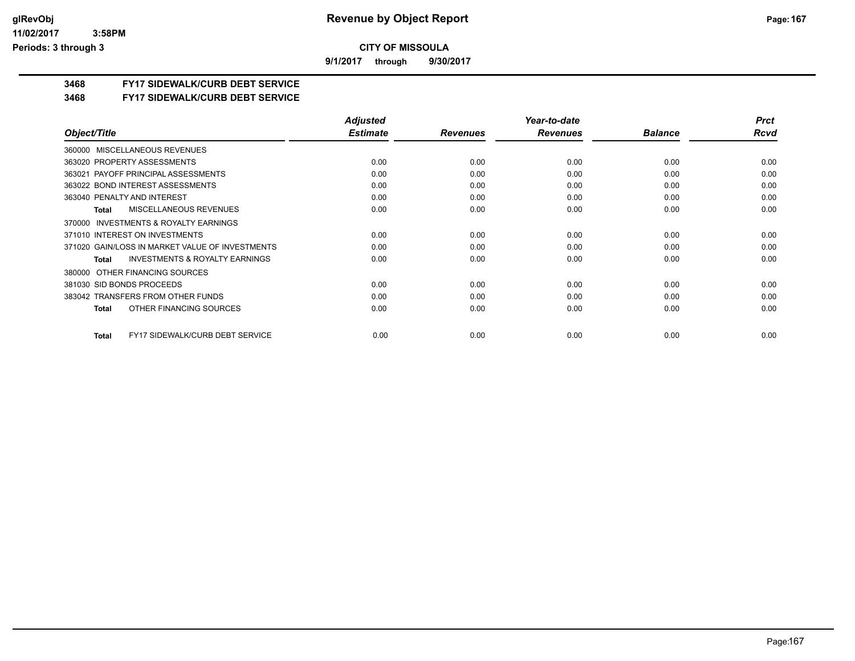**9/1/2017 through 9/30/2017**

# **3468 FY17 SIDEWALK/CURB DEBT SERVICE**

### **3468 FY17 SIDEWALK/CURB DEBT SERVICE**

|                                                    | <b>Adjusted</b> |                 | Year-to-date    |                | <b>Prct</b> |
|----------------------------------------------------|-----------------|-----------------|-----------------|----------------|-------------|
| Object/Title                                       | <b>Estimate</b> | <b>Revenues</b> | <b>Revenues</b> | <b>Balance</b> | Rcvd        |
| MISCELLANEOUS REVENUES<br>360000                   |                 |                 |                 |                |             |
| 363020 PROPERTY ASSESSMENTS                        | 0.00            | 0.00            | 0.00            | 0.00           | 0.00        |
| 363021 PAYOFF PRINCIPAL ASSESSMENTS                | 0.00            | 0.00            | 0.00            | 0.00           | 0.00        |
| 363022 BOND INTEREST ASSESSMENTS                   | 0.00            | 0.00            | 0.00            | 0.00           | 0.00        |
| 363040 PENALTY AND INTEREST                        | 0.00            | 0.00            | 0.00            | 0.00           | 0.00        |
| MISCELLANEOUS REVENUES<br><b>Total</b>             | 0.00            | 0.00            | 0.00            | 0.00           | 0.00        |
| INVESTMENTS & ROYALTY EARNINGS<br>370000           |                 |                 |                 |                |             |
| 371010 INTEREST ON INVESTMENTS                     | 0.00            | 0.00            | 0.00            | 0.00           | 0.00        |
| 371020 GAIN/LOSS IN MARKET VALUE OF INVESTMENTS    | 0.00            | 0.00            | 0.00            | 0.00           | 0.00        |
| <b>INVESTMENTS &amp; ROYALTY EARNINGS</b><br>Total | 0.00            | 0.00            | 0.00            | 0.00           | 0.00        |
| OTHER FINANCING SOURCES<br>380000                  |                 |                 |                 |                |             |
| 381030 SID BONDS PROCEEDS                          | 0.00            | 0.00            | 0.00            | 0.00           | 0.00        |
| 383042 TRANSFERS FROM OTHER FUNDS                  | 0.00            | 0.00            | 0.00            | 0.00           | 0.00        |
| OTHER FINANCING SOURCES<br><b>Total</b>            | 0.00            | 0.00            | 0.00            | 0.00           | 0.00        |
| FY17 SIDEWALK/CURB DEBT SERVICE<br><b>Total</b>    | 0.00            | 0.00            | 0.00            | 0.00           | 0.00        |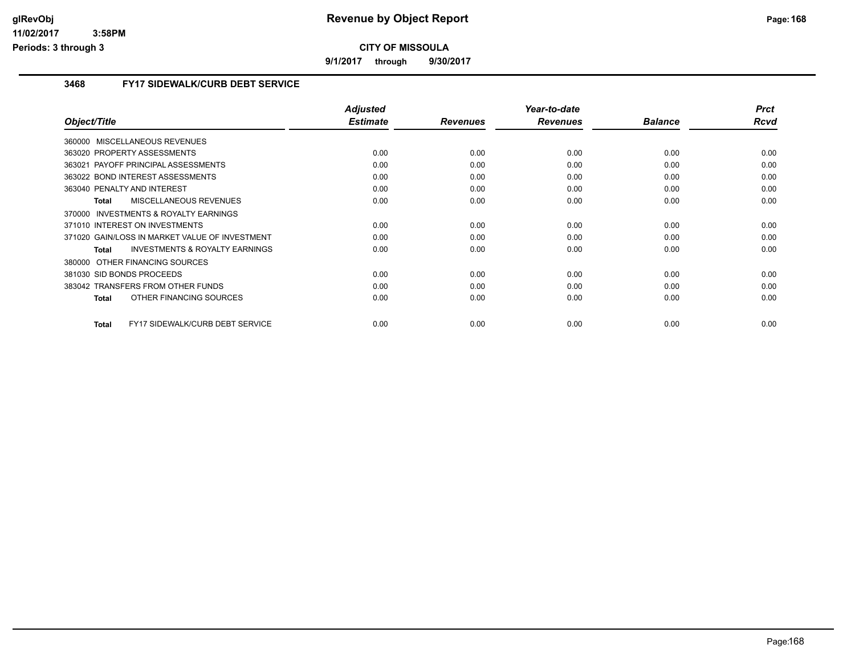**9/1/2017 through 9/30/2017**

# **3468 FY17 SIDEWALK/CURB DEBT SERVICE**

| Object/Title                                       | <b>Adjusted</b><br><b>Estimate</b> | <b>Revenues</b> | Year-to-date<br><b>Revenues</b> | <b>Balance</b> | <b>Prct</b><br>Rcvd |
|----------------------------------------------------|------------------------------------|-----------------|---------------------------------|----------------|---------------------|
|                                                    |                                    |                 |                                 |                |                     |
| 360000 MISCELLANEOUS REVENUES                      |                                    |                 |                                 |                |                     |
| 363020 PROPERTY ASSESSMENTS                        | 0.00                               | 0.00            | 0.00                            | 0.00           | 0.00                |
| 363021 PAYOFF PRINCIPAL ASSESSMENTS                | 0.00                               | 0.00            | 0.00                            | 0.00           | 0.00                |
| 363022 BOND INTEREST ASSESSMENTS                   | 0.00                               | 0.00            | 0.00                            | 0.00           | 0.00                |
| 363040 PENALTY AND INTEREST                        | 0.00                               | 0.00            | 0.00                            | 0.00           | 0.00                |
| <b>MISCELLANEOUS REVENUES</b><br><b>Total</b>      | 0.00                               | 0.00            | 0.00                            | 0.00           | 0.00                |
| INVESTMENTS & ROYALTY EARNINGS<br>370000           |                                    |                 |                                 |                |                     |
| 371010 INTEREST ON INVESTMENTS                     | 0.00                               | 0.00            | 0.00                            | 0.00           | 0.00                |
| 371020 GAIN/LOSS IN MARKET VALUE OF INVESTMENT     | 0.00                               | 0.00            | 0.00                            | 0.00           | 0.00                |
| <b>INVESTMENTS &amp; ROYALTY EARNINGS</b><br>Total | 0.00                               | 0.00            | 0.00                            | 0.00           | 0.00                |
| OTHER FINANCING SOURCES<br>380000                  |                                    |                 |                                 |                |                     |
| 381030 SID BONDS PROCEEDS                          | 0.00                               | 0.00            | 0.00                            | 0.00           | 0.00                |
| 383042 TRANSFERS FROM OTHER FUNDS                  | 0.00                               | 0.00            | 0.00                            | 0.00           | 0.00                |
| OTHER FINANCING SOURCES<br><b>Total</b>            | 0.00                               | 0.00            | 0.00                            | 0.00           | 0.00                |
|                                                    |                                    |                 |                                 |                |                     |
| <b>FY17 SIDEWALK/CURB DEBT SERVICE</b><br>Total    | 0.00                               | 0.00            | 0.00                            | 0.00           | 0.00                |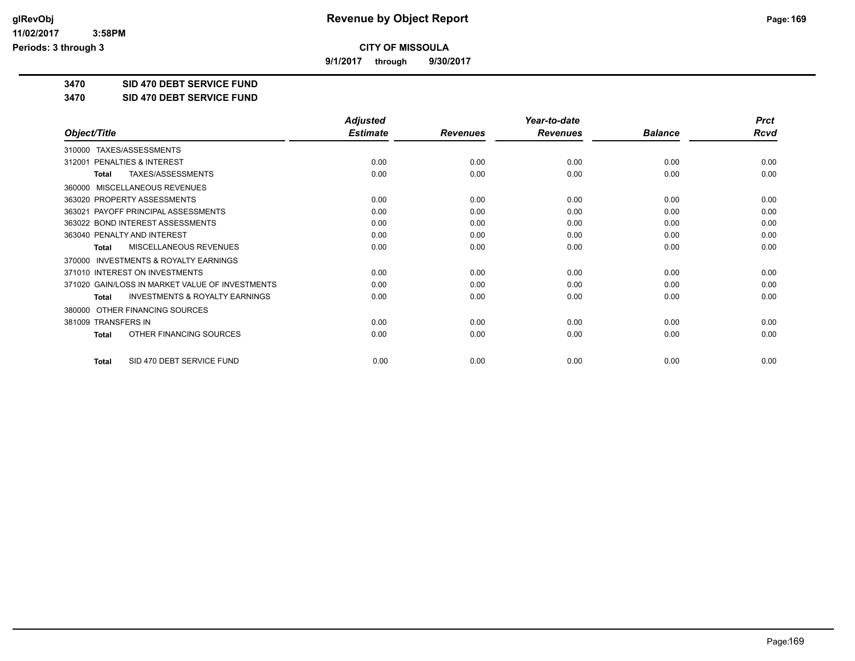**CITY OF MISSOULA**

**9/1/2017 through 9/30/2017**

**3470 SID 470 DEBT SERVICE FUND**

 **3:58PM**

**3470 SID 470 DEBT SERVICE FUND**

|                                                           | <b>Adjusted</b> |                 | Year-to-date    |                | <b>Prct</b> |
|-----------------------------------------------------------|-----------------|-----------------|-----------------|----------------|-------------|
| Object/Title                                              | <b>Estimate</b> | <b>Revenues</b> | <b>Revenues</b> | <b>Balance</b> | <b>Rcvd</b> |
| <b>TAXES/ASSESSMENTS</b><br>310000                        |                 |                 |                 |                |             |
| <b>PENALTIES &amp; INTEREST</b><br>312001                 | 0.00            | 0.00            | 0.00            | 0.00           | 0.00        |
| TAXES/ASSESSMENTS<br><b>Total</b>                         | 0.00            | 0.00            | 0.00            | 0.00           | 0.00        |
| MISCELLANEOUS REVENUES<br>360000                          |                 |                 |                 |                |             |
| 363020 PROPERTY ASSESSMENTS                               | 0.00            | 0.00            | 0.00            | 0.00           | 0.00        |
| PAYOFF PRINCIPAL ASSESSMENTS<br>363021                    | 0.00            | 0.00            | 0.00            | 0.00           | 0.00        |
| 363022 BOND INTEREST ASSESSMENTS                          | 0.00            | 0.00            | 0.00            | 0.00           | 0.00        |
| 363040 PENALTY AND INTEREST                               | 0.00            | 0.00            | 0.00            | 0.00           | 0.00        |
| MISCELLANEOUS REVENUES<br><b>Total</b>                    | 0.00            | 0.00            | 0.00            | 0.00           | 0.00        |
| 370000 INVESTMENTS & ROYALTY EARNINGS                     |                 |                 |                 |                |             |
| 371010 INTEREST ON INVESTMENTS                            | 0.00            | 0.00            | 0.00            | 0.00           | 0.00        |
| 371020 GAIN/LOSS IN MARKET VALUE OF INVESTMENTS           | 0.00            | 0.00            | 0.00            | 0.00           | 0.00        |
| <b>INVESTMENTS &amp; ROYALTY EARNINGS</b><br><b>Total</b> | 0.00            | 0.00            | 0.00            | 0.00           | 0.00        |
| OTHER FINANCING SOURCES<br>380000                         |                 |                 |                 |                |             |
| 381009 TRANSFERS IN                                       | 0.00            | 0.00            | 0.00            | 0.00           | 0.00        |
| OTHER FINANCING SOURCES<br><b>Total</b>                   | 0.00            | 0.00            | 0.00            | 0.00           | 0.00        |
| SID 470 DEBT SERVICE FUND<br><b>Total</b>                 | 0.00            | 0.00            | 0.00            | 0.00           | 0.00        |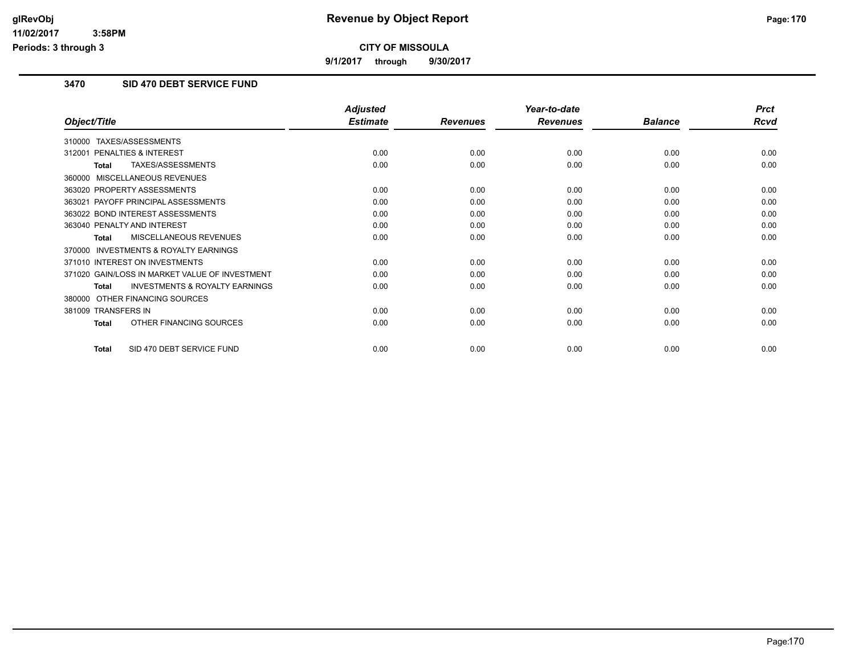**CITY OF MISSOULA**

**9/1/2017 through 9/30/2017**

# **3470 SID 470 DEBT SERVICE FUND**

 **3:58PM**

|                                                    | <b>Adjusted</b> |                 | Year-to-date    |                | <b>Prct</b> |
|----------------------------------------------------|-----------------|-----------------|-----------------|----------------|-------------|
| Object/Title                                       | <b>Estimate</b> | <b>Revenues</b> | <b>Revenues</b> | <b>Balance</b> | <b>Rcvd</b> |
| TAXES/ASSESSMENTS<br>310000                        |                 |                 |                 |                |             |
| 312001 PENALTIES & INTEREST                        | 0.00            | 0.00            | 0.00            | 0.00           | 0.00        |
| TAXES/ASSESSMENTS<br><b>Total</b>                  | 0.00            | 0.00            | 0.00            | 0.00           | 0.00        |
| 360000 MISCELLANEOUS REVENUES                      |                 |                 |                 |                |             |
| 363020 PROPERTY ASSESSMENTS                        | 0.00            | 0.00            | 0.00            | 0.00           | 0.00        |
| 363021 PAYOFF PRINCIPAL ASSESSMENTS                | 0.00            | 0.00            | 0.00            | 0.00           | 0.00        |
| 363022 BOND INTEREST ASSESSMENTS                   | 0.00            | 0.00            | 0.00            | 0.00           | 0.00        |
| 363040 PENALTY AND INTEREST                        | 0.00            | 0.00            | 0.00            | 0.00           | 0.00        |
| <b>MISCELLANEOUS REVENUES</b><br>Total             | 0.00            | 0.00            | 0.00            | 0.00           | 0.00        |
| 370000 INVESTMENTS & ROYALTY EARNINGS              |                 |                 |                 |                |             |
| 371010 INTEREST ON INVESTMENTS                     | 0.00            | 0.00            | 0.00            | 0.00           | 0.00        |
| 371020 GAIN/LOSS IN MARKET VALUE OF INVESTMENT     | 0.00            | 0.00            | 0.00            | 0.00           | 0.00        |
| <b>INVESTMENTS &amp; ROYALTY EARNINGS</b><br>Total | 0.00            | 0.00            | 0.00            | 0.00           | 0.00        |
| 380000 OTHER FINANCING SOURCES                     |                 |                 |                 |                |             |
| 381009 TRANSFERS IN                                | 0.00            | 0.00            | 0.00            | 0.00           | 0.00        |
| OTHER FINANCING SOURCES<br><b>Total</b>            | 0.00            | 0.00            | 0.00            | 0.00           | 0.00        |
| SID 470 DEBT SERVICE FUND<br><b>Total</b>          | 0.00            | 0.00            | 0.00            | 0.00           | 0.00        |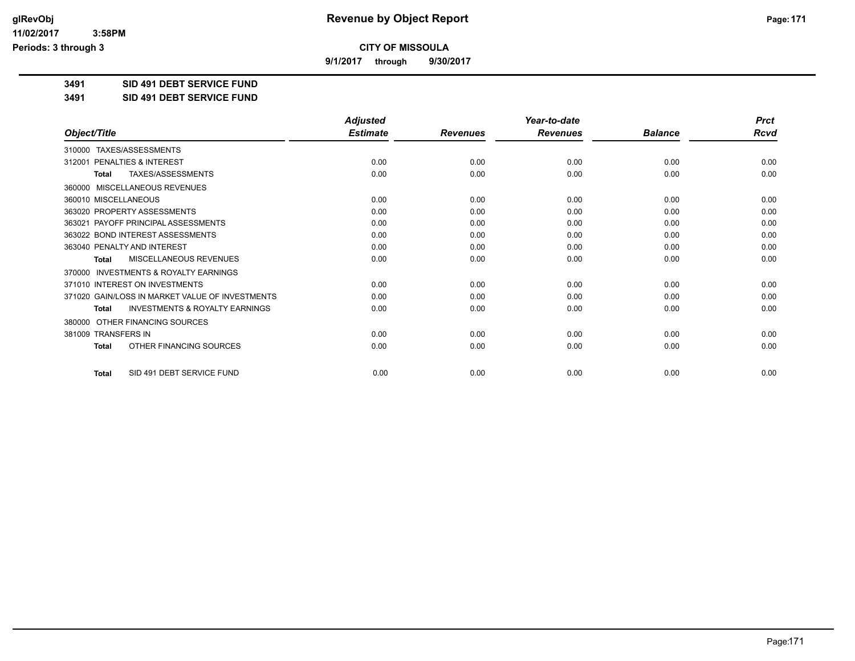**CITY OF MISSOULA**

**9/1/2017 through 9/30/2017**

**3491 SID 491 DEBT SERVICE FUND**

 **3:58PM**

**3491 SID 491 DEBT SERVICE FUND**

|                                                           | <b>Adjusted</b> |                 | Year-to-date    |                | <b>Prct</b> |
|-----------------------------------------------------------|-----------------|-----------------|-----------------|----------------|-------------|
| Object/Title                                              | <b>Estimate</b> | <b>Revenues</b> | <b>Revenues</b> | <b>Balance</b> | <b>Rcvd</b> |
| TAXES/ASSESSMENTS<br>310000                               |                 |                 |                 |                |             |
| PENALTIES & INTEREST<br>312001                            | 0.00            | 0.00            | 0.00            | 0.00           | 0.00        |
| TAXES/ASSESSMENTS<br>Total                                | 0.00            | 0.00            | 0.00            | 0.00           | 0.00        |
| MISCELLANEOUS REVENUES<br>360000                          |                 |                 |                 |                |             |
| 360010 MISCELLANEOUS                                      | 0.00            | 0.00            | 0.00            | 0.00           | 0.00        |
| 363020 PROPERTY ASSESSMENTS                               | 0.00            | 0.00            | 0.00            | 0.00           | 0.00        |
| 363021 PAYOFF PRINCIPAL ASSESSMENTS                       | 0.00            | 0.00            | 0.00            | 0.00           | 0.00        |
| 363022 BOND INTEREST ASSESSMENTS                          | 0.00            | 0.00            | 0.00            | 0.00           | 0.00        |
| 363040 PENALTY AND INTEREST                               | 0.00            | 0.00            | 0.00            | 0.00           | 0.00        |
| MISCELLANEOUS REVENUES<br><b>Total</b>                    | 0.00            | 0.00            | 0.00            | 0.00           | 0.00        |
| <b>INVESTMENTS &amp; ROYALTY EARNINGS</b><br>370000       |                 |                 |                 |                |             |
| 371010 INTEREST ON INVESTMENTS                            | 0.00            | 0.00            | 0.00            | 0.00           | 0.00        |
| 371020 GAIN/LOSS IN MARKET VALUE OF INVESTMENTS           | 0.00            | 0.00            | 0.00            | 0.00           | 0.00        |
| <b>INVESTMENTS &amp; ROYALTY EARNINGS</b><br><b>Total</b> | 0.00            | 0.00            | 0.00            | 0.00           | 0.00        |
| OTHER FINANCING SOURCES<br>380000                         |                 |                 |                 |                |             |
| 381009 TRANSFERS IN                                       | 0.00            | 0.00            | 0.00            | 0.00           | 0.00        |
| OTHER FINANCING SOURCES<br>Total                          | 0.00            | 0.00            | 0.00            | 0.00           | 0.00        |
| SID 491 DEBT SERVICE FUND<br><b>Total</b>                 | 0.00            | 0.00            | 0.00            | 0.00           | 0.00        |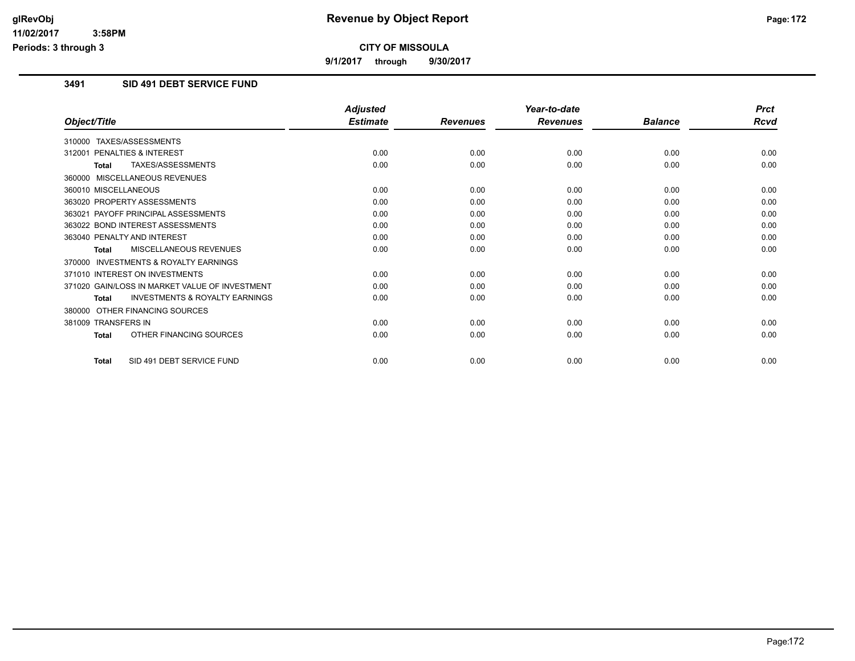**CITY OF MISSOULA**

**9/1/2017 through 9/30/2017**

# **3491 SID 491 DEBT SERVICE FUND**

 **3:58PM**

|                                                           | <b>Adjusted</b> |                 | Year-to-date    |                | <b>Prct</b> |
|-----------------------------------------------------------|-----------------|-----------------|-----------------|----------------|-------------|
| Object/Title                                              | <b>Estimate</b> | <b>Revenues</b> | <b>Revenues</b> | <b>Balance</b> | <b>Rcvd</b> |
| 310000 TAXES/ASSESSMENTS                                  |                 |                 |                 |                |             |
| PENALTIES & INTEREST<br>312001                            | 0.00            | 0.00            | 0.00            | 0.00           | 0.00        |
| TAXES/ASSESSMENTS<br><b>Total</b>                         | 0.00            | 0.00            | 0.00            | 0.00           | 0.00        |
| 360000 MISCELLANEOUS REVENUES                             |                 |                 |                 |                |             |
| 360010 MISCELLANEOUS                                      | 0.00            | 0.00            | 0.00            | 0.00           | 0.00        |
| 363020 PROPERTY ASSESSMENTS                               | 0.00            | 0.00            | 0.00            | 0.00           | 0.00        |
| 363021 PAYOFF PRINCIPAL ASSESSMENTS                       | 0.00            | 0.00            | 0.00            | 0.00           | 0.00        |
| 363022 BOND INTEREST ASSESSMENTS                          | 0.00            | 0.00            | 0.00            | 0.00           | 0.00        |
| 363040 PENALTY AND INTEREST                               | 0.00            | 0.00            | 0.00            | 0.00           | 0.00        |
| <b>MISCELLANEOUS REVENUES</b><br><b>Total</b>             | 0.00            | 0.00            | 0.00            | 0.00           | 0.00        |
| INVESTMENTS & ROYALTY EARNINGS<br>370000                  |                 |                 |                 |                |             |
| 371010 INTEREST ON INVESTMENTS                            | 0.00            | 0.00            | 0.00            | 0.00           | 0.00        |
| 371020 GAIN/LOSS IN MARKET VALUE OF INVESTMENT            | 0.00            | 0.00            | 0.00            | 0.00           | 0.00        |
| <b>INVESTMENTS &amp; ROYALTY EARNINGS</b><br><b>Total</b> | 0.00            | 0.00            | 0.00            | 0.00           | 0.00        |
| 380000 OTHER FINANCING SOURCES                            |                 |                 |                 |                |             |
| 381009 TRANSFERS IN                                       | 0.00            | 0.00            | 0.00            | 0.00           | 0.00        |
| OTHER FINANCING SOURCES<br><b>Total</b>                   | 0.00            | 0.00            | 0.00            | 0.00           | 0.00        |
| SID 491 DEBT SERVICE FUND<br><b>Total</b>                 | 0.00            | 0.00            | 0.00            | 0.00           | 0.00        |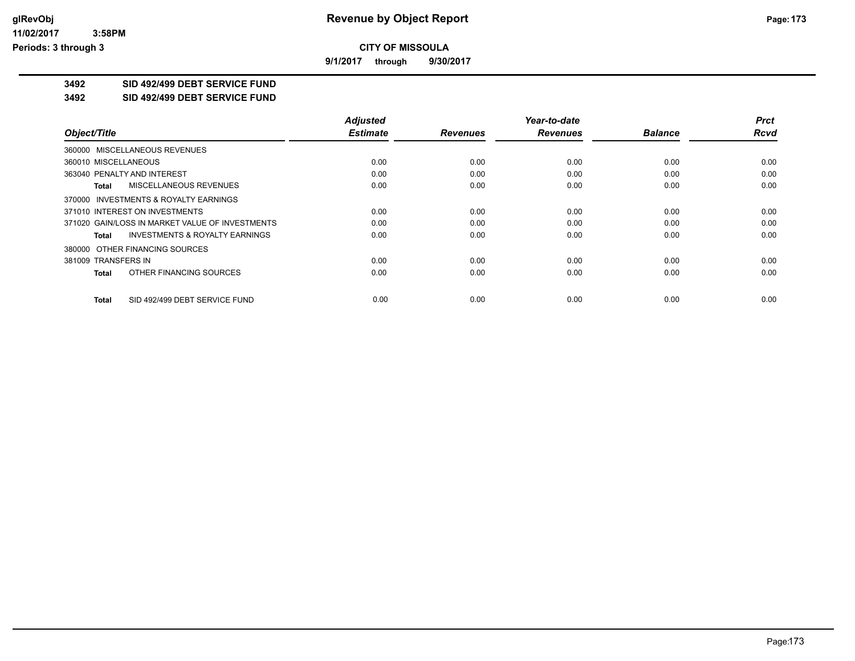**9/1/2017 through 9/30/2017**

**3492 SID 492/499 DEBT SERVICE FUND**

**3492 SID 492/499 DEBT SERVICE FUND**

|                                                    | <b>Adjusted</b> |                 | Year-to-date    |                | <b>Prct</b> |
|----------------------------------------------------|-----------------|-----------------|-----------------|----------------|-------------|
| Object/Title                                       | <b>Estimate</b> | <b>Revenues</b> | <b>Revenues</b> | <b>Balance</b> | <b>Rcvd</b> |
| 360000 MISCELLANEOUS REVENUES                      |                 |                 |                 |                |             |
| 360010 MISCELLANEOUS                               | 0.00            | 0.00            | 0.00            | 0.00           | 0.00        |
| 363040 PENALTY AND INTEREST                        | 0.00            | 0.00            | 0.00            | 0.00           | 0.00        |
| <b>MISCELLANEOUS REVENUES</b><br>Total             | 0.00            | 0.00            | 0.00            | 0.00           | 0.00        |
| 370000 INVESTMENTS & ROYALTY EARNINGS              |                 |                 |                 |                |             |
| 371010 INTEREST ON INVESTMENTS                     | 0.00            | 0.00            | 0.00            | 0.00           | 0.00        |
| 371020 GAIN/LOSS IN MARKET VALUE OF INVESTMENTS    | 0.00            | 0.00            | 0.00            | 0.00           | 0.00        |
| <b>INVESTMENTS &amp; ROYALTY EARNINGS</b><br>Total | 0.00            | 0.00            | 0.00            | 0.00           | 0.00        |
| 380000 OTHER FINANCING SOURCES                     |                 |                 |                 |                |             |
| 381009 TRANSFERS IN                                | 0.00            | 0.00            | 0.00            | 0.00           | 0.00        |
| OTHER FINANCING SOURCES<br><b>Total</b>            | 0.00            | 0.00            | 0.00            | 0.00           | 0.00        |
| SID 492/499 DEBT SERVICE FUND<br><b>Total</b>      | 0.00            | 0.00            | 0.00            | 0.00           | 0.00        |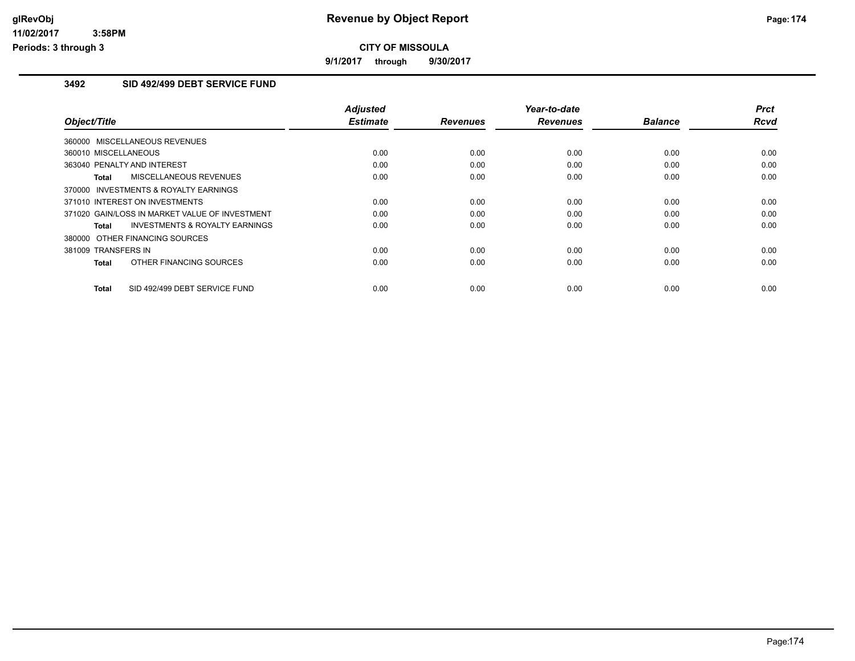**CITY OF MISSOULA**

**9/1/2017 through 9/30/2017**

# **3492 SID 492/499 DEBT SERVICE FUND**

| Object/Title                                              | <b>Adjusted</b><br><b>Estimate</b> | <b>Revenues</b> | Year-to-date<br><b>Revenues</b> | <b>Balance</b> | <b>Prct</b><br><b>Rcvd</b> |
|-----------------------------------------------------------|------------------------------------|-----------------|---------------------------------|----------------|----------------------------|
| 360000 MISCELLANEOUS REVENUES                             |                                    |                 |                                 |                |                            |
| 360010 MISCELLANEOUS                                      | 0.00                               | 0.00            | 0.00                            | 0.00           | 0.00                       |
| 363040 PENALTY AND INTEREST                               | 0.00                               | 0.00            | 0.00                            | 0.00           | 0.00                       |
| MISCELLANEOUS REVENUES<br><b>Total</b>                    | 0.00                               | 0.00            | 0.00                            | 0.00           | 0.00                       |
| 370000 INVESTMENTS & ROYALTY EARNINGS                     |                                    |                 |                                 |                |                            |
| 371010 INTEREST ON INVESTMENTS                            | 0.00                               | 0.00            | 0.00                            | 0.00           | 0.00                       |
| 371020 GAIN/LOSS IN MARKET VALUE OF INVESTMENT            | 0.00                               | 0.00            | 0.00                            | 0.00           | 0.00                       |
| <b>INVESTMENTS &amp; ROYALTY EARNINGS</b><br><b>Total</b> | 0.00                               | 0.00            | 0.00                            | 0.00           | 0.00                       |
| 380000 OTHER FINANCING SOURCES                            |                                    |                 |                                 |                |                            |
| 381009 TRANSFERS IN                                       | 0.00                               | 0.00            | 0.00                            | 0.00           | 0.00                       |
| OTHER FINANCING SOURCES<br><b>Total</b>                   | 0.00                               | 0.00            | 0.00                            | 0.00           | 0.00                       |
| SID 492/499 DEBT SERVICE FUND<br><b>Total</b>             | 0.00                               | 0.00            | 0.00                            | 0.00           | 0.00                       |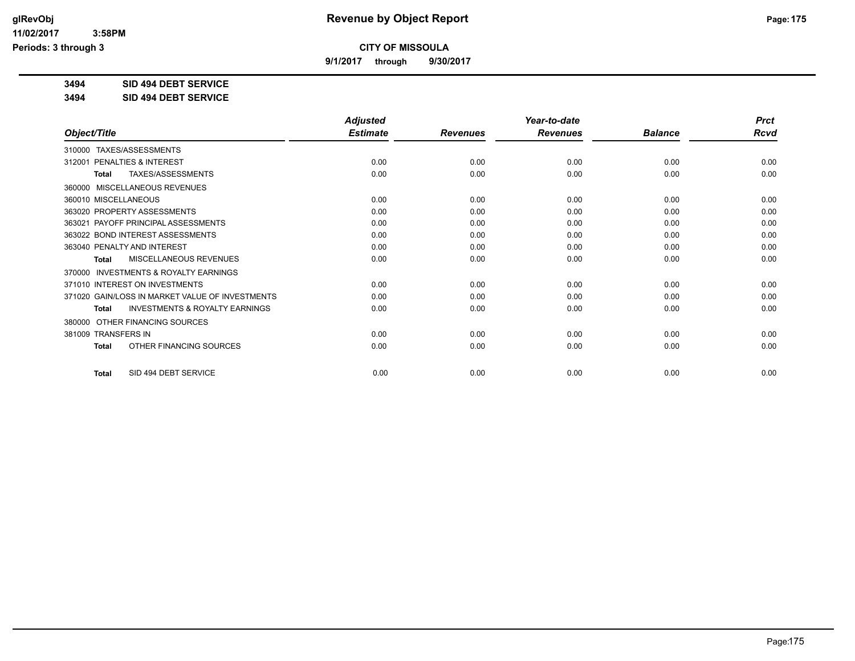**9/1/2017 through 9/30/2017**

**3494 SID 494 DEBT SERVICE**

**3494 SID 494 DEBT SERVICE**

|                                                           | <b>Adjusted</b> |                 | Year-to-date    |                | <b>Prct</b> |
|-----------------------------------------------------------|-----------------|-----------------|-----------------|----------------|-------------|
| Object/Title                                              | <b>Estimate</b> | <b>Revenues</b> | <b>Revenues</b> | <b>Balance</b> | <b>Rcvd</b> |
| TAXES/ASSESSMENTS<br>310000                               |                 |                 |                 |                |             |
| PENALTIES & INTEREST<br>312001                            | 0.00            | 0.00            | 0.00            | 0.00           | 0.00        |
| TAXES/ASSESSMENTS<br><b>Total</b>                         | 0.00            | 0.00            | 0.00            | 0.00           | 0.00        |
| MISCELLANEOUS REVENUES<br>360000                          |                 |                 |                 |                |             |
| 360010 MISCELLANEOUS                                      | 0.00            | 0.00            | 0.00            | 0.00           | 0.00        |
| 363020 PROPERTY ASSESSMENTS                               | 0.00            | 0.00            | 0.00            | 0.00           | 0.00        |
| 363021 PAYOFF PRINCIPAL ASSESSMENTS                       | 0.00            | 0.00            | 0.00            | 0.00           | 0.00        |
| 363022 BOND INTEREST ASSESSMENTS                          | 0.00            | 0.00            | 0.00            | 0.00           | 0.00        |
| 363040 PENALTY AND INTEREST                               | 0.00            | 0.00            | 0.00            | 0.00           | 0.00        |
| MISCELLANEOUS REVENUES<br>Total                           | 0.00            | 0.00            | 0.00            | 0.00           | 0.00        |
| <b>INVESTMENTS &amp; ROYALTY EARNINGS</b><br>370000       |                 |                 |                 |                |             |
| 371010 INTEREST ON INVESTMENTS                            | 0.00            | 0.00            | 0.00            | 0.00           | 0.00        |
| 371020 GAIN/LOSS IN MARKET VALUE OF INVESTMENTS           | 0.00            | 0.00            | 0.00            | 0.00           | 0.00        |
| <b>INVESTMENTS &amp; ROYALTY EARNINGS</b><br><b>Total</b> | 0.00            | 0.00            | 0.00            | 0.00           | 0.00        |
| OTHER FINANCING SOURCES<br>380000                         |                 |                 |                 |                |             |
| 381009 TRANSFERS IN                                       | 0.00            | 0.00            | 0.00            | 0.00           | 0.00        |
| OTHER FINANCING SOURCES<br><b>Total</b>                   | 0.00            | 0.00            | 0.00            | 0.00           | 0.00        |
| SID 494 DEBT SERVICE<br><b>Total</b>                      | 0.00            | 0.00            | 0.00            | 0.00           | 0.00        |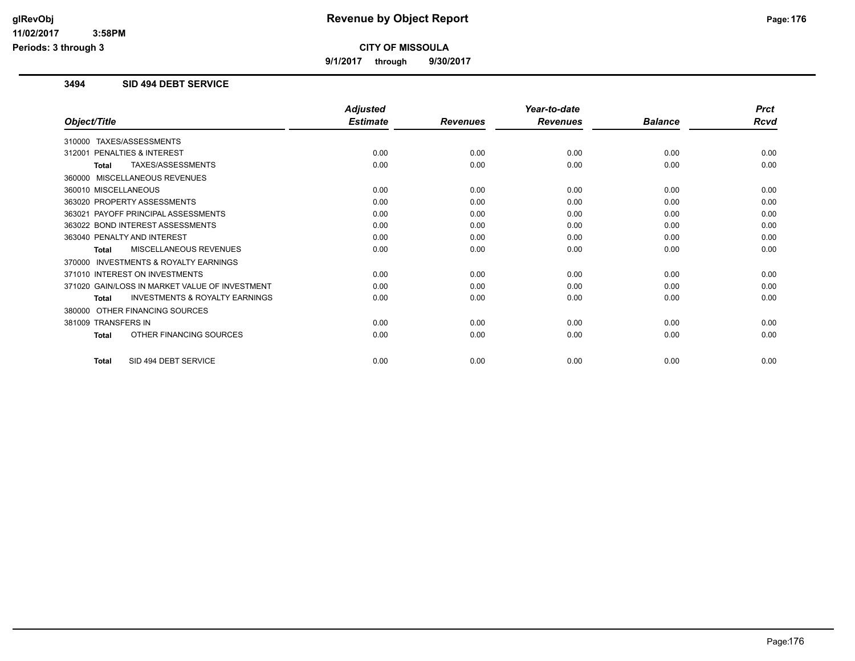**CITY OF MISSOULA**

**9/1/2017 through 9/30/2017**

### **3494 SID 494 DEBT SERVICE**

 **3:58PM**

|                                                           | <b>Adjusted</b> |                 | Year-to-date    |                | <b>Prct</b> |
|-----------------------------------------------------------|-----------------|-----------------|-----------------|----------------|-------------|
| Object/Title                                              | <b>Estimate</b> | <b>Revenues</b> | <b>Revenues</b> | <b>Balance</b> | <b>Rcvd</b> |
| 310000 TAXES/ASSESSMENTS                                  |                 |                 |                 |                |             |
| PENALTIES & INTEREST<br>312001                            | 0.00            | 0.00            | 0.00            | 0.00           | 0.00        |
| TAXES/ASSESSMENTS<br><b>Total</b>                         | 0.00            | 0.00            | 0.00            | 0.00           | 0.00        |
| 360000 MISCELLANEOUS REVENUES                             |                 |                 |                 |                |             |
| 360010 MISCELLANEOUS                                      | 0.00            | 0.00            | 0.00            | 0.00           | 0.00        |
| 363020 PROPERTY ASSESSMENTS                               | 0.00            | 0.00            | 0.00            | 0.00           | 0.00        |
| 363021 PAYOFF PRINCIPAL ASSESSMENTS                       | 0.00            | 0.00            | 0.00            | 0.00           | 0.00        |
| 363022 BOND INTEREST ASSESSMENTS                          | 0.00            | 0.00            | 0.00            | 0.00           | 0.00        |
| 363040 PENALTY AND INTEREST                               | 0.00            | 0.00            | 0.00            | 0.00           | 0.00        |
| MISCELLANEOUS REVENUES<br><b>Total</b>                    | 0.00            | 0.00            | 0.00            | 0.00           | 0.00        |
| INVESTMENTS & ROYALTY EARNINGS<br>370000                  |                 |                 |                 |                |             |
| 371010 INTEREST ON INVESTMENTS                            | 0.00            | 0.00            | 0.00            | 0.00           | 0.00        |
| 371020 GAIN/LOSS IN MARKET VALUE OF INVESTMENT            | 0.00            | 0.00            | 0.00            | 0.00           | 0.00        |
| <b>INVESTMENTS &amp; ROYALTY EARNINGS</b><br><b>Total</b> | 0.00            | 0.00            | 0.00            | 0.00           | 0.00        |
| OTHER FINANCING SOURCES<br>380000                         |                 |                 |                 |                |             |
| 381009 TRANSFERS IN                                       | 0.00            | 0.00            | 0.00            | 0.00           | 0.00        |
| OTHER FINANCING SOURCES<br><b>Total</b>                   | 0.00            | 0.00            | 0.00            | 0.00           | 0.00        |
| SID 494 DEBT SERVICE<br><b>Total</b>                      | 0.00            | 0.00            | 0.00            | 0.00           | 0.00        |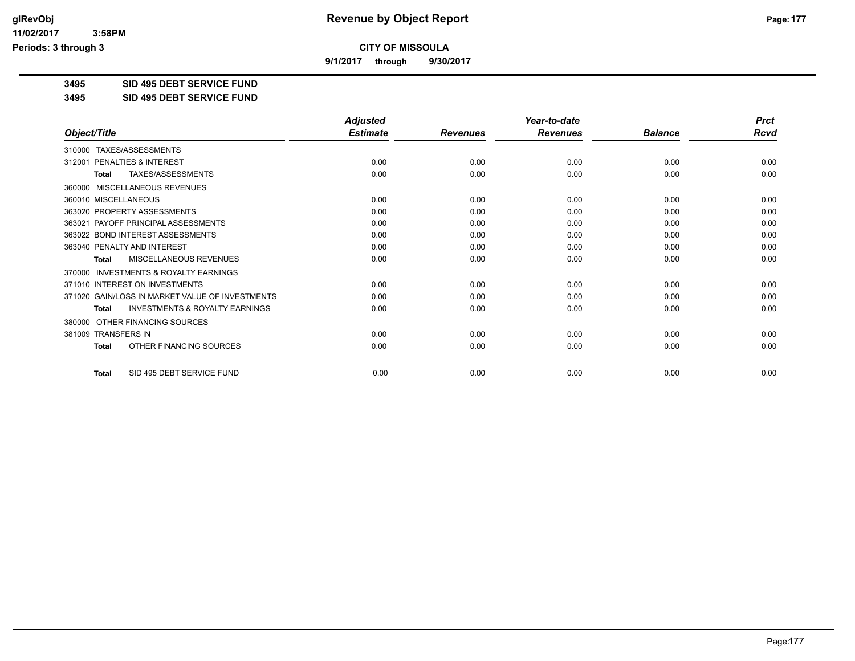**CITY OF MISSOULA**

**9/1/2017 through 9/30/2017**

**3495 SID 495 DEBT SERVICE FUND**

 **3:58PM**

**3495 SID 495 DEBT SERVICE FUND**

|                                                           | <b>Adjusted</b> |                 | Year-to-date    |                | <b>Prct</b> |
|-----------------------------------------------------------|-----------------|-----------------|-----------------|----------------|-------------|
| Object/Title                                              | <b>Estimate</b> | <b>Revenues</b> | <b>Revenues</b> | <b>Balance</b> | <b>Rcvd</b> |
| TAXES/ASSESSMENTS<br>310000                               |                 |                 |                 |                |             |
| PENALTIES & INTEREST<br>312001                            | 0.00            | 0.00            | 0.00            | 0.00           | 0.00        |
| TAXES/ASSESSMENTS<br>Total                                | 0.00            | 0.00            | 0.00            | 0.00           | 0.00        |
| MISCELLANEOUS REVENUES<br>360000                          |                 |                 |                 |                |             |
| 360010 MISCELLANEOUS                                      | 0.00            | 0.00            | 0.00            | 0.00           | 0.00        |
| 363020 PROPERTY ASSESSMENTS                               | 0.00            | 0.00            | 0.00            | 0.00           | 0.00        |
| 363021 PAYOFF PRINCIPAL ASSESSMENTS                       | 0.00            | 0.00            | 0.00            | 0.00           | 0.00        |
| 363022 BOND INTEREST ASSESSMENTS                          | 0.00            | 0.00            | 0.00            | 0.00           | 0.00        |
| 363040 PENALTY AND INTEREST                               | 0.00            | 0.00            | 0.00            | 0.00           | 0.00        |
| MISCELLANEOUS REVENUES<br><b>Total</b>                    | 0.00            | 0.00            | 0.00            | 0.00           | 0.00        |
| <b>INVESTMENTS &amp; ROYALTY EARNINGS</b><br>370000       |                 |                 |                 |                |             |
| 371010 INTEREST ON INVESTMENTS                            | 0.00            | 0.00            | 0.00            | 0.00           | 0.00        |
| 371020 GAIN/LOSS IN MARKET VALUE OF INVESTMENTS           | 0.00            | 0.00            | 0.00            | 0.00           | 0.00        |
| <b>INVESTMENTS &amp; ROYALTY EARNINGS</b><br><b>Total</b> | 0.00            | 0.00            | 0.00            | 0.00           | 0.00        |
| OTHER FINANCING SOURCES<br>380000                         |                 |                 |                 |                |             |
| 381009 TRANSFERS IN                                       | 0.00            | 0.00            | 0.00            | 0.00           | 0.00        |
| OTHER FINANCING SOURCES<br>Total                          | 0.00            | 0.00            | 0.00            | 0.00           | 0.00        |
| SID 495 DEBT SERVICE FUND<br><b>Total</b>                 | 0.00            | 0.00            | 0.00            | 0.00           | 0.00        |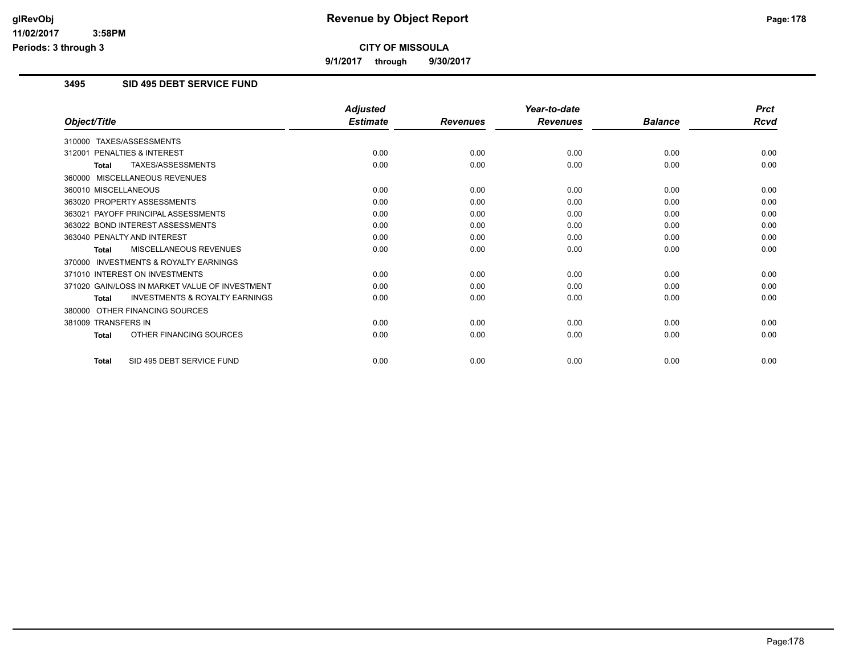**CITY OF MISSOULA**

**9/1/2017 through 9/30/2017**

# **3495 SID 495 DEBT SERVICE FUND**

 **3:58PM**

|                                                           | <b>Adjusted</b> |                 | Year-to-date    |                | <b>Prct</b> |
|-----------------------------------------------------------|-----------------|-----------------|-----------------|----------------|-------------|
| Object/Title                                              | <b>Estimate</b> | <b>Revenues</b> | <b>Revenues</b> | <b>Balance</b> | <b>Rcvd</b> |
| 310000 TAXES/ASSESSMENTS                                  |                 |                 |                 |                |             |
| PENALTIES & INTEREST<br>312001                            | 0.00            | 0.00            | 0.00            | 0.00           | 0.00        |
| TAXES/ASSESSMENTS<br><b>Total</b>                         | 0.00            | 0.00            | 0.00            | 0.00           | 0.00        |
| 360000 MISCELLANEOUS REVENUES                             |                 |                 |                 |                |             |
| 360010 MISCELLANEOUS                                      | 0.00            | 0.00            | 0.00            | 0.00           | 0.00        |
| 363020 PROPERTY ASSESSMENTS                               | 0.00            | 0.00            | 0.00            | 0.00           | 0.00        |
| 363021 PAYOFF PRINCIPAL ASSESSMENTS                       | 0.00            | 0.00            | 0.00            | 0.00           | 0.00        |
| 363022 BOND INTEREST ASSESSMENTS                          | 0.00            | 0.00            | 0.00            | 0.00           | 0.00        |
| 363040 PENALTY AND INTEREST                               | 0.00            | 0.00            | 0.00            | 0.00           | 0.00        |
| <b>MISCELLANEOUS REVENUES</b><br><b>Total</b>             | 0.00            | 0.00            | 0.00            | 0.00           | 0.00        |
| INVESTMENTS & ROYALTY EARNINGS<br>370000                  |                 |                 |                 |                |             |
| 371010 INTEREST ON INVESTMENTS                            | 0.00            | 0.00            | 0.00            | 0.00           | 0.00        |
| 371020 GAIN/LOSS IN MARKET VALUE OF INVESTMENT            | 0.00            | 0.00            | 0.00            | 0.00           | 0.00        |
| <b>INVESTMENTS &amp; ROYALTY EARNINGS</b><br><b>Total</b> | 0.00            | 0.00            | 0.00            | 0.00           | 0.00        |
| 380000 OTHER FINANCING SOURCES                            |                 |                 |                 |                |             |
| 381009 TRANSFERS IN                                       | 0.00            | 0.00            | 0.00            | 0.00           | 0.00        |
| OTHER FINANCING SOURCES<br><b>Total</b>                   | 0.00            | 0.00            | 0.00            | 0.00           | 0.00        |
| SID 495 DEBT SERVICE FUND<br><b>Total</b>                 | 0.00            | 0.00            | 0.00            | 0.00           | 0.00        |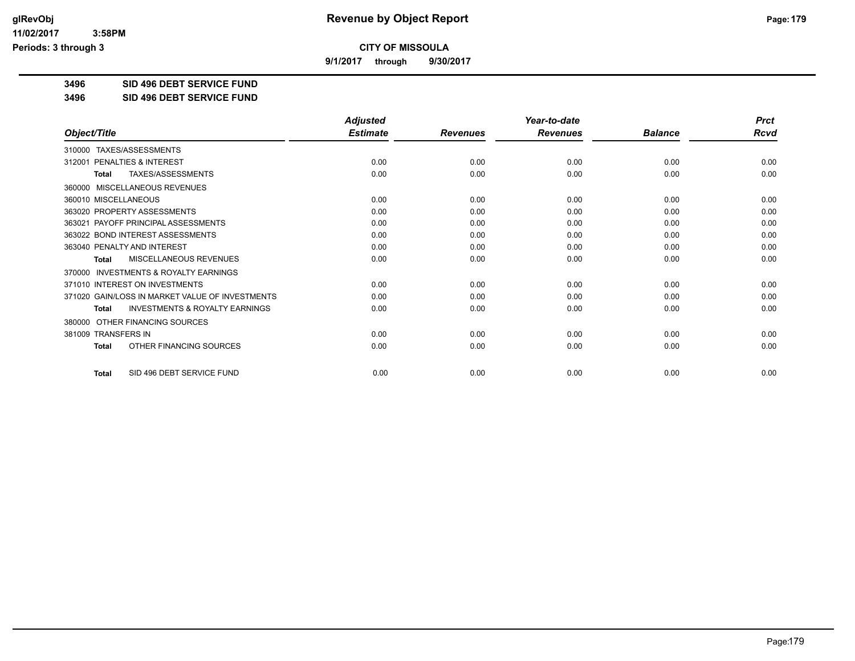**CITY OF MISSOULA**

**9/1/2017 through 9/30/2017**

**3496 SID 496 DEBT SERVICE FUND**

 **3:58PM**

**3496 SID 496 DEBT SERVICE FUND**

|                                                           | <b>Adjusted</b> |                 | Year-to-date    |                | <b>Prct</b> |
|-----------------------------------------------------------|-----------------|-----------------|-----------------|----------------|-------------|
| Object/Title                                              | <b>Estimate</b> | <b>Revenues</b> | <b>Revenues</b> | <b>Balance</b> | <b>Rcvd</b> |
| TAXES/ASSESSMENTS<br>310000                               |                 |                 |                 |                |             |
| PENALTIES & INTEREST<br>312001                            | 0.00            | 0.00            | 0.00            | 0.00           | 0.00        |
| TAXES/ASSESSMENTS<br>Total                                | 0.00            | 0.00            | 0.00            | 0.00           | 0.00        |
| MISCELLANEOUS REVENUES<br>360000                          |                 |                 |                 |                |             |
| 360010 MISCELLANEOUS                                      | 0.00            | 0.00            | 0.00            | 0.00           | 0.00        |
| 363020 PROPERTY ASSESSMENTS                               | 0.00            | 0.00            | 0.00            | 0.00           | 0.00        |
| 363021 PAYOFF PRINCIPAL ASSESSMENTS                       | 0.00            | 0.00            | 0.00            | 0.00           | 0.00        |
| 363022 BOND INTEREST ASSESSMENTS                          | 0.00            | 0.00            | 0.00            | 0.00           | 0.00        |
| 363040 PENALTY AND INTEREST                               | 0.00            | 0.00            | 0.00            | 0.00           | 0.00        |
| MISCELLANEOUS REVENUES<br><b>Total</b>                    | 0.00            | 0.00            | 0.00            | 0.00           | 0.00        |
| <b>INVESTMENTS &amp; ROYALTY EARNINGS</b><br>370000       |                 |                 |                 |                |             |
| 371010 INTEREST ON INVESTMENTS                            | 0.00            | 0.00            | 0.00            | 0.00           | 0.00        |
| 371020 GAIN/LOSS IN MARKET VALUE OF INVESTMENTS           | 0.00            | 0.00            | 0.00            | 0.00           | 0.00        |
| <b>INVESTMENTS &amp; ROYALTY EARNINGS</b><br><b>Total</b> | 0.00            | 0.00            | 0.00            | 0.00           | 0.00        |
| OTHER FINANCING SOURCES<br>380000                         |                 |                 |                 |                |             |
| 381009 TRANSFERS IN                                       | 0.00            | 0.00            | 0.00            | 0.00           | 0.00        |
| OTHER FINANCING SOURCES<br>Total                          | 0.00            | 0.00            | 0.00            | 0.00           | 0.00        |
| SID 496 DEBT SERVICE FUND<br><b>Total</b>                 | 0.00            | 0.00            | 0.00            | 0.00           | 0.00        |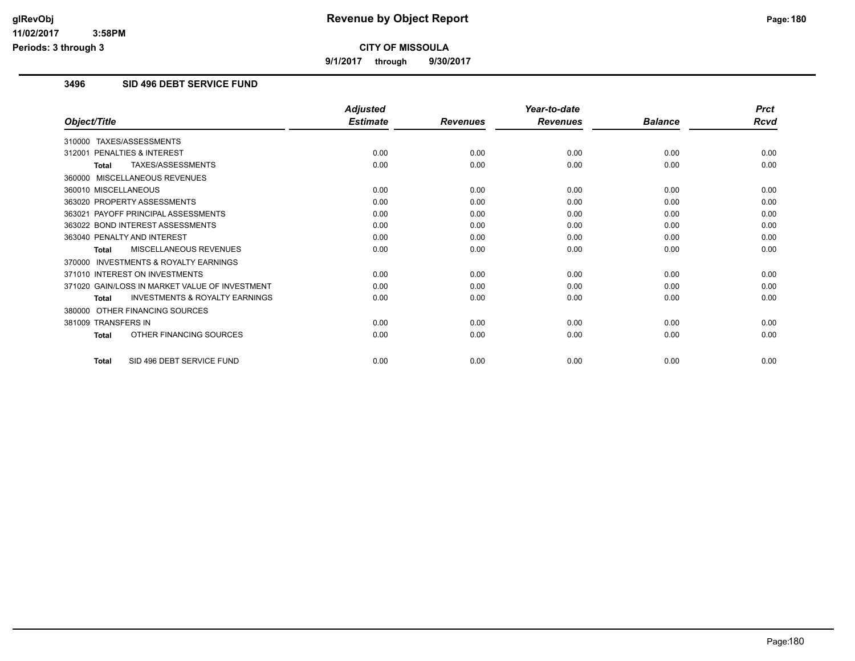**CITY OF MISSOULA**

**9/1/2017 through 9/30/2017**

### **3496 SID 496 DEBT SERVICE FUND**

 **3:58PM**

|                                                           | <b>Adjusted</b> |                 | Year-to-date    |                | <b>Prct</b> |
|-----------------------------------------------------------|-----------------|-----------------|-----------------|----------------|-------------|
| Object/Title                                              | <b>Estimate</b> | <b>Revenues</b> | <b>Revenues</b> | <b>Balance</b> | <b>Rcvd</b> |
| 310000 TAXES/ASSESSMENTS                                  |                 |                 |                 |                |             |
| PENALTIES & INTEREST<br>312001                            | 0.00            | 0.00            | 0.00            | 0.00           | 0.00        |
| TAXES/ASSESSMENTS<br><b>Total</b>                         | 0.00            | 0.00            | 0.00            | 0.00           | 0.00        |
| 360000 MISCELLANEOUS REVENUES                             |                 |                 |                 |                |             |
| 360010 MISCELLANEOUS                                      | 0.00            | 0.00            | 0.00            | 0.00           | 0.00        |
| 363020 PROPERTY ASSESSMENTS                               | 0.00            | 0.00            | 0.00            | 0.00           | 0.00        |
| 363021 PAYOFF PRINCIPAL ASSESSMENTS                       | 0.00            | 0.00            | 0.00            | 0.00           | 0.00        |
| 363022 BOND INTEREST ASSESSMENTS                          | 0.00            | 0.00            | 0.00            | 0.00           | 0.00        |
| 363040 PENALTY AND INTEREST                               | 0.00            | 0.00            | 0.00            | 0.00           | 0.00        |
| MISCELLANEOUS REVENUES<br><b>Total</b>                    | 0.00            | 0.00            | 0.00            | 0.00           | 0.00        |
| <b>INVESTMENTS &amp; ROYALTY EARNINGS</b><br>370000       |                 |                 |                 |                |             |
| 371010 INTEREST ON INVESTMENTS                            | 0.00            | 0.00            | 0.00            | 0.00           | 0.00        |
| 371020 GAIN/LOSS IN MARKET VALUE OF INVESTMENT            | 0.00            | 0.00            | 0.00            | 0.00           | 0.00        |
| <b>INVESTMENTS &amp; ROYALTY EARNINGS</b><br><b>Total</b> | 0.00            | 0.00            | 0.00            | 0.00           | 0.00        |
| 380000 OTHER FINANCING SOURCES                            |                 |                 |                 |                |             |
| 381009 TRANSFERS IN                                       | 0.00            | 0.00            | 0.00            | 0.00           | 0.00        |
| OTHER FINANCING SOURCES<br><b>Total</b>                   | 0.00            | 0.00            | 0.00            | 0.00           | 0.00        |
| SID 496 DEBT SERVICE FUND<br><b>Total</b>                 | 0.00            | 0.00            | 0.00            | 0.00           | 0.00        |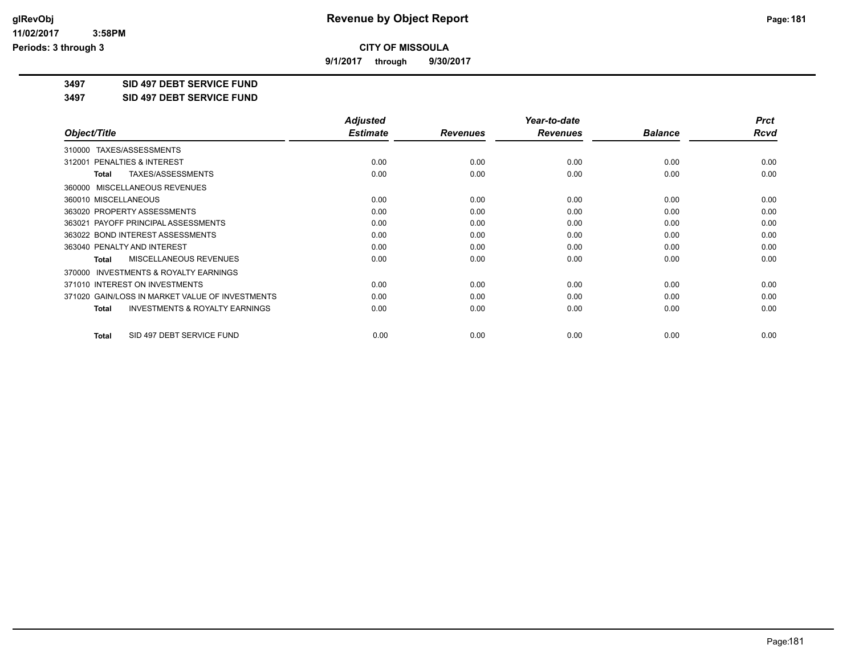**glRevObj Revenue by Object Report Page:181** 

**CITY OF MISSOULA**

**9/1/2017 through 9/30/2017**

**3497 SID 497 DEBT SERVICE FUND**

 **3:58PM**

**3497 SID 497 DEBT SERVICE FUND**

|                                                     | <b>Adjusted</b> |                 | Year-to-date    |                | <b>Prct</b> |
|-----------------------------------------------------|-----------------|-----------------|-----------------|----------------|-------------|
| Object/Title                                        | <b>Estimate</b> | <b>Revenues</b> | <b>Revenues</b> | <b>Balance</b> | Rcvd        |
| 310000 TAXES/ASSESSMENTS                            |                 |                 |                 |                |             |
| <b>PENALTIES &amp; INTEREST</b><br>312001           | 0.00            | 0.00            | 0.00            | 0.00           | 0.00        |
| TAXES/ASSESSMENTS<br><b>Total</b>                   | 0.00            | 0.00            | 0.00            | 0.00           | 0.00        |
| 360000 MISCELLANEOUS REVENUES                       |                 |                 |                 |                |             |
| 360010 MISCELLANEOUS                                | 0.00            | 0.00            | 0.00            | 0.00           | 0.00        |
| 363020 PROPERTY ASSESSMENTS                         | 0.00            | 0.00            | 0.00            | 0.00           | 0.00        |
| 363021 PAYOFF PRINCIPAL ASSESSMENTS                 | 0.00            | 0.00            | 0.00            | 0.00           | 0.00        |
| 363022 BOND INTEREST ASSESSMENTS                    | 0.00            | 0.00            | 0.00            | 0.00           | 0.00        |
| 363040 PENALTY AND INTEREST                         | 0.00            | 0.00            | 0.00            | 0.00           | 0.00        |
| <b>MISCELLANEOUS REVENUES</b><br><b>Total</b>       | 0.00            | 0.00            | 0.00            | 0.00           | 0.00        |
| <b>INVESTMENTS &amp; ROYALTY EARNINGS</b><br>370000 |                 |                 |                 |                |             |
| 371010 INTEREST ON INVESTMENTS                      | 0.00            | 0.00            | 0.00            | 0.00           | 0.00        |
| 371020 GAIN/LOSS IN MARKET VALUE OF INVESTMENTS     | 0.00            | 0.00            | 0.00            | 0.00           | 0.00        |
| <b>INVESTMENTS &amp; ROYALTY EARNINGS</b><br>Total  | 0.00            | 0.00            | 0.00            | 0.00           | 0.00        |
| SID 497 DEBT SERVICE FUND<br><b>Total</b>           | 0.00            | 0.00            | 0.00            | 0.00           | 0.00        |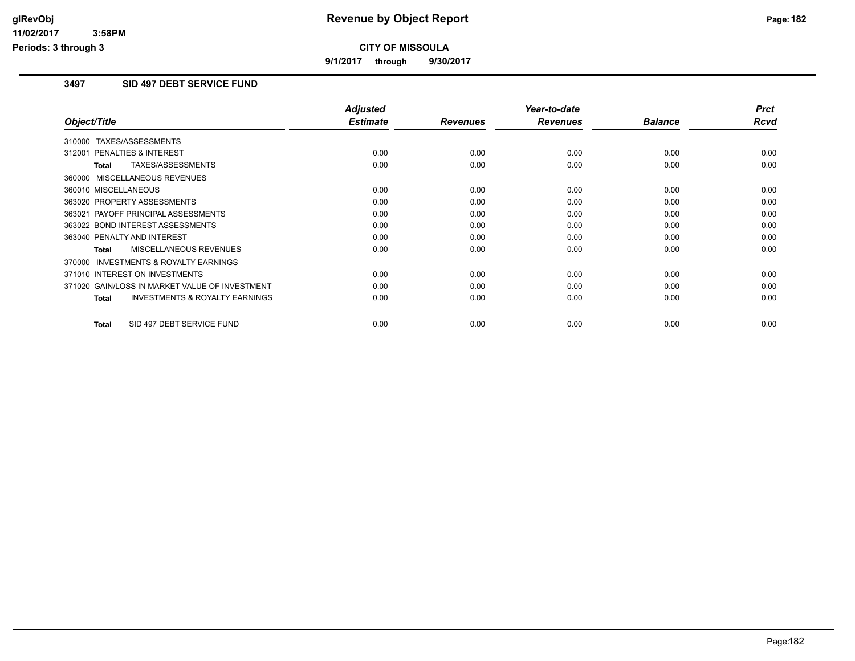**CITY OF MISSOULA**

**9/1/2017 through 9/30/2017**

## **3497 SID 497 DEBT SERVICE FUND**

| Object/Title                                       | <b>Adjusted</b><br><b>Estimate</b> | <b>Revenues</b> | Year-to-date<br><b>Revenues</b> | <b>Balance</b> | <b>Prct</b><br>Rcvd |
|----------------------------------------------------|------------------------------------|-----------------|---------------------------------|----------------|---------------------|
|                                                    |                                    |                 |                                 |                |                     |
| 310000 TAXES/ASSESSMENTS                           |                                    |                 |                                 |                |                     |
| 312001 PENALTIES & INTEREST                        | 0.00                               | 0.00            | 0.00                            | 0.00           | 0.00                |
| TAXES/ASSESSMENTS<br>Total                         | 0.00                               | 0.00            | 0.00                            | 0.00           | 0.00                |
| 360000 MISCELLANEOUS REVENUES                      |                                    |                 |                                 |                |                     |
| 360010 MISCELLANEOUS                               | 0.00                               | 0.00            | 0.00                            | 0.00           | 0.00                |
| 363020 PROPERTY ASSESSMENTS                        | 0.00                               | 0.00            | 0.00                            | 0.00           | 0.00                |
| 363021 PAYOFF PRINCIPAL ASSESSMENTS                | 0.00                               | 0.00            | 0.00                            | 0.00           | 0.00                |
| 363022 BOND INTEREST ASSESSMENTS                   | 0.00                               | 0.00            | 0.00                            | 0.00           | 0.00                |
| 363040 PENALTY AND INTEREST                        | 0.00                               | 0.00            | 0.00                            | 0.00           | 0.00                |
| <b>MISCELLANEOUS REVENUES</b><br>Total             | 0.00                               | 0.00            | 0.00                            | 0.00           | 0.00                |
| INVESTMENTS & ROYALTY EARNINGS<br>370000           |                                    |                 |                                 |                |                     |
| 371010 INTEREST ON INVESTMENTS                     | 0.00                               | 0.00            | 0.00                            | 0.00           | 0.00                |
| 371020 GAIN/LOSS IN MARKET VALUE OF INVESTMENT     | 0.00                               | 0.00            | 0.00                            | 0.00           | 0.00                |
| <b>INVESTMENTS &amp; ROYALTY EARNINGS</b><br>Total | 0.00                               | 0.00            | 0.00                            | 0.00           | 0.00                |
| SID 497 DEBT SERVICE FUND<br><b>Total</b>          | 0.00                               | 0.00            | 0.00                            | 0.00           | 0.00                |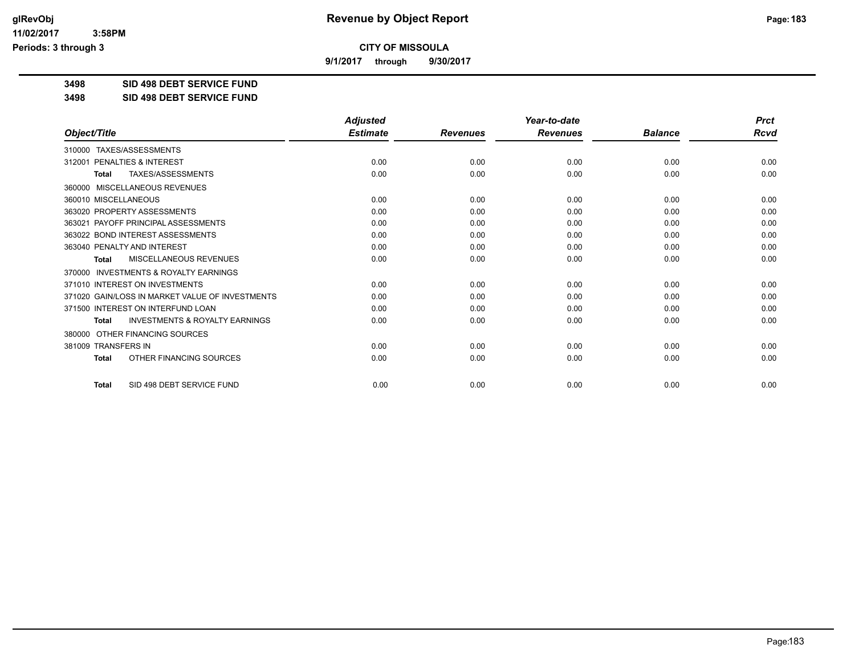**11/02/2017 3:58PM Periods: 3 through 3**

**CITY OF MISSOULA**

**9/1/2017 through 9/30/2017**

**3498 SID 498 DEBT SERVICE FUND**

**3498 SID 498 DEBT SERVICE FUND**

|                                                           | <b>Adjusted</b> |                 | Year-to-date    |                | <b>Prct</b> |
|-----------------------------------------------------------|-----------------|-----------------|-----------------|----------------|-------------|
| Object/Title                                              | <b>Estimate</b> | <b>Revenues</b> | <b>Revenues</b> | <b>Balance</b> | Rcvd        |
| <b>TAXES/ASSESSMENTS</b><br>310000                        |                 |                 |                 |                |             |
| PENALTIES & INTEREST<br>312001                            | 0.00            | 0.00            | 0.00            | 0.00           | 0.00        |
| TAXES/ASSESSMENTS<br><b>Total</b>                         | 0.00            | 0.00            | 0.00            | 0.00           | 0.00        |
| 360000 MISCELLANEOUS REVENUES                             |                 |                 |                 |                |             |
| 360010 MISCELLANEOUS                                      | 0.00            | 0.00            | 0.00            | 0.00           | 0.00        |
| 363020 PROPERTY ASSESSMENTS                               | 0.00            | 0.00            | 0.00            | 0.00           | 0.00        |
| PAYOFF PRINCIPAL ASSESSMENTS<br>363021                    | 0.00            | 0.00            | 0.00            | 0.00           | 0.00        |
| 363022 BOND INTEREST ASSESSMENTS                          | 0.00            | 0.00            | 0.00            | 0.00           | 0.00        |
| 363040 PENALTY AND INTEREST                               | 0.00            | 0.00            | 0.00            | 0.00           | 0.00        |
| MISCELLANEOUS REVENUES<br><b>Total</b>                    | 0.00            | 0.00            | 0.00            | 0.00           | 0.00        |
| 370000 INVESTMENTS & ROYALTY EARNINGS                     |                 |                 |                 |                |             |
| 371010 INTEREST ON INVESTMENTS                            | 0.00            | 0.00            | 0.00            | 0.00           | 0.00        |
| 371020 GAIN/LOSS IN MARKET VALUE OF INVESTMENTS           | 0.00            | 0.00            | 0.00            | 0.00           | 0.00        |
| 371500 INTEREST ON INTERFUND LOAN                         | 0.00            | 0.00            | 0.00            | 0.00           | 0.00        |
| <b>INVESTMENTS &amp; ROYALTY EARNINGS</b><br><b>Total</b> | 0.00            | 0.00            | 0.00            | 0.00           | 0.00        |
| 380000 OTHER FINANCING SOURCES                            |                 |                 |                 |                |             |
| 381009 TRANSFERS IN                                       | 0.00            | 0.00            | 0.00            | 0.00           | 0.00        |
| OTHER FINANCING SOURCES<br><b>Total</b>                   | 0.00            | 0.00            | 0.00            | 0.00           | 0.00        |
| SID 498 DEBT SERVICE FUND<br><b>Total</b>                 | 0.00            | 0.00            | 0.00            | 0.00           | 0.00        |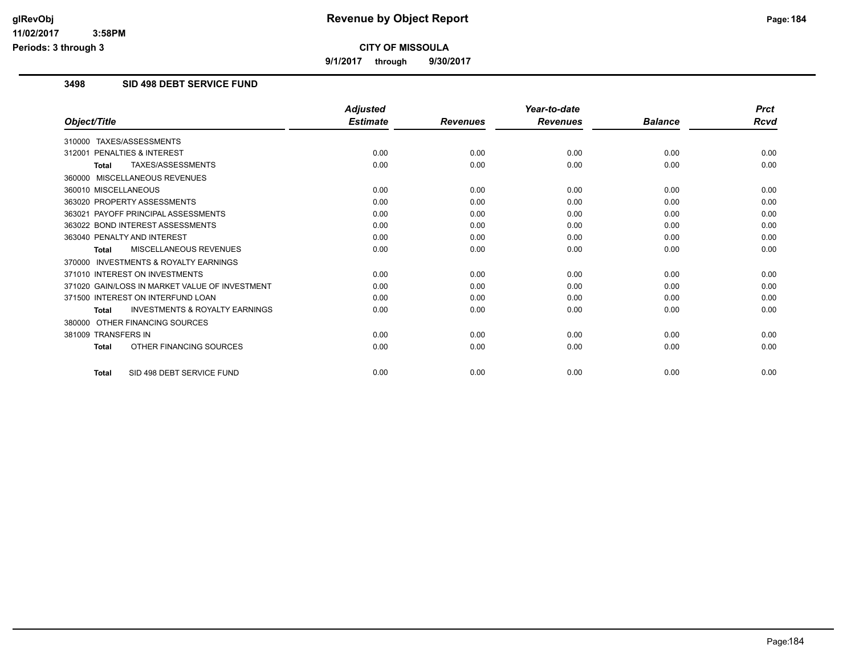**CITY OF MISSOULA**

**9/1/2017 through 9/30/2017**

#### **3498 SID 498 DEBT SERVICE FUND**

|                                                    | <b>Adjusted</b> |                 | Year-to-date    |                | <b>Prct</b> |
|----------------------------------------------------|-----------------|-----------------|-----------------|----------------|-------------|
| Object/Title                                       | <b>Estimate</b> | <b>Revenues</b> | <b>Revenues</b> | <b>Balance</b> | <b>Rcvd</b> |
| 310000 TAXES/ASSESSMENTS                           |                 |                 |                 |                |             |
| PENALTIES & INTEREST<br>312001                     | 0.00            | 0.00            | 0.00            | 0.00           | 0.00        |
| TAXES/ASSESSMENTS<br>Total                         | 0.00            | 0.00            | 0.00            | 0.00           | 0.00        |
| 360000 MISCELLANEOUS REVENUES                      |                 |                 |                 |                |             |
| 360010 MISCELLANEOUS                               | 0.00            | 0.00            | 0.00            | 0.00           | 0.00        |
| 363020 PROPERTY ASSESSMENTS                        | 0.00            | 0.00            | 0.00            | 0.00           | 0.00        |
| 363021 PAYOFF PRINCIPAL ASSESSMENTS                | 0.00            | 0.00            | 0.00            | 0.00           | 0.00        |
| 363022 BOND INTEREST ASSESSMENTS                   | 0.00            | 0.00            | 0.00            | 0.00           | 0.00        |
| 363040 PENALTY AND INTEREST                        | 0.00            | 0.00            | 0.00            | 0.00           | 0.00        |
| MISCELLANEOUS REVENUES<br><b>Total</b>             | 0.00            | 0.00            | 0.00            | 0.00           | 0.00        |
| 370000 INVESTMENTS & ROYALTY EARNINGS              |                 |                 |                 |                |             |
| 371010 INTEREST ON INVESTMENTS                     | 0.00            | 0.00            | 0.00            | 0.00           | 0.00        |
| 371020 GAIN/LOSS IN MARKET VALUE OF INVESTMENT     | 0.00            | 0.00            | 0.00            | 0.00           | 0.00        |
| 371500 INTEREST ON INTERFUND LOAN                  | 0.00            | 0.00            | 0.00            | 0.00           | 0.00        |
| <b>INVESTMENTS &amp; ROYALTY EARNINGS</b><br>Total | 0.00            | 0.00            | 0.00            | 0.00           | 0.00        |
| OTHER FINANCING SOURCES<br>380000                  |                 |                 |                 |                |             |
| 381009 TRANSFERS IN                                | 0.00            | 0.00            | 0.00            | 0.00           | 0.00        |
| OTHER FINANCING SOURCES<br><b>Total</b>            | 0.00            | 0.00            | 0.00            | 0.00           | 0.00        |
| SID 498 DEBT SERVICE FUND<br><b>Total</b>          | 0.00            | 0.00            | 0.00            | 0.00           | 0.00        |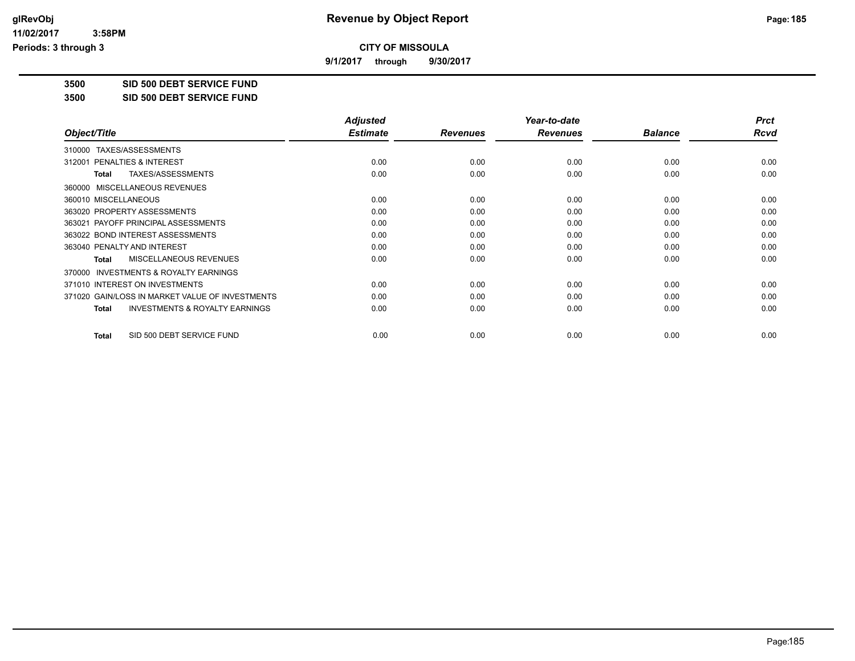**3:58PM**

**CITY OF MISSOULA**

**9/1/2017 through 9/30/2017**

**3500 SID 500 DEBT SERVICE FUND**

**3500 SID 500 DEBT SERVICE FUND**

|                                                     | <b>Adjusted</b> |                 | Year-to-date    |                | <b>Prct</b> |
|-----------------------------------------------------|-----------------|-----------------|-----------------|----------------|-------------|
| Object/Title                                        | <b>Estimate</b> | <b>Revenues</b> | <b>Revenues</b> | <b>Balance</b> | <b>Rcvd</b> |
| 310000 TAXES/ASSESSMENTS                            |                 |                 |                 |                |             |
| 312001 PENALTIES & INTEREST                         | 0.00            | 0.00            | 0.00            | 0.00           | 0.00        |
| TAXES/ASSESSMENTS<br>Total                          | 0.00            | 0.00            | 0.00            | 0.00           | 0.00        |
| 360000 MISCELLANEOUS REVENUES                       |                 |                 |                 |                |             |
| 360010 MISCELLANEOUS                                | 0.00            | 0.00            | 0.00            | 0.00           | 0.00        |
| 363020 PROPERTY ASSESSMENTS                         | 0.00            | 0.00            | 0.00            | 0.00           | 0.00        |
| 363021 PAYOFF PRINCIPAL ASSESSMENTS                 | 0.00            | 0.00            | 0.00            | 0.00           | 0.00        |
| 363022 BOND INTEREST ASSESSMENTS                    | 0.00            | 0.00            | 0.00            | 0.00           | 0.00        |
| 363040 PENALTY AND INTEREST                         | 0.00            | 0.00            | 0.00            | 0.00           | 0.00        |
| <b>MISCELLANEOUS REVENUES</b><br>Total              | 0.00            | 0.00            | 0.00            | 0.00           | 0.00        |
| <b>INVESTMENTS &amp; ROYALTY EARNINGS</b><br>370000 |                 |                 |                 |                |             |
| 371010 INTEREST ON INVESTMENTS                      | 0.00            | 0.00            | 0.00            | 0.00           | 0.00        |
| 371020 GAIN/LOSS IN MARKET VALUE OF INVESTMENTS     | 0.00            | 0.00            | 0.00            | 0.00           | 0.00        |
| <b>INVESTMENTS &amp; ROYALTY EARNINGS</b><br>Total  | 0.00            | 0.00            | 0.00            | 0.00           | 0.00        |
| SID 500 DEBT SERVICE FUND<br><b>Total</b>           | 0.00            | 0.00            | 0.00            | 0.00           | 0.00        |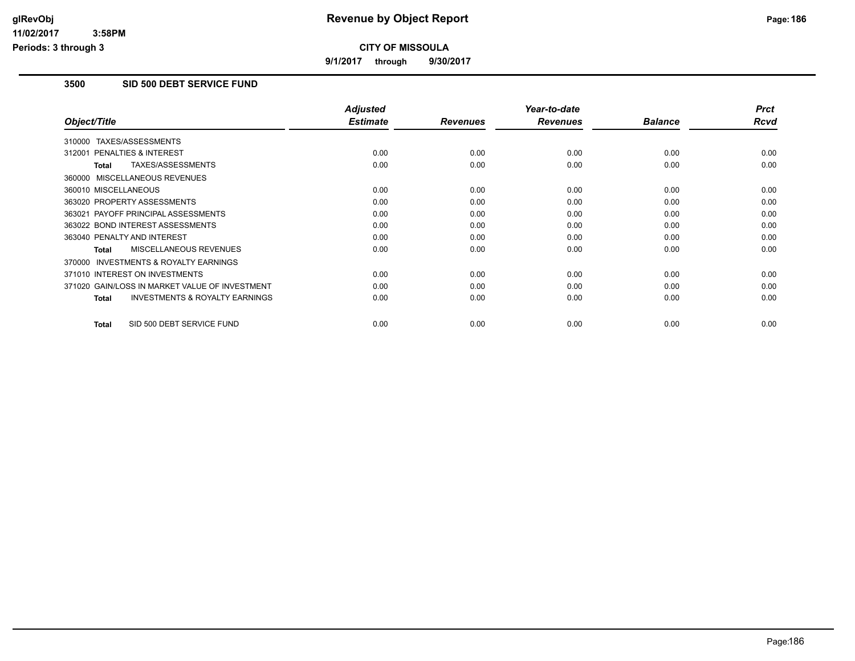**CITY OF MISSOULA**

**9/1/2017 through 9/30/2017**

## **3500 SID 500 DEBT SERVICE FUND**

|                                                    | <b>Adjusted</b> |                 | Year-to-date    |                | <b>Prct</b> |
|----------------------------------------------------|-----------------|-----------------|-----------------|----------------|-------------|
| Object/Title                                       | <b>Estimate</b> | <b>Revenues</b> | <b>Revenues</b> | <b>Balance</b> | Rcvd        |
| 310000 TAXES/ASSESSMENTS                           |                 |                 |                 |                |             |
| 312001 PENALTIES & INTEREST                        | 0.00            | 0.00            | 0.00            | 0.00           | 0.00        |
| TAXES/ASSESSMENTS<br>Total                         | 0.00            | 0.00            | 0.00            | 0.00           | 0.00        |
| 360000 MISCELLANEOUS REVENUES                      |                 |                 |                 |                |             |
| 360010 MISCELLANEOUS                               | 0.00            | 0.00            | 0.00            | 0.00           | 0.00        |
| 363020 PROPERTY ASSESSMENTS                        | 0.00            | 0.00            | 0.00            | 0.00           | 0.00        |
| 363021 PAYOFF PRINCIPAL ASSESSMENTS                | 0.00            | 0.00            | 0.00            | 0.00           | 0.00        |
| 363022 BOND INTEREST ASSESSMENTS                   | 0.00            | 0.00            | 0.00            | 0.00           | 0.00        |
| 363040 PENALTY AND INTEREST                        | 0.00            | 0.00            | 0.00            | 0.00           | 0.00        |
| MISCELLANEOUS REVENUES<br>Total                    | 0.00            | 0.00            | 0.00            | 0.00           | 0.00        |
| 370000 INVESTMENTS & ROYALTY EARNINGS              |                 |                 |                 |                |             |
| 371010 INTEREST ON INVESTMENTS                     | 0.00            | 0.00            | 0.00            | 0.00           | 0.00        |
| 371020 GAIN/LOSS IN MARKET VALUE OF INVESTMENT     | 0.00            | 0.00            | 0.00            | 0.00           | 0.00        |
| <b>INVESTMENTS &amp; ROYALTY EARNINGS</b><br>Total | 0.00            | 0.00            | 0.00            | 0.00           | 0.00        |
| SID 500 DEBT SERVICE FUND<br>Total                 | 0.00            | 0.00            | 0.00            | 0.00           | 0.00        |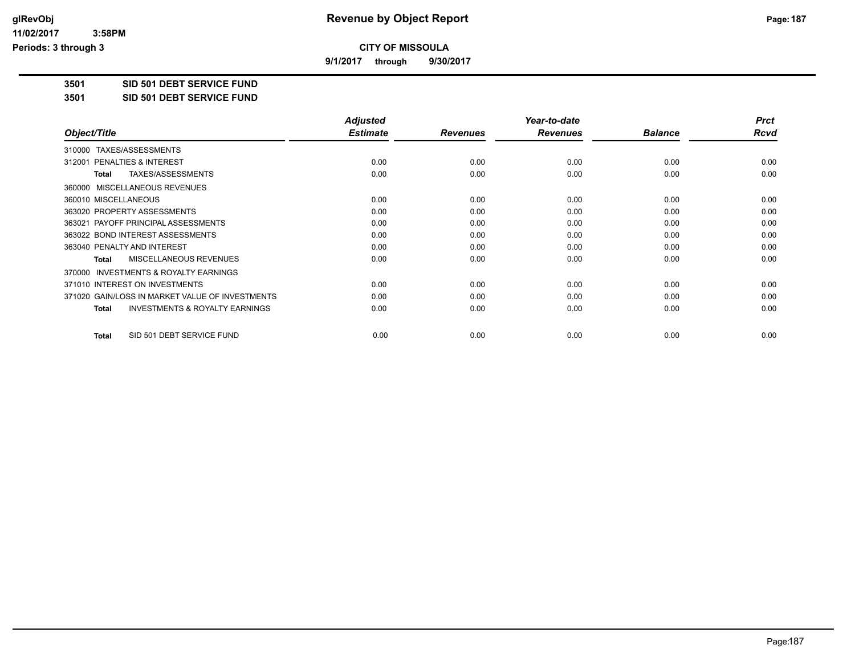**CITY OF MISSOULA**

**9/1/2017 through 9/30/2017**

**3501 SID 501 DEBT SERVICE FUND**

**3501 SID 501 DEBT SERVICE FUND**

|                                                     | <b>Adjusted</b> |                 | Year-to-date    |                | <b>Prct</b> |
|-----------------------------------------------------|-----------------|-----------------|-----------------|----------------|-------------|
| Object/Title                                        | <b>Estimate</b> | <b>Revenues</b> | <b>Revenues</b> | <b>Balance</b> | <b>Rcvd</b> |
| 310000 TAXES/ASSESSMENTS                            |                 |                 |                 |                |             |
| 312001 PENALTIES & INTEREST                         | 0.00            | 0.00            | 0.00            | 0.00           | 0.00        |
| TAXES/ASSESSMENTS<br>Total                          | 0.00            | 0.00            | 0.00            | 0.00           | 0.00        |
| 360000 MISCELLANEOUS REVENUES                       |                 |                 |                 |                |             |
| 360010 MISCELLANEOUS                                | 0.00            | 0.00            | 0.00            | 0.00           | 0.00        |
| 363020 PROPERTY ASSESSMENTS                         | 0.00            | 0.00            | 0.00            | 0.00           | 0.00        |
| 363021 PAYOFF PRINCIPAL ASSESSMENTS                 | 0.00            | 0.00            | 0.00            | 0.00           | 0.00        |
| 363022 BOND INTEREST ASSESSMENTS                    | 0.00            | 0.00            | 0.00            | 0.00           | 0.00        |
| 363040 PENALTY AND INTEREST                         | 0.00            | 0.00            | 0.00            | 0.00           | 0.00        |
| <b>MISCELLANEOUS REVENUES</b><br>Total              | 0.00            | 0.00            | 0.00            | 0.00           | 0.00        |
| <b>INVESTMENTS &amp; ROYALTY EARNINGS</b><br>370000 |                 |                 |                 |                |             |
| 371010 INTEREST ON INVESTMENTS                      | 0.00            | 0.00            | 0.00            | 0.00           | 0.00        |
| 371020 GAIN/LOSS IN MARKET VALUE OF INVESTMENTS     | 0.00            | 0.00            | 0.00            | 0.00           | 0.00        |
| <b>INVESTMENTS &amp; ROYALTY EARNINGS</b><br>Total  | 0.00            | 0.00            | 0.00            | 0.00           | 0.00        |
| SID 501 DEBT SERVICE FUND<br><b>Total</b>           | 0.00            | 0.00            | 0.00            | 0.00           | 0.00        |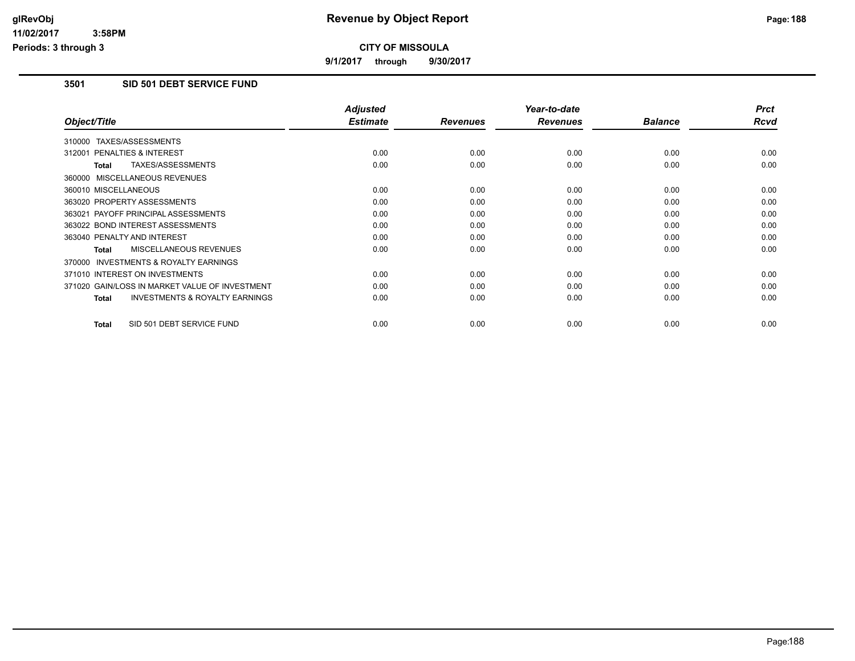**CITY OF MISSOULA**

**9/1/2017 through 9/30/2017**

#### **3501 SID 501 DEBT SERVICE FUND**

|                                                           | <b>Adjusted</b> |                 | Year-to-date    |                | <b>Prct</b> |
|-----------------------------------------------------------|-----------------|-----------------|-----------------|----------------|-------------|
| Object/Title                                              | <b>Estimate</b> | <b>Revenues</b> | <b>Revenues</b> | <b>Balance</b> | Rcvd        |
| 310000 TAXES/ASSESSMENTS                                  |                 |                 |                 |                |             |
| 312001 PENALTIES & INTEREST                               | 0.00            | 0.00            | 0.00            | 0.00           | 0.00        |
| TAXES/ASSESSMENTS<br><b>Total</b>                         | 0.00            | 0.00            | 0.00            | 0.00           | 0.00        |
| 360000 MISCELLANEOUS REVENUES                             |                 |                 |                 |                |             |
| 360010 MISCELLANEOUS                                      | 0.00            | 0.00            | 0.00            | 0.00           | 0.00        |
| 363020 PROPERTY ASSESSMENTS                               | 0.00            | 0.00            | 0.00            | 0.00           | 0.00        |
| 363021 PAYOFF PRINCIPAL ASSESSMENTS                       | 0.00            | 0.00            | 0.00            | 0.00           | 0.00        |
| 363022 BOND INTEREST ASSESSMENTS                          | 0.00            | 0.00            | 0.00            | 0.00           | 0.00        |
| 363040 PENALTY AND INTEREST                               | 0.00            | 0.00            | 0.00            | 0.00           | 0.00        |
| <b>MISCELLANEOUS REVENUES</b><br><b>Total</b>             | 0.00            | 0.00            | 0.00            | 0.00           | 0.00        |
| INVESTMENTS & ROYALTY EARNINGS<br>370000                  |                 |                 |                 |                |             |
| 371010 INTEREST ON INVESTMENTS                            | 0.00            | 0.00            | 0.00            | 0.00           | 0.00        |
| 371020 GAIN/LOSS IN MARKET VALUE OF INVESTMENT            | 0.00            | 0.00            | 0.00            | 0.00           | 0.00        |
| <b>INVESTMENTS &amp; ROYALTY EARNINGS</b><br><b>Total</b> | 0.00            | 0.00            | 0.00            | 0.00           | 0.00        |
| SID 501 DEBT SERVICE FUND<br><b>Total</b>                 | 0.00            | 0.00            | 0.00            | 0.00           | 0.00        |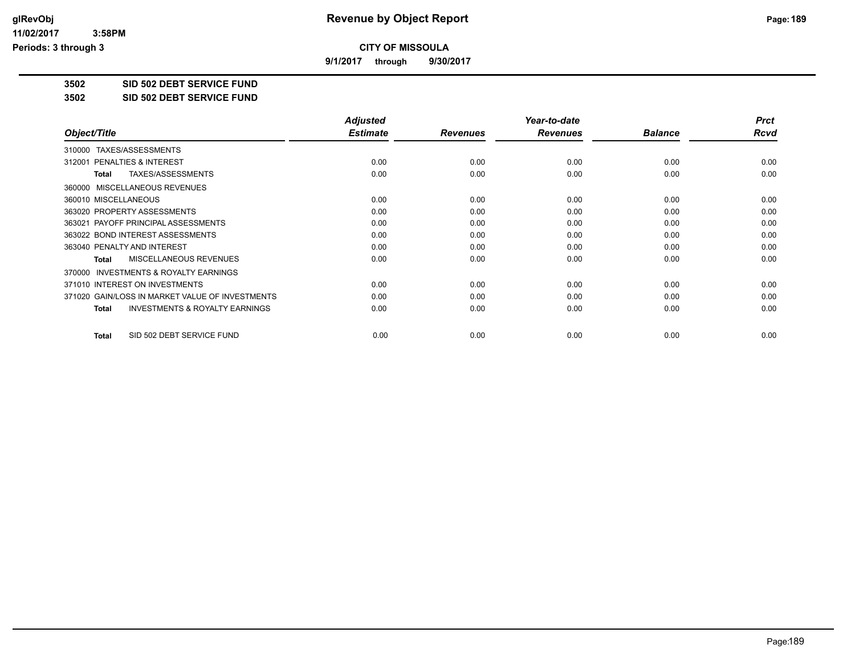**CITY OF MISSOULA**

**9/1/2017 through 9/30/2017**

**3502 SID 502 DEBT SERVICE FUND**

 **3:58PM**

**3502 SID 502 DEBT SERVICE FUND**

|                                                     | <b>Adjusted</b> |                 | Year-to-date    |                | <b>Prct</b> |
|-----------------------------------------------------|-----------------|-----------------|-----------------|----------------|-------------|
| Object/Title                                        | <b>Estimate</b> | <b>Revenues</b> | <b>Revenues</b> | <b>Balance</b> | <b>Rcvd</b> |
| 310000 TAXES/ASSESSMENTS                            |                 |                 |                 |                |             |
| 312001 PENALTIES & INTEREST                         | 0.00            | 0.00            | 0.00            | 0.00           | 0.00        |
| TAXES/ASSESSMENTS<br>Total                          | 0.00            | 0.00            | 0.00            | 0.00           | 0.00        |
| 360000 MISCELLANEOUS REVENUES                       |                 |                 |                 |                |             |
| 360010 MISCELLANEOUS                                | 0.00            | 0.00            | 0.00            | 0.00           | 0.00        |
| 363020 PROPERTY ASSESSMENTS                         | 0.00            | 0.00            | 0.00            | 0.00           | 0.00        |
| 363021 PAYOFF PRINCIPAL ASSESSMENTS                 | 0.00            | 0.00            | 0.00            | 0.00           | 0.00        |
| 363022 BOND INTEREST ASSESSMENTS                    | 0.00            | 0.00            | 0.00            | 0.00           | 0.00        |
| 363040 PENALTY AND INTEREST                         | 0.00            | 0.00            | 0.00            | 0.00           | 0.00        |
| <b>MISCELLANEOUS REVENUES</b><br>Total              | 0.00            | 0.00            | 0.00            | 0.00           | 0.00        |
| <b>INVESTMENTS &amp; ROYALTY EARNINGS</b><br>370000 |                 |                 |                 |                |             |
| 371010 INTEREST ON INVESTMENTS                      | 0.00            | 0.00            | 0.00            | 0.00           | 0.00        |
| 371020 GAIN/LOSS IN MARKET VALUE OF INVESTMENTS     | 0.00            | 0.00            | 0.00            | 0.00           | 0.00        |
| <b>INVESTMENTS &amp; ROYALTY EARNINGS</b><br>Total  | 0.00            | 0.00            | 0.00            | 0.00           | 0.00        |
| SID 502 DEBT SERVICE FUND<br><b>Total</b>           | 0.00            | 0.00            | 0.00            | 0.00           | 0.00        |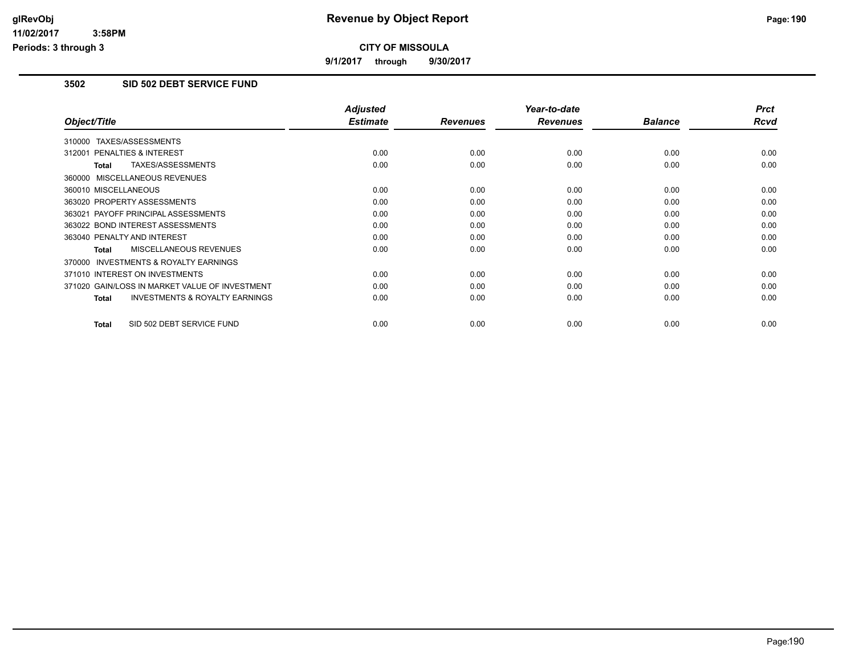**glRevObj Revenue by Object Report Page:190** 

**CITY OF MISSOULA**

**9/1/2017 through 9/30/2017**

## **3502 SID 502 DEBT SERVICE FUND**

|                                                           | <b>Adjusted</b> |                 | Year-to-date    |                | <b>Prct</b> |
|-----------------------------------------------------------|-----------------|-----------------|-----------------|----------------|-------------|
| Object/Title                                              | <b>Estimate</b> | <b>Revenues</b> | <b>Revenues</b> | <b>Balance</b> | <b>Rcvd</b> |
| 310000 TAXES/ASSESSMENTS                                  |                 |                 |                 |                |             |
| 312001 PENALTIES & INTEREST                               | 0.00            | 0.00            | 0.00            | 0.00           | 0.00        |
| TAXES/ASSESSMENTS<br><b>Total</b>                         | 0.00            | 0.00            | 0.00            | 0.00           | 0.00        |
| 360000 MISCELLANEOUS REVENUES                             |                 |                 |                 |                |             |
| 360010 MISCELLANEOUS                                      | 0.00            | 0.00            | 0.00            | 0.00           | 0.00        |
| 363020 PROPERTY ASSESSMENTS                               | 0.00            | 0.00            | 0.00            | 0.00           | 0.00        |
| 363021 PAYOFF PRINCIPAL ASSESSMENTS                       | 0.00            | 0.00            | 0.00            | 0.00           | 0.00        |
| 363022 BOND INTEREST ASSESSMENTS                          | 0.00            | 0.00            | 0.00            | 0.00           | 0.00        |
| 363040 PENALTY AND INTEREST                               | 0.00            | 0.00            | 0.00            | 0.00           | 0.00        |
| MISCELLANEOUS REVENUES<br><b>Total</b>                    | 0.00            | 0.00            | 0.00            | 0.00           | 0.00        |
| 370000 INVESTMENTS & ROYALTY EARNINGS                     |                 |                 |                 |                |             |
| 371010 INTEREST ON INVESTMENTS                            | 0.00            | 0.00            | 0.00            | 0.00           | 0.00        |
| 371020 GAIN/LOSS IN MARKET VALUE OF INVESTMENT            | 0.00            | 0.00            | 0.00            | 0.00           | 0.00        |
| <b>INVESTMENTS &amp; ROYALTY EARNINGS</b><br><b>Total</b> | 0.00            | 0.00            | 0.00            | 0.00           | 0.00        |
| SID 502 DEBT SERVICE FUND<br><b>Total</b>                 | 0.00            | 0.00            | 0.00            | 0.00           | 0.00        |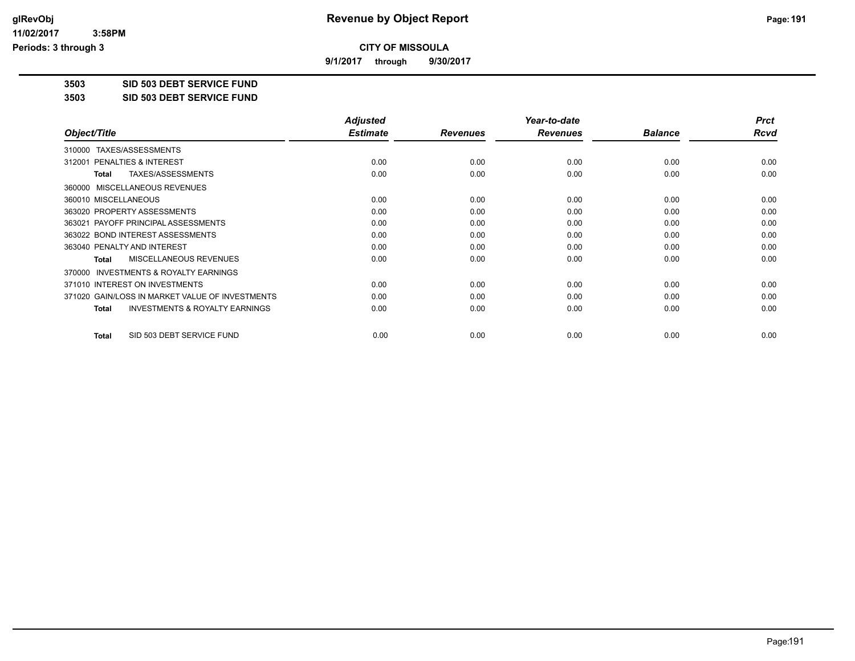**CITY OF MISSOULA**

**9/1/2017 through 9/30/2017**

**3503 SID 503 DEBT SERVICE FUND**

**3503 SID 503 DEBT SERVICE FUND**

|                                                     | <b>Adjusted</b> |                 | Year-to-date    |                | <b>Prct</b> |
|-----------------------------------------------------|-----------------|-----------------|-----------------|----------------|-------------|
| Object/Title                                        | <b>Estimate</b> | <b>Revenues</b> | <b>Revenues</b> | <b>Balance</b> | <b>Rcvd</b> |
| 310000 TAXES/ASSESSMENTS                            |                 |                 |                 |                |             |
| 312001 PENALTIES & INTEREST                         | 0.00            | 0.00            | 0.00            | 0.00           | 0.00        |
| TAXES/ASSESSMENTS<br>Total                          | 0.00            | 0.00            | 0.00            | 0.00           | 0.00        |
| 360000 MISCELLANEOUS REVENUES                       |                 |                 |                 |                |             |
| 360010 MISCELLANEOUS                                | 0.00            | 0.00            | 0.00            | 0.00           | 0.00        |
| 363020 PROPERTY ASSESSMENTS                         | 0.00            | 0.00            | 0.00            | 0.00           | 0.00        |
| 363021 PAYOFF PRINCIPAL ASSESSMENTS                 | 0.00            | 0.00            | 0.00            | 0.00           | 0.00        |
| 363022 BOND INTEREST ASSESSMENTS                    | 0.00            | 0.00            | 0.00            | 0.00           | 0.00        |
| 363040 PENALTY AND INTEREST                         | 0.00            | 0.00            | 0.00            | 0.00           | 0.00        |
| <b>MISCELLANEOUS REVENUES</b><br>Total              | 0.00            | 0.00            | 0.00            | 0.00           | 0.00        |
| <b>INVESTMENTS &amp; ROYALTY EARNINGS</b><br>370000 |                 |                 |                 |                |             |
| 371010 INTEREST ON INVESTMENTS                      | 0.00            | 0.00            | 0.00            | 0.00           | 0.00        |
| 371020 GAIN/LOSS IN MARKET VALUE OF INVESTMENTS     | 0.00            | 0.00            | 0.00            | 0.00           | 0.00        |
| <b>INVESTMENTS &amp; ROYALTY EARNINGS</b><br>Total  | 0.00            | 0.00            | 0.00            | 0.00           | 0.00        |
| SID 503 DEBT SERVICE FUND<br><b>Total</b>           | 0.00            | 0.00            | 0.00            | 0.00           | 0.00        |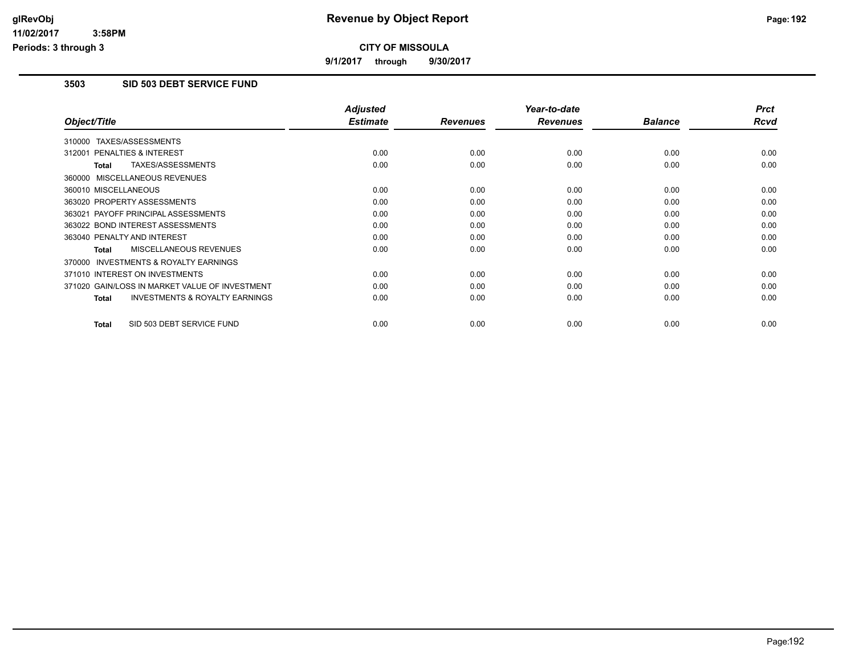**CITY OF MISSOULA**

**9/1/2017 through 9/30/2017**

## **3503 SID 503 DEBT SERVICE FUND**

|                                                           | <b>Adjusted</b> |                 | Year-to-date    |                | <b>Prct</b> |
|-----------------------------------------------------------|-----------------|-----------------|-----------------|----------------|-------------|
| Object/Title                                              | <b>Estimate</b> | <b>Revenues</b> | <b>Revenues</b> | <b>Balance</b> | <b>Rcvd</b> |
| 310000 TAXES/ASSESSMENTS                                  |                 |                 |                 |                |             |
| 312001 PENALTIES & INTEREST                               | 0.00            | 0.00            | 0.00            | 0.00           | 0.00        |
| <b>TAXES/ASSESSMENTS</b><br><b>Total</b>                  | 0.00            | 0.00            | 0.00            | 0.00           | 0.00        |
| 360000 MISCELLANEOUS REVENUES                             |                 |                 |                 |                |             |
| 360010 MISCELLANEOUS                                      | 0.00            | 0.00            | 0.00            | 0.00           | 0.00        |
| 363020 PROPERTY ASSESSMENTS                               | 0.00            | 0.00            | 0.00            | 0.00           | 0.00        |
| 363021 PAYOFF PRINCIPAL ASSESSMENTS                       | 0.00            | 0.00            | 0.00            | 0.00           | 0.00        |
| 363022 BOND INTEREST ASSESSMENTS                          | 0.00            | 0.00            | 0.00            | 0.00           | 0.00        |
| 363040 PENALTY AND INTEREST                               | 0.00            | 0.00            | 0.00            | 0.00           | 0.00        |
| MISCELLANEOUS REVENUES<br>Total                           | 0.00            | 0.00            | 0.00            | 0.00           | 0.00        |
| <b>INVESTMENTS &amp; ROYALTY EARNINGS</b><br>370000       |                 |                 |                 |                |             |
| 371010 INTEREST ON INVESTMENTS                            | 0.00            | 0.00            | 0.00            | 0.00           | 0.00        |
| 371020 GAIN/LOSS IN MARKET VALUE OF INVESTMENT            | 0.00            | 0.00            | 0.00            | 0.00           | 0.00        |
| <b>INVESTMENTS &amp; ROYALTY EARNINGS</b><br><b>Total</b> | 0.00            | 0.00            | 0.00            | 0.00           | 0.00        |
| SID 503 DEBT SERVICE FUND<br><b>Total</b>                 | 0.00            | 0.00            | 0.00            | 0.00           | 0.00        |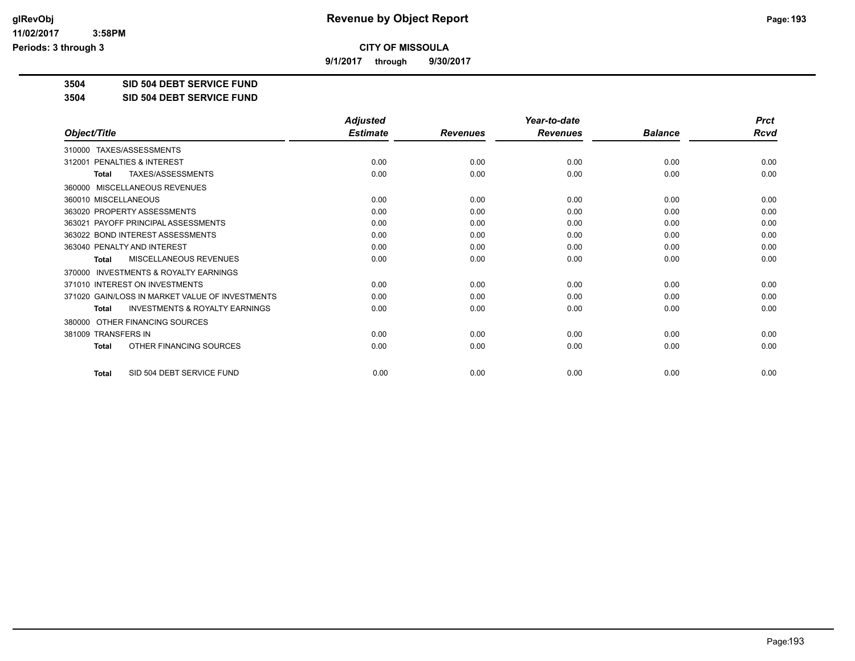**CITY OF MISSOULA**

**9/1/2017 through 9/30/2017**

**3504 SID 504 DEBT SERVICE FUND**

**3504 SID 504 DEBT SERVICE FUND**

|                                                           | <b>Adjusted</b> |                 | Year-to-date    |                | <b>Prct</b> |
|-----------------------------------------------------------|-----------------|-----------------|-----------------|----------------|-------------|
| Object/Title                                              | <b>Estimate</b> | <b>Revenues</b> | <b>Revenues</b> | <b>Balance</b> | Rcvd        |
| TAXES/ASSESSMENTS<br>310000                               |                 |                 |                 |                |             |
| PENALTIES & INTEREST<br>312001                            | 0.00            | 0.00            | 0.00            | 0.00           | 0.00        |
| TAXES/ASSESSMENTS<br><b>Total</b>                         | 0.00            | 0.00            | 0.00            | 0.00           | 0.00        |
| MISCELLANEOUS REVENUES<br>360000                          |                 |                 |                 |                |             |
| 360010 MISCELLANEOUS                                      | 0.00            | 0.00            | 0.00            | 0.00           | 0.00        |
| 363020 PROPERTY ASSESSMENTS                               | 0.00            | 0.00            | 0.00            | 0.00           | 0.00        |
| 363021 PAYOFF PRINCIPAL ASSESSMENTS                       | 0.00            | 0.00            | 0.00            | 0.00           | 0.00        |
| 363022 BOND INTEREST ASSESSMENTS                          | 0.00            | 0.00            | 0.00            | 0.00           | 0.00        |
| 363040 PENALTY AND INTEREST                               | 0.00            | 0.00            | 0.00            | 0.00           | 0.00        |
| MISCELLANEOUS REVENUES<br><b>Total</b>                    | 0.00            | 0.00            | 0.00            | 0.00           | 0.00        |
| <b>INVESTMENTS &amp; ROYALTY EARNINGS</b><br>370000       |                 |                 |                 |                |             |
| 371010 INTEREST ON INVESTMENTS                            | 0.00            | 0.00            | 0.00            | 0.00           | 0.00        |
| 371020 GAIN/LOSS IN MARKET VALUE OF INVESTMENTS           | 0.00            | 0.00            | 0.00            | 0.00           | 0.00        |
| <b>INVESTMENTS &amp; ROYALTY EARNINGS</b><br><b>Total</b> | 0.00            | 0.00            | 0.00            | 0.00           | 0.00        |
| OTHER FINANCING SOURCES<br>380000                         |                 |                 |                 |                |             |
| 381009 TRANSFERS IN                                       | 0.00            | 0.00            | 0.00            | 0.00           | 0.00        |
| OTHER FINANCING SOURCES<br><b>Total</b>                   | 0.00            | 0.00            | 0.00            | 0.00           | 0.00        |
| SID 504 DEBT SERVICE FUND<br><b>Total</b>                 | 0.00            | 0.00            | 0.00            | 0.00           | 0.00        |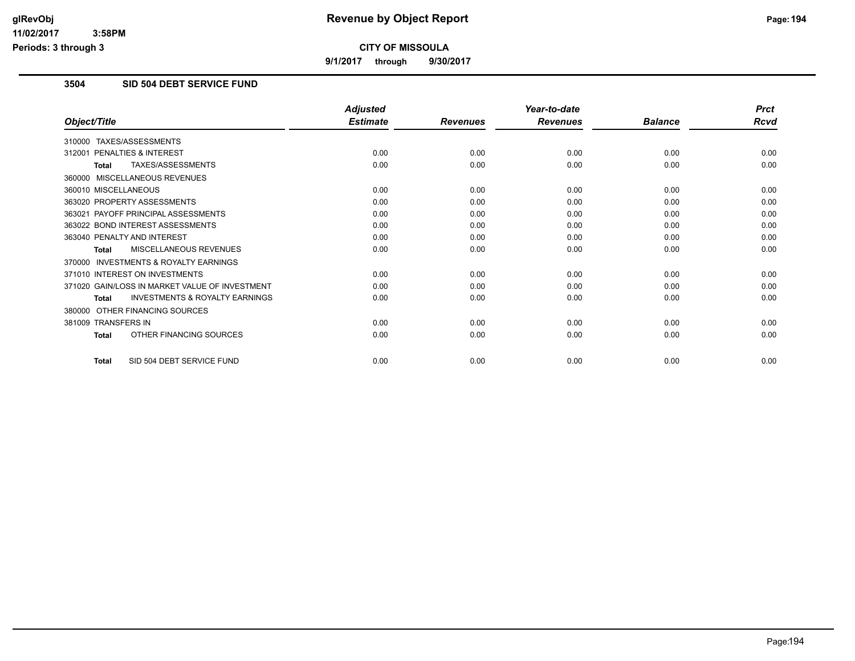**CITY OF MISSOULA**

**9/1/2017 through 9/30/2017**

## **3504 SID 504 DEBT SERVICE FUND**

|                                                    | <b>Adjusted</b> |                 | Year-to-date    |                | <b>Prct</b> |
|----------------------------------------------------|-----------------|-----------------|-----------------|----------------|-------------|
| Object/Title                                       | <b>Estimate</b> | <b>Revenues</b> | <b>Revenues</b> | <b>Balance</b> | <b>Rcvd</b> |
| 310000 TAXES/ASSESSMENTS                           |                 |                 |                 |                |             |
| PENALTIES & INTEREST<br>312001                     | 0.00            | 0.00            | 0.00            | 0.00           | 0.00        |
| TAXES/ASSESSMENTS<br><b>Total</b>                  | 0.00            | 0.00            | 0.00            | 0.00           | 0.00        |
| 360000 MISCELLANEOUS REVENUES                      |                 |                 |                 |                |             |
| 360010 MISCELLANEOUS                               | 0.00            | 0.00            | 0.00            | 0.00           | 0.00        |
| 363020 PROPERTY ASSESSMENTS                        | 0.00            | 0.00            | 0.00            | 0.00           | 0.00        |
| 363021 PAYOFF PRINCIPAL ASSESSMENTS                | 0.00            | 0.00            | 0.00            | 0.00           | 0.00        |
| 363022 BOND INTEREST ASSESSMENTS                   | 0.00            | 0.00            | 0.00            | 0.00           | 0.00        |
| 363040 PENALTY AND INTEREST                        | 0.00            | 0.00            | 0.00            | 0.00           | 0.00        |
| MISCELLANEOUS REVENUES<br><b>Total</b>             | 0.00            | 0.00            | 0.00            | 0.00           | 0.00        |
| 370000 INVESTMENTS & ROYALTY EARNINGS              |                 |                 |                 |                |             |
| 371010 INTEREST ON INVESTMENTS                     | 0.00            | 0.00            | 0.00            | 0.00           | 0.00        |
| 371020 GAIN/LOSS IN MARKET VALUE OF INVESTMENT     | 0.00            | 0.00            | 0.00            | 0.00           | 0.00        |
| <b>INVESTMENTS &amp; ROYALTY EARNINGS</b><br>Total | 0.00            | 0.00            | 0.00            | 0.00           | 0.00        |
| 380000 OTHER FINANCING SOURCES                     |                 |                 |                 |                |             |
| 381009 TRANSFERS IN                                | 0.00            | 0.00            | 0.00            | 0.00           | 0.00        |
| OTHER FINANCING SOURCES<br>Total                   | 0.00            | 0.00            | 0.00            | 0.00           | 0.00        |
| SID 504 DEBT SERVICE FUND<br><b>Total</b>          | 0.00            | 0.00            | 0.00            | 0.00           | 0.00        |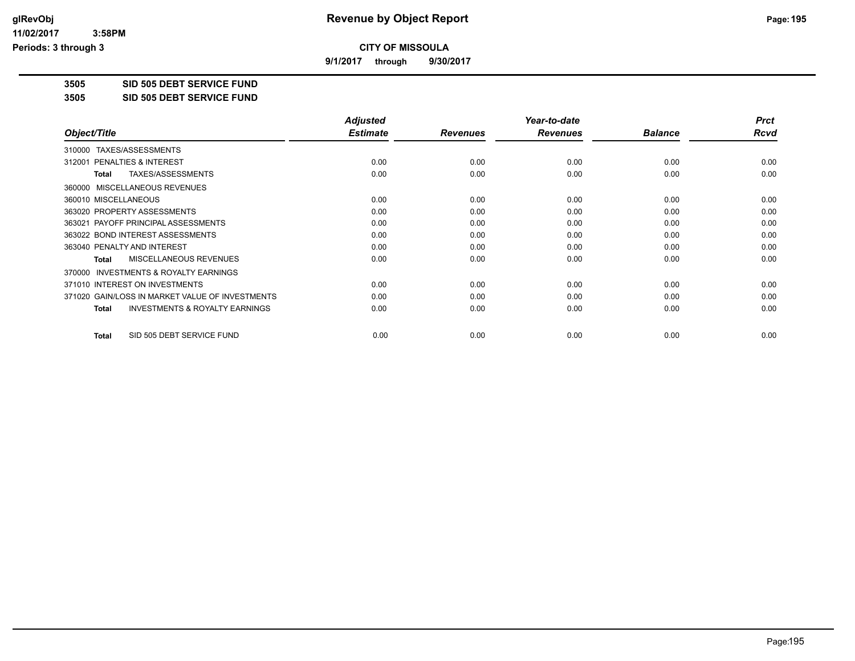**CITY OF MISSOULA**

**9/1/2017 through 9/30/2017**

**3505 SID 505 DEBT SERVICE FUND**

**3505 SID 505 DEBT SERVICE FUND**

|                                                     | <b>Adjusted</b> |                 | Year-to-date    |                | <b>Prct</b> |
|-----------------------------------------------------|-----------------|-----------------|-----------------|----------------|-------------|
| Object/Title                                        | <b>Estimate</b> | <b>Revenues</b> | <b>Revenues</b> | <b>Balance</b> | <b>Rcvd</b> |
| 310000 TAXES/ASSESSMENTS                            |                 |                 |                 |                |             |
| 312001 PENALTIES & INTEREST                         | 0.00            | 0.00            | 0.00            | 0.00           | 0.00        |
| TAXES/ASSESSMENTS<br>Total                          | 0.00            | 0.00            | 0.00            | 0.00           | 0.00        |
| 360000 MISCELLANEOUS REVENUES                       |                 |                 |                 |                |             |
| 360010 MISCELLANEOUS                                | 0.00            | 0.00            | 0.00            | 0.00           | 0.00        |
| 363020 PROPERTY ASSESSMENTS                         | 0.00            | 0.00            | 0.00            | 0.00           | 0.00        |
| 363021 PAYOFF PRINCIPAL ASSESSMENTS                 | 0.00            | 0.00            | 0.00            | 0.00           | 0.00        |
| 363022 BOND INTEREST ASSESSMENTS                    | 0.00            | 0.00            | 0.00            | 0.00           | 0.00        |
| 363040 PENALTY AND INTEREST                         | 0.00            | 0.00            | 0.00            | 0.00           | 0.00        |
| <b>MISCELLANEOUS REVENUES</b><br>Total              | 0.00            | 0.00            | 0.00            | 0.00           | 0.00        |
| <b>INVESTMENTS &amp; ROYALTY EARNINGS</b><br>370000 |                 |                 |                 |                |             |
| 371010 INTEREST ON INVESTMENTS                      | 0.00            | 0.00            | 0.00            | 0.00           | 0.00        |
| 371020 GAIN/LOSS IN MARKET VALUE OF INVESTMENTS     | 0.00            | 0.00            | 0.00            | 0.00           | 0.00        |
| <b>INVESTMENTS &amp; ROYALTY EARNINGS</b><br>Total  | 0.00            | 0.00            | 0.00            | 0.00           | 0.00        |
| SID 505 DEBT SERVICE FUND<br><b>Total</b>           | 0.00            | 0.00            | 0.00            | 0.00           | 0.00        |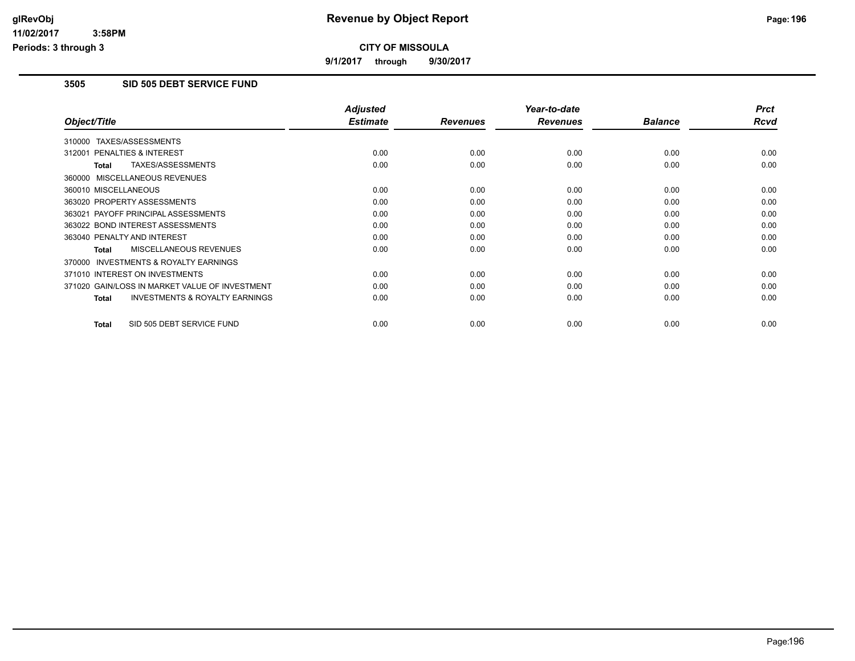**CITY OF MISSOULA**

**9/1/2017 through 9/30/2017**

## **3505 SID 505 DEBT SERVICE FUND**

|                                                           | <b>Adjusted</b> |                 | Year-to-date    |                | <b>Prct</b> |
|-----------------------------------------------------------|-----------------|-----------------|-----------------|----------------|-------------|
| Object/Title                                              | <b>Estimate</b> | <b>Revenues</b> | <b>Revenues</b> | <b>Balance</b> | <b>Rcvd</b> |
| 310000 TAXES/ASSESSMENTS                                  |                 |                 |                 |                |             |
| PENALTIES & INTEREST<br>312001                            | 0.00            | 0.00            | 0.00            | 0.00           | 0.00        |
| TAXES/ASSESSMENTS<br>Total                                | 0.00            | 0.00            | 0.00            | 0.00           | 0.00        |
| 360000 MISCELLANEOUS REVENUES                             |                 |                 |                 |                |             |
| 360010 MISCELLANEOUS                                      | 0.00            | 0.00            | 0.00            | 0.00           | 0.00        |
| 363020 PROPERTY ASSESSMENTS                               | 0.00            | 0.00            | 0.00            | 0.00           | 0.00        |
| 363021 PAYOFF PRINCIPAL ASSESSMENTS                       | 0.00            | 0.00            | 0.00            | 0.00           | 0.00        |
| 363022 BOND INTEREST ASSESSMENTS                          | 0.00            | 0.00            | 0.00            | 0.00           | 0.00        |
| 363040 PENALTY AND INTEREST                               | 0.00            | 0.00            | 0.00            | 0.00           | 0.00        |
| MISCELLANEOUS REVENUES<br>Total                           | 0.00            | 0.00            | 0.00            | 0.00           | 0.00        |
| 370000 INVESTMENTS & ROYALTY EARNINGS                     |                 |                 |                 |                |             |
| 371010 INTEREST ON INVESTMENTS                            | 0.00            | 0.00            | 0.00            | 0.00           | 0.00        |
| 371020 GAIN/LOSS IN MARKET VALUE OF INVESTMENT            | 0.00            | 0.00            | 0.00            | 0.00           | 0.00        |
| <b>INVESTMENTS &amp; ROYALTY EARNINGS</b><br><b>Total</b> | 0.00            | 0.00            | 0.00            | 0.00           | 0.00        |
|                                                           |                 |                 |                 |                |             |
| SID 505 DEBT SERVICE FUND<br>Total                        | 0.00            | 0.00            | 0.00            | 0.00           | 0.00        |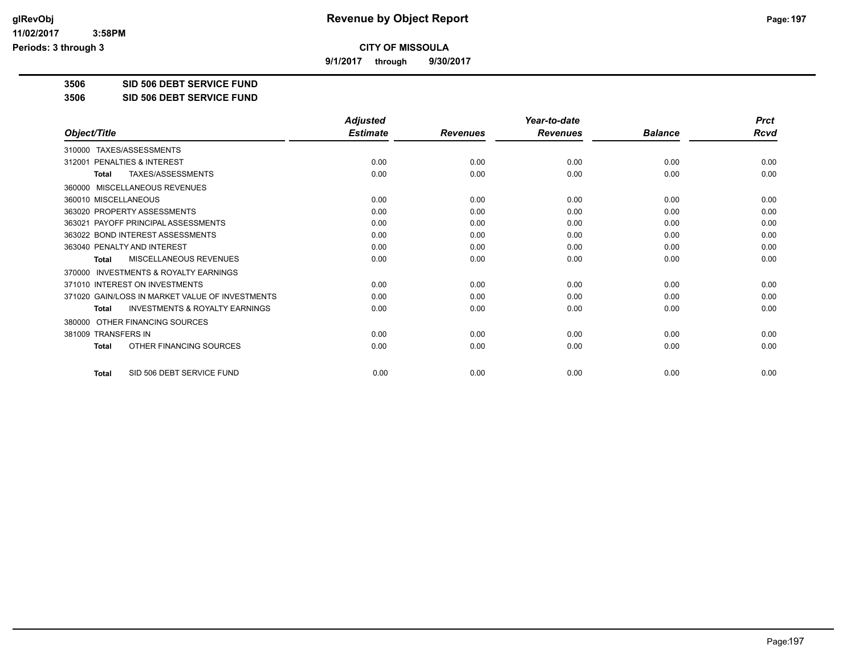**CITY OF MISSOULA**

**9/1/2017 through 9/30/2017**

**3506 SID 506 DEBT SERVICE FUND**

**3506 SID 506 DEBT SERVICE FUND**

|                                                           | <b>Adjusted</b> |                 | Year-to-date    |                | <b>Prct</b> |
|-----------------------------------------------------------|-----------------|-----------------|-----------------|----------------|-------------|
| Object/Title                                              | <b>Estimate</b> | <b>Revenues</b> | <b>Revenues</b> | <b>Balance</b> | <b>Rcvd</b> |
| TAXES/ASSESSMENTS<br>310000                               |                 |                 |                 |                |             |
| PENALTIES & INTEREST<br>312001                            | 0.00            | 0.00            | 0.00            | 0.00           | 0.00        |
| TAXES/ASSESSMENTS<br>Total                                | 0.00            | 0.00            | 0.00            | 0.00           | 0.00        |
| MISCELLANEOUS REVENUES<br>360000                          |                 |                 |                 |                |             |
| 360010 MISCELLANEOUS                                      | 0.00            | 0.00            | 0.00            | 0.00           | 0.00        |
| 363020 PROPERTY ASSESSMENTS                               | 0.00            | 0.00            | 0.00            | 0.00           | 0.00        |
| 363021 PAYOFF PRINCIPAL ASSESSMENTS                       | 0.00            | 0.00            | 0.00            | 0.00           | 0.00        |
| 363022 BOND INTEREST ASSESSMENTS                          | 0.00            | 0.00            | 0.00            | 0.00           | 0.00        |
| 363040 PENALTY AND INTEREST                               | 0.00            | 0.00            | 0.00            | 0.00           | 0.00        |
| MISCELLANEOUS REVENUES<br><b>Total</b>                    | 0.00            | 0.00            | 0.00            | 0.00           | 0.00        |
| <b>INVESTMENTS &amp; ROYALTY EARNINGS</b><br>370000       |                 |                 |                 |                |             |
| 371010 INTEREST ON INVESTMENTS                            | 0.00            | 0.00            | 0.00            | 0.00           | 0.00        |
| 371020 GAIN/LOSS IN MARKET VALUE OF INVESTMENTS           | 0.00            | 0.00            | 0.00            | 0.00           | 0.00        |
| <b>INVESTMENTS &amp; ROYALTY EARNINGS</b><br><b>Total</b> | 0.00            | 0.00            | 0.00            | 0.00           | 0.00        |
| OTHER FINANCING SOURCES<br>380000                         |                 |                 |                 |                |             |
| 381009 TRANSFERS IN                                       | 0.00            | 0.00            | 0.00            | 0.00           | 0.00        |
| OTHER FINANCING SOURCES<br>Total                          | 0.00            | 0.00            | 0.00            | 0.00           | 0.00        |
| SID 506 DEBT SERVICE FUND<br><b>Total</b>                 | 0.00            | 0.00            | 0.00            | 0.00           | 0.00        |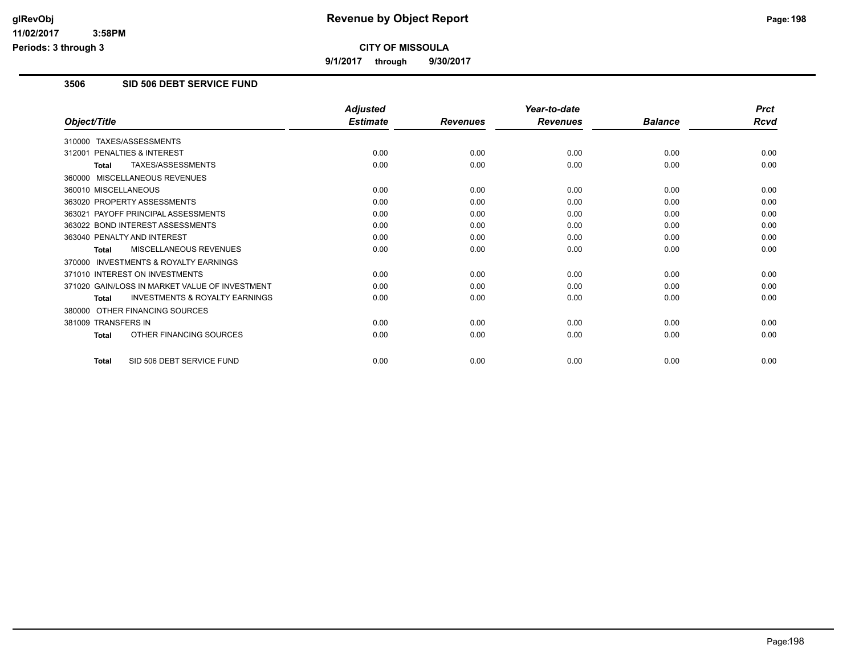**CITY OF MISSOULA**

**9/1/2017 through 9/30/2017**

#### **3506 SID 506 DEBT SERVICE FUND**

|                                                           | <b>Adjusted</b> |                 | Year-to-date    |                | <b>Prct</b> |
|-----------------------------------------------------------|-----------------|-----------------|-----------------|----------------|-------------|
| Object/Title                                              | <b>Estimate</b> | <b>Revenues</b> | <b>Revenues</b> | <b>Balance</b> | <b>Rcvd</b> |
| 310000 TAXES/ASSESSMENTS                                  |                 |                 |                 |                |             |
| PENALTIES & INTEREST<br>312001                            | 0.00            | 0.00            | 0.00            | 0.00           | 0.00        |
| TAXES/ASSESSMENTS<br><b>Total</b>                         | 0.00            | 0.00            | 0.00            | 0.00           | 0.00        |
| 360000 MISCELLANEOUS REVENUES                             |                 |                 |                 |                |             |
| 360010 MISCELLANEOUS                                      | 0.00            | 0.00            | 0.00            | 0.00           | 0.00        |
| 363020 PROPERTY ASSESSMENTS                               | 0.00            | 0.00            | 0.00            | 0.00           | 0.00        |
| 363021 PAYOFF PRINCIPAL ASSESSMENTS                       | 0.00            | 0.00            | 0.00            | 0.00           | 0.00        |
| 363022 BOND INTEREST ASSESSMENTS                          | 0.00            | 0.00            | 0.00            | 0.00           | 0.00        |
| 363040 PENALTY AND INTEREST                               | 0.00            | 0.00            | 0.00            | 0.00           | 0.00        |
| MISCELLANEOUS REVENUES<br><b>Total</b>                    | 0.00            | 0.00            | 0.00            | 0.00           | 0.00        |
| <b>INVESTMENTS &amp; ROYALTY EARNINGS</b><br>370000       |                 |                 |                 |                |             |
| 371010 INTEREST ON INVESTMENTS                            | 0.00            | 0.00            | 0.00            | 0.00           | 0.00        |
| 371020 GAIN/LOSS IN MARKET VALUE OF INVESTMENT            | 0.00            | 0.00            | 0.00            | 0.00           | 0.00        |
| <b>INVESTMENTS &amp; ROYALTY EARNINGS</b><br><b>Total</b> | 0.00            | 0.00            | 0.00            | 0.00           | 0.00        |
| OTHER FINANCING SOURCES<br>380000                         |                 |                 |                 |                |             |
| 381009 TRANSFERS IN                                       | 0.00            | 0.00            | 0.00            | 0.00           | 0.00        |
| OTHER FINANCING SOURCES<br><b>Total</b>                   | 0.00            | 0.00            | 0.00            | 0.00           | 0.00        |
| SID 506 DEBT SERVICE FUND<br><b>Total</b>                 | 0.00            | 0.00            | 0.00            | 0.00           | 0.00        |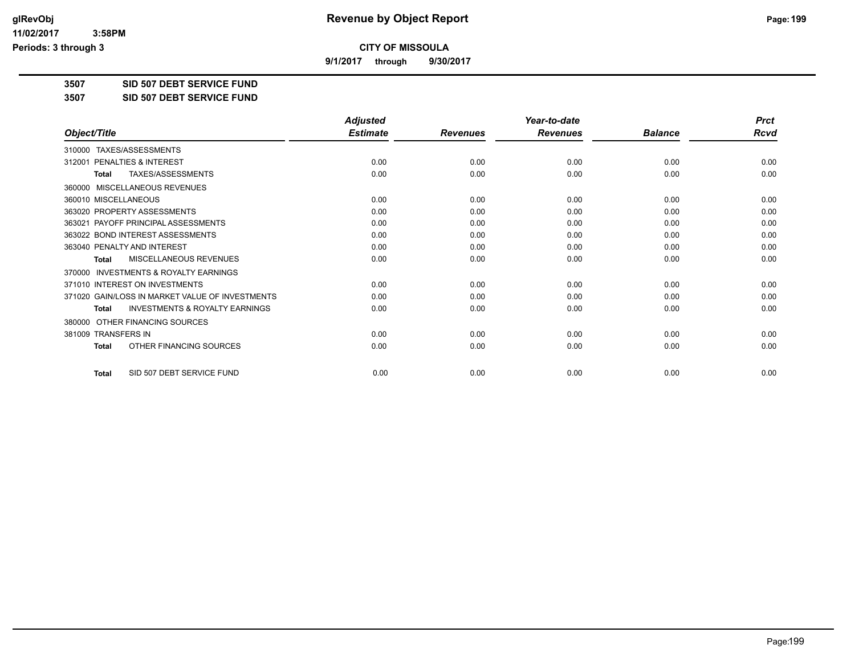**CITY OF MISSOULA**

**9/1/2017 through 9/30/2017**

**3507 SID 507 DEBT SERVICE FUND**

 **3:58PM**

**3507 SID 507 DEBT SERVICE FUND**

|                                                           | <b>Adjusted</b> |                 | Year-to-date    |                | <b>Prct</b> |
|-----------------------------------------------------------|-----------------|-----------------|-----------------|----------------|-------------|
| Object/Title                                              | <b>Estimate</b> | <b>Revenues</b> | <b>Revenues</b> | <b>Balance</b> | <b>Rcvd</b> |
| TAXES/ASSESSMENTS<br>310000                               |                 |                 |                 |                |             |
| PENALTIES & INTEREST<br>312001                            | 0.00            | 0.00            | 0.00            | 0.00           | 0.00        |
| TAXES/ASSESSMENTS<br>Total                                | 0.00            | 0.00            | 0.00            | 0.00           | 0.00        |
| MISCELLANEOUS REVENUES<br>360000                          |                 |                 |                 |                |             |
| 360010 MISCELLANEOUS                                      | 0.00            | 0.00            | 0.00            | 0.00           | 0.00        |
| 363020 PROPERTY ASSESSMENTS                               | 0.00            | 0.00            | 0.00            | 0.00           | 0.00        |
| 363021 PAYOFF PRINCIPAL ASSESSMENTS                       | 0.00            | 0.00            | 0.00            | 0.00           | 0.00        |
| 363022 BOND INTEREST ASSESSMENTS                          | 0.00            | 0.00            | 0.00            | 0.00           | 0.00        |
| 363040 PENALTY AND INTEREST                               | 0.00            | 0.00            | 0.00            | 0.00           | 0.00        |
| MISCELLANEOUS REVENUES<br>Total                           | 0.00            | 0.00            | 0.00            | 0.00           | 0.00        |
| <b>INVESTMENTS &amp; ROYALTY EARNINGS</b><br>370000       |                 |                 |                 |                |             |
| 371010 INTEREST ON INVESTMENTS                            | 0.00            | 0.00            | 0.00            | 0.00           | 0.00        |
| 371020 GAIN/LOSS IN MARKET VALUE OF INVESTMENTS           | 0.00            | 0.00            | 0.00            | 0.00           | 0.00        |
| <b>INVESTMENTS &amp; ROYALTY EARNINGS</b><br><b>Total</b> | 0.00            | 0.00            | 0.00            | 0.00           | 0.00        |
| OTHER FINANCING SOURCES<br>380000                         |                 |                 |                 |                |             |
| 381009 TRANSFERS IN                                       | 0.00            | 0.00            | 0.00            | 0.00           | 0.00        |
| OTHER FINANCING SOURCES<br><b>Total</b>                   | 0.00            | 0.00            | 0.00            | 0.00           | 0.00        |
| SID 507 DEBT SERVICE FUND<br><b>Total</b>                 | 0.00            | 0.00            | 0.00            | 0.00           | 0.00        |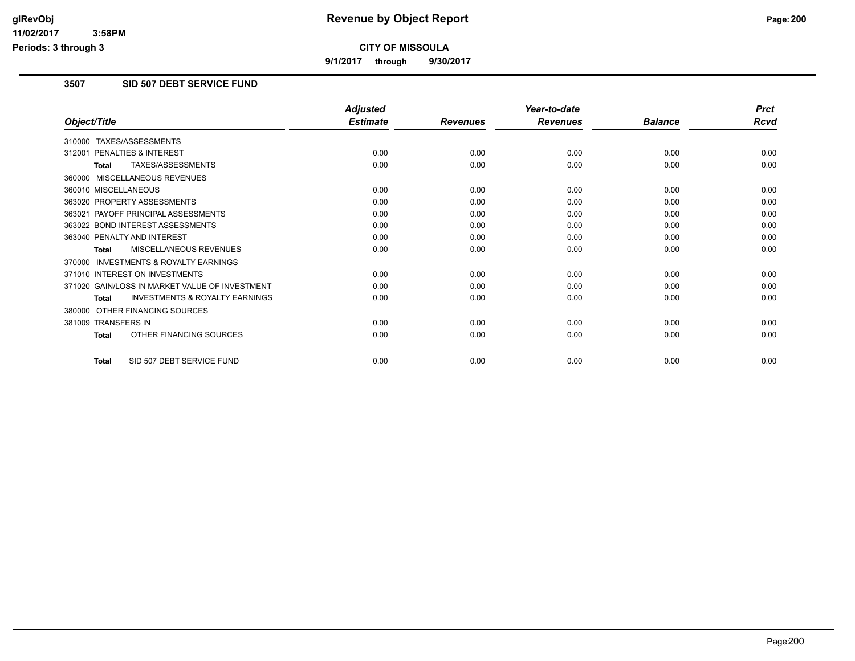**CITY OF MISSOULA**

**9/1/2017 through 9/30/2017**

## **3507 SID 507 DEBT SERVICE FUND**

|                                                           | <b>Adjusted</b> |                 | Year-to-date    |                | <b>Prct</b> |
|-----------------------------------------------------------|-----------------|-----------------|-----------------|----------------|-------------|
| Object/Title                                              | <b>Estimate</b> | <b>Revenues</b> | <b>Revenues</b> | <b>Balance</b> | <b>Rcvd</b> |
| 310000 TAXES/ASSESSMENTS                                  |                 |                 |                 |                |             |
| PENALTIES & INTEREST<br>312001                            | 0.00            | 0.00            | 0.00            | 0.00           | 0.00        |
| TAXES/ASSESSMENTS<br><b>Total</b>                         | 0.00            | 0.00            | 0.00            | 0.00           | 0.00        |
| 360000 MISCELLANEOUS REVENUES                             |                 |                 |                 |                |             |
| 360010 MISCELLANEOUS                                      | 0.00            | 0.00            | 0.00            | 0.00           | 0.00        |
| 363020 PROPERTY ASSESSMENTS                               | 0.00            | 0.00            | 0.00            | 0.00           | 0.00        |
| 363021 PAYOFF PRINCIPAL ASSESSMENTS                       | 0.00            | 0.00            | 0.00            | 0.00           | 0.00        |
| 363022 BOND INTEREST ASSESSMENTS                          | 0.00            | 0.00            | 0.00            | 0.00           | 0.00        |
| 363040 PENALTY AND INTEREST                               | 0.00            | 0.00            | 0.00            | 0.00           | 0.00        |
| MISCELLANEOUS REVENUES<br><b>Total</b>                    | 0.00            | 0.00            | 0.00            | 0.00           | 0.00        |
| <b>INVESTMENTS &amp; ROYALTY EARNINGS</b><br>370000       |                 |                 |                 |                |             |
| 371010 INTEREST ON INVESTMENTS                            | 0.00            | 0.00            | 0.00            | 0.00           | 0.00        |
| 371020 GAIN/LOSS IN MARKET VALUE OF INVESTMENT            | 0.00            | 0.00            | 0.00            | 0.00           | 0.00        |
| <b>INVESTMENTS &amp; ROYALTY EARNINGS</b><br><b>Total</b> | 0.00            | 0.00            | 0.00            | 0.00           | 0.00        |
| OTHER FINANCING SOURCES<br>380000                         |                 |                 |                 |                |             |
| 381009 TRANSFERS IN                                       | 0.00            | 0.00            | 0.00            | 0.00           | 0.00        |
| OTHER FINANCING SOURCES<br><b>Total</b>                   | 0.00            | 0.00            | 0.00            | 0.00           | 0.00        |
| SID 507 DEBT SERVICE FUND<br><b>Total</b>                 | 0.00            | 0.00            | 0.00            | 0.00           | 0.00        |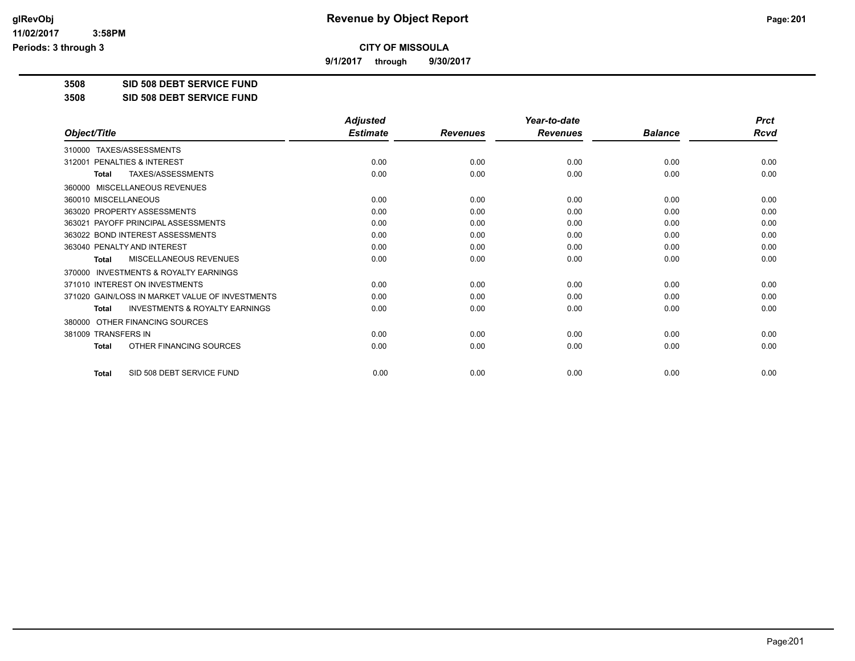**CITY OF MISSOULA**

**9/1/2017 through 9/30/2017**

**3508 SID 508 DEBT SERVICE FUND**

 **3:58PM**

**3508 SID 508 DEBT SERVICE FUND**

|                                                           | <b>Adjusted</b> |                 | Year-to-date    |                | <b>Prct</b> |
|-----------------------------------------------------------|-----------------|-----------------|-----------------|----------------|-------------|
| Object/Title                                              | <b>Estimate</b> | <b>Revenues</b> | <b>Revenues</b> | <b>Balance</b> | <b>Rcvd</b> |
| TAXES/ASSESSMENTS<br>310000                               |                 |                 |                 |                |             |
| PENALTIES & INTEREST<br>312001                            | 0.00            | 0.00            | 0.00            | 0.00           | 0.00        |
| TAXES/ASSESSMENTS<br><b>Total</b>                         | 0.00            | 0.00            | 0.00            | 0.00           | 0.00        |
| MISCELLANEOUS REVENUES<br>360000                          |                 |                 |                 |                |             |
| 360010 MISCELLANEOUS                                      | 0.00            | 0.00            | 0.00            | 0.00           | 0.00        |
| 363020 PROPERTY ASSESSMENTS                               | 0.00            | 0.00            | 0.00            | 0.00           | 0.00        |
| 363021 PAYOFF PRINCIPAL ASSESSMENTS                       | 0.00            | 0.00            | 0.00            | 0.00           | 0.00        |
| 363022 BOND INTEREST ASSESSMENTS                          | 0.00            | 0.00            | 0.00            | 0.00           | 0.00        |
| 363040 PENALTY AND INTEREST                               | 0.00            | 0.00            | 0.00            | 0.00           | 0.00        |
| MISCELLANEOUS REVENUES<br><b>Total</b>                    | 0.00            | 0.00            | 0.00            | 0.00           | 0.00        |
| <b>INVESTMENTS &amp; ROYALTY EARNINGS</b><br>370000       |                 |                 |                 |                |             |
| 371010 INTEREST ON INVESTMENTS                            | 0.00            | 0.00            | 0.00            | 0.00           | 0.00        |
| 371020 GAIN/LOSS IN MARKET VALUE OF INVESTMENTS           | 0.00            | 0.00            | 0.00            | 0.00           | 0.00        |
| <b>INVESTMENTS &amp; ROYALTY EARNINGS</b><br><b>Total</b> | 0.00            | 0.00            | 0.00            | 0.00           | 0.00        |
| OTHER FINANCING SOURCES<br>380000                         |                 |                 |                 |                |             |
| 381009 TRANSFERS IN                                       | 0.00            | 0.00            | 0.00            | 0.00           | 0.00        |
| OTHER FINANCING SOURCES<br><b>Total</b>                   | 0.00            | 0.00            | 0.00            | 0.00           | 0.00        |
| SID 508 DEBT SERVICE FUND<br><b>Total</b>                 | 0.00            | 0.00            | 0.00            | 0.00           | 0.00        |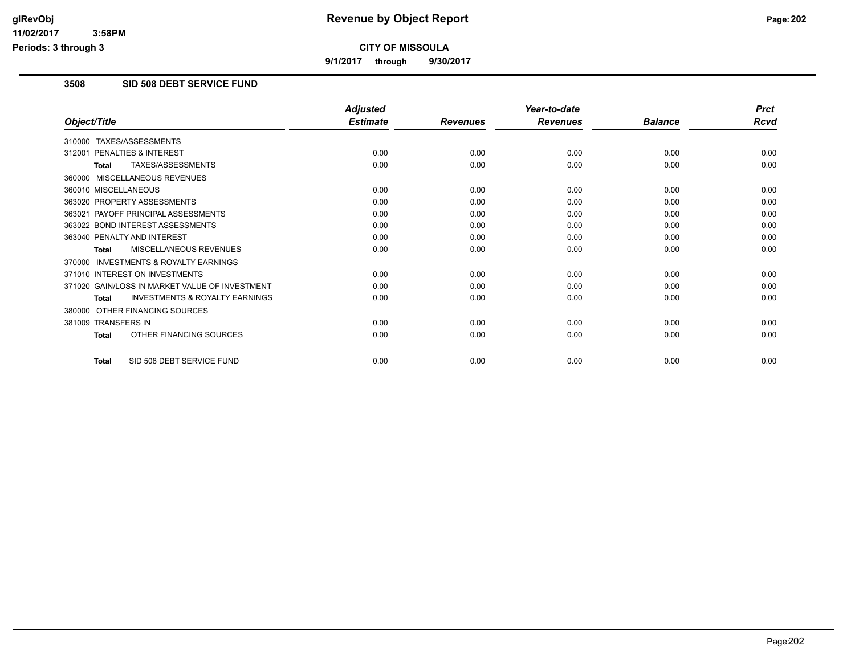**CITY OF MISSOULA**

**9/1/2017 through 9/30/2017**

#### **3508 SID 508 DEBT SERVICE FUND**

|                                                           | <b>Adjusted</b> |                 | Year-to-date    |                | <b>Prct</b> |
|-----------------------------------------------------------|-----------------|-----------------|-----------------|----------------|-------------|
| Object/Title                                              | <b>Estimate</b> | <b>Revenues</b> | <b>Revenues</b> | <b>Balance</b> | <b>Rcvd</b> |
| 310000 TAXES/ASSESSMENTS                                  |                 |                 |                 |                |             |
| PENALTIES & INTEREST<br>312001                            | 0.00            | 0.00            | 0.00            | 0.00           | 0.00        |
| TAXES/ASSESSMENTS<br><b>Total</b>                         | 0.00            | 0.00            | 0.00            | 0.00           | 0.00        |
| 360000 MISCELLANEOUS REVENUES                             |                 |                 |                 |                |             |
| 360010 MISCELLANEOUS                                      | 0.00            | 0.00            | 0.00            | 0.00           | 0.00        |
| 363020 PROPERTY ASSESSMENTS                               | 0.00            | 0.00            | 0.00            | 0.00           | 0.00        |
| 363021 PAYOFF PRINCIPAL ASSESSMENTS                       | 0.00            | 0.00            | 0.00            | 0.00           | 0.00        |
| 363022 BOND INTEREST ASSESSMENTS                          | 0.00            | 0.00            | 0.00            | 0.00           | 0.00        |
| 363040 PENALTY AND INTEREST                               | 0.00            | 0.00            | 0.00            | 0.00           | 0.00        |
| MISCELLANEOUS REVENUES<br><b>Total</b>                    | 0.00            | 0.00            | 0.00            | 0.00           | 0.00        |
| <b>INVESTMENTS &amp; ROYALTY EARNINGS</b><br>370000       |                 |                 |                 |                |             |
| 371010 INTEREST ON INVESTMENTS                            | 0.00            | 0.00            | 0.00            | 0.00           | 0.00        |
| 371020 GAIN/LOSS IN MARKET VALUE OF INVESTMENT            | 0.00            | 0.00            | 0.00            | 0.00           | 0.00        |
| <b>INVESTMENTS &amp; ROYALTY EARNINGS</b><br><b>Total</b> | 0.00            | 0.00            | 0.00            | 0.00           | 0.00        |
| OTHER FINANCING SOURCES<br>380000                         |                 |                 |                 |                |             |
| 381009 TRANSFERS IN                                       | 0.00            | 0.00            | 0.00            | 0.00           | 0.00        |
| OTHER FINANCING SOURCES<br><b>Total</b>                   | 0.00            | 0.00            | 0.00            | 0.00           | 0.00        |
| SID 508 DEBT SERVICE FUND<br><b>Total</b>                 | 0.00            | 0.00            | 0.00            | 0.00           | 0.00        |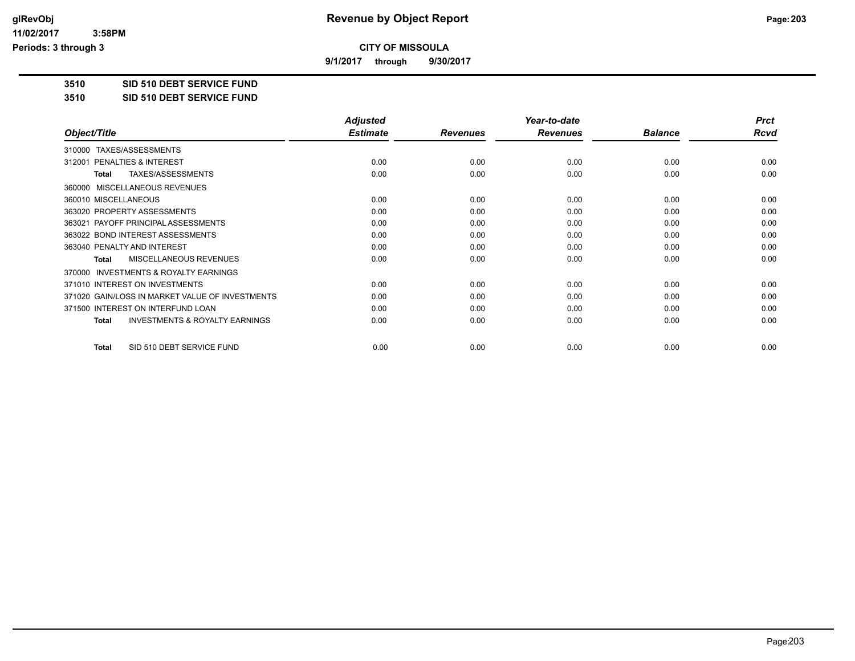**CITY OF MISSOULA**

**9/1/2017 through 9/30/2017**

**3510 SID 510 DEBT SERVICE FUND**

**3510 SID 510 DEBT SERVICE FUND**

|                                                           | <b>Adjusted</b> |                 | Year-to-date    |                | <b>Prct</b> |
|-----------------------------------------------------------|-----------------|-----------------|-----------------|----------------|-------------|
| Object/Title                                              | <b>Estimate</b> | <b>Revenues</b> | <b>Revenues</b> | <b>Balance</b> | <b>Rcvd</b> |
| TAXES/ASSESSMENTS<br>310000                               |                 |                 |                 |                |             |
| 312001 PENALTIES & INTEREST                               | 0.00            | 0.00            | 0.00            | 0.00           | 0.00        |
| TAXES/ASSESSMENTS<br><b>Total</b>                         | 0.00            | 0.00            | 0.00            | 0.00           | 0.00        |
| MISCELLANEOUS REVENUES<br>360000                          |                 |                 |                 |                |             |
| 360010 MISCELLANEOUS                                      | 0.00            | 0.00            | 0.00            | 0.00           | 0.00        |
| 363020 PROPERTY ASSESSMENTS                               | 0.00            | 0.00            | 0.00            | 0.00           | 0.00        |
| 363021 PAYOFF PRINCIPAL ASSESSMENTS                       | 0.00            | 0.00            | 0.00            | 0.00           | 0.00        |
| 363022 BOND INTEREST ASSESSMENTS                          | 0.00            | 0.00            | 0.00            | 0.00           | 0.00        |
| 363040 PENALTY AND INTEREST                               | 0.00            | 0.00            | 0.00            | 0.00           | 0.00        |
| MISCELLANEOUS REVENUES<br>Total                           | 0.00            | 0.00            | 0.00            | 0.00           | 0.00        |
| <b>INVESTMENTS &amp; ROYALTY EARNINGS</b><br>370000       |                 |                 |                 |                |             |
| 371010 INTEREST ON INVESTMENTS                            | 0.00            | 0.00            | 0.00            | 0.00           | 0.00        |
| 371020 GAIN/LOSS IN MARKET VALUE OF INVESTMENTS           | 0.00            | 0.00            | 0.00            | 0.00           | 0.00        |
| 371500 INTEREST ON INTERFUND LOAN                         | 0.00            | 0.00            | 0.00            | 0.00           | 0.00        |
| <b>INVESTMENTS &amp; ROYALTY EARNINGS</b><br><b>Total</b> | 0.00            | 0.00            | 0.00            | 0.00           | 0.00        |
| SID 510 DEBT SERVICE FUND<br>Total                        | 0.00            | 0.00            | 0.00            | 0.00           | 0.00        |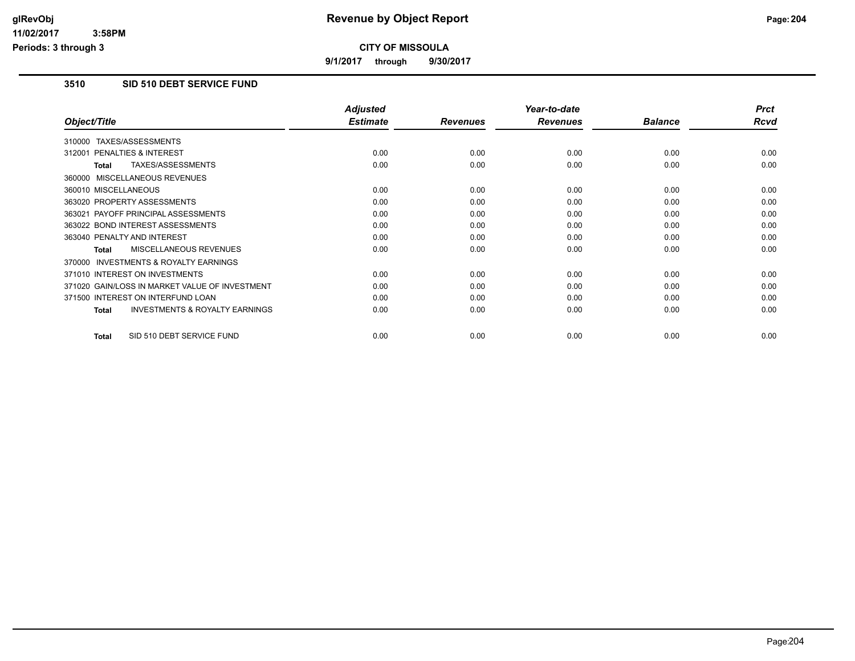**CITY OF MISSOULA**

**9/1/2017 through 9/30/2017**

## **3510 SID 510 DEBT SERVICE FUND**

|                                                           | <b>Adjusted</b> |                 | Year-to-date    |                | <b>Prct</b> |
|-----------------------------------------------------------|-----------------|-----------------|-----------------|----------------|-------------|
| Object/Title                                              | <b>Estimate</b> | <b>Revenues</b> | <b>Revenues</b> | <b>Balance</b> | Rcvd        |
| TAXES/ASSESSMENTS<br>310000                               |                 |                 |                 |                |             |
| 312001 PENALTIES & INTEREST                               | 0.00            | 0.00            | 0.00            | 0.00           | 0.00        |
| TAXES/ASSESSMENTS<br><b>Total</b>                         | 0.00            | 0.00            | 0.00            | 0.00           | 0.00        |
| 360000 MISCELLANEOUS REVENUES                             |                 |                 |                 |                |             |
| 360010 MISCELLANEOUS                                      | 0.00            | 0.00            | 0.00            | 0.00           | 0.00        |
| 363020 PROPERTY ASSESSMENTS                               | 0.00            | 0.00            | 0.00            | 0.00           | 0.00        |
| 363021 PAYOFF PRINCIPAL ASSESSMENTS                       | 0.00            | 0.00            | 0.00            | 0.00           | 0.00        |
| 363022 BOND INTEREST ASSESSMENTS                          | 0.00            | 0.00            | 0.00            | 0.00           | 0.00        |
| 363040 PENALTY AND INTEREST                               | 0.00            | 0.00            | 0.00            | 0.00           | 0.00        |
| MISCELLANEOUS REVENUES<br><b>Total</b>                    | 0.00            | 0.00            | 0.00            | 0.00           | 0.00        |
| <b>INVESTMENTS &amp; ROYALTY EARNINGS</b><br>370000       |                 |                 |                 |                |             |
| 371010 INTEREST ON INVESTMENTS                            | 0.00            | 0.00            | 0.00            | 0.00           | 0.00        |
| 371020 GAIN/LOSS IN MARKET VALUE OF INVESTMENT            | 0.00            | 0.00            | 0.00            | 0.00           | 0.00        |
| 371500 INTEREST ON INTERFUND LOAN                         | 0.00            | 0.00            | 0.00            | 0.00           | 0.00        |
| <b>INVESTMENTS &amp; ROYALTY EARNINGS</b><br><b>Total</b> | 0.00            | 0.00            | 0.00            | 0.00           | 0.00        |
| SID 510 DEBT SERVICE FUND<br><b>Total</b>                 | 0.00            | 0.00            | 0.00            | 0.00           | 0.00        |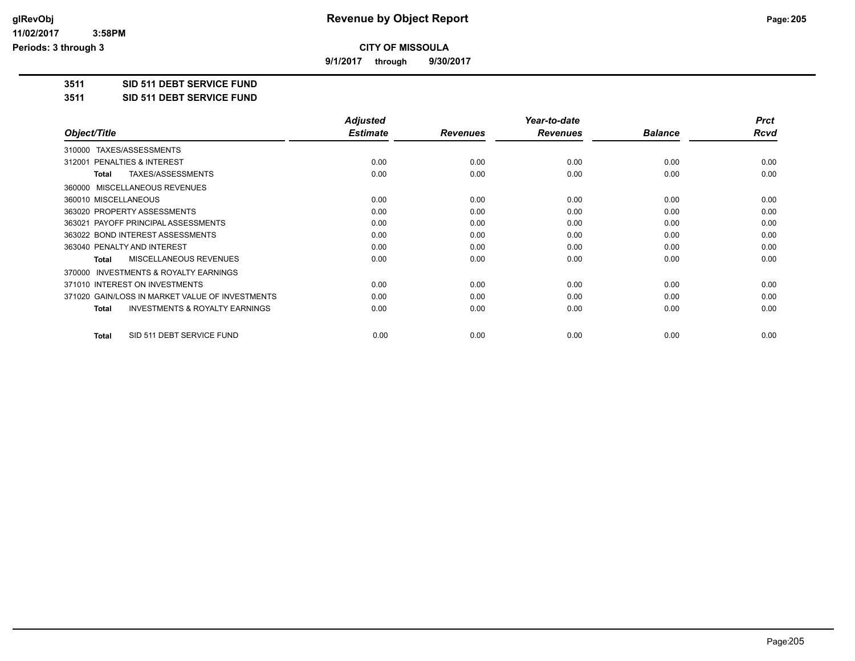**CITY OF MISSOULA**

**9/1/2017 through 9/30/2017**

**3511 SID 511 DEBT SERVICE FUND**

 **3:58PM**

**3511 SID 511 DEBT SERVICE FUND**

|                                                           | <b>Adjusted</b> |                 | Year-to-date    |                | <b>Prct</b> |
|-----------------------------------------------------------|-----------------|-----------------|-----------------|----------------|-------------|
| Object/Title                                              | <b>Estimate</b> | <b>Revenues</b> | <b>Revenues</b> | <b>Balance</b> | Rcvd        |
| 310000 TAXES/ASSESSMENTS                                  |                 |                 |                 |                |             |
| 312001 PENALTIES & INTEREST                               | 0.00            | 0.00            | 0.00            | 0.00           | 0.00        |
| TAXES/ASSESSMENTS<br>Total                                | 0.00            | 0.00            | 0.00            | 0.00           | 0.00        |
| MISCELLANEOUS REVENUES<br>360000                          |                 |                 |                 |                |             |
| 360010 MISCELLANEOUS                                      | 0.00            | 0.00            | 0.00            | 0.00           | 0.00        |
| 363020 PROPERTY ASSESSMENTS                               | 0.00            | 0.00            | 0.00            | 0.00           | 0.00        |
| 363021 PAYOFF PRINCIPAL ASSESSMENTS                       | 0.00            | 0.00            | 0.00            | 0.00           | 0.00        |
| 363022 BOND INTEREST ASSESSMENTS                          | 0.00            | 0.00            | 0.00            | 0.00           | 0.00        |
| 363040 PENALTY AND INTEREST                               | 0.00            | 0.00            | 0.00            | 0.00           | 0.00        |
| <b>MISCELLANEOUS REVENUES</b><br><b>Total</b>             | 0.00            | 0.00            | 0.00            | 0.00           | 0.00        |
| 370000 INVESTMENTS & ROYALTY EARNINGS                     |                 |                 |                 |                |             |
| 371010 INTEREST ON INVESTMENTS                            | 0.00            | 0.00            | 0.00            | 0.00           | 0.00        |
| 371020 GAIN/LOSS IN MARKET VALUE OF INVESTMENTS           | 0.00            | 0.00            | 0.00            | 0.00           | 0.00        |
| <b>INVESTMENTS &amp; ROYALTY EARNINGS</b><br><b>Total</b> | 0.00            | 0.00            | 0.00            | 0.00           | 0.00        |
| SID 511 DEBT SERVICE FUND<br><b>Total</b>                 | 0.00            | 0.00            | 0.00            | 0.00           | 0.00        |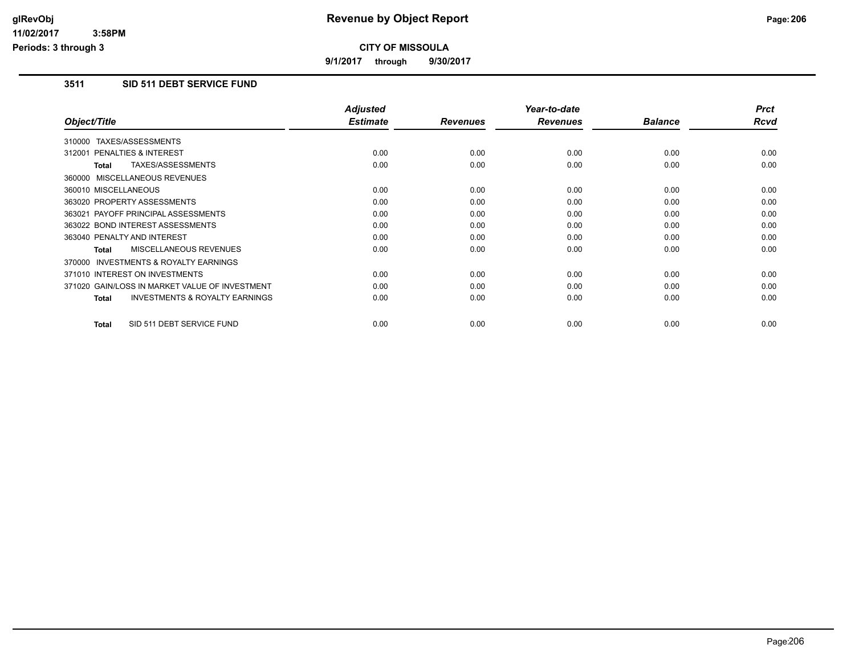**CITY OF MISSOULA**

**9/1/2017 through 9/30/2017**

# **3511 SID 511 DEBT SERVICE FUND**

|                                                           | <b>Adjusted</b> |                 | Year-to-date    |                | <b>Prct</b> |
|-----------------------------------------------------------|-----------------|-----------------|-----------------|----------------|-------------|
| Object/Title                                              | <b>Estimate</b> | <b>Revenues</b> | <b>Revenues</b> | <b>Balance</b> | <b>Rcvd</b> |
| 310000 TAXES/ASSESSMENTS                                  |                 |                 |                 |                |             |
| 312001 PENALTIES & INTEREST                               | 0.00            | 0.00            | 0.00            | 0.00           | 0.00        |
| TAXES/ASSESSMENTS<br><b>Total</b>                         | 0.00            | 0.00            | 0.00            | 0.00           | 0.00        |
| 360000 MISCELLANEOUS REVENUES                             |                 |                 |                 |                |             |
| 360010 MISCELLANEOUS                                      | 0.00            | 0.00            | 0.00            | 0.00           | 0.00        |
| 363020 PROPERTY ASSESSMENTS                               | 0.00            | 0.00            | 0.00            | 0.00           | 0.00        |
| 363021 PAYOFF PRINCIPAL ASSESSMENTS                       | 0.00            | 0.00            | 0.00            | 0.00           | 0.00        |
| 363022 BOND INTEREST ASSESSMENTS                          | 0.00            | 0.00            | 0.00            | 0.00           | 0.00        |
| 363040 PENALTY AND INTEREST                               | 0.00            | 0.00            | 0.00            | 0.00           | 0.00        |
| MISCELLANEOUS REVENUES<br>Total                           | 0.00            | 0.00            | 0.00            | 0.00           | 0.00        |
| <b>INVESTMENTS &amp; ROYALTY EARNINGS</b><br>370000       |                 |                 |                 |                |             |
| 371010 INTEREST ON INVESTMENTS                            | 0.00            | 0.00            | 0.00            | 0.00           | 0.00        |
| 371020 GAIN/LOSS IN MARKET VALUE OF INVESTMENT            | 0.00            | 0.00            | 0.00            | 0.00           | 0.00        |
| <b>INVESTMENTS &amp; ROYALTY EARNINGS</b><br><b>Total</b> | 0.00            | 0.00            | 0.00            | 0.00           | 0.00        |
|                                                           |                 |                 |                 |                |             |
| SID 511 DEBT SERVICE FUND<br><b>Total</b>                 | 0.00            | 0.00            | 0.00            | 0.00           | 0.00        |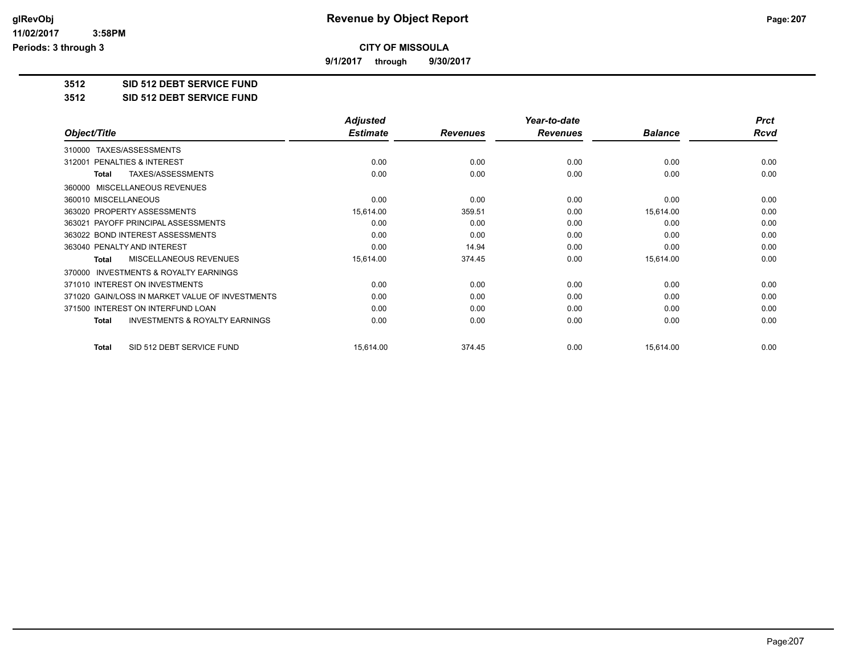**CITY OF MISSOULA**

**9/1/2017 through 9/30/2017**

**3512 SID 512 DEBT SERVICE FUND**

 **3:58PM**

**3512 SID 512 DEBT SERVICE FUND**

|                                                           | <b>Adjusted</b> |                 | Year-to-date    |                | <b>Prct</b> |
|-----------------------------------------------------------|-----------------|-----------------|-----------------|----------------|-------------|
| Object/Title                                              | <b>Estimate</b> | <b>Revenues</b> | <b>Revenues</b> | <b>Balance</b> | <b>Rcvd</b> |
| TAXES/ASSESSMENTS<br>310000                               |                 |                 |                 |                |             |
| PENALTIES & INTEREST<br>312001                            | 0.00            | 0.00            | 0.00            | 0.00           | 0.00        |
| TAXES/ASSESSMENTS<br>Total                                | 0.00            | 0.00            | 0.00            | 0.00           | 0.00        |
| MISCELLANEOUS REVENUES<br>360000                          |                 |                 |                 |                |             |
| 360010 MISCELLANEOUS                                      | 0.00            | 0.00            | 0.00            | 0.00           | 0.00        |
| 363020 PROPERTY ASSESSMENTS                               | 15,614.00       | 359.51          | 0.00            | 15,614.00      | 0.00        |
| 363021 PAYOFF PRINCIPAL ASSESSMENTS                       | 0.00            | 0.00            | 0.00            | 0.00           | 0.00        |
| 363022 BOND INTEREST ASSESSMENTS                          | 0.00            | 0.00            | 0.00            | 0.00           | 0.00        |
| 363040 PENALTY AND INTEREST                               | 0.00            | 14.94           | 0.00            | 0.00           | 0.00        |
| <b>MISCELLANEOUS REVENUES</b><br><b>Total</b>             | 15,614.00       | 374.45          | 0.00            | 15,614.00      | 0.00        |
| <b>INVESTMENTS &amp; ROYALTY EARNINGS</b><br>370000       |                 |                 |                 |                |             |
| 371010 INTEREST ON INVESTMENTS                            | 0.00            | 0.00            | 0.00            | 0.00           | 0.00        |
| 371020 GAIN/LOSS IN MARKET VALUE OF INVESTMENTS           | 0.00            | 0.00            | 0.00            | 0.00           | 0.00        |
| 371500 INTEREST ON INTERFUND LOAN                         | 0.00            | 0.00            | 0.00            | 0.00           | 0.00        |
| <b>INVESTMENTS &amp; ROYALTY EARNINGS</b><br><b>Total</b> | 0.00            | 0.00            | 0.00            | 0.00           | 0.00        |
| SID 512 DEBT SERVICE FUND<br><b>Total</b>                 | 15,614.00       | 374.45          | 0.00            | 15,614.00      | 0.00        |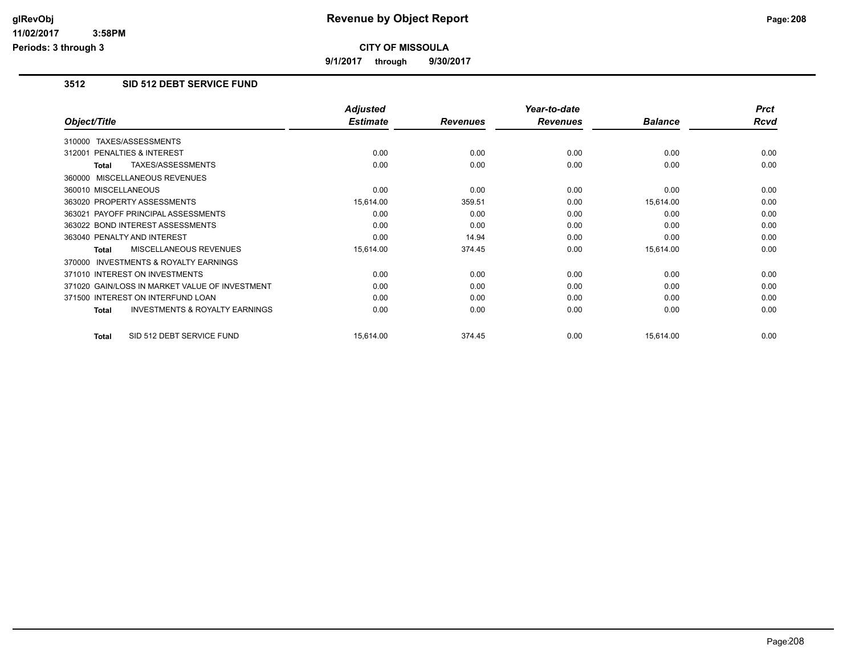**CITY OF MISSOULA**

**9/1/2017 through 9/30/2017**

## **3512 SID 512 DEBT SERVICE FUND**

|                                                           | <b>Adjusted</b> |                 | Year-to-date    |                | <b>Prct</b> |
|-----------------------------------------------------------|-----------------|-----------------|-----------------|----------------|-------------|
| Object/Title                                              | <b>Estimate</b> | <b>Revenues</b> | <b>Revenues</b> | <b>Balance</b> | <b>Rcvd</b> |
| TAXES/ASSESSMENTS<br>310000                               |                 |                 |                 |                |             |
| 312001 PENALTIES & INTEREST                               | 0.00            | 0.00            | 0.00            | 0.00           | 0.00        |
| TAXES/ASSESSMENTS<br><b>Total</b>                         | 0.00            | 0.00            | 0.00            | 0.00           | 0.00        |
| 360000 MISCELLANEOUS REVENUES                             |                 |                 |                 |                |             |
| 360010 MISCELLANEOUS                                      | 0.00            | 0.00            | 0.00            | 0.00           | 0.00        |
| 363020 PROPERTY ASSESSMENTS                               | 15,614.00       | 359.51          | 0.00            | 15,614.00      | 0.00        |
| 363021 PAYOFF PRINCIPAL ASSESSMENTS                       | 0.00            | 0.00            | 0.00            | 0.00           | 0.00        |
| 363022 BOND INTEREST ASSESSMENTS                          | 0.00            | 0.00            | 0.00            | 0.00           | 0.00        |
| 363040 PENALTY AND INTEREST                               | 0.00            | 14.94           | 0.00            | 0.00           | 0.00        |
| MISCELLANEOUS REVENUES<br><b>Total</b>                    | 15,614.00       | 374.45          | 0.00            | 15,614.00      | 0.00        |
| <b>INVESTMENTS &amp; ROYALTY EARNINGS</b><br>370000       |                 |                 |                 |                |             |
| 371010 INTEREST ON INVESTMENTS                            | 0.00            | 0.00            | 0.00            | 0.00           | 0.00        |
| 371020 GAIN/LOSS IN MARKET VALUE OF INVESTMENT            | 0.00            | 0.00            | 0.00            | 0.00           | 0.00        |
| 371500 INTEREST ON INTERFUND LOAN                         | 0.00            | 0.00            | 0.00            | 0.00           | 0.00        |
| <b>INVESTMENTS &amp; ROYALTY EARNINGS</b><br><b>Total</b> | 0.00            | 0.00            | 0.00            | 0.00           | 0.00        |
| SID 512 DEBT SERVICE FUND<br><b>Total</b>                 | 15,614.00       | 374.45          | 0.00            | 15,614.00      | 0.00        |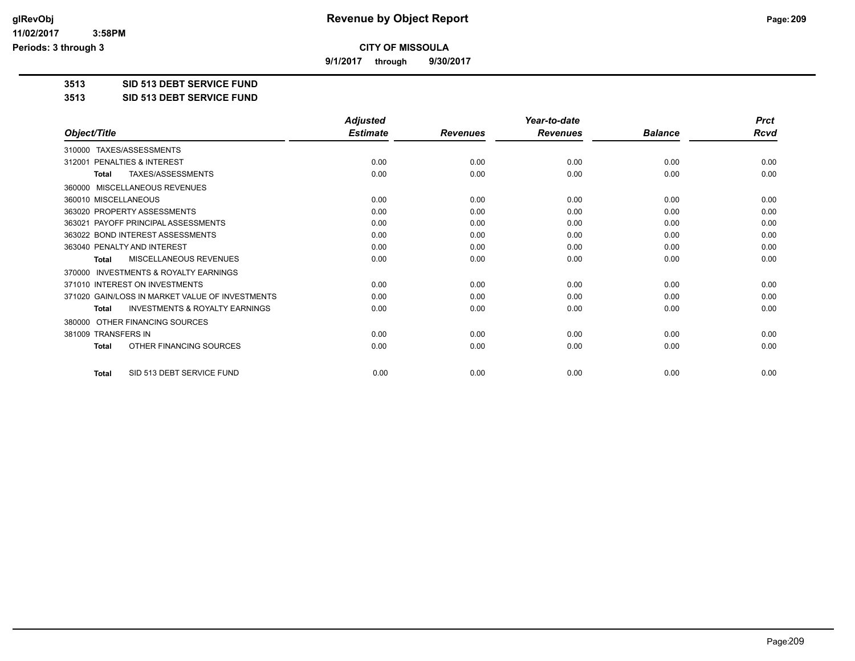**CITY OF MISSOULA**

**9/1/2017 through 9/30/2017**

**3513 SID 513 DEBT SERVICE FUND**

 **3:58PM**

**3513 SID 513 DEBT SERVICE FUND**

|                                                           | <b>Adjusted</b> |                 | Year-to-date    |                | <b>Prct</b> |
|-----------------------------------------------------------|-----------------|-----------------|-----------------|----------------|-------------|
| Object/Title                                              | <b>Estimate</b> | <b>Revenues</b> | <b>Revenues</b> | <b>Balance</b> | Rcvd        |
| TAXES/ASSESSMENTS<br>310000                               |                 |                 |                 |                |             |
| PENALTIES & INTEREST<br>312001                            | 0.00            | 0.00            | 0.00            | 0.00           | 0.00        |
| TAXES/ASSESSMENTS<br><b>Total</b>                         | 0.00            | 0.00            | 0.00            | 0.00           | 0.00        |
| MISCELLANEOUS REVENUES<br>360000                          |                 |                 |                 |                |             |
| 360010 MISCELLANEOUS                                      | 0.00            | 0.00            | 0.00            | 0.00           | 0.00        |
| 363020 PROPERTY ASSESSMENTS                               | 0.00            | 0.00            | 0.00            | 0.00           | 0.00        |
| 363021 PAYOFF PRINCIPAL ASSESSMENTS                       | 0.00            | 0.00            | 0.00            | 0.00           | 0.00        |
| 363022 BOND INTEREST ASSESSMENTS                          | 0.00            | 0.00            | 0.00            | 0.00           | 0.00        |
| 363040 PENALTY AND INTEREST                               | 0.00            | 0.00            | 0.00            | 0.00           | 0.00        |
| MISCELLANEOUS REVENUES<br><b>Total</b>                    | 0.00            | 0.00            | 0.00            | 0.00           | 0.00        |
| <b>INVESTMENTS &amp; ROYALTY EARNINGS</b><br>370000       |                 |                 |                 |                |             |
| 371010 INTEREST ON INVESTMENTS                            | 0.00            | 0.00            | 0.00            | 0.00           | 0.00        |
| 371020 GAIN/LOSS IN MARKET VALUE OF INVESTMENTS           | 0.00            | 0.00            | 0.00            | 0.00           | 0.00        |
| <b>INVESTMENTS &amp; ROYALTY EARNINGS</b><br><b>Total</b> | 0.00            | 0.00            | 0.00            | 0.00           | 0.00        |
| OTHER FINANCING SOURCES<br>380000                         |                 |                 |                 |                |             |
| 381009 TRANSFERS IN                                       | 0.00            | 0.00            | 0.00            | 0.00           | 0.00        |
| OTHER FINANCING SOURCES<br><b>Total</b>                   | 0.00            | 0.00            | 0.00            | 0.00           | 0.00        |
| SID 513 DEBT SERVICE FUND<br><b>Total</b>                 | 0.00            | 0.00            | 0.00            | 0.00           | 0.00        |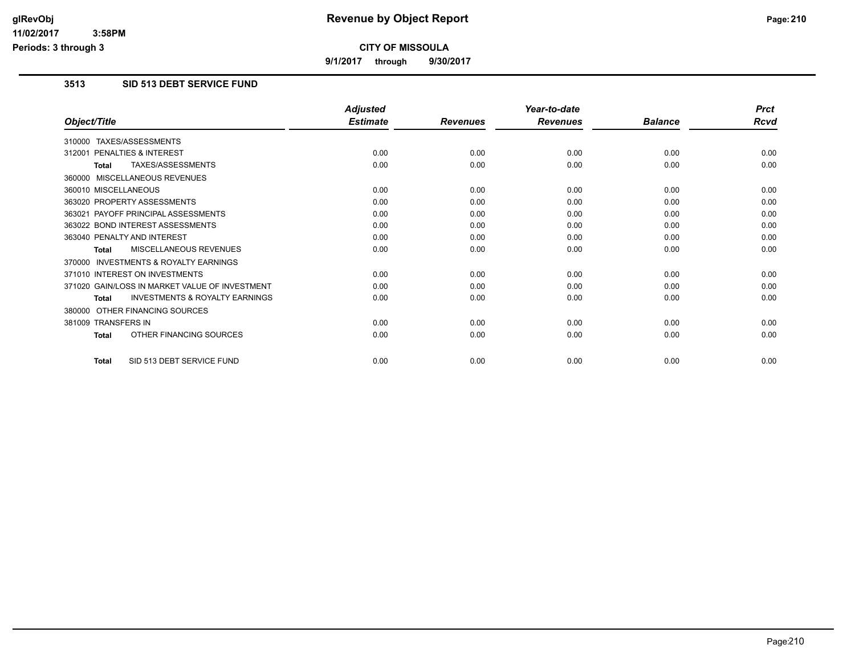**CITY OF MISSOULA**

**9/1/2017 through 9/30/2017**

## **3513 SID 513 DEBT SERVICE FUND**

|                                                           | <b>Adjusted</b> |                 | Year-to-date    |                | <b>Prct</b> |
|-----------------------------------------------------------|-----------------|-----------------|-----------------|----------------|-------------|
| Object/Title                                              | <b>Estimate</b> | <b>Revenues</b> | <b>Revenues</b> | <b>Balance</b> | Rcvd        |
| 310000 TAXES/ASSESSMENTS                                  |                 |                 |                 |                |             |
| 312001 PENALTIES & INTEREST                               | 0.00            | 0.00            | 0.00            | 0.00           | 0.00        |
| TAXES/ASSESSMENTS<br><b>Total</b>                         | 0.00            | 0.00            | 0.00            | 0.00           | 0.00        |
| 360000 MISCELLANEOUS REVENUES                             |                 |                 |                 |                |             |
| 360010 MISCELLANEOUS                                      | 0.00            | 0.00            | 0.00            | 0.00           | 0.00        |
| 363020 PROPERTY ASSESSMENTS                               | 0.00            | 0.00            | 0.00            | 0.00           | 0.00        |
| 363021 PAYOFF PRINCIPAL ASSESSMENTS                       | 0.00            | 0.00            | 0.00            | 0.00           | 0.00        |
| 363022 BOND INTEREST ASSESSMENTS                          | 0.00            | 0.00            | 0.00            | 0.00           | 0.00        |
| 363040 PENALTY AND INTEREST                               | 0.00            | 0.00            | 0.00            | 0.00           | 0.00        |
| MISCELLANEOUS REVENUES<br><b>Total</b>                    | 0.00            | 0.00            | 0.00            | 0.00           | 0.00        |
| <b>INVESTMENTS &amp; ROYALTY EARNINGS</b><br>370000       |                 |                 |                 |                |             |
| 371010 INTEREST ON INVESTMENTS                            | 0.00            | 0.00            | 0.00            | 0.00           | 0.00        |
| 371020 GAIN/LOSS IN MARKET VALUE OF INVESTMENT            | 0.00            | 0.00            | 0.00            | 0.00           | 0.00        |
| <b>INVESTMENTS &amp; ROYALTY EARNINGS</b><br><b>Total</b> | 0.00            | 0.00            | 0.00            | 0.00           | 0.00        |
| 380000 OTHER FINANCING SOURCES                            |                 |                 |                 |                |             |
| 381009 TRANSFERS IN                                       | 0.00            | 0.00            | 0.00            | 0.00           | 0.00        |
| OTHER FINANCING SOURCES<br>Total                          | 0.00            | 0.00            | 0.00            | 0.00           | 0.00        |
| SID 513 DEBT SERVICE FUND<br><b>Total</b>                 | 0.00            | 0.00            | 0.00            | 0.00           | 0.00        |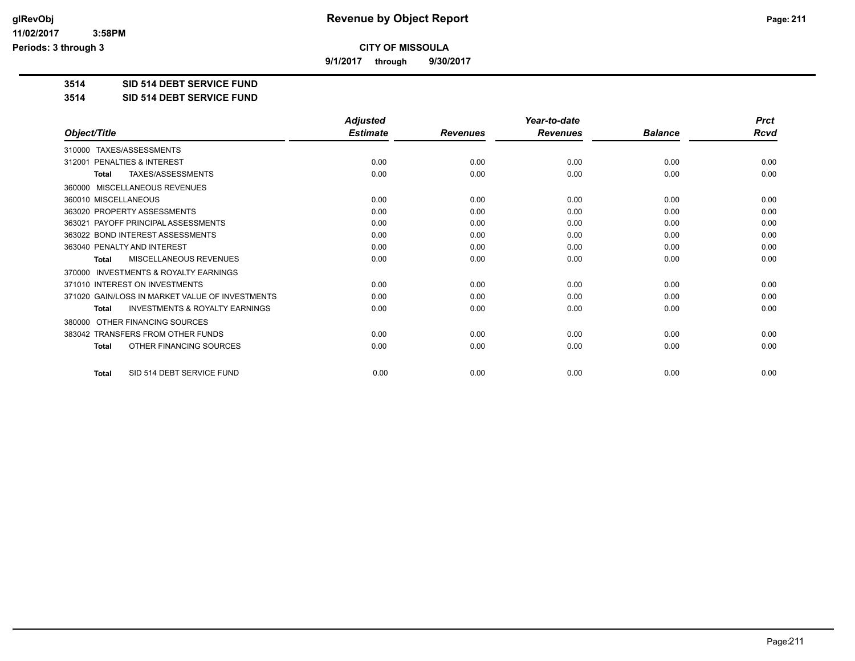**11/02/2017 3:58PM Periods: 3 through 3**

# **CITY OF MISSOULA**

**9/1/2017 through 9/30/2017**

#### **3514 SID 514 DEBT SERVICE FUND**

**3514 SID 514 DEBT SERVICE FUND**

|                                                     | <b>Adjusted</b> |                 | Year-to-date    |                | <b>Prct</b> |
|-----------------------------------------------------|-----------------|-----------------|-----------------|----------------|-------------|
| Object/Title                                        | <b>Estimate</b> | <b>Revenues</b> | <b>Revenues</b> | <b>Balance</b> | <b>Rcvd</b> |
| TAXES/ASSESSMENTS<br>310000                         |                 |                 |                 |                |             |
| PENALTIES & INTEREST<br>312001                      | 0.00            | 0.00            | 0.00            | 0.00           | 0.00        |
| TAXES/ASSESSMENTS<br><b>Total</b>                   | 0.00            | 0.00            | 0.00            | 0.00           | 0.00        |
| MISCELLANEOUS REVENUES<br>360000                    |                 |                 |                 |                |             |
| 360010 MISCELLANEOUS                                | 0.00            | 0.00            | 0.00            | 0.00           | 0.00        |
| 363020 PROPERTY ASSESSMENTS                         | 0.00            | 0.00            | 0.00            | 0.00           | 0.00        |
| 363021 PAYOFF PRINCIPAL ASSESSMENTS                 | 0.00            | 0.00            | 0.00            | 0.00           | 0.00        |
| 363022 BOND INTEREST ASSESSMENTS                    | 0.00            | 0.00            | 0.00            | 0.00           | 0.00        |
| 363040 PENALTY AND INTEREST                         | 0.00            | 0.00            | 0.00            | 0.00           | 0.00        |
| MISCELLANEOUS REVENUES<br>Total                     | 0.00            | 0.00            | 0.00            | 0.00           | 0.00        |
| <b>INVESTMENTS &amp; ROYALTY EARNINGS</b><br>370000 |                 |                 |                 |                |             |
| 371010 INTEREST ON INVESTMENTS                      | 0.00            | 0.00            | 0.00            | 0.00           | 0.00        |
| 371020 GAIN/LOSS IN MARKET VALUE OF INVESTMENTS     | 0.00            | 0.00            | 0.00            | 0.00           | 0.00        |
| <b>INVESTMENTS &amp; ROYALTY EARNINGS</b><br>Total  | 0.00            | 0.00            | 0.00            | 0.00           | 0.00        |
| OTHER FINANCING SOURCES<br>380000                   |                 |                 |                 |                |             |
| 383042 TRANSFERS FROM OTHER FUNDS                   | 0.00            | 0.00            | 0.00            | 0.00           | 0.00        |
| OTHER FINANCING SOURCES<br><b>Total</b>             | 0.00            | 0.00            | 0.00            | 0.00           | 0.00        |
| SID 514 DEBT SERVICE FUND<br><b>Total</b>           | 0.00            | 0.00            | 0.00            | 0.00           | 0.00        |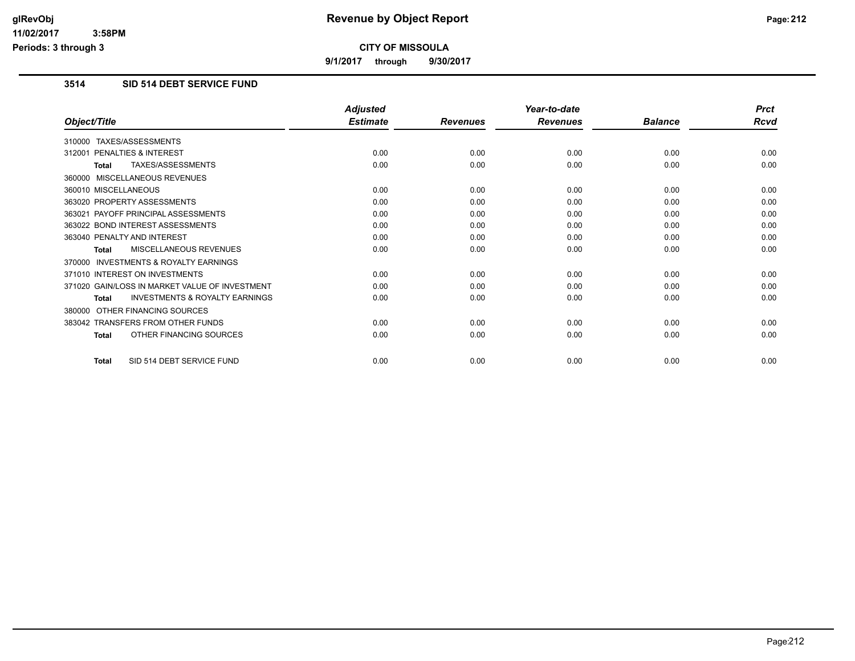**glRevObj Revenue by Object Report Page:212** 

**CITY OF MISSOULA**

**9/1/2017 through 9/30/2017**

## **3514 SID 514 DEBT SERVICE FUND**

|                                                           | <b>Adjusted</b> |                 | Year-to-date    |                | <b>Prct</b> |
|-----------------------------------------------------------|-----------------|-----------------|-----------------|----------------|-------------|
| Object/Title                                              | <b>Estimate</b> | <b>Revenues</b> | <b>Revenues</b> | <b>Balance</b> | <b>Rcvd</b> |
| 310000 TAXES/ASSESSMENTS                                  |                 |                 |                 |                |             |
| PENALTIES & INTEREST<br>312001                            | 0.00            | 0.00            | 0.00            | 0.00           | 0.00        |
| TAXES/ASSESSMENTS<br>Total                                | 0.00            | 0.00            | 0.00            | 0.00           | 0.00        |
| 360000 MISCELLANEOUS REVENUES                             |                 |                 |                 |                |             |
| 360010 MISCELLANEOUS                                      | 0.00            | 0.00            | 0.00            | 0.00           | 0.00        |
| 363020 PROPERTY ASSESSMENTS                               | 0.00            | 0.00            | 0.00            | 0.00           | 0.00        |
| 363021 PAYOFF PRINCIPAL ASSESSMENTS                       | 0.00            | 0.00            | 0.00            | 0.00           | 0.00        |
| 363022 BOND INTEREST ASSESSMENTS                          | 0.00            | 0.00            | 0.00            | 0.00           | 0.00        |
| 363040 PENALTY AND INTEREST                               | 0.00            | 0.00            | 0.00            | 0.00           | 0.00        |
| <b>MISCELLANEOUS REVENUES</b><br><b>Total</b>             | 0.00            | 0.00            | 0.00            | 0.00           | 0.00        |
| 370000 INVESTMENTS & ROYALTY EARNINGS                     |                 |                 |                 |                |             |
| 371010 INTEREST ON INVESTMENTS                            | 0.00            | 0.00            | 0.00            | 0.00           | 0.00        |
| 371020 GAIN/LOSS IN MARKET VALUE OF INVESTMENT            | 0.00            | 0.00            | 0.00            | 0.00           | 0.00        |
| <b>INVESTMENTS &amp; ROYALTY EARNINGS</b><br><b>Total</b> | 0.00            | 0.00            | 0.00            | 0.00           | 0.00        |
| 380000 OTHER FINANCING SOURCES                            |                 |                 |                 |                |             |
| 383042 TRANSFERS FROM OTHER FUNDS                         | 0.00            | 0.00            | 0.00            | 0.00           | 0.00        |
| OTHER FINANCING SOURCES<br><b>Total</b>                   | 0.00            | 0.00            | 0.00            | 0.00           | 0.00        |
| SID 514 DEBT SERVICE FUND<br><b>Total</b>                 | 0.00            | 0.00            | 0.00            | 0.00           | 0.00        |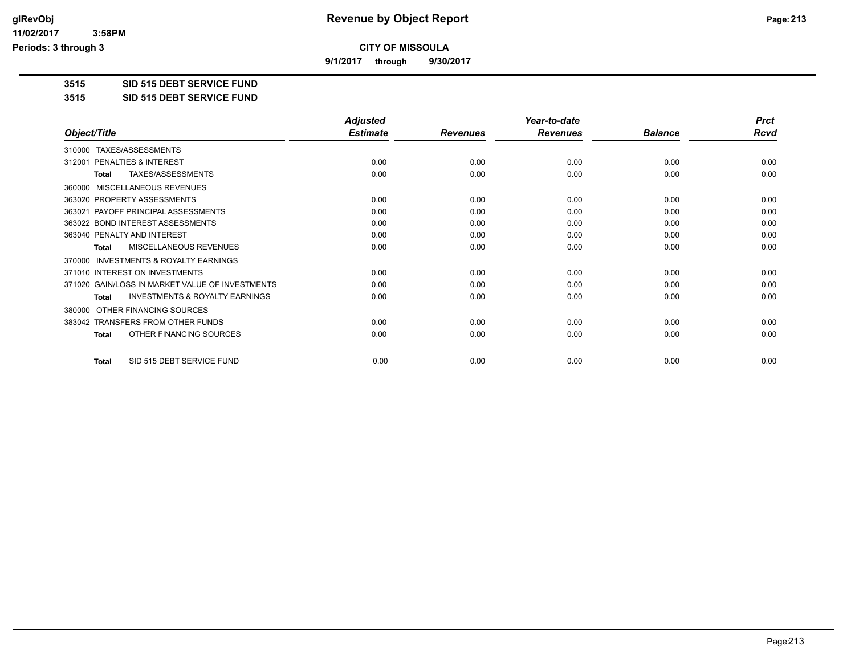**CITY OF MISSOULA**

**9/1/2017 through 9/30/2017**

**3515 SID 515 DEBT SERVICE FUND**

**3515 SID 515 DEBT SERVICE FUND**

|                                                           | <b>Adjusted</b> |                 | Year-to-date    |                | <b>Prct</b> |
|-----------------------------------------------------------|-----------------|-----------------|-----------------|----------------|-------------|
| Object/Title                                              | <b>Estimate</b> | <b>Revenues</b> | <b>Revenues</b> | <b>Balance</b> | <b>Rcvd</b> |
| TAXES/ASSESSMENTS<br>310000                               |                 |                 |                 |                |             |
| PENALTIES & INTEREST<br>312001                            | 0.00            | 0.00            | 0.00            | 0.00           | 0.00        |
| TAXES/ASSESSMENTS<br><b>Total</b>                         | 0.00            | 0.00            | 0.00            | 0.00           | 0.00        |
| MISCELLANEOUS REVENUES<br>360000                          |                 |                 |                 |                |             |
| 363020 PROPERTY ASSESSMENTS                               | 0.00            | 0.00            | 0.00            | 0.00           | 0.00        |
| 363021 PAYOFF PRINCIPAL ASSESSMENTS                       | 0.00            | 0.00            | 0.00            | 0.00           | 0.00        |
| 363022 BOND INTEREST ASSESSMENTS                          | 0.00            | 0.00            | 0.00            | 0.00           | 0.00        |
| 363040 PENALTY AND INTEREST                               | 0.00            | 0.00            | 0.00            | 0.00           | 0.00        |
| MISCELLANEOUS REVENUES<br><b>Total</b>                    | 0.00            | 0.00            | 0.00            | 0.00           | 0.00        |
| <b>INVESTMENTS &amp; ROYALTY EARNINGS</b><br>370000       |                 |                 |                 |                |             |
| 371010 INTEREST ON INVESTMENTS                            | 0.00            | 0.00            | 0.00            | 0.00           | 0.00        |
| 371020 GAIN/LOSS IN MARKET VALUE OF INVESTMENTS           | 0.00            | 0.00            | 0.00            | 0.00           | 0.00        |
| <b>INVESTMENTS &amp; ROYALTY EARNINGS</b><br><b>Total</b> | 0.00            | 0.00            | 0.00            | 0.00           | 0.00        |
| OTHER FINANCING SOURCES<br>380000                         |                 |                 |                 |                |             |
| 383042 TRANSFERS FROM OTHER FUNDS                         | 0.00            | 0.00            | 0.00            | 0.00           | 0.00        |
| OTHER FINANCING SOURCES<br><b>Total</b>                   | 0.00            | 0.00            | 0.00            | 0.00           | 0.00        |
| SID 515 DEBT SERVICE FUND<br><b>Total</b>                 | 0.00            | 0.00            | 0.00            | 0.00           | 0.00        |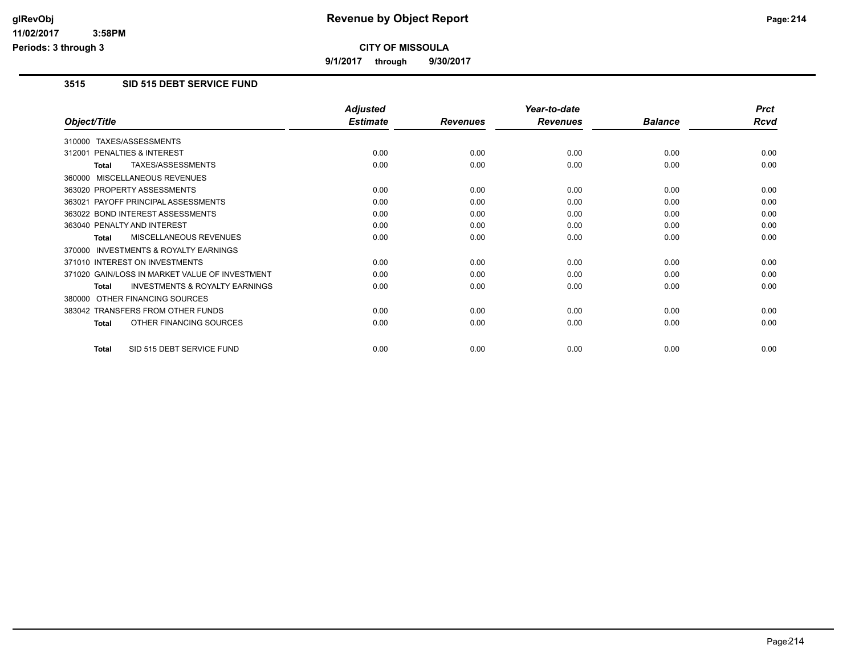**CITY OF MISSOULA**

**9/1/2017 through 9/30/2017**

## **3515 SID 515 DEBT SERVICE FUND**

|                                                           | <b>Adjusted</b> |                 | Year-to-date    |                | <b>Prct</b> |
|-----------------------------------------------------------|-----------------|-----------------|-----------------|----------------|-------------|
| Object/Title                                              | <b>Estimate</b> | <b>Revenues</b> | <b>Revenues</b> | <b>Balance</b> | <b>Rcvd</b> |
| TAXES/ASSESSMENTS<br>310000                               |                 |                 |                 |                |             |
| PENALTIES & INTEREST<br>312001                            | 0.00            | 0.00            | 0.00            | 0.00           | 0.00        |
| TAXES/ASSESSMENTS<br><b>Total</b>                         | 0.00            | 0.00            | 0.00            | 0.00           | 0.00        |
| MISCELLANEOUS REVENUES<br>360000                          |                 |                 |                 |                |             |
| 363020 PROPERTY ASSESSMENTS                               | 0.00            | 0.00            | 0.00            | 0.00           | 0.00        |
| PAYOFF PRINCIPAL ASSESSMENTS<br>363021                    | 0.00            | 0.00            | 0.00            | 0.00           | 0.00        |
| 363022 BOND INTEREST ASSESSMENTS                          | 0.00            | 0.00            | 0.00            | 0.00           | 0.00        |
| 363040 PENALTY AND INTEREST                               | 0.00            | 0.00            | 0.00            | 0.00           | 0.00        |
| <b>MISCELLANEOUS REVENUES</b><br><b>Total</b>             | 0.00            | 0.00            | 0.00            | 0.00           | 0.00        |
| <b>INVESTMENTS &amp; ROYALTY EARNINGS</b><br>370000       |                 |                 |                 |                |             |
| 371010 INTEREST ON INVESTMENTS                            | 0.00            | 0.00            | 0.00            | 0.00           | 0.00        |
| 371020 GAIN/LOSS IN MARKET VALUE OF INVESTMENT            | 0.00            | 0.00            | 0.00            | 0.00           | 0.00        |
| <b>INVESTMENTS &amp; ROYALTY EARNINGS</b><br><b>Total</b> | 0.00            | 0.00            | 0.00            | 0.00           | 0.00        |
| OTHER FINANCING SOURCES<br>380000                         |                 |                 |                 |                |             |
| 383042 TRANSFERS FROM OTHER FUNDS                         | 0.00            | 0.00            | 0.00            | 0.00           | 0.00        |
| OTHER FINANCING SOURCES<br><b>Total</b>                   | 0.00            | 0.00            | 0.00            | 0.00           | 0.00        |
| SID 515 DEBT SERVICE FUND<br><b>Total</b>                 | 0.00            | 0.00            | 0.00            | 0.00           | 0.00        |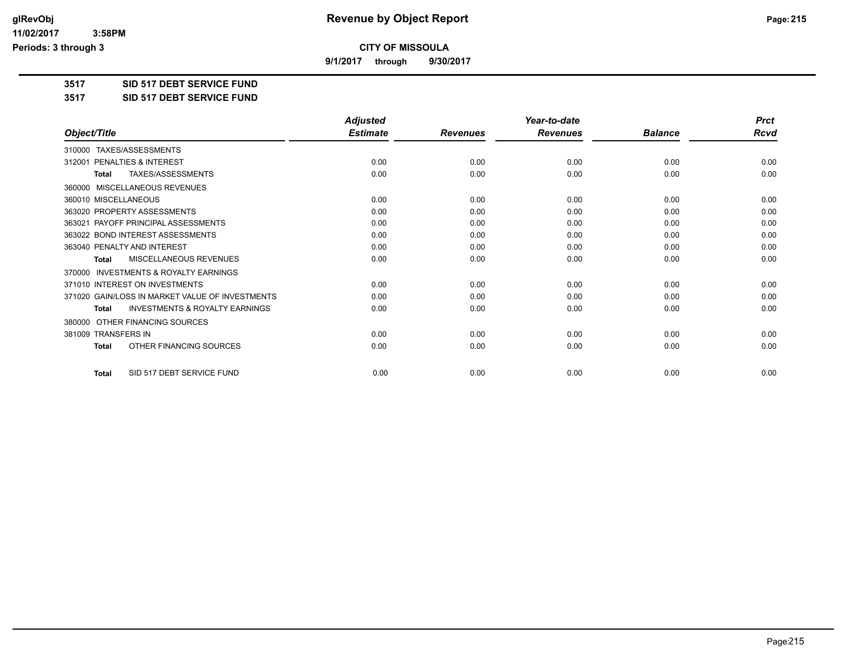**CITY OF MISSOULA**

**9/1/2017 through 9/30/2017**

**3517 SID 517 DEBT SERVICE FUND**

**3517 SID 517 DEBT SERVICE FUND**

|                                                           | <b>Adjusted</b> |                 | Year-to-date    |                | <b>Prct</b> |
|-----------------------------------------------------------|-----------------|-----------------|-----------------|----------------|-------------|
| Object/Title                                              | <b>Estimate</b> | <b>Revenues</b> | <b>Revenues</b> | <b>Balance</b> | <b>Rcvd</b> |
| TAXES/ASSESSMENTS<br>310000                               |                 |                 |                 |                |             |
| PENALTIES & INTEREST<br>312001                            | 0.00            | 0.00            | 0.00            | 0.00           | 0.00        |
| <b>TAXES/ASSESSMENTS</b><br><b>Total</b>                  | 0.00            | 0.00            | 0.00            | 0.00           | 0.00        |
| 360000 MISCELLANEOUS REVENUES                             |                 |                 |                 |                |             |
| 360010 MISCELLANEOUS                                      | 0.00            | 0.00            | 0.00            | 0.00           | 0.00        |
| 363020 PROPERTY ASSESSMENTS                               | 0.00            | 0.00            | 0.00            | 0.00           | 0.00        |
| PAYOFF PRINCIPAL ASSESSMENTS<br>363021                    | 0.00            | 0.00            | 0.00            | 0.00           | 0.00        |
| 363022 BOND INTEREST ASSESSMENTS                          | 0.00            | 0.00            | 0.00            | 0.00           | 0.00        |
| 363040 PENALTY AND INTEREST                               | 0.00            | 0.00            | 0.00            | 0.00           | 0.00        |
| MISCELLANEOUS REVENUES<br><b>Total</b>                    | 0.00            | 0.00            | 0.00            | 0.00           | 0.00        |
| <b>INVESTMENTS &amp; ROYALTY EARNINGS</b><br>370000       |                 |                 |                 |                |             |
| 371010 INTEREST ON INVESTMENTS                            | 0.00            | 0.00            | 0.00            | 0.00           | 0.00        |
| 371020 GAIN/LOSS IN MARKET VALUE OF INVESTMENTS           | 0.00            | 0.00            | 0.00            | 0.00           | 0.00        |
| <b>INVESTMENTS &amp; ROYALTY EARNINGS</b><br><b>Total</b> | 0.00            | 0.00            | 0.00            | 0.00           | 0.00        |
| OTHER FINANCING SOURCES<br>380000                         |                 |                 |                 |                |             |
| 381009 TRANSFERS IN                                       | 0.00            | 0.00            | 0.00            | 0.00           | 0.00        |
| OTHER FINANCING SOURCES<br><b>Total</b>                   | 0.00            | 0.00            | 0.00            | 0.00           | 0.00        |
| SID 517 DEBT SERVICE FUND<br><b>Total</b>                 | 0.00            | 0.00            | 0.00            | 0.00           | 0.00        |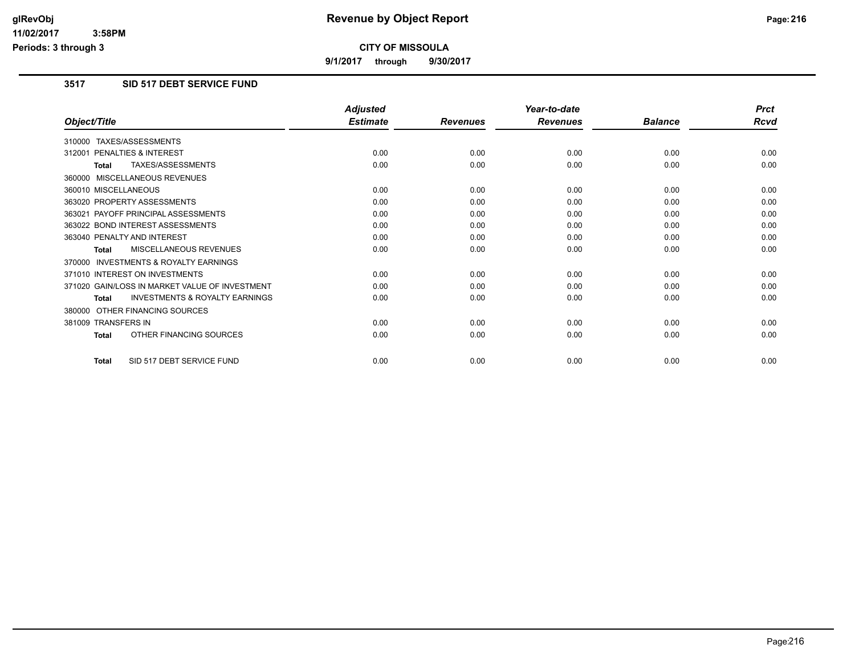**CITY OF MISSOULA**

**9/1/2017 through 9/30/2017**

## **3517 SID 517 DEBT SERVICE FUND**

|                                                     | <b>Adjusted</b> |                 | Year-to-date    |                | <b>Prct</b> |
|-----------------------------------------------------|-----------------|-----------------|-----------------|----------------|-------------|
| Object/Title                                        | <b>Estimate</b> | <b>Revenues</b> | <b>Revenues</b> | <b>Balance</b> | <b>Rcvd</b> |
| 310000 TAXES/ASSESSMENTS                            |                 |                 |                 |                |             |
| 312001 PENALTIES & INTEREST                         | 0.00            | 0.00            | 0.00            | 0.00           | 0.00        |
| TAXES/ASSESSMENTS<br><b>Total</b>                   | 0.00            | 0.00            | 0.00            | 0.00           | 0.00        |
| 360000 MISCELLANEOUS REVENUES                       |                 |                 |                 |                |             |
| 360010 MISCELLANEOUS                                | 0.00            | 0.00            | 0.00            | 0.00           | 0.00        |
| 363020 PROPERTY ASSESSMENTS                         | 0.00            | 0.00            | 0.00            | 0.00           | 0.00        |
| 363021 PAYOFF PRINCIPAL ASSESSMENTS                 | 0.00            | 0.00            | 0.00            | 0.00           | 0.00        |
| 363022 BOND INTEREST ASSESSMENTS                    | 0.00            | 0.00            | 0.00            | 0.00           | 0.00        |
| 363040 PENALTY AND INTEREST                         | 0.00            | 0.00            | 0.00            | 0.00           | 0.00        |
| MISCELLANEOUS REVENUES<br><b>Total</b>              | 0.00            | 0.00            | 0.00            | 0.00           | 0.00        |
| <b>INVESTMENTS &amp; ROYALTY EARNINGS</b><br>370000 |                 |                 |                 |                |             |
| 371010 INTEREST ON INVESTMENTS                      | 0.00            | 0.00            | 0.00            | 0.00           | 0.00        |
| 371020 GAIN/LOSS IN MARKET VALUE OF INVESTMENT      | 0.00            | 0.00            | 0.00            | 0.00           | 0.00        |
| <b>INVESTMENTS &amp; ROYALTY EARNINGS</b><br>Total  | 0.00            | 0.00            | 0.00            | 0.00           | 0.00        |
| 380000 OTHER FINANCING SOURCES                      |                 |                 |                 |                |             |
| 381009 TRANSFERS IN                                 | 0.00            | 0.00            | 0.00            | 0.00           | 0.00        |
| OTHER FINANCING SOURCES<br><b>Total</b>             | 0.00            | 0.00            | 0.00            | 0.00           | 0.00        |
| SID 517 DEBT SERVICE FUND<br><b>Total</b>           | 0.00            | 0.00            | 0.00            | 0.00           | 0.00        |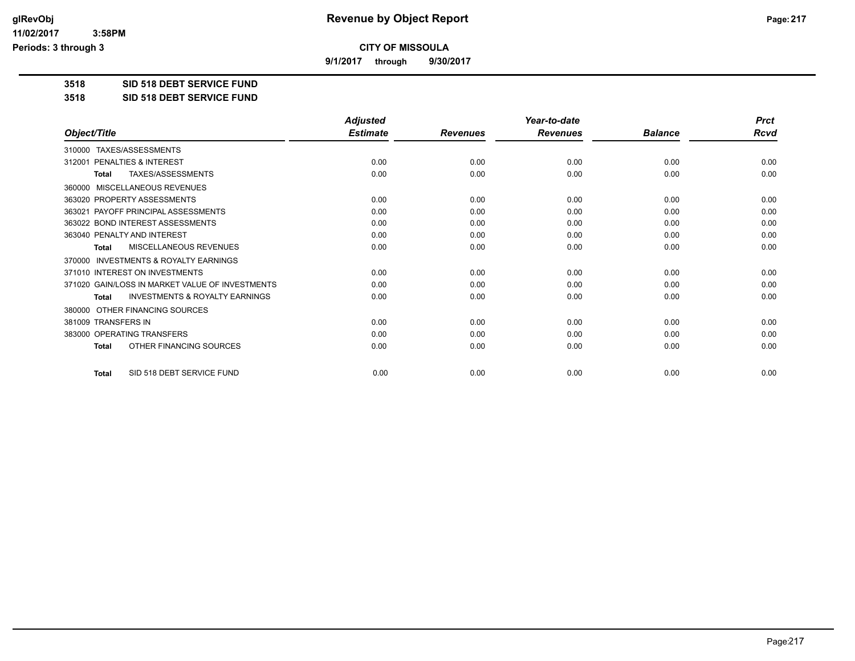**CITY OF MISSOULA**

**9/1/2017 through 9/30/2017**

**3518 SID 518 DEBT SERVICE FUND**

 **3:58PM**

**3518 SID 518 DEBT SERVICE FUND**

|                                                     | <b>Adjusted</b> |                 | Year-to-date    |                | <b>Prct</b> |
|-----------------------------------------------------|-----------------|-----------------|-----------------|----------------|-------------|
| Object/Title                                        | <b>Estimate</b> | <b>Revenues</b> | <b>Revenues</b> | <b>Balance</b> | <b>Rcvd</b> |
| <b>TAXES/ASSESSMENTS</b><br>310000                  |                 |                 |                 |                |             |
| PENALTIES & INTEREST<br>312001                      | 0.00            | 0.00            | 0.00            | 0.00           | 0.00        |
| TAXES/ASSESSMENTS<br>Total                          | 0.00            | 0.00            | 0.00            | 0.00           | 0.00        |
| MISCELLANEOUS REVENUES<br>360000                    |                 |                 |                 |                |             |
| 363020 PROPERTY ASSESSMENTS                         | 0.00            | 0.00            | 0.00            | 0.00           | 0.00        |
| 363021 PAYOFF PRINCIPAL ASSESSMENTS                 | 0.00            | 0.00            | 0.00            | 0.00           | 0.00        |
| 363022 BOND INTEREST ASSESSMENTS                    | 0.00            | 0.00            | 0.00            | 0.00           | 0.00        |
| 363040 PENALTY AND INTEREST                         | 0.00            | 0.00            | 0.00            | 0.00           | 0.00        |
| MISCELLANEOUS REVENUES<br>Total                     | 0.00            | 0.00            | 0.00            | 0.00           | 0.00        |
| <b>INVESTMENTS &amp; ROYALTY EARNINGS</b><br>370000 |                 |                 |                 |                |             |
| 371010 INTEREST ON INVESTMENTS                      | 0.00            | 0.00            | 0.00            | 0.00           | 0.00        |
| 371020 GAIN/LOSS IN MARKET VALUE OF INVESTMENTS     | 0.00            | 0.00            | 0.00            | 0.00           | 0.00        |
| <b>INVESTMENTS &amp; ROYALTY EARNINGS</b><br>Total  | 0.00            | 0.00            | 0.00            | 0.00           | 0.00        |
| OTHER FINANCING SOURCES<br>380000                   |                 |                 |                 |                |             |
| 381009 TRANSFERS IN                                 | 0.00            | 0.00            | 0.00            | 0.00           | 0.00        |
| 383000 OPERATING TRANSFERS                          | 0.00            | 0.00            | 0.00            | 0.00           | 0.00        |
| OTHER FINANCING SOURCES<br><b>Total</b>             | 0.00            | 0.00            | 0.00            | 0.00           | 0.00        |
| SID 518 DEBT SERVICE FUND<br><b>Total</b>           | 0.00            | 0.00            | 0.00            | 0.00           | 0.00        |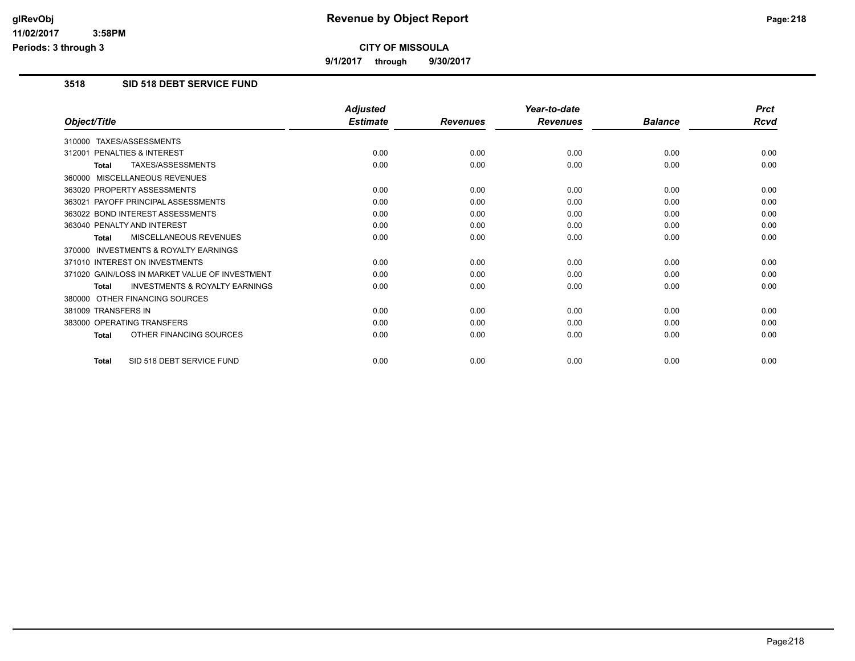**CITY OF MISSOULA**

**9/1/2017 through 9/30/2017**

# **3518 SID 518 DEBT SERVICE FUND**

|                                                           | <b>Adjusted</b> |                 | Year-to-date    |                | <b>Prct</b> |
|-----------------------------------------------------------|-----------------|-----------------|-----------------|----------------|-------------|
| Object/Title                                              | <b>Estimate</b> | <b>Revenues</b> | <b>Revenues</b> | <b>Balance</b> | <b>Rcvd</b> |
| 310000 TAXES/ASSESSMENTS                                  |                 |                 |                 |                |             |
| PENALTIES & INTEREST<br>312001                            | 0.00            | 0.00            | 0.00            | 0.00           | 0.00        |
| TAXES/ASSESSMENTS<br><b>Total</b>                         | 0.00            | 0.00            | 0.00            | 0.00           | 0.00        |
| MISCELLANEOUS REVENUES<br>360000                          |                 |                 |                 |                |             |
| 363020 PROPERTY ASSESSMENTS                               | 0.00            | 0.00            | 0.00            | 0.00           | 0.00        |
| 363021 PAYOFF PRINCIPAL ASSESSMENTS                       | 0.00            | 0.00            | 0.00            | 0.00           | 0.00        |
| 363022 BOND INTEREST ASSESSMENTS                          | 0.00            | 0.00            | 0.00            | 0.00           | 0.00        |
| 363040 PENALTY AND INTEREST                               | 0.00            | 0.00            | 0.00            | 0.00           | 0.00        |
| <b>MISCELLANEOUS REVENUES</b><br><b>Total</b>             | 0.00            | 0.00            | 0.00            | 0.00           | 0.00        |
| <b>INVESTMENTS &amp; ROYALTY EARNINGS</b><br>370000       |                 |                 |                 |                |             |
| 371010 INTEREST ON INVESTMENTS                            | 0.00            | 0.00            | 0.00            | 0.00           | 0.00        |
| 371020 GAIN/LOSS IN MARKET VALUE OF INVESTMENT            | 0.00            | 0.00            | 0.00            | 0.00           | 0.00        |
| <b>INVESTMENTS &amp; ROYALTY EARNINGS</b><br><b>Total</b> | 0.00            | 0.00            | 0.00            | 0.00           | 0.00        |
| 380000 OTHER FINANCING SOURCES                            |                 |                 |                 |                |             |
| 381009 TRANSFERS IN                                       | 0.00            | 0.00            | 0.00            | 0.00           | 0.00        |
| 383000 OPERATING TRANSFERS                                | 0.00            | 0.00            | 0.00            | 0.00           | 0.00        |
| OTHER FINANCING SOURCES<br><b>Total</b>                   | 0.00            | 0.00            | 0.00            | 0.00           | 0.00        |
| SID 518 DEBT SERVICE FUND<br><b>Total</b>                 | 0.00            | 0.00            | 0.00            | 0.00           | 0.00        |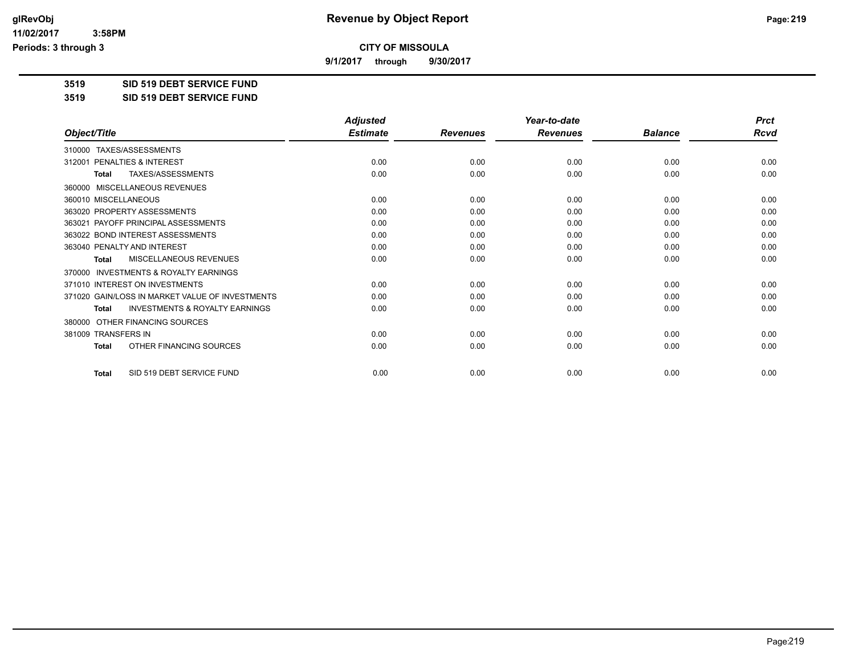**glRevObj Revenue by Object Report Page:219** 

**CITY OF MISSOULA**

**9/1/2017 through 9/30/2017**

**3519 SID 519 DEBT SERVICE FUND**

 **3:58PM**

**3519 SID 519 DEBT SERVICE FUND**

|                                                           | <b>Adjusted</b> |                 | Year-to-date    |                | <b>Prct</b> |
|-----------------------------------------------------------|-----------------|-----------------|-----------------|----------------|-------------|
| Object/Title                                              | <b>Estimate</b> | <b>Revenues</b> | <b>Revenues</b> | <b>Balance</b> | <b>Rcvd</b> |
| TAXES/ASSESSMENTS<br>310000                               |                 |                 |                 |                |             |
| PENALTIES & INTEREST<br>312001                            | 0.00            | 0.00            | 0.00            | 0.00           | 0.00        |
| TAXES/ASSESSMENTS<br><b>Total</b>                         | 0.00            | 0.00            | 0.00            | 0.00           | 0.00        |
| MISCELLANEOUS REVENUES<br>360000                          |                 |                 |                 |                |             |
| 360010 MISCELLANEOUS                                      | 0.00            | 0.00            | 0.00            | 0.00           | 0.00        |
| 363020 PROPERTY ASSESSMENTS                               | 0.00            | 0.00            | 0.00            | 0.00           | 0.00        |
| 363021 PAYOFF PRINCIPAL ASSESSMENTS                       | 0.00            | 0.00            | 0.00            | 0.00           | 0.00        |
| 363022 BOND INTEREST ASSESSMENTS                          | 0.00            | 0.00            | 0.00            | 0.00           | 0.00        |
| 363040 PENALTY AND INTEREST                               | 0.00            | 0.00            | 0.00            | 0.00           | 0.00        |
| MISCELLANEOUS REVENUES<br><b>Total</b>                    | 0.00            | 0.00            | 0.00            | 0.00           | 0.00        |
| <b>INVESTMENTS &amp; ROYALTY EARNINGS</b><br>370000       |                 |                 |                 |                |             |
| 371010 INTEREST ON INVESTMENTS                            | 0.00            | 0.00            | 0.00            | 0.00           | 0.00        |
| 371020 GAIN/LOSS IN MARKET VALUE OF INVESTMENTS           | 0.00            | 0.00            | 0.00            | 0.00           | 0.00        |
| <b>INVESTMENTS &amp; ROYALTY EARNINGS</b><br><b>Total</b> | 0.00            | 0.00            | 0.00            | 0.00           | 0.00        |
| OTHER FINANCING SOURCES<br>380000                         |                 |                 |                 |                |             |
| 381009 TRANSFERS IN                                       | 0.00            | 0.00            | 0.00            | 0.00           | 0.00        |
| OTHER FINANCING SOURCES<br><b>Total</b>                   | 0.00            | 0.00            | 0.00            | 0.00           | 0.00        |
| SID 519 DEBT SERVICE FUND<br><b>Total</b>                 | 0.00            | 0.00            | 0.00            | 0.00           | 0.00        |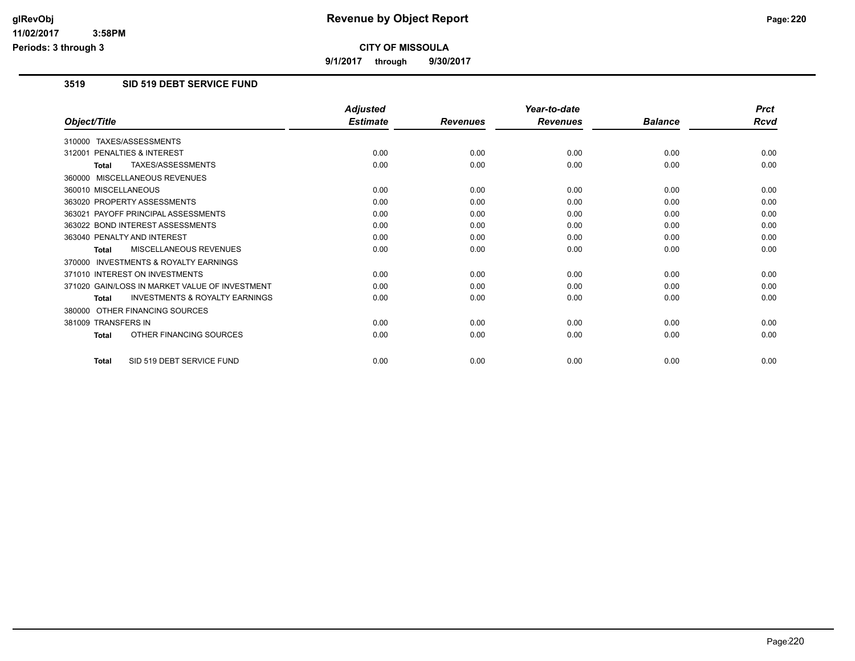**CITY OF MISSOULA**

**9/1/2017 through 9/30/2017**

# **3519 SID 519 DEBT SERVICE FUND**

|                                                           | <b>Adjusted</b> |                 | Year-to-date    |                | <b>Prct</b> |
|-----------------------------------------------------------|-----------------|-----------------|-----------------|----------------|-------------|
| Object/Title                                              | <b>Estimate</b> | <b>Revenues</b> | <b>Revenues</b> | <b>Balance</b> | <b>Rcvd</b> |
| 310000 TAXES/ASSESSMENTS                                  |                 |                 |                 |                |             |
| 312001 PENALTIES & INTEREST                               | 0.00            | 0.00            | 0.00            | 0.00           | 0.00        |
| TAXES/ASSESSMENTS<br><b>Total</b>                         | 0.00            | 0.00            | 0.00            | 0.00           | 0.00        |
| 360000 MISCELLANEOUS REVENUES                             |                 |                 |                 |                |             |
| 360010 MISCELLANEOUS                                      | 0.00            | 0.00            | 0.00            | 0.00           | 0.00        |
| 363020 PROPERTY ASSESSMENTS                               | 0.00            | 0.00            | 0.00            | 0.00           | 0.00        |
| 363021 PAYOFF PRINCIPAL ASSESSMENTS                       | 0.00            | 0.00            | 0.00            | 0.00           | 0.00        |
| 363022 BOND INTEREST ASSESSMENTS                          | 0.00            | 0.00            | 0.00            | 0.00           | 0.00        |
| 363040 PENALTY AND INTEREST                               | 0.00            | 0.00            | 0.00            | 0.00           | 0.00        |
| MISCELLANEOUS REVENUES<br><b>Total</b>                    | 0.00            | 0.00            | 0.00            | 0.00           | 0.00        |
| INVESTMENTS & ROYALTY EARNINGS<br>370000                  |                 |                 |                 |                |             |
| 371010 INTEREST ON INVESTMENTS                            | 0.00            | 0.00            | 0.00            | 0.00           | 0.00        |
| 371020 GAIN/LOSS IN MARKET VALUE OF INVESTMENT            | 0.00            | 0.00            | 0.00            | 0.00           | 0.00        |
| <b>INVESTMENTS &amp; ROYALTY EARNINGS</b><br><b>Total</b> | 0.00            | 0.00            | 0.00            | 0.00           | 0.00        |
| 380000 OTHER FINANCING SOURCES                            |                 |                 |                 |                |             |
| 381009 TRANSFERS IN                                       | 0.00            | 0.00            | 0.00            | 0.00           | 0.00        |
| OTHER FINANCING SOURCES<br><b>Total</b>                   | 0.00            | 0.00            | 0.00            | 0.00           | 0.00        |
| SID 519 DEBT SERVICE FUND<br><b>Total</b>                 | 0.00            | 0.00            | 0.00            | 0.00           | 0.00        |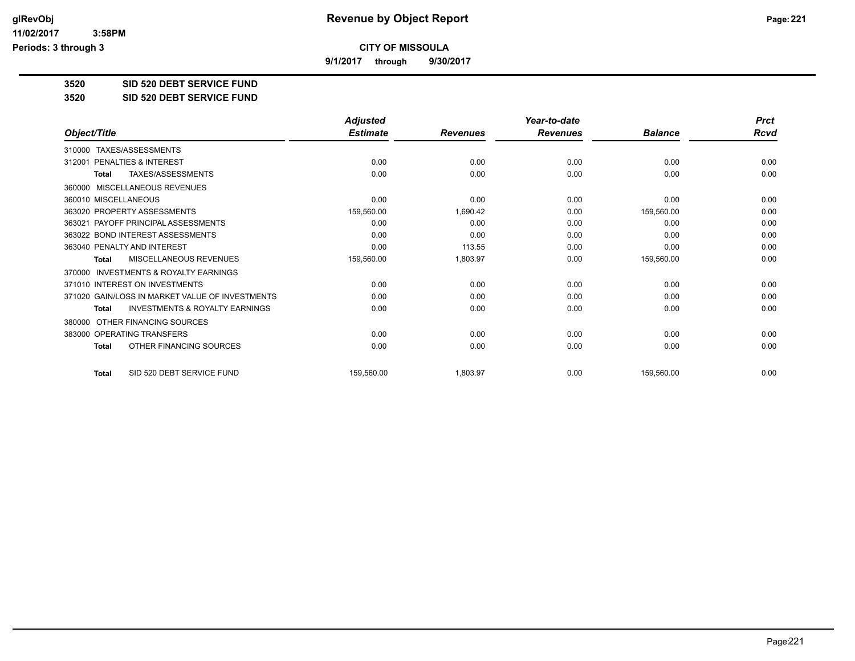**CITY OF MISSOULA**

**9/1/2017 through 9/30/2017**

**3520 SID 520 DEBT SERVICE FUND**

 **3:58PM**

**3520 SID 520 DEBT SERVICE FUND**

|                                                     | <b>Adjusted</b> |                 | Year-to-date    |                | <b>Prct</b> |
|-----------------------------------------------------|-----------------|-----------------|-----------------|----------------|-------------|
| Object/Title                                        | <b>Estimate</b> | <b>Revenues</b> | <b>Revenues</b> | <b>Balance</b> | <b>Rcvd</b> |
| TAXES/ASSESSMENTS<br>310000                         |                 |                 |                 |                |             |
| PENALTIES & INTEREST<br>312001                      | 0.00            | 0.00            | 0.00            | 0.00           | 0.00        |
| TAXES/ASSESSMENTS<br><b>Total</b>                   | 0.00            | 0.00            | 0.00            | 0.00           | 0.00        |
| MISCELLANEOUS REVENUES<br>360000                    |                 |                 |                 |                |             |
| 360010 MISCELLANEOUS                                | 0.00            | 0.00            | 0.00            | 0.00           | 0.00        |
| 363020 PROPERTY ASSESSMENTS                         | 159,560.00      | 1,690.42        | 0.00            | 159,560.00     | 0.00        |
| 363021 PAYOFF PRINCIPAL ASSESSMENTS                 | 0.00            | 0.00            | 0.00            | 0.00           | 0.00        |
| 363022 BOND INTEREST ASSESSMENTS                    | 0.00            | 0.00            | 0.00            | 0.00           | 0.00        |
| 363040 PENALTY AND INTEREST                         | 0.00            | 113.55          | 0.00            | 0.00           | 0.00        |
| MISCELLANEOUS REVENUES<br>Total                     | 159,560.00      | 1,803.97        | 0.00            | 159,560.00     | 0.00        |
| <b>INVESTMENTS &amp; ROYALTY EARNINGS</b><br>370000 |                 |                 |                 |                |             |
| 371010 INTEREST ON INVESTMENTS                      | 0.00            | 0.00            | 0.00            | 0.00           | 0.00        |
| 371020 GAIN/LOSS IN MARKET VALUE OF INVESTMENTS     | 0.00            | 0.00            | 0.00            | 0.00           | 0.00        |
| <b>INVESTMENTS &amp; ROYALTY EARNINGS</b><br>Total  | 0.00            | 0.00            | 0.00            | 0.00           | 0.00        |
| OTHER FINANCING SOURCES<br>380000                   |                 |                 |                 |                |             |
| 383000 OPERATING TRANSFERS                          | 0.00            | 0.00            | 0.00            | 0.00           | 0.00        |
| OTHER FINANCING SOURCES<br><b>Total</b>             | 0.00            | 0.00            | 0.00            | 0.00           | 0.00        |
| SID 520 DEBT SERVICE FUND<br><b>Total</b>           | 159,560.00      | 1,803.97        | 0.00            | 159,560.00     | 0.00        |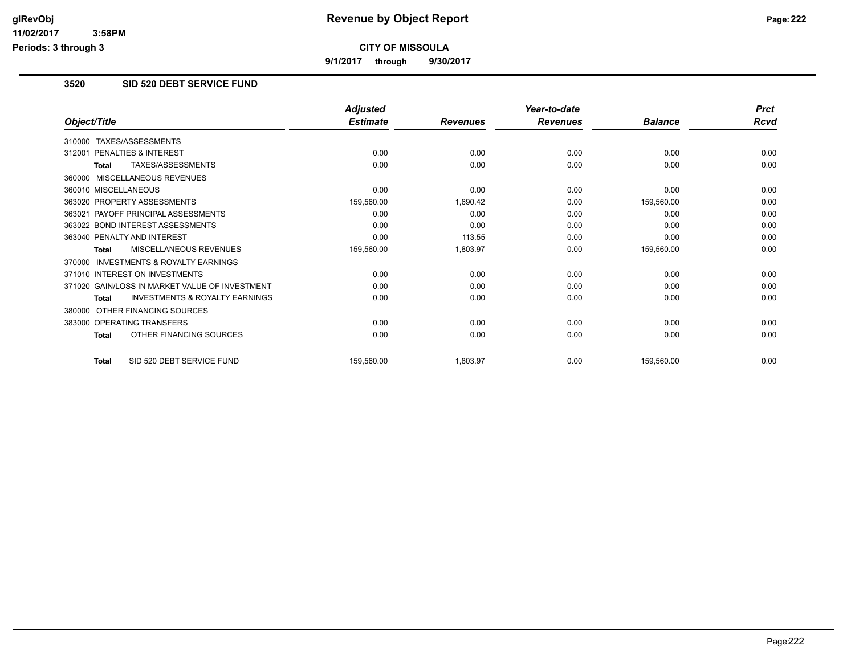**CITY OF MISSOULA**

**9/1/2017 through 9/30/2017**

# **3520 SID 520 DEBT SERVICE FUND**

|                                                           | <b>Adjusted</b> |                 | Year-to-date    |                | <b>Prct</b> |
|-----------------------------------------------------------|-----------------|-----------------|-----------------|----------------|-------------|
| Object/Title                                              | <b>Estimate</b> | <b>Revenues</b> | <b>Revenues</b> | <b>Balance</b> | Rcvd        |
| 310000 TAXES/ASSESSMENTS                                  |                 |                 |                 |                |             |
| 312001 PENALTIES & INTEREST                               | 0.00            | 0.00            | 0.00            | 0.00           | 0.00        |
| <b>TAXES/ASSESSMENTS</b><br><b>Total</b>                  | 0.00            | 0.00            | 0.00            | 0.00           | 0.00        |
| 360000 MISCELLANEOUS REVENUES                             |                 |                 |                 |                |             |
| 360010 MISCELLANEOUS                                      | 0.00            | 0.00            | 0.00            | 0.00           | 0.00        |
| 363020 PROPERTY ASSESSMENTS                               | 159,560.00      | 1,690.42        | 0.00            | 159,560.00     | 0.00        |
| 363021 PAYOFF PRINCIPAL ASSESSMENTS                       | 0.00            | 0.00            | 0.00            | 0.00           | 0.00        |
| 363022 BOND INTEREST ASSESSMENTS                          | 0.00            | 0.00            | 0.00            | 0.00           | 0.00        |
| 363040 PENALTY AND INTEREST                               | 0.00            | 113.55          | 0.00            | 0.00           | 0.00        |
| MISCELLANEOUS REVENUES<br><b>Total</b>                    | 159,560.00      | 1,803.97        | 0.00            | 159,560.00     | 0.00        |
| <b>INVESTMENTS &amp; ROYALTY EARNINGS</b><br>370000       |                 |                 |                 |                |             |
| 371010 INTEREST ON INVESTMENTS                            | 0.00            | 0.00            | 0.00            | 0.00           | 0.00        |
| 371020 GAIN/LOSS IN MARKET VALUE OF INVESTMENT            | 0.00            | 0.00            | 0.00            | 0.00           | 0.00        |
| <b>INVESTMENTS &amp; ROYALTY EARNINGS</b><br><b>Total</b> | 0.00            | 0.00            | 0.00            | 0.00           | 0.00        |
| OTHER FINANCING SOURCES<br>380000                         |                 |                 |                 |                |             |
| 383000 OPERATING TRANSFERS                                | 0.00            | 0.00            | 0.00            | 0.00           | 0.00        |
| OTHER FINANCING SOURCES<br><b>Total</b>                   | 0.00            | 0.00            | 0.00            | 0.00           | 0.00        |
| SID 520 DEBT SERVICE FUND<br><b>Total</b>                 | 159,560.00      | 1,803.97        | 0.00            | 159,560.00     | 0.00        |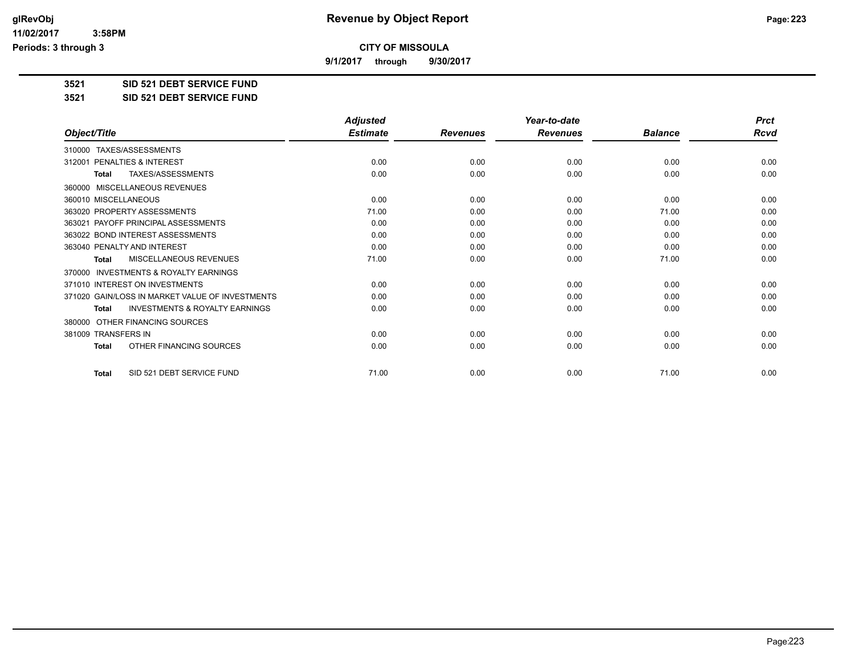**CITY OF MISSOULA**

**9/1/2017 through 9/30/2017**

**3521 SID 521 DEBT SERVICE FUND**

**3521 SID 521 DEBT SERVICE FUND**

|                                                           | <b>Adjusted</b> |                 | Year-to-date    |                | <b>Prct</b> |
|-----------------------------------------------------------|-----------------|-----------------|-----------------|----------------|-------------|
| Object/Title                                              | <b>Estimate</b> | <b>Revenues</b> | <b>Revenues</b> | <b>Balance</b> | <b>Rcvd</b> |
| TAXES/ASSESSMENTS<br>310000                               |                 |                 |                 |                |             |
| 312001 PENALTIES & INTEREST                               | 0.00            | 0.00            | 0.00            | 0.00           | 0.00        |
| TAXES/ASSESSMENTS<br><b>Total</b>                         | 0.00            | 0.00            | 0.00            | 0.00           | 0.00        |
| MISCELLANEOUS REVENUES<br>360000                          |                 |                 |                 |                |             |
| 360010 MISCELLANEOUS                                      | 0.00            | 0.00            | 0.00            | 0.00           | 0.00        |
| 363020 PROPERTY ASSESSMENTS                               | 71.00           | 0.00            | 0.00            | 71.00          | 0.00        |
| 363021 PAYOFF PRINCIPAL ASSESSMENTS                       | 0.00            | 0.00            | 0.00            | 0.00           | 0.00        |
| 363022 BOND INTEREST ASSESSMENTS                          | 0.00            | 0.00            | 0.00            | 0.00           | 0.00        |
| 363040 PENALTY AND INTEREST                               | 0.00            | 0.00            | 0.00            | 0.00           | 0.00        |
| MISCELLANEOUS REVENUES<br>Total                           | 71.00           | 0.00            | 0.00            | 71.00          | 0.00        |
| <b>INVESTMENTS &amp; ROYALTY EARNINGS</b><br>370000       |                 |                 |                 |                |             |
| 371010 INTEREST ON INVESTMENTS                            | 0.00            | 0.00            | 0.00            | 0.00           | 0.00        |
| 371020 GAIN/LOSS IN MARKET VALUE OF INVESTMENTS           | 0.00            | 0.00            | 0.00            | 0.00           | 0.00        |
| <b>INVESTMENTS &amp; ROYALTY EARNINGS</b><br><b>Total</b> | 0.00            | 0.00            | 0.00            | 0.00           | 0.00        |
| OTHER FINANCING SOURCES<br>380000                         |                 |                 |                 |                |             |
| 381009 TRANSFERS IN                                       | 0.00            | 0.00            | 0.00            | 0.00           | 0.00        |
| OTHER FINANCING SOURCES<br><b>Total</b>                   | 0.00            | 0.00            | 0.00            | 0.00           | 0.00        |
| SID 521 DEBT SERVICE FUND<br><b>Total</b>                 | 71.00           | 0.00            | 0.00            | 71.00          | 0.00        |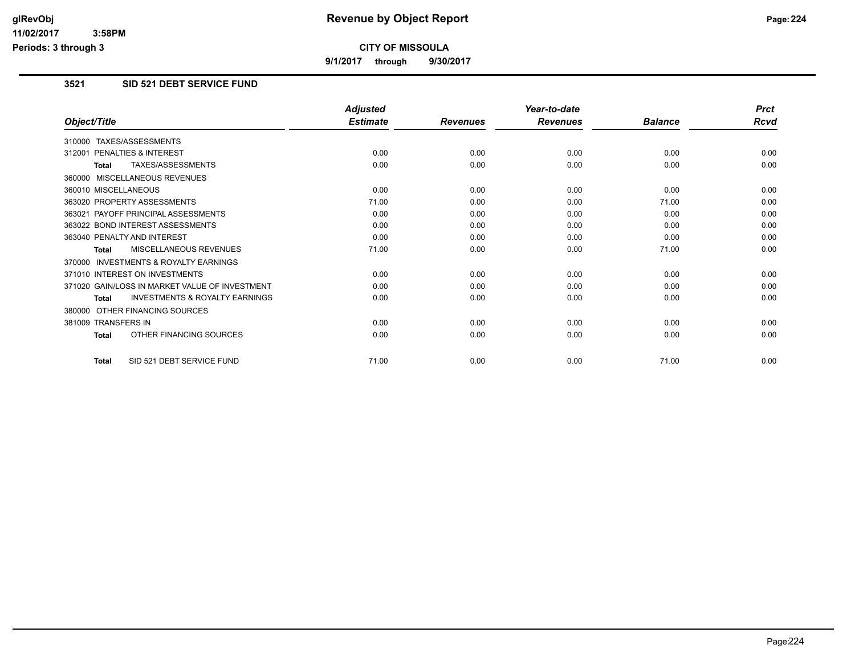**CITY OF MISSOULA**

**9/1/2017 through 9/30/2017**

# **3521 SID 521 DEBT SERVICE FUND**

|                                                           | <b>Adjusted</b> |                 | Year-to-date    |                | <b>Prct</b> |
|-----------------------------------------------------------|-----------------|-----------------|-----------------|----------------|-------------|
| Object/Title                                              | <b>Estimate</b> | <b>Revenues</b> | <b>Revenues</b> | <b>Balance</b> | Rcvd        |
| 310000 TAXES/ASSESSMENTS                                  |                 |                 |                 |                |             |
| PENALTIES & INTEREST<br>312001                            | 0.00            | 0.00            | 0.00            | 0.00           | 0.00        |
| <b>TAXES/ASSESSMENTS</b><br><b>Total</b>                  | 0.00            | 0.00            | 0.00            | 0.00           | 0.00        |
| 360000 MISCELLANEOUS REVENUES                             |                 |                 |                 |                |             |
| 360010 MISCELLANEOUS                                      | 0.00            | 0.00            | 0.00            | 0.00           | 0.00        |
| 363020 PROPERTY ASSESSMENTS                               | 71.00           | 0.00            | 0.00            | 71.00          | 0.00        |
| 363021 PAYOFF PRINCIPAL ASSESSMENTS                       | 0.00            | 0.00            | 0.00            | 0.00           | 0.00        |
| 363022 BOND INTEREST ASSESSMENTS                          | 0.00            | 0.00            | 0.00            | 0.00           | 0.00        |
| 363040 PENALTY AND INTEREST                               | 0.00            | 0.00            | 0.00            | 0.00           | 0.00        |
| MISCELLANEOUS REVENUES<br><b>Total</b>                    | 71.00           | 0.00            | 0.00            | 71.00          | 0.00        |
| 370000 INVESTMENTS & ROYALTY EARNINGS                     |                 |                 |                 |                |             |
| 371010 INTEREST ON INVESTMENTS                            | 0.00            | 0.00            | 0.00            | 0.00           | 0.00        |
| 371020 GAIN/LOSS IN MARKET VALUE OF INVESTMENT            | 0.00            | 0.00            | 0.00            | 0.00           | 0.00        |
| <b>INVESTMENTS &amp; ROYALTY EARNINGS</b><br><b>Total</b> | 0.00            | 0.00            | 0.00            | 0.00           | 0.00        |
| 380000 OTHER FINANCING SOURCES                            |                 |                 |                 |                |             |
| 381009 TRANSFERS IN                                       | 0.00            | 0.00            | 0.00            | 0.00           | 0.00        |
| OTHER FINANCING SOURCES<br><b>Total</b>                   | 0.00            | 0.00            | 0.00            | 0.00           | 0.00        |
| SID 521 DEBT SERVICE FUND<br><b>Total</b>                 | 71.00           | 0.00            | 0.00            | 71.00          | 0.00        |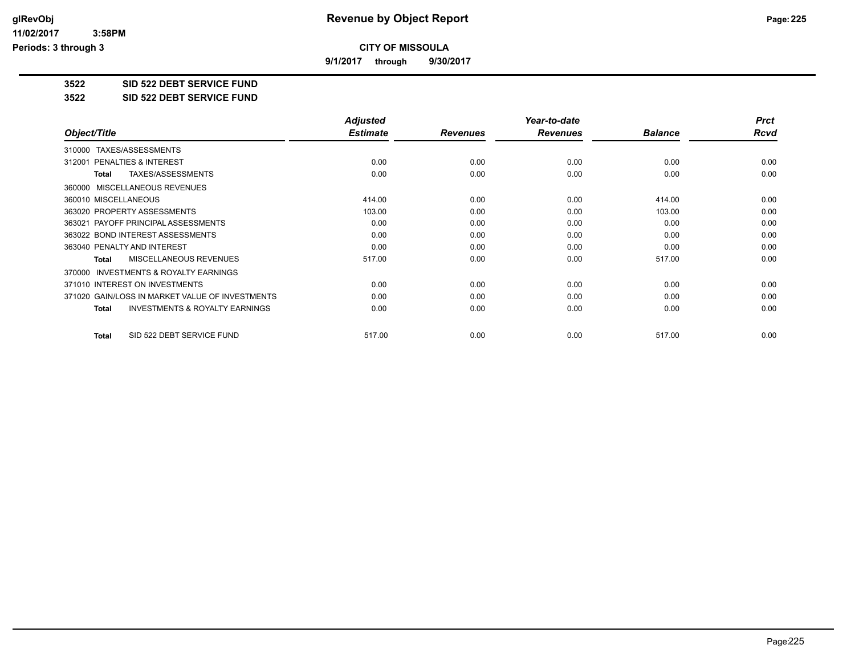**CITY OF MISSOULA**

**9/1/2017 through 9/30/2017**

**3522 SID 522 DEBT SERVICE FUND**

**3522 SID 522 DEBT SERVICE FUND**

|                                                    | <b>Adjusted</b> |                 | Year-to-date    |                | <b>Prct</b> |
|----------------------------------------------------|-----------------|-----------------|-----------------|----------------|-------------|
| Object/Title                                       | <b>Estimate</b> | <b>Revenues</b> | <b>Revenues</b> | <b>Balance</b> | Rcvd        |
| 310000 TAXES/ASSESSMENTS                           |                 |                 |                 |                |             |
| PENALTIES & INTEREST<br>312001                     | 0.00            | 0.00            | 0.00            | 0.00           | 0.00        |
| TAXES/ASSESSMENTS<br>Total                         | 0.00            | 0.00            | 0.00            | 0.00           | 0.00        |
| 360000 MISCELLANEOUS REVENUES                      |                 |                 |                 |                |             |
| 360010 MISCELLANEOUS                               | 414.00          | 0.00            | 0.00            | 414.00         | 0.00        |
| 363020 PROPERTY ASSESSMENTS                        | 103.00          | 0.00            | 0.00            | 103.00         | 0.00        |
| 363021 PAYOFF PRINCIPAL ASSESSMENTS                | 0.00            | 0.00            | 0.00            | 0.00           | 0.00        |
| 363022 BOND INTEREST ASSESSMENTS                   | 0.00            | 0.00            | 0.00            | 0.00           | 0.00        |
| 363040 PENALTY AND INTEREST                        | 0.00            | 0.00            | 0.00            | 0.00           | 0.00        |
| <b>MISCELLANEOUS REVENUES</b><br>Total             | 517.00          | 0.00            | 0.00            | 517.00         | 0.00        |
| INVESTMENTS & ROYALTY EARNINGS<br>370000           |                 |                 |                 |                |             |
| 371010 INTEREST ON INVESTMENTS                     | 0.00            | 0.00            | 0.00            | 0.00           | 0.00        |
| 371020 GAIN/LOSS IN MARKET VALUE OF INVESTMENTS    | 0.00            | 0.00            | 0.00            | 0.00           | 0.00        |
| <b>INVESTMENTS &amp; ROYALTY EARNINGS</b><br>Total | 0.00            | 0.00            | 0.00            | 0.00           | 0.00        |
| SID 522 DEBT SERVICE FUND<br><b>Total</b>          | 517.00          | 0.00            | 0.00            | 517.00         | 0.00        |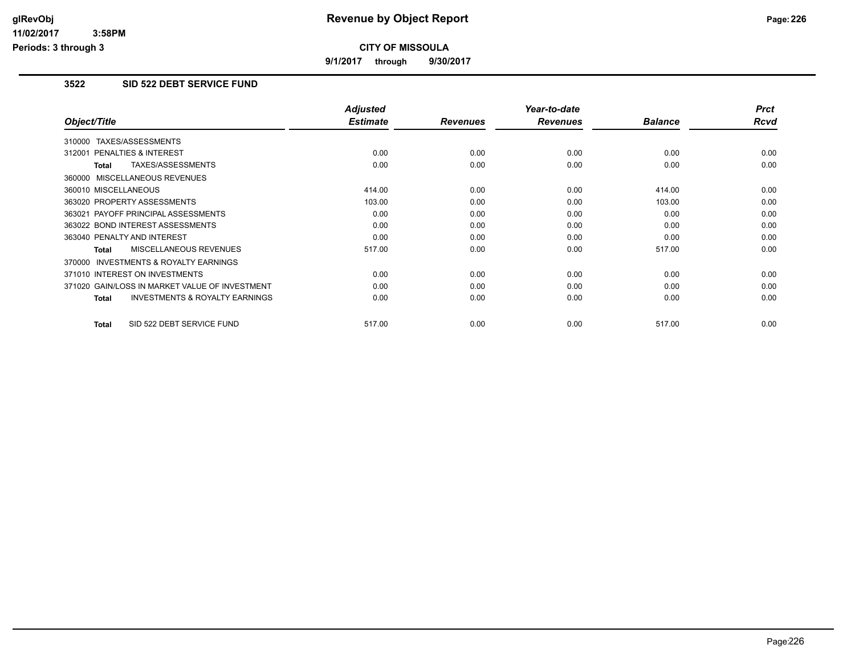**CITY OF MISSOULA**

**9/1/2017 through 9/30/2017**

# **3522 SID 522 DEBT SERVICE FUND**

|                                                           | <b>Adjusted</b> |                 | Year-to-date    |                | <b>Prct</b> |
|-----------------------------------------------------------|-----------------|-----------------|-----------------|----------------|-------------|
| Object/Title                                              | <b>Estimate</b> | <b>Revenues</b> | <b>Revenues</b> | <b>Balance</b> | <b>Rcvd</b> |
| 310000 TAXES/ASSESSMENTS                                  |                 |                 |                 |                |             |
| 312001 PENALTIES & INTEREST                               | 0.00            | 0.00            | 0.00            | 0.00           | 0.00        |
| TAXES/ASSESSMENTS<br><b>Total</b>                         | 0.00            | 0.00            | 0.00            | 0.00           | 0.00        |
| 360000 MISCELLANEOUS REVENUES                             |                 |                 |                 |                |             |
| 360010 MISCELLANEOUS                                      | 414.00          | 0.00            | 0.00            | 414.00         | 0.00        |
| 363020 PROPERTY ASSESSMENTS                               | 103.00          | 0.00            | 0.00            | 103.00         | 0.00        |
| 363021 PAYOFF PRINCIPAL ASSESSMENTS                       | 0.00            | 0.00            | 0.00            | 0.00           | 0.00        |
| 363022 BOND INTEREST ASSESSMENTS                          | 0.00            | 0.00            | 0.00            | 0.00           | 0.00        |
| 363040 PENALTY AND INTEREST                               | 0.00            | 0.00            | 0.00            | 0.00           | 0.00        |
| MISCELLANEOUS REVENUES<br>Total                           | 517.00          | 0.00            | 0.00            | 517.00         | 0.00        |
| <b>INVESTMENTS &amp; ROYALTY EARNINGS</b><br>370000       |                 |                 |                 |                |             |
| 371010 INTEREST ON INVESTMENTS                            | 0.00            | 0.00            | 0.00            | 0.00           | 0.00        |
| 371020 GAIN/LOSS IN MARKET VALUE OF INVESTMENT            | 0.00            | 0.00            | 0.00            | 0.00           | 0.00        |
| <b>INVESTMENTS &amp; ROYALTY EARNINGS</b><br><b>Total</b> | 0.00            | 0.00            | 0.00            | 0.00           | 0.00        |
| SID 522 DEBT SERVICE FUND<br><b>Total</b>                 | 517.00          | 0.00            | 0.00            | 517.00         | 0.00        |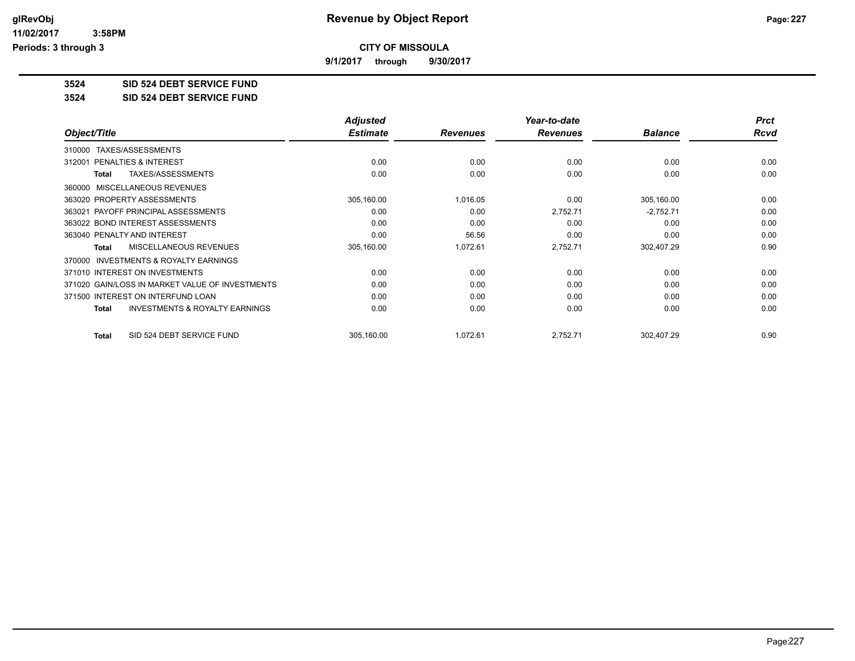**CITY OF MISSOULA**

**9/1/2017 through 9/30/2017**

**3524 SID 524 DEBT SERVICE FUND**

**3524 SID 524 DEBT SERVICE FUND**

|                                                    | <b>Adjusted</b> |                 | Year-to-date    |                | <b>Prct</b> |
|----------------------------------------------------|-----------------|-----------------|-----------------|----------------|-------------|
| Object/Title                                       | <b>Estimate</b> | <b>Revenues</b> | <b>Revenues</b> | <b>Balance</b> | <b>Rcvd</b> |
| 310000 TAXES/ASSESSMENTS                           |                 |                 |                 |                |             |
| 312001 PENALTIES & INTEREST                        | 0.00            | 0.00            | 0.00            | 0.00           | 0.00        |
| TAXES/ASSESSMENTS<br>Total                         | 0.00            | 0.00            | 0.00            | 0.00           | 0.00        |
| MISCELLANEOUS REVENUES<br>360000                   |                 |                 |                 |                |             |
| 363020 PROPERTY ASSESSMENTS                        | 305,160.00      | 1,016.05        | 0.00            | 305,160.00     | 0.00        |
| 363021 PAYOFF PRINCIPAL ASSESSMENTS                | 0.00            | 0.00            | 2,752.71        | $-2,752.71$    | 0.00        |
| 363022 BOND INTEREST ASSESSMENTS                   | 0.00            | 0.00            | 0.00            | 0.00           | 0.00        |
| 363040 PENALTY AND INTEREST                        | 0.00            | 56.56           | 0.00            | 0.00           | 0.00        |
| MISCELLANEOUS REVENUES<br>Total                    | 305,160.00      | 1,072.61        | 2,752.71        | 302,407.29     | 0.90        |
| INVESTMENTS & ROYALTY EARNINGS<br>370000           |                 |                 |                 |                |             |
| 371010 INTEREST ON INVESTMENTS                     | 0.00            | 0.00            | 0.00            | 0.00           | 0.00        |
| 371020 GAIN/LOSS IN MARKET VALUE OF INVESTMENTS    | 0.00            | 0.00            | 0.00            | 0.00           | 0.00        |
| 371500 INTEREST ON INTERFUND LOAN                  | 0.00            | 0.00            | 0.00            | 0.00           | 0.00        |
| <b>INVESTMENTS &amp; ROYALTY EARNINGS</b><br>Total | 0.00            | 0.00            | 0.00            | 0.00           | 0.00        |
| SID 524 DEBT SERVICE FUND<br>Total                 | 305,160.00      | 1,072.61        | 2,752.71        | 302.407.29     | 0.90        |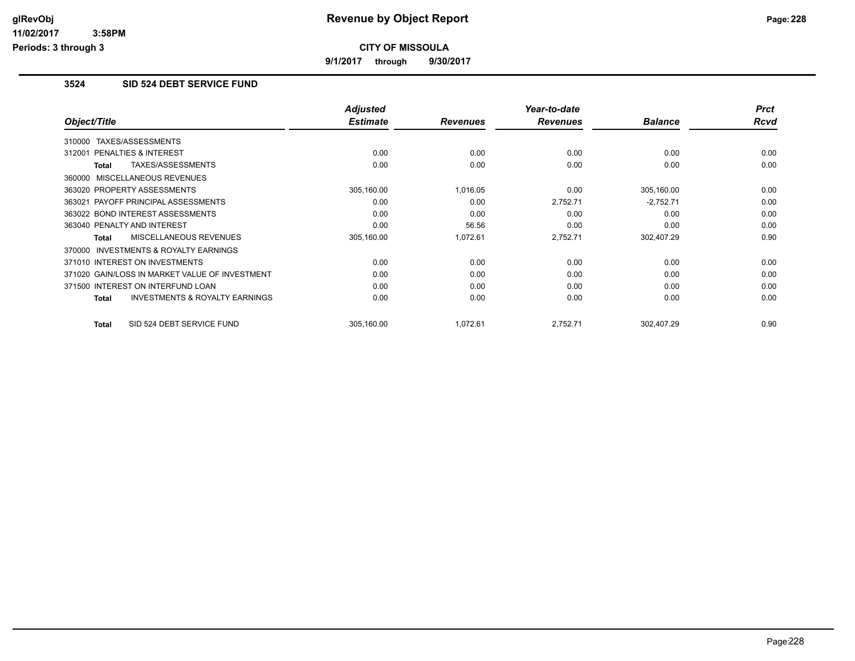**3:58PM**

**CITY OF MISSOULA**

**9/1/2017 through 9/30/2017**

# **3524 SID 524 DEBT SERVICE FUND**

|                                                     | <b>Adjusted</b> |                 | Year-to-date    |                | <b>Prct</b> |
|-----------------------------------------------------|-----------------|-----------------|-----------------|----------------|-------------|
| Object/Title                                        | <b>Estimate</b> | <b>Revenues</b> | <b>Revenues</b> | <b>Balance</b> | <b>Rcvd</b> |
| TAXES/ASSESSMENTS<br>310000                         |                 |                 |                 |                |             |
| 312001 PENALTIES & INTEREST                         | 0.00            | 0.00            | 0.00            | 0.00           | 0.00        |
| <b>TAXES/ASSESSMENTS</b><br><b>Total</b>            | 0.00            | 0.00            | 0.00            | 0.00           | 0.00        |
| MISCELLANEOUS REVENUES<br>360000                    |                 |                 |                 |                |             |
| 363020 PROPERTY ASSESSMENTS                         | 305,160.00      | 1,016.05        | 0.00            | 305,160.00     | 0.00        |
| 363021 PAYOFF PRINCIPAL ASSESSMENTS                 | 0.00            | 0.00            | 2,752.71        | $-2,752.71$    | 0.00        |
| 363022 BOND INTEREST ASSESSMENTS                    | 0.00            | 0.00            | 0.00            | 0.00           | 0.00        |
| 363040 PENALTY AND INTEREST                         | 0.00            | 56.56           | 0.00            | 0.00           | 0.00        |
| <b>MISCELLANEOUS REVENUES</b><br>Total              | 305,160.00      | 1,072.61        | 2,752.71        | 302,407.29     | 0.90        |
| <b>INVESTMENTS &amp; ROYALTY EARNINGS</b><br>370000 |                 |                 |                 |                |             |
| 371010 INTEREST ON INVESTMENTS                      | 0.00            | 0.00            | 0.00            | 0.00           | 0.00        |
| 371020 GAIN/LOSS IN MARKET VALUE OF INVESTMENT      | 0.00            | 0.00            | 0.00            | 0.00           | 0.00        |
| 371500 INTEREST ON INTERFUND LOAN                   | 0.00            | 0.00            | 0.00            | 0.00           | 0.00        |
| <b>INVESTMENTS &amp; ROYALTY EARNINGS</b><br>Total  | 0.00            | 0.00            | 0.00            | 0.00           | 0.00        |
| SID 524 DEBT SERVICE FUND<br><b>Total</b>           | 305,160.00      | 1.072.61        | 2,752.71        | 302,407.29     | 0.90        |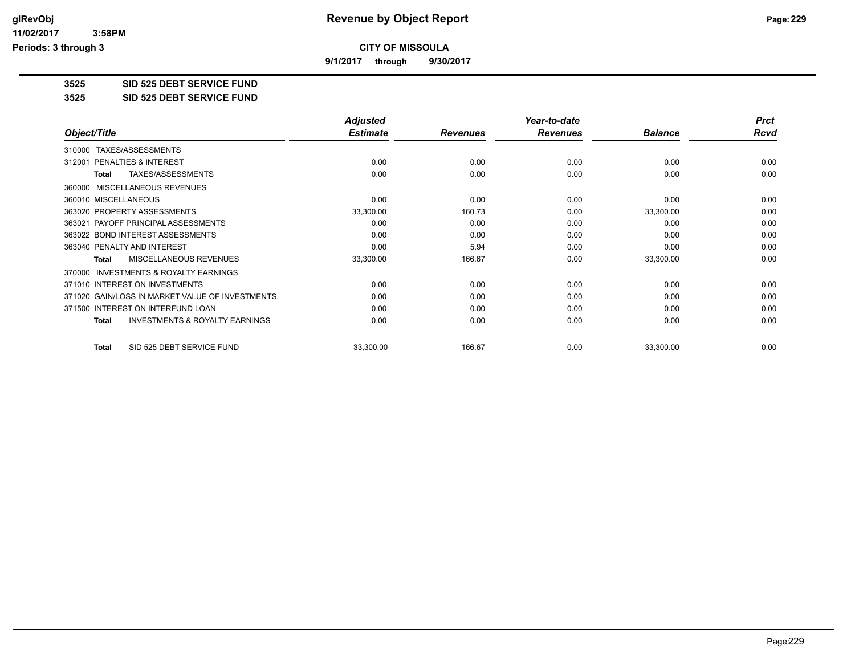**CITY OF MISSOULA**

**9/1/2017 through 9/30/2017**

**3525 SID 525 DEBT SERVICE FUND**

**3525 SID 525 DEBT SERVICE FUND**

|                                                           | <b>Adjusted</b> |                 | Year-to-date    |                | <b>Prct</b> |
|-----------------------------------------------------------|-----------------|-----------------|-----------------|----------------|-------------|
| Object/Title                                              | <b>Estimate</b> | <b>Revenues</b> | <b>Revenues</b> | <b>Balance</b> | <b>Rcvd</b> |
| TAXES/ASSESSMENTS<br>310000                               |                 |                 |                 |                |             |
| PENALTIES & INTEREST<br>312001                            | 0.00            | 0.00            | 0.00            | 0.00           | 0.00        |
| TAXES/ASSESSMENTS<br><b>Total</b>                         | 0.00            | 0.00            | 0.00            | 0.00           | 0.00        |
| MISCELLANEOUS REVENUES<br>360000                          |                 |                 |                 |                |             |
| 360010 MISCELLANEOUS                                      | 0.00            | 0.00            | 0.00            | 0.00           | 0.00        |
| 363020 PROPERTY ASSESSMENTS                               | 33,300.00       | 160.73          | 0.00            | 33,300.00      | 0.00        |
| 363021 PAYOFF PRINCIPAL ASSESSMENTS                       | 0.00            | 0.00            | 0.00            | 0.00           | 0.00        |
| 363022 BOND INTEREST ASSESSMENTS                          | 0.00            | 0.00            | 0.00            | 0.00           | 0.00        |
| 363040 PENALTY AND INTEREST                               | 0.00            | 5.94            | 0.00            | 0.00           | 0.00        |
| <b>MISCELLANEOUS REVENUES</b><br><b>Total</b>             | 33,300.00       | 166.67          | 0.00            | 33,300.00      | 0.00        |
| <b>INVESTMENTS &amp; ROYALTY EARNINGS</b><br>370000       |                 |                 |                 |                |             |
| 371010 INTEREST ON INVESTMENTS                            | 0.00            | 0.00            | 0.00            | 0.00           | 0.00        |
| 371020 GAIN/LOSS IN MARKET VALUE OF INVESTMENTS           | 0.00            | 0.00            | 0.00            | 0.00           | 0.00        |
| 371500 INTEREST ON INTERFUND LOAN                         | 0.00            | 0.00            | 0.00            | 0.00           | 0.00        |
| <b>INVESTMENTS &amp; ROYALTY EARNINGS</b><br><b>Total</b> | 0.00            | 0.00            | 0.00            | 0.00           | 0.00        |
| SID 525 DEBT SERVICE FUND<br><b>Total</b>                 | 33,300.00       | 166.67          | 0.00            | 33,300.00      | 0.00        |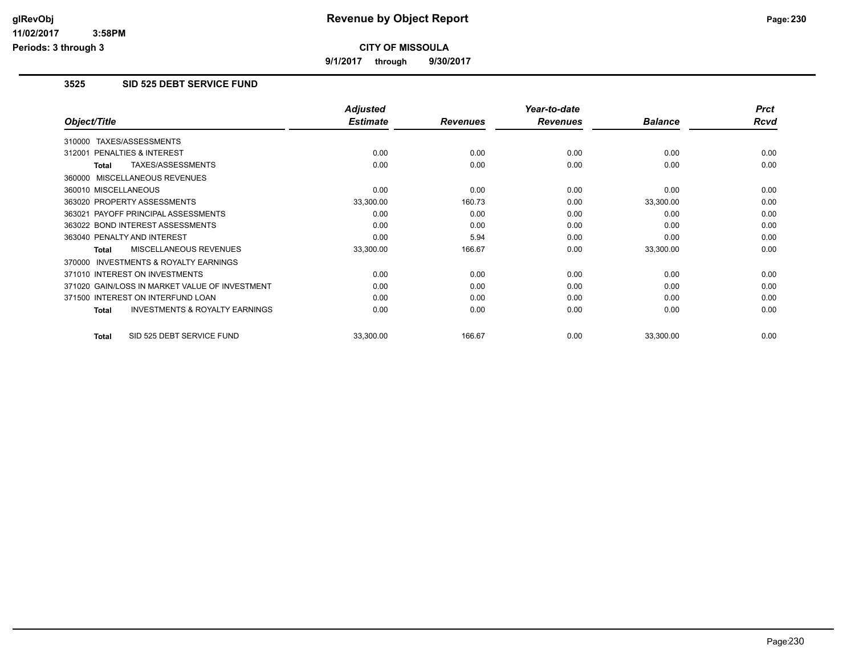**CITY OF MISSOULA**

**9/1/2017 through 9/30/2017**

# **3525 SID 525 DEBT SERVICE FUND**

|                                                           | <b>Adjusted</b> |                 | Year-to-date    |                | <b>Prct</b> |
|-----------------------------------------------------------|-----------------|-----------------|-----------------|----------------|-------------|
| Object/Title                                              | <b>Estimate</b> | <b>Revenues</b> | <b>Revenues</b> | <b>Balance</b> | Rcvd        |
| TAXES/ASSESSMENTS<br>310000                               |                 |                 |                 |                |             |
| PENALTIES & INTEREST<br>312001                            | 0.00            | 0.00            | 0.00            | 0.00           | 0.00        |
| TAXES/ASSESSMENTS<br>Total                                | 0.00            | 0.00            | 0.00            | 0.00           | 0.00        |
| 360000 MISCELLANEOUS REVENUES                             |                 |                 |                 |                |             |
| 360010 MISCELLANEOUS                                      | 0.00            | 0.00            | 0.00            | 0.00           | 0.00        |
| 363020 PROPERTY ASSESSMENTS                               | 33,300.00       | 160.73          | 0.00            | 33,300.00      | 0.00        |
| 363021 PAYOFF PRINCIPAL ASSESSMENTS                       | 0.00            | 0.00            | 0.00            | 0.00           | 0.00        |
| 363022 BOND INTEREST ASSESSMENTS                          | 0.00            | 0.00            | 0.00            | 0.00           | 0.00        |
| 363040 PENALTY AND INTEREST                               | 0.00            | 5.94            | 0.00            | 0.00           | 0.00        |
| MISCELLANEOUS REVENUES<br>Total                           | 33,300.00       | 166.67          | 0.00            | 33,300.00      | 0.00        |
| 370000 INVESTMENTS & ROYALTY EARNINGS                     |                 |                 |                 |                |             |
| 371010 INTEREST ON INVESTMENTS                            | 0.00            | 0.00            | 0.00            | 0.00           | 0.00        |
| 371020 GAIN/LOSS IN MARKET VALUE OF INVESTMENT            | 0.00            | 0.00            | 0.00            | 0.00           | 0.00        |
| 371500 INTEREST ON INTERFUND LOAN                         | 0.00            | 0.00            | 0.00            | 0.00           | 0.00        |
| <b>INVESTMENTS &amp; ROYALTY EARNINGS</b><br><b>Total</b> | 0.00            | 0.00            | 0.00            | 0.00           | 0.00        |
| SID 525 DEBT SERVICE FUND<br>Total                        | 33,300.00       | 166.67          | 0.00            | 33,300.00      | 0.00        |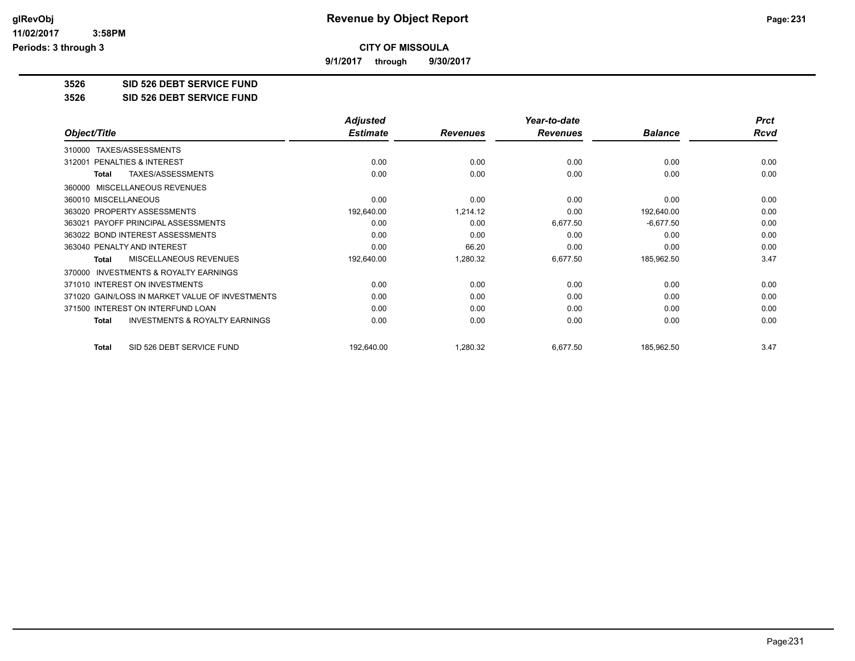**CITY OF MISSOULA**

**9/1/2017 through 9/30/2017**

**3526 SID 526 DEBT SERVICE FUND**

**3526 SID 526 DEBT SERVICE FUND**

|                                                           | <b>Adjusted</b> |                 | Year-to-date    |                | <b>Prct</b> |
|-----------------------------------------------------------|-----------------|-----------------|-----------------|----------------|-------------|
| Object/Title                                              | <b>Estimate</b> | <b>Revenues</b> | <b>Revenues</b> | <b>Balance</b> | <b>Rcvd</b> |
| TAXES/ASSESSMENTS<br>310000                               |                 |                 |                 |                |             |
| PENALTIES & INTEREST<br>312001                            | 0.00            | 0.00            | 0.00            | 0.00           | 0.00        |
| TAXES/ASSESSMENTS<br><b>Total</b>                         | 0.00            | 0.00            | 0.00            | 0.00           | 0.00        |
| MISCELLANEOUS REVENUES<br>360000                          |                 |                 |                 |                |             |
| 360010 MISCELLANEOUS                                      | 0.00            | 0.00            | 0.00            | 0.00           | 0.00        |
| 363020 PROPERTY ASSESSMENTS                               | 192,640.00      | 1,214.12        | 0.00            | 192,640.00     | 0.00        |
| 363021 PAYOFF PRINCIPAL ASSESSMENTS                       | 0.00            | 0.00            | 6,677.50        | $-6,677.50$    | 0.00        |
| 363022 BOND INTEREST ASSESSMENTS                          | 0.00            | 0.00            | 0.00            | 0.00           | 0.00        |
| 363040 PENALTY AND INTEREST                               | 0.00            | 66.20           | 0.00            | 0.00           | 0.00        |
| <b>MISCELLANEOUS REVENUES</b><br><b>Total</b>             | 192,640.00      | 1,280.32        | 6,677.50        | 185,962.50     | 3.47        |
| <b>INVESTMENTS &amp; ROYALTY EARNINGS</b><br>370000       |                 |                 |                 |                |             |
| 371010 INTEREST ON INVESTMENTS                            | 0.00            | 0.00            | 0.00            | 0.00           | 0.00        |
| 371020 GAIN/LOSS IN MARKET VALUE OF INVESTMENTS           | 0.00            | 0.00            | 0.00            | 0.00           | 0.00        |
| 371500 INTEREST ON INTERFUND LOAN                         | 0.00            | 0.00            | 0.00            | 0.00           | 0.00        |
| <b>INVESTMENTS &amp; ROYALTY EARNINGS</b><br><b>Total</b> | 0.00            | 0.00            | 0.00            | 0.00           | 0.00        |
| SID 526 DEBT SERVICE FUND<br><b>Total</b>                 | 192,640.00      | 1,280.32        | 6,677.50        | 185,962.50     | 3.47        |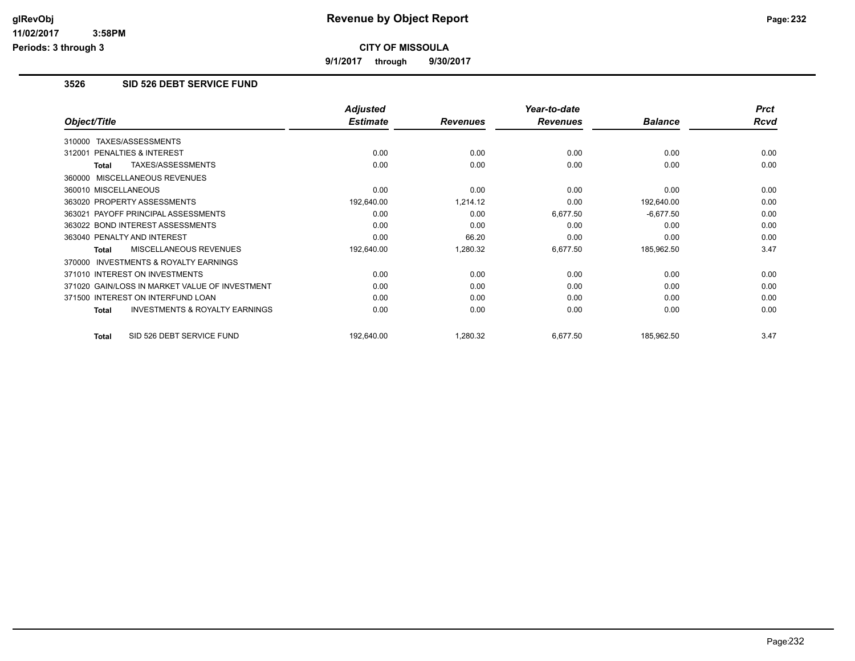**CITY OF MISSOULA**

**9/1/2017 through 9/30/2017**

# **3526 SID 526 DEBT SERVICE FUND**

|                                                           | <b>Adjusted</b> |                 | Year-to-date    |                | <b>Prct</b> |
|-----------------------------------------------------------|-----------------|-----------------|-----------------|----------------|-------------|
| Object/Title                                              | <b>Estimate</b> | <b>Revenues</b> | <b>Revenues</b> | <b>Balance</b> | <b>Rcvd</b> |
| TAXES/ASSESSMENTS<br>310000                               |                 |                 |                 |                |             |
| PENALTIES & INTEREST<br>312001                            | 0.00            | 0.00            | 0.00            | 0.00           | 0.00        |
| TAXES/ASSESSMENTS<br><b>Total</b>                         | 0.00            | 0.00            | 0.00            | 0.00           | 0.00        |
| 360000 MISCELLANEOUS REVENUES                             |                 |                 |                 |                |             |
| 360010 MISCELLANEOUS                                      | 0.00            | 0.00            | 0.00            | 0.00           | 0.00        |
| 363020 PROPERTY ASSESSMENTS                               | 192,640.00      | 1,214.12        | 0.00            | 192,640.00     | 0.00        |
| 363021 PAYOFF PRINCIPAL ASSESSMENTS                       | 0.00            | 0.00            | 6,677.50        | $-6,677.50$    | 0.00        |
| 363022 BOND INTEREST ASSESSMENTS                          | 0.00            | 0.00            | 0.00            | 0.00           | 0.00        |
| 363040 PENALTY AND INTEREST                               | 0.00            | 66.20           | 0.00            | 0.00           | 0.00        |
| <b>MISCELLANEOUS REVENUES</b><br><b>Total</b>             | 192,640.00      | 1,280.32        | 6,677.50        | 185,962.50     | 3.47        |
| <b>INVESTMENTS &amp; ROYALTY EARNINGS</b><br>370000       |                 |                 |                 |                |             |
| 371010 INTEREST ON INVESTMENTS                            | 0.00            | 0.00            | 0.00            | 0.00           | 0.00        |
| 371020 GAIN/LOSS IN MARKET VALUE OF INVESTMENT            | 0.00            | 0.00            | 0.00            | 0.00           | 0.00        |
| 371500 INTEREST ON INTERFUND LOAN                         | 0.00            | 0.00            | 0.00            | 0.00           | 0.00        |
| <b>INVESTMENTS &amp; ROYALTY EARNINGS</b><br><b>Total</b> | 0.00            | 0.00            | 0.00            | 0.00           | 0.00        |
| SID 526 DEBT SERVICE FUND<br><b>Total</b>                 | 192,640.00      | 1,280.32        | 6,677.50        | 185,962.50     | 3.47        |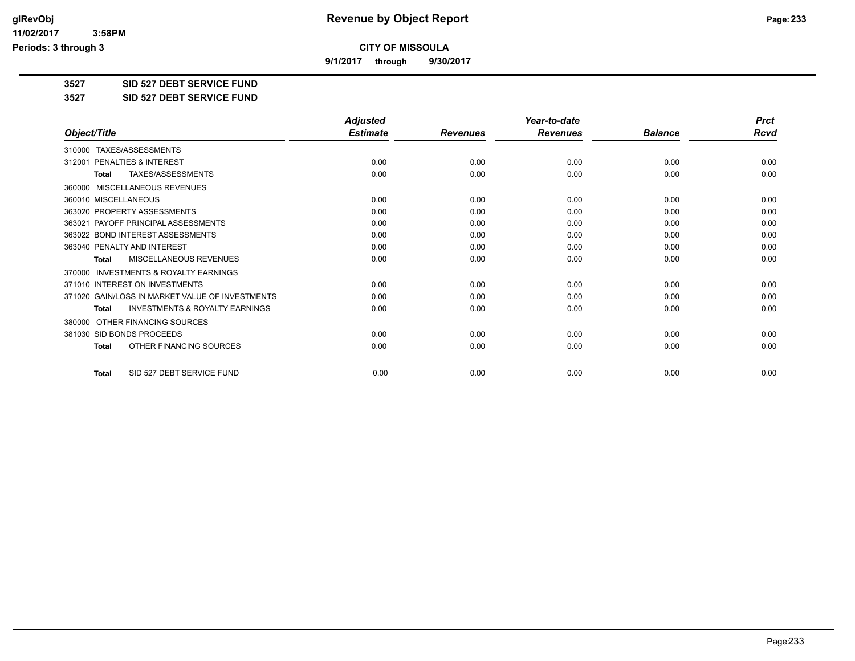**9/1/2017 through 9/30/2017**

**3527 SID 527 DEBT SERVICE FUND**

**3527 SID 527 DEBT SERVICE FUND**

|                                                           | <b>Adjusted</b> |                 | Year-to-date    |                | <b>Prct</b> |
|-----------------------------------------------------------|-----------------|-----------------|-----------------|----------------|-------------|
| Object/Title                                              | <b>Estimate</b> | <b>Revenues</b> | <b>Revenues</b> | <b>Balance</b> | Rcvd        |
| TAXES/ASSESSMENTS<br>310000                               |                 |                 |                 |                |             |
| <b>PENALTIES &amp; INTEREST</b><br>312001                 | 0.00            | 0.00            | 0.00            | 0.00           | 0.00        |
| TAXES/ASSESSMENTS<br><b>Total</b>                         | 0.00            | 0.00            | 0.00            | 0.00           | 0.00        |
| MISCELLANEOUS REVENUES<br>360000                          |                 |                 |                 |                |             |
| 360010 MISCELLANEOUS                                      | 0.00            | 0.00            | 0.00            | 0.00           | 0.00        |
| 363020 PROPERTY ASSESSMENTS                               | 0.00            | 0.00            | 0.00            | 0.00           | 0.00        |
| 363021 PAYOFF PRINCIPAL ASSESSMENTS                       | 0.00            | 0.00            | 0.00            | 0.00           | 0.00        |
| 363022 BOND INTEREST ASSESSMENTS                          | 0.00            | 0.00            | 0.00            | 0.00           | 0.00        |
| 363040 PENALTY AND INTEREST                               | 0.00            | 0.00            | 0.00            | 0.00           | 0.00        |
| MISCELLANEOUS REVENUES<br><b>Total</b>                    | 0.00            | 0.00            | 0.00            | 0.00           | 0.00        |
| <b>INVESTMENTS &amp; ROYALTY EARNINGS</b><br>370000       |                 |                 |                 |                |             |
| 371010 INTEREST ON INVESTMENTS                            | 0.00            | 0.00            | 0.00            | 0.00           | 0.00        |
| 371020 GAIN/LOSS IN MARKET VALUE OF INVESTMENTS           | 0.00            | 0.00            | 0.00            | 0.00           | 0.00        |
| <b>INVESTMENTS &amp; ROYALTY EARNINGS</b><br><b>Total</b> | 0.00            | 0.00            | 0.00            | 0.00           | 0.00        |
| OTHER FINANCING SOURCES<br>380000                         |                 |                 |                 |                |             |
| 381030 SID BONDS PROCEEDS                                 | 0.00            | 0.00            | 0.00            | 0.00           | 0.00        |
| OTHER FINANCING SOURCES<br><b>Total</b>                   | 0.00            | 0.00            | 0.00            | 0.00           | 0.00        |
| SID 527 DEBT SERVICE FUND<br><b>Total</b>                 | 0.00            | 0.00            | 0.00            | 0.00           | 0.00        |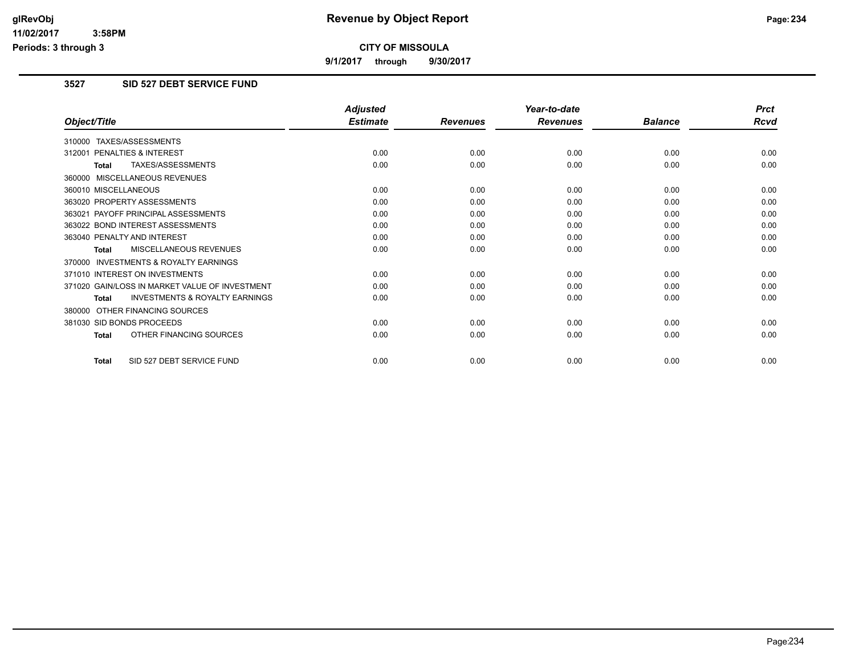**CITY OF MISSOULA**

**9/1/2017 through 9/30/2017**

# **3527 SID 527 DEBT SERVICE FUND**

|                                                           | <b>Adjusted</b> |                 | Year-to-date    |                | <b>Prct</b> |
|-----------------------------------------------------------|-----------------|-----------------|-----------------|----------------|-------------|
| Object/Title                                              | <b>Estimate</b> | <b>Revenues</b> | <b>Revenues</b> | <b>Balance</b> | Rcvd        |
| 310000 TAXES/ASSESSMENTS                                  |                 |                 |                 |                |             |
| PENALTIES & INTEREST<br>312001                            | 0.00            | 0.00            | 0.00            | 0.00           | 0.00        |
| TAXES/ASSESSMENTS<br><b>Total</b>                         | 0.00            | 0.00            | 0.00            | 0.00           | 0.00        |
| 360000 MISCELLANEOUS REVENUES                             |                 |                 |                 |                |             |
| 360010 MISCELLANEOUS                                      | 0.00            | 0.00            | 0.00            | 0.00           | 0.00        |
| 363020 PROPERTY ASSESSMENTS                               | 0.00            | 0.00            | 0.00            | 0.00           | 0.00        |
| 363021 PAYOFF PRINCIPAL ASSESSMENTS                       | 0.00            | 0.00            | 0.00            | 0.00           | 0.00        |
| 363022 BOND INTEREST ASSESSMENTS                          | 0.00            | 0.00            | 0.00            | 0.00           | 0.00        |
| 363040 PENALTY AND INTEREST                               | 0.00            | 0.00            | 0.00            | 0.00           | 0.00        |
| MISCELLANEOUS REVENUES<br><b>Total</b>                    | 0.00            | 0.00            | 0.00            | 0.00           | 0.00        |
| 370000 INVESTMENTS & ROYALTY EARNINGS                     |                 |                 |                 |                |             |
| 371010 INTEREST ON INVESTMENTS                            | 0.00            | 0.00            | 0.00            | 0.00           | 0.00        |
| 371020 GAIN/LOSS IN MARKET VALUE OF INVESTMENT            | 0.00            | 0.00            | 0.00            | 0.00           | 0.00        |
| <b>INVESTMENTS &amp; ROYALTY EARNINGS</b><br><b>Total</b> | 0.00            | 0.00            | 0.00            | 0.00           | 0.00        |
| 380000 OTHER FINANCING SOURCES                            |                 |                 |                 |                |             |
| 381030 SID BONDS PROCEEDS                                 | 0.00            | 0.00            | 0.00            | 0.00           | 0.00        |
| OTHER FINANCING SOURCES<br><b>Total</b>                   | 0.00            | 0.00            | 0.00            | 0.00           | 0.00        |
| SID 527 DEBT SERVICE FUND<br><b>Total</b>                 | 0.00            | 0.00            | 0.00            | 0.00           | 0.00        |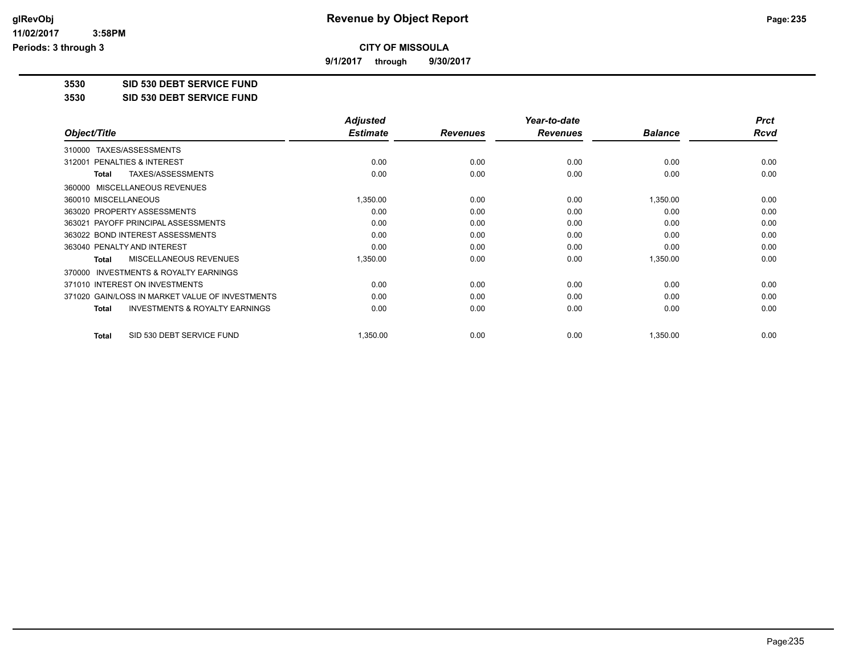**CITY OF MISSOULA**

**9/1/2017 through 9/30/2017**

**3530 SID 530 DEBT SERVICE FUND**

**3530 SID 530 DEBT SERVICE FUND**

|                                                           | <b>Adjusted</b> |                 | Year-to-date    |                | <b>Prct</b> |
|-----------------------------------------------------------|-----------------|-----------------|-----------------|----------------|-------------|
| Object/Title                                              | <b>Estimate</b> | <b>Revenues</b> | <b>Revenues</b> | <b>Balance</b> | Rcvd        |
| TAXES/ASSESSMENTS<br>310000                               |                 |                 |                 |                |             |
| 312001 PENALTIES & INTEREST                               | 0.00            | 0.00            | 0.00            | 0.00           | 0.00        |
| TAXES/ASSESSMENTS<br><b>Total</b>                         | 0.00            | 0.00            | 0.00            | 0.00           | 0.00        |
| MISCELLANEOUS REVENUES<br>360000                          |                 |                 |                 |                |             |
| 360010 MISCELLANEOUS                                      | 1,350.00        | 0.00            | 0.00            | 1,350.00       | 0.00        |
| 363020 PROPERTY ASSESSMENTS                               | 0.00            | 0.00            | 0.00            | 0.00           | 0.00        |
| 363021 PAYOFF PRINCIPAL ASSESSMENTS                       | 0.00            | 0.00            | 0.00            | 0.00           | 0.00        |
| 363022 BOND INTEREST ASSESSMENTS                          | 0.00            | 0.00            | 0.00            | 0.00           | 0.00        |
| 363040 PENALTY AND INTEREST                               | 0.00            | 0.00            | 0.00            | 0.00           | 0.00        |
| <b>MISCELLANEOUS REVENUES</b><br><b>Total</b>             | 1,350.00        | 0.00            | 0.00            | 1,350.00       | 0.00        |
| 370000 INVESTMENTS & ROYALTY EARNINGS                     |                 |                 |                 |                |             |
| 371010 INTEREST ON INVESTMENTS                            | 0.00            | 0.00            | 0.00            | 0.00           | 0.00        |
| 371020 GAIN/LOSS IN MARKET VALUE OF INVESTMENTS           | 0.00            | 0.00            | 0.00            | 0.00           | 0.00        |
| <b>INVESTMENTS &amp; ROYALTY EARNINGS</b><br><b>Total</b> | 0.00            | 0.00            | 0.00            | 0.00           | 0.00        |
| SID 530 DEBT SERVICE FUND<br><b>Total</b>                 | 1,350.00        | 0.00            | 0.00            | 1,350.00       | 0.00        |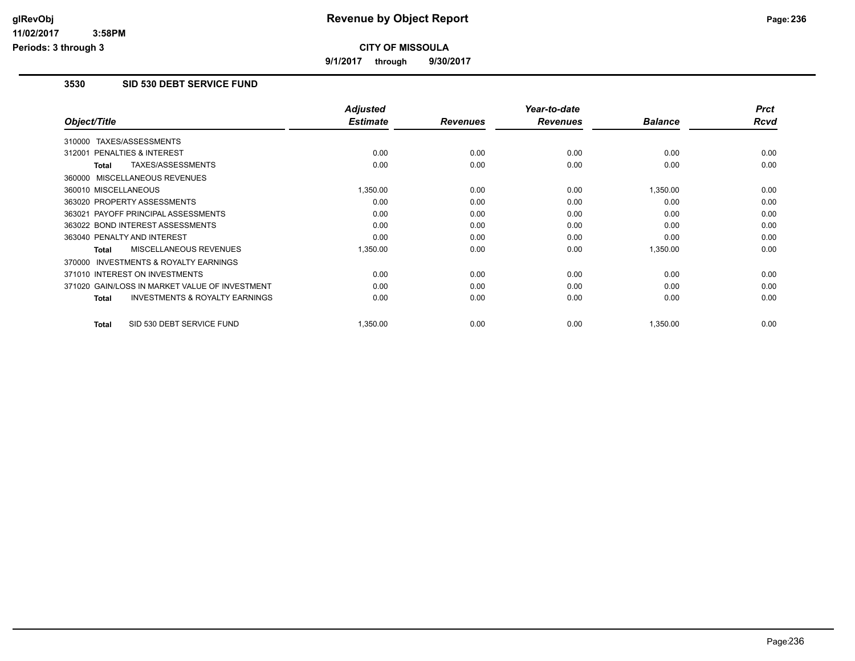**CITY OF MISSOULA**

**9/1/2017 through 9/30/2017**

# **3530 SID 530 DEBT SERVICE FUND**

| Object/Title                                        | <b>Adjusted</b><br><b>Estimate</b> | <b>Revenues</b> | Year-to-date<br><b>Revenues</b> | <b>Balance</b> | <b>Prct</b><br>Rcvd |
|-----------------------------------------------------|------------------------------------|-----------------|---------------------------------|----------------|---------------------|
|                                                     |                                    |                 |                                 |                |                     |
| 310000 TAXES/ASSESSMENTS                            |                                    |                 |                                 |                |                     |
| 312001 PENALTIES & INTEREST                         | 0.00                               | 0.00            | 0.00                            | 0.00           | 0.00                |
| TAXES/ASSESSMENTS<br>Total                          | 0.00                               | 0.00            | 0.00                            | 0.00           | 0.00                |
| 360000 MISCELLANEOUS REVENUES                       |                                    |                 |                                 |                |                     |
| 360010 MISCELLANEOUS                                | 1,350.00                           | 0.00            | 0.00                            | 1,350.00       | 0.00                |
| 363020 PROPERTY ASSESSMENTS                         | 0.00                               | 0.00            | 0.00                            | 0.00           | 0.00                |
| 363021 PAYOFF PRINCIPAL ASSESSMENTS                 | 0.00                               | 0.00            | 0.00                            | 0.00           | 0.00                |
| 363022 BOND INTEREST ASSESSMENTS                    | 0.00                               | 0.00            | 0.00                            | 0.00           | 0.00                |
| 363040 PENALTY AND INTEREST                         | 0.00                               | 0.00            | 0.00                            | 0.00           | 0.00                |
| <b>MISCELLANEOUS REVENUES</b><br>Total              | 1,350.00                           | 0.00            | 0.00                            | 1,350.00       | 0.00                |
| <b>INVESTMENTS &amp; ROYALTY EARNINGS</b><br>370000 |                                    |                 |                                 |                |                     |
| 371010 INTEREST ON INVESTMENTS                      | 0.00                               | 0.00            | 0.00                            | 0.00           | 0.00                |
| 371020 GAIN/LOSS IN MARKET VALUE OF INVESTMENT      | 0.00                               | 0.00            | 0.00                            | 0.00           | 0.00                |
| <b>INVESTMENTS &amp; ROYALTY EARNINGS</b><br>Total  | 0.00                               | 0.00            | 0.00                            | 0.00           | 0.00                |
| SID 530 DEBT SERVICE FUND<br><b>Total</b>           | 1,350.00                           | 0.00            | 0.00                            | 1,350.00       | 0.00                |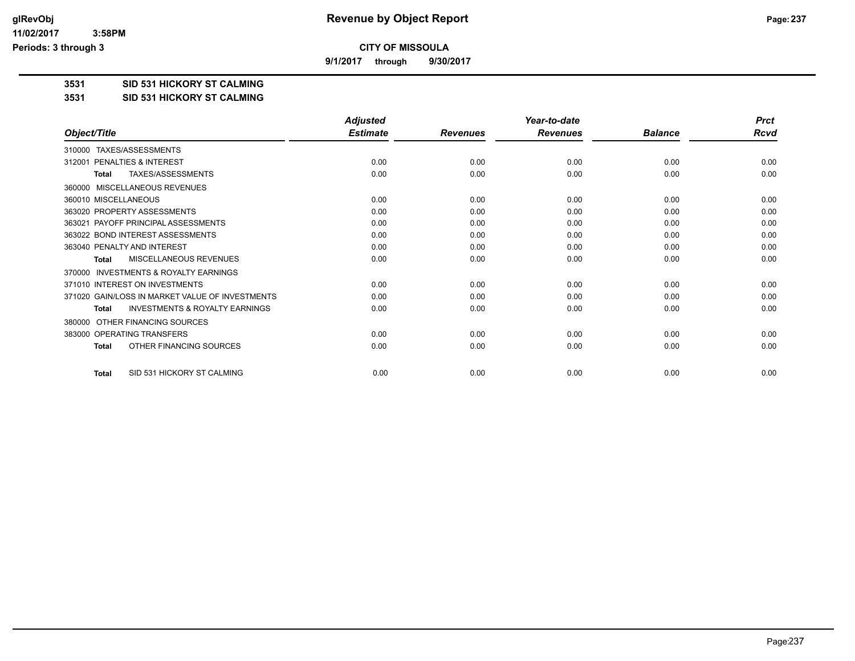**CITY OF MISSOULA**

**9/1/2017 through 9/30/2017**

**3531 SID 531 HICKORY ST CALMING**

**3531 SID 531 HICKORY ST CALMING**

|                                                           | <b>Adjusted</b> |                 | Year-to-date    |                |             |
|-----------------------------------------------------------|-----------------|-----------------|-----------------|----------------|-------------|
| Object/Title                                              | <b>Estimate</b> | <b>Revenues</b> | <b>Revenues</b> | <b>Balance</b> | <b>Rcvd</b> |
| TAXES/ASSESSMENTS<br>310000                               |                 |                 |                 |                |             |
| PENALTIES & INTEREST<br>312001                            | 0.00            | 0.00            | 0.00            | 0.00           | 0.00        |
| TAXES/ASSESSMENTS<br><b>Total</b>                         | 0.00            | 0.00            | 0.00            | 0.00           | 0.00        |
| MISCELLANEOUS REVENUES<br>360000                          |                 |                 |                 |                |             |
| 360010 MISCELLANEOUS                                      | 0.00            | 0.00            | 0.00            | 0.00           | 0.00        |
| 363020 PROPERTY ASSESSMENTS                               | 0.00            | 0.00            | 0.00            | 0.00           | 0.00        |
| 363021 PAYOFF PRINCIPAL ASSESSMENTS                       | 0.00            | 0.00            | 0.00            | 0.00           | 0.00        |
| 363022 BOND INTEREST ASSESSMENTS                          | 0.00            | 0.00            | 0.00            | 0.00           | 0.00        |
| 363040 PENALTY AND INTEREST                               | 0.00            | 0.00            | 0.00            | 0.00           | 0.00        |
| MISCELLANEOUS REVENUES<br><b>Total</b>                    | 0.00            | 0.00            | 0.00            | 0.00           | 0.00        |
| <b>INVESTMENTS &amp; ROYALTY EARNINGS</b><br>370000       |                 |                 |                 |                |             |
| 371010 INTEREST ON INVESTMENTS                            | 0.00            | 0.00            | 0.00            | 0.00           | 0.00        |
| 371020 GAIN/LOSS IN MARKET VALUE OF INVESTMENTS           | 0.00            | 0.00            | 0.00            | 0.00           | 0.00        |
| <b>INVESTMENTS &amp; ROYALTY EARNINGS</b><br><b>Total</b> | 0.00            | 0.00            | 0.00            | 0.00           | 0.00        |
| OTHER FINANCING SOURCES<br>380000                         |                 |                 |                 |                |             |
| 383000 OPERATING TRANSFERS                                | 0.00            | 0.00            | 0.00            | 0.00           | 0.00        |
| OTHER FINANCING SOURCES<br><b>Total</b>                   | 0.00            | 0.00            | 0.00            | 0.00           | 0.00        |
| SID 531 HICKORY ST CALMING<br><b>Total</b>                | 0.00            | 0.00            | 0.00            | 0.00           | 0.00        |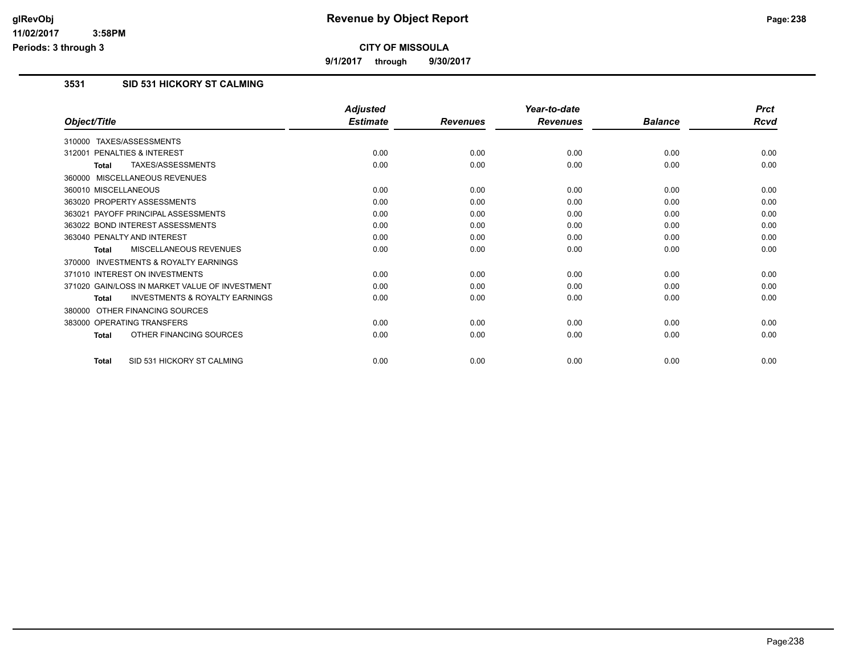**CITY OF MISSOULA**

**9/1/2017 through 9/30/2017**

# **3531 SID 531 HICKORY ST CALMING**

|                                                           | <b>Adjusted</b> |                 | Year-to-date    |                | <b>Prct</b> |
|-----------------------------------------------------------|-----------------|-----------------|-----------------|----------------|-------------|
| Object/Title                                              | <b>Estimate</b> | <b>Revenues</b> | <b>Revenues</b> | <b>Balance</b> | <b>Rcvd</b> |
| 310000 TAXES/ASSESSMENTS                                  |                 |                 |                 |                |             |
| 312001 PENALTIES & INTEREST                               | 0.00            | 0.00            | 0.00            | 0.00           | 0.00        |
| TAXES/ASSESSMENTS<br><b>Total</b>                         | 0.00            | 0.00            | 0.00            | 0.00           | 0.00        |
| 360000 MISCELLANEOUS REVENUES                             |                 |                 |                 |                |             |
| 360010 MISCELLANEOUS                                      | 0.00            | 0.00            | 0.00            | 0.00           | 0.00        |
| 363020 PROPERTY ASSESSMENTS                               | 0.00            | 0.00            | 0.00            | 0.00           | 0.00        |
| 363021 PAYOFF PRINCIPAL ASSESSMENTS                       | 0.00            | 0.00            | 0.00            | 0.00           | 0.00        |
| 363022 BOND INTEREST ASSESSMENTS                          | 0.00            | 0.00            | 0.00            | 0.00           | 0.00        |
| 363040 PENALTY AND INTEREST                               | 0.00            | 0.00            | 0.00            | 0.00           | 0.00        |
| MISCELLANEOUS REVENUES<br><b>Total</b>                    | 0.00            | 0.00            | 0.00            | 0.00           | 0.00        |
| <b>INVESTMENTS &amp; ROYALTY EARNINGS</b><br>370000       |                 |                 |                 |                |             |
| 371010 INTEREST ON INVESTMENTS                            | 0.00            | 0.00            | 0.00            | 0.00           | 0.00        |
| 371020 GAIN/LOSS IN MARKET VALUE OF INVESTMENT            | 0.00            | 0.00            | 0.00            | 0.00           | 0.00        |
| <b>INVESTMENTS &amp; ROYALTY EARNINGS</b><br><b>Total</b> | 0.00            | 0.00            | 0.00            | 0.00           | 0.00        |
| OTHER FINANCING SOURCES<br>380000                         |                 |                 |                 |                |             |
| 383000 OPERATING TRANSFERS                                | 0.00            | 0.00            | 0.00            | 0.00           | 0.00        |
| OTHER FINANCING SOURCES<br>Total                          | 0.00            | 0.00            | 0.00            | 0.00           | 0.00        |
| SID 531 HICKORY ST CALMING<br><b>Total</b>                | 0.00            | 0.00            | 0.00            | 0.00           | 0.00        |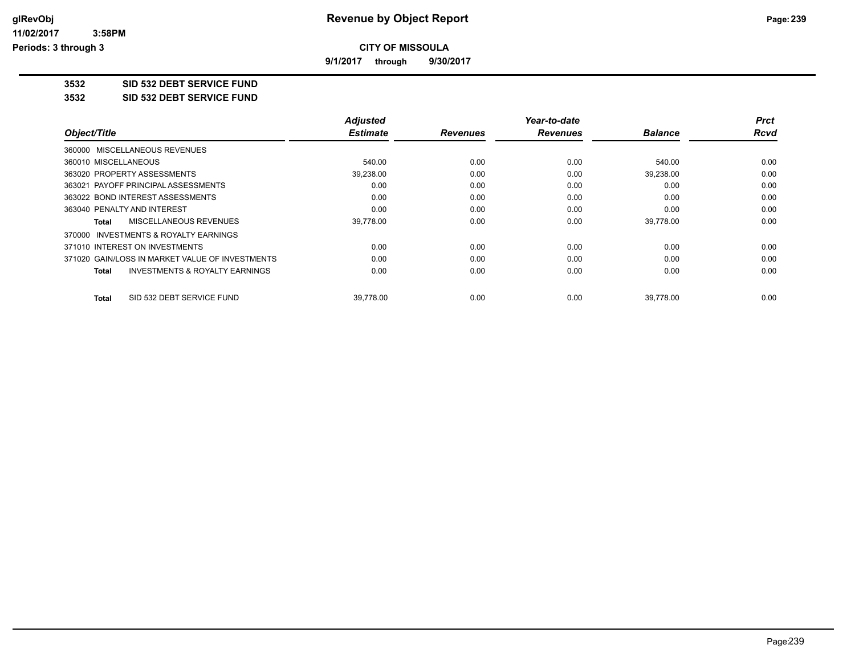**9/1/2017 through 9/30/2017**

**3532 SID 532 DEBT SERVICE FUND**

**3532 SID 532 DEBT SERVICE FUND**

|                                                           | <b>Adjusted</b> |                 | Year-to-date    |                | <b>Prct</b> |
|-----------------------------------------------------------|-----------------|-----------------|-----------------|----------------|-------------|
| Object/Title                                              | <b>Estimate</b> | <b>Revenues</b> | <b>Revenues</b> | <b>Balance</b> | Rcvd        |
| 360000 MISCELLANEOUS REVENUES                             |                 |                 |                 |                |             |
| 360010 MISCELLANEOUS                                      | 540.00          | 0.00            | 0.00            | 540.00         | 0.00        |
| 363020 PROPERTY ASSESSMENTS                               | 39,238.00       | 0.00            | 0.00            | 39.238.00      | 0.00        |
| 363021 PAYOFF PRINCIPAL ASSESSMENTS                       | 0.00            | 0.00            | 0.00            | 0.00           | 0.00        |
| 363022 BOND INTEREST ASSESSMENTS                          | 0.00            | 0.00            | 0.00            | 0.00           | 0.00        |
| 363040 PENALTY AND INTEREST                               | 0.00            | 0.00            | 0.00            | 0.00           | 0.00        |
| MISCELLANEOUS REVENUES<br><b>Total</b>                    | 39,778.00       | 0.00            | 0.00            | 39,778.00      | 0.00        |
| 370000 INVESTMENTS & ROYALTY EARNINGS                     |                 |                 |                 |                |             |
| 371010 INTEREST ON INVESTMENTS                            | 0.00            | 0.00            | 0.00            | 0.00           | 0.00        |
| 371020 GAIN/LOSS IN MARKET VALUE OF INVESTMENTS           | 0.00            | 0.00            | 0.00            | 0.00           | 0.00        |
| <b>INVESTMENTS &amp; ROYALTY EARNINGS</b><br><b>Total</b> | 0.00            | 0.00            | 0.00            | 0.00           | 0.00        |
| SID 532 DEBT SERVICE FUND<br>Total                        | 39.778.00       | 0.00            | 0.00            | 39.778.00      | 0.00        |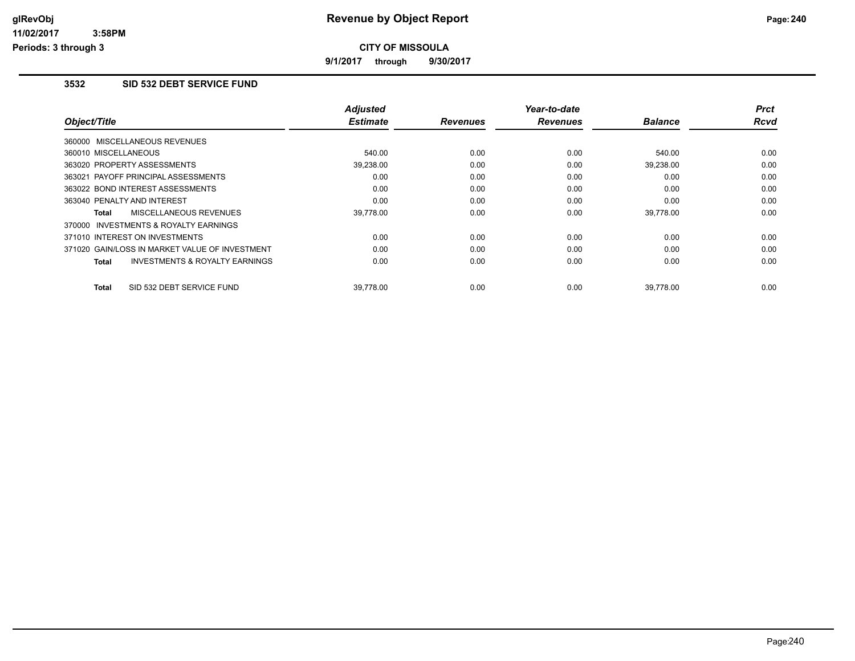**9/1/2017 through 9/30/2017**

### **3532 SID 532 DEBT SERVICE FUND**

|                                                           | <b>Adjusted</b> |                 | Year-to-date    |                | <b>Prct</b> |
|-----------------------------------------------------------|-----------------|-----------------|-----------------|----------------|-------------|
| Object/Title                                              | <b>Estimate</b> | <b>Revenues</b> | <b>Revenues</b> | <b>Balance</b> | <b>Rcvd</b> |
| 360000 MISCELLANEOUS REVENUES                             |                 |                 |                 |                |             |
| 360010 MISCELLANEOUS                                      | 540.00          | 0.00            | 0.00            | 540.00         | 0.00        |
| 363020 PROPERTY ASSESSMENTS                               | 39.238.00       | 0.00            | 0.00            | 39.238.00      | 0.00        |
| 363021 PAYOFF PRINCIPAL ASSESSMENTS                       | 0.00            | 0.00            | 0.00            | 0.00           | 0.00        |
| 363022 BOND INTEREST ASSESSMENTS                          | 0.00            | 0.00            | 0.00            | 0.00           | 0.00        |
| 363040 PENALTY AND INTEREST                               | 0.00            | 0.00            | 0.00            | 0.00           | 0.00        |
| <b>MISCELLANEOUS REVENUES</b><br>Total                    | 39,778.00       | 0.00            | 0.00            | 39.778.00      | 0.00        |
| INVESTMENTS & ROYALTY EARNINGS<br>370000                  |                 |                 |                 |                |             |
| 371010 INTEREST ON INVESTMENTS                            | 0.00            | 0.00            | 0.00            | 0.00           | 0.00        |
| 371020 GAIN/LOSS IN MARKET VALUE OF INVESTMENT            | 0.00            | 0.00            | 0.00            | 0.00           | 0.00        |
| <b>INVESTMENTS &amp; ROYALTY EARNINGS</b><br><b>Total</b> | 0.00            | 0.00            | 0.00            | 0.00           | 0.00        |
| SID 532 DEBT SERVICE FUND<br><b>Total</b>                 | 39.778.00       | 0.00            | 0.00            | 39.778.00      | 0.00        |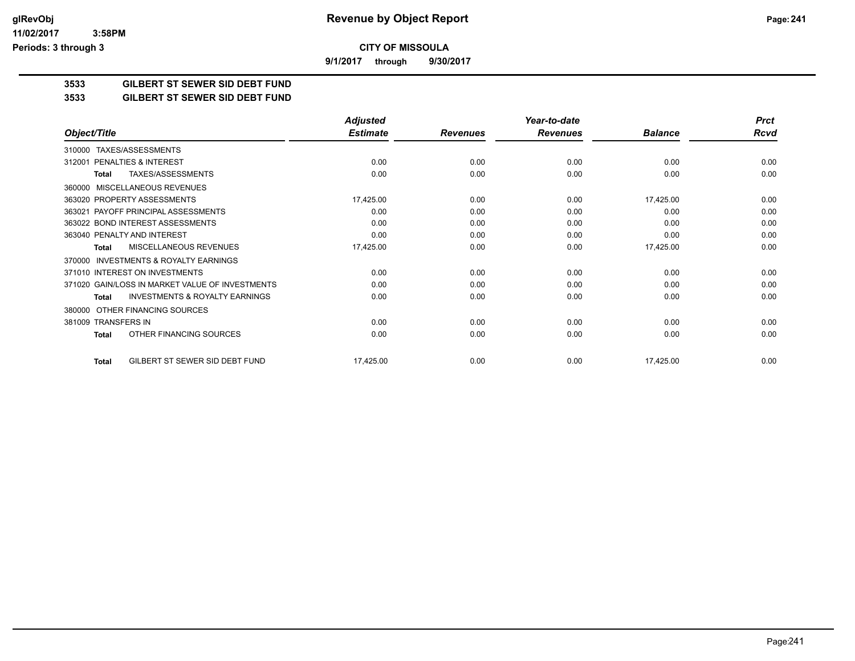**9/1/2017 through 9/30/2017**

# **3533 GILBERT ST SEWER SID DEBT FUND**

#### **3533 GILBERT ST SEWER SID DEBT FUND**

|                                                     | <b>Adjusted</b> |                 | Year-to-date    |                | <b>Prct</b> |
|-----------------------------------------------------|-----------------|-----------------|-----------------|----------------|-------------|
| Object/Title                                        | <b>Estimate</b> | <b>Revenues</b> | <b>Revenues</b> | <b>Balance</b> | <b>Rcvd</b> |
| TAXES/ASSESSMENTS<br>310000                         |                 |                 |                 |                |             |
| PENALTIES & INTEREST<br>312001                      | 0.00            | 0.00            | 0.00            | 0.00           | 0.00        |
| TAXES/ASSESSMENTS<br>Total                          | 0.00            | 0.00            | 0.00            | 0.00           | 0.00        |
| MISCELLANEOUS REVENUES<br>360000                    |                 |                 |                 |                |             |
| 363020 PROPERTY ASSESSMENTS                         | 17,425.00       | 0.00            | 0.00            | 17,425.00      | 0.00        |
| 363021 PAYOFF PRINCIPAL ASSESSMENTS                 | 0.00            | 0.00            | 0.00            | 0.00           | 0.00        |
| 363022 BOND INTEREST ASSESSMENTS                    | 0.00            | 0.00            | 0.00            | 0.00           | 0.00        |
| 363040 PENALTY AND INTEREST                         | 0.00            | 0.00            | 0.00            | 0.00           | 0.00        |
| <b>MISCELLANEOUS REVENUES</b><br><b>Total</b>       | 17,425.00       | 0.00            | 0.00            | 17,425.00      | 0.00        |
| <b>INVESTMENTS &amp; ROYALTY EARNINGS</b><br>370000 |                 |                 |                 |                |             |
| 371010 INTEREST ON INVESTMENTS                      | 0.00            | 0.00            | 0.00            | 0.00           | 0.00        |
| 371020 GAIN/LOSS IN MARKET VALUE OF INVESTMENTS     | 0.00            | 0.00            | 0.00            | 0.00           | 0.00        |
| <b>INVESTMENTS &amp; ROYALTY EARNINGS</b><br>Total  | 0.00            | 0.00            | 0.00            | 0.00           | 0.00        |
| OTHER FINANCING SOURCES<br>380000                   |                 |                 |                 |                |             |
| 381009 TRANSFERS IN                                 | 0.00            | 0.00            | 0.00            | 0.00           | 0.00        |
| OTHER FINANCING SOURCES<br><b>Total</b>             | 0.00            | 0.00            | 0.00            | 0.00           | 0.00        |
| GILBERT ST SEWER SID DEBT FUND<br><b>Total</b>      | 17,425.00       | 0.00            | 0.00            | 17,425.00      | 0.00        |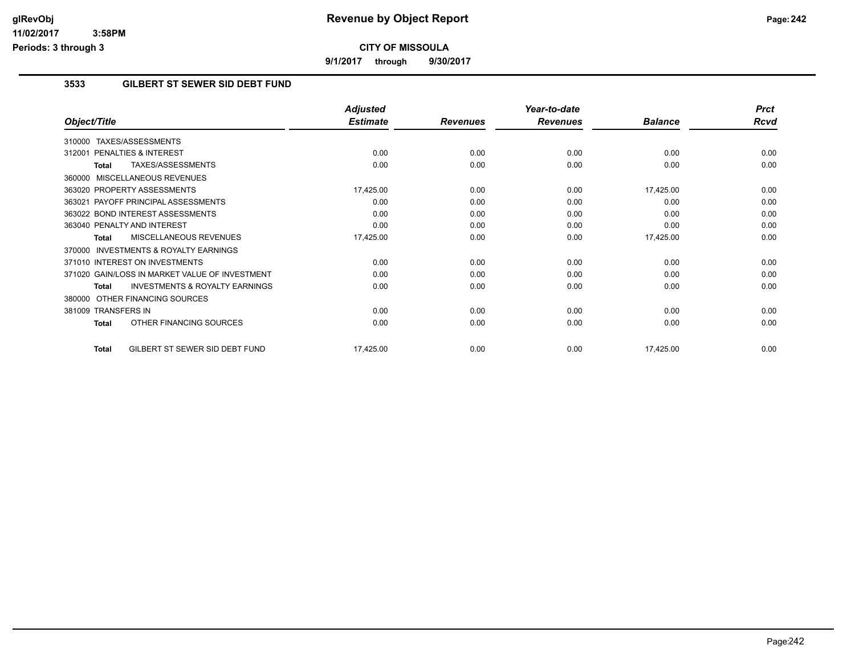**9/1/2017 through 9/30/2017**

# **3533 GILBERT ST SEWER SID DEBT FUND**

|                                                     | <b>Adjusted</b> |                 | Year-to-date    |                | <b>Prct</b> |
|-----------------------------------------------------|-----------------|-----------------|-----------------|----------------|-------------|
| Object/Title                                        | <b>Estimate</b> | <b>Revenues</b> | <b>Revenues</b> | <b>Balance</b> | <b>Rcvd</b> |
| <b>TAXES/ASSESSMENTS</b><br>310000                  |                 |                 |                 |                |             |
| 312001 PENALTIES & INTEREST                         | 0.00            | 0.00            | 0.00            | 0.00           | 0.00        |
| TAXES/ASSESSMENTS<br><b>Total</b>                   | 0.00            | 0.00            | 0.00            | 0.00           | 0.00        |
| MISCELLANEOUS REVENUES<br>360000                    |                 |                 |                 |                |             |
| 363020 PROPERTY ASSESSMENTS                         | 17,425.00       | 0.00            | 0.00            | 17,425.00      | 0.00        |
| 363021 PAYOFF PRINCIPAL ASSESSMENTS                 | 0.00            | 0.00            | 0.00            | 0.00           | 0.00        |
| 363022 BOND INTEREST ASSESSMENTS                    | 0.00            | 0.00            | 0.00            | 0.00           | 0.00        |
| 363040 PENALTY AND INTEREST                         | 0.00            | 0.00            | 0.00            | 0.00           | 0.00        |
| <b>MISCELLANEOUS REVENUES</b><br>Total              | 17,425.00       | 0.00            | 0.00            | 17,425.00      | 0.00        |
| <b>INVESTMENTS &amp; ROYALTY EARNINGS</b><br>370000 |                 |                 |                 |                |             |
| 371010 INTEREST ON INVESTMENTS                      | 0.00            | 0.00            | 0.00            | 0.00           | 0.00        |
| 371020 GAIN/LOSS IN MARKET VALUE OF INVESTMENT      | 0.00            | 0.00            | 0.00            | 0.00           | 0.00        |
| <b>INVESTMENTS &amp; ROYALTY EARNINGS</b><br>Total  | 0.00            | 0.00            | 0.00            | 0.00           | 0.00        |
| OTHER FINANCING SOURCES<br>380000                   |                 |                 |                 |                |             |
| 381009 TRANSFERS IN                                 | 0.00            | 0.00            | 0.00            | 0.00           | 0.00        |
| OTHER FINANCING SOURCES<br><b>Total</b>             | 0.00            | 0.00            | 0.00            | 0.00           | 0.00        |
| GILBERT ST SEWER SID DEBT FUND<br><b>Total</b>      | 17,425.00       | 0.00            | 0.00            | 17,425.00      | 0.00        |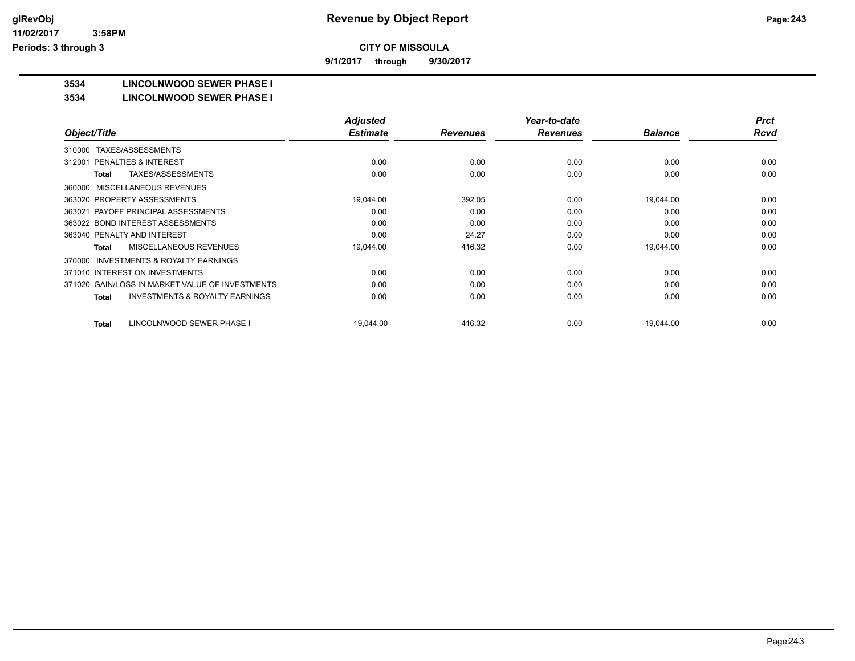**9/1/2017 through 9/30/2017**

# **3534 LINCOLNWOOD SEWER PHASE I**

#### **3534 LINCOLNWOOD SEWER PHASE I**

|                                                           | <b>Adjusted</b> |                 | Year-to-date    |                | <b>Prct</b> |
|-----------------------------------------------------------|-----------------|-----------------|-----------------|----------------|-------------|
| Object/Title                                              | <b>Estimate</b> | <b>Revenues</b> | <b>Revenues</b> | <b>Balance</b> | <b>Rcvd</b> |
| TAXES/ASSESSMENTS<br>310000                               |                 |                 |                 |                |             |
| PENALTIES & INTEREST<br>312001                            | 0.00            | 0.00            | 0.00            | 0.00           | 0.00        |
| TAXES/ASSESSMENTS<br>Total                                | 0.00            | 0.00            | 0.00            | 0.00           | 0.00        |
| MISCELLANEOUS REVENUES<br>360000                          |                 |                 |                 |                |             |
| 363020 PROPERTY ASSESSMENTS                               | 19,044.00       | 392.05          | 0.00            | 19,044.00      | 0.00        |
| 363021 PAYOFF PRINCIPAL ASSESSMENTS                       | 0.00            | 0.00            | 0.00            | 0.00           | 0.00        |
| 363022 BOND INTEREST ASSESSMENTS                          | 0.00            | 0.00            | 0.00            | 0.00           | 0.00        |
| 363040 PENALTY AND INTEREST                               | 0.00            | 24.27           | 0.00            | 0.00           | 0.00        |
| MISCELLANEOUS REVENUES<br>Total                           | 19,044.00       | 416.32          | 0.00            | 19,044.00      | 0.00        |
| <b>INVESTMENTS &amp; ROYALTY EARNINGS</b><br>370000       |                 |                 |                 |                |             |
| 371010 INTEREST ON INVESTMENTS                            | 0.00            | 0.00            | 0.00            | 0.00           | 0.00        |
| 371020 GAIN/LOSS IN MARKET VALUE OF INVESTMENTS           | 0.00            | 0.00            | 0.00            | 0.00           | 0.00        |
| <b>INVESTMENTS &amp; ROYALTY EARNINGS</b><br><b>Total</b> | 0.00            | 0.00            | 0.00            | 0.00           | 0.00        |
| LINCOLNWOOD SEWER PHASE I<br>Total                        | 19.044.00       | 416.32          | 0.00            | 19,044.00      | 0.00        |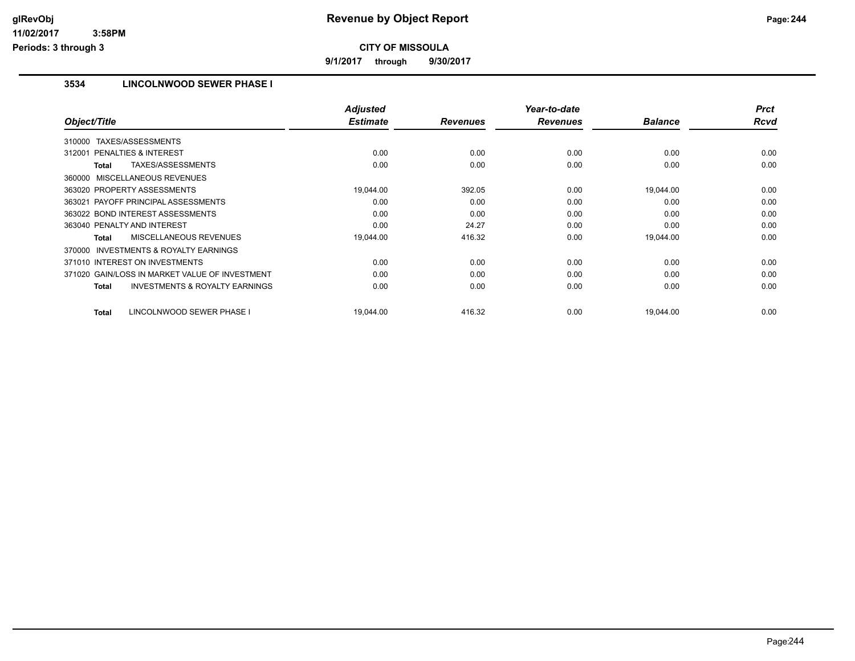**9/1/2017 through 9/30/2017**

# **3534 LINCOLNWOOD SEWER PHASE I**

| Object/Title                                              | <b>Adjusted</b><br><b>Estimate</b> | <b>Revenues</b> | Year-to-date<br><b>Revenues</b> | <b>Balance</b> | <b>Prct</b><br><b>Rcvd</b> |
|-----------------------------------------------------------|------------------------------------|-----------------|---------------------------------|----------------|----------------------------|
|                                                           |                                    |                 |                                 |                |                            |
| TAXES/ASSESSMENTS<br>310000                               |                                    |                 |                                 |                |                            |
| 312001 PENALTIES & INTEREST                               | 0.00                               | 0.00            | 0.00                            | 0.00           | 0.00                       |
| TAXES/ASSESSMENTS<br>Total                                | 0.00                               | 0.00            | 0.00                            | 0.00           | 0.00                       |
| 360000 MISCELLANEOUS REVENUES                             |                                    |                 |                                 |                |                            |
| 363020 PROPERTY ASSESSMENTS                               | 19,044.00                          | 392.05          | 0.00                            | 19,044.00      | 0.00                       |
| 363021 PAYOFF PRINCIPAL ASSESSMENTS                       | 0.00                               | 0.00            | 0.00                            | 0.00           | 0.00                       |
| 363022 BOND INTEREST ASSESSMENTS                          | 0.00                               | 0.00            | 0.00                            | 0.00           | 0.00                       |
| 363040 PENALTY AND INTEREST                               | 0.00                               | 24.27           | 0.00                            | 0.00           | 0.00                       |
| MISCELLANEOUS REVENUES<br>Total                           | 19,044.00                          | 416.32          | 0.00                            | 19,044.00      | 0.00                       |
| <b>INVESTMENTS &amp; ROYALTY EARNINGS</b><br>370000       |                                    |                 |                                 |                |                            |
| 371010 INTEREST ON INVESTMENTS                            | 0.00                               | 0.00            | 0.00                            | 0.00           | 0.00                       |
| 371020 GAIN/LOSS IN MARKET VALUE OF INVESTMENT            | 0.00                               | 0.00            | 0.00                            | 0.00           | 0.00                       |
| <b>INVESTMENTS &amp; ROYALTY EARNINGS</b><br><b>Total</b> | 0.00                               | 0.00            | 0.00                            | 0.00           | 0.00                       |
|                                                           |                                    |                 |                                 |                |                            |
| LINCOLNWOOD SEWER PHASE I<br><b>Total</b>                 | 19,044.00                          | 416.32          | 0.00                            | 19,044.00      | 0.00                       |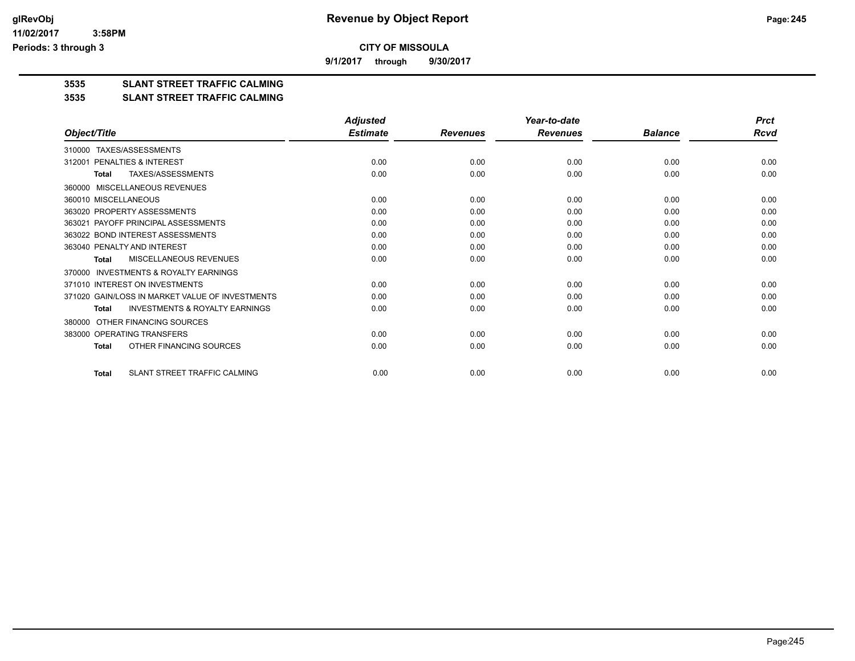**CITY OF MISSOULA**

**9/1/2017 through 9/30/2017**

# **3535 SLANT STREET TRAFFIC CALMING**

#### **3535 SLANT STREET TRAFFIC CALMING**

|                                                     | <b>Adjusted</b> |                 | Year-to-date    |                | <b>Prct</b> |
|-----------------------------------------------------|-----------------|-----------------|-----------------|----------------|-------------|
| Object/Title                                        | <b>Estimate</b> | <b>Revenues</b> | <b>Revenues</b> | <b>Balance</b> | Rcvd        |
| TAXES/ASSESSMENTS<br>310000                         |                 |                 |                 |                |             |
| PENALTIES & INTEREST<br>312001                      | 0.00            | 0.00            | 0.00            | 0.00           | 0.00        |
| TAXES/ASSESSMENTS<br>Total                          | 0.00            | 0.00            | 0.00            | 0.00           | 0.00        |
| MISCELLANEOUS REVENUES<br>360000                    |                 |                 |                 |                |             |
| 360010 MISCELLANEOUS                                | 0.00            | 0.00            | 0.00            | 0.00           | 0.00        |
| 363020 PROPERTY ASSESSMENTS                         | 0.00            | 0.00            | 0.00            | 0.00           | 0.00        |
| 363021 PAYOFF PRINCIPAL ASSESSMENTS                 | 0.00            | 0.00            | 0.00            | 0.00           | 0.00        |
| 363022 BOND INTEREST ASSESSMENTS                    | 0.00            | 0.00            | 0.00            | 0.00           | 0.00        |
| 363040 PENALTY AND INTEREST                         | 0.00            | 0.00            | 0.00            | 0.00           | 0.00        |
| MISCELLANEOUS REVENUES<br><b>Total</b>              | 0.00            | 0.00            | 0.00            | 0.00           | 0.00        |
| <b>INVESTMENTS &amp; ROYALTY EARNINGS</b><br>370000 |                 |                 |                 |                |             |
| 371010 INTEREST ON INVESTMENTS                      | 0.00            | 0.00            | 0.00            | 0.00           | 0.00        |
| 371020 GAIN/LOSS IN MARKET VALUE OF INVESTMENTS     | 0.00            | 0.00            | 0.00            | 0.00           | 0.00        |
| <b>INVESTMENTS &amp; ROYALTY EARNINGS</b><br>Total  | 0.00            | 0.00            | 0.00            | 0.00           | 0.00        |
| OTHER FINANCING SOURCES<br>380000                   |                 |                 |                 |                |             |
| 383000 OPERATING TRANSFERS                          | 0.00            | 0.00            | 0.00            | 0.00           | 0.00        |
| OTHER FINANCING SOURCES<br><b>Total</b>             | 0.00            | 0.00            | 0.00            | 0.00           | 0.00        |
| SLANT STREET TRAFFIC CALMING<br><b>Total</b>        | 0.00            | 0.00            | 0.00            | 0.00           | 0.00        |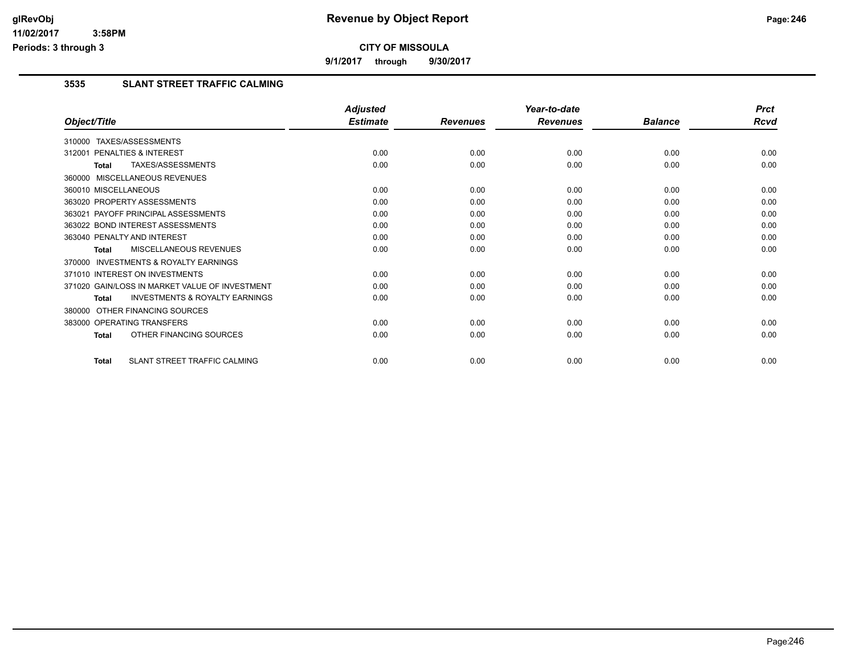**9/1/2017 through 9/30/2017**

# **3535 SLANT STREET TRAFFIC CALMING**

|                                                           | <b>Adjusted</b> |                 | Year-to-date    |                | <b>Prct</b> |
|-----------------------------------------------------------|-----------------|-----------------|-----------------|----------------|-------------|
| Object/Title                                              | <b>Estimate</b> | <b>Revenues</b> | <b>Revenues</b> | <b>Balance</b> | <b>Rcvd</b> |
| 310000 TAXES/ASSESSMENTS                                  |                 |                 |                 |                |             |
| PENALTIES & INTEREST<br>312001                            | 0.00            | 0.00            | 0.00            | 0.00           | 0.00        |
| <b>TAXES/ASSESSMENTS</b><br>Total                         | 0.00            | 0.00            | 0.00            | 0.00           | 0.00        |
| 360000 MISCELLANEOUS REVENUES                             |                 |                 |                 |                |             |
| 360010 MISCELLANEOUS                                      | 0.00            | 0.00            | 0.00            | 0.00           | 0.00        |
| 363020 PROPERTY ASSESSMENTS                               | 0.00            | 0.00            | 0.00            | 0.00           | 0.00        |
| 363021 PAYOFF PRINCIPAL ASSESSMENTS                       | 0.00            | 0.00            | 0.00            | 0.00           | 0.00        |
| 363022 BOND INTEREST ASSESSMENTS                          | 0.00            | 0.00            | 0.00            | 0.00           | 0.00        |
| 363040 PENALTY AND INTEREST                               | 0.00            | 0.00            | 0.00            | 0.00           | 0.00        |
| <b>MISCELLANEOUS REVENUES</b><br><b>Total</b>             | 0.00            | 0.00            | 0.00            | 0.00           | 0.00        |
| 370000 INVESTMENTS & ROYALTY EARNINGS                     |                 |                 |                 |                |             |
| 371010 INTEREST ON INVESTMENTS                            | 0.00            | 0.00            | 0.00            | 0.00           | 0.00        |
| 371020 GAIN/LOSS IN MARKET VALUE OF INVESTMENT            | 0.00            | 0.00            | 0.00            | 0.00           | 0.00        |
| <b>INVESTMENTS &amp; ROYALTY EARNINGS</b><br><b>Total</b> | 0.00            | 0.00            | 0.00            | 0.00           | 0.00        |
| 380000 OTHER FINANCING SOURCES                            |                 |                 |                 |                |             |
| 383000 OPERATING TRANSFERS                                | 0.00            | 0.00            | 0.00            | 0.00           | 0.00        |
| OTHER FINANCING SOURCES<br><b>Total</b>                   | 0.00            | 0.00            | 0.00            | 0.00           | 0.00        |
| SLANT STREET TRAFFIC CALMING<br><b>Total</b>              | 0.00            | 0.00            | 0.00            | 0.00           | 0.00        |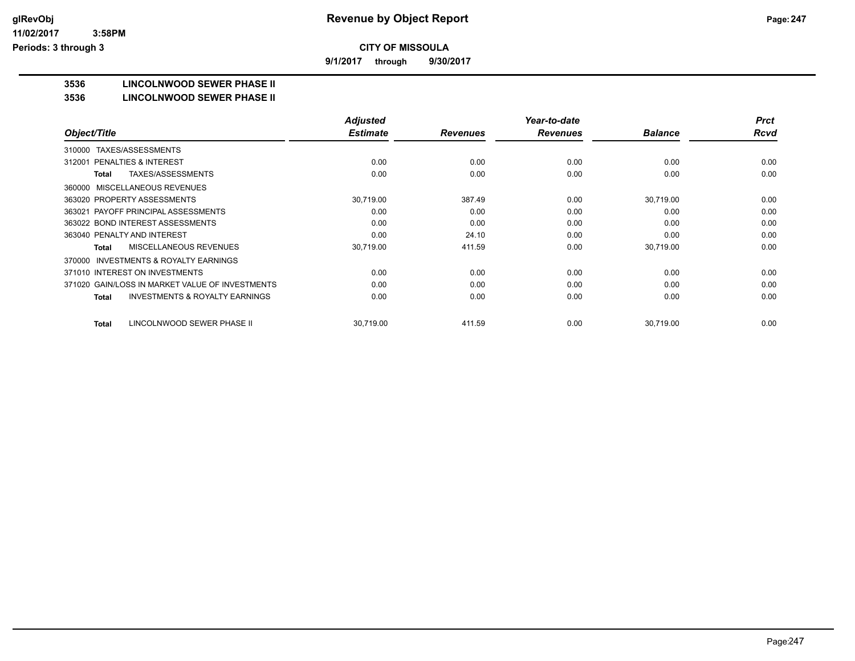**9/1/2017 through 9/30/2017**

# **3536 LINCOLNWOOD SEWER PHASE II**

#### **3536 LINCOLNWOOD SEWER PHASE II**

|                                                     | <b>Adjusted</b> |                 | Year-to-date    |                | <b>Prct</b> |
|-----------------------------------------------------|-----------------|-----------------|-----------------|----------------|-------------|
| Object/Title                                        | <b>Estimate</b> | <b>Revenues</b> | <b>Revenues</b> | <b>Balance</b> | <b>Rcvd</b> |
| TAXES/ASSESSMENTS<br>310000                         |                 |                 |                 |                |             |
| PENALTIES & INTEREST<br>312001                      | 0.00            | 0.00            | 0.00            | 0.00           | 0.00        |
| TAXES/ASSESSMENTS<br>Total                          | 0.00            | 0.00            | 0.00            | 0.00           | 0.00        |
| MISCELLANEOUS REVENUES<br>360000                    |                 |                 |                 |                |             |
| 363020 PROPERTY ASSESSMENTS                         | 30,719.00       | 387.49          | 0.00            | 30,719.00      | 0.00        |
| 363021 PAYOFF PRINCIPAL ASSESSMENTS                 | 0.00            | 0.00            | 0.00            | 0.00           | 0.00        |
| 363022 BOND INTEREST ASSESSMENTS                    | 0.00            | 0.00            | 0.00            | 0.00           | 0.00        |
| 363040 PENALTY AND INTEREST                         | 0.00            | 24.10           | 0.00            | 0.00           | 0.00        |
| MISCELLANEOUS REVENUES<br>Total                     | 30,719.00       | 411.59          | 0.00            | 30,719.00      | 0.00        |
| <b>INVESTMENTS &amp; ROYALTY EARNINGS</b><br>370000 |                 |                 |                 |                |             |
| 371010 INTEREST ON INVESTMENTS                      | 0.00            | 0.00            | 0.00            | 0.00           | 0.00        |
| 371020 GAIN/LOSS IN MARKET VALUE OF INVESTMENTS     | 0.00            | 0.00            | 0.00            | 0.00           | 0.00        |
| <b>INVESTMENTS &amp; ROYALTY EARNINGS</b><br>Total  | 0.00            | 0.00            | 0.00            | 0.00           | 0.00        |
| LINCOLNWOOD SEWER PHASE II<br>Total                 | 30,719.00       | 411.59          | 0.00            | 30,719.00      | 0.00        |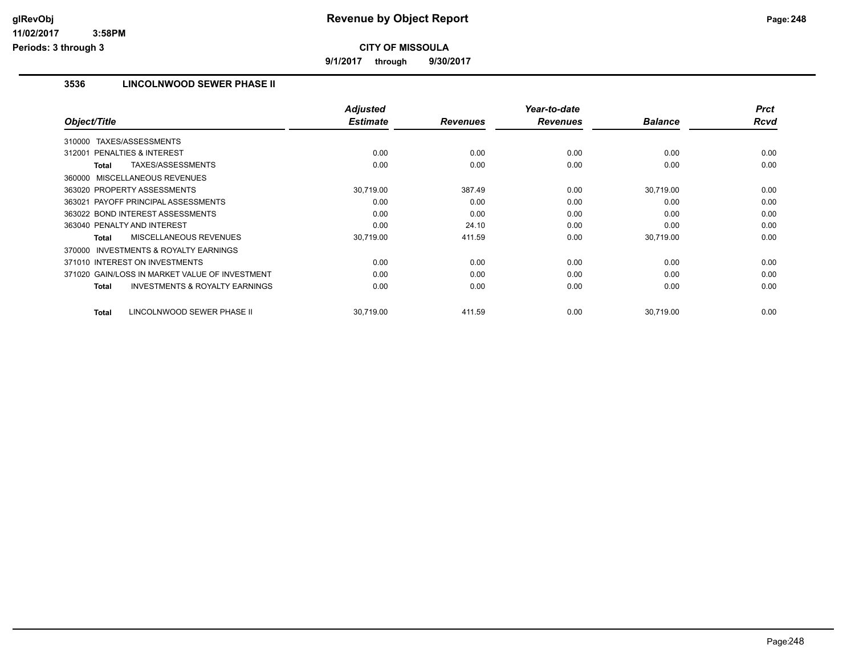**9/1/2017 through 9/30/2017**

# **3536 LINCOLNWOOD SEWER PHASE II**

|                                                     | <b>Adjusted</b> |                 | Year-to-date    |                | <b>Prct</b> |
|-----------------------------------------------------|-----------------|-----------------|-----------------|----------------|-------------|
| Object/Title                                        | <b>Estimate</b> | <b>Revenues</b> | <b>Revenues</b> | <b>Balance</b> | <b>Rcvd</b> |
| 310000 TAXES/ASSESSMENTS                            |                 |                 |                 |                |             |
| 312001 PENALTIES & INTEREST                         | 0.00            | 0.00            | 0.00            | 0.00           | 0.00        |
| TAXES/ASSESSMENTS<br>Total                          | 0.00            | 0.00            | 0.00            | 0.00           | 0.00        |
| 360000 MISCELLANEOUS REVENUES                       |                 |                 |                 |                |             |
| 363020 PROPERTY ASSESSMENTS                         | 30,719.00       | 387.49          | 0.00            | 30,719.00      | 0.00        |
| 363021 PAYOFF PRINCIPAL ASSESSMENTS                 | 0.00            | 0.00            | 0.00            | 0.00           | 0.00        |
| 363022 BOND INTEREST ASSESSMENTS                    | 0.00            | 0.00            | 0.00            | 0.00           | 0.00        |
| 363040 PENALTY AND INTEREST                         | 0.00            | 24.10           | 0.00            | 0.00           | 0.00        |
| MISCELLANEOUS REVENUES<br>Total                     | 30,719.00       | 411.59          | 0.00            | 30,719.00      | 0.00        |
| <b>INVESTMENTS &amp; ROYALTY EARNINGS</b><br>370000 |                 |                 |                 |                |             |
| 371010 INTEREST ON INVESTMENTS                      | 0.00            | 0.00            | 0.00            | 0.00           | 0.00        |
| 371020 GAIN/LOSS IN MARKET VALUE OF INVESTMENT      | 0.00            | 0.00            | 0.00            | 0.00           | 0.00        |
| <b>INVESTMENTS &amp; ROYALTY EARNINGS</b><br>Total  | 0.00            | 0.00            | 0.00            | 0.00           | 0.00        |
| LINCOLNWOOD SEWER PHASE II<br><b>Total</b>          | 30,719.00       | 411.59          | 0.00            | 30,719.00      | 0.00        |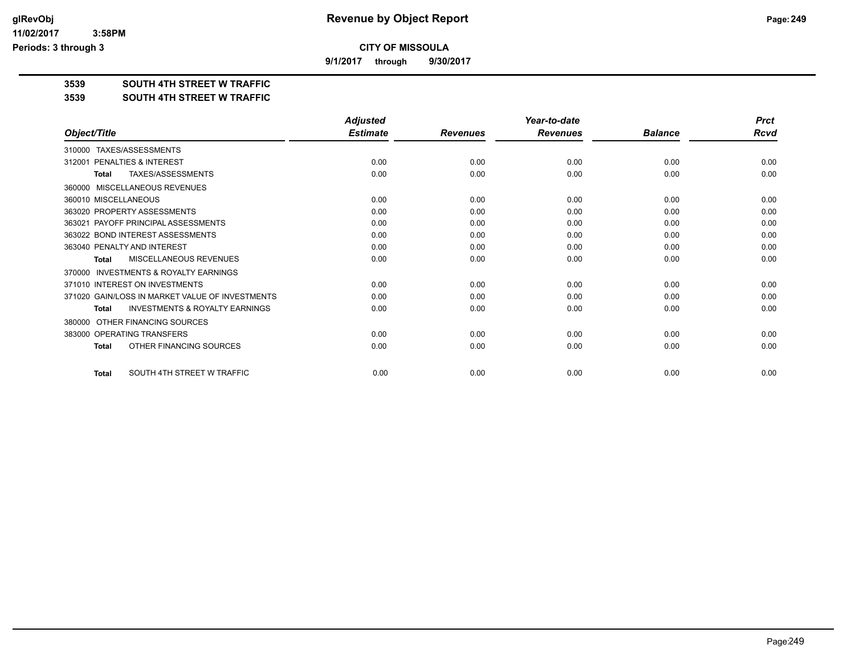**9/1/2017 through 9/30/2017**

### **3539 SOUTH 4TH STREET W TRAFFIC**

#### **3539 SOUTH 4TH STREET W TRAFFIC**

|                                                           | <b>Adjusted</b> |                 | Year-to-date    |                | <b>Prct</b> |
|-----------------------------------------------------------|-----------------|-----------------|-----------------|----------------|-------------|
| Object/Title                                              | <b>Estimate</b> | <b>Revenues</b> | <b>Revenues</b> | <b>Balance</b> | <b>Rcvd</b> |
| TAXES/ASSESSMENTS<br>310000                               |                 |                 |                 |                |             |
| PENALTIES & INTEREST<br>312001                            | 0.00            | 0.00            | 0.00            | 0.00           | 0.00        |
| TAXES/ASSESSMENTS<br><b>Total</b>                         | 0.00            | 0.00            | 0.00            | 0.00           | 0.00        |
| MISCELLANEOUS REVENUES<br>360000                          |                 |                 |                 |                |             |
| 360010 MISCELLANEOUS                                      | 0.00            | 0.00            | 0.00            | 0.00           | 0.00        |
| 363020 PROPERTY ASSESSMENTS                               | 0.00            | 0.00            | 0.00            | 0.00           | 0.00        |
| 363021 PAYOFF PRINCIPAL ASSESSMENTS                       | 0.00            | 0.00            | 0.00            | 0.00           | 0.00        |
| 363022 BOND INTEREST ASSESSMENTS                          | 0.00            | 0.00            | 0.00            | 0.00           | 0.00        |
| 363040 PENALTY AND INTEREST                               | 0.00            | 0.00            | 0.00            | 0.00           | 0.00        |
| MISCELLANEOUS REVENUES<br><b>Total</b>                    | 0.00            | 0.00            | 0.00            | 0.00           | 0.00        |
| <b>INVESTMENTS &amp; ROYALTY EARNINGS</b><br>370000       |                 |                 |                 |                |             |
| 371010 INTEREST ON INVESTMENTS                            | 0.00            | 0.00            | 0.00            | 0.00           | 0.00        |
| 371020 GAIN/LOSS IN MARKET VALUE OF INVESTMENTS           | 0.00            | 0.00            | 0.00            | 0.00           | 0.00        |
| <b>INVESTMENTS &amp; ROYALTY EARNINGS</b><br><b>Total</b> | 0.00            | 0.00            | 0.00            | 0.00           | 0.00        |
| OTHER FINANCING SOURCES<br>380000                         |                 |                 |                 |                |             |
| 383000 OPERATING TRANSFERS                                | 0.00            | 0.00            | 0.00            | 0.00           | 0.00        |
| OTHER FINANCING SOURCES<br><b>Total</b>                   | 0.00            | 0.00            | 0.00            | 0.00           | 0.00        |
| SOUTH 4TH STREET W TRAFFIC<br><b>Total</b>                | 0.00            | 0.00            | 0.00            | 0.00           | 0.00        |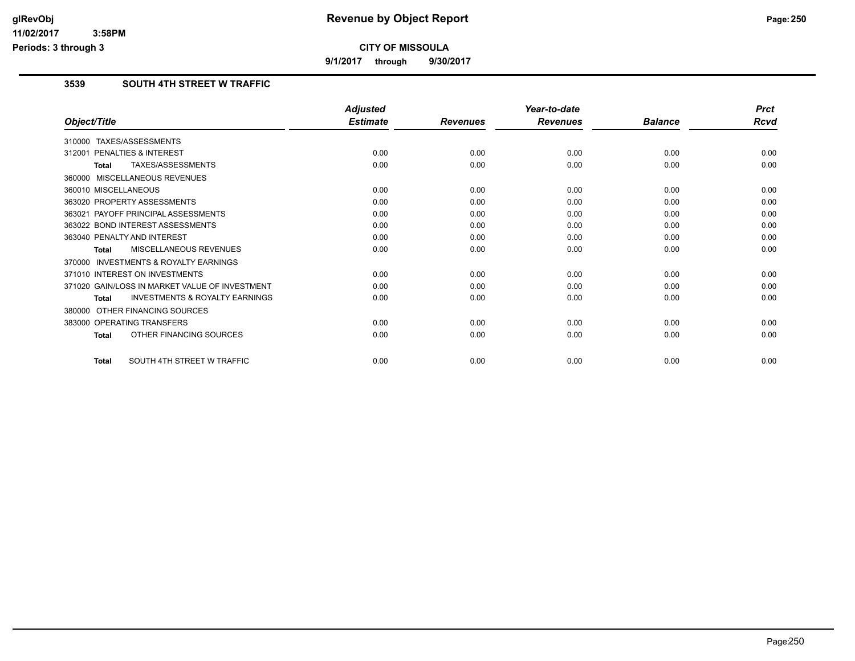**9/1/2017 through 9/30/2017**

# **3539 SOUTH 4TH STREET W TRAFFIC**

|                                                           | <b>Adjusted</b> |                 | Year-to-date    |                | <b>Prct</b> |
|-----------------------------------------------------------|-----------------|-----------------|-----------------|----------------|-------------|
| Object/Title                                              | <b>Estimate</b> | <b>Revenues</b> | <b>Revenues</b> | <b>Balance</b> | <b>Rcvd</b> |
| 310000 TAXES/ASSESSMENTS                                  |                 |                 |                 |                |             |
| 312001 PENALTIES & INTEREST                               | 0.00            | 0.00            | 0.00            | 0.00           | 0.00        |
| TAXES/ASSESSMENTS<br><b>Total</b>                         | 0.00            | 0.00            | 0.00            | 0.00           | 0.00        |
| 360000 MISCELLANEOUS REVENUES                             |                 |                 |                 |                |             |
| 360010 MISCELLANEOUS                                      | 0.00            | 0.00            | 0.00            | 0.00           | 0.00        |
| 363020 PROPERTY ASSESSMENTS                               | 0.00            | 0.00            | 0.00            | 0.00           | 0.00        |
| 363021 PAYOFF PRINCIPAL ASSESSMENTS                       | 0.00            | 0.00            | 0.00            | 0.00           | 0.00        |
| 363022 BOND INTEREST ASSESSMENTS                          | 0.00            | 0.00            | 0.00            | 0.00           | 0.00        |
| 363040 PENALTY AND INTEREST                               | 0.00            | 0.00            | 0.00            | 0.00           | 0.00        |
| MISCELLANEOUS REVENUES<br><b>Total</b>                    | 0.00            | 0.00            | 0.00            | 0.00           | 0.00        |
| INVESTMENTS & ROYALTY EARNINGS<br>370000                  |                 |                 |                 |                |             |
| 371010 INTEREST ON INVESTMENTS                            | 0.00            | 0.00            | 0.00            | 0.00           | 0.00        |
| 371020 GAIN/LOSS IN MARKET VALUE OF INVESTMENT            | 0.00            | 0.00            | 0.00            | 0.00           | 0.00        |
| <b>INVESTMENTS &amp; ROYALTY EARNINGS</b><br><b>Total</b> | 0.00            | 0.00            | 0.00            | 0.00           | 0.00        |
| OTHER FINANCING SOURCES<br>380000                         |                 |                 |                 |                |             |
| 383000 OPERATING TRANSFERS                                | 0.00            | 0.00            | 0.00            | 0.00           | 0.00        |
| OTHER FINANCING SOURCES<br><b>Total</b>                   | 0.00            | 0.00            | 0.00            | 0.00           | 0.00        |
| SOUTH 4TH STREET W TRAFFIC<br><b>Total</b>                | 0.00            | 0.00            | 0.00            | 0.00           | 0.00        |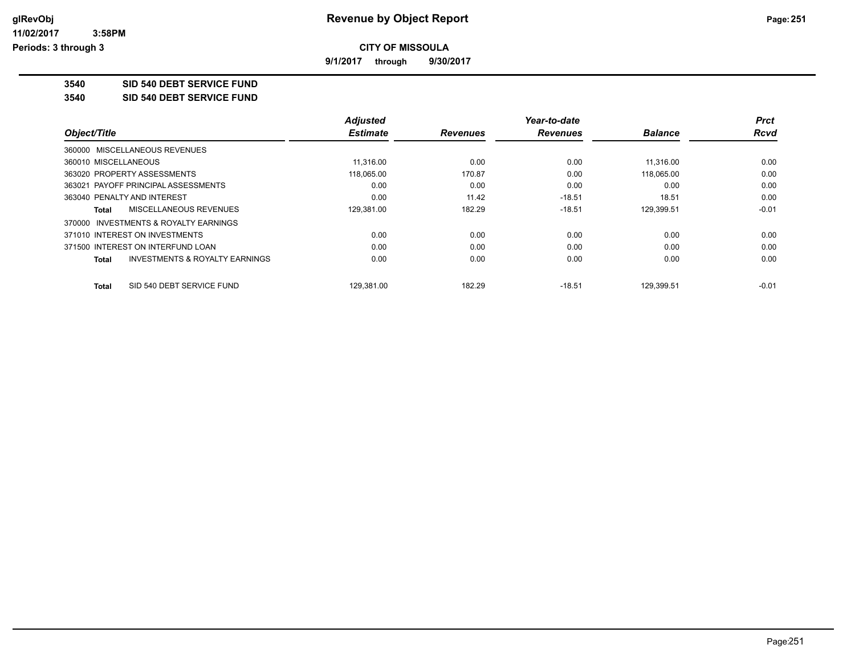**9/1/2017 through 9/30/2017**

**3540 SID 540 DEBT SERVICE FUND**

**3540 SID 540 DEBT SERVICE FUND**

|                                                           | <b>Adjusted</b> |                 | Year-to-date    |                | <b>Prct</b> |
|-----------------------------------------------------------|-----------------|-----------------|-----------------|----------------|-------------|
| Object/Title                                              | <b>Estimate</b> | <b>Revenues</b> | <b>Revenues</b> | <b>Balance</b> | Rcvd        |
| 360000 MISCELLANEOUS REVENUES                             |                 |                 |                 |                |             |
| 360010 MISCELLANEOUS                                      | 11,316.00       | 0.00            | 0.00            | 11.316.00      | 0.00        |
| 363020 PROPERTY ASSESSMENTS                               | 118,065.00      | 170.87          | 0.00            | 118.065.00     | 0.00        |
| 363021 PAYOFF PRINCIPAL ASSESSMENTS                       | 0.00            | 0.00            | 0.00            | 0.00           | 0.00        |
| 363040 PENALTY AND INTEREST                               | 0.00            | 11.42           | $-18.51$        | 18.51          | 0.00        |
| MISCELLANEOUS REVENUES<br><b>Total</b>                    | 129.381.00      | 182.29          | $-18.51$        | 129.399.51     | $-0.01$     |
| INVESTMENTS & ROYALTY EARNINGS<br>370000                  |                 |                 |                 |                |             |
| 371010 INTEREST ON INVESTMENTS                            | 0.00            | 0.00            | 0.00            | 0.00           | 0.00        |
| 371500 INTEREST ON INTERFUND LOAN                         | 0.00            | 0.00            | 0.00            | 0.00           | 0.00        |
| <b>INVESTMENTS &amp; ROYALTY EARNINGS</b><br><b>Total</b> | 0.00            | 0.00            | 0.00            | 0.00           | 0.00        |
| SID 540 DEBT SERVICE FUND<br><b>Total</b>                 | 129.381.00      | 182.29          | $-18.51$        | 129.399.51     | $-0.01$     |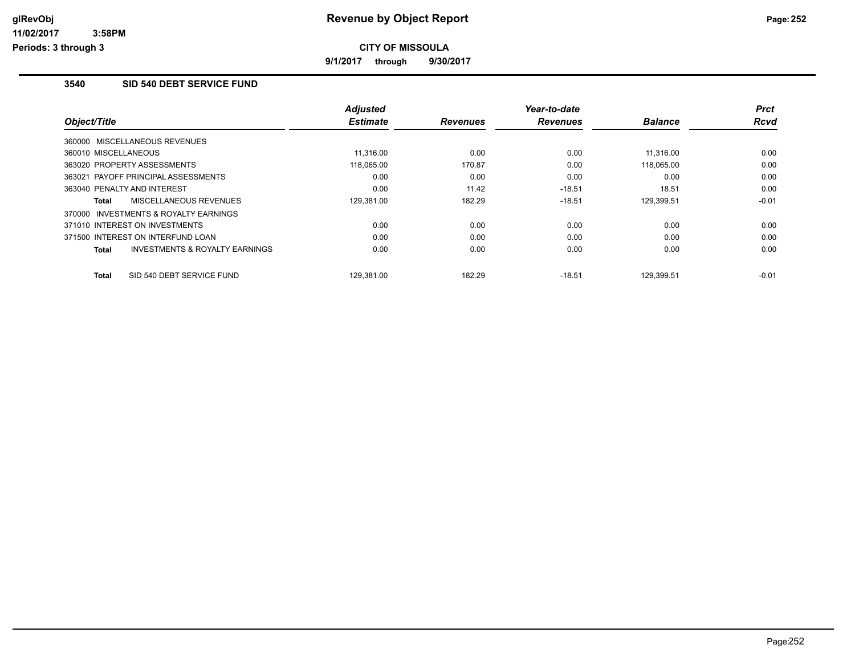**CITY OF MISSOULA**

**9/1/2017 through 9/30/2017**

# **3540 SID 540 DEBT SERVICE FUND**

|                                                           | <b>Adjusted</b> |                 | Year-to-date    |                | <b>Prct</b> |
|-----------------------------------------------------------|-----------------|-----------------|-----------------|----------------|-------------|
| Object/Title                                              | <b>Estimate</b> | <b>Revenues</b> | <b>Revenues</b> | <b>Balance</b> | Rcvd        |
| 360000 MISCELLANEOUS REVENUES                             |                 |                 |                 |                |             |
| 360010 MISCELLANEOUS                                      | 11.316.00       | 0.00            | 0.00            | 11.316.00      | 0.00        |
| 363020 PROPERTY ASSESSMENTS                               | 118,065.00      | 170.87          | 0.00            | 118.065.00     | 0.00        |
| 363021 PAYOFF PRINCIPAL ASSESSMENTS                       | 0.00            | 0.00            | 0.00            | 0.00           | 0.00        |
| 363040 PENALTY AND INTEREST                               | 0.00            | 11.42           | $-18.51$        | 18.51          | 0.00        |
| MISCELLANEOUS REVENUES<br><b>Total</b>                    | 129,381.00      | 182.29          | $-18.51$        | 129,399.51     | $-0.01$     |
| INVESTMENTS & ROYALTY EARNINGS<br>370000                  |                 |                 |                 |                |             |
| 371010 INTEREST ON INVESTMENTS                            | 0.00            | 0.00            | 0.00            | 0.00           | 0.00        |
| 371500 INTEREST ON INTERFUND LOAN                         | 0.00            | 0.00            | 0.00            | 0.00           | 0.00        |
| <b>INVESTMENTS &amp; ROYALTY EARNINGS</b><br><b>Total</b> | 0.00            | 0.00            | 0.00            | 0.00           | 0.00        |
| <b>Total</b><br>SID 540 DEBT SERVICE FUND                 | 129.381.00      | 182.29          | $-18.51$        | 129.399.51     | $-0.01$     |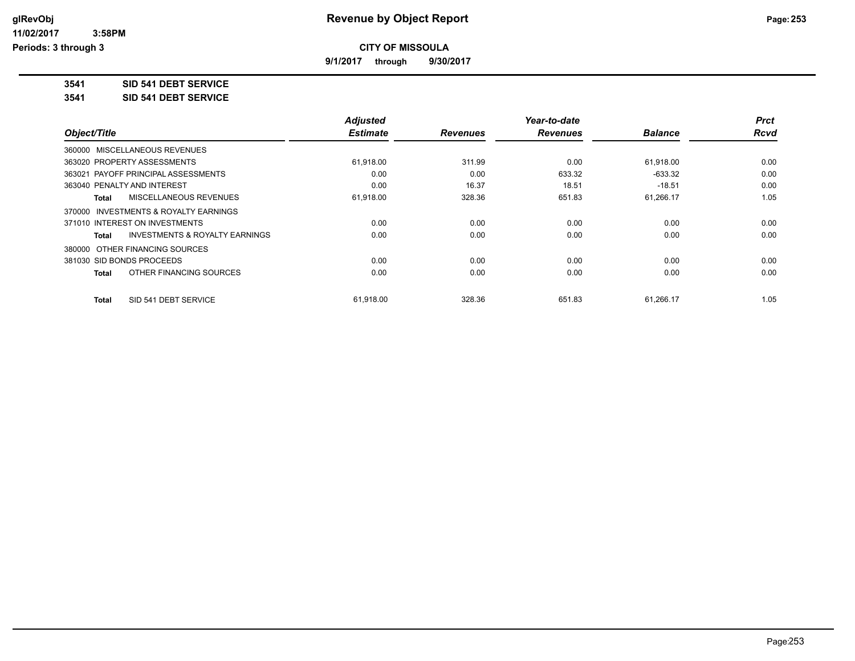**9/1/2017 through 9/30/2017**

**3541 SID 541 DEBT SERVICE**

**3541 SID 541 DEBT SERVICE**

|                                                    | <b>Adjusted</b> |                 | Year-to-date    |                | <b>Prct</b> |
|----------------------------------------------------|-----------------|-----------------|-----------------|----------------|-------------|
| Object/Title                                       | <b>Estimate</b> | <b>Revenues</b> | <b>Revenues</b> | <b>Balance</b> | <b>Rcvd</b> |
| 360000 MISCELLANEOUS REVENUES                      |                 |                 |                 |                |             |
| 363020 PROPERTY ASSESSMENTS                        | 61,918.00       | 311.99          | 0.00            | 61,918.00      | 0.00        |
| 363021 PAYOFF PRINCIPAL ASSESSMENTS                | 0.00            | 0.00            | 633.32          | $-633.32$      | 0.00        |
| 363040 PENALTY AND INTEREST                        | 0.00            | 16.37           | 18.51           | $-18.51$       | 0.00        |
| MISCELLANEOUS REVENUES<br>Total                    | 61,918.00       | 328.36          | 651.83          | 61,266.17      | 1.05        |
| 370000 INVESTMENTS & ROYALTY EARNINGS              |                 |                 |                 |                |             |
| 371010 INTEREST ON INVESTMENTS                     | 0.00            | 0.00            | 0.00            | 0.00           | 0.00        |
| <b>INVESTMENTS &amp; ROYALTY EARNINGS</b><br>Total | 0.00            | 0.00            | 0.00            | 0.00           | 0.00        |
| 380000 OTHER FINANCING SOURCES                     |                 |                 |                 |                |             |
| 381030 SID BONDS PROCEEDS                          | 0.00            | 0.00            | 0.00            | 0.00           | 0.00        |
| OTHER FINANCING SOURCES<br>Total                   | 0.00            | 0.00            | 0.00            | 0.00           | 0.00        |
| SID 541 DEBT SERVICE<br>Total                      | 61.918.00       | 328.36          | 651.83          | 61.266.17      | 1.05        |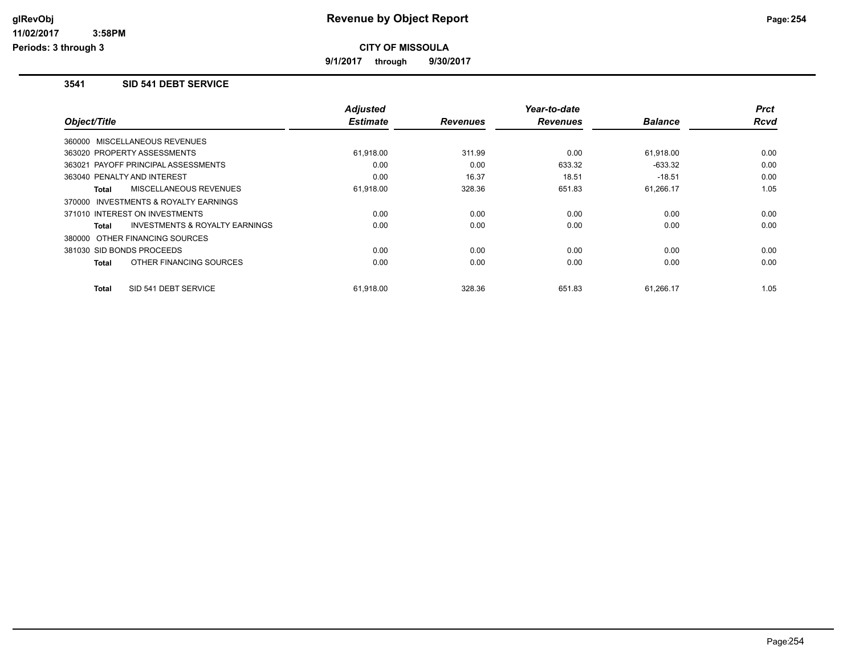**9/1/2017 through 9/30/2017**

#### **3541 SID 541 DEBT SERVICE**

| Object/Title                                              | <b>Adjusted</b><br><b>Estimate</b> | <b>Revenues</b> | Year-to-date<br><b>Revenues</b> | <b>Balance</b> | <b>Prct</b><br><b>Rcvd</b> |
|-----------------------------------------------------------|------------------------------------|-----------------|---------------------------------|----------------|----------------------------|
| 360000 MISCELLANEOUS REVENUES                             |                                    |                 |                                 |                |                            |
| 363020 PROPERTY ASSESSMENTS                               | 61,918.00                          | 311.99          | 0.00                            | 61,918.00      | 0.00                       |
| 363021 PAYOFF PRINCIPAL ASSESSMENTS                       | 0.00                               | 0.00            | 633.32                          | $-633.32$      | 0.00                       |
| 363040 PENALTY AND INTEREST                               | 0.00                               | 16.37           | 18.51                           | $-18.51$       | 0.00                       |
| MISCELLANEOUS REVENUES<br>Total                           | 61,918.00                          | 328.36          | 651.83                          | 61,266.17      | 1.05                       |
| INVESTMENTS & ROYALTY EARNINGS<br>370000                  |                                    |                 |                                 |                |                            |
| 371010 INTEREST ON INVESTMENTS                            | 0.00                               | 0.00            | 0.00                            | 0.00           | 0.00                       |
| <b>INVESTMENTS &amp; ROYALTY EARNINGS</b><br><b>Total</b> | 0.00                               | 0.00            | 0.00                            | 0.00           | 0.00                       |
| 380000 OTHER FINANCING SOURCES                            |                                    |                 |                                 |                |                            |
| 381030 SID BONDS PROCEEDS                                 | 0.00                               | 0.00            | 0.00                            | 0.00           | 0.00                       |
| OTHER FINANCING SOURCES<br><b>Total</b>                   | 0.00                               | 0.00            | 0.00                            | 0.00           | 0.00                       |
| SID 541 DEBT SERVICE<br><b>Total</b>                      | 61,918.00                          | 328.36          | 651.83                          | 61,266.17      | 1.05                       |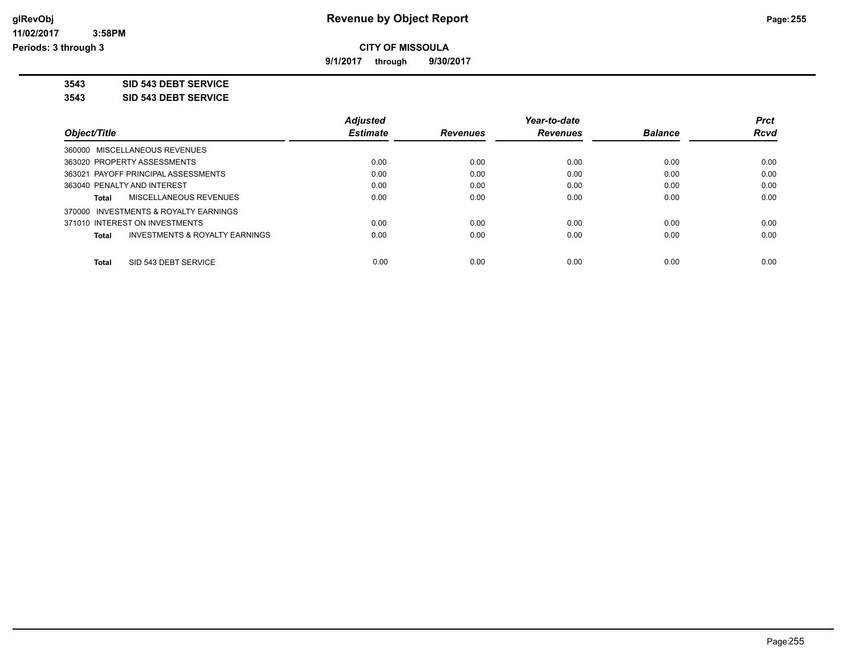**9/1/2017 through 9/30/2017**

**3543 SID 543 DEBT SERVICE**

**3543 SID 543 DEBT SERVICE**

|                                                    | <b>Adjusted</b> |                 | Year-to-date    |                | <b>Prct</b> |
|----------------------------------------------------|-----------------|-----------------|-----------------|----------------|-------------|
| Object/Title                                       | <b>Estimate</b> | <b>Revenues</b> | <b>Revenues</b> | <b>Balance</b> | Rcvd        |
| 360000 MISCELLANEOUS REVENUES                      |                 |                 |                 |                |             |
| 363020 PROPERTY ASSESSMENTS                        | 0.00            | 0.00            | 0.00            | 0.00           | 0.00        |
| 363021 PAYOFF PRINCIPAL ASSESSMENTS                | 0.00            | 0.00            | 0.00            | 0.00           | 0.00        |
| 363040 PENALTY AND INTEREST                        | 0.00            | 0.00            | 0.00            | 0.00           | 0.00        |
| <b>MISCELLANEOUS REVENUES</b><br>Total             | 0.00            | 0.00            | 0.00            | 0.00           | 0.00        |
| 370000 INVESTMENTS & ROYALTY EARNINGS              |                 |                 |                 |                |             |
| 371010 INTEREST ON INVESTMENTS                     | 0.00            | 0.00            | 0.00            | 0.00           | 0.00        |
| <b>INVESTMENTS &amp; ROYALTY EARNINGS</b><br>Total | 0.00            | 0.00            | 0.00            | 0.00           | 0.00        |
| SID 543 DEBT SERVICE<br>Total                      | 0.00            | 0.00            | 0.00            | 0.00           | 0.00        |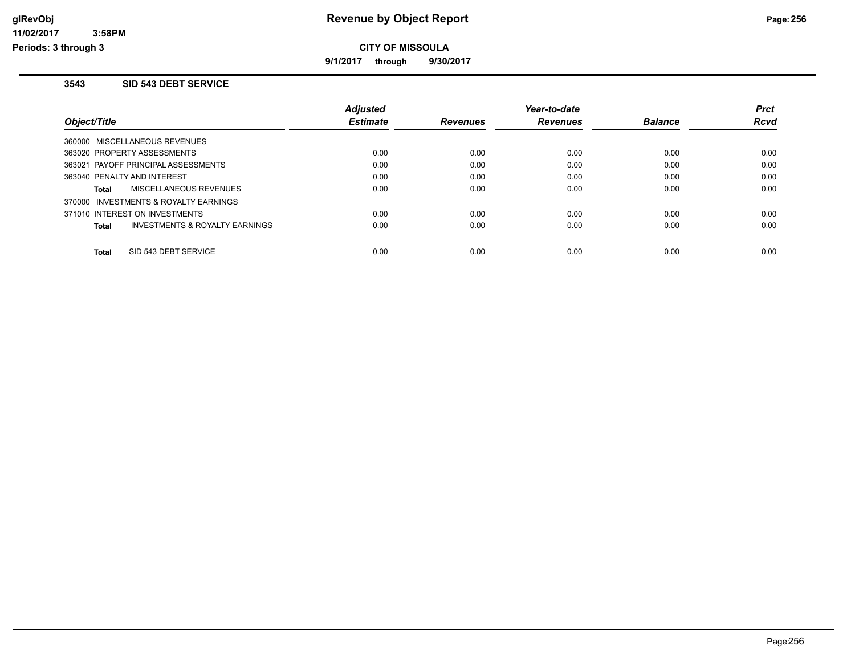**9/1/2017 through 9/30/2017**

#### **3543 SID 543 DEBT SERVICE**

|                                                           | <b>Adjusted</b> |                 | Year-to-date    |                | <b>Prct</b> |
|-----------------------------------------------------------|-----------------|-----------------|-----------------|----------------|-------------|
| Object/Title                                              | <b>Estimate</b> | <b>Revenues</b> | <b>Revenues</b> | <b>Balance</b> | <b>Rcvd</b> |
| 360000 MISCELLANEOUS REVENUES                             |                 |                 |                 |                |             |
| 363020 PROPERTY ASSESSMENTS                               | 0.00            | 0.00            | 0.00            | 0.00           | 0.00        |
| 363021 PAYOFF PRINCIPAL ASSESSMENTS                       | 0.00            | 0.00            | 0.00            | 0.00           | 0.00        |
| 363040 PENALTY AND INTEREST                               | 0.00            | 0.00            | 0.00            | 0.00           | 0.00        |
| MISCELLANEOUS REVENUES<br>Total                           | 0.00            | 0.00            | 0.00            | 0.00           | 0.00        |
| 370000 INVESTMENTS & ROYALTY EARNINGS                     |                 |                 |                 |                |             |
| 371010 INTEREST ON INVESTMENTS                            | 0.00            | 0.00            | 0.00            | 0.00           | 0.00        |
| <b>INVESTMENTS &amp; ROYALTY EARNINGS</b><br><b>Total</b> | 0.00            | 0.00            | 0.00            | 0.00           | 0.00        |
| SID 543 DEBT SERVICE<br><b>Total</b>                      | 0.00            | 0.00            | 0.00            | 0.00           | 0.00        |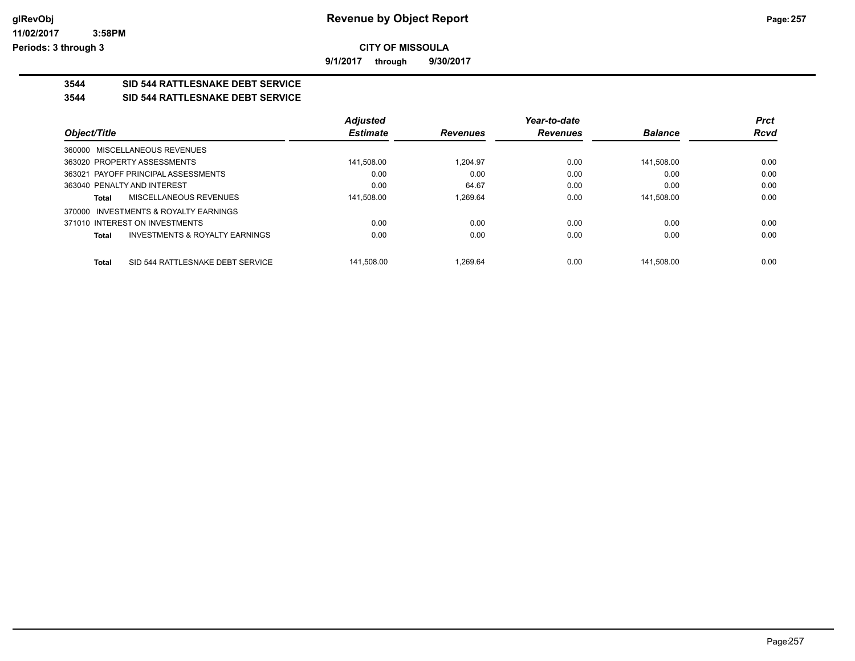**9/1/2017 through 9/30/2017**

# **3544 SID 544 RATTLESNAKE DEBT SERVICE**

# **3544 SID 544 RATTLESNAKE DEBT SERVICE**

|                                                    | <b>Adjusted</b> |                 | Year-to-date    |                | <b>Prct</b> |
|----------------------------------------------------|-----------------|-----------------|-----------------|----------------|-------------|
| Object/Title                                       | <b>Estimate</b> | <b>Revenues</b> | <b>Revenues</b> | <b>Balance</b> | <b>Rcvd</b> |
| 360000 MISCELLANEOUS REVENUES                      |                 |                 |                 |                |             |
| 363020 PROPERTY ASSESSMENTS                        | 141,508.00      | 1.204.97        | 0.00            | 141,508.00     | 0.00        |
| 363021 PAYOFF PRINCIPAL ASSESSMENTS                | 0.00            | 0.00            | 0.00            | 0.00           | 0.00        |
| 363040 PENALTY AND INTEREST                        | 0.00            | 64.67           | 0.00            | 0.00           | 0.00        |
| MISCELLANEOUS REVENUES<br>Total                    | 141,508.00      | 1.269.64        | 0.00            | 141,508.00     | 0.00        |
| INVESTMENTS & ROYALTY EARNINGS<br>370000           |                 |                 |                 |                |             |
| 371010 INTEREST ON INVESTMENTS                     | 0.00            | 0.00            | 0.00            | 0.00           | 0.00        |
| <b>INVESTMENTS &amp; ROYALTY EARNINGS</b><br>Total | 0.00            | 0.00            | 0.00            | 0.00           | 0.00        |
| SID 544 RATTLESNAKE DEBT SERVICE<br><b>Total</b>   | 141.508.00      | 1.269.64        | 0.00            | 141.508.00     | 0.00        |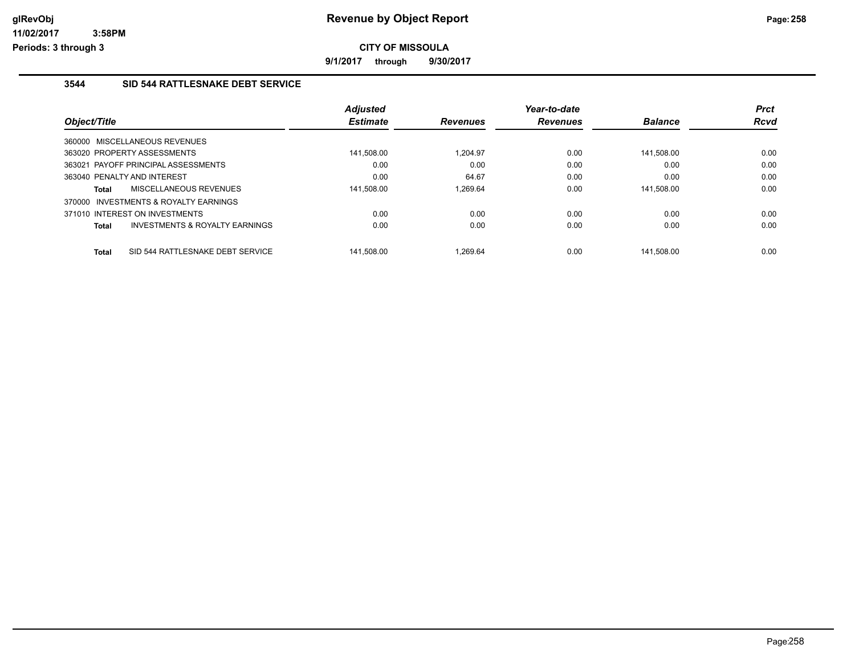**9/1/2017 through 9/30/2017**

# **3544 SID 544 RATTLESNAKE DEBT SERVICE**

|              |                                       | <b>Adjusted</b> |                 | Year-to-date    |                | <b>Prct</b> |
|--------------|---------------------------------------|-----------------|-----------------|-----------------|----------------|-------------|
| Object/Title |                                       | <b>Estimate</b> | <b>Revenues</b> | <b>Revenues</b> | <b>Balance</b> | <b>Rcvd</b> |
|              | 360000 MISCELLANEOUS REVENUES         |                 |                 |                 |                |             |
|              | 363020 PROPERTY ASSESSMENTS           | 141,508.00      | 1.204.97        | 0.00            | 141,508.00     | 0.00        |
|              | 363021 PAYOFF PRINCIPAL ASSESSMENTS   | 0.00            | 0.00            | 0.00            | 0.00           | 0.00        |
|              | 363040 PENALTY AND INTEREST           | 0.00            | 64.67           | 0.00            | 0.00           | 0.00        |
| <b>Total</b> | MISCELLANEOUS REVENUES                | 141.508.00      | 1.269.64        | 0.00            | 141.508.00     | 0.00        |
|              | 370000 INVESTMENTS & ROYALTY EARNINGS |                 |                 |                 |                |             |
|              | 371010 INTEREST ON INVESTMENTS        | 0.00            | 0.00            | 0.00            | 0.00           | 0.00        |
| Total        | INVESTMENTS & ROYALTY EARNINGS        | 0.00            | 0.00            | 0.00            | 0.00           | 0.00        |
| <b>Total</b> | SID 544 RATTLESNAKE DEBT SERVICE      | 141.508.00      | .269.64         | 0.00            | 141.508.00     | 0.00        |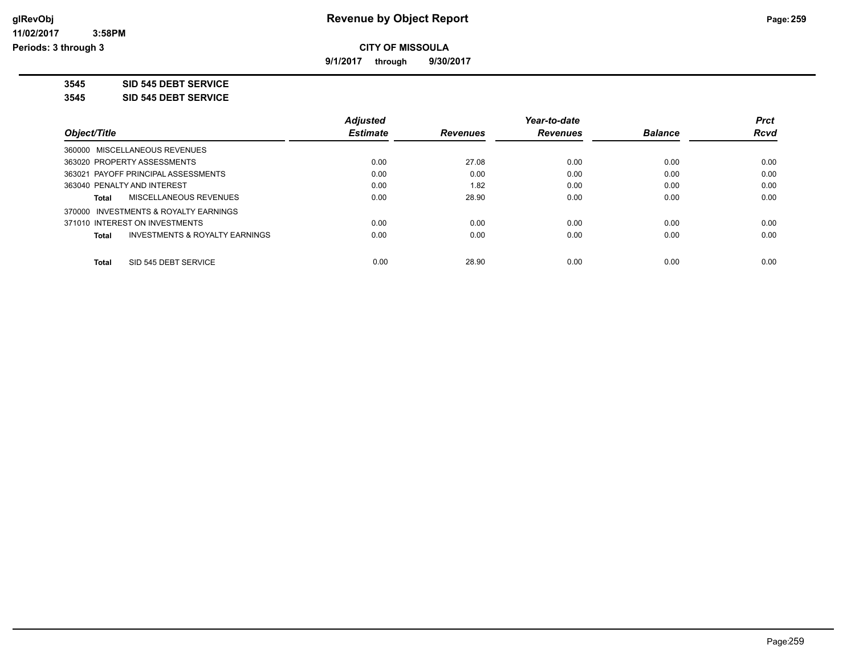**9/1/2017 through 9/30/2017**

**3545 SID 545 DEBT SERVICE**

**3545 SID 545 DEBT SERVICE**

|                                                    | <b>Adjusted</b> |                 | Year-to-date    |                | <b>Prct</b> |
|----------------------------------------------------|-----------------|-----------------|-----------------|----------------|-------------|
| Object/Title                                       | <b>Estimate</b> | <b>Revenues</b> | <b>Revenues</b> | <b>Balance</b> | <b>Rcvd</b> |
| 360000 MISCELLANEOUS REVENUES                      |                 |                 |                 |                |             |
| 363020 PROPERTY ASSESSMENTS                        | 0.00            | 27.08           | 0.00            | 0.00           | 0.00        |
| 363021 PAYOFF PRINCIPAL ASSESSMENTS                | 0.00            | 0.00            | 0.00            | 0.00           | 0.00        |
| 363040 PENALTY AND INTEREST                        | 0.00            | 1.82            | 0.00            | 0.00           | 0.00        |
| MISCELLANEOUS REVENUES<br>Total                    | 0.00            | 28.90           | 0.00            | 0.00           | 0.00        |
| 370000 INVESTMENTS & ROYALTY EARNINGS              |                 |                 |                 |                |             |
| 371010 INTEREST ON INVESTMENTS                     | 0.00            | 0.00            | 0.00            | 0.00           | 0.00        |
| <b>INVESTMENTS &amp; ROYALTY EARNINGS</b><br>Total | 0.00            | 0.00            | 0.00            | 0.00           | 0.00        |
| SID 545 DEBT SERVICE<br><b>Total</b>               | 0.00            | 28.90           | 0.00            | 0.00           | 0.00        |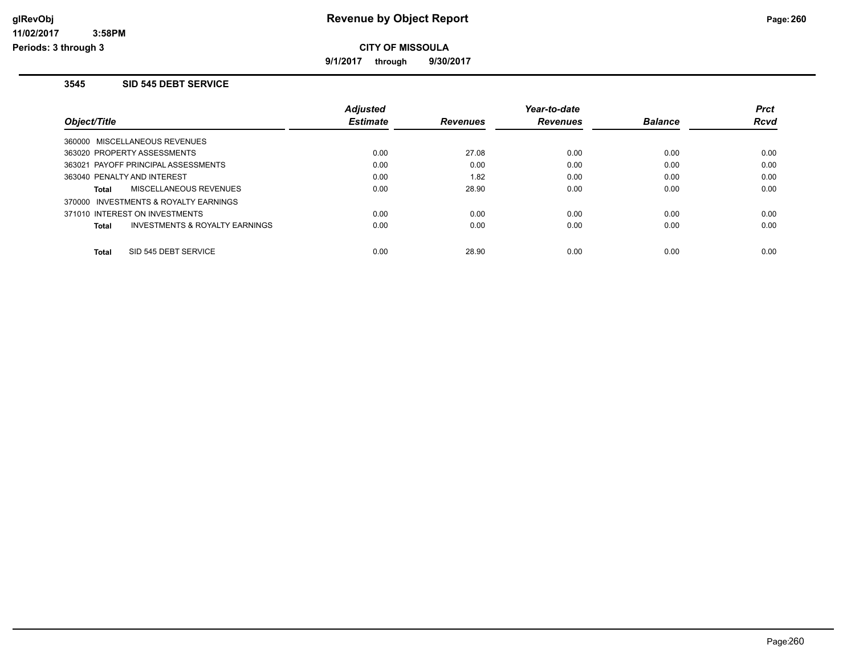**CITY OF MISSOULA**

**9/1/2017 through 9/30/2017**

#### **3545 SID 545 DEBT SERVICE**

 **3:58PM**

|                                         | <b>Adjusted</b> |                 | Year-to-date    |                | <b>Prct</b> |
|-----------------------------------------|-----------------|-----------------|-----------------|----------------|-------------|
| Object/Title                            | <b>Estimate</b> | <b>Revenues</b> | <b>Revenues</b> | <b>Balance</b> | Rcvd        |
| 360000 MISCELLANEOUS REVENUES           |                 |                 |                 |                |             |
| 363020 PROPERTY ASSESSMENTS             | 0.00            | 27.08           | 0.00            | 0.00           | 0.00        |
| 363021 PAYOFF PRINCIPAL ASSESSMENTS     | 0.00            | 0.00            | 0.00            | 0.00           | 0.00        |
| 363040 PENALTY AND INTEREST             | 0.00            | 1.82            | 0.00            | 0.00           | 0.00        |
| MISCELLANEOUS REVENUES<br>Total         | 0.00            | 28.90           | 0.00            | 0.00           | 0.00        |
| 370000 INVESTMENTS & ROYALTY EARNINGS   |                 |                 |                 |                |             |
| 371010 INTEREST ON INVESTMENTS          | 0.00            | 0.00            | 0.00            | 0.00           | 0.00        |
| INVESTMENTS & ROYALTY EARNINGS<br>Total | 0.00            | 0.00            | 0.00            | 0.00           | 0.00        |
| SID 545 DEBT SERVICE<br><b>Total</b>    | 0.00            | 28.90           | 0.00            | 0.00           | 0.00        |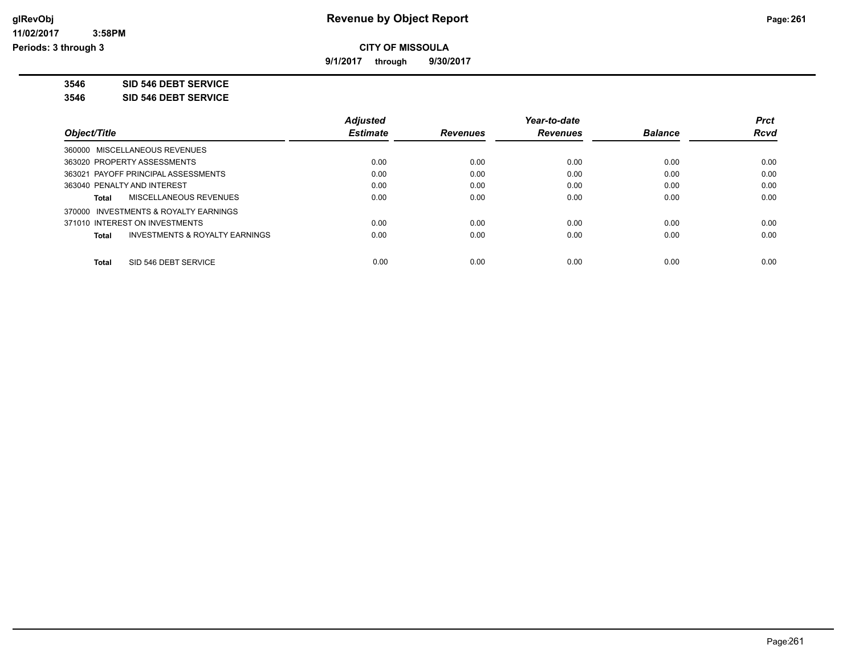**9/1/2017 through 9/30/2017**

**3546 SID 546 DEBT SERVICE**

**3546 SID 546 DEBT SERVICE**

|                                                    | <b>Adjusted</b> |                 | Year-to-date    |                | <b>Prct</b> |
|----------------------------------------------------|-----------------|-----------------|-----------------|----------------|-------------|
| Object/Title                                       | <b>Estimate</b> | <b>Revenues</b> | <b>Revenues</b> | <b>Balance</b> | <b>Rcvd</b> |
| 360000 MISCELLANEOUS REVENUES                      |                 |                 |                 |                |             |
| 363020 PROPERTY ASSESSMENTS                        | 0.00            | 0.00            | 0.00            | 0.00           | 0.00        |
| 363021 PAYOFF PRINCIPAL ASSESSMENTS                | 0.00            | 0.00            | 0.00            | 0.00           | 0.00        |
| 363040 PENALTY AND INTEREST                        | 0.00            | 0.00            | 0.00            | 0.00           | 0.00        |
| MISCELLANEOUS REVENUES<br>Total                    | 0.00            | 0.00            | 0.00            | 0.00           | 0.00        |
| 370000 INVESTMENTS & ROYALTY EARNINGS              |                 |                 |                 |                |             |
| 371010 INTEREST ON INVESTMENTS                     | 0.00            | 0.00            | 0.00            | 0.00           | 0.00        |
| <b>INVESTMENTS &amp; ROYALTY EARNINGS</b><br>Total | 0.00            | 0.00            | 0.00            | 0.00           | 0.00        |
| SID 546 DEBT SERVICE<br>Total                      | 0.00            | 0.00            | 0.00            | 0.00           | 0.00        |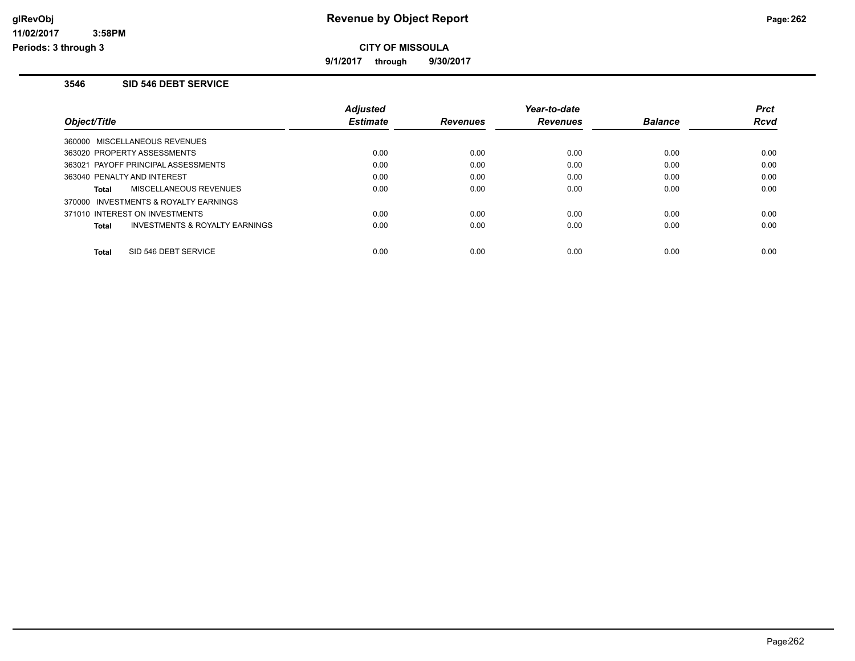**CITY OF MISSOULA**

**9/1/2017 through 9/30/2017**

#### **3546 SID 546 DEBT SERVICE**

 **3:58PM**

|                                                           | <b>Adjusted</b> |                 | Year-to-date    |                | <b>Prct</b> |
|-----------------------------------------------------------|-----------------|-----------------|-----------------|----------------|-------------|
| Object/Title                                              | <b>Estimate</b> | <b>Revenues</b> | <b>Revenues</b> | <b>Balance</b> | <b>Rcvd</b> |
| 360000 MISCELLANEOUS REVENUES                             |                 |                 |                 |                |             |
| 363020 PROPERTY ASSESSMENTS                               | 0.00            | 0.00            | 0.00            | 0.00           | 0.00        |
| 363021 PAYOFF PRINCIPAL ASSESSMENTS                       | 0.00            | 0.00            | 0.00            | 0.00           | 0.00        |
| 363040 PENALTY AND INTEREST                               | 0.00            | 0.00            | 0.00            | 0.00           | 0.00        |
| MISCELLANEOUS REVENUES<br>Total                           | 0.00            | 0.00            | 0.00            | 0.00           | 0.00        |
| 370000 INVESTMENTS & ROYALTY EARNINGS                     |                 |                 |                 |                |             |
| 371010 INTEREST ON INVESTMENTS                            | 0.00            | 0.00            | 0.00            | 0.00           | 0.00        |
| <b>INVESTMENTS &amp; ROYALTY EARNINGS</b><br><b>Total</b> | 0.00            | 0.00            | 0.00            | 0.00           | 0.00        |
| SID 546 DEBT SERVICE<br><b>Total</b>                      | 0.00            | 0.00            | 0.00            | 0.00           | 0.00        |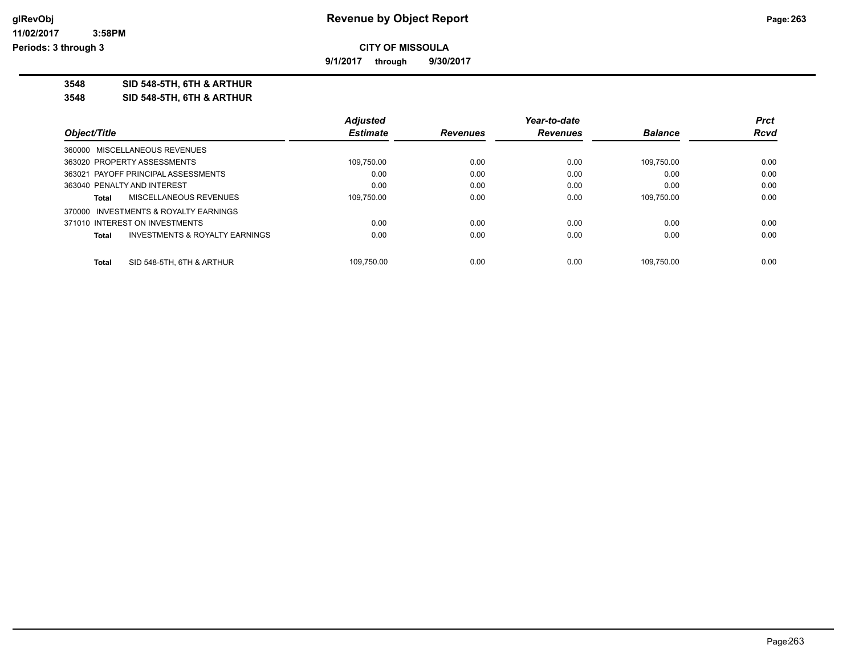**9/1/2017 through 9/30/2017**

**3548 SID 548-5TH, 6TH & ARTHUR**

**3548 SID 548-5TH, 6TH & ARTHUR**

|                                                    | <b>Adjusted</b> |                 | Year-to-date    |                | <b>Prct</b> |
|----------------------------------------------------|-----------------|-----------------|-----------------|----------------|-------------|
| Object/Title                                       | <b>Estimate</b> | <b>Revenues</b> | <b>Revenues</b> | <b>Balance</b> | Rcvd        |
| 360000 MISCELLANEOUS REVENUES                      |                 |                 |                 |                |             |
| 363020 PROPERTY ASSESSMENTS                        | 109.750.00      | 0.00            | 0.00            | 109.750.00     | 0.00        |
| 363021 PAYOFF PRINCIPAL ASSESSMENTS                | 0.00            | 0.00            | 0.00            | 0.00           | 0.00        |
| 363040 PENALTY AND INTEREST                        | 0.00            | 0.00            | 0.00            | 0.00           | 0.00        |
| MISCELLANEOUS REVENUES<br>Total                    | 109.750.00      | 0.00            | 0.00            | 109.750.00     | 0.00        |
| 370000 INVESTMENTS & ROYALTY EARNINGS              |                 |                 |                 |                |             |
| 371010 INTEREST ON INVESTMENTS                     | 0.00            | 0.00            | 0.00            | 0.00           | 0.00        |
| <b>INVESTMENTS &amp; ROYALTY EARNINGS</b><br>Total | 0.00            | 0.00            | 0.00            | 0.00           | 0.00        |
| SID 548-5TH, 6TH & ARTHUR<br>Total                 | 109.750.00      | 0.00            | 0.00            | 109.750.00     | 0.00        |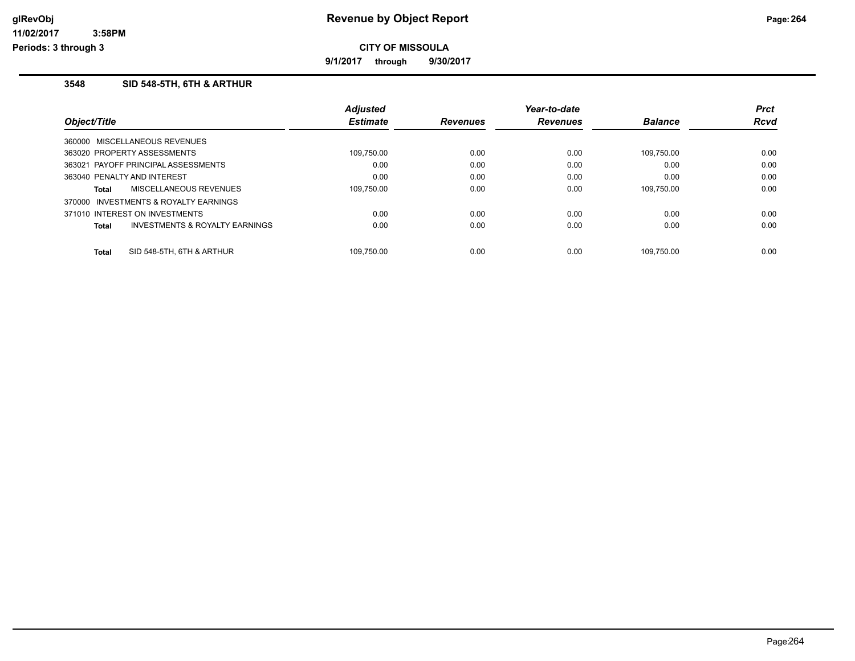**9/1/2017 through 9/30/2017**

# **3548 SID 548-5TH, 6TH & ARTHUR**

|                             |                                           | <b>Adjusted</b> |                 | Year-to-date    |                | <b>Prct</b> |
|-----------------------------|-------------------------------------------|-----------------|-----------------|-----------------|----------------|-------------|
| Object/Title                |                                           | <b>Estimate</b> | <b>Revenues</b> | <b>Revenues</b> | <b>Balance</b> | <b>Rcvd</b> |
|                             | 360000 MISCELLANEOUS REVENUES             |                 |                 |                 |                |             |
| 363020 PROPERTY ASSESSMENTS |                                           | 109,750.00      | 0.00            | 0.00            | 109.750.00     | 0.00        |
|                             | 363021 PAYOFF PRINCIPAL ASSESSMENTS       | 0.00            | 0.00            | 0.00            | 0.00           | 0.00        |
| 363040 PENALTY AND INTEREST |                                           | 0.00            | 0.00            | 0.00            | 0.00           | 0.00        |
| Total                       | MISCELLANEOUS REVENUES                    | 109,750.00      | 0.00            | 0.00            | 109.750.00     | 0.00        |
|                             | 370000 INVESTMENTS & ROYALTY EARNINGS     |                 |                 |                 |                |             |
|                             | 371010 INTEREST ON INVESTMENTS            | 0.00            | 0.00            | 0.00            | 0.00           | 0.00        |
| Total                       | <b>INVESTMENTS &amp; ROYALTY EARNINGS</b> | 0.00            | 0.00            | 0.00            | 0.00           | 0.00        |
| <b>Total</b>                | SID 548-5TH, 6TH & ARTHUR                 | 109.750.00      | 0.00            | 0.00            | 109.750.00     | 0.00        |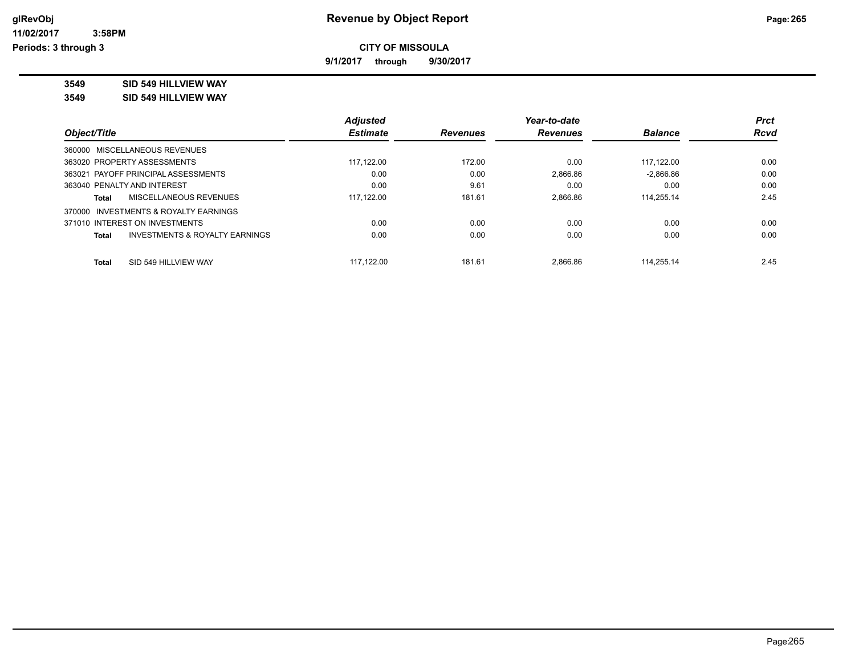**9/1/2017 through 9/30/2017**

#### **3549 SID 549 HILLVIEW WAY**

#### **3549 SID 549 HILLVIEW WAY**

|                                                    | <b>Adjusted</b> |                 | Year-to-date    |                | <b>Prct</b> |
|----------------------------------------------------|-----------------|-----------------|-----------------|----------------|-------------|
| Object/Title                                       | <b>Estimate</b> | <b>Revenues</b> | <b>Revenues</b> | <b>Balance</b> | <b>Rcvd</b> |
| 360000 MISCELLANEOUS REVENUES                      |                 |                 |                 |                |             |
| 363020 PROPERTY ASSESSMENTS                        | 117.122.00      | 172.00          | 0.00            | 117.122.00     | 0.00        |
| 363021 PAYOFF PRINCIPAL ASSESSMENTS                | 0.00            | 0.00            | 2.866.86        | $-2.866.86$    | 0.00        |
| 363040 PENALTY AND INTEREST                        | 0.00            | 9.61            | 0.00            | 0.00           | 0.00        |
| MISCELLANEOUS REVENUES<br>Total                    | 117.122.00      | 181.61          | 2,866.86        | 114.255.14     | 2.45        |
| 370000 INVESTMENTS & ROYALTY EARNINGS              |                 |                 |                 |                |             |
| 371010 INTEREST ON INVESTMENTS                     | 0.00            | 0.00            | 0.00            | 0.00           | 0.00        |
| <b>INVESTMENTS &amp; ROYALTY EARNINGS</b><br>Total | 0.00            | 0.00            | 0.00            | 0.00           | 0.00        |
|                                                    |                 |                 |                 |                |             |
| SID 549 HILLVIEW WAY<br><b>Total</b>               | 117.122.00      | 181.61          | 2.866.86        | 114.255.14     | 2.45        |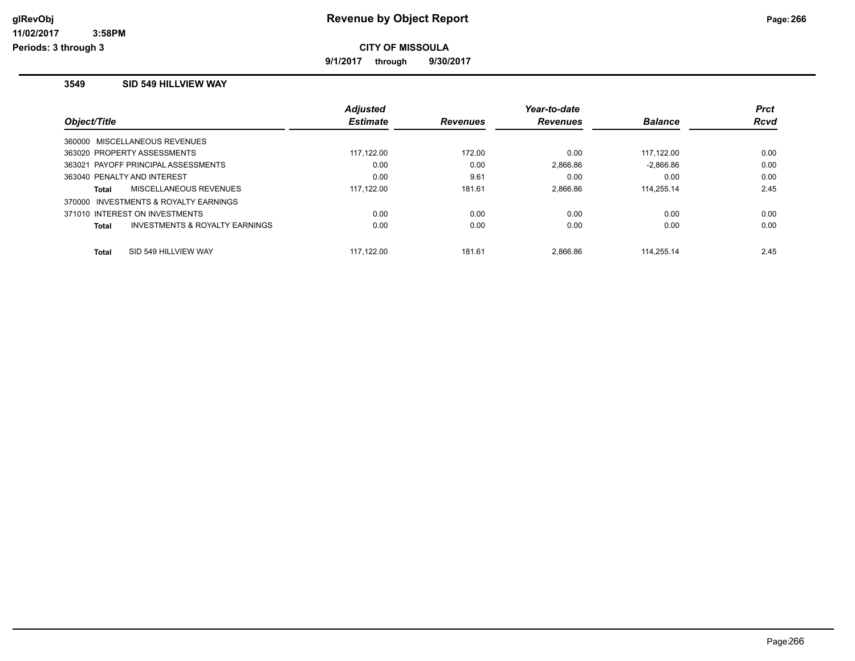**9/1/2017 through 9/30/2017**

#### **3549 SID 549 HILLVIEW WAY**

|                                                     |  | <b>Adjusted</b> |                 | Year-to-date    |                | <b>Prct</b> |
|-----------------------------------------------------|--|-----------------|-----------------|-----------------|----------------|-------------|
| Object/Title                                        |  | <b>Estimate</b> | <b>Revenues</b> | <b>Revenues</b> | <b>Balance</b> | <b>Rcvd</b> |
| 360000 MISCELLANEOUS REVENUES                       |  |                 |                 |                 |                |             |
| 363020 PROPERTY ASSESSMENTS                         |  | 117.122.00      | 172.00          | 0.00            | 117.122.00     | 0.00        |
| 363021 PAYOFF PRINCIPAL ASSESSMENTS                 |  | 0.00            | 0.00            | 2,866.86        | $-2,866.86$    | 0.00        |
| 363040 PENALTY AND INTEREST                         |  | 0.00            | 9.61            | 0.00            | 0.00           | 0.00        |
| MISCELLANEOUS REVENUES<br><b>Total</b>              |  | 117.122.00      | 181.61          | 2.866.86        | 114.255.14     | 2.45        |
| <b>INVESTMENTS &amp; ROYALTY EARNINGS</b><br>370000 |  |                 |                 |                 |                |             |
| 371010 INTEREST ON INVESTMENTS                      |  | 0.00            | 0.00            | 0.00            | 0.00           | 0.00        |
| INVESTMENTS & ROYALTY EARNINGS<br><b>Total</b>      |  | 0.00            | 0.00            | 0.00            | 0.00           | 0.00        |
| SID 549 HILLVIEW WAY<br><b>Total</b>                |  | 117.122.00      | 181.61          | 2.866.86        | 114.255.14     | 2.45        |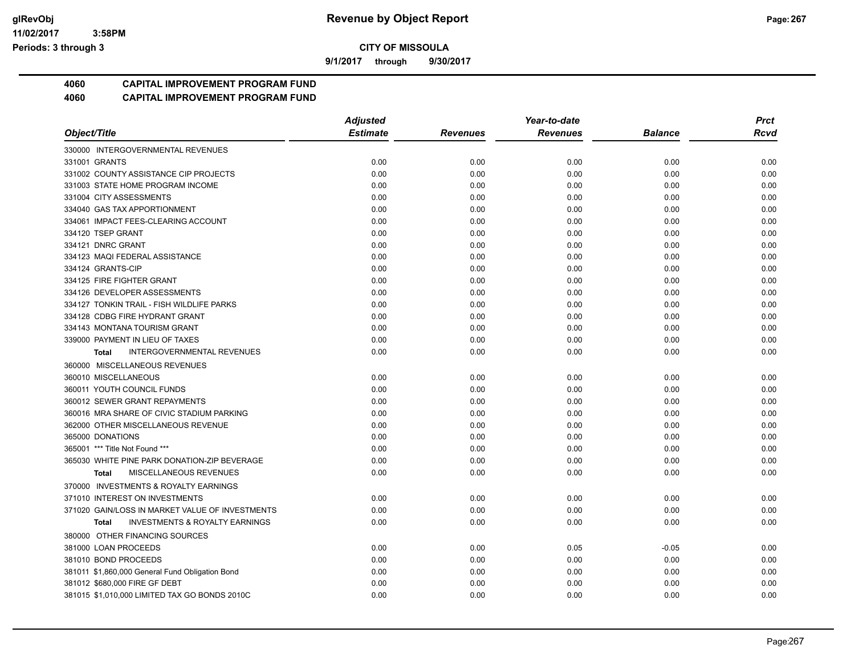**11/02/2017 3:58PM Periods: 3 through 3**

**CITY OF MISSOULA**

**9/1/2017 through 9/30/2017**

# **4060 CAPITAL IMPROVEMENT PROGRAM FUND**

|                                                    | <b>Adjusted</b> |                 | Year-to-date    |                | <b>Prct</b> |
|----------------------------------------------------|-----------------|-----------------|-----------------|----------------|-------------|
| Object/Title                                       | <b>Estimate</b> | <b>Revenues</b> | <b>Revenues</b> | <b>Balance</b> | <b>Rcvd</b> |
| 330000 INTERGOVERNMENTAL REVENUES                  |                 |                 |                 |                |             |
| 331001 GRANTS                                      | 0.00            | 0.00            | 0.00            | 0.00           | 0.00        |
| 331002 COUNTY ASSISTANCE CIP PROJECTS              | 0.00            | 0.00            | 0.00            | 0.00           | 0.00        |
| 331003 STATE HOME PROGRAM INCOME                   | 0.00            | 0.00            | 0.00            | 0.00           | 0.00        |
| 331004 CITY ASSESSMENTS                            | 0.00            | 0.00            | 0.00            | 0.00           | 0.00        |
| 334040 GAS TAX APPORTIONMENT                       | 0.00            | 0.00            | 0.00            | 0.00           | 0.00        |
| 334061 IMPACT FEES-CLEARING ACCOUNT                | 0.00            | 0.00            | 0.00            | 0.00           | 0.00        |
| 334120 TSEP GRANT                                  | 0.00            | 0.00            | 0.00            | 0.00           | 0.00        |
| 334121 DNRC GRANT                                  | 0.00            | 0.00            | 0.00            | 0.00           | 0.00        |
| 334123 MAQI FEDERAL ASSISTANCE                     | 0.00            | 0.00            | 0.00            | 0.00           | 0.00        |
| 334124 GRANTS-CIP                                  | 0.00            | 0.00            | 0.00            | 0.00           | 0.00        |
| 334125 FIRE FIGHTER GRANT                          | 0.00            | 0.00            | 0.00            | 0.00           | 0.00        |
| 334126 DEVELOPER ASSESSMENTS                       | 0.00            | 0.00            | 0.00            | 0.00           | 0.00        |
| 334127 TONKIN TRAIL - FISH WILDLIFE PARKS          | 0.00            | 0.00            | 0.00            | 0.00           | 0.00        |
| 334128 CDBG FIRE HYDRANT GRANT                     | 0.00            | 0.00            | 0.00            | 0.00           | 0.00        |
| 334143 MONTANA TOURISM GRANT                       | 0.00            | 0.00            | 0.00            | 0.00           | 0.00        |
| 339000 PAYMENT IN LIEU OF TAXES                    | 0.00            | 0.00            | 0.00            | 0.00           | 0.00        |
| <b>INTERGOVERNMENTAL REVENUES</b><br><b>Total</b>  | 0.00            | 0.00            | 0.00            | 0.00           | 0.00        |
| 360000 MISCELLANEOUS REVENUES                      |                 |                 |                 |                |             |
| 360010 MISCELLANEOUS                               | 0.00            | 0.00            | 0.00            | 0.00           | 0.00        |
| 360011 YOUTH COUNCIL FUNDS                         | 0.00            | 0.00            | 0.00            | 0.00           | 0.00        |
| 360012 SEWER GRANT REPAYMENTS                      | 0.00            | 0.00            | 0.00            | 0.00           | 0.00        |
| 360016 MRA SHARE OF CIVIC STADIUM PARKING          | 0.00            | 0.00            | 0.00            | 0.00           | 0.00        |
| 362000 OTHER MISCELLANEOUS REVENUE                 | 0.00            | 0.00            | 0.00            | 0.00           | 0.00        |
| 365000 DONATIONS                                   | 0.00            | 0.00            | 0.00            | 0.00           | 0.00        |
| 365001 *** Title Not Found ***                     | 0.00            | 0.00            | 0.00            | 0.00           | 0.00        |
| 365030 WHITE PINE PARK DONATION-ZIP BEVERAGE       | 0.00            | 0.00            | 0.00            | 0.00           | 0.00        |
| MISCELLANEOUS REVENUES<br>Total                    | 0.00            | 0.00            | 0.00            | 0.00           | 0.00        |
| 370000 INVESTMENTS & ROYALTY EARNINGS              |                 |                 |                 |                |             |
| 371010 INTEREST ON INVESTMENTS                     | 0.00            | 0.00            | 0.00            | 0.00           | 0.00        |
| 371020 GAIN/LOSS IN MARKET VALUE OF INVESTMENTS    | 0.00            | 0.00            | 0.00            | 0.00           | 0.00        |
| <b>INVESTMENTS &amp; ROYALTY EARNINGS</b><br>Total | 0.00            | 0.00            | 0.00            | 0.00           | 0.00        |
| 380000 OTHER FINANCING SOURCES                     |                 |                 |                 |                |             |
| 381000 LOAN PROCEEDS                               | 0.00            | 0.00            | 0.05            | $-0.05$        | 0.00        |
| 381010 BOND PROCEEDS                               | 0.00            | 0.00            | 0.00            | 0.00           | 0.00        |
| 381011 \$1,860,000 General Fund Obligation Bond    | 0.00            | 0.00            | 0.00            | 0.00           | 0.00        |
| 381012 \$680,000 FIRE GF DEBT                      | 0.00            | 0.00            | 0.00            | 0.00           | 0.00        |
| 381015 \$1,010,000 LIMITED TAX GO BONDS 2010C      | 0.00            | 0.00            | 0.00            | 0.00           | 0.00        |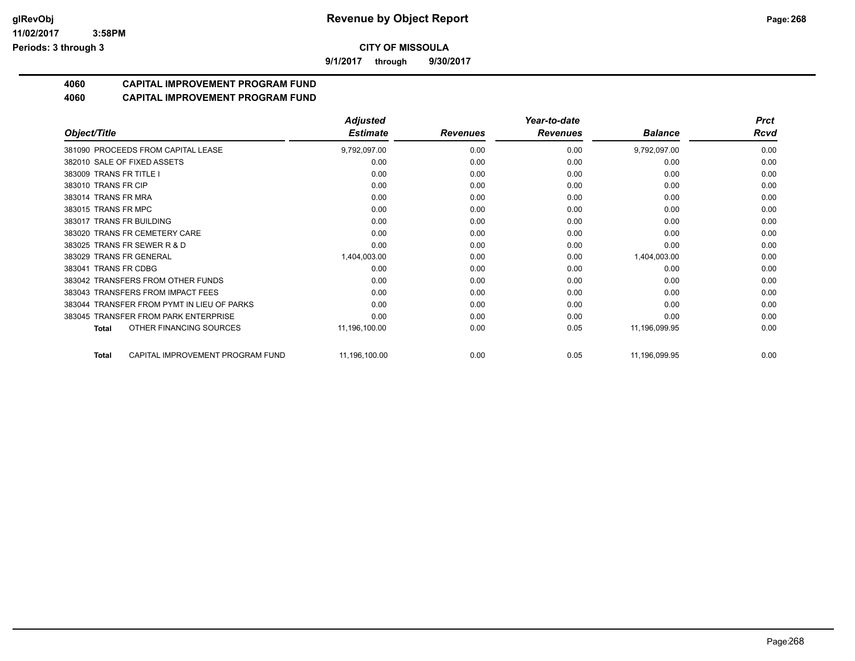**3:58PM**

**CITY OF MISSOULA**

**9/1/2017 through 9/30/2017**

# **4060 CAPITAL IMPROVEMENT PROGRAM FUND**

|                                            | <b>Adjusted</b> |                 | Year-to-date    |                | <b>Prct</b> |
|--------------------------------------------|-----------------|-----------------|-----------------|----------------|-------------|
| Object/Title                               | <b>Estimate</b> | <b>Revenues</b> | <b>Revenues</b> | <b>Balance</b> | Rcvd        |
| 381090 PROCEEDS FROM CAPITAL LEASE         | 9,792,097.00    | 0.00            | 0.00            | 9,792,097.00   | 0.00        |
| 382010 SALE OF FIXED ASSETS                | 0.00            | 0.00            | 0.00            | 0.00           | 0.00        |
| 383009 TRANS FR TITLE I                    | 0.00            | 0.00            | 0.00            | 0.00           | 0.00        |
| 383010 TRANS FR CIP                        | 0.00            | 0.00            | 0.00            | 0.00           | 0.00        |
| 383014 TRANS FR MRA                        | 0.00            | 0.00            | 0.00            | 0.00           | 0.00        |
| 383015 TRANS FR MPC                        | 0.00            | 0.00            | 0.00            | 0.00           | 0.00        |
| 383017 TRANS FR BUILDING                   | 0.00            | 0.00            | 0.00            | 0.00           | 0.00        |
| 383020 TRANS FR CEMETERY CARE              | 0.00            | 0.00            | 0.00            | 0.00           | 0.00        |
| 383025 TRANS FR SEWER R & D                | 0.00            | 0.00            | 0.00            | 0.00           | 0.00        |
| 383029 TRANS FR GENERAL                    | 1,404,003.00    | 0.00            | 0.00            | 1,404,003.00   | 0.00        |
| <b>TRANS FR CDBG</b><br>383041             | 0.00            | 0.00            | 0.00            | 0.00           | 0.00        |
| 383042 TRANSFERS FROM OTHER FUNDS          | 0.00            | 0.00            | 0.00            | 0.00           | 0.00        |
| 383043 TRANSFERS FROM IMPACT FEES          | 0.00            | 0.00            | 0.00            | 0.00           | 0.00        |
| 383044 TRANSFER FROM PYMT IN LIEU OF PARKS | 0.00            | 0.00            | 0.00            | 0.00           | 0.00        |
| 383045 TRANSFER FROM PARK ENTERPRISE       | 0.00            | 0.00            | 0.00            | 0.00           | 0.00        |
| OTHER FINANCING SOURCES<br><b>Total</b>    | 11,196,100.00   | 0.00            | 0.05            | 11,196,099.95  | 0.00        |
| CAPITAL IMPROVEMENT PROGRAM FUND<br>Total  | 11,196,100.00   | 0.00            | 0.05            | 11,196,099.95  | 0.00        |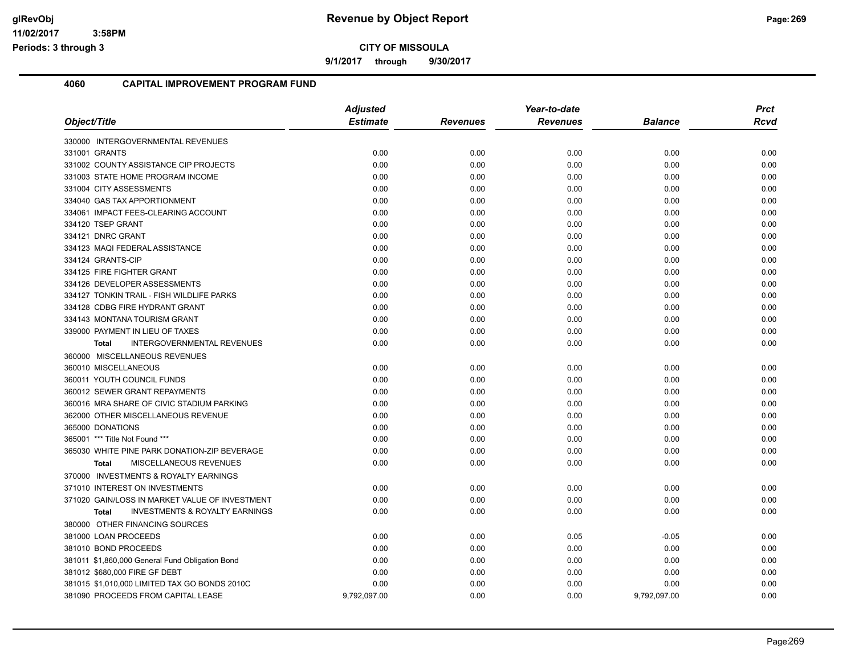**3:58PM**

**CITY OF MISSOULA**

**9/1/2017 through 9/30/2017**

|                                                           | <b>Adjusted</b> |                 | Year-to-date    |                | <b>Prct</b> |
|-----------------------------------------------------------|-----------------|-----------------|-----------------|----------------|-------------|
| Object/Title                                              | <b>Estimate</b> | <b>Revenues</b> | <b>Revenues</b> | <b>Balance</b> | <b>Rcvd</b> |
| 330000 INTERGOVERNMENTAL REVENUES                         |                 |                 |                 |                |             |
| 331001 GRANTS                                             | 0.00            | 0.00            | 0.00            | 0.00           | 0.00        |
| 331002 COUNTY ASSISTANCE CIP PROJECTS                     | 0.00            | 0.00            | 0.00            | 0.00           | 0.00        |
| 331003 STATE HOME PROGRAM INCOME                          | 0.00            | 0.00            | 0.00            | 0.00           | 0.00        |
| 331004 CITY ASSESSMENTS                                   | 0.00            | 0.00            | 0.00            | 0.00           | 0.00        |
| 334040 GAS TAX APPORTIONMENT                              | 0.00            | 0.00            | 0.00            | 0.00           | 0.00        |
| 334061 IMPACT FEES-CLEARING ACCOUNT                       | 0.00            | 0.00            | 0.00            | 0.00           | 0.00        |
| 334120 TSEP GRANT                                         | 0.00            | 0.00            | 0.00            | 0.00           | 0.00        |
| 334121 DNRC GRANT                                         | 0.00            | 0.00            | 0.00            | 0.00           | 0.00        |
| 334123 MAQI FEDERAL ASSISTANCE                            | 0.00            | 0.00            | 0.00            | 0.00           | 0.00        |
| 334124 GRANTS-CIP                                         | 0.00            | 0.00            | 0.00            | 0.00           | 0.00        |
| 334125 FIRE FIGHTER GRANT                                 | 0.00            | 0.00            | 0.00            | 0.00           | 0.00        |
| 334126 DEVELOPER ASSESSMENTS                              | 0.00            | 0.00            | 0.00            | 0.00           | 0.00        |
| 334127 TONKIN TRAIL - FISH WILDLIFE PARKS                 | 0.00            | 0.00            | 0.00            | 0.00           | 0.00        |
| 334128 CDBG FIRE HYDRANT GRANT                            | 0.00            | 0.00            | 0.00            | 0.00           | 0.00        |
| 334143 MONTANA TOURISM GRANT                              | 0.00            | 0.00            | 0.00            | 0.00           | 0.00        |
| 339000 PAYMENT IN LIEU OF TAXES                           | 0.00            | 0.00            | 0.00            | 0.00           | 0.00        |
| <b>INTERGOVERNMENTAL REVENUES</b><br><b>Total</b>         | 0.00            | 0.00            | 0.00            | 0.00           | 0.00        |
| 360000 MISCELLANEOUS REVENUES                             |                 |                 |                 |                |             |
| 360010 MISCELLANEOUS                                      | 0.00            | 0.00            | 0.00            | 0.00           | 0.00        |
| 360011 YOUTH COUNCIL FUNDS                                | 0.00            | 0.00            | 0.00            | 0.00           | 0.00        |
| 360012 SEWER GRANT REPAYMENTS                             | 0.00            | 0.00            | 0.00            | 0.00           | 0.00        |
| 360016 MRA SHARE OF CIVIC STADIUM PARKING                 | 0.00            | 0.00            | 0.00            | 0.00           | 0.00        |
| 362000 OTHER MISCELLANEOUS REVENUE                        | 0.00            | 0.00            | 0.00            | 0.00           | 0.00        |
| 365000 DONATIONS                                          | 0.00            | 0.00            | 0.00            | 0.00           | 0.00        |
| 365001 *** Title Not Found ***                            | 0.00            | 0.00            | 0.00            | 0.00           | 0.00        |
| 365030 WHITE PINE PARK DONATION-ZIP BEVERAGE              | 0.00            | 0.00            | 0.00            | 0.00           | 0.00        |
| MISCELLANEOUS REVENUES<br><b>Total</b>                    | 0.00            | 0.00            | 0.00            | 0.00           | 0.00        |
| 370000 INVESTMENTS & ROYALTY EARNINGS                     |                 |                 |                 |                |             |
| 371010 INTEREST ON INVESTMENTS                            | 0.00            | 0.00            | 0.00            | 0.00           | 0.00        |
| 371020 GAIN/LOSS IN MARKET VALUE OF INVESTMENT            | 0.00            | 0.00            | 0.00            | 0.00           | 0.00        |
| <b>INVESTMENTS &amp; ROYALTY EARNINGS</b><br><b>Total</b> | 0.00            | 0.00            | 0.00            | 0.00           | 0.00        |
| 380000 OTHER FINANCING SOURCES                            |                 |                 |                 |                |             |
| 381000 LOAN PROCEEDS                                      | 0.00            | 0.00            | 0.05            | $-0.05$        | 0.00        |
| 381010 BOND PROCEEDS                                      | 0.00            | 0.00            | 0.00            | 0.00           | 0.00        |
| 381011 \$1,860,000 General Fund Obligation Bond           | 0.00            | 0.00            | 0.00            | 0.00           | 0.00        |
| 381012 \$680,000 FIRE GF DEBT                             | 0.00            | 0.00            | 0.00            | 0.00           | 0.00        |
| 381015 \$1,010,000 LIMITED TAX GO BONDS 2010C             | 0.00            | 0.00            | 0.00            | 0.00           | 0.00        |
| 381090 PROCEEDS FROM CAPITAL LEASE                        | 9.792.097.00    | 0.00            | 0.00            | 9,792,097.00   | 0.00        |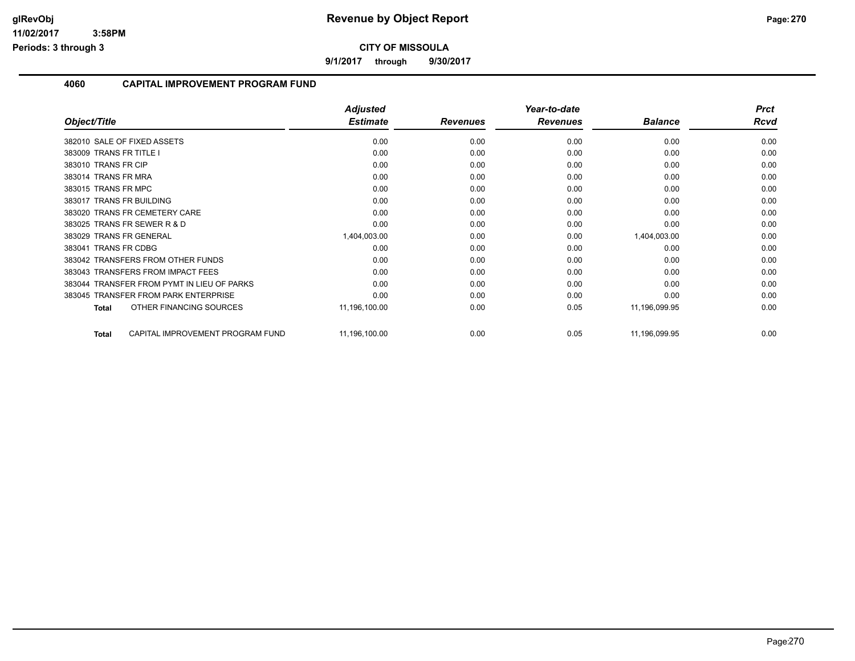**3:58PM**

**CITY OF MISSOULA**

**9/1/2017 through 9/30/2017**

|                                            | <b>Adjusted</b> |                 | Year-to-date    |                | <b>Prct</b> |
|--------------------------------------------|-----------------|-----------------|-----------------|----------------|-------------|
| Object/Title                               | <b>Estimate</b> | <b>Revenues</b> | <b>Revenues</b> | <b>Balance</b> | Rcvd        |
| 382010 SALE OF FIXED ASSETS                | 0.00            | 0.00            | 0.00            | 0.00           | 0.00        |
| 383009 TRANS FR TITLE I                    | 0.00            | 0.00            | 0.00            | 0.00           | 0.00        |
| 383010 TRANS FR CIP                        | 0.00            | 0.00            | 0.00            | 0.00           | 0.00        |
| 383014 TRANS FR MRA                        | 0.00            | 0.00            | 0.00            | 0.00           | 0.00        |
| 383015 TRANS FR MPC                        | 0.00            | 0.00            | 0.00            | 0.00           | 0.00        |
| 383017 TRANS FR BUILDING                   | 0.00            | 0.00            | 0.00            | 0.00           | 0.00        |
| 383020 TRANS FR CEMETERY CARE              | 0.00            | 0.00            | 0.00            | 0.00           | 0.00        |
| 383025 TRANS FR SEWER R & D                | 0.00            | 0.00            | 0.00            | 0.00           | 0.00        |
| 383029 TRANS FR GENERAL                    | 1,404,003.00    | 0.00            | 0.00            | 1,404,003.00   | 0.00        |
| 383041 TRANS FR CDBG                       | 0.00            | 0.00            | 0.00            | 0.00           | 0.00        |
| 383042 TRANSFERS FROM OTHER FUNDS          | 0.00            | 0.00            | 0.00            | 0.00           | 0.00        |
| 383043 TRANSFERS FROM IMPACT FEES          | 0.00            | 0.00            | 0.00            | 0.00           | 0.00        |
| 383044 TRANSFER FROM PYMT IN LIEU OF PARKS | 0.00            | 0.00            | 0.00            | 0.00           | 0.00        |
| 383045 TRANSFER FROM PARK ENTERPRISE       | 0.00            | 0.00            | 0.00            | 0.00           | 0.00        |
| OTHER FINANCING SOURCES<br><b>Total</b>    | 11,196,100.00   | 0.00            | 0.05            | 11,196,099.95  | 0.00        |
| CAPITAL IMPROVEMENT PROGRAM FUND<br>Total  | 11,196,100.00   | 0.00            | 0.05            | 11,196,099.95  | 0.00        |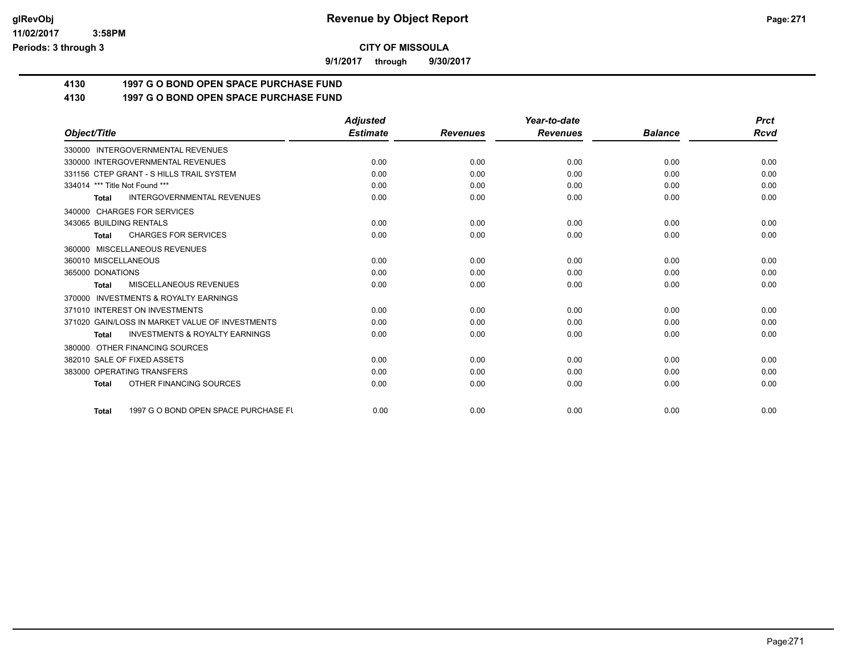**11/02/2017 3:58PM Periods: 3 through 3**

**CITY OF MISSOULA**

**9/1/2017 through 9/30/2017**

# **4130 1997 G O BOND OPEN SPACE PURCHASE FUND**

# **4130 1997 G O BOND OPEN SPACE PURCHASE FUND**

|                                                           | <b>Adjusted</b> |                 | Year-to-date    |                | <b>Prct</b> |
|-----------------------------------------------------------|-----------------|-----------------|-----------------|----------------|-------------|
| Object/Title                                              | <b>Estimate</b> | <b>Revenues</b> | <b>Revenues</b> | <b>Balance</b> | <b>Rcvd</b> |
| 330000 INTERGOVERNMENTAL REVENUES                         |                 |                 |                 |                |             |
| 330000 INTERGOVERNMENTAL REVENUES                         | 0.00            | 0.00            | 0.00            | 0.00           | 0.00        |
| 331156 CTEP GRANT - S HILLS TRAIL SYSTEM                  | 0.00            | 0.00            | 0.00            | 0.00           | 0.00        |
| 334014 *** Title Not Found ***                            | 0.00            | 0.00            | 0.00            | 0.00           | 0.00        |
| <b>INTERGOVERNMENTAL REVENUES</b><br><b>Total</b>         | 0.00            | 0.00            | 0.00            | 0.00           | 0.00        |
| 340000 CHARGES FOR SERVICES                               |                 |                 |                 |                |             |
| 343065 BUILDING RENTALS                                   | 0.00            | 0.00            | 0.00            | 0.00           | 0.00        |
| <b>CHARGES FOR SERVICES</b><br>Total                      | 0.00            | 0.00            | 0.00            | 0.00           | 0.00        |
| 360000 MISCELLANEOUS REVENUES                             |                 |                 |                 |                |             |
| 360010 MISCELLANEOUS                                      | 0.00            | 0.00            | 0.00            | 0.00           | 0.00        |
| 365000 DONATIONS                                          | 0.00            | 0.00            | 0.00            | 0.00           | 0.00        |
| MISCELLANEOUS REVENUES<br><b>Total</b>                    | 0.00            | 0.00            | 0.00            | 0.00           | 0.00        |
| <b>INVESTMENTS &amp; ROYALTY EARNINGS</b><br>370000       |                 |                 |                 |                |             |
| 371010 INTEREST ON INVESTMENTS                            | 0.00            | 0.00            | 0.00            | 0.00           | 0.00        |
| 371020 GAIN/LOSS IN MARKET VALUE OF INVESTMENTS           | 0.00            | 0.00            | 0.00            | 0.00           | 0.00        |
| <b>INVESTMENTS &amp; ROYALTY EARNINGS</b><br><b>Total</b> | 0.00            | 0.00            | 0.00            | 0.00           | 0.00        |
| OTHER FINANCING SOURCES<br>380000                         |                 |                 |                 |                |             |
| 382010 SALE OF FIXED ASSETS                               | 0.00            | 0.00            | 0.00            | 0.00           | 0.00        |
| 383000 OPERATING TRANSFERS                                | 0.00            | 0.00            | 0.00            | 0.00           | 0.00        |
| OTHER FINANCING SOURCES<br><b>Total</b>                   | 0.00            | 0.00            | 0.00            | 0.00           | 0.00        |
| 1997 G O BOND OPEN SPACE PURCHASE FU<br><b>Total</b>      | 0.00            | 0.00            | 0.00            | 0.00           | 0.00        |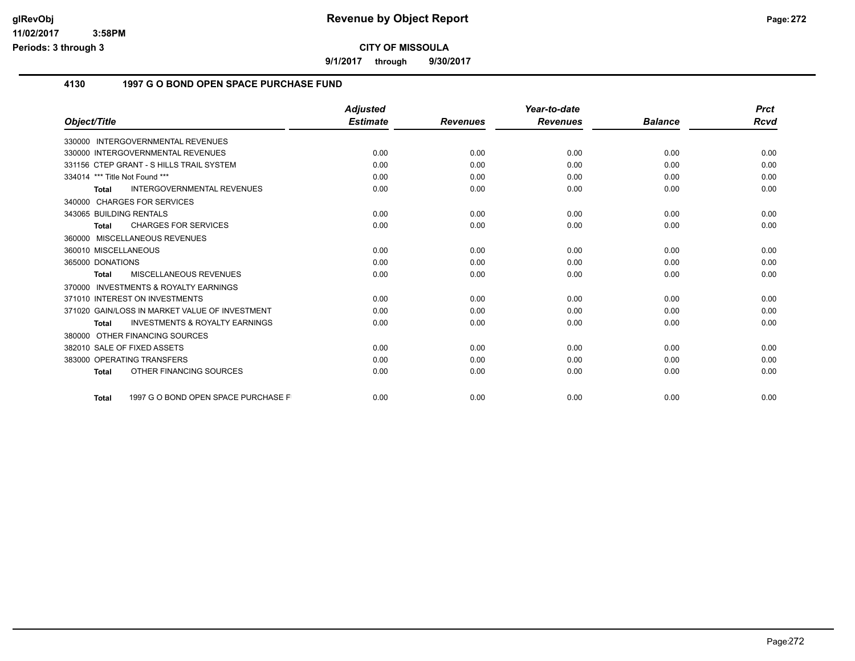**9/1/2017 through 9/30/2017**

#### **4130 1997 G O BOND OPEN SPACE PURCHASE FUND**

|                                                           | <b>Adjusted</b> |                 | Year-to-date    |                | <b>Prct</b> |
|-----------------------------------------------------------|-----------------|-----------------|-----------------|----------------|-------------|
| Object/Title                                              | <b>Estimate</b> | <b>Revenues</b> | <b>Revenues</b> | <b>Balance</b> | <b>Rcvd</b> |
| <b>INTERGOVERNMENTAL REVENUES</b><br>330000               |                 |                 |                 |                |             |
| 330000 INTERGOVERNMENTAL REVENUES                         | 0.00            | 0.00            | 0.00            | 0.00           | 0.00        |
| 331156 CTEP GRANT - S HILLS TRAIL SYSTEM                  | 0.00            | 0.00            | 0.00            | 0.00           | 0.00        |
| 334014 *** Title Not Found ***                            | 0.00            | 0.00            | 0.00            | 0.00           | 0.00        |
| <b>INTERGOVERNMENTAL REVENUES</b><br><b>Total</b>         | 0.00            | 0.00            | 0.00            | 0.00           | 0.00        |
| 340000 CHARGES FOR SERVICES                               |                 |                 |                 |                |             |
| 343065 BUILDING RENTALS                                   | 0.00            | 0.00            | 0.00            | 0.00           | 0.00        |
| <b>CHARGES FOR SERVICES</b><br><b>Total</b>               | 0.00            | 0.00            | 0.00            | 0.00           | 0.00        |
| 360000 MISCELLANEOUS REVENUES                             |                 |                 |                 |                |             |
| 360010 MISCELLANEOUS                                      | 0.00            | 0.00            | 0.00            | 0.00           | 0.00        |
| 365000 DONATIONS                                          | 0.00            | 0.00            | 0.00            | 0.00           | 0.00        |
| <b>MISCELLANEOUS REVENUES</b><br><b>Total</b>             | 0.00            | 0.00            | 0.00            | 0.00           | 0.00        |
| <b>INVESTMENTS &amp; ROYALTY EARNINGS</b><br>370000       |                 |                 |                 |                |             |
| 371010 INTEREST ON INVESTMENTS                            | 0.00            | 0.00            | 0.00            | 0.00           | 0.00        |
| 371020 GAIN/LOSS IN MARKET VALUE OF INVESTMENT            | 0.00            | 0.00            | 0.00            | 0.00           | 0.00        |
| <b>INVESTMENTS &amp; ROYALTY EARNINGS</b><br><b>Total</b> | 0.00            | 0.00            | 0.00            | 0.00           | 0.00        |
| OTHER FINANCING SOURCES<br>380000                         |                 |                 |                 |                |             |
| 382010 SALE OF FIXED ASSETS                               | 0.00            | 0.00            | 0.00            | 0.00           | 0.00        |
| 383000 OPERATING TRANSFERS                                | 0.00            | 0.00            | 0.00            | 0.00           | 0.00        |
| OTHER FINANCING SOURCES<br><b>Total</b>                   | 0.00            | 0.00            | 0.00            | 0.00           | 0.00        |
| 1997 G O BOND OPEN SPACE PURCHASE F<br><b>Total</b>       | 0.00            | 0.00            | 0.00            | 0.00           | 0.00        |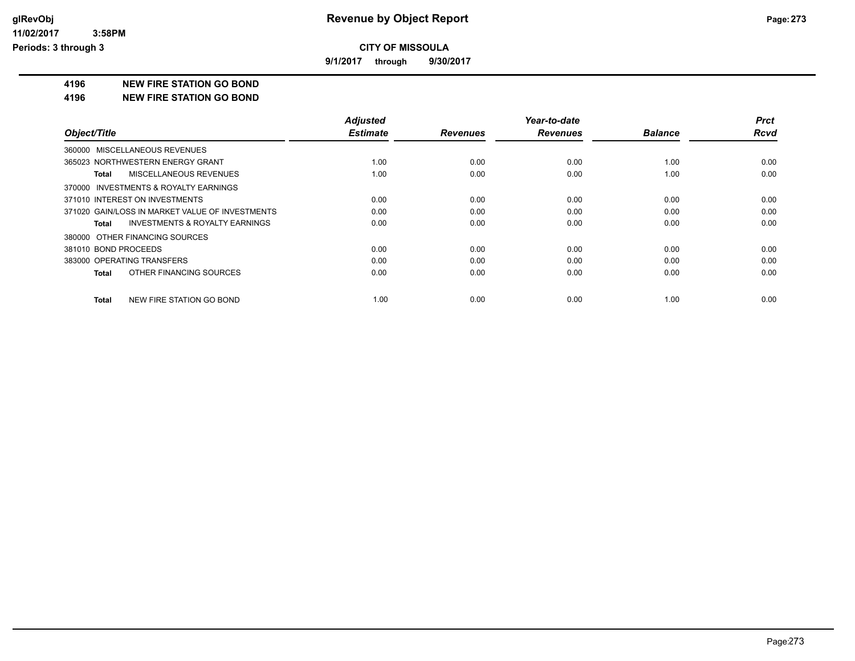**9/1/2017 through 9/30/2017**

**4196 NEW FIRE STATION GO BOND**

#### **4196 NEW FIRE STATION GO BOND**

|                                                    | <b>Adjusted</b> |                 | Year-to-date    |                | <b>Prct</b> |
|----------------------------------------------------|-----------------|-----------------|-----------------|----------------|-------------|
| Object/Title                                       | <b>Estimate</b> | <b>Revenues</b> | <b>Revenues</b> | <b>Balance</b> | <b>Rcvd</b> |
| 360000 MISCELLANEOUS REVENUES                      |                 |                 |                 |                |             |
| 365023 NORTHWESTERN ENERGY GRANT                   | 1.00            | 0.00            | 0.00            | 1.00           | 0.00        |
| MISCELLANEOUS REVENUES<br>Total                    | 1.00            | 0.00            | 0.00            | 1.00           | 0.00        |
| 370000 INVESTMENTS & ROYALTY EARNINGS              |                 |                 |                 |                |             |
| 371010 INTEREST ON INVESTMENTS                     | 0.00            | 0.00            | 0.00            | 0.00           | 0.00        |
| 371020 GAIN/LOSS IN MARKET VALUE OF INVESTMENTS    | 0.00            | 0.00            | 0.00            | 0.00           | 0.00        |
| <b>INVESTMENTS &amp; ROYALTY EARNINGS</b><br>Total | 0.00            | 0.00            | 0.00            | 0.00           | 0.00        |
| 380000 OTHER FINANCING SOURCES                     |                 |                 |                 |                |             |
| 381010 BOND PROCEEDS                               | 0.00            | 0.00            | 0.00            | 0.00           | 0.00        |
| 383000 OPERATING TRANSFERS                         | 0.00            | 0.00            | 0.00            | 0.00           | 0.00        |
| OTHER FINANCING SOURCES<br>Total                   | 0.00            | 0.00            | 0.00            | 0.00           | 0.00        |
| NEW FIRE STATION GO BOND<br>Total                  | 1.00            | 0.00            | 0.00            | 1.00           | 0.00        |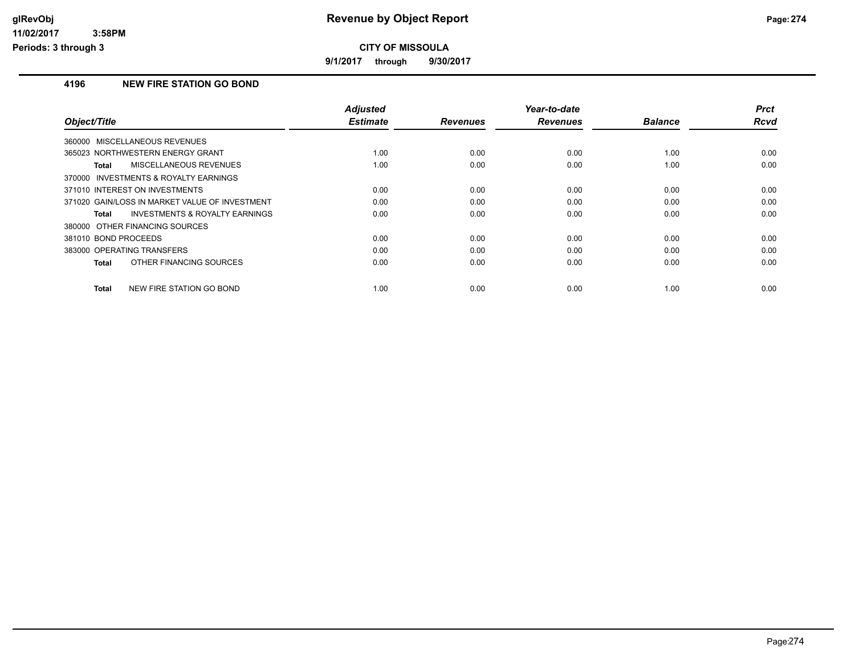**11/02/2017 3:58PM Periods: 3 through 3**

**CITY OF MISSOULA**

**9/1/2017 through 9/30/2017**

# **4196 NEW FIRE STATION GO BOND**

| Object/Title                                       | <b>Adjusted</b><br><b>Estimate</b> | <b>Revenues</b> | Year-to-date<br><b>Revenues</b> | <b>Balance</b> | <b>Prct</b><br>Rcvd |
|----------------------------------------------------|------------------------------------|-----------------|---------------------------------|----------------|---------------------|
| 360000 MISCELLANEOUS REVENUES                      |                                    |                 |                                 |                |                     |
| 365023 NORTHWESTERN ENERGY GRANT                   | 1.00                               | 0.00            | 0.00                            | 1.00           | 0.00                |
| MISCELLANEOUS REVENUES<br>Total                    | 1.00                               | 0.00            | 0.00                            | 1.00           | 0.00                |
| 370000 INVESTMENTS & ROYALTY EARNINGS              |                                    |                 |                                 |                |                     |
| 371010 INTEREST ON INVESTMENTS                     | 0.00                               | 0.00            | 0.00                            | 0.00           | 0.00                |
| 371020 GAIN/LOSS IN MARKET VALUE OF INVESTMENT     | 0.00                               | 0.00            | 0.00                            | 0.00           | 0.00                |
| <b>INVESTMENTS &amp; ROYALTY EARNINGS</b><br>Total | 0.00                               | 0.00            | 0.00                            | 0.00           | 0.00                |
| 380000 OTHER FINANCING SOURCES                     |                                    |                 |                                 |                |                     |
| 381010 BOND PROCEEDS                               | 0.00                               | 0.00            | 0.00                            | 0.00           | 0.00                |
| 383000 OPERATING TRANSFERS                         | 0.00                               | 0.00            | 0.00                            | 0.00           | 0.00                |
| OTHER FINANCING SOURCES<br>Total                   | 0.00                               | 0.00            | 0.00                            | 0.00           | 0.00                |
| <b>NEW FIRE STATION GO BOND</b><br><b>Total</b>    | 1.00                               | 0.00            | 0.00                            | 1.00           | 0.00                |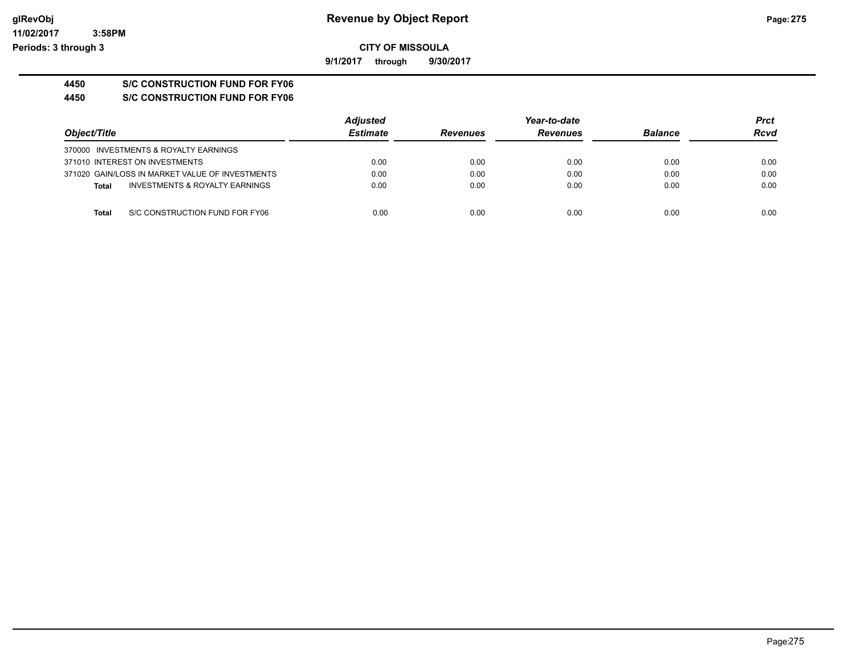**11/02/2017 3:58PM Periods: 3 through 3**

**CITY OF MISSOULA**

**9/1/2017 through 9/30/2017**

# **4450 S/C CONSTRUCTION FUND FOR FY06**

**4450 S/C CONSTRUCTION FUND FOR FY06**

|                                                           | <b>Adjusted</b> |                 | Year-to-date    |                | Prct        |
|-----------------------------------------------------------|-----------------|-----------------|-----------------|----------------|-------------|
| Object/Title                                              | <b>Estimate</b> | <b>Revenues</b> | <b>Revenues</b> | <b>Balance</b> | <b>Rcvd</b> |
| 370000 INVESTMENTS & ROYALTY EARNINGS                     |                 |                 |                 |                |             |
| 371010 INTEREST ON INVESTMENTS                            | 0.00            | 0.00            | 0.00            | 0.00           | 0.00        |
| 371020 GAIN/LOSS IN MARKET VALUE OF INVESTMENTS           | 0.00            | 0.00            | 0.00            | 0.00           | 0.00        |
| <b>INVESTMENTS &amp; ROYALTY EARNINGS</b><br><b>Total</b> | 0.00            | 0.00            | 0.00            | 0.00           | 0.00        |
| <b>Total</b><br>S/C CONSTRUCTION FUND FOR FY06            | 0.00            | 0.00            | 0.00            | 0.00           | 0.00        |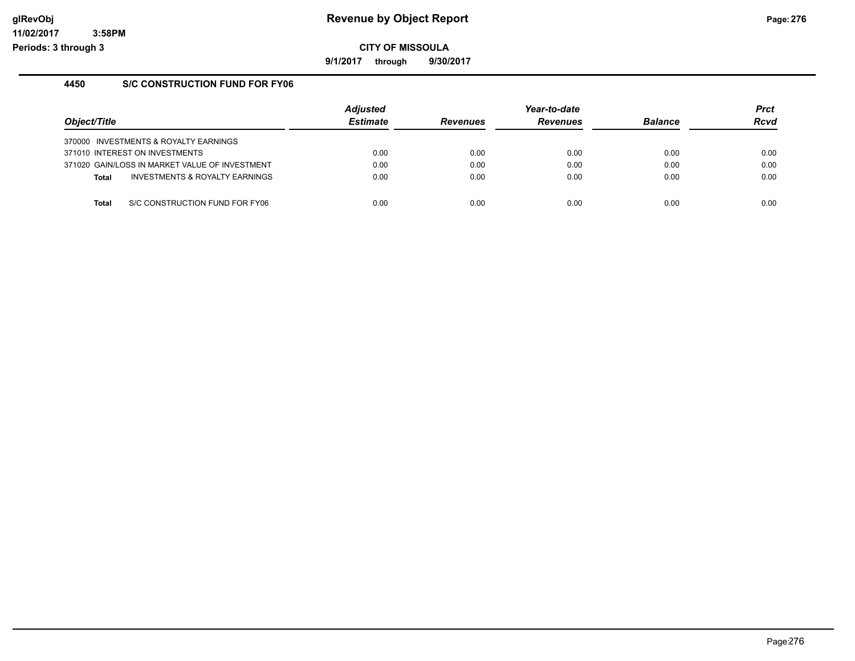**3:58PM**

**CITY OF MISSOULA**

**9/1/2017 through 9/30/2017**

#### **4450 S/C CONSTRUCTION FUND FOR FY06**

| Object/Title                   |                                                | <b>Adjusted</b><br><b>Estimate</b> | <b>Revenues</b> | Year-to-date<br><b>Revenues</b> | <b>Balance</b> | <b>Prct</b><br><b>Rcvd</b> |
|--------------------------------|------------------------------------------------|------------------------------------|-----------------|---------------------------------|----------------|----------------------------|
|                                | 370000 INVESTMENTS & ROYALTY EARNINGS          |                                    |                 |                                 |                |                            |
| 371010 INTEREST ON INVESTMENTS |                                                | 0.00                               | 0.00            | 0.00                            | 0.00           | 0.00                       |
|                                | 371020 GAIN/LOSS IN MARKET VALUE OF INVESTMENT | 0.00                               | 0.00            | 0.00                            | 0.00           | 0.00                       |
| Total                          | INVESTMENTS & ROYALTY EARNINGS                 | 0.00                               | 0.00            | 0.00                            | 0.00           | 0.00                       |
|                                |                                                |                                    |                 |                                 |                |                            |
| Total                          | S/C CONSTRUCTION FUND FOR FY06                 | 0.00                               | 0.00            | 0.00                            | 0.00           | 0.00                       |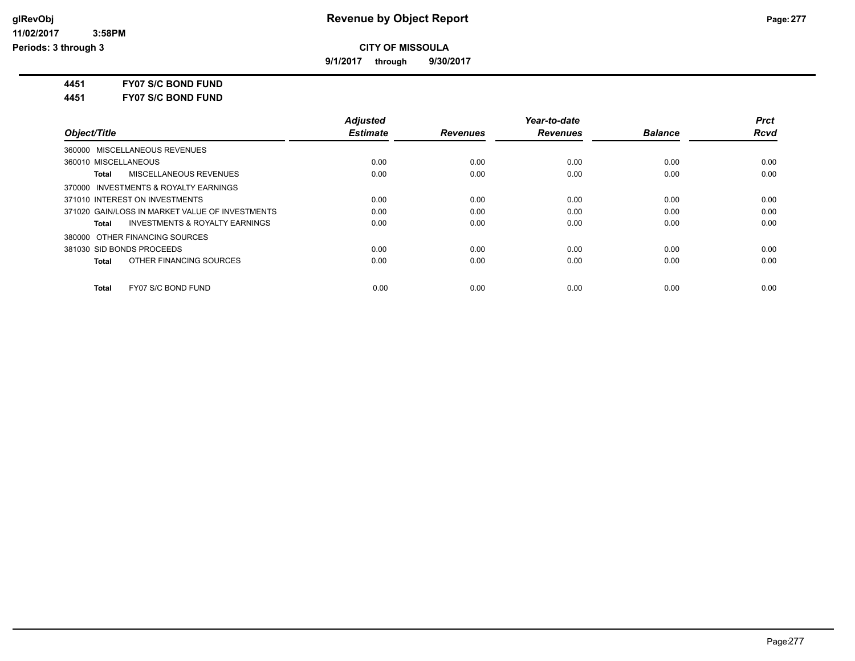**9/1/2017 through 9/30/2017**

**4451 FY07 S/C BOND FUND**

**4451 FY07 S/C BOND FUND**

| Object/Title                                       | <b>Adjusted</b><br><b>Estimate</b> | <b>Revenues</b> | Year-to-date<br><b>Revenues</b> | <b>Balance</b> | <b>Prct</b><br><b>Rcvd</b> |
|----------------------------------------------------|------------------------------------|-----------------|---------------------------------|----------------|----------------------------|
| 360000 MISCELLANEOUS REVENUES                      |                                    |                 |                                 |                |                            |
| 360010 MISCELLANEOUS                               | 0.00                               | 0.00            | 0.00                            | 0.00           | 0.00                       |
| MISCELLANEOUS REVENUES<br><b>Total</b>             | 0.00                               | 0.00            | 0.00                            | 0.00           | 0.00                       |
| 370000 INVESTMENTS & ROYALTY EARNINGS              |                                    |                 |                                 |                |                            |
| 371010 INTEREST ON INVESTMENTS                     | 0.00                               | 0.00            | 0.00                            | 0.00           | 0.00                       |
| 371020 GAIN/LOSS IN MARKET VALUE OF INVESTMENTS    | 0.00                               | 0.00            | 0.00                            | 0.00           | 0.00                       |
| <b>INVESTMENTS &amp; ROYALTY EARNINGS</b><br>Total | 0.00                               | 0.00            | 0.00                            | 0.00           | 0.00                       |
| 380000 OTHER FINANCING SOURCES                     |                                    |                 |                                 |                |                            |
| 381030 SID BONDS PROCEEDS                          | 0.00                               | 0.00            | 0.00                            | 0.00           | 0.00                       |
| OTHER FINANCING SOURCES<br><b>Total</b>            | 0.00                               | 0.00            | 0.00                            | 0.00           | 0.00                       |
| FY07 S/C BOND FUND<br><b>Total</b>                 | 0.00                               | 0.00            | 0.00                            | 0.00           | 0.00                       |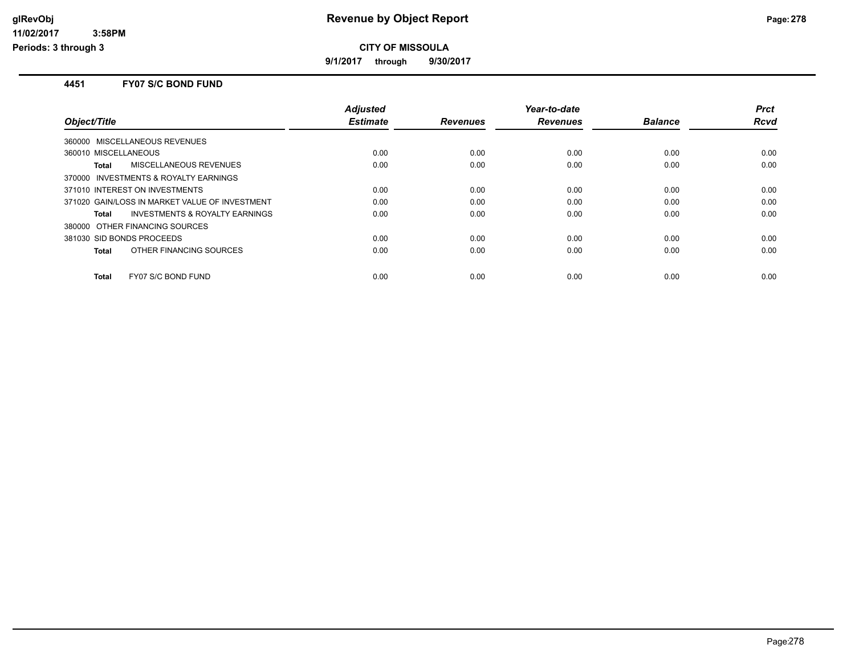**CITY OF MISSOULA**

**9/1/2017 through 9/30/2017**

#### **4451 FY07 S/C BOND FUND**

 **3:58PM**

| Object/Title                                       | <b>Adjusted</b><br><b>Estimate</b> | <b>Revenues</b> | Year-to-date<br><b>Revenues</b> | <b>Balance</b> | <b>Prct</b><br><b>Rcvd</b> |
|----------------------------------------------------|------------------------------------|-----------------|---------------------------------|----------------|----------------------------|
|                                                    |                                    |                 |                                 |                |                            |
| 360000 MISCELLANEOUS REVENUES                      |                                    |                 |                                 |                |                            |
| 360010 MISCELLANEOUS                               | 0.00                               | 0.00            | 0.00                            | 0.00           | 0.00                       |
| MISCELLANEOUS REVENUES<br>Total                    | 0.00                               | 0.00            | 0.00                            | 0.00           | 0.00                       |
| 370000 INVESTMENTS & ROYALTY EARNINGS              |                                    |                 |                                 |                |                            |
| 371010 INTEREST ON INVESTMENTS                     | 0.00                               | 0.00            | 0.00                            | 0.00           | 0.00                       |
| 371020 GAIN/LOSS IN MARKET VALUE OF INVESTMENT     | 0.00                               | 0.00            | 0.00                            | 0.00           | 0.00                       |
| <b>INVESTMENTS &amp; ROYALTY EARNINGS</b><br>Total | 0.00                               | 0.00            | 0.00                            | 0.00           | 0.00                       |
| 380000 OTHER FINANCING SOURCES                     |                                    |                 |                                 |                |                            |
| 381030 SID BONDS PROCEEDS                          | 0.00                               | 0.00            | 0.00                            | 0.00           | 0.00                       |
| OTHER FINANCING SOURCES<br>Total                   | 0.00                               | 0.00            | 0.00                            | 0.00           | 0.00                       |
| FY07 S/C BOND FUND<br><b>Total</b>                 | 0.00                               | 0.00            | 0.00                            | 0.00           | 0.00                       |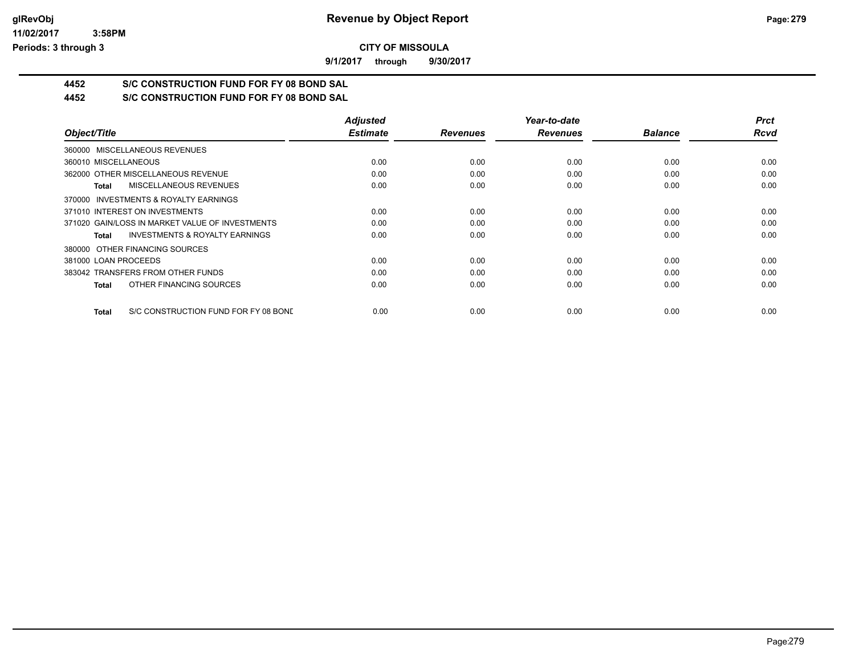**11/02/2017 3:58PM Periods: 3 through 3**

**CITY OF MISSOULA**

**9/1/2017 through 9/30/2017**

# **4452 S/C CONSTRUCTION FUND FOR FY 08 BOND SAL**

# **4452 S/C CONSTRUCTION FUND FOR FY 08 BOND SAL**

|                                                      | <b>Adjusted</b> |                 | Year-to-date    |                | <b>Prct</b> |
|------------------------------------------------------|-----------------|-----------------|-----------------|----------------|-------------|
| Object/Title                                         | <b>Estimate</b> | <b>Revenues</b> | <b>Revenues</b> | <b>Balance</b> | <b>Rcvd</b> |
| 360000 MISCELLANEOUS REVENUES                        |                 |                 |                 |                |             |
| 360010 MISCELLANEOUS                                 | 0.00            | 0.00            | 0.00            | 0.00           | 0.00        |
| 362000 OTHER MISCELLANEOUS REVENUE                   | 0.00            | 0.00            | 0.00            | 0.00           | 0.00        |
| MISCELLANEOUS REVENUES<br>Total                      | 0.00            | 0.00            | 0.00            | 0.00           | 0.00        |
| 370000 INVESTMENTS & ROYALTY EARNINGS                |                 |                 |                 |                |             |
| 371010 INTEREST ON INVESTMENTS                       | 0.00            | 0.00            | 0.00            | 0.00           | 0.00        |
| 371020 GAIN/LOSS IN MARKET VALUE OF INVESTMENTS      | 0.00            | 0.00            | 0.00            | 0.00           | 0.00        |
| <b>INVESTMENTS &amp; ROYALTY EARNINGS</b><br>Total   | 0.00            | 0.00            | 0.00            | 0.00           | 0.00        |
| 380000 OTHER FINANCING SOURCES                       |                 |                 |                 |                |             |
| 381000 LOAN PROCEEDS                                 | 0.00            | 0.00            | 0.00            | 0.00           | 0.00        |
| 383042 TRANSFERS FROM OTHER FUNDS                    | 0.00            | 0.00            | 0.00            | 0.00           | 0.00        |
| OTHER FINANCING SOURCES<br>Total                     | 0.00            | 0.00            | 0.00            | 0.00           | 0.00        |
| S/C CONSTRUCTION FUND FOR FY 08 BONE<br><b>Total</b> | 0.00            | 0.00            | 0.00            | 0.00           | 0.00        |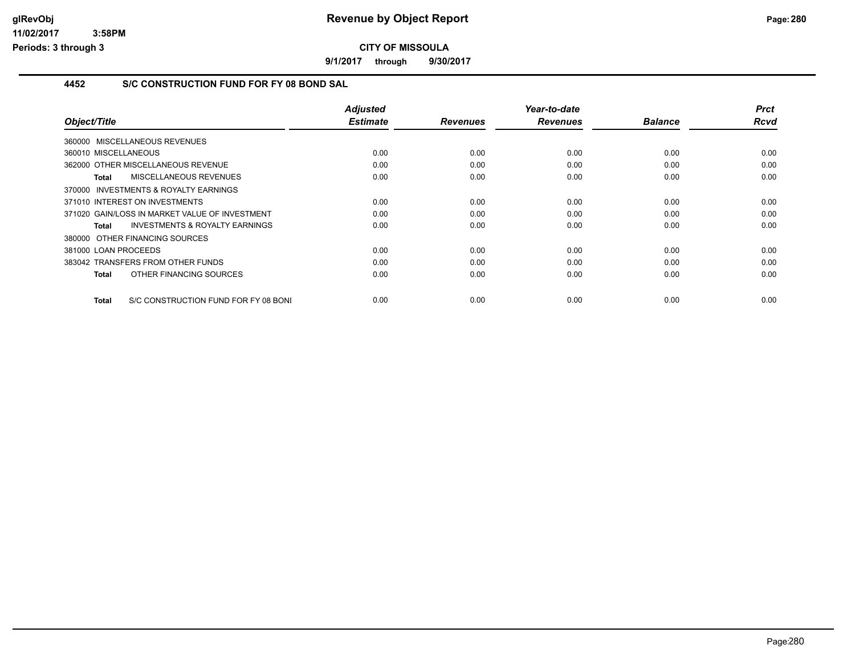**9/1/2017 through 9/30/2017**

#### **4452 S/C CONSTRUCTION FUND FOR FY 08 BOND SAL**

| Object/Title                                         | <b>Adjusted</b><br><b>Estimate</b> | <b>Revenues</b> | Year-to-date<br><b>Revenues</b> | <b>Balance</b> | <b>Prct</b><br><b>Rcvd</b> |
|------------------------------------------------------|------------------------------------|-----------------|---------------------------------|----------------|----------------------------|
|                                                      |                                    |                 |                                 |                |                            |
| 360000 MISCELLANEOUS REVENUES                        |                                    |                 |                                 |                |                            |
| 360010 MISCELLANEOUS                                 | 0.00                               | 0.00            | 0.00                            | 0.00           | 0.00                       |
| 362000 OTHER MISCELLANEOUS REVENUE                   | 0.00                               | 0.00            | 0.00                            | 0.00           | 0.00                       |
| MISCELLANEOUS REVENUES<br>Total                      | 0.00                               | 0.00            | 0.00                            | 0.00           | 0.00                       |
| 370000 INVESTMENTS & ROYALTY EARNINGS                |                                    |                 |                                 |                |                            |
| 371010 INTEREST ON INVESTMENTS                       | 0.00                               | 0.00            | 0.00                            | 0.00           | 0.00                       |
| 371020 GAIN/LOSS IN MARKET VALUE OF INVESTMENT       | 0.00                               | 0.00            | 0.00                            | 0.00           | 0.00                       |
| <b>INVESTMENTS &amp; ROYALTY EARNINGS</b><br>Total   | 0.00                               | 0.00            | 0.00                            | 0.00           | 0.00                       |
| 380000 OTHER FINANCING SOURCES                       |                                    |                 |                                 |                |                            |
| 381000 LOAN PROCEEDS                                 | 0.00                               | 0.00            | 0.00                            | 0.00           | 0.00                       |
| 383042 TRANSFERS FROM OTHER FUNDS                    | 0.00                               | 0.00            | 0.00                            | 0.00           | 0.00                       |
| OTHER FINANCING SOURCES<br>Total                     | 0.00                               | 0.00            | 0.00                            | 0.00           | 0.00                       |
|                                                      |                                    |                 |                                 |                |                            |
| S/C CONSTRUCTION FUND FOR FY 08 BONI<br><b>Total</b> | 0.00                               | 0.00            | 0.00                            | 0.00           | 0.00                       |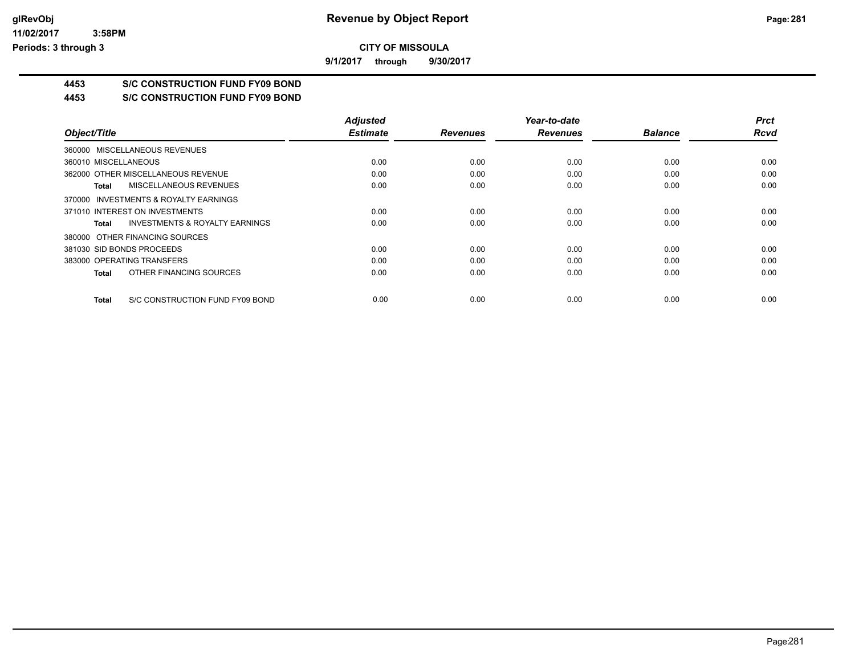**11/02/2017 3:58PM Periods: 3 through 3**

**CITY OF MISSOULA**

**9/1/2017 through 9/30/2017**

# **4453 S/C CONSTRUCTION FUND FY09 BOND**

#### **4453 S/C CONSTRUCTION FUND FY09 BOND**

|                                          | <b>Adjusted</b> |                 | Year-to-date    |                | <b>Prct</b> |
|------------------------------------------|-----------------|-----------------|-----------------|----------------|-------------|
| Object/Title                             | <b>Estimate</b> | <b>Revenues</b> | <b>Revenues</b> | <b>Balance</b> | <b>Rcvd</b> |
| 360000 MISCELLANEOUS REVENUES            |                 |                 |                 |                |             |
| 360010 MISCELLANEOUS                     | 0.00            | 0.00            | 0.00            | 0.00           | 0.00        |
| 362000 OTHER MISCELLANEOUS REVENUE       | 0.00            | 0.00            | 0.00            | 0.00           | 0.00        |
| MISCELLANEOUS REVENUES<br>Total          | 0.00            | 0.00            | 0.00            | 0.00           | 0.00        |
| 370000 INVESTMENTS & ROYALTY EARNINGS    |                 |                 |                 |                |             |
| 371010 INTEREST ON INVESTMENTS           | 0.00            | 0.00            | 0.00            | 0.00           | 0.00        |
| INVESTMENTS & ROYALTY EARNINGS<br>Total  | 0.00            | 0.00            | 0.00            | 0.00           | 0.00        |
| 380000 OTHER FINANCING SOURCES           |                 |                 |                 |                |             |
| 381030 SID BONDS PROCEEDS                | 0.00            | 0.00            | 0.00            | 0.00           | 0.00        |
| 383000 OPERATING TRANSFERS               | 0.00            | 0.00            | 0.00            | 0.00           | 0.00        |
| OTHER FINANCING SOURCES<br>Total         | 0.00            | 0.00            | 0.00            | 0.00           | 0.00        |
| S/C CONSTRUCTION FUND FY09 BOND<br>Total | 0.00            | 0.00            | 0.00            | 0.00           | 0.00        |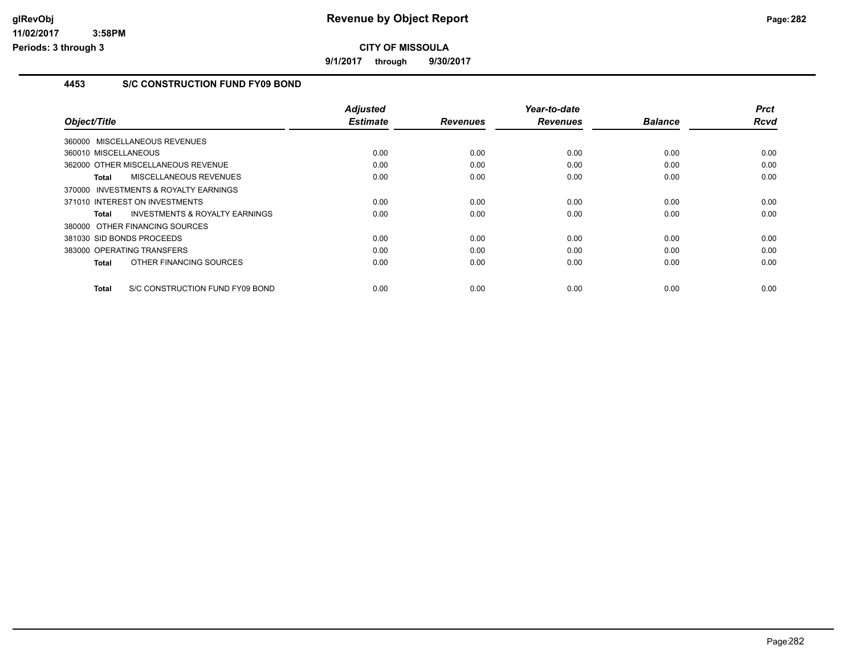**3:58PM**

**CITY OF MISSOULA**

**9/1/2017 through 9/30/2017**

#### **4453 S/C CONSTRUCTION FUND FY09 BOND**

| Object/Title                                       | <b>Adjusted</b><br><b>Estimate</b> | <b>Revenues</b> | Year-to-date<br><b>Revenues</b> | <b>Balance</b> | <b>Prct</b><br>Rcvd |
|----------------------------------------------------|------------------------------------|-----------------|---------------------------------|----------------|---------------------|
| 360000 MISCELLANEOUS REVENUES                      |                                    |                 |                                 |                |                     |
| 360010 MISCELLANEOUS                               | 0.00                               | 0.00            | 0.00                            | 0.00           | 0.00                |
| 362000 OTHER MISCELLANEOUS REVENUE                 | 0.00                               | 0.00            | 0.00                            | 0.00           | 0.00                |
| <b>MISCELLANEOUS REVENUES</b><br>Total             | 0.00                               | 0.00            | 0.00                            | 0.00           | 0.00                |
| 370000 INVESTMENTS & ROYALTY EARNINGS              |                                    |                 |                                 |                |                     |
| 371010 INTEREST ON INVESTMENTS                     | 0.00                               | 0.00            | 0.00                            | 0.00           | 0.00                |
| <b>INVESTMENTS &amp; ROYALTY EARNINGS</b><br>Total | 0.00                               | 0.00            | 0.00                            | 0.00           | 0.00                |
| 380000 OTHER FINANCING SOURCES                     |                                    |                 |                                 |                |                     |
| 381030 SID BONDS PROCEEDS                          | 0.00                               | 0.00            | 0.00                            | 0.00           | 0.00                |
| 383000 OPERATING TRANSFERS                         | 0.00                               | 0.00            | 0.00                            | 0.00           | 0.00                |
| OTHER FINANCING SOURCES<br>Total                   | 0.00                               | 0.00            | 0.00                            | 0.00           | 0.00                |
| S/C CONSTRUCTION FUND FY09 BOND<br>Total           | 0.00                               | 0.00            | 0.00                            | 0.00           | 0.00                |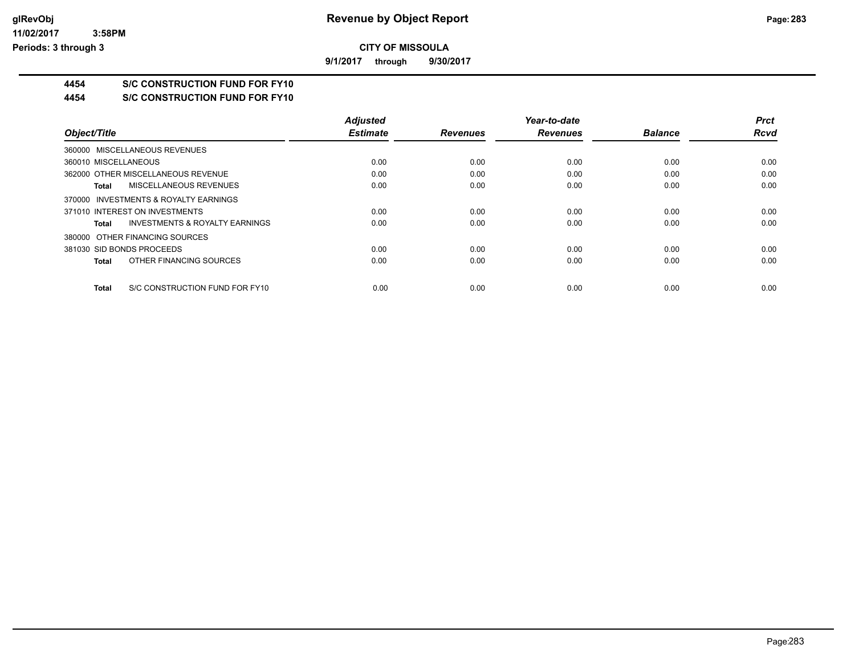**glRevObj Revenue by Object Report Page:283** 

**CITY OF MISSOULA**

**9/1/2017 through 9/30/2017**

# **4454 S/C CONSTRUCTION FUND FOR FY10**

 **3:58PM**

**4454 S/C CONSTRUCTION FUND FOR FY10**

|                                                    | <b>Adjusted</b> |                 | Year-to-date    |                | <b>Prct</b> |
|----------------------------------------------------|-----------------|-----------------|-----------------|----------------|-------------|
| Object/Title                                       | <b>Estimate</b> | <b>Revenues</b> | <b>Revenues</b> | <b>Balance</b> | Rcvd        |
| 360000 MISCELLANEOUS REVENUES                      |                 |                 |                 |                |             |
| 360010 MISCELLANEOUS                               | 0.00            | 0.00            | 0.00            | 0.00           | 0.00        |
| 362000 OTHER MISCELLANEOUS REVENUE                 | 0.00            | 0.00            | 0.00            | 0.00           | 0.00        |
| MISCELLANEOUS REVENUES<br>Total                    | 0.00            | 0.00            | 0.00            | 0.00           | 0.00        |
| 370000 INVESTMENTS & ROYALTY EARNINGS              |                 |                 |                 |                |             |
| 371010 INTEREST ON INVESTMENTS                     | 0.00            | 0.00            | 0.00            | 0.00           | 0.00        |
| <b>INVESTMENTS &amp; ROYALTY EARNINGS</b><br>Total | 0.00            | 0.00            | 0.00            | 0.00           | 0.00        |
| 380000 OTHER FINANCING SOURCES                     |                 |                 |                 |                |             |
| 381030 SID BONDS PROCEEDS                          | 0.00            | 0.00            | 0.00            | 0.00           | 0.00        |
| OTHER FINANCING SOURCES<br><b>Total</b>            | 0.00            | 0.00            | 0.00            | 0.00           | 0.00        |
| S/C CONSTRUCTION FUND FOR FY10<br><b>Total</b>     | 0.00            | 0.00            | 0.00            | 0.00           | 0.00        |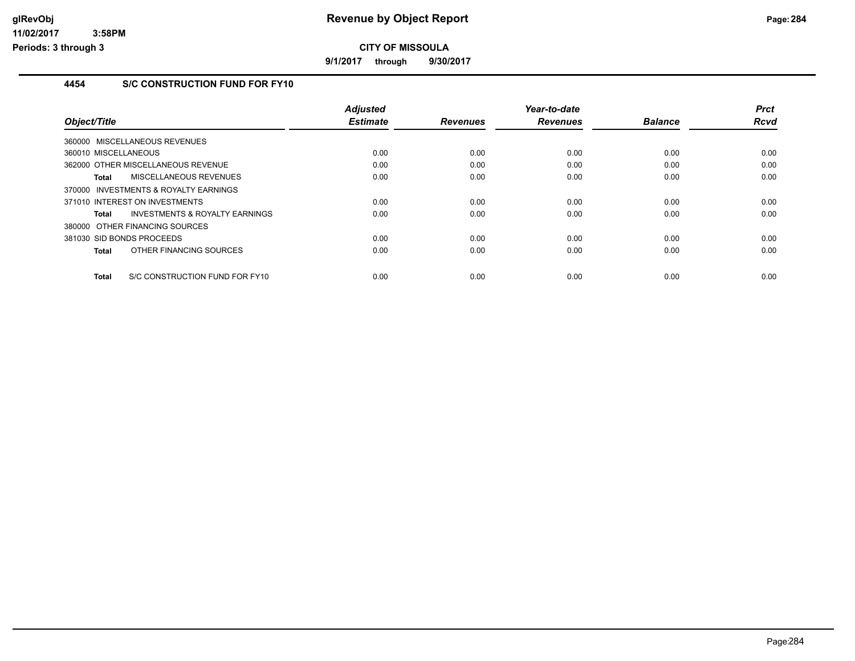**3:58PM**

**CITY OF MISSOULA**

**9/1/2017 through 9/30/2017**

#### **4454 S/C CONSTRUCTION FUND FOR FY10**

|                                                    | <b>Adjusted</b> |                 | Year-to-date    |                | <b>Prct</b> |
|----------------------------------------------------|-----------------|-----------------|-----------------|----------------|-------------|
| Object/Title                                       | <b>Estimate</b> | <b>Revenues</b> | <b>Revenues</b> | <b>Balance</b> | <b>Rcvd</b> |
| 360000 MISCELLANEOUS REVENUES                      |                 |                 |                 |                |             |
| 360010 MISCELLANEOUS                               | 0.00            | 0.00            | 0.00            | 0.00           | 0.00        |
| 362000 OTHER MISCELLANEOUS REVENUE                 | 0.00            | 0.00            | 0.00            | 0.00           | 0.00        |
| <b>MISCELLANEOUS REVENUES</b><br>Total             | 0.00            | 0.00            | 0.00            | 0.00           | 0.00        |
| 370000 INVESTMENTS & ROYALTY EARNINGS              |                 |                 |                 |                |             |
| 371010 INTEREST ON INVESTMENTS                     | 0.00            | 0.00            | 0.00            | 0.00           | 0.00        |
| <b>INVESTMENTS &amp; ROYALTY EARNINGS</b><br>Total | 0.00            | 0.00            | 0.00            | 0.00           | 0.00        |
| 380000 OTHER FINANCING SOURCES                     |                 |                 |                 |                |             |
| 381030 SID BONDS PROCEEDS                          | 0.00            | 0.00            | 0.00            | 0.00           | 0.00        |
| OTHER FINANCING SOURCES<br>Total                   | 0.00            | 0.00            | 0.00            | 0.00           | 0.00        |
| S/C CONSTRUCTION FUND FOR FY10<br><b>Total</b>     | 0.00            | 0.00            | 0.00            | 0.00           | 0.00        |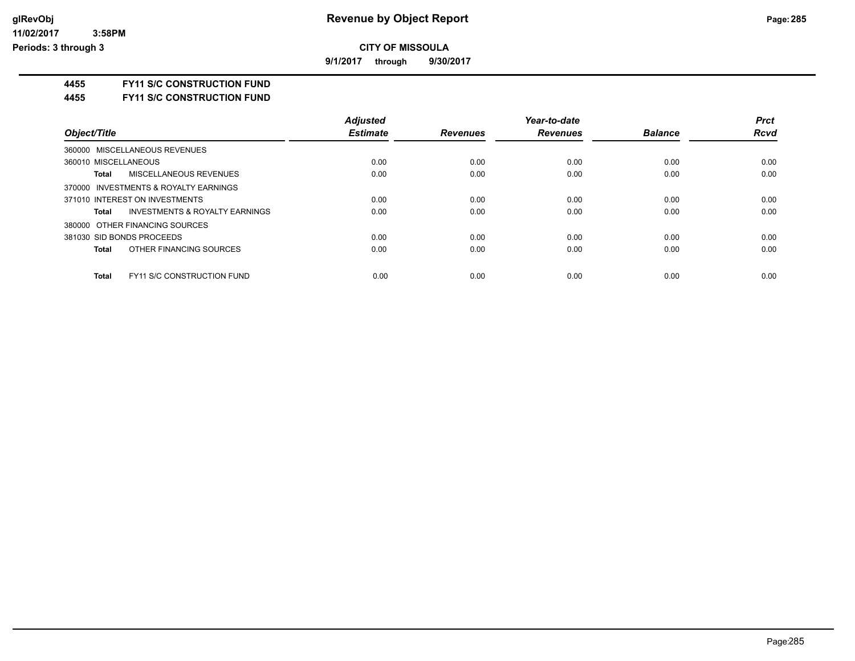**CITY OF MISSOULA**

**9/1/2017 through 9/30/2017**

# **4455 FY11 S/C CONSTRUCTION FUND**

 **3:58PM**

#### **4455 FY11 S/C CONSTRUCTION FUND**

|                                                    | <b>Adjusted</b> |                 | Year-to-date    |                | <b>Prct</b> |
|----------------------------------------------------|-----------------|-----------------|-----------------|----------------|-------------|
| Object/Title                                       | <b>Estimate</b> | <b>Revenues</b> | <b>Revenues</b> | <b>Balance</b> | <b>Rcvd</b> |
| 360000 MISCELLANEOUS REVENUES                      |                 |                 |                 |                |             |
| 360010 MISCELLANEOUS                               | 0.00            | 0.00            | 0.00            | 0.00           | 0.00        |
| <b>MISCELLANEOUS REVENUES</b><br>Total             | 0.00            | 0.00            | 0.00            | 0.00           | 0.00        |
| 370000 INVESTMENTS & ROYALTY EARNINGS              |                 |                 |                 |                |             |
| 371010 INTEREST ON INVESTMENTS                     | 0.00            | 0.00            | 0.00            | 0.00           | 0.00        |
| <b>INVESTMENTS &amp; ROYALTY EARNINGS</b><br>Total | 0.00            | 0.00            | 0.00            | 0.00           | 0.00        |
| 380000 OTHER FINANCING SOURCES                     |                 |                 |                 |                |             |
| 381030 SID BONDS PROCEEDS                          | 0.00            | 0.00            | 0.00            | 0.00           | 0.00        |
| OTHER FINANCING SOURCES<br><b>Total</b>            | 0.00            | 0.00            | 0.00            | 0.00           | 0.00        |
| <b>FY11 S/C CONSTRUCTION FUND</b><br>Total         | 0.00            | 0.00            | 0.00            | 0.00           | 0.00        |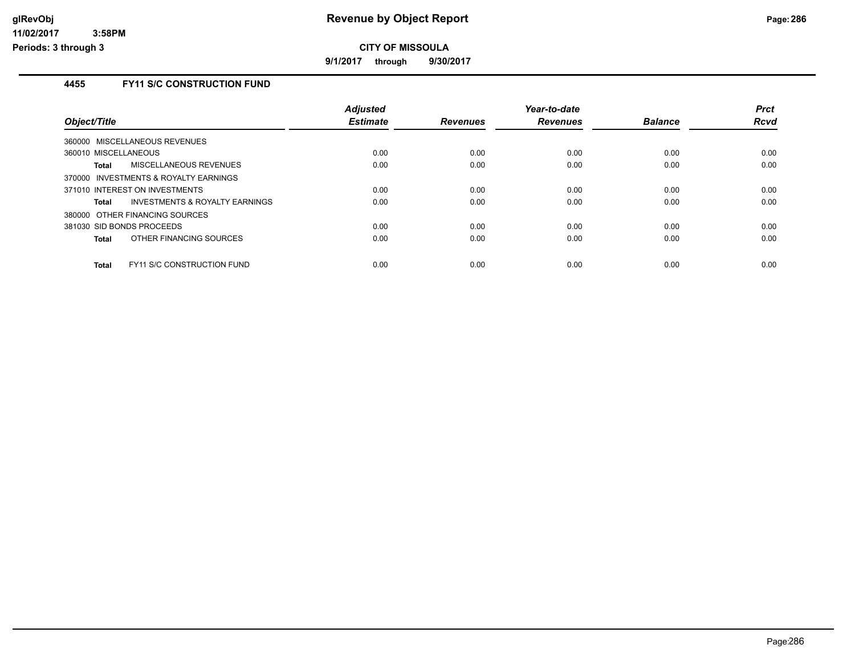**CITY OF MISSOULA**

**9/1/2017 through 9/30/2017**

# **4455 FY11 S/C CONSTRUCTION FUND**

 **3:58PM**

| Object/Title                                      | <b>Adjusted</b><br><b>Estimate</b> | <b>Revenues</b> | Year-to-date<br><b>Revenues</b> | <b>Balance</b> | <b>Prct</b><br><b>Rcvd</b> |
|---------------------------------------------------|------------------------------------|-----------------|---------------------------------|----------------|----------------------------|
| 360000 MISCELLANEOUS REVENUES                     |                                    |                 |                                 |                |                            |
| 360010 MISCELLANEOUS                              | 0.00                               | 0.00            | 0.00                            | 0.00           | 0.00                       |
| MISCELLANEOUS REVENUES<br>Total                   | 0.00                               | 0.00            | 0.00                            | 0.00           | 0.00                       |
| 370000 INVESTMENTS & ROYALTY EARNINGS             |                                    |                 |                                 |                |                            |
| 371010 INTEREST ON INVESTMENTS                    | 0.00                               | 0.00            | 0.00                            | 0.00           | 0.00                       |
| INVESTMENTS & ROYALTY EARNINGS<br>Total           | 0.00                               | 0.00            | 0.00                            | 0.00           | 0.00                       |
| 380000 OTHER FINANCING SOURCES                    |                                    |                 |                                 |                |                            |
| 381030 SID BONDS PROCEEDS                         | 0.00                               | 0.00            | 0.00                            | 0.00           | 0.00                       |
| OTHER FINANCING SOURCES<br>Total                  | 0.00                               | 0.00            | 0.00                            | 0.00           | 0.00                       |
| <b>FY11 S/C CONSTRUCTION FUND</b><br><b>Total</b> | 0.00                               | 0.00            | 0.00                            | 0.00           | 0.00                       |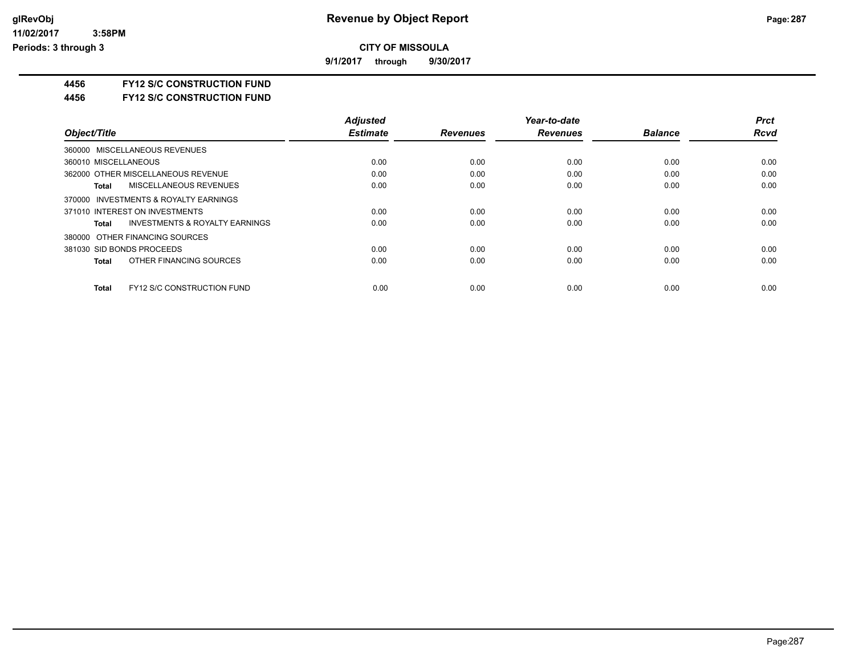**CITY OF MISSOULA**

**9/1/2017 through 9/30/2017**

# **4456 FY12 S/C CONSTRUCTION FUND**

 **3:58PM**

#### **4456 FY12 S/C CONSTRUCTION FUND**

|                                                    | <b>Adjusted</b> |                 | Year-to-date    |                | <b>Prct</b> |
|----------------------------------------------------|-----------------|-----------------|-----------------|----------------|-------------|
| Object/Title                                       | <b>Estimate</b> | <b>Revenues</b> | <b>Revenues</b> | <b>Balance</b> | <b>Rcvd</b> |
| 360000 MISCELLANEOUS REVENUES                      |                 |                 |                 |                |             |
| 360010 MISCELLANEOUS                               | 0.00            | 0.00            | 0.00            | 0.00           | 0.00        |
| 362000 OTHER MISCELLANEOUS REVENUE                 | 0.00            | 0.00            | 0.00            | 0.00           | 0.00        |
| <b>MISCELLANEOUS REVENUES</b><br>Total             | 0.00            | 0.00            | 0.00            | 0.00           | 0.00        |
| 370000 INVESTMENTS & ROYALTY EARNINGS              |                 |                 |                 |                |             |
| 371010 INTEREST ON INVESTMENTS                     | 0.00            | 0.00            | 0.00            | 0.00           | 0.00        |
| <b>INVESTMENTS &amp; ROYALTY EARNINGS</b><br>Total | 0.00            | 0.00            | 0.00            | 0.00           | 0.00        |
| 380000 OTHER FINANCING SOURCES                     |                 |                 |                 |                |             |
| 381030 SID BONDS PROCEEDS                          | 0.00            | 0.00            | 0.00            | 0.00           | 0.00        |
| OTHER FINANCING SOURCES<br>Total                   | 0.00            | 0.00            | 0.00            | 0.00           | 0.00        |
| <b>FY12 S/C CONSTRUCTION FUND</b><br><b>Total</b>  | 0.00            | 0.00            | 0.00            | 0.00           | 0.00        |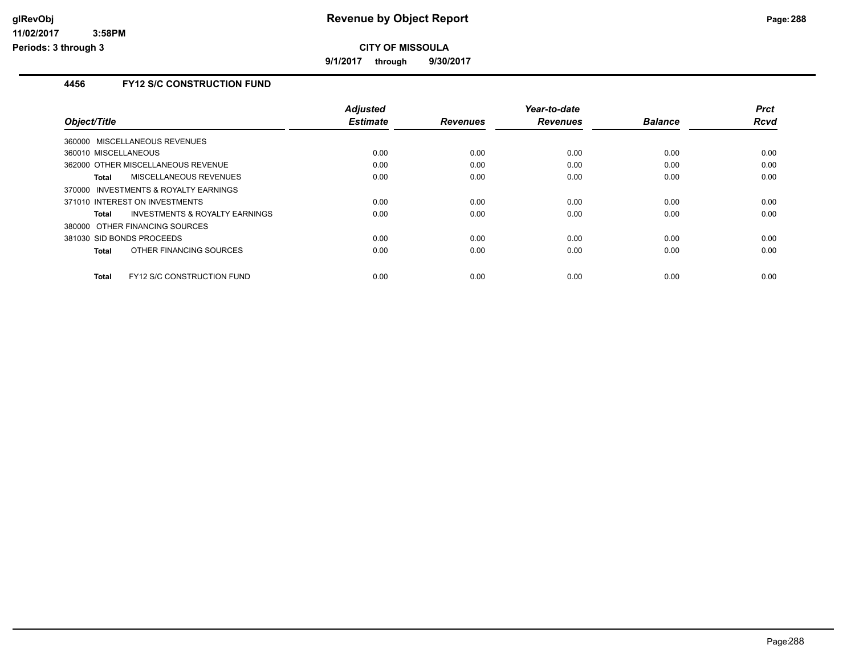**CITY OF MISSOULA**

**9/1/2017 through 9/30/2017**

#### **4456 FY12 S/C CONSTRUCTION FUND**

 **3:58PM**

| Object/Title                                       | <b>Adjusted</b><br><b>Estimate</b> | <b>Revenues</b> | Year-to-date<br><b>Revenues</b> | <b>Balance</b> | <b>Prct</b><br><b>Rcvd</b> |
|----------------------------------------------------|------------------------------------|-----------------|---------------------------------|----------------|----------------------------|
| 360000 MISCELLANEOUS REVENUES                      |                                    |                 |                                 |                |                            |
| 360010 MISCELLANEOUS                               | 0.00                               | 0.00            | 0.00                            | 0.00           | 0.00                       |
| 362000 OTHER MISCELLANEOUS REVENUE                 | 0.00                               | 0.00            | 0.00                            | 0.00           | 0.00                       |
| MISCELLANEOUS REVENUES<br>Total                    | 0.00                               | 0.00            | 0.00                            | 0.00           | 0.00                       |
| INVESTMENTS & ROYALTY EARNINGS<br>370000           |                                    |                 |                                 |                |                            |
| 371010 INTEREST ON INVESTMENTS                     | 0.00                               | 0.00            | 0.00                            | 0.00           | 0.00                       |
| <b>INVESTMENTS &amp; ROYALTY EARNINGS</b><br>Total | 0.00                               | 0.00            | 0.00                            | 0.00           | 0.00                       |
| 380000 OTHER FINANCING SOURCES                     |                                    |                 |                                 |                |                            |
| 381030 SID BONDS PROCEEDS                          | 0.00                               | 0.00            | 0.00                            | 0.00           | 0.00                       |
| OTHER FINANCING SOURCES<br>Total                   | 0.00                               | 0.00            | 0.00                            | 0.00           | 0.00                       |
| <b>FY12 S/C CONSTRUCTION FUND</b><br><b>Total</b>  | 0.00                               | 0.00            | 0.00                            | 0.00           | 0.00                       |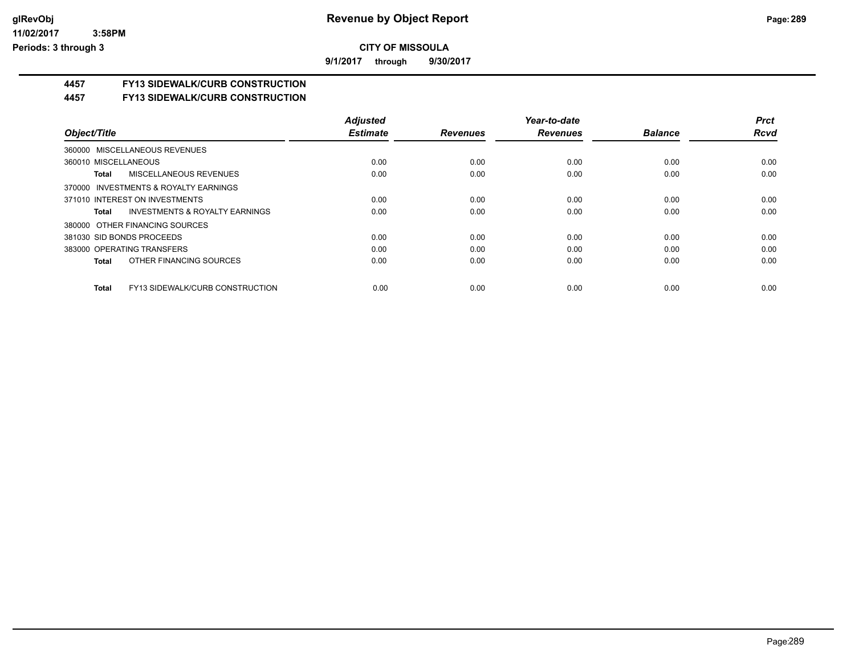**3:58PM**

**glRevObj Revenue by Object Report Page:289** 

**CITY OF MISSOULA**

**9/1/2017 through 9/30/2017**

# **4457 FY13 SIDEWALK/CURB CONSTRUCTION**

# **4457 FY13 SIDEWALK/CURB CONSTRUCTION**

|                                                    | <b>Adjusted</b> |                 | Year-to-date    |                | <b>Prct</b> |
|----------------------------------------------------|-----------------|-----------------|-----------------|----------------|-------------|
| Object/Title                                       | <b>Estimate</b> | <b>Revenues</b> | <b>Revenues</b> | <b>Balance</b> | <b>Rcvd</b> |
| 360000 MISCELLANEOUS REVENUES                      |                 |                 |                 |                |             |
| 360010 MISCELLANEOUS                               | 0.00            | 0.00            | 0.00            | 0.00           | 0.00        |
| MISCELLANEOUS REVENUES<br>Total                    | 0.00            | 0.00            | 0.00            | 0.00           | 0.00        |
| 370000 INVESTMENTS & ROYALTY EARNINGS              |                 |                 |                 |                |             |
| 371010 INTEREST ON INVESTMENTS                     | 0.00            | 0.00            | 0.00            | 0.00           | 0.00        |
| <b>INVESTMENTS &amp; ROYALTY EARNINGS</b><br>Total | 0.00            | 0.00            | 0.00            | 0.00           | 0.00        |
| 380000 OTHER FINANCING SOURCES                     |                 |                 |                 |                |             |
| 381030 SID BONDS PROCEEDS                          | 0.00            | 0.00            | 0.00            | 0.00           | 0.00        |
| 383000 OPERATING TRANSFERS                         | 0.00            | 0.00            | 0.00            | 0.00           | 0.00        |
| OTHER FINANCING SOURCES<br>Total                   | 0.00            | 0.00            | 0.00            | 0.00           | 0.00        |
| <b>FY13 SIDEWALK/CURB CONSTRUCTION</b><br>Total    | 0.00            | 0.00            | 0.00            | 0.00           | 0.00        |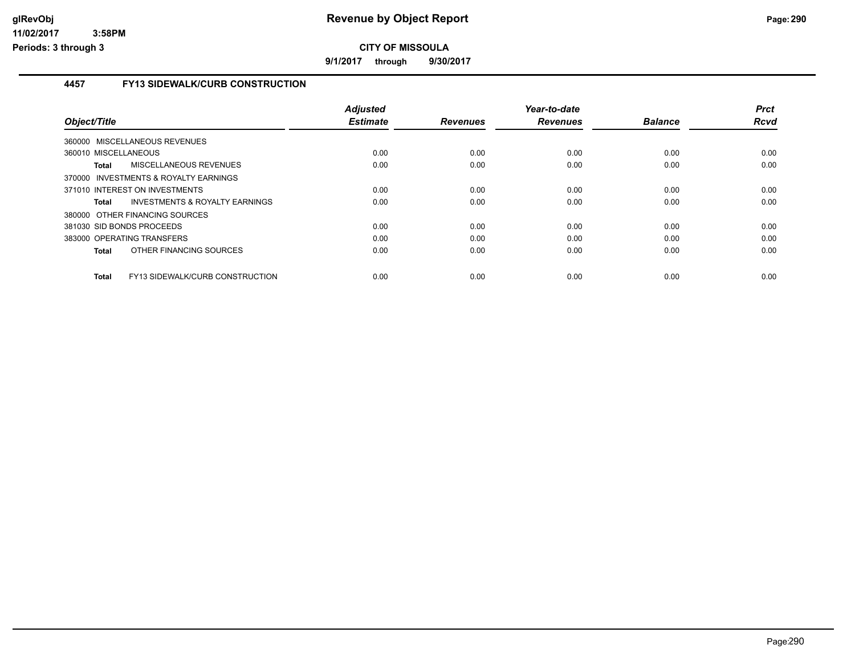**3:58PM**

**CITY OF MISSOULA**

**9/1/2017 through 9/30/2017**

# **4457 FY13 SIDEWALK/CURB CONSTRUCTION**

| Object/Title                                    | <b>Adjusted</b><br><b>Estimate</b> | <b>Revenues</b> | Year-to-date<br><b>Revenues</b> | <b>Balance</b> | <b>Prct</b><br><b>Rcvd</b> |
|-------------------------------------------------|------------------------------------|-----------------|---------------------------------|----------------|----------------------------|
| 360000 MISCELLANEOUS REVENUES                   |                                    |                 |                                 |                |                            |
| 360010 MISCELLANEOUS                            | 0.00                               | 0.00            | 0.00                            | 0.00           | 0.00                       |
| MISCELLANEOUS REVENUES<br>Total                 | 0.00                               | 0.00            | 0.00                            | 0.00           | 0.00                       |
| 370000 INVESTMENTS & ROYALTY EARNINGS           |                                    |                 |                                 |                |                            |
| 371010 INTEREST ON INVESTMENTS                  | 0.00                               | 0.00            | 0.00                            | 0.00           | 0.00                       |
| INVESTMENTS & ROYALTY EARNINGS<br>Total         | 0.00                               | 0.00            | 0.00                            | 0.00           | 0.00                       |
| 380000 OTHER FINANCING SOURCES                  |                                    |                 |                                 |                |                            |
| 381030 SID BONDS PROCEEDS                       | 0.00                               | 0.00            | 0.00                            | 0.00           | 0.00                       |
| 383000 OPERATING TRANSFERS                      | 0.00                               | 0.00            | 0.00                            | 0.00           | 0.00                       |
| OTHER FINANCING SOURCES<br>Total                | 0.00                               | 0.00            | 0.00                            | 0.00           | 0.00                       |
| <b>Total</b><br>FY13 SIDEWALK/CURB CONSTRUCTION | 0.00                               | 0.00            | 0.00                            | 0.00           | 0.00                       |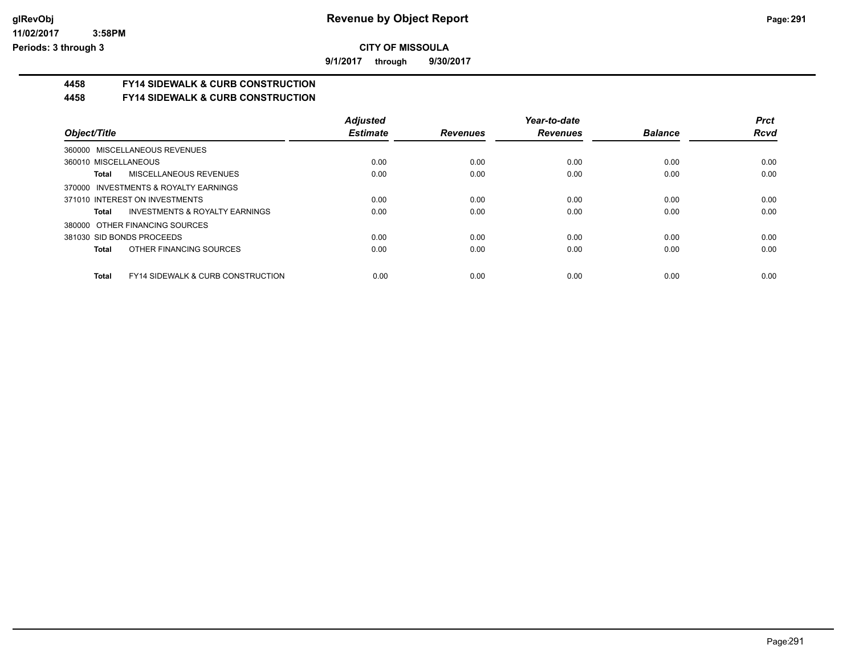**3:58PM**

**glRevObj Revenue by Object Report Page:291** 

**CITY OF MISSOULA**

**9/1/2017 through 9/30/2017**

# **4458 FY14 SIDEWALK & CURB CONSTRUCTION**

# **4458 FY14 SIDEWALK & CURB CONSTRUCTION**

|                                                              | <b>Adjusted</b> |                 | Year-to-date    |                | <b>Prct</b> |
|--------------------------------------------------------------|-----------------|-----------------|-----------------|----------------|-------------|
| Object/Title                                                 | <b>Estimate</b> | <b>Revenues</b> | <b>Revenues</b> | <b>Balance</b> | <b>Rcvd</b> |
| 360000 MISCELLANEOUS REVENUES                                |                 |                 |                 |                |             |
| 360010 MISCELLANEOUS                                         | 0.00            | 0.00            | 0.00            | 0.00           | 0.00        |
| MISCELLANEOUS REVENUES<br>Total                              | 0.00            | 0.00            | 0.00            | 0.00           | 0.00        |
| 370000 INVESTMENTS & ROYALTY EARNINGS                        |                 |                 |                 |                |             |
| 371010 INTEREST ON INVESTMENTS                               | 0.00            | 0.00            | 0.00            | 0.00           | 0.00        |
| <b>INVESTMENTS &amp; ROYALTY EARNINGS</b><br>Total           | 0.00            | 0.00            | 0.00            | 0.00           | 0.00        |
| 380000 OTHER FINANCING SOURCES                               |                 |                 |                 |                |             |
| 381030 SID BONDS PROCEEDS                                    | 0.00            | 0.00            | 0.00            | 0.00           | 0.00        |
| OTHER FINANCING SOURCES<br><b>Total</b>                      | 0.00            | 0.00            | 0.00            | 0.00           | 0.00        |
| <b>FY14 SIDEWALK &amp; CURB CONSTRUCTION</b><br><b>Total</b> | 0.00            | 0.00            | 0.00            | 0.00           | 0.00        |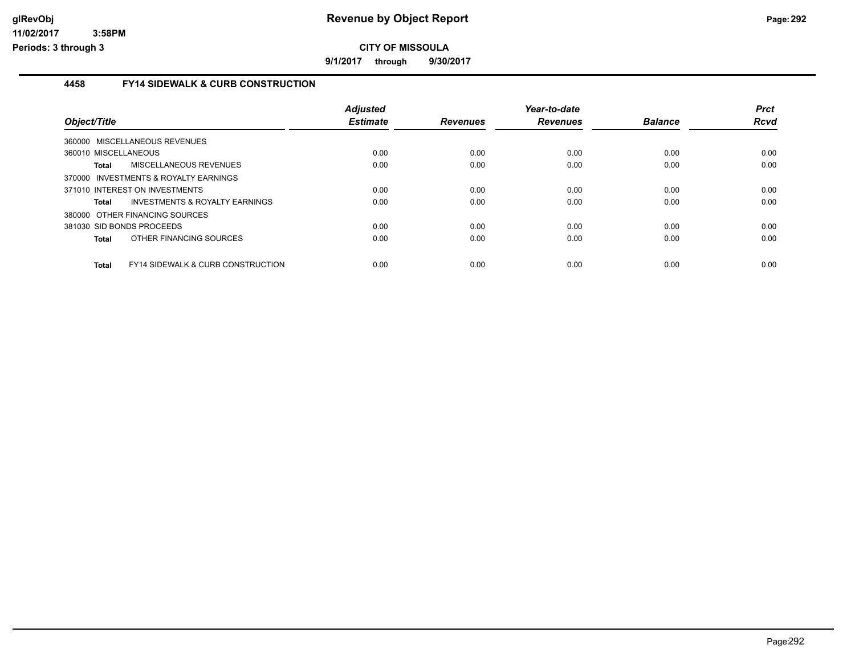**3:58PM**

**CITY OF MISSOULA**

**9/1/2017 through 9/30/2017**

# **4458 FY14 SIDEWALK & CURB CONSTRUCTION**

| Object/Title                          |                                              | <b>Adjusted</b><br><b>Estimate</b> | <b>Revenues</b> | Year-to-date<br><b>Revenues</b> | <b>Balance</b> | <b>Prct</b><br>Rcvd |
|---------------------------------------|----------------------------------------------|------------------------------------|-----------------|---------------------------------|----------------|---------------------|
| 360000 MISCELLANEOUS REVENUES         |                                              |                                    |                 |                                 |                |                     |
| 360010 MISCELLANEOUS                  |                                              | 0.00                               | 0.00            | 0.00                            | 0.00           | 0.00                |
| <b>Total</b>                          | <b>MISCELLANEOUS REVENUES</b>                | 0.00                               | 0.00            | 0.00                            | 0.00           | 0.00                |
| 370000 INVESTMENTS & ROYALTY EARNINGS |                                              |                                    |                 |                                 |                |                     |
| 371010 INTEREST ON INVESTMENTS        |                                              | 0.00                               | 0.00            | 0.00                            | 0.00           | 0.00                |
| <b>Total</b>                          | <b>INVESTMENTS &amp; ROYALTY EARNINGS</b>    | 0.00                               | 0.00            | 0.00                            | 0.00           | 0.00                |
| 380000 OTHER FINANCING SOURCES        |                                              |                                    |                 |                                 |                |                     |
| 381030 SID BONDS PROCEEDS             |                                              | 0.00                               | 0.00            | 0.00                            | 0.00           | 0.00                |
| <b>Total</b>                          | OTHER FINANCING SOURCES                      | 0.00                               | 0.00            | 0.00                            | 0.00           | 0.00                |
| <b>Total</b>                          | <b>FY14 SIDEWALK &amp; CURB CONSTRUCTION</b> | 0.00                               | 0.00            | 0.00                            | 0.00           | 0.00                |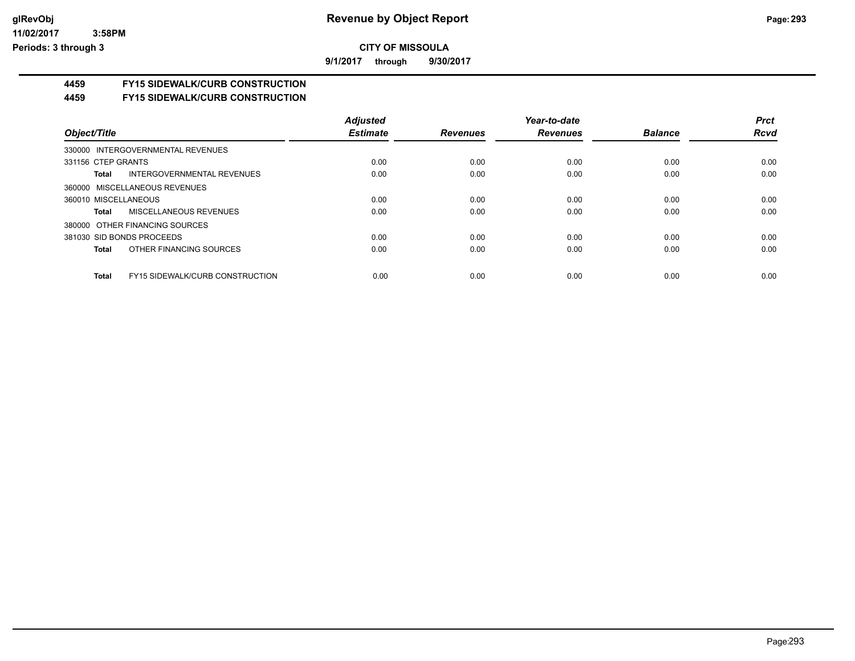**3:58PM**

**glRevObj Revenue by Object Report Page:293** 

**CITY OF MISSOULA**

**9/1/2017 through 9/30/2017**

# **4459 FY15 SIDEWALK/CURB CONSTRUCTION**

**4459 FY15 SIDEWALK/CURB CONSTRUCTION**

|                                                 | <b>Adjusted</b> |                 | Year-to-date    |                | <b>Prct</b> |
|-------------------------------------------------|-----------------|-----------------|-----------------|----------------|-------------|
| Object/Title                                    | <b>Estimate</b> | <b>Revenues</b> | <b>Revenues</b> | <b>Balance</b> | <b>Rcvd</b> |
| 330000 INTERGOVERNMENTAL REVENUES               |                 |                 |                 |                |             |
| 331156 CTEP GRANTS                              | 0.00            | 0.00            | 0.00            | 0.00           | 0.00        |
| INTERGOVERNMENTAL REVENUES<br>Total             | 0.00            | 0.00            | 0.00            | 0.00           | 0.00        |
| 360000 MISCELLANEOUS REVENUES                   |                 |                 |                 |                |             |
| 360010 MISCELLANEOUS                            | 0.00            | 0.00            | 0.00            | 0.00           | 0.00        |
| MISCELLANEOUS REVENUES<br>Total                 | 0.00            | 0.00            | 0.00            | 0.00           | 0.00        |
| 380000 OTHER FINANCING SOURCES                  |                 |                 |                 |                |             |
| 381030 SID BONDS PROCEEDS                       | 0.00            | 0.00            | 0.00            | 0.00           | 0.00        |
| OTHER FINANCING SOURCES<br>Total                | 0.00            | 0.00            | 0.00            | 0.00           | 0.00        |
| <b>FY15 SIDEWALK/CURB CONSTRUCTION</b><br>Total | 0.00            | 0.00            | 0.00            | 0.00           | 0.00        |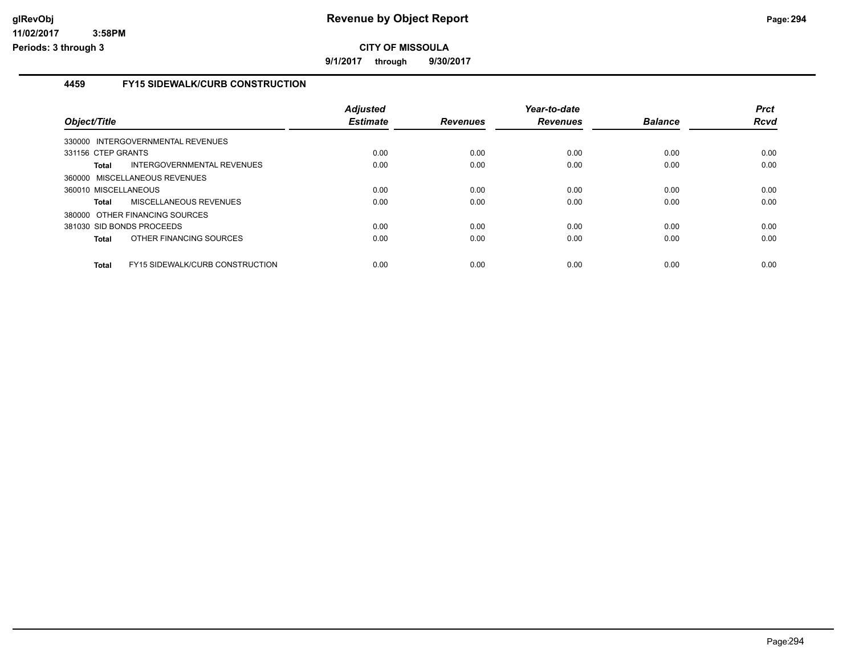**3:58PM**

**CITY OF MISSOULA**

**9/1/2017 through 9/30/2017**

# **4459 FY15 SIDEWALK/CURB CONSTRUCTION**

| Object/Title                                    | <b>Adjusted</b><br><b>Estimate</b> | <b>Revenues</b> | Year-to-date<br><b>Revenues</b> | <b>Balance</b> | <b>Prct</b><br><b>Rcvd</b> |
|-------------------------------------------------|------------------------------------|-----------------|---------------------------------|----------------|----------------------------|
| 330000 INTERGOVERNMENTAL REVENUES               |                                    |                 |                                 |                |                            |
| 331156 CTEP GRANTS                              | 0.00                               | 0.00            | 0.00                            | 0.00           | 0.00                       |
| INTERGOVERNMENTAL REVENUES<br>Total             | 0.00                               | 0.00            | 0.00                            | 0.00           | 0.00                       |
| 360000 MISCELLANEOUS REVENUES                   |                                    |                 |                                 |                |                            |
| 360010 MISCELLANEOUS                            | 0.00                               | 0.00            | 0.00                            | 0.00           | 0.00                       |
| <b>MISCELLANEOUS REVENUES</b><br>Total          | 0.00                               | 0.00            | 0.00                            | 0.00           | 0.00                       |
| 380000 OTHER FINANCING SOURCES                  |                                    |                 |                                 |                |                            |
| 381030 SID BONDS PROCEEDS                       | 0.00                               | 0.00            | 0.00                            | 0.00           | 0.00                       |
| OTHER FINANCING SOURCES<br>Total                | 0.00                               | 0.00            | 0.00                            | 0.00           | 0.00                       |
| FY15 SIDEWALK/CURB CONSTRUCTION<br><b>Total</b> | 0.00                               | 0.00            | 0.00                            | 0.00           | 0.00                       |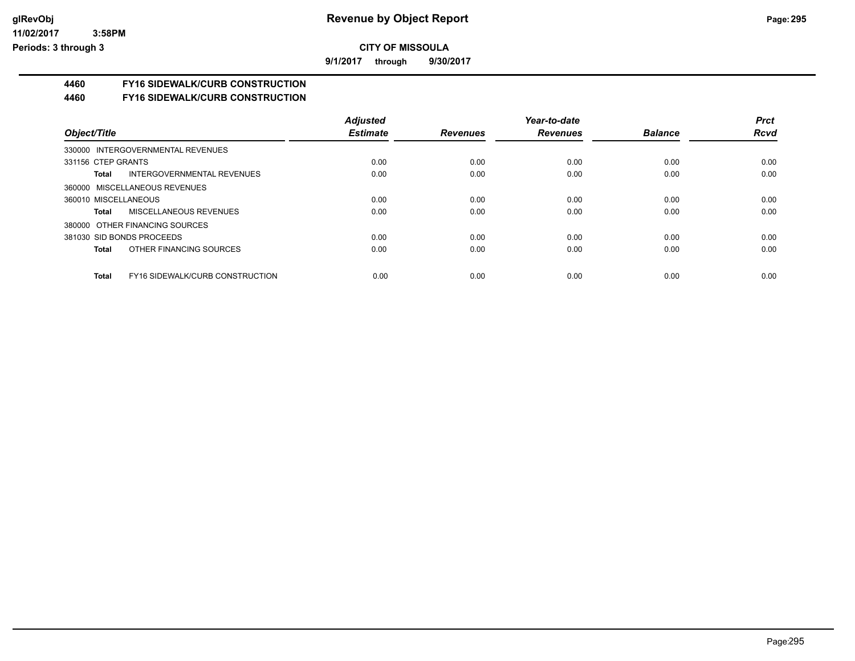**11/02/2017 3:58PM Periods: 3 through 3**

# **CITY OF MISSOULA**

**9/1/2017 through 9/30/2017**

# **4460 FY16 SIDEWALK/CURB CONSTRUCTION**

**4460 FY16 SIDEWALK/CURB CONSTRUCTION**

|                                          | <b>Adjusted</b> |                 | Year-to-date    |                | <b>Prct</b> |
|------------------------------------------|-----------------|-----------------|-----------------|----------------|-------------|
| Object/Title                             | <b>Estimate</b> | <b>Revenues</b> | <b>Revenues</b> | <b>Balance</b> | <b>Rcvd</b> |
| 330000 INTERGOVERNMENTAL REVENUES        |                 |                 |                 |                |             |
| 331156 CTEP GRANTS                       | 0.00            | 0.00            | 0.00            | 0.00           | 0.00        |
| INTERGOVERNMENTAL REVENUES<br>Total      | 0.00            | 0.00            | 0.00            | 0.00           | 0.00        |
| 360000 MISCELLANEOUS REVENUES            |                 |                 |                 |                |             |
| 360010 MISCELLANEOUS                     | 0.00            | 0.00            | 0.00            | 0.00           | 0.00        |
| <b>MISCELLANEOUS REVENUES</b><br>Total   | 0.00            | 0.00            | 0.00            | 0.00           | 0.00        |
| 380000 OTHER FINANCING SOURCES           |                 |                 |                 |                |             |
| 381030 SID BONDS PROCEEDS                | 0.00            | 0.00            | 0.00            | 0.00           | 0.00        |
| OTHER FINANCING SOURCES<br>Total         | 0.00            | 0.00            | 0.00            | 0.00           | 0.00        |
| FY16 SIDEWALK/CURB CONSTRUCTION<br>Total | 0.00            | 0.00            | 0.00            | 0.00           | 0.00        |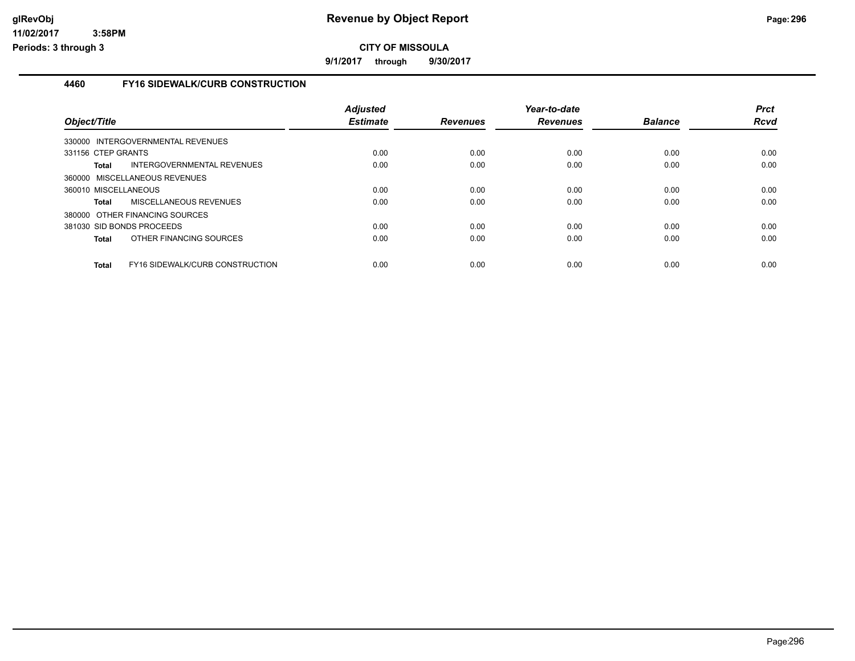**3:58PM**

**CITY OF MISSOULA**

**9/1/2017 through 9/30/2017**

# **4460 FY16 SIDEWALK/CURB CONSTRUCTION**

| Object/Title                                    | <b>Adjusted</b><br><b>Estimate</b> | <b>Revenues</b> | Year-to-date<br><b>Revenues</b> | <b>Balance</b> | <b>Prct</b><br><b>Rcvd</b> |
|-------------------------------------------------|------------------------------------|-----------------|---------------------------------|----------------|----------------------------|
| 330000 INTERGOVERNMENTAL REVENUES               |                                    |                 |                                 |                |                            |
| 331156 CTEP GRANTS                              | 0.00                               | 0.00            | 0.00                            | 0.00           | 0.00                       |
| INTERGOVERNMENTAL REVENUES<br>Total             | 0.00                               | 0.00            | 0.00                            | 0.00           | 0.00                       |
| 360000 MISCELLANEOUS REVENUES                   |                                    |                 |                                 |                |                            |
| 360010 MISCELLANEOUS                            | 0.00                               | 0.00            | 0.00                            | 0.00           | 0.00                       |
| MISCELLANEOUS REVENUES<br>Total                 | 0.00                               | 0.00            | 0.00                            | 0.00           | 0.00                       |
| 380000 OTHER FINANCING SOURCES                  |                                    |                 |                                 |                |                            |
| 381030 SID BONDS PROCEEDS                       | 0.00                               | 0.00            | 0.00                            | 0.00           | 0.00                       |
| OTHER FINANCING SOURCES<br>Total                | 0.00                               | 0.00            | 0.00                            | 0.00           | 0.00                       |
| FY16 SIDEWALK/CURB CONSTRUCTION<br><b>Total</b> | 0.00                               | 0.00            | 0.00                            | 0.00           | 0.00                       |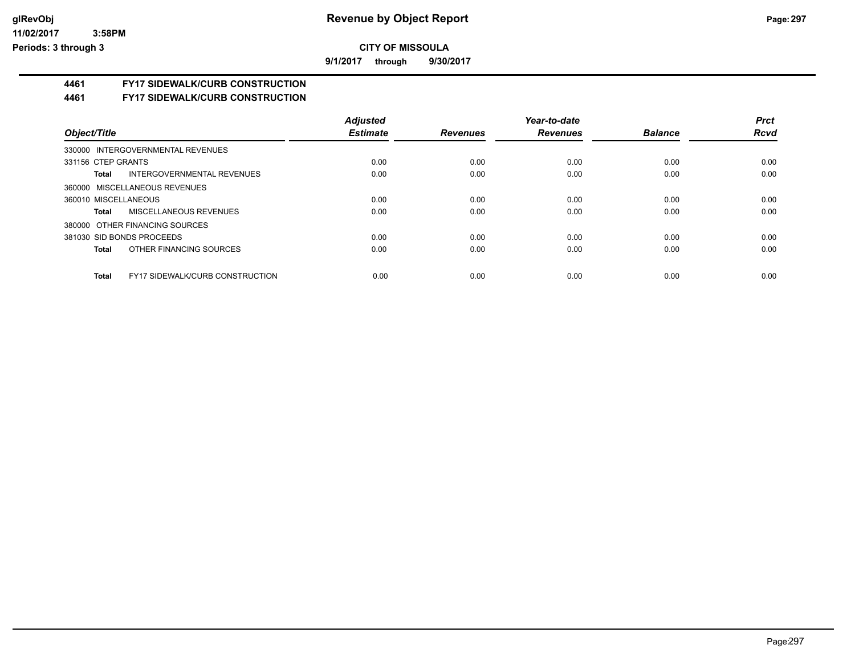**3:58PM**

**glRevObj Revenue by Object Report Page:297** 

**CITY OF MISSOULA**

**9/1/2017 through 9/30/2017**

# **4461 FY17 SIDEWALK/CURB CONSTRUCTION**

**4461 FY17 SIDEWALK/CURB CONSTRUCTION**

|                                                 | <b>Adjusted</b> |                 | Year-to-date    |                | <b>Prct</b> |
|-------------------------------------------------|-----------------|-----------------|-----------------|----------------|-------------|
| Object/Title                                    | <b>Estimate</b> | <b>Revenues</b> | <b>Revenues</b> | <b>Balance</b> | <b>Rcvd</b> |
| 330000 INTERGOVERNMENTAL REVENUES               |                 |                 |                 |                |             |
| 331156 CTEP GRANTS                              | 0.00            | 0.00            | 0.00            | 0.00           | 0.00        |
| INTERGOVERNMENTAL REVENUES<br>Total             | 0.00            | 0.00            | 0.00            | 0.00           | 0.00        |
| 360000 MISCELLANEOUS REVENUES                   |                 |                 |                 |                |             |
| 360010 MISCELLANEOUS                            | 0.00            | 0.00            | 0.00            | 0.00           | 0.00        |
| <b>MISCELLANEOUS REVENUES</b><br>Total          | 0.00            | 0.00            | 0.00            | 0.00           | 0.00        |
| 380000 OTHER FINANCING SOURCES                  |                 |                 |                 |                |             |
| 381030 SID BONDS PROCEEDS                       | 0.00            | 0.00            | 0.00            | 0.00           | 0.00        |
| OTHER FINANCING SOURCES<br>Total                | 0.00            | 0.00            | 0.00            | 0.00           | 0.00        |
| <b>FY17 SIDEWALK/CURB CONSTRUCTION</b><br>Total | 0.00            | 0.00            | 0.00            | 0.00           | 0.00        |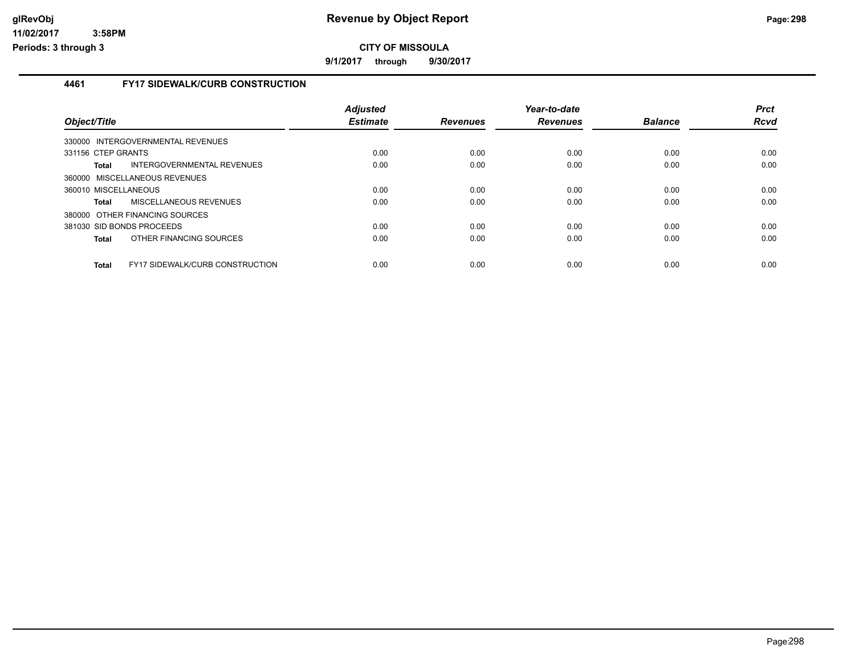**3:58PM**

**CITY OF MISSOULA**

**9/1/2017 through 9/30/2017**

# **4461 FY17 SIDEWALK/CURB CONSTRUCTION**

| Object/Title                                           | <b>Adjusted</b><br><b>Estimate</b> | <b>Revenues</b> | Year-to-date<br><b>Revenues</b> | <b>Balance</b> | <b>Prct</b><br><b>Rcvd</b> |
|--------------------------------------------------------|------------------------------------|-----------------|---------------------------------|----------------|----------------------------|
| 330000 INTERGOVERNMENTAL REVENUES                      |                                    |                 |                                 |                |                            |
| 331156 CTEP GRANTS                                     | 0.00                               | 0.00            | 0.00                            | 0.00           | 0.00                       |
| INTERGOVERNMENTAL REVENUES<br>Total                    | 0.00                               | 0.00            | 0.00                            | 0.00           | 0.00                       |
| 360000 MISCELLANEOUS REVENUES                          |                                    |                 |                                 |                |                            |
| 360010 MISCELLANEOUS                                   | 0.00                               | 0.00            | 0.00                            | 0.00           | 0.00                       |
| MISCELLANEOUS REVENUES<br>Total                        | 0.00                               | 0.00            | 0.00                            | 0.00           | 0.00                       |
| 380000 OTHER FINANCING SOURCES                         |                                    |                 |                                 |                |                            |
| 381030 SID BONDS PROCEEDS                              | 0.00                               | 0.00            | 0.00                            | 0.00           | 0.00                       |
| OTHER FINANCING SOURCES<br><b>Total</b>                | 0.00                               | 0.00            | 0.00                            | 0.00           | 0.00                       |
| <b>FY17 SIDEWALK/CURB CONSTRUCTION</b><br><b>Total</b> | 0.00                               | 0.00            | 0.00                            | 0.00           | 0.00                       |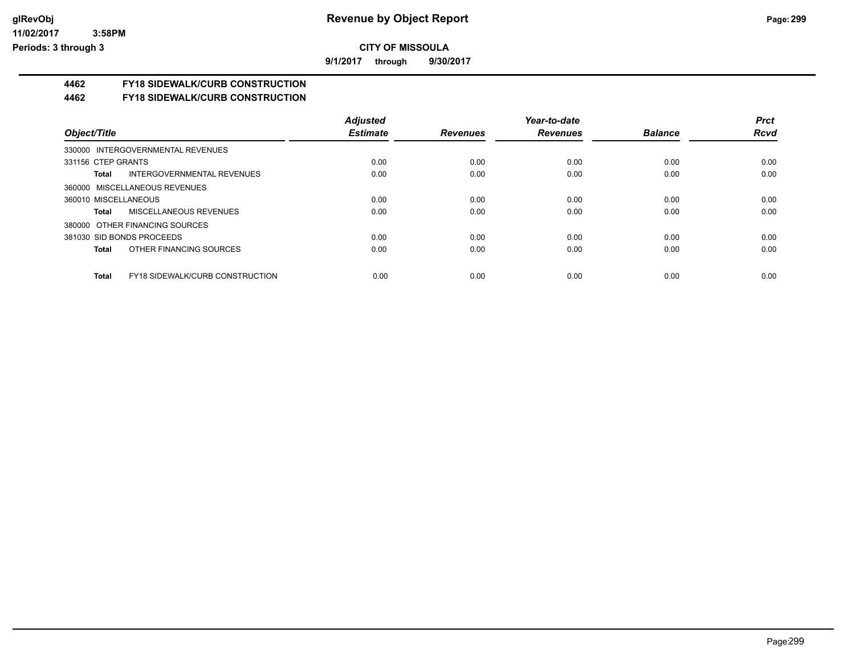**3:58PM**

**glRevObj Revenue by Object Report Page:299** 

**CITY OF MISSOULA**

**9/1/2017 through 9/30/2017**

# **4462 FY18 SIDEWALK/CURB CONSTRUCTION**

**4462 FY18 SIDEWALK/CURB CONSTRUCTION**

|                                                 | <b>Adjusted</b> |                 | Year-to-date    |                | <b>Prct</b> |
|-------------------------------------------------|-----------------|-----------------|-----------------|----------------|-------------|
| Object/Title                                    | <b>Estimate</b> | <b>Revenues</b> | <b>Revenues</b> | <b>Balance</b> | <b>Rcvd</b> |
| 330000 INTERGOVERNMENTAL REVENUES               |                 |                 |                 |                |             |
| 331156 CTEP GRANTS                              | 0.00            | 0.00            | 0.00            | 0.00           | 0.00        |
| INTERGOVERNMENTAL REVENUES<br>Total             | 0.00            | 0.00            | 0.00            | 0.00           | 0.00        |
| 360000 MISCELLANEOUS REVENUES                   |                 |                 |                 |                |             |
| 360010 MISCELLANEOUS                            | 0.00            | 0.00            | 0.00            | 0.00           | 0.00        |
| <b>MISCELLANEOUS REVENUES</b><br>Total          | 0.00            | 0.00            | 0.00            | 0.00           | 0.00        |
| 380000 OTHER FINANCING SOURCES                  |                 |                 |                 |                |             |
| 381030 SID BONDS PROCEEDS                       | 0.00            | 0.00            | 0.00            | 0.00           | 0.00        |
| OTHER FINANCING SOURCES<br>Total                | 0.00            | 0.00            | 0.00            | 0.00           | 0.00        |
| <b>FY18 SIDEWALK/CURB CONSTRUCTION</b><br>Total | 0.00            | 0.00            | 0.00            | 0.00           | 0.00        |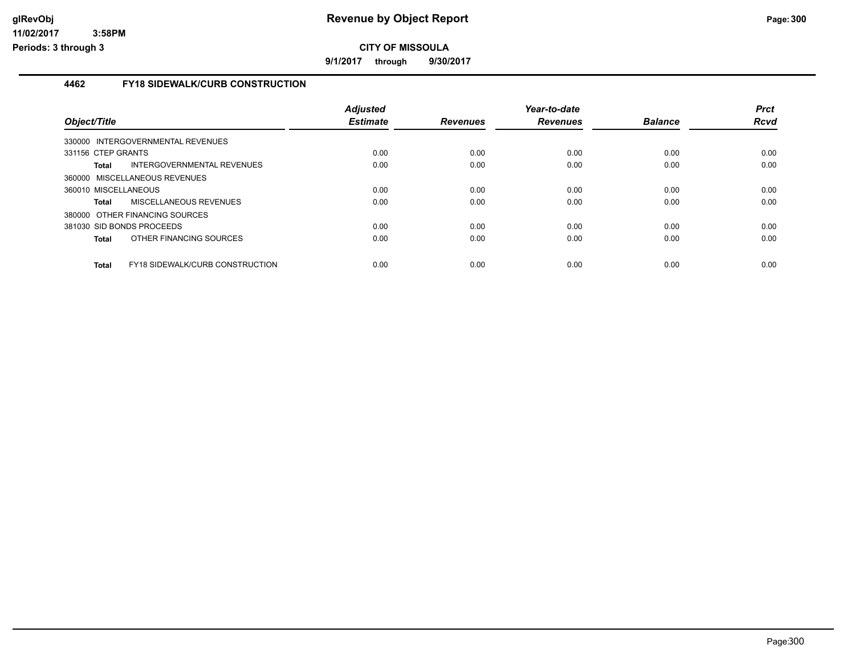**3:58PM**

**CITY OF MISSOULA**

**9/1/2017 through 9/30/2017**

# **4462 FY18 SIDEWALK/CURB CONSTRUCTION**

| Object/Title                                    | <b>Adjusted</b><br><b>Estimate</b> | <b>Revenues</b> | Year-to-date<br><b>Revenues</b> | <b>Balance</b> | <b>Prct</b><br><b>Rcvd</b> |
|-------------------------------------------------|------------------------------------|-----------------|---------------------------------|----------------|----------------------------|
| 330000 INTERGOVERNMENTAL REVENUES               |                                    |                 |                                 |                |                            |
| 331156 CTEP GRANTS                              | 0.00                               | 0.00            | 0.00                            | 0.00           | 0.00                       |
| INTERGOVERNMENTAL REVENUES<br>Total             | 0.00                               | 0.00            | 0.00                            | 0.00           | 0.00                       |
| 360000 MISCELLANEOUS REVENUES                   |                                    |                 |                                 |                |                            |
| 360010 MISCELLANEOUS                            | 0.00                               | 0.00            | 0.00                            | 0.00           | 0.00                       |
| MISCELLANEOUS REVENUES<br>Total                 | 0.00                               | 0.00            | 0.00                            | 0.00           | 0.00                       |
| 380000 OTHER FINANCING SOURCES                  |                                    |                 |                                 |                |                            |
| 381030 SID BONDS PROCEEDS                       | 0.00                               | 0.00            | 0.00                            | 0.00           | 0.00                       |
| OTHER FINANCING SOURCES<br>Total                | 0.00                               | 0.00            | 0.00                            | 0.00           | 0.00                       |
| FY18 SIDEWALK/CURB CONSTRUCTION<br><b>Total</b> | 0.00                               | 0.00            | 0.00                            | 0.00           | 0.00                       |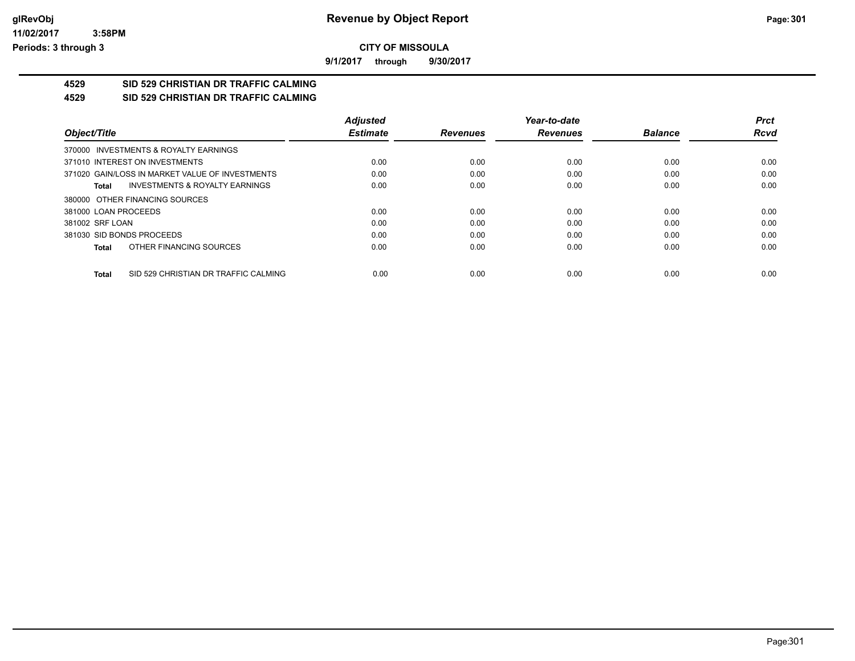**3:58PM**

**glRevObj Revenue by Object Report Page:301** 

**CITY OF MISSOULA**

**9/1/2017 through 9/30/2017**

### **4529 SID 529 CHRISTIAN DR TRAFFIC CALMING 4529 SID 529 CHRISTIAN DR TRAFFIC CALMING**

|                                                      | <b>Adjusted</b> |                 | Year-to-date    |                | <b>Prct</b> |
|------------------------------------------------------|-----------------|-----------------|-----------------|----------------|-------------|
| Object/Title                                         | <b>Estimate</b> | <b>Revenues</b> | <b>Revenues</b> | <b>Balance</b> | <b>Rcvd</b> |
| INVESTMENTS & ROYALTY EARNINGS<br>370000             |                 |                 |                 |                |             |
| 371010 INTEREST ON INVESTMENTS                       | 0.00            | 0.00            | 0.00            | 0.00           | 0.00        |
| 371020 GAIN/LOSS IN MARKET VALUE OF INVESTMENTS      | 0.00            | 0.00            | 0.00            | 0.00           | 0.00        |
| <b>INVESTMENTS &amp; ROYALTY EARNINGS</b><br>Total   | 0.00            | 0.00            | 0.00            | 0.00           | 0.00        |
| 380000 OTHER FINANCING SOURCES                       |                 |                 |                 |                |             |
| 381000 LOAN PROCEEDS                                 | 0.00            | 0.00            | 0.00            | 0.00           | 0.00        |
| 381002 SRF LOAN                                      | 0.00            | 0.00            | 0.00            | 0.00           | 0.00        |
| 381030 SID BONDS PROCEEDS                            | 0.00            | 0.00            | 0.00            | 0.00           | 0.00        |
| OTHER FINANCING SOURCES<br>Total                     | 0.00            | 0.00            | 0.00            | 0.00           | 0.00        |
|                                                      |                 |                 |                 |                |             |
| SID 529 CHRISTIAN DR TRAFFIC CALMING<br><b>Total</b> | 0.00            | 0.00            | 0.00            | 0.00           | 0.00        |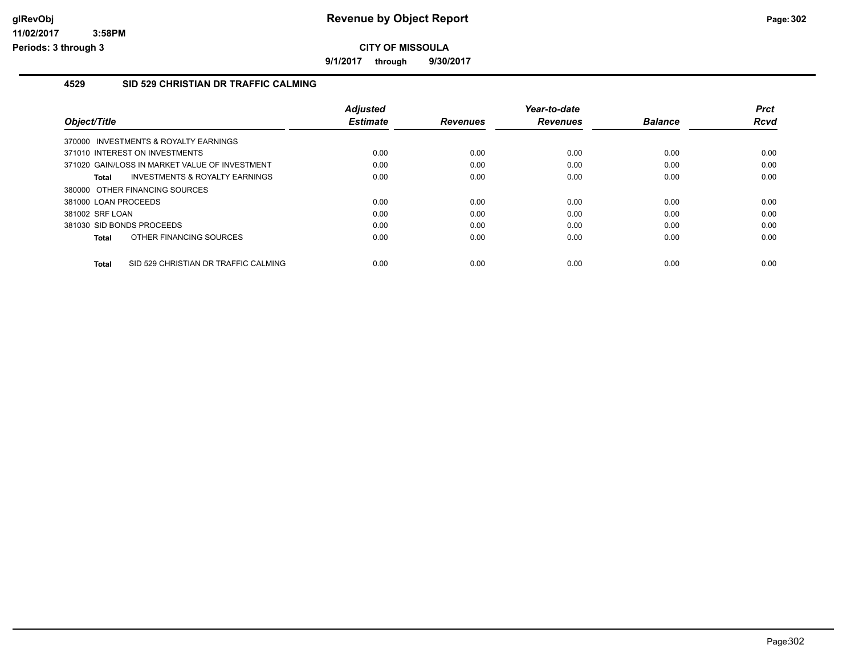**3:58PM**

**CITY OF MISSOULA**

**9/1/2017 through 9/30/2017**

# **4529 SID 529 CHRISTIAN DR TRAFFIC CALMING**

| Object/Title                                       | <b>Adjusted</b><br><b>Estimate</b> | <b>Revenues</b> | Year-to-date<br><b>Revenues</b> | <b>Balance</b> | <b>Prct</b><br>Rcvd |
|----------------------------------------------------|------------------------------------|-----------------|---------------------------------|----------------|---------------------|
| 370000 INVESTMENTS & ROYALTY EARNINGS              |                                    |                 |                                 |                |                     |
| 371010 INTEREST ON INVESTMENTS                     | 0.00                               | 0.00            | 0.00                            | 0.00           | 0.00                |
| 371020 GAIN/LOSS IN MARKET VALUE OF INVESTMENT     | 0.00                               | 0.00            | 0.00                            | 0.00           | 0.00                |
| <b>INVESTMENTS &amp; ROYALTY EARNINGS</b><br>Total | 0.00                               | 0.00            | 0.00                            | 0.00           | 0.00                |
| 380000 OTHER FINANCING SOURCES                     |                                    |                 |                                 |                |                     |
| 381000 LOAN PROCEEDS                               | 0.00                               | 0.00            | 0.00                            | 0.00           | 0.00                |
| 381002 SRF LOAN                                    | 0.00                               | 0.00            | 0.00                            | 0.00           | 0.00                |
| 381030 SID BONDS PROCEEDS                          | 0.00                               | 0.00            | 0.00                            | 0.00           | 0.00                |
| OTHER FINANCING SOURCES<br>Total                   | 0.00                               | 0.00            | 0.00                            | 0.00           | 0.00                |
| SID 529 CHRISTIAN DR TRAFFIC CALMING<br>Total      | 0.00                               | 0.00            | 0.00                            | 0.00           | 0.00                |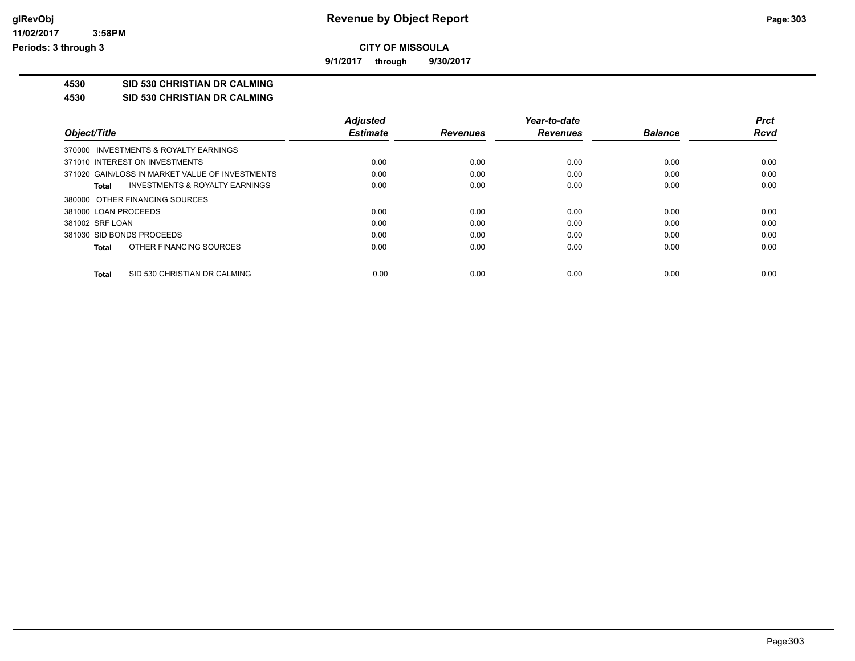**11/02/2017 3:58PM Periods: 3 through 3**

**CITY OF MISSOULA**

**9/1/2017 through 9/30/2017**

# **4530 SID 530 CHRISTIAN DR CALMING**

#### **4530 SID 530 CHRISTIAN DR CALMING**

|                                                 | <b>Adjusted</b> |                 | Year-to-date    |                | <b>Prct</b> |
|-------------------------------------------------|-----------------|-----------------|-----------------|----------------|-------------|
| Object/Title                                    | <b>Estimate</b> | <b>Revenues</b> | <b>Revenues</b> | <b>Balance</b> | <b>Rcvd</b> |
| 370000 INVESTMENTS & ROYALTY EARNINGS           |                 |                 |                 |                |             |
| 371010 INTEREST ON INVESTMENTS                  | 0.00            | 0.00            | 0.00            | 0.00           | 0.00        |
| 371020 GAIN/LOSS IN MARKET VALUE OF INVESTMENTS | 0.00            | 0.00            | 0.00            | 0.00           | 0.00        |
| INVESTMENTS & ROYALTY EARNINGS<br>Total         | 0.00            | 0.00            | 0.00            | 0.00           | 0.00        |
| 380000 OTHER FINANCING SOURCES                  |                 |                 |                 |                |             |
| 381000 LOAN PROCEEDS                            | 0.00            | 0.00            | 0.00            | 0.00           | 0.00        |
| 381002 SRF LOAN                                 | 0.00            | 0.00            | 0.00            | 0.00           | 0.00        |
| 381030 SID BONDS PROCEEDS                       | 0.00            | 0.00            | 0.00            | 0.00           | 0.00        |
| OTHER FINANCING SOURCES<br>Total                | 0.00            | 0.00            | 0.00            | 0.00           | 0.00        |
| SID 530 CHRISTIAN DR CALMING<br>Total           | 0.00            | 0.00            | 0.00            | 0.00           | 0.00        |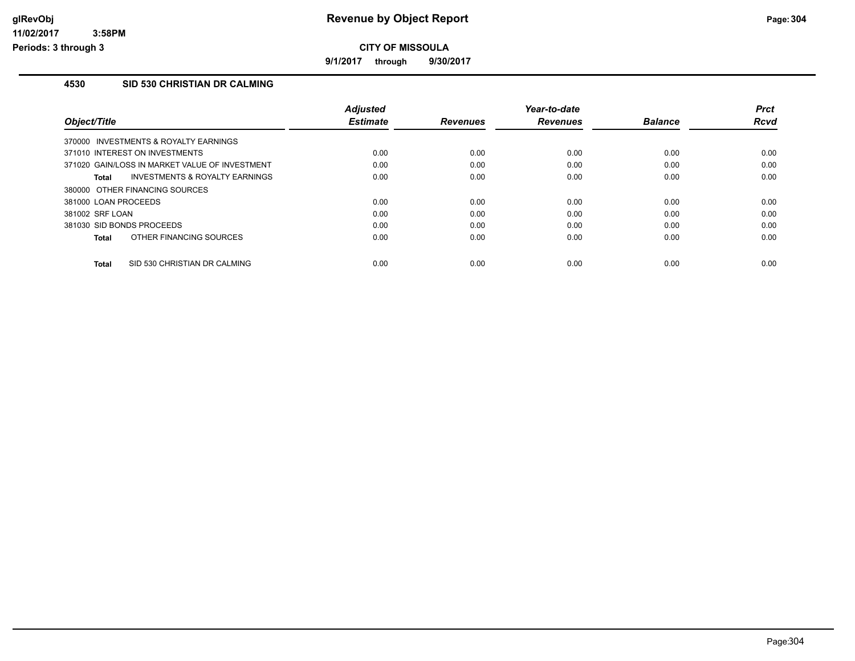**CITY OF MISSOULA**

**9/1/2017 through 9/30/2017**

# **4530 SID 530 CHRISTIAN DR CALMING**

 **3:58PM**

| Object/Title                                   | <b>Adjusted</b><br><b>Estimate</b> | <b>Revenues</b> | Year-to-date<br><b>Revenues</b> | <b>Balance</b> | <b>Prct</b><br>Rcvd |
|------------------------------------------------|------------------------------------|-----------------|---------------------------------|----------------|---------------------|
| 370000 INVESTMENTS & ROYALTY EARNINGS          |                                    |                 |                                 |                |                     |
| 371010 INTEREST ON INVESTMENTS                 | 0.00                               | 0.00            | 0.00                            | 0.00           | 0.00                |
| 371020 GAIN/LOSS IN MARKET VALUE OF INVESTMENT | 0.00                               | 0.00            | 0.00                            | 0.00           | 0.00                |
| INVESTMENTS & ROYALTY EARNINGS<br>Total        | 0.00                               | 0.00            | 0.00                            | 0.00           | 0.00                |
| 380000 OTHER FINANCING SOURCES                 |                                    |                 |                                 |                |                     |
| 381000 LOAN PROCEEDS                           | 0.00                               | 0.00            | 0.00                            | 0.00           | 0.00                |
| 381002 SRF LOAN                                | 0.00                               | 0.00            | 0.00                            | 0.00           | 0.00                |
| 381030 SID BONDS PROCEEDS                      | 0.00                               | 0.00            | 0.00                            | 0.00           | 0.00                |
| OTHER FINANCING SOURCES<br><b>Total</b>        | 0.00                               | 0.00            | 0.00                            | 0.00           | 0.00                |
| SID 530 CHRISTIAN DR CALMING<br><b>Total</b>   | 0.00                               | 0.00            | 0.00                            | 0.00           | 0.00                |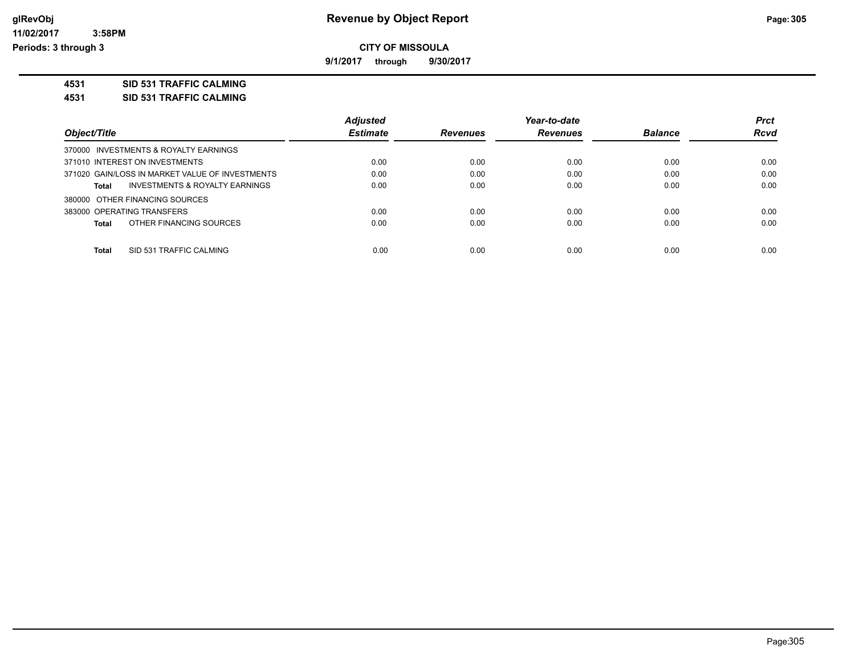**9/1/2017 through 9/30/2017**

#### **4531 SID 531 TRAFFIC CALMING**

**4531 SID 531 TRAFFIC CALMING**

|                                                 | <b>Adjusted</b> |                 | Year-to-date    |                | <b>Prct</b> |
|-------------------------------------------------|-----------------|-----------------|-----------------|----------------|-------------|
| Object/Title                                    | <b>Estimate</b> | <b>Revenues</b> | <b>Revenues</b> | <b>Balance</b> | <b>Rcvd</b> |
| 370000 INVESTMENTS & ROYALTY EARNINGS           |                 |                 |                 |                |             |
| 371010 INTEREST ON INVESTMENTS                  | 0.00            | 0.00            | 0.00            | 0.00           | 0.00        |
| 371020 GAIN/LOSS IN MARKET VALUE OF INVESTMENTS | 0.00            | 0.00            | 0.00            | 0.00           | 0.00        |
| INVESTMENTS & ROYALTY EARNINGS<br>Total         | 0.00            | 0.00            | 0.00            | 0.00           | 0.00        |
| 380000 OTHER FINANCING SOURCES                  |                 |                 |                 |                |             |
| 383000 OPERATING TRANSFERS                      | 0.00            | 0.00            | 0.00            | 0.00           | 0.00        |
| OTHER FINANCING SOURCES<br>Total                | 0.00            | 0.00            | 0.00            | 0.00           | 0.00        |
|                                                 |                 |                 |                 |                |             |
| <b>Total</b><br>SID 531 TRAFFIC CALMING         | 0.00            | 0.00            | 0.00            | 0.00           | 0.00        |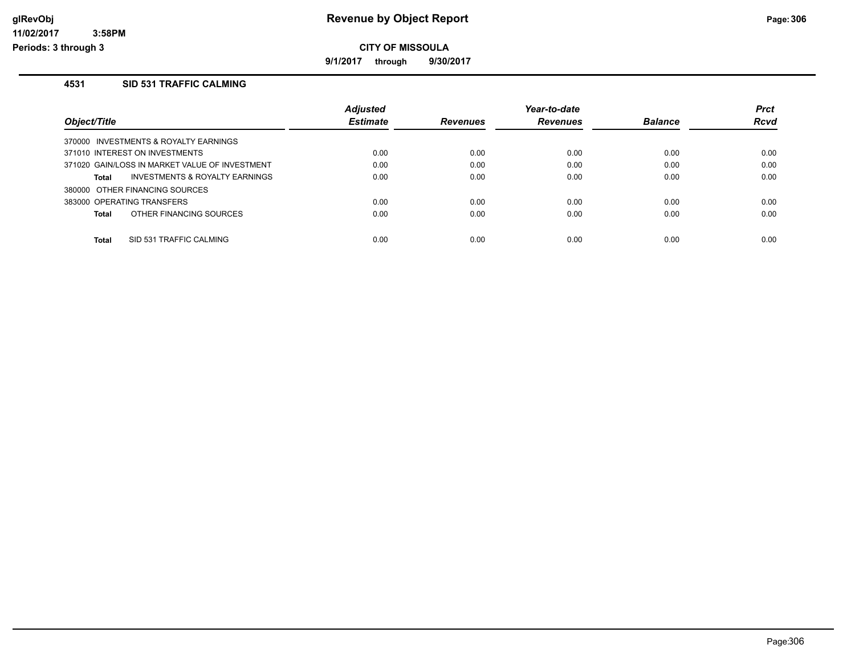**CITY OF MISSOULA**

**9/1/2017 through 9/30/2017**

#### **4531 SID 531 TRAFFIC CALMING**

 **3:58PM**

|                                                | <b>Adjusted</b> |                 | Year-to-date    |                | <b>Prct</b> |
|------------------------------------------------|-----------------|-----------------|-----------------|----------------|-------------|
| Object/Title                                   | <b>Estimate</b> | <b>Revenues</b> | <b>Revenues</b> | <b>Balance</b> | <b>Rcvd</b> |
| 370000 INVESTMENTS & ROYALTY EARNINGS          |                 |                 |                 |                |             |
| 371010 INTEREST ON INVESTMENTS                 | 0.00            | 0.00            | 0.00            | 0.00           | 0.00        |
| 371020 GAIN/LOSS IN MARKET VALUE OF INVESTMENT | 0.00            | 0.00            | 0.00            | 0.00           | 0.00        |
| INVESTMENTS & ROYALTY EARNINGS<br>Total        | 0.00            | 0.00            | 0.00            | 0.00           | 0.00        |
| 380000 OTHER FINANCING SOURCES                 |                 |                 |                 |                |             |
| 383000 OPERATING TRANSFERS                     | 0.00            | 0.00            | 0.00            | 0.00           | 0.00        |
| OTHER FINANCING SOURCES<br><b>Total</b>        | 0.00            | 0.00            | 0.00            | 0.00           | 0.00        |
|                                                |                 |                 |                 |                |             |
| <b>Total</b><br>SID 531 TRAFFIC CALMING        | 0.00            | 0.00            | 0.00            | 0.00           | 0.00        |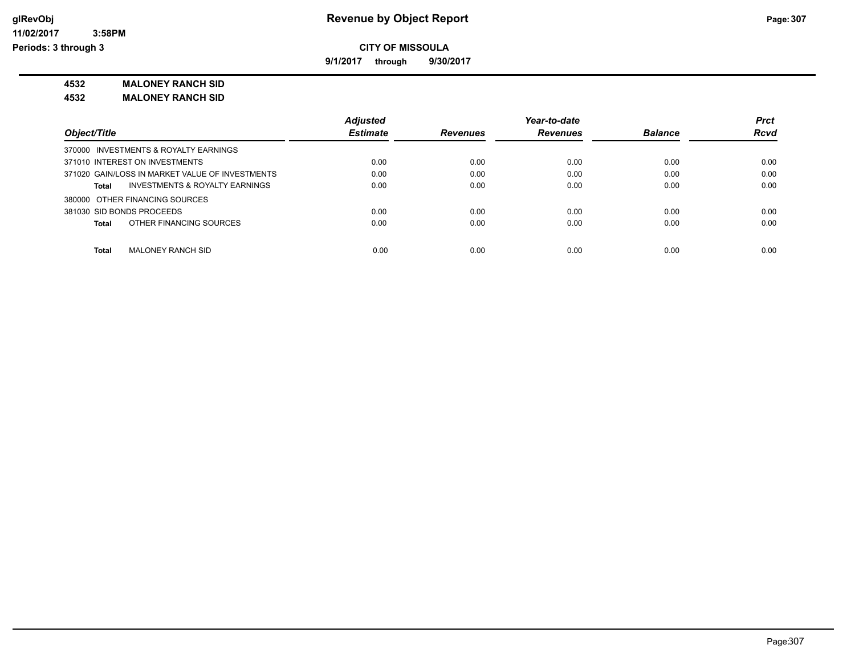**9/1/2017 through 9/30/2017**

#### **4532 MALONEY RANCH SID**

**4532 MALONEY RANCH SID**

|                                                    | <b>Adjusted</b> |                 | Year-to-date    |                | <b>Prct</b> |
|----------------------------------------------------|-----------------|-----------------|-----------------|----------------|-------------|
| Object/Title                                       | <b>Estimate</b> | <b>Revenues</b> | <b>Revenues</b> | <b>Balance</b> | <b>Rcvd</b> |
| 370000 INVESTMENTS & ROYALTY EARNINGS              |                 |                 |                 |                |             |
| 371010 INTEREST ON INVESTMENTS                     | 0.00            | 0.00            | 0.00            | 0.00           | 0.00        |
| 371020 GAIN/LOSS IN MARKET VALUE OF INVESTMENTS    | 0.00            | 0.00            | 0.00            | 0.00           | 0.00        |
| <b>INVESTMENTS &amp; ROYALTY EARNINGS</b><br>Total | 0.00            | 0.00            | 0.00            | 0.00           | 0.00        |
| 380000 OTHER FINANCING SOURCES                     |                 |                 |                 |                |             |
| 381030 SID BONDS PROCEEDS                          | 0.00            | 0.00            | 0.00            | 0.00           | 0.00        |
| OTHER FINANCING SOURCES<br><b>Total</b>            | 0.00            | 0.00            | 0.00            | 0.00           | 0.00        |
|                                                    |                 |                 |                 |                |             |
| <b>Total</b><br>MALONEY RANCH SID                  | 0.00            | 0.00            | 0.00            | 0.00           | 0.00        |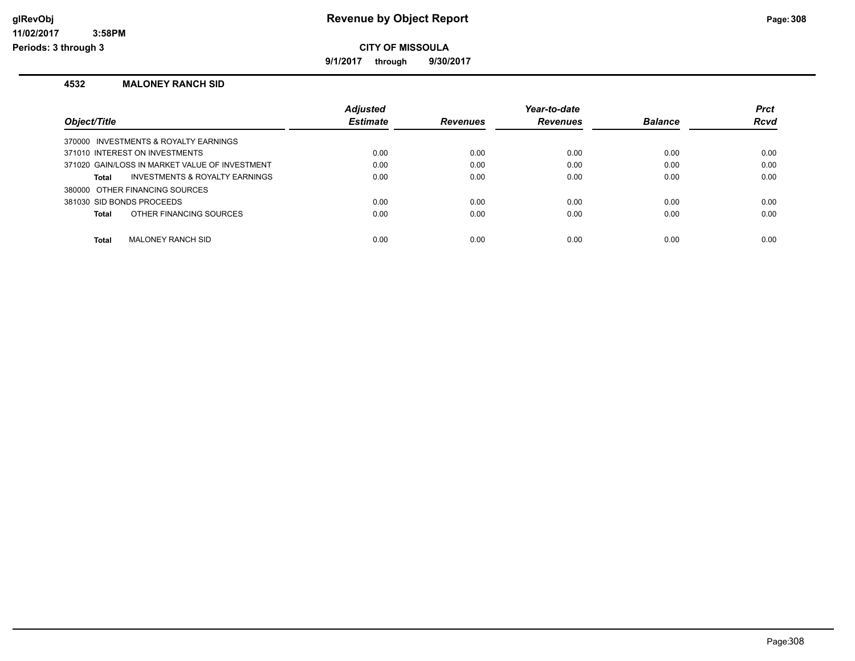**CITY OF MISSOULA**

**9/1/2017 through 9/30/2017**

#### **4532 MALONEY RANCH SID**

 **3:58PM**

|                                                | <b>Adjusted</b> |                 | Year-to-date    |                | <b>Prct</b> |
|------------------------------------------------|-----------------|-----------------|-----------------|----------------|-------------|
| Object/Title                                   | <b>Estimate</b> | <b>Revenues</b> | <b>Revenues</b> | <b>Balance</b> | <b>Rcvd</b> |
| 370000 INVESTMENTS & ROYALTY EARNINGS          |                 |                 |                 |                |             |
| 371010 INTEREST ON INVESTMENTS                 | 0.00            | 0.00            | 0.00            | 0.00           | 0.00        |
| 371020 GAIN/LOSS IN MARKET VALUE OF INVESTMENT | 0.00            | 0.00            | 0.00            | 0.00           | 0.00        |
| INVESTMENTS & ROYALTY EARNINGS<br>Total        | 0.00            | 0.00            | 0.00            | 0.00           | 0.00        |
| 380000 OTHER FINANCING SOURCES                 |                 |                 |                 |                |             |
| 381030 SID BONDS PROCEEDS                      | 0.00            | 0.00            | 0.00            | 0.00           | 0.00        |
| OTHER FINANCING SOURCES<br>Total               | 0.00            | 0.00            | 0.00            | 0.00           | 0.00        |
|                                                |                 |                 |                 |                |             |
| <b>Total</b><br>MALONEY RANCH SID              | 0.00            | 0.00            | 0.00            | 0.00           | 0.00        |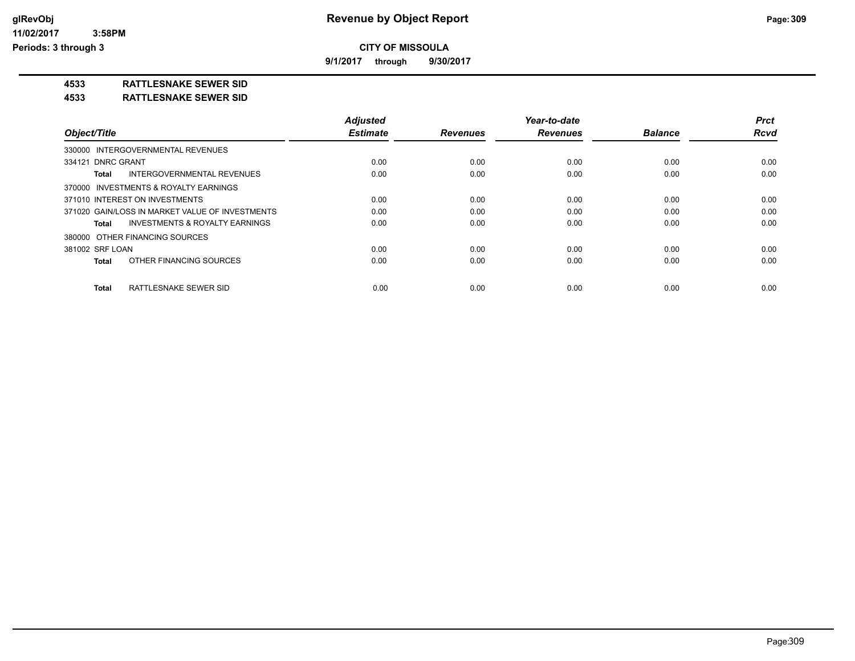**9/1/2017 through 9/30/2017**

### **4533 RATTLESNAKE SEWER SID**

**4533 RATTLESNAKE SEWER SID**

|                                                    | <b>Adjusted</b> |                 | Year-to-date    |                | <b>Prct</b> |
|----------------------------------------------------|-----------------|-----------------|-----------------|----------------|-------------|
| Object/Title                                       | <b>Estimate</b> | <b>Revenues</b> | <b>Revenues</b> | <b>Balance</b> | <b>Rcvd</b> |
| 330000 INTERGOVERNMENTAL REVENUES                  |                 |                 |                 |                |             |
| 334121 DNRC GRANT                                  | 0.00            | 0.00            | 0.00            | 0.00           | 0.00        |
| INTERGOVERNMENTAL REVENUES<br>Total                | 0.00            | 0.00            | 0.00            | 0.00           | 0.00        |
| 370000 INVESTMENTS & ROYALTY EARNINGS              |                 |                 |                 |                |             |
| 371010 INTEREST ON INVESTMENTS                     | 0.00            | 0.00            | 0.00            | 0.00           | 0.00        |
| 371020 GAIN/LOSS IN MARKET VALUE OF INVESTMENTS    | 0.00            | 0.00            | 0.00            | 0.00           | 0.00        |
| <b>INVESTMENTS &amp; ROYALTY EARNINGS</b><br>Total | 0.00            | 0.00            | 0.00            | 0.00           | 0.00        |
| 380000 OTHER FINANCING SOURCES                     |                 |                 |                 |                |             |
| 381002 SRF LOAN                                    | 0.00            | 0.00            | 0.00            | 0.00           | 0.00        |
| OTHER FINANCING SOURCES<br>Total                   | 0.00            | 0.00            | 0.00            | 0.00           | 0.00        |
| RATTLESNAKE SEWER SID<br>Total                     | 0.00            | 0.00            | 0.00            | 0.00           | 0.00        |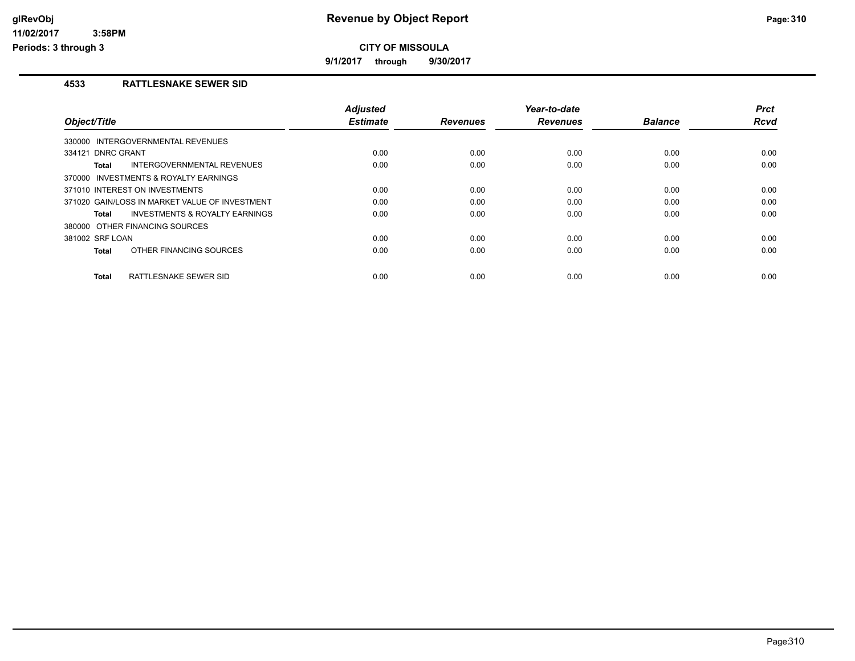**CITY OF MISSOULA**

**9/1/2017 through 9/30/2017**

# **4533 RATTLESNAKE SEWER SID**

| Object/Title                                       | <b>Adjusted</b><br><b>Estimate</b> | <b>Revenues</b> | Year-to-date<br><b>Revenues</b> | <b>Balance</b> | <b>Prct</b><br><b>Rcvd</b> |
|----------------------------------------------------|------------------------------------|-----------------|---------------------------------|----------------|----------------------------|
|                                                    |                                    |                 |                                 |                |                            |
| 330000 INTERGOVERNMENTAL REVENUES                  |                                    |                 |                                 |                |                            |
| 334121 DNRC GRANT                                  | 0.00                               | 0.00            | 0.00                            | 0.00           | 0.00                       |
| INTERGOVERNMENTAL REVENUES<br>Total                | 0.00                               | 0.00            | 0.00                            | 0.00           | 0.00                       |
| 370000 INVESTMENTS & ROYALTY EARNINGS              |                                    |                 |                                 |                |                            |
| 371010 INTEREST ON INVESTMENTS                     | 0.00                               | 0.00            | 0.00                            | 0.00           | 0.00                       |
| 371020 GAIN/LOSS IN MARKET VALUE OF INVESTMENT     | 0.00                               | 0.00            | 0.00                            | 0.00           | 0.00                       |
| <b>INVESTMENTS &amp; ROYALTY EARNINGS</b><br>Total | 0.00                               | 0.00            | 0.00                            | 0.00           | 0.00                       |
| 380000 OTHER FINANCING SOURCES                     |                                    |                 |                                 |                |                            |
| 381002 SRF LOAN                                    | 0.00                               | 0.00            | 0.00                            | 0.00           | 0.00                       |
| OTHER FINANCING SOURCES<br>Total                   | 0.00                               | 0.00            | 0.00                            | 0.00           | 0.00                       |
|                                                    |                                    |                 |                                 |                |                            |
| RATTLESNAKE SEWER SID<br>Total                     | 0.00                               | 0.00            | 0.00                            | 0.00           | 0.00                       |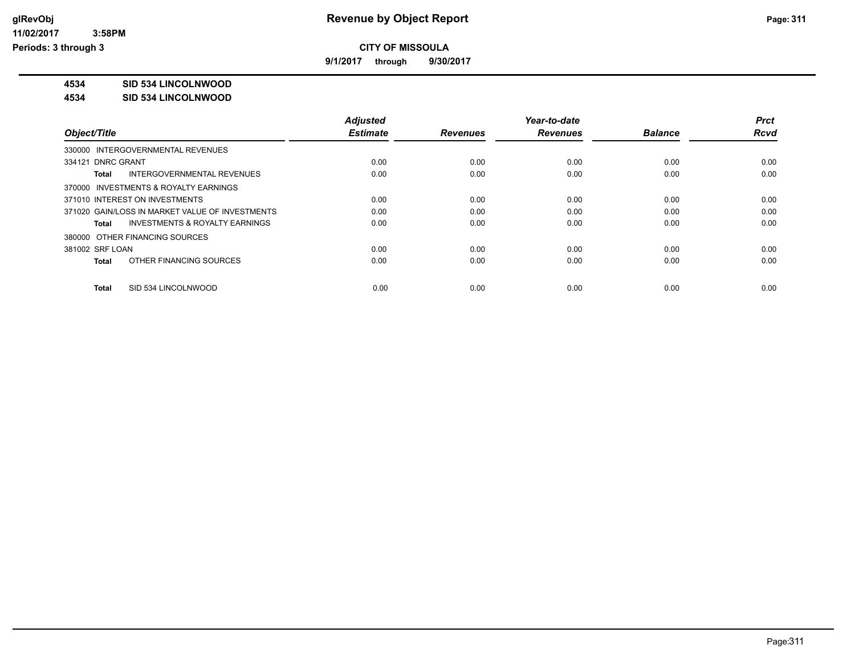**9/1/2017 through 9/30/2017**

# **4534 SID 534 LINCOLNWOOD**

#### **4534 SID 534 LINCOLNWOOD**

|                                                    | <b>Adjusted</b> |                 | Year-to-date    |                | <b>Prct</b> |
|----------------------------------------------------|-----------------|-----------------|-----------------|----------------|-------------|
| Object/Title                                       | <b>Estimate</b> | <b>Revenues</b> | <b>Revenues</b> | <b>Balance</b> | <b>Rcvd</b> |
| 330000 INTERGOVERNMENTAL REVENUES                  |                 |                 |                 |                |             |
| 334121 DNRC GRANT                                  | 0.00            | 0.00            | 0.00            | 0.00           | 0.00        |
| <b>INTERGOVERNMENTAL REVENUES</b><br>Total         | 0.00            | 0.00            | 0.00            | 0.00           | 0.00        |
| 370000 INVESTMENTS & ROYALTY EARNINGS              |                 |                 |                 |                |             |
| 371010 INTEREST ON INVESTMENTS                     | 0.00            | 0.00            | 0.00            | 0.00           | 0.00        |
| 371020 GAIN/LOSS IN MARKET VALUE OF INVESTMENTS    | 0.00            | 0.00            | 0.00            | 0.00           | 0.00        |
| <b>INVESTMENTS &amp; ROYALTY EARNINGS</b><br>Total | 0.00            | 0.00            | 0.00            | 0.00           | 0.00        |
| 380000 OTHER FINANCING SOURCES                     |                 |                 |                 |                |             |
| 381002 SRF LOAN                                    | 0.00            | 0.00            | 0.00            | 0.00           | 0.00        |
| OTHER FINANCING SOURCES<br>Total                   | 0.00            | 0.00            | 0.00            | 0.00           | 0.00        |
| SID 534 LINCOLNWOOD<br><b>Total</b>                | 0.00            | 0.00            | 0.00            | 0.00           | 0.00        |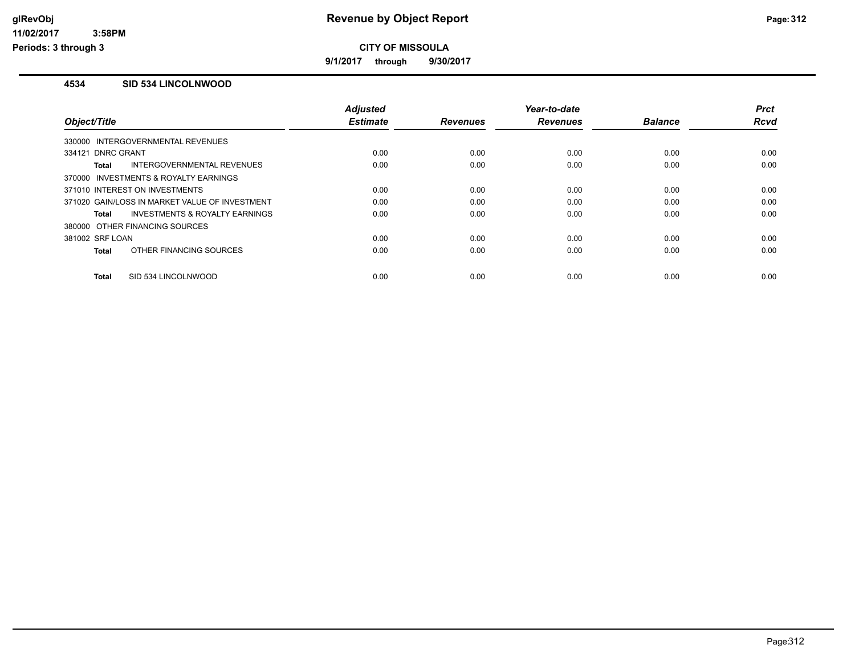**CITY OF MISSOULA**

**9/1/2017 through 9/30/2017**

### **4534 SID 534 LINCOLNWOOD**

|                                                    | <b>Adjusted</b> |                 | Year-to-date    |                | <b>Prct</b> |
|----------------------------------------------------|-----------------|-----------------|-----------------|----------------|-------------|
| Object/Title                                       | <b>Estimate</b> | <b>Revenues</b> | <b>Revenues</b> | <b>Balance</b> | <b>Rcvd</b> |
| 330000 INTERGOVERNMENTAL REVENUES                  |                 |                 |                 |                |             |
| 334121 DNRC GRANT                                  | 0.00            | 0.00            | 0.00            | 0.00           | 0.00        |
| INTERGOVERNMENTAL REVENUES<br><b>Total</b>         | 0.00            | 0.00            | 0.00            | 0.00           | 0.00        |
| 370000 INVESTMENTS & ROYALTY EARNINGS              |                 |                 |                 |                |             |
| 371010 INTEREST ON INVESTMENTS                     | 0.00            | 0.00            | 0.00            | 0.00           | 0.00        |
| 371020 GAIN/LOSS IN MARKET VALUE OF INVESTMENT     | 0.00            | 0.00            | 0.00            | 0.00           | 0.00        |
| <b>INVESTMENTS &amp; ROYALTY EARNINGS</b><br>Total | 0.00            | 0.00            | 0.00            | 0.00           | 0.00        |
| 380000 OTHER FINANCING SOURCES                     |                 |                 |                 |                |             |
| 381002 SRF LOAN                                    | 0.00            | 0.00            | 0.00            | 0.00           | 0.00        |
| OTHER FINANCING SOURCES<br><b>Total</b>            | 0.00            | 0.00            | 0.00            | 0.00           | 0.00        |
| <b>Total</b><br>SID 534 LINCOLNWOOD                | 0.00            | 0.00            | 0.00            | 0.00           | 0.00        |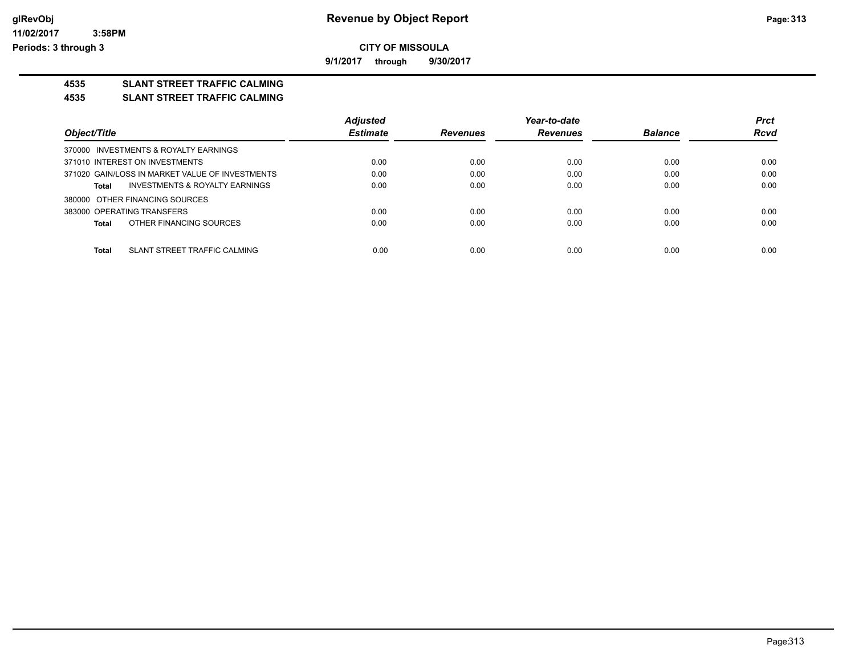**9/1/2017 through 9/30/2017**

# **4535 SLANT STREET TRAFFIC CALMING**

#### **4535 SLANT STREET TRAFFIC CALMING**

| <b>Adjusted</b> |                 | Year-to-date    |                | <b>Prct</b> |
|-----------------|-----------------|-----------------|----------------|-------------|
| <b>Estimate</b> | <b>Revenues</b> | <b>Revenues</b> | <b>Balance</b> | <b>Rcvd</b> |
|                 |                 |                 |                |             |
| 0.00            | 0.00            | 0.00            | 0.00           | 0.00        |
| 0.00            | 0.00            | 0.00            | 0.00           | 0.00        |
| 0.00            | 0.00            | 0.00            | 0.00           | 0.00        |
|                 |                 |                 |                |             |
| 0.00            | 0.00            | 0.00            | 0.00           | 0.00        |
| 0.00            | 0.00            | 0.00            | 0.00           | 0.00        |
|                 |                 |                 |                | 0.00        |
|                 | 0.00            | 0.00            | 0.00           | 0.00        |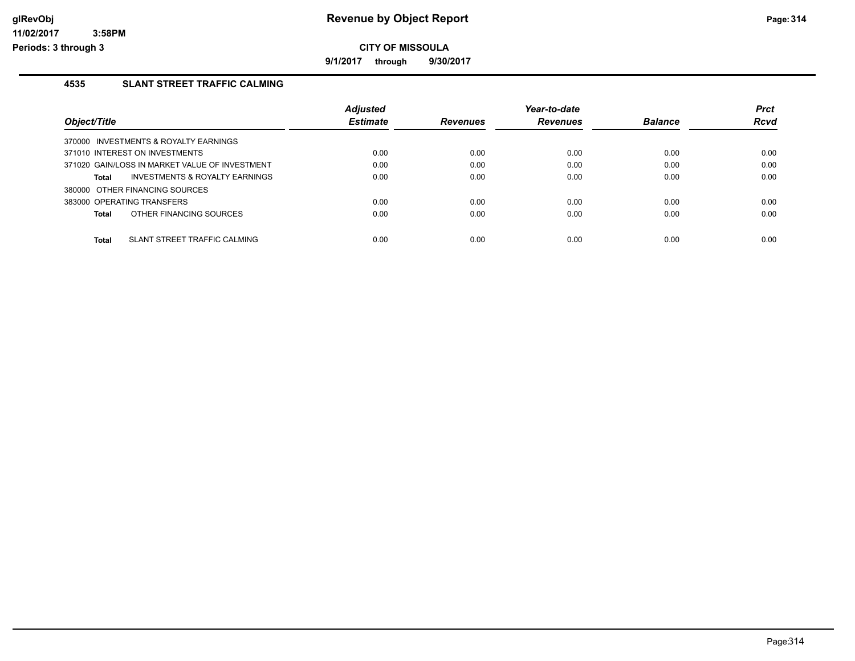**3:58PM**

**CITY OF MISSOULA**

**9/1/2017 through 9/30/2017**

# **4535 SLANT STREET TRAFFIC CALMING**

|                                                | <b>Adjusted</b> |                 | Year-to-date    |                | <b>Prct</b> |
|------------------------------------------------|-----------------|-----------------|-----------------|----------------|-------------|
| Object/Title                                   | <b>Estimate</b> | <b>Revenues</b> | <b>Revenues</b> | <b>Balance</b> | <b>Rcvd</b> |
| 370000 INVESTMENTS & ROYALTY EARNINGS          |                 |                 |                 |                |             |
| 371010 INTEREST ON INVESTMENTS                 | 0.00            | 0.00            | 0.00            | 0.00           | 0.00        |
| 371020 GAIN/LOSS IN MARKET VALUE OF INVESTMENT | 0.00            | 0.00            | 0.00            | 0.00           | 0.00        |
| INVESTMENTS & ROYALTY EARNINGS<br>Total        | 0.00            | 0.00            | 0.00            | 0.00           | 0.00        |
| 380000 OTHER FINANCING SOURCES                 |                 |                 |                 |                |             |
| 383000 OPERATING TRANSFERS                     | 0.00            | 0.00            | 0.00            | 0.00           | 0.00        |
| OTHER FINANCING SOURCES<br>Total               | 0.00            | 0.00            | 0.00            | 0.00           | 0.00        |
|                                                |                 |                 |                 |                |             |
| Total<br>SLANT STREET TRAFFIC CALMING          | 0.00            | 0.00            | 0.00            | 0.00           | 0.00        |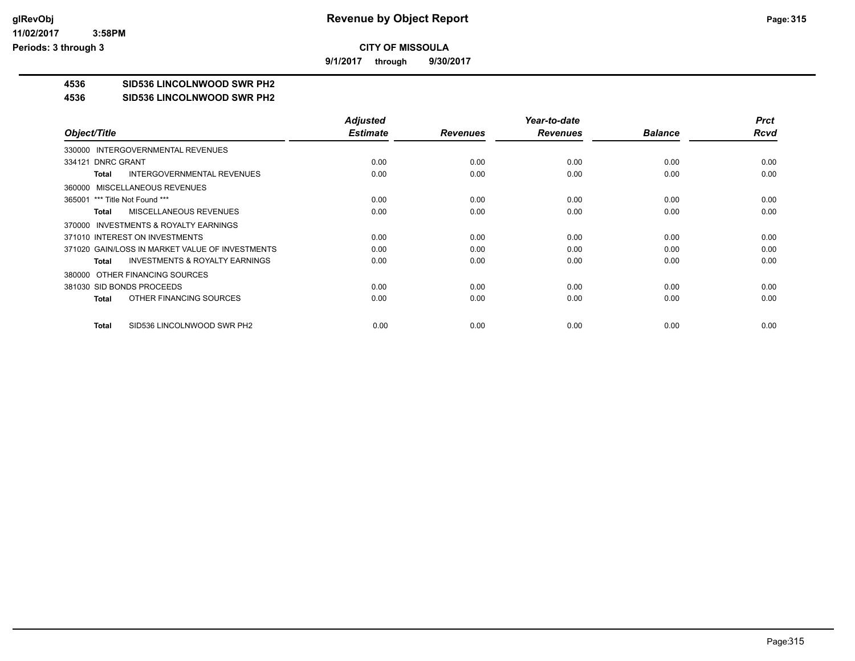**9/1/2017 through 9/30/2017**

# **4536 SID536 LINCOLNWOOD SWR PH2**

#### **4536 SID536 LINCOLNWOOD SWR PH2**

|                                                    | <b>Adjusted</b> |                 | Year-to-date    |                | <b>Prct</b> |
|----------------------------------------------------|-----------------|-----------------|-----------------|----------------|-------------|
| Object/Title                                       | <b>Estimate</b> | <b>Revenues</b> | <b>Revenues</b> | <b>Balance</b> | Rcvd        |
| 330000 INTERGOVERNMENTAL REVENUES                  |                 |                 |                 |                |             |
| 334121 DNRC GRANT                                  | 0.00            | 0.00            | 0.00            | 0.00           | 0.00        |
| <b>INTERGOVERNMENTAL REVENUES</b><br>Total         | 0.00            | 0.00            | 0.00            | 0.00           | 0.00        |
| 360000 MISCELLANEOUS REVENUES                      |                 |                 |                 |                |             |
| 365001 *** Title Not Found ***                     | 0.00            | 0.00            | 0.00            | 0.00           | 0.00        |
| <b>MISCELLANEOUS REVENUES</b><br>Total             | 0.00            | 0.00            | 0.00            | 0.00           | 0.00        |
| 370000 INVESTMENTS & ROYALTY EARNINGS              |                 |                 |                 |                |             |
| 371010 INTEREST ON INVESTMENTS                     | 0.00            | 0.00            | 0.00            | 0.00           | 0.00        |
| 371020 GAIN/LOSS IN MARKET VALUE OF INVESTMENTS    | 0.00            | 0.00            | 0.00            | 0.00           | 0.00        |
| <b>INVESTMENTS &amp; ROYALTY EARNINGS</b><br>Total | 0.00            | 0.00            | 0.00            | 0.00           | 0.00        |
| 380000 OTHER FINANCING SOURCES                     |                 |                 |                 |                |             |
| 381030 SID BONDS PROCEEDS                          | 0.00            | 0.00            | 0.00            | 0.00           | 0.00        |
| OTHER FINANCING SOURCES<br>Total                   | 0.00            | 0.00            | 0.00            | 0.00           | 0.00        |
|                                                    |                 |                 |                 |                |             |
| SID536 LINCOLNWOOD SWR PH2<br>Total                | 0.00            | 0.00            | 0.00            | 0.00           | 0.00        |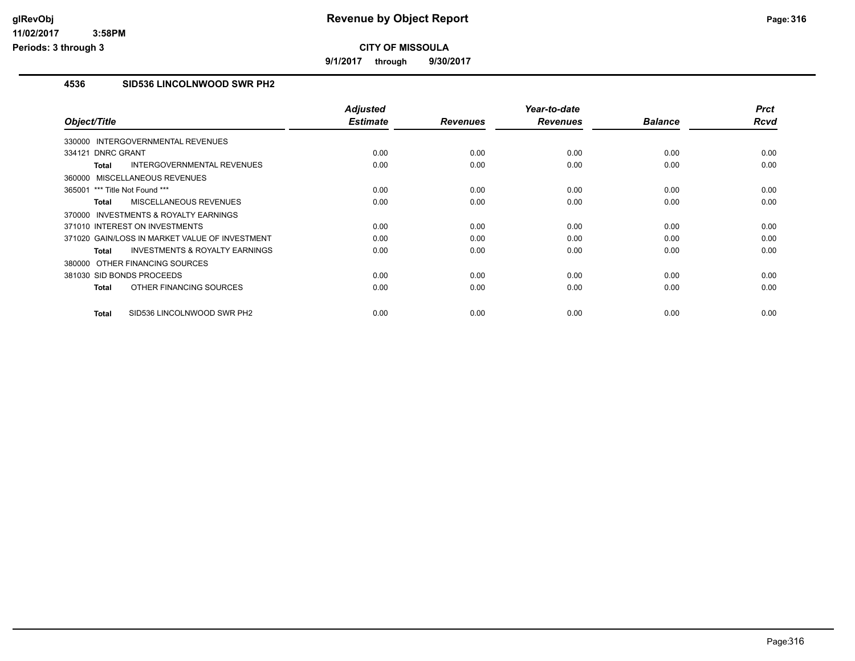**CITY OF MISSOULA**

**9/1/2017 through 9/30/2017**

# **4536 SID536 LINCOLNWOOD SWR PH2**

| Object/Title                                              | <b>Adjusted</b><br><b>Estimate</b> | <b>Revenues</b> | Year-to-date<br><b>Revenues</b> | <b>Balance</b> | <b>Prct</b><br><b>Rcvd</b> |
|-----------------------------------------------------------|------------------------------------|-----------------|---------------------------------|----------------|----------------------------|
|                                                           |                                    |                 |                                 |                |                            |
| INTERGOVERNMENTAL REVENUES<br>330000                      |                                    |                 |                                 |                |                            |
| 334121 DNRC GRANT                                         | 0.00                               | 0.00            | 0.00                            | 0.00           | 0.00                       |
| INTERGOVERNMENTAL REVENUES<br><b>Total</b>                | 0.00                               | 0.00            | 0.00                            | 0.00           | 0.00                       |
| MISCELLANEOUS REVENUES<br>360000                          |                                    |                 |                                 |                |                            |
| 365001 *** Title Not Found ***                            | 0.00                               | 0.00            | 0.00                            | 0.00           | 0.00                       |
| MISCELLANEOUS REVENUES<br><b>Total</b>                    | 0.00                               | 0.00            | 0.00                            | 0.00           | 0.00                       |
| 370000 INVESTMENTS & ROYALTY EARNINGS                     |                                    |                 |                                 |                |                            |
| 371010 INTEREST ON INVESTMENTS                            | 0.00                               | 0.00            | 0.00                            | 0.00           | 0.00                       |
| 371020 GAIN/LOSS IN MARKET VALUE OF INVESTMENT            | 0.00                               | 0.00            | 0.00                            | 0.00           | 0.00                       |
| <b>INVESTMENTS &amp; ROYALTY EARNINGS</b><br><b>Total</b> | 0.00                               | 0.00            | 0.00                            | 0.00           | 0.00                       |
| 380000 OTHER FINANCING SOURCES                            |                                    |                 |                                 |                |                            |
| 381030 SID BONDS PROCEEDS                                 | 0.00                               | 0.00            | 0.00                            | 0.00           | 0.00                       |
| OTHER FINANCING SOURCES<br><b>Total</b>                   | 0.00                               | 0.00            | 0.00                            | 0.00           | 0.00                       |
| SID536 LINCOLNWOOD SWR PH2<br><b>Total</b>                | 0.00                               | 0.00            | 0.00                            | 0.00           | 0.00                       |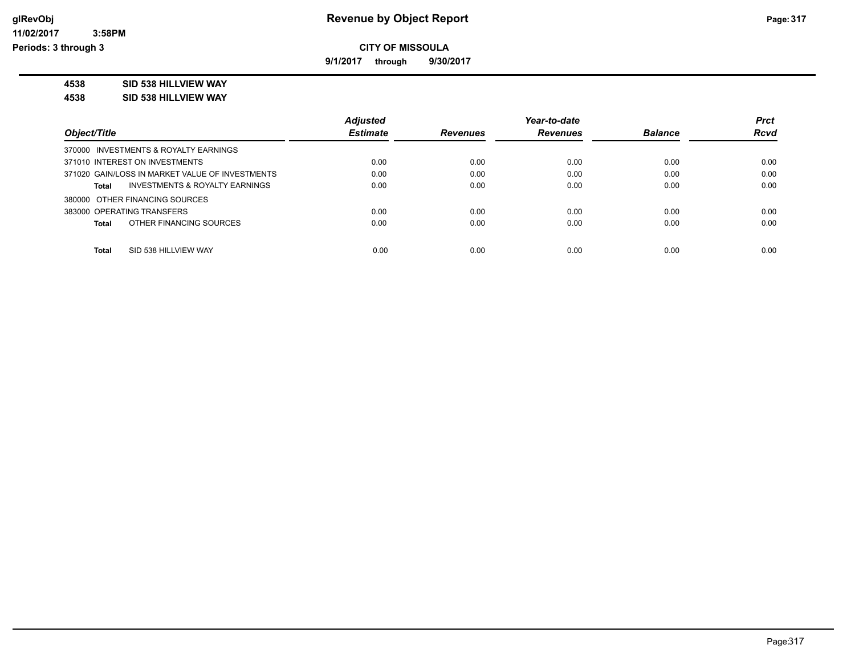**9/1/2017 through 9/30/2017**

### **4538 SID 538 HILLVIEW WAY**

**4538 SID 538 HILLVIEW WAY**

|                                                    | <b>Adjusted</b> |                 | Year-to-date    |                | <b>Prct</b> |
|----------------------------------------------------|-----------------|-----------------|-----------------|----------------|-------------|
| Object/Title                                       | <b>Estimate</b> | <b>Revenues</b> | <b>Revenues</b> | <b>Balance</b> | <b>Rcvd</b> |
| 370000 INVESTMENTS & ROYALTY EARNINGS              |                 |                 |                 |                |             |
| 371010 INTEREST ON INVESTMENTS                     | 0.00            | 0.00            | 0.00            | 0.00           | 0.00        |
| 371020 GAIN/LOSS IN MARKET VALUE OF INVESTMENTS    | 0.00            | 0.00            | 0.00            | 0.00           | 0.00        |
| <b>INVESTMENTS &amp; ROYALTY EARNINGS</b><br>Total | 0.00            | 0.00            | 0.00            | 0.00           | 0.00        |
| 380000 OTHER FINANCING SOURCES                     |                 |                 |                 |                |             |
| 383000 OPERATING TRANSFERS                         | 0.00            | 0.00            | 0.00            | 0.00           | 0.00        |
| OTHER FINANCING SOURCES<br>Total                   | 0.00            | 0.00            | 0.00            | 0.00           | 0.00        |
|                                                    |                 |                 |                 |                |             |
| Total<br>SID 538 HILLVIEW WAY                      | 0.00            | 0.00            | 0.00            | 0.00           | 0.00        |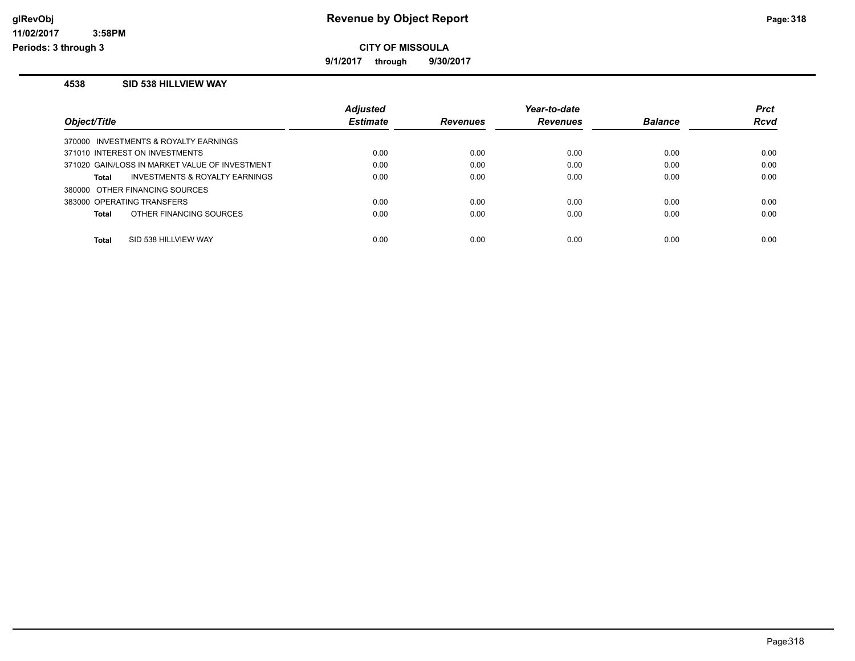**CITY OF MISSOULA**

**9/1/2017 through 9/30/2017**

#### **4538 SID 538 HILLVIEW WAY**

|                                                | <b>Adjusted</b> |                 | Year-to-date    |                | <b>Prct</b> |
|------------------------------------------------|-----------------|-----------------|-----------------|----------------|-------------|
| Object/Title                                   | <b>Estimate</b> | <b>Revenues</b> | <b>Revenues</b> | <b>Balance</b> | <b>Rcvd</b> |
| 370000 INVESTMENTS & ROYALTY EARNINGS          |                 |                 |                 |                |             |
| 371010 INTEREST ON INVESTMENTS                 | 0.00            | 0.00            | 0.00            | 0.00           | 0.00        |
| 371020 GAIN/LOSS IN MARKET VALUE OF INVESTMENT | 0.00            | 0.00            | 0.00            | 0.00           | 0.00        |
| INVESTMENTS & ROYALTY EARNINGS<br>Total        | 0.00            | 0.00            | 0.00            | 0.00           | 0.00        |
| 380000 OTHER FINANCING SOURCES                 |                 |                 |                 |                |             |
| 383000 OPERATING TRANSFERS                     | 0.00            | 0.00            | 0.00            | 0.00           | 0.00        |
| OTHER FINANCING SOURCES<br>Total               | 0.00            | 0.00            | 0.00            | 0.00           | 0.00        |
|                                                |                 |                 |                 |                |             |
| Total<br>SID 538 HILLVIEW WAY                  | 0.00            | 0.00            | 0.00            | 0.00           | 0.00        |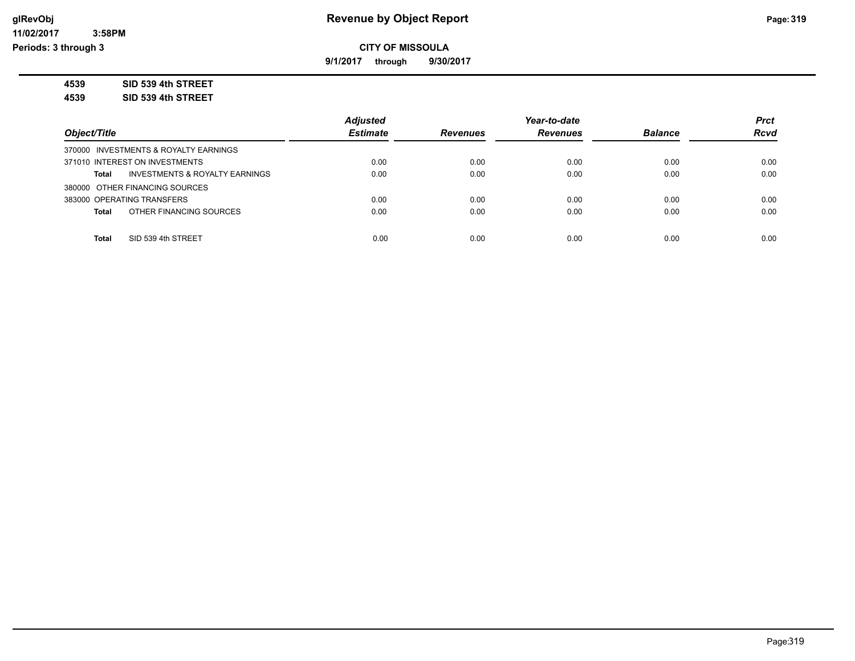**9/1/2017 through 9/30/2017**

**4539 SID 539 4th STREET**

**4539 SID 539 4th STREET**

|                                                           | <b>Adjusted</b> |                 | Year-to-date    |                | <b>Prct</b> |
|-----------------------------------------------------------|-----------------|-----------------|-----------------|----------------|-------------|
| Object/Title                                              | <b>Estimate</b> | <b>Revenues</b> | <b>Revenues</b> | <b>Balance</b> | <b>Rcvd</b> |
| 370000 INVESTMENTS & ROYALTY EARNINGS                     |                 |                 |                 |                |             |
| 371010 INTEREST ON INVESTMENTS                            | 0.00            | 0.00            | 0.00            | 0.00           | 0.00        |
| <b>INVESTMENTS &amp; ROYALTY EARNINGS</b><br><b>Total</b> | 0.00            | 0.00            | 0.00            | 0.00           | 0.00        |
| 380000 OTHER FINANCING SOURCES                            |                 |                 |                 |                |             |
| 383000 OPERATING TRANSFERS                                | 0.00            | 0.00            | 0.00            | 0.00           | 0.00        |
| OTHER FINANCING SOURCES<br><b>Total</b>                   | 0.00            | 0.00            | 0.00            | 0.00           | 0.00        |
| SID 539 4th STREET<br><b>Total</b>                        | 0.00            | 0.00            | 0.00            | 0.00           | 0.00        |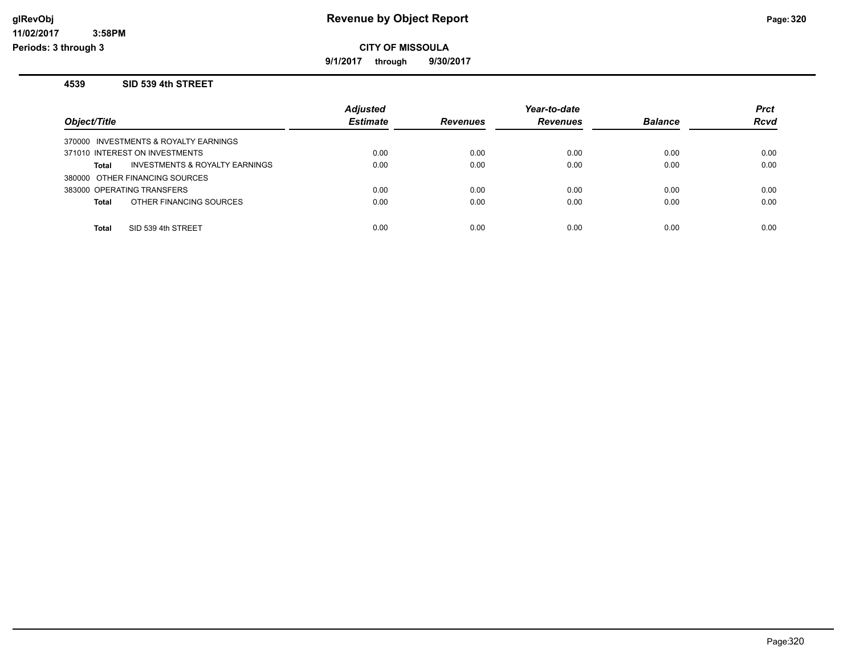**CITY OF MISSOULA**

**9/1/2017 through 9/30/2017**

#### **4539 SID 539 4th STREET**

 **3:58PM**

| Object/Title                            | <b>Adjusted</b><br><b>Estimate</b> | <b>Revenues</b> | Year-to-date<br><b>Revenues</b> | <b>Balance</b> | <b>Prct</b><br><b>Rcvd</b> |
|-----------------------------------------|------------------------------------|-----------------|---------------------------------|----------------|----------------------------|
| 370000 INVESTMENTS & ROYALTY EARNINGS   |                                    |                 |                                 |                |                            |
| 371010 INTEREST ON INVESTMENTS          | 0.00                               | 0.00            | 0.00                            | 0.00           | 0.00                       |
| INVESTMENTS & ROYALTY EARNINGS<br>Total | 0.00                               | 0.00            | 0.00                            | 0.00           | 0.00                       |
| 380000 OTHER FINANCING SOURCES          |                                    |                 |                                 |                |                            |
| 383000 OPERATING TRANSFERS              | 0.00                               | 0.00            | 0.00                            | 0.00           | 0.00                       |
| OTHER FINANCING SOURCES<br><b>Total</b> | 0.00                               | 0.00            | 0.00                            | 0.00           | 0.00                       |
|                                         |                                    |                 |                                 |                |                            |
| SID 539 4th STREET<br><b>Total</b>      | 0.00                               | 0.00            | 0.00                            | 0.00           | 0.00                       |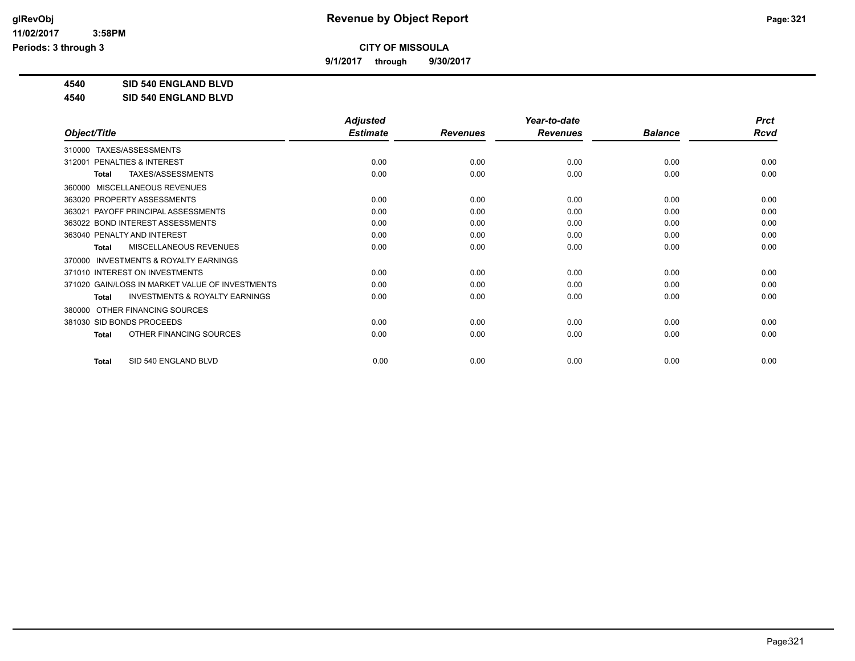**9/1/2017 through 9/30/2017**

**4540 SID 540 ENGLAND BLVD**

**4540 SID 540 ENGLAND BLVD**

|                                                           | <b>Adjusted</b> |                 | Year-to-date    |                | <b>Prct</b> |
|-----------------------------------------------------------|-----------------|-----------------|-----------------|----------------|-------------|
| Object/Title                                              | <b>Estimate</b> | <b>Revenues</b> | <b>Revenues</b> | <b>Balance</b> | <b>Rcvd</b> |
| TAXES/ASSESSMENTS<br>310000                               |                 |                 |                 |                |             |
| PENALTIES & INTEREST<br>312001                            | 0.00            | 0.00            | 0.00            | 0.00           | 0.00        |
| <b>TAXES/ASSESSMENTS</b><br><b>Total</b>                  | 0.00            | 0.00            | 0.00            | 0.00           | 0.00        |
| MISCELLANEOUS REVENUES<br>360000                          |                 |                 |                 |                |             |
| 363020 PROPERTY ASSESSMENTS                               | 0.00            | 0.00            | 0.00            | 0.00           | 0.00        |
| 363021 PAYOFF PRINCIPAL ASSESSMENTS                       | 0.00            | 0.00            | 0.00            | 0.00           | 0.00        |
| 363022 BOND INTEREST ASSESSMENTS                          | 0.00            | 0.00            | 0.00            | 0.00           | 0.00        |
| 363040 PENALTY AND INTEREST                               | 0.00            | 0.00            | 0.00            | 0.00           | 0.00        |
| <b>MISCELLANEOUS REVENUES</b><br><b>Total</b>             | 0.00            | 0.00            | 0.00            | 0.00           | 0.00        |
| <b>INVESTMENTS &amp; ROYALTY EARNINGS</b><br>370000       |                 |                 |                 |                |             |
| 371010 INTEREST ON INVESTMENTS                            | 0.00            | 0.00            | 0.00            | 0.00           | 0.00        |
| 371020 GAIN/LOSS IN MARKET VALUE OF INVESTMENTS           | 0.00            | 0.00            | 0.00            | 0.00           | 0.00        |
| <b>INVESTMENTS &amp; ROYALTY EARNINGS</b><br><b>Total</b> | 0.00            | 0.00            | 0.00            | 0.00           | 0.00        |
| OTHER FINANCING SOURCES<br>380000                         |                 |                 |                 |                |             |
| 381030 SID BONDS PROCEEDS                                 | 0.00            | 0.00            | 0.00            | 0.00           | 0.00        |
| OTHER FINANCING SOURCES<br><b>Total</b>                   | 0.00            | 0.00            | 0.00            | 0.00           | 0.00        |
| SID 540 ENGLAND BLVD<br><b>Total</b>                      | 0.00            | 0.00            | 0.00            | 0.00           | 0.00        |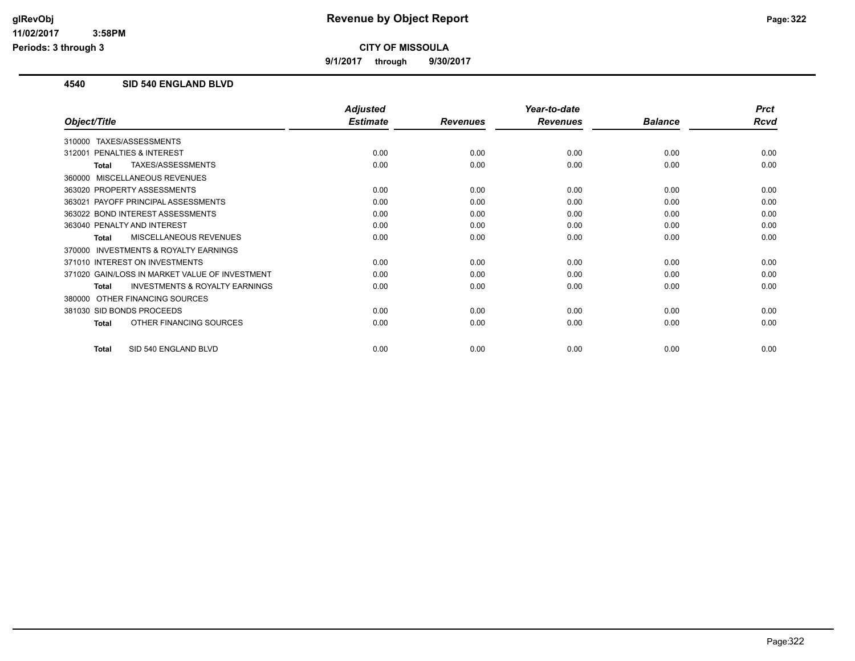**CITY OF MISSOULA**

**9/1/2017 through 9/30/2017**

# **4540 SID 540 ENGLAND BLVD**

 **3:58PM**

|                                                           | <b>Adjusted</b> |                 | Year-to-date    |                | <b>Prct</b> |
|-----------------------------------------------------------|-----------------|-----------------|-----------------|----------------|-------------|
| Object/Title                                              | <b>Estimate</b> | <b>Revenues</b> | <b>Revenues</b> | <b>Balance</b> | <b>Rcvd</b> |
| <b>TAXES/ASSESSMENTS</b><br>310000                        |                 |                 |                 |                |             |
| 312001 PENALTIES & INTEREST                               | 0.00            | 0.00            | 0.00            | 0.00           | 0.00        |
| TAXES/ASSESSMENTS<br><b>Total</b>                         | 0.00            | 0.00            | 0.00            | 0.00           | 0.00        |
| MISCELLANEOUS REVENUES<br>360000                          |                 |                 |                 |                |             |
| 363020 PROPERTY ASSESSMENTS                               | 0.00            | 0.00            | 0.00            | 0.00           | 0.00        |
| 363021 PAYOFF PRINCIPAL ASSESSMENTS                       | 0.00            | 0.00            | 0.00            | 0.00           | 0.00        |
| 363022 BOND INTEREST ASSESSMENTS                          | 0.00            | 0.00            | 0.00            | 0.00           | 0.00        |
| 363040 PENALTY AND INTEREST                               | 0.00            | 0.00            | 0.00            | 0.00           | 0.00        |
| <b>MISCELLANEOUS REVENUES</b><br><b>Total</b>             | 0.00            | 0.00            | 0.00            | 0.00           | 0.00        |
| <b>INVESTMENTS &amp; ROYALTY EARNINGS</b><br>370000       |                 |                 |                 |                |             |
| 371010 INTEREST ON INVESTMENTS                            | 0.00            | 0.00            | 0.00            | 0.00           | 0.00        |
| 371020 GAIN/LOSS IN MARKET VALUE OF INVESTMENT            | 0.00            | 0.00            | 0.00            | 0.00           | 0.00        |
| <b>INVESTMENTS &amp; ROYALTY EARNINGS</b><br><b>Total</b> | 0.00            | 0.00            | 0.00            | 0.00           | 0.00        |
| OTHER FINANCING SOURCES<br>380000                         |                 |                 |                 |                |             |
| 381030 SID BONDS PROCEEDS                                 | 0.00            | 0.00            | 0.00            | 0.00           | 0.00        |
| OTHER FINANCING SOURCES<br><b>Total</b>                   | 0.00            | 0.00            | 0.00            | 0.00           | 0.00        |
| SID 540 ENGLAND BLVD<br><b>Total</b>                      | 0.00            | 0.00            | 0.00            | 0.00           | 0.00        |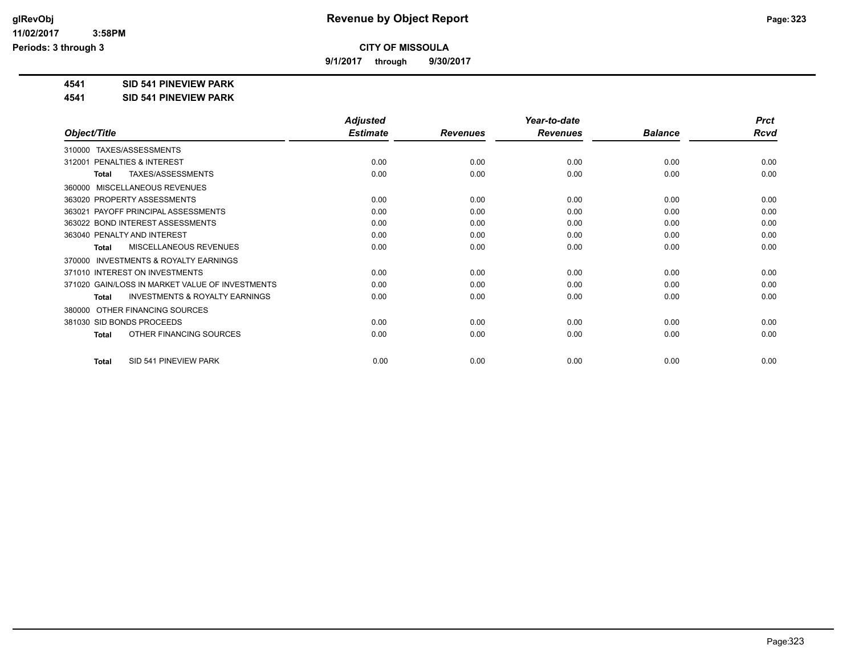**9/1/2017 through 9/30/2017**

#### **4541 SID 541 PINEVIEW PARK**

**4541 SID 541 PINEVIEW PARK**

|                                                           | <b>Adjusted</b> |                 | Year-to-date    |                | <b>Prct</b> |
|-----------------------------------------------------------|-----------------|-----------------|-----------------|----------------|-------------|
| Object/Title                                              | <b>Estimate</b> | <b>Revenues</b> | <b>Revenues</b> | <b>Balance</b> | <b>Rcvd</b> |
| TAXES/ASSESSMENTS<br>310000                               |                 |                 |                 |                |             |
| PENALTIES & INTEREST<br>312001                            | 0.00            | 0.00            | 0.00            | 0.00           | 0.00        |
| TAXES/ASSESSMENTS<br><b>Total</b>                         | 0.00            | 0.00            | 0.00            | 0.00           | 0.00        |
| MISCELLANEOUS REVENUES<br>360000                          |                 |                 |                 |                |             |
| 363020 PROPERTY ASSESSMENTS                               | 0.00            | 0.00            | 0.00            | 0.00           | 0.00        |
| 363021 PAYOFF PRINCIPAL ASSESSMENTS                       | 0.00            | 0.00            | 0.00            | 0.00           | 0.00        |
| 363022 BOND INTEREST ASSESSMENTS                          | 0.00            | 0.00            | 0.00            | 0.00           | 0.00        |
| 363040 PENALTY AND INTEREST                               | 0.00            | 0.00            | 0.00            | 0.00           | 0.00        |
| <b>MISCELLANEOUS REVENUES</b><br><b>Total</b>             | 0.00            | 0.00            | 0.00            | 0.00           | 0.00        |
| <b>INVESTMENTS &amp; ROYALTY EARNINGS</b><br>370000       |                 |                 |                 |                |             |
| 371010 INTEREST ON INVESTMENTS                            | 0.00            | 0.00            | 0.00            | 0.00           | 0.00        |
| 371020 GAIN/LOSS IN MARKET VALUE OF INVESTMENTS           | 0.00            | 0.00            | 0.00            | 0.00           | 0.00        |
| <b>INVESTMENTS &amp; ROYALTY EARNINGS</b><br><b>Total</b> | 0.00            | 0.00            | 0.00            | 0.00           | 0.00        |
| OTHER FINANCING SOURCES<br>380000                         |                 |                 |                 |                |             |
| 381030 SID BONDS PROCEEDS                                 | 0.00            | 0.00            | 0.00            | 0.00           | 0.00        |
| OTHER FINANCING SOURCES<br><b>Total</b>                   | 0.00            | 0.00            | 0.00            | 0.00           | 0.00        |
|                                                           |                 |                 |                 |                |             |
| SID 541 PINEVIEW PARK<br><b>Total</b>                     | 0.00            | 0.00            | 0.00            | 0.00           | 0.00        |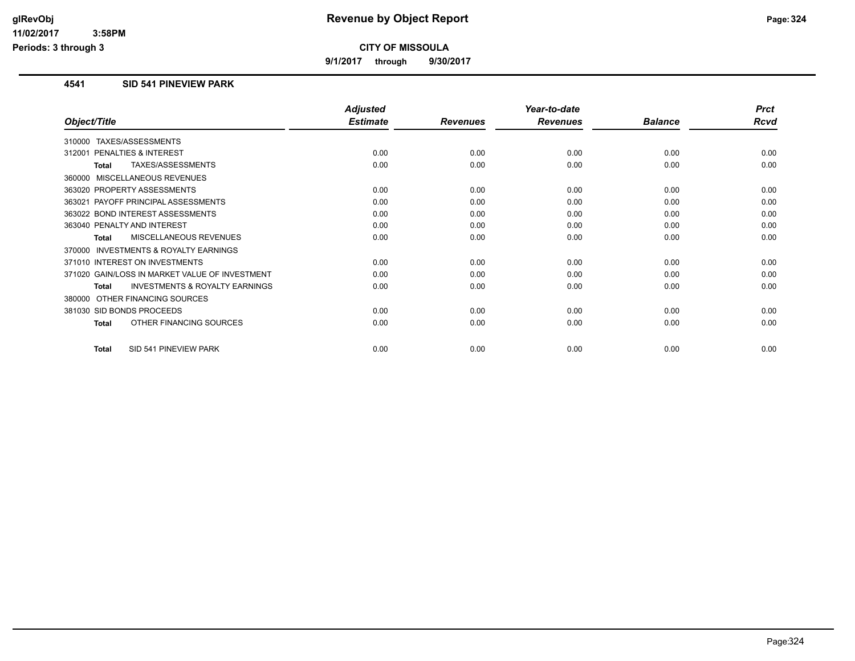**CITY OF MISSOULA**

**9/1/2017 through 9/30/2017**

### **4541 SID 541 PINEVIEW PARK**

 **3:58PM**

|                                                           | <b>Adjusted</b> |                 | Year-to-date    |                | <b>Prct</b> |
|-----------------------------------------------------------|-----------------|-----------------|-----------------|----------------|-------------|
| Object/Title                                              | <b>Estimate</b> | <b>Revenues</b> | <b>Revenues</b> | <b>Balance</b> | <b>Rcvd</b> |
| <b>TAXES/ASSESSMENTS</b><br>310000                        |                 |                 |                 |                |             |
| 312001 PENALTIES & INTEREST                               | 0.00            | 0.00            | 0.00            | 0.00           | 0.00        |
| TAXES/ASSESSMENTS<br><b>Total</b>                         | 0.00            | 0.00            | 0.00            | 0.00           | 0.00        |
| MISCELLANEOUS REVENUES<br>360000                          |                 |                 |                 |                |             |
| 363020 PROPERTY ASSESSMENTS                               | 0.00            | 0.00            | 0.00            | 0.00           | 0.00        |
| 363021 PAYOFF PRINCIPAL ASSESSMENTS                       | 0.00            | 0.00            | 0.00            | 0.00           | 0.00        |
| 363022 BOND INTEREST ASSESSMENTS                          | 0.00            | 0.00            | 0.00            | 0.00           | 0.00        |
| 363040 PENALTY AND INTEREST                               | 0.00            | 0.00            | 0.00            | 0.00           | 0.00        |
| <b>MISCELLANEOUS REVENUES</b><br><b>Total</b>             | 0.00            | 0.00            | 0.00            | 0.00           | 0.00        |
| <b>INVESTMENTS &amp; ROYALTY EARNINGS</b><br>370000       |                 |                 |                 |                |             |
| 371010 INTEREST ON INVESTMENTS                            | 0.00            | 0.00            | 0.00            | 0.00           | 0.00        |
| 371020 GAIN/LOSS IN MARKET VALUE OF INVESTMENT            | 0.00            | 0.00            | 0.00            | 0.00           | 0.00        |
| <b>INVESTMENTS &amp; ROYALTY EARNINGS</b><br><b>Total</b> | 0.00            | 0.00            | 0.00            | 0.00           | 0.00        |
| OTHER FINANCING SOURCES<br>380000                         |                 |                 |                 |                |             |
| 381030 SID BONDS PROCEEDS                                 | 0.00            | 0.00            | 0.00            | 0.00           | 0.00        |
| OTHER FINANCING SOURCES<br><b>Total</b>                   | 0.00            | 0.00            | 0.00            | 0.00           | 0.00        |
| SID 541 PINEVIEW PARK<br><b>Total</b>                     | 0.00            | 0.00            | 0.00            | 0.00           | 0.00        |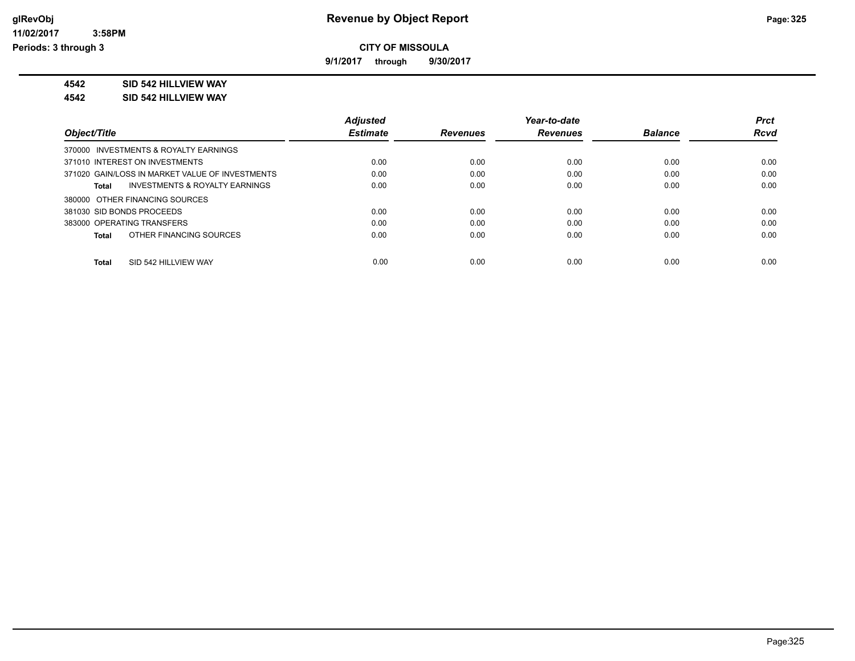**9/1/2017 through 9/30/2017**

#### **4542 SID 542 HILLVIEW WAY**

**4542 SID 542 HILLVIEW WAY**

|                                                    | <b>Adjusted</b> |                 | Year-to-date    |                | <b>Prct</b> |
|----------------------------------------------------|-----------------|-----------------|-----------------|----------------|-------------|
| Object/Title                                       | <b>Estimate</b> | <b>Revenues</b> | <b>Revenues</b> | <b>Balance</b> | <b>Rcvd</b> |
| 370000 INVESTMENTS & ROYALTY EARNINGS              |                 |                 |                 |                |             |
| 371010 INTEREST ON INVESTMENTS                     | 0.00            | 0.00            | 0.00            | 0.00           | 0.00        |
| 371020 GAIN/LOSS IN MARKET VALUE OF INVESTMENTS    | 0.00            | 0.00            | 0.00            | 0.00           | 0.00        |
| <b>INVESTMENTS &amp; ROYALTY EARNINGS</b><br>Total | 0.00            | 0.00            | 0.00            | 0.00           | 0.00        |
| 380000 OTHER FINANCING SOURCES                     |                 |                 |                 |                |             |
| 381030 SID BONDS PROCEEDS                          | 0.00            | 0.00            | 0.00            | 0.00           | 0.00        |
| 383000 OPERATING TRANSFERS                         | 0.00            | 0.00            | 0.00            | 0.00           | 0.00        |
| OTHER FINANCING SOURCES<br><b>Total</b>            | 0.00            | 0.00            | 0.00            | 0.00           | 0.00        |
|                                                    |                 |                 |                 |                |             |
| SID 542 HILLVIEW WAY<br><b>Total</b>               | 0.00            | 0.00            | 0.00            | 0.00           | 0.00        |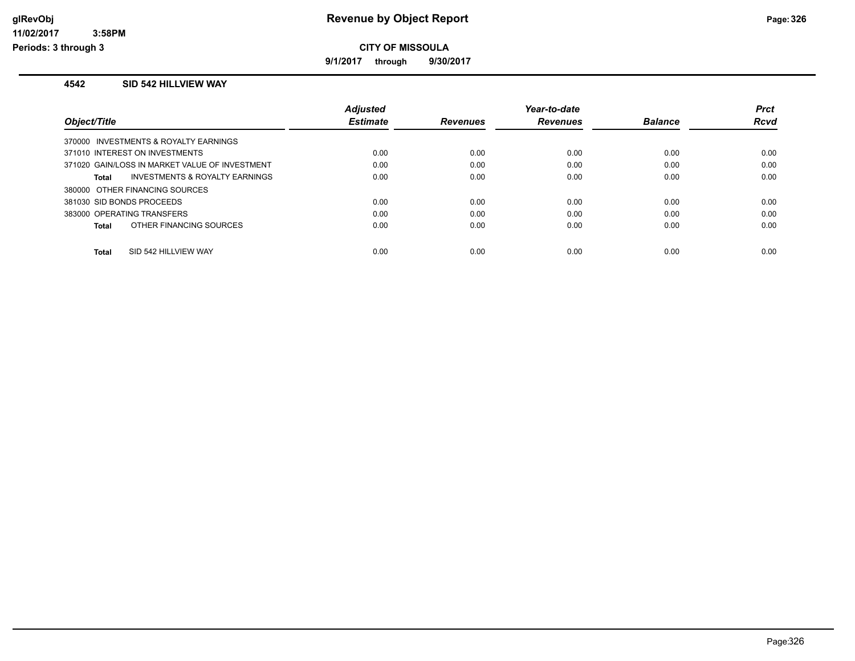**9/1/2017 through 9/30/2017**

#### **4542 SID 542 HILLVIEW WAY**

|                                                | <b>Adjusted</b> |                 | Year-to-date    |                | <b>Prct</b> |
|------------------------------------------------|-----------------|-----------------|-----------------|----------------|-------------|
| Object/Title                                   | <b>Estimate</b> | <b>Revenues</b> | <b>Revenues</b> | <b>Balance</b> | Rcvd        |
| 370000 INVESTMENTS & ROYALTY EARNINGS          |                 |                 |                 |                |             |
| 371010 INTEREST ON INVESTMENTS                 | 0.00            | 0.00            | 0.00            | 0.00           | 0.00        |
| 371020 GAIN/LOSS IN MARKET VALUE OF INVESTMENT | 0.00            | 0.00            | 0.00            | 0.00           | 0.00        |
| INVESTMENTS & ROYALTY EARNINGS<br>Total        | 0.00            | 0.00            | 0.00            | 0.00           | 0.00        |
| 380000 OTHER FINANCING SOURCES                 |                 |                 |                 |                |             |
| 381030 SID BONDS PROCEEDS                      | 0.00            | 0.00            | 0.00            | 0.00           | 0.00        |
| 383000 OPERATING TRANSFERS                     | 0.00            | 0.00            | 0.00            | 0.00           | 0.00        |
| OTHER FINANCING SOURCES<br>Total               | 0.00            | 0.00            | 0.00            | 0.00           | 0.00        |
| SID 542 HILLVIEW WAY<br>Total                  | 0.00            | 0.00            | 0.00            | 0.00           | 0.00        |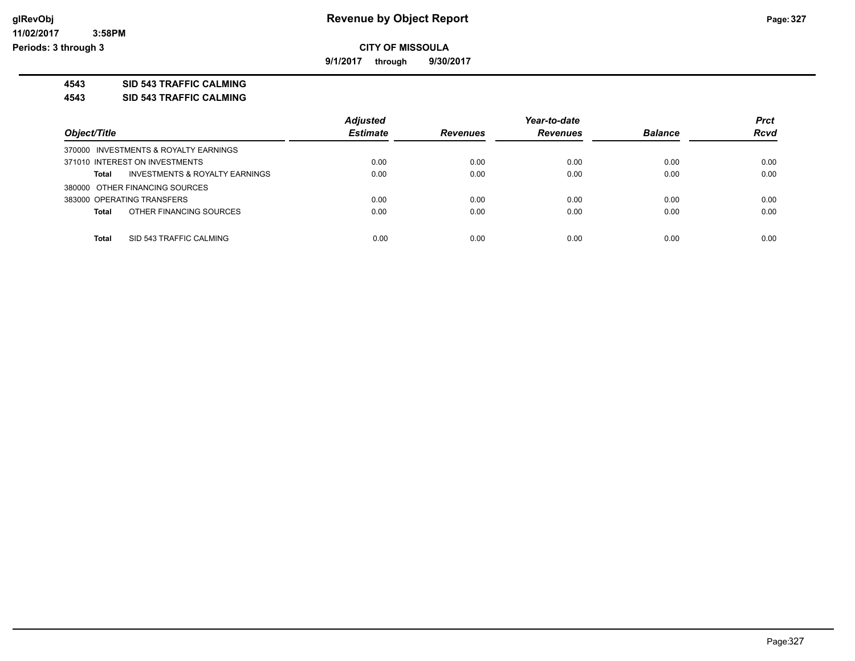**9/1/2017 through 9/30/2017**

#### **4543 SID 543 TRAFFIC CALMING**

#### **4543 SID 543 TRAFFIC CALMING**

|                                                           | <b>Adjusted</b> |                 | Year-to-date    |                | <b>Prct</b> |
|-----------------------------------------------------------|-----------------|-----------------|-----------------|----------------|-------------|
| Object/Title                                              | <b>Estimate</b> | <b>Revenues</b> | <b>Revenues</b> | <b>Balance</b> | <b>Rcvd</b> |
| 370000 INVESTMENTS & ROYALTY EARNINGS                     |                 |                 |                 |                |             |
| 371010 INTEREST ON INVESTMENTS                            | 0.00            | 0.00            | 0.00            | 0.00           | 0.00        |
| <b>INVESTMENTS &amp; ROYALTY EARNINGS</b><br><b>Total</b> | 0.00            | 0.00            | 0.00            | 0.00           | 0.00        |
| 380000 OTHER FINANCING SOURCES                            |                 |                 |                 |                |             |
| 383000 OPERATING TRANSFERS                                | 0.00            | 0.00            | 0.00            | 0.00           | 0.00        |
| OTHER FINANCING SOURCES<br><b>Total</b>                   | 0.00            | 0.00            | 0.00            | 0.00           | 0.00        |
|                                                           |                 |                 |                 |                |             |
| SID 543 TRAFFIC CALMING<br><b>Total</b>                   | 0.00            | 0.00            | 0.00            | 0.00           | 0.00        |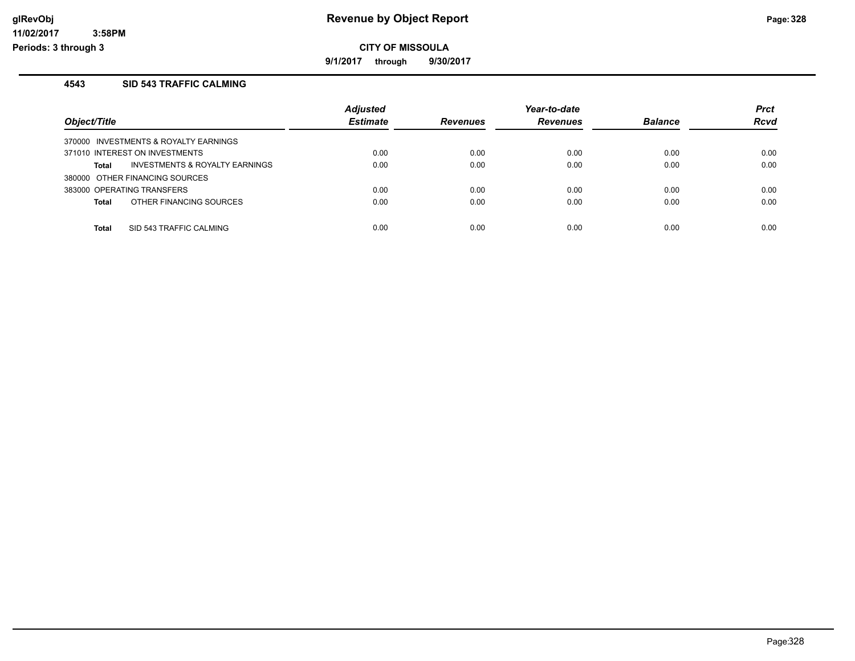**CITY OF MISSOULA**

**9/1/2017 through 9/30/2017**

#### **4543 SID 543 TRAFFIC CALMING**

| Object/Title                            | <b>Adjusted</b><br><b>Estimate</b> | <b>Revenues</b> | Year-to-date<br><b>Revenues</b> | <b>Balance</b> | <b>Prct</b><br><b>Rcvd</b> |
|-----------------------------------------|------------------------------------|-----------------|---------------------------------|----------------|----------------------------|
| 370000 INVESTMENTS & ROYALTY EARNINGS   |                                    |                 |                                 |                |                            |
| 371010 INTEREST ON INVESTMENTS          | 0.00                               | 0.00            | 0.00                            | 0.00           | 0.00                       |
| INVESTMENTS & ROYALTY EARNINGS<br>Total | 0.00                               | 0.00            | 0.00                            | 0.00           | 0.00                       |
| 380000 OTHER FINANCING SOURCES          |                                    |                 |                                 |                |                            |
| 383000 OPERATING TRANSFERS              | 0.00                               | 0.00            | 0.00                            | 0.00           | 0.00                       |
| OTHER FINANCING SOURCES<br>Total        | 0.00                               | 0.00            | 0.00                            | 0.00           | 0.00                       |
|                                         |                                    |                 |                                 |                |                            |
| SID 543 TRAFFIC CALMING<br><b>Total</b> | 0.00                               | 0.00            | 0.00                            | 0.00           | 0.00                       |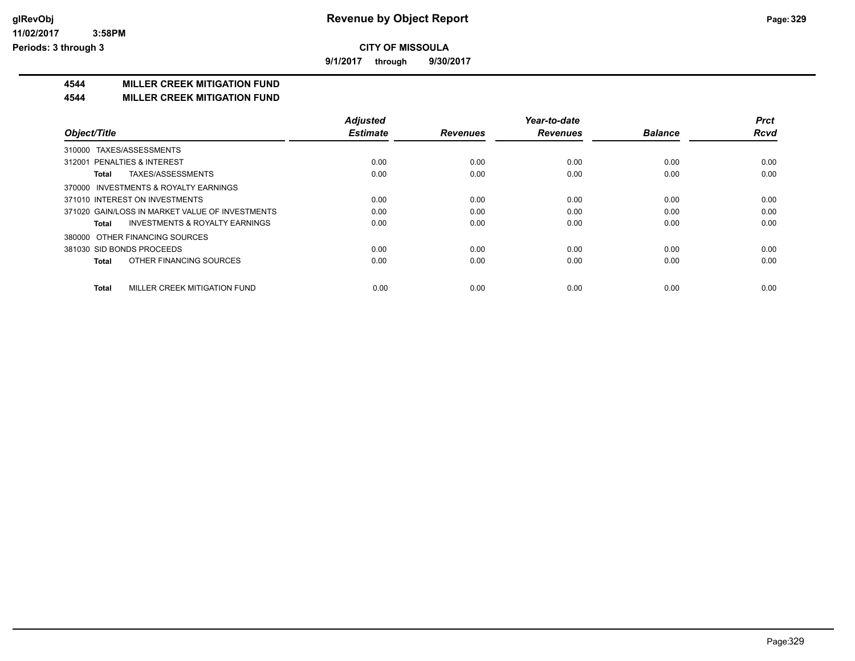**glRevObj Revenue by Object Report Page:329** 

**CITY OF MISSOULA**

**9/1/2017 through 9/30/2017**

#### **4544 MILLER CREEK MITIGATION FUND**

 **3:58PM**

#### **4544 MILLER CREEK MITIGATION FUND**

|                                                    | <b>Adjusted</b> |                 | Year-to-date    |                | <b>Prct</b> |
|----------------------------------------------------|-----------------|-----------------|-----------------|----------------|-------------|
| Object/Title                                       | <b>Estimate</b> | <b>Revenues</b> | <b>Revenues</b> | <b>Balance</b> | <b>Rcvd</b> |
| TAXES/ASSESSMENTS<br>310000                        |                 |                 |                 |                |             |
| PENALTIES & INTEREST<br>312001                     | 0.00            | 0.00            | 0.00            | 0.00           | 0.00        |
| TAXES/ASSESSMENTS<br>Total                         | 0.00            | 0.00            | 0.00            | 0.00           | 0.00        |
| 370000 INVESTMENTS & ROYALTY EARNINGS              |                 |                 |                 |                |             |
| 371010 INTEREST ON INVESTMENTS                     | 0.00            | 0.00            | 0.00            | 0.00           | 0.00        |
| 371020 GAIN/LOSS IN MARKET VALUE OF INVESTMENTS    | 0.00            | 0.00            | 0.00            | 0.00           | 0.00        |
| <b>INVESTMENTS &amp; ROYALTY EARNINGS</b><br>Total | 0.00            | 0.00            | 0.00            | 0.00           | 0.00        |
| 380000 OTHER FINANCING SOURCES                     |                 |                 |                 |                |             |
| 381030 SID BONDS PROCEEDS                          | 0.00            | 0.00            | 0.00            | 0.00           | 0.00        |
| OTHER FINANCING SOURCES<br>Total                   | 0.00            | 0.00            | 0.00            | 0.00           | 0.00        |
| MILLER CREEK MITIGATION FUND<br><b>Total</b>       | 0.00            | 0.00            | 0.00            | 0.00           | 0.00        |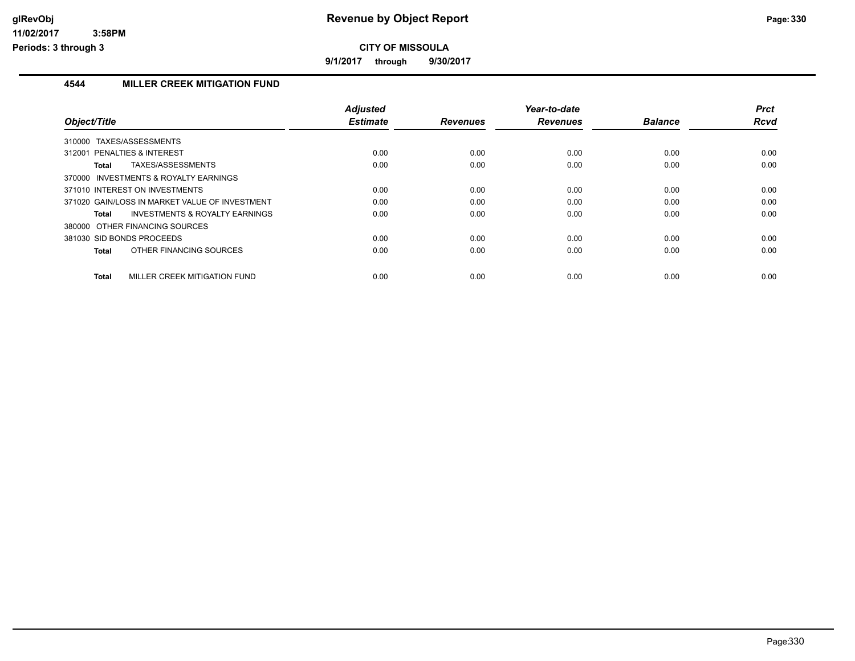**CITY OF MISSOULA**

**9/1/2017 through 9/30/2017**

#### **4544 MILLER CREEK MITIGATION FUND**

|                                                           | <b>Adjusted</b> |                 | Year-to-date    |                | <b>Prct</b> |
|-----------------------------------------------------------|-----------------|-----------------|-----------------|----------------|-------------|
| Object/Title                                              | <b>Estimate</b> | <b>Revenues</b> | <b>Revenues</b> | <b>Balance</b> | <b>Rcvd</b> |
| 310000 TAXES/ASSESSMENTS                                  |                 |                 |                 |                |             |
| 312001 PENALTIES & INTEREST                               | 0.00            | 0.00            | 0.00            | 0.00           | 0.00        |
| TAXES/ASSESSMENTS<br><b>Total</b>                         | 0.00            | 0.00            | 0.00            | 0.00           | 0.00        |
| 370000 INVESTMENTS & ROYALTY EARNINGS                     |                 |                 |                 |                |             |
| 371010 INTEREST ON INVESTMENTS                            | 0.00            | 0.00            | 0.00            | 0.00           | 0.00        |
| 371020 GAIN/LOSS IN MARKET VALUE OF INVESTMENT            | 0.00            | 0.00            | 0.00            | 0.00           | 0.00        |
| <b>INVESTMENTS &amp; ROYALTY EARNINGS</b><br><b>Total</b> | 0.00            | 0.00            | 0.00            | 0.00           | 0.00        |
| 380000 OTHER FINANCING SOURCES                            |                 |                 |                 |                |             |
| 381030 SID BONDS PROCEEDS                                 | 0.00            | 0.00            | 0.00            | 0.00           | 0.00        |
| OTHER FINANCING SOURCES<br><b>Total</b>                   | 0.00            | 0.00            | 0.00            | 0.00           | 0.00        |
| <b>Total</b><br>MILLER CREEK MITIGATION FUND              | 0.00            | 0.00            | 0.00            | 0.00           | 0.00        |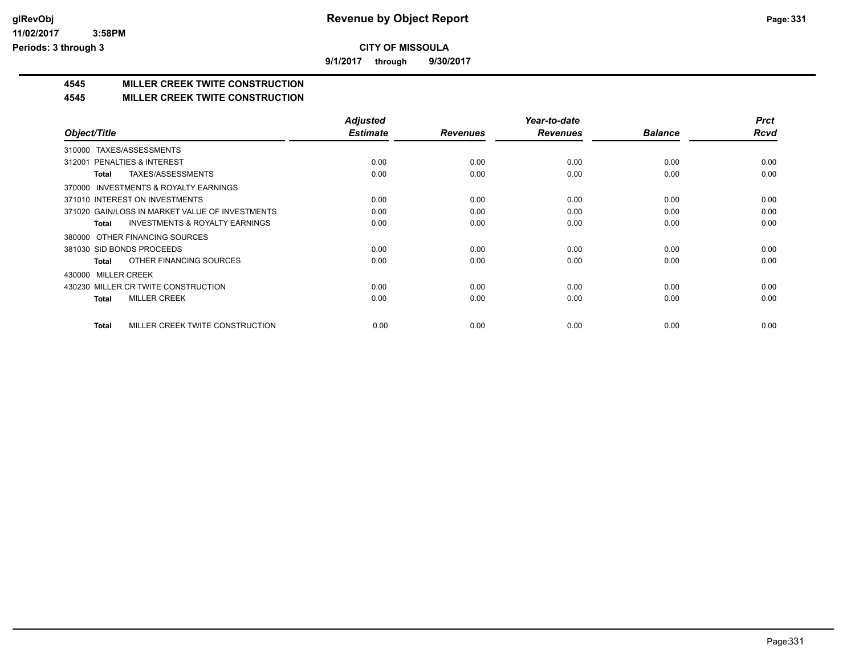**3:58PM**

**glRevObj Revenue by Object Report Page:331** 

**CITY OF MISSOULA**

**9/1/2017 through 9/30/2017**

## **4545 MILLER CREEK TWITE CONSTRUCTION**

#### **4545 MILLER CREEK TWITE CONSTRUCTION**

|                                                     | Adjusted        |                 | Year-to-date    |                | <b>Prct</b> |
|-----------------------------------------------------|-----------------|-----------------|-----------------|----------------|-------------|
| Object/Title                                        | <b>Estimate</b> | <b>Revenues</b> | <b>Revenues</b> | <b>Balance</b> | Rcvd        |
| TAXES/ASSESSMENTS<br>310000                         |                 |                 |                 |                |             |
| 312001 PENALTIES & INTEREST                         | 0.00            | 0.00            | 0.00            | 0.00           | 0.00        |
| <b>TAXES/ASSESSMENTS</b><br><b>Total</b>            | 0.00            | 0.00            | 0.00            | 0.00           | 0.00        |
| <b>INVESTMENTS &amp; ROYALTY EARNINGS</b><br>370000 |                 |                 |                 |                |             |
| 371010 INTEREST ON INVESTMENTS                      | 0.00            | 0.00            | 0.00            | 0.00           | 0.00        |
| 371020 GAIN/LOSS IN MARKET VALUE OF INVESTMENTS     | 0.00            | 0.00            | 0.00            | 0.00           | 0.00        |
| <b>INVESTMENTS &amp; ROYALTY EARNINGS</b><br>Total  | 0.00            | 0.00            | 0.00            | 0.00           | 0.00        |
| OTHER FINANCING SOURCES<br>380000                   |                 |                 |                 |                |             |
| 381030 SID BONDS PROCEEDS                           | 0.00            | 0.00            | 0.00            | 0.00           | 0.00        |
| OTHER FINANCING SOURCES<br><b>Total</b>             | 0.00            | 0.00            | 0.00            | 0.00           | 0.00        |
| <b>MILLER CREEK</b><br>430000                       |                 |                 |                 |                |             |
| 430230 MILLER CR TWITE CONSTRUCTION                 | 0.00            | 0.00            | 0.00            | 0.00           | 0.00        |
| <b>MILLER CREEK</b><br>Total                        | 0.00            | 0.00            | 0.00            | 0.00           | 0.00        |
|                                                     |                 |                 |                 |                |             |
| MILLER CREEK TWITE CONSTRUCTION<br><b>Total</b>     | 0.00            | 0.00            | 0.00            | 0.00           | 0.00        |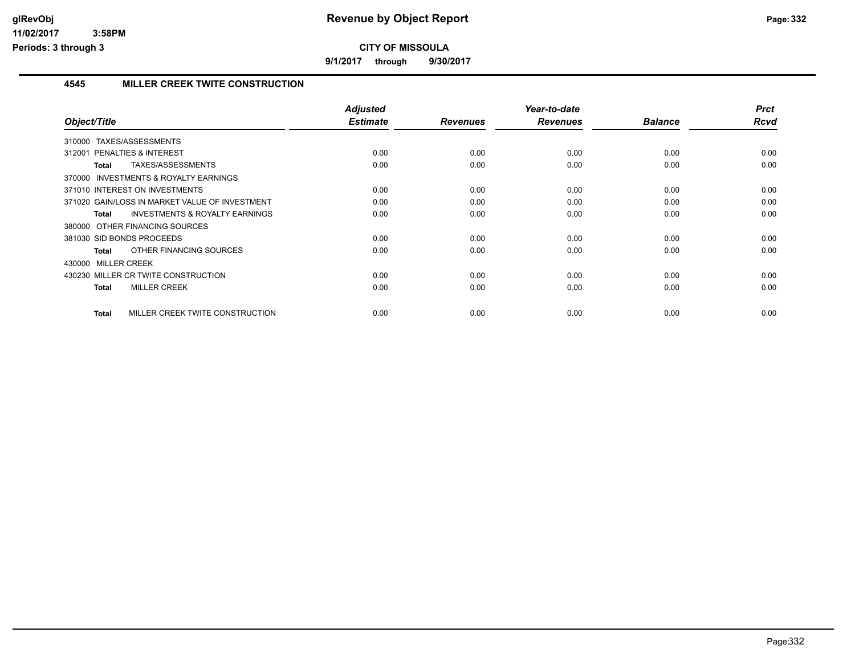**3:58PM**

**CITY OF MISSOULA**

**9/1/2017 through 9/30/2017**

#### **4545 MILLER CREEK TWITE CONSTRUCTION**

| Object/Title                                              | <b>Adjusted</b><br><b>Estimate</b> | <b>Revenues</b> | Year-to-date<br><b>Revenues</b> | <b>Balance</b> | <b>Prct</b><br><b>Rcvd</b> |
|-----------------------------------------------------------|------------------------------------|-----------------|---------------------------------|----------------|----------------------------|
| TAXES/ASSESSMENTS<br>310000                               |                                    |                 |                                 |                |                            |
| 312001 PENALTIES & INTEREST                               | 0.00                               | 0.00            | 0.00                            | 0.00           | 0.00                       |
| TAXES/ASSESSMENTS<br><b>Total</b>                         | 0.00                               | 0.00            | 0.00                            | 0.00           | 0.00                       |
| <b>INVESTMENTS &amp; ROYALTY EARNINGS</b><br>370000       |                                    |                 |                                 |                |                            |
| 371010 INTEREST ON INVESTMENTS                            | 0.00                               | 0.00            | 0.00                            | 0.00           | 0.00                       |
| 371020 GAIN/LOSS IN MARKET VALUE OF INVESTMENT            | 0.00                               | 0.00            | 0.00                            | 0.00           | 0.00                       |
| <b>INVESTMENTS &amp; ROYALTY EARNINGS</b><br><b>Total</b> | 0.00                               | 0.00            | 0.00                            | 0.00           | 0.00                       |
| 380000 OTHER FINANCING SOURCES                            |                                    |                 |                                 |                |                            |
| 381030 SID BONDS PROCEEDS                                 | 0.00                               | 0.00            | 0.00                            | 0.00           | 0.00                       |
| OTHER FINANCING SOURCES<br><b>Total</b>                   | 0.00                               | 0.00            | 0.00                            | 0.00           | 0.00                       |
| 430000 MILLER CREEK                                       |                                    |                 |                                 |                |                            |
| 430230 MILLER CR TWITE CONSTRUCTION                       | 0.00                               | 0.00            | 0.00                            | 0.00           | 0.00                       |
| <b>MILLER CREEK</b><br><b>Total</b>                       | 0.00                               | 0.00            | 0.00                            | 0.00           | 0.00                       |
| MILLER CREEK TWITE CONSTRUCTION<br><b>Total</b>           | 0.00                               | 0.00            | 0.00                            | 0.00           | 0.00                       |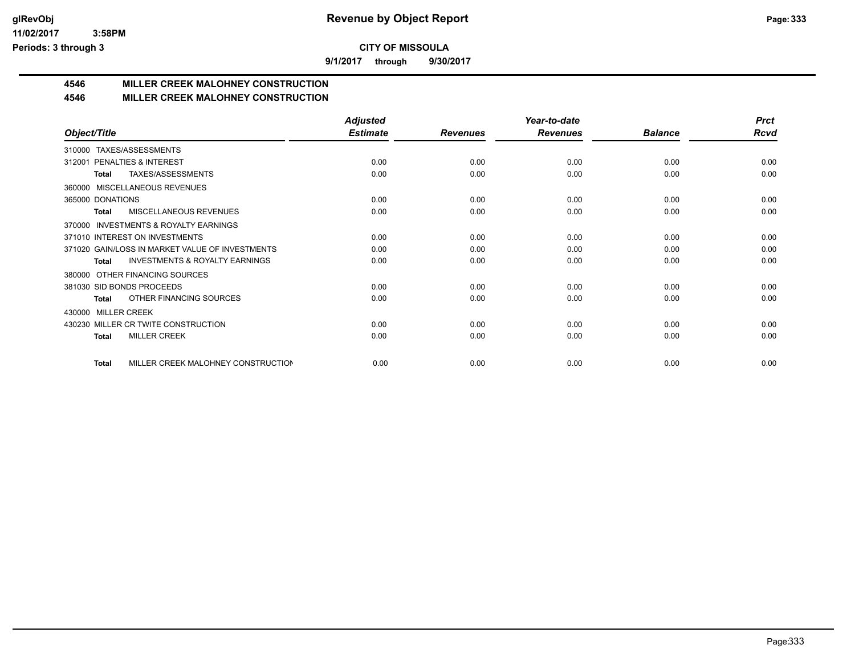**11/02/2017 3:58PM Periods: 3 through 3**

**CITY OF MISSOULA**

**9/1/2017 through 9/30/2017**

## **4546 MILLER CREEK MALOHNEY CONSTRUCTION**

#### **4546 MILLER CREEK MALOHNEY CONSTRUCTION**

|                                                           | <b>Adjusted</b> |                 | Year-to-date    |                | <b>Prct</b> |
|-----------------------------------------------------------|-----------------|-----------------|-----------------|----------------|-------------|
| Object/Title                                              | <b>Estimate</b> | <b>Revenues</b> | <b>Revenues</b> | <b>Balance</b> | Rcvd        |
| TAXES/ASSESSMENTS<br>310000                               |                 |                 |                 |                |             |
| <b>PENALTIES &amp; INTEREST</b><br>312001                 | 0.00            | 0.00            | 0.00            | 0.00           | 0.00        |
| TAXES/ASSESSMENTS<br><b>Total</b>                         | 0.00            | 0.00            | 0.00            | 0.00           | 0.00        |
| 360000 MISCELLANEOUS REVENUES                             |                 |                 |                 |                |             |
| 365000 DONATIONS                                          | 0.00            | 0.00            | 0.00            | 0.00           | 0.00        |
| <b>MISCELLANEOUS REVENUES</b><br><b>Total</b>             | 0.00            | 0.00            | 0.00            | 0.00           | 0.00        |
| INVESTMENTS & ROYALTY EARNINGS<br>370000                  |                 |                 |                 |                |             |
| 371010 INTEREST ON INVESTMENTS                            | 0.00            | 0.00            | 0.00            | 0.00           | 0.00        |
| 371020 GAIN/LOSS IN MARKET VALUE OF INVESTMENTS           | 0.00            | 0.00            | 0.00            | 0.00           | 0.00        |
| <b>INVESTMENTS &amp; ROYALTY EARNINGS</b><br><b>Total</b> | 0.00            | 0.00            | 0.00            | 0.00           | 0.00        |
| OTHER FINANCING SOURCES<br>380000                         |                 |                 |                 |                |             |
| 381030 SID BONDS PROCEEDS                                 | 0.00            | 0.00            | 0.00            | 0.00           | 0.00        |
| OTHER FINANCING SOURCES<br><b>Total</b>                   | 0.00            | 0.00            | 0.00            | 0.00           | 0.00        |
| 430000 MILLER CREEK                                       |                 |                 |                 |                |             |
| 430230 MILLER CR TWITE CONSTRUCTION                       | 0.00            | 0.00            | 0.00            | 0.00           | 0.00        |
| <b>MILLER CREEK</b><br><b>Total</b>                       | 0.00            | 0.00            | 0.00            | 0.00           | 0.00        |
| MILLER CREEK MALOHNEY CONSTRUCTION<br><b>Total</b>        | 0.00            | 0.00            | 0.00            | 0.00           | 0.00        |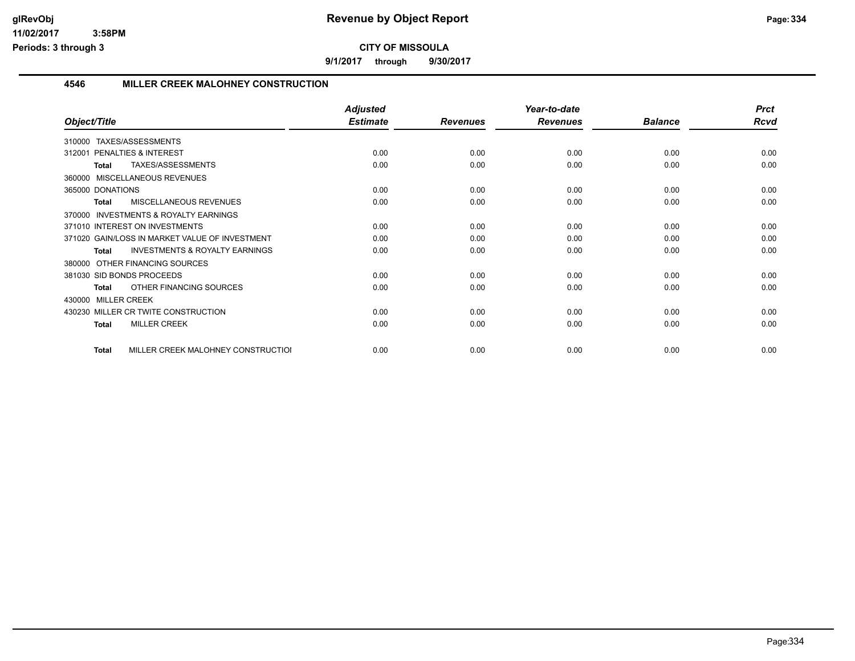**3:58PM**

**CITY OF MISSOULA**

**9/1/2017 through 9/30/2017**

#### **4546 MILLER CREEK MALOHNEY CONSTRUCTION**

|                                                    | <b>Adjusted</b> |                 | Year-to-date    |                | <b>Prct</b> |
|----------------------------------------------------|-----------------|-----------------|-----------------|----------------|-------------|
| Object/Title                                       | <b>Estimate</b> | <b>Revenues</b> | <b>Revenues</b> | <b>Balance</b> | <b>Rcvd</b> |
| TAXES/ASSESSMENTS<br>310000                        |                 |                 |                 |                |             |
| PENALTIES & INTEREST<br>312001                     | 0.00            | 0.00            | 0.00            | 0.00           | 0.00        |
| TAXES/ASSESSMENTS<br>Total                         | 0.00            | 0.00            | 0.00            | 0.00           | 0.00        |
| 360000 MISCELLANEOUS REVENUES                      |                 |                 |                 |                |             |
| 365000 DONATIONS                                   | 0.00            | 0.00            | 0.00            | 0.00           | 0.00        |
| MISCELLANEOUS REVENUES<br><b>Total</b>             | 0.00            | 0.00            | 0.00            | 0.00           | 0.00        |
| INVESTMENTS & ROYALTY EARNINGS<br>370000           |                 |                 |                 |                |             |
| 371010 INTEREST ON INVESTMENTS                     | 0.00            | 0.00            | 0.00            | 0.00           | 0.00        |
| 371020 GAIN/LOSS IN MARKET VALUE OF INVESTMENT     | 0.00            | 0.00            | 0.00            | 0.00           | 0.00        |
| <b>INVESTMENTS &amp; ROYALTY EARNINGS</b><br>Total | 0.00            | 0.00            | 0.00            | 0.00           | 0.00        |
| 380000 OTHER FINANCING SOURCES                     |                 |                 |                 |                |             |
| 381030 SID BONDS PROCEEDS                          | 0.00            | 0.00            | 0.00            | 0.00           | 0.00        |
| OTHER FINANCING SOURCES<br>Total                   | 0.00            | 0.00            | 0.00            | 0.00           | 0.00        |
| 430000 MILLER CREEK                                |                 |                 |                 |                |             |
| 430230 MILLER CR TWITE CONSTRUCTION                | 0.00            | 0.00            | 0.00            | 0.00           | 0.00        |
| <b>MILLER CREEK</b><br><b>Total</b>                | 0.00            | 0.00            | 0.00            | 0.00           | 0.00        |
| MILLER CREEK MALOHNEY CONSTRUCTIOI<br>Total        | 0.00            | 0.00            | 0.00            | 0.00           | 0.00        |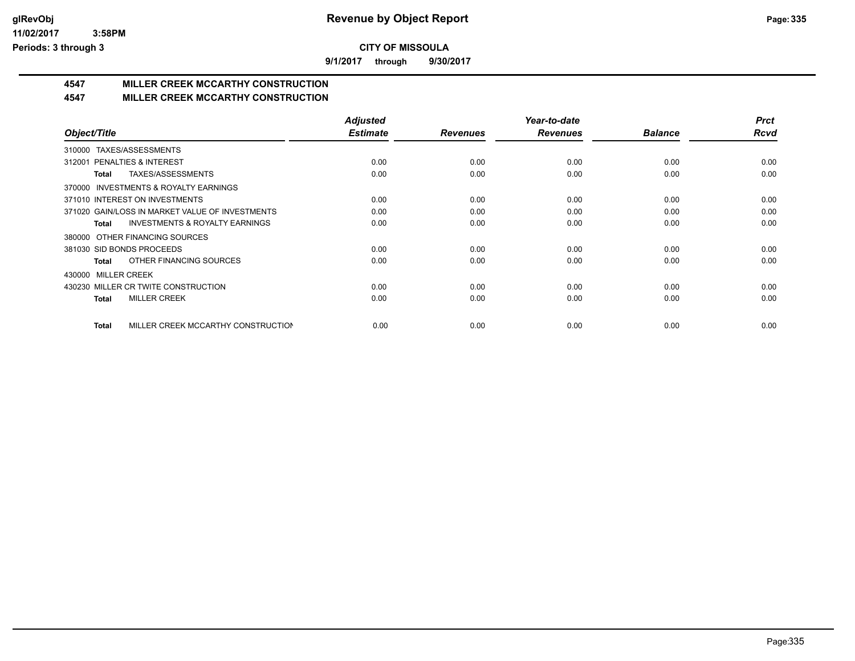**glRevObj Revenue by Object Report Page:335** 

**11/02/2017 3:58PM Periods: 3 through 3**

**CITY OF MISSOULA**

**9/1/2017 through 9/30/2017**

## **4547 MILLER CREEK MCCARTHY CONSTRUCTION**

#### **4547 MILLER CREEK MCCARTHY CONSTRUCTION**

|                                                           | <b>Adjusted</b> |                 | Year-to-date    |                | <b>Prct</b> |
|-----------------------------------------------------------|-----------------|-----------------|-----------------|----------------|-------------|
| Object/Title                                              | <b>Estimate</b> | <b>Revenues</b> | <b>Revenues</b> | <b>Balance</b> | <b>Rcvd</b> |
| TAXES/ASSESSMENTS<br>310000                               |                 |                 |                 |                |             |
| PENALTIES & INTEREST<br>312001                            | 0.00            | 0.00            | 0.00            | 0.00           | 0.00        |
| TAXES/ASSESSMENTS<br>Total                                | 0.00            | 0.00            | 0.00            | 0.00           | 0.00        |
| <b>INVESTMENTS &amp; ROYALTY EARNINGS</b><br>370000       |                 |                 |                 |                |             |
| 371010 INTEREST ON INVESTMENTS                            | 0.00            | 0.00            | 0.00            | 0.00           | 0.00        |
| 371020 GAIN/LOSS IN MARKET VALUE OF INVESTMENTS           | 0.00            | 0.00            | 0.00            | 0.00           | 0.00        |
| <b>INVESTMENTS &amp; ROYALTY EARNINGS</b><br><b>Total</b> | 0.00            | 0.00            | 0.00            | 0.00           | 0.00        |
| OTHER FINANCING SOURCES<br>380000                         |                 |                 |                 |                |             |
| 381030 SID BONDS PROCEEDS                                 | 0.00            | 0.00            | 0.00            | 0.00           | 0.00        |
| OTHER FINANCING SOURCES<br>Total                          | 0.00            | 0.00            | 0.00            | 0.00           | 0.00        |
| <b>MILLER CREEK</b><br>430000                             |                 |                 |                 |                |             |
| 430230 MILLER CR TWITE CONSTRUCTION                       | 0.00            | 0.00            | 0.00            | 0.00           | 0.00        |
| <b>MILLER CREEK</b><br><b>Total</b>                       | 0.00            | 0.00            | 0.00            | 0.00           | 0.00        |
|                                                           |                 |                 |                 |                |             |
| MILLER CREEK MCCARTHY CONSTRUCTION<br><b>Total</b>        | 0.00            | 0.00            | 0.00            | 0.00           | 0.00        |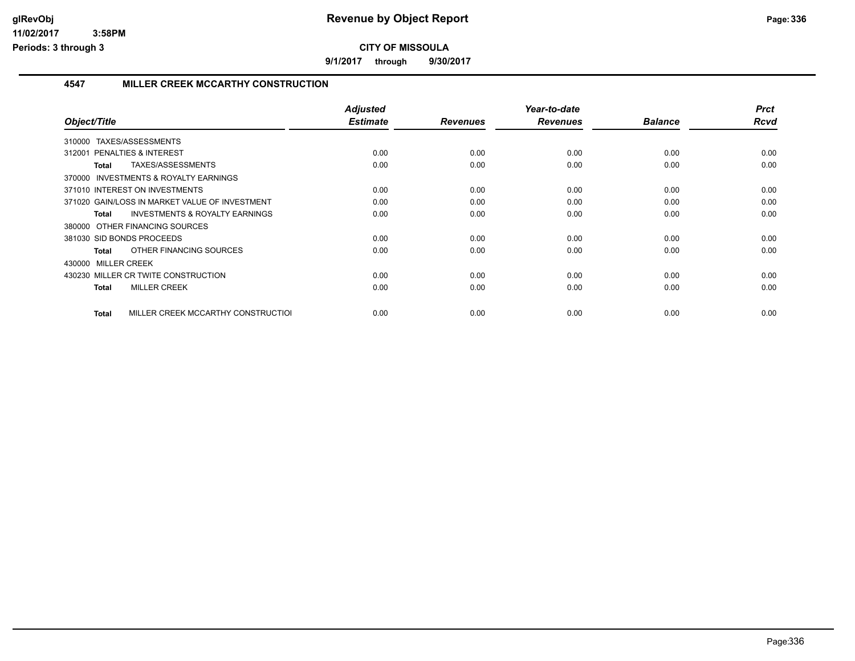**3:58PM**

**CITY OF MISSOULA**

**9/1/2017 through 9/30/2017**

#### **4547 MILLER CREEK MCCARTHY CONSTRUCTION**

| Object/Title                                              | <b>Adjusted</b><br><b>Estimate</b> | <b>Revenues</b> | Year-to-date<br><b>Revenues</b> | <b>Balance</b> | <b>Prct</b><br><b>Rcvd</b> |
|-----------------------------------------------------------|------------------------------------|-----------------|---------------------------------|----------------|----------------------------|
| 310000 TAXES/ASSESSMENTS                                  |                                    |                 |                                 |                |                            |
| <b>PENALTIES &amp; INTEREST</b><br>312001                 | 0.00                               | 0.00            | 0.00                            | 0.00           | 0.00                       |
| TAXES/ASSESSMENTS<br>Total                                | 0.00                               | 0.00            | 0.00                            | 0.00           | 0.00                       |
| 370000 INVESTMENTS & ROYALTY EARNINGS                     |                                    |                 |                                 |                |                            |
| 371010 INTEREST ON INVESTMENTS                            | 0.00                               | 0.00            | 0.00                            | 0.00           | 0.00                       |
| 371020 GAIN/LOSS IN MARKET VALUE OF INVESTMENT            | 0.00                               | 0.00            | 0.00                            | 0.00           | 0.00                       |
| <b>INVESTMENTS &amp; ROYALTY EARNINGS</b><br><b>Total</b> | 0.00                               | 0.00            | 0.00                            | 0.00           | 0.00                       |
| 380000 OTHER FINANCING SOURCES                            |                                    |                 |                                 |                |                            |
| 381030 SID BONDS PROCEEDS                                 | 0.00                               | 0.00            | 0.00                            | 0.00           | 0.00                       |
| OTHER FINANCING SOURCES<br>Total                          | 0.00                               | 0.00            | 0.00                            | 0.00           | 0.00                       |
| 430000 MILLER CREEK                                       |                                    |                 |                                 |                |                            |
| 430230 MILLER CR TWITE CONSTRUCTION                       | 0.00                               | 0.00            | 0.00                            | 0.00           | 0.00                       |
| <b>MILLER CREEK</b><br>Total                              | 0.00                               | 0.00            | 0.00                            | 0.00           | 0.00                       |
| MILLER CREEK MCCARTHY CONSTRUCTION<br><b>Total</b>        | 0.00                               | 0.00            | 0.00                            | 0.00           | 0.00                       |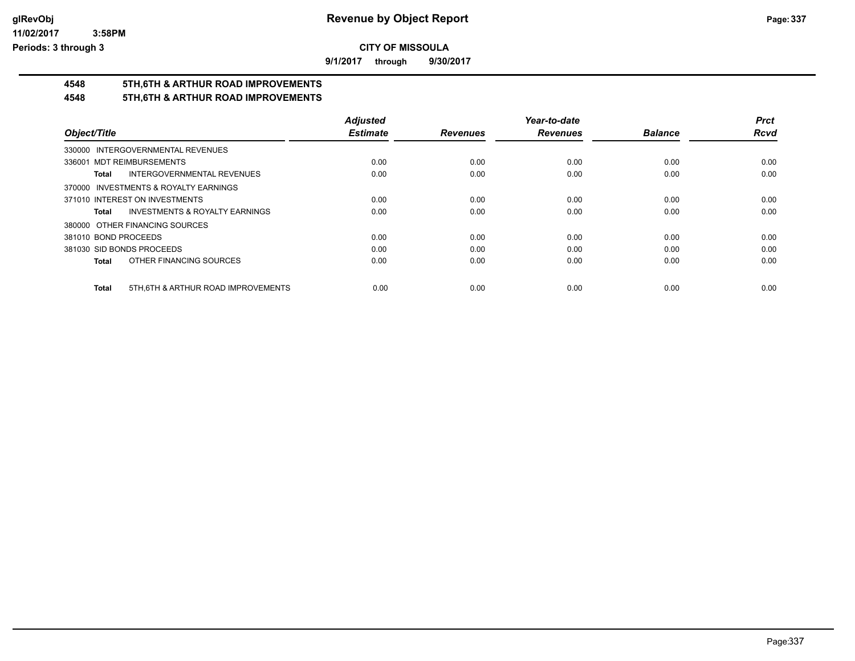**glRevObj Revenue by Object Report Page:337** 

**CITY OF MISSOULA**

**9/1/2017 through 9/30/2017**

 **3:58PM**

# **4548 5TH,6TH & ARTHUR ROAD IMPROVEMENTS**

## **4548 5TH,6TH & ARTHUR ROAD IMPROVEMENTS**

|                                                    | <b>Adjusted</b> |                 | Year-to-date    |                | <b>Prct</b> |
|----------------------------------------------------|-----------------|-----------------|-----------------|----------------|-------------|
| Object/Title                                       | <b>Estimate</b> | <b>Revenues</b> | <b>Revenues</b> | <b>Balance</b> | <b>Rcvd</b> |
| 330000 INTERGOVERNMENTAL REVENUES                  |                 |                 |                 |                |             |
| <b>MDT REIMBURSEMENTS</b><br>336001                | 0.00            | 0.00            | 0.00            | 0.00           | 0.00        |
| INTERGOVERNMENTAL REVENUES<br>Total                | 0.00            | 0.00            | 0.00            | 0.00           | 0.00        |
| 370000 INVESTMENTS & ROYALTY EARNINGS              |                 |                 |                 |                |             |
| 371010 INTEREST ON INVESTMENTS                     | 0.00            | 0.00            | 0.00            | 0.00           | 0.00        |
| <b>INVESTMENTS &amp; ROYALTY EARNINGS</b><br>Total | 0.00            | 0.00            | 0.00            | 0.00           | 0.00        |
| 380000 OTHER FINANCING SOURCES                     |                 |                 |                 |                |             |
| 381010 BOND PROCEEDS                               | 0.00            | 0.00            | 0.00            | 0.00           | 0.00        |
| 381030 SID BONDS PROCEEDS                          | 0.00            | 0.00            | 0.00            | 0.00           | 0.00        |
| OTHER FINANCING SOURCES<br>Total                   | 0.00            | 0.00            | 0.00            | 0.00           | 0.00        |
| Total<br>5TH.6TH & ARTHUR ROAD IMPROVEMENTS        | 0.00            | 0.00            | 0.00            | 0.00           | 0.00        |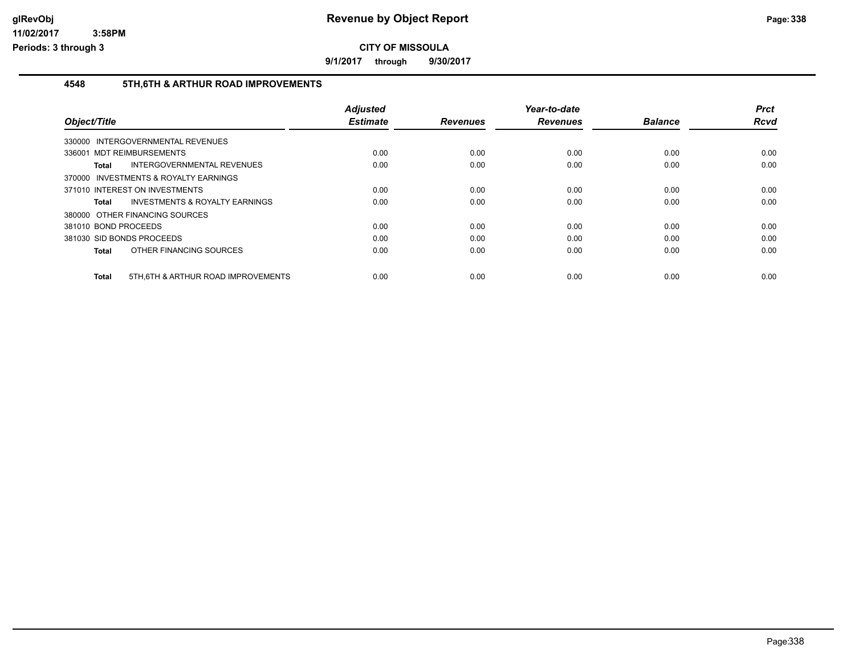**3:58PM**

**CITY OF MISSOULA**

**9/1/2017 through 9/30/2017**

#### **4548 5TH,6TH & ARTHUR ROAD IMPROVEMENTS**

|                                                     | <b>Adjusted</b> |                 | Year-to-date    |                | <b>Prct</b> |
|-----------------------------------------------------|-----------------|-----------------|-----------------|----------------|-------------|
| Object/Title                                        | <b>Estimate</b> | <b>Revenues</b> | <b>Revenues</b> | <b>Balance</b> | <b>Rcvd</b> |
| 330000 INTERGOVERNMENTAL REVENUES                   |                 |                 |                 |                |             |
| 336001 MDT REIMBURSEMENTS                           | 0.00            | 0.00            | 0.00            | 0.00           | 0.00        |
| <b>INTERGOVERNMENTAL REVENUES</b><br>Total          | 0.00            | 0.00            | 0.00            | 0.00           | 0.00        |
| 370000 INVESTMENTS & ROYALTY EARNINGS               |                 |                 |                 |                |             |
| 371010 INTEREST ON INVESTMENTS                      | 0.00            | 0.00            | 0.00            | 0.00           | 0.00        |
| <b>INVESTMENTS &amp; ROYALTY EARNINGS</b><br>Total  | 0.00            | 0.00            | 0.00            | 0.00           | 0.00        |
| 380000 OTHER FINANCING SOURCES                      |                 |                 |                 |                |             |
| 381010 BOND PROCEEDS                                | 0.00            | 0.00            | 0.00            | 0.00           | 0.00        |
| 381030 SID BONDS PROCEEDS                           | 0.00            | 0.00            | 0.00            | 0.00           | 0.00        |
| OTHER FINANCING SOURCES<br>Total                    | 0.00            | 0.00            | 0.00            | 0.00           | 0.00        |
| <b>Total</b><br>5TH, 6TH & ARTHUR ROAD IMPROVEMENTS | 0.00            | 0.00            | 0.00            | 0.00           | 0.00        |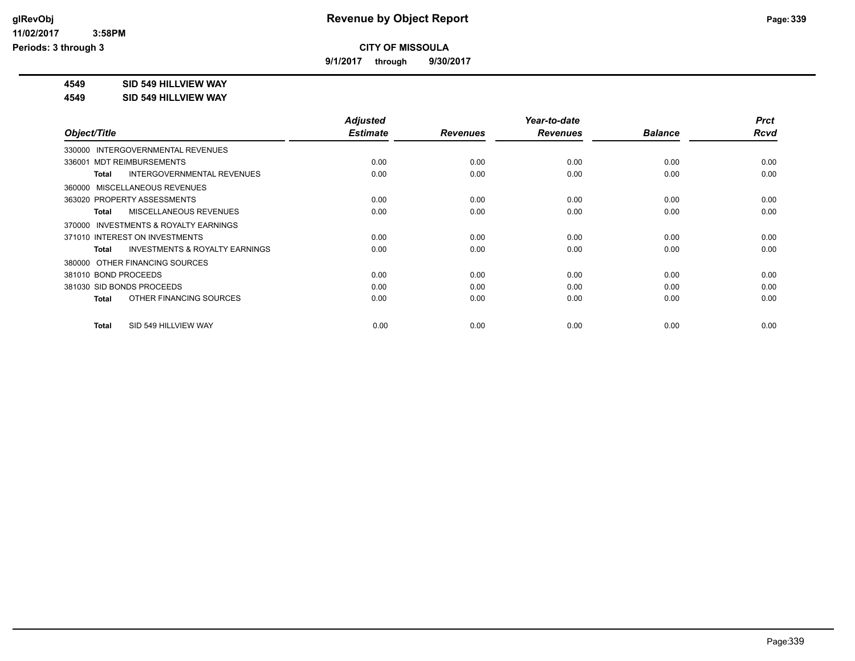**9/1/2017 through 9/30/2017**

**4549 SID 549 HILLVIEW WAY**

**4549 SID 549 HILLVIEW WAY**

|                                                    | <b>Adjusted</b> |                 | Year-to-date    |                | <b>Prct</b> |
|----------------------------------------------------|-----------------|-----------------|-----------------|----------------|-------------|
| Object/Title                                       | <b>Estimate</b> | <b>Revenues</b> | <b>Revenues</b> | <b>Balance</b> | <b>Rcvd</b> |
| INTERGOVERNMENTAL REVENUES<br>330000               |                 |                 |                 |                |             |
| <b>MDT REIMBURSEMENTS</b><br>336001                | 0.00            | 0.00            | 0.00            | 0.00           | 0.00        |
| <b>INTERGOVERNMENTAL REVENUES</b><br>Total         | 0.00            | 0.00            | 0.00            | 0.00           | 0.00        |
| 360000 MISCELLANEOUS REVENUES                      |                 |                 |                 |                |             |
| 363020 PROPERTY ASSESSMENTS                        | 0.00            | 0.00            | 0.00            | 0.00           | 0.00        |
| <b>MISCELLANEOUS REVENUES</b><br>Total             | 0.00            | 0.00            | 0.00            | 0.00           | 0.00        |
| 370000 INVESTMENTS & ROYALTY EARNINGS              |                 |                 |                 |                |             |
| 371010 INTEREST ON INVESTMENTS                     | 0.00            | 0.00            | 0.00            | 0.00           | 0.00        |
| <b>INVESTMENTS &amp; ROYALTY EARNINGS</b><br>Total | 0.00            | 0.00            | 0.00            | 0.00           | 0.00        |
| 380000 OTHER FINANCING SOURCES                     |                 |                 |                 |                |             |
| 381010 BOND PROCEEDS                               | 0.00            | 0.00            | 0.00            | 0.00           | 0.00        |
| 381030 SID BONDS PROCEEDS                          | 0.00            | 0.00            | 0.00            | 0.00           | 0.00        |
| OTHER FINANCING SOURCES<br>Total                   | 0.00            | 0.00            | 0.00            | 0.00           | 0.00        |
|                                                    |                 |                 |                 |                |             |
| SID 549 HILLVIEW WAY<br>Total                      | 0.00            | 0.00            | 0.00            | 0.00           | 0.00        |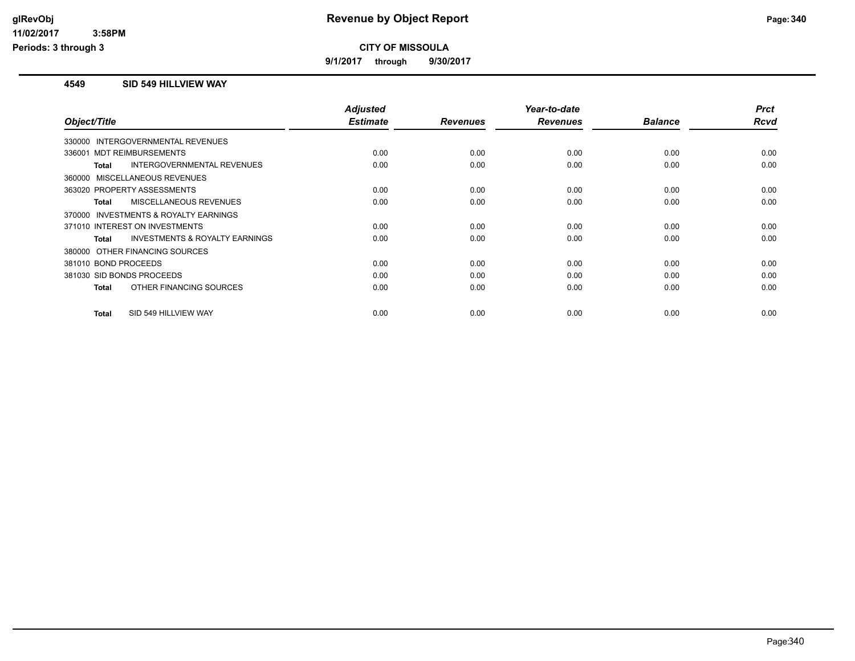**CITY OF MISSOULA**

**9/1/2017 through 9/30/2017**

#### **4549 SID 549 HILLVIEW WAY**

| Object/Title                                              | <b>Adjusted</b><br><b>Estimate</b> | <b>Revenues</b> | Year-to-date<br><b>Revenues</b> | <b>Balance</b> | <b>Prct</b><br><b>Rcvd</b> |
|-----------------------------------------------------------|------------------------------------|-----------------|---------------------------------|----------------|----------------------------|
|                                                           |                                    |                 |                                 |                |                            |
| 330000 INTERGOVERNMENTAL REVENUES                         |                                    |                 |                                 |                |                            |
| 336001 MDT REIMBURSEMENTS                                 | 0.00                               | 0.00            | 0.00                            | 0.00           | 0.00                       |
| INTERGOVERNMENTAL REVENUES<br><b>Total</b>                | 0.00                               | 0.00            | 0.00                            | 0.00           | 0.00                       |
| 360000 MISCELLANEOUS REVENUES                             |                                    |                 |                                 |                |                            |
| 363020 PROPERTY ASSESSMENTS                               | 0.00                               | 0.00            | 0.00                            | 0.00           | 0.00                       |
| MISCELLANEOUS REVENUES<br><b>Total</b>                    | 0.00                               | 0.00            | 0.00                            | 0.00           | 0.00                       |
| 370000 INVESTMENTS & ROYALTY EARNINGS                     |                                    |                 |                                 |                |                            |
| 371010 INTEREST ON INVESTMENTS                            | 0.00                               | 0.00            | 0.00                            | 0.00           | 0.00                       |
| <b>INVESTMENTS &amp; ROYALTY EARNINGS</b><br><b>Total</b> | 0.00                               | 0.00            | 0.00                            | 0.00           | 0.00                       |
| 380000 OTHER FINANCING SOURCES                            |                                    |                 |                                 |                |                            |
| 381010 BOND PROCEEDS                                      | 0.00                               | 0.00            | 0.00                            | 0.00           | 0.00                       |
| 381030 SID BONDS PROCEEDS                                 | 0.00                               | 0.00            | 0.00                            | 0.00           | 0.00                       |
| OTHER FINANCING SOURCES<br><b>Total</b>                   | 0.00                               | 0.00            | 0.00                            | 0.00           | 0.00                       |
| SID 549 HILLVIEW WAY<br><b>Total</b>                      | 0.00                               | 0.00            | 0.00                            | 0.00           | 0.00                       |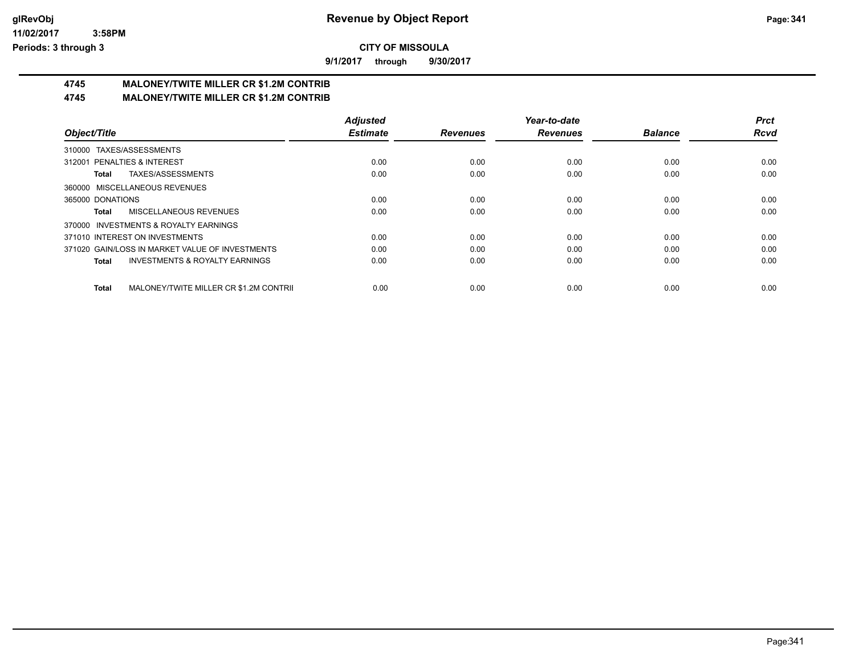**11/02/2017 3:58PM Periods: 3 through 3**

**CITY OF MISSOULA**

**9/1/2017 through 9/30/2017**

## **4745 MALONEY/TWITE MILLER CR \$1.2M CONTRIB**

### **4745 MALONEY/TWITE MILLER CR \$1.2M CONTRIB**

|                                                 | <b>Adjusted</b> |                 | Year-to-date    |                | <b>Prct</b> |
|-------------------------------------------------|-----------------|-----------------|-----------------|----------------|-------------|
| Object/Title                                    | <b>Estimate</b> | <b>Revenues</b> | <b>Revenues</b> | <b>Balance</b> | <b>Rcvd</b> |
| TAXES/ASSESSMENTS<br>310000                     |                 |                 |                 |                |             |
| 312001 PENALTIES & INTEREST                     | 0.00            | 0.00            | 0.00            | 0.00           | 0.00        |
| TAXES/ASSESSMENTS<br>Total                      | 0.00            | 0.00            | 0.00            | 0.00           | 0.00        |
| 360000 MISCELLANEOUS REVENUES                   |                 |                 |                 |                |             |
| 365000 DONATIONS                                | 0.00            | 0.00            | 0.00            | 0.00           | 0.00        |
| MISCELLANEOUS REVENUES<br>Total                 | 0.00            | 0.00            | 0.00            | 0.00           | 0.00        |
| INVESTMENTS & ROYALTY EARNINGS<br>370000        |                 |                 |                 |                |             |
| 371010 INTEREST ON INVESTMENTS                  | 0.00            | 0.00            | 0.00            | 0.00           | 0.00        |
| 371020 GAIN/LOSS IN MARKET VALUE OF INVESTMENTS | 0.00            | 0.00            | 0.00            | 0.00           | 0.00        |
| INVESTMENTS & ROYALTY EARNINGS<br>Total         | 0.00            | 0.00            | 0.00            | 0.00           | 0.00        |
| MALONEY/TWITE MILLER CR \$1.2M CONTRII<br>Total | 0.00            | 0.00            | 0.00            | 0.00           | 0.00        |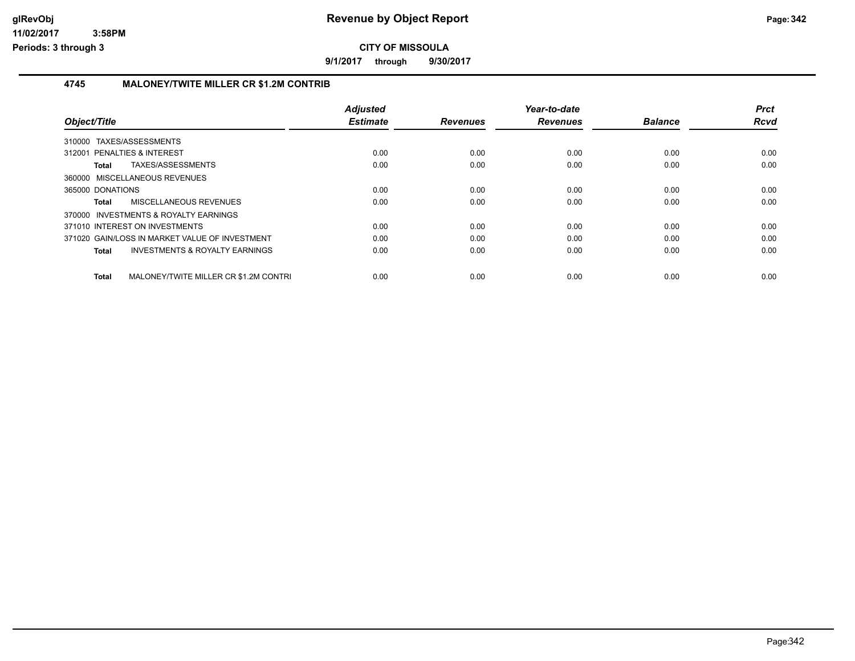**3:58PM**

**CITY OF MISSOULA**

**9/1/2017 through 9/30/2017**

#### **4745 MALONEY/TWITE MILLER CR \$1.2M CONTRIB**

| <b>Prct</b><br><b>Rcvd</b> |
|----------------------------|
|                            |
|                            |
| 0.00                       |
| 0.00                       |
|                            |
| 0.00                       |
| 0.00                       |
|                            |
| 0.00                       |
| 0.00                       |
| 0.00                       |
| 0.00                       |
|                            |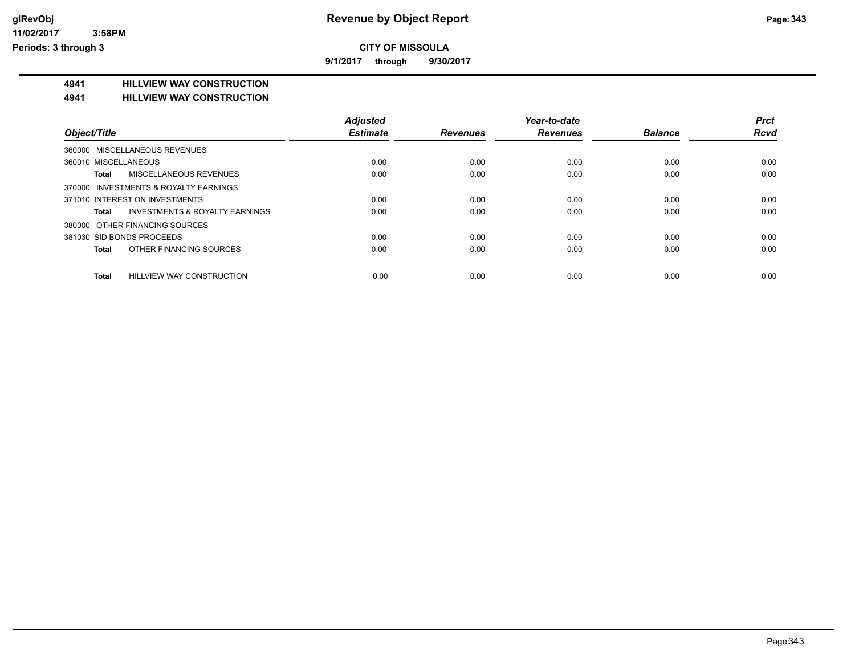**11/02/2017 3:58PM Periods: 3 through 3**

**CITY OF MISSOULA**

**9/1/2017 through 9/30/2017**

#### **4941 HILLVIEW WAY CONSTRUCTION**

#### **4941 HILLVIEW WAY CONSTRUCTION**

|                                                    | <b>Adjusted</b> |                 | Year-to-date    |                | <b>Prct</b> |
|----------------------------------------------------|-----------------|-----------------|-----------------|----------------|-------------|
| Object/Title                                       | <b>Estimate</b> | <b>Revenues</b> | <b>Revenues</b> | <b>Balance</b> | <b>Rcvd</b> |
| 360000 MISCELLANEOUS REVENUES                      |                 |                 |                 |                |             |
| 360010 MISCELLANEOUS                               | 0.00            | 0.00            | 0.00            | 0.00           | 0.00        |
| MISCELLANEOUS REVENUES<br>Total                    | 0.00            | 0.00            | 0.00            | 0.00           | 0.00        |
| 370000 INVESTMENTS & ROYALTY EARNINGS              |                 |                 |                 |                |             |
| 371010 INTEREST ON INVESTMENTS                     | 0.00            | 0.00            | 0.00            | 0.00           | 0.00        |
| <b>INVESTMENTS &amp; ROYALTY EARNINGS</b><br>Total | 0.00            | 0.00            | 0.00            | 0.00           | 0.00        |
| 380000 OTHER FINANCING SOURCES                     |                 |                 |                 |                |             |
| 381030 SID BONDS PROCEEDS                          | 0.00            | 0.00            | 0.00            | 0.00           | 0.00        |
| OTHER FINANCING SOURCES<br>Total                   | 0.00            | 0.00            | 0.00            | 0.00           | 0.00        |
| HILLVIEW WAY CONSTRUCTION<br>Total                 | 0.00            | 0.00            | 0.00            | 0.00           | 0.00        |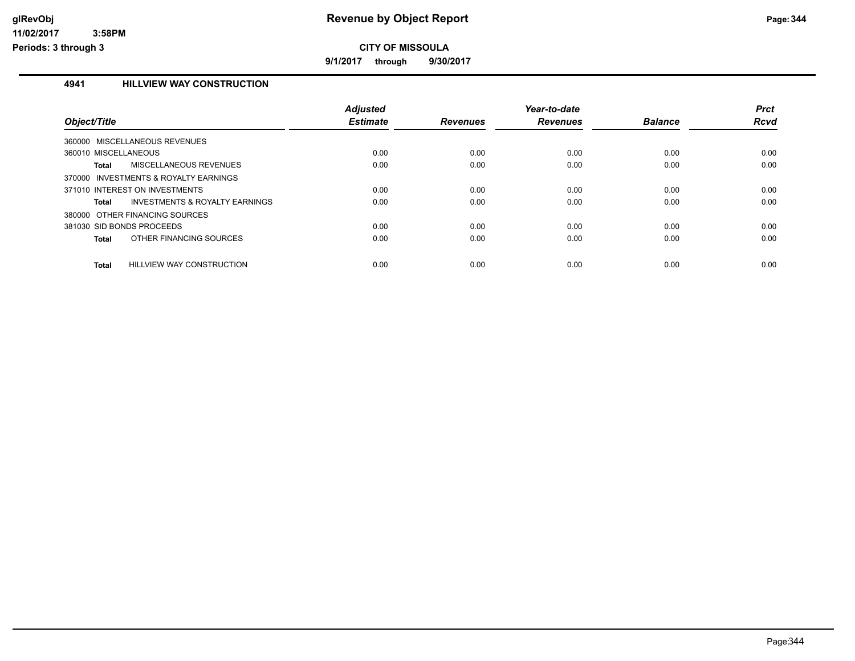**CITY OF MISSOULA**

**9/1/2017 through 9/30/2017**

#### **4941 HILLVIEW WAY CONSTRUCTION**

|                                           | <b>Adjusted</b> |                 | Year-to-date    |                | <b>Prct</b> |
|-------------------------------------------|-----------------|-----------------|-----------------|----------------|-------------|
| Object/Title                              | <b>Estimate</b> | <b>Revenues</b> | <b>Revenues</b> | <b>Balance</b> | <b>Rcvd</b> |
| 360000 MISCELLANEOUS REVENUES             |                 |                 |                 |                |             |
| 360010 MISCELLANEOUS                      | 0.00            | 0.00            | 0.00            | 0.00           | 0.00        |
| MISCELLANEOUS REVENUES<br>Total           | 0.00            | 0.00            | 0.00            | 0.00           | 0.00        |
| INVESTMENTS & ROYALTY EARNINGS<br>370000  |                 |                 |                 |                |             |
| 371010 INTEREST ON INVESTMENTS            | 0.00            | 0.00            | 0.00            | 0.00           | 0.00        |
| INVESTMENTS & ROYALTY EARNINGS<br>Total   | 0.00            | 0.00            | 0.00            | 0.00           | 0.00        |
| OTHER FINANCING SOURCES<br>380000         |                 |                 |                 |                |             |
| 381030 SID BONDS PROCEEDS                 | 0.00            | 0.00            | 0.00            | 0.00           | 0.00        |
| OTHER FINANCING SOURCES<br><b>Total</b>   | 0.00            | 0.00            | 0.00            | 0.00           | 0.00        |
| HILLVIEW WAY CONSTRUCTION<br><b>Total</b> | 0.00            | 0.00            | 0.00            | 0.00           | 0.00        |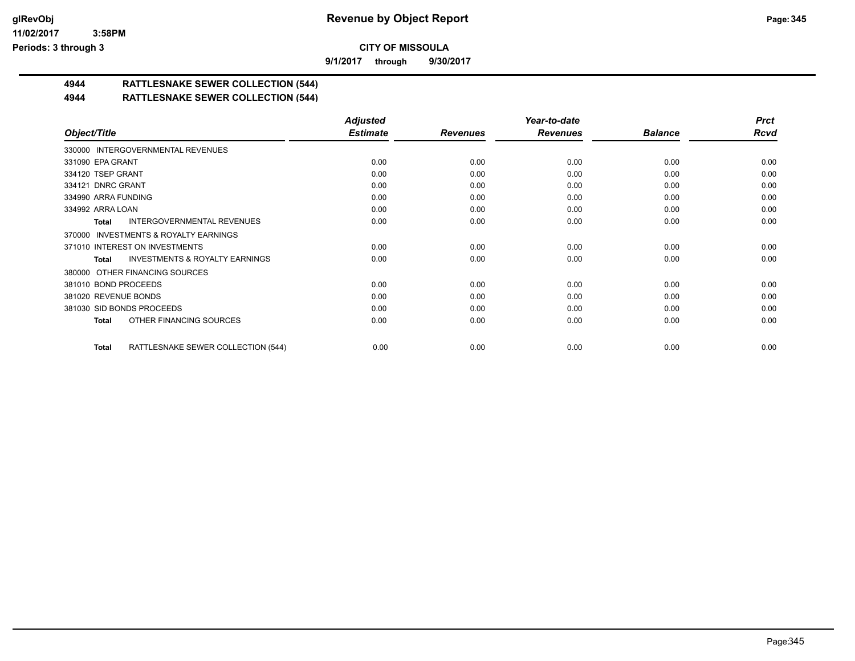**11/02/2017 3:58PM Periods: 3 through 3**

**CITY OF MISSOULA**

**9/1/2017 through 9/30/2017**

## **4944 RATTLESNAKE SEWER COLLECTION (544)**

### **4944 RATTLESNAKE SEWER COLLECTION (544)**

|                                                     | <b>Adjusted</b> |                 | Year-to-date    |                | <b>Prct</b> |
|-----------------------------------------------------|-----------------|-----------------|-----------------|----------------|-------------|
| Object/Title                                        | <b>Estimate</b> | <b>Revenues</b> | <b>Revenues</b> | <b>Balance</b> | <b>Rcvd</b> |
| 330000 INTERGOVERNMENTAL REVENUES                   |                 |                 |                 |                |             |
| 331090 EPA GRANT                                    | 0.00            | 0.00            | 0.00            | 0.00           | 0.00        |
| 334120 TSEP GRANT                                   | 0.00            | 0.00            | 0.00            | 0.00           | 0.00        |
| 334121 DNRC GRANT                                   | 0.00            | 0.00            | 0.00            | 0.00           | 0.00        |
| 334990 ARRA FUNDING                                 | 0.00            | 0.00            | 0.00            | 0.00           | 0.00        |
| 334992 ARRA LOAN                                    | 0.00            | 0.00            | 0.00            | 0.00           | 0.00        |
| <b>INTERGOVERNMENTAL REVENUES</b><br>Total          | 0.00            | 0.00            | 0.00            | 0.00           | 0.00        |
| <b>INVESTMENTS &amp; ROYALTY EARNINGS</b><br>370000 |                 |                 |                 |                |             |
| 371010 INTEREST ON INVESTMENTS                      | 0.00            | 0.00            | 0.00            | 0.00           | 0.00        |
| <b>INVESTMENTS &amp; ROYALTY EARNINGS</b><br>Total  | 0.00            | 0.00            | 0.00            | 0.00           | 0.00        |
| 380000 OTHER FINANCING SOURCES                      |                 |                 |                 |                |             |
| 381010 BOND PROCEEDS                                | 0.00            | 0.00            | 0.00            | 0.00           | 0.00        |
| 381020 REVENUE BONDS                                | 0.00            | 0.00            | 0.00            | 0.00           | 0.00        |
| 381030 SID BONDS PROCEEDS                           | 0.00            | 0.00            | 0.00            | 0.00           | 0.00        |
| OTHER FINANCING SOURCES<br><b>Total</b>             | 0.00            | 0.00            | 0.00            | 0.00           | 0.00        |
| RATTLESNAKE SEWER COLLECTION (544)<br>Total         | 0.00            | 0.00            | 0.00            | 0.00           | 0.00        |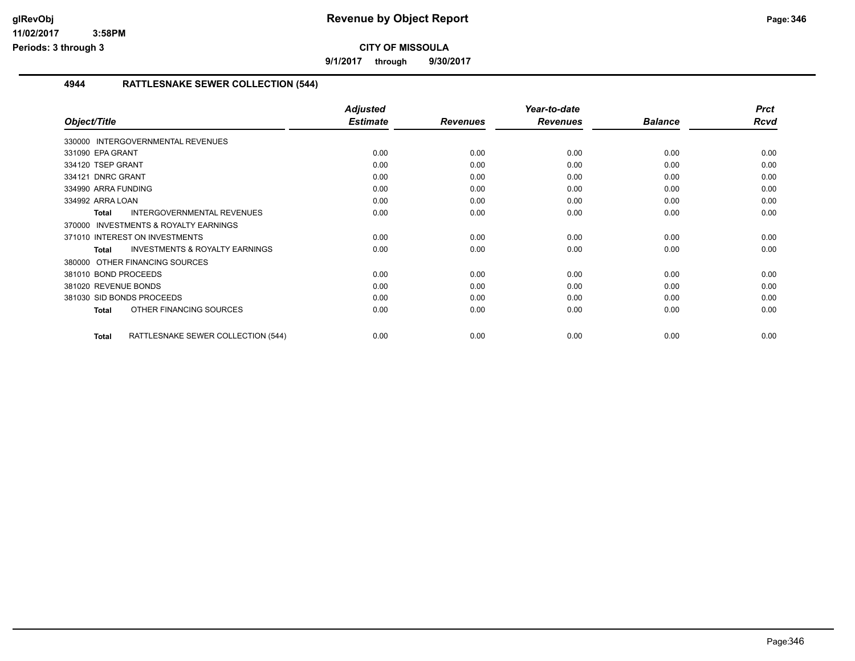**9/1/2017 through 9/30/2017**

#### **4944 RATTLESNAKE SEWER COLLECTION (544)**

|                                                           | <b>Adjusted</b> |                 | Year-to-date    |                | <b>Prct</b> |
|-----------------------------------------------------------|-----------------|-----------------|-----------------|----------------|-------------|
| Object/Title                                              | <b>Estimate</b> | <b>Revenues</b> | <b>Revenues</b> | <b>Balance</b> | <b>Rcvd</b> |
| 330000 INTERGOVERNMENTAL REVENUES                         |                 |                 |                 |                |             |
| 331090 EPA GRANT                                          | 0.00            | 0.00            | 0.00            | 0.00           | 0.00        |
| 334120 TSEP GRANT                                         | 0.00            | 0.00            | 0.00            | 0.00           | 0.00        |
| 334121 DNRC GRANT                                         | 0.00            | 0.00            | 0.00            | 0.00           | 0.00        |
| 334990 ARRA FUNDING                                       | 0.00            | 0.00            | 0.00            | 0.00           | 0.00        |
| 334992 ARRA LOAN                                          | 0.00            | 0.00            | 0.00            | 0.00           | 0.00        |
| INTERGOVERNMENTAL REVENUES<br>Total                       | 0.00            | 0.00            | 0.00            | 0.00           | 0.00        |
| <b>INVESTMENTS &amp; ROYALTY EARNINGS</b><br>370000       |                 |                 |                 |                |             |
| 371010 INTEREST ON INVESTMENTS                            | 0.00            | 0.00            | 0.00            | 0.00           | 0.00        |
| <b>INVESTMENTS &amp; ROYALTY EARNINGS</b><br><b>Total</b> | 0.00            | 0.00            | 0.00            | 0.00           | 0.00        |
| 380000 OTHER FINANCING SOURCES                            |                 |                 |                 |                |             |
| 381010 BOND PROCEEDS                                      | 0.00            | 0.00            | 0.00            | 0.00           | 0.00        |
| 381020 REVENUE BONDS                                      | 0.00            | 0.00            | 0.00            | 0.00           | 0.00        |
| 381030 SID BONDS PROCEEDS                                 | 0.00            | 0.00            | 0.00            | 0.00           | 0.00        |
| OTHER FINANCING SOURCES<br><b>Total</b>                   | 0.00            | 0.00            | 0.00            | 0.00           | 0.00        |
| RATTLESNAKE SEWER COLLECTION (544)<br><b>Total</b>        | 0.00            | 0.00            | 0.00            | 0.00           | 0.00        |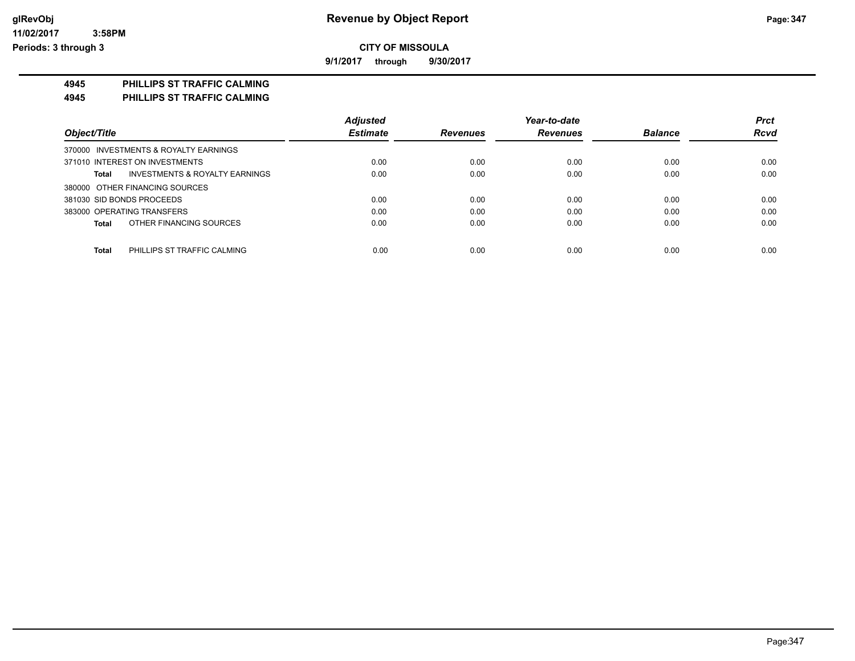**3:58PM**

**CITY OF MISSOULA**

**9/1/2017 through 9/30/2017**

#### **4945 PHILLIPS ST TRAFFIC CALMING**

**4945 PHILLIPS ST TRAFFIC CALMING**

|                                         | <b>Adjusted</b> |                 | Year-to-date    |                | <b>Prct</b> |
|-----------------------------------------|-----------------|-----------------|-----------------|----------------|-------------|
| Object/Title                            | <b>Estimate</b> | <b>Revenues</b> | <b>Revenues</b> | <b>Balance</b> | <b>Rcvd</b> |
| 370000 INVESTMENTS & ROYALTY EARNINGS   |                 |                 |                 |                |             |
| 371010 INTEREST ON INVESTMENTS          | 0.00            | 0.00            | 0.00            | 0.00           | 0.00        |
| INVESTMENTS & ROYALTY EARNINGS<br>Total | 0.00            | 0.00            | 0.00            | 0.00           | 0.00        |
| 380000 OTHER FINANCING SOURCES          |                 |                 |                 |                |             |
| 381030 SID BONDS PROCEEDS               | 0.00            | 0.00            | 0.00            | 0.00           | 0.00        |
| 383000 OPERATING TRANSFERS              | 0.00            | 0.00            | 0.00            | 0.00           | 0.00        |
| OTHER FINANCING SOURCES<br>Total        | 0.00            | 0.00            | 0.00            | 0.00           | 0.00        |
|                                         |                 |                 |                 |                |             |
| Total<br>PHILLIPS ST TRAFFIC CALMING    | 0.00            | 0.00            | 0.00            | 0.00           | 0.00        |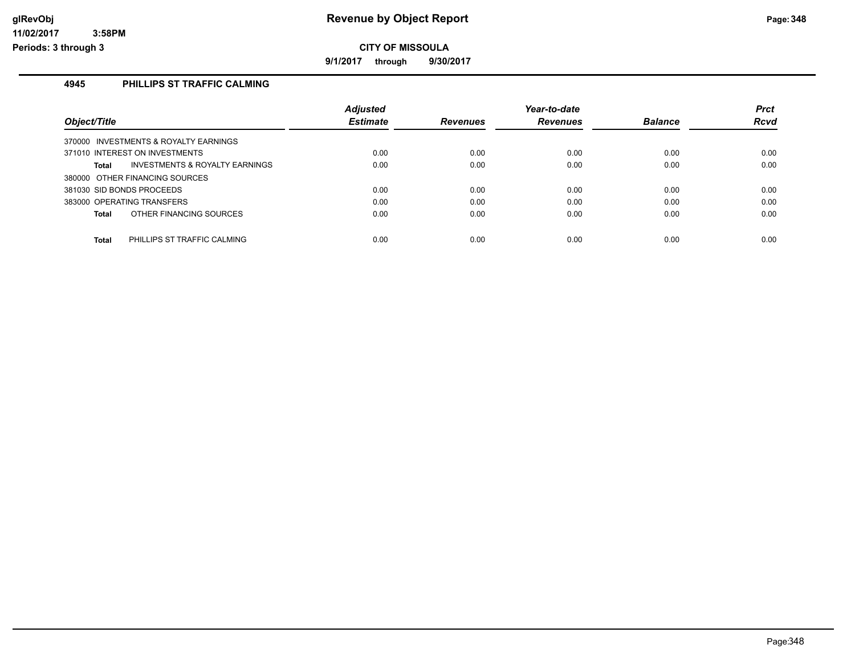**CITY OF MISSOULA**

**9/1/2017 through 9/30/2017**

#### **4945 PHILLIPS ST TRAFFIC CALMING**

|                                                    | <b>Adjusted</b> |                 | Year-to-date    |                | <b>Prct</b> |
|----------------------------------------------------|-----------------|-----------------|-----------------|----------------|-------------|
| Object/Title                                       | <b>Estimate</b> | <b>Revenues</b> | <b>Revenues</b> | <b>Balance</b> | <b>Rcvd</b> |
| INVESTMENTS & ROYALTY EARNINGS<br>370000           |                 |                 |                 |                |             |
| 371010 INTEREST ON INVESTMENTS                     | 0.00            | 0.00            | 0.00            | 0.00           | 0.00        |
| <b>INVESTMENTS &amp; ROYALTY EARNINGS</b><br>Total | 0.00            | 0.00            | 0.00            | 0.00           | 0.00        |
| 380000 OTHER FINANCING SOURCES                     |                 |                 |                 |                |             |
| 381030 SID BONDS PROCEEDS                          | 0.00            | 0.00            | 0.00            | 0.00           | 0.00        |
| 383000 OPERATING TRANSFERS                         | 0.00            | 0.00            | 0.00            | 0.00           | 0.00        |
| OTHER FINANCING SOURCES<br>Total                   | 0.00            | 0.00            | 0.00            | 0.00           | 0.00        |
| Total<br>PHILLIPS ST TRAFFIC CALMING               | 0.00            | 0.00            | 0.00            | 0.00           | 0.00        |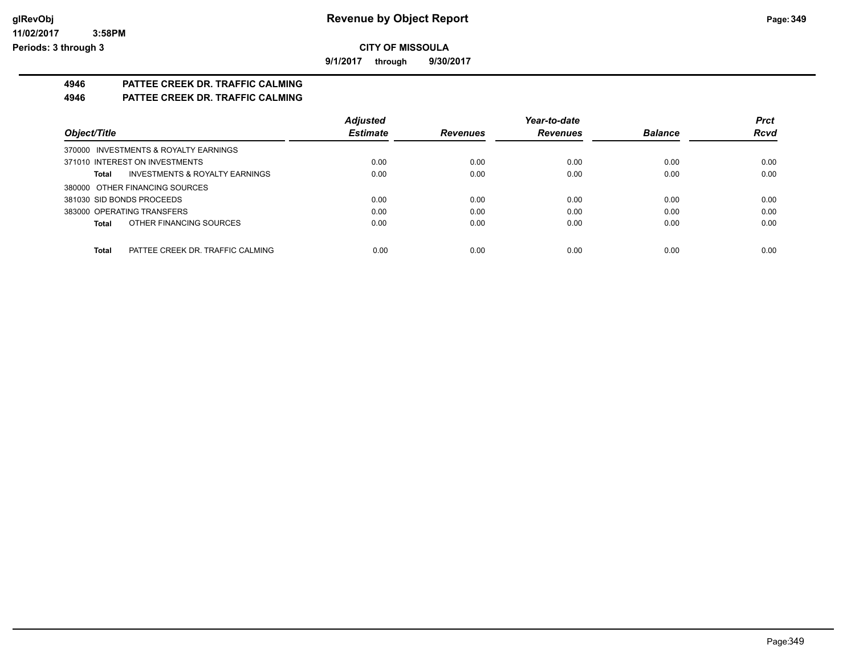**9/1/2017 through 9/30/2017**

# **4946 PATTEE CREEK DR. TRAFFIC CALMING**

## **4946 PATTEE CREEK DR. TRAFFIC CALMING**

|                                                    | <b>Adjusted</b> |                 | Year-to-date    |                | <b>Prct</b> |
|----------------------------------------------------|-----------------|-----------------|-----------------|----------------|-------------|
| Object/Title                                       | <b>Estimate</b> | <b>Revenues</b> | <b>Revenues</b> | <b>Balance</b> | <b>Rcvd</b> |
| 370000 INVESTMENTS & ROYALTY EARNINGS              |                 |                 |                 |                |             |
| 371010 INTEREST ON INVESTMENTS                     | 0.00            | 0.00            | 0.00            | 0.00           | 0.00        |
| <b>INVESTMENTS &amp; ROYALTY EARNINGS</b><br>Total | 0.00            | 0.00            | 0.00            | 0.00           | 0.00        |
| 380000 OTHER FINANCING SOURCES                     |                 |                 |                 |                |             |
| 381030 SID BONDS PROCEEDS                          | 0.00            | 0.00            | 0.00            | 0.00           | 0.00        |
| 383000 OPERATING TRANSFERS                         | 0.00            | 0.00            | 0.00            | 0.00           | 0.00        |
| OTHER FINANCING SOURCES<br>Total                   | 0.00            | 0.00            | 0.00            | 0.00           | 0.00        |
|                                                    |                 |                 |                 |                |             |
| Total<br>PATTEE CREEK DR. TRAFFIC CALMING          | 0.00            | 0.00            | 0.00            | 0.00           | 0.00        |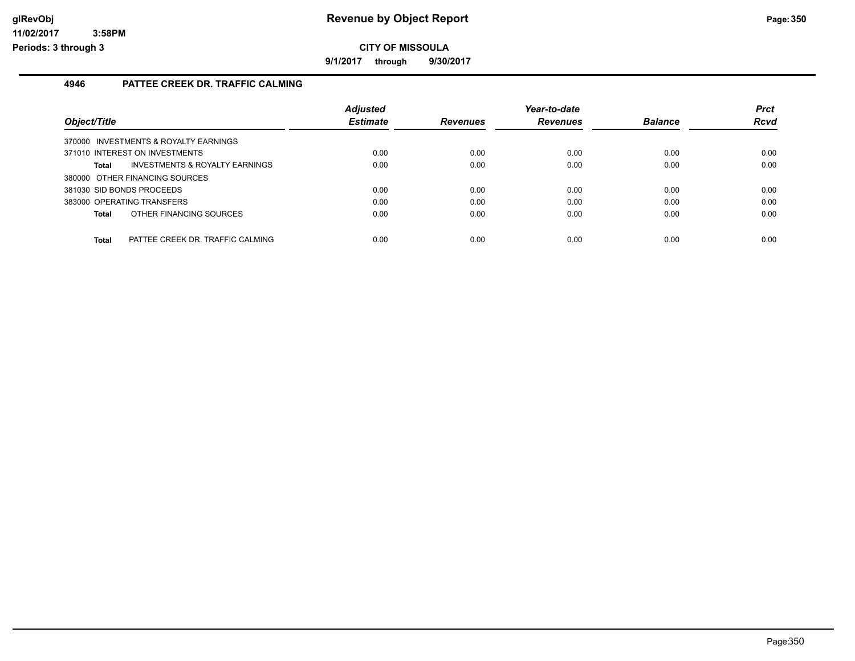**3:58PM**

**CITY OF MISSOULA**

**9/1/2017 through 9/30/2017**

#### **4946 PATTEE CREEK DR. TRAFFIC CALMING**

|                                                  | <b>Adjusted</b> |                 | Year-to-date    |                | <b>Prct</b> |
|--------------------------------------------------|-----------------|-----------------|-----------------|----------------|-------------|
| Object/Title                                     | <b>Estimate</b> | <b>Revenues</b> | <b>Revenues</b> | <b>Balance</b> | <b>Rcvd</b> |
| 370000 INVESTMENTS & ROYALTY EARNINGS            |                 |                 |                 |                |             |
| 371010 INTEREST ON INVESTMENTS                   | 0.00            | 0.00            | 0.00            | 0.00           | 0.00        |
| INVESTMENTS & ROYALTY EARNINGS<br>Total          | 0.00            | 0.00            | 0.00            | 0.00           | 0.00        |
| 380000 OTHER FINANCING SOURCES                   |                 |                 |                 |                |             |
| 381030 SID BONDS PROCEEDS                        | 0.00            | 0.00            | 0.00            | 0.00           | 0.00        |
| 383000 OPERATING TRANSFERS                       | 0.00            | 0.00            | 0.00            | 0.00           | 0.00        |
| OTHER FINANCING SOURCES<br><b>Total</b>          | 0.00            | 0.00            | 0.00            | 0.00           | 0.00        |
|                                                  |                 |                 |                 |                |             |
| <b>Total</b><br>PATTEE CREEK DR. TRAFFIC CALMING | 0.00            | 0.00            | 0.00            | 0.00           | 0.00        |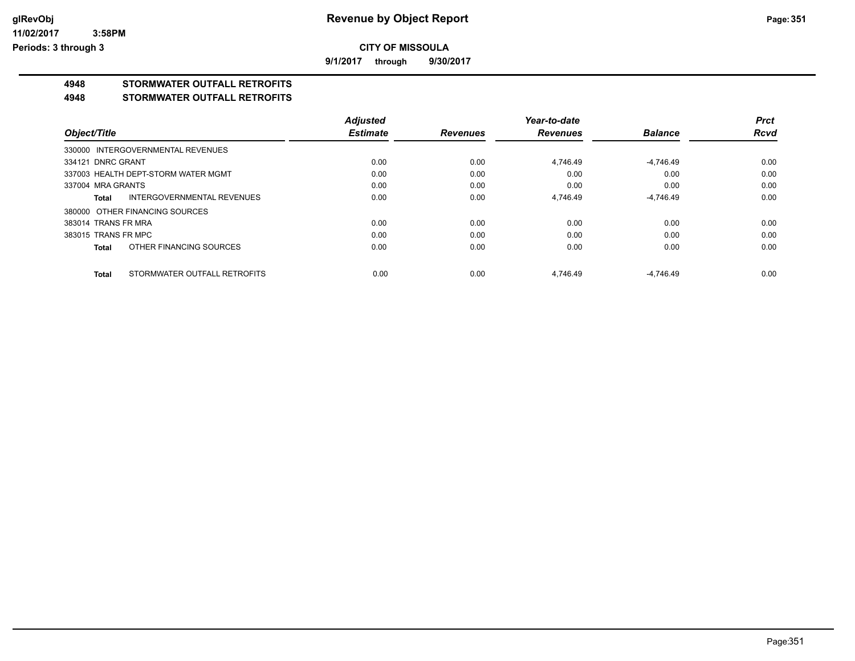**9/1/2017 through 9/30/2017**

## **4948 STORMWATER OUTFALL RETROFITS**

#### **4948 STORMWATER OUTFALL RETROFITS**

|                     |                                     | <b>Adjusted</b> |                 | Year-to-date    |                | <b>Prct</b> |
|---------------------|-------------------------------------|-----------------|-----------------|-----------------|----------------|-------------|
| Object/Title        |                                     | <b>Estimate</b> | <b>Revenues</b> | <b>Revenues</b> | <b>Balance</b> | <b>Rcvd</b> |
|                     | 330000 INTERGOVERNMENTAL REVENUES   |                 |                 |                 |                |             |
| 334121 DNRC GRANT   |                                     | 0.00            | 0.00            | 4.746.49        | $-4.746.49$    | 0.00        |
|                     | 337003 HEALTH DEPT-STORM WATER MGMT | 0.00            | 0.00            | 0.00            | 0.00           | 0.00        |
| 337004 MRA GRANTS   |                                     | 0.00            | 0.00            | 0.00            | 0.00           | 0.00        |
| Total               | <b>INTERGOVERNMENTAL REVENUES</b>   | 0.00            | 0.00            | 4.746.49        | $-4.746.49$    | 0.00        |
|                     | 380000 OTHER FINANCING SOURCES      |                 |                 |                 |                |             |
| 383014 TRANS FR MRA |                                     | 0.00            | 0.00            | 0.00            | 0.00           | 0.00        |
| 383015 TRANS FR MPC |                                     | 0.00            | 0.00            | 0.00            | 0.00           | 0.00        |
| Total               | OTHER FINANCING SOURCES             | 0.00            | 0.00            | 0.00            | 0.00           | 0.00        |
| <b>Total</b>        | STORMWATER OUTFALL RETROFITS        | 0.00            | 0.00            | 4.746.49        | $-4.746.49$    | 0.00        |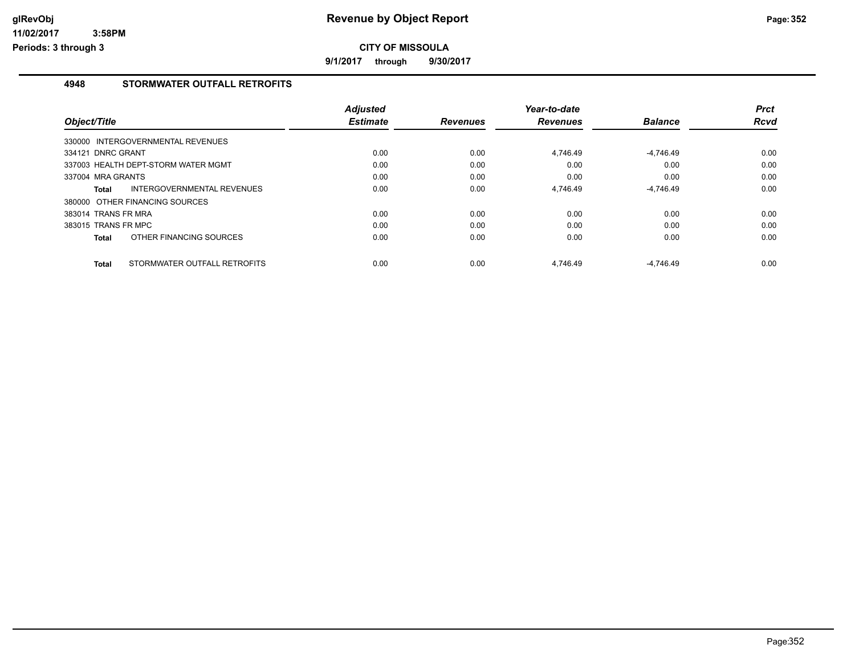**9/1/2017 through 9/30/2017**

#### **4948 STORMWATER OUTFALL RETROFITS**

| Object/Title                   |                                     | <b>Adjusted</b><br><b>Estimate</b> | <b>Revenues</b> | Year-to-date<br><b>Revenues</b> | <b>Balance</b> | <b>Prct</b><br><b>Rcvd</b> |
|--------------------------------|-------------------------------------|------------------------------------|-----------------|---------------------------------|----------------|----------------------------|
|                                | 330000 INTERGOVERNMENTAL REVENUES   |                                    |                 |                                 |                |                            |
| 334121 DNRC GRANT              |                                     | 0.00                               | 0.00            | 4,746.49                        | $-4,746.49$    | 0.00                       |
|                                | 337003 HEALTH DEPT-STORM WATER MGMT | 0.00                               | 0.00            | 0.00                            | 0.00           | 0.00                       |
| 337004 MRA GRANTS              |                                     | 0.00                               | 0.00            | 0.00                            | 0.00           | 0.00                       |
| Total                          | <b>INTERGOVERNMENTAL REVENUES</b>   | 0.00                               | 0.00            | 4,746.49                        | $-4,746.49$    | 0.00                       |
| 380000 OTHER FINANCING SOURCES |                                     |                                    |                 |                                 |                |                            |
| 383014 TRANS FR MRA            |                                     | 0.00                               | 0.00            | 0.00                            | 0.00           | 0.00                       |
| 383015 TRANS FR MPC            |                                     | 0.00                               | 0.00            | 0.00                            | 0.00           | 0.00                       |
| Total                          | OTHER FINANCING SOURCES             | 0.00                               | 0.00            | 0.00                            | 0.00           | 0.00                       |
| Total                          | STORMWATER OUTFALL RETROFITS        | 0.00                               | 0.00            | 4.746.49                        | $-4.746.49$    | 0.00                       |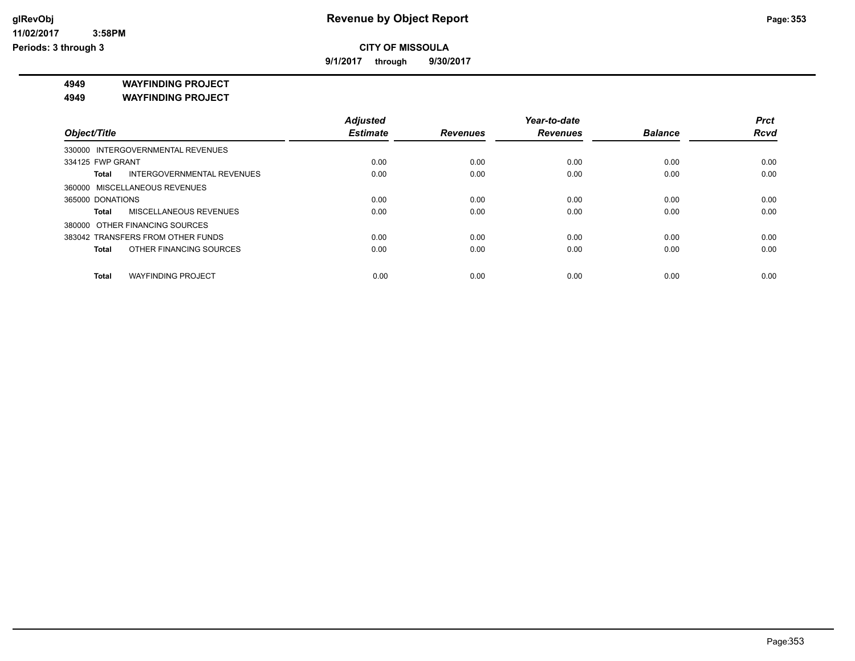**9/1/2017 through 9/30/2017**

**4949 WAYFINDING PROJECT**

**4949 WAYFINDING PROJECT**

|                                            | <b>Adjusted</b> |                 | Year-to-date    |                | <b>Prct</b> |
|--------------------------------------------|-----------------|-----------------|-----------------|----------------|-------------|
| Object/Title                               | <b>Estimate</b> | <b>Revenues</b> | <b>Revenues</b> | <b>Balance</b> | <b>Rcvd</b> |
| 330000 INTERGOVERNMENTAL REVENUES          |                 |                 |                 |                |             |
| 334125 FWP GRANT                           | 0.00            | 0.00            | 0.00            | 0.00           | 0.00        |
| <b>INTERGOVERNMENTAL REVENUES</b><br>Total | 0.00            | 0.00            | 0.00            | 0.00           | 0.00        |
| 360000 MISCELLANEOUS REVENUES              |                 |                 |                 |                |             |
| 365000 DONATIONS                           | 0.00            | 0.00            | 0.00            | 0.00           | 0.00        |
| <b>MISCELLANEOUS REVENUES</b><br>Total     | 0.00            | 0.00            | 0.00            | 0.00           | 0.00        |
| 380000 OTHER FINANCING SOURCES             |                 |                 |                 |                |             |
| 383042 TRANSFERS FROM OTHER FUNDS          | 0.00            | 0.00            | 0.00            | 0.00           | 0.00        |
| OTHER FINANCING SOURCES<br>Total           | 0.00            | 0.00            | 0.00            | 0.00           | 0.00        |
| <b>WAYFINDING PROJECT</b><br>Total         | 0.00            | 0.00            | 0.00            | 0.00           | 0.00        |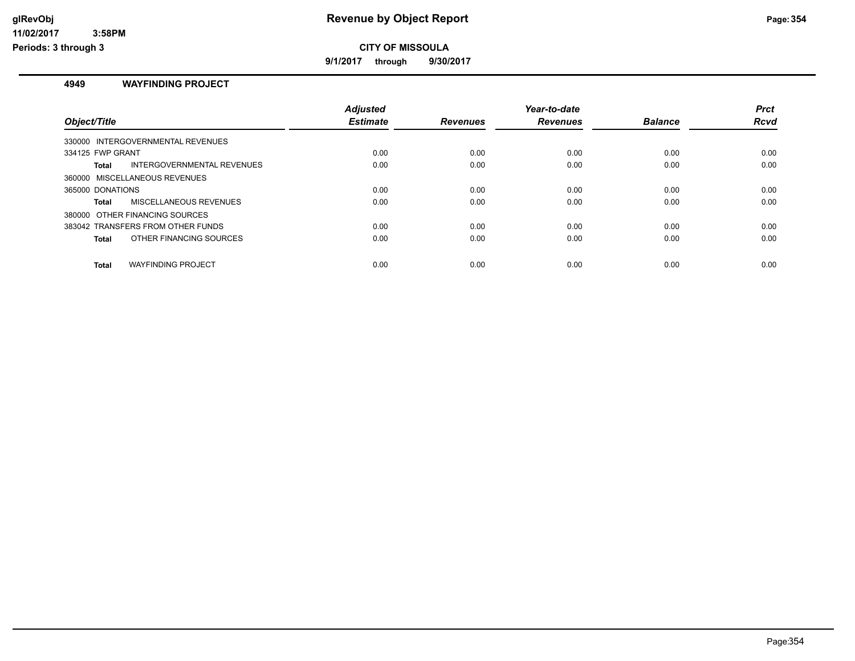**CITY OF MISSOULA**

**9/1/2017 through 9/30/2017**

#### **4949 WAYFINDING PROJECT**

| Object/Title                                  | <b>Adjusted</b><br><b>Estimate</b> | <b>Revenues</b> | Year-to-date<br><b>Revenues</b> | <b>Balance</b> | <b>Prct</b><br><b>Rcvd</b> |
|-----------------------------------------------|------------------------------------|-----------------|---------------------------------|----------------|----------------------------|
| 330000 INTERGOVERNMENTAL REVENUES             |                                    |                 |                                 |                |                            |
| 334125 FWP GRANT                              | 0.00                               | 0.00            | 0.00                            | 0.00           | 0.00                       |
| INTERGOVERNMENTAL REVENUES<br><b>Total</b>    | 0.00                               | 0.00            | 0.00                            | 0.00           | 0.00                       |
| MISCELLANEOUS REVENUES<br>360000              |                                    |                 |                                 |                |                            |
| 365000 DONATIONS                              | 0.00                               | 0.00            | 0.00                            | 0.00           | 0.00                       |
| <b>MISCELLANEOUS REVENUES</b><br><b>Total</b> | 0.00                               | 0.00            | 0.00                            | 0.00           | 0.00                       |
| 380000 OTHER FINANCING SOURCES                |                                    |                 |                                 |                |                            |
| 383042 TRANSFERS FROM OTHER FUNDS             | 0.00                               | 0.00            | 0.00                            | 0.00           | 0.00                       |
| OTHER FINANCING SOURCES<br><b>Total</b>       | 0.00                               | 0.00            | 0.00                            | 0.00           | 0.00                       |
| <b>WAYFINDING PROJECT</b><br><b>Total</b>     | 0.00                               | 0.00            | 0.00                            | 0.00           | 0.00                       |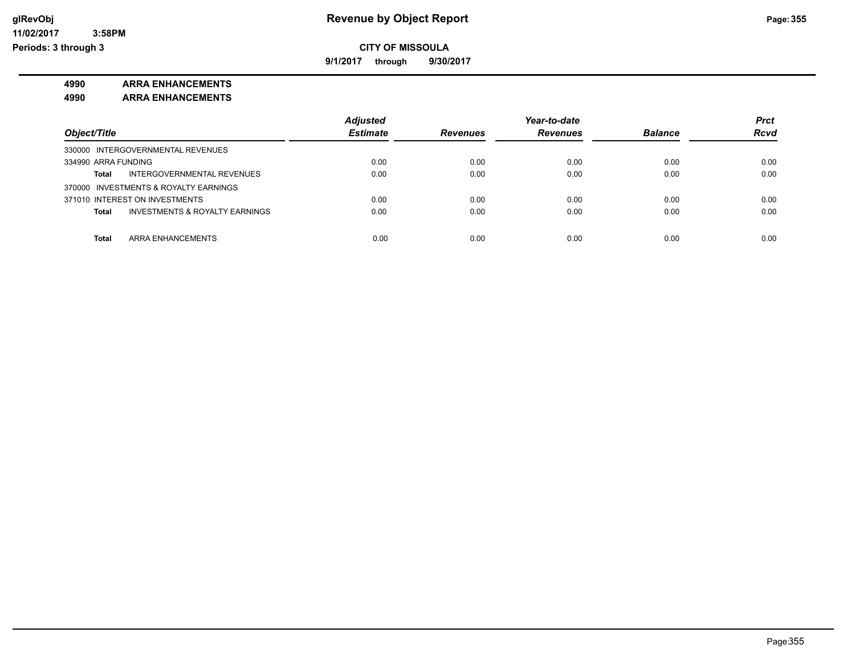**9/1/2017 through 9/30/2017**

#### **4990 ARRA ENHANCEMENTS**

**4990 ARRA ENHANCEMENTS**

|                                                           | <b>Adjusted</b> |                 | Year-to-date    |                | <b>Prct</b> |
|-----------------------------------------------------------|-----------------|-----------------|-----------------|----------------|-------------|
| Object/Title                                              | <b>Estimate</b> | <b>Revenues</b> | <b>Revenues</b> | <b>Balance</b> | <b>Rcvd</b> |
| 330000 INTERGOVERNMENTAL REVENUES                         |                 |                 |                 |                |             |
| 334990 ARRA FUNDING                                       | 0.00            | 0.00            | 0.00            | 0.00           | 0.00        |
| INTERGOVERNMENTAL REVENUES<br>Total                       | 0.00            | 0.00            | 0.00            | 0.00           | 0.00        |
| 370000 INVESTMENTS & ROYALTY EARNINGS                     |                 |                 |                 |                |             |
| 371010 INTEREST ON INVESTMENTS                            | 0.00            | 0.00            | 0.00            | 0.00           | 0.00        |
| <b>INVESTMENTS &amp; ROYALTY EARNINGS</b><br><b>Total</b> | 0.00            | 0.00            | 0.00            | 0.00           | 0.00        |
|                                                           |                 |                 |                 |                |             |
| ARRA ENHANCEMENTS<br><b>Total</b>                         | 0.00            | 0.00            | 0.00            | 0.00           | 0.00        |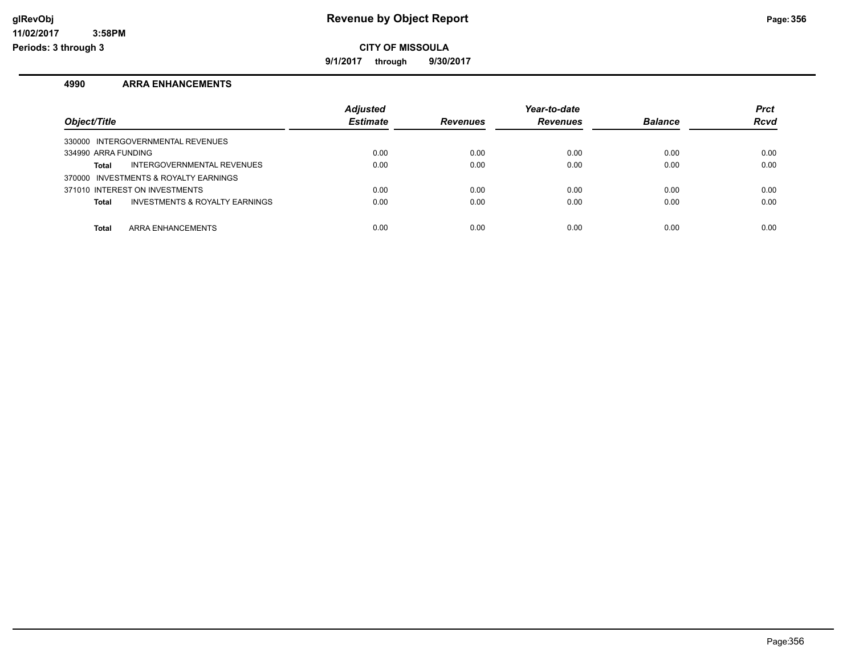**CITY OF MISSOULA**

**9/1/2017 through 9/30/2017**

#### **4990 ARRA ENHANCEMENTS**

| Object/Title                                              | <b>Adjusted</b><br><b>Estimate</b> | <b>Revenues</b> | Year-to-date<br><b>Revenues</b> | <b>Balance</b> | <b>Prct</b><br><b>Rcvd</b> |
|-----------------------------------------------------------|------------------------------------|-----------------|---------------------------------|----------------|----------------------------|
| 330000 INTERGOVERNMENTAL REVENUES                         |                                    |                 |                                 |                |                            |
| 334990 ARRA FUNDING                                       | 0.00                               | 0.00            | 0.00                            | 0.00           | 0.00                       |
| INTERGOVERNMENTAL REVENUES<br>Total                       | 0.00                               | 0.00            | 0.00                            | 0.00           | 0.00                       |
| INVESTMENTS & ROYALTY EARNINGS<br>370000                  |                                    |                 |                                 |                |                            |
| 371010 INTEREST ON INVESTMENTS                            | 0.00                               | 0.00            | 0.00                            | 0.00           | 0.00                       |
| <b>INVESTMENTS &amp; ROYALTY EARNINGS</b><br><b>Total</b> | 0.00                               | 0.00            | 0.00                            | 0.00           | 0.00                       |
|                                                           |                                    |                 |                                 |                |                            |
| ARRA ENHANCEMENTS<br>Total                                | 0.00                               | 0.00            | 0.00                            | 0.00           | 0.00                       |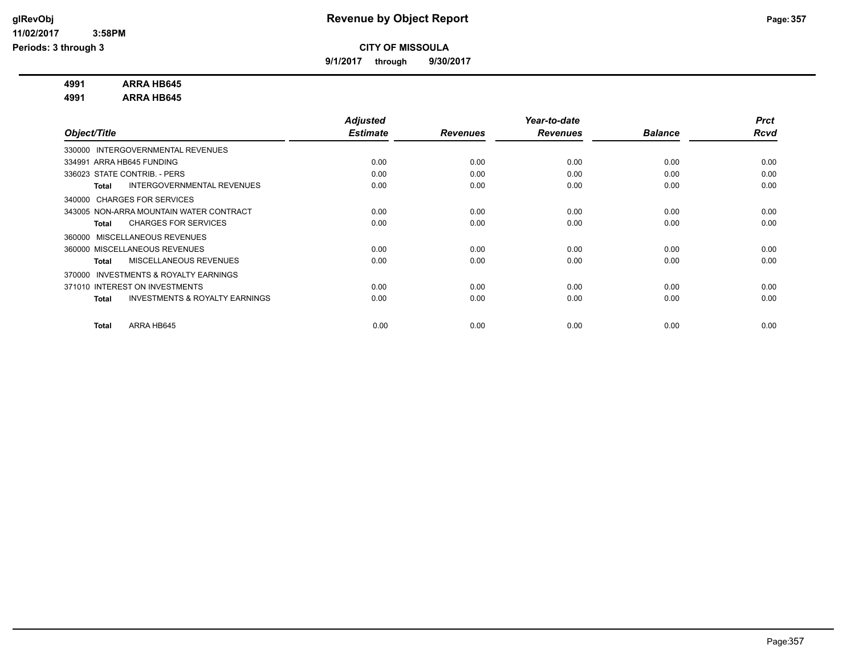**9/1/2017 through 9/30/2017**

#### **4991 ARRA HB645**

**4991 ARRA HB645**

|                                                    | <b>Adjusted</b> |                 | Year-to-date    |                | <b>Prct</b> |
|----------------------------------------------------|-----------------|-----------------|-----------------|----------------|-------------|
| Object/Title                                       | <b>Estimate</b> | <b>Revenues</b> | <b>Revenues</b> | <b>Balance</b> | <b>Rcvd</b> |
| 330000 INTERGOVERNMENTAL REVENUES                  |                 |                 |                 |                |             |
| 334991 ARRA HB645 FUNDING                          | 0.00            | 0.00            | 0.00            | 0.00           | 0.00        |
| 336023 STATE CONTRIB. - PERS                       | 0.00            | 0.00            | 0.00            | 0.00           | 0.00        |
| <b>INTERGOVERNMENTAL REVENUES</b><br>Total         | 0.00            | 0.00            | 0.00            | 0.00           | 0.00        |
| 340000 CHARGES FOR SERVICES                        |                 |                 |                 |                |             |
| 343005 NON-ARRA MOUNTAIN WATER CONTRACT            | 0.00            | 0.00            | 0.00            | 0.00           | 0.00        |
| <b>CHARGES FOR SERVICES</b><br><b>Total</b>        | 0.00            | 0.00            | 0.00            | 0.00           | 0.00        |
| 360000 MISCELLANEOUS REVENUES                      |                 |                 |                 |                |             |
| 360000 MISCELLANEOUS REVENUES                      | 0.00            | 0.00            | 0.00            | 0.00           | 0.00        |
| MISCELLANEOUS REVENUES<br>Total                    | 0.00            | 0.00            | 0.00            | 0.00           | 0.00        |
| 370000 INVESTMENTS & ROYALTY EARNINGS              |                 |                 |                 |                |             |
| 371010 INTEREST ON INVESTMENTS                     | 0.00            | 0.00            | 0.00            | 0.00           | 0.00        |
| <b>INVESTMENTS &amp; ROYALTY EARNINGS</b><br>Total | 0.00            | 0.00            | 0.00            | 0.00           | 0.00        |
|                                                    |                 |                 |                 |                |             |
| ARRA HB645<br><b>Total</b>                         | 0.00            | 0.00            | 0.00            | 0.00           | 0.00        |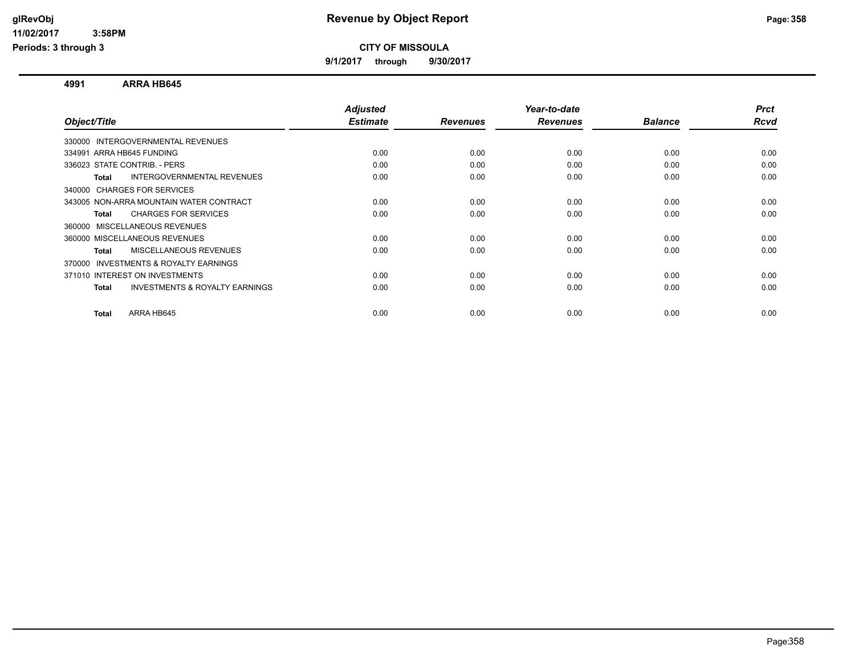**CITY OF MISSOULA**

**9/1/2017 through 9/30/2017**

**4991 ARRA HB645**

| Object/Title                                        | <b>Adjusted</b><br><b>Estimate</b> | <b>Revenues</b> | Year-to-date<br><b>Revenues</b> | <b>Balance</b> | <b>Prct</b><br><b>Rcvd</b> |
|-----------------------------------------------------|------------------------------------|-----------------|---------------------------------|----------------|----------------------------|
| 330000 INTERGOVERNMENTAL REVENUES                   |                                    |                 |                                 |                |                            |
| 334991 ARRA HB645 FUNDING                           | 0.00                               | 0.00            | 0.00                            | 0.00           | 0.00                       |
| 336023 STATE CONTRIB. - PERS                        | 0.00                               | 0.00            | 0.00                            | 0.00           | 0.00                       |
| <b>INTERGOVERNMENTAL REVENUES</b><br>Total          | 0.00                               | 0.00            | 0.00                            | 0.00           | 0.00                       |
| 340000 CHARGES FOR SERVICES                         |                                    |                 |                                 |                |                            |
| 343005 NON-ARRA MOUNTAIN WATER CONTRACT             | 0.00                               | 0.00            | 0.00                            | 0.00           | 0.00                       |
| <b>CHARGES FOR SERVICES</b><br>Total                | 0.00                               | 0.00            | 0.00                            | 0.00           | 0.00                       |
| 360000 MISCELLANEOUS REVENUES                       |                                    |                 |                                 |                |                            |
| 360000 MISCELLANEOUS REVENUES                       | 0.00                               | 0.00            | 0.00                            | 0.00           | 0.00                       |
| <b>MISCELLANEOUS REVENUES</b><br>Total              | 0.00                               | 0.00            | 0.00                            | 0.00           | 0.00                       |
| <b>INVESTMENTS &amp; ROYALTY EARNINGS</b><br>370000 |                                    |                 |                                 |                |                            |
| 371010 INTEREST ON INVESTMENTS                      | 0.00                               | 0.00            | 0.00                            | 0.00           | 0.00                       |
| <b>INVESTMENTS &amp; ROYALTY EARNINGS</b><br>Total  | 0.00                               | 0.00            | 0.00                            | 0.00           | 0.00                       |
| ARRA HB645<br>Total                                 | 0.00                               | 0.00            | 0.00                            | 0.00           | 0.00                       |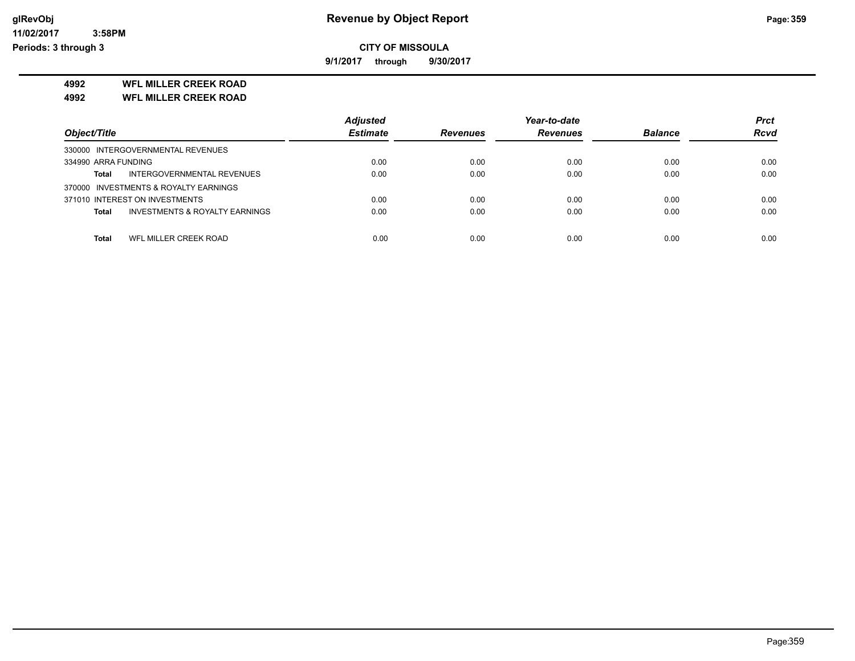**9/1/2017 through 9/30/2017**

#### **4992 WFL MILLER CREEK ROAD**

**4992 WFL MILLER CREEK ROAD**

|                                                           | <b>Adjusted</b> |                 | Year-to-date    |                | <b>Prct</b> |
|-----------------------------------------------------------|-----------------|-----------------|-----------------|----------------|-------------|
| Object/Title                                              | <b>Estimate</b> | <b>Revenues</b> | <b>Revenues</b> | <b>Balance</b> | <b>Rcvd</b> |
| 330000 INTERGOVERNMENTAL REVENUES                         |                 |                 |                 |                |             |
| 334990 ARRA FUNDING                                       | 0.00            | 0.00            | 0.00            | 0.00           | 0.00        |
| INTERGOVERNMENTAL REVENUES<br>Total                       | 0.00            | 0.00            | 0.00            | 0.00           | 0.00        |
| 370000 INVESTMENTS & ROYALTY EARNINGS                     |                 |                 |                 |                |             |
| 371010 INTEREST ON INVESTMENTS                            | 0.00            | 0.00            | 0.00            | 0.00           | 0.00        |
| <b>INVESTMENTS &amp; ROYALTY EARNINGS</b><br><b>Total</b> | 0.00            | 0.00            | 0.00            | 0.00           | 0.00        |
|                                                           |                 |                 |                 |                |             |
| WFL MILLER CREEK ROAD<br><b>Total</b>                     | 0.00            | 0.00            | 0.00            | 0.00           | 0.00        |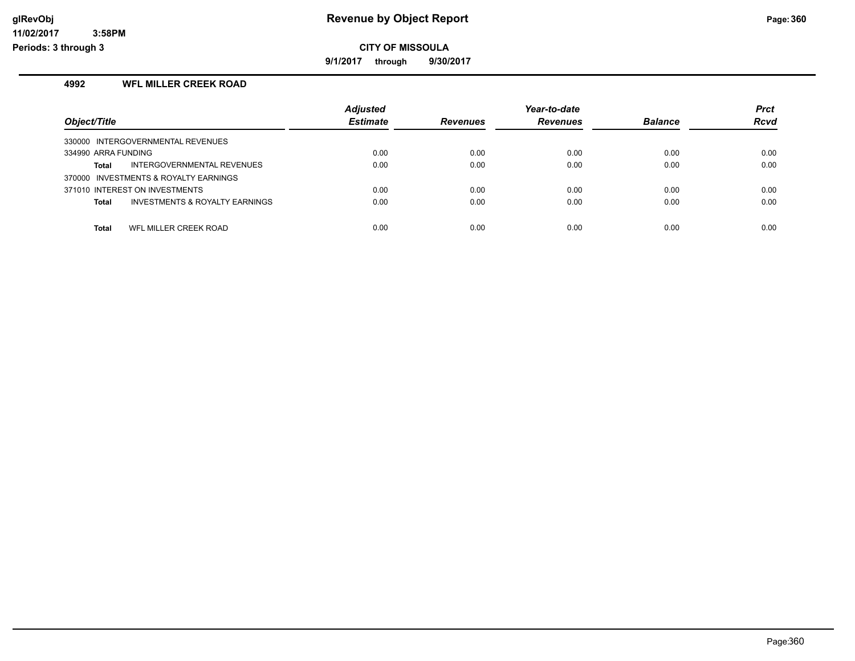**CITY OF MISSOULA**

**9/1/2017 through 9/30/2017**

#### **4992 WFL MILLER CREEK ROAD**

| Object/Title                                              | <b>Adjusted</b><br><b>Estimate</b> | <b>Revenues</b> | Year-to-date<br><b>Revenues</b> | <b>Balance</b> | <b>Prct</b><br><b>Rcvd</b> |
|-----------------------------------------------------------|------------------------------------|-----------------|---------------------------------|----------------|----------------------------|
| 330000 INTERGOVERNMENTAL REVENUES                         |                                    |                 |                                 |                |                            |
| 334990 ARRA FUNDING                                       | 0.00                               | 0.00            | 0.00                            | 0.00           | 0.00                       |
| INTERGOVERNMENTAL REVENUES<br>Total                       | 0.00                               | 0.00            | 0.00                            | 0.00           | 0.00                       |
| 370000 INVESTMENTS & ROYALTY EARNINGS                     |                                    |                 |                                 |                |                            |
| 371010 INTEREST ON INVESTMENTS                            | 0.00                               | 0.00            | 0.00                            | 0.00           | 0.00                       |
| <b>INVESTMENTS &amp; ROYALTY EARNINGS</b><br><b>Total</b> | 0.00                               | 0.00            | 0.00                            | 0.00           | 0.00                       |
|                                                           |                                    |                 |                                 |                |                            |
| WFL MILLER CREEK ROAD<br>Total                            | 0.00                               | 0.00            | 0.00                            | 0.00           | 0.00                       |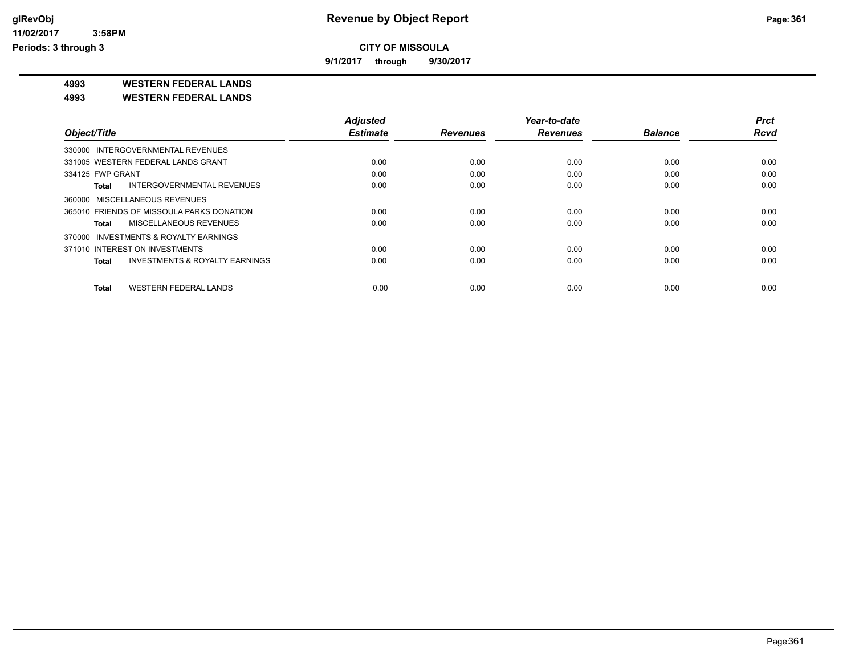**9/1/2017 through 9/30/2017**

**4993 WESTERN FEDERAL LANDS**

**4993 WESTERN FEDERAL LANDS**

|                                                           | <b>Adjusted</b> |                 | Year-to-date    |                | <b>Prct</b> |
|-----------------------------------------------------------|-----------------|-----------------|-----------------|----------------|-------------|
| Object/Title                                              | <b>Estimate</b> | <b>Revenues</b> | <b>Revenues</b> | <b>Balance</b> | <b>Rcvd</b> |
| 330000 INTERGOVERNMENTAL REVENUES                         |                 |                 |                 |                |             |
| 331005 WESTERN FEDERAL LANDS GRANT                        | 0.00            | 0.00            | 0.00            | 0.00           | 0.00        |
| 334125 FWP GRANT                                          | 0.00            | 0.00            | 0.00            | 0.00           | 0.00        |
| INTERGOVERNMENTAL REVENUES<br>Total                       | 0.00            | 0.00            | 0.00            | 0.00           | 0.00        |
| 360000 MISCELLANEOUS REVENUES                             |                 |                 |                 |                |             |
| 365010 FRIENDS OF MISSOULA PARKS DONATION                 | 0.00            | 0.00            | 0.00            | 0.00           | 0.00        |
| MISCELLANEOUS REVENUES<br>Total                           | 0.00            | 0.00            | 0.00            | 0.00           | 0.00        |
| 370000 INVESTMENTS & ROYALTY EARNINGS                     |                 |                 |                 |                |             |
| 371010 INTEREST ON INVESTMENTS                            | 0.00            | 0.00            | 0.00            | 0.00           | 0.00        |
| <b>INVESTMENTS &amp; ROYALTY EARNINGS</b><br><b>Total</b> | 0.00            | 0.00            | 0.00            | 0.00           | 0.00        |
| <b>WESTERN FEDERAL LANDS</b><br><b>Total</b>              | 0.00            | 0.00            | 0.00            | 0.00           | 0.00        |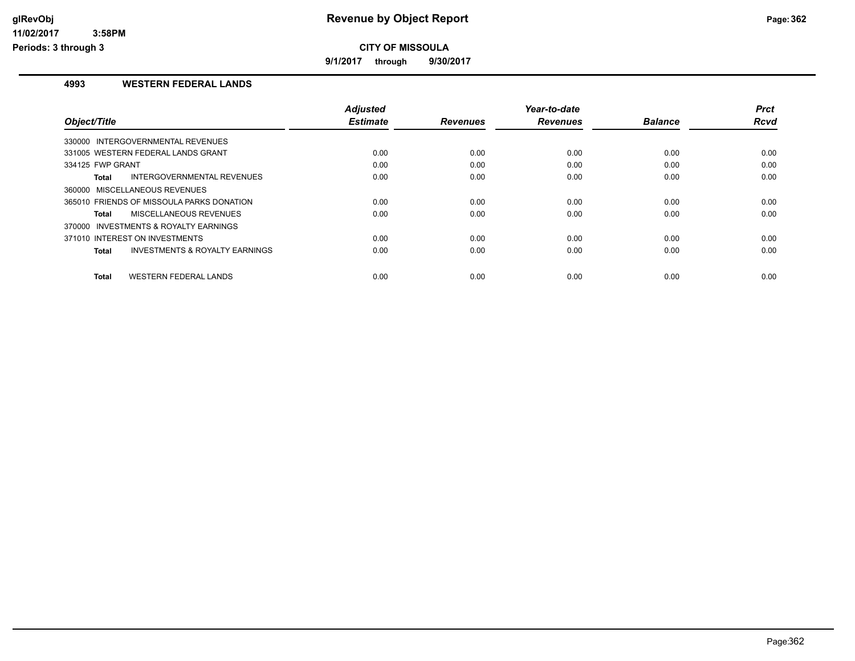**CITY OF MISSOULA**

**9/1/2017 through 9/30/2017**

#### **4993 WESTERN FEDERAL LANDS**

| Object/Title                                   | <b>Adjusted</b><br><b>Estimate</b> | <b>Revenues</b> | Year-to-date<br><b>Revenues</b> | <b>Balance</b> | <b>Prct</b><br>Rcvd |
|------------------------------------------------|------------------------------------|-----------------|---------------------------------|----------------|---------------------|
| 330000 INTERGOVERNMENTAL REVENUES              |                                    |                 |                                 |                |                     |
| 331005 WESTERN FEDERAL LANDS GRANT             | 0.00                               | 0.00            | 0.00                            | 0.00           | 0.00                |
| 334125 FWP GRANT                               | 0.00                               | 0.00            | 0.00                            | 0.00           | 0.00                |
| INTERGOVERNMENTAL REVENUES<br>Total            | 0.00                               | 0.00            | 0.00                            | 0.00           | 0.00                |
| 360000 MISCELLANEOUS REVENUES                  |                                    |                 |                                 |                |                     |
| 365010 FRIENDS OF MISSOULA PARKS DONATION      | 0.00                               | 0.00            | 0.00                            | 0.00           | 0.00                |
| <b>MISCELLANEOUS REVENUES</b><br>Total         | 0.00                               | 0.00            | 0.00                            | 0.00           | 0.00                |
| 370000 INVESTMENTS & ROYALTY EARNINGS          |                                    |                 |                                 |                |                     |
| 371010 INTEREST ON INVESTMENTS                 | 0.00                               | 0.00            | 0.00                            | 0.00           | 0.00                |
| INVESTMENTS & ROYALTY EARNINGS<br><b>Total</b> | 0.00                               | 0.00            | 0.00                            | 0.00           | 0.00                |
|                                                |                                    |                 |                                 |                |                     |
| <b>WESTERN FEDERAL LANDS</b><br><b>Total</b>   | 0.00                               | 0.00            | 0.00                            | 0.00           | 0.00                |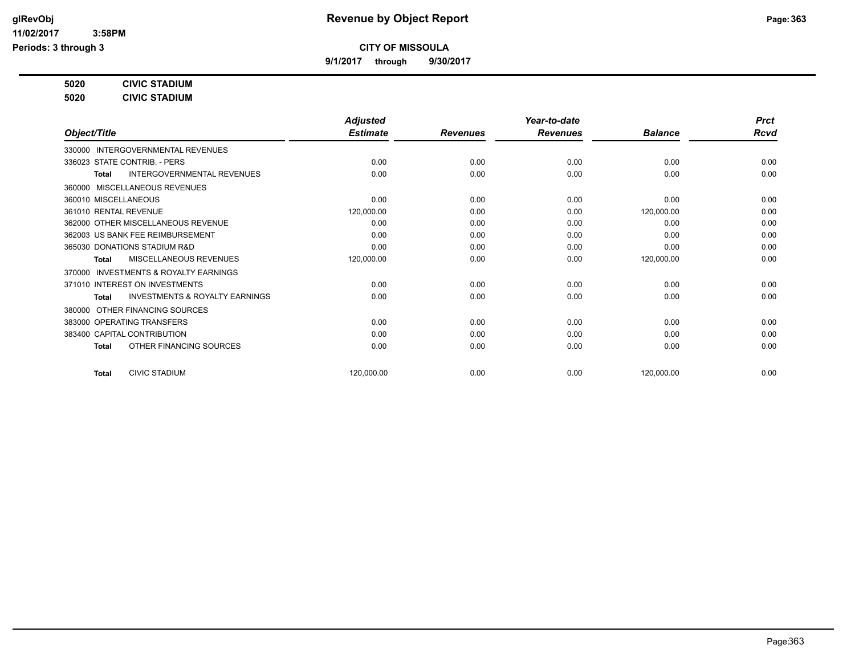**9/1/2017 through 9/30/2017**

**Periods: 3 through 3**

#### **5020 CIVIC STADIUM**

 **3:58PM**

**5020 CIVIC STADIUM**

|                                                     | <b>Adjusted</b> |                 | Year-to-date    |                | <b>Prct</b> |
|-----------------------------------------------------|-----------------|-----------------|-----------------|----------------|-------------|
| Object/Title                                        | <b>Estimate</b> | <b>Revenues</b> | <b>Revenues</b> | <b>Balance</b> | <b>Rcvd</b> |
| INTERGOVERNMENTAL REVENUES<br>330000                |                 |                 |                 |                |             |
| 336023 STATE CONTRIB. - PERS                        | 0.00            | 0.00            | 0.00            | 0.00           | 0.00        |
| <b>INTERGOVERNMENTAL REVENUES</b><br><b>Total</b>   | 0.00            | 0.00            | 0.00            | 0.00           | 0.00        |
| MISCELLANEOUS REVENUES<br>360000                    |                 |                 |                 |                |             |
| 360010 MISCELLANEOUS                                | 0.00            | 0.00            | 0.00            | 0.00           | 0.00        |
| 361010 RENTAL REVENUE                               | 120,000.00      | 0.00            | 0.00            | 120,000.00     | 0.00        |
| 362000 OTHER MISCELLANEOUS REVENUE                  | 0.00            | 0.00            | 0.00            | 0.00           | 0.00        |
| 362003 US BANK FEE REIMBURSEMENT                    | 0.00            | 0.00            | 0.00            | 0.00           | 0.00        |
| 365030 DONATIONS STADIUM R&D                        | 0.00            | 0.00            | 0.00            | 0.00           | 0.00        |
| MISCELLANEOUS REVENUES<br><b>Total</b>              | 120,000.00      | 0.00            | 0.00            | 120,000.00     | 0.00        |
| <b>INVESTMENTS &amp; ROYALTY EARNINGS</b><br>370000 |                 |                 |                 |                |             |
| 371010 INTEREST ON INVESTMENTS                      | 0.00            | 0.00            | 0.00            | 0.00           | 0.00        |
| <b>INVESTMENTS &amp; ROYALTY EARNINGS</b><br>Total  | 0.00            | 0.00            | 0.00            | 0.00           | 0.00        |
| OTHER FINANCING SOURCES<br>380000                   |                 |                 |                 |                |             |
| 383000 OPERATING TRANSFERS                          | 0.00            | 0.00            | 0.00            | 0.00           | 0.00        |
| 383400 CAPITAL CONTRIBUTION                         | 0.00            | 0.00            | 0.00            | 0.00           | 0.00        |
| OTHER FINANCING SOURCES<br><b>Total</b>             | 0.00            | 0.00            | 0.00            | 0.00           | 0.00        |
| <b>CIVIC STADIUM</b><br><b>Total</b>                | 120,000.00      | 0.00            | 0.00            | 120,000.00     | 0.00        |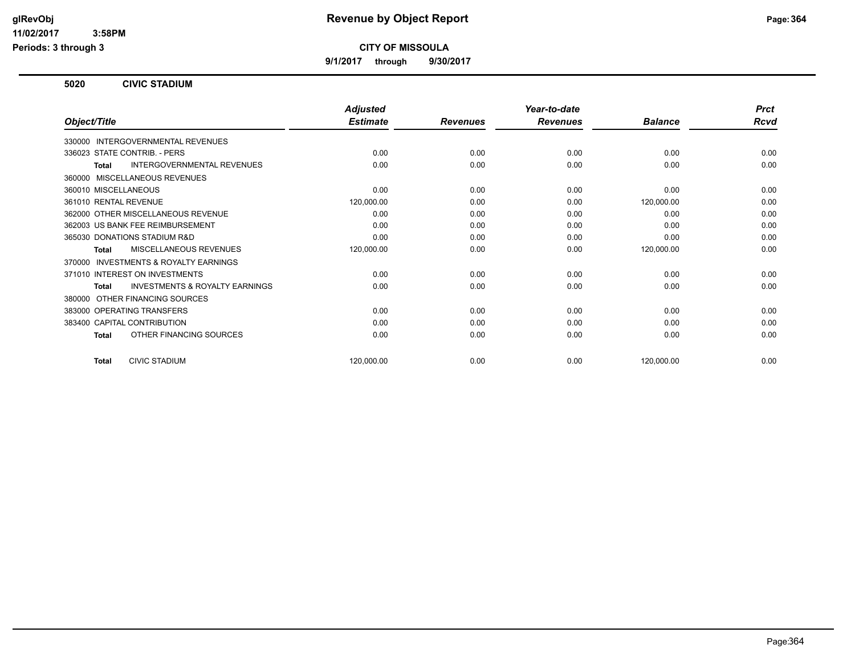**CITY OF MISSOULA**

**9/1/2017 through 9/30/2017**

#### **5020 CIVIC STADIUM**

|                                                           | <b>Adjusted</b> |                 | Year-to-date    |                | <b>Prct</b> |
|-----------------------------------------------------------|-----------------|-----------------|-----------------|----------------|-------------|
| Object/Title                                              | <b>Estimate</b> | <b>Revenues</b> | <b>Revenues</b> | <b>Balance</b> | <b>Rcvd</b> |
| 330000 INTERGOVERNMENTAL REVENUES                         |                 |                 |                 |                |             |
| 336023 STATE CONTRIB. - PERS                              | 0.00            | 0.00            | 0.00            | 0.00           | 0.00        |
| <b>INTERGOVERNMENTAL REVENUES</b><br><b>Total</b>         | 0.00            | 0.00            | 0.00            | 0.00           | 0.00        |
| 360000 MISCELLANEOUS REVENUES                             |                 |                 |                 |                |             |
| 360010 MISCELLANEOUS                                      | 0.00            | 0.00            | 0.00            | 0.00           | 0.00        |
| 361010 RENTAL REVENUE                                     | 120,000.00      | 0.00            | 0.00            | 120,000.00     | 0.00        |
| 362000 OTHER MISCELLANEOUS REVENUE                        | 0.00            | 0.00            | 0.00            | 0.00           | 0.00        |
| 362003 US BANK FEE REIMBURSEMENT                          | 0.00            | 0.00            | 0.00            | 0.00           | 0.00        |
| 365030 DONATIONS STADIUM R&D                              | 0.00            | 0.00            | 0.00            | 0.00           | 0.00        |
| <b>MISCELLANEOUS REVENUES</b><br><b>Total</b>             | 120,000.00      | 0.00            | 0.00            | 120,000.00     | 0.00        |
| <b>INVESTMENTS &amp; ROYALTY EARNINGS</b><br>370000       |                 |                 |                 |                |             |
| 371010 INTEREST ON INVESTMENTS                            | 0.00            | 0.00            | 0.00            | 0.00           | 0.00        |
| <b>INVESTMENTS &amp; ROYALTY EARNINGS</b><br><b>Total</b> | 0.00            | 0.00            | 0.00            | 0.00           | 0.00        |
| OTHER FINANCING SOURCES<br>380000                         |                 |                 |                 |                |             |
| 383000 OPERATING TRANSFERS                                | 0.00            | 0.00            | 0.00            | 0.00           | 0.00        |
| 383400 CAPITAL CONTRIBUTION                               | 0.00            | 0.00            | 0.00            | 0.00           | 0.00        |
| OTHER FINANCING SOURCES<br><b>Total</b>                   | 0.00            | 0.00            | 0.00            | 0.00           | 0.00        |
| <b>CIVIC STADIUM</b><br><b>Total</b>                      | 120,000.00      | 0.00            | 0.00            | 120,000.00     | 0.00        |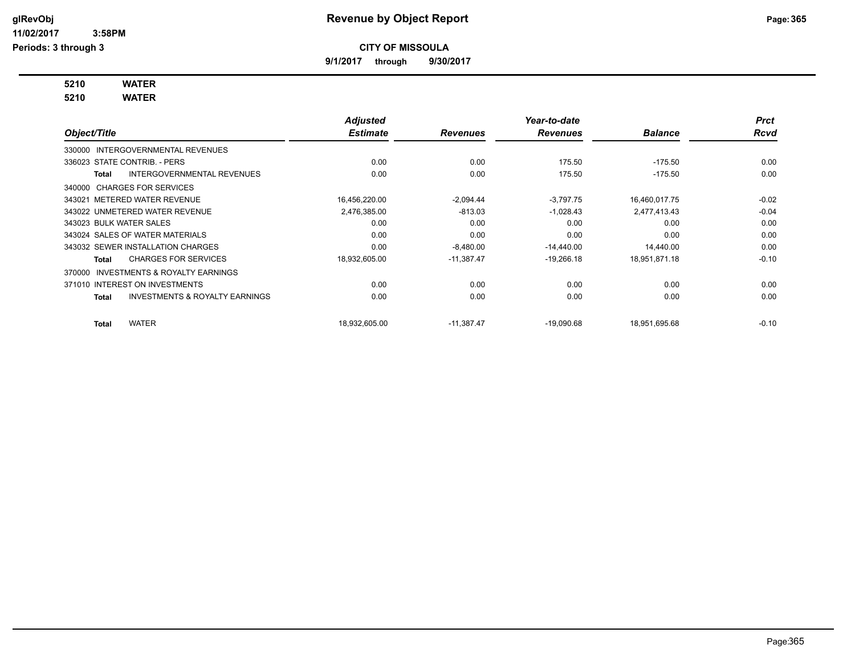**9/1/2017 through 9/30/2017**

### **5210 WATER**

**5210 WATER**

|                                                    | <b>Adjusted</b> |                 | Year-to-date    |                | <b>Prct</b> |
|----------------------------------------------------|-----------------|-----------------|-----------------|----------------|-------------|
| Object/Title                                       | <b>Estimate</b> | <b>Revenues</b> | <b>Revenues</b> | <b>Balance</b> | <b>Rcvd</b> |
| 330000 INTERGOVERNMENTAL REVENUES                  |                 |                 |                 |                |             |
| 336023 STATE CONTRIB. - PERS                       | 0.00            | 0.00            | 175.50          | $-175.50$      | 0.00        |
| <b>INTERGOVERNMENTAL REVENUES</b><br><b>Total</b>  | 0.00            | 0.00            | 175.50          | $-175.50$      | 0.00        |
| 340000 CHARGES FOR SERVICES                        |                 |                 |                 |                |             |
| 343021 METERED WATER REVENUE                       | 16,456,220.00   | $-2,094.44$     | $-3,797.75$     | 16,460,017.75  | $-0.02$     |
| 343022 UNMETERED WATER REVENUE                     | 2,476,385.00    | $-813.03$       | $-1,028.43$     | 2,477,413.43   | $-0.04$     |
| 343023 BULK WATER SALES                            | 0.00            | 0.00            | 0.00            | 0.00           | 0.00        |
| 343024 SALES OF WATER MATERIALS                    | 0.00            | 0.00            | 0.00            | 0.00           | 0.00        |
| 343032 SEWER INSTALLATION CHARGES                  | 0.00            | $-8,480.00$     | $-14,440.00$    | 14,440.00      | 0.00        |
| <b>CHARGES FOR SERVICES</b><br>Total               | 18,932,605.00   | $-11,387.47$    | $-19,266.18$    | 18,951,871.18  | $-0.10$     |
| INVESTMENTS & ROYALTY EARNINGS<br>370000           |                 |                 |                 |                |             |
| 371010 INTEREST ON INVESTMENTS                     | 0.00            | 0.00            | 0.00            | 0.00           | 0.00        |
| <b>INVESTMENTS &amp; ROYALTY EARNINGS</b><br>Total | 0.00            | 0.00            | 0.00            | 0.00           | 0.00        |
| <b>WATER</b><br><b>Total</b>                       | 18,932,605.00   | $-11,387.47$    | $-19,090.68$    | 18,951,695.68  | $-0.10$     |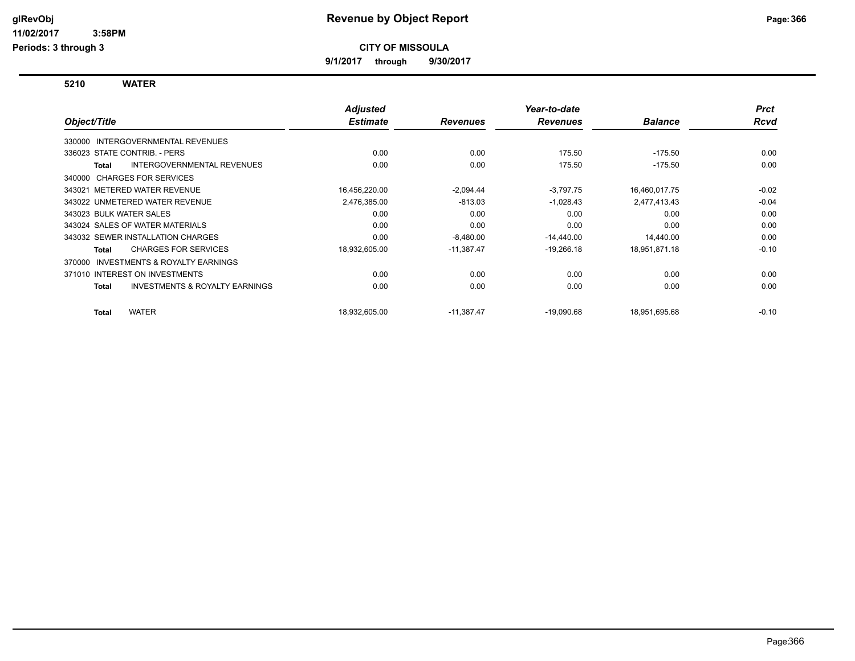**CITY OF MISSOULA**

**9/1/2017 through 9/30/2017**

**5210 WATER**

|                                                     | <b>Adjusted</b> |                 | Year-to-date    |                | <b>Prct</b> |
|-----------------------------------------------------|-----------------|-----------------|-----------------|----------------|-------------|
| Object/Title                                        | <b>Estimate</b> | <b>Revenues</b> | <b>Revenues</b> | <b>Balance</b> | <b>Rcvd</b> |
| INTERGOVERNMENTAL REVENUES<br>330000                |                 |                 |                 |                |             |
| 336023 STATE CONTRIB. - PERS                        | 0.00            | 0.00            | 175.50          | $-175.50$      | 0.00        |
| <b>INTERGOVERNMENTAL REVENUES</b><br>Total          | 0.00            | 0.00            | 175.50          | $-175.50$      | 0.00        |
| <b>CHARGES FOR SERVICES</b><br>340000               |                 |                 |                 |                |             |
| 343021 METERED WATER REVENUE                        | 16,456,220.00   | $-2,094.44$     | $-3,797.75$     | 16,460,017.75  | $-0.02$     |
| 343022 UNMETERED WATER REVENUE                      | 2,476,385.00    | $-813.03$       | $-1,028.43$     | 2,477,413.43   | $-0.04$     |
| 343023 BULK WATER SALES                             | 0.00            | 0.00            | 0.00            | 0.00           | 0.00        |
| 343024 SALES OF WATER MATERIALS                     | 0.00            | 0.00            | 0.00            | 0.00           | 0.00        |
| 343032 SEWER INSTALLATION CHARGES                   | 0.00            | $-8,480.00$     | $-14,440.00$    | 14,440.00      | 0.00        |
| <b>CHARGES FOR SERVICES</b><br>Total                | 18,932,605.00   | $-11,387.47$    | $-19,266.18$    | 18,951,871.18  | $-0.10$     |
| <b>INVESTMENTS &amp; ROYALTY EARNINGS</b><br>370000 |                 |                 |                 |                |             |
| 371010 INTEREST ON INVESTMENTS                      | 0.00            | 0.00            | 0.00            | 0.00           | 0.00        |
| <b>INVESTMENTS &amp; ROYALTY EARNINGS</b><br>Total  | 0.00            | 0.00            | 0.00            | 0.00           | 0.00        |
| <b>WATER</b><br>Total                               | 18,932,605.00   | $-11.387.47$    | $-19.090.68$    | 18,951,695.68  | $-0.10$     |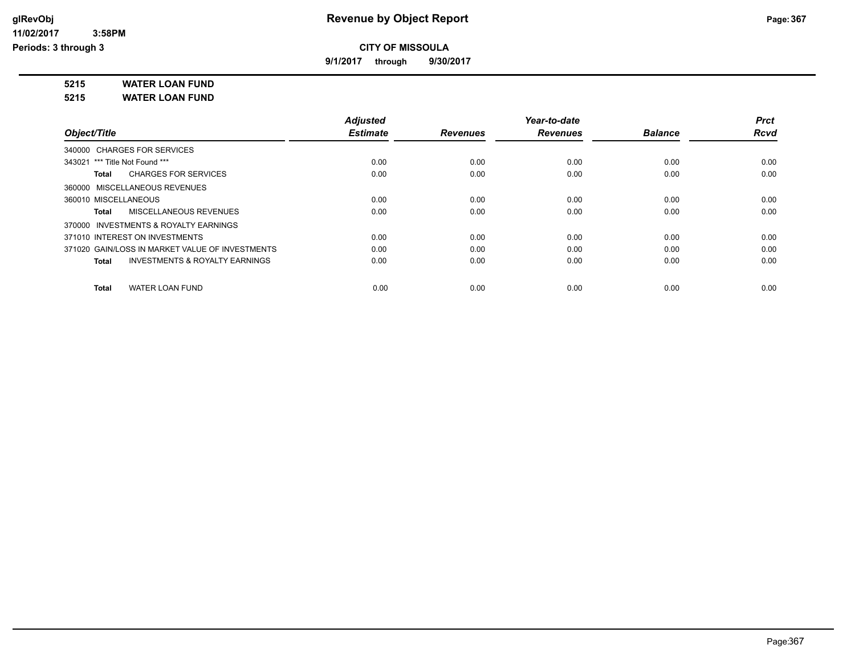**9/1/2017 through 9/30/2017**

**5215 WATER LOAN FUND**

**5215 WATER LOAN FUND**

|                                                    | <b>Adjusted</b> |                 | Year-to-date    |                | <b>Prct</b> |
|----------------------------------------------------|-----------------|-----------------|-----------------|----------------|-------------|
| Object/Title                                       | <b>Estimate</b> | <b>Revenues</b> | <b>Revenues</b> | <b>Balance</b> | <b>Rcvd</b> |
| 340000 CHARGES FOR SERVICES                        |                 |                 |                 |                |             |
| 343021 *** Title Not Found ***                     | 0.00            | 0.00            | 0.00            | 0.00           | 0.00        |
| <b>CHARGES FOR SERVICES</b><br>Total               | 0.00            | 0.00            | 0.00            | 0.00           | 0.00        |
| 360000 MISCELLANEOUS REVENUES                      |                 |                 |                 |                |             |
| 360010 MISCELLANEOUS                               | 0.00            | 0.00            | 0.00            | 0.00           | 0.00        |
| MISCELLANEOUS REVENUES<br>Total                    | 0.00            | 0.00            | 0.00            | 0.00           | 0.00        |
| 370000 INVESTMENTS & ROYALTY EARNINGS              |                 |                 |                 |                |             |
| 371010 INTEREST ON INVESTMENTS                     | 0.00            | 0.00            | 0.00            | 0.00           | 0.00        |
| 371020 GAIN/LOSS IN MARKET VALUE OF INVESTMENTS    | 0.00            | 0.00            | 0.00            | 0.00           | 0.00        |
| <b>INVESTMENTS &amp; ROYALTY EARNINGS</b><br>Total | 0.00            | 0.00            | 0.00            | 0.00           | 0.00        |
| <b>WATER LOAN FUND</b><br><b>Total</b>             | 0.00            | 0.00            | 0.00            | 0.00           | 0.00        |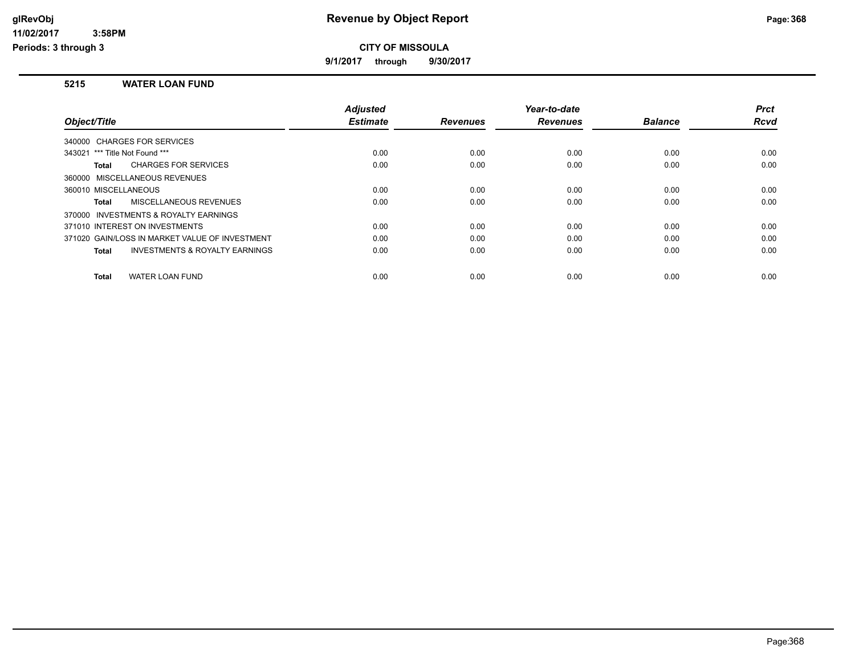**9/1/2017 through 9/30/2017**

#### **5215 WATER LOAN FUND**

|                                                    | <b>Adjusted</b> |                 | Year-to-date    |                | <b>Prct</b> |
|----------------------------------------------------|-----------------|-----------------|-----------------|----------------|-------------|
| Object/Title                                       | <b>Estimate</b> | <b>Revenues</b> | <b>Revenues</b> | <b>Balance</b> | <b>Rcvd</b> |
| 340000 CHARGES FOR SERVICES                        |                 |                 |                 |                |             |
| 343021 *** Title Not Found ***                     | 0.00            | 0.00            | 0.00            | 0.00           | 0.00        |
| <b>CHARGES FOR SERVICES</b><br>Total               | 0.00            | 0.00            | 0.00            | 0.00           | 0.00        |
| 360000 MISCELLANEOUS REVENUES                      |                 |                 |                 |                |             |
| 360010 MISCELLANEOUS                               | 0.00            | 0.00            | 0.00            | 0.00           | 0.00        |
| MISCELLANEOUS REVENUES<br>Total                    | 0.00            | 0.00            | 0.00            | 0.00           | 0.00        |
| 370000 INVESTMENTS & ROYALTY EARNINGS              |                 |                 |                 |                |             |
| 371010 INTEREST ON INVESTMENTS                     | 0.00            | 0.00            | 0.00            | 0.00           | 0.00        |
| 371020 GAIN/LOSS IN MARKET VALUE OF INVESTMENT     | 0.00            | 0.00            | 0.00            | 0.00           | 0.00        |
| <b>INVESTMENTS &amp; ROYALTY EARNINGS</b><br>Total | 0.00            | 0.00            | 0.00            | 0.00           | 0.00        |
| <b>WATER LOAN FUND</b><br><b>Total</b>             | 0.00            | 0.00            | 0.00            | 0.00           | 0.00        |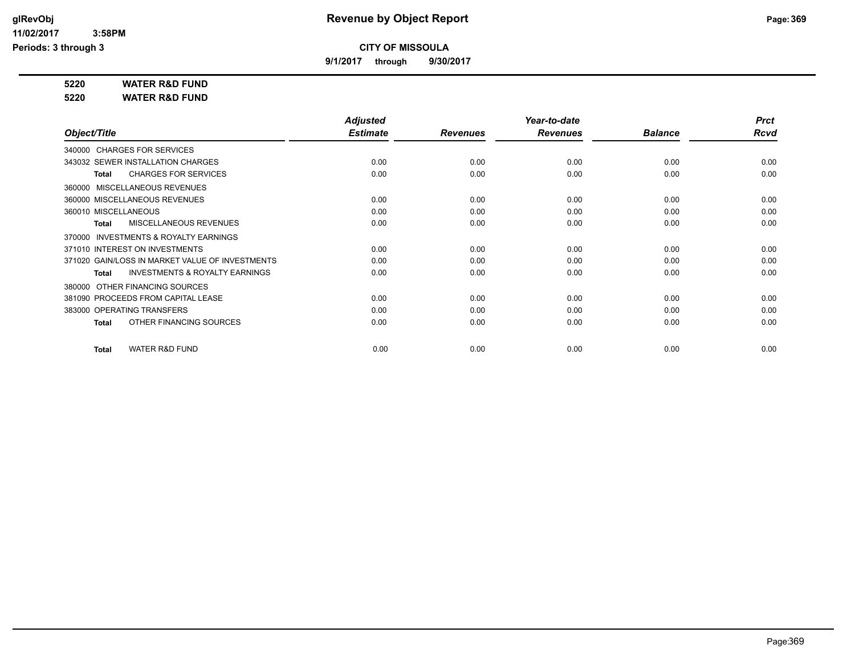**9/1/2017 through 9/30/2017**

**5220 WATER R&D FUND**

**5220 WATER R&D FUND**

|                                                    | <b>Adjusted</b> |                 | Year-to-date    |                | <b>Prct</b> |
|----------------------------------------------------|-----------------|-----------------|-----------------|----------------|-------------|
| Object/Title                                       | <b>Estimate</b> | <b>Revenues</b> | <b>Revenues</b> | <b>Balance</b> | <b>Rcvd</b> |
| 340000 CHARGES FOR SERVICES                        |                 |                 |                 |                |             |
| 343032 SEWER INSTALLATION CHARGES                  | 0.00            | 0.00            | 0.00            | 0.00           | 0.00        |
| <b>CHARGES FOR SERVICES</b><br><b>Total</b>        | 0.00            | 0.00            | 0.00            | 0.00           | 0.00        |
| 360000 MISCELLANEOUS REVENUES                      |                 |                 |                 |                |             |
| 360000 MISCELLANEOUS REVENUES                      | 0.00            | 0.00            | 0.00            | 0.00           | 0.00        |
| 360010 MISCELLANEOUS                               | 0.00            | 0.00            | 0.00            | 0.00           | 0.00        |
| MISCELLANEOUS REVENUES<br><b>Total</b>             | 0.00            | 0.00            | 0.00            | 0.00           | 0.00        |
| 370000 INVESTMENTS & ROYALTY EARNINGS              |                 |                 |                 |                |             |
| 371010 INTEREST ON INVESTMENTS                     | 0.00            | 0.00            | 0.00            | 0.00           | 0.00        |
| 371020 GAIN/LOSS IN MARKET VALUE OF INVESTMENTS    | 0.00            | 0.00            | 0.00            | 0.00           | 0.00        |
| <b>INVESTMENTS &amp; ROYALTY EARNINGS</b><br>Total | 0.00            | 0.00            | 0.00            | 0.00           | 0.00        |
| OTHER FINANCING SOURCES<br>380000                  |                 |                 |                 |                |             |
| 381090 PROCEEDS FROM CAPITAL LEASE                 | 0.00            | 0.00            | 0.00            | 0.00           | 0.00        |
| 383000 OPERATING TRANSFERS                         | 0.00            | 0.00            | 0.00            | 0.00           | 0.00        |
| OTHER FINANCING SOURCES<br><b>Total</b>            | 0.00            | 0.00            | 0.00            | 0.00           | 0.00        |
| WATER R&D FUND<br><b>Total</b>                     | 0.00            | 0.00            | 0.00            | 0.00           | 0.00        |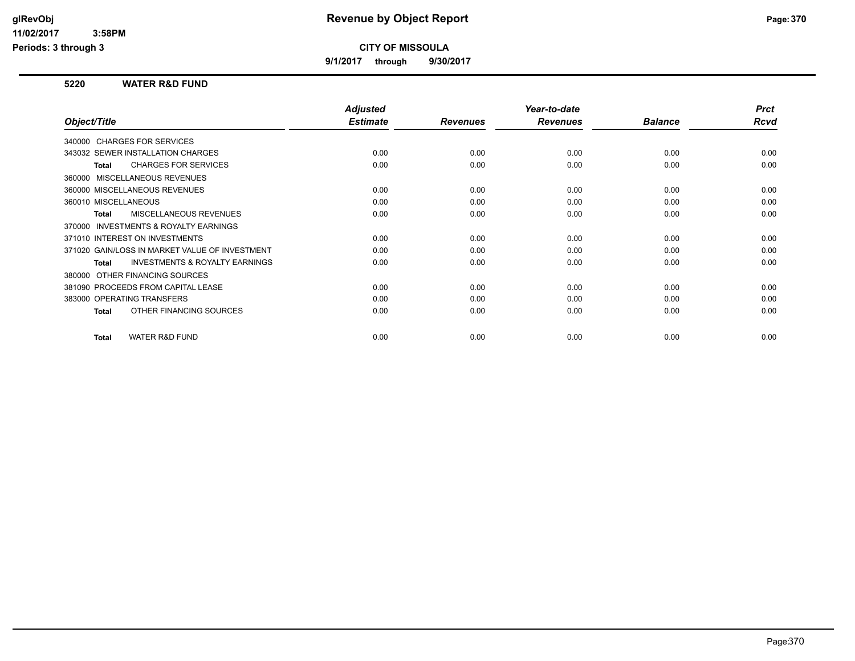**CITY OF MISSOULA**

**9/1/2017 through 9/30/2017**

#### **5220 WATER R&D FUND**

 **3:58PM**

|                                                           | <b>Adjusted</b> |                 | Year-to-date    |                | <b>Prct</b> |
|-----------------------------------------------------------|-----------------|-----------------|-----------------|----------------|-------------|
| Object/Title                                              | <b>Estimate</b> | <b>Revenues</b> | <b>Revenues</b> | <b>Balance</b> | Rcvd        |
| 340000 CHARGES FOR SERVICES                               |                 |                 |                 |                |             |
| 343032 SEWER INSTALLATION CHARGES                         | 0.00            | 0.00            | 0.00            | 0.00           | 0.00        |
| <b>CHARGES FOR SERVICES</b><br><b>Total</b>               | 0.00            | 0.00            | 0.00            | 0.00           | 0.00        |
| 360000 MISCELLANEOUS REVENUES                             |                 |                 |                 |                |             |
| 360000 MISCELLANEOUS REVENUES                             | 0.00            | 0.00            | 0.00            | 0.00           | 0.00        |
| 360010 MISCELLANEOUS                                      | 0.00            | 0.00            | 0.00            | 0.00           | 0.00        |
| MISCELLANEOUS REVENUES<br><b>Total</b>                    | 0.00            | 0.00            | 0.00            | 0.00           | 0.00        |
| INVESTMENTS & ROYALTY EARNINGS<br>370000                  |                 |                 |                 |                |             |
| 371010 INTEREST ON INVESTMENTS                            | 0.00            | 0.00            | 0.00            | 0.00           | 0.00        |
| 371020 GAIN/LOSS IN MARKET VALUE OF INVESTMENT            | 0.00            | 0.00            | 0.00            | 0.00           | 0.00        |
| <b>INVESTMENTS &amp; ROYALTY EARNINGS</b><br><b>Total</b> | 0.00            | 0.00            | 0.00            | 0.00           | 0.00        |
| 380000 OTHER FINANCING SOURCES                            |                 |                 |                 |                |             |
| 381090 PROCEEDS FROM CAPITAL LEASE                        | 0.00            | 0.00            | 0.00            | 0.00           | 0.00        |
| 383000 OPERATING TRANSFERS                                | 0.00            | 0.00            | 0.00            | 0.00           | 0.00        |
| OTHER FINANCING SOURCES<br><b>Total</b>                   | 0.00            | 0.00            | 0.00            | 0.00           | 0.00        |
|                                                           |                 |                 |                 |                |             |
| <b>WATER R&amp;D FUND</b><br><b>Total</b>                 | 0.00            | 0.00            | 0.00            | 0.00           | 0.00        |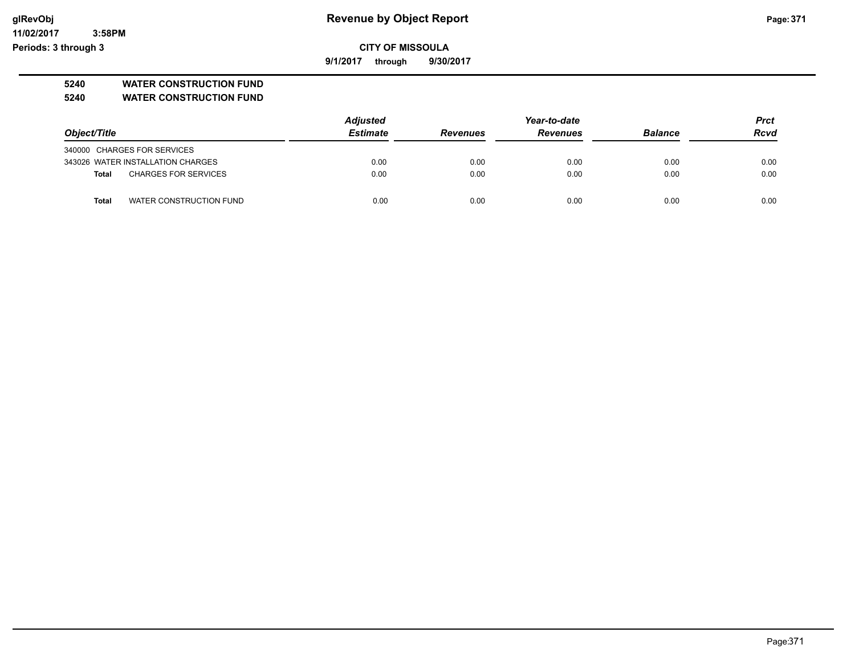**CITY OF MISSOULA**

**9/1/2017 through 9/30/2017**

#### **5240 WATER CONSTRUCTION FUND**

**5240 WATER CONSTRUCTION FUND**

|                                             | <b>Adjusted</b> |                 | <b>Prct</b>     |                |             |
|---------------------------------------------|-----------------|-----------------|-----------------|----------------|-------------|
| Object/Title                                | <b>Estimate</b> | <b>Revenues</b> | <b>Revenues</b> | <b>Balance</b> | <b>Rcvd</b> |
| 340000 CHARGES FOR SERVICES                 |                 |                 |                 |                |             |
| 343026 WATER INSTALLATION CHARGES           | 0.00            | 0.00            | 0.00            | 0.00           | 0.00        |
| <b>CHARGES FOR SERVICES</b><br><b>Total</b> | 0.00            | 0.00            | 0.00            | 0.00           | 0.00        |
| WATER CONSTRUCTION FUND<br><b>Total</b>     | 0.00            | 0.00            | 0.00            | 0.00           | 0.00        |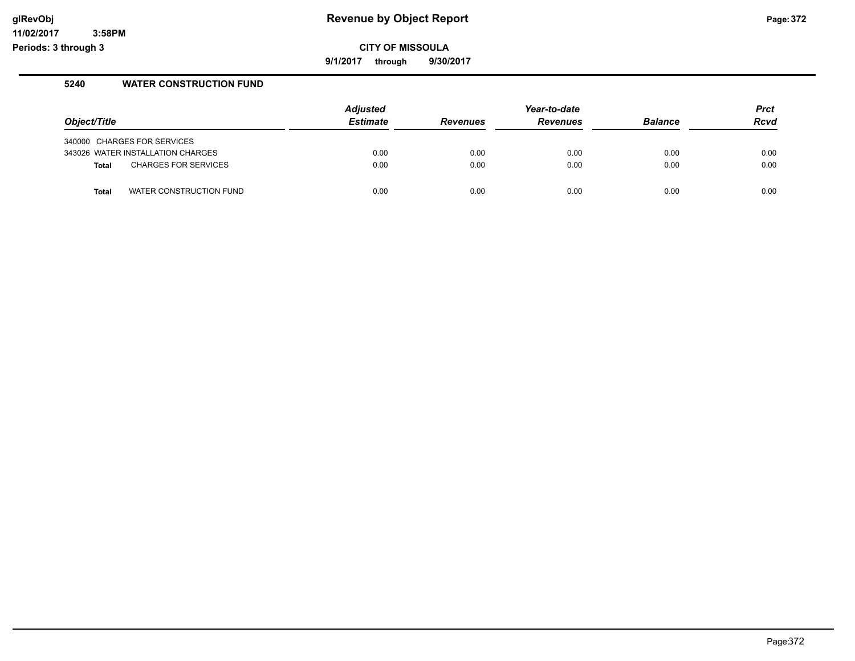**CITY OF MISSOULA**

**9/1/2017 through 9/30/2017**

#### **5240 WATER CONSTRUCTION FUND**

 **3:58PM**

|              |                                   | <b>Adjusted</b> |                 | Year-to-date    |                | Prct        |
|--------------|-----------------------------------|-----------------|-----------------|-----------------|----------------|-------------|
| Object/Title |                                   | <b>Estimate</b> | <b>Revenues</b> | <b>Revenues</b> | <b>Balance</b> | <b>Rcvd</b> |
|              | 340000 CHARGES FOR SERVICES       |                 |                 |                 |                |             |
|              | 343026 WATER INSTALLATION CHARGES | 0.00            | 0.00            | 0.00            | 0.00           | 0.00        |
| <b>Total</b> | <b>CHARGES FOR SERVICES</b>       | 0.00            | 0.00            | 0.00            | 0.00           | 0.00        |
| <b>Total</b> | WATER CONSTRUCTION FUND           | 0.00            | 0.00            | 0.00            | 0.00           | 0.00        |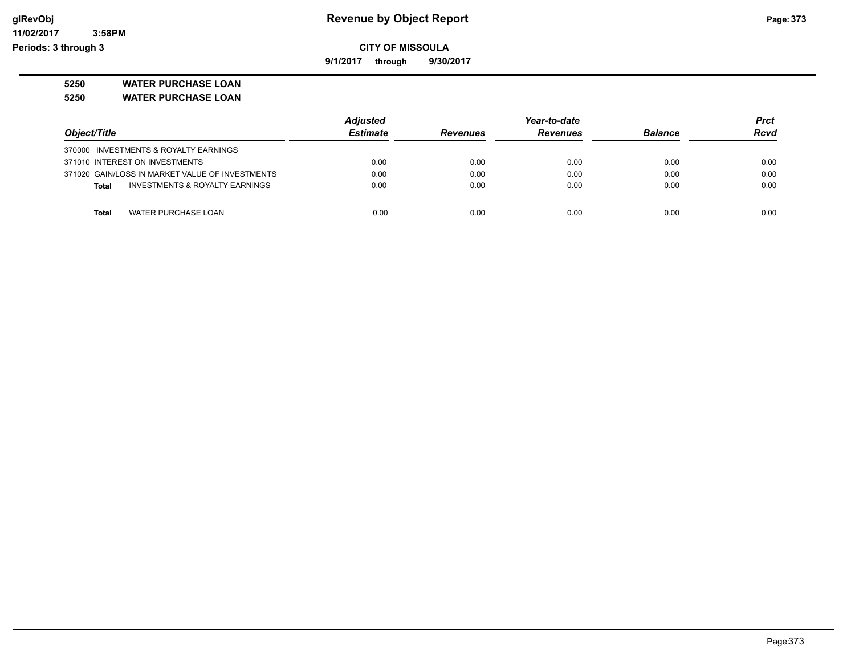**9/1/2017 through 9/30/2017**

#### **5250 WATER PURCHASE LOAN**

**5250 WATER PURCHASE LOAN**

|                                                 | <b>Adjusted</b> |                 | Year-to-date    |                | Prct |
|-------------------------------------------------|-----------------|-----------------|-----------------|----------------|------|
| Object/Title                                    | <b>Estimate</b> | <b>Revenues</b> | <b>Revenues</b> | <b>Balance</b> | Rcvd |
| 370000 INVESTMENTS & ROYALTY EARNINGS           |                 |                 |                 |                |      |
| 371010 INTEREST ON INVESTMENTS                  | 0.00            | 0.00            | 0.00            | 0.00           | 0.00 |
| 371020 GAIN/LOSS IN MARKET VALUE OF INVESTMENTS | 0.00            | 0.00            | 0.00            | 0.00           | 0.00 |
| INVESTMENTS & ROYALTY EARNINGS<br><b>Total</b>  | 0.00            | 0.00            | 0.00            | 0.00           | 0.00 |
|                                                 |                 |                 |                 |                |      |
| WATER PURCHASE LOAN<br><b>Total</b>             | 0.00            | 0.00            | 0.00            | 0.00           | 0.00 |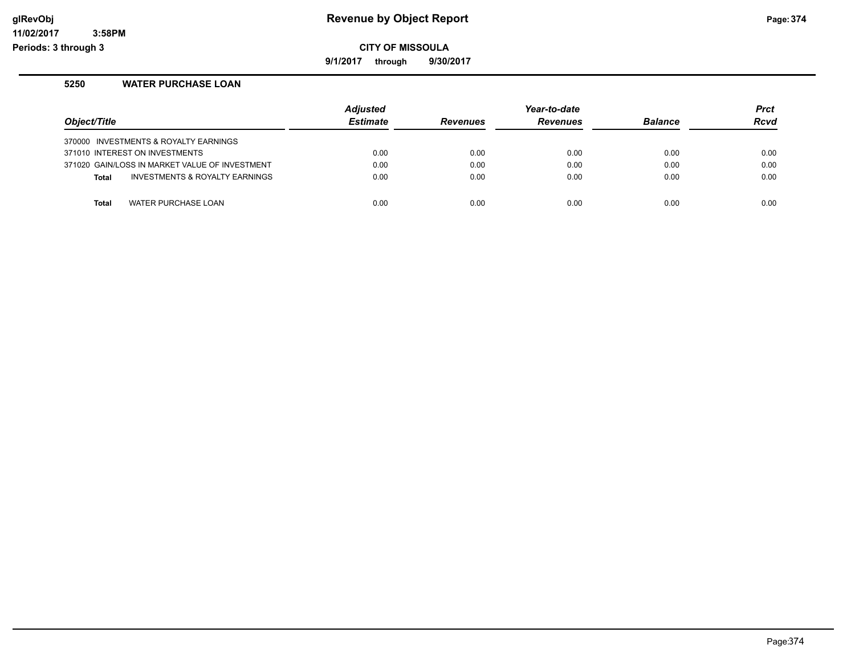**CITY OF MISSOULA**

**9/1/2017 through 9/30/2017**

#### **5250 WATER PURCHASE LOAN**

 **3:58PM**

|                                                | Adjusted<br><b>Estimate</b> |                 | Year-to-date    | <b>Balance</b> | <b>Prct</b><br><b>Rcvd</b> |
|------------------------------------------------|-----------------------------|-----------------|-----------------|----------------|----------------------------|
| Object/Title                                   |                             | <b>Revenues</b> | <b>Revenues</b> |                |                            |
| 370000 INVESTMENTS & ROYALTY EARNINGS          |                             |                 |                 |                |                            |
| 371010 INTEREST ON INVESTMENTS                 | 0.00                        | 0.00            | 0.00            | 0.00           | 0.00                       |
| 371020 GAIN/LOSS IN MARKET VALUE OF INVESTMENT | 0.00                        | 0.00            | 0.00            | 0.00           | 0.00                       |
| INVESTMENTS & ROYALTY EARNINGS<br><b>Total</b> | 0.00                        | 0.00            | 0.00            | 0.00           | 0.00                       |
|                                                |                             |                 |                 |                |                            |
| WATER PURCHASE LOAN<br>Total                   | 0.00                        | 0.00            | 0.00            | 0.00           | 0.00                       |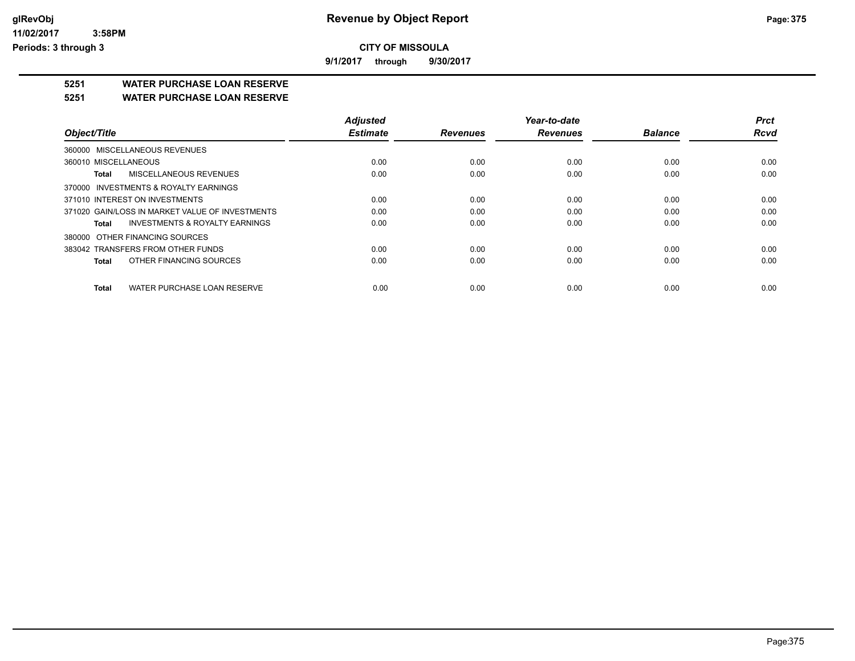**9/1/2017 through 9/30/2017**

#### **5251 WATER PURCHASE LOAN RESERVE**

#### **5251 WATER PURCHASE LOAN RESERVE**

|                                                    | <b>Adjusted</b> |                 | Year-to-date    |                | <b>Prct</b> |
|----------------------------------------------------|-----------------|-----------------|-----------------|----------------|-------------|
| Object/Title                                       | <b>Estimate</b> | <b>Revenues</b> | <b>Revenues</b> | <b>Balance</b> | <b>Rcvd</b> |
| 360000 MISCELLANEOUS REVENUES                      |                 |                 |                 |                |             |
| 360010 MISCELLANEOUS                               | 0.00            | 0.00            | 0.00            | 0.00           | 0.00        |
| MISCELLANEOUS REVENUES<br>Total                    | 0.00            | 0.00            | 0.00            | 0.00           | 0.00        |
| 370000 INVESTMENTS & ROYALTY EARNINGS              |                 |                 |                 |                |             |
| 371010 INTEREST ON INVESTMENTS                     | 0.00            | 0.00            | 0.00            | 0.00           | 0.00        |
| 371020 GAIN/LOSS IN MARKET VALUE OF INVESTMENTS    | 0.00            | 0.00            | 0.00            | 0.00           | 0.00        |
| <b>INVESTMENTS &amp; ROYALTY EARNINGS</b><br>Total | 0.00            | 0.00            | 0.00            | 0.00           | 0.00        |
| 380000 OTHER FINANCING SOURCES                     |                 |                 |                 |                |             |
| 383042 TRANSFERS FROM OTHER FUNDS                  | 0.00            | 0.00            | 0.00            | 0.00           | 0.00        |
| OTHER FINANCING SOURCES<br>Total                   | 0.00            | 0.00            | 0.00            | 0.00           | 0.00        |
| WATER PURCHASE LOAN RESERVE<br>Total               | 0.00            | 0.00            | 0.00            | 0.00           | 0.00        |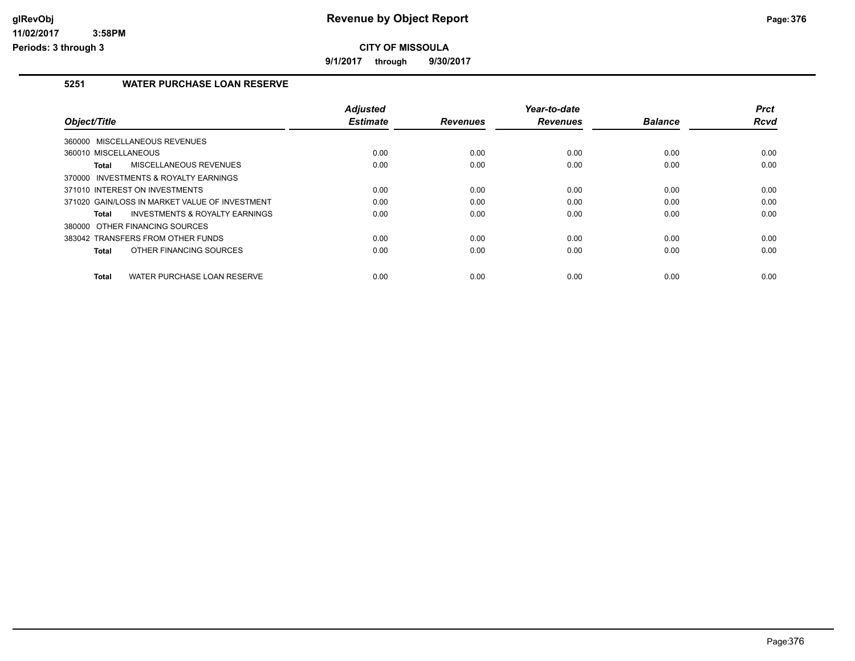**9/1/2017 through 9/30/2017**

#### **5251 WATER PURCHASE LOAN RESERVE**

| Object/Title                                       | <b>Adjusted</b><br><b>Estimate</b> | <b>Revenues</b> | Year-to-date<br><b>Revenues</b> | <b>Balance</b> | <b>Prct</b><br><b>Rcvd</b> |
|----------------------------------------------------|------------------------------------|-----------------|---------------------------------|----------------|----------------------------|
| 360000 MISCELLANEOUS REVENUES                      |                                    |                 |                                 |                |                            |
| 360010 MISCELLANEOUS                               | 0.00                               | 0.00            | 0.00                            | 0.00           | 0.00                       |
| <b>MISCELLANEOUS REVENUES</b><br>Total             | 0.00                               | 0.00            | 0.00                            | 0.00           | 0.00                       |
| 370000 INVESTMENTS & ROYALTY EARNINGS              |                                    |                 |                                 |                |                            |
| 371010 INTEREST ON INVESTMENTS                     | 0.00                               | 0.00            | 0.00                            | 0.00           | 0.00                       |
| 371020 GAIN/LOSS IN MARKET VALUE OF INVESTMENT     | 0.00                               | 0.00            | 0.00                            | 0.00           | 0.00                       |
| <b>INVESTMENTS &amp; ROYALTY EARNINGS</b><br>Total | 0.00                               | 0.00            | 0.00                            | 0.00           | 0.00                       |
| 380000 OTHER FINANCING SOURCES                     |                                    |                 |                                 |                |                            |
| 383042 TRANSFERS FROM OTHER FUNDS                  | 0.00                               | 0.00            | 0.00                            | 0.00           | 0.00                       |
| OTHER FINANCING SOURCES<br>Total                   | 0.00                               | 0.00            | 0.00                            | 0.00           | 0.00                       |
| WATER PURCHASE LOAN RESERVE<br><b>Total</b>        | 0.00                               | 0.00            | 0.00                            | 0.00           | 0.00                       |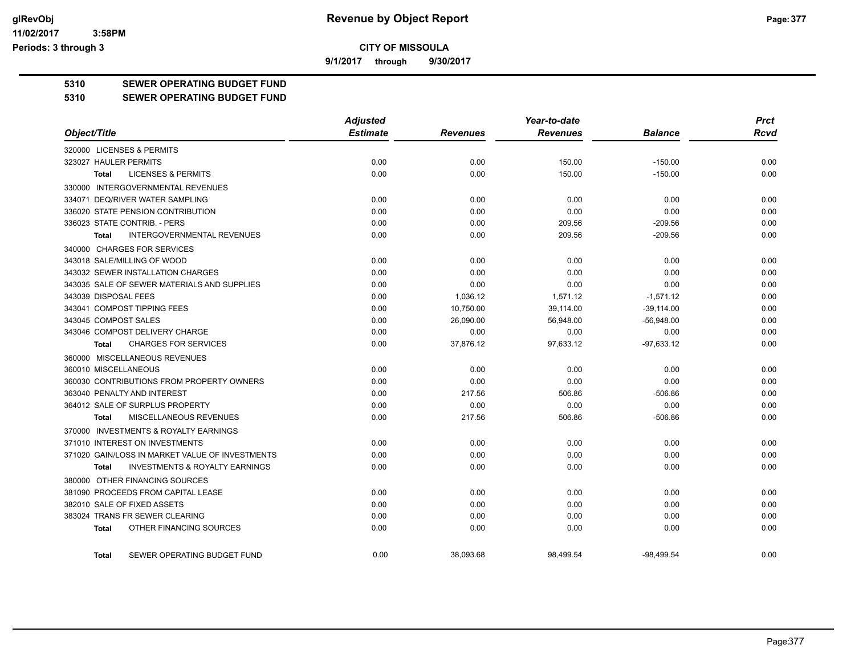**3:58PM**

**CITY OF MISSOULA**

**9/1/2017 through 9/30/2017**

#### **5310 SEWER OPERATING BUDGET FUND**

#### **5310 SEWER OPERATING BUDGET FUND**

|                                                           | <b>Adjusted</b> |                 | Year-to-date    |                | <b>Prct</b> |
|-----------------------------------------------------------|-----------------|-----------------|-----------------|----------------|-------------|
| Object/Title                                              | <b>Estimate</b> | <b>Revenues</b> | <b>Revenues</b> | <b>Balance</b> | <b>Rcvd</b> |
| 320000 LICENSES & PERMITS                                 |                 |                 |                 |                |             |
| 323027 HAULER PERMITS                                     | 0.00            | 0.00            | 150.00          | $-150.00$      | 0.00        |
| <b>LICENSES &amp; PERMITS</b><br>Total                    | 0.00            | 0.00            | 150.00          | $-150.00$      | 0.00        |
| 330000 INTERGOVERNMENTAL REVENUES                         |                 |                 |                 |                |             |
| 334071 DEQ/RIVER WATER SAMPLING                           | 0.00            | 0.00            | 0.00            | 0.00           | 0.00        |
| 336020 STATE PENSION CONTRIBUTION                         | 0.00            | 0.00            | 0.00            | 0.00           | 0.00        |
| 336023 STATE CONTRIB. - PERS                              | 0.00            | 0.00            | 209.56          | $-209.56$      | 0.00        |
| <b>INTERGOVERNMENTAL REVENUES</b><br><b>Total</b>         | 0.00            | 0.00            | 209.56          | $-209.56$      | 0.00        |
| 340000 CHARGES FOR SERVICES                               |                 |                 |                 |                |             |
| 343018 SALE/MILLING OF WOOD                               | 0.00            | 0.00            | 0.00            | 0.00           | 0.00        |
| 343032 SEWER INSTALLATION CHARGES                         | 0.00            | 0.00            | 0.00            | 0.00           | 0.00        |
| 343035 SALE OF SEWER MATERIALS AND SUPPLIES               | 0.00            | 0.00            | 0.00            | 0.00           | 0.00        |
| 343039 DISPOSAL FEES                                      | 0.00            | 1,036.12        | 1,571.12        | $-1,571.12$    | 0.00        |
| 343041 COMPOST TIPPING FEES                               | 0.00            | 10,750.00       | 39,114.00       | $-39,114.00$   | 0.00        |
| 343045 COMPOST SALES                                      | 0.00            | 26,090.00       | 56,948.00       | $-56,948.00$   | 0.00        |
| 343046 COMPOST DELIVERY CHARGE                            | 0.00            | 0.00            | 0.00            | 0.00           | 0.00        |
| <b>CHARGES FOR SERVICES</b><br><b>Total</b>               | 0.00            | 37,876.12       | 97,633.12       | $-97,633.12$   | 0.00        |
| 360000 MISCELLANEOUS REVENUES                             |                 |                 |                 |                |             |
| 360010 MISCELLANEOUS                                      | 0.00            | 0.00            | 0.00            | 0.00           | 0.00        |
| 360030 CONTRIBUTIONS FROM PROPERTY OWNERS                 | 0.00            | 0.00            | 0.00            | 0.00           | 0.00        |
| 363040 PENALTY AND INTEREST                               | 0.00            | 217.56          | 506.86          | $-506.86$      | 0.00        |
| 364012 SALE OF SURPLUS PROPERTY                           | 0.00            | 0.00            | 0.00            | 0.00           | 0.00        |
| MISCELLANEOUS REVENUES<br>Total                           | 0.00            | 217.56          | 506.86          | $-506.86$      | 0.00        |
| 370000 INVESTMENTS & ROYALTY EARNINGS                     |                 |                 |                 |                |             |
| 371010 INTEREST ON INVESTMENTS                            | 0.00            | 0.00            | 0.00            | 0.00           | 0.00        |
| 371020 GAIN/LOSS IN MARKET VALUE OF INVESTMENTS           | 0.00            | 0.00            | 0.00            | 0.00           | 0.00        |
| <b>INVESTMENTS &amp; ROYALTY EARNINGS</b><br><b>Total</b> | 0.00            | 0.00            | 0.00            | 0.00           | 0.00        |
| 380000 OTHER FINANCING SOURCES                            |                 |                 |                 |                |             |
| 381090 PROCEEDS FROM CAPITAL LEASE                        | 0.00            | 0.00            | 0.00            | 0.00           | 0.00        |
| 382010 SALE OF FIXED ASSETS                               | 0.00            | 0.00            | 0.00            | 0.00           | 0.00        |
| 383024 TRANS FR SEWER CLEARING                            | 0.00            | 0.00            | 0.00            | 0.00           | 0.00        |
| OTHER FINANCING SOURCES<br>Total                          | 0.00            | 0.00            | 0.00            | 0.00           | 0.00        |
| SEWER OPERATING BUDGET FUND<br>Total                      | 0.00            | 38,093.68       | 98,499.54       | $-98,499.54$   | 0.00        |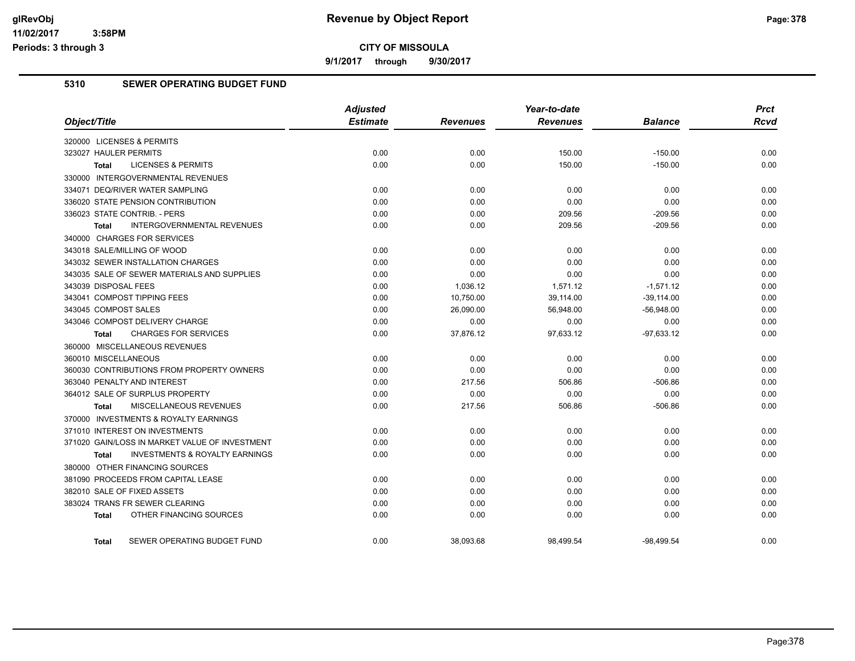**3:58PM**

**CITY OF MISSOULA**

**9/1/2017 through 9/30/2017**

#### **5310 SEWER OPERATING BUDGET FUND**

|                                                           | <b>Adjusted</b> |                 | Year-to-date    |                | <b>Prct</b> |
|-----------------------------------------------------------|-----------------|-----------------|-----------------|----------------|-------------|
| Object/Title                                              | <b>Estimate</b> | <b>Revenues</b> | <b>Revenues</b> | <b>Balance</b> | <b>Rcvd</b> |
| 320000 LICENSES & PERMITS                                 |                 |                 |                 |                |             |
| 323027 HAULER PERMITS                                     | 0.00            | 0.00            | 150.00          | $-150.00$      | 0.00        |
| <b>LICENSES &amp; PERMITS</b><br><b>Total</b>             | 0.00            | 0.00            | 150.00          | $-150.00$      | 0.00        |
| 330000 INTERGOVERNMENTAL REVENUES                         |                 |                 |                 |                |             |
| 334071 DEQ/RIVER WATER SAMPLING                           | 0.00            | 0.00            | 0.00            | 0.00           | 0.00        |
| 336020 STATE PENSION CONTRIBUTION                         | 0.00            | 0.00            | 0.00            | 0.00           | 0.00        |
| 336023 STATE CONTRIB. - PERS                              | 0.00            | 0.00            | 209.56          | $-209.56$      | 0.00        |
| <b>Total</b><br><b>INTERGOVERNMENTAL REVENUES</b>         | 0.00            | 0.00            | 209.56          | $-209.56$      | 0.00        |
| 340000 CHARGES FOR SERVICES                               |                 |                 |                 |                |             |
| 343018 SALE/MILLING OF WOOD                               | 0.00            | 0.00            | 0.00            | 0.00           | 0.00        |
| 343032 SEWER INSTALLATION CHARGES                         | 0.00            | 0.00            | 0.00            | 0.00           | 0.00        |
| 343035 SALE OF SEWER MATERIALS AND SUPPLIES               | 0.00            | 0.00            | 0.00            | 0.00           | 0.00        |
| 343039 DISPOSAL FEES                                      | 0.00            | 1,036.12        | 1.571.12        | $-1,571.12$    | 0.00        |
| 343041 COMPOST TIPPING FEES                               | 0.00            | 10,750.00       | 39,114.00       | $-39,114.00$   | 0.00        |
| 343045 COMPOST SALES                                      | 0.00            | 26,090.00       | 56,948.00       | $-56,948.00$   | 0.00        |
| 343046 COMPOST DELIVERY CHARGE                            | 0.00            | 0.00            | 0.00            | 0.00           | 0.00        |
| <b>CHARGES FOR SERVICES</b><br><b>Total</b>               | 0.00            | 37,876.12       | 97,633.12       | $-97,633.12$   | 0.00        |
| 360000 MISCELLANEOUS REVENUES                             |                 |                 |                 |                |             |
| 360010 MISCELLANEOUS                                      | 0.00            | 0.00            | 0.00            | 0.00           | 0.00        |
| 360030 CONTRIBUTIONS FROM PROPERTY OWNERS                 | 0.00            | 0.00            | 0.00            | 0.00           | 0.00        |
| 363040 PENALTY AND INTEREST                               | 0.00            | 217.56          | 506.86          | $-506.86$      | 0.00        |
| 364012 SALE OF SURPLUS PROPERTY                           | 0.00            | 0.00            | 0.00            | 0.00           | 0.00        |
| <b>MISCELLANEOUS REVENUES</b><br><b>Total</b>             | 0.00            | 217.56          | 506.86          | $-506.86$      | 0.00        |
| 370000 INVESTMENTS & ROYALTY EARNINGS                     |                 |                 |                 |                |             |
| 371010 INTEREST ON INVESTMENTS                            | 0.00            | 0.00            | 0.00            | 0.00           | 0.00        |
| 371020 GAIN/LOSS IN MARKET VALUE OF INVESTMENT            | 0.00            | 0.00            | 0.00            | 0.00           | 0.00        |
| <b>INVESTMENTS &amp; ROYALTY EARNINGS</b><br><b>Total</b> | 0.00            | 0.00            | 0.00            | 0.00           | 0.00        |
| 380000 OTHER FINANCING SOURCES                            |                 |                 |                 |                |             |
| 381090 PROCEEDS FROM CAPITAL LEASE                        | 0.00            | 0.00            | 0.00            | 0.00           | 0.00        |
| 382010 SALE OF FIXED ASSETS                               | 0.00            | 0.00            | 0.00            | 0.00           | 0.00        |
| 383024 TRANS FR SEWER CLEARING                            | 0.00            | 0.00            | 0.00            | 0.00           | 0.00        |
| OTHER FINANCING SOURCES<br><b>Total</b>                   | 0.00            | 0.00            | 0.00            | 0.00           | 0.00        |
| SEWER OPERATING BUDGET FUND<br><b>Total</b>               | 0.00            | 38,093.68       | 98,499.54       | $-98,499.54$   | 0.00        |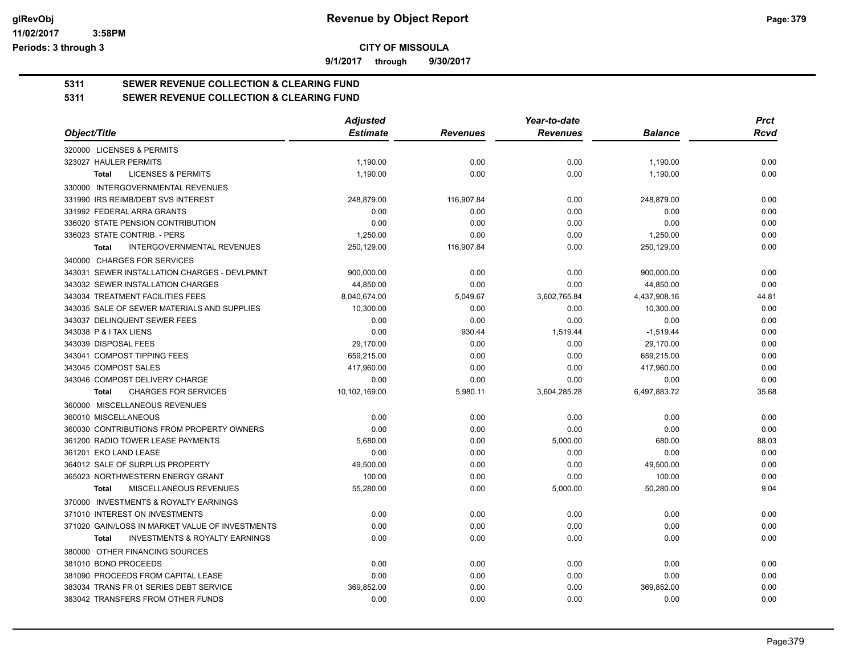**CITY OF MISSOULA**

**9/1/2017 through 9/30/2017**

# **5311 SEWER REVENUE COLLECTION & CLEARING FUND**

| 5311 | <b>SEWER REVENUE COLLECTION &amp; CLEARING FUND</b> |
|------|-----------------------------------------------------|
|      |                                                     |

|                                                    | <b>Adjusted</b> |                 | Year-to-date    |                | <b>Prct</b> |
|----------------------------------------------------|-----------------|-----------------|-----------------|----------------|-------------|
| Object/Title                                       | <b>Estimate</b> | <b>Revenues</b> | <b>Revenues</b> | <b>Balance</b> | <b>Rcvd</b> |
| 320000 LICENSES & PERMITS                          |                 |                 |                 |                |             |
| 323027 HAULER PERMITS                              | 1,190.00        | 0.00            | 0.00            | 1,190.00       | 0.00        |
| <b>LICENSES &amp; PERMITS</b><br><b>Total</b>      | 1,190.00        | 0.00            | 0.00            | 1,190.00       | 0.00        |
| 330000 INTERGOVERNMENTAL REVENUES                  |                 |                 |                 |                |             |
| 331990 IRS REIMB/DEBT SVS INTEREST                 | 248,879.00      | 116,907.84      | 0.00            | 248,879.00     | 0.00        |
| 331992 FEDERAL ARRA GRANTS                         | 0.00            | 0.00            | 0.00            | 0.00           | 0.00        |
| 336020 STATE PENSION CONTRIBUTION                  | 0.00            | 0.00            | 0.00            | 0.00           | 0.00        |
| 336023 STATE CONTRIB. - PERS                       | 1,250.00        | 0.00            | 0.00            | 1,250.00       | 0.00        |
| <b>INTERGOVERNMENTAL REVENUES</b><br><b>Total</b>  | 250,129.00      | 116,907.84      | 0.00            | 250,129.00     | 0.00        |
| 340000 CHARGES FOR SERVICES                        |                 |                 |                 |                |             |
| 343031 SEWER INSTALLATION CHARGES - DEVLPMNT       | 900,000.00      | 0.00            | 0.00            | 900,000.00     | 0.00        |
| 343032 SEWER INSTALLATION CHARGES                  | 44,850.00       | 0.00            | 0.00            | 44,850.00      | 0.00        |
| 343034 TREATMENT FACILITIES FEES                   | 8,040,674.00    | 5,049.67        | 3,602,765.84    | 4,437,908.16   | 44.81       |
| 343035 SALE OF SEWER MATERIALS AND SUPPLIES        | 10,300.00       | 0.00            | 0.00            | 10,300.00      | 0.00        |
| 343037 DELINQUENT SEWER FEES                       | 0.00            | 0.00            | 0.00            | 0.00           | 0.00        |
| 343038 P & I TAX LIENS                             | 0.00            | 930.44          | 1,519.44        | $-1.519.44$    | 0.00        |
| 343039 DISPOSAL FEES                               | 29,170.00       | 0.00            | 0.00            | 29,170.00      | 0.00        |
| 343041 COMPOST TIPPING FEES                        | 659,215.00      | 0.00            | 0.00            | 659,215.00     | 0.00        |
| 343045 COMPOST SALES                               | 417,960.00      | 0.00            | 0.00            | 417,960.00     | 0.00        |
| 343046 COMPOST DELIVERY CHARGE                     | 0.00            | 0.00            | 0.00            | 0.00           | 0.00        |
| <b>CHARGES FOR SERVICES</b><br>Total               | 10,102,169.00   | 5,980.11        | 3,604,285.28    | 6,497,883.72   | 35.68       |
| 360000 MISCELLANEOUS REVENUES                      |                 |                 |                 |                |             |
| 360010 MISCELLANEOUS                               | 0.00            | 0.00            | 0.00            | 0.00           | 0.00        |
| 360030 CONTRIBUTIONS FROM PROPERTY OWNERS          | 0.00            | 0.00            | 0.00            | 0.00           | 0.00        |
| 361200 RADIO TOWER LEASE PAYMENTS                  | 5.680.00        | 0.00            | 5,000.00        | 680.00         | 88.03       |
| 361201 EKO LAND LEASE                              | 0.00            | 0.00            | 0.00            | 0.00           | 0.00        |
| 364012 SALE OF SURPLUS PROPERTY                    | 49,500.00       | 0.00            | 0.00            | 49,500.00      | 0.00        |
| 365023 NORTHWESTERN ENERGY GRANT                   | 100.00          | 0.00            | 0.00            | 100.00         | 0.00        |
| <b>MISCELLANEOUS REVENUES</b><br>Total             | 55,280.00       | 0.00            | 5,000.00        | 50,280.00      | 9.04        |
| 370000 INVESTMENTS & ROYALTY EARNINGS              |                 |                 |                 |                |             |
| 371010 INTEREST ON INVESTMENTS                     | 0.00            | 0.00            | 0.00            | 0.00           | 0.00        |
| 371020 GAIN/LOSS IN MARKET VALUE OF INVESTMENTS    | 0.00            | 0.00            | 0.00            | 0.00           | 0.00        |
| <b>INVESTMENTS &amp; ROYALTY EARNINGS</b><br>Total | 0.00            | 0.00            | 0.00            | 0.00           | 0.00        |
| 380000 OTHER FINANCING SOURCES                     |                 |                 |                 |                |             |
| 381010 BOND PROCEEDS                               | 0.00            | 0.00            | 0.00            | 0.00           | 0.00        |
| 381090 PROCEEDS FROM CAPITAL LEASE                 | 0.00            | 0.00            | 0.00            | 0.00           | 0.00        |
| 383034 TRANS FR 01 SERIES DEBT SERVICE             | 369,852.00      | 0.00            | 0.00            | 369,852.00     | 0.00        |
| 383042 TRANSFERS FROM OTHER FUNDS                  | 0.00            | 0.00            | 0.00            | 0.00           | 0.00        |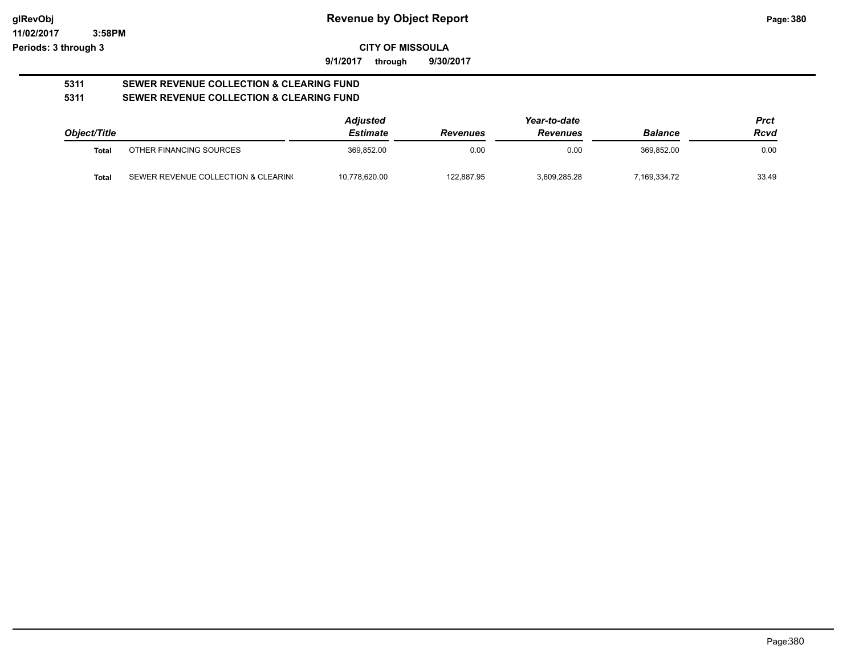**9/1/2017 through 9/30/2017**

#### **5311 SEWER REVENUE COLLECTION & CLEARING FUND 5311 SEWER REVENUE COLLECTION & CLEARING FUND**

|              |                                     | <b>Adjusted</b> |                 | Year-to-date    |                | Prct  |
|--------------|-------------------------------------|-----------------|-----------------|-----------------|----------------|-------|
| Object/Title |                                     | Estimate        | <b>Revenues</b> | <b>Revenues</b> | <b>Balance</b> | Rcvd  |
| <b>Total</b> | OTHER FINANCING SOURCES             | 369,852.00      | 0.00            | 0.00            | 369.852.00     | 0.00  |
| Total        | SEWER REVENUE COLLECTION & CLEARING | 10,778,620.00   | 122,887.95      | 3,609,285.28    | 7,169,334.72   | 33.49 |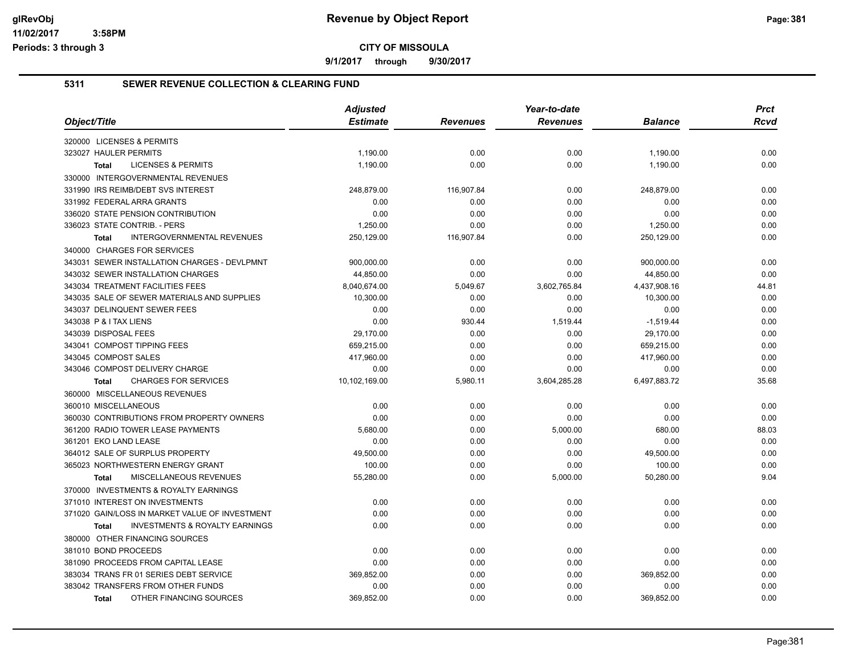**CITY OF MISSOULA**

**9/1/2017 through 9/30/2017**

#### **5311 SEWER REVENUE COLLECTION & CLEARING FUND**

|                                                           | <b>Adjusted</b> |                 | Year-to-date    |                | <b>Prct</b> |
|-----------------------------------------------------------|-----------------|-----------------|-----------------|----------------|-------------|
| Object/Title                                              | <b>Estimate</b> | <b>Revenues</b> | <b>Revenues</b> | <b>Balance</b> | Rcvd        |
| 320000 LICENSES & PERMITS                                 |                 |                 |                 |                |             |
| 323027 HAULER PERMITS                                     | 1,190.00        | 0.00            | 0.00            | 1,190.00       | 0.00        |
| <b>LICENSES &amp; PERMITS</b><br><b>Total</b>             | 1,190.00        | 0.00            | 0.00            | 1,190.00       | 0.00        |
| 330000 INTERGOVERNMENTAL REVENUES                         |                 |                 |                 |                |             |
| 331990 IRS REIMB/DEBT SVS INTEREST                        | 248,879.00      | 116,907.84      | 0.00            | 248,879.00     | 0.00        |
| 331992 FEDERAL ARRA GRANTS                                | 0.00            | 0.00            | 0.00            | 0.00           | 0.00        |
| 336020 STATE PENSION CONTRIBUTION                         | 0.00            | 0.00            | 0.00            | 0.00           | 0.00        |
| 336023 STATE CONTRIB. - PERS                              | 1,250.00        | 0.00            | 0.00            | 1,250.00       | 0.00        |
| <b>INTERGOVERNMENTAL REVENUES</b><br><b>Total</b>         | 250,129.00      | 116,907.84      | 0.00            | 250,129.00     | 0.00        |
| 340000 CHARGES FOR SERVICES                               |                 |                 |                 |                |             |
| 343031 SEWER INSTALLATION CHARGES - DEVLPMNT              | 900,000.00      | 0.00            | 0.00            | 900,000.00     | 0.00        |
| 343032 SEWER INSTALLATION CHARGES                         | 44,850.00       | 0.00            | 0.00            | 44,850.00      | 0.00        |
| 343034 TREATMENT FACILITIES FEES                          | 8,040,674.00    | 5,049.67        | 3,602,765.84    | 4,437,908.16   | 44.81       |
| 343035 SALE OF SEWER MATERIALS AND SUPPLIES               | 10,300.00       | 0.00            | 0.00            | 10,300.00      | 0.00        |
| 343037 DELINQUENT SEWER FEES                              | 0.00            | 0.00            | 0.00            | 0.00           | 0.00        |
| 343038 P & I TAX LIENS                                    | 0.00            | 930.44          | 1,519.44        | $-1,519.44$    | 0.00        |
| 343039 DISPOSAL FEES                                      | 29,170.00       | 0.00            | 0.00            | 29,170.00      | 0.00        |
| 343041 COMPOST TIPPING FEES                               | 659,215.00      | 0.00            | 0.00            | 659,215.00     | 0.00        |
| 343045 COMPOST SALES                                      | 417,960.00      | 0.00            | 0.00            | 417,960.00     | 0.00        |
| 343046 COMPOST DELIVERY CHARGE                            | 0.00            | 0.00            | 0.00            | 0.00           | 0.00        |
| <b>CHARGES FOR SERVICES</b><br><b>Total</b>               | 10,102,169.00   | 5,980.11        | 3,604,285.28    | 6,497,883.72   | 35.68       |
| 360000 MISCELLANEOUS REVENUES                             |                 |                 |                 |                |             |
| 360010 MISCELLANEOUS                                      | 0.00            | 0.00            | 0.00            | 0.00           | 0.00        |
| 360030 CONTRIBUTIONS FROM PROPERTY OWNERS                 | 0.00            | 0.00            | 0.00            | 0.00           | 0.00        |
| 361200 RADIO TOWER LEASE PAYMENTS                         | 5,680.00        | 0.00            | 5,000.00        | 680.00         | 88.03       |
| 361201 EKO LAND LEASE                                     | 0.00            | 0.00            | 0.00            | 0.00           | 0.00        |
| 364012 SALE OF SURPLUS PROPERTY                           | 49,500.00       | 0.00            | 0.00            | 49,500.00      | 0.00        |
| 365023 NORTHWESTERN ENERGY GRANT                          | 100.00          | 0.00            | 0.00            | 100.00         | 0.00        |
| MISCELLANEOUS REVENUES<br><b>Total</b>                    | 55,280.00       | 0.00            | 5,000.00        | 50,280.00      | 9.04        |
| 370000 INVESTMENTS & ROYALTY EARNINGS                     |                 |                 |                 |                |             |
| 371010 INTEREST ON INVESTMENTS                            | 0.00            | 0.00            | 0.00            | 0.00           | 0.00        |
| 371020 GAIN/LOSS IN MARKET VALUE OF INVESTMENT            | 0.00            | 0.00            | 0.00            | 0.00           | 0.00        |
| <b>INVESTMENTS &amp; ROYALTY EARNINGS</b><br><b>Total</b> | 0.00            | 0.00            | 0.00            | 0.00           | 0.00        |
| 380000 OTHER FINANCING SOURCES                            |                 |                 |                 |                |             |
| 381010 BOND PROCEEDS                                      | 0.00            | 0.00            | 0.00            | 0.00           | 0.00        |
| 381090 PROCEEDS FROM CAPITAL LEASE                        | 0.00            | 0.00            | 0.00            | 0.00           | 0.00        |
| 383034 TRANS FR 01 SERIES DEBT SERVICE                    | 369,852.00      | 0.00            | 0.00            | 369,852.00     | 0.00        |
| 383042 TRANSFERS FROM OTHER FUNDS                         | 0.00            | 0.00            | 0.00            | 0.00           | 0.00        |
| OTHER FINANCING SOURCES<br><b>Total</b>                   | 369.852.00      | 0.00            | 0.00            | 369.852.00     | 0.00        |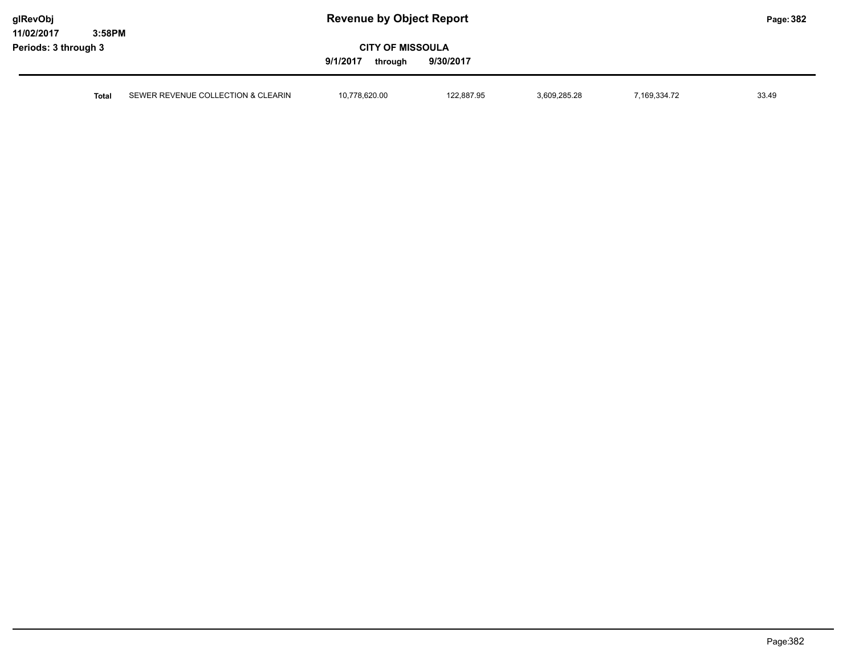| glRevObj<br>11/02/2017<br>3:58PM |              |                                    | <b>Revenue by Object Report</b>                |            |              |              |       |
|----------------------------------|--------------|------------------------------------|------------------------------------------------|------------|--------------|--------------|-------|
| Periods: 3 through 3             |              |                                    | <b>CITY OF MISSOULA</b><br>9/1/2017<br>through | 9/30/2017  |              |              |       |
|                                  | <b>Total</b> | SEWER REVENUE COLLECTION & CLEARIN | 10,778,620.00                                  | 122,887.95 | 3,609,285.28 | 7,169,334.72 | 33.49 |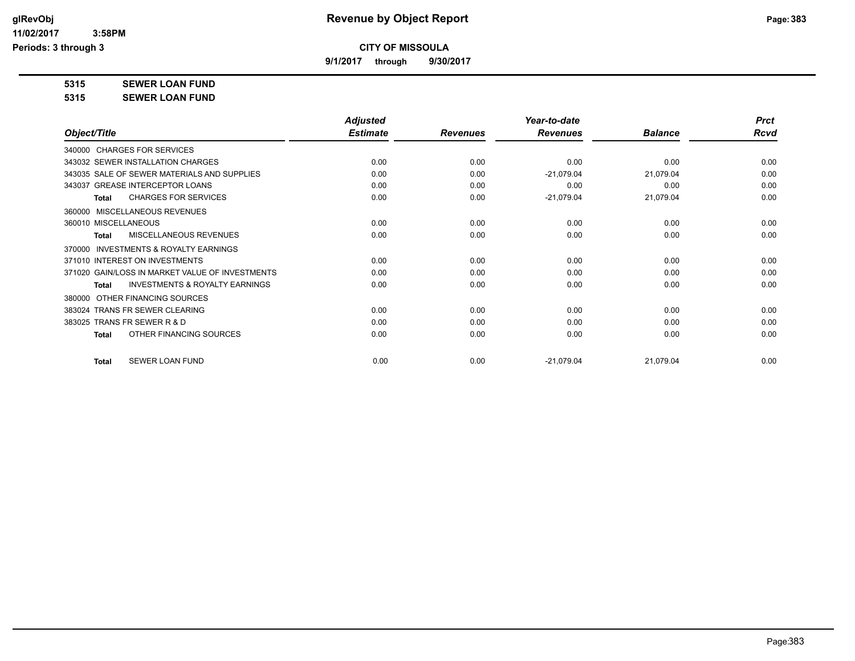**9/1/2017 through 9/30/2017**

**5315 SEWER LOAN FUND**

**5315 SEWER LOAN FUND**

|                                                           | <b>Adjusted</b> |                 | Year-to-date    |                | <b>Prct</b> |
|-----------------------------------------------------------|-----------------|-----------------|-----------------|----------------|-------------|
| Object/Title                                              | <b>Estimate</b> | <b>Revenues</b> | <b>Revenues</b> | <b>Balance</b> | Rcvd        |
| 340000 CHARGES FOR SERVICES                               |                 |                 |                 |                |             |
| 343032 SEWER INSTALLATION CHARGES                         | 0.00            | 0.00            | 0.00            | 0.00           | 0.00        |
| 343035 SALE OF SEWER MATERIALS AND SUPPLIES               | 0.00            | 0.00            | $-21,079.04$    | 21,079.04      | 0.00        |
| 343037 GREASE INTERCEPTOR LOANS                           | 0.00            | 0.00            | 0.00            | 0.00           | 0.00        |
| <b>CHARGES FOR SERVICES</b><br><b>Total</b>               | 0.00            | 0.00            | $-21,079.04$    | 21,079.04      | 0.00        |
| MISCELLANEOUS REVENUES<br>360000                          |                 |                 |                 |                |             |
| 360010 MISCELLANEOUS                                      | 0.00            | 0.00            | 0.00            | 0.00           | 0.00        |
| <b>MISCELLANEOUS REVENUES</b><br>Total                    | 0.00            | 0.00            | 0.00            | 0.00           | 0.00        |
| INVESTMENTS & ROYALTY EARNINGS<br>370000                  |                 |                 |                 |                |             |
| 371010 INTEREST ON INVESTMENTS                            | 0.00            | 0.00            | 0.00            | 0.00           | 0.00        |
| 371020 GAIN/LOSS IN MARKET VALUE OF INVESTMENTS           | 0.00            | 0.00            | 0.00            | 0.00           | 0.00        |
| <b>INVESTMENTS &amp; ROYALTY EARNINGS</b><br><b>Total</b> | 0.00            | 0.00            | 0.00            | 0.00           | 0.00        |
| OTHER FINANCING SOURCES<br>380000                         |                 |                 |                 |                |             |
| 383024 TRANS FR SEWER CLEARING                            | 0.00            | 0.00            | 0.00            | 0.00           | 0.00        |
| 383025 TRANS FR SEWER R & D                               | 0.00            | 0.00            | 0.00            | 0.00           | 0.00        |
| OTHER FINANCING SOURCES<br><b>Total</b>                   | 0.00            | 0.00            | 0.00            | 0.00           | 0.00        |
| <b>SEWER LOAN FUND</b><br><b>Total</b>                    | 0.00            | 0.00            | $-21,079.04$    | 21,079.04      | 0.00        |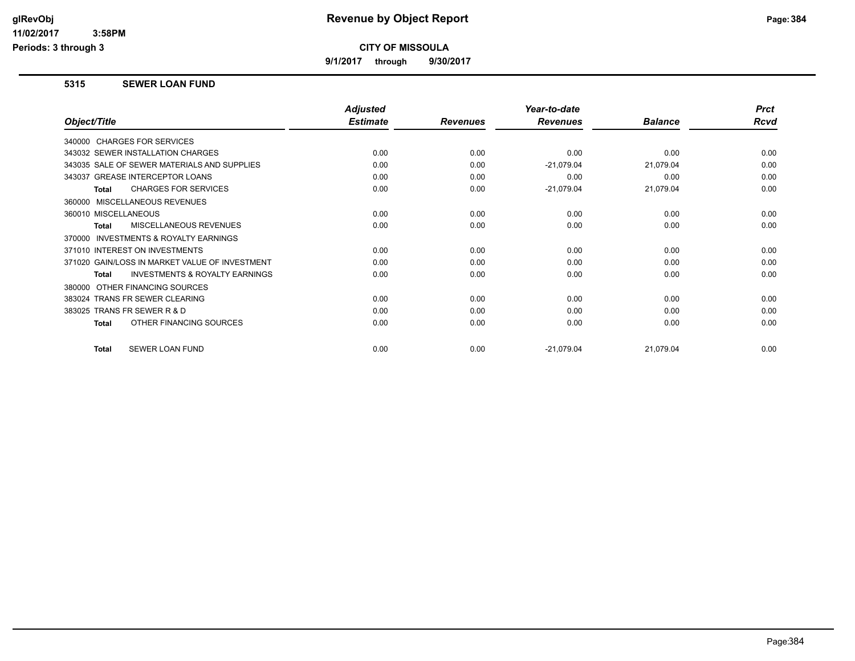**CITY OF MISSOULA**

**9/1/2017 through 9/30/2017**

#### **5315 SEWER LOAN FUND**

 **3:58PM**

|                                                           | <b>Adjusted</b> |                 | Year-to-date    |                | <b>Prct</b> |
|-----------------------------------------------------------|-----------------|-----------------|-----------------|----------------|-------------|
| Object/Title                                              | <b>Estimate</b> | <b>Revenues</b> | <b>Revenues</b> | <b>Balance</b> | <b>Rcvd</b> |
| 340000 CHARGES FOR SERVICES                               |                 |                 |                 |                |             |
| 343032 SEWER INSTALLATION CHARGES                         | 0.00            | 0.00            | 0.00            | 0.00           | 0.00        |
| 343035 SALE OF SEWER MATERIALS AND SUPPLIES               | 0.00            | 0.00            | $-21,079.04$    | 21,079.04      | 0.00        |
| 343037 GREASE INTERCEPTOR LOANS                           | 0.00            | 0.00            | 0.00            | 0.00           | 0.00        |
| <b>CHARGES FOR SERVICES</b><br><b>Total</b>               | 0.00            | 0.00            | $-21,079.04$    | 21,079.04      | 0.00        |
| 360000 MISCELLANEOUS REVENUES                             |                 |                 |                 |                |             |
| 360010 MISCELLANEOUS                                      | 0.00            | 0.00            | 0.00            | 0.00           | 0.00        |
| MISCELLANEOUS REVENUES<br><b>Total</b>                    | 0.00            | 0.00            | 0.00            | 0.00           | 0.00        |
| INVESTMENTS & ROYALTY EARNINGS<br>370000                  |                 |                 |                 |                |             |
| 371010 INTEREST ON INVESTMENTS                            | 0.00            | 0.00            | 0.00            | 0.00           | 0.00        |
| 371020 GAIN/LOSS IN MARKET VALUE OF INVESTMENT            | 0.00            | 0.00            | 0.00            | 0.00           | 0.00        |
| <b>INVESTMENTS &amp; ROYALTY EARNINGS</b><br><b>Total</b> | 0.00            | 0.00            | 0.00            | 0.00           | 0.00        |
| OTHER FINANCING SOURCES<br>380000                         |                 |                 |                 |                |             |
| 383024 TRANS FR SEWER CLEARING                            | 0.00            | 0.00            | 0.00            | 0.00           | 0.00        |
| 383025 TRANS FR SEWER R & D                               | 0.00            | 0.00            | 0.00            | 0.00           | 0.00        |
| OTHER FINANCING SOURCES<br><b>Total</b>                   | 0.00            | 0.00            | 0.00            | 0.00           | 0.00        |
| SEWER LOAN FUND<br><b>Total</b>                           | 0.00            | 0.00            | $-21,079.04$    | 21,079.04      | 0.00        |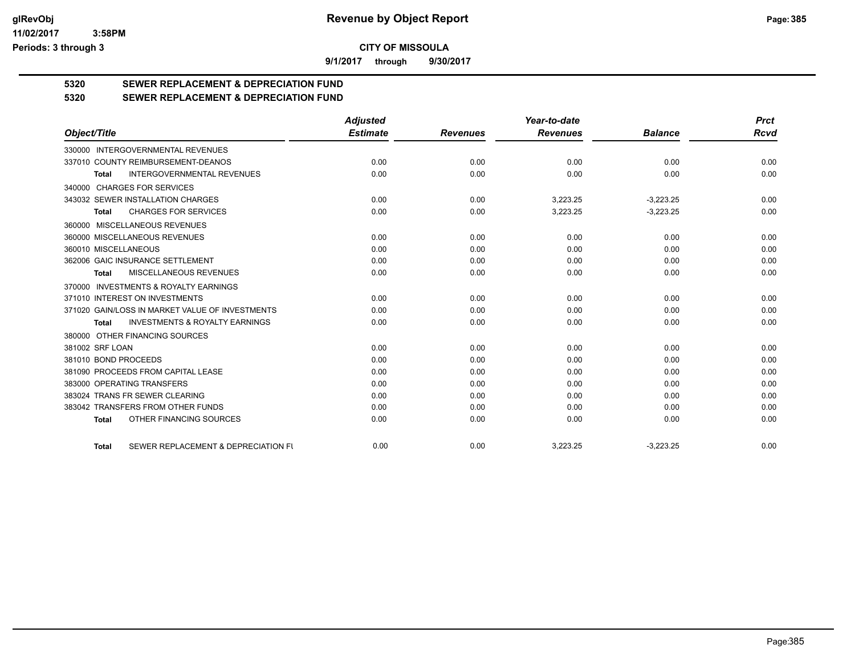**CITY OF MISSOULA**

**9/1/2017 through 9/30/2017**

# **5320 SEWER REPLACEMENT & DEPRECIATION FUND**

### **5320 SEWER REPLACEMENT & DEPRECIATION FUND**

|                                                           | <b>Adjusted</b> |                 | Year-to-date    |                | <b>Prct</b> |
|-----------------------------------------------------------|-----------------|-----------------|-----------------|----------------|-------------|
| Object/Title                                              | <b>Estimate</b> | <b>Revenues</b> | <b>Revenues</b> | <b>Balance</b> | <b>Rcvd</b> |
| 330000 INTERGOVERNMENTAL REVENUES                         |                 |                 |                 |                |             |
| 337010 COUNTY REIMBURSEMENT-DEANOS                        | 0.00            | 0.00            | 0.00            | 0.00           | 0.00        |
| <b>INTERGOVERNMENTAL REVENUES</b><br>Total                | 0.00            | 0.00            | 0.00            | 0.00           | 0.00        |
| 340000 CHARGES FOR SERVICES                               |                 |                 |                 |                |             |
| 343032 SEWER INSTALLATION CHARGES                         | 0.00            | 0.00            | 3,223.25        | $-3,223.25$    | 0.00        |
| <b>CHARGES FOR SERVICES</b><br>Total                      | 0.00            | 0.00            | 3,223.25        | $-3,223.25$    | 0.00        |
| 360000 MISCELLANEOUS REVENUES                             |                 |                 |                 |                |             |
| 360000 MISCELLANEOUS REVENUES                             | 0.00            | 0.00            | 0.00            | 0.00           | 0.00        |
| 360010 MISCELLANEOUS                                      | 0.00            | 0.00            | 0.00            | 0.00           | 0.00        |
| 362006 GAIC INSURANCE SETTLEMENT                          | 0.00            | 0.00            | 0.00            | 0.00           | 0.00        |
| MISCELLANEOUS REVENUES<br>Total                           | 0.00            | 0.00            | 0.00            | 0.00           | 0.00        |
| 370000 INVESTMENTS & ROYALTY EARNINGS                     |                 |                 |                 |                |             |
| 371010 INTEREST ON INVESTMENTS                            | 0.00            | 0.00            | 0.00            | 0.00           | 0.00        |
| 371020 GAIN/LOSS IN MARKET VALUE OF INVESTMENTS           | 0.00            | 0.00            | 0.00            | 0.00           | 0.00        |
| <b>INVESTMENTS &amp; ROYALTY EARNINGS</b><br><b>Total</b> | 0.00            | 0.00            | 0.00            | 0.00           | 0.00        |
| 380000 OTHER FINANCING SOURCES                            |                 |                 |                 |                |             |
| 381002 SRF LOAN                                           | 0.00            | 0.00            | 0.00            | 0.00           | 0.00        |
| 381010 BOND PROCEEDS                                      | 0.00            | 0.00            | 0.00            | 0.00           | 0.00        |
| 381090 PROCEEDS FROM CAPITAL LEASE                        | 0.00            | 0.00            | 0.00            | 0.00           | 0.00        |
| 383000 OPERATING TRANSFERS                                | 0.00            | 0.00            | 0.00            | 0.00           | 0.00        |
| 383024 TRANS FR SEWER CLEARING                            | 0.00            | 0.00            | 0.00            | 0.00           | 0.00        |
| 383042 TRANSFERS FROM OTHER FUNDS                         | 0.00            | 0.00            | 0.00            | 0.00           | 0.00        |
| OTHER FINANCING SOURCES<br>Total                          | 0.00            | 0.00            | 0.00            | 0.00           | 0.00        |
| SEWER REPLACEMENT & DEPRECIATION FI<br><b>Total</b>       | 0.00            | 0.00            | 3,223.25        | $-3,223.25$    | 0.00        |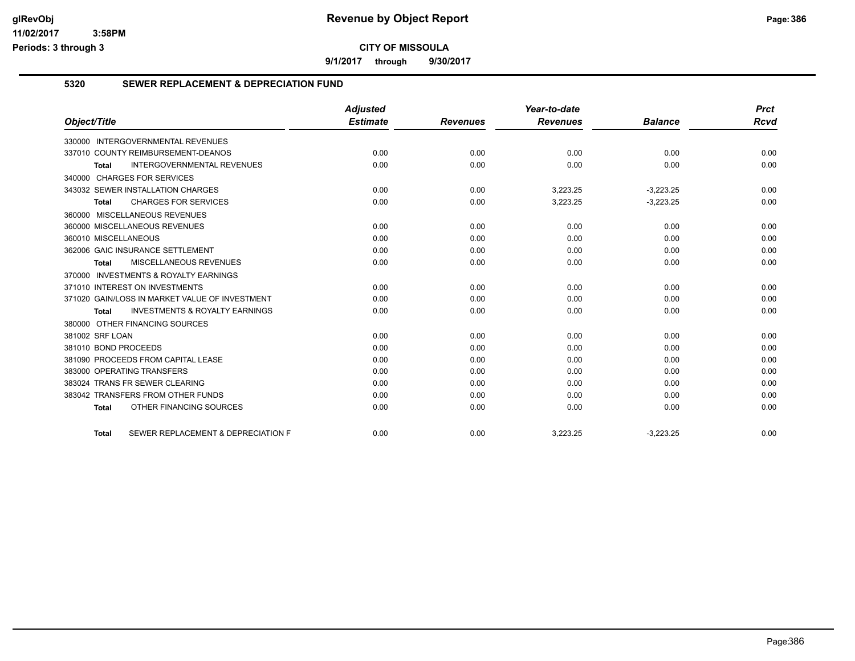**3:58PM**

**CITY OF MISSOULA**

**9/1/2017 through 9/30/2017**

#### **5320 SEWER REPLACEMENT & DEPRECIATION FUND**

|                                                           | <b>Adjusted</b> |                 | Year-to-date    |                | <b>Prct</b> |
|-----------------------------------------------------------|-----------------|-----------------|-----------------|----------------|-------------|
| Object/Title                                              | <b>Estimate</b> | <b>Revenues</b> | <b>Revenues</b> | <b>Balance</b> | <b>Rcvd</b> |
| <b>INTERGOVERNMENTAL REVENUES</b><br>330000               |                 |                 |                 |                |             |
| 337010 COUNTY REIMBURSEMENT-DEANOS                        | 0.00            | 0.00            | 0.00            | 0.00           | 0.00        |
| <b>INTERGOVERNMENTAL REVENUES</b><br><b>Total</b>         | 0.00            | 0.00            | 0.00            | 0.00           | 0.00        |
| 340000 CHARGES FOR SERVICES                               |                 |                 |                 |                |             |
| 343032 SEWER INSTALLATION CHARGES                         | 0.00            | 0.00            | 3.223.25        | $-3,223.25$    | 0.00        |
| <b>CHARGES FOR SERVICES</b><br><b>Total</b>               | 0.00            | 0.00            | 3,223.25        | $-3,223.25$    | 0.00        |
| 360000 MISCELLANEOUS REVENUES                             |                 |                 |                 |                |             |
| 360000 MISCELLANEOUS REVENUES                             | 0.00            | 0.00            | 0.00            | 0.00           | 0.00        |
| 360010 MISCELLANEOUS                                      | 0.00            | 0.00            | 0.00            | 0.00           | 0.00        |
| 362006 GAIC INSURANCE SETTLEMENT                          | 0.00            | 0.00            | 0.00            | 0.00           | 0.00        |
| MISCELLANEOUS REVENUES<br><b>Total</b>                    | 0.00            | 0.00            | 0.00            | 0.00           | 0.00        |
| 370000 INVESTMENTS & ROYALTY EARNINGS                     |                 |                 |                 |                |             |
| 371010 INTEREST ON INVESTMENTS                            | 0.00            | 0.00            | 0.00            | 0.00           | 0.00        |
| 371020 GAIN/LOSS IN MARKET VALUE OF INVESTMENT            | 0.00            | 0.00            | 0.00            | 0.00           | 0.00        |
| <b>INVESTMENTS &amp; ROYALTY EARNINGS</b><br><b>Total</b> | 0.00            | 0.00            | 0.00            | 0.00           | 0.00        |
| 380000 OTHER FINANCING SOURCES                            |                 |                 |                 |                |             |
| 381002 SRF LOAN                                           | 0.00            | 0.00            | 0.00            | 0.00           | 0.00        |
| 381010 BOND PROCEEDS                                      | 0.00            | 0.00            | 0.00            | 0.00           | 0.00        |
| 381090 PROCEEDS FROM CAPITAL LEASE                        | 0.00            | 0.00            | 0.00            | 0.00           | 0.00        |
| 383000 OPERATING TRANSFERS                                | 0.00            | 0.00            | 0.00            | 0.00           | 0.00        |
| 383024 TRANS FR SEWER CLEARING                            | 0.00            | 0.00            | 0.00            | 0.00           | 0.00        |
| 383042 TRANSFERS FROM OTHER FUNDS                         | 0.00            | 0.00            | 0.00            | 0.00           | 0.00        |
| OTHER FINANCING SOURCES<br><b>Total</b>                   | 0.00            | 0.00            | 0.00            | 0.00           | 0.00        |
| SEWER REPLACEMENT & DEPRECIATION F<br><b>Total</b>        | 0.00            | 0.00            | 3,223.25        | $-3,223.25$    | 0.00        |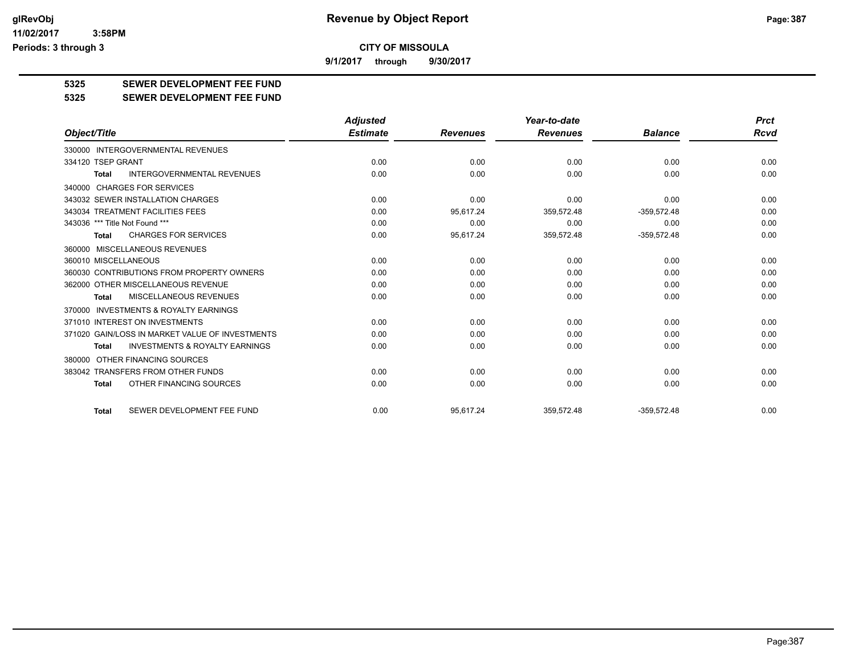**9/1/2017 through 9/30/2017**

**5325 SEWER DEVELOPMENT FEE FUND**

**5325 SEWER DEVELOPMENT FEE FUND**

|                                                           | <b>Adjusted</b> |                 | Year-to-date    |                | <b>Prct</b> |
|-----------------------------------------------------------|-----------------|-----------------|-----------------|----------------|-------------|
| Object/Title                                              | <b>Estimate</b> | <b>Revenues</b> | <b>Revenues</b> | <b>Balance</b> | Rcvd        |
| 330000 INTERGOVERNMENTAL REVENUES                         |                 |                 |                 |                |             |
| 334120 TSEP GRANT                                         | 0.00            | 0.00            | 0.00            | 0.00           | 0.00        |
| <b>INTERGOVERNMENTAL REVENUES</b><br><b>Total</b>         | 0.00            | 0.00            | 0.00            | 0.00           | 0.00        |
| 340000 CHARGES FOR SERVICES                               |                 |                 |                 |                |             |
| 343032 SEWER INSTALLATION CHARGES                         | 0.00            | 0.00            | 0.00            | 0.00           | 0.00        |
| 343034 TREATMENT FACILITIES FEES                          | 0.00            | 95,617.24       | 359,572.48      | $-359,572.48$  | 0.00        |
| 343036 *** Title Not Found ***                            | 0.00            | 0.00            | 0.00            | 0.00           | 0.00        |
| <b>CHARGES FOR SERVICES</b><br><b>Total</b>               | 0.00            | 95,617.24       | 359,572.48      | $-359,572.48$  | 0.00        |
| 360000 MISCELLANEOUS REVENUES                             |                 |                 |                 |                |             |
| 360010 MISCELLANEOUS                                      | 0.00            | 0.00            | 0.00            | 0.00           | 0.00        |
| 360030 CONTRIBUTIONS FROM PROPERTY OWNERS                 | 0.00            | 0.00            | 0.00            | 0.00           | 0.00        |
| 362000 OTHER MISCELLANEOUS REVENUE                        | 0.00            | 0.00            | 0.00            | 0.00           | 0.00        |
| MISCELLANEOUS REVENUES<br><b>Total</b>                    | 0.00            | 0.00            | 0.00            | 0.00           | 0.00        |
| <b>INVESTMENTS &amp; ROYALTY EARNINGS</b><br>370000       |                 |                 |                 |                |             |
| 371010 INTEREST ON INVESTMENTS                            | 0.00            | 0.00            | 0.00            | 0.00           | 0.00        |
| 371020 GAIN/LOSS IN MARKET VALUE OF INVESTMENTS           | 0.00            | 0.00            | 0.00            | 0.00           | 0.00        |
| <b>INVESTMENTS &amp; ROYALTY EARNINGS</b><br><b>Total</b> | 0.00            | 0.00            | 0.00            | 0.00           | 0.00        |
| 380000 OTHER FINANCING SOURCES                            |                 |                 |                 |                |             |
| 383042 TRANSFERS FROM OTHER FUNDS                         | 0.00            | 0.00            | 0.00            | 0.00           | 0.00        |
| OTHER FINANCING SOURCES<br>Total                          | 0.00            | 0.00            | 0.00            | 0.00           | 0.00        |
| SEWER DEVELOPMENT FEE FUND<br><b>Total</b>                | 0.00            | 95,617.24       | 359,572.48      | $-359.572.48$  | 0.00        |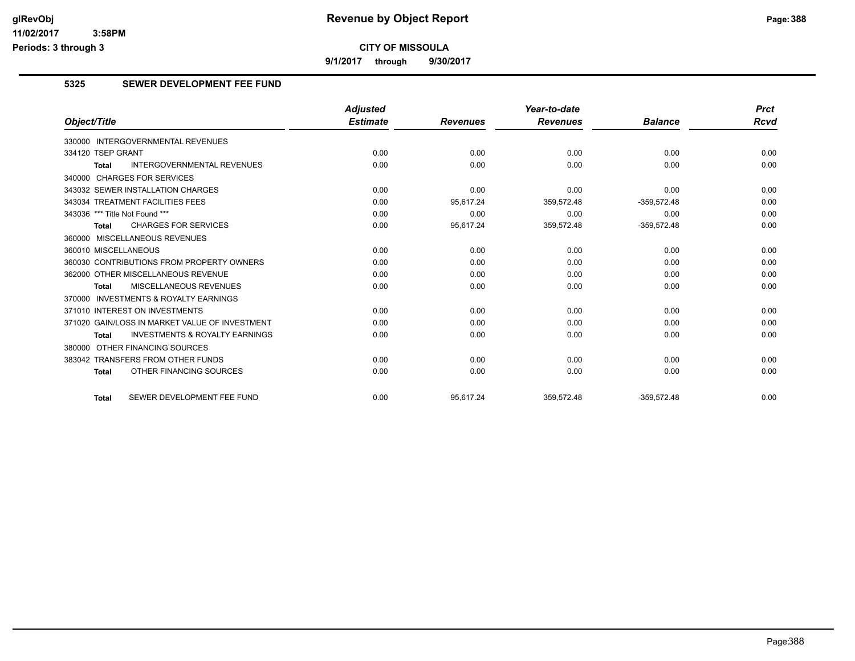**3:58PM**

**CITY OF MISSOULA**

**9/1/2017 through 9/30/2017**

#### **5325 SEWER DEVELOPMENT FEE FUND**

|                                                           | <b>Adjusted</b> |                 | Year-to-date    |                |             |  |
|-----------------------------------------------------------|-----------------|-----------------|-----------------|----------------|-------------|--|
| Object/Title                                              | <b>Estimate</b> | <b>Revenues</b> | <b>Revenues</b> | <b>Balance</b> | <b>Rcvd</b> |  |
| 330000 INTERGOVERNMENTAL REVENUES                         |                 |                 |                 |                |             |  |
| 334120 TSEP GRANT                                         | 0.00            | 0.00            | 0.00            | 0.00           | 0.00        |  |
| <b>INTERGOVERNMENTAL REVENUES</b><br><b>Total</b>         | 0.00            | 0.00            | 0.00            | 0.00           | 0.00        |  |
| 340000 CHARGES FOR SERVICES                               |                 |                 |                 |                |             |  |
| 343032 SEWER INSTALLATION CHARGES                         | 0.00            | 0.00            | 0.00            | 0.00           | 0.00        |  |
| 343034 TREATMENT FACILITIES FEES                          | 0.00            | 95,617.24       | 359,572.48      | $-359,572.48$  | 0.00        |  |
| 343036 *** Title Not Found ***                            | 0.00            | 0.00            | 0.00            | 0.00           | 0.00        |  |
| <b>CHARGES FOR SERVICES</b><br><b>Total</b>               | 0.00            | 95,617.24       | 359,572.48      | $-359,572.48$  | 0.00        |  |
| 360000 MISCELLANEOUS REVENUES                             |                 |                 |                 |                |             |  |
| 360010 MISCELLANEOUS                                      | 0.00            | 0.00            | 0.00            | 0.00           | 0.00        |  |
| 360030 CONTRIBUTIONS FROM PROPERTY OWNERS                 | 0.00            | 0.00            | 0.00            | 0.00           | 0.00        |  |
| 362000 OTHER MISCELLANEOUS REVENUE                        | 0.00            | 0.00            | 0.00            | 0.00           | 0.00        |  |
| <b>MISCELLANEOUS REVENUES</b><br><b>Total</b>             | 0.00            | 0.00            | 0.00            | 0.00           | 0.00        |  |
| 370000 INVESTMENTS & ROYALTY EARNINGS                     |                 |                 |                 |                |             |  |
| 371010 INTEREST ON INVESTMENTS                            | 0.00            | 0.00            | 0.00            | 0.00           | 0.00        |  |
| 371020 GAIN/LOSS IN MARKET VALUE OF INVESTMENT            | 0.00            | 0.00            | 0.00            | 0.00           | 0.00        |  |
| <b>INVESTMENTS &amp; ROYALTY EARNINGS</b><br><b>Total</b> | 0.00            | 0.00            | 0.00            | 0.00           | 0.00        |  |
| 380000 OTHER FINANCING SOURCES                            |                 |                 |                 |                |             |  |
| 383042 TRANSFERS FROM OTHER FUNDS                         | 0.00            | 0.00            | 0.00            | 0.00           | 0.00        |  |
| OTHER FINANCING SOURCES<br><b>Total</b>                   | 0.00            | 0.00            | 0.00            | 0.00           | 0.00        |  |
| SEWER DEVELOPMENT FEE FUND<br><b>Total</b>                | 0.00            | 95.617.24       | 359,572.48      | $-359,572.48$  | 0.00        |  |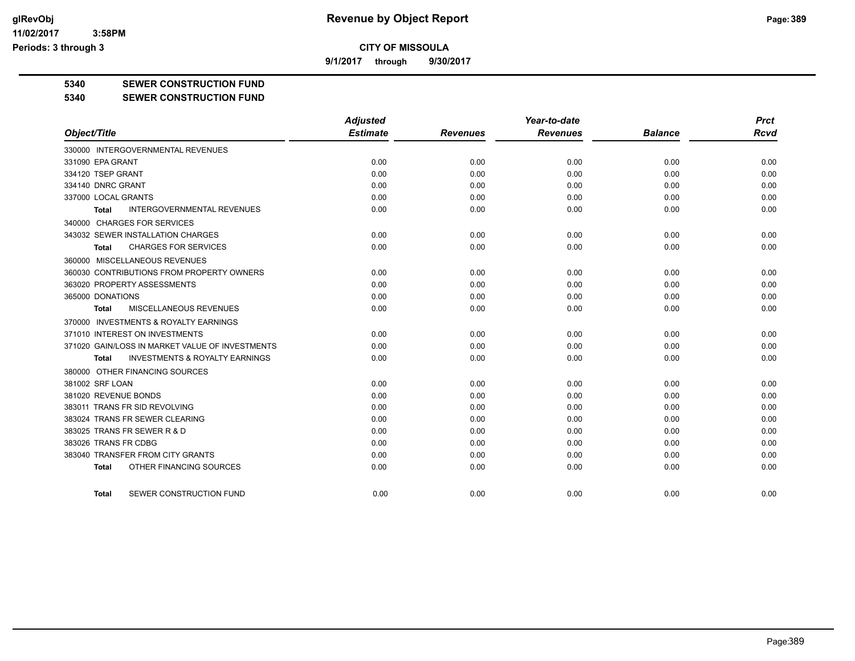**9/1/2017 through 9/30/2017**

**5340 SEWER CONSTRUCTION FUND**

**5340 SEWER CONSTRUCTION FUND**

|                                                    | <b>Adjusted</b> |                 | Year-to-date    |                | <b>Prct</b> |
|----------------------------------------------------|-----------------|-----------------|-----------------|----------------|-------------|
| Object/Title                                       | <b>Estimate</b> | <b>Revenues</b> | <b>Revenues</b> | <b>Balance</b> | <b>Rcvd</b> |
| 330000 INTERGOVERNMENTAL REVENUES                  |                 |                 |                 |                |             |
| 331090 EPA GRANT                                   | 0.00            | 0.00            | 0.00            | 0.00           | 0.00        |
| 334120 TSEP GRANT                                  | 0.00            | 0.00            | 0.00            | 0.00           | 0.00        |
| 334140 DNRC GRANT                                  | 0.00            | 0.00            | 0.00            | 0.00           | 0.00        |
| 337000 LOCAL GRANTS                                | 0.00            | 0.00            | 0.00            | 0.00           | 0.00        |
| <b>INTERGOVERNMENTAL REVENUES</b><br>Total         | 0.00            | 0.00            | 0.00            | 0.00           | 0.00        |
| 340000 CHARGES FOR SERVICES                        |                 |                 |                 |                |             |
| 343032 SEWER INSTALLATION CHARGES                  | 0.00            | 0.00            | 0.00            | 0.00           | 0.00        |
| <b>CHARGES FOR SERVICES</b><br>Total               | 0.00            | 0.00            | 0.00            | 0.00           | 0.00        |
| 360000 MISCELLANEOUS REVENUES                      |                 |                 |                 |                |             |
| 360030 CONTRIBUTIONS FROM PROPERTY OWNERS          | 0.00            | 0.00            | 0.00            | 0.00           | 0.00        |
| 363020 PROPERTY ASSESSMENTS                        | 0.00            | 0.00            | 0.00            | 0.00           | 0.00        |
| 365000 DONATIONS                                   | 0.00            | 0.00            | 0.00            | 0.00           | 0.00        |
| <b>MISCELLANEOUS REVENUES</b><br><b>Total</b>      | 0.00            | 0.00            | 0.00            | 0.00           | 0.00        |
| 370000 INVESTMENTS & ROYALTY EARNINGS              |                 |                 |                 |                |             |
| 371010 INTEREST ON INVESTMENTS                     | 0.00            | 0.00            | 0.00            | 0.00           | 0.00        |
| 371020 GAIN/LOSS IN MARKET VALUE OF INVESTMENTS    | 0.00            | 0.00            | 0.00            | 0.00           | 0.00        |
| <b>INVESTMENTS &amp; ROYALTY EARNINGS</b><br>Total | 0.00            | 0.00            | 0.00            | 0.00           | 0.00        |
| 380000 OTHER FINANCING SOURCES                     |                 |                 |                 |                |             |
| 381002 SRF LOAN                                    | 0.00            | 0.00            | 0.00            | 0.00           | 0.00        |
| 381020 REVENUE BONDS                               | 0.00            | 0.00            | 0.00            | 0.00           | 0.00        |
| 383011 TRANS FR SID REVOLVING                      | 0.00            | 0.00            | 0.00            | 0.00           | 0.00        |
| 383024 TRANS FR SEWER CLEARING                     | 0.00            | 0.00            | 0.00            | 0.00           | 0.00        |
| 383025 TRANS FR SEWER R & D                        | 0.00            | 0.00            | 0.00            | 0.00           | 0.00        |
| 383026 TRANS FR CDBG                               | 0.00            | 0.00            | 0.00            | 0.00           | 0.00        |
| 383040 TRANSFER FROM CITY GRANTS                   | 0.00            | 0.00            | 0.00            | 0.00           | 0.00        |
| OTHER FINANCING SOURCES<br><b>Total</b>            | 0.00            | 0.00            | 0.00            | 0.00           | 0.00        |
| SEWER CONSTRUCTION FUND<br>Total                   | 0.00            | 0.00            | 0.00            | 0.00           | 0.00        |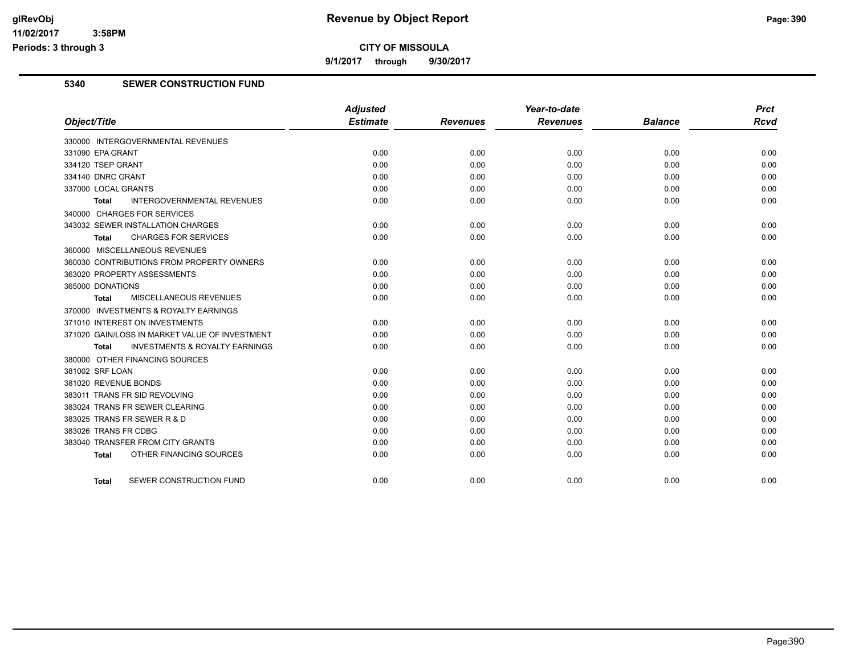**CITY OF MISSOULA**

**9/1/2017 through 9/30/2017**

#### **5340 SEWER CONSTRUCTION FUND**

 **3:58PM**

|                                                    | <b>Adjusted</b> |                 | Year-to-date    |                | <b>Prct</b> |
|----------------------------------------------------|-----------------|-----------------|-----------------|----------------|-------------|
| Object/Title                                       | <b>Estimate</b> | <b>Revenues</b> | <b>Revenues</b> | <b>Balance</b> | <b>Rcvd</b> |
| 330000 INTERGOVERNMENTAL REVENUES                  |                 |                 |                 |                |             |
| 331090 EPA GRANT                                   | 0.00            | 0.00            | 0.00            | 0.00           | 0.00        |
| 334120 TSEP GRANT                                  | 0.00            | 0.00            | 0.00            | 0.00           | 0.00        |
| 334140 DNRC GRANT                                  | 0.00            | 0.00            | 0.00            | 0.00           | 0.00        |
| 337000 LOCAL GRANTS                                | 0.00            | 0.00            | 0.00            | 0.00           | 0.00        |
| <b>INTERGOVERNMENTAL REVENUES</b><br>Total         | 0.00            | 0.00            | 0.00            | 0.00           | 0.00        |
| 340000 CHARGES FOR SERVICES                        |                 |                 |                 |                |             |
| 343032 SEWER INSTALLATION CHARGES                  | 0.00            | 0.00            | 0.00            | 0.00           | 0.00        |
| <b>CHARGES FOR SERVICES</b><br>Total               | 0.00            | 0.00            | 0.00            | 0.00           | 0.00        |
| 360000 MISCELLANEOUS REVENUES                      |                 |                 |                 |                |             |
| 360030 CONTRIBUTIONS FROM PROPERTY OWNERS          | 0.00            | 0.00            | 0.00            | 0.00           | 0.00        |
| 363020 PROPERTY ASSESSMENTS                        | 0.00            | 0.00            | 0.00            | 0.00           | 0.00        |
| 365000 DONATIONS                                   | 0.00            | 0.00            | 0.00            | 0.00           | 0.00        |
| <b>MISCELLANEOUS REVENUES</b><br>Total             | 0.00            | 0.00            | 0.00            | 0.00           | 0.00        |
| 370000 INVESTMENTS & ROYALTY EARNINGS              |                 |                 |                 |                |             |
| 371010 INTEREST ON INVESTMENTS                     | 0.00            | 0.00            | 0.00            | 0.00           | 0.00        |
| 371020 GAIN/LOSS IN MARKET VALUE OF INVESTMENT     | 0.00            | 0.00            | 0.00            | 0.00           | 0.00        |
| <b>INVESTMENTS &amp; ROYALTY EARNINGS</b><br>Total | 0.00            | 0.00            | 0.00            | 0.00           | 0.00        |
| 380000 OTHER FINANCING SOURCES                     |                 |                 |                 |                |             |
| 381002 SRF LOAN                                    | 0.00            | 0.00            | 0.00            | 0.00           | 0.00        |
| 381020 REVENUE BONDS                               | 0.00            | 0.00            | 0.00            | 0.00           | 0.00        |
| 383011 TRANS FR SID REVOLVING                      | 0.00            | 0.00            | 0.00            | 0.00           | 0.00        |
| 383024 TRANS FR SEWER CLEARING                     | 0.00            | 0.00            | 0.00            | 0.00           | 0.00        |
| 383025 TRANS FR SEWER R & D                        | 0.00            | 0.00            | 0.00            | 0.00           | 0.00        |
| 383026 TRANS FR CDBG                               | 0.00            | 0.00            | 0.00            | 0.00           | 0.00        |
| 383040 TRANSFER FROM CITY GRANTS                   | 0.00            | 0.00            | 0.00            | 0.00           | 0.00        |
| OTHER FINANCING SOURCES<br><b>Total</b>            | 0.00            | 0.00            | 0.00            | 0.00           | 0.00        |
| SEWER CONSTRUCTION FUND<br><b>Total</b>            | 0.00            | 0.00            | 0.00            | 0.00           | 0.00        |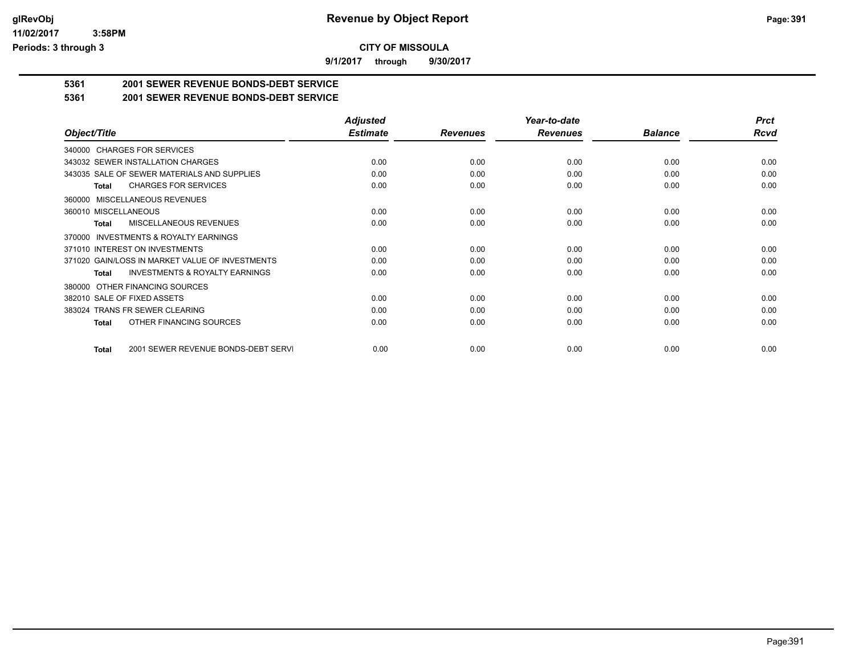**CITY OF MISSOULA**

**9/1/2017 through 9/30/2017**

## **5361 2001 SEWER REVENUE BONDS-DEBT SERVICE**

#### **5361 2001 SEWER REVENUE BONDS-DEBT SERVICE**

|                                                     | <b>Adjusted</b> |                 | Year-to-date    |                | <b>Prct</b> |
|-----------------------------------------------------|-----------------|-----------------|-----------------|----------------|-------------|
| Object/Title                                        | <b>Estimate</b> | <b>Revenues</b> | <b>Revenues</b> | <b>Balance</b> | Rcvd        |
| 340000 CHARGES FOR SERVICES                         |                 |                 |                 |                |             |
| 343032 SEWER INSTALLATION CHARGES                   | 0.00            | 0.00            | 0.00            | 0.00           | 0.00        |
| 343035 SALE OF SEWER MATERIALS AND SUPPLIES         | 0.00            | 0.00            | 0.00            | 0.00           | 0.00        |
| <b>CHARGES FOR SERVICES</b><br><b>Total</b>         | 0.00            | 0.00            | 0.00            | 0.00           | 0.00        |
| MISCELLANEOUS REVENUES<br>360000                    |                 |                 |                 |                |             |
| 360010 MISCELLANEOUS                                | 0.00            | 0.00            | 0.00            | 0.00           | 0.00        |
| <b>MISCELLANEOUS REVENUES</b><br>Total              | 0.00            | 0.00            | 0.00            | 0.00           | 0.00        |
| <b>INVESTMENTS &amp; ROYALTY EARNINGS</b><br>370000 |                 |                 |                 |                |             |
| 371010 INTEREST ON INVESTMENTS                      | 0.00            | 0.00            | 0.00            | 0.00           | 0.00        |
| 371020 GAIN/LOSS IN MARKET VALUE OF INVESTMENTS     | 0.00            | 0.00            | 0.00            | 0.00           | 0.00        |
| <b>INVESTMENTS &amp; ROYALTY EARNINGS</b><br>Total  | 0.00            | 0.00            | 0.00            | 0.00           | 0.00        |
| OTHER FINANCING SOURCES<br>380000                   |                 |                 |                 |                |             |
| 382010 SALE OF FIXED ASSETS                         | 0.00            | 0.00            | 0.00            | 0.00           | 0.00        |
| 383024 TRANS FR SEWER CLEARING                      | 0.00            | 0.00            | 0.00            | 0.00           | 0.00        |
| OTHER FINANCING SOURCES<br><b>Total</b>             | 0.00            | 0.00            | 0.00            | 0.00           | 0.00        |
| 2001 SEWER REVENUE BONDS-DEBT SERVI<br><b>Total</b> | 0.00            | 0.00            | 0.00            | 0.00           | 0.00        |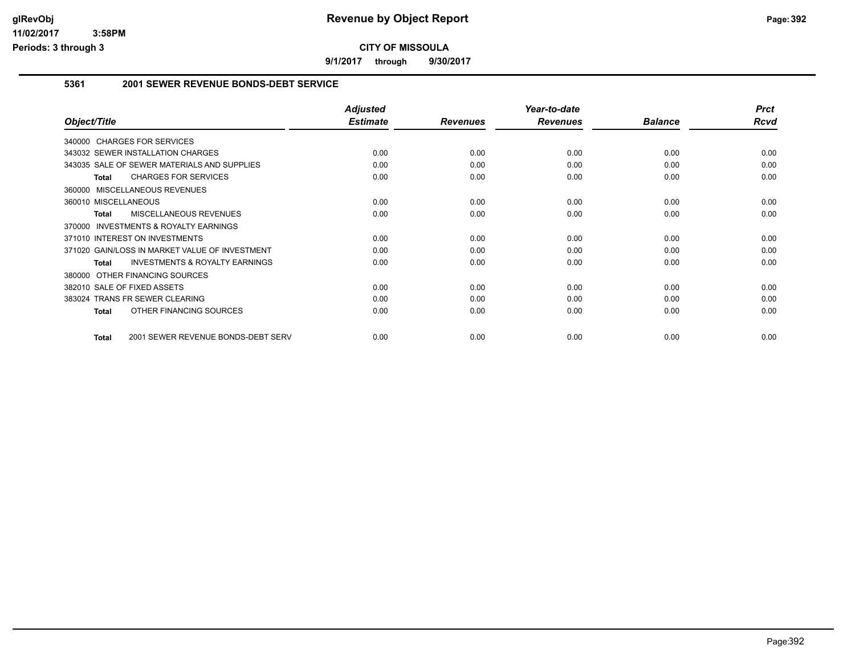**3:58PM**

**CITY OF MISSOULA**

**9/1/2017 through 9/30/2017**

#### **5361 2001 SEWER REVENUE BONDS-DEBT SERVICE**

|                                                           | <b>Adjusted</b> |                 | Year-to-date    |                | <b>Prct</b> |
|-----------------------------------------------------------|-----------------|-----------------|-----------------|----------------|-------------|
| Object/Title                                              | <b>Estimate</b> | <b>Revenues</b> | <b>Revenues</b> | <b>Balance</b> | Rcvd        |
| 340000 CHARGES FOR SERVICES                               |                 |                 |                 |                |             |
| 343032 SEWER INSTALLATION CHARGES                         | 0.00            | 0.00            | 0.00            | 0.00           | 0.00        |
| 343035 SALE OF SEWER MATERIALS AND SUPPLIES               | 0.00            | 0.00            | 0.00            | 0.00           | 0.00        |
| <b>CHARGES FOR SERVICES</b><br>Total                      | 0.00            | 0.00            | 0.00            | 0.00           | 0.00        |
| 360000 MISCELLANEOUS REVENUES                             |                 |                 |                 |                |             |
| 360010 MISCELLANEOUS                                      | 0.00            | 0.00            | 0.00            | 0.00           | 0.00        |
| <b>MISCELLANEOUS REVENUES</b><br>Total                    | 0.00            | 0.00            | 0.00            | 0.00           | 0.00        |
| <b>INVESTMENTS &amp; ROYALTY EARNINGS</b><br>370000       |                 |                 |                 |                |             |
| 371010 INTEREST ON INVESTMENTS                            | 0.00            | 0.00            | 0.00            | 0.00           | 0.00        |
| 371020 GAIN/LOSS IN MARKET VALUE OF INVESTMENT            | 0.00            | 0.00            | 0.00            | 0.00           | 0.00        |
| <b>INVESTMENTS &amp; ROYALTY EARNINGS</b><br><b>Total</b> | 0.00            | 0.00            | 0.00            | 0.00           | 0.00        |
| 380000 OTHER FINANCING SOURCES                            |                 |                 |                 |                |             |
| 382010 SALE OF FIXED ASSETS                               | 0.00            | 0.00            | 0.00            | 0.00           | 0.00        |
| 383024 TRANS FR SEWER CLEARING                            | 0.00            | 0.00            | 0.00            | 0.00           | 0.00        |
| OTHER FINANCING SOURCES<br><b>Total</b>                   | 0.00            | 0.00            | 0.00            | 0.00           | 0.00        |
|                                                           |                 |                 |                 |                |             |
| 2001 SEWER REVENUE BONDS-DEBT SERV<br><b>Total</b>        | 0.00            | 0.00            | 0.00            | 0.00           | 0.00        |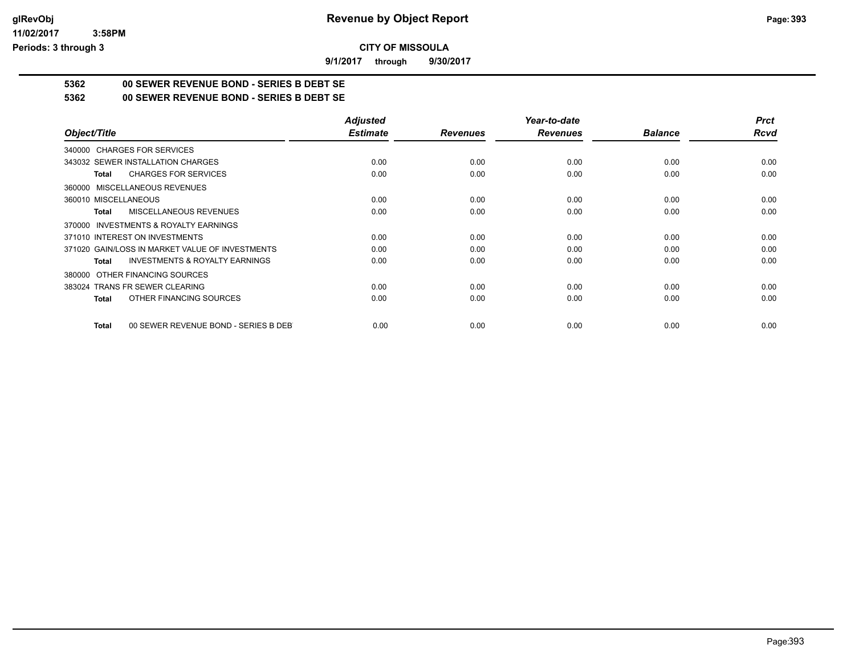**CITY OF MISSOULA**

**9/1/2017 through 9/30/2017**

## **5362 00 SEWER REVENUE BOND - SERIES B DEBT SE**

**5362 00 SEWER REVENUE BOND - SERIES B DEBT SE**

|                                                      | <b>Adjusted</b> |                 | Year-to-date    |                | <b>Prct</b> |
|------------------------------------------------------|-----------------|-----------------|-----------------|----------------|-------------|
| Object/Title                                         | <b>Estimate</b> | <b>Revenues</b> | <b>Revenues</b> | <b>Balance</b> | <b>Rcvd</b> |
| 340000 CHARGES FOR SERVICES                          |                 |                 |                 |                |             |
| 343032 SEWER INSTALLATION CHARGES                    | 0.00            | 0.00            | 0.00            | 0.00           | 0.00        |
| <b>CHARGES FOR SERVICES</b><br>Total                 | 0.00            | 0.00            | 0.00            | 0.00           | 0.00        |
| 360000 MISCELLANEOUS REVENUES                        |                 |                 |                 |                |             |
| 360010 MISCELLANEOUS                                 | 0.00            | 0.00            | 0.00            | 0.00           | 0.00        |
| MISCELLANEOUS REVENUES<br>Total                      | 0.00            | 0.00            | 0.00            | 0.00           | 0.00        |
| 370000 INVESTMENTS & ROYALTY EARNINGS                |                 |                 |                 |                |             |
| 371010 INTEREST ON INVESTMENTS                       | 0.00            | 0.00            | 0.00            | 0.00           | 0.00        |
| 371020 GAIN/LOSS IN MARKET VALUE OF INVESTMENTS      | 0.00            | 0.00            | 0.00            | 0.00           | 0.00        |
| <b>INVESTMENTS &amp; ROYALTY EARNINGS</b><br>Total   | 0.00            | 0.00            | 0.00            | 0.00           | 0.00        |
| 380000 OTHER FINANCING SOURCES                       |                 |                 |                 |                |             |
| 383024 TRANS FR SEWER CLEARING                       | 0.00            | 0.00            | 0.00            | 0.00           | 0.00        |
| OTHER FINANCING SOURCES<br>Total                     | 0.00            | 0.00            | 0.00            | 0.00           | 0.00        |
|                                                      |                 |                 |                 |                |             |
| 00 SEWER REVENUE BOND - SERIES B DEB<br><b>Total</b> | 0.00            | 0.00            | 0.00            | 0.00           | 0.00        |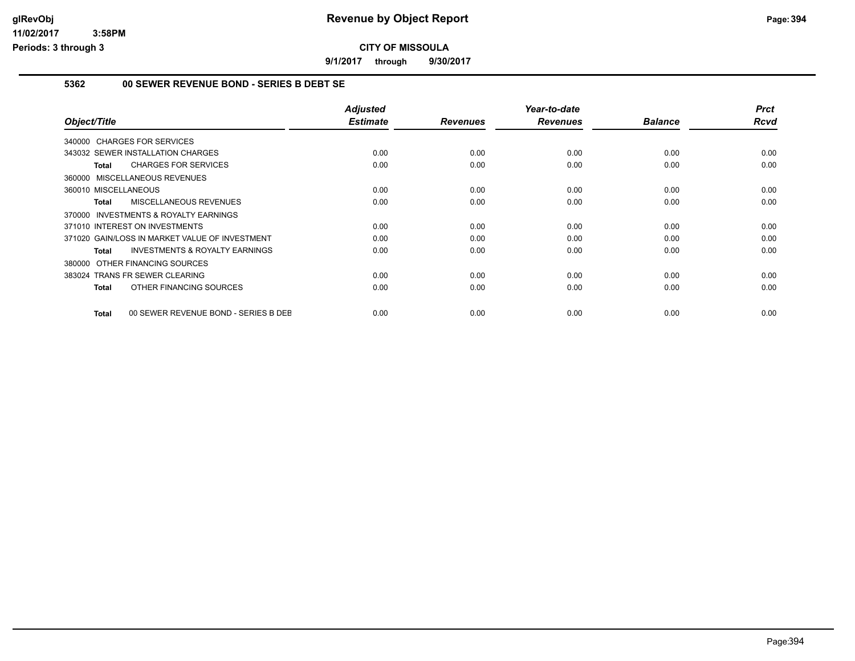**CITY OF MISSOULA**

**9/1/2017 through 9/30/2017**

#### **5362 00 SEWER REVENUE BOND - SERIES B DEBT SE**

| Object/Title                                         | Adjusted<br><b>Estimate</b> | <b>Revenues</b> | Year-to-date<br><b>Revenues</b> | <b>Balance</b> | <b>Prct</b><br><b>Rcvd</b> |
|------------------------------------------------------|-----------------------------|-----------------|---------------------------------|----------------|----------------------------|
|                                                      |                             |                 |                                 |                |                            |
| 340000 CHARGES FOR SERVICES                          |                             |                 |                                 |                |                            |
| 343032 SEWER INSTALLATION CHARGES                    | 0.00                        | 0.00            | 0.00                            | 0.00           | 0.00                       |
| <b>CHARGES FOR SERVICES</b><br>Total                 | 0.00                        | 0.00            | 0.00                            | 0.00           | 0.00                       |
| 360000 MISCELLANEOUS REVENUES                        |                             |                 |                                 |                |                            |
| 360010 MISCELLANEOUS                                 | 0.00                        | 0.00            | 0.00                            | 0.00           | 0.00                       |
| <b>MISCELLANEOUS REVENUES</b><br><b>Total</b>        | 0.00                        | 0.00            | 0.00                            | 0.00           | 0.00                       |
| 370000 INVESTMENTS & ROYALTY EARNINGS                |                             |                 |                                 |                |                            |
| 371010 INTEREST ON INVESTMENTS                       | 0.00                        | 0.00            | 0.00                            | 0.00           | 0.00                       |
| 371020 GAIN/LOSS IN MARKET VALUE OF INVESTMENT       | 0.00                        | 0.00            | 0.00                            | 0.00           | 0.00                       |
| <b>INVESTMENTS &amp; ROYALTY EARNINGS</b><br>Total   | 0.00                        | 0.00            | 0.00                            | 0.00           | 0.00                       |
| 380000 OTHER FINANCING SOURCES                       |                             |                 |                                 |                |                            |
| 383024 TRANS FR SEWER CLEARING                       | 0.00                        | 0.00            | 0.00                            | 0.00           | 0.00                       |
| OTHER FINANCING SOURCES<br><b>Total</b>              | 0.00                        | 0.00            | 0.00                            | 0.00           | 0.00                       |
| 00 SEWER REVENUE BOND - SERIES B DEE<br><b>Total</b> | 0.00                        | 0.00            | 0.00                            | 0.00           | 0.00                       |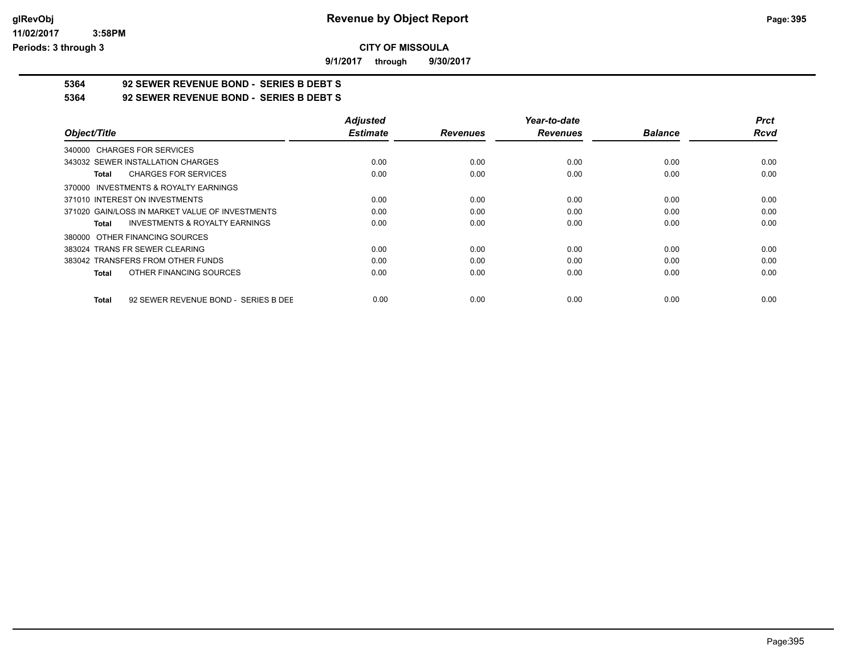**CITY OF MISSOULA**

**9/1/2017 through 9/30/2017**

## **5364 92 SEWER REVENUE BOND - SERIES B DEBT S**

**5364 92 SEWER REVENUE BOND - SERIES B DEBT S**

|                                                    | <b>Adjusted</b> |                 | Year-to-date    |                | <b>Prct</b> |
|----------------------------------------------------|-----------------|-----------------|-----------------|----------------|-------------|
| Object/Title                                       | <b>Estimate</b> | <b>Revenues</b> | <b>Revenues</b> | <b>Balance</b> | <b>Rcvd</b> |
| 340000 CHARGES FOR SERVICES                        |                 |                 |                 |                |             |
| 343032 SEWER INSTALLATION CHARGES                  | 0.00            | 0.00            | 0.00            | 0.00           | 0.00        |
| <b>CHARGES FOR SERVICES</b><br>Total               | 0.00            | 0.00            | 0.00            | 0.00           | 0.00        |
| 370000 INVESTMENTS & ROYALTY EARNINGS              |                 |                 |                 |                |             |
| 371010 INTEREST ON INVESTMENTS                     | 0.00            | 0.00            | 0.00            | 0.00           | 0.00        |
| 371020 GAIN/LOSS IN MARKET VALUE OF INVESTMENTS    | 0.00            | 0.00            | 0.00            | 0.00           | 0.00        |
| <b>INVESTMENTS &amp; ROYALTY EARNINGS</b><br>Total | 0.00            | 0.00            | 0.00            | 0.00           | 0.00        |
| 380000 OTHER FINANCING SOURCES                     |                 |                 |                 |                |             |
| 383024 TRANS FR SEWER CLEARING                     | 0.00            | 0.00            | 0.00            | 0.00           | 0.00        |
| 383042 TRANSFERS FROM OTHER FUNDS                  | 0.00            | 0.00            | 0.00            | 0.00           | 0.00        |
| OTHER FINANCING SOURCES<br>Total                   | 0.00            | 0.00            | 0.00            | 0.00           | 0.00        |
| 92 SEWER REVENUE BOND - SERIES B DEE<br>Total      | 0.00            | 0.00            | 0.00            | 0.00           | 0.00        |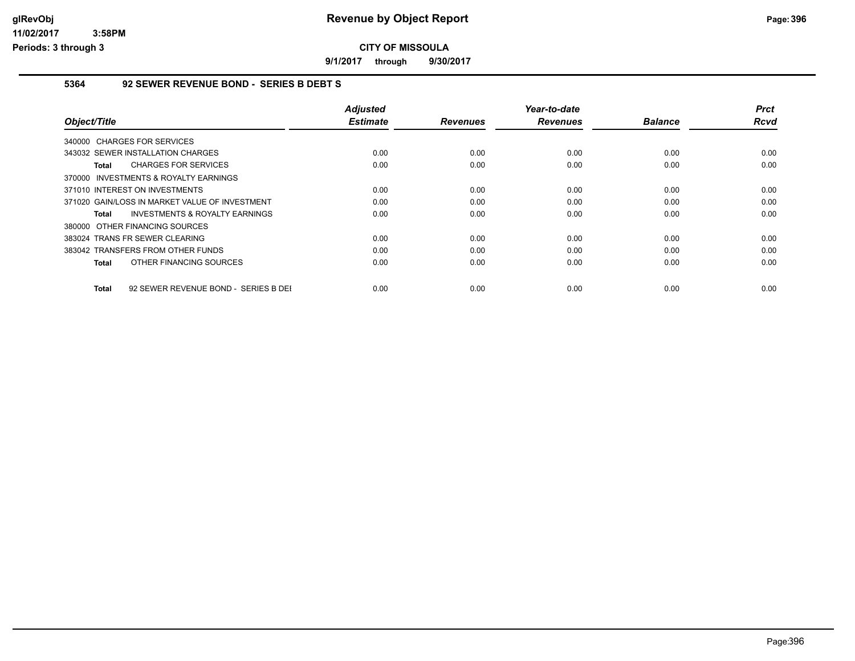**3:58PM**

**CITY OF MISSOULA**

**9/1/2017 through 9/30/2017**

#### **5364 92 SEWER REVENUE BOND - SERIES B DEBT S**

| Object/Title                                              | <b>Adjusted</b> | <b>Revenues</b> | Year-to-date<br><b>Revenues</b> | <b>Balance</b> | <b>Prct</b><br><b>Rcvd</b> |
|-----------------------------------------------------------|-----------------|-----------------|---------------------------------|----------------|----------------------------|
|                                                           | <b>Estimate</b> |                 |                                 |                |                            |
| 340000 CHARGES FOR SERVICES                               |                 |                 |                                 |                |                            |
| 343032 SEWER INSTALLATION CHARGES                         | 0.00            | 0.00            | 0.00                            | 0.00           | 0.00                       |
| <b>CHARGES FOR SERVICES</b><br><b>Total</b>               | 0.00            | 0.00            | 0.00                            | 0.00           | 0.00                       |
| 370000 INVESTMENTS & ROYALTY EARNINGS                     |                 |                 |                                 |                |                            |
| 371010 INTEREST ON INVESTMENTS                            | 0.00            | 0.00            | 0.00                            | 0.00           | 0.00                       |
| 371020 GAIN/LOSS IN MARKET VALUE OF INVESTMENT            | 0.00            | 0.00            | 0.00                            | 0.00           | 0.00                       |
| <b>INVESTMENTS &amp; ROYALTY EARNINGS</b><br><b>Total</b> | 0.00            | 0.00            | 0.00                            | 0.00           | 0.00                       |
| 380000 OTHER FINANCING SOURCES                            |                 |                 |                                 |                |                            |
| 383024 TRANS FR SEWER CLEARING                            | 0.00            | 0.00            | 0.00                            | 0.00           | 0.00                       |
| 383042 TRANSFERS FROM OTHER FUNDS                         | 0.00            | 0.00            | 0.00                            | 0.00           | 0.00                       |
| OTHER FINANCING SOURCES<br><b>Total</b>                   | 0.00            | 0.00            | 0.00                            | 0.00           | 0.00                       |
| 92 SEWER REVENUE BOND - SERIES B DEI<br><b>Total</b>      | 0.00            | 0.00            | 0.00                            | 0.00           | 0.00                       |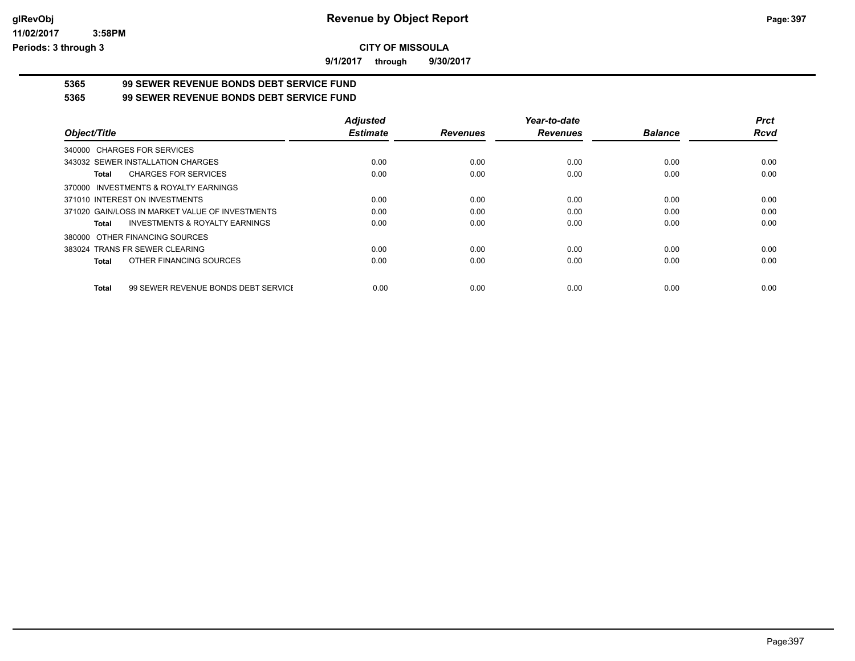**11/02/2017 3:58PM Periods: 3 through 3**

**CITY OF MISSOULA**

**9/1/2017 through 9/30/2017**

# **5365 99 SEWER REVENUE BONDS DEBT SERVICE FUND**

## **5365 99 SEWER REVENUE BONDS DEBT SERVICE FUND**

|                                                     | <b>Adjusted</b> |                 | Year-to-date    |                | <b>Prct</b> |
|-----------------------------------------------------|-----------------|-----------------|-----------------|----------------|-------------|
| Object/Title                                        | <b>Estimate</b> | <b>Revenues</b> | <b>Revenues</b> | <b>Balance</b> | <b>Rcvd</b> |
| 340000 CHARGES FOR SERVICES                         |                 |                 |                 |                |             |
| 343032 SEWER INSTALLATION CHARGES                   | 0.00            | 0.00            | 0.00            | 0.00           | 0.00        |
| <b>CHARGES FOR SERVICES</b><br>Total                | 0.00            | 0.00            | 0.00            | 0.00           | 0.00        |
| 370000 INVESTMENTS & ROYALTY EARNINGS               |                 |                 |                 |                |             |
| 371010 INTEREST ON INVESTMENTS                      | 0.00            | 0.00            | 0.00            | 0.00           | 0.00        |
| 371020 GAIN/LOSS IN MARKET VALUE OF INVESTMENTS     | 0.00            | 0.00            | 0.00            | 0.00           | 0.00        |
| <b>INVESTMENTS &amp; ROYALTY EARNINGS</b><br>Total  | 0.00            | 0.00            | 0.00            | 0.00           | 0.00        |
| 380000 OTHER FINANCING SOURCES                      |                 |                 |                 |                |             |
| 383024 TRANS FR SEWER CLEARING                      | 0.00            | 0.00            | 0.00            | 0.00           | 0.00        |
| OTHER FINANCING SOURCES<br>Total                    | 0.00            | 0.00            | 0.00            | 0.00           | 0.00        |
| 99 SEWER REVENUE BONDS DEBT SERVICE<br><b>Total</b> | 0.00            | 0.00            | 0.00            | 0.00           | 0.00        |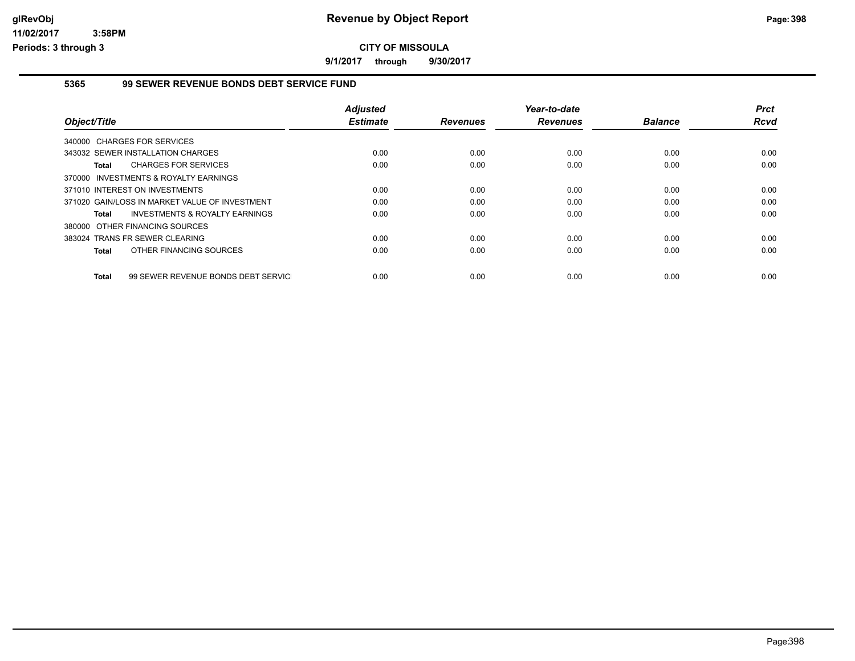**9/1/2017 through 9/30/2017**

### **5365 99 SEWER REVENUE BONDS DEBT SERVICE FUND**

| Object/Title                                       | <b>Adjusted</b><br><b>Estimate</b> | <b>Revenues</b> | Year-to-date<br><b>Revenues</b> | <b>Balance</b> | <b>Prct</b><br>Rcvd |
|----------------------------------------------------|------------------------------------|-----------------|---------------------------------|----------------|---------------------|
| 340000 CHARGES FOR SERVICES                        |                                    |                 |                                 |                |                     |
| 343032 SEWER INSTALLATION CHARGES                  | 0.00                               | 0.00            | 0.00                            | 0.00           | 0.00                |
| <b>CHARGES FOR SERVICES</b><br>Total               | 0.00                               | 0.00            | 0.00                            | 0.00           | 0.00                |
| 370000 INVESTMENTS & ROYALTY EARNINGS              |                                    |                 |                                 |                |                     |
| 371010 INTEREST ON INVESTMENTS                     | 0.00                               | 0.00            | 0.00                            | 0.00           | 0.00                |
| 371020 GAIN/LOSS IN MARKET VALUE OF INVESTMENT     | 0.00                               | 0.00            | 0.00                            | 0.00           | 0.00                |
| <b>INVESTMENTS &amp; ROYALTY EARNINGS</b><br>Total | 0.00                               | 0.00            | 0.00                            | 0.00           | 0.00                |
| 380000 OTHER FINANCING SOURCES                     |                                    |                 |                                 |                |                     |
| 383024 TRANS FR SEWER CLEARING                     | 0.00                               | 0.00            | 0.00                            | 0.00           | 0.00                |
| OTHER FINANCING SOURCES<br>Total                   | 0.00                               | 0.00            | 0.00                            | 0.00           | 0.00                |
| 99 SEWER REVENUE BONDS DEBT SERVIC<br>Total        | 0.00                               | 0.00            | 0.00                            | 0.00           | 0.00                |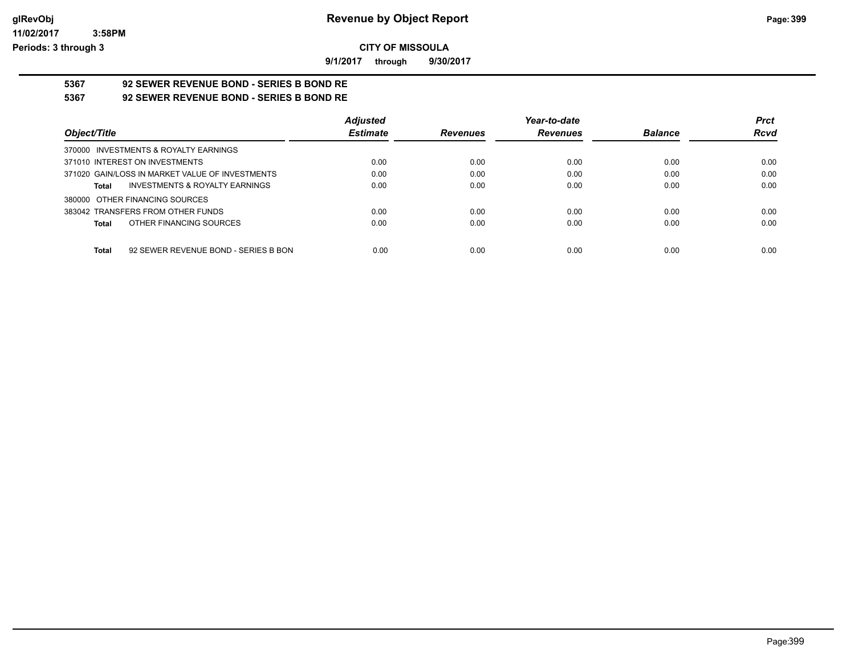**11/02/2017 3:58PM Periods: 3 through 3**

**CITY OF MISSOULA**

**9/1/2017 through 9/30/2017**

# **5367 92 SEWER REVENUE BOND - SERIES B BOND RE**

**5367 92 SEWER REVENUE BOND - SERIES B BOND RE**

|                                                    | <b>Adjusted</b> |                 | Year-to-date    |                | <b>Prct</b> |
|----------------------------------------------------|-----------------|-----------------|-----------------|----------------|-------------|
| Object/Title                                       | <b>Estimate</b> | <b>Revenues</b> | <b>Revenues</b> | <b>Balance</b> | <b>Rcvd</b> |
| 370000 INVESTMENTS & ROYALTY EARNINGS              |                 |                 |                 |                |             |
| 371010 INTEREST ON INVESTMENTS                     | 0.00            | 0.00            | 0.00            | 0.00           | 0.00        |
| 371020 GAIN/LOSS IN MARKET VALUE OF INVESTMENTS    | 0.00            | 0.00            | 0.00            | 0.00           | 0.00        |
| <b>INVESTMENTS &amp; ROYALTY EARNINGS</b><br>Total | 0.00            | 0.00            | 0.00            | 0.00           | 0.00        |
| 380000 OTHER FINANCING SOURCES                     |                 |                 |                 |                |             |
| 383042 TRANSFERS FROM OTHER FUNDS                  | 0.00            | 0.00            | 0.00            | 0.00           | 0.00        |
| OTHER FINANCING SOURCES<br>Total                   | 0.00            | 0.00            | 0.00            | 0.00           | 0.00        |
|                                                    |                 |                 |                 |                |             |
| 92 SEWER REVENUE BOND - SERIES B BON<br>Total      | 0.00            | 0.00            | 0.00            | 0.00           | 0.00        |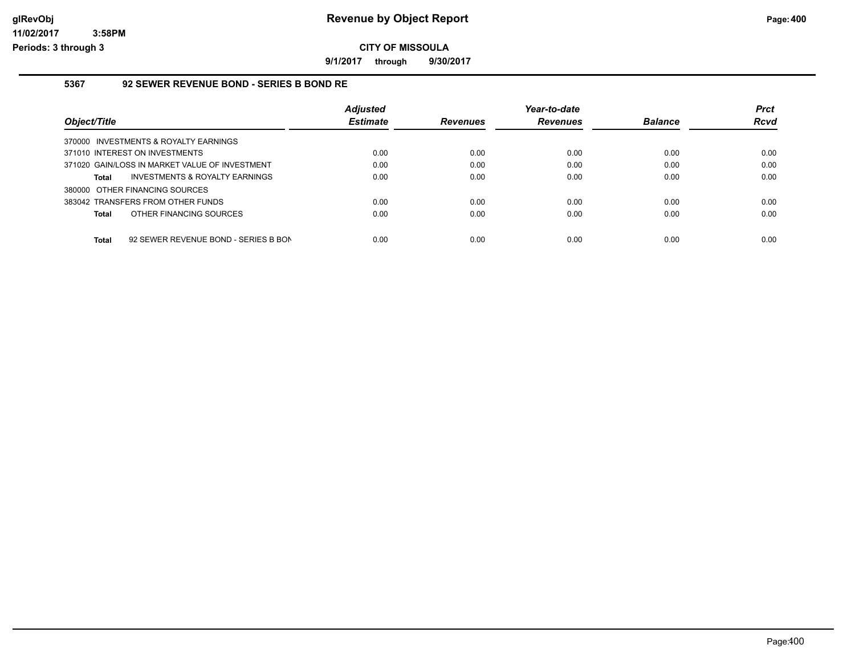**9/1/2017 through 9/30/2017**

## **5367 92 SEWER REVENUE BOND - SERIES B BOND RE**

| Object/Title                                       | <b>Adjusted</b><br><b>Estimate</b> | <b>Revenues</b> | Year-to-date<br><b>Revenues</b> | <b>Balance</b> | <b>Prct</b><br><b>Rcvd</b> |
|----------------------------------------------------|------------------------------------|-----------------|---------------------------------|----------------|----------------------------|
| 370000 INVESTMENTS & ROYALTY EARNINGS              |                                    |                 |                                 |                |                            |
| 371010 INTEREST ON INVESTMENTS                     | 0.00                               | 0.00            | 0.00                            | 0.00           | 0.00                       |
| 371020 GAIN/LOSS IN MARKET VALUE OF INVESTMENT     | 0.00                               | 0.00            | 0.00                            | 0.00           | 0.00                       |
| <b>INVESTMENTS &amp; ROYALTY EARNINGS</b><br>Total | 0.00                               | 0.00            | 0.00                            | 0.00           | 0.00                       |
| 380000 OTHER FINANCING SOURCES                     |                                    |                 |                                 |                |                            |
| 383042 TRANSFERS FROM OTHER FUNDS                  | 0.00                               | 0.00            | 0.00                            | 0.00           | 0.00                       |
| OTHER FINANCING SOURCES<br>Total                   | 0.00                               | 0.00            | 0.00                            | 0.00           | 0.00                       |
|                                                    |                                    |                 |                                 |                |                            |
| Total<br>92 SEWER REVENUE BOND - SERIES B BON      | 0.00                               | 0.00            | 0.00                            | 0.00           | 0.00                       |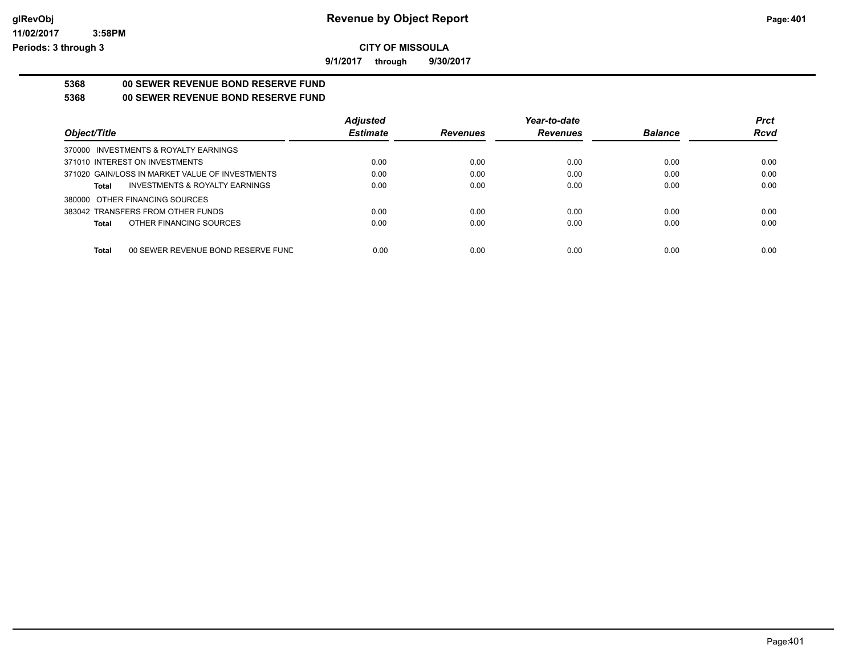#### **CITY OF MISSOULA**

**9/1/2017 through 9/30/2017**

# **5368 00 SEWER REVENUE BOND RESERVE FUND**

## **5368 00 SEWER REVENUE BOND RESERVE FUND**

|                                                    | <b>Adjusted</b> |                 | Year-to-date    |                | <b>Prct</b> |
|----------------------------------------------------|-----------------|-----------------|-----------------|----------------|-------------|
| Object/Title                                       | <b>Estimate</b> | <b>Revenues</b> | <b>Revenues</b> | <b>Balance</b> | <b>Rcvd</b> |
| 370000 INVESTMENTS & ROYALTY EARNINGS              |                 |                 |                 |                |             |
| 371010 INTEREST ON INVESTMENTS                     | 0.00            | 0.00            | 0.00            | 0.00           | 0.00        |
| 371020 GAIN/LOSS IN MARKET VALUE OF INVESTMENTS    | 0.00            | 0.00            | 0.00            | 0.00           | 0.00        |
| <b>INVESTMENTS &amp; ROYALTY EARNINGS</b><br>Total | 0.00            | 0.00            | 0.00            | 0.00           | 0.00        |
| 380000 OTHER FINANCING SOURCES                     |                 |                 |                 |                |             |
| 383042 TRANSFERS FROM OTHER FUNDS                  | 0.00            | 0.00            | 0.00            | 0.00           | 0.00        |
| OTHER FINANCING SOURCES<br>Total                   | 0.00            | 0.00            | 0.00            | 0.00           | 0.00        |
|                                                    |                 |                 |                 |                |             |
| <b>Total</b><br>00 SEWER REVENUE BOND RESERVE FUND | 0.00            | 0.00            | 0.00            | 0.00           | 0.00        |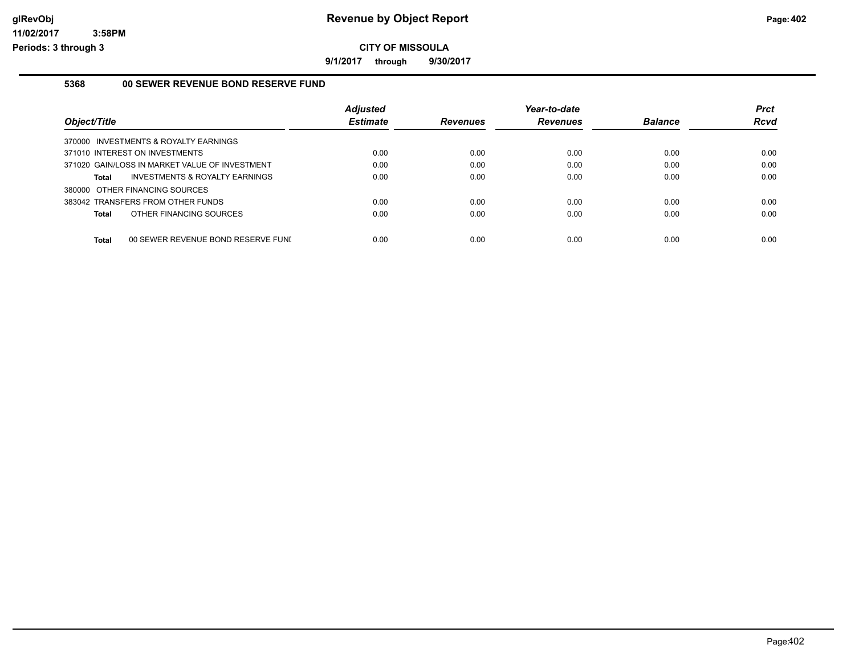**3:58PM**

**CITY OF MISSOULA**

**9/1/2017 through 9/30/2017**

## **5368 00 SEWER REVENUE BOND RESERVE FUND**

| Object/Title                                       | <b>Adjusted</b><br><b>Estimate</b> | <b>Revenues</b> | Year-to-date<br><b>Revenues</b> | <b>Balance</b> | <b>Prct</b><br><b>Rcvd</b> |
|----------------------------------------------------|------------------------------------|-----------------|---------------------------------|----------------|----------------------------|
| 370000 INVESTMENTS & ROYALTY EARNINGS              |                                    |                 |                                 |                |                            |
| 371010 INTEREST ON INVESTMENTS                     | 0.00                               | 0.00            | 0.00                            | 0.00           | 0.00                       |
| 371020 GAIN/LOSS IN MARKET VALUE OF INVESTMENT     | 0.00                               | 0.00            | 0.00                            | 0.00           | 0.00                       |
| INVESTMENTS & ROYALTY EARNINGS<br><b>Total</b>     | 0.00                               | 0.00            | 0.00                            | 0.00           | 0.00                       |
| 380000 OTHER FINANCING SOURCES                     |                                    |                 |                                 |                |                            |
| 383042 TRANSFERS FROM OTHER FUNDS                  | 0.00                               | 0.00            | 0.00                            | 0.00           | 0.00                       |
| OTHER FINANCING SOURCES<br><b>Total</b>            | 0.00                               | 0.00            | 0.00                            | 0.00           | 0.00                       |
|                                                    |                                    |                 |                                 |                |                            |
| <b>Total</b><br>00 SEWER REVENUE BOND RESERVE FUNI | 0.00                               | 0.00            | 0.00                            | 0.00           | 0.00                       |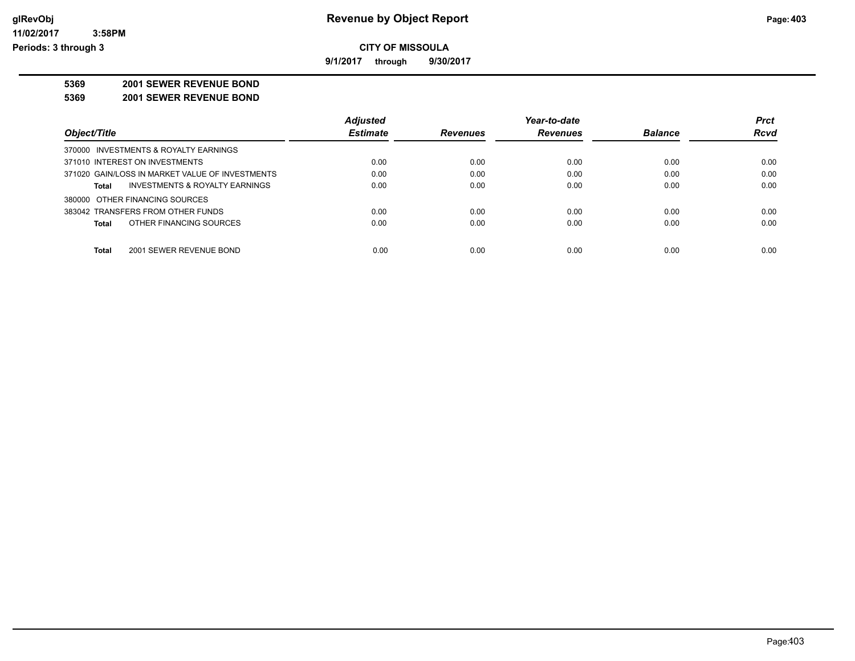**9/1/2017 through 9/30/2017**

### **5369 2001 SEWER REVENUE BOND**

**5369 2001 SEWER REVENUE BOND**

|                                                    | <b>Adjusted</b> |                 | Year-to-date    |                | <b>Prct</b> |
|----------------------------------------------------|-----------------|-----------------|-----------------|----------------|-------------|
| Object/Title                                       | <b>Estimate</b> | <b>Revenues</b> | <b>Revenues</b> | <b>Balance</b> | <b>Rcvd</b> |
| 370000 INVESTMENTS & ROYALTY EARNINGS              |                 |                 |                 |                |             |
| 371010 INTEREST ON INVESTMENTS                     | 0.00            | 0.00            | 0.00            | 0.00           | 0.00        |
| 371020 GAIN/LOSS IN MARKET VALUE OF INVESTMENTS    | 0.00            | 0.00            | 0.00            | 0.00           | 0.00        |
| <b>INVESTMENTS &amp; ROYALTY EARNINGS</b><br>Total | 0.00            | 0.00            | 0.00            | 0.00           | 0.00        |
| 380000 OTHER FINANCING SOURCES                     |                 |                 |                 |                |             |
| 383042 TRANSFERS FROM OTHER FUNDS                  | 0.00            | 0.00            | 0.00            | 0.00           | 0.00        |
| OTHER FINANCING SOURCES<br>Total                   | 0.00            | 0.00            | 0.00            | 0.00           | 0.00        |
|                                                    |                 |                 |                 |                |             |
| Total<br>2001 SEWER REVENUE BOND                   | 0.00            | 0.00            | 0.00            | 0.00           | 0.00        |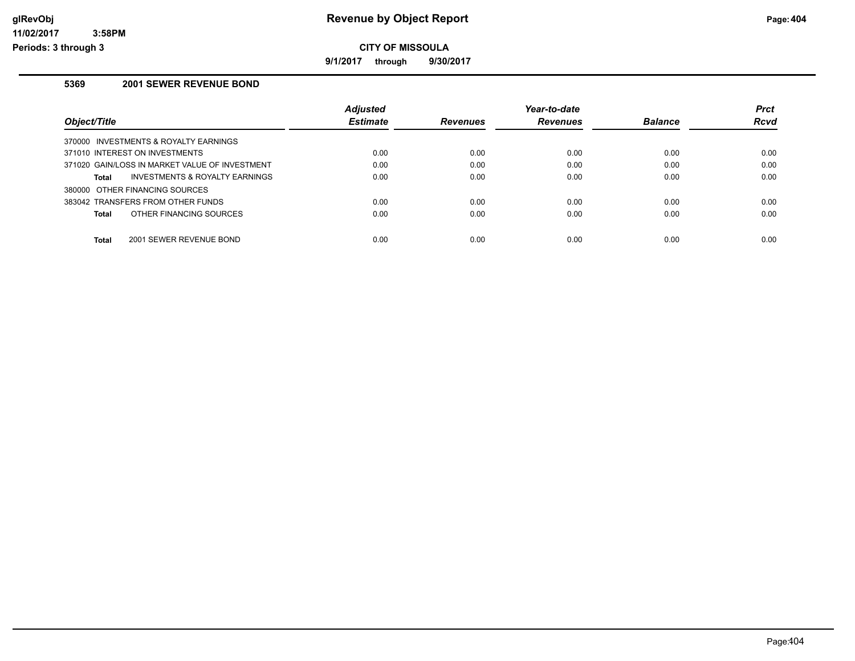**CITY OF MISSOULA**

**9/1/2017 through 9/30/2017**

## **5369 2001 SEWER REVENUE BOND**

 **3:58PM**

|                                                | <b>Adjusted</b> |                 | Year-to-date    |                | <b>Prct</b> |
|------------------------------------------------|-----------------|-----------------|-----------------|----------------|-------------|
| Object/Title                                   | <b>Estimate</b> | <b>Revenues</b> | <b>Revenues</b> | <b>Balance</b> | <b>Rcvd</b> |
| 370000 INVESTMENTS & ROYALTY EARNINGS          |                 |                 |                 |                |             |
| 371010 INTEREST ON INVESTMENTS                 | 0.00            | 0.00            | 0.00            | 0.00           | 0.00        |
| 371020 GAIN/LOSS IN MARKET VALUE OF INVESTMENT | 0.00            | 0.00            | 0.00            | 0.00           | 0.00        |
| INVESTMENTS & ROYALTY EARNINGS<br>Total        | 0.00            | 0.00            | 0.00            | 0.00           | 0.00        |
| 380000 OTHER FINANCING SOURCES                 |                 |                 |                 |                |             |
| 383042 TRANSFERS FROM OTHER FUNDS              | 0.00            | 0.00            | 0.00            | 0.00           | 0.00        |
| OTHER FINANCING SOURCES<br>Total               | 0.00            | 0.00            | 0.00            | 0.00           | 0.00        |
| <b>Total</b><br>2001 SEWER REVENUE BOND        | 0.00            | 0.00            | 0.00            | 0.00           | 0.00        |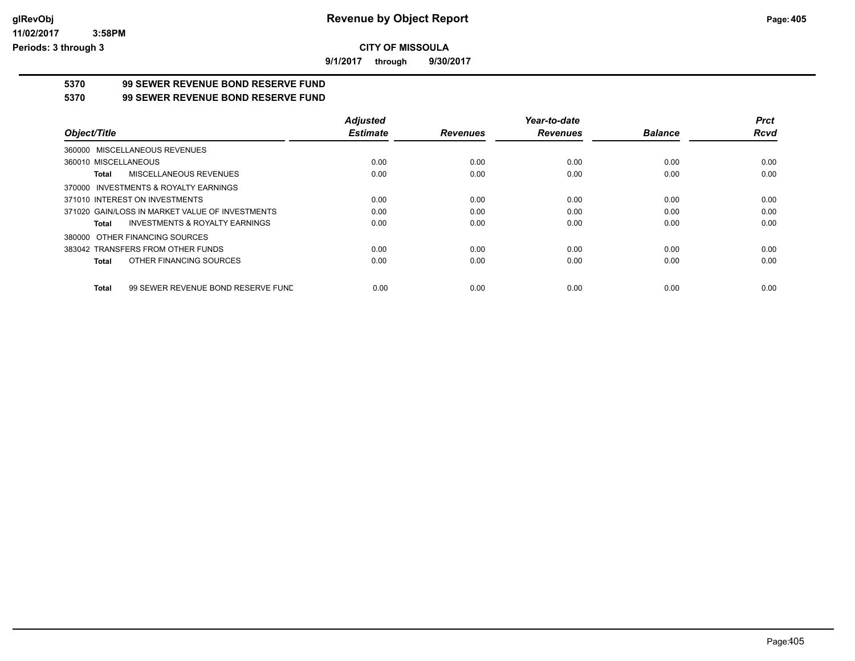**3:58PM**

**glRevObj Revenue by Object Report Page:405** 

**CITY OF MISSOULA**

**9/1/2017 through 9/30/2017**

## **5370 99 SEWER REVENUE BOND RESERVE FUND**

## **5370 99 SEWER REVENUE BOND RESERVE FUND**

|                                                    | <b>Adjusted</b> |                 | Year-to-date    |                | <b>Prct</b> |
|----------------------------------------------------|-----------------|-----------------|-----------------|----------------|-------------|
| Object/Title                                       | <b>Estimate</b> | <b>Revenues</b> | <b>Revenues</b> | <b>Balance</b> | <b>Rcvd</b> |
| 360000 MISCELLANEOUS REVENUES                      |                 |                 |                 |                |             |
| 360010 MISCELLANEOUS                               | 0.00            | 0.00            | 0.00            | 0.00           | 0.00        |
| MISCELLANEOUS REVENUES<br>Total                    | 0.00            | 0.00            | 0.00            | 0.00           | 0.00        |
| 370000 INVESTMENTS & ROYALTY EARNINGS              |                 |                 |                 |                |             |
| 371010 INTEREST ON INVESTMENTS                     | 0.00            | 0.00            | 0.00            | 0.00           | 0.00        |
| 371020 GAIN/LOSS IN MARKET VALUE OF INVESTMENTS    | 0.00            | 0.00            | 0.00            | 0.00           | 0.00        |
| <b>INVESTMENTS &amp; ROYALTY EARNINGS</b><br>Total | 0.00            | 0.00            | 0.00            | 0.00           | 0.00        |
| 380000 OTHER FINANCING SOURCES                     |                 |                 |                 |                |             |
| 383042 TRANSFERS FROM OTHER FUNDS                  | 0.00            | 0.00            | 0.00            | 0.00           | 0.00        |
| OTHER FINANCING SOURCES<br>Total                   | 0.00            | 0.00            | 0.00            | 0.00           | 0.00        |
| 99 SEWER REVENUE BOND RESERVE FUND<br>Total        | 0.00            | 0.00            | 0.00            | 0.00           | 0.00        |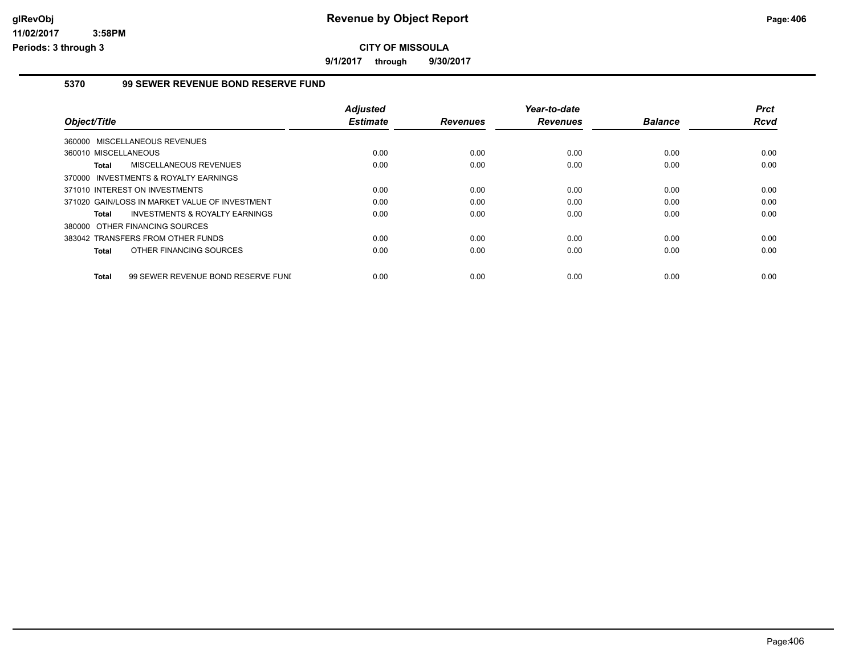**9/1/2017 through 9/30/2017**

## **5370 99 SEWER REVENUE BOND RESERVE FUND**

|                                                    | <b>Adjusted</b> |                 | Year-to-date    |                | <b>Prct</b> |
|----------------------------------------------------|-----------------|-----------------|-----------------|----------------|-------------|
| Object/Title                                       | <b>Estimate</b> | <b>Revenues</b> | <b>Revenues</b> | <b>Balance</b> | <b>Rcvd</b> |
| 360000 MISCELLANEOUS REVENUES                      |                 |                 |                 |                |             |
| 360010 MISCELLANEOUS                               | 0.00            | 0.00            | 0.00            | 0.00           | 0.00        |
| MISCELLANEOUS REVENUES<br><b>Total</b>             | 0.00            | 0.00            | 0.00            | 0.00           | 0.00        |
| 370000 INVESTMENTS & ROYALTY EARNINGS              |                 |                 |                 |                |             |
| 371010 INTEREST ON INVESTMENTS                     | 0.00            | 0.00            | 0.00            | 0.00           | 0.00        |
| 371020 GAIN/LOSS IN MARKET VALUE OF INVESTMENT     | 0.00            | 0.00            | 0.00            | 0.00           | 0.00        |
| <b>INVESTMENTS &amp; ROYALTY EARNINGS</b><br>Total | 0.00            | 0.00            | 0.00            | 0.00           | 0.00        |
| 380000 OTHER FINANCING SOURCES                     |                 |                 |                 |                |             |
| 383042 TRANSFERS FROM OTHER FUNDS                  | 0.00            | 0.00            | 0.00            | 0.00           | 0.00        |
| OTHER FINANCING SOURCES<br><b>Total</b>            | 0.00            | 0.00            | 0.00            | 0.00           | 0.00        |
| <b>Total</b><br>99 SEWER REVENUE BOND RESERVE FUNI | 0.00            | 0.00            | 0.00            | 0.00           | 0.00        |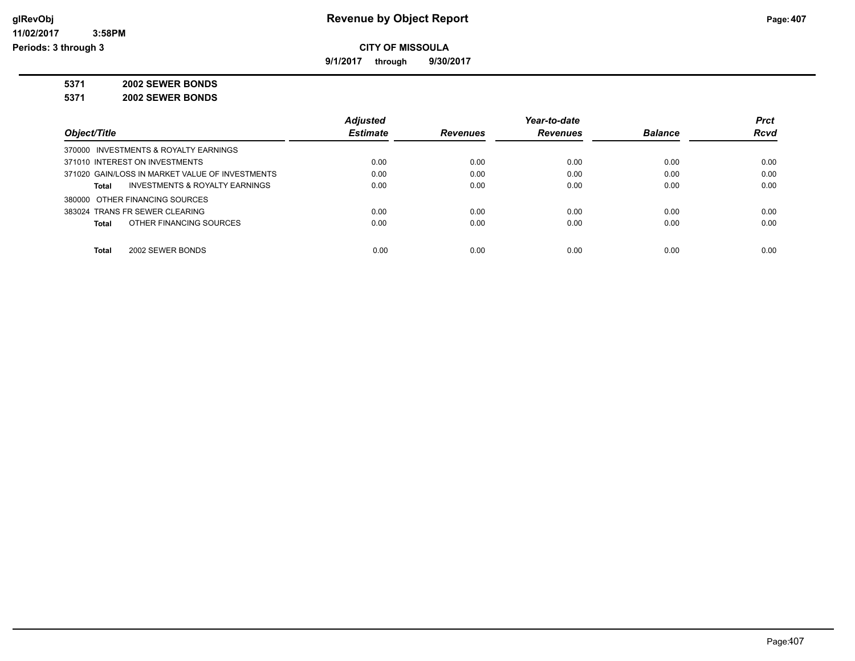**9/1/2017 through 9/30/2017**

**5371 2002 SEWER BONDS**

**5371 2002 SEWER BONDS**

|                                                 | <b>Adjusted</b> |                 | Year-to-date    |                | <b>Prct</b> |
|-------------------------------------------------|-----------------|-----------------|-----------------|----------------|-------------|
| Object/Title                                    | <b>Estimate</b> | <b>Revenues</b> | <b>Revenues</b> | <b>Balance</b> | <b>Rcvd</b> |
| 370000 INVESTMENTS & ROYALTY EARNINGS           |                 |                 |                 |                |             |
| 371010 INTEREST ON INVESTMENTS                  | 0.00            | 0.00            | 0.00            | 0.00           | 0.00        |
| 371020 GAIN/LOSS IN MARKET VALUE OF INVESTMENTS | 0.00            | 0.00            | 0.00            | 0.00           | 0.00        |
| INVESTMENTS & ROYALTY EARNINGS<br>Total         | 0.00            | 0.00            | 0.00            | 0.00           | 0.00        |
| 380000 OTHER FINANCING SOURCES                  |                 |                 |                 |                |             |
| 383024 TRANS FR SEWER CLEARING                  | 0.00            | 0.00            | 0.00            | 0.00           | 0.00        |
| OTHER FINANCING SOURCES<br>Total                | 0.00            | 0.00            | 0.00            | 0.00           | 0.00        |
|                                                 |                 |                 |                 |                |             |
| 2002 SEWER BONDS<br>Total                       | 0.00            | 0.00            | 0.00            | 0.00           | 0.00        |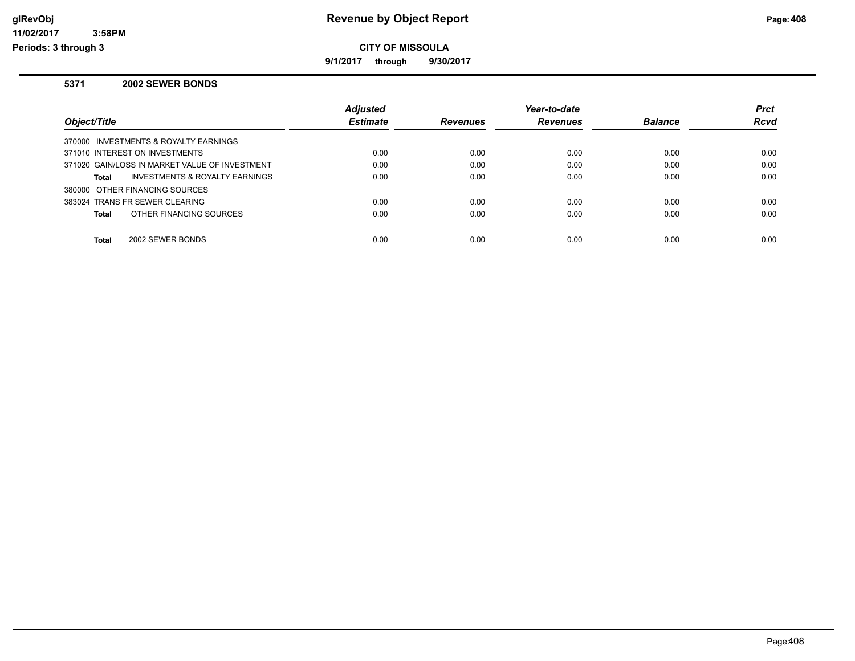**CITY OF MISSOULA**

**9/1/2017 through 9/30/2017**

#### **5371 2002 SEWER BONDS**

 **3:58PM**

|                                                | <b>Adjusted</b> |                 | Year-to-date    |                | <b>Prct</b> |
|------------------------------------------------|-----------------|-----------------|-----------------|----------------|-------------|
| Object/Title                                   | <b>Estimate</b> | <b>Revenues</b> | <b>Revenues</b> | <b>Balance</b> | <b>Rcvd</b> |
| INVESTMENTS & ROYALTY EARNINGS<br>370000       |                 |                 |                 |                |             |
| 371010 INTEREST ON INVESTMENTS                 | 0.00            | 0.00            | 0.00            | 0.00           | 0.00        |
| 371020 GAIN/LOSS IN MARKET VALUE OF INVESTMENT | 0.00            | 0.00            | 0.00            | 0.00           | 0.00        |
| INVESTMENTS & ROYALTY EARNINGS<br><b>Total</b> | 0.00            | 0.00            | 0.00            | 0.00           | 0.00        |
| 380000 OTHER FINANCING SOURCES                 |                 |                 |                 |                |             |
| 383024 TRANS FR SEWER CLEARING                 | 0.00            | 0.00            | 0.00            | 0.00           | 0.00        |
| OTHER FINANCING SOURCES<br>Total               | 0.00            | 0.00            | 0.00            | 0.00           | 0.00        |
| Total<br>2002 SEWER BONDS                      | 0.00            | 0.00            | 0.00            | 0.00           | 0.00        |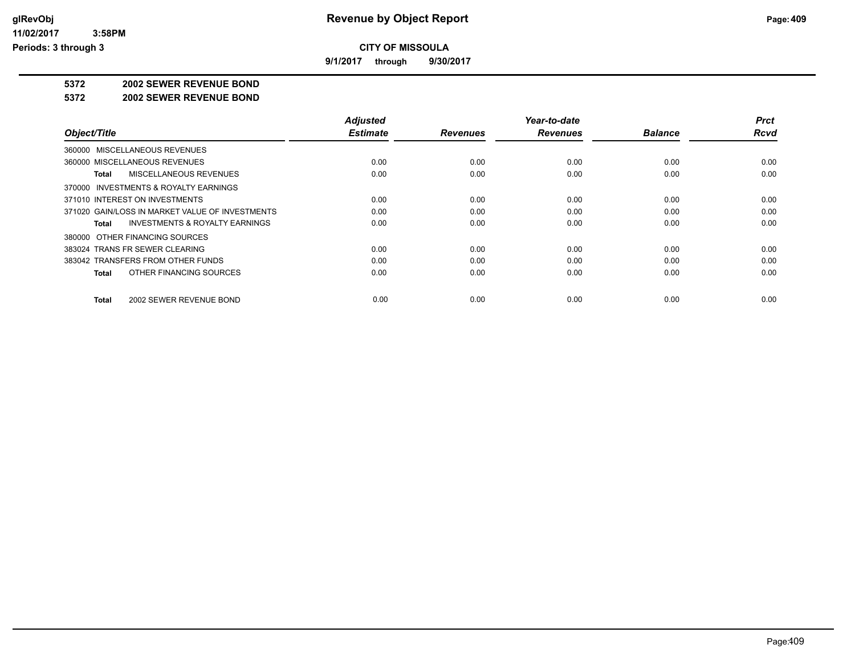**9/1/2017 through 9/30/2017**

#### **5372 2002 SEWER REVENUE BOND**

## **5372 2002 SEWER REVENUE BOND**

|                                                    | <b>Adjusted</b> |                 | Year-to-date    |                | <b>Prct</b> |
|----------------------------------------------------|-----------------|-----------------|-----------------|----------------|-------------|
| Object/Title                                       | <b>Estimate</b> | <b>Revenues</b> | <b>Revenues</b> | <b>Balance</b> | <b>Rcvd</b> |
| 360000 MISCELLANEOUS REVENUES                      |                 |                 |                 |                |             |
| 360000 MISCELLANEOUS REVENUES                      | 0.00            | 0.00            | 0.00            | 0.00           | 0.00        |
| <b>MISCELLANEOUS REVENUES</b><br>Total             | 0.00            | 0.00            | 0.00            | 0.00           | 0.00        |
| 370000 INVESTMENTS & ROYALTY EARNINGS              |                 |                 |                 |                |             |
| 371010 INTEREST ON INVESTMENTS                     | 0.00            | 0.00            | 0.00            | 0.00           | 0.00        |
| 371020 GAIN/LOSS IN MARKET VALUE OF INVESTMENTS    | 0.00            | 0.00            | 0.00            | 0.00           | 0.00        |
| <b>INVESTMENTS &amp; ROYALTY EARNINGS</b><br>Total | 0.00            | 0.00            | 0.00            | 0.00           | 0.00        |
| 380000 OTHER FINANCING SOURCES                     |                 |                 |                 |                |             |
| 383024 TRANS FR SEWER CLEARING                     | 0.00            | 0.00            | 0.00            | 0.00           | 0.00        |
| 383042 TRANSFERS FROM OTHER FUNDS                  | 0.00            | 0.00            | 0.00            | 0.00           | 0.00        |
| OTHER FINANCING SOURCES<br>Total                   | 0.00            | 0.00            | 0.00            | 0.00           | 0.00        |
| 2002 SEWER REVENUE BOND<br>Total                   | 0.00            | 0.00            | 0.00            | 0.00           | 0.00        |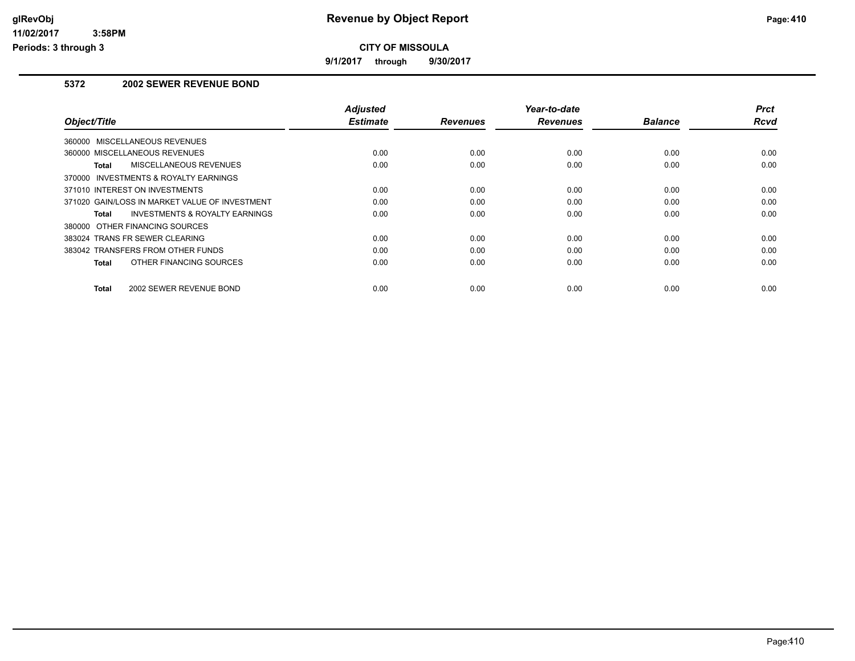**3:58PM**

**CITY OF MISSOULA**

**9/1/2017 through 9/30/2017**

## **5372 2002 SEWER REVENUE BOND**

| Object/Title                                   | <b>Adjusted</b><br><b>Estimate</b> | <b>Revenues</b> | Year-to-date<br><b>Revenues</b> | <b>Balance</b> | <b>Prct</b><br><b>Rcvd</b> |
|------------------------------------------------|------------------------------------|-----------------|---------------------------------|----------------|----------------------------|
|                                                |                                    |                 |                                 |                |                            |
| 360000 MISCELLANEOUS REVENUES                  |                                    |                 |                                 |                |                            |
| 360000 MISCELLANEOUS REVENUES                  | 0.00                               | 0.00            | 0.00                            | 0.00           | 0.00                       |
| MISCELLANEOUS REVENUES<br><b>Total</b>         | 0.00                               | 0.00            | 0.00                            | 0.00           | 0.00                       |
| 370000 INVESTMENTS & ROYALTY EARNINGS          |                                    |                 |                                 |                |                            |
| 371010 INTEREST ON INVESTMENTS                 | 0.00                               | 0.00            | 0.00                            | 0.00           | 0.00                       |
| 371020 GAIN/LOSS IN MARKET VALUE OF INVESTMENT | 0.00                               | 0.00            | 0.00                            | 0.00           | 0.00                       |
| INVESTMENTS & ROYALTY EARNINGS<br>Total        | 0.00                               | 0.00            | 0.00                            | 0.00           | 0.00                       |
| 380000 OTHER FINANCING SOURCES                 |                                    |                 |                                 |                |                            |
| 383024 TRANS FR SEWER CLEARING                 | 0.00                               | 0.00            | 0.00                            | 0.00           | 0.00                       |
| 383042 TRANSFERS FROM OTHER FUNDS              | 0.00                               | 0.00            | 0.00                            | 0.00           | 0.00                       |
| OTHER FINANCING SOURCES<br><b>Total</b>        | 0.00                               | 0.00            | 0.00                            | 0.00           | 0.00                       |
| 2002 SEWER REVENUE BOND<br><b>Total</b>        | 0.00                               | 0.00            | 0.00                            | 0.00           | 0.00                       |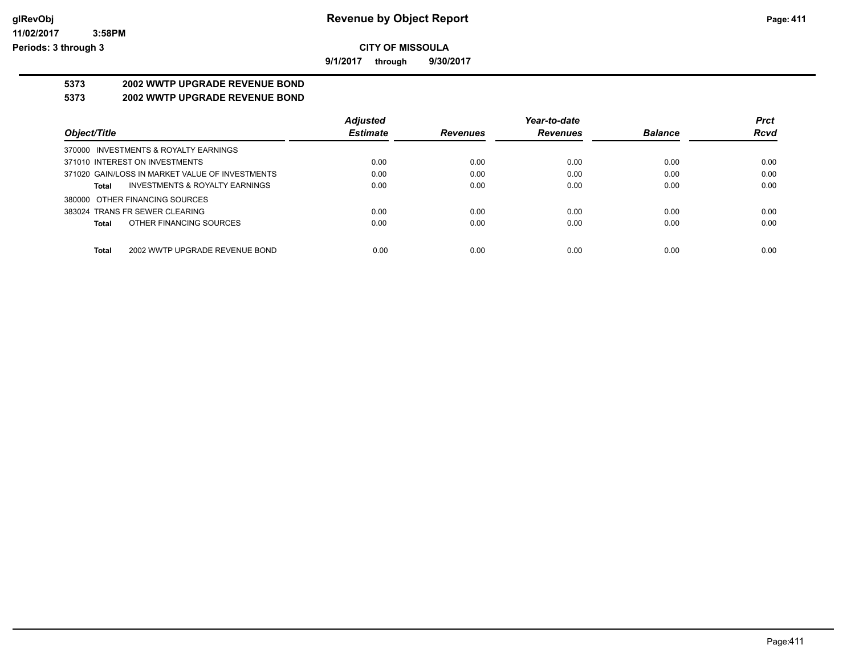**3:58PM**

**CITY OF MISSOULA**

**9/1/2017 through 9/30/2017**

# **5373 2002 WWTP UPGRADE REVENUE BOND**

## **5373 2002 WWTP UPGRADE REVENUE BOND**

|                                                 | <b>Adjusted</b> |                 | Year-to-date    |                | <b>Prct</b> |
|-------------------------------------------------|-----------------|-----------------|-----------------|----------------|-------------|
| Object/Title                                    | <b>Estimate</b> | <b>Revenues</b> | <b>Revenues</b> | <b>Balance</b> | <b>Rcvd</b> |
| 370000 INVESTMENTS & ROYALTY EARNINGS           |                 |                 |                 |                |             |
| 371010 INTEREST ON INVESTMENTS                  | 0.00            | 0.00            | 0.00            | 0.00           | 0.00        |
| 371020 GAIN/LOSS IN MARKET VALUE OF INVESTMENTS | 0.00            | 0.00            | 0.00            | 0.00           | 0.00        |
| INVESTMENTS & ROYALTY EARNINGS<br>Total         | 0.00            | 0.00            | 0.00            | 0.00           | 0.00        |
| 380000 OTHER FINANCING SOURCES                  |                 |                 |                 |                |             |
| 383024 TRANS FR SEWER CLEARING                  | 0.00            | 0.00            | 0.00            | 0.00           | 0.00        |
| OTHER FINANCING SOURCES<br>Total                | 0.00            | 0.00            | 0.00            | 0.00           | 0.00        |
|                                                 |                 |                 |                 |                |             |
| Total<br>2002 WWTP UPGRADE REVENUE BOND         | 0.00            | 0.00            | 0.00            | 0.00           | 0.00        |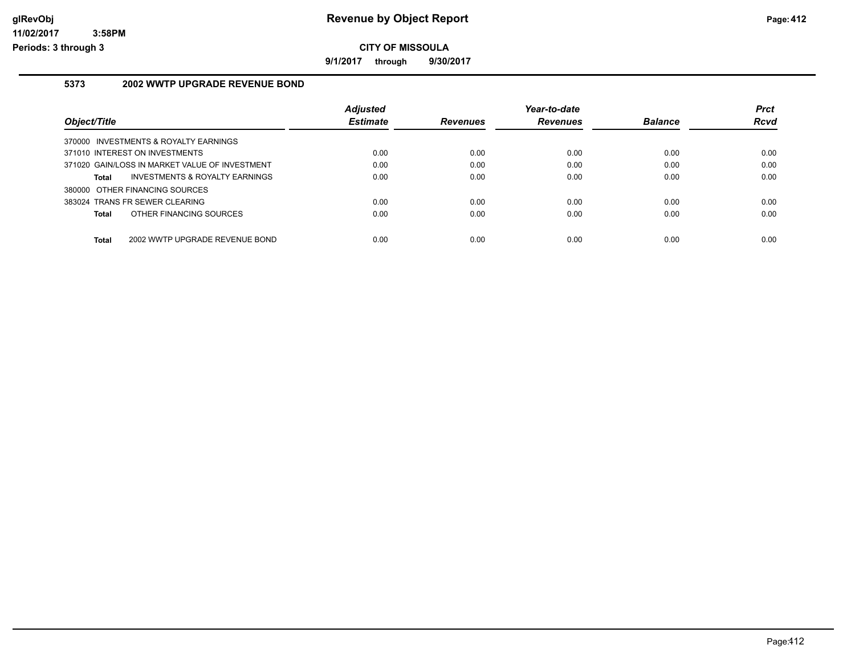**3:58PM**

**CITY OF MISSOULA**

**9/1/2017 through 9/30/2017**

## **5373 2002 WWTP UPGRADE REVENUE BOND**

|                                                | <b>Adjusted</b> |                 | Year-to-date    |                | <b>Prct</b> |
|------------------------------------------------|-----------------|-----------------|-----------------|----------------|-------------|
| Object/Title                                   | <b>Estimate</b> | <b>Revenues</b> | <b>Revenues</b> | <b>Balance</b> | <b>Rcvd</b> |
| 370000 INVESTMENTS & ROYALTY EARNINGS          |                 |                 |                 |                |             |
| 371010 INTEREST ON INVESTMENTS                 | 0.00            | 0.00            | 0.00            | 0.00           | 0.00        |
| 371020 GAIN/LOSS IN MARKET VALUE OF INVESTMENT | 0.00            | 0.00            | 0.00            | 0.00           | 0.00        |
| INVESTMENTS & ROYALTY EARNINGS<br>Total        | 0.00            | 0.00            | 0.00            | 0.00           | 0.00        |
| 380000 OTHER FINANCING SOURCES                 |                 |                 |                 |                |             |
| 383024 TRANS FR SEWER CLEARING                 | 0.00            | 0.00            | 0.00            | 0.00           | 0.00        |
| OTHER FINANCING SOURCES<br>Total               | 0.00            | 0.00            | 0.00            | 0.00           | 0.00        |
|                                                |                 |                 |                 |                |             |
| Total<br>2002 WWTP UPGRADE REVENUE BOND        | 0.00            | 0.00            | 0.00            | 0.00           | 0.00        |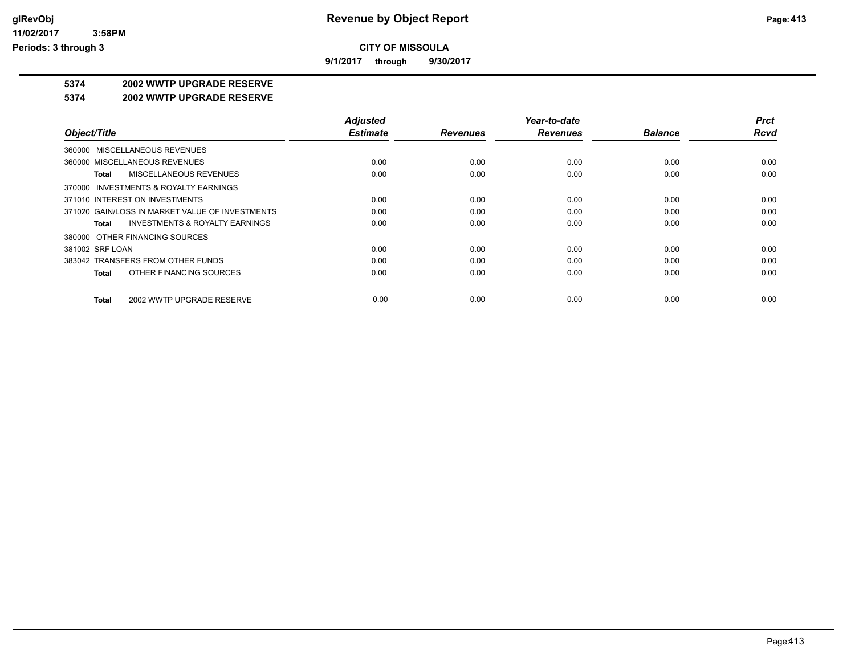**CITY OF MISSOULA**

**9/1/2017 through 9/30/2017**

**5374 2002 WWTP UPGRADE RESERVE**

 **3:58PM**

#### **5374 2002 WWTP UPGRADE RESERVE**

| Object/Title                                       | <b>Adjusted</b><br><b>Estimate</b> | <b>Revenues</b> | Year-to-date<br><b>Revenues</b> | <b>Balance</b> | <b>Prct</b><br><b>Rcvd</b> |
|----------------------------------------------------|------------------------------------|-----------------|---------------------------------|----------------|----------------------------|
|                                                    |                                    |                 |                                 |                |                            |
| 360000 MISCELLANEOUS REVENUES                      |                                    |                 |                                 |                |                            |
| 360000 MISCELLANEOUS REVENUES                      | 0.00                               | 0.00            | 0.00                            | 0.00           | 0.00                       |
| MISCELLANEOUS REVENUES<br>Total                    | 0.00                               | 0.00            | 0.00                            | 0.00           | 0.00                       |
| 370000 INVESTMENTS & ROYALTY EARNINGS              |                                    |                 |                                 |                |                            |
| 371010 INTEREST ON INVESTMENTS                     | 0.00                               | 0.00            | 0.00                            | 0.00           | 0.00                       |
| 371020 GAIN/LOSS IN MARKET VALUE OF INVESTMENTS    | 0.00                               | 0.00            | 0.00                            | 0.00           | 0.00                       |
| <b>INVESTMENTS &amp; ROYALTY EARNINGS</b><br>Total | 0.00                               | 0.00            | 0.00                            | 0.00           | 0.00                       |
| 380000 OTHER FINANCING SOURCES                     |                                    |                 |                                 |                |                            |
| 381002 SRF LOAN                                    | 0.00                               | 0.00            | 0.00                            | 0.00           | 0.00                       |
| 383042 TRANSFERS FROM OTHER FUNDS                  | 0.00                               | 0.00            | 0.00                            | 0.00           | 0.00                       |
| OTHER FINANCING SOURCES<br>Total                   | 0.00                               | 0.00            | 0.00                            | 0.00           | 0.00                       |
| 2002 WWTP UPGRADE RESERVE<br>Total                 | 0.00                               | 0.00            | 0.00                            | 0.00           | 0.00                       |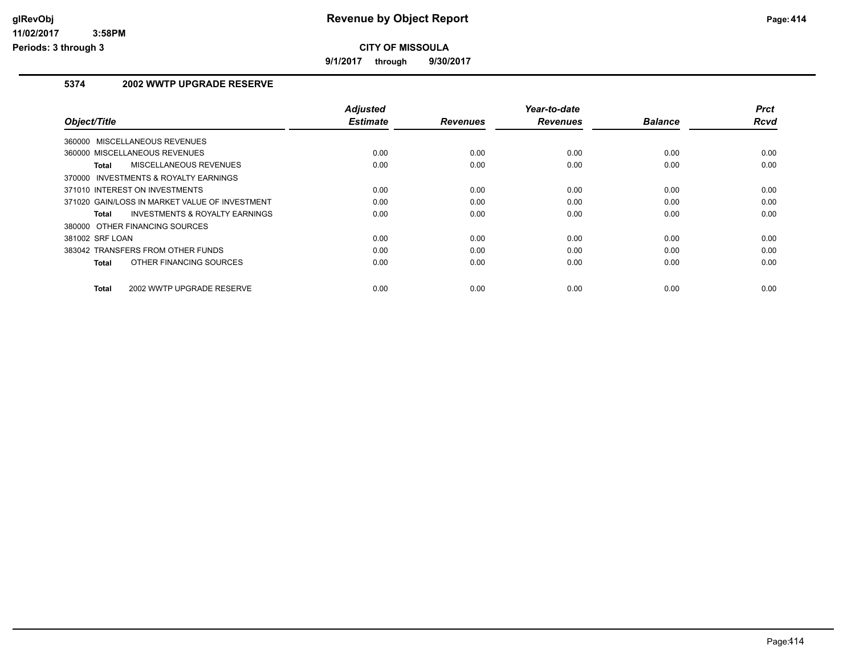**CITY OF MISSOULA**

**9/1/2017 through 9/30/2017**

## **5374 2002 WWTP UPGRADE RESERVE**

 **3:58PM**

| Object/Title                                       | <b>Adjusted</b><br><b>Estimate</b> | <b>Revenues</b> | Year-to-date<br><b>Revenues</b> | <b>Balance</b> | <b>Prct</b><br><b>Rcvd</b> |
|----------------------------------------------------|------------------------------------|-----------------|---------------------------------|----------------|----------------------------|
| 360000 MISCELLANEOUS REVENUES                      |                                    |                 |                                 |                |                            |
| 360000 MISCELLANEOUS REVENUES                      | 0.00                               | 0.00            | 0.00                            | 0.00           | 0.00                       |
| MISCELLANEOUS REVENUES<br><b>Total</b>             | 0.00                               | 0.00            | 0.00                            | 0.00           | 0.00                       |
| 370000 INVESTMENTS & ROYALTY EARNINGS              |                                    |                 |                                 |                |                            |
| 371010 INTEREST ON INVESTMENTS                     | 0.00                               | 0.00            | 0.00                            | 0.00           | 0.00                       |
| 371020 GAIN/LOSS IN MARKET VALUE OF INVESTMENT     | 0.00                               | 0.00            | 0.00                            | 0.00           | 0.00                       |
| <b>INVESTMENTS &amp; ROYALTY EARNINGS</b><br>Total | 0.00                               | 0.00            | 0.00                            | 0.00           | 0.00                       |
| 380000 OTHER FINANCING SOURCES                     |                                    |                 |                                 |                |                            |
| 381002 SRF LOAN                                    | 0.00                               | 0.00            | 0.00                            | 0.00           | 0.00                       |
| 383042 TRANSFERS FROM OTHER FUNDS                  | 0.00                               | 0.00            | 0.00                            | 0.00           | 0.00                       |
| OTHER FINANCING SOURCES<br><b>Total</b>            | 0.00                               | 0.00            | 0.00                            | 0.00           | 0.00                       |
| 2002 WWTP UPGRADE RESERVE<br><b>Total</b>          | 0.00                               | 0.00            | 0.00                            | 0.00           | 0.00                       |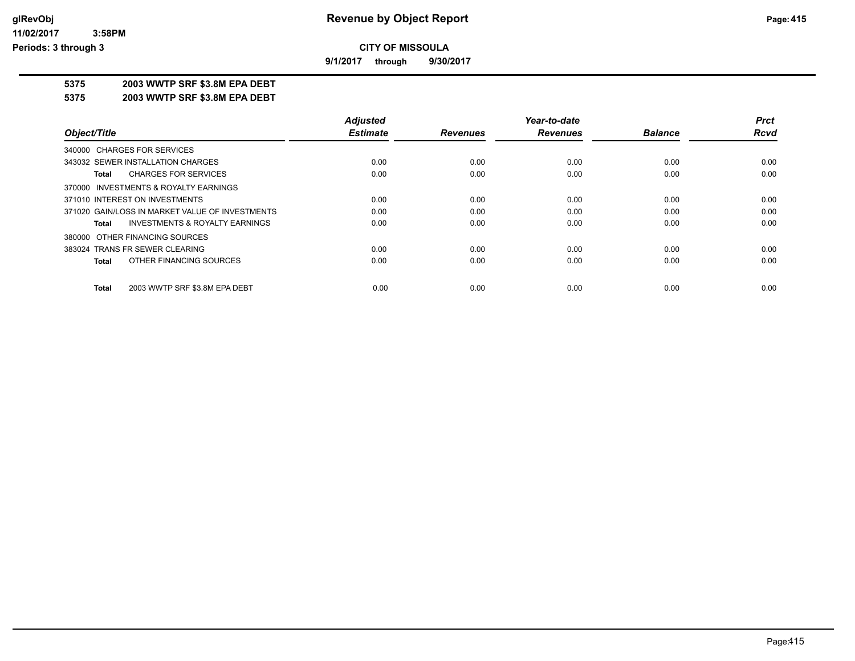**glRevObj Revenue by Object Report Page:415** 

**CITY OF MISSOULA**

**9/1/2017 through 9/30/2017**

**5375 2003 WWTP SRF \$3.8M EPA DEBT**

 **3:58PM**

**5375 2003 WWTP SRF \$3.8M EPA DEBT**

|                                                    | <b>Adjusted</b> |                 | Year-to-date    |                | <b>Prct</b> |
|----------------------------------------------------|-----------------|-----------------|-----------------|----------------|-------------|
| Object/Title                                       | <b>Estimate</b> | <b>Revenues</b> | <b>Revenues</b> | <b>Balance</b> | <b>Rcvd</b> |
| 340000 CHARGES FOR SERVICES                        |                 |                 |                 |                |             |
| 343032 SEWER INSTALLATION CHARGES                  | 0.00            | 0.00            | 0.00            | 0.00           | 0.00        |
| <b>CHARGES FOR SERVICES</b><br>Total               | 0.00            | 0.00            | 0.00            | 0.00           | 0.00        |
| 370000 INVESTMENTS & ROYALTY EARNINGS              |                 |                 |                 |                |             |
| 371010 INTEREST ON INVESTMENTS                     | 0.00            | 0.00            | 0.00            | 0.00           | 0.00        |
| 371020 GAIN/LOSS IN MARKET VALUE OF INVESTMENTS    | 0.00            | 0.00            | 0.00            | 0.00           | 0.00        |
| <b>INVESTMENTS &amp; ROYALTY EARNINGS</b><br>Total | 0.00            | 0.00            | 0.00            | 0.00           | 0.00        |
| 380000 OTHER FINANCING SOURCES                     |                 |                 |                 |                |             |
| 383024 TRANS FR SEWER CLEARING                     | 0.00            | 0.00            | 0.00            | 0.00           | 0.00        |
| OTHER FINANCING SOURCES<br>Total                   | 0.00            | 0.00            | 0.00            | 0.00           | 0.00        |
| 2003 WWTP SRF \$3.8M EPA DEBT<br>Total             | 0.00            | 0.00            | 0.00            | 0.00           | 0.00        |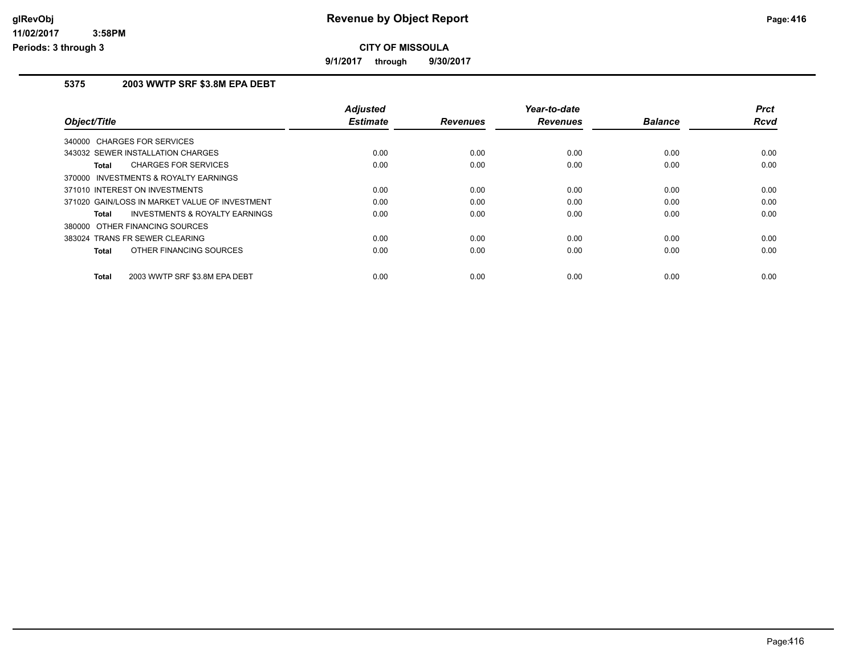**3:58PM**

**CITY OF MISSOULA**

**9/1/2017 through 9/30/2017**

## **5375 2003 WWTP SRF \$3.8M EPA DEBT**

| Object/Title                                       | <b>Adjusted</b><br><b>Estimate</b> | <b>Revenues</b> | Year-to-date<br><b>Revenues</b> | <b>Balance</b> | <b>Prct</b><br>Rcvd |
|----------------------------------------------------|------------------------------------|-----------------|---------------------------------|----------------|---------------------|
| 340000 CHARGES FOR SERVICES                        |                                    |                 |                                 |                |                     |
| 343032 SEWER INSTALLATION CHARGES                  | 0.00                               | 0.00            | 0.00                            | 0.00           | 0.00                |
| <b>CHARGES FOR SERVICES</b><br>Total               | 0.00                               | 0.00            | 0.00                            | 0.00           | 0.00                |
| INVESTMENTS & ROYALTY EARNINGS<br>370000           |                                    |                 |                                 |                |                     |
| 371010 INTEREST ON INVESTMENTS                     | 0.00                               | 0.00            | 0.00                            | 0.00           | 0.00                |
| 371020 GAIN/LOSS IN MARKET VALUE OF INVESTMENT     | 0.00                               | 0.00            | 0.00                            | 0.00           | 0.00                |
| <b>INVESTMENTS &amp; ROYALTY EARNINGS</b><br>Total | 0.00                               | 0.00            | 0.00                            | 0.00           | 0.00                |
| 380000 OTHER FINANCING SOURCES                     |                                    |                 |                                 |                |                     |
| 383024 TRANS FR SEWER CLEARING                     | 0.00                               | 0.00            | 0.00                            | 0.00           | 0.00                |
| OTHER FINANCING SOURCES<br>Total                   | 0.00                               | 0.00            | 0.00                            | 0.00           | 0.00                |
| 2003 WWTP SRF \$3.8M EPA DEBT<br><b>Total</b>      | 0.00                               | 0.00            | 0.00                            | 0.00           | 0.00                |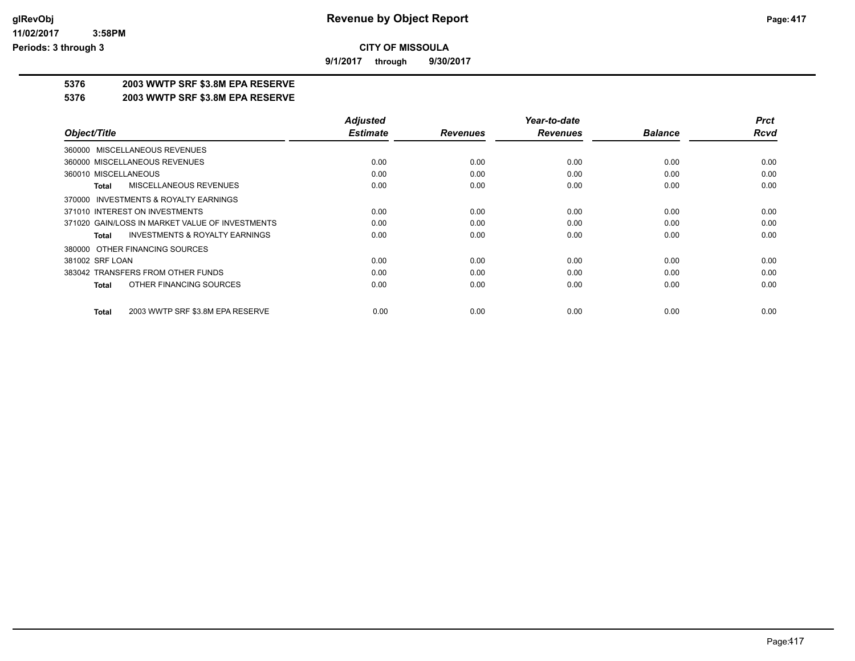**3:58PM**

**CITY OF MISSOULA**

**9/1/2017 through 9/30/2017**

## **5376 2003 WWTP SRF \$3.8M EPA RESERVE**

## **5376 2003 WWTP SRF \$3.8M EPA RESERVE**

|                                                    | <b>Adjusted</b> |                 | Year-to-date    |                | <b>Prct</b> |
|----------------------------------------------------|-----------------|-----------------|-----------------|----------------|-------------|
| Object/Title                                       | <b>Estimate</b> | <b>Revenues</b> | <b>Revenues</b> | <b>Balance</b> | <b>Rcvd</b> |
| MISCELLANEOUS REVENUES<br>360000                   |                 |                 |                 |                |             |
| 360000 MISCELLANEOUS REVENUES                      | 0.00            | 0.00            | 0.00            | 0.00           | 0.00        |
| 360010 MISCELLANEOUS                               | 0.00            | 0.00            | 0.00            | 0.00           | 0.00        |
| MISCELLANEOUS REVENUES<br><b>Total</b>             | 0.00            | 0.00            | 0.00            | 0.00           | 0.00        |
| INVESTMENTS & ROYALTY EARNINGS<br>370000           |                 |                 |                 |                |             |
| 371010 INTEREST ON INVESTMENTS                     | 0.00            | 0.00            | 0.00            | 0.00           | 0.00        |
| 371020 GAIN/LOSS IN MARKET VALUE OF INVESTMENTS    | 0.00            | 0.00            | 0.00            | 0.00           | 0.00        |
| <b>INVESTMENTS &amp; ROYALTY EARNINGS</b><br>Total | 0.00            | 0.00            | 0.00            | 0.00           | 0.00        |
| 380000 OTHER FINANCING SOURCES                     |                 |                 |                 |                |             |
| 381002 SRF LOAN                                    | 0.00            | 0.00            | 0.00            | 0.00           | 0.00        |
| 383042 TRANSFERS FROM OTHER FUNDS                  | 0.00            | 0.00            | 0.00            | 0.00           | 0.00        |
| OTHER FINANCING SOURCES<br><b>Total</b>            | 0.00            | 0.00            | 0.00            | 0.00           | 0.00        |
| 2003 WWTP SRF \$3.8M EPA RESERVE<br>Total          | 0.00            | 0.00            | 0.00            | 0.00           | 0.00        |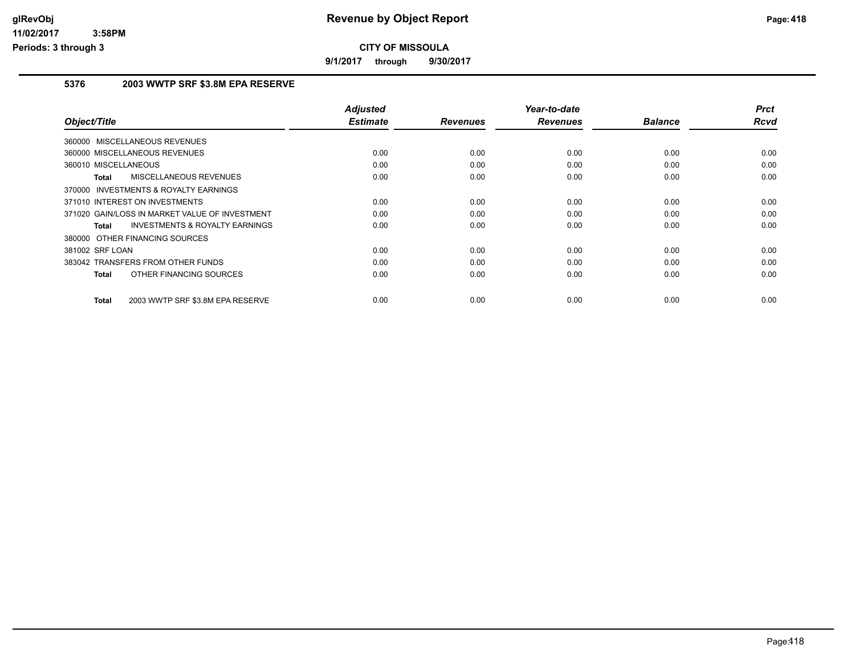**9/1/2017 through 9/30/2017**

## **5376 2003 WWTP SRF \$3.8M EPA RESERVE**

| Object/Title                                              | <b>Adjusted</b><br><b>Estimate</b> | <b>Revenues</b> | Year-to-date<br><b>Revenues</b> | <b>Balance</b> | <b>Prct</b><br>Rcvd |
|-----------------------------------------------------------|------------------------------------|-----------------|---------------------------------|----------------|---------------------|
|                                                           |                                    |                 |                                 |                |                     |
| 360000 MISCELLANEOUS REVENUES                             |                                    |                 |                                 |                |                     |
| 360000 MISCELLANEOUS REVENUES                             | 0.00                               | 0.00            | 0.00                            | 0.00           | 0.00                |
| 360010 MISCELLANEOUS                                      | 0.00                               | 0.00            | 0.00                            | 0.00           | 0.00                |
| <b>MISCELLANEOUS REVENUES</b><br><b>Total</b>             | 0.00                               | 0.00            | 0.00                            | 0.00           | 0.00                |
| INVESTMENTS & ROYALTY EARNINGS<br>370000                  |                                    |                 |                                 |                |                     |
| 371010 INTEREST ON INVESTMENTS                            | 0.00                               | 0.00            | 0.00                            | 0.00           | 0.00                |
| 371020 GAIN/LOSS IN MARKET VALUE OF INVESTMENT            | 0.00                               | 0.00            | 0.00                            | 0.00           | 0.00                |
| <b>INVESTMENTS &amp; ROYALTY EARNINGS</b><br><b>Total</b> | 0.00                               | 0.00            | 0.00                            | 0.00           | 0.00                |
| 380000 OTHER FINANCING SOURCES                            |                                    |                 |                                 |                |                     |
| 381002 SRF LOAN                                           | 0.00                               | 0.00            | 0.00                            | 0.00           | 0.00                |
| 383042 TRANSFERS FROM OTHER FUNDS                         | 0.00                               | 0.00            | 0.00                            | 0.00           | 0.00                |
| OTHER FINANCING SOURCES<br><b>Total</b>                   | 0.00                               | 0.00            | 0.00                            | 0.00           | 0.00                |
|                                                           |                                    |                 |                                 |                |                     |
| 2003 WWTP SRF \$3.8M EPA RESERVE<br><b>Total</b>          | 0.00                               | 0.00            | 0.00                            | 0.00           | 0.00                |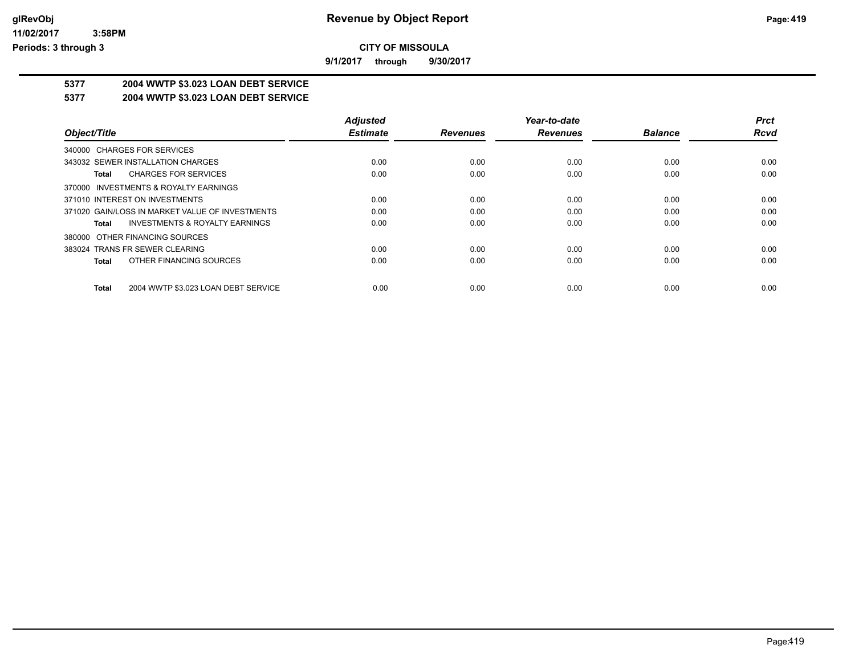**3:58PM**

**CITY OF MISSOULA**

**9/1/2017 through 9/30/2017**

# **5377 2004 WWTP \$3.023 LOAN DEBT SERVICE**

## **5377 2004 WWTP \$3.023 LOAN DEBT SERVICE**

|                                                    | <b>Adjusted</b> |                 | Year-to-date    |                | <b>Prct</b> |
|----------------------------------------------------|-----------------|-----------------|-----------------|----------------|-------------|
| Object/Title                                       | <b>Estimate</b> | <b>Revenues</b> | <b>Revenues</b> | <b>Balance</b> | <b>Rcvd</b> |
| 340000 CHARGES FOR SERVICES                        |                 |                 |                 |                |             |
| 343032 SEWER INSTALLATION CHARGES                  | 0.00            | 0.00            | 0.00            | 0.00           | 0.00        |
| <b>CHARGES FOR SERVICES</b><br>Total               | 0.00            | 0.00            | 0.00            | 0.00           | 0.00        |
| 370000 INVESTMENTS & ROYALTY EARNINGS              |                 |                 |                 |                |             |
| 371010 INTEREST ON INVESTMENTS                     | 0.00            | 0.00            | 0.00            | 0.00           | 0.00        |
| 371020 GAIN/LOSS IN MARKET VALUE OF INVESTMENTS    | 0.00            | 0.00            | 0.00            | 0.00           | 0.00        |
| <b>INVESTMENTS &amp; ROYALTY EARNINGS</b><br>Total | 0.00            | 0.00            | 0.00            | 0.00           | 0.00        |
| 380000 OTHER FINANCING SOURCES                     |                 |                 |                 |                |             |
| 383024 TRANS FR SEWER CLEARING                     | 0.00            | 0.00            | 0.00            | 0.00           | 0.00        |
| OTHER FINANCING SOURCES<br>Total                   | 0.00            | 0.00            | 0.00            | 0.00           | 0.00        |
| 2004 WWTP \$3.023 LOAN DEBT SERVICE<br>Total       | 0.00            | 0.00            | 0.00            | 0.00           | 0.00        |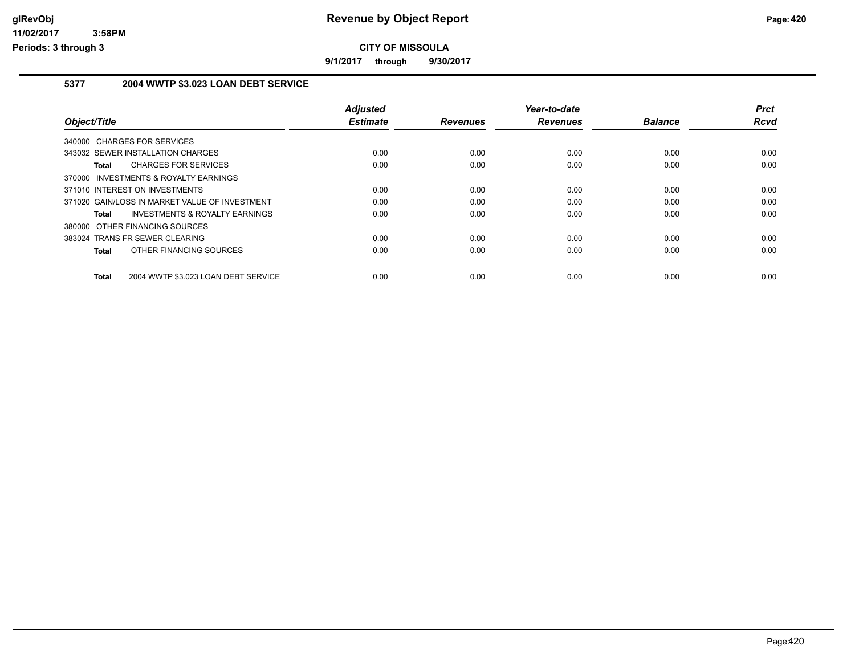**9/1/2017 through 9/30/2017**

## **5377 2004 WWTP \$3.023 LOAN DEBT SERVICE**

|                                                     | <b>Adjusted</b> |                 | Year-to-date    |                | <b>Prct</b> |
|-----------------------------------------------------|-----------------|-----------------|-----------------|----------------|-------------|
| Object/Title                                        | <b>Estimate</b> | <b>Revenues</b> | <b>Revenues</b> | <b>Balance</b> | <b>Rcvd</b> |
| 340000 CHARGES FOR SERVICES                         |                 |                 |                 |                |             |
| 343032 SEWER INSTALLATION CHARGES                   | 0.00            | 0.00            | 0.00            | 0.00           | 0.00        |
| <b>CHARGES FOR SERVICES</b><br><b>Total</b>         | 0.00            | 0.00            | 0.00            | 0.00           | 0.00        |
| 370000 INVESTMENTS & ROYALTY EARNINGS               |                 |                 |                 |                |             |
| 371010 INTEREST ON INVESTMENTS                      | 0.00            | 0.00            | 0.00            | 0.00           | 0.00        |
| 371020 GAIN/LOSS IN MARKET VALUE OF INVESTMENT      | 0.00            | 0.00            | 0.00            | 0.00           | 0.00        |
| <b>INVESTMENTS &amp; ROYALTY EARNINGS</b><br>Total  | 0.00            | 0.00            | 0.00            | 0.00           | 0.00        |
| 380000 OTHER FINANCING SOURCES                      |                 |                 |                 |                |             |
| 383024 TRANS FR SEWER CLEARING                      | 0.00            | 0.00            | 0.00            | 0.00           | 0.00        |
| OTHER FINANCING SOURCES<br><b>Total</b>             | 0.00            | 0.00            | 0.00            | 0.00           | 0.00        |
| <b>Total</b><br>2004 WWTP \$3.023 LOAN DEBT SERVICE | 0.00            | 0.00            | 0.00            | 0.00           | 0.00        |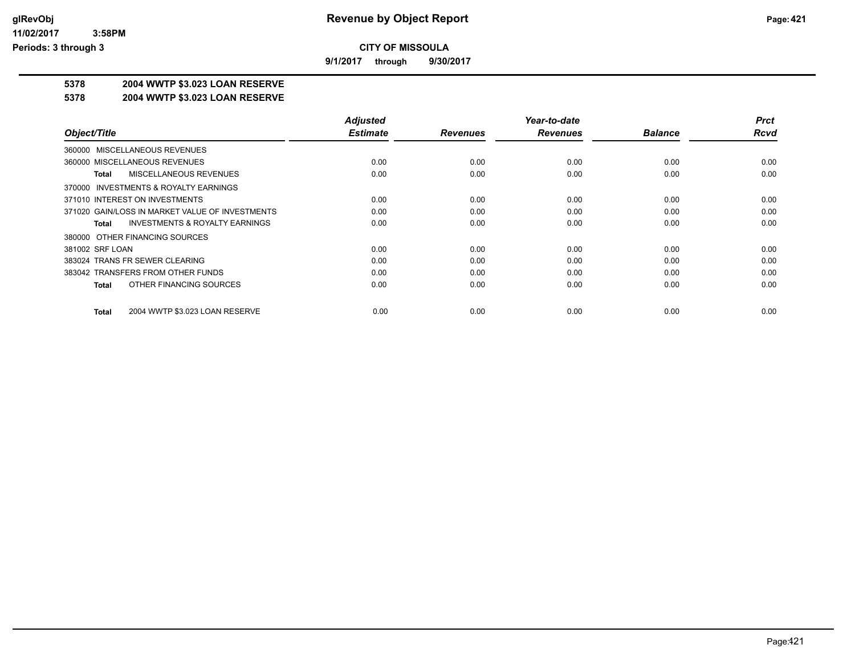**9/1/2017 through 9/30/2017**

## **5378 2004 WWTP \$3.023 LOAN RESERVE**

#### **5378 2004 WWTP \$3.023 LOAN RESERVE**

|                                                    | <b>Adjusted</b> |                 | Year-to-date    |                | <b>Prct</b> |
|----------------------------------------------------|-----------------|-----------------|-----------------|----------------|-------------|
| Object/Title                                       | <b>Estimate</b> | <b>Revenues</b> | <b>Revenues</b> | <b>Balance</b> | <b>Rcvd</b> |
| 360000 MISCELLANEOUS REVENUES                      |                 |                 |                 |                |             |
| 360000 MISCELLANEOUS REVENUES                      | 0.00            | 0.00            | 0.00            | 0.00           | 0.00        |
| MISCELLANEOUS REVENUES<br>Total                    | 0.00            | 0.00            | 0.00            | 0.00           | 0.00        |
| 370000 INVESTMENTS & ROYALTY EARNINGS              |                 |                 |                 |                |             |
| 371010 INTEREST ON INVESTMENTS                     | 0.00            | 0.00            | 0.00            | 0.00           | 0.00        |
| 371020 GAIN/LOSS IN MARKET VALUE OF INVESTMENTS    | 0.00            | 0.00            | 0.00            | 0.00           | 0.00        |
| <b>INVESTMENTS &amp; ROYALTY EARNINGS</b><br>Total | 0.00            | 0.00            | 0.00            | 0.00           | 0.00        |
| 380000 OTHER FINANCING SOURCES                     |                 |                 |                 |                |             |
| 381002 SRF LOAN                                    | 0.00            | 0.00            | 0.00            | 0.00           | 0.00        |
| 383024 TRANS FR SEWER CLEARING                     | 0.00            | 0.00            | 0.00            | 0.00           | 0.00        |
| 383042 TRANSFERS FROM OTHER FUNDS                  | 0.00            | 0.00            | 0.00            | 0.00           | 0.00        |
| OTHER FINANCING SOURCES<br>Total                   | 0.00            | 0.00            | 0.00            | 0.00           | 0.00        |
| 2004 WWTP \$3.023 LOAN RESERVE<br>Total            | 0.00            | 0.00            | 0.00            | 0.00           | 0.00        |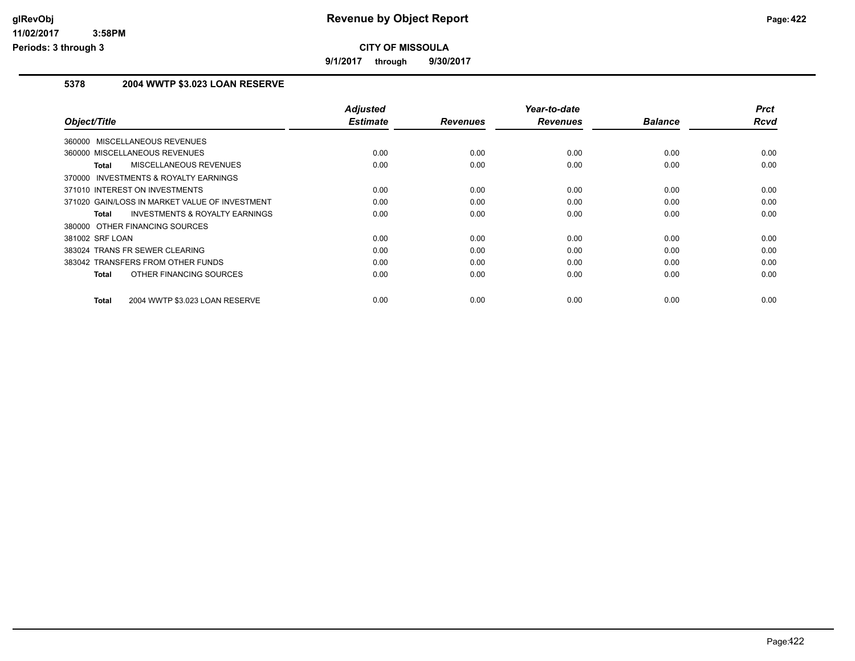**9/1/2017 through 9/30/2017**

## **5378 2004 WWTP \$3.023 LOAN RESERVE**

| Object/Title                                              | <b>Adjusted</b><br><b>Estimate</b> | <b>Revenues</b> | Year-to-date<br><b>Revenues</b> | <b>Balance</b> | <b>Prct</b><br>Rcvd |
|-----------------------------------------------------------|------------------------------------|-----------------|---------------------------------|----------------|---------------------|
| MISCELLANEOUS REVENUES<br>360000                          |                                    |                 |                                 |                |                     |
| 360000 MISCELLANEOUS REVENUES                             | 0.00                               | 0.00            | 0.00                            | 0.00           | 0.00                |
| MISCELLANEOUS REVENUES<br><b>Total</b>                    | 0.00                               | 0.00            | 0.00                            | 0.00           | 0.00                |
| INVESTMENTS & ROYALTY EARNINGS<br>370000                  |                                    |                 |                                 |                |                     |
| 371010 INTEREST ON INVESTMENTS                            | 0.00                               | 0.00            | 0.00                            | 0.00           | 0.00                |
| 371020 GAIN/LOSS IN MARKET VALUE OF INVESTMENT            | 0.00                               | 0.00            | 0.00                            | 0.00           | 0.00                |
| <b>INVESTMENTS &amp; ROYALTY EARNINGS</b><br><b>Total</b> | 0.00                               | 0.00            | 0.00                            | 0.00           | 0.00                |
| 380000 OTHER FINANCING SOURCES                            |                                    |                 |                                 |                |                     |
| 381002 SRF LOAN                                           | 0.00                               | 0.00            | 0.00                            | 0.00           | 0.00                |
| 383024 TRANS FR SEWER CLEARING                            | 0.00                               | 0.00            | 0.00                            | 0.00           | 0.00                |
| 383042 TRANSFERS FROM OTHER FUNDS                         | 0.00                               | 0.00            | 0.00                            | 0.00           | 0.00                |
| OTHER FINANCING SOURCES<br><b>Total</b>                   | 0.00                               | 0.00            | 0.00                            | 0.00           | 0.00                |
|                                                           |                                    |                 |                                 |                |                     |
| 2004 WWTP \$3.023 LOAN RESERVE<br><b>Total</b>            | 0.00                               | 0.00            | 0.00                            | 0.00           | 0.00                |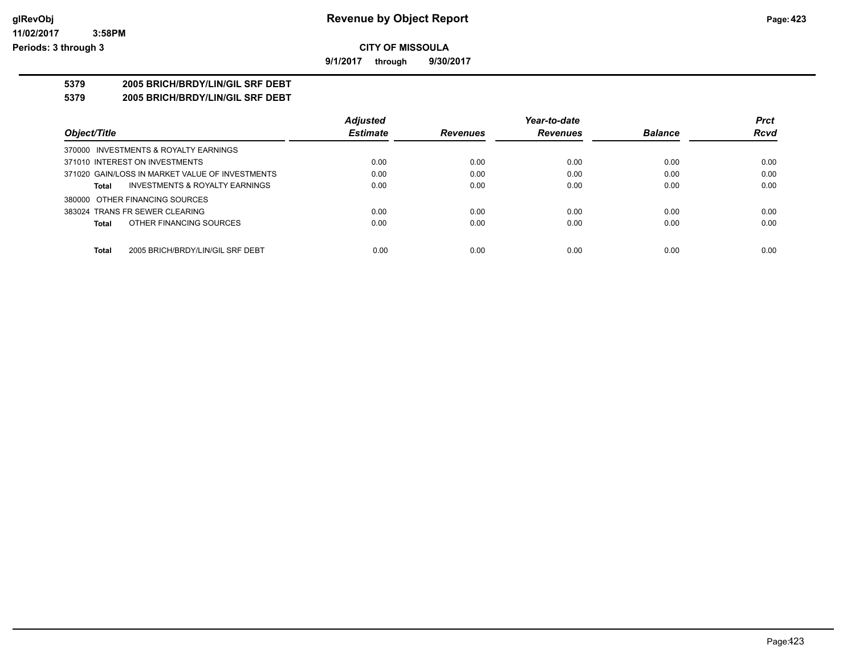**3:58PM**

**CITY OF MISSOULA**

**9/1/2017 through 9/30/2017**

## **5379 2005 BRICH/BRDY/LIN/GIL SRF DEBT**

### **5379 2005 BRICH/BRDY/LIN/GIL SRF DEBT**

|                                                 | <b>Adjusted</b> |                 | Year-to-date    |                | <b>Prct</b> |
|-------------------------------------------------|-----------------|-----------------|-----------------|----------------|-------------|
| Object/Title                                    | <b>Estimate</b> | <b>Revenues</b> | <b>Revenues</b> | <b>Balance</b> | <b>Rcvd</b> |
| 370000 INVESTMENTS & ROYALTY EARNINGS           |                 |                 |                 |                |             |
| 371010 INTEREST ON INVESTMENTS                  | 0.00            | 0.00            | 0.00            | 0.00           | 0.00        |
| 371020 GAIN/LOSS IN MARKET VALUE OF INVESTMENTS | 0.00            | 0.00            | 0.00            | 0.00           | 0.00        |
| INVESTMENTS & ROYALTY EARNINGS<br><b>Total</b>  | 0.00            | 0.00            | 0.00            | 0.00           | 0.00        |
| 380000 OTHER FINANCING SOURCES                  |                 |                 |                 |                |             |
| 383024 TRANS FR SEWER CLEARING                  | 0.00            | 0.00            | 0.00            | 0.00           | 0.00        |
| OTHER FINANCING SOURCES<br><b>Total</b>         | 0.00            | 0.00            | 0.00            | 0.00           | 0.00        |
| 2005 BRICH/BRDY/LIN/GIL SRF DEBT                | 0.00            | 0.00            | 0.00            | 0.00           | 0.00        |
| <b>Total</b>                                    |                 |                 |                 |                |             |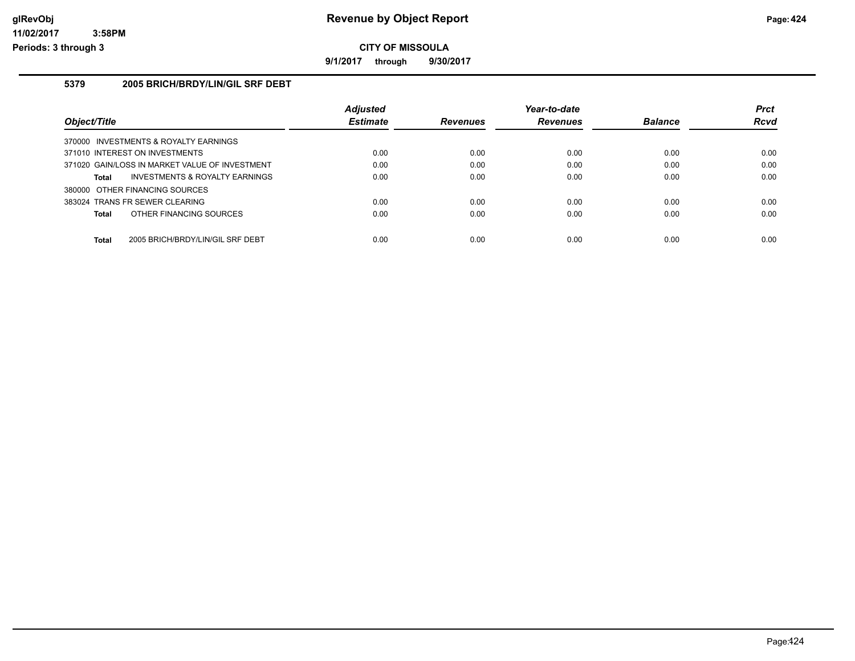**3:58PM**

**CITY OF MISSOULA**

**9/1/2017 through 9/30/2017**

### **5379 2005 BRICH/BRDY/LIN/GIL SRF DEBT**

|                                                | <b>Adjusted</b> |                 | Year-to-date    |                | <b>Prct</b> |
|------------------------------------------------|-----------------|-----------------|-----------------|----------------|-------------|
| Object/Title                                   | <b>Estimate</b> | <b>Revenues</b> | <b>Revenues</b> | <b>Balance</b> | <b>Rcvd</b> |
| 370000 INVESTMENTS & ROYALTY EARNINGS          |                 |                 |                 |                |             |
| 371010 INTEREST ON INVESTMENTS                 | 0.00            | 0.00            | 0.00            | 0.00           | 0.00        |
| 371020 GAIN/LOSS IN MARKET VALUE OF INVESTMENT | 0.00            | 0.00            | 0.00            | 0.00           | 0.00        |
| INVESTMENTS & ROYALTY EARNINGS<br>Total        | 0.00            | 0.00            | 0.00            | 0.00           | 0.00        |
| 380000 OTHER FINANCING SOURCES                 |                 |                 |                 |                |             |
| 383024 TRANS FR SEWER CLEARING                 | 0.00            | 0.00            | 0.00            | 0.00           | 0.00        |
| OTHER FINANCING SOURCES<br>Total               | 0.00            | 0.00            | 0.00            | 0.00           | 0.00        |
|                                                |                 |                 |                 |                |             |
| Total<br>2005 BRICH/BRDY/LIN/GIL SRF DEBT      | 0.00            | 0.00            | 0.00            | 0.00           | 0.00        |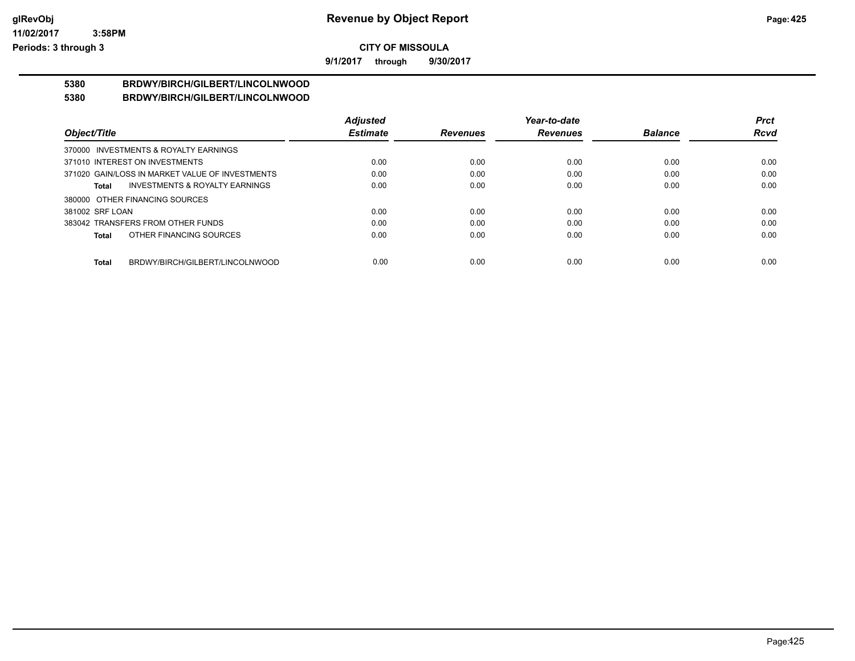**3:58PM**

**CITY OF MISSOULA**

**9/1/2017 through 9/30/2017**

#### **5380 BRDWY/BIRCH/GILBERT/LINCOLNWOOD 5380 BRDWY/BIRCH/GILBERT/LINCOLNWOOD**

|                                                 | <b>Adjusted</b> |                 | Year-to-date    |                | <b>Prct</b> |
|-------------------------------------------------|-----------------|-----------------|-----------------|----------------|-------------|
| Object/Title                                    | <b>Estimate</b> | <b>Revenues</b> | <b>Revenues</b> | <b>Balance</b> | <b>Rcvd</b> |
| 370000 INVESTMENTS & ROYALTY EARNINGS           |                 |                 |                 |                |             |
| 371010 INTEREST ON INVESTMENTS                  | 0.00            | 0.00            | 0.00            | 0.00           | 0.00        |
| 371020 GAIN/LOSS IN MARKET VALUE OF INVESTMENTS | 0.00            | 0.00            | 0.00            | 0.00           | 0.00        |
| INVESTMENTS & ROYALTY EARNINGS<br>Total         | 0.00            | 0.00            | 0.00            | 0.00           | 0.00        |
| 380000 OTHER FINANCING SOURCES                  |                 |                 |                 |                |             |
| 381002 SRF LOAN                                 | 0.00            | 0.00            | 0.00            | 0.00           | 0.00        |
| 383042 TRANSFERS FROM OTHER FUNDS               | 0.00            | 0.00            | 0.00            | 0.00           | 0.00        |
| OTHER FINANCING SOURCES<br><b>Total</b>         | 0.00            | 0.00            | 0.00            | 0.00           | 0.00        |
|                                                 |                 |                 |                 |                |             |
| BRDWY/BIRCH/GILBERT/LINCOLNWOOD<br><b>Total</b> | 0.00            | 0.00            | 0.00            | 0.00           | 0.00        |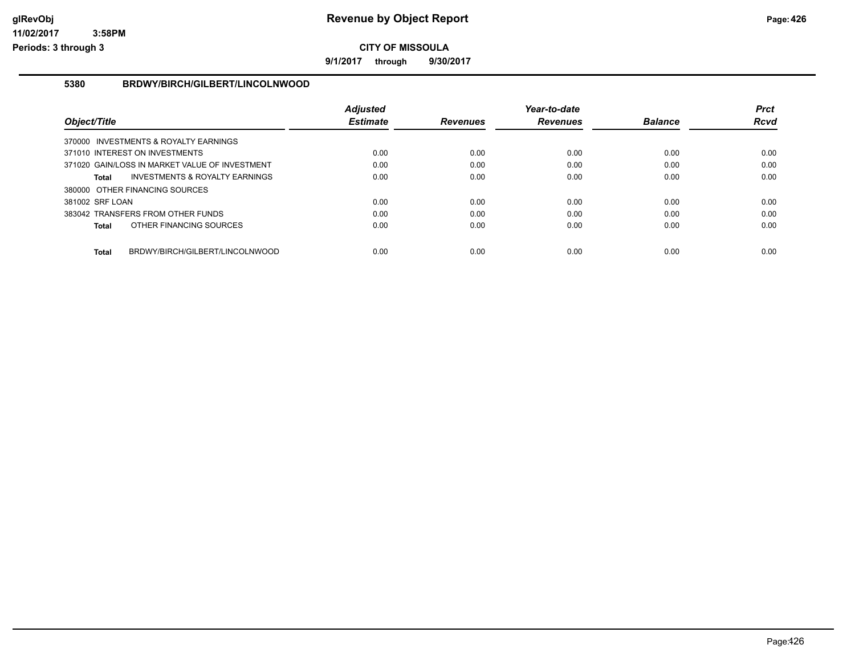**3:58PM**

**CITY OF MISSOULA**

**9/1/2017 through 9/30/2017**

## **5380 BRDWY/BIRCH/GILBERT/LINCOLNWOOD**

|                                                    | <b>Adjusted</b> |                 | Year-to-date    |                | <b>Prct</b> |
|----------------------------------------------------|-----------------|-----------------|-----------------|----------------|-------------|
| Object/Title                                       | <b>Estimate</b> | <b>Revenues</b> | <b>Revenues</b> | <b>Balance</b> | Rcvd        |
| 370000 INVESTMENTS & ROYALTY EARNINGS              |                 |                 |                 |                |             |
| 371010 INTEREST ON INVESTMENTS                     | 0.00            | 0.00            | 0.00            | 0.00           | 0.00        |
| 371020 GAIN/LOSS IN MARKET VALUE OF INVESTMENT     | 0.00            | 0.00            | 0.00            | 0.00           | 0.00        |
| <b>INVESTMENTS &amp; ROYALTY EARNINGS</b><br>Total | 0.00            | 0.00            | 0.00            | 0.00           | 0.00        |
| 380000 OTHER FINANCING SOURCES                     |                 |                 |                 |                |             |
| 381002 SRF LOAN                                    | 0.00            | 0.00            | 0.00            | 0.00           | 0.00        |
| 383042 TRANSFERS FROM OTHER FUNDS                  | 0.00            | 0.00            | 0.00            | 0.00           | 0.00        |
| OTHER FINANCING SOURCES<br>Total                   | 0.00            | 0.00            | 0.00            | 0.00           | 0.00        |
| BRDWY/BIRCH/GILBERT/LINCOLNWOOD<br><b>Total</b>    | 0.00            | 0.00            | 0.00            | 0.00           | 0.00        |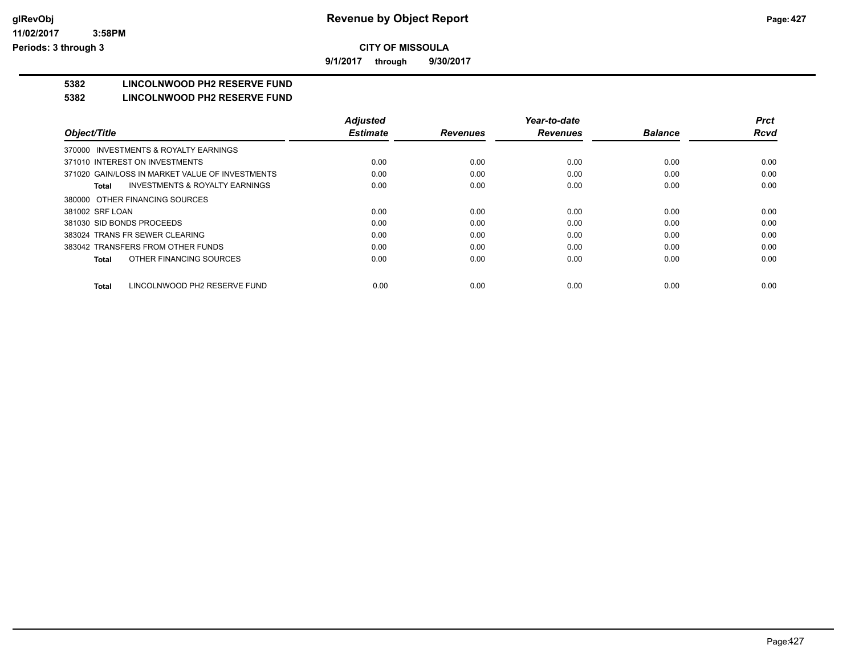**9/1/2017 through 9/30/2017**

## **5382 LINCOLNWOOD PH2 RESERVE FUND**

## **5382 LINCOLNWOOD PH2 RESERVE FUND**

|                                                    | <b>Adiusted</b> |                 | Year-to-date    |                | <b>Prct</b> |
|----------------------------------------------------|-----------------|-----------------|-----------------|----------------|-------------|
| Object/Title                                       | <b>Estimate</b> | <b>Revenues</b> | <b>Revenues</b> | <b>Balance</b> | <b>Rcvd</b> |
| INVESTMENTS & ROYALTY EARNINGS<br>370000           |                 |                 |                 |                |             |
| 371010 INTEREST ON INVESTMENTS                     | 0.00            | 0.00            | 0.00            | 0.00           | 0.00        |
| 371020 GAIN/LOSS IN MARKET VALUE OF INVESTMENTS    | 0.00            | 0.00            | 0.00            | 0.00           | 0.00        |
| <b>INVESTMENTS &amp; ROYALTY EARNINGS</b><br>Total | 0.00            | 0.00            | 0.00            | 0.00           | 0.00        |
| 380000 OTHER FINANCING SOURCES                     |                 |                 |                 |                |             |
| 381002 SRF LOAN                                    | 0.00            | 0.00            | 0.00            | 0.00           | 0.00        |
| 381030 SID BONDS PROCEEDS                          | 0.00            | 0.00            | 0.00            | 0.00           | 0.00        |
| 383024 TRANS FR SEWER CLEARING                     | 0.00            | 0.00            | 0.00            | 0.00           | 0.00        |
| 383042 TRANSFERS FROM OTHER FUNDS                  | 0.00            | 0.00            | 0.00            | 0.00           | 0.00        |
| OTHER FINANCING SOURCES<br>Total                   | 0.00            | 0.00            | 0.00            | 0.00           | 0.00        |
| LINCOLNWOOD PH2 RESERVE FUND<br><b>Total</b>       | 0.00            | 0.00            | 0.00            | 0.00           | 0.00        |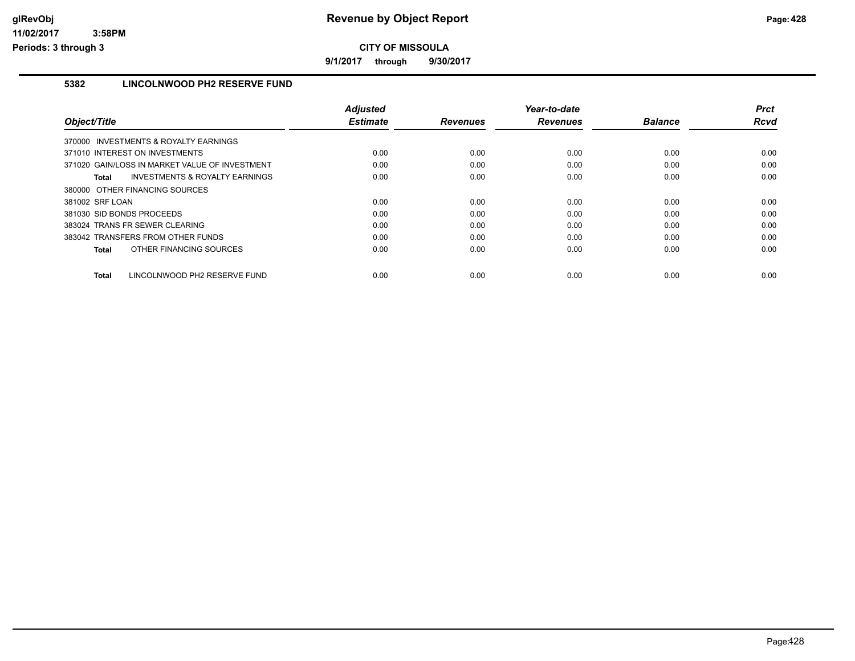**9/1/2017 through 9/30/2017**

## **5382 LINCOLNWOOD PH2 RESERVE FUND**

|                                                           | <b>Adjusted</b> |                 | Year-to-date    |                | <b>Prct</b> |
|-----------------------------------------------------------|-----------------|-----------------|-----------------|----------------|-------------|
| Object/Title                                              | <b>Estimate</b> | <b>Revenues</b> | <b>Revenues</b> | <b>Balance</b> | Rcvd        |
| <b>INVESTMENTS &amp; ROYALTY EARNINGS</b><br>370000       |                 |                 |                 |                |             |
| 371010 INTEREST ON INVESTMENTS                            | 0.00            | 0.00            | 0.00            | 0.00           | 0.00        |
| 371020 GAIN/LOSS IN MARKET VALUE OF INVESTMENT            | 0.00            | 0.00            | 0.00            | 0.00           | 0.00        |
| <b>INVESTMENTS &amp; ROYALTY EARNINGS</b><br><b>Total</b> | 0.00            | 0.00            | 0.00            | 0.00           | 0.00        |
| 380000 OTHER FINANCING SOURCES                            |                 |                 |                 |                |             |
| 381002 SRF LOAN                                           | 0.00            | 0.00            | 0.00            | 0.00           | 0.00        |
| 381030 SID BONDS PROCEEDS                                 | 0.00            | 0.00            | 0.00            | 0.00           | 0.00        |
| 383024 TRANS FR SEWER CLEARING                            | 0.00            | 0.00            | 0.00            | 0.00           | 0.00        |
| 383042 TRANSFERS FROM OTHER FUNDS                         | 0.00            | 0.00            | 0.00            | 0.00           | 0.00        |
| OTHER FINANCING SOURCES<br><b>Total</b>                   | 0.00            | 0.00            | 0.00            | 0.00           | 0.00        |
|                                                           |                 |                 |                 |                |             |
| LINCOLNWOOD PH2 RESERVE FUND<br><b>Total</b>              | 0.00            | 0.00            | 0.00            | 0.00           | 0.00        |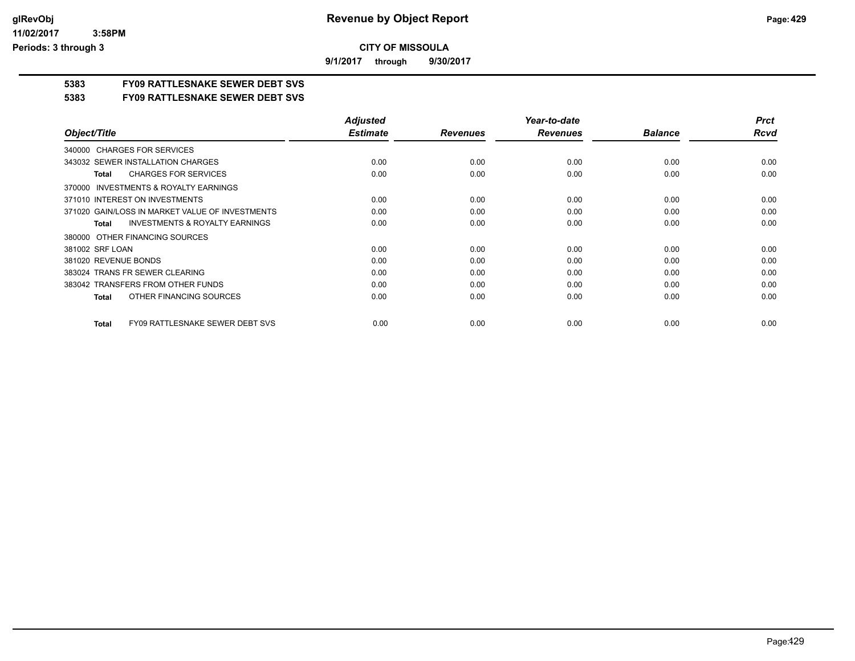**CITY OF MISSOULA**

**9/1/2017 through 9/30/2017**

## **5383 FY09 RATTLESNAKE SEWER DEBT SVS**

## **5383 FY09 RATTLESNAKE SEWER DEBT SVS**

|                                                        | <b>Adjusted</b> |                 | Year-to-date    |                | <b>Prct</b> |
|--------------------------------------------------------|-----------------|-----------------|-----------------|----------------|-------------|
| Object/Title                                           | <b>Estimate</b> | <b>Revenues</b> | <b>Revenues</b> | <b>Balance</b> | <b>Rcvd</b> |
| 340000 CHARGES FOR SERVICES                            |                 |                 |                 |                |             |
| 343032 SEWER INSTALLATION CHARGES                      | 0.00            | 0.00            | 0.00            | 0.00           | 0.00        |
| <b>CHARGES FOR SERVICES</b><br><b>Total</b>            | 0.00            | 0.00            | 0.00            | 0.00           | 0.00        |
| INVESTMENTS & ROYALTY EARNINGS<br>370000               |                 |                 |                 |                |             |
| 371010 INTEREST ON INVESTMENTS                         | 0.00            | 0.00            | 0.00            | 0.00           | 0.00        |
| 371020 GAIN/LOSS IN MARKET VALUE OF INVESTMENTS        | 0.00            | 0.00            | 0.00            | 0.00           | 0.00        |
| <b>INVESTMENTS &amp; ROYALTY EARNINGS</b><br>Total     | 0.00            | 0.00            | 0.00            | 0.00           | 0.00        |
| OTHER FINANCING SOURCES<br>380000                      |                 |                 |                 |                |             |
| 381002 SRF LOAN                                        | 0.00            | 0.00            | 0.00            | 0.00           | 0.00        |
| 381020 REVENUE BONDS                                   | 0.00            | 0.00            | 0.00            | 0.00           | 0.00        |
| 383024 TRANS FR SEWER CLEARING                         | 0.00            | 0.00            | 0.00            | 0.00           | 0.00        |
| 383042 TRANSFERS FROM OTHER FUNDS                      | 0.00            | 0.00            | 0.00            | 0.00           | 0.00        |
| OTHER FINANCING SOURCES<br>Total                       | 0.00            | 0.00            | 0.00            | 0.00           | 0.00        |
| <b>FY09 RATTLESNAKE SEWER DEBT SVS</b><br><b>Total</b> | 0.00            | 0.00            | 0.00            | 0.00           | 0.00        |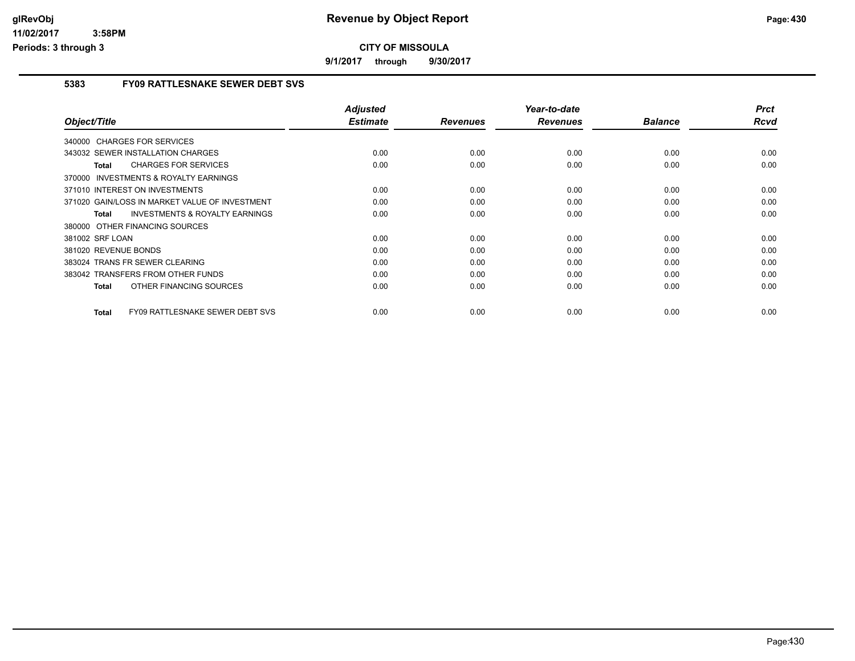**3:58PM**

**CITY OF MISSOULA**

**9/1/2017 through 9/30/2017**

## **5383 FY09 RATTLESNAKE SEWER DEBT SVS**

| Object/Title                                              | <b>Adjusted</b><br><b>Estimate</b> | <b>Revenues</b> | Year-to-date<br><b>Revenues</b> | <b>Balance</b> | <b>Prct</b><br><b>Rcvd</b> |
|-----------------------------------------------------------|------------------------------------|-----------------|---------------------------------|----------------|----------------------------|
|                                                           |                                    |                 |                                 |                |                            |
| 340000 CHARGES FOR SERVICES                               |                                    |                 |                                 |                |                            |
| 343032 SEWER INSTALLATION CHARGES                         | 0.00                               | 0.00            | 0.00                            | 0.00           | 0.00                       |
| <b>CHARGES FOR SERVICES</b><br>Total                      | 0.00                               | 0.00            | 0.00                            | 0.00           | 0.00                       |
| INVESTMENTS & ROYALTY EARNINGS<br>370000                  |                                    |                 |                                 |                |                            |
| 371010 INTEREST ON INVESTMENTS                            | 0.00                               | 0.00            | 0.00                            | 0.00           | 0.00                       |
| 371020 GAIN/LOSS IN MARKET VALUE OF INVESTMENT            | 0.00                               | 0.00            | 0.00                            | 0.00           | 0.00                       |
| <b>INVESTMENTS &amp; ROYALTY EARNINGS</b><br><b>Total</b> | 0.00                               | 0.00            | 0.00                            | 0.00           | 0.00                       |
| 380000 OTHER FINANCING SOURCES                            |                                    |                 |                                 |                |                            |
| 381002 SRF LOAN                                           | 0.00                               | 0.00            | 0.00                            | 0.00           | 0.00                       |
| 381020 REVENUE BONDS                                      | 0.00                               | 0.00            | 0.00                            | 0.00           | 0.00                       |
| 383024 TRANS FR SEWER CLEARING                            | 0.00                               | 0.00            | 0.00                            | 0.00           | 0.00                       |
| 383042 TRANSFERS FROM OTHER FUNDS                         | 0.00                               | 0.00            | 0.00                            | 0.00           | 0.00                       |
| OTHER FINANCING SOURCES<br><b>Total</b>                   | 0.00                               | 0.00            | 0.00                            | 0.00           | 0.00                       |
|                                                           |                                    |                 |                                 |                |                            |
| FY09 RATTLESNAKE SEWER DEBT SVS<br><b>Total</b>           | 0.00                               | 0.00            | 0.00                            | 0.00           | 0.00                       |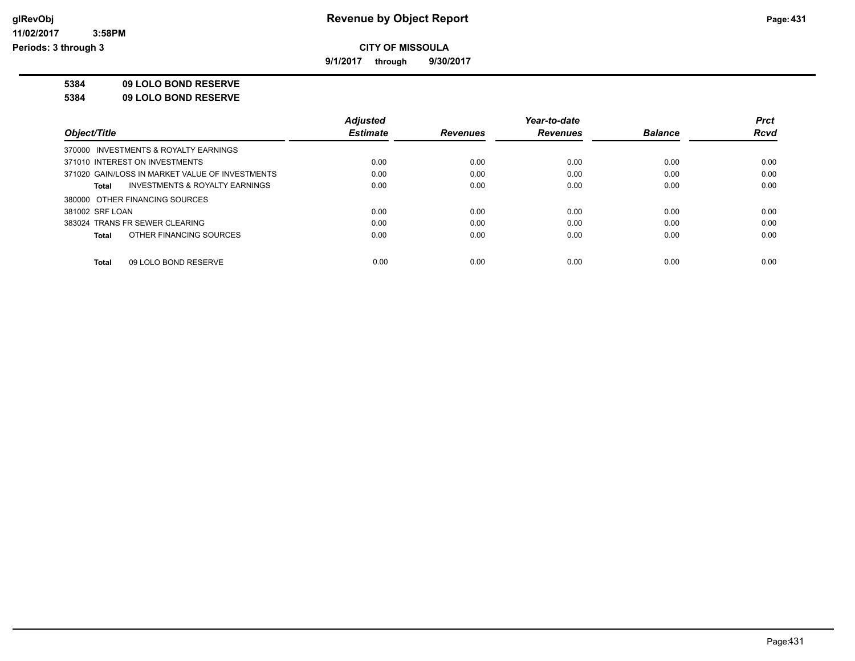**9/1/2017 through 9/30/2017**

**5384 09 LOLO BOND RESERVE**

**5384 09 LOLO BOND RESERVE**

|                                                    | <b>Adjusted</b> |                 | Year-to-date    |                | <b>Prct</b> |
|----------------------------------------------------|-----------------|-----------------|-----------------|----------------|-------------|
| Object/Title                                       | <b>Estimate</b> | <b>Revenues</b> | <b>Revenues</b> | <b>Balance</b> | <b>Rcvd</b> |
| 370000 INVESTMENTS & ROYALTY EARNINGS              |                 |                 |                 |                |             |
| 371010 INTEREST ON INVESTMENTS                     | 0.00            | 0.00            | 0.00            | 0.00           | 0.00        |
| 371020 GAIN/LOSS IN MARKET VALUE OF INVESTMENTS    | 0.00            | 0.00            | 0.00            | 0.00           | 0.00        |
| <b>INVESTMENTS &amp; ROYALTY EARNINGS</b><br>Total | 0.00            | 0.00            | 0.00            | 0.00           | 0.00        |
| 380000 OTHER FINANCING SOURCES                     |                 |                 |                 |                |             |
| 381002 SRF LOAN                                    | 0.00            | 0.00            | 0.00            | 0.00           | 0.00        |
| 383024 TRANS FR SEWER CLEARING                     | 0.00            | 0.00            | 0.00            | 0.00           | 0.00        |
| OTHER FINANCING SOURCES<br><b>Total</b>            | 0.00            | 0.00            | 0.00            | 0.00           | 0.00        |
|                                                    |                 |                 |                 |                |             |
| 09 LOLO BOND RESERVE<br><b>Total</b>               | 0.00            | 0.00            | 0.00            | 0.00           | 0.00        |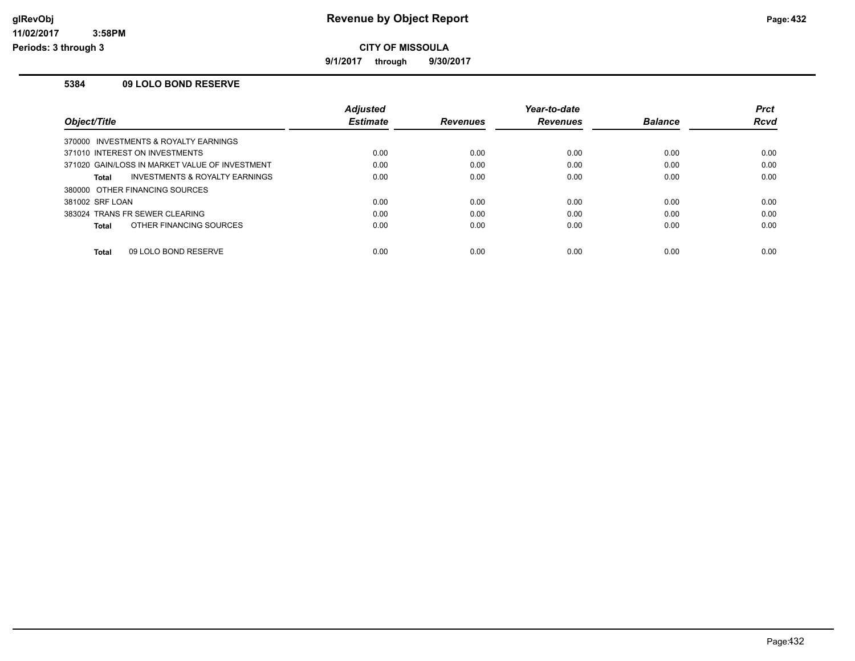**CITY OF MISSOULA**

**9/1/2017 through 9/30/2017**

#### **5384 09 LOLO BOND RESERVE**

 **3:58PM**

|                                                | <b>Adjusted</b> |                 | Year-to-date    |                | <b>Prct</b> |
|------------------------------------------------|-----------------|-----------------|-----------------|----------------|-------------|
| Object/Title                                   | <b>Estimate</b> | <b>Revenues</b> | <b>Revenues</b> | <b>Balance</b> | <b>Rcvd</b> |
| 370000 INVESTMENTS & ROYALTY EARNINGS          |                 |                 |                 |                |             |
| 371010 INTEREST ON INVESTMENTS                 | 0.00            | 0.00            | 0.00            | 0.00           | 0.00        |
| 371020 GAIN/LOSS IN MARKET VALUE OF INVESTMENT | 0.00            | 0.00            | 0.00            | 0.00           | 0.00        |
| INVESTMENTS & ROYALTY EARNINGS<br>Total        | 0.00            | 0.00            | 0.00            | 0.00           | 0.00        |
| 380000 OTHER FINANCING SOURCES                 |                 |                 |                 |                |             |
| 381002 SRF LOAN                                | 0.00            | 0.00            | 0.00            | 0.00           | 0.00        |
| 383024 TRANS FR SEWER CLEARING                 | 0.00            | 0.00            | 0.00            | 0.00           | 0.00        |
| Total<br>OTHER FINANCING SOURCES               | 0.00            | 0.00            | 0.00            | 0.00           | 0.00        |
| 09 LOLO BOND RESERVE<br>Total                  | 0.00            | 0.00            | 0.00            | 0.00           | 0.00        |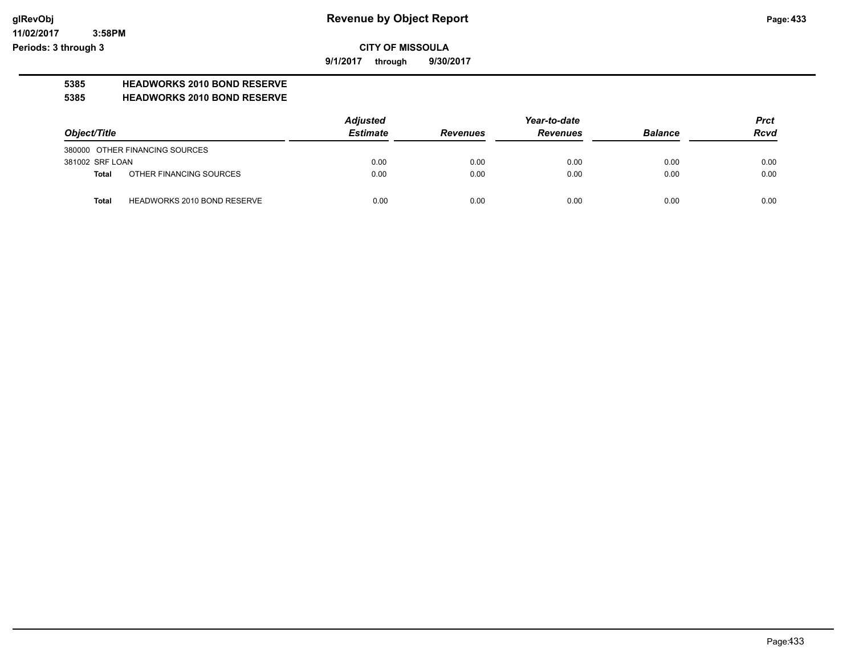**9/1/2017 through 9/30/2017**

# **5385 HEADWORKS 2010 BOND RESERVE**

#### **5385 HEADWORKS 2010 BOND RESERVE**

|                 |                                    | <b>Adjusted</b> |                 | Year-to-date    |                | <b>Prct</b> |
|-----------------|------------------------------------|-----------------|-----------------|-----------------|----------------|-------------|
| Object/Title    |                                    | <b>Estimate</b> | <b>Revenues</b> | <b>Revenues</b> | <b>Balance</b> | <b>Rcvd</b> |
|                 | 380000 OTHER FINANCING SOURCES     |                 |                 |                 |                |             |
| 381002 SRF LOAN |                                    | 0.00            | 0.00            | 0.00            | 0.00           | 0.00        |
| <b>Total</b>    | OTHER FINANCING SOURCES            | 0.00            | 0.00            | 0.00            | 0.00           | 0.00        |
| <b>Total</b>    | <b>HEADWORKS 2010 BOND RESERVE</b> | 0.00            | 0.00            | 0.00            | 0.00           | 0.00        |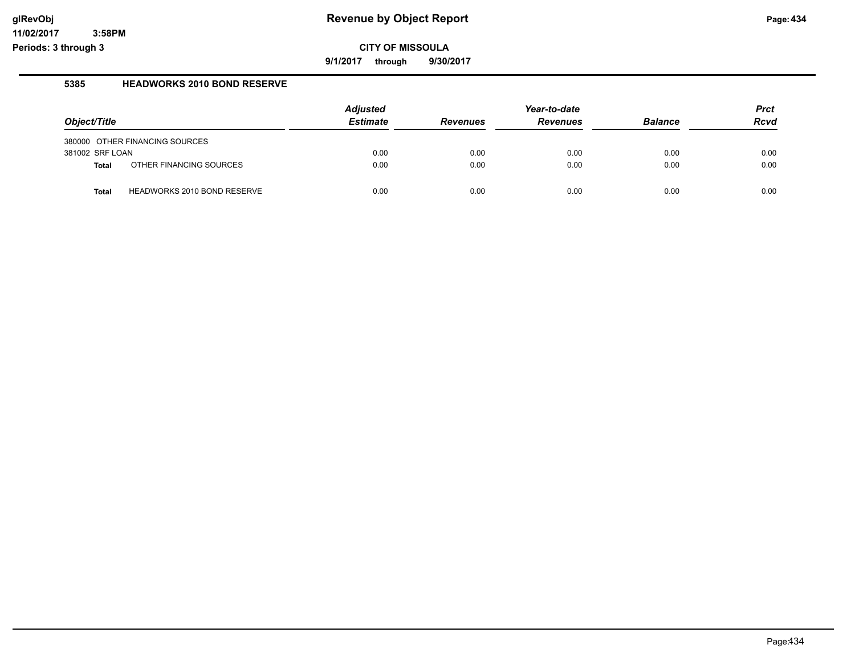**9/1/2017 through 9/30/2017**

#### **5385 HEADWORKS 2010 BOND RESERVE**

| Object/Title    |                                | <b>Adjusted</b><br><b>Estimate</b> | <b>Revenues</b> | Year-to-date<br><b>Revenues</b> | <b>Balance</b> | Prct<br>Rcvd |
|-----------------|--------------------------------|------------------------------------|-----------------|---------------------------------|----------------|--------------|
|                 | 380000 OTHER FINANCING SOURCES |                                    |                 |                                 |                |              |
| 381002 SRF LOAN |                                | 0.00                               | 0.00            | 0.00                            | 0.00           | 0.00         |
| Total           | OTHER FINANCING SOURCES        | 0.00                               | 0.00            | 0.00                            | 0.00           | 0.00         |
| <b>Total</b>    | HEADWORKS 2010 BOND RESERVE    | 0.00                               | 0.00            | 0.00                            | 0.00           | 0.00         |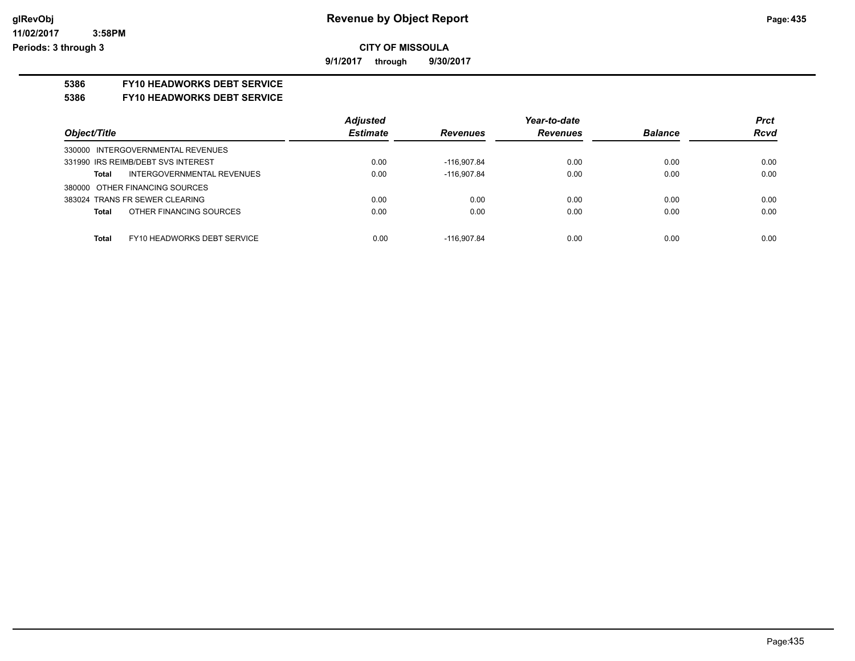**9/1/2017 through 9/30/2017**

#### **5386 FY10 HEADWORKS DEBT SERVICE**

#### **5386 FY10 HEADWORKS DEBT SERVICE**

|                                             | <b>Adjusted</b> |                 | Year-to-date    |                | <b>Prct</b> |
|---------------------------------------------|-----------------|-----------------|-----------------|----------------|-------------|
| Object/Title                                | <b>Estimate</b> | <b>Revenues</b> | <b>Revenues</b> | <b>Balance</b> | <b>Rcvd</b> |
| 330000 INTERGOVERNMENTAL REVENUES           |                 |                 |                 |                |             |
| 331990 IRS REIMB/DEBT SVS INTEREST          | 0.00            | $-116.907.84$   | 0.00            | 0.00           | 0.00        |
| INTERGOVERNMENTAL REVENUES<br><b>Total</b>  | 0.00            | $-116,907.84$   | 0.00            | 0.00           | 0.00        |
| 380000 OTHER FINANCING SOURCES              |                 |                 |                 |                |             |
| 383024 TRANS FR SEWER CLEARING              | 0.00            | 0.00            | 0.00            | 0.00           | 0.00        |
| OTHER FINANCING SOURCES<br><b>Total</b>     | 0.00            | 0.00            | 0.00            | 0.00           | 0.00        |
|                                             |                 |                 |                 |                |             |
| FY10 HEADWORKS DEBT SERVICE<br><b>Total</b> | 0.00            | -116.907.84     | 0.00            | 0.00           | 0.00        |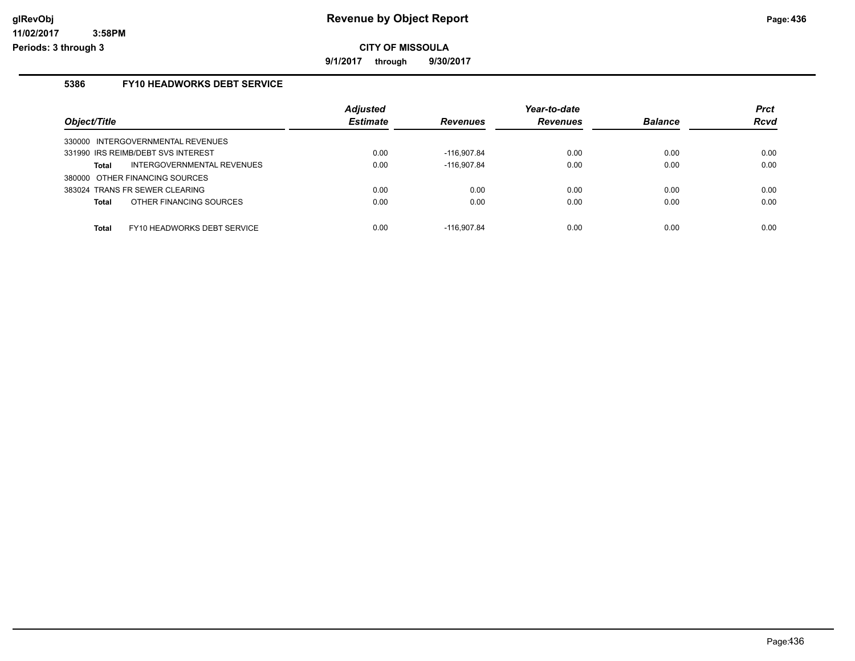**3:58PM**

**CITY OF MISSOULA**

**9/1/2017 through 9/30/2017**

#### **5386 FY10 HEADWORKS DEBT SERVICE**

| Object/Title                                | <b>Adjusted</b><br><b>Estimate</b> | <b>Revenues</b> | Year-to-date<br><b>Revenues</b> | <b>Balance</b> | <b>Prct</b><br><b>Rcvd</b> |
|---------------------------------------------|------------------------------------|-----------------|---------------------------------|----------------|----------------------------|
| 330000 INTERGOVERNMENTAL REVENUES           |                                    |                 |                                 |                |                            |
| 331990 IRS REIMB/DEBT SVS INTEREST          | 0.00                               | $-116.907.84$   | 0.00                            | 0.00           | 0.00                       |
| INTERGOVERNMENTAL REVENUES<br>Total         | 0.00                               | $-116,907.84$   | 0.00                            | 0.00           | 0.00                       |
| 380000 OTHER FINANCING SOURCES              |                                    |                 |                                 |                |                            |
| 383024 TRANS FR SEWER CLEARING              | 0.00                               | 0.00            | 0.00                            | 0.00           | 0.00                       |
| OTHER FINANCING SOURCES<br>Total            | 0.00                               | 0.00            | 0.00                            | 0.00           | 0.00                       |
|                                             |                                    |                 |                                 |                |                            |
| FY10 HEADWORKS DEBT SERVICE<br><b>Total</b> | 0.00                               | $-116.907.84$   | 0.00                            | 0.00           | 0.00                       |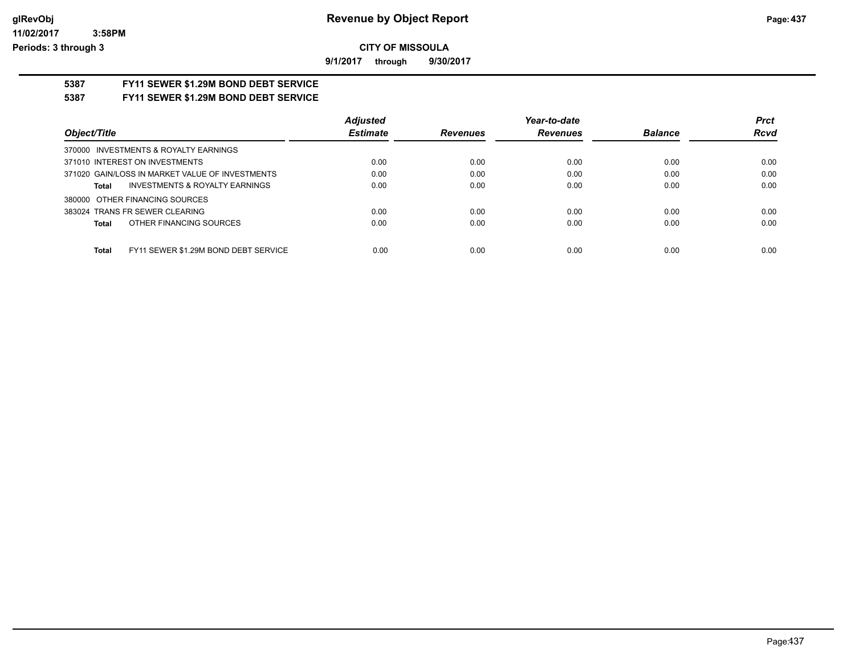**3:58PM**

**glRevObj Revenue by Object Report Page:437** 

**CITY OF MISSOULA**

**9/1/2017 through 9/30/2017**

# **5387 FY11 SEWER \$1.29M BOND DEBT SERVICE**

### **5387 FY11 SEWER \$1.29M BOND DEBT SERVICE**

|                                                 | <b>Adjusted</b> |                 | Year-to-date    |                | <b>Prct</b> |
|-------------------------------------------------|-----------------|-----------------|-----------------|----------------|-------------|
| Object/Title                                    | <b>Estimate</b> | <b>Revenues</b> | <b>Revenues</b> | <b>Balance</b> | <b>Rcvd</b> |
| 370000 INVESTMENTS & ROYALTY EARNINGS           |                 |                 |                 |                |             |
| 371010 INTEREST ON INVESTMENTS                  | 0.00            | 0.00            | 0.00            | 0.00           | 0.00        |
| 371020 GAIN/LOSS IN MARKET VALUE OF INVESTMENTS | 0.00            | 0.00            | 0.00            | 0.00           | 0.00        |
| INVESTMENTS & ROYALTY EARNINGS<br>Total         | 0.00            | 0.00            | 0.00            | 0.00           | 0.00        |
| 380000 OTHER FINANCING SOURCES                  |                 |                 |                 |                |             |
| 383024 TRANS FR SEWER CLEARING                  | 0.00            | 0.00            | 0.00            | 0.00           | 0.00        |
| OTHER FINANCING SOURCES<br>Total                | 0.00            | 0.00            | 0.00            | 0.00           | 0.00        |
|                                                 |                 |                 |                 |                |             |
| Total<br>FY11 SEWER \$1.29M BOND DEBT SERVICE   | 0.00            | 0.00            | 0.00            | 0.00           | 0.00        |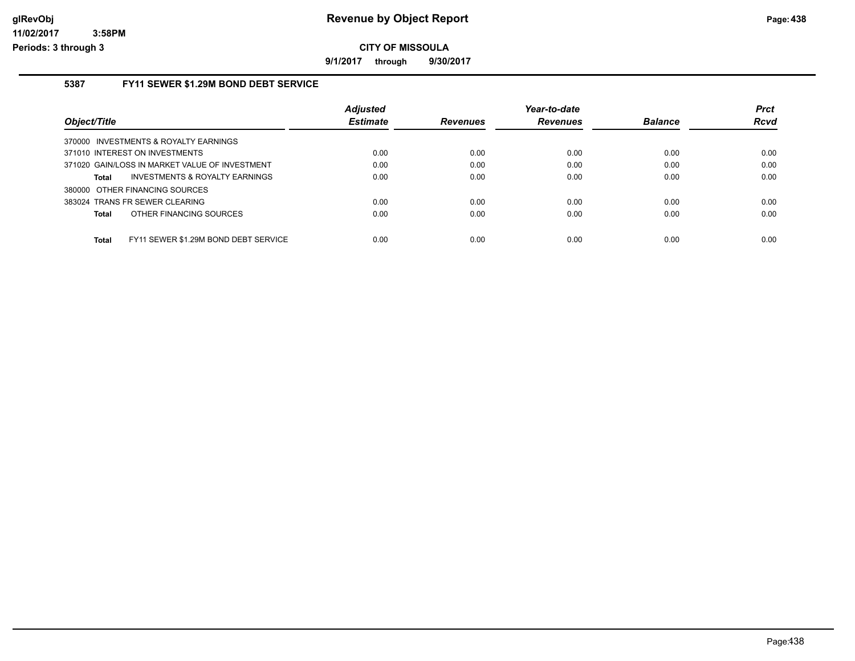**3:58PM**

**CITY OF MISSOULA**

**9/1/2017 through 9/30/2017**

#### **5387 FY11 SEWER \$1.29M BOND DEBT SERVICE**

|                                                    | <b>Adjusted</b> |                 | Year-to-date    |                | <b>Prct</b> |
|----------------------------------------------------|-----------------|-----------------|-----------------|----------------|-------------|
| Object/Title                                       | <b>Estimate</b> | <b>Revenues</b> | <b>Revenues</b> | <b>Balance</b> | <b>Rcvd</b> |
| 370000 INVESTMENTS & ROYALTY EARNINGS              |                 |                 |                 |                |             |
| 371010 INTEREST ON INVESTMENTS                     | 0.00            | 0.00            | 0.00            | 0.00           | 0.00        |
| 371020 GAIN/LOSS IN MARKET VALUE OF INVESTMENT     | 0.00            | 0.00            | 0.00            | 0.00           | 0.00        |
| <b>INVESTMENTS &amp; ROYALTY EARNINGS</b><br>Total | 0.00            | 0.00            | 0.00            | 0.00           | 0.00        |
| 380000 OTHER FINANCING SOURCES                     |                 |                 |                 |                |             |
| 383024 TRANS FR SEWER CLEARING                     | 0.00            | 0.00            | 0.00            | 0.00           | 0.00        |
| OTHER FINANCING SOURCES<br>Total                   | 0.00            | 0.00            | 0.00            | 0.00           | 0.00        |
| Total<br>FY11 SEWER \$1.29M BOND DEBT SERVICE      | 0.00            | 0.00            | 0.00            | 0.00           | 0.00        |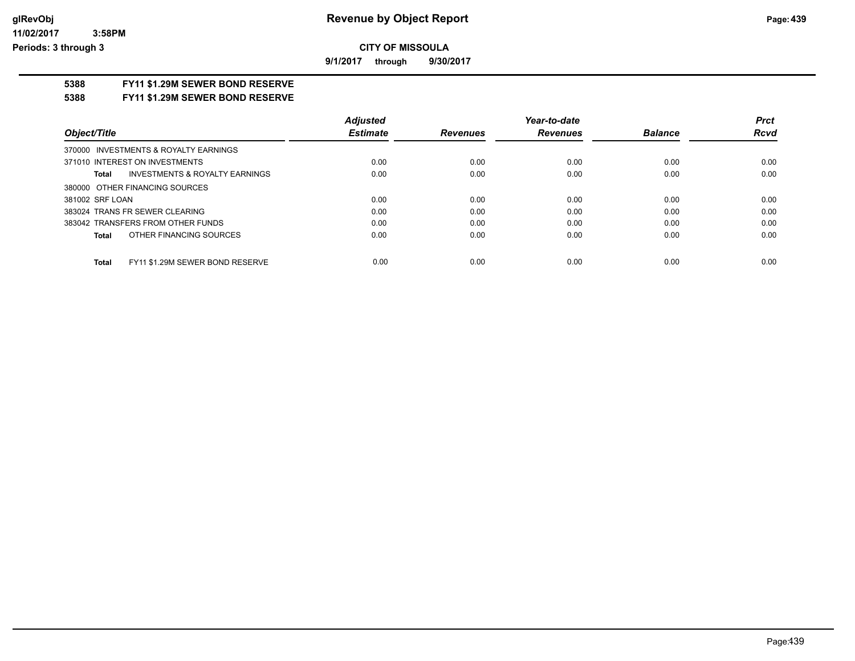**9/1/2017 through 9/30/2017**

#### **5388 FY11 \$1.29M SEWER BOND RESERVE**

**5388 FY11 \$1.29M SEWER BOND RESERVE**

|                                          | <b>Adjusted</b> |                 | Year-to-date    |                | <b>Prct</b> |
|------------------------------------------|-----------------|-----------------|-----------------|----------------|-------------|
| Object/Title                             | <b>Estimate</b> | <b>Revenues</b> | <b>Revenues</b> | <b>Balance</b> | <b>Rcvd</b> |
| 370000 INVESTMENTS & ROYALTY EARNINGS    |                 |                 |                 |                |             |
| 371010 INTEREST ON INVESTMENTS           | 0.00            | 0.00            | 0.00            | 0.00           | 0.00        |
| INVESTMENTS & ROYALTY EARNINGS<br>Total  | 0.00            | 0.00            | 0.00            | 0.00           | 0.00        |
| 380000 OTHER FINANCING SOURCES           |                 |                 |                 |                |             |
| 381002 SRF LOAN                          | 0.00            | 0.00            | 0.00            | 0.00           | 0.00        |
| 383024 TRANS FR SEWER CLEARING           | 0.00            | 0.00            | 0.00            | 0.00           | 0.00        |
| 383042 TRANSFERS FROM OTHER FUNDS        | 0.00            | 0.00            | 0.00            | 0.00           | 0.00        |
| OTHER FINANCING SOURCES<br>Total         | 0.00            | 0.00            | 0.00            | 0.00           | 0.00        |
| FY11 \$1.29M SEWER BOND RESERVE<br>Total | 0.00            | 0.00            | 0.00            | 0.00           | 0.00        |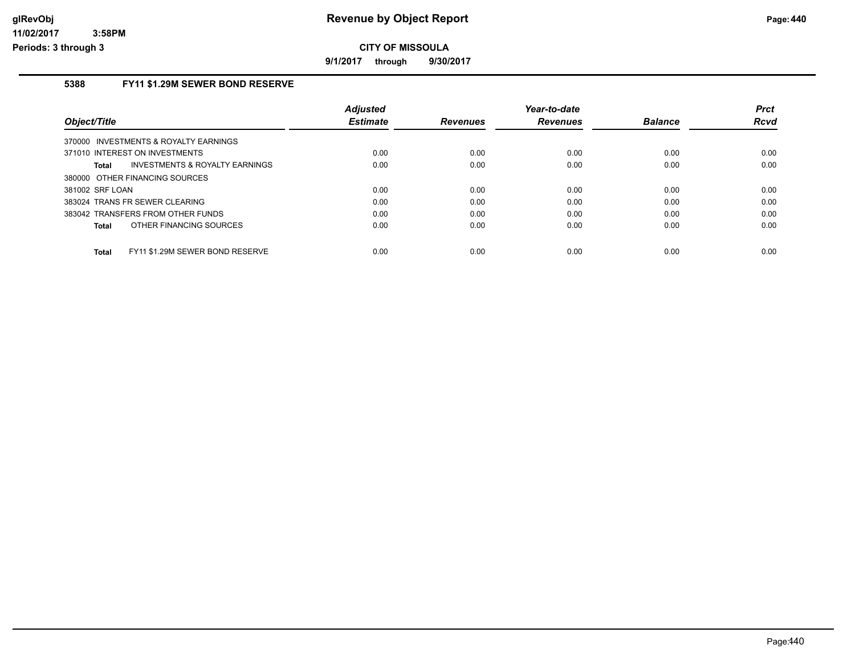**9/1/2017 through 9/30/2017**

#### **5388 FY11 \$1.29M SEWER BOND RESERVE**

|                                                 | <b>Adjusted</b> |                 | Year-to-date    |                | <b>Prct</b> |
|-------------------------------------------------|-----------------|-----------------|-----------------|----------------|-------------|
| Object/Title                                    | <b>Estimate</b> | <b>Revenues</b> | <b>Revenues</b> | <b>Balance</b> | <b>Rcvd</b> |
| 370000 INVESTMENTS & ROYALTY EARNINGS           |                 |                 |                 |                |             |
| 371010 INTEREST ON INVESTMENTS                  | 0.00            | 0.00            | 0.00            | 0.00           | 0.00        |
| INVESTMENTS & ROYALTY EARNINGS<br>Total         | 0.00            | 0.00            | 0.00            | 0.00           | 0.00        |
| 380000 OTHER FINANCING SOURCES                  |                 |                 |                 |                |             |
| 381002 SRF LOAN                                 | 0.00            | 0.00            | 0.00            | 0.00           | 0.00        |
| 383024 TRANS FR SEWER CLEARING                  | 0.00            | 0.00            | 0.00            | 0.00           | 0.00        |
| 383042 TRANSFERS FROM OTHER FUNDS               | 0.00            | 0.00            | 0.00            | 0.00           | 0.00        |
| OTHER FINANCING SOURCES<br>Total                | 0.00            | 0.00            | 0.00            | 0.00           | 0.00        |
| FY11 \$1.29M SEWER BOND RESERVE<br><b>Total</b> | 0.00            | 0.00            | 0.00            | 0.00           | 0.00        |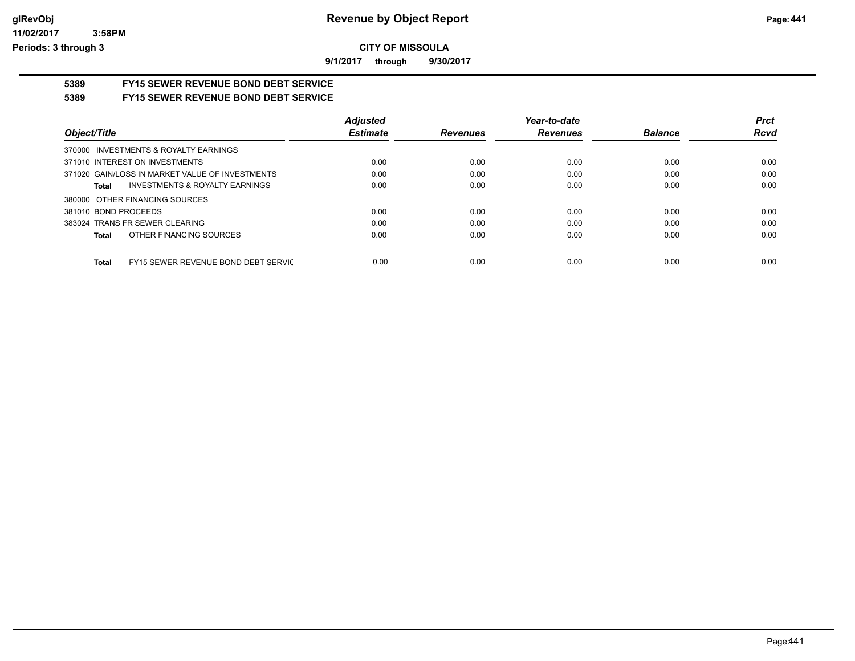**11/02/2017 3:58PM Periods: 3 through 3**

**CITY OF MISSOULA**

**9/1/2017 through 9/30/2017**

# **5389 FY15 SEWER REVENUE BOND DEBT SERVICE**

## **5389 FY15 SEWER REVENUE BOND DEBT SERVICE**

|                                                     | <b>Adjusted</b> |                 | Year-to-date    |                | <b>Prct</b> |
|-----------------------------------------------------|-----------------|-----------------|-----------------|----------------|-------------|
| Object/Title                                        | <b>Estimate</b> | <b>Revenues</b> | <b>Revenues</b> | <b>Balance</b> | <b>Rcvd</b> |
| 370000 INVESTMENTS & ROYALTY EARNINGS               |                 |                 |                 |                |             |
| 371010 INTEREST ON INVESTMENTS                      | 0.00            | 0.00            | 0.00            | 0.00           | 0.00        |
| 371020 GAIN/LOSS IN MARKET VALUE OF INVESTMENTS     | 0.00            | 0.00            | 0.00            | 0.00           | 0.00        |
| <b>INVESTMENTS &amp; ROYALTY EARNINGS</b><br>Total  | 0.00            | 0.00            | 0.00            | 0.00           | 0.00        |
| 380000 OTHER FINANCING SOURCES                      |                 |                 |                 |                |             |
| 381010 BOND PROCEEDS                                | 0.00            | 0.00            | 0.00            | 0.00           | 0.00        |
| 383024 TRANS FR SEWER CLEARING                      | 0.00            | 0.00            | 0.00            | 0.00           | 0.00        |
| OTHER FINANCING SOURCES<br>Total                    | 0.00            | 0.00            | 0.00            | 0.00           | 0.00        |
| FY15 SEWER REVENUE BOND DEBT SERVIC<br><b>Total</b> | 0.00            | 0.00            | 0.00            | 0.00           | 0.00        |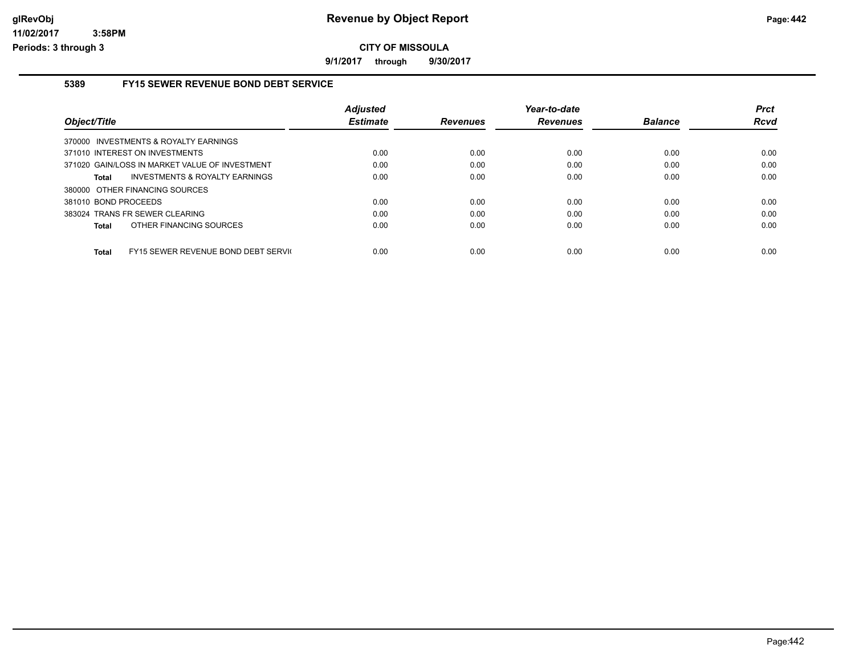**3:58PM**

**CITY OF MISSOULA**

**9/1/2017 through 9/30/2017**

#### **5389 FY15 SEWER REVENUE BOND DEBT SERVICE**

|                                                | <b>Adjusted</b> |                 | Year-to-date    |                | <b>Prct</b> |
|------------------------------------------------|-----------------|-----------------|-----------------|----------------|-------------|
| Object/Title                                   | <b>Estimate</b> | <b>Revenues</b> | <b>Revenues</b> | <b>Balance</b> | Rcvd        |
| 370000 INVESTMENTS & ROYALTY EARNINGS          |                 |                 |                 |                |             |
| 371010 INTEREST ON INVESTMENTS                 | 0.00            | 0.00            | 0.00            | 0.00           | 0.00        |
| 371020 GAIN/LOSS IN MARKET VALUE OF INVESTMENT | 0.00            | 0.00            | 0.00            | 0.00           | 0.00        |
| INVESTMENTS & ROYALTY EARNINGS<br>Total        | 0.00            | 0.00            | 0.00            | 0.00           | 0.00        |
| 380000 OTHER FINANCING SOURCES                 |                 |                 |                 |                |             |
| 381010 BOND PROCEEDS                           | 0.00            | 0.00            | 0.00            | 0.00           | 0.00        |
| 383024 TRANS FR SEWER CLEARING                 | 0.00            | 0.00            | 0.00            | 0.00           | 0.00        |
| OTHER FINANCING SOURCES<br>Total               | 0.00            | 0.00            | 0.00            | 0.00           | 0.00        |
|                                                |                 |                 |                 |                |             |
| FY15 SEWER REVENUE BOND DEBT SERVIC<br>Total   | 0.00            | 0.00            | 0.00            | 0.00           | 0.00        |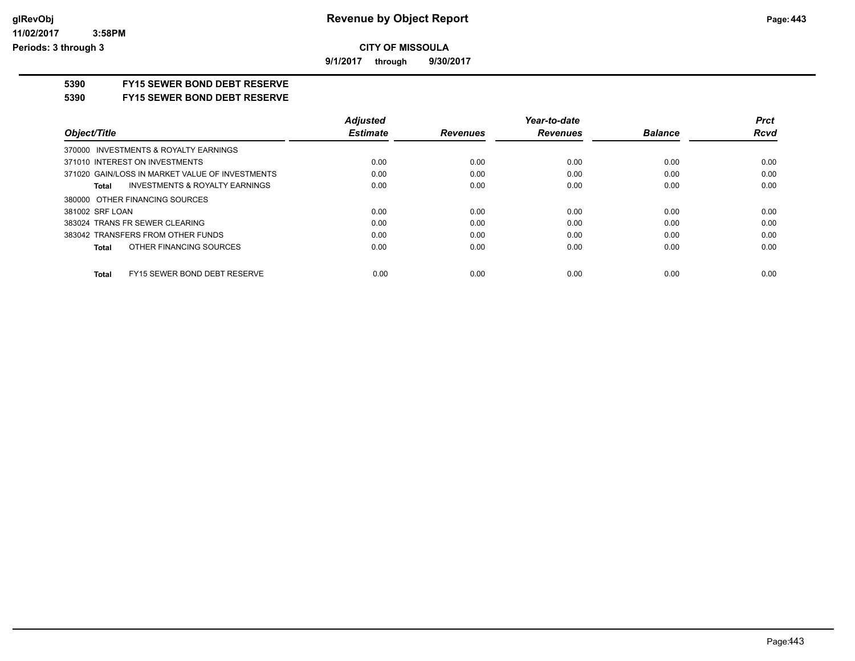**9/1/2017 through 9/30/2017**

### **5390 FY15 SEWER BOND DEBT RESERVE**

#### **5390 FY15 SEWER BOND DEBT RESERVE**

|                                                    | <b>Adjusted</b> |                 | Year-to-date    |                | <b>Prct</b> |
|----------------------------------------------------|-----------------|-----------------|-----------------|----------------|-------------|
| Object/Title                                       | <b>Estimate</b> | <b>Revenues</b> | <b>Revenues</b> | <b>Balance</b> | <b>Rcvd</b> |
| 370000 INVESTMENTS & ROYALTY EARNINGS              |                 |                 |                 |                |             |
| 371010 INTEREST ON INVESTMENTS                     | 0.00            | 0.00            | 0.00            | 0.00           | 0.00        |
| 371020 GAIN/LOSS IN MARKET VALUE OF INVESTMENTS    | 0.00            | 0.00            | 0.00            | 0.00           | 0.00        |
| <b>INVESTMENTS &amp; ROYALTY EARNINGS</b><br>Total | 0.00            | 0.00            | 0.00            | 0.00           | 0.00        |
| 380000 OTHER FINANCING SOURCES                     |                 |                 |                 |                |             |
| 381002 SRF LOAN                                    | 0.00            | 0.00            | 0.00            | 0.00           | 0.00        |
| 383024 TRANS FR SEWER CLEARING                     | 0.00            | 0.00            | 0.00            | 0.00           | 0.00        |
| 383042 TRANSFERS FROM OTHER FUNDS                  | 0.00            | 0.00            | 0.00            | 0.00           | 0.00        |
| OTHER FINANCING SOURCES<br>Total                   | 0.00            | 0.00            | 0.00            | 0.00           | 0.00        |
| FY15 SEWER BOND DEBT RESERVE<br>Total              | 0.00            | 0.00            | 0.00            | 0.00           | 0.00        |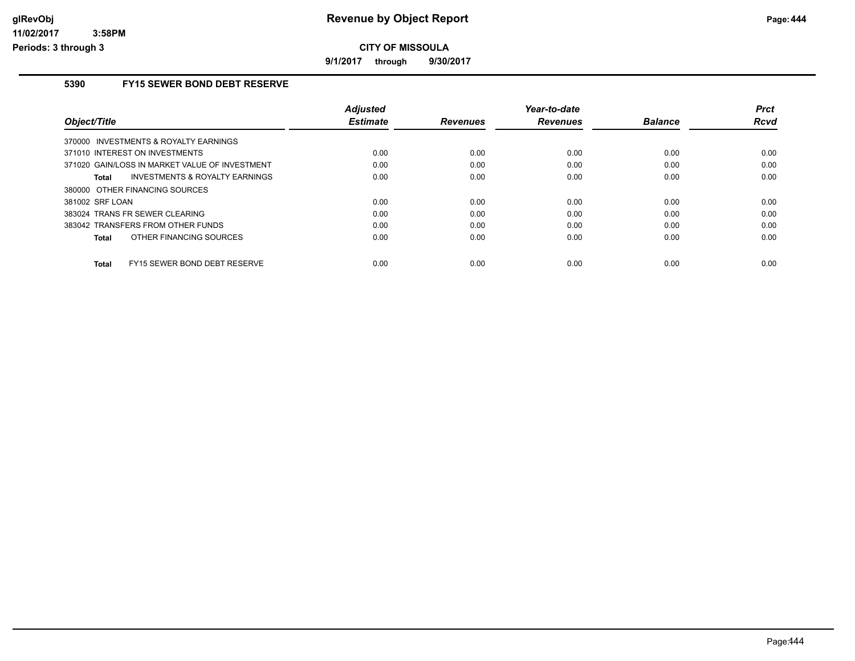**3:58PM**

**CITY OF MISSOULA**

**9/1/2017 through 9/30/2017**

#### **5390 FY15 SEWER BOND DEBT RESERVE**

| Object/Title                                   | <b>Adiusted</b><br><b>Estimate</b> | <b>Revenues</b> | Year-to-date<br><b>Revenues</b> | <b>Balance</b> | <b>Prct</b><br><b>Rcvd</b> |
|------------------------------------------------|------------------------------------|-----------------|---------------------------------|----------------|----------------------------|
| 370000 INVESTMENTS & ROYALTY EARNINGS          |                                    |                 |                                 |                |                            |
| 371010 INTEREST ON INVESTMENTS                 | 0.00                               | 0.00            | 0.00                            | 0.00           | 0.00                       |
| 371020 GAIN/LOSS IN MARKET VALUE OF INVESTMENT | 0.00                               | 0.00            | 0.00                            | 0.00           | 0.00                       |
| INVESTMENTS & ROYALTY EARNINGS<br>Total        | 0.00                               | 0.00            | 0.00                            | 0.00           | 0.00                       |
| 380000 OTHER FINANCING SOURCES                 |                                    |                 |                                 |                |                            |
| 381002 SRF LOAN                                | 0.00                               | 0.00            | 0.00                            | 0.00           | 0.00                       |
| 383024 TRANS FR SEWER CLEARING                 | 0.00                               | 0.00            | 0.00                            | 0.00           | 0.00                       |
| 383042 TRANSFERS FROM OTHER FUNDS              | 0.00                               | 0.00            | 0.00                            | 0.00           | 0.00                       |
| OTHER FINANCING SOURCES<br>Total               | 0.00                               | 0.00            | 0.00                            | 0.00           | 0.00                       |
| FY15 SEWER BOND DEBT RESERVE<br>Total          | 0.00                               | 0.00            | 0.00                            | 0.00           | 0.00                       |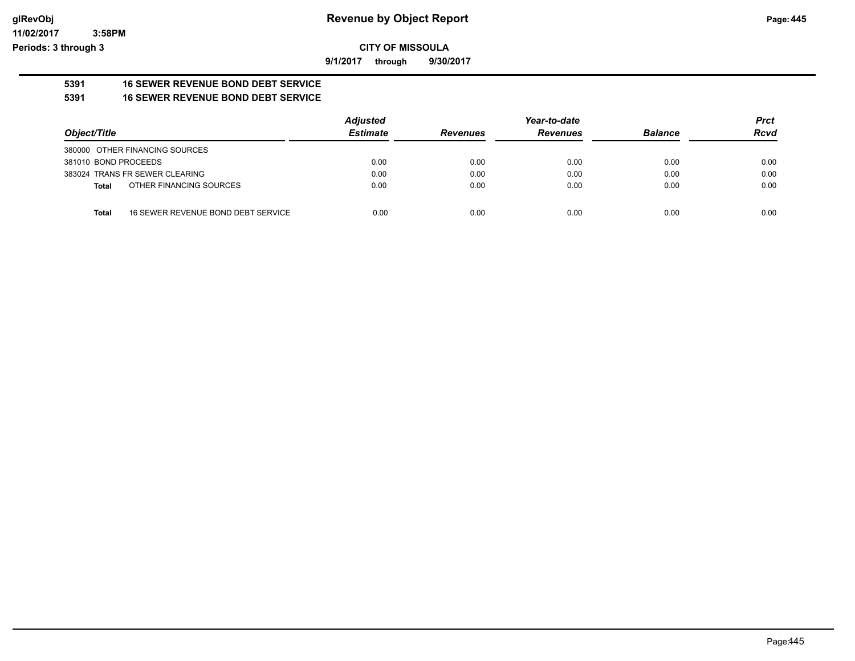**11/02/2017 3:58PM Periods: 3 through 3**

**CITY OF MISSOULA**

**9/1/2017 through 9/30/2017**

# **5391 16 SEWER REVENUE BOND DEBT SERVICE**

## **5391 16 SEWER REVENUE BOND DEBT SERVICE**

|                                             | <b>Adjusted</b> |                 | Year-to-date    |                | Prct |
|---------------------------------------------|-----------------|-----------------|-----------------|----------------|------|
| Object/Title                                | <b>Estimate</b> | <b>Revenues</b> | <b>Revenues</b> | <b>Balance</b> | Rcvd |
| 380000 OTHER FINANCING SOURCES              |                 |                 |                 |                |      |
| 381010 BOND PROCEEDS                        | 0.00            | 0.00            | 0.00            | 0.00           | 0.00 |
| 383024 TRANS FR SEWER CLEARING              | 0.00            | 0.00            | 0.00            | 0.00           | 0.00 |
| OTHER FINANCING SOURCES<br>Total            | 0.00            | 0.00            | 0.00            | 0.00           | 0.00 |
| 16 SEWER REVENUE BOND DEBT SERVICE<br>Total | 0.00            | 0.00            | 0.00            | 0.00           | 0.00 |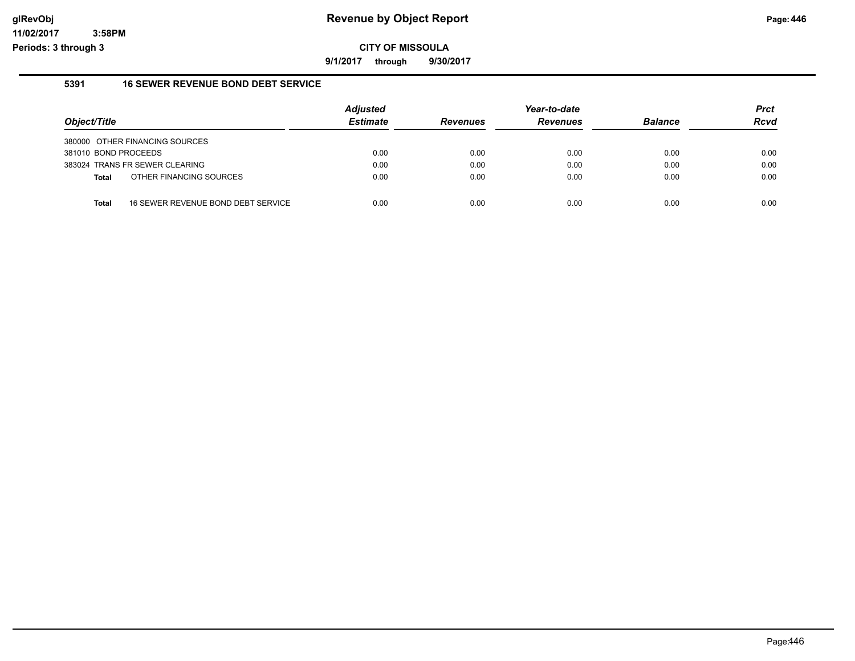**3:58PM**

**CITY OF MISSOULA**

**9/1/2017 through 9/30/2017**

#### **5391 16 SEWER REVENUE BOND DEBT SERVICE**

| Object/Title         |                                    | <b>Adjusted</b><br><b>Estimate</b> | <b>Revenues</b> | Year-to-date<br><b>Revenues</b> | <b>Balance</b> | <b>Prct</b><br><b>Rcvd</b> |
|----------------------|------------------------------------|------------------------------------|-----------------|---------------------------------|----------------|----------------------------|
|                      | 380000 OTHER FINANCING SOURCES     |                                    |                 |                                 |                |                            |
| 381010 BOND PROCEEDS |                                    | 0.00                               | 0.00            | 0.00                            | 0.00           | 0.00                       |
|                      | 383024 TRANS FR SEWER CLEARING     | 0.00                               | 0.00            | 0.00                            | 0.00           | 0.00                       |
| Total                | OTHER FINANCING SOURCES            | 0.00                               | 0.00            | 0.00                            | 0.00           | 0.00                       |
|                      |                                    |                                    |                 |                                 |                |                            |
| Total                | 16 SEWER REVENUE BOND DEBT SERVICE | 0.00                               | 0.00            | 0.00                            | 0.00           | 0.00                       |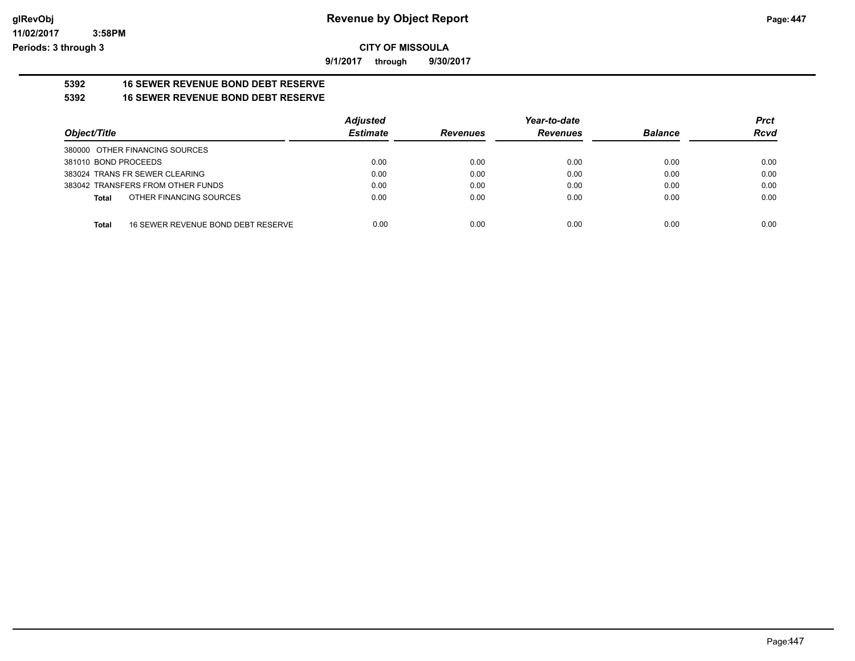# **11/02/2017**

**Periods: 3 through 3**

 **3:58PM**

**CITY OF MISSOULA**

**9/1/2017 through 9/30/2017**

# **5392 16 SEWER REVENUE BOND DEBT RESERVE**

### **5392 16 SEWER REVENUE BOND DEBT RESERVE**

|                      |                                    | <b>Adjusted</b> |                 | Year-to-date    |                | <b>Prct</b> |
|----------------------|------------------------------------|-----------------|-----------------|-----------------|----------------|-------------|
| Object/Title         |                                    | <b>Estimate</b> | <b>Revenues</b> | <b>Revenues</b> | <b>Balance</b> | <b>Rcvd</b> |
|                      | 380000 OTHER FINANCING SOURCES     |                 |                 |                 |                |             |
| 381010 BOND PROCEEDS |                                    | 0.00            | 0.00            | 0.00            | 0.00           | 0.00        |
|                      | 383024 TRANS FR SEWER CLEARING     | 0.00            | 0.00            | 0.00            | 0.00           | 0.00        |
|                      | 383042 TRANSFERS FROM OTHER FUNDS  | 0.00            | 0.00            | 0.00            | 0.00           | 0.00        |
| Total                | OTHER FINANCING SOURCES            | 0.00            | 0.00            | 0.00            | 0.00           | 0.00        |
|                      |                                    |                 |                 |                 |                |             |
| <b>Total</b>         | 16 SEWER REVENUE BOND DEBT RESERVE | 0.00            | 0.00            | 0.00            | 0.00           | 0.00        |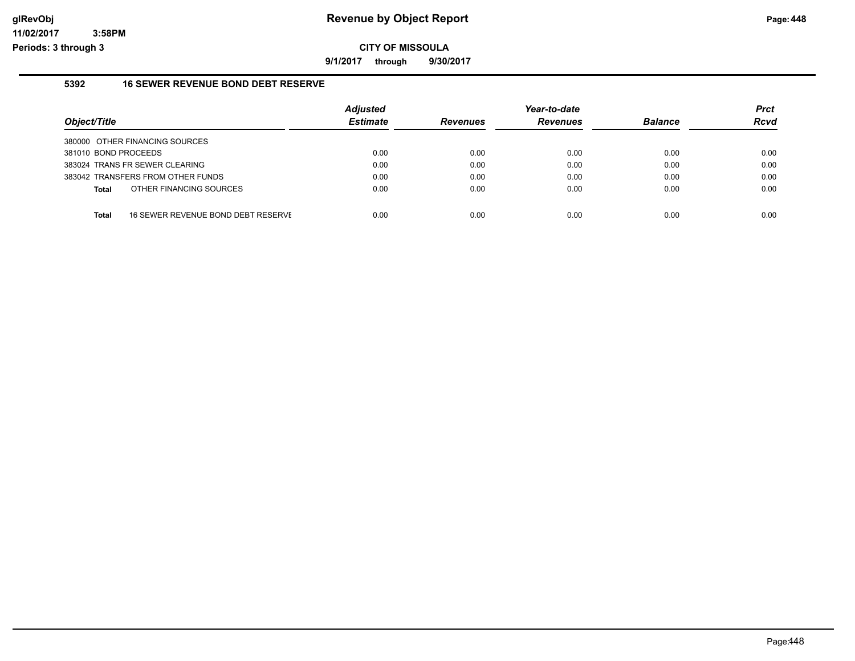**9/1/2017 through 9/30/2017**

#### **5392 16 SEWER REVENUE BOND DEBT RESERVE**

| Object/Title         |                                    | <b>Adjusted</b><br><b>Estimate</b> | <b>Revenues</b> | Year-to-date<br><b>Revenues</b> | <b>Balance</b> | <b>Prct</b><br><b>Rcvd</b> |
|----------------------|------------------------------------|------------------------------------|-----------------|---------------------------------|----------------|----------------------------|
|                      | 380000 OTHER FINANCING SOURCES     |                                    |                 |                                 |                |                            |
| 381010 BOND PROCEEDS |                                    | 0.00                               | 0.00            | 0.00                            | 0.00           | 0.00                       |
|                      | 383024 TRANS FR SEWER CLEARING     | 0.00                               | 0.00            | 0.00                            | 0.00           | 0.00                       |
|                      | 383042 TRANSFERS FROM OTHER FUNDS  | 0.00                               | 0.00            | 0.00                            | 0.00           | 0.00                       |
| Total                | OTHER FINANCING SOURCES            | 0.00                               | 0.00            | 0.00                            | 0.00           | 0.00                       |
|                      |                                    |                                    |                 |                                 |                |                            |
| Total                | 16 SEWER REVENUE BOND DEBT RESERVE | 0.00                               | 0.00            | 0.00                            | 0.00           | 0.00                       |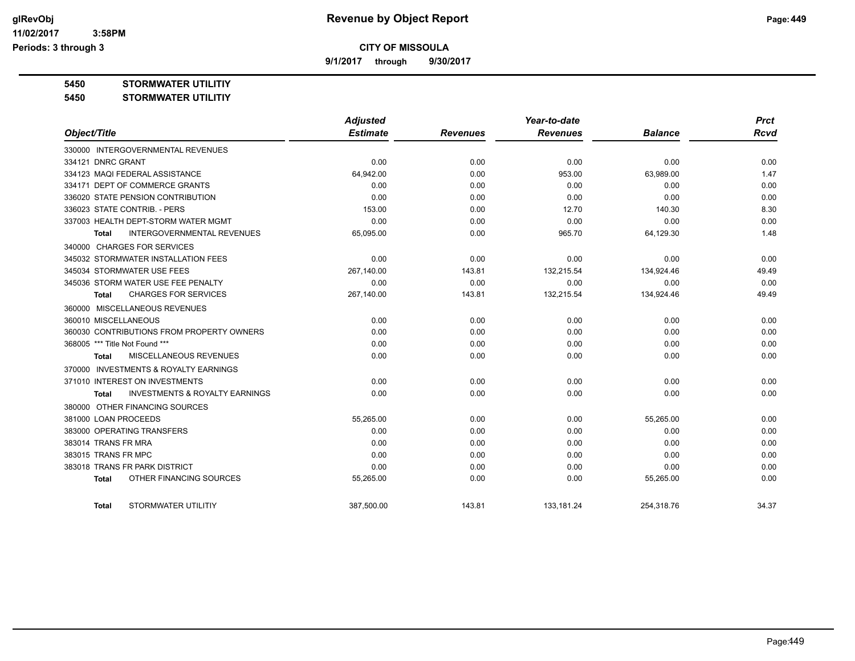**9/1/2017 through 9/30/2017**

#### **5450 STORMWATER UTILITIY**

**5450 STORMWATER UTILITIY**

|                                                     | <b>Adjusted</b> |                 | Year-to-date    |                | <b>Prct</b> |
|-----------------------------------------------------|-----------------|-----------------|-----------------|----------------|-------------|
| Object/Title                                        | <b>Estimate</b> | <b>Revenues</b> | <b>Revenues</b> | <b>Balance</b> | <b>Rcvd</b> |
| 330000 INTERGOVERNMENTAL REVENUES                   |                 |                 |                 |                |             |
| 334121 DNRC GRANT                                   | 0.00            | 0.00            | 0.00            | 0.00           | 0.00        |
| 334123 MAQI FEDERAL ASSISTANCE                      | 64,942.00       | 0.00            | 953.00          | 63.989.00      | 1.47        |
| 334171 DEPT OF COMMERCE GRANTS                      | 0.00            | 0.00            | 0.00            | 0.00           | 0.00        |
| 336020 STATE PENSION CONTRIBUTION                   | 0.00            | 0.00            | 0.00            | 0.00           | 0.00        |
| 336023 STATE CONTRIB. - PERS                        | 153.00          | 0.00            | 12.70           | 140.30         | 8.30        |
| 337003 HEALTH DEPT-STORM WATER MGMT                 | 0.00            | 0.00            | 0.00            | 0.00           | 0.00        |
| <b>INTERGOVERNMENTAL REVENUES</b><br>Total          | 65,095.00       | 0.00            | 965.70          | 64,129.30      | 1.48        |
| 340000 CHARGES FOR SERVICES                         |                 |                 |                 |                |             |
| 345032 STORMWATER INSTALLATION FEES                 | 0.00            | 0.00            | 0.00            | 0.00           | 0.00        |
| 345034 STORMWATER USE FEES                          | 267,140.00      | 143.81          | 132,215.54      | 134,924.46     | 49.49       |
| 345036 STORM WATER USE FEE PENALTY                  | 0.00            | 0.00            | 0.00            | 0.00           | 0.00        |
| <b>CHARGES FOR SERVICES</b><br><b>Total</b>         | 267,140.00      | 143.81          | 132,215.54      | 134,924.46     | 49.49       |
| 360000 MISCELLANEOUS REVENUES                       |                 |                 |                 |                |             |
| 360010 MISCELLANEOUS                                | 0.00            | 0.00            | 0.00            | 0.00           | 0.00        |
| 360030 CONTRIBUTIONS FROM PROPERTY OWNERS           | 0.00            | 0.00            | 0.00            | 0.00           | 0.00        |
| 368005 *** Title Not Found ***                      | 0.00            | 0.00            | 0.00            | 0.00           | 0.00        |
| <b>MISCELLANEOUS REVENUES</b><br>Total              | 0.00            | 0.00            | 0.00            | 0.00           | 0.00        |
| <b>INVESTMENTS &amp; ROYALTY EARNINGS</b><br>370000 |                 |                 |                 |                |             |
| 371010 INTEREST ON INVESTMENTS                      | 0.00            | 0.00            | 0.00            | 0.00           | 0.00        |
| <b>INVESTMENTS &amp; ROYALTY EARNINGS</b><br>Total  | 0.00            | 0.00            | 0.00            | 0.00           | 0.00        |
| 380000 OTHER FINANCING SOURCES                      |                 |                 |                 |                |             |
| 381000 LOAN PROCEEDS                                | 55,265.00       | 0.00            | 0.00            | 55,265.00      | 0.00        |
| 383000 OPERATING TRANSFERS                          | 0.00            | 0.00            | 0.00            | 0.00           | 0.00        |
| 383014 TRANS FR MRA                                 | 0.00            | 0.00            | 0.00            | 0.00           | 0.00        |
| 383015 TRANS FR MPC                                 | 0.00            | 0.00            | 0.00            | 0.00           | 0.00        |
| 383018 TRANS FR PARK DISTRICT                       | 0.00            | 0.00            | 0.00            | 0.00           | 0.00        |
| OTHER FINANCING SOURCES<br><b>Total</b>             | 55,265.00       | 0.00            | 0.00            | 55,265.00      | 0.00        |
| STORMWATER UTILITIY<br>Total                        | 387.500.00      | 143.81          | 133.181.24      | 254.318.76     | 34.37       |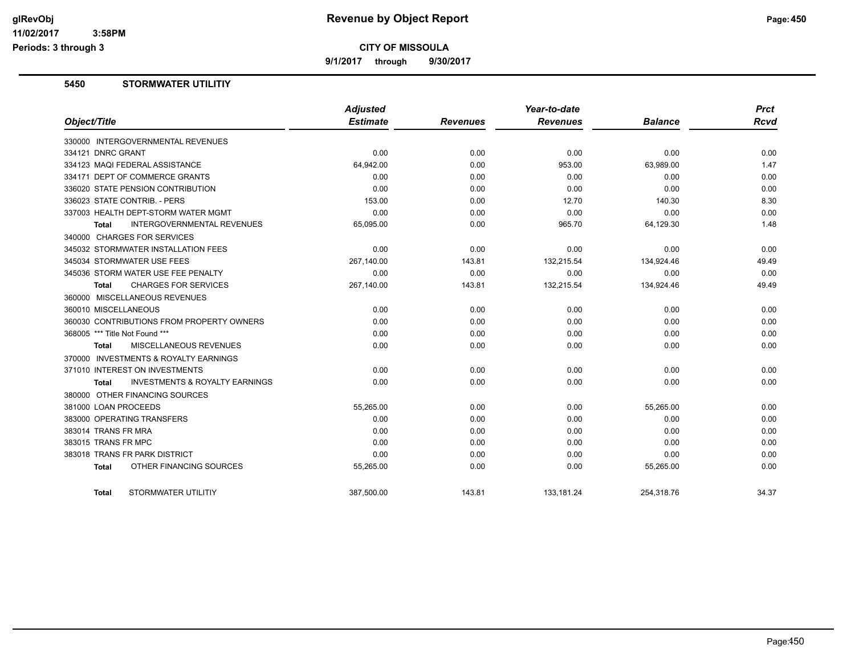**9/1/2017 through 9/30/2017**

#### **5450 STORMWATER UTILITIY**

|                                                    | <b>Adjusted</b> |                 | Year-to-date    |                | <b>Prct</b> |
|----------------------------------------------------|-----------------|-----------------|-----------------|----------------|-------------|
| Object/Title                                       | <b>Estimate</b> | <b>Revenues</b> | <b>Revenues</b> | <b>Balance</b> | <b>Rcvd</b> |
| 330000 INTERGOVERNMENTAL REVENUES                  |                 |                 |                 |                |             |
| 334121 DNRC GRANT                                  | 0.00            | 0.00            | 0.00            | 0.00           | 0.00        |
| 334123 MAQI FEDERAL ASSISTANCE                     | 64,942.00       | 0.00            | 953.00          | 63,989.00      | 1.47        |
| 334171 DEPT OF COMMERCE GRANTS                     | 0.00            | 0.00            | 0.00            | 0.00           | 0.00        |
| 336020 STATE PENSION CONTRIBUTION                  | 0.00            | 0.00            | 0.00            | 0.00           | 0.00        |
| 336023 STATE CONTRIB. - PERS                       | 153.00          | 0.00            | 12.70           | 140.30         | 8.30        |
| 337003 HEALTH DEPT-STORM WATER MGMT                | 0.00            | 0.00            | 0.00            | 0.00           | 0.00        |
| <b>INTERGOVERNMENTAL REVENUES</b><br>Total         | 65,095.00       | 0.00            | 965.70          | 64,129.30      | 1.48        |
| 340000 CHARGES FOR SERVICES                        |                 |                 |                 |                |             |
| 345032 STORMWATER INSTALLATION FEES                | 0.00            | 0.00            | 0.00            | 0.00           | 0.00        |
| 345034 STORMWATER USE FEES                         | 267,140.00      | 143.81          | 132,215.54      | 134,924.46     | 49.49       |
| 345036 STORM WATER USE FEE PENALTY                 | 0.00            | 0.00            | 0.00            | 0.00           | 0.00        |
| <b>CHARGES FOR SERVICES</b><br>Total               | 267,140.00      | 143.81          | 132,215.54      | 134,924.46     | 49.49       |
| 360000 MISCELLANEOUS REVENUES                      |                 |                 |                 |                |             |
| 360010 MISCELLANEOUS                               | 0.00            | 0.00            | 0.00            | 0.00           | 0.00        |
| 360030 CONTRIBUTIONS FROM PROPERTY OWNERS          | 0.00            | 0.00            | 0.00            | 0.00           | 0.00        |
| 368005 *** Title Not Found ***                     | 0.00            | 0.00            | 0.00            | 0.00           | 0.00        |
| MISCELLANEOUS REVENUES<br>Total                    | 0.00            | 0.00            | 0.00            | 0.00           | 0.00        |
| 370000 INVESTMENTS & ROYALTY EARNINGS              |                 |                 |                 |                |             |
| 371010 INTEREST ON INVESTMENTS                     | 0.00            | 0.00            | 0.00            | 0.00           | 0.00        |
| <b>INVESTMENTS &amp; ROYALTY EARNINGS</b><br>Total | 0.00            | 0.00            | 0.00            | 0.00           | 0.00        |
| 380000 OTHER FINANCING SOURCES                     |                 |                 |                 |                |             |
| 381000 LOAN PROCEEDS                               | 55,265.00       | 0.00            | 0.00            | 55,265.00      | 0.00        |
| 383000 OPERATING TRANSFERS                         | 0.00            | 0.00            | 0.00            | 0.00           | 0.00        |
| 383014 TRANS FR MRA                                | 0.00            | 0.00            | 0.00            | 0.00           | 0.00        |
| 383015 TRANS FR MPC                                | 0.00            | 0.00            | 0.00            | 0.00           | 0.00        |
| 383018 TRANS FR PARK DISTRICT                      | 0.00            | 0.00            | 0.00            | 0.00           | 0.00        |
| OTHER FINANCING SOURCES<br><b>Total</b>            | 55,265.00       | 0.00            | 0.00            | 55,265.00      | 0.00        |
| STORMWATER UTILITIY<br><b>Total</b>                | 387,500.00      | 143.81          | 133,181.24      | 254,318.76     | 34.37       |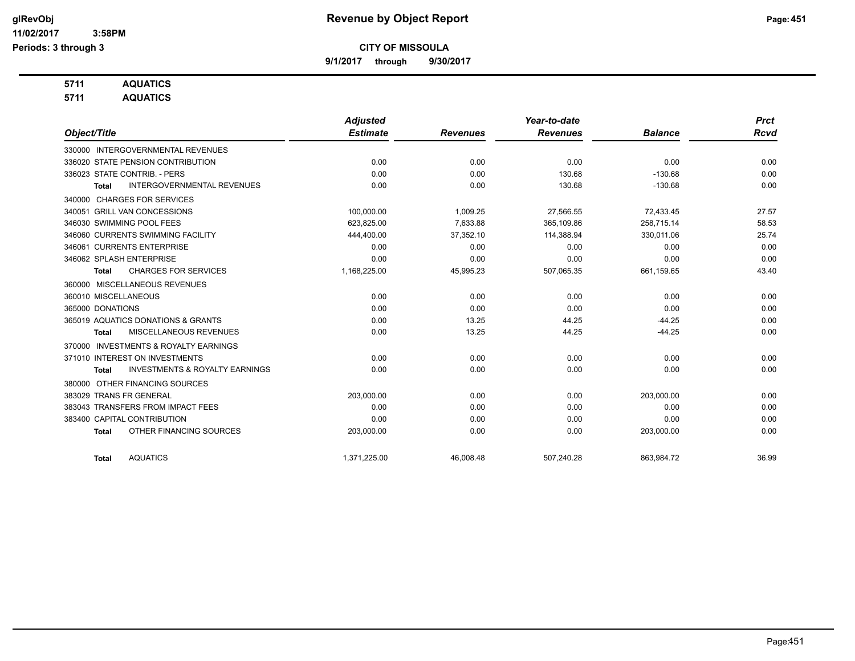**9/1/2017 through 9/30/2017**

### **5711 AQUATICS**

**5711 AQUATICS**

|                                                           | <b>Adjusted</b> |                 | Year-to-date    |                | <b>Prct</b> |
|-----------------------------------------------------------|-----------------|-----------------|-----------------|----------------|-------------|
| Object/Title                                              | <b>Estimate</b> | <b>Revenues</b> | <b>Revenues</b> | <b>Balance</b> | <b>Rcvd</b> |
| 330000 INTERGOVERNMENTAL REVENUES                         |                 |                 |                 |                |             |
| 336020 STATE PENSION CONTRIBUTION                         | 0.00            | 0.00            | 0.00            | 0.00           | 0.00        |
| 336023 STATE CONTRIB. - PERS                              | 0.00            | 0.00            | 130.68          | $-130.68$      | 0.00        |
| <b>INTERGOVERNMENTAL REVENUES</b><br>Total                | 0.00            | 0.00            | 130.68          | $-130.68$      | 0.00        |
| <b>CHARGES FOR SERVICES</b><br>340000                     |                 |                 |                 |                |             |
| 340051 GRILL VAN CONCESSIONS                              | 100.000.00      | 1.009.25        | 27,566.55       | 72.433.45      | 27.57       |
| 346030 SWIMMING POOL FEES                                 | 623.825.00      | 7,633.88        | 365.109.86      | 258.715.14     | 58.53       |
| 346060 CURRENTS SWIMMING FACILITY                         | 444,400.00      | 37,352.10       | 114,388.94      | 330,011.06     | 25.74       |
| 346061 CURRENTS ENTERPRISE                                | 0.00            | 0.00            | 0.00            | 0.00           | 0.00        |
| 346062 SPLASH ENTERPRISE                                  | 0.00            | 0.00            | 0.00            | 0.00           | 0.00        |
| <b>CHARGES FOR SERVICES</b><br><b>Total</b>               | 1,168,225.00    | 45,995.23       | 507,065.35      | 661,159.65     | 43.40       |
| 360000 MISCELLANEOUS REVENUES                             |                 |                 |                 |                |             |
| 360010 MISCELLANEOUS                                      | 0.00            | 0.00            | 0.00            | 0.00           | 0.00        |
| 365000 DONATIONS                                          | 0.00            | 0.00            | 0.00            | 0.00           | 0.00        |
| 365019 AQUATICS DONATIONS & GRANTS                        | 0.00            | 13.25           | 44.25           | $-44.25$       | 0.00        |
| MISCELLANEOUS REVENUES<br>Total                           | 0.00            | 13.25           | 44.25           | $-44.25$       | 0.00        |
| <b>INVESTMENTS &amp; ROYALTY EARNINGS</b><br>370000       |                 |                 |                 |                |             |
| 371010 INTEREST ON INVESTMENTS                            | 0.00            | 0.00            | 0.00            | 0.00           | 0.00        |
| <b>INVESTMENTS &amp; ROYALTY EARNINGS</b><br><b>Total</b> | 0.00            | 0.00            | 0.00            | 0.00           | 0.00        |
| OTHER FINANCING SOURCES<br>380000                         |                 |                 |                 |                |             |
| 383029 TRANS FR GENERAL                                   | 203,000.00      | 0.00            | 0.00            | 203,000.00     | 0.00        |
| 383043 TRANSFERS FROM IMPACT FEES                         | 0.00            | 0.00            | 0.00            | 0.00           | 0.00        |
| 383400 CAPITAL CONTRIBUTION                               | 0.00            | 0.00            | 0.00            | 0.00           | 0.00        |
| OTHER FINANCING SOURCES<br><b>Total</b>                   | 203,000.00      | 0.00            | 0.00            | 203,000.00     | 0.00        |
| <b>AQUATICS</b><br><b>Total</b>                           | 1,371,225.00    | 46,008.48       | 507,240.28      | 863,984.72     | 36.99       |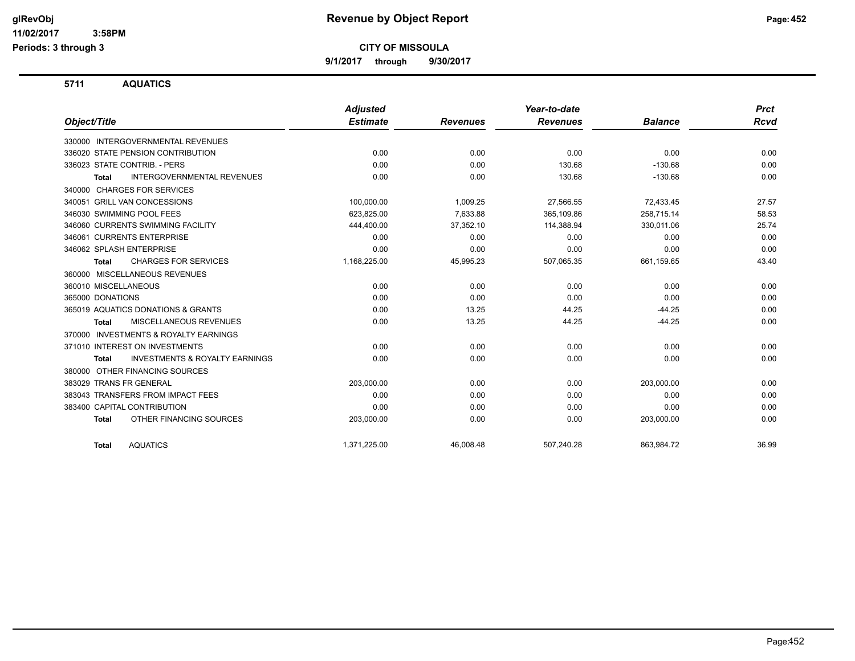**11/02/2017 3:58PM Periods: 3 through 3**

**CITY OF MISSOULA**

**9/1/2017 through 9/30/2017**

**5711 AQUATICS**

|                                                           | <b>Adjusted</b> |                 | Year-to-date    |                | <b>Prct</b> |
|-----------------------------------------------------------|-----------------|-----------------|-----------------|----------------|-------------|
| Object/Title                                              | <b>Estimate</b> | <b>Revenues</b> | <b>Revenues</b> | <b>Balance</b> | <b>Rcvd</b> |
| <b>INTERGOVERNMENTAL REVENUES</b><br>330000               |                 |                 |                 |                |             |
| 336020 STATE PENSION CONTRIBUTION                         | 0.00            | 0.00            | 0.00            | 0.00           | 0.00        |
| 336023 STATE CONTRIB. - PERS                              | 0.00            | 0.00            | 130.68          | $-130.68$      | 0.00        |
| <b>INTERGOVERNMENTAL REVENUES</b><br>Total                | 0.00            | 0.00            | 130.68          | $-130.68$      | 0.00        |
| 340000 CHARGES FOR SERVICES                               |                 |                 |                 |                |             |
| <b>GRILL VAN CONCESSIONS</b><br>340051                    | 100,000.00      | 1,009.25        | 27,566.55       | 72,433.45      | 27.57       |
| 346030 SWIMMING POOL FEES                                 | 623,825.00      | 7.633.88        | 365,109.86      | 258,715.14     | 58.53       |
| 346060 CURRENTS SWIMMING FACILITY                         | 444,400.00      | 37,352.10       | 114,388.94      | 330,011.06     | 25.74       |
| 346061 CURRENTS ENTERPRISE                                | 0.00            | 0.00            | 0.00            | 0.00           | 0.00        |
| 346062 SPLASH ENTERPRISE                                  | 0.00            | 0.00            | 0.00            | 0.00           | 0.00        |
| <b>CHARGES FOR SERVICES</b><br><b>Total</b>               | 1,168,225.00    | 45,995.23       | 507,065.35      | 661,159.65     | 43.40       |
| 360000 MISCELLANEOUS REVENUES                             |                 |                 |                 |                |             |
| 360010 MISCELLANEOUS                                      | 0.00            | 0.00            | 0.00            | 0.00           | 0.00        |
| 365000 DONATIONS                                          | 0.00            | 0.00            | 0.00            | 0.00           | 0.00        |
| 365019 AQUATICS DONATIONS & GRANTS                        | 0.00            | 13.25           | 44.25           | $-44.25$       | 0.00        |
| MISCELLANEOUS REVENUES<br><b>Total</b>                    | 0.00            | 13.25           | 44.25           | $-44.25$       | 0.00        |
| <b>INVESTMENTS &amp; ROYALTY EARNINGS</b><br>370000       |                 |                 |                 |                |             |
| 371010 INTEREST ON INVESTMENTS                            | 0.00            | 0.00            | 0.00            | 0.00           | 0.00        |
| <b>INVESTMENTS &amp; ROYALTY EARNINGS</b><br><b>Total</b> | 0.00            | 0.00            | 0.00            | 0.00           | 0.00        |
| OTHER FINANCING SOURCES<br>380000                         |                 |                 |                 |                |             |
| 383029 TRANS FR GENERAL                                   | 203,000.00      | 0.00            | 0.00            | 203,000.00     | 0.00        |
| 383043 TRANSFERS FROM IMPACT FEES                         | 0.00            | 0.00            | 0.00            | 0.00           | 0.00        |
| 383400 CAPITAL CONTRIBUTION                               | 0.00            | 0.00            | 0.00            | 0.00           | 0.00        |
| OTHER FINANCING SOURCES<br><b>Total</b>                   | 203,000.00      | 0.00            | 0.00            | 203,000.00     | 0.00        |
| <b>AQUATICS</b><br>Total                                  | 1,371,225.00    | 46,008.48       | 507,240.28      | 863,984.72     | 36.99       |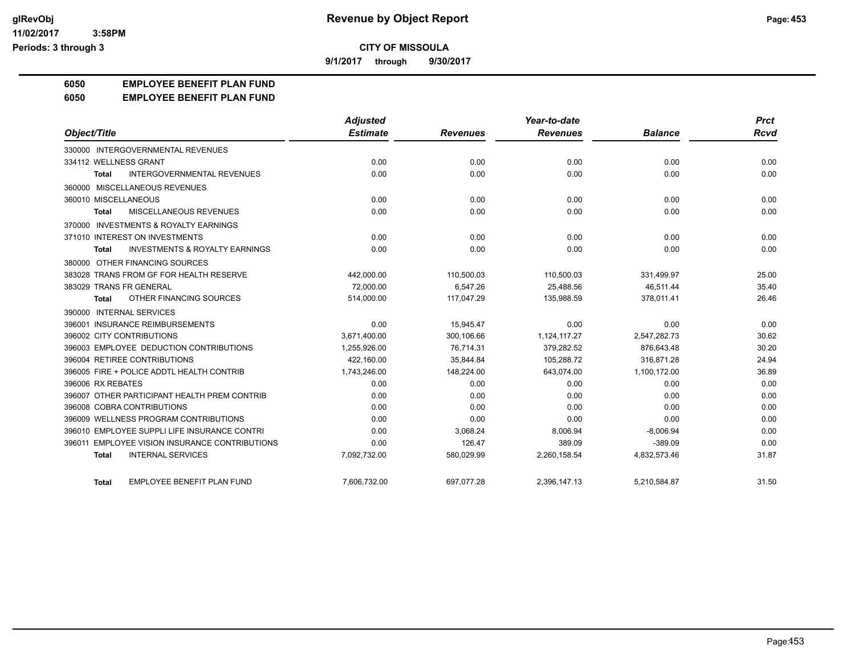**9/1/2017 through 9/30/2017**

#### **6050 EMPLOYEE BENEFIT PLAN FUND**

#### **6050 EMPLOYEE BENEFIT PLAN FUND**

|                                                    | <b>Adjusted</b> |                 | Year-to-date    |                | <b>Prct</b> |
|----------------------------------------------------|-----------------|-----------------|-----------------|----------------|-------------|
| Object/Title                                       | <b>Estimate</b> | <b>Revenues</b> | <b>Revenues</b> | <b>Balance</b> | <b>Rcvd</b> |
| 330000 INTERGOVERNMENTAL REVENUES                  |                 |                 |                 |                |             |
| 334112 WELLNESS GRANT                              | 0.00            | 0.00            | 0.00            | 0.00           | 0.00        |
| <b>INTERGOVERNMENTAL REVENUES</b><br>Total         | 0.00            | 0.00            | 0.00            | 0.00           | 0.00        |
| 360000 MISCELLANEOUS REVENUES                      |                 |                 |                 |                |             |
| 360010 MISCELLANEOUS                               | 0.00            | 0.00            | 0.00            | 0.00           | 0.00        |
| MISCELLANEOUS REVENUES<br><b>Total</b>             | 0.00            | 0.00            | 0.00            | 0.00           | 0.00        |
| 370000 INVESTMENTS & ROYALTY EARNINGS              |                 |                 |                 |                |             |
| 371010 INTEREST ON INVESTMENTS                     | 0.00            | 0.00            | 0.00            | 0.00           | 0.00        |
| <b>INVESTMENTS &amp; ROYALTY EARNINGS</b><br>Total | 0.00            | 0.00            | 0.00            | 0.00           | 0.00        |
| 380000 OTHER FINANCING SOURCES                     |                 |                 |                 |                |             |
| 383028 TRANS FROM GF FOR HEALTH RESERVE            | 442,000.00      | 110,500.03      | 110,500.03      | 331,499.97     | 25.00       |
| 383029 TRANS FR GENERAL                            | 72.000.00       | 6,547.26        | 25,488.56       | 46.511.44      | 35.40       |
| OTHER FINANCING SOURCES<br><b>Total</b>            | 514,000.00      | 117,047.29      | 135,988.59      | 378,011.41     | 26.46       |
| 390000 INTERNAL SERVICES                           |                 |                 |                 |                |             |
| 396001 INSURANCE REIMBURSEMENTS                    | 0.00            | 15,945.47       | 0.00            | 0.00           | 0.00        |
| 396002 CITY CONTRIBUTIONS                          | 3,671,400.00    | 300.106.66      | 1,124,117.27    | 2,547,282.73   | 30.62       |
| 396003 EMPLOYEE DEDUCTION CONTRIBUTIONS            | 1,255,926.00    | 76,714.31       | 379,282.52      | 876,643.48     | 30.20       |
| 396004 RETIREE CONTRIBUTIONS                       | 422.160.00      | 35,844.84       | 105,288.72      | 316,871.28     | 24.94       |
| 396005 FIRE + POLICE ADDTL HEALTH CONTRIB          | 1.743.246.00    | 148.224.00      | 643.074.00      | 1,100,172.00   | 36.89       |
| 396006 RX REBATES                                  | 0.00            | 0.00            | 0.00            | 0.00           | 0.00        |
| 396007 OTHER PARTICIPANT HEALTH PREM CONTRIB       | 0.00            | 0.00            | 0.00            | 0.00           | 0.00        |
| 396008 COBRA CONTRIBUTIONS                         | 0.00            | 0.00            | 0.00            | 0.00           | 0.00        |
| 396009 WELLNESS PROGRAM CONTRIBUTIONS              | 0.00            | 0.00            | 0.00            | 0.00           | 0.00        |
| 396010 EMPLOYEE SUPPLI LIFE INSURANCE CONTRI       | 0.00            | 3,068.24        | 8,006.94        | $-8,006.94$    | 0.00        |
| 396011 EMPLOYEE VISION INSURANCE CONTRIBUTIONS     | 0.00            | 126.47          | 389.09          | $-389.09$      | 0.00        |
| <b>INTERNAL SERVICES</b><br><b>Total</b>           | 7,092,732.00    | 580,029.99      | 2,260,158.54    | 4,832,573.46   | 31.87       |
| <b>EMPLOYEE BENEFIT PLAN FUND</b><br><b>Total</b>  | 7,606,732.00    | 697,077.28      | 2,396,147.13    | 5,210,584.87   | 31.50       |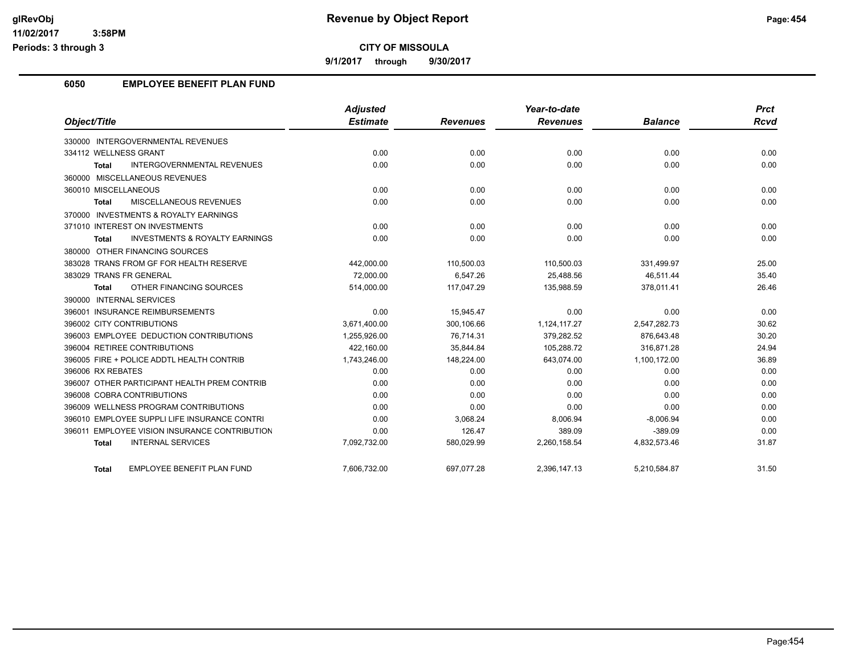**CITY OF MISSOULA**

**9/1/2017 through 9/30/2017**

#### **6050 EMPLOYEE BENEFIT PLAN FUND**

 **3:58PM**

|                                                           | <b>Adjusted</b> |                 | Year-to-date    |                | <b>Prct</b> |
|-----------------------------------------------------------|-----------------|-----------------|-----------------|----------------|-------------|
| Object/Title                                              | <b>Estimate</b> | <b>Revenues</b> | <b>Revenues</b> | <b>Balance</b> | Rcvd        |
| 330000 INTERGOVERNMENTAL REVENUES                         |                 |                 |                 |                |             |
| 334112 WELLNESS GRANT                                     | 0.00            | 0.00            | 0.00            | 0.00           | 0.00        |
| <b>INTERGOVERNMENTAL REVENUES</b><br><b>Total</b>         | 0.00            | 0.00            | 0.00            | 0.00           | 0.00        |
| 360000 MISCELLANEOUS REVENUES                             |                 |                 |                 |                |             |
| 360010 MISCELLANEOUS                                      | 0.00            | 0.00            | 0.00            | 0.00           | 0.00        |
| MISCELLANEOUS REVENUES<br><b>Total</b>                    | 0.00            | 0.00            | 0.00            | 0.00           | 0.00        |
| 370000 INVESTMENTS & ROYALTY EARNINGS                     |                 |                 |                 |                |             |
| 371010 INTEREST ON INVESTMENTS                            | 0.00            | 0.00            | 0.00            | 0.00           | 0.00        |
| <b>INVESTMENTS &amp; ROYALTY EARNINGS</b><br><b>Total</b> | 0.00            | 0.00            | 0.00            | 0.00           | 0.00        |
| 380000 OTHER FINANCING SOURCES                            |                 |                 |                 |                |             |
| 383028 TRANS FROM GF FOR HEALTH RESERVE                   | 442,000.00      | 110,500.03      | 110,500.03      | 331,499.97     | 25.00       |
| 383029 TRANS FR GENERAL                                   | 72.000.00       | 6.547.26        | 25.488.56       | 46.511.44      | 35.40       |
| OTHER FINANCING SOURCES<br><b>Total</b>                   | 514,000.00      | 117,047.29      | 135,988.59      | 378,011.41     | 26.46       |
| 390000 INTERNAL SERVICES                                  |                 |                 |                 |                |             |
| 396001 INSURANCE REIMBURSEMENTS                           | 0.00            | 15,945.47       | 0.00            | 0.00           | 0.00        |
| 396002 CITY CONTRIBUTIONS                                 | 3,671,400.00    | 300,106.66      | 1,124,117.27    | 2,547,282.73   | 30.62       |
| 396003 EMPLOYEE DEDUCTION CONTRIBUTIONS                   | 1,255,926.00    | 76,714.31       | 379,282.52      | 876,643.48     | 30.20       |
| 396004 RETIREE CONTRIBUTIONS                              | 422,160.00      | 35,844.84       | 105,288.72      | 316,871.28     | 24.94       |
| 396005 FIRE + POLICE ADDTL HEALTH CONTRIB                 | 1,743,246.00    | 148,224.00      | 643,074.00      | 1,100,172.00   | 36.89       |
| 396006 RX REBATES                                         | 0.00            | 0.00            | 0.00            | 0.00           | 0.00        |
| 396007 OTHER PARTICIPANT HEALTH PREM CONTRIB              | 0.00            | 0.00            | 0.00            | 0.00           | 0.00        |
| 396008 COBRA CONTRIBUTIONS                                | 0.00            | 0.00            | 0.00            | 0.00           | 0.00        |
| 396009 WELLNESS PROGRAM CONTRIBUTIONS                     | 0.00            | 0.00            | 0.00            | 0.00           | 0.00        |
| 396010 EMPLOYEE SUPPLI LIFE INSURANCE CONTRI              | 0.00            | 3,068.24        | 8,006.94        | $-8,006.94$    | 0.00        |
| 396011 EMPLOYEE VISION INSURANCE CONTRIBUTION             | 0.00            | 126.47          | 389.09          | $-389.09$      | 0.00        |
| <b>INTERNAL SERVICES</b><br><b>Total</b>                  | 7,092,732.00    | 580,029.99      | 2,260,158.54    | 4,832,573.46   | 31.87       |
| EMPLOYEE BENEFIT PLAN FUND<br><b>Total</b>                | 7,606,732.00    | 697,077.28      | 2,396,147.13    | 5,210,584.87   | 31.50       |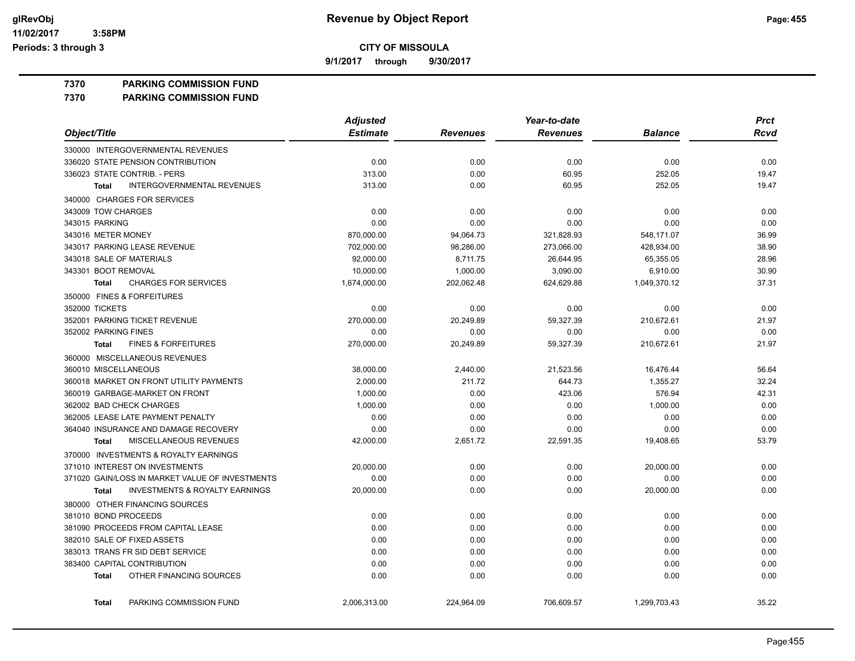**9/1/2017 through 9/30/2017**

**7370 PARKING COMMISSION FUND**

**7370 PARKING COMMISSION FUND**

|                                                           | <b>Adjusted</b> |                 | Year-to-date    | <b>Prct</b>    |       |
|-----------------------------------------------------------|-----------------|-----------------|-----------------|----------------|-------|
| Object/Title                                              | <b>Estimate</b> | <b>Revenues</b> | <b>Revenues</b> | <b>Balance</b> | Rcvd  |
| 330000 INTERGOVERNMENTAL REVENUES                         |                 |                 |                 |                |       |
| 336020 STATE PENSION CONTRIBUTION                         | 0.00            | 0.00            | 0.00            | 0.00           | 0.00  |
| 336023 STATE CONTRIB. - PERS                              | 313.00          | 0.00            | 60.95           | 252.05         | 19.47 |
| <b>INTERGOVERNMENTAL REVENUES</b><br><b>Total</b>         | 313.00          | 0.00            | 60.95           | 252.05         | 19.47 |
| 340000 CHARGES FOR SERVICES                               |                 |                 |                 |                |       |
| 343009 TOW CHARGES                                        | 0.00            | 0.00            | 0.00            | 0.00           | 0.00  |
| 343015 PARKING                                            | 0.00            | 0.00            | 0.00            | 0.00           | 0.00  |
| 343016 METER MONEY                                        | 870,000.00      | 94,064.73       | 321,828.93      | 548,171.07     | 36.99 |
| 343017 PARKING LEASE REVENUE                              | 702,000.00      | 98,286.00       | 273,066.00      | 428,934.00     | 38.90 |
| 343018 SALE OF MATERIALS                                  | 92,000.00       | 8,711.75        | 26,644.95       | 65,355.05      | 28.96 |
| 343301 BOOT REMOVAL                                       | 10,000.00       | 1,000.00        | 3,090.00        | 6,910.00       | 30.90 |
| <b>CHARGES FOR SERVICES</b><br>Total                      | 1,674,000.00    | 202,062.48      | 624,629.88      | 1,049,370.12   | 37.31 |
| 350000 FINES & FORFEITURES                                |                 |                 |                 |                |       |
| 352000 TICKETS                                            | 0.00            | 0.00            | 0.00            | 0.00           | 0.00  |
| 352001 PARKING TICKET REVENUE                             | 270,000.00      | 20,249.89       | 59,327.39       | 210,672.61     | 21.97 |
| 352002 PARKING FINES                                      | 0.00            | 0.00            | 0.00            | 0.00           | 0.00  |
| <b>FINES &amp; FORFEITURES</b><br>Total                   | 270,000.00      | 20,249.89       | 59,327.39       | 210,672.61     | 21.97 |
| 360000 MISCELLANEOUS REVENUES                             |                 |                 |                 |                |       |
| 360010 MISCELLANEOUS                                      | 38,000.00       | 2,440.00        | 21,523.56       | 16,476.44      | 56.64 |
| 360018 MARKET ON FRONT UTILITY PAYMENTS                   | 2,000.00        | 211.72          | 644.73          | 1,355.27       | 32.24 |
| 360019 GARBAGE-MARKET ON FRONT                            | 1,000.00        | 0.00            | 423.06          | 576.94         | 42.31 |
| 362002 BAD CHECK CHARGES                                  | 1,000.00        | 0.00            | 0.00            | 1,000.00       | 0.00  |
| 362005 LEASE LATE PAYMENT PENALTY                         | 0.00            | 0.00            | 0.00            | 0.00           | 0.00  |
| 364040 INSURANCE AND DAMAGE RECOVERY                      | 0.00            | 0.00            | 0.00            | 0.00           | 0.00  |
| MISCELLANEOUS REVENUES<br><b>Total</b>                    | 42,000.00       | 2,651.72        | 22,591.35       | 19,408.65      | 53.79 |
| 370000 INVESTMENTS & ROYALTY EARNINGS                     |                 |                 |                 |                |       |
| 371010 INTEREST ON INVESTMENTS                            | 20,000.00       | 0.00            | 0.00            | 20,000.00      | 0.00  |
| 371020 GAIN/LOSS IN MARKET VALUE OF INVESTMENTS           | 0.00            | 0.00            | 0.00            | 0.00           | 0.00  |
| <b>INVESTMENTS &amp; ROYALTY EARNINGS</b><br><b>Total</b> | 20,000.00       | 0.00            | 0.00            | 20,000.00      | 0.00  |
| 380000 OTHER FINANCING SOURCES                            |                 |                 |                 |                |       |
| 381010 BOND PROCEEDS                                      | 0.00            | 0.00            | 0.00            | 0.00           | 0.00  |
| 381090 PROCEEDS FROM CAPITAL LEASE                        | 0.00            | 0.00            | 0.00            | 0.00           | 0.00  |
| 382010 SALE OF FIXED ASSETS                               | 0.00            | 0.00            | 0.00            | 0.00           | 0.00  |
| 383013 TRANS FR SID DEBT SERVICE                          | 0.00            | 0.00            | 0.00            | 0.00           | 0.00  |
| 383400 CAPITAL CONTRIBUTION                               | 0.00            | 0.00            | 0.00            | 0.00           | 0.00  |
| OTHER FINANCING SOURCES<br><b>Total</b>                   | 0.00            | 0.00            | 0.00            | 0.00           | 0.00  |
| PARKING COMMISSION FUND<br><b>Total</b>                   | 2,006,313.00    | 224.964.09      | 706.609.57      | 1,299,703.43   | 35.22 |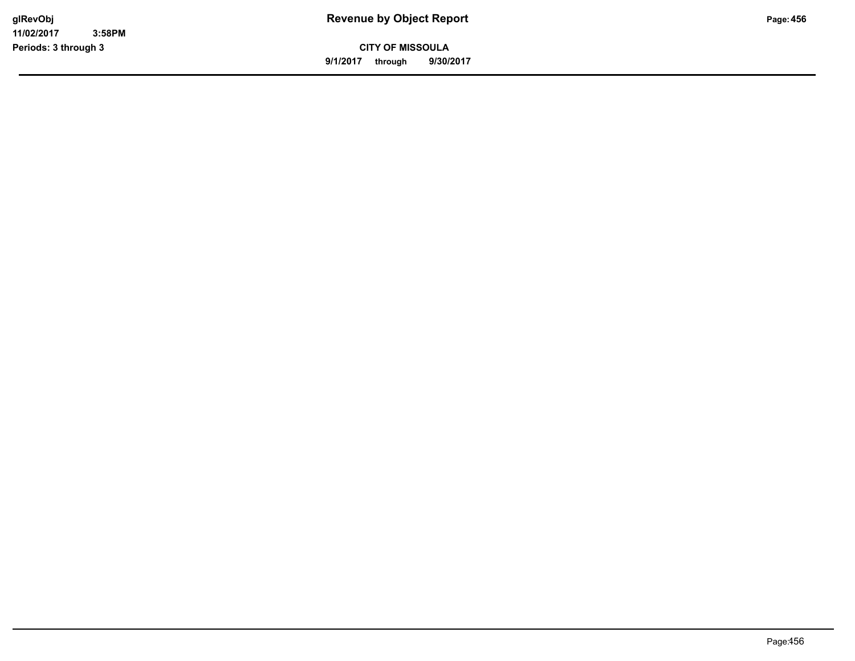**CITY OF MISSOULA 9/1/2017 through 9/30/2017**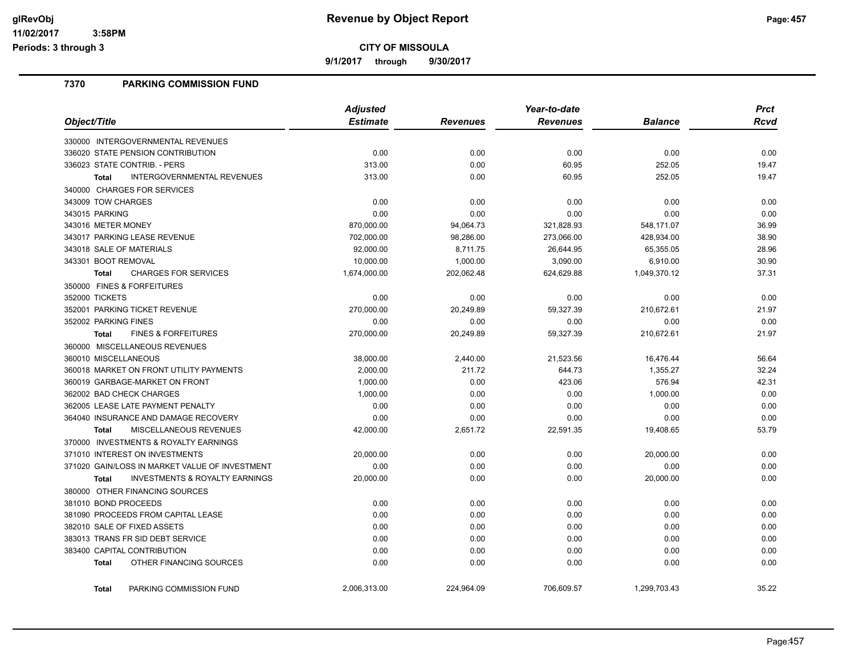**9/1/2017 through 9/30/2017**

#### **7370 PARKING COMMISSION FUND**

|                                                           | <b>Adjusted</b> |                 | Year-to-date    |                | <b>Prct</b> |
|-----------------------------------------------------------|-----------------|-----------------|-----------------|----------------|-------------|
| Object/Title                                              | <b>Estimate</b> | <b>Revenues</b> | <b>Revenues</b> | <b>Balance</b> | Rcvd        |
| 330000 INTERGOVERNMENTAL REVENUES                         |                 |                 |                 |                |             |
| 336020 STATE PENSION CONTRIBUTION                         | 0.00            | 0.00            | 0.00            | 0.00           | 0.00        |
| 336023 STATE CONTRIB. - PERS                              | 313.00          | 0.00            | 60.95           | 252.05         | 19.47       |
| INTERGOVERNMENTAL REVENUES<br><b>Total</b>                | 313.00          | 0.00            | 60.95           | 252.05         | 19.47       |
| 340000 CHARGES FOR SERVICES                               |                 |                 |                 |                |             |
| 343009 TOW CHARGES                                        | 0.00            | 0.00            | 0.00            | 0.00           | 0.00        |
| 343015 PARKING                                            | 0.00            | 0.00            | 0.00            | 0.00           | 0.00        |
| 343016 METER MONEY                                        | 870,000.00      | 94,064.73       | 321,828.93      | 548.171.07     | 36.99       |
| 343017 PARKING LEASE REVENUE                              | 702,000.00      | 98,286.00       | 273,066.00      | 428,934.00     | 38.90       |
| 343018 SALE OF MATERIALS                                  | 92,000.00       | 8,711.75        | 26,644.95       | 65,355.05      | 28.96       |
| 343301 BOOT REMOVAL                                       | 10,000.00       | 1,000.00        | 3,090.00        | 6,910.00       | 30.90       |
| <b>CHARGES FOR SERVICES</b><br><b>Total</b>               | 1,674,000.00    | 202,062.48      | 624,629.88      | 1,049,370.12   | 37.31       |
| 350000 FINES & FORFEITURES                                |                 |                 |                 |                |             |
| 352000 TICKETS                                            | 0.00            | 0.00            | 0.00            | 0.00           | 0.00        |
| 352001 PARKING TICKET REVENUE                             | 270,000.00      | 20,249.89       | 59,327.39       | 210,672.61     | 21.97       |
| 352002 PARKING FINES                                      | 0.00            | 0.00            | 0.00            | 0.00           | 0.00        |
| <b>FINES &amp; FORFEITURES</b><br><b>Total</b>            | 270,000.00      | 20,249.89       | 59,327.39       | 210,672.61     | 21.97       |
| 360000 MISCELLANEOUS REVENUES                             |                 |                 |                 |                |             |
| 360010 MISCELLANEOUS                                      | 38,000.00       | 2,440.00        | 21,523.56       | 16,476.44      | 56.64       |
| 360018 MARKET ON FRONT UTILITY PAYMENTS                   | 2,000.00        | 211.72          | 644.73          | 1,355.27       | 32.24       |
| 360019 GARBAGE-MARKET ON FRONT                            | 1,000.00        | 0.00            | 423.06          | 576.94         | 42.31       |
| 362002 BAD CHECK CHARGES                                  | 1,000.00        | 0.00            | 0.00            | 1,000.00       | 0.00        |
| 362005 LEASE LATE PAYMENT PENALTY                         | 0.00            | 0.00            | 0.00            | 0.00           | 0.00        |
| 364040 INSURANCE AND DAMAGE RECOVERY                      | 0.00            | 0.00            | 0.00            | 0.00           | 0.00        |
| MISCELLANEOUS REVENUES<br><b>Total</b>                    | 42,000.00       | 2,651.72        | 22,591.35       | 19,408.65      | 53.79       |
| 370000 INVESTMENTS & ROYALTY EARNINGS                     |                 |                 |                 |                |             |
| 371010 INTEREST ON INVESTMENTS                            | 20,000.00       | 0.00            | 0.00            | 20,000.00      | 0.00        |
| 371020 GAIN/LOSS IN MARKET VALUE OF INVESTMENT            | 0.00            | 0.00            | 0.00            | 0.00           | 0.00        |
| <b>INVESTMENTS &amp; ROYALTY EARNINGS</b><br><b>Total</b> | 20,000.00       | 0.00            | 0.00            | 20,000.00      | 0.00        |
| 380000 OTHER FINANCING SOURCES                            |                 |                 |                 |                |             |
| 381010 BOND PROCEEDS                                      | 0.00            | 0.00            | 0.00            | 0.00           | 0.00        |
| 381090 PROCEEDS FROM CAPITAL LEASE                        | 0.00            | 0.00            | 0.00            | 0.00           | 0.00        |
| 382010 SALE OF FIXED ASSETS                               | 0.00            | 0.00            | 0.00            | 0.00           | 0.00        |
| 383013 TRANS FR SID DEBT SERVICE                          | 0.00            | 0.00            | 0.00            | 0.00           | 0.00        |
| 383400 CAPITAL CONTRIBUTION                               | 0.00            | 0.00            | 0.00            | 0.00           | 0.00        |
| OTHER FINANCING SOURCES<br><b>Total</b>                   | 0.00            | 0.00            | 0.00            | 0.00           | 0.00        |
| PARKING COMMISSION FUND<br><b>Total</b>                   | 2,006,313.00    | 224,964.09      | 706,609.57      | 1,299,703.43   | 35.22       |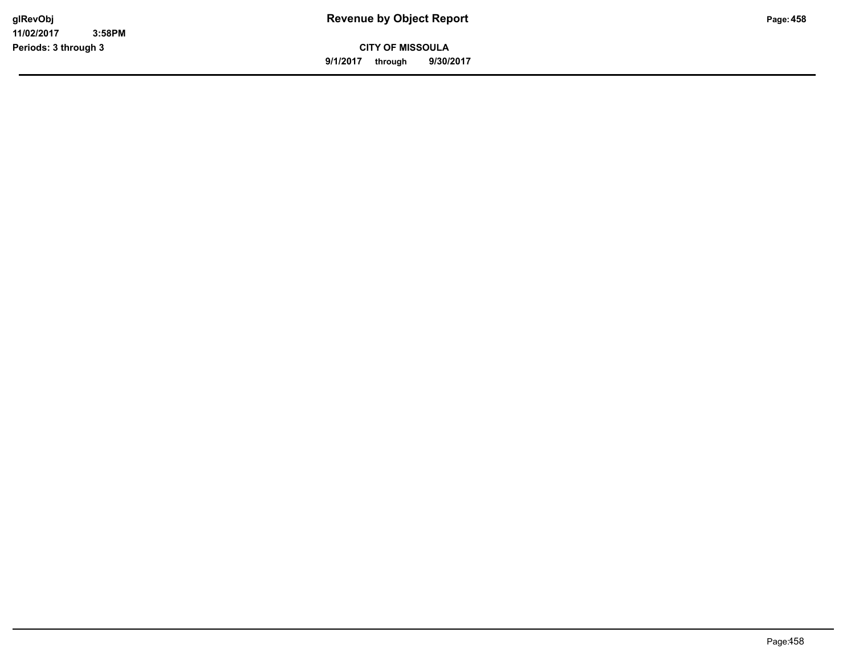**CITY OF MISSOULA 9/1/2017 through 9/30/2017**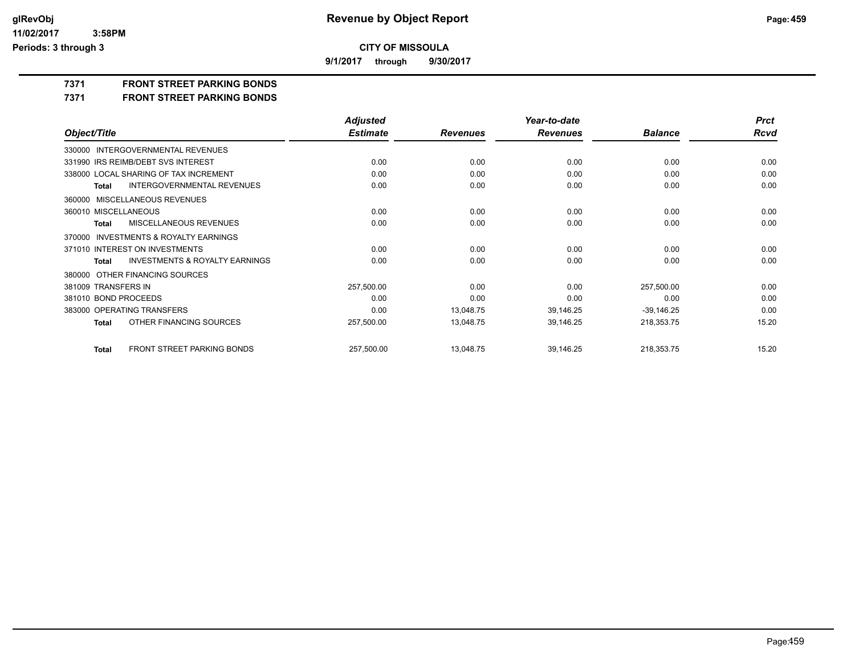**9/1/2017 through 9/30/2017**

**7371 FRONT STREET PARKING BONDS**

**7371 FRONT STREET PARKING BONDS**

|                                                     | <b>Adjusted</b> |                 | Year-to-date    |                | <b>Prct</b> |
|-----------------------------------------------------|-----------------|-----------------|-----------------|----------------|-------------|
| Object/Title                                        | <b>Estimate</b> | <b>Revenues</b> | <b>Revenues</b> | <b>Balance</b> | <b>Rcvd</b> |
| 330000 INTERGOVERNMENTAL REVENUES                   |                 |                 |                 |                |             |
| 331990 IRS REIMB/DEBT SVS INTEREST                  | 0.00            | 0.00            | 0.00            | 0.00           | 0.00        |
| 338000 LOCAL SHARING OF TAX INCREMENT               | 0.00            | 0.00            | 0.00            | 0.00           | 0.00        |
| <b>INTERGOVERNMENTAL REVENUES</b><br>Total          | 0.00            | 0.00            | 0.00            | 0.00           | 0.00        |
| 360000 MISCELLANEOUS REVENUES                       |                 |                 |                 |                |             |
| 360010 MISCELLANEOUS                                | 0.00            | 0.00            | 0.00            | 0.00           | 0.00        |
| MISCELLANEOUS REVENUES<br>Total                     | 0.00            | 0.00            | 0.00            | 0.00           | 0.00        |
| <b>INVESTMENTS &amp; ROYALTY EARNINGS</b><br>370000 |                 |                 |                 |                |             |
| 371010 INTEREST ON INVESTMENTS                      | 0.00            | 0.00            | 0.00            | 0.00           | 0.00        |
| <b>INVESTMENTS &amp; ROYALTY EARNINGS</b><br>Total  | 0.00            | 0.00            | 0.00            | 0.00           | 0.00        |
| 380000 OTHER FINANCING SOURCES                      |                 |                 |                 |                |             |
| 381009 TRANSFERS IN                                 | 257,500.00      | 0.00            | 0.00            | 257,500.00     | 0.00        |
| 381010 BOND PROCEEDS                                | 0.00            | 0.00            | 0.00            | 0.00           | 0.00        |
| 383000 OPERATING TRANSFERS                          | 0.00            | 13,048.75       | 39,146.25       | $-39,146.25$   | 0.00        |
| OTHER FINANCING SOURCES<br>Total                    | 257,500.00      | 13,048.75       | 39,146.25       | 218,353.75     | 15.20       |
| FRONT STREET PARKING BONDS<br>Total                 | 257,500.00      | 13,048.75       | 39,146.25       | 218,353.75     | 15.20       |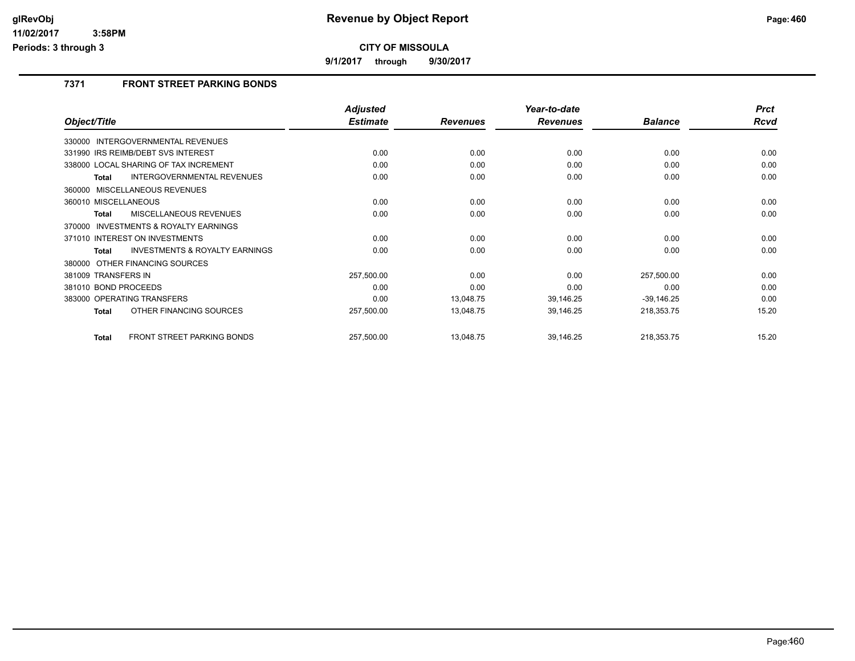**9/1/2017 through 9/30/2017**

#### **7371 FRONT STREET PARKING BONDS**

|                                                     | <b>Adjusted</b> |                 | Year-to-date    |                | <b>Prct</b> |
|-----------------------------------------------------|-----------------|-----------------|-----------------|----------------|-------------|
| Object/Title                                        | <b>Estimate</b> | <b>Revenues</b> | <b>Revenues</b> | <b>Balance</b> | <b>Rcvd</b> |
| <b>INTERGOVERNMENTAL REVENUES</b><br>330000         |                 |                 |                 |                |             |
| 331990 IRS REIMB/DEBT SVS INTEREST                  | 0.00            | 0.00            | 0.00            | 0.00           | 0.00        |
| 338000 LOCAL SHARING OF TAX INCREMENT               | 0.00            | 0.00            | 0.00            | 0.00           | 0.00        |
| <b>INTERGOVERNMENTAL REVENUES</b><br>Total          | 0.00            | 0.00            | 0.00            | 0.00           | 0.00        |
| 360000 MISCELLANEOUS REVENUES                       |                 |                 |                 |                |             |
| 360010 MISCELLANEOUS                                | 0.00            | 0.00            | 0.00            | 0.00           | 0.00        |
| MISCELLANEOUS REVENUES<br><b>Total</b>              | 0.00            | 0.00            | 0.00            | 0.00           | 0.00        |
| <b>INVESTMENTS &amp; ROYALTY EARNINGS</b><br>370000 |                 |                 |                 |                |             |
| 371010 INTEREST ON INVESTMENTS                      | 0.00            | 0.00            | 0.00            | 0.00           | 0.00        |
| <b>INVESTMENTS &amp; ROYALTY EARNINGS</b><br>Total  | 0.00            | 0.00            | 0.00            | 0.00           | 0.00        |
| 380000 OTHER FINANCING SOURCES                      |                 |                 |                 |                |             |
| 381009 TRANSFERS IN                                 | 257,500.00      | 0.00            | 0.00            | 257,500.00     | 0.00        |
| 381010 BOND PROCEEDS                                | 0.00            | 0.00            | 0.00            | 0.00           | 0.00        |
| 383000 OPERATING TRANSFERS                          | 0.00            | 13,048.75       | 39,146.25       | $-39,146.25$   | 0.00        |
| OTHER FINANCING SOURCES<br><b>Total</b>             | 257,500.00      | 13,048.75       | 39,146.25       | 218,353.75     | 15.20       |
| FRONT STREET PARKING BONDS<br><b>Total</b>          | 257,500.00      | 13,048.75       | 39,146.25       | 218,353.75     | 15.20       |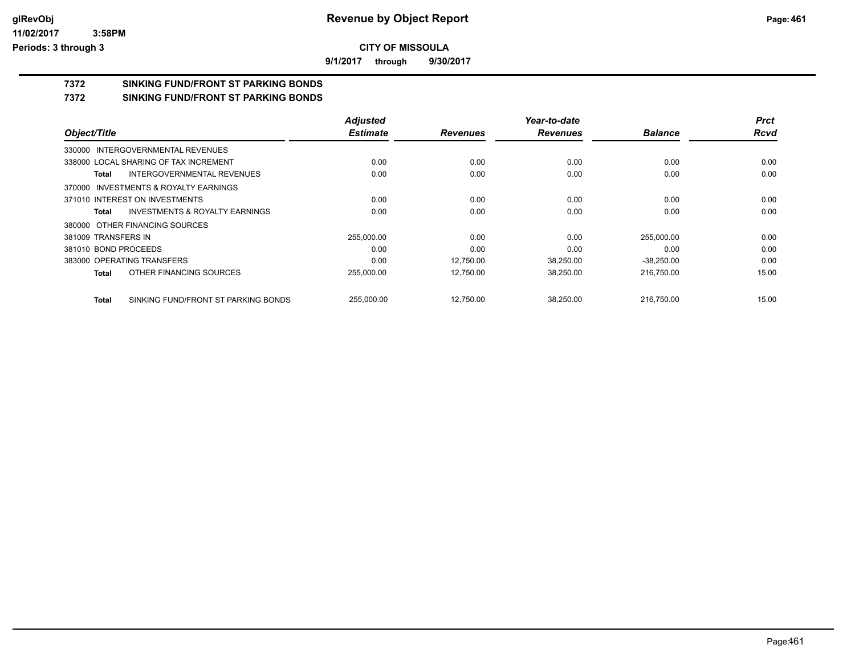**9/1/2017 through 9/30/2017**

# **7372 SINKING FUND/FRONT ST PARKING BONDS**

**7372 SINKING FUND/FRONT ST PARKING BONDS**

|                                                    | <b>Adjusted</b> |                 | Year-to-date    |                | <b>Prct</b> |
|----------------------------------------------------|-----------------|-----------------|-----------------|----------------|-------------|
| Object/Title                                       | <b>Estimate</b> | <b>Revenues</b> | <b>Revenues</b> | <b>Balance</b> | <b>Rcvd</b> |
| 330000 INTERGOVERNMENTAL REVENUES                  |                 |                 |                 |                |             |
| 338000 LOCAL SHARING OF TAX INCREMENT              | 0.00            | 0.00            | 0.00            | 0.00           | 0.00        |
| INTERGOVERNMENTAL REVENUES<br>Total                | 0.00            | 0.00            | 0.00            | 0.00           | 0.00        |
| 370000 INVESTMENTS & ROYALTY EARNINGS              |                 |                 |                 |                |             |
| 371010 INTEREST ON INVESTMENTS                     | 0.00            | 0.00            | 0.00            | 0.00           | 0.00        |
| <b>INVESTMENTS &amp; ROYALTY EARNINGS</b><br>Total | 0.00            | 0.00            | 0.00            | 0.00           | 0.00        |
| 380000 OTHER FINANCING SOURCES                     |                 |                 |                 |                |             |
| 381009 TRANSFERS IN                                | 255,000.00      | 0.00            | 0.00            | 255,000.00     | 0.00        |
| 381010 BOND PROCEEDS                               | 0.00            | 0.00            | 0.00            | 0.00           | 0.00        |
| 383000 OPERATING TRANSFERS                         | 0.00            | 12.750.00       | 38,250.00       | $-38,250.00$   | 0.00        |
| OTHER FINANCING SOURCES<br>Total                   | 255,000.00      | 12,750.00       | 38,250.00       | 216,750.00     | 15.00       |
| SINKING FUND/FRONT ST PARKING BONDS<br>Total       | 255,000.00      | 12.750.00       | 38.250.00       | 216.750.00     | 15.00       |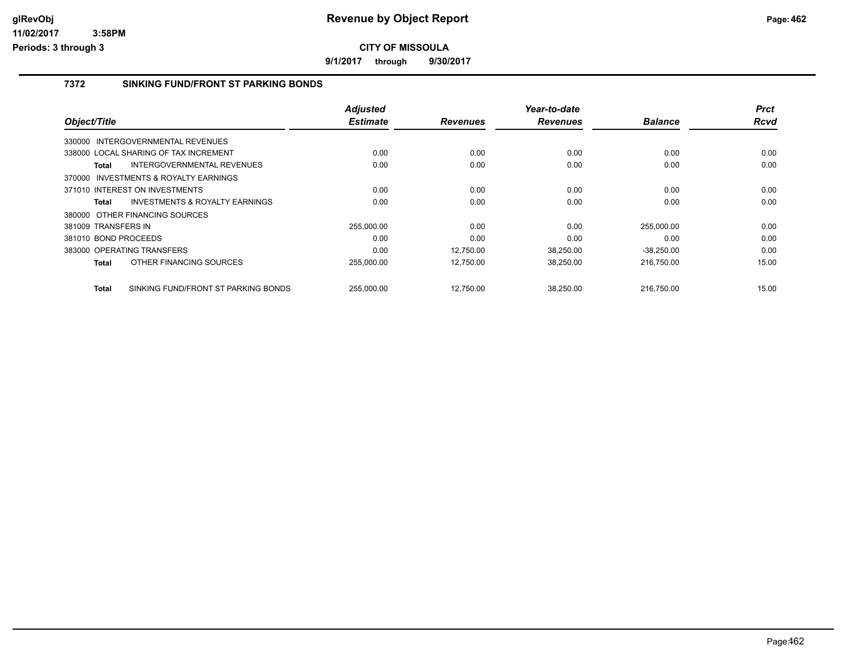**9/1/2017 through 9/30/2017**

#### **7372 SINKING FUND/FRONT ST PARKING BONDS**

|                                                           | <b>Adjusted</b> |                 | Year-to-date    |                | <b>Prct</b> |
|-----------------------------------------------------------|-----------------|-----------------|-----------------|----------------|-------------|
| Object/Title                                              | <b>Estimate</b> | <b>Revenues</b> | <b>Revenues</b> | <b>Balance</b> | <b>Rcvd</b> |
| INTERGOVERNMENTAL REVENUES<br>330000                      |                 |                 |                 |                |             |
| 338000 LOCAL SHARING OF TAX INCREMENT                     | 0.00            | 0.00            | 0.00            | 0.00           | 0.00        |
| INTERGOVERNMENTAL REVENUES<br><b>Total</b>                | 0.00            | 0.00            | 0.00            | 0.00           | 0.00        |
| <b>INVESTMENTS &amp; ROYALTY EARNINGS</b><br>370000       |                 |                 |                 |                |             |
| 371010 INTEREST ON INVESTMENTS                            | 0.00            | 0.00            | 0.00            | 0.00           | 0.00        |
| <b>INVESTMENTS &amp; ROYALTY EARNINGS</b><br><b>Total</b> | 0.00            | 0.00            | 0.00            | 0.00           | 0.00        |
| 380000 OTHER FINANCING SOURCES                            |                 |                 |                 |                |             |
| 381009 TRANSFERS IN                                       | 255.000.00      | 0.00            | 0.00            | 255,000.00     | 0.00        |
| 381010 BOND PROCEEDS                                      | 0.00            | 0.00            | 0.00            | 0.00           | 0.00        |
| 383000 OPERATING TRANSFERS                                | 0.00            | 12.750.00       | 38,250.00       | $-38,250.00$   | 0.00        |
| OTHER FINANCING SOURCES<br><b>Total</b>                   | 255,000.00      | 12.750.00       | 38,250.00       | 216,750.00     | 15.00       |
| SINKING FUND/FRONT ST PARKING BONDS<br>Total              | 255,000.00      | 12,750.00       | 38,250.00       | 216,750.00     | 15.00       |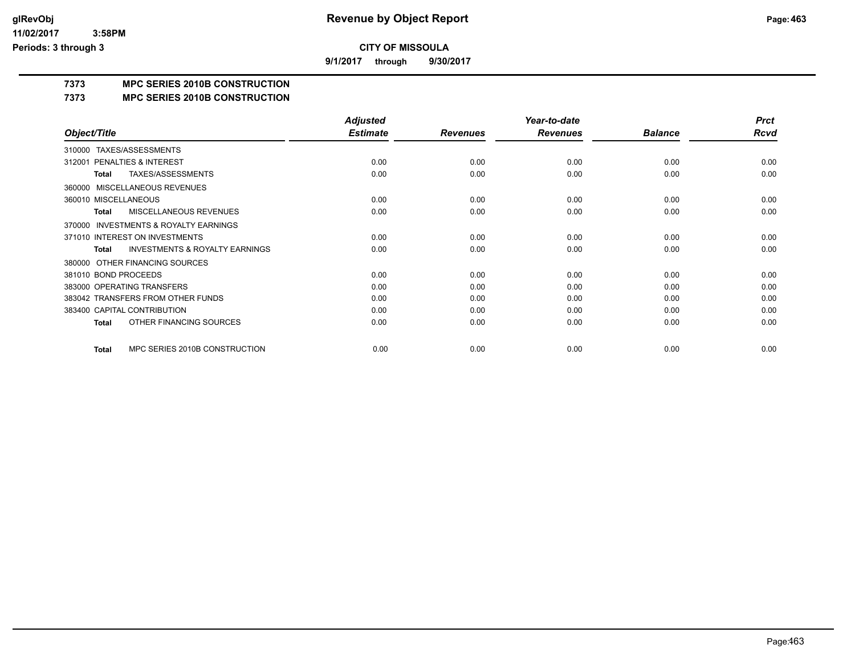**9/1/2017 through 9/30/2017**

#### **7373 MPC SERIES 2010B CONSTRUCTION**

#### **7373 MPC SERIES 2010B CONSTRUCTION**

|                                                     | <b>Adjusted</b> |                 | Year-to-date    |                | <b>Prct</b> |
|-----------------------------------------------------|-----------------|-----------------|-----------------|----------------|-------------|
| Object/Title                                        | <b>Estimate</b> | <b>Revenues</b> | <b>Revenues</b> | <b>Balance</b> | <b>Rcvd</b> |
| TAXES/ASSESSMENTS<br>310000                         |                 |                 |                 |                |             |
| PENALTIES & INTEREST<br>312001                      | 0.00            | 0.00            | 0.00            | 0.00           | 0.00        |
| TAXES/ASSESSMENTS<br><b>Total</b>                   | 0.00            | 0.00            | 0.00            | 0.00           | 0.00        |
| <b>MISCELLANEOUS REVENUES</b><br>360000             |                 |                 |                 |                |             |
| 360010 MISCELLANEOUS                                | 0.00            | 0.00            | 0.00            | 0.00           | 0.00        |
| <b>MISCELLANEOUS REVENUES</b><br>Total              | 0.00            | 0.00            | 0.00            | 0.00           | 0.00        |
| <b>INVESTMENTS &amp; ROYALTY EARNINGS</b><br>370000 |                 |                 |                 |                |             |
| 371010 INTEREST ON INVESTMENTS                      | 0.00            | 0.00            | 0.00            | 0.00           | 0.00        |
| <b>INVESTMENTS &amp; ROYALTY EARNINGS</b><br>Total  | 0.00            | 0.00            | 0.00            | 0.00           | 0.00        |
| OTHER FINANCING SOURCES<br>380000                   |                 |                 |                 |                |             |
| 381010 BOND PROCEEDS                                | 0.00            | 0.00            | 0.00            | 0.00           | 0.00        |
| 383000 OPERATING TRANSFERS                          | 0.00            | 0.00            | 0.00            | 0.00           | 0.00        |
| 383042 TRANSFERS FROM OTHER FUNDS                   | 0.00            | 0.00            | 0.00            | 0.00           | 0.00        |
| 383400 CAPITAL CONTRIBUTION                         | 0.00            | 0.00            | 0.00            | 0.00           | 0.00        |
| OTHER FINANCING SOURCES<br><b>Total</b>             | 0.00            | 0.00            | 0.00            | 0.00           | 0.00        |
| MPC SERIES 2010B CONSTRUCTION<br>Total              | 0.00            | 0.00            | 0.00            | 0.00           | 0.00        |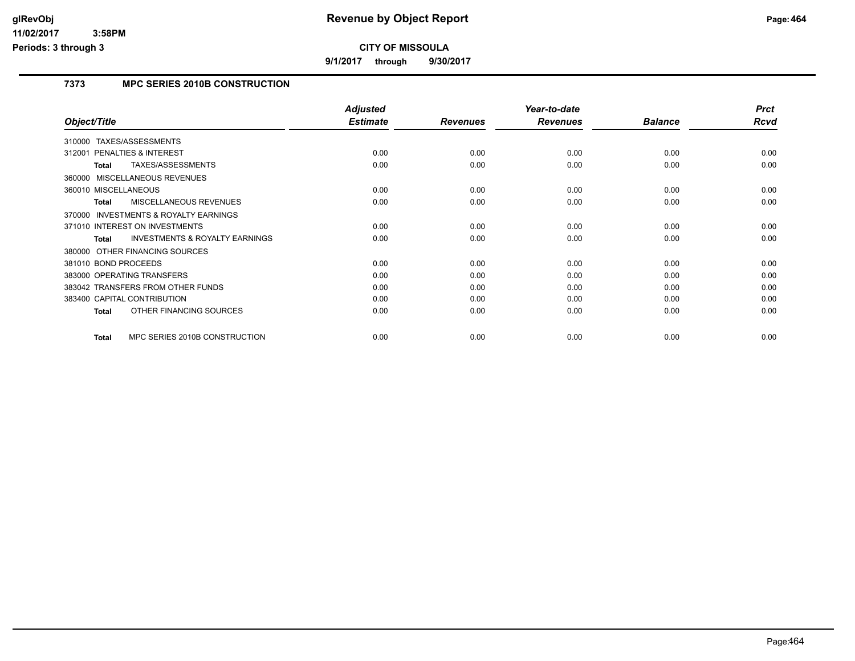**3:58PM**

**CITY OF MISSOULA**

**9/1/2017 through 9/30/2017**

#### **7373 MPC SERIES 2010B CONSTRUCTION**

|                                                    | <b>Adjusted</b> |                 | Year-to-date    |                | <b>Prct</b> |
|----------------------------------------------------|-----------------|-----------------|-----------------|----------------|-------------|
| Object/Title                                       | <b>Estimate</b> | <b>Revenues</b> | <b>Revenues</b> | <b>Balance</b> | <b>Rcvd</b> |
| 310000 TAXES/ASSESSMENTS                           |                 |                 |                 |                |             |
| PENALTIES & INTEREST<br>312001                     | 0.00            | 0.00            | 0.00            | 0.00           | 0.00        |
| TAXES/ASSESSMENTS<br>Total                         | 0.00            | 0.00            | 0.00            | 0.00           | 0.00        |
| 360000 MISCELLANEOUS REVENUES                      |                 |                 |                 |                |             |
| 360010 MISCELLANEOUS                               | 0.00            | 0.00            | 0.00            | 0.00           | 0.00        |
| MISCELLANEOUS REVENUES<br><b>Total</b>             | 0.00            | 0.00            | 0.00            | 0.00           | 0.00        |
| 370000 INVESTMENTS & ROYALTY EARNINGS              |                 |                 |                 |                |             |
| 371010 INTEREST ON INVESTMENTS                     | 0.00            | 0.00            | 0.00            | 0.00           | 0.00        |
| <b>INVESTMENTS &amp; ROYALTY EARNINGS</b><br>Total | 0.00            | 0.00            | 0.00            | 0.00           | 0.00        |
| 380000 OTHER FINANCING SOURCES                     |                 |                 |                 |                |             |
| 381010 BOND PROCEEDS                               | 0.00            | 0.00            | 0.00            | 0.00           | 0.00        |
| 383000 OPERATING TRANSFERS                         | 0.00            | 0.00            | 0.00            | 0.00           | 0.00        |
| 383042 TRANSFERS FROM OTHER FUNDS                  | 0.00            | 0.00            | 0.00            | 0.00           | 0.00        |
| 383400 CAPITAL CONTRIBUTION                        | 0.00            | 0.00            | 0.00            | 0.00           | 0.00        |
| OTHER FINANCING SOURCES<br>Total                   | 0.00            | 0.00            | 0.00            | 0.00           | 0.00        |
|                                                    |                 |                 |                 |                |             |
| MPC SERIES 2010B CONSTRUCTION<br><b>Total</b>      | 0.00            | 0.00            | 0.00            | 0.00           | 0.00        |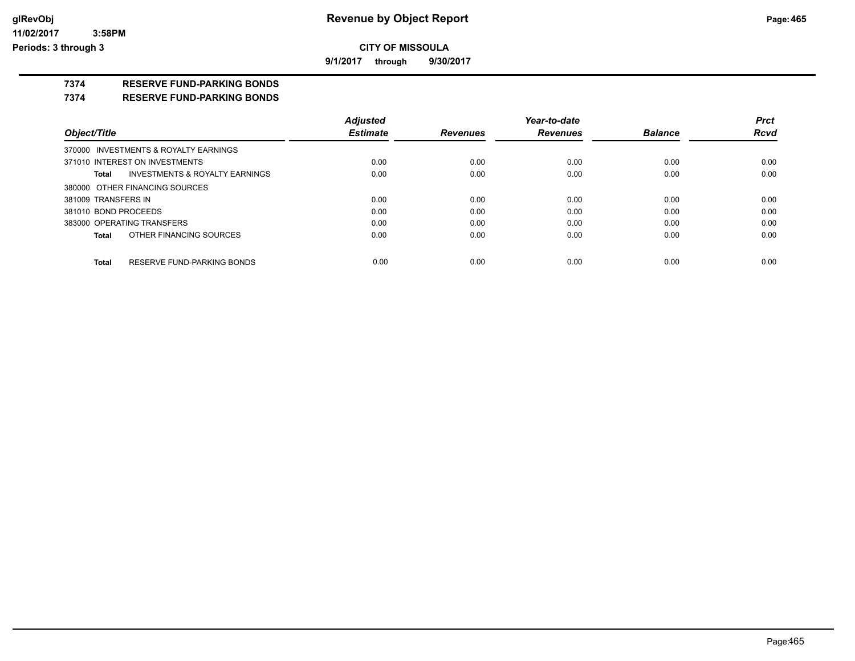**9/1/2017 through 9/30/2017**

#### **7374 RESERVE FUND-PARKING BONDS**

#### **7374 RESERVE FUND-PARKING BONDS**

|                                         | <b>Adjusted</b> |                 | Year-to-date    |                | <b>Prct</b> |
|-----------------------------------------|-----------------|-----------------|-----------------|----------------|-------------|
| Object/Title                            | <b>Estimate</b> | <b>Revenues</b> | <b>Revenues</b> | <b>Balance</b> | <b>Rcvd</b> |
| 370000 INVESTMENTS & ROYALTY EARNINGS   |                 |                 |                 |                |             |
| 371010 INTEREST ON INVESTMENTS          | 0.00            | 0.00            | 0.00            | 0.00           | 0.00        |
| INVESTMENTS & ROYALTY EARNINGS<br>Total | 0.00            | 0.00            | 0.00            | 0.00           | 0.00        |
| 380000 OTHER FINANCING SOURCES          |                 |                 |                 |                |             |
| 381009 TRANSFERS IN                     | 0.00            | 0.00            | 0.00            | 0.00           | 0.00        |
| 381010 BOND PROCEEDS                    | 0.00            | 0.00            | 0.00            | 0.00           | 0.00        |
| 383000 OPERATING TRANSFERS              | 0.00            | 0.00            | 0.00            | 0.00           | 0.00        |
| OTHER FINANCING SOURCES<br>Total        | 0.00            | 0.00            | 0.00            | 0.00           | 0.00        |
| RESERVE FUND-PARKING BONDS<br>Total     | 0.00            | 0.00            | 0.00            | 0.00           | 0.00        |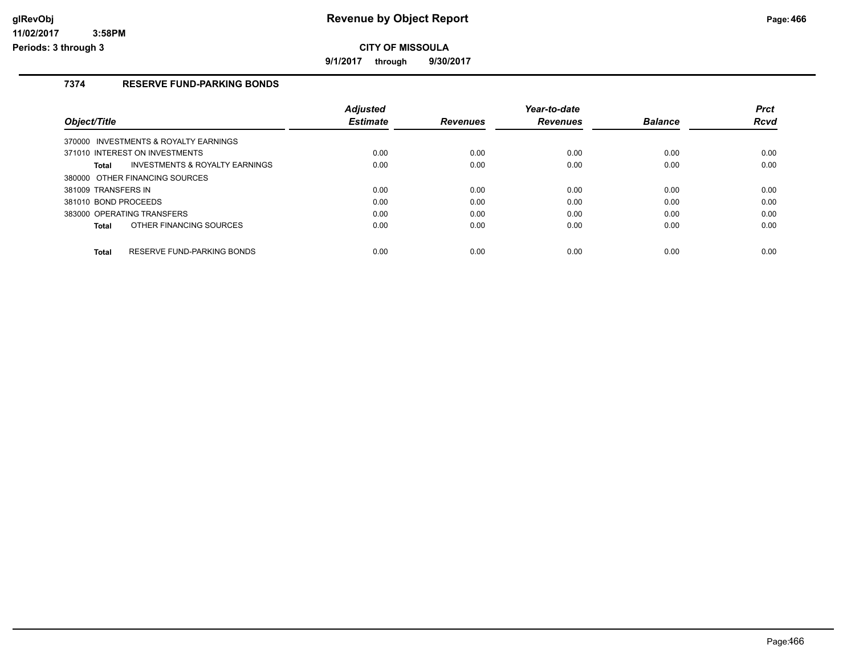**3:58PM**

**CITY OF MISSOULA**

**9/1/2017 through 9/30/2017**

#### **7374 RESERVE FUND-PARKING BONDS**

|                                            | <b>Adjusted</b> |                 | Year-to-date    |                | <b>Prct</b> |
|--------------------------------------------|-----------------|-----------------|-----------------|----------------|-------------|
| Object/Title                               | <b>Estimate</b> | <b>Revenues</b> | <b>Revenues</b> | <b>Balance</b> | <b>Rcvd</b> |
| 370000 INVESTMENTS & ROYALTY EARNINGS      |                 |                 |                 |                |             |
| 371010 INTEREST ON INVESTMENTS             | 0.00            | 0.00            | 0.00            | 0.00           | 0.00        |
| INVESTMENTS & ROYALTY EARNINGS<br>Total    | 0.00            | 0.00            | 0.00            | 0.00           | 0.00        |
| 380000 OTHER FINANCING SOURCES             |                 |                 |                 |                |             |
| 381009 TRANSFERS IN                        | 0.00            | 0.00            | 0.00            | 0.00           | 0.00        |
| 381010 BOND PROCEEDS                       | 0.00            | 0.00            | 0.00            | 0.00           | 0.00        |
| 383000 OPERATING TRANSFERS                 | 0.00            | 0.00            | 0.00            | 0.00           | 0.00        |
| OTHER FINANCING SOURCES<br>Total           | 0.00            | 0.00            | 0.00            | 0.00           | 0.00        |
| RESERVE FUND-PARKING BONDS<br><b>Total</b> | 0.00            | 0.00            | 0.00            | 0.00           | 0.00        |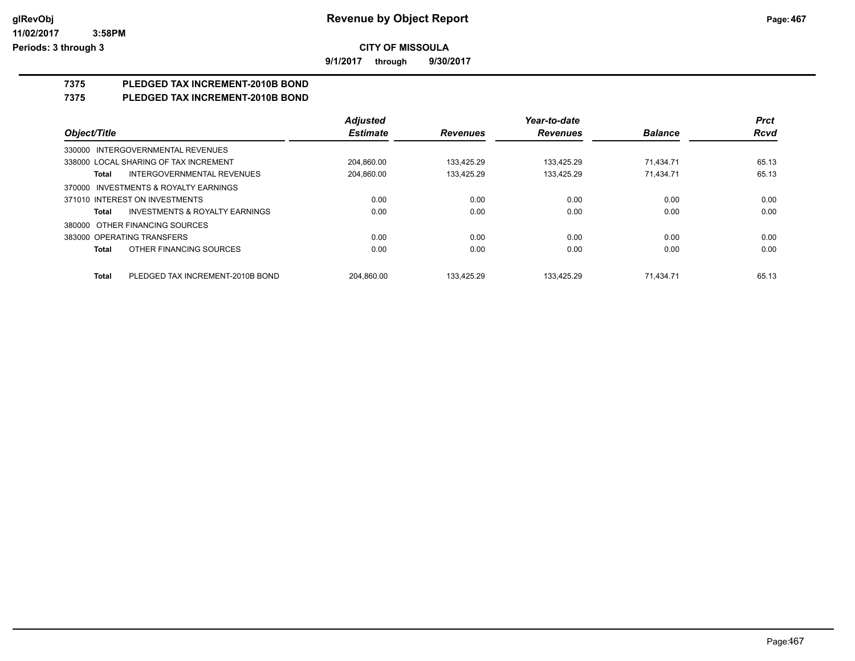**9/1/2017 through 9/30/2017**

# **7375 PLEDGED TAX INCREMENT-2010B BOND**

### **7375 PLEDGED TAX INCREMENT-2010B BOND**

|                                                    | <b>Adjusted</b> |                 | Year-to-date    |                | <b>Prct</b> |
|----------------------------------------------------|-----------------|-----------------|-----------------|----------------|-------------|
| Object/Title                                       | <b>Estimate</b> | <b>Revenues</b> | <b>Revenues</b> | <b>Balance</b> | <b>Rcvd</b> |
| 330000 INTERGOVERNMENTAL REVENUES                  |                 |                 |                 |                |             |
| 338000 LOCAL SHARING OF TAX INCREMENT              | 204.860.00      | 133.425.29      | 133.425.29      | 71.434.71      | 65.13       |
| <b>INTERGOVERNMENTAL REVENUES</b><br>Total         | 204.860.00      | 133.425.29      | 133.425.29      | 71.434.71      | 65.13       |
| 370000 INVESTMENTS & ROYALTY EARNINGS              |                 |                 |                 |                |             |
| 371010 INTEREST ON INVESTMENTS                     | 0.00            | 0.00            | 0.00            | 0.00           | 0.00        |
| <b>INVESTMENTS &amp; ROYALTY EARNINGS</b><br>Total | 0.00            | 0.00            | 0.00            | 0.00           | 0.00        |
| 380000 OTHER FINANCING SOURCES                     |                 |                 |                 |                |             |
| 383000 OPERATING TRANSFERS                         | 0.00            | 0.00            | 0.00            | 0.00           | 0.00        |
| OTHER FINANCING SOURCES<br><b>Total</b>            | 0.00            | 0.00            | 0.00            | 0.00           | 0.00        |
| PLEDGED TAX INCREMENT-2010B BOND<br><b>Total</b>   | 204.860.00      | 133.425.29      | 133.425.29      | 71.434.71      | 65.13       |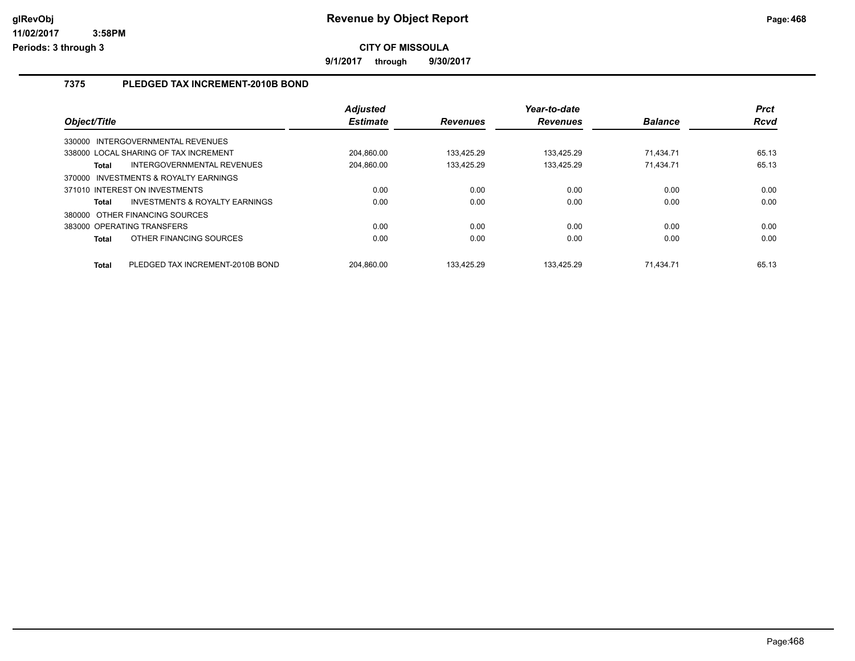**9/1/2017 through 9/30/2017**

#### **7375 PLEDGED TAX INCREMENT-2010B BOND**

| Object/Title                                     | <b>Adjusted</b><br><b>Estimate</b> | <b>Revenues</b> | Year-to-date<br><b>Revenues</b> | <b>Balance</b> | <b>Prct</b><br><b>Rcvd</b> |
|--------------------------------------------------|------------------------------------|-----------------|---------------------------------|----------------|----------------------------|
| INTERGOVERNMENTAL REVENUES<br>330000             |                                    |                 |                                 |                |                            |
| 338000 LOCAL SHARING OF TAX INCREMENT            | 204.860.00                         | 133.425.29      | 133.425.29                      | 71.434.71      | 65.13                      |
| INTERGOVERNMENTAL REVENUES<br>Total              | 204,860.00                         | 133,425.29      | 133.425.29                      | 71.434.71      | 65.13                      |
| 370000 INVESTMENTS & ROYALTY EARNINGS            |                                    |                 |                                 |                |                            |
| 371010 INTEREST ON INVESTMENTS                   | 0.00                               | 0.00            | 0.00                            | 0.00           | 0.00                       |
| INVESTMENTS & ROYALTY EARNINGS<br>Total          | 0.00                               | 0.00            | 0.00                            | 0.00           | 0.00                       |
| OTHER FINANCING SOURCES<br>380000                |                                    |                 |                                 |                |                            |
| 383000 OPERATING TRANSFERS                       | 0.00                               | 0.00            | 0.00                            | 0.00           | 0.00                       |
| OTHER FINANCING SOURCES<br><b>Total</b>          | 0.00                               | 0.00            | 0.00                            | 0.00           | 0.00                       |
| PLEDGED TAX INCREMENT-2010B BOND<br><b>Total</b> | 204.860.00                         | 133.425.29      | 133.425.29                      | 71.434.71      | 65.13                      |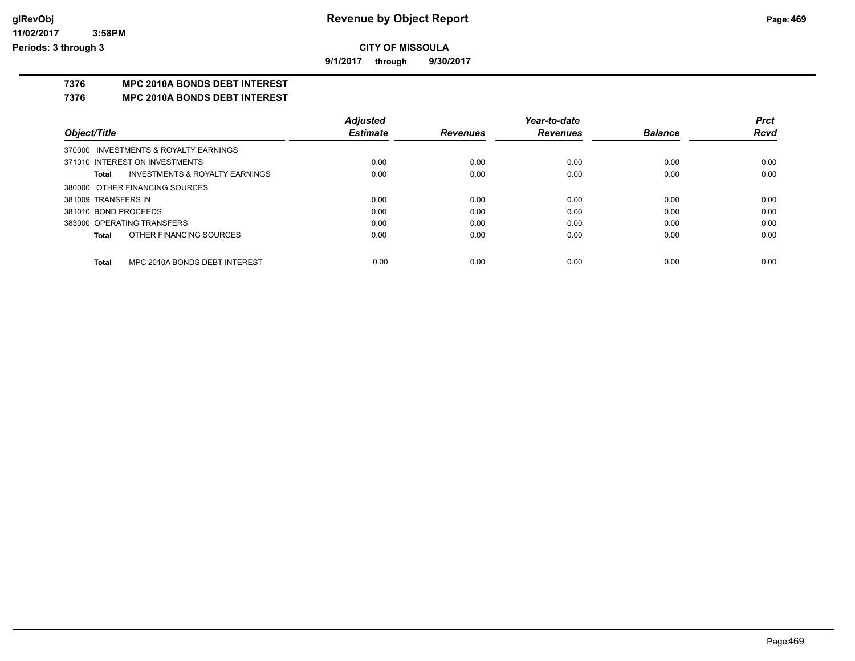**3:58PM**

**CITY OF MISSOULA**

**9/1/2017 through 9/30/2017**

## **7376 MPC 2010A BONDS DEBT INTEREST**

### **7376 MPC 2010A BONDS DEBT INTEREST**

|                      |                                           | <b>Adjusted</b> |                 | Year-to-date    |                | <b>Prct</b> |
|----------------------|-------------------------------------------|-----------------|-----------------|-----------------|----------------|-------------|
| Object/Title         |                                           | <b>Estimate</b> | <b>Revenues</b> | <b>Revenues</b> | <b>Balance</b> | <b>Rcvd</b> |
|                      | 370000 INVESTMENTS & ROYALTY EARNINGS     |                 |                 |                 |                |             |
|                      | 371010 INTEREST ON INVESTMENTS            | 0.00            | 0.00            | 0.00            | 0.00           | 0.00        |
| Total                | <b>INVESTMENTS &amp; ROYALTY EARNINGS</b> | 0.00            | 0.00            | 0.00            | 0.00           | 0.00        |
|                      | 380000 OTHER FINANCING SOURCES            |                 |                 |                 |                |             |
| 381009 TRANSFERS IN  |                                           | 0.00            | 0.00            | 0.00            | 0.00           | 0.00        |
| 381010 BOND PROCEEDS |                                           | 0.00            | 0.00            | 0.00            | 0.00           | 0.00        |
|                      | 383000 OPERATING TRANSFERS                | 0.00            | 0.00            | 0.00            | 0.00           | 0.00        |
| Total                | OTHER FINANCING SOURCES                   | 0.00            | 0.00            | 0.00            | 0.00           | 0.00        |
|                      |                                           |                 |                 |                 |                |             |
| Total                | MPC 2010A BONDS DEBT INTEREST             | 0.00            | 0.00            | 0.00            | 0.00           | 0.00        |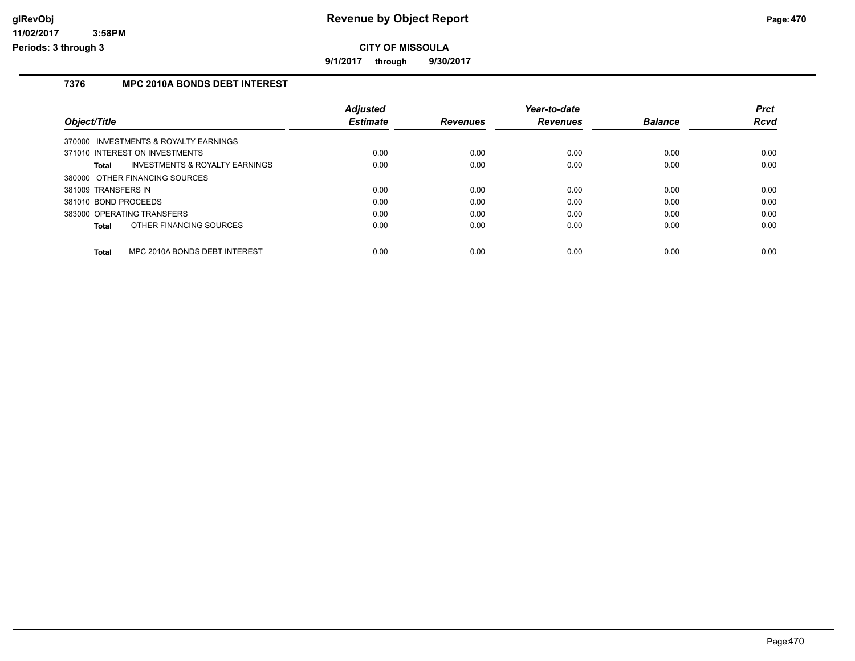**9/1/2017 through 9/30/2017**

#### **7376 MPC 2010A BONDS DEBT INTEREST**

|                                                           | <b>Adjusted</b> |                 | Year-to-date    |                | <b>Prct</b> |
|-----------------------------------------------------------|-----------------|-----------------|-----------------|----------------|-------------|
| Object/Title                                              | <b>Estimate</b> | <b>Revenues</b> | <b>Revenues</b> | <b>Balance</b> | <b>Rcvd</b> |
| 370000 INVESTMENTS & ROYALTY EARNINGS                     |                 |                 |                 |                |             |
| 371010 INTEREST ON INVESTMENTS                            | 0.00            | 0.00            | 0.00            | 0.00           | 0.00        |
| <b>INVESTMENTS &amp; ROYALTY EARNINGS</b><br><b>Total</b> | 0.00            | 0.00            | 0.00            | 0.00           | 0.00        |
| 380000 OTHER FINANCING SOURCES                            |                 |                 |                 |                |             |
| 381009 TRANSFERS IN                                       | 0.00            | 0.00            | 0.00            | 0.00           | 0.00        |
| 381010 BOND PROCEEDS                                      | 0.00            | 0.00            | 0.00            | 0.00           | 0.00        |
| 383000 OPERATING TRANSFERS                                | 0.00            | 0.00            | 0.00            | 0.00           | 0.00        |
| OTHER FINANCING SOURCES<br><b>Total</b>                   | 0.00            | 0.00            | 0.00            | 0.00           | 0.00        |
| MPC 2010A BONDS DEBT INTEREST<br><b>Total</b>             | 0.00            | 0.00            | 0.00            | 0.00           | 0.00        |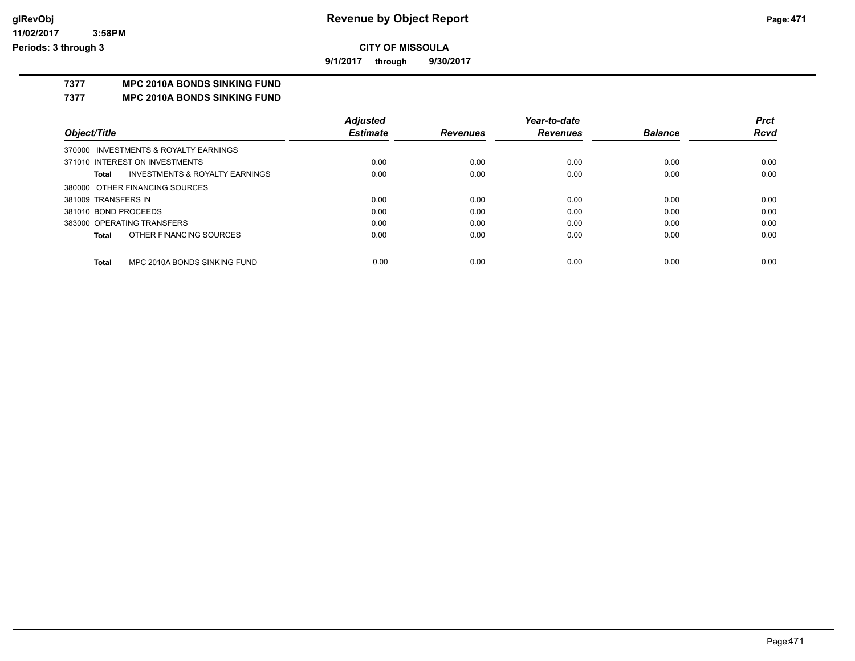**CITY OF MISSOULA**

**9/1/2017 through 9/30/2017**

### **7377 MPC 2010A BONDS SINKING FUND**

 **3:58PM**

**7377 MPC 2010A BONDS SINKING FUND**

|                      |                                           | <b>Adjusted</b> |                 | Year-to-date    |                | <b>Prct</b> |
|----------------------|-------------------------------------------|-----------------|-----------------|-----------------|----------------|-------------|
| Object/Title         |                                           | <b>Estimate</b> | <b>Revenues</b> | <b>Revenues</b> | <b>Balance</b> | Rcvd        |
|                      | 370000 INVESTMENTS & ROYALTY EARNINGS     |                 |                 |                 |                |             |
|                      | 371010 INTEREST ON INVESTMENTS            | 0.00            | 0.00            | 0.00            | 0.00           | 0.00        |
| <b>Total</b>         | <b>INVESTMENTS &amp; ROYALTY EARNINGS</b> | 0.00            | 0.00            | 0.00            | 0.00           | 0.00        |
|                      | 380000 OTHER FINANCING SOURCES            |                 |                 |                 |                |             |
| 381009 TRANSFERS IN  |                                           | 0.00            | 0.00            | 0.00            | 0.00           | 0.00        |
| 381010 BOND PROCEEDS |                                           | 0.00            | 0.00            | 0.00            | 0.00           | 0.00        |
|                      | 383000 OPERATING TRANSFERS                | 0.00            | 0.00            | 0.00            | 0.00           | 0.00        |
| <b>Total</b>         | OTHER FINANCING SOURCES                   | 0.00            | 0.00            | 0.00            | 0.00           | 0.00        |
| <b>Total</b>         | MPC 2010A BONDS SINKING FUND              | 0.00            | 0.00            | 0.00            | 0.00           | 0.00        |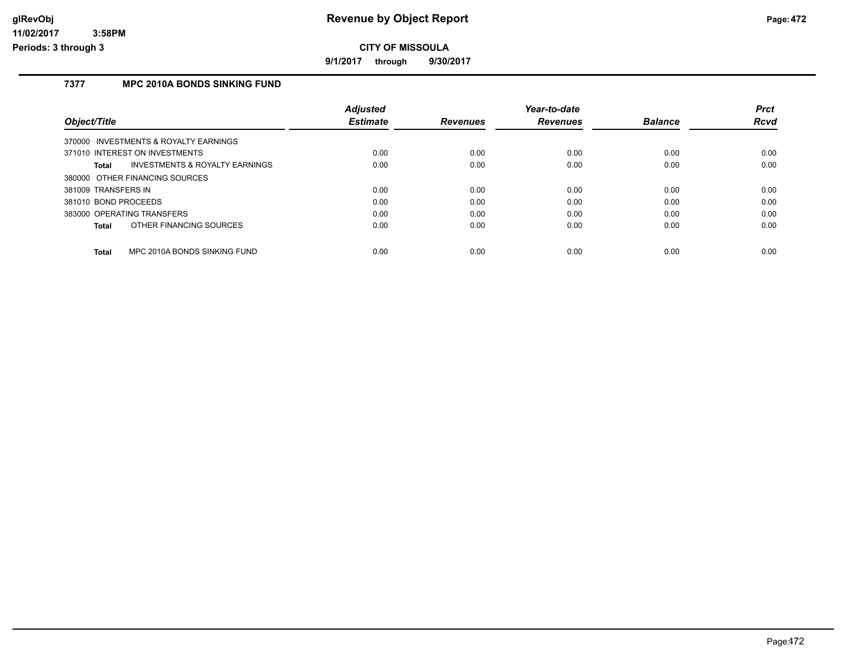**9/1/2017 through 9/30/2017**

#### **7377 MPC 2010A BONDS SINKING FUND**

|                                                    | <b>Adjusted</b> |                 | Year-to-date    |                | <b>Prct</b> |
|----------------------------------------------------|-----------------|-----------------|-----------------|----------------|-------------|
| Object/Title                                       | <b>Estimate</b> | <b>Revenues</b> | <b>Revenues</b> | <b>Balance</b> | <b>Rcvd</b> |
| 370000 INVESTMENTS & ROYALTY EARNINGS              |                 |                 |                 |                |             |
| 371010 INTEREST ON INVESTMENTS                     | 0.00            | 0.00            | 0.00            | 0.00           | 0.00        |
| <b>INVESTMENTS &amp; ROYALTY EARNINGS</b><br>Total | 0.00            | 0.00            | 0.00            | 0.00           | 0.00        |
| 380000 OTHER FINANCING SOURCES                     |                 |                 |                 |                |             |
| 381009 TRANSFERS IN                                | 0.00            | 0.00            | 0.00            | 0.00           | 0.00        |
| 381010 BOND PROCEEDS                               | 0.00            | 0.00            | 0.00            | 0.00           | 0.00        |
| 383000 OPERATING TRANSFERS                         | 0.00            | 0.00            | 0.00            | 0.00           | 0.00        |
| OTHER FINANCING SOURCES<br><b>Total</b>            | 0.00            | 0.00            | 0.00            | 0.00           | 0.00        |
| MPC 2010A BONDS SINKING FUND<br><b>Total</b>       | 0.00            | 0.00            | 0.00            | 0.00           | 0.00        |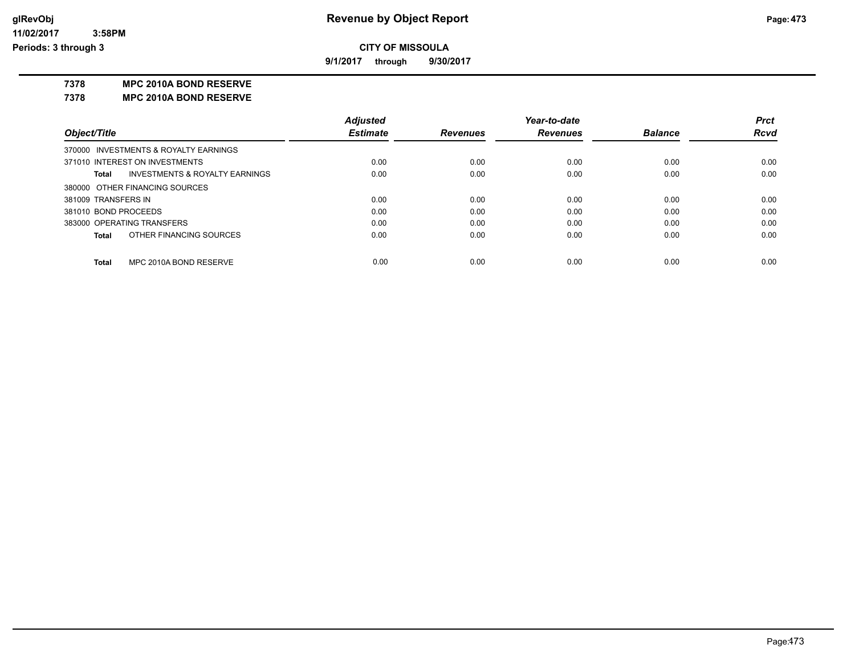**9/1/2017 through 9/30/2017**

**7378 MPC 2010A BOND RESERVE**

**7378 MPC 2010A BOND RESERVE**

|                      |                                       | <b>Adjusted</b> |                 | Year-to-date    |                | <b>Prct</b> |
|----------------------|---------------------------------------|-----------------|-----------------|-----------------|----------------|-------------|
| Object/Title         |                                       | <b>Estimate</b> | <b>Revenues</b> | <b>Revenues</b> | <b>Balance</b> | Rcvd        |
|                      | 370000 INVESTMENTS & ROYALTY EARNINGS |                 |                 |                 |                |             |
|                      | 371010 INTEREST ON INVESTMENTS        | 0.00            | 0.00            | 0.00            | 0.00           | 0.00        |
| Total                | INVESTMENTS & ROYALTY EARNINGS        | 0.00            | 0.00            | 0.00            | 0.00           | 0.00        |
|                      | 380000 OTHER FINANCING SOURCES        |                 |                 |                 |                |             |
| 381009 TRANSFERS IN  |                                       | 0.00            | 0.00            | 0.00            | 0.00           | 0.00        |
| 381010 BOND PROCEEDS |                                       | 0.00            | 0.00            | 0.00            | 0.00           | 0.00        |
|                      | 383000 OPERATING TRANSFERS            | 0.00            | 0.00            | 0.00            | 0.00           | 0.00        |
| Total                | OTHER FINANCING SOURCES               | 0.00            | 0.00            | 0.00            | 0.00           | 0.00        |
| <b>Total</b>         | MPC 2010A BOND RESERVE                | 0.00            | 0.00            | 0.00            | 0.00           | 0.00        |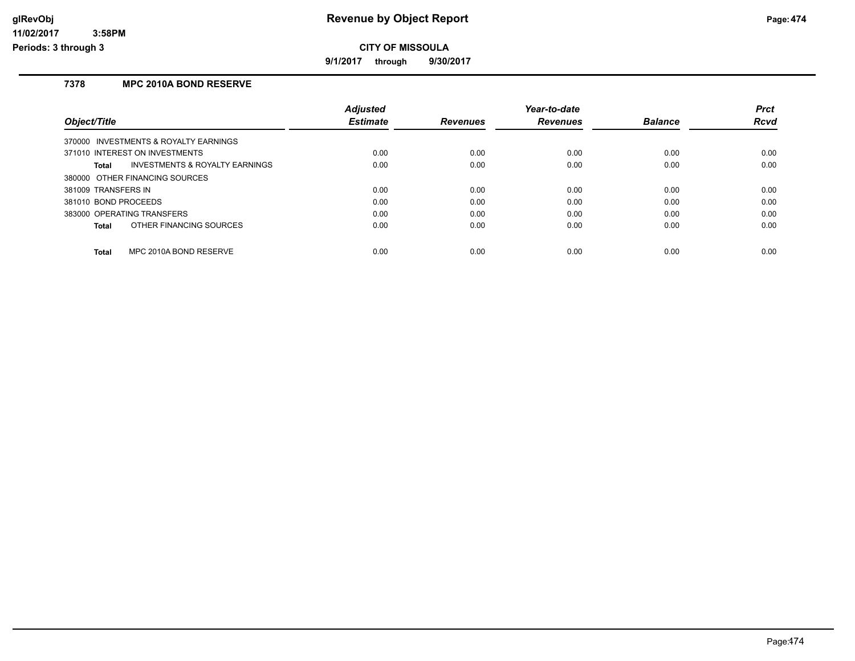**CITY OF MISSOULA**

**9/1/2017 through 9/30/2017**

#### **7378 MPC 2010A BOND RESERVE**

|                                                    | <b>Adjusted</b> |                 | Year-to-date    |                | <b>Prct</b> |
|----------------------------------------------------|-----------------|-----------------|-----------------|----------------|-------------|
| Object/Title                                       | <b>Estimate</b> | <b>Revenues</b> | <b>Revenues</b> | <b>Balance</b> | <b>Rcvd</b> |
| 370000 INVESTMENTS & ROYALTY EARNINGS              |                 |                 |                 |                |             |
| 371010 INTEREST ON INVESTMENTS                     | 0.00            | 0.00            | 0.00            | 0.00           | 0.00        |
| <b>INVESTMENTS &amp; ROYALTY EARNINGS</b><br>Total | 0.00            | 0.00            | 0.00            | 0.00           | 0.00        |
| 380000 OTHER FINANCING SOURCES                     |                 |                 |                 |                |             |
| 381009 TRANSFERS IN                                | 0.00            | 0.00            | 0.00            | 0.00           | 0.00        |
| 381010 BOND PROCEEDS                               | 0.00            | 0.00            | 0.00            | 0.00           | 0.00        |
| 383000 OPERATING TRANSFERS                         | 0.00            | 0.00            | 0.00            | 0.00           | 0.00        |
| OTHER FINANCING SOURCES<br>Total                   | 0.00            | 0.00            | 0.00            | 0.00           | 0.00        |
| MPC 2010A BOND RESERVE<br><b>Total</b>             | 0.00            | 0.00            | 0.00            | 0.00           | 0.00        |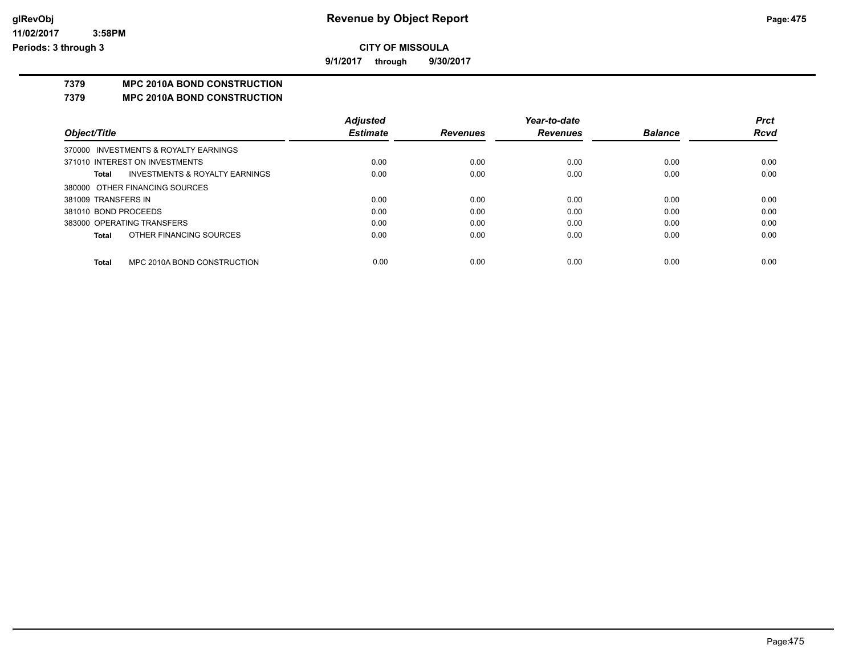**glRevObj Revenue by Object Report Page:475** 

**CITY OF MISSOULA**

**9/1/2017 through 9/30/2017**

### **7379 MPC 2010A BOND CONSTRUCTION**

 **3:58PM**

#### **7379 MPC 2010A BOND CONSTRUCTION**

|                      |                                       | <b>Adjusted</b> |                 | Year-to-date    |                | <b>Prct</b> |
|----------------------|---------------------------------------|-----------------|-----------------|-----------------|----------------|-------------|
| Object/Title         |                                       | <b>Estimate</b> | <b>Revenues</b> | <b>Revenues</b> | <b>Balance</b> | <b>Rcvd</b> |
|                      | 370000 INVESTMENTS & ROYALTY EARNINGS |                 |                 |                 |                |             |
|                      | 371010 INTEREST ON INVESTMENTS        | 0.00            | 0.00            | 0.00            | 0.00           | 0.00        |
| Total                | INVESTMENTS & ROYALTY EARNINGS        | 0.00            | 0.00            | 0.00            | 0.00           | 0.00        |
|                      | 380000 OTHER FINANCING SOURCES        |                 |                 |                 |                |             |
| 381009 TRANSFERS IN  |                                       | 0.00            | 0.00            | 0.00            | 0.00           | 0.00        |
| 381010 BOND PROCEEDS |                                       | 0.00            | 0.00            | 0.00            | 0.00           | 0.00        |
|                      | 383000 OPERATING TRANSFERS            | 0.00            | 0.00            | 0.00            | 0.00           | 0.00        |
| Total                | OTHER FINANCING SOURCES               | 0.00            | 0.00            | 0.00            | 0.00           | 0.00        |
| Total                | MPC 2010A BOND CONSTRUCTION           | 0.00            | 0.00            | 0.00            | 0.00           | 0.00        |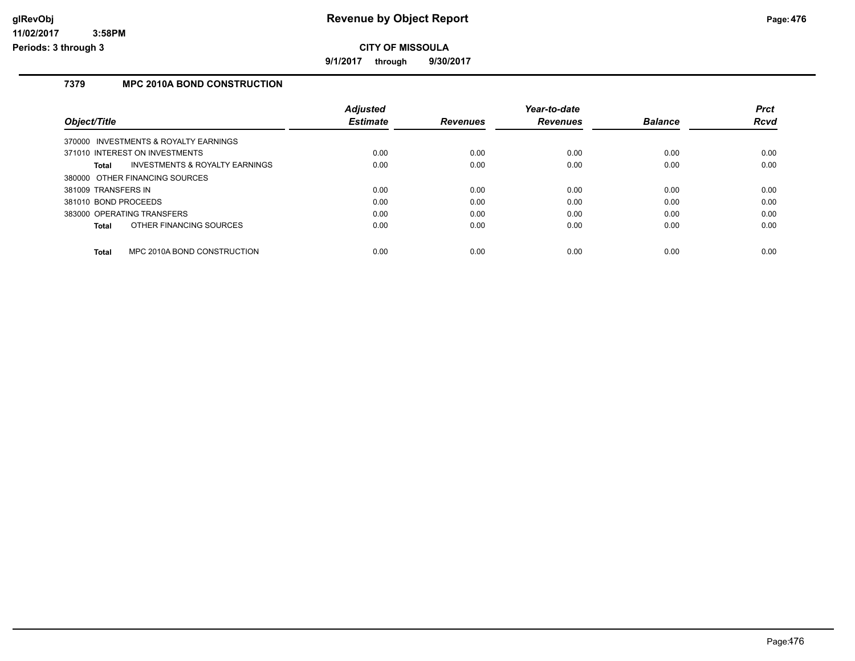**3:58PM**

**CITY OF MISSOULA**

**9/1/2017 through 9/30/2017**

#### **7379 MPC 2010A BOND CONSTRUCTION**

|                      |                                           | <b>Adjusted</b> |                 | Year-to-date    |                | <b>Prct</b> |
|----------------------|-------------------------------------------|-----------------|-----------------|-----------------|----------------|-------------|
| Object/Title         |                                           | <b>Estimate</b> | <b>Revenues</b> | <b>Revenues</b> | <b>Balance</b> | <b>Rcvd</b> |
|                      | 370000 INVESTMENTS & ROYALTY EARNINGS     |                 |                 |                 |                |             |
|                      | 371010 INTEREST ON INVESTMENTS            | 0.00            | 0.00            | 0.00            | 0.00           | 0.00        |
| <b>Total</b>         | <b>INVESTMENTS &amp; ROYALTY EARNINGS</b> | 0.00            | 0.00            | 0.00            | 0.00           | 0.00        |
|                      | 380000 OTHER FINANCING SOURCES            |                 |                 |                 |                |             |
| 381009 TRANSFERS IN  |                                           | 0.00            | 0.00            | 0.00            | 0.00           | 0.00        |
| 381010 BOND PROCEEDS |                                           | 0.00            | 0.00            | 0.00            | 0.00           | 0.00        |
|                      | 383000 OPERATING TRANSFERS                | 0.00            | 0.00            | 0.00            | 0.00           | 0.00        |
| <b>Total</b>         | OTHER FINANCING SOURCES                   | 0.00            | 0.00            | 0.00            | 0.00           | 0.00        |
| <b>Total</b>         | MPC 2010A BOND CONSTRUCTION               | 0.00            | 0.00            | 0.00            | 0.00           | 0.00        |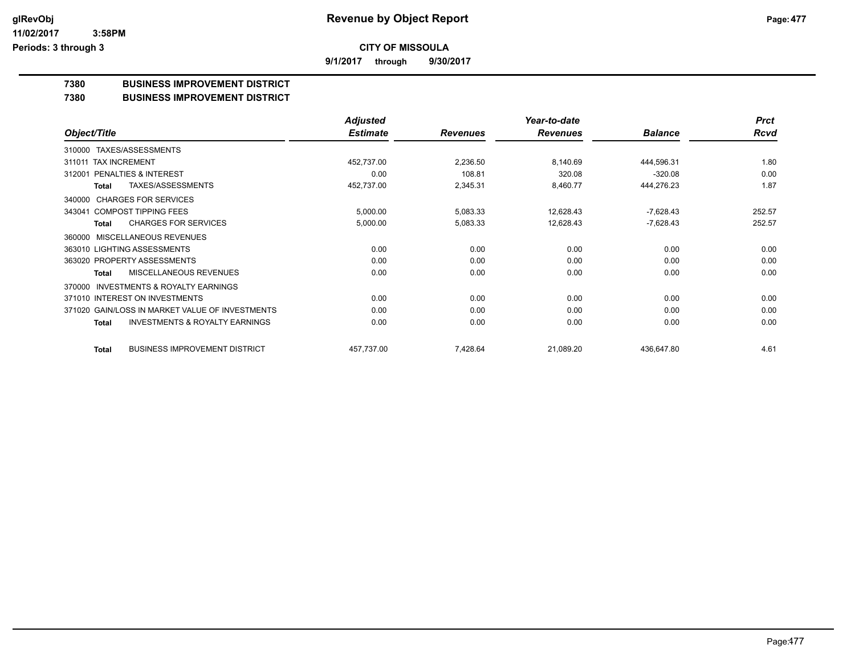**3:58PM**

**CITY OF MISSOULA**

**9/1/2017 through 9/30/2017**

#### **7380 BUSINESS IMPROVEMENT DISTRICT**

#### **7380 BUSINESS IMPROVEMENT DISTRICT**

|                                                      | <b>Adjusted</b> |                 | Year-to-date    |                | <b>Prct</b> |
|------------------------------------------------------|-----------------|-----------------|-----------------|----------------|-------------|
| Object/Title                                         | <b>Estimate</b> | <b>Revenues</b> | <b>Revenues</b> | <b>Balance</b> | Rcvd        |
| TAXES/ASSESSMENTS<br>310000                          |                 |                 |                 |                |             |
| <b>TAX INCREMENT</b><br>311011                       | 452,737.00      | 2,236.50        | 8,140.69        | 444,596.31     | 1.80        |
| PENALTIES & INTEREST<br>312001                       | 0.00            | 108.81          | 320.08          | $-320.08$      | 0.00        |
| TAXES/ASSESSMENTS<br><b>Total</b>                    | 452,737.00      | 2,345.31        | 8,460.77        | 444,276.23     | 1.87        |
| <b>CHARGES FOR SERVICES</b><br>340000                |                 |                 |                 |                |             |
| 343041 COMPOST TIPPING FEES                          | 5,000.00        | 5,083.33        | 12,628.43       | $-7,628.43$    | 252.57      |
| <b>CHARGES FOR SERVICES</b><br><b>Total</b>          | 5,000.00        | 5,083.33        | 12,628.43       | $-7,628.43$    | 252.57      |
| MISCELLANEOUS REVENUES<br>360000                     |                 |                 |                 |                |             |
| 363010 LIGHTING ASSESSMENTS                          | 0.00            | 0.00            | 0.00            | 0.00           | 0.00        |
| 363020 PROPERTY ASSESSMENTS                          | 0.00            | 0.00            | 0.00            | 0.00           | 0.00        |
| <b>MISCELLANEOUS REVENUES</b><br><b>Total</b>        | 0.00            | 0.00            | 0.00            | 0.00           | 0.00        |
| <b>INVESTMENTS &amp; ROYALTY EARNINGS</b><br>370000  |                 |                 |                 |                |             |
| 371010 INTEREST ON INVESTMENTS                       | 0.00            | 0.00            | 0.00            | 0.00           | 0.00        |
| 371020 GAIN/LOSS IN MARKET VALUE OF INVESTMENTS      | 0.00            | 0.00            | 0.00            | 0.00           | 0.00        |
| <b>INVESTMENTS &amp; ROYALTY EARNINGS</b><br>Total   | 0.00            | 0.00            | 0.00            | 0.00           | 0.00        |
| <b>BUSINESS IMPROVEMENT DISTRICT</b><br><b>Total</b> | 457,737.00      | 7,428.64        | 21,089.20       | 436,647.80     | 4.61        |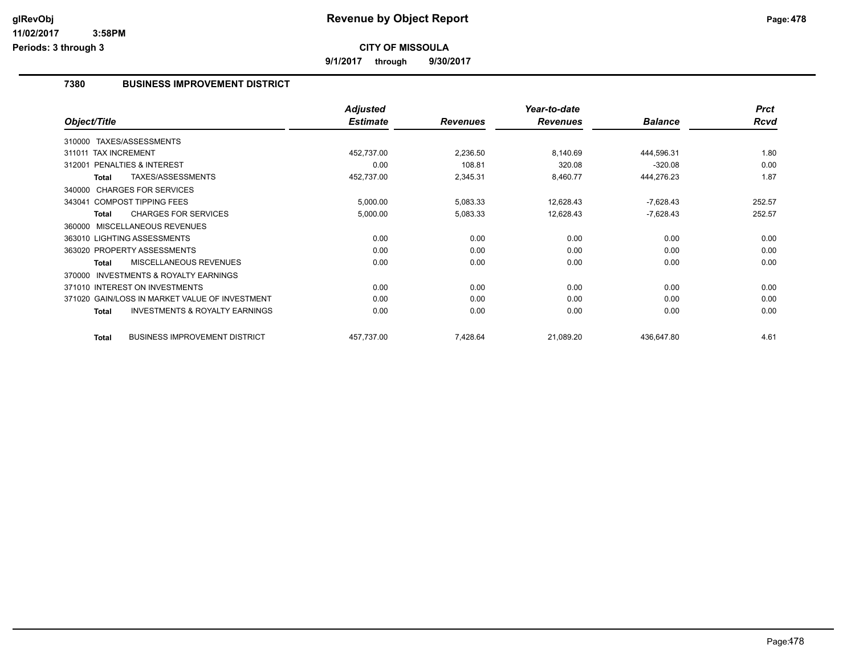**CITY OF MISSOULA**

**9/1/2017 through 9/30/2017**

#### **7380 BUSINESS IMPROVEMENT DISTRICT**

|                                                           | <b>Adjusted</b> |                 | Year-to-date    |                | <b>Prct</b> |
|-----------------------------------------------------------|-----------------|-----------------|-----------------|----------------|-------------|
| Object/Title                                              | <b>Estimate</b> | <b>Revenues</b> | <b>Revenues</b> | <b>Balance</b> | <b>Rcvd</b> |
| TAXES/ASSESSMENTS<br>310000                               |                 |                 |                 |                |             |
| <b>TAX INCREMENT</b><br>311011                            | 452,737.00      | 2,236.50        | 8,140.69        | 444,596.31     | 1.80        |
| <b>PENALTIES &amp; INTEREST</b><br>312001                 | 0.00            | 108.81          | 320.08          | $-320.08$      | 0.00        |
| TAXES/ASSESSMENTS<br>Total                                | 452,737.00      | 2,345.31        | 8,460.77        | 444,276.23     | 1.87        |
| <b>CHARGES FOR SERVICES</b><br>340000                     |                 |                 |                 |                |             |
| <b>COMPOST TIPPING FEES</b><br>343041                     | 5,000.00        | 5,083.33        | 12,628.43       | $-7,628.43$    | 252.57      |
| <b>CHARGES FOR SERVICES</b><br><b>Total</b>               | 5,000.00        | 5,083.33        | 12,628.43       | $-7,628.43$    | 252.57      |
| MISCELLANEOUS REVENUES<br>360000                          |                 |                 |                 |                |             |
| 363010 LIGHTING ASSESSMENTS                               | 0.00            | 0.00            | 0.00            | 0.00           | 0.00        |
| 363020 PROPERTY ASSESSMENTS                               | 0.00            | 0.00            | 0.00            | 0.00           | 0.00        |
| <b>MISCELLANEOUS REVENUES</b><br><b>Total</b>             | 0.00            | 0.00            | 0.00            | 0.00           | 0.00        |
| INVESTMENTS & ROYALTY EARNINGS<br>370000                  |                 |                 |                 |                |             |
| 371010 INTEREST ON INVESTMENTS                            | 0.00            | 0.00            | 0.00            | 0.00           | 0.00        |
| 371020 GAIN/LOSS IN MARKET VALUE OF INVESTMENT            | 0.00            | 0.00            | 0.00            | 0.00           | 0.00        |
| <b>INVESTMENTS &amp; ROYALTY EARNINGS</b><br><b>Total</b> | 0.00            | 0.00            | 0.00            | 0.00           | 0.00        |
| <b>BUSINESS IMPROVEMENT DISTRICT</b><br><b>Total</b>      | 457,737.00      | 7,428.64        | 21,089.20       | 436,647.80     | 4.61        |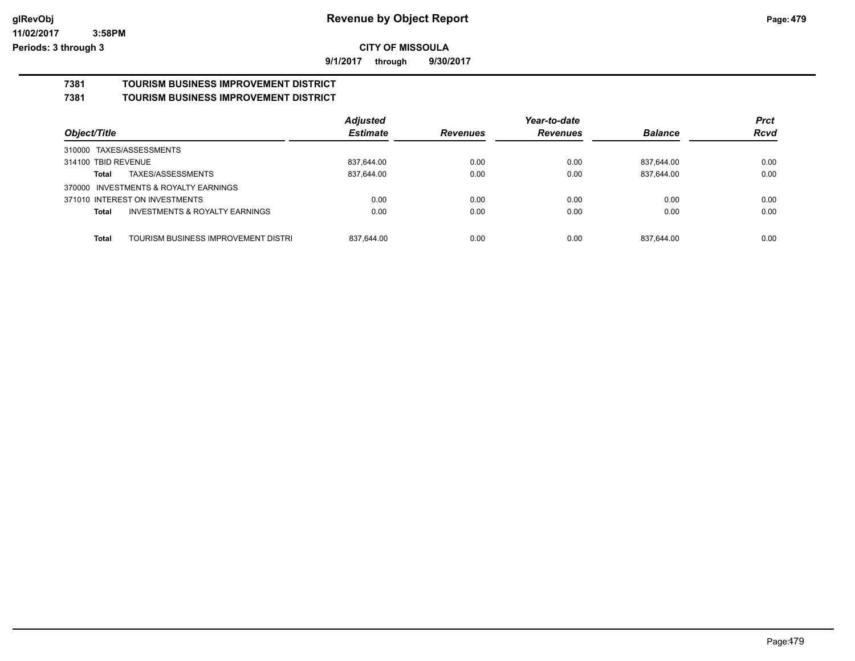**11/02/2017 3:58PM Periods: 3 through 3**

**CITY OF MISSOULA**

**9/1/2017 through 9/30/2017**

# **7381 TOURISM BUSINESS IMPROVEMENT DISTRICT**

# **7381 TOURISM BUSINESS IMPROVEMENT DISTRICT**

|                                                     | <b>Adjusted</b> |                 | Year-to-date    |                | <b>Prct</b> |
|-----------------------------------------------------|-----------------|-----------------|-----------------|----------------|-------------|
| Object/Title                                        | <b>Estimate</b> | <b>Revenues</b> | <b>Revenues</b> | <b>Balance</b> | <b>Rcvd</b> |
| 310000 TAXES/ASSESSMENTS                            |                 |                 |                 |                |             |
| 314100 TBID REVENUE                                 | 837.644.00      | 0.00            | 0.00            | 837.644.00     | 0.00        |
| TAXES/ASSESSMENTS<br><b>Total</b>                   | 837,644.00      | 0.00            | 0.00            | 837,644.00     | 0.00        |
| 370000 INVESTMENTS & ROYALTY EARNINGS               |                 |                 |                 |                |             |
| 371010 INTEREST ON INVESTMENTS                      | 0.00            | 0.00            | 0.00            | 0.00           | 0.00        |
| <b>INVESTMENTS &amp; ROYALTY EARNINGS</b><br>Total  | 0.00            | 0.00            | 0.00            | 0.00           | 0.00        |
|                                                     |                 |                 |                 |                |             |
| TOURISM BUSINESS IMPROVEMENT DISTRI<br><b>Total</b> | 837.644.00      | 0.00            | 0.00            | 837.644.00     | 0.00        |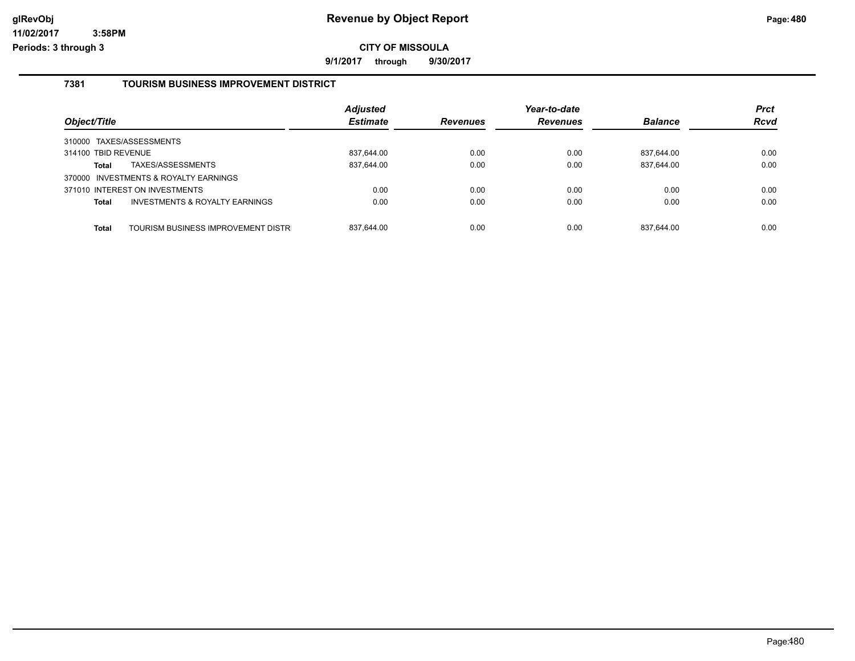**3:58PM**

**CITY OF MISSOULA**

**9/1/2017 through 9/30/2017**

#### **7381 TOURISM BUSINESS IMPROVEMENT DISTRICT**

| Object/Title                                              | <b>Adjusted</b><br><b>Estimate</b> | <b>Revenues</b> | Year-to-date<br><b>Revenues</b> | <b>Balance</b> | <b>Prct</b><br><b>Rcvd</b> |
|-----------------------------------------------------------|------------------------------------|-----------------|---------------------------------|----------------|----------------------------|
| 310000 TAXES/ASSESSMENTS                                  |                                    |                 |                                 |                |                            |
| 314100 TBID REVENUE                                       | 837,644.00                         | 0.00            | 0.00                            | 837.644.00     | 0.00                       |
| TAXES/ASSESSMENTS<br><b>Total</b>                         | 837,644.00                         | 0.00            | 0.00                            | 837,644.00     | 0.00                       |
| 370000 INVESTMENTS & ROYALTY EARNINGS                     |                                    |                 |                                 |                |                            |
| 371010 INTEREST ON INVESTMENTS                            | 0.00                               | 0.00            | 0.00                            | 0.00           | 0.00                       |
| <b>INVESTMENTS &amp; ROYALTY EARNINGS</b><br><b>Total</b> | 0.00                               | 0.00            | 0.00                            | 0.00           | 0.00                       |
|                                                           |                                    |                 |                                 |                |                            |
| TOURISM BUSINESS IMPROVEMENT DISTR<br><b>Total</b>        | 837.644.00                         | 0.00            | 0.00                            | 837.644.00     | 0.00                       |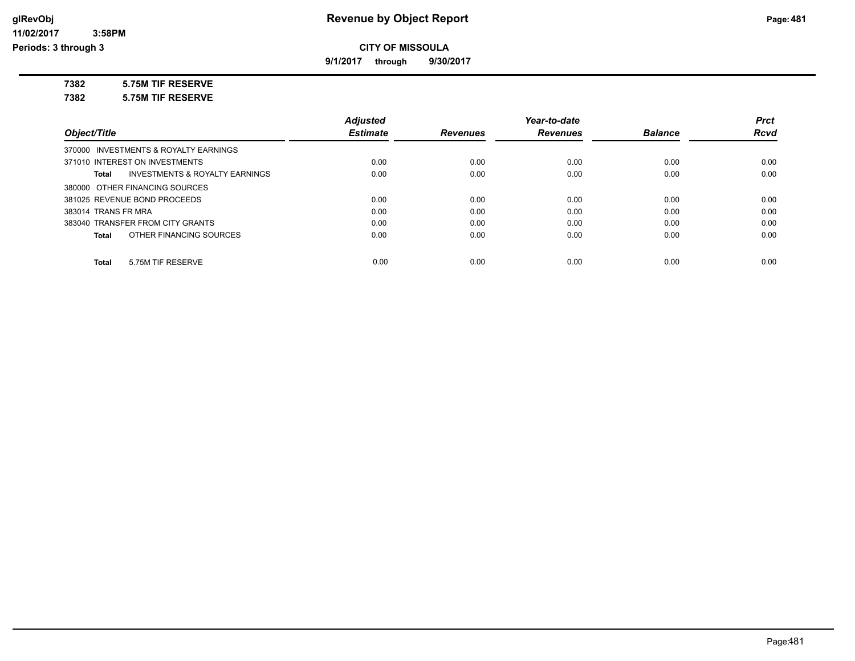**9/1/2017 through 9/30/2017**

**7382 5.75M TIF RESERVE**

**7382 5.75M TIF RESERVE**

|                                         | <b>Adjusted</b> |                 | Year-to-date    |                | <b>Prct</b> |
|-----------------------------------------|-----------------|-----------------|-----------------|----------------|-------------|
| Object/Title                            | <b>Estimate</b> | <b>Revenues</b> | <b>Revenues</b> | <b>Balance</b> | <b>Rcvd</b> |
| 370000 INVESTMENTS & ROYALTY EARNINGS   |                 |                 |                 |                |             |
| 371010 INTEREST ON INVESTMENTS          | 0.00            | 0.00            | 0.00            | 0.00           | 0.00        |
| INVESTMENTS & ROYALTY EARNINGS<br>Total | 0.00            | 0.00            | 0.00            | 0.00           | 0.00        |
| 380000 OTHER FINANCING SOURCES          |                 |                 |                 |                |             |
| 381025 REVENUE BOND PROCEEDS            | 0.00            | 0.00            | 0.00            | 0.00           | 0.00        |
| 383014 TRANS FR MRA                     | 0.00            | 0.00            | 0.00            | 0.00           | 0.00        |
| 383040 TRANSFER FROM CITY GRANTS        | 0.00            | 0.00            | 0.00            | 0.00           | 0.00        |
| OTHER FINANCING SOURCES<br>Total        | 0.00            | 0.00            | 0.00            | 0.00           | 0.00        |
|                                         |                 |                 |                 |                |             |
| 5.75M TIF RESERVE<br>Total              | 0.00            | 0.00            | 0.00            | 0.00           | 0.00        |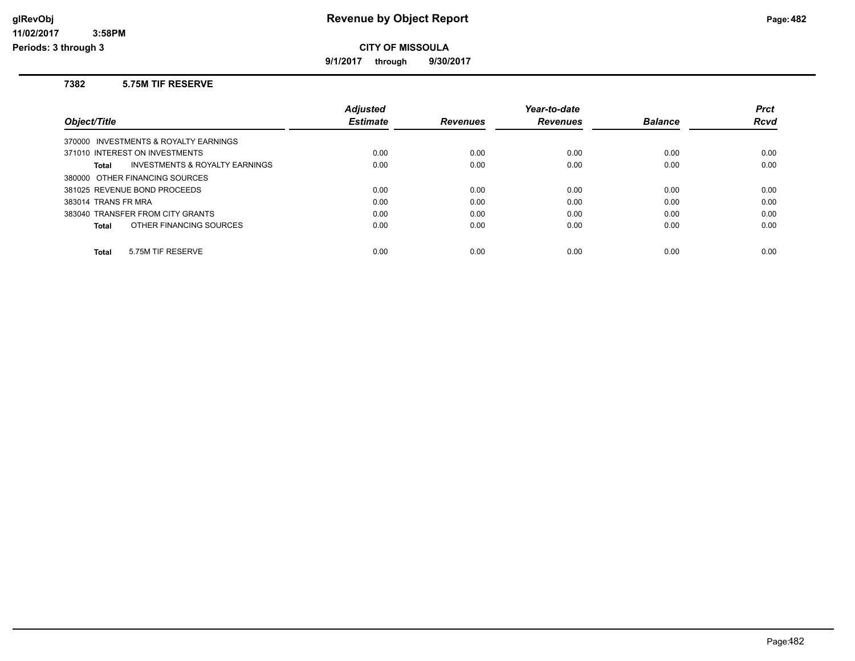**9/1/2017 through 9/30/2017**

#### **7382 5.75M TIF RESERVE**

|                                                    | <b>Adiusted</b> |                 | Year-to-date    |                | <b>Prct</b> |
|----------------------------------------------------|-----------------|-----------------|-----------------|----------------|-------------|
| Obiect/Title                                       | <b>Estimate</b> | <b>Revenues</b> | <b>Revenues</b> | <b>Balance</b> | Rcvd        |
| 370000 INVESTMENTS & ROYALTY EARNINGS              |                 |                 |                 |                |             |
| 371010 INTEREST ON INVESTMENTS                     | 0.00            | 0.00            | 0.00            | 0.00           | 0.00        |
| <b>INVESTMENTS &amp; ROYALTY EARNINGS</b><br>Total | 0.00            | 0.00            | 0.00            | 0.00           | 0.00        |
| 380000 OTHER FINANCING SOURCES                     |                 |                 |                 |                |             |
| 381025 REVENUE BOND PROCEEDS                       | 0.00            | 0.00            | 0.00            | 0.00           | 0.00        |
| 383014 TRANS FR MRA                                | 0.00            | 0.00            | 0.00            | 0.00           | 0.00        |
| 383040 TRANSFER FROM CITY GRANTS                   | 0.00            | 0.00            | 0.00            | 0.00           | 0.00        |
| OTHER FINANCING SOURCES<br>Total                   | 0.00            | 0.00            | 0.00            | 0.00           | 0.00        |
|                                                    |                 |                 |                 |                |             |
| 5.75M TIF RESERVE<br><b>Total</b>                  | 0.00            | 0.00            | 0.00            | 0.00           | 0.00        |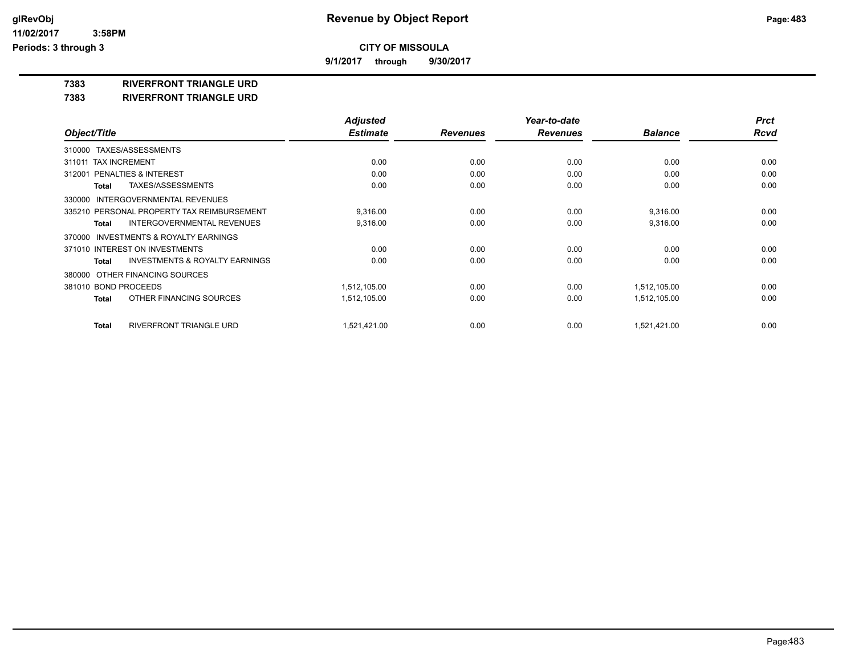**9/1/2017 through 9/30/2017**

#### **7383 RIVERFRONT TRIANGLE URD**

**7383 RIVERFRONT TRIANGLE URD**

| <b>Adjusted</b> |                 | Year-to-date    |                | <b>Prct</b>  |
|-----------------|-----------------|-----------------|----------------|--------------|
| <b>Estimate</b> | <b>Revenues</b> | <b>Revenues</b> | <b>Balance</b> | Rcvd         |
|                 |                 |                 |                |              |
| 0.00            | 0.00            | 0.00            | 0.00           | 0.00         |
| 0.00            | 0.00            | 0.00            | 0.00           | 0.00         |
| 0.00            | 0.00            | 0.00            | 0.00           | 0.00         |
|                 |                 |                 |                |              |
| 9,316.00        | 0.00            | 0.00            | 9,316.00       | 0.00         |
| 9,316.00        | 0.00            | 0.00            | 9,316.00       | 0.00         |
|                 |                 |                 |                |              |
| 0.00            | 0.00            | 0.00            | 0.00           | 0.00         |
| 0.00            | 0.00            | 0.00            | 0.00           | 0.00         |
|                 |                 |                 |                |              |
| 1,512,105.00    | 0.00            | 0.00            | 1,512,105.00   | 0.00         |
| 1,512,105.00    | 0.00            | 0.00            | 1,512,105.00   | 0.00         |
|                 |                 |                 |                | 0.00         |
|                 | 1,521,421.00    | 0.00            | 0.00           | 1,521,421.00 |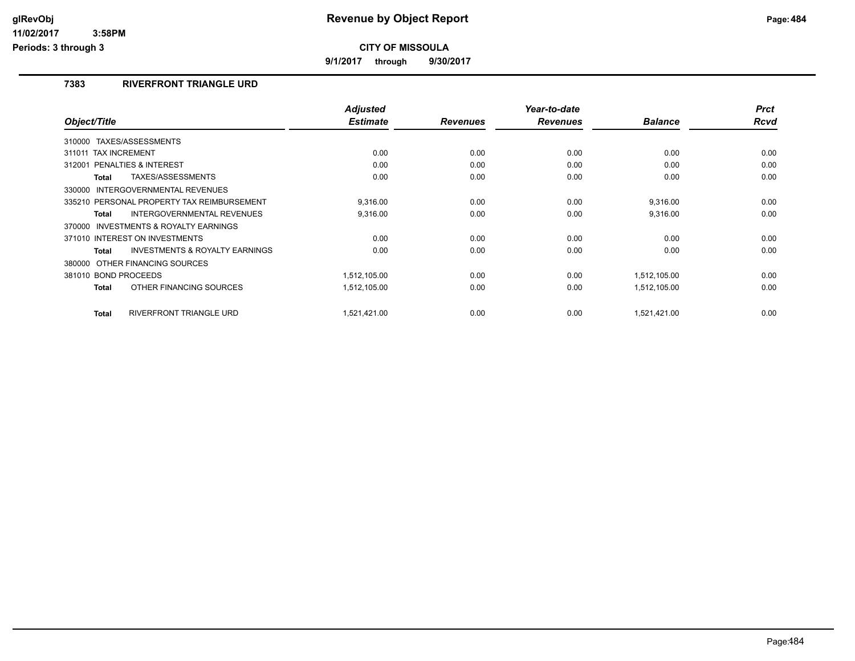**CITY OF MISSOULA**

**9/1/2017 through 9/30/2017**

#### **7383 RIVERFRONT TRIANGLE URD**

 **3:58PM**

|                                                     | <b>Adjusted</b> |                 | Year-to-date    |                | <b>Prct</b> |
|-----------------------------------------------------|-----------------|-----------------|-----------------|----------------|-------------|
| Object/Title                                        | <b>Estimate</b> | <b>Revenues</b> | <b>Revenues</b> | <b>Balance</b> | <b>Rcvd</b> |
| 310000 TAXES/ASSESSMENTS                            |                 |                 |                 |                |             |
| 311011 TAX INCREMENT                                | 0.00            | 0.00            | 0.00            | 0.00           | 0.00        |
| 312001 PENALTIES & INTEREST                         | 0.00            | 0.00            | 0.00            | 0.00           | 0.00        |
| TAXES/ASSESSMENTS<br><b>Total</b>                   | 0.00            | 0.00            | 0.00            | 0.00           | 0.00        |
| INTERGOVERNMENTAL REVENUES<br>330000                |                 |                 |                 |                |             |
| 335210 PERSONAL PROPERTY TAX REIMBURSEMENT          | 9,316.00        | 0.00            | 0.00            | 9,316.00       | 0.00        |
| <b>INTERGOVERNMENTAL REVENUES</b><br><b>Total</b>   | 9,316.00        | 0.00            | 0.00            | 9,316.00       | 0.00        |
| <b>INVESTMENTS &amp; ROYALTY EARNINGS</b><br>370000 |                 |                 |                 |                |             |
| 371010 INTEREST ON INVESTMENTS                      | 0.00            | 0.00            | 0.00            | 0.00           | 0.00        |
| <b>INVESTMENTS &amp; ROYALTY EARNINGS</b><br>Total  | 0.00            | 0.00            | 0.00            | 0.00           | 0.00        |
| 380000 OTHER FINANCING SOURCES                      |                 |                 |                 |                |             |
| 381010 BOND PROCEEDS                                | 1,512,105.00    | 0.00            | 0.00            | 1,512,105.00   | 0.00        |
| OTHER FINANCING SOURCES<br><b>Total</b>             | 1,512,105.00    | 0.00            | 0.00            | 1,512,105.00   | 0.00        |
| <b>RIVERFRONT TRIANGLE URD</b><br><b>Total</b>      | 1,521,421.00    | 0.00            | 0.00            | 1,521,421.00   | 0.00        |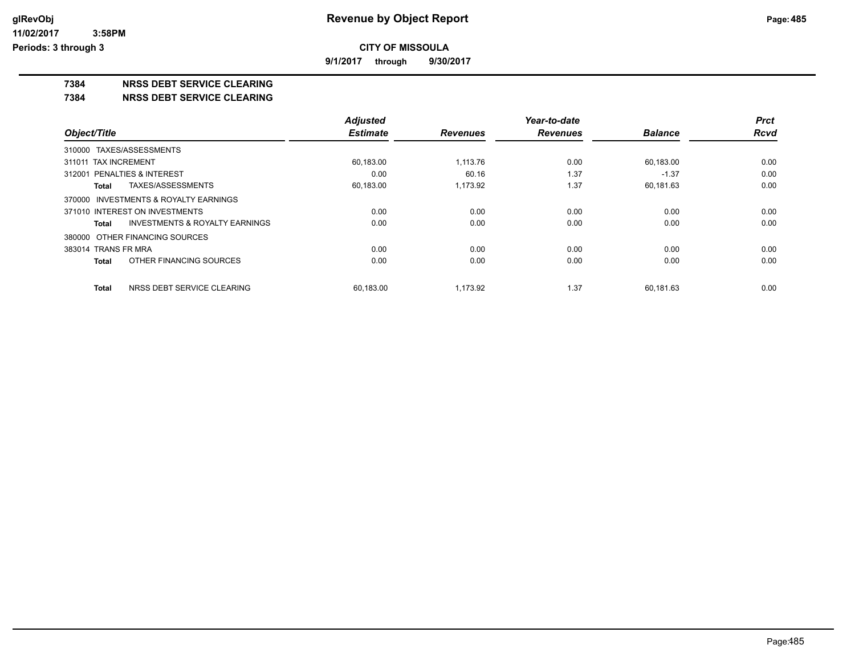**9/1/2017 through 9/30/2017**

#### **7384 NRSS DEBT SERVICE CLEARING**

**7384 NRSS DEBT SERVICE CLEARING**

|                                                    | <b>Adjusted</b> |                 | Year-to-date    |                | <b>Prct</b> |
|----------------------------------------------------|-----------------|-----------------|-----------------|----------------|-------------|
| Object/Title                                       | <b>Estimate</b> | <b>Revenues</b> | <b>Revenues</b> | <b>Balance</b> | <b>Rcvd</b> |
| 310000 TAXES/ASSESSMENTS                           |                 |                 |                 |                |             |
| 311011 TAX INCREMENT                               | 60,183.00       | 1,113.76        | 0.00            | 60,183.00      | 0.00        |
| 312001 PENALTIES & INTEREST                        | 0.00            | 60.16           | 1.37            | $-1.37$        | 0.00        |
| TAXES/ASSESSMENTS<br>Total                         | 60,183.00       | 1.173.92        | 1.37            | 60,181.63      | 0.00        |
| 370000 INVESTMENTS & ROYALTY EARNINGS              |                 |                 |                 |                |             |
| 371010 INTEREST ON INVESTMENTS                     | 0.00            | 0.00            | 0.00            | 0.00           | 0.00        |
| <b>INVESTMENTS &amp; ROYALTY EARNINGS</b><br>Total | 0.00            | 0.00            | 0.00            | 0.00           | 0.00        |
| 380000 OTHER FINANCING SOURCES                     |                 |                 |                 |                |             |
| 383014 TRANS FR MRA                                | 0.00            | 0.00            | 0.00            | 0.00           | 0.00        |
| OTHER FINANCING SOURCES<br>Total                   | 0.00            | 0.00            | 0.00            | 0.00           | 0.00        |
| NRSS DEBT SERVICE CLEARING<br>Total                | 60.183.00       | 1.173.92        | 1.37            | 60.181.63      | 0.00        |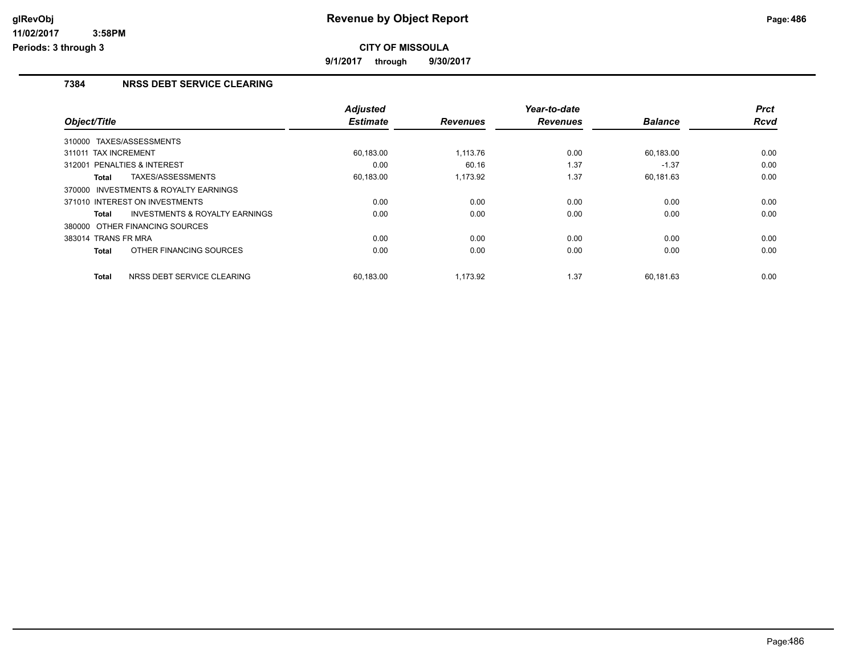**9/1/2017 through 9/30/2017**

#### **7384 NRSS DEBT SERVICE CLEARING**

|                                                     | <b>Adjusted</b> |                 | Year-to-date    |                | <b>Prct</b> |
|-----------------------------------------------------|-----------------|-----------------|-----------------|----------------|-------------|
| Object/Title                                        | <b>Estimate</b> | <b>Revenues</b> | <b>Revenues</b> | <b>Balance</b> | <b>Rcvd</b> |
| 310000 TAXES/ASSESSMENTS                            |                 |                 |                 |                |             |
| 311011 TAX INCREMENT                                | 60,183.00       | 1,113.76        | 0.00            | 60,183.00      | 0.00        |
| 312001 PENALTIES & INTEREST                         | 0.00            | 60.16           | 1.37            | $-1.37$        | 0.00        |
| TAXES/ASSESSMENTS<br>Total                          | 60,183.00       | 1.173.92        | 1.37            | 60,181.63      | 0.00        |
| <b>INVESTMENTS &amp; ROYALTY EARNINGS</b><br>370000 |                 |                 |                 |                |             |
| 371010 INTEREST ON INVESTMENTS                      | 0.00            | 0.00            | 0.00            | 0.00           | 0.00        |
| <b>INVESTMENTS &amp; ROYALTY EARNINGS</b><br>Total  | 0.00            | 0.00            | 0.00            | 0.00           | 0.00        |
| 380000 OTHER FINANCING SOURCES                      |                 |                 |                 |                |             |
| 383014 TRANS FR MRA                                 | 0.00            | 0.00            | 0.00            | 0.00           | 0.00        |
| OTHER FINANCING SOURCES<br>Total                    | 0.00            | 0.00            | 0.00            | 0.00           | 0.00        |
| NRSS DEBT SERVICE CLEARING<br><b>Total</b>          | 60.183.00       | 1.173.92        | 1.37            | 60.181.63      | 0.00        |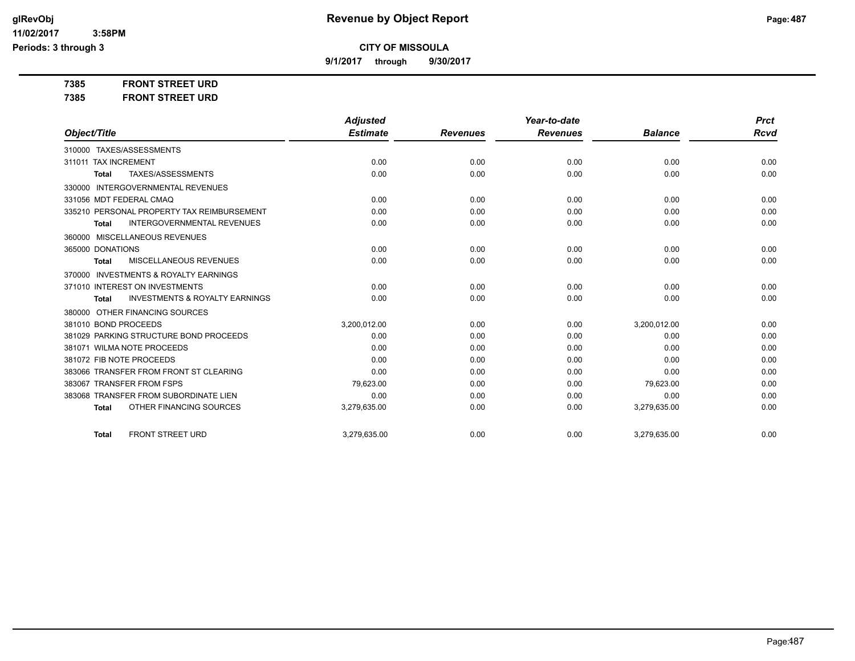**9/1/2017 through 9/30/2017**

**7385 FRONT STREET URD**

**7385 FRONT STREET URD**

|                                        |                                            | <b>Adjusted</b> |                 | Year-to-date    |                | <b>Prct</b> |
|----------------------------------------|--------------------------------------------|-----------------|-----------------|-----------------|----------------|-------------|
| Object/Title                           |                                            | <b>Estimate</b> | <b>Revenues</b> | <b>Revenues</b> | <b>Balance</b> | <b>Rcvd</b> |
| 310000 TAXES/ASSESSMENTS               |                                            |                 |                 |                 |                |             |
| 311011 TAX INCREMENT                   |                                            | 0.00            | 0.00            | 0.00            | 0.00           | 0.00        |
| <b>Total</b>                           | TAXES/ASSESSMENTS                          | 0.00            | 0.00            | 0.00            | 0.00           | 0.00        |
| 330000                                 | INTERGOVERNMENTAL REVENUES                 |                 |                 |                 |                |             |
| 331056 MDT FEDERAL CMAQ                |                                            | 0.00            | 0.00            | 0.00            | 0.00           | 0.00        |
|                                        | 335210 PERSONAL PROPERTY TAX REIMBURSEMENT | 0.00            | 0.00            | 0.00            | 0.00           | 0.00        |
| <b>Total</b>                           | <b>INTERGOVERNMENTAL REVENUES</b>          | 0.00            | 0.00            | 0.00            | 0.00           | 0.00        |
| MISCELLANEOUS REVENUES<br>360000       |                                            |                 |                 |                 |                |             |
| 365000 DONATIONS                       |                                            | 0.00            | 0.00            | 0.00            | 0.00           | 0.00        |
| <b>Total</b>                           | MISCELLANEOUS REVENUES                     | 0.00            | 0.00            | 0.00            | 0.00           | 0.00        |
| 370000 INVESTMENTS & ROYALTY EARNINGS  |                                            |                 |                 |                 |                |             |
| 371010 INTEREST ON INVESTMENTS         |                                            | 0.00            | 0.00            | 0.00            | 0.00           | 0.00        |
| <b>Total</b>                           | <b>INVESTMENTS &amp; ROYALTY EARNINGS</b>  | 0.00            | 0.00            | 0.00            | 0.00           | 0.00        |
| OTHER FINANCING SOURCES<br>380000      |                                            |                 |                 |                 |                |             |
| 381010 BOND PROCEEDS                   |                                            | 3,200,012.00    | 0.00            | 0.00            | 3,200,012.00   | 0.00        |
| 381029 PARKING STRUCTURE BOND PROCEEDS |                                            | 0.00            | 0.00            | 0.00            | 0.00           | 0.00        |
| 381071 WILMA NOTE PROCEEDS             |                                            | 0.00            | 0.00            | 0.00            | 0.00           | 0.00        |
| 381072 FIB NOTE PROCEEDS               |                                            | 0.00            | 0.00            | 0.00            | 0.00           | 0.00        |
| 383066 TRANSFER FROM FRONT ST CLEARING |                                            | 0.00            | 0.00            | 0.00            | 0.00           | 0.00        |
| 383067 TRANSFER FROM FSPS              |                                            | 79,623.00       | 0.00            | 0.00            | 79,623.00      | 0.00        |
| 383068 TRANSFER FROM SUBORDINATE LIEN  |                                            | 0.00            | 0.00            | 0.00            | 0.00           | 0.00        |
| <b>Total</b>                           | OTHER FINANCING SOURCES                    | 3,279,635.00    | 0.00            | 0.00            | 3,279,635.00   | 0.00        |
| <b>Total</b>                           | <b>FRONT STREET URD</b>                    | 3,279,635.00    | 0.00            | 0.00            | 3,279,635.00   | 0.00        |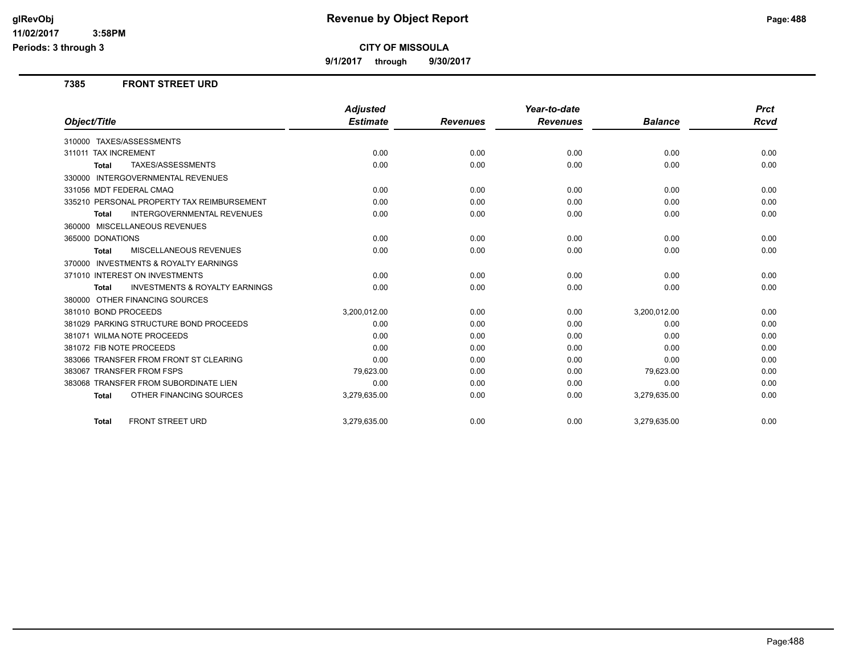**CITY OF MISSOULA**

**9/1/2017 through 9/30/2017**

#### **7385 FRONT STREET URD**

 **3:58PM**

|                                                           | <b>Adjusted</b> |                 | Year-to-date    |                | <b>Prct</b> |
|-----------------------------------------------------------|-----------------|-----------------|-----------------|----------------|-------------|
| Object/Title                                              | <b>Estimate</b> | <b>Revenues</b> | <b>Revenues</b> | <b>Balance</b> | Rcvd        |
| 310000 TAXES/ASSESSMENTS                                  |                 |                 |                 |                |             |
| 311011 TAX INCREMENT                                      | 0.00            | 0.00            | 0.00            | 0.00           | 0.00        |
| TAXES/ASSESSMENTS<br><b>Total</b>                         | 0.00            | 0.00            | 0.00            | 0.00           | 0.00        |
| 330000 INTERGOVERNMENTAL REVENUES                         |                 |                 |                 |                |             |
| 331056 MDT FEDERAL CMAO                                   | 0.00            | 0.00            | 0.00            | 0.00           | 0.00        |
| 335210 PERSONAL PROPERTY TAX REIMBURSEMENT                | 0.00            | 0.00            | 0.00            | 0.00           | 0.00        |
| <b>INTERGOVERNMENTAL REVENUES</b><br><b>Total</b>         | 0.00            | 0.00            | 0.00            | 0.00           | 0.00        |
| 360000 MISCELLANEOUS REVENUES                             |                 |                 |                 |                |             |
| 365000 DONATIONS                                          | 0.00            | 0.00            | 0.00            | 0.00           | 0.00        |
| MISCELLANEOUS REVENUES<br>Total                           | 0.00            | 0.00            | 0.00            | 0.00           | 0.00        |
| 370000 INVESTMENTS & ROYALTY EARNINGS                     |                 |                 |                 |                |             |
| 371010 INTEREST ON INVESTMENTS                            | 0.00            | 0.00            | 0.00            | 0.00           | 0.00        |
| <b>INVESTMENTS &amp; ROYALTY EARNINGS</b><br><b>Total</b> | 0.00            | 0.00            | 0.00            | 0.00           | 0.00        |
| 380000 OTHER FINANCING SOURCES                            |                 |                 |                 |                |             |
| 381010 BOND PROCEEDS                                      | 3,200,012.00    | 0.00            | 0.00            | 3,200,012.00   | 0.00        |
| 381029 PARKING STRUCTURE BOND PROCEEDS                    | 0.00            | 0.00            | 0.00            | 0.00           | 0.00        |
| 381071 WILMA NOTE PROCEEDS                                | 0.00            | 0.00            | 0.00            | 0.00           | 0.00        |
| 381072 FIB NOTE PROCEEDS                                  | 0.00            | 0.00            | 0.00            | 0.00           | 0.00        |
| 383066 TRANSFER FROM FRONT ST CLEARING                    | 0.00            | 0.00            | 0.00            | 0.00           | 0.00        |
| 383067 TRANSFER FROM FSPS                                 | 79,623.00       | 0.00            | 0.00            | 79,623.00      | 0.00        |
| 383068 TRANSFER FROM SUBORDINATE LIEN                     | 0.00            | 0.00            | 0.00            | 0.00           | 0.00        |
| OTHER FINANCING SOURCES<br><b>Total</b>                   | 3,279,635.00    | 0.00            | 0.00            | 3,279,635.00   | 0.00        |
| <b>FRONT STREET URD</b><br><b>Total</b>                   | 3,279,635.00    | 0.00            | 0.00            | 3,279,635.00   | 0.00        |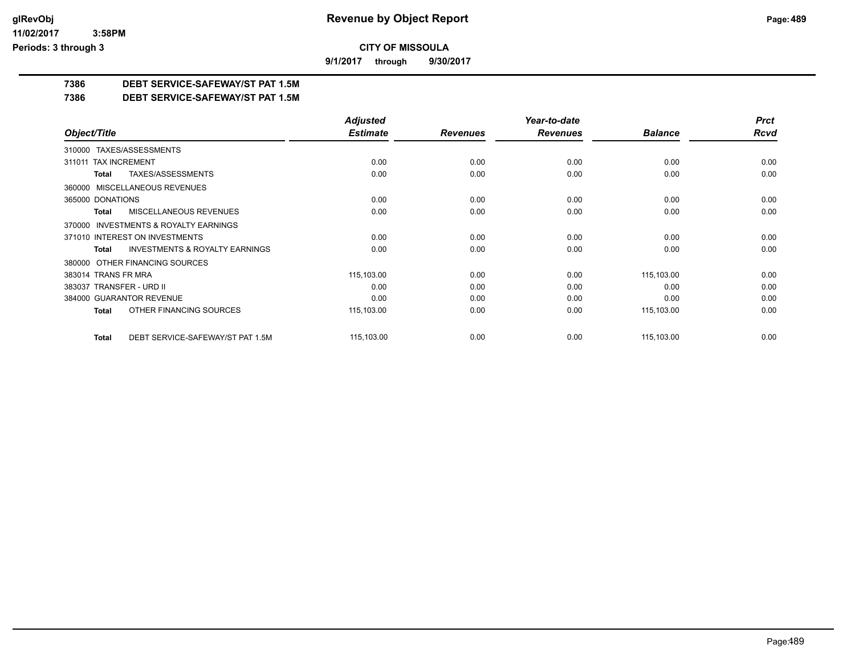**9/1/2017 through 9/30/2017**

### **7386 DEBT SERVICE-SAFEWAY/ST PAT 1.5M**

#### **7386 DEBT SERVICE-SAFEWAY/ST PAT 1.5M**

|                                                     | <b>Adjusted</b> |                 | Year-to-date    |                | <b>Prct</b> |
|-----------------------------------------------------|-----------------|-----------------|-----------------|----------------|-------------|
| Object/Title                                        | <b>Estimate</b> | <b>Revenues</b> | <b>Revenues</b> | <b>Balance</b> | <b>Rcvd</b> |
| 310000 TAXES/ASSESSMENTS                            |                 |                 |                 |                |             |
| <b>TAX INCREMENT</b><br>311011                      | 0.00            | 0.00            | 0.00            | 0.00           | 0.00        |
| TAXES/ASSESSMENTS<br>Total                          | 0.00            | 0.00            | 0.00            | 0.00           | 0.00        |
| 360000 MISCELLANEOUS REVENUES                       |                 |                 |                 |                |             |
| 365000 DONATIONS                                    | 0.00            | 0.00            | 0.00            | 0.00           | 0.00        |
| <b>MISCELLANEOUS REVENUES</b><br>Total              | 0.00            | 0.00            | 0.00            | 0.00           | 0.00        |
| <b>INVESTMENTS &amp; ROYALTY EARNINGS</b><br>370000 |                 |                 |                 |                |             |
| 371010 INTEREST ON INVESTMENTS                      | 0.00            | 0.00            | 0.00            | 0.00           | 0.00        |
| <b>INVESTMENTS &amp; ROYALTY EARNINGS</b><br>Total  | 0.00            | 0.00            | 0.00            | 0.00           | 0.00        |
| OTHER FINANCING SOURCES<br>380000                   |                 |                 |                 |                |             |
| 383014 TRANS FR MRA                                 | 115,103.00      | 0.00            | 0.00            | 115,103.00     | 0.00        |
| 383037 TRANSFER - URD II                            | 0.00            | 0.00            | 0.00            | 0.00           | 0.00        |
| 384000 GUARANTOR REVENUE                            | 0.00            | 0.00            | 0.00            | 0.00           | 0.00        |
| OTHER FINANCING SOURCES<br>Total                    | 115,103.00      | 0.00            | 0.00            | 115,103.00     | 0.00        |
| DEBT SERVICE-SAFEWAY/ST PAT 1.5M<br><b>Total</b>    | 115,103.00      | 0.00            | 0.00            | 115,103.00     | 0.00        |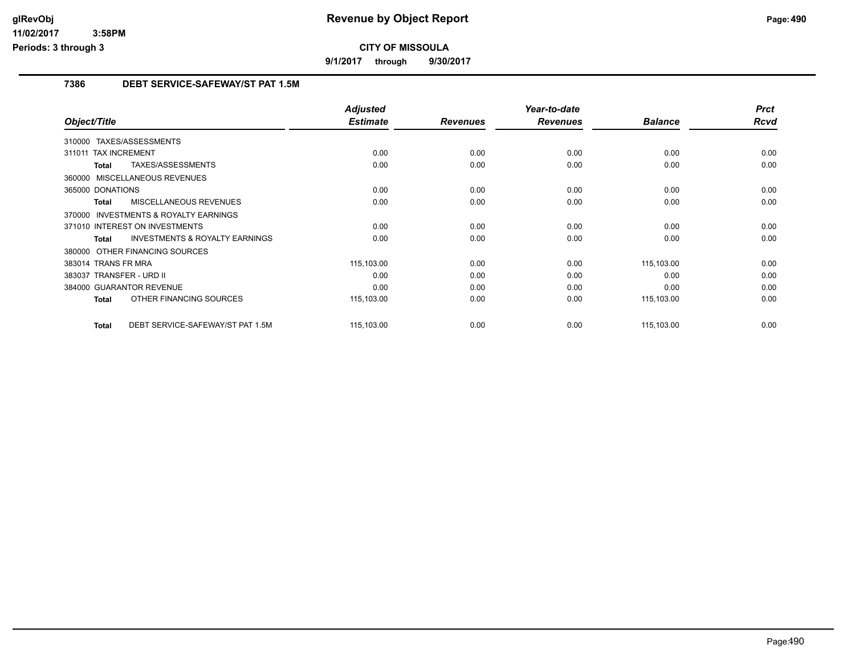**9/1/2017 through 9/30/2017**

#### **7386 DEBT SERVICE-SAFEWAY/ST PAT 1.5M**

|                                                    | <b>Adjusted</b> |                 | Year-to-date    |                | <b>Prct</b> |
|----------------------------------------------------|-----------------|-----------------|-----------------|----------------|-------------|
| Object/Title                                       | <b>Estimate</b> | <b>Revenues</b> | <b>Revenues</b> | <b>Balance</b> | <b>Rcvd</b> |
| 310000 TAXES/ASSESSMENTS                           |                 |                 |                 |                |             |
| 311011 TAX INCREMENT                               | 0.00            | 0.00            | 0.00            | 0.00           | 0.00        |
| TAXES/ASSESSMENTS<br>Total                         | 0.00            | 0.00            | 0.00            | 0.00           | 0.00        |
| 360000 MISCELLANEOUS REVENUES                      |                 |                 |                 |                |             |
| 365000 DONATIONS                                   | 0.00            | 0.00            | 0.00            | 0.00           | 0.00        |
| MISCELLANEOUS REVENUES<br>Total                    | 0.00            | 0.00            | 0.00            | 0.00           | 0.00        |
| 370000 INVESTMENTS & ROYALTY EARNINGS              |                 |                 |                 |                |             |
| 371010 INTEREST ON INVESTMENTS                     | 0.00            | 0.00            | 0.00            | 0.00           | 0.00        |
| <b>INVESTMENTS &amp; ROYALTY EARNINGS</b><br>Total | 0.00            | 0.00            | 0.00            | 0.00           | 0.00        |
| 380000 OTHER FINANCING SOURCES                     |                 |                 |                 |                |             |
| 383014 TRANS FR MRA                                | 115,103.00      | 0.00            | 0.00            | 115,103.00     | 0.00        |
| 383037 TRANSFER - URD II                           | 0.00            | 0.00            | 0.00            | 0.00           | 0.00        |
| 384000 GUARANTOR REVENUE                           | 0.00            | 0.00            | 0.00            | 0.00           | 0.00        |
| OTHER FINANCING SOURCES<br>Total                   | 115,103.00      | 0.00            | 0.00            | 115,103.00     | 0.00        |
| DEBT SERVICE-SAFEWAY/ST PAT 1.5M<br><b>Total</b>   | 115,103.00      | 0.00            | 0.00            | 115,103.00     | 0.00        |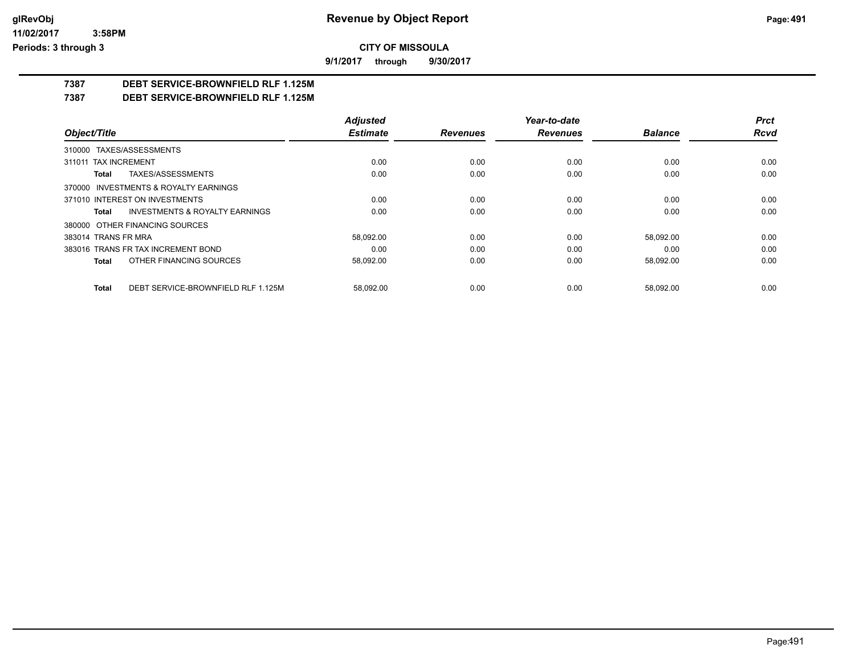**11/02/2017**

 **3:58PM Periods: 3 through 3**

**CITY OF MISSOULA**

**9/1/2017 through 9/30/2017**

# **7387 DEBT SERVICE-BROWNFIELD RLF 1.125M**

**7387 DEBT SERVICE-BROWNFIELD RLF 1.125M**

|                                                    | <b>Adjusted</b> |                 | Year-to-date    |                | <b>Prct</b> |
|----------------------------------------------------|-----------------|-----------------|-----------------|----------------|-------------|
| Object/Title                                       | <b>Estimate</b> | <b>Revenues</b> | <b>Revenues</b> | <b>Balance</b> | <b>Rcvd</b> |
| 310000 TAXES/ASSESSMENTS                           |                 |                 |                 |                |             |
| 311011 TAX INCREMENT                               | 0.00            | 0.00            | 0.00            | 0.00           | 0.00        |
| TAXES/ASSESSMENTS<br>Total                         | 0.00            | 0.00            | 0.00            | 0.00           | 0.00        |
| 370000 INVESTMENTS & ROYALTY EARNINGS              |                 |                 |                 |                |             |
| 371010 INTEREST ON INVESTMENTS                     | 0.00            | 0.00            | 0.00            | 0.00           | 0.00        |
| <b>INVESTMENTS &amp; ROYALTY EARNINGS</b><br>Total | 0.00            | 0.00            | 0.00            | 0.00           | 0.00        |
| 380000 OTHER FINANCING SOURCES                     |                 |                 |                 |                |             |
| 383014 TRANS FR MRA                                | 58,092.00       | 0.00            | 0.00            | 58,092.00      | 0.00        |
| 383016 TRANS FR TAX INCREMENT BOND                 | 0.00            | 0.00            | 0.00            | 0.00           | 0.00        |
| OTHER FINANCING SOURCES<br>Total                   | 58,092.00       | 0.00            | 0.00            | 58,092.00      | 0.00        |
| DEBT SERVICE-BROWNFIELD RLF 1.125M<br>Total        | 58.092.00       | 0.00            | 0.00            | 58.092.00      | 0.00        |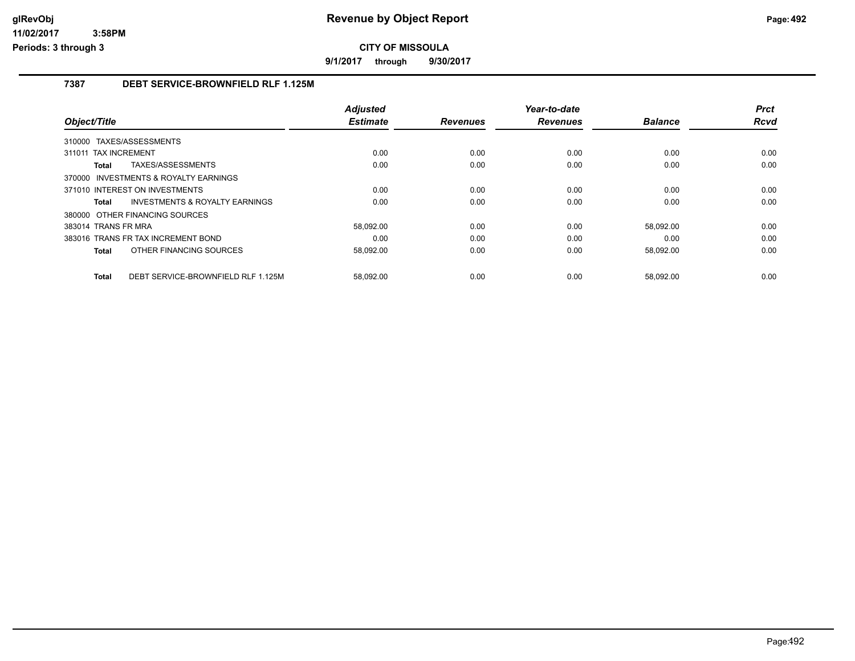**CITY OF MISSOULA**

**9/1/2017 through 9/30/2017**

#### **7387 DEBT SERVICE-BROWNFIELD RLF 1.125M**

|                                                    | <b>Adjusted</b> |                 | Year-to-date    |                | <b>Prct</b> |
|----------------------------------------------------|-----------------|-----------------|-----------------|----------------|-------------|
| Object/Title                                       | <b>Estimate</b> | <b>Revenues</b> | <b>Revenues</b> | <b>Balance</b> | <b>Rcvd</b> |
| TAXES/ASSESSMENTS<br>310000                        |                 |                 |                 |                |             |
| 311011 TAX INCREMENT                               | 0.00            | 0.00            | 0.00            | 0.00           | 0.00        |
| TAXES/ASSESSMENTS<br>Total                         | 0.00            | 0.00            | 0.00            | 0.00           | 0.00        |
| 370000 INVESTMENTS & ROYALTY EARNINGS              |                 |                 |                 |                |             |
| 371010 INTEREST ON INVESTMENTS                     | 0.00            | 0.00            | 0.00            | 0.00           | 0.00        |
| <b>INVESTMENTS &amp; ROYALTY EARNINGS</b><br>Total | 0.00            | 0.00            | 0.00            | 0.00           | 0.00        |
| 380000 OTHER FINANCING SOURCES                     |                 |                 |                 |                |             |
| 383014 TRANS FR MRA                                | 58.092.00       | 0.00            | 0.00            | 58.092.00      | 0.00        |
| 383016 TRANS FR TAX INCREMENT BOND                 | 0.00            | 0.00            | 0.00            | 0.00           | 0.00        |
| OTHER FINANCING SOURCES<br><b>Total</b>            | 58,092.00       | 0.00            | 0.00            | 58,092.00      | 0.00        |
| DEBT SERVICE-BROWNFIELD RLF 1.125M<br><b>Total</b> | 58.092.00       | 0.00            | 0.00            | 58.092.00      | 0.00        |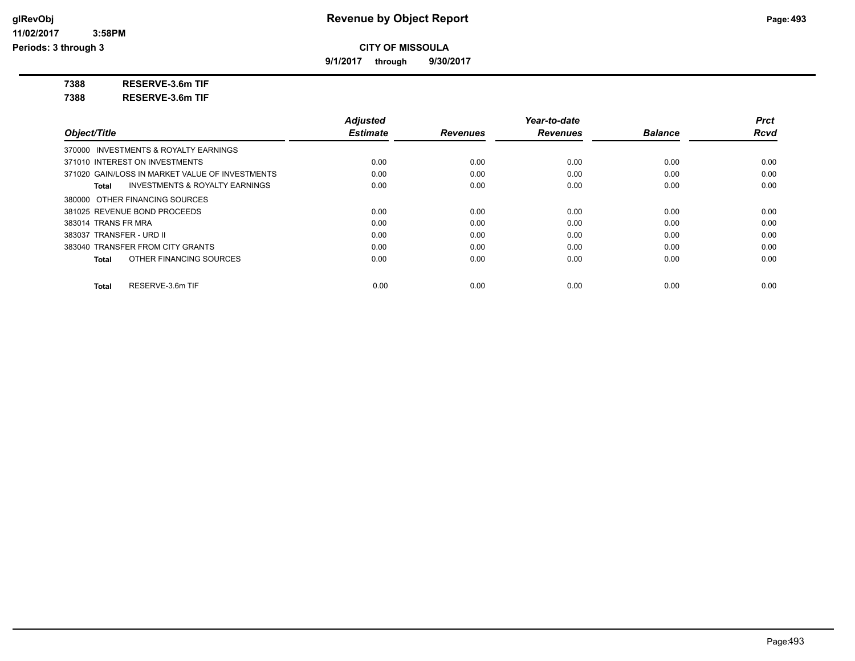**9/1/2017 through 9/30/2017**

**7388 RESERVE-3.6m TIF**

**7388 RESERVE-3.6m TIF**

|                                                    | <b>Adjusted</b> |                 | Year-to-date    |                | <b>Prct</b> |
|----------------------------------------------------|-----------------|-----------------|-----------------|----------------|-------------|
| Object/Title                                       | <b>Estimate</b> | <b>Revenues</b> | <b>Revenues</b> | <b>Balance</b> | <b>Rcvd</b> |
| 370000 INVESTMENTS & ROYALTY EARNINGS              |                 |                 |                 |                |             |
| 371010 INTEREST ON INVESTMENTS                     | 0.00            | 0.00            | 0.00            | 0.00           | 0.00        |
| 371020 GAIN/LOSS IN MARKET VALUE OF INVESTMENTS    | 0.00            | 0.00            | 0.00            | 0.00           | 0.00        |
| <b>INVESTMENTS &amp; ROYALTY EARNINGS</b><br>Total | 0.00            | 0.00            | 0.00            | 0.00           | 0.00        |
| 380000 OTHER FINANCING SOURCES                     |                 |                 |                 |                |             |
| 381025 REVENUE BOND PROCEEDS                       | 0.00            | 0.00            | 0.00            | 0.00           | 0.00        |
| 383014 TRANS FR MRA                                | 0.00            | 0.00            | 0.00            | 0.00           | 0.00        |
| 383037 TRANSFER - URD II                           | 0.00            | 0.00            | 0.00            | 0.00           | 0.00        |
| 383040 TRANSFER FROM CITY GRANTS                   | 0.00            | 0.00            | 0.00            | 0.00           | 0.00        |
| OTHER FINANCING SOURCES<br>Total                   | 0.00            | 0.00            | 0.00            | 0.00           | 0.00        |
| RESERVE-3.6m TIF<br>Total                          | 0.00            | 0.00            | 0.00            | 0.00           | 0.00        |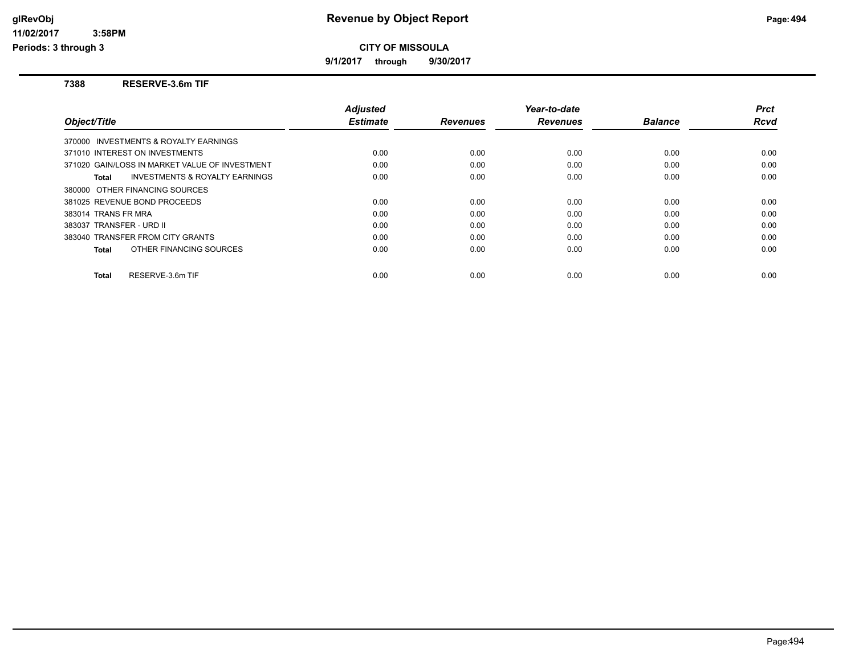**CITY OF MISSOULA**

**9/1/2017 through 9/30/2017**

#### **7388 RESERVE-3.6m TIF**

 **3:58PM**

| Object/Title                                       | <b>Adjusted</b><br><b>Estimate</b> | <b>Revenues</b> | Year-to-date<br><b>Revenues</b> | <b>Balance</b> | <b>Prct</b><br><b>Rcvd</b> |
|----------------------------------------------------|------------------------------------|-----------------|---------------------------------|----------------|----------------------------|
|                                                    |                                    |                 |                                 |                |                            |
| 370000 INVESTMENTS & ROYALTY EARNINGS              |                                    |                 |                                 |                |                            |
| 371010 INTEREST ON INVESTMENTS                     | 0.00                               | 0.00            | 0.00                            | 0.00           | 0.00                       |
| 371020 GAIN/LOSS IN MARKET VALUE OF INVESTMENT     | 0.00                               | 0.00            | 0.00                            | 0.00           | 0.00                       |
| <b>INVESTMENTS &amp; ROYALTY EARNINGS</b><br>Total | 0.00                               | 0.00            | 0.00                            | 0.00           | 0.00                       |
| 380000 OTHER FINANCING SOURCES                     |                                    |                 |                                 |                |                            |
| 381025 REVENUE BOND PROCEEDS                       | 0.00                               | 0.00            | 0.00                            | 0.00           | 0.00                       |
| 383014 TRANS FR MRA                                | 0.00                               | 0.00            | 0.00                            | 0.00           | 0.00                       |
| 383037 TRANSFER - URD II                           | 0.00                               | 0.00            | 0.00                            | 0.00           | 0.00                       |
| 383040 TRANSFER FROM CITY GRANTS                   | 0.00                               | 0.00            | 0.00                            | 0.00           | 0.00                       |
| OTHER FINANCING SOURCES<br>Total                   | 0.00                               | 0.00            | 0.00                            | 0.00           | 0.00                       |
|                                                    |                                    |                 |                                 |                |                            |
| RESERVE-3.6m TIF<br><b>Total</b>                   | 0.00                               | 0.00            | 0.00                            | 0.00           | 0.00                       |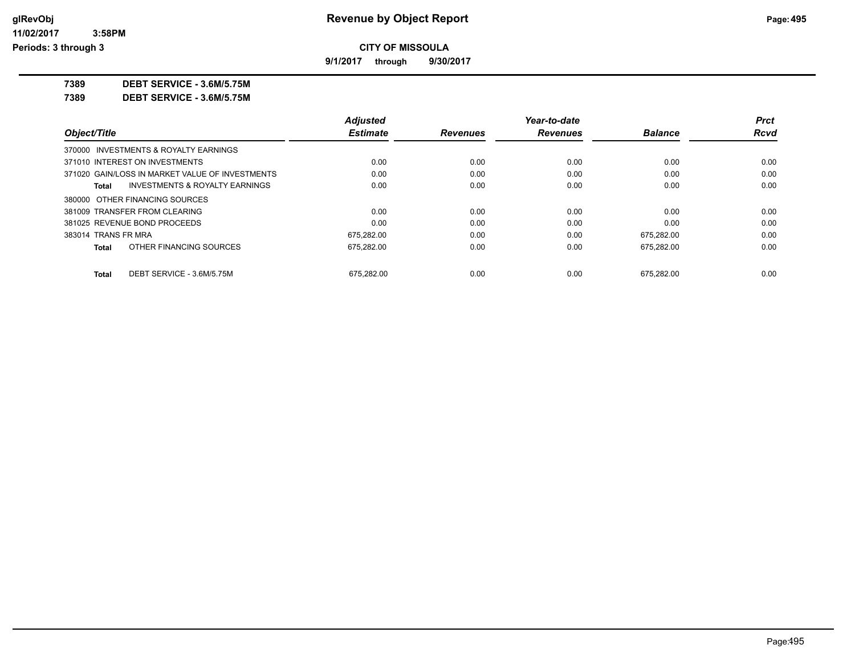**9/1/2017 through 9/30/2017**

**7389 DEBT SERVICE - 3.6M/5.75M**

**7389 DEBT SERVICE - 3.6M/5.75M**

|                     |                                                 | <b>Adiusted</b> |                 | Year-to-date    |                | <b>Prct</b> |
|---------------------|-------------------------------------------------|-----------------|-----------------|-----------------|----------------|-------------|
| Object/Title        |                                                 | <b>Estimate</b> | <b>Revenues</b> | <b>Revenues</b> | <b>Balance</b> | <b>Rcvd</b> |
|                     | 370000 INVESTMENTS & ROYALTY EARNINGS           |                 |                 |                 |                |             |
|                     | 371010 INTEREST ON INVESTMENTS                  | 0.00            | 0.00            | 0.00            | 0.00           | 0.00        |
|                     | 371020 GAIN/LOSS IN MARKET VALUE OF INVESTMENTS | 0.00            | 0.00            | 0.00            | 0.00           | 0.00        |
| Total               | <b>INVESTMENTS &amp; ROYALTY EARNINGS</b>       | 0.00            | 0.00            | 0.00            | 0.00           | 0.00        |
|                     | 380000 OTHER FINANCING SOURCES                  |                 |                 |                 |                |             |
|                     | 381009 TRANSFER FROM CLEARING                   | 0.00            | 0.00            | 0.00            | 0.00           | 0.00        |
|                     | 381025 REVENUE BOND PROCEEDS                    | 0.00            | 0.00            | 0.00            | 0.00           | 0.00        |
| 383014 TRANS FR MRA |                                                 | 675.282.00      | 0.00            | 0.00            | 675.282.00     | 0.00        |
| <b>Total</b>        | OTHER FINANCING SOURCES                         | 675,282.00      | 0.00            | 0.00            | 675.282.00     | 0.00        |
| <b>Total</b>        | DEBT SERVICE - 3.6M/5.75M                       | 675.282.00      | 0.00            | 0.00            | 675.282.00     | 0.00        |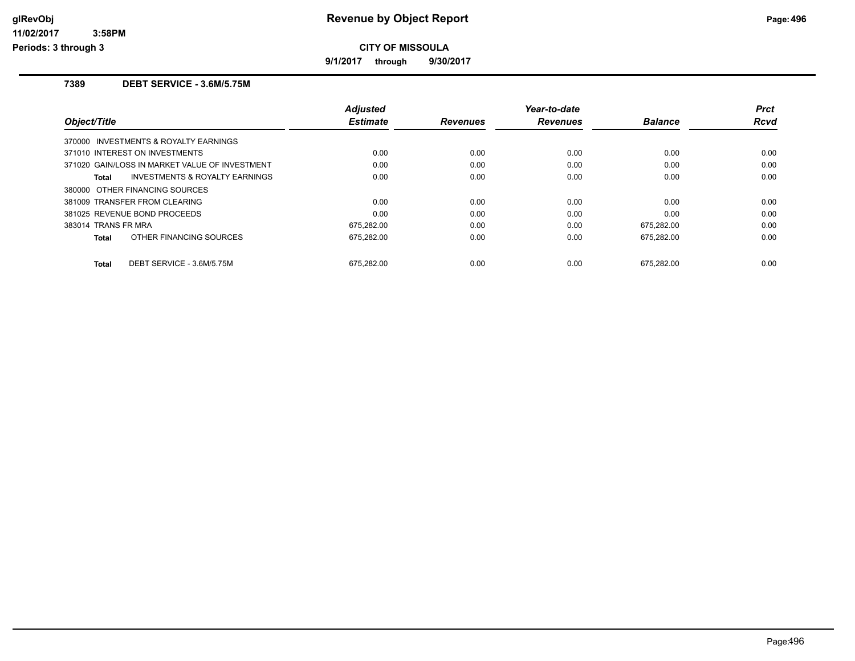**CITY OF MISSOULA**

**9/1/2017 through 9/30/2017**

#### **7389 DEBT SERVICE - 3.6M/5.75M**

 **3:58PM**

| Object/Title                                   | <b>Adjusted</b><br><b>Estimate</b> | <b>Revenues</b> | Year-to-date<br><b>Revenues</b> | <b>Balance</b> | <b>Prct</b><br><b>Rcvd</b> |
|------------------------------------------------|------------------------------------|-----------------|---------------------------------|----------------|----------------------------|
| 370000 INVESTMENTS & ROYALTY EARNINGS          |                                    |                 |                                 |                |                            |
| 371010 INTEREST ON INVESTMENTS                 | 0.00                               | 0.00            | 0.00                            | 0.00           | 0.00                       |
| 371020 GAIN/LOSS IN MARKET VALUE OF INVESTMENT | 0.00                               | 0.00            | 0.00                            | 0.00           | 0.00                       |
| INVESTMENTS & ROYALTY EARNINGS<br>Total        | 0.00                               | 0.00            | 0.00                            | 0.00           | 0.00                       |
| 380000 OTHER FINANCING SOURCES                 |                                    |                 |                                 |                |                            |
| 381009 TRANSFER FROM CLEARING                  | 0.00                               | 0.00            | 0.00                            | 0.00           | 0.00                       |
| 381025 REVENUE BOND PROCEEDS                   | 0.00                               | 0.00            | 0.00                            | 0.00           | 0.00                       |
| 383014 TRANS FR MRA                            | 675,282.00                         | 0.00            | 0.00                            | 675.282.00     | 0.00                       |
| OTHER FINANCING SOURCES<br><b>Total</b>        | 675,282.00                         | 0.00            | 0.00                            | 675,282.00     | 0.00                       |
| DEBT SERVICE - 3.6M/5.75M<br><b>Total</b>      | 675.282.00                         | 0.00            | 0.00                            | 675.282.00     | 0.00                       |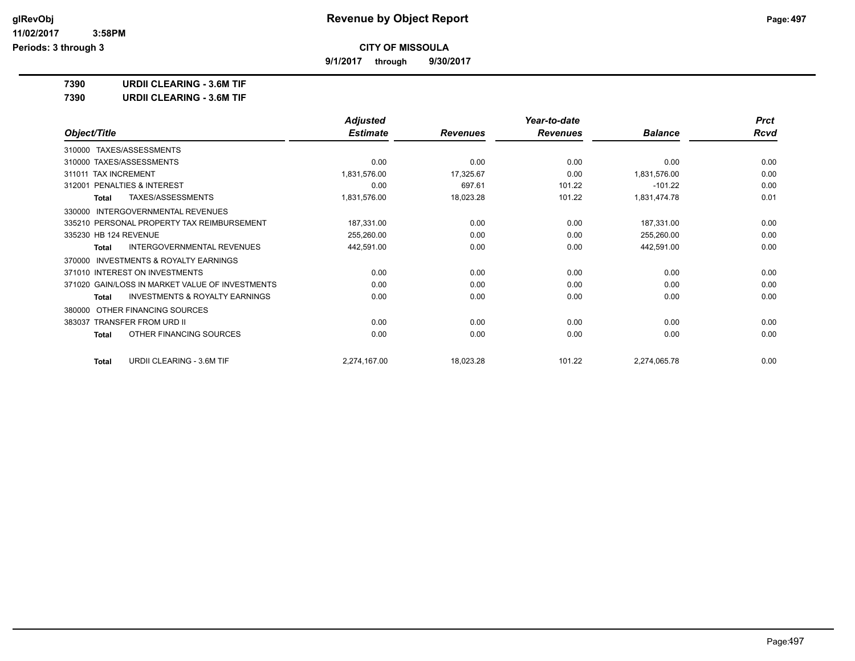**9/1/2017 through 9/30/2017**

**7390 URDII CLEARING - 3.6M TIF**

**7390 URDII CLEARING - 3.6M TIF**

|                                                     | <b>Adjusted</b> |                 | Year-to-date    |                | <b>Prct</b> |
|-----------------------------------------------------|-----------------|-----------------|-----------------|----------------|-------------|
| Object/Title                                        | <b>Estimate</b> | <b>Revenues</b> | <b>Revenues</b> | <b>Balance</b> | <b>Rcvd</b> |
| TAXES/ASSESSMENTS<br>310000                         |                 |                 |                 |                |             |
| 310000 TAXES/ASSESSMENTS                            | 0.00            | 0.00            | 0.00            | 0.00           | 0.00        |
| 311011 TAX INCREMENT                                | 1,831,576.00    | 17,325.67       | 0.00            | 1,831,576.00   | 0.00        |
| PENALTIES & INTEREST<br>312001                      | 0.00            | 697.61          | 101.22          | $-101.22$      | 0.00        |
| TAXES/ASSESSMENTS<br><b>Total</b>                   | 1,831,576.00    | 18,023.28       | 101.22          | 1,831,474.78   | 0.01        |
| INTERGOVERNMENTAL REVENUES<br>330000                |                 |                 |                 |                |             |
| 335210 PERSONAL PROPERTY TAX REIMBURSEMENT          | 187,331.00      | 0.00            | 0.00            | 187,331.00     | 0.00        |
| 335230 HB 124 REVENUE                               | 255,260.00      | 0.00            | 0.00            | 255,260.00     | 0.00        |
| <b>INTERGOVERNMENTAL REVENUES</b><br><b>Total</b>   | 442,591.00      | 0.00            | 0.00            | 442,591.00     | 0.00        |
| <b>INVESTMENTS &amp; ROYALTY EARNINGS</b><br>370000 |                 |                 |                 |                |             |
| 371010 INTEREST ON INVESTMENTS                      | 0.00            | 0.00            | 0.00            | 0.00           | 0.00        |
| 371020 GAIN/LOSS IN MARKET VALUE OF INVESTMENTS     | 0.00            | 0.00            | 0.00            | 0.00           | 0.00        |
| <b>INVESTMENTS &amp; ROYALTY EARNINGS</b><br>Total  | 0.00            | 0.00            | 0.00            | 0.00           | 0.00        |
| OTHER FINANCING SOURCES<br>380000                   |                 |                 |                 |                |             |
| 383037 TRANSFER FROM URD II                         | 0.00            | 0.00            | 0.00            | 0.00           | 0.00        |
| OTHER FINANCING SOURCES<br>Total                    | 0.00            | 0.00            | 0.00            | 0.00           | 0.00        |
| <b>URDII CLEARING - 3.6M TIF</b><br><b>Total</b>    | 2,274,167.00    | 18,023.28       | 101.22          | 2,274,065.78   | 0.00        |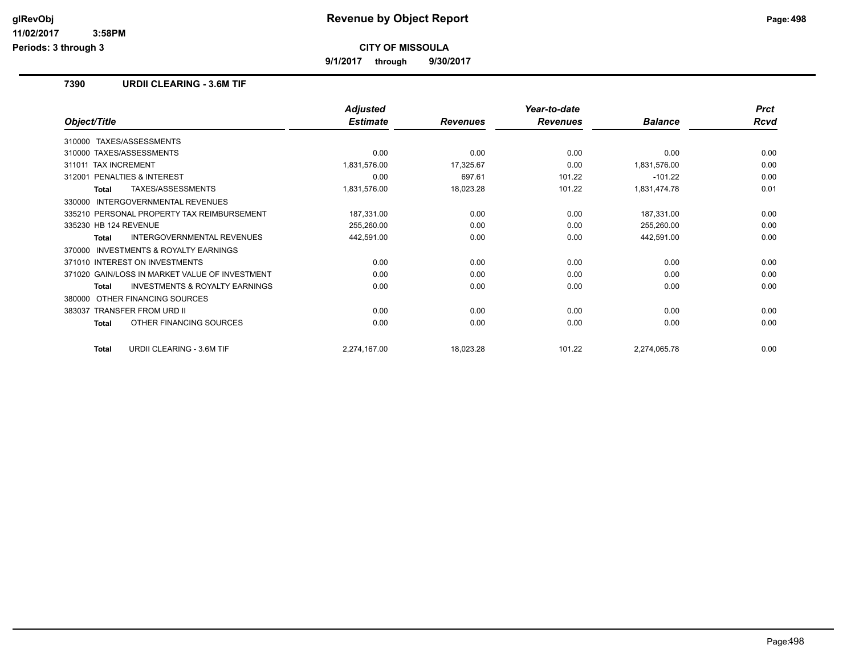**CITY OF MISSOULA**

**9/1/2017 through 9/30/2017**

#### **7390 URDII CLEARING - 3.6M TIF**

 **3:58PM**

|                                                    | <b>Adjusted</b> |                 | Year-to-date    |                | <b>Prct</b> |
|----------------------------------------------------|-----------------|-----------------|-----------------|----------------|-------------|
| Object/Title                                       | <b>Estimate</b> | <b>Revenues</b> | <b>Revenues</b> | <b>Balance</b> | <b>Rcvd</b> |
| TAXES/ASSESSMENTS<br>310000                        |                 |                 |                 |                |             |
| 310000 TAXES/ASSESSMENTS                           | 0.00            | 0.00            | 0.00            | 0.00           | 0.00        |
| <b>TAX INCREMENT</b><br>311011                     | 1,831,576.00    | 17,325.67       | 0.00            | 1,831,576.00   | 0.00        |
| PENALTIES & INTEREST<br>312001                     | 0.00            | 697.61          | 101.22          | $-101.22$      | 0.00        |
| TAXES/ASSESSMENTS<br>Total                         | 1,831,576.00    | 18,023.28       | 101.22          | 1,831,474.78   | 0.01        |
| INTERGOVERNMENTAL REVENUES<br>330000               |                 |                 |                 |                |             |
| 335210 PERSONAL PROPERTY TAX REIMBURSEMENT         | 187,331.00      | 0.00            | 0.00            | 187,331.00     | 0.00        |
| 335230 HB 124 REVENUE                              | 255,260.00      | 0.00            | 0.00            | 255,260.00     | 0.00        |
| <b>INTERGOVERNMENTAL REVENUES</b><br>Total         | 442,591.00      | 0.00            | 0.00            | 442,591.00     | 0.00        |
| INVESTMENTS & ROYALTY EARNINGS<br>370000           |                 |                 |                 |                |             |
| 371010 INTEREST ON INVESTMENTS                     | 0.00            | 0.00            | 0.00            | 0.00           | 0.00        |
| 371020 GAIN/LOSS IN MARKET VALUE OF INVESTMENT     | 0.00            | 0.00            | 0.00            | 0.00           | 0.00        |
| <b>INVESTMENTS &amp; ROYALTY EARNINGS</b><br>Total | 0.00            | 0.00            | 0.00            | 0.00           | 0.00        |
| OTHER FINANCING SOURCES<br>380000                  |                 |                 |                 |                |             |
| <b>TRANSFER FROM URD II</b><br>383037              | 0.00            | 0.00            | 0.00            | 0.00           | 0.00        |
| OTHER FINANCING SOURCES<br><b>Total</b>            | 0.00            | 0.00            | 0.00            | 0.00           | 0.00        |
| <b>URDII CLEARING - 3.6M TIF</b><br><b>Total</b>   | 2,274,167.00    | 18,023.28       | 101.22          | 2,274,065.78   | 0.00        |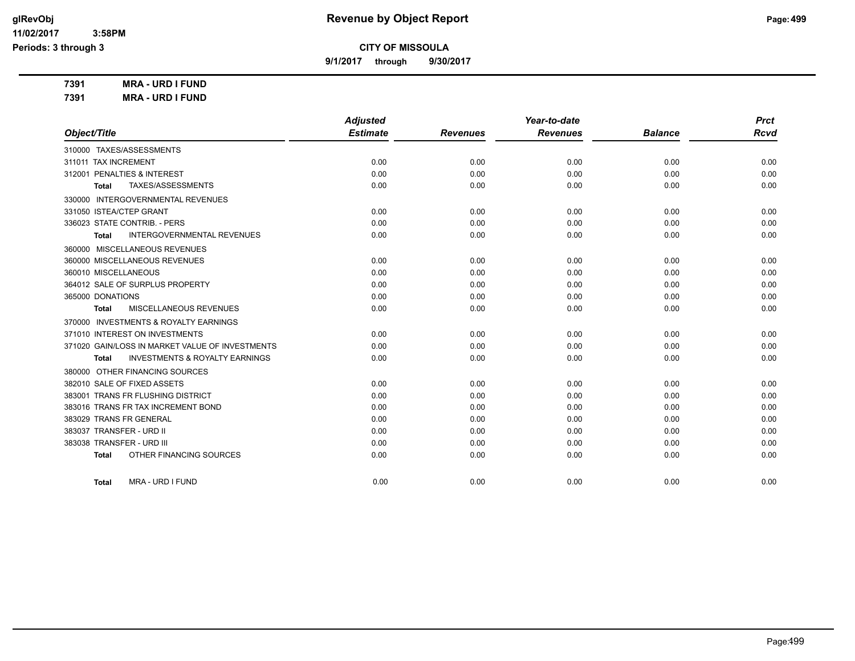**glRevObj Revenue by Object Report Page:499** 

**11/02/2017 3:58PM Periods: 3 through 3**

**CITY OF MISSOULA**

**9/1/2017 through 9/30/2017**

**7391 MRA - URD I FUND**

**7391 MRA - URD I FUND**

|                                                           | <b>Adjusted</b> |                 | Year-to-date    |                | <b>Prct</b> |
|-----------------------------------------------------------|-----------------|-----------------|-----------------|----------------|-------------|
| Object/Title                                              | <b>Estimate</b> | <b>Revenues</b> | <b>Revenues</b> | <b>Balance</b> | <b>Rcvd</b> |
| 310000 TAXES/ASSESSMENTS                                  |                 |                 |                 |                |             |
| 311011 TAX INCREMENT                                      | 0.00            | 0.00            | 0.00            | 0.00           | 0.00        |
| 312001 PENALTIES & INTEREST                               | 0.00            | 0.00            | 0.00            | 0.00           | 0.00        |
| TAXES/ASSESSMENTS<br><b>Total</b>                         | 0.00            | 0.00            | 0.00            | 0.00           | 0.00        |
| 330000 INTERGOVERNMENTAL REVENUES                         |                 |                 |                 |                |             |
| 331050 ISTEA/CTEP GRANT                                   | 0.00            | 0.00            | 0.00            | 0.00           | 0.00        |
| 336023 STATE CONTRIB. - PERS                              | 0.00            | 0.00            | 0.00            | 0.00           | 0.00        |
| <b>INTERGOVERNMENTAL REVENUES</b><br><b>Total</b>         | 0.00            | 0.00            | 0.00            | 0.00           | 0.00        |
| 360000 MISCELLANEOUS REVENUES                             |                 |                 |                 |                |             |
| 360000 MISCELLANEOUS REVENUES                             | 0.00            | 0.00            | 0.00            | 0.00           | 0.00        |
| 360010 MISCELLANEOUS                                      | 0.00            | 0.00            | 0.00            | 0.00           | 0.00        |
| 364012 SALE OF SURPLUS PROPERTY                           | 0.00            | 0.00            | 0.00            | 0.00           | 0.00        |
| 365000 DONATIONS                                          | 0.00            | 0.00            | 0.00            | 0.00           | 0.00        |
| MISCELLANEOUS REVENUES<br><b>Total</b>                    | 0.00            | 0.00            | 0.00            | 0.00           | 0.00        |
| 370000 INVESTMENTS & ROYALTY EARNINGS                     |                 |                 |                 |                |             |
| 371010 INTEREST ON INVESTMENTS                            | 0.00            | 0.00            | 0.00            | 0.00           | 0.00        |
| 371020 GAIN/LOSS IN MARKET VALUE OF INVESTMENTS           | 0.00            | 0.00            | 0.00            | 0.00           | 0.00        |
| <b>INVESTMENTS &amp; ROYALTY EARNINGS</b><br><b>Total</b> | 0.00            | 0.00            | 0.00            | 0.00           | 0.00        |
| 380000 OTHER FINANCING SOURCES                            |                 |                 |                 |                |             |
| 382010 SALE OF FIXED ASSETS                               | 0.00            | 0.00            | 0.00            | 0.00           | 0.00        |
| 383001 TRANS FR FLUSHING DISTRICT                         | 0.00            | 0.00            | 0.00            | 0.00           | 0.00        |
| 383016 TRANS FR TAX INCREMENT BOND                        | 0.00            | 0.00            | 0.00            | 0.00           | 0.00        |
| 383029 TRANS FR GENERAL                                   | 0.00            | 0.00            | 0.00            | 0.00           | 0.00        |
| 383037 TRANSFER - URD II                                  | 0.00            | 0.00            | 0.00            | 0.00           | 0.00        |
| 383038 TRANSFER - URD III                                 | 0.00            | 0.00            | 0.00            | 0.00           | 0.00        |
| OTHER FINANCING SOURCES<br><b>Total</b>                   | 0.00            | 0.00            | 0.00            | 0.00           | 0.00        |
| MRA - URD I FUND<br><b>Total</b>                          | 0.00            | 0.00            | 0.00            | 0.00           | 0.00        |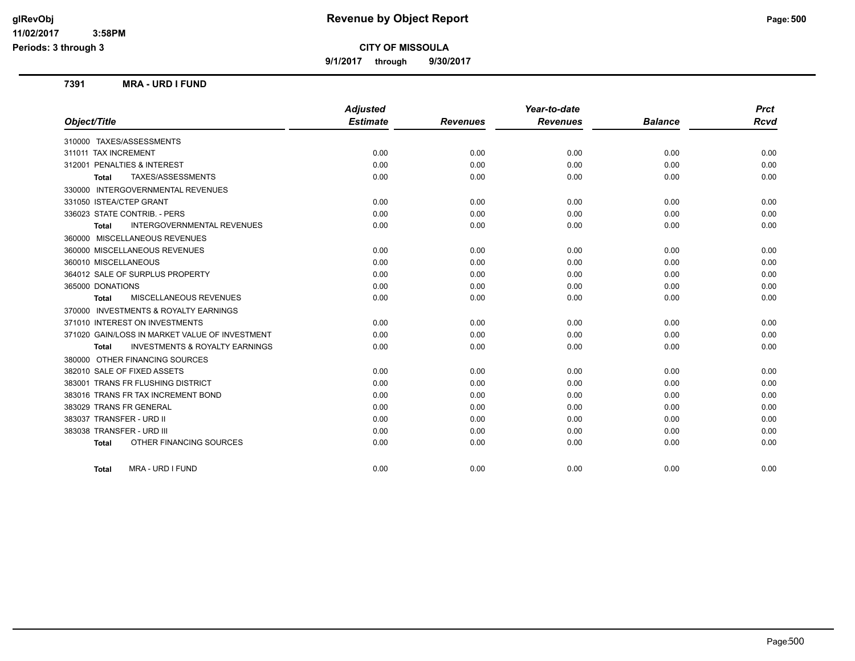**11/02/2017 3:58PM Periods: 3 through 3**

**CITY OF MISSOULA**

**9/1/2017 through 9/30/2017**

#### **7391 MRA - URD I FUND**

|                                                           | <b>Adjusted</b> |                 | Year-to-date    |                | <b>Prct</b> |
|-----------------------------------------------------------|-----------------|-----------------|-----------------|----------------|-------------|
| Object/Title                                              | <b>Estimate</b> | <b>Revenues</b> | <b>Revenues</b> | <b>Balance</b> | <b>Rcvd</b> |
| 310000 TAXES/ASSESSMENTS                                  |                 |                 |                 |                |             |
| 311011 TAX INCREMENT                                      | 0.00            | 0.00            | 0.00            | 0.00           | 0.00        |
| 312001 PENALTIES & INTEREST                               | 0.00            | 0.00            | 0.00            | 0.00           | 0.00        |
| TAXES/ASSESSMENTS<br><b>Total</b>                         | 0.00            | 0.00            | 0.00            | 0.00           | 0.00        |
| 330000 INTERGOVERNMENTAL REVENUES                         |                 |                 |                 |                |             |
| 331050 ISTEA/CTEP GRANT                                   | 0.00            | 0.00            | 0.00            | 0.00           | 0.00        |
| 336023 STATE CONTRIB. - PERS                              | 0.00            | 0.00            | 0.00            | 0.00           | 0.00        |
| <b>INTERGOVERNMENTAL REVENUES</b><br><b>Total</b>         | 0.00            | 0.00            | 0.00            | 0.00           | 0.00        |
| 360000 MISCELLANEOUS REVENUES                             |                 |                 |                 |                |             |
| 360000 MISCELLANEOUS REVENUES                             | 0.00            | 0.00            | 0.00            | 0.00           | 0.00        |
| 360010 MISCELLANEOUS                                      | 0.00            | 0.00            | 0.00            | 0.00           | 0.00        |
| 364012 SALE OF SURPLUS PROPERTY                           | 0.00            | 0.00            | 0.00            | 0.00           | 0.00        |
| 365000 DONATIONS                                          | 0.00            | 0.00            | 0.00            | 0.00           | 0.00        |
| MISCELLANEOUS REVENUES<br><b>Total</b>                    | 0.00            | 0.00            | 0.00            | 0.00           | 0.00        |
| 370000 INVESTMENTS & ROYALTY EARNINGS                     |                 |                 |                 |                |             |
| 371010 INTEREST ON INVESTMENTS                            | 0.00            | 0.00            | 0.00            | 0.00           | 0.00        |
| 371020 GAIN/LOSS IN MARKET VALUE OF INVESTMENT            | 0.00            | 0.00            | 0.00            | 0.00           | 0.00        |
| <b>INVESTMENTS &amp; ROYALTY EARNINGS</b><br><b>Total</b> | 0.00            | 0.00            | 0.00            | 0.00           | 0.00        |
| 380000 OTHER FINANCING SOURCES                            |                 |                 |                 |                |             |
| 382010 SALE OF FIXED ASSETS                               | 0.00            | 0.00            | 0.00            | 0.00           | 0.00        |
| 383001 TRANS FR FLUSHING DISTRICT                         | 0.00            | 0.00            | 0.00            | 0.00           | 0.00        |
| 383016 TRANS FR TAX INCREMENT BOND                        | 0.00            | 0.00            | 0.00            | 0.00           | 0.00        |
| 383029 TRANS FR GENERAL                                   | 0.00            | 0.00            | 0.00            | 0.00           | 0.00        |
| 383037 TRANSFER - URD II                                  | 0.00            | 0.00            | 0.00            | 0.00           | 0.00        |
| 383038 TRANSFER - URD III                                 | 0.00            | 0.00            | 0.00            | 0.00           | 0.00        |
| OTHER FINANCING SOURCES<br><b>Total</b>                   | 0.00            | 0.00            | 0.00            | 0.00           | 0.00        |
| MRA - URD I FUND<br>Total                                 | 0.00            | 0.00            | 0.00            | 0.00           | 0.00        |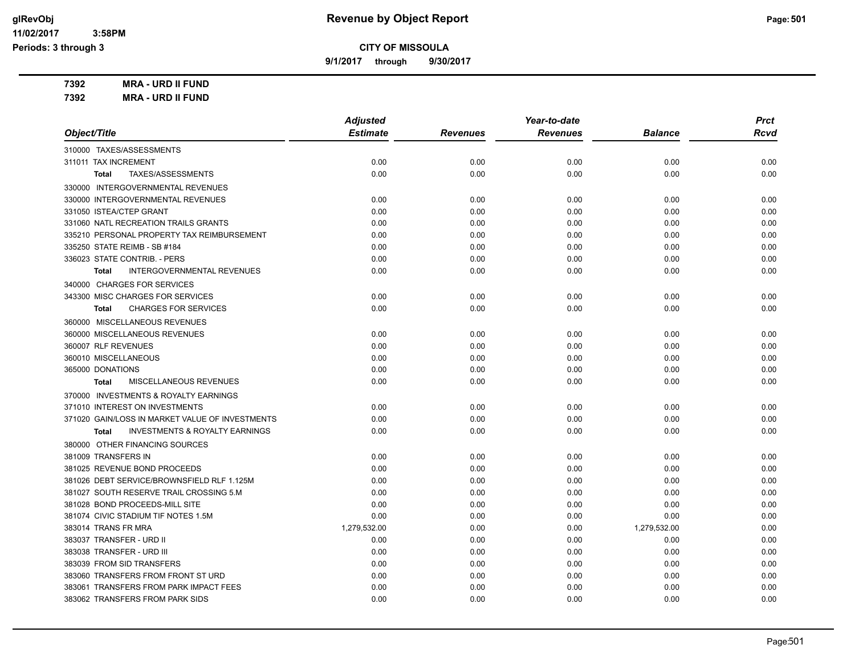**9/1/2017 through 9/30/2017**

**Periods: 3 through 3**

**7392 MRA - URD II FUND**

**7392 MRA - URD II FUND**

 **3:58PM**

|                                                           | <b>Adjusted</b> |                 | Year-to-date    |                | <b>Prct</b> |
|-----------------------------------------------------------|-----------------|-----------------|-----------------|----------------|-------------|
| Object/Title                                              | <b>Estimate</b> | <b>Revenues</b> | <b>Revenues</b> | <b>Balance</b> | <b>Rcvd</b> |
| 310000 TAXES/ASSESSMENTS                                  |                 |                 |                 |                |             |
| 311011 TAX INCREMENT                                      | 0.00            | 0.00            | 0.00            | 0.00           | 0.00        |
| TAXES/ASSESSMENTS<br><b>Total</b>                         | 0.00            | 0.00            | 0.00            | 0.00           | 0.00        |
| 330000 INTERGOVERNMENTAL REVENUES                         |                 |                 |                 |                |             |
| 330000 INTERGOVERNMENTAL REVENUES                         | 0.00            | 0.00            | 0.00            | 0.00           | 0.00        |
| 331050 ISTEA/CTEP GRANT                                   | 0.00            | 0.00            | 0.00            | 0.00           | 0.00        |
| 331060 NATL RECREATION TRAILS GRANTS                      | 0.00            | 0.00            | 0.00            | 0.00           | 0.00        |
| 335210 PERSONAL PROPERTY TAX REIMBURSEMENT                | 0.00            | 0.00            | 0.00            | 0.00           | 0.00        |
| 335250 STATE REIMB - SB #184                              | 0.00            | 0.00            | 0.00            | 0.00           | 0.00        |
| 336023 STATE CONTRIB. - PERS                              | 0.00            | 0.00            | 0.00            | 0.00           | 0.00        |
| <b>INTERGOVERNMENTAL REVENUES</b><br><b>Total</b>         | 0.00            | 0.00            | 0.00            | 0.00           | 0.00        |
| 340000 CHARGES FOR SERVICES                               |                 |                 |                 |                |             |
| 343300 MISC CHARGES FOR SERVICES                          | 0.00            | 0.00            | 0.00            | 0.00           | 0.00        |
| <b>CHARGES FOR SERVICES</b><br><b>Total</b>               | 0.00            | 0.00            | 0.00            | 0.00           | 0.00        |
| 360000 MISCELLANEOUS REVENUES                             |                 |                 |                 |                |             |
| 360000 MISCELLANEOUS REVENUES                             | 0.00            | 0.00            | 0.00            | 0.00           | 0.00        |
| 360007 RLF REVENUES                                       | 0.00            | 0.00            | 0.00            | 0.00           | 0.00        |
| 360010 MISCELLANEOUS                                      | 0.00            | 0.00            | 0.00            | 0.00           | 0.00        |
| 365000 DONATIONS                                          | 0.00            | 0.00            | 0.00            | 0.00           | 0.00        |
| <b>MISCELLANEOUS REVENUES</b><br><b>Total</b>             | 0.00            | 0.00            | 0.00            | 0.00           | 0.00        |
| 370000 INVESTMENTS & ROYALTY EARNINGS                     |                 |                 |                 |                |             |
| 371010 INTEREST ON INVESTMENTS                            | 0.00            | 0.00            | 0.00            | 0.00           | 0.00        |
| 371020 GAIN/LOSS IN MARKET VALUE OF INVESTMENTS           | 0.00            | 0.00            | 0.00            | 0.00           | 0.00        |
| <b>INVESTMENTS &amp; ROYALTY EARNINGS</b><br><b>Total</b> | 0.00            | 0.00            | 0.00            | 0.00           | 0.00        |
| 380000 OTHER FINANCING SOURCES                            |                 |                 |                 |                |             |
| 381009 TRANSFERS IN                                       | 0.00            | 0.00            | 0.00            | 0.00           | 0.00        |
| 381025 REVENUE BOND PROCEEDS                              | 0.00            | 0.00            | 0.00            | 0.00           | 0.00        |
| 381026 DEBT SERVICE/BROWNSFIELD RLF 1.125M                | 0.00            | 0.00            | 0.00            | 0.00           | 0.00        |
| 381027 SOUTH RESERVE TRAIL CROSSING 5.M                   | 0.00            | 0.00            | 0.00            | 0.00           | 0.00        |
| 381028 BOND PROCEEDS-MILL SITE                            | 0.00            | 0.00            | 0.00            | 0.00           | 0.00        |
| 381074 CIVIC STADIUM TIF NOTES 1.5M                       | 0.00            | 0.00            | 0.00            | 0.00           | 0.00        |
| 383014 TRANS FR MRA                                       | 1,279,532.00    | 0.00            | 0.00            | 1,279,532.00   | 0.00        |
| 383037 TRANSFER - URD II                                  | 0.00            | 0.00            | 0.00            | 0.00           | 0.00        |
| 383038 TRANSFER - URD III                                 | 0.00            | 0.00            | 0.00            | 0.00           | 0.00        |
| 383039 FROM SID TRANSFERS                                 | 0.00            | 0.00            | 0.00            | 0.00           | 0.00        |
| 383060 TRANSFERS FROM FRONT ST URD                        | 0.00            | 0.00            | 0.00            | 0.00           | 0.00        |
| 383061 TRANSFERS FROM PARK IMPACT FEES                    | 0.00            | 0.00            | 0.00            | 0.00           | 0.00        |
| 383062 TRANSFERS FROM PARK SIDS                           | 0.00            | 0.00            | 0.00            | 0.00           | 0.00        |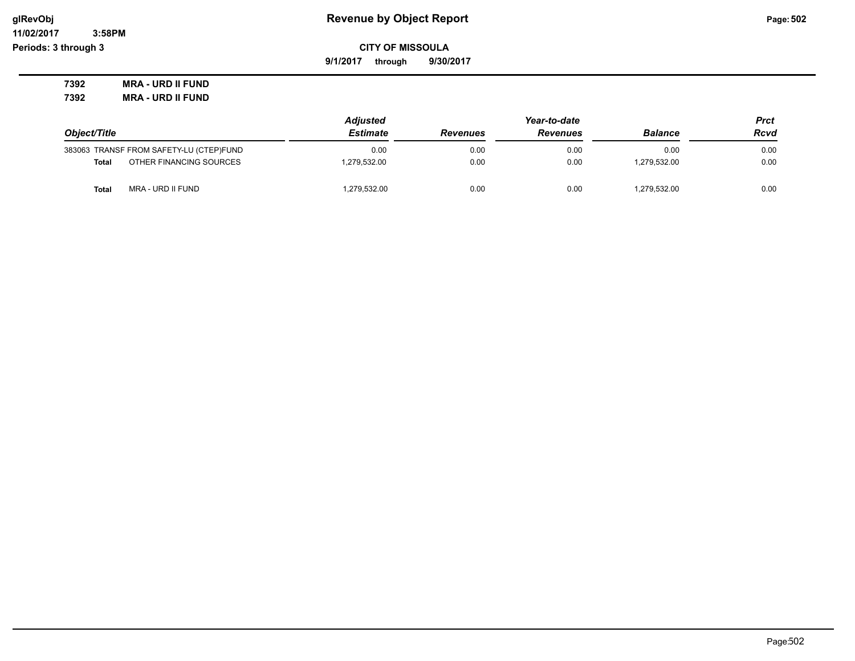**glRevObj Revenue by Object Report Page:502** 

**11/02/2017 3:58PM Periods: 3 through 3**

**CITY OF MISSOULA**

**9/1/2017 through 9/30/2017**

**7392 MRA - URD II FUND 7392 MRA - URD II FUND**

|                                         | <b>Adjusted</b> |                                    | <b>Prct</b> |                |      |
|-----------------------------------------|-----------------|------------------------------------|-------------|----------------|------|
| Object/Title                            | <b>Estimate</b> | <b>Revenues</b><br><b>Revenues</b> |             | <b>Balance</b> | Rcvd |
| 383063 TRANSF FROM SAFETY-LU (CTEP)FUND | 0.00            | 0.00                               | 0.00        | 0.00           | 0.00 |
| OTHER FINANCING SOURCES<br>Total        | 1.279.532.00    | 0.00                               | 0.00        | 1.279.532.00   | 0.00 |
| MRA - URD II FUND<br>Tota               | 1.279.532.00    | 0.00                               | 0.00        | 1.279.532.00   | 0.00 |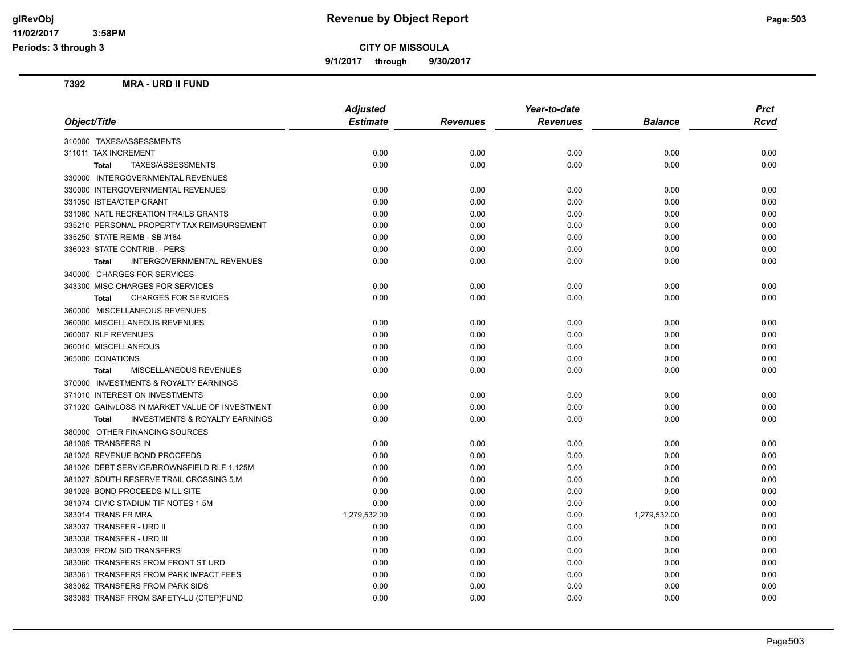**11/02/2017 3:58PM Periods: 3 through 3**

**CITY OF MISSOULA**

**9/1/2017 through 9/30/2017**

#### **7392 MRA - URD II FUND**

|                                                    | <b>Adjusted</b> |                 | Year-to-date    |                | <b>Prct</b> |
|----------------------------------------------------|-----------------|-----------------|-----------------|----------------|-------------|
| Object/Title                                       | <b>Estimate</b> | <b>Revenues</b> | <b>Revenues</b> | <b>Balance</b> | Rcvd        |
| 310000 TAXES/ASSESSMENTS                           |                 |                 |                 |                |             |
| 311011 TAX INCREMENT                               | 0.00            | 0.00            | 0.00            | 0.00           | 0.00        |
| TAXES/ASSESSMENTS<br>Total                         | 0.00            | 0.00            | 0.00            | 0.00           | 0.00        |
| 330000 INTERGOVERNMENTAL REVENUES                  |                 |                 |                 |                |             |
| 330000 INTERGOVERNMENTAL REVENUES                  | 0.00            | 0.00            | 0.00            | 0.00           | 0.00        |
| 331050 ISTEA/CTEP GRANT                            | 0.00            | 0.00            | 0.00            | 0.00           | 0.00        |
| 331060 NATL RECREATION TRAILS GRANTS               | 0.00            | 0.00            | 0.00            | 0.00           | 0.00        |
| 335210 PERSONAL PROPERTY TAX REIMBURSEMENT         | 0.00            | 0.00            | 0.00            | 0.00           | 0.00        |
| 335250 STATE REIMB - SB #184                       | 0.00            | 0.00            | 0.00            | 0.00           | 0.00        |
| 336023 STATE CONTRIB. - PERS                       | 0.00            | 0.00            | 0.00            | 0.00           | 0.00        |
| <b>Total</b><br><b>INTERGOVERNMENTAL REVENUES</b>  | 0.00            | 0.00            | 0.00            | 0.00           | 0.00        |
| 340000 CHARGES FOR SERVICES                        |                 |                 |                 |                |             |
| 343300 MISC CHARGES FOR SERVICES                   | 0.00            | 0.00            | 0.00            | 0.00           | 0.00        |
| <b>CHARGES FOR SERVICES</b><br>Total               | 0.00            | 0.00            | 0.00            | 0.00           | 0.00        |
| 360000 MISCELLANEOUS REVENUES                      |                 |                 |                 |                |             |
| 360000 MISCELLANEOUS REVENUES                      | 0.00            | 0.00            | 0.00            | 0.00           | 0.00        |
| 360007 RLF REVENUES                                | 0.00            | 0.00            | 0.00            | 0.00           | 0.00        |
| 360010 MISCELLANEOUS                               | 0.00            | 0.00            | 0.00            | 0.00           | 0.00        |
| 365000 DONATIONS                                   | 0.00            | 0.00            | 0.00            | 0.00           | 0.00        |
| MISCELLANEOUS REVENUES<br><b>Total</b>             | 0.00            | 0.00            | 0.00            | 0.00           | 0.00        |
| 370000 INVESTMENTS & ROYALTY EARNINGS              |                 |                 |                 |                |             |
| 371010 INTEREST ON INVESTMENTS                     | 0.00            | 0.00            | 0.00            | 0.00           | 0.00        |
| 371020 GAIN/LOSS IN MARKET VALUE OF INVESTMENT     | 0.00            | 0.00            | 0.00            | 0.00           | 0.00        |
| <b>INVESTMENTS &amp; ROYALTY EARNINGS</b><br>Total | 0.00            | 0.00            | 0.00            | 0.00           | 0.00        |
| 380000 OTHER FINANCING SOURCES                     |                 |                 |                 |                |             |
| 381009 TRANSFERS IN                                | 0.00            | 0.00            | 0.00            | 0.00           | 0.00        |
| 381025 REVENUE BOND PROCEEDS                       | 0.00            | 0.00            | 0.00            | 0.00           | 0.00        |
| 381026 DEBT SERVICE/BROWNSFIELD RLF 1.125M         | 0.00            | 0.00            | 0.00            | 0.00           | 0.00        |
| 381027 SOUTH RESERVE TRAIL CROSSING 5.M            | 0.00            | 0.00            | 0.00            | 0.00           | 0.00        |
| 381028 BOND PROCEEDS-MILL SITE                     | 0.00            | 0.00            | 0.00            | 0.00           | 0.00        |
| 381074 CIVIC STADIUM TIF NOTES 1.5M                | 0.00            | 0.00            | 0.00            | 0.00           | 0.00        |
| 383014 TRANS FR MRA                                | 1,279,532.00    | 0.00            | 0.00            | 1,279,532.00   | 0.00        |
| 383037 TRANSFER - URD II                           | 0.00            | 0.00            | 0.00            | 0.00           | 0.00        |
| 383038 TRANSFER - URD III                          | 0.00            | 0.00            | 0.00            | 0.00           | 0.00        |
| 383039 FROM SID TRANSFERS                          | 0.00            | 0.00            | 0.00            | 0.00           | 0.00        |
| 383060 TRANSFERS FROM FRONT ST URD                 | 0.00            | 0.00            | 0.00            | 0.00           | 0.00        |
| 383061 TRANSFERS FROM PARK IMPACT FEES             | 0.00            | 0.00            | 0.00            | 0.00           | 0.00        |
| 383062 TRANSFERS FROM PARK SIDS                    | 0.00            | 0.00            | 0.00            | 0.00           | 0.00        |
| 383063 TRANSF FROM SAFETY-LU (CTEP)FUND            | 0.00            | 0.00            | 0.00            | 0.00           | 0.00        |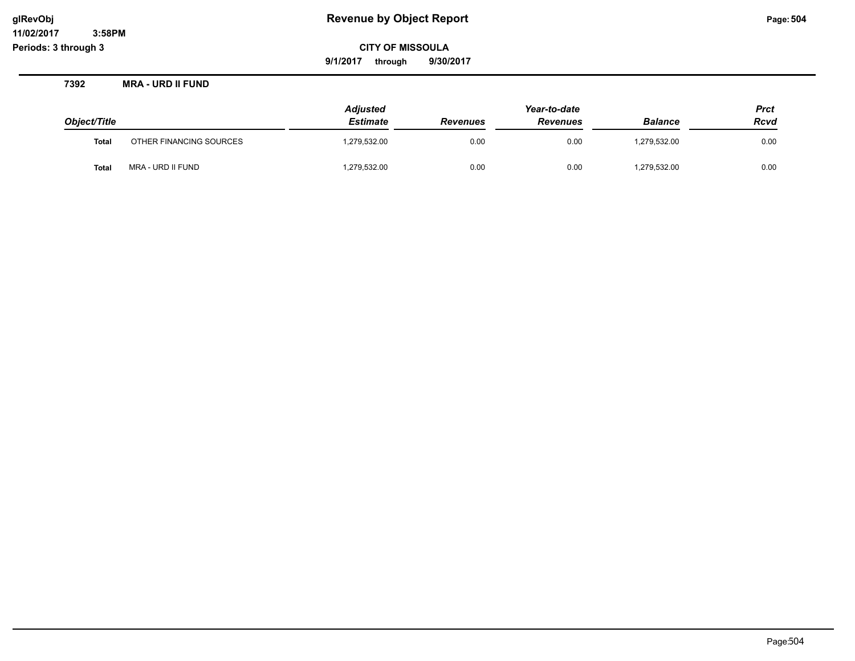**11/02/2017 3:58PM Periods: 3 through 3**

**CITY OF MISSOULA**

**9/1/2017 through 9/30/2017**

**7392 MRA - URD II FUND**

|              |                         | <b>Adjusted</b> |                 | Year-to-date   |              | Prct<br>Rcvd |
|--------------|-------------------------|-----------------|-----------------|----------------|--------------|--------------|
| Object/Title | Estimate                | <b>Revenues</b> | <b>Revenues</b> | <b>Balance</b> |              |              |
| <b>Total</b> | OTHER FINANCING SOURCES | 1,279,532.00    | 0.00            | 0.00           | 1,279,532.00 | 0.00         |
| <b>Total</b> | MRA - URD II FUND       | 1,279,532.00    | 0.00            | 0.00           | 1,279,532.00 | 0.00         |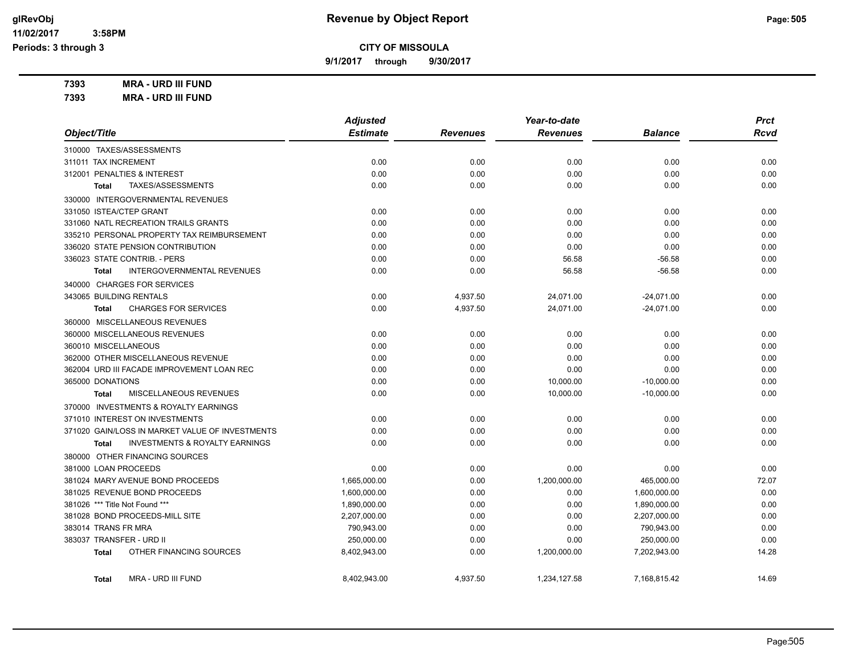**9/1/2017 through 9/30/2017**

**Periods: 3 through 3**

**7393 MRA - URD III FUND**

**7393 MRA - URD III FUND**

|                                                           | <b>Adjusted</b> |                 | Year-to-date    |                | <b>Prct</b> |
|-----------------------------------------------------------|-----------------|-----------------|-----------------|----------------|-------------|
| Object/Title                                              | <b>Estimate</b> | <b>Revenues</b> | <b>Revenues</b> | <b>Balance</b> | <b>Rcvd</b> |
| 310000 TAXES/ASSESSMENTS                                  |                 |                 |                 |                |             |
| 311011 TAX INCREMENT                                      | 0.00            | 0.00            | 0.00            | 0.00           | 0.00        |
| 312001 PENALTIES & INTEREST                               | 0.00            | 0.00            | 0.00            | 0.00           | 0.00        |
| TAXES/ASSESSMENTS<br><b>Total</b>                         | 0.00            | 0.00            | 0.00            | 0.00           | 0.00        |
| 330000 INTERGOVERNMENTAL REVENUES                         |                 |                 |                 |                |             |
| 331050 ISTEA/CTEP GRANT                                   | 0.00            | 0.00            | 0.00            | 0.00           | 0.00        |
| 331060 NATL RECREATION TRAILS GRANTS                      | 0.00            | 0.00            | 0.00            | 0.00           | 0.00        |
| 335210 PERSONAL PROPERTY TAX REIMBURSEMENT                | 0.00            | 0.00            | 0.00            | 0.00           | 0.00        |
| 336020 STATE PENSION CONTRIBUTION                         | 0.00            | 0.00            | 0.00            | 0.00           | 0.00        |
| 336023 STATE CONTRIB. - PERS                              | 0.00            | 0.00            | 56.58           | $-56.58$       | 0.00        |
| <b>INTERGOVERNMENTAL REVENUES</b><br><b>Total</b>         | 0.00            | 0.00            | 56.58           | $-56.58$       | 0.00        |
| 340000 CHARGES FOR SERVICES                               |                 |                 |                 |                |             |
| 343065 BUILDING RENTALS                                   | 0.00            | 4,937.50        | 24,071.00       | $-24,071.00$   | 0.00        |
| <b>CHARGES FOR SERVICES</b><br>Total                      | 0.00            | 4,937.50        | 24,071.00       | $-24,071.00$   | 0.00        |
| 360000 MISCELLANEOUS REVENUES                             |                 |                 |                 |                |             |
| 360000 MISCELLANEOUS REVENUES                             | 0.00            | 0.00            | 0.00            | 0.00           | 0.00        |
| 360010 MISCELLANEOUS                                      | 0.00            | 0.00            | 0.00            | 0.00           | 0.00        |
| 362000 OTHER MISCELLANEOUS REVENUE                        | 0.00            | 0.00            | 0.00            | 0.00           | 0.00        |
| 362004 URD III FACADE IMPROVEMENT LOAN REC                | 0.00            | 0.00            | 0.00            | 0.00           | 0.00        |
| 365000 DONATIONS                                          | 0.00            | 0.00            | 10,000.00       | $-10,000.00$   | 0.00        |
| MISCELLANEOUS REVENUES<br><b>Total</b>                    | 0.00            | 0.00            | 10,000.00       | $-10,000.00$   | 0.00        |
| 370000 INVESTMENTS & ROYALTY EARNINGS                     |                 |                 |                 |                |             |
| 371010 INTEREST ON INVESTMENTS                            | 0.00            | 0.00            | 0.00            | 0.00           | 0.00        |
| 371020 GAIN/LOSS IN MARKET VALUE OF INVESTMENTS           | 0.00            | 0.00            | 0.00            | 0.00           | 0.00        |
| <b>INVESTMENTS &amp; ROYALTY EARNINGS</b><br><b>Total</b> | 0.00            | 0.00            | 0.00            | 0.00           | 0.00        |
| 380000 OTHER FINANCING SOURCES                            |                 |                 |                 |                |             |
| 381000 LOAN PROCEEDS                                      | 0.00            | 0.00            | 0.00            | 0.00           | 0.00        |
| 381024 MARY AVENUE BOND PROCEEDS                          | 1,665,000.00    | 0.00            | 1,200,000.00    | 465,000.00     | 72.07       |
| 381025 REVENUE BOND PROCEEDS                              | 1,600,000.00    | 0.00            | 0.00            | 1,600,000.00   | 0.00        |
| 381026 *** Title Not Found ***                            | 1,890,000.00    | 0.00            | 0.00            | 1,890,000.00   | 0.00        |
| 381028 BOND PROCEEDS-MILL SITE                            | 2,207,000.00    | 0.00            | 0.00            | 2,207,000.00   | 0.00        |
| 383014 TRANS FR MRA                                       | 790,943.00      | 0.00            | 0.00            | 790,943.00     | 0.00        |
| 383037 TRANSFER - URD II                                  | 250,000.00      | 0.00            | 0.00            | 250,000.00     | 0.00        |
| OTHER FINANCING SOURCES<br><b>Total</b>                   | 8,402,943.00    | 0.00            | 1,200,000.00    | 7,202,943.00   | 14.28       |
| MRA - URD III FUND<br><b>Total</b>                        | 8,402,943.00    | 4,937.50        | 1,234,127.58    | 7,168,815.42   | 14.69       |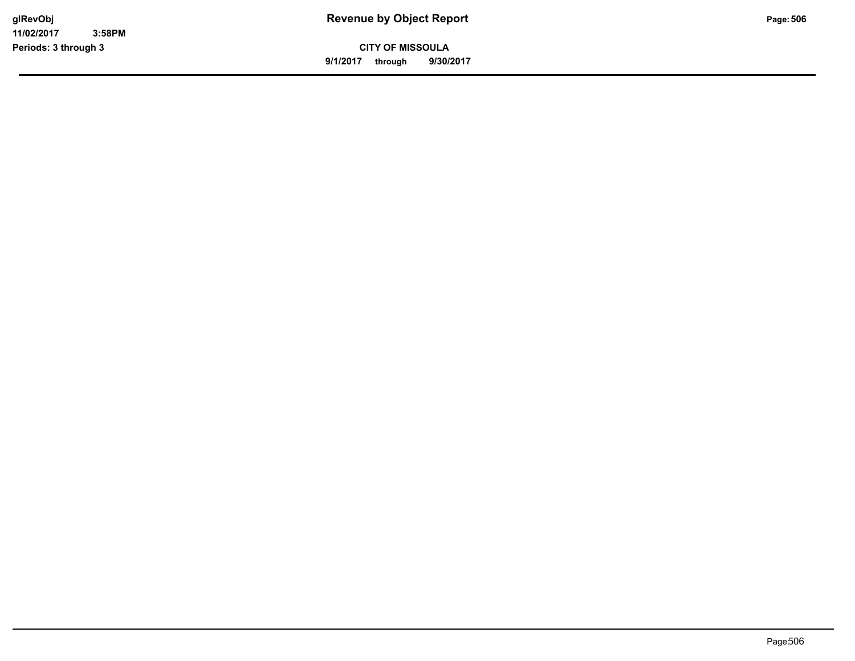**CITY OF MISSOULA 9/1/2017 through 9/30/2017**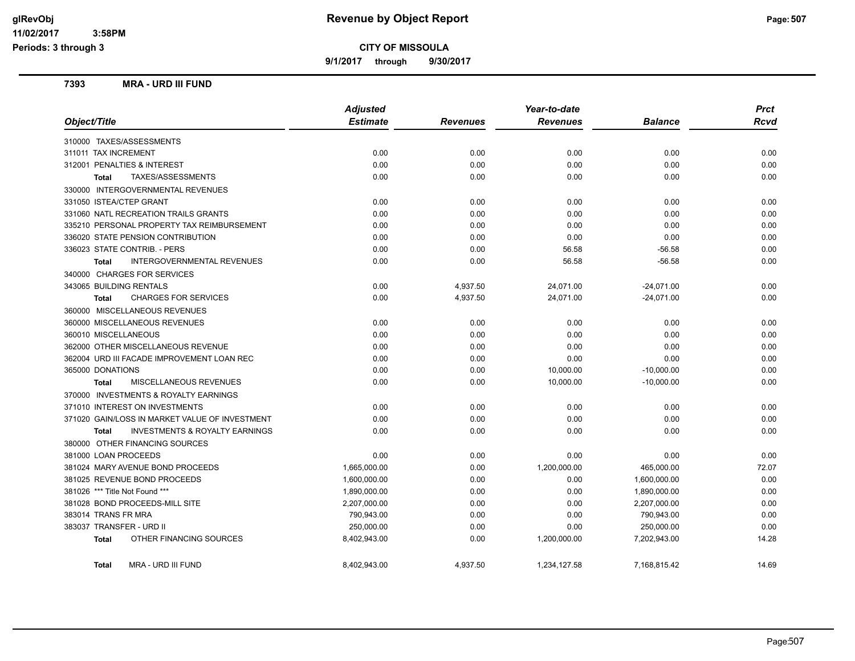**CITY OF MISSOULA**

**9/1/2017 through 9/30/2017**

# **7393 MRA - URD III FUND**

|                                                           | <b>Adjusted</b> |                 | Year-to-date    |                | <b>Prct</b> |
|-----------------------------------------------------------|-----------------|-----------------|-----------------|----------------|-------------|
| Object/Title                                              | <b>Estimate</b> | <b>Revenues</b> | <b>Revenues</b> | <b>Balance</b> | <b>Rcvd</b> |
| 310000 TAXES/ASSESSMENTS                                  |                 |                 |                 |                |             |
| 311011 TAX INCREMENT                                      | 0.00            | 0.00            | 0.00            | 0.00           | 0.00        |
| 312001 PENALTIES & INTEREST                               | 0.00            | 0.00            | 0.00            | 0.00           | 0.00        |
| TAXES/ASSESSMENTS<br><b>Total</b>                         | 0.00            | 0.00            | 0.00            | 0.00           | 0.00        |
| 330000 INTERGOVERNMENTAL REVENUES                         |                 |                 |                 |                |             |
| 331050 ISTEA/CTEP GRANT                                   | 0.00            | 0.00            | 0.00            | 0.00           | 0.00        |
| 331060 NATL RECREATION TRAILS GRANTS                      | 0.00            | 0.00            | 0.00            | 0.00           | 0.00        |
| 335210 PERSONAL PROPERTY TAX REIMBURSEMENT                | 0.00            | 0.00            | 0.00            | 0.00           | 0.00        |
| 336020 STATE PENSION CONTRIBUTION                         | 0.00            | 0.00            | 0.00            | 0.00           | 0.00        |
| 336023 STATE CONTRIB. - PERS                              | 0.00            | 0.00            | 56.58           | $-56.58$       | 0.00        |
| <b>INTERGOVERNMENTAL REVENUES</b><br><b>Total</b>         | 0.00            | 0.00            | 56.58           | $-56.58$       | 0.00        |
| 340000 CHARGES FOR SERVICES                               |                 |                 |                 |                |             |
| 343065 BUILDING RENTALS                                   | 0.00            | 4,937.50        | 24,071.00       | $-24,071.00$   | 0.00        |
| <b>CHARGES FOR SERVICES</b><br><b>Total</b>               | 0.00            | 4,937.50        | 24,071.00       | $-24,071.00$   | 0.00        |
| 360000 MISCELLANEOUS REVENUES                             |                 |                 |                 |                |             |
| 360000 MISCELLANEOUS REVENUES                             | 0.00            | 0.00            | 0.00            | 0.00           | 0.00        |
| 360010 MISCELLANEOUS                                      | 0.00            | 0.00            | 0.00            | 0.00           | 0.00        |
| 362000 OTHER MISCELLANEOUS REVENUE                        | 0.00            | 0.00            | 0.00            | 0.00           | 0.00        |
| 362004 URD III FACADE IMPROVEMENT LOAN REC                | 0.00            | 0.00            | 0.00            | 0.00           | 0.00        |
| 365000 DONATIONS                                          | 0.00            | 0.00            | 10,000.00       | $-10,000.00$   | 0.00        |
| MISCELLANEOUS REVENUES<br><b>Total</b>                    | 0.00            | 0.00            | 10,000.00       | $-10,000.00$   | 0.00        |
| 370000 INVESTMENTS & ROYALTY EARNINGS                     |                 |                 |                 |                |             |
| 371010 INTEREST ON INVESTMENTS                            | 0.00            | 0.00            | 0.00            | 0.00           | 0.00        |
| 371020 GAIN/LOSS IN MARKET VALUE OF INVESTMENT            | 0.00            | 0.00            | 0.00            | 0.00           | 0.00        |
| <b>INVESTMENTS &amp; ROYALTY EARNINGS</b><br><b>Total</b> | 0.00            | 0.00            | 0.00            | 0.00           | 0.00        |
| 380000 OTHER FINANCING SOURCES                            |                 |                 |                 |                |             |
| 381000 LOAN PROCEEDS                                      | 0.00            | 0.00            | 0.00            | 0.00           | 0.00        |
| 381024 MARY AVENUE BOND PROCEEDS                          | 1,665,000.00    | 0.00            | 1,200,000.00    | 465,000.00     | 72.07       |
| 381025 REVENUE BOND PROCEEDS                              | 1,600,000.00    | 0.00            | 0.00            | 1,600,000.00   | 0.00        |
| 381026 *** Title Not Found ***                            | 1,890,000.00    | 0.00            | 0.00            | 1,890,000.00   | 0.00        |
| 381028 BOND PROCEEDS-MILL SITE                            | 2,207,000.00    | 0.00            | 0.00            | 2,207,000.00   | 0.00        |
| 383014 TRANS FR MRA                                       | 790,943.00      | 0.00            | 0.00            | 790,943.00     | 0.00        |
| 383037 TRANSFER - URD II                                  | 250,000.00      | 0.00            | 0.00            | 250,000.00     | 0.00        |
| OTHER FINANCING SOURCES<br><b>Total</b>                   | 8,402,943.00    | 0.00            | 1,200,000.00    | 7,202,943.00   | 14.28       |
| MRA - URD III FUND<br><b>Total</b>                        | 8,402,943.00    | 4,937.50        | 1,234,127.58    | 7,168,815.42   | 14.69       |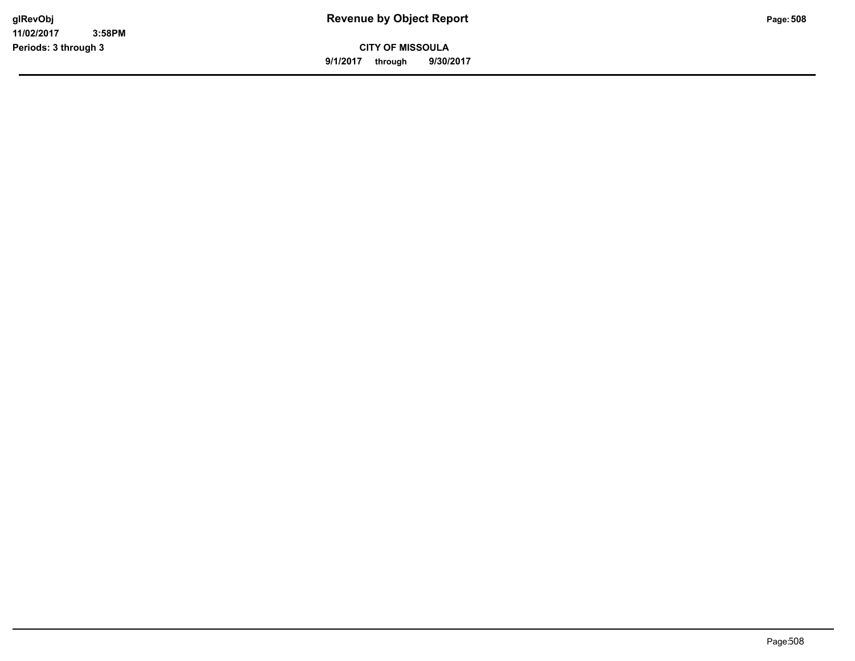**CITY OF MISSOULA 9/1/2017 through 9/30/2017**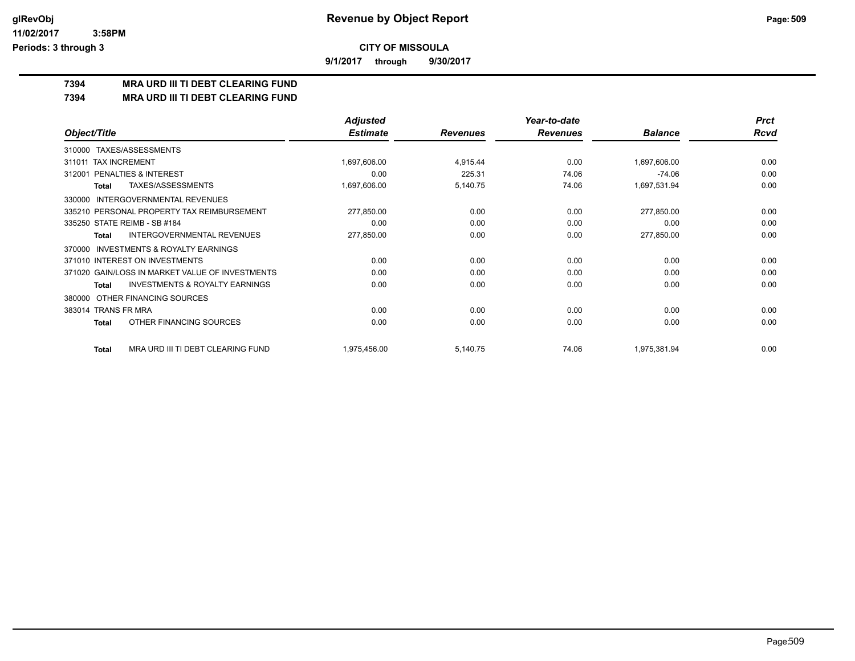**9/1/2017 through 9/30/2017**

## **7394 MRA URD III TI DEBT CLEARING FUND**

**7394 MRA URD III TI DEBT CLEARING FUND**

|                                                           | <b>Adjusted</b> |                 | Year-to-date    |                | <b>Prct</b> |
|-----------------------------------------------------------|-----------------|-----------------|-----------------|----------------|-------------|
| Object/Title                                              | <b>Estimate</b> | <b>Revenues</b> | <b>Revenues</b> | <b>Balance</b> | Rcvd        |
| TAXES/ASSESSMENTS<br>310000                               |                 |                 |                 |                |             |
| <b>TAX INCREMENT</b><br>311011                            | 1,697,606.00    | 4,915.44        | 0.00            | 1,697,606.00   | 0.00        |
| 312001 PENALTIES & INTEREST                               | 0.00            | 225.31          | 74.06           | $-74.06$       | 0.00        |
| TAXES/ASSESSMENTS<br>Total                                | 1,697,606.00    | 5,140.75        | 74.06           | 1,697,531.94   | 0.00        |
| INTERGOVERNMENTAL REVENUES<br>330000                      |                 |                 |                 |                |             |
| 335210 PERSONAL PROPERTY TAX REIMBURSEMENT                | 277,850.00      | 0.00            | 0.00            | 277,850.00     | 0.00        |
| 335250 STATE REIMB - SB #184                              | 0.00            | 0.00            | 0.00            | 0.00           | 0.00        |
| INTERGOVERNMENTAL REVENUES<br>Total                       | 277,850.00      | 0.00            | 0.00            | 277,850.00     | 0.00        |
| <b>INVESTMENTS &amp; ROYALTY EARNINGS</b><br>370000       |                 |                 |                 |                |             |
| 371010 INTEREST ON INVESTMENTS                            | 0.00            | 0.00            | 0.00            | 0.00           | 0.00        |
| 371020 GAIN/LOSS IN MARKET VALUE OF INVESTMENTS           | 0.00            | 0.00            | 0.00            | 0.00           | 0.00        |
| <b>INVESTMENTS &amp; ROYALTY EARNINGS</b><br><b>Total</b> | 0.00            | 0.00            | 0.00            | 0.00           | 0.00        |
| OTHER FINANCING SOURCES<br>380000                         |                 |                 |                 |                |             |
| 383014 TRANS FR MRA                                       | 0.00            | 0.00            | 0.00            | 0.00           | 0.00        |
| OTHER FINANCING SOURCES<br><b>Total</b>                   | 0.00            | 0.00            | 0.00            | 0.00           | 0.00        |
| MRA URD III TI DEBT CLEARING FUND<br>Total                | 1,975,456.00    | 5,140.75        | 74.06           | 1,975,381.94   | 0.00        |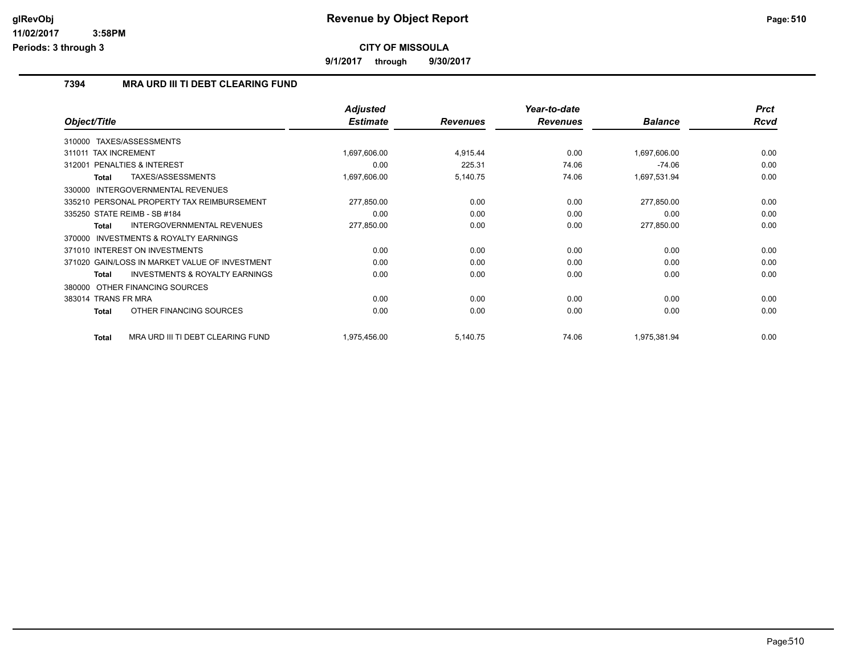**9/1/2017 through 9/30/2017**

#### **7394 MRA URD III TI DEBT CLEARING FUND**

|                                                     | <b>Adjusted</b> |                 | Year-to-date    |                | <b>Prct</b> |
|-----------------------------------------------------|-----------------|-----------------|-----------------|----------------|-------------|
| Object/Title                                        | <b>Estimate</b> | <b>Revenues</b> | <b>Revenues</b> | <b>Balance</b> | Rcvd        |
| 310000 TAXES/ASSESSMENTS                            |                 |                 |                 |                |             |
| 311011 TAX INCREMENT                                | 1,697,606.00    | 4,915.44        | 0.00            | 1,697,606.00   | 0.00        |
| 312001 PENALTIES & INTEREST                         | 0.00            | 225.31          | 74.06           | $-74.06$       | 0.00        |
| TAXES/ASSESSMENTS<br>Total                          | 1,697,606.00    | 5,140.75        | 74.06           | 1,697,531.94   | 0.00        |
| INTERGOVERNMENTAL REVENUES<br>330000                |                 |                 |                 |                |             |
| 335210 PERSONAL PROPERTY TAX REIMBURSEMENT          | 277,850.00      | 0.00            | 0.00            | 277,850.00     | 0.00        |
| 335250 STATE REIMB - SB #184                        | 0.00            | 0.00            | 0.00            | 0.00           | 0.00        |
| <b>INTERGOVERNMENTAL REVENUES</b><br>Total          | 277,850.00      | 0.00            | 0.00            | 277,850.00     | 0.00        |
| <b>INVESTMENTS &amp; ROYALTY EARNINGS</b><br>370000 |                 |                 |                 |                |             |
| 371010 INTEREST ON INVESTMENTS                      | 0.00            | 0.00            | 0.00            | 0.00           | 0.00        |
| 371020 GAIN/LOSS IN MARKET VALUE OF INVESTMENT      | 0.00            | 0.00            | 0.00            | 0.00           | 0.00        |
| <b>INVESTMENTS &amp; ROYALTY EARNINGS</b><br>Total  | 0.00            | 0.00            | 0.00            | 0.00           | 0.00        |
| 380000 OTHER FINANCING SOURCES                      |                 |                 |                 |                |             |
| 383014 TRANS FR MRA                                 | 0.00            | 0.00            | 0.00            | 0.00           | 0.00        |
| OTHER FINANCING SOURCES<br>Total                    | 0.00            | 0.00            | 0.00            | 0.00           | 0.00        |
| MRA URD III TI DEBT CLEARING FUND<br>Total          | 1,975,456.00    | 5,140.75        | 74.06           | 1,975,381.94   | 0.00        |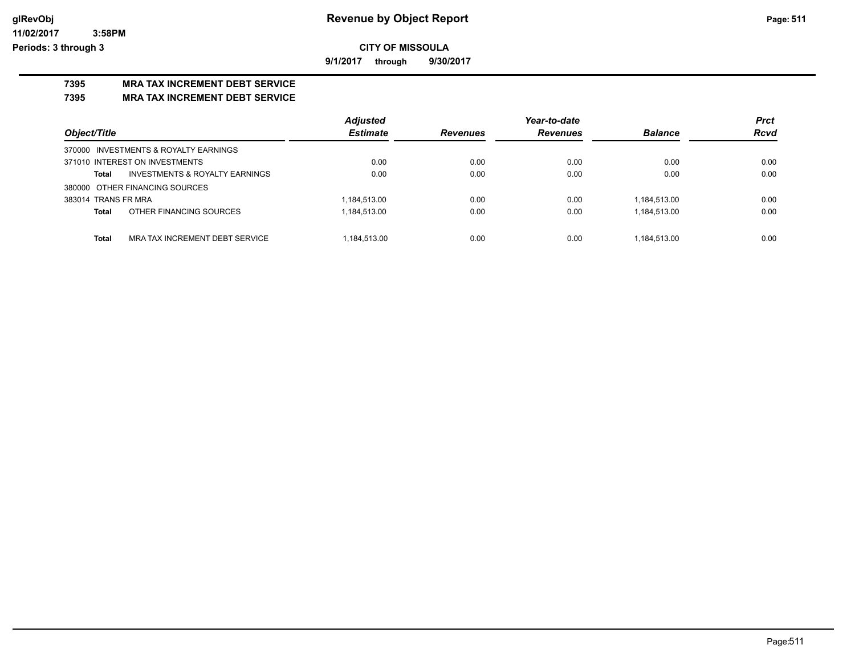**11/02/2017 3:58PM Periods: 3 through 3**

#### **CITY OF MISSOULA**

**9/1/2017 through 9/30/2017**

# **7395 MRA TAX INCREMENT DEBT SERVICE**

## **7395 MRA TAX INCREMENT DEBT SERVICE**

|                                         | <b>Adjusted</b> |                 | Year-to-date    |                | <b>Prct</b> |
|-----------------------------------------|-----------------|-----------------|-----------------|----------------|-------------|
| Object/Title                            | <b>Estimate</b> | <b>Revenues</b> | <b>Revenues</b> | <b>Balance</b> | <b>Rcvd</b> |
| 370000 INVESTMENTS & ROYALTY EARNINGS   |                 |                 |                 |                |             |
| 371010 INTEREST ON INVESTMENTS          | 0.00            | 0.00            | 0.00            | 0.00           | 0.00        |
| INVESTMENTS & ROYALTY EARNINGS<br>Total | 0.00            | 0.00            | 0.00            | 0.00           | 0.00        |
| 380000 OTHER FINANCING SOURCES          |                 |                 |                 |                |             |
| 383014 TRANS FR MRA                     | 1,184,513.00    | 0.00            | 0.00            | 1,184,513.00   | 0.00        |
| OTHER FINANCING SOURCES<br>Total        | 1,184,513.00    | 0.00            | 0.00            | 1,184,513.00   | 0.00        |
|                                         |                 |                 |                 |                |             |
| MRA TAX INCREMENT DEBT SERVICE<br>Total | 1.184.513.00    | 0.00            | 0.00            | 1.184.513.00   | 0.00        |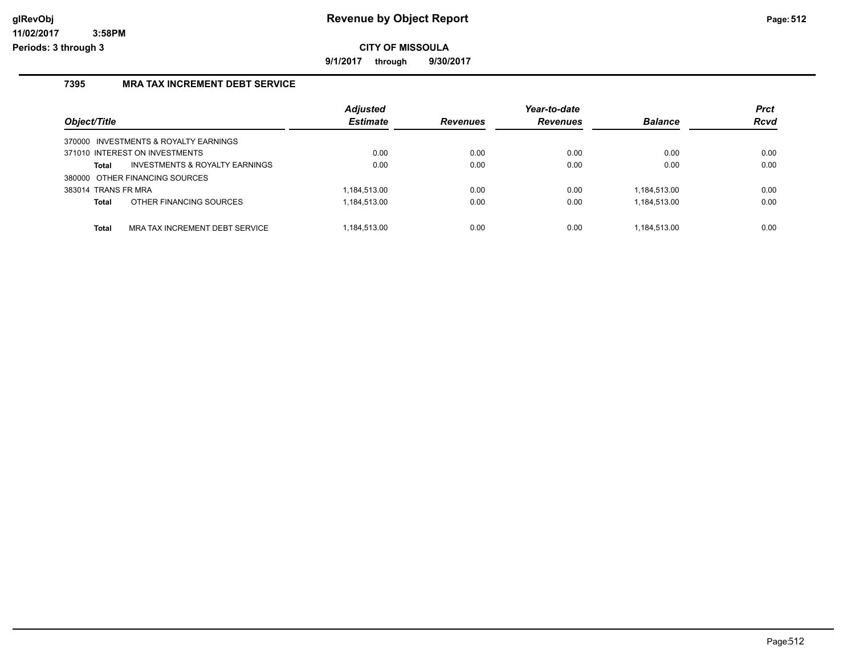**9/1/2017 through 9/30/2017**

#### **7395 MRA TAX INCREMENT DEBT SERVICE**

| Object/Title        |                                           | <b>Adjusted</b><br><b>Estimate</b> | <b>Revenues</b> | Year-to-date<br><b>Revenues</b> | <b>Balance</b> | <b>Prct</b><br><b>Rcvd</b> |
|---------------------|-------------------------------------------|------------------------------------|-----------------|---------------------------------|----------------|----------------------------|
|                     | 370000 INVESTMENTS & ROYALTY EARNINGS     |                                    |                 |                                 |                |                            |
|                     | 371010 INTEREST ON INVESTMENTS            | 0.00                               | 0.00            | 0.00                            | 0.00           | 0.00                       |
| <b>Total</b>        | <b>INVESTMENTS &amp; ROYALTY EARNINGS</b> | 0.00                               | 0.00            | 0.00                            | 0.00           | 0.00                       |
|                     | 380000 OTHER FINANCING SOURCES            |                                    |                 |                                 |                |                            |
| 383014 TRANS FR MRA |                                           | 1.184.513.00                       | 0.00            | 0.00                            | 1.184.513.00   | 0.00                       |
| <b>Total</b>        | OTHER FINANCING SOURCES                   | 1,184,513.00                       | 0.00            | 0.00                            | 1,184,513.00   | 0.00                       |
|                     |                                           |                                    |                 |                                 |                |                            |
| <b>Total</b>        | MRA TAX INCREMENT DEBT SERVICE            | 1.184.513.00                       | 0.00            | 0.00                            | 1.184.513.00   | 0.00                       |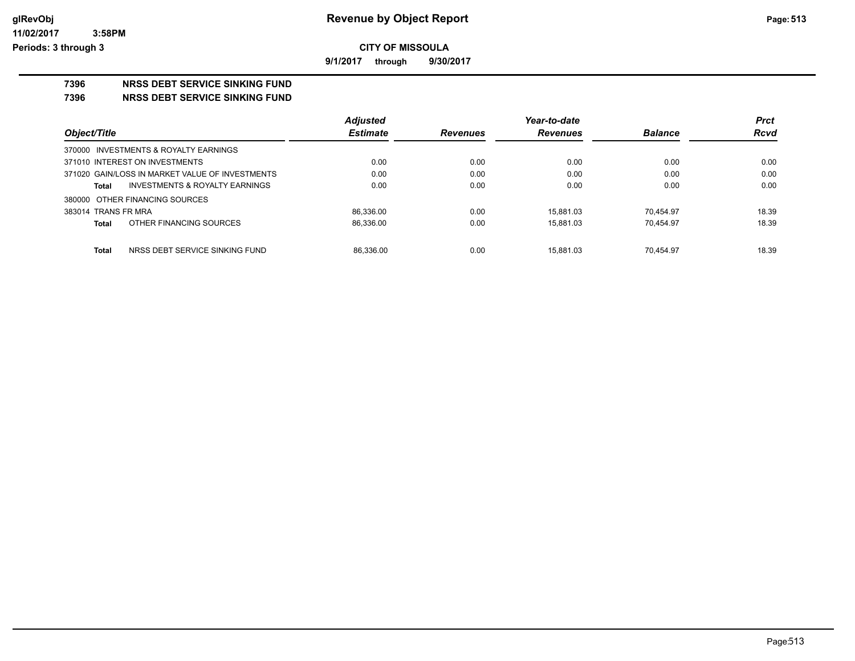**9/1/2017 through 9/30/2017**

## **7396 NRSS DEBT SERVICE SINKING FUND**

**7396 NRSS DEBT SERVICE SINKING FUND**

|                                                 | <b>Adjusted</b> |                 | Year-to-date    |                | <b>Prct</b> |
|-------------------------------------------------|-----------------|-----------------|-----------------|----------------|-------------|
| Object/Title                                    | <b>Estimate</b> | <b>Revenues</b> | <b>Revenues</b> | <b>Balance</b> | <b>Rcvd</b> |
| 370000 INVESTMENTS & ROYALTY EARNINGS           |                 |                 |                 |                |             |
| 371010 INTEREST ON INVESTMENTS                  | 0.00            | 0.00            | 0.00            | 0.00           | 0.00        |
| 371020 GAIN/LOSS IN MARKET VALUE OF INVESTMENTS | 0.00            | 0.00            | 0.00            | 0.00           | 0.00        |
| INVESTMENTS & ROYALTY EARNINGS<br>Total         | 0.00            | 0.00            | 0.00            | 0.00           | 0.00        |
| 380000 OTHER FINANCING SOURCES                  |                 |                 |                 |                |             |
| 383014 TRANS FR MRA                             | 86.336.00       | 0.00            | 15.881.03       | 70.454.97      | 18.39       |
| OTHER FINANCING SOURCES<br>Total                | 86.336.00       | 0.00            | 15.881.03       | 70.454.97      | 18.39       |
|                                                 |                 |                 |                 |                |             |
| <b>Total</b><br>NRSS DEBT SERVICE SINKING FUND  | 86.336.00       | 0.00            | 15.881.03       | 70.454.97      | 18.39       |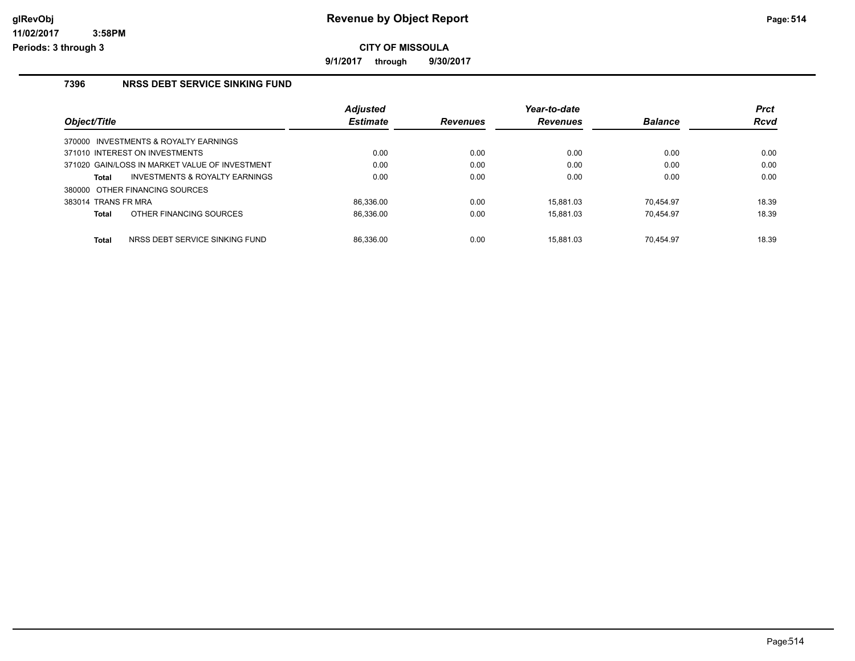**9/1/2017 through 9/30/2017**

#### **7396 NRSS DEBT SERVICE SINKING FUND**

|                                                           | <b>Adjusted</b> |                 | Year-to-date    |                | <b>Prct</b> |
|-----------------------------------------------------------|-----------------|-----------------|-----------------|----------------|-------------|
| Object/Title                                              | <b>Estimate</b> | <b>Revenues</b> | <b>Revenues</b> | <b>Balance</b> | <b>Rcvd</b> |
| 370000 INVESTMENTS & ROYALTY EARNINGS                     |                 |                 |                 |                |             |
| 371010 INTEREST ON INVESTMENTS                            | 0.00            | 0.00            | 0.00            | 0.00           | 0.00        |
| 371020 GAIN/LOSS IN MARKET VALUE OF INVESTMENT            | 0.00            | 0.00            | 0.00            | 0.00           | 0.00        |
| <b>INVESTMENTS &amp; ROYALTY EARNINGS</b><br><b>Total</b> | 0.00            | 0.00            | 0.00            | 0.00           | 0.00        |
| 380000 OTHER FINANCING SOURCES                            |                 |                 |                 |                |             |
| 383014 TRANS FR MRA                                       | 86.336.00       | 0.00            | 15.881.03       | 70.454.97      | 18.39       |
| OTHER FINANCING SOURCES<br><b>Total</b>                   | 86.336.00       | 0.00            | 15.881.03       | 70.454.97      | 18.39       |
|                                                           |                 |                 |                 |                |             |
| NRSS DEBT SERVICE SINKING FUND<br><b>Total</b>            | 86.336.00       | 0.00            | 15.881.03       | 70.454.97      | 18.39       |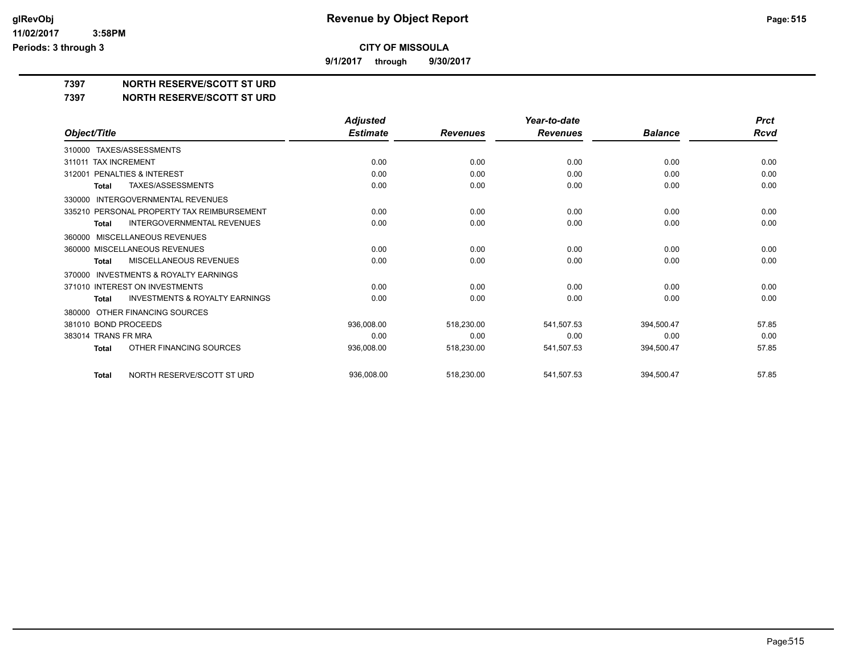**9/1/2017 through 9/30/2017**

**7397 NORTH RESERVE/SCOTT ST URD**

**7397 NORTH RESERVE/SCOTT ST URD**

|                                                           | <b>Adjusted</b> |                 | Year-to-date    |                | <b>Prct</b> |
|-----------------------------------------------------------|-----------------|-----------------|-----------------|----------------|-------------|
| Object/Title                                              | <b>Estimate</b> | <b>Revenues</b> | <b>Revenues</b> | <b>Balance</b> | <b>Rcvd</b> |
| 310000 TAXES/ASSESSMENTS                                  |                 |                 |                 |                |             |
| <b>TAX INCREMENT</b><br>311011                            | 0.00            | 0.00            | 0.00            | 0.00           | 0.00        |
| PENALTIES & INTEREST<br>312001                            | 0.00            | 0.00            | 0.00            | 0.00           | 0.00        |
| <b>TAXES/ASSESSMENTS</b><br><b>Total</b>                  | 0.00            | 0.00            | 0.00            | 0.00           | 0.00        |
| INTERGOVERNMENTAL REVENUES<br>330000                      |                 |                 |                 |                |             |
| 335210 PERSONAL PROPERTY TAX REIMBURSEMENT                | 0.00            | 0.00            | 0.00            | 0.00           | 0.00        |
| <b>INTERGOVERNMENTAL REVENUES</b><br><b>Total</b>         | 0.00            | 0.00            | 0.00            | 0.00           | 0.00        |
| MISCELLANEOUS REVENUES<br>360000                          |                 |                 |                 |                |             |
| 360000 MISCELLANEOUS REVENUES                             | 0.00            | 0.00            | 0.00            | 0.00           | 0.00        |
| MISCELLANEOUS REVENUES<br><b>Total</b>                    | 0.00            | 0.00            | 0.00            | 0.00           | 0.00        |
| INVESTMENTS & ROYALTY EARNINGS<br>370000                  |                 |                 |                 |                |             |
| 371010 INTEREST ON INVESTMENTS                            | 0.00            | 0.00            | 0.00            | 0.00           | 0.00        |
| <b>INVESTMENTS &amp; ROYALTY EARNINGS</b><br><b>Total</b> | 0.00            | 0.00            | 0.00            | 0.00           | 0.00        |
| OTHER FINANCING SOURCES<br>380000                         |                 |                 |                 |                |             |
| 381010 BOND PROCEEDS                                      | 936,008.00      | 518,230.00      | 541,507.53      | 394,500.47     | 57.85       |
| 383014 TRANS FR MRA                                       | 0.00            | 0.00            | 0.00            | 0.00           | 0.00        |
| OTHER FINANCING SOURCES<br><b>Total</b>                   | 936,008.00      | 518,230.00      | 541,507.53      | 394,500.47     | 57.85       |
| NORTH RESERVE/SCOTT ST URD<br><b>Total</b>                | 936,008.00      | 518,230.00      | 541,507.53      | 394,500.47     | 57.85       |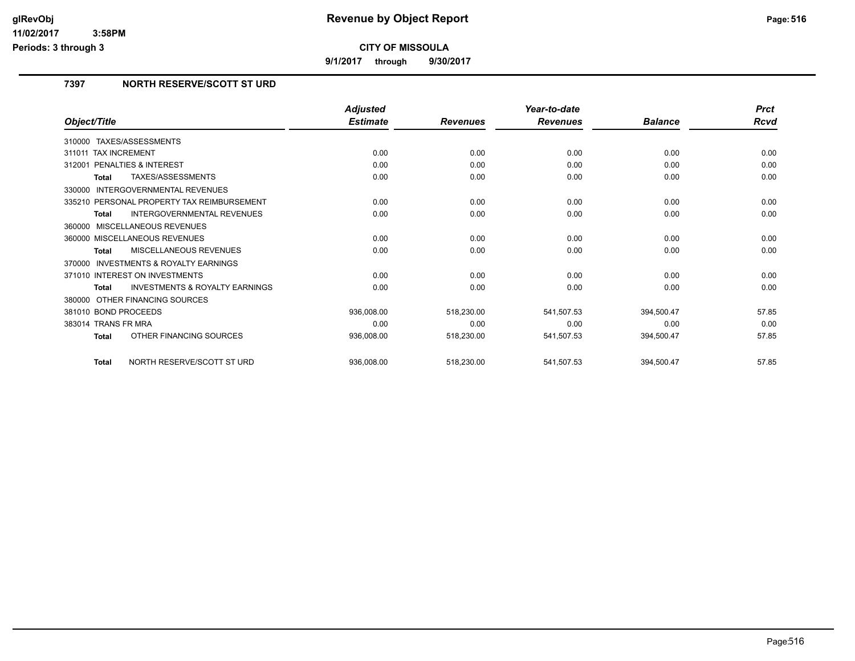**3:58PM**

**CITY OF MISSOULA**

**9/1/2017 through 9/30/2017**

### **7397 NORTH RESERVE/SCOTT ST URD**

|                                                           | <b>Adjusted</b> |                 | Year-to-date    |                | <b>Prct</b> |
|-----------------------------------------------------------|-----------------|-----------------|-----------------|----------------|-------------|
| Object/Title                                              | <b>Estimate</b> | <b>Revenues</b> | <b>Revenues</b> | <b>Balance</b> | <b>Rcvd</b> |
| 310000 TAXES/ASSESSMENTS                                  |                 |                 |                 |                |             |
| 311011 TAX INCREMENT                                      | 0.00            | 0.00            | 0.00            | 0.00           | 0.00        |
| PENALTIES & INTEREST<br>312001                            | 0.00            | 0.00            | 0.00            | 0.00           | 0.00        |
| TAXES/ASSESSMENTS<br><b>Total</b>                         | 0.00            | 0.00            | 0.00            | 0.00           | 0.00        |
| <b>INTERGOVERNMENTAL REVENUES</b><br>330000               |                 |                 |                 |                |             |
| 335210 PERSONAL PROPERTY TAX REIMBURSEMENT                | 0.00            | 0.00            | 0.00            | 0.00           | 0.00        |
| <b>INTERGOVERNMENTAL REVENUES</b><br><b>Total</b>         | 0.00            | 0.00            | 0.00            | 0.00           | 0.00        |
| 360000 MISCELLANEOUS REVENUES                             |                 |                 |                 |                |             |
| 360000 MISCELLANEOUS REVENUES                             | 0.00            | 0.00            | 0.00            | 0.00           | 0.00        |
| MISCELLANEOUS REVENUES<br><b>Total</b>                    | 0.00            | 0.00            | 0.00            | 0.00           | 0.00        |
| <b>INVESTMENTS &amp; ROYALTY EARNINGS</b><br>370000       |                 |                 |                 |                |             |
| 371010 INTEREST ON INVESTMENTS                            | 0.00            | 0.00            | 0.00            | 0.00           | 0.00        |
| <b>INVESTMENTS &amp; ROYALTY EARNINGS</b><br><b>Total</b> | 0.00            | 0.00            | 0.00            | 0.00           | 0.00        |
| OTHER FINANCING SOURCES<br>380000                         |                 |                 |                 |                |             |
| 381010 BOND PROCEEDS                                      | 936,008.00      | 518,230.00      | 541,507.53      | 394,500.47     | 57.85       |
| 383014 TRANS FR MRA                                       | 0.00            | 0.00            | 0.00            | 0.00           | 0.00        |
| OTHER FINANCING SOURCES<br><b>Total</b>                   | 936,008.00      | 518,230.00      | 541,507.53      | 394,500.47     | 57.85       |
| NORTH RESERVE/SCOTT ST URD<br><b>Total</b>                | 936,008.00      | 518,230.00      | 541,507.53      | 394,500.47     | 57.85       |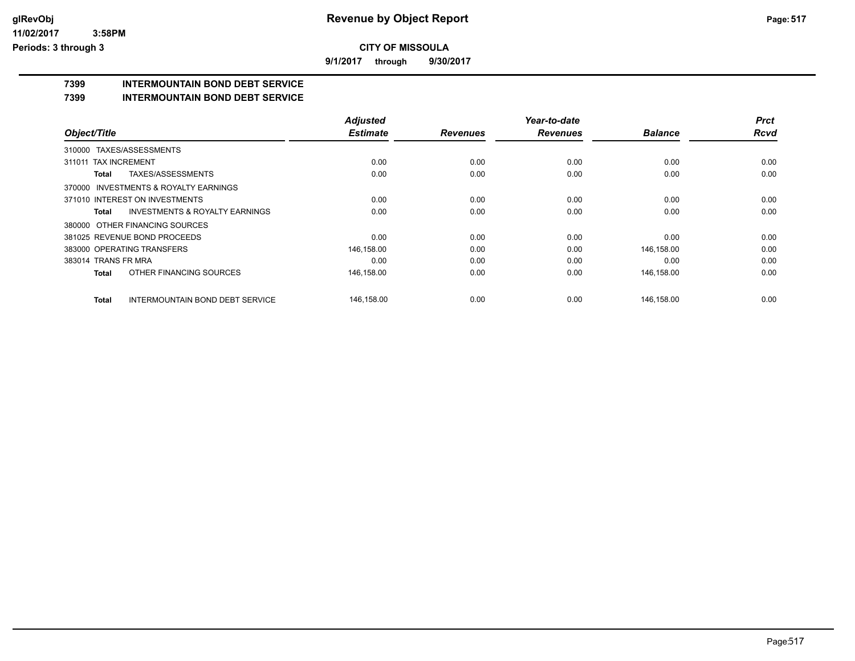**3:58PM**

**CITY OF MISSOULA**

**9/1/2017 through 9/30/2017**

## **7399 INTERMOUNTAIN BOND DEBT SERVICE**

### **7399 INTERMOUNTAIN BOND DEBT SERVICE**

|                                                    | <b>Adjusted</b> |                 | Year-to-date    |                | <b>Prct</b> |
|----------------------------------------------------|-----------------|-----------------|-----------------|----------------|-------------|
| Object/Title                                       | <b>Estimate</b> | <b>Revenues</b> | <b>Revenues</b> | <b>Balance</b> | <b>Rcvd</b> |
| 310000 TAXES/ASSESSMENTS                           |                 |                 |                 |                |             |
| <b>TAX INCREMENT</b><br>311011                     | 0.00            | 0.00            | 0.00            | 0.00           | 0.00        |
| TAXES/ASSESSMENTS<br>Total                         | 0.00            | 0.00            | 0.00            | 0.00           | 0.00        |
| 370000 INVESTMENTS & ROYALTY EARNINGS              |                 |                 |                 |                |             |
| 371010 INTEREST ON INVESTMENTS                     | 0.00            | 0.00            | 0.00            | 0.00           | 0.00        |
| <b>INVESTMENTS &amp; ROYALTY EARNINGS</b><br>Total | 0.00            | 0.00            | 0.00            | 0.00           | 0.00        |
| 380000 OTHER FINANCING SOURCES                     |                 |                 |                 |                |             |
| 381025 REVENUE BOND PROCEEDS                       | 0.00            | 0.00            | 0.00            | 0.00           | 0.00        |
| 383000 OPERATING TRANSFERS                         | 146,158.00      | 0.00            | 0.00            | 146,158.00     | 0.00        |
| 383014 TRANS FR MRA                                | 0.00            | 0.00            | 0.00            | 0.00           | 0.00        |
| OTHER FINANCING SOURCES<br>Total                   | 146,158.00      | 0.00            | 0.00            | 146,158.00     | 0.00        |
| <b>INTERMOUNTAIN BOND DEBT SERVICE</b><br>Total    | 146.158.00      | 0.00            | 0.00            | 146.158.00     | 0.00        |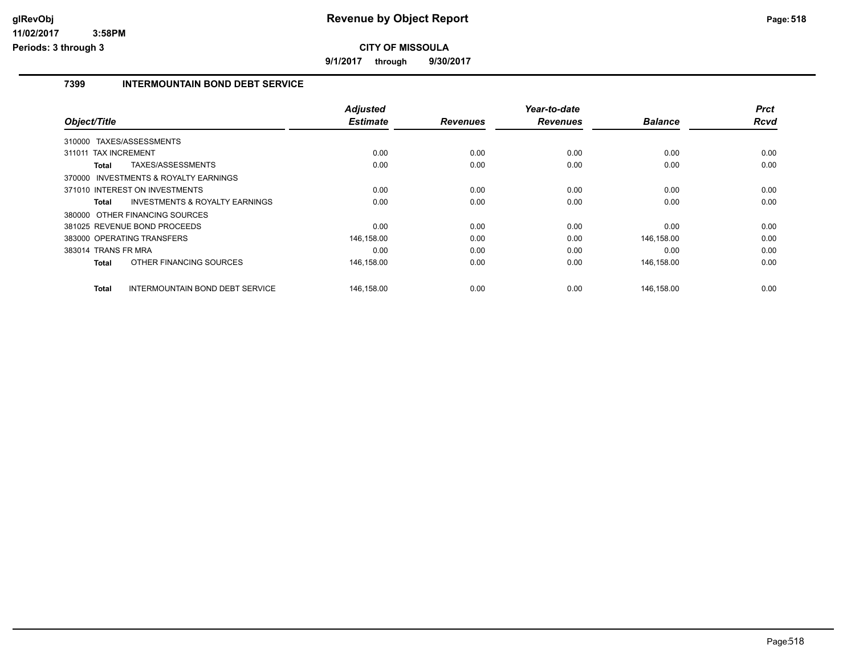**3:58PM**

**CITY OF MISSOULA**

**9/1/2017 through 9/30/2017**

#### **7399 INTERMOUNTAIN BOND DEBT SERVICE**

|                                                        | <b>Adjusted</b> |                 | Year-to-date    |                | <b>Prct</b> |
|--------------------------------------------------------|-----------------|-----------------|-----------------|----------------|-------------|
| Object/Title                                           | <b>Estimate</b> | <b>Revenues</b> | <b>Revenues</b> | <b>Balance</b> | <b>Rcvd</b> |
| 310000 TAXES/ASSESSMENTS                               |                 |                 |                 |                |             |
| <b>TAX INCREMENT</b><br>311011                         | 0.00            | 0.00            | 0.00            | 0.00           | 0.00        |
| TAXES/ASSESSMENTS<br><b>Total</b>                      | 0.00            | 0.00            | 0.00            | 0.00           | 0.00        |
| 370000 INVESTMENTS & ROYALTY EARNINGS                  |                 |                 |                 |                |             |
| 371010 INTEREST ON INVESTMENTS                         | 0.00            | 0.00            | 0.00            | 0.00           | 0.00        |
| <b>INVESTMENTS &amp; ROYALTY EARNINGS</b><br>Total     | 0.00            | 0.00            | 0.00            | 0.00           | 0.00        |
| 380000 OTHER FINANCING SOURCES                         |                 |                 |                 |                |             |
| 381025 REVENUE BOND PROCEEDS                           | 0.00            | 0.00            | 0.00            | 0.00           | 0.00        |
| 383000 OPERATING TRANSFERS                             | 146,158.00      | 0.00            | 0.00            | 146,158.00     | 0.00        |
| 383014 TRANS FR MRA                                    | 0.00            | 0.00            | 0.00            | 0.00           | 0.00        |
| OTHER FINANCING SOURCES<br><b>Total</b>                | 146,158.00      | 0.00            | 0.00            | 146,158.00     | 0.00        |
| <b>INTERMOUNTAIN BOND DEBT SERVICE</b><br><b>Total</b> | 146,158.00      | 0.00            | 0.00            | 146,158.00     | 0.00        |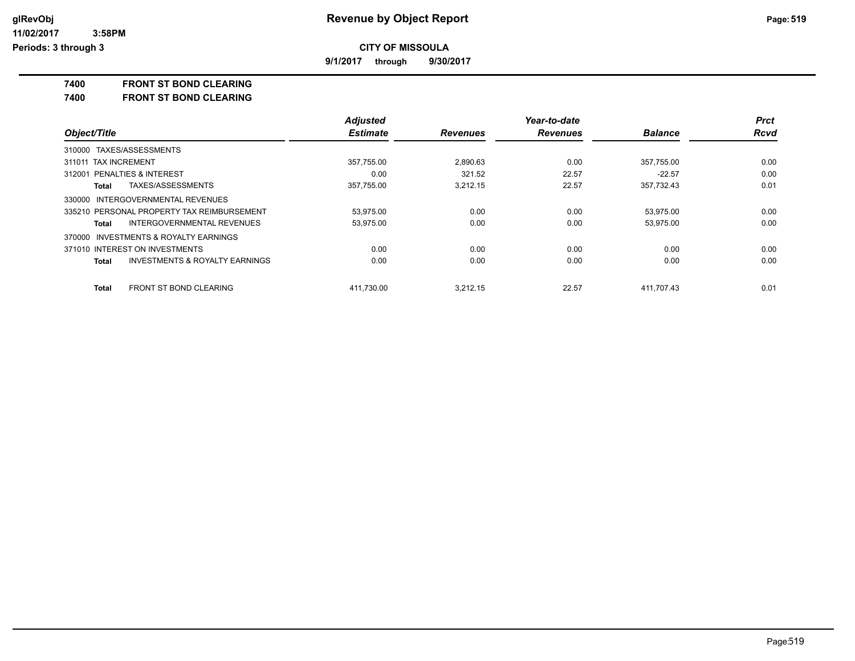**9/1/2017 through 9/30/2017**

#### **7400 FRONT ST BOND CLEARING**

**7400 FRONT ST BOND CLEARING**

|                                                           | <b>Adjusted</b> |                 | Year-to-date    |                | <b>Prct</b> |
|-----------------------------------------------------------|-----------------|-----------------|-----------------|----------------|-------------|
| Object/Title                                              | <b>Estimate</b> | <b>Revenues</b> | <b>Revenues</b> | <b>Balance</b> | <b>Rcvd</b> |
| 310000 TAXES/ASSESSMENTS                                  |                 |                 |                 |                |             |
| 311011 TAX INCREMENT                                      | 357,755.00      | 2,890.63        | 0.00            | 357,755.00     | 0.00        |
| 312001 PENALTIES & INTEREST                               | 0.00            | 321.52          | 22.57           | $-22.57$       | 0.00        |
| TAXES/ASSESSMENTS<br><b>Total</b>                         | 357,755.00      | 3.212.15        | 22.57           | 357,732.43     | 0.01        |
| 330000 INTERGOVERNMENTAL REVENUES                         |                 |                 |                 |                |             |
| 335210 PERSONAL PROPERTY TAX REIMBURSEMENT                | 53,975.00       | 0.00            | 0.00            | 53,975.00      | 0.00        |
| INTERGOVERNMENTAL REVENUES<br>Total                       | 53,975.00       | 0.00            | 0.00            | 53,975.00      | 0.00        |
| 370000 INVESTMENTS & ROYALTY EARNINGS                     |                 |                 |                 |                |             |
| 371010 INTEREST ON INVESTMENTS                            | 0.00            | 0.00            | 0.00            | 0.00           | 0.00        |
| <b>INVESTMENTS &amp; ROYALTY EARNINGS</b><br><b>Total</b> | 0.00            | 0.00            | 0.00            | 0.00           | 0.00        |
| FRONT ST BOND CLEARING<br>Total                           | 411.730.00      | 3.212.15        | 22.57           | 411.707.43     | 0.01        |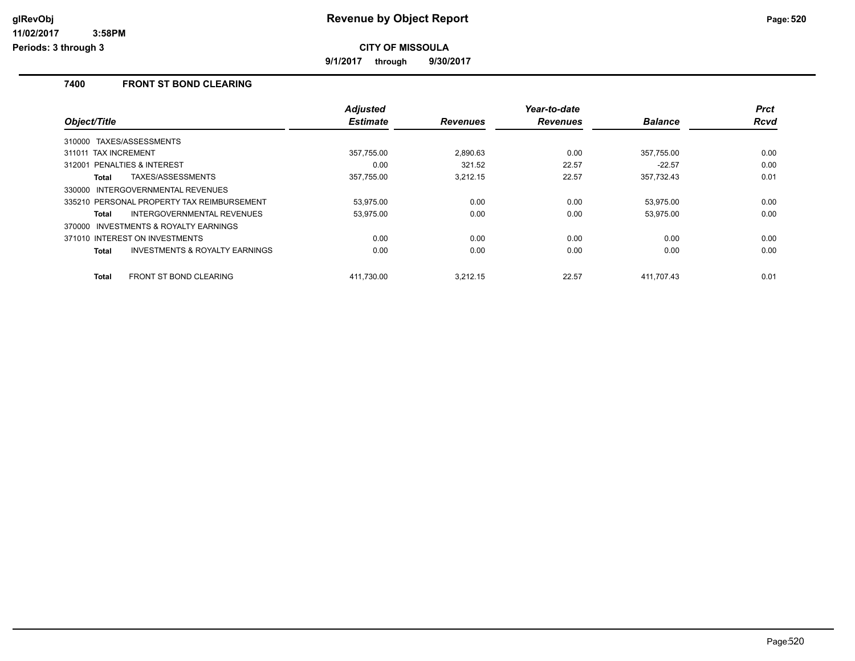**CITY OF MISSOULA**

**9/1/2017 through 9/30/2017**

#### **7400 FRONT ST BOND CLEARING**

|                                                    | <b>Adjusted</b><br><b>Estimate</b> |                 | Year-to-date<br><b>Revenues</b> | <b>Balance</b> | <b>Prct</b> |
|----------------------------------------------------|------------------------------------|-----------------|---------------------------------|----------------|-------------|
| Object/Title                                       |                                    | <b>Revenues</b> |                                 |                | Rcvd        |
| TAXES/ASSESSMENTS<br>310000                        |                                    |                 |                                 |                |             |
| <b>TAX INCREMENT</b><br>311011                     | 357,755.00                         | 2,890.63        | 0.00                            | 357,755.00     | 0.00        |
| PENALTIES & INTEREST<br>312001                     | 0.00                               | 321.52          | 22.57                           | $-22.57$       | 0.00        |
| TAXES/ASSESSMENTS<br><b>Total</b>                  | 357,755.00                         | 3.212.15        | 22.57                           | 357,732.43     | 0.01        |
| 330000 INTERGOVERNMENTAL REVENUES                  |                                    |                 |                                 |                |             |
| 335210 PERSONAL PROPERTY TAX REIMBURSEMENT         | 53,975.00                          | 0.00            | 0.00                            | 53,975.00      | 0.00        |
| INTERGOVERNMENTAL REVENUES<br>Total                | 53.975.00                          | 0.00            | 0.00                            | 53,975.00      | 0.00        |
| 370000 INVESTMENTS & ROYALTY EARNINGS              |                                    |                 |                                 |                |             |
| 371010 INTEREST ON INVESTMENTS                     | 0.00                               | 0.00            | 0.00                            | 0.00           | 0.00        |
| <b>INVESTMENTS &amp; ROYALTY EARNINGS</b><br>Total | 0.00                               | 0.00            | 0.00                            | 0.00           | 0.00        |
| FRONT ST BOND CLEARING<br><b>Total</b>             | 411.730.00                         | 3.212.15        | 22.57                           | 411.707.43     | 0.01        |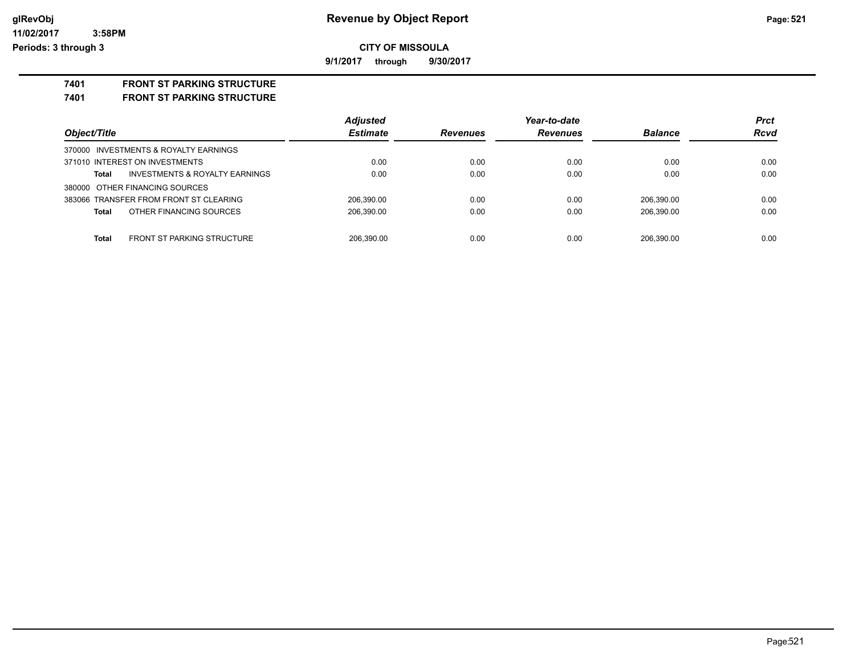**9/1/2017 through 9/30/2017**

## **7401 FRONT ST PARKING STRUCTURE**

**7401 FRONT ST PARKING STRUCTURE**

|                                                           | <b>Adjusted</b> |                 | Year-to-date    |                | <b>Prct</b> |
|-----------------------------------------------------------|-----------------|-----------------|-----------------|----------------|-------------|
| Object/Title                                              | <b>Estimate</b> | <b>Revenues</b> | <b>Revenues</b> | <b>Balance</b> | <b>Rcvd</b> |
| 370000 INVESTMENTS & ROYALTY EARNINGS                     |                 |                 |                 |                |             |
| 371010 INTEREST ON INVESTMENTS                            | 0.00            | 0.00            | 0.00            | 0.00           | 0.00        |
| <b>INVESTMENTS &amp; ROYALTY EARNINGS</b><br><b>Total</b> | 0.00            | 0.00            | 0.00            | 0.00           | 0.00        |
| 380000 OTHER FINANCING SOURCES                            |                 |                 |                 |                |             |
| 383066 TRANSFER FROM FRONT ST CLEARING                    | 206.390.00      | 0.00            | 0.00            | 206.390.00     | 0.00        |
| OTHER FINANCING SOURCES<br><b>Total</b>                   | 206,390.00      | 0.00            | 0.00            | 206.390.00     | 0.00        |
|                                                           |                 |                 |                 |                |             |
| <b>FRONT ST PARKING STRUCTURE</b><br><b>Total</b>         | 206.390.00      | 0.00            | 0.00            | 206.390.00     | 0.00        |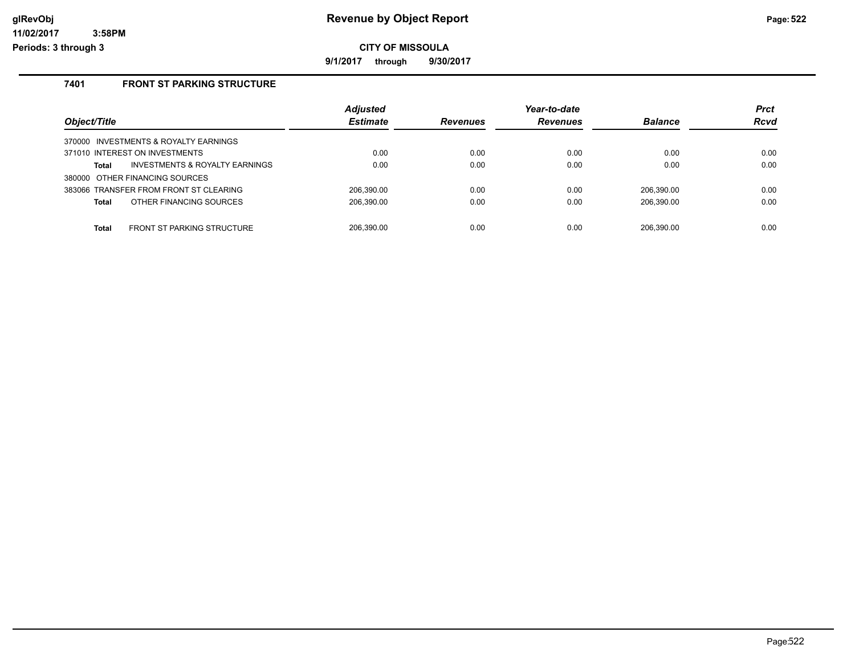**3:58PM**

**CITY OF MISSOULA**

**9/1/2017 through 9/30/2017**

#### **7401 FRONT ST PARKING STRUCTURE**

| Object/Title                                      | <b>Adjusted</b><br><b>Estimate</b> | <b>Revenues</b> | Year-to-date<br><b>Revenues</b> | <b>Balance</b> | <b>Prct</b><br><b>Rcvd</b> |
|---------------------------------------------------|------------------------------------|-----------------|---------------------------------|----------------|----------------------------|
| 370000 INVESTMENTS & ROYALTY EARNINGS             |                                    |                 |                                 |                |                            |
| 371010 INTEREST ON INVESTMENTS                    | 0.00                               | 0.00            | 0.00                            | 0.00           | 0.00                       |
| INVESTMENTS & ROYALTY EARNINGS<br><b>Total</b>    | 0.00                               | 0.00            | 0.00                            | 0.00           | 0.00                       |
| 380000 OTHER FINANCING SOURCES                    |                                    |                 |                                 |                |                            |
| 383066 TRANSFER FROM FRONT ST CLEARING            | 206.390.00                         | 0.00            | 0.00                            | 206.390.00     | 0.00                       |
| OTHER FINANCING SOURCES<br>Total                  | 206,390.00                         | 0.00            | 0.00                            | 206,390.00     | 0.00                       |
|                                                   |                                    |                 |                                 |                |                            |
| <b>FRONT ST PARKING STRUCTURE</b><br><b>Total</b> | 206.390.00                         | 0.00            | 0.00                            | 206.390.00     | 0.00                       |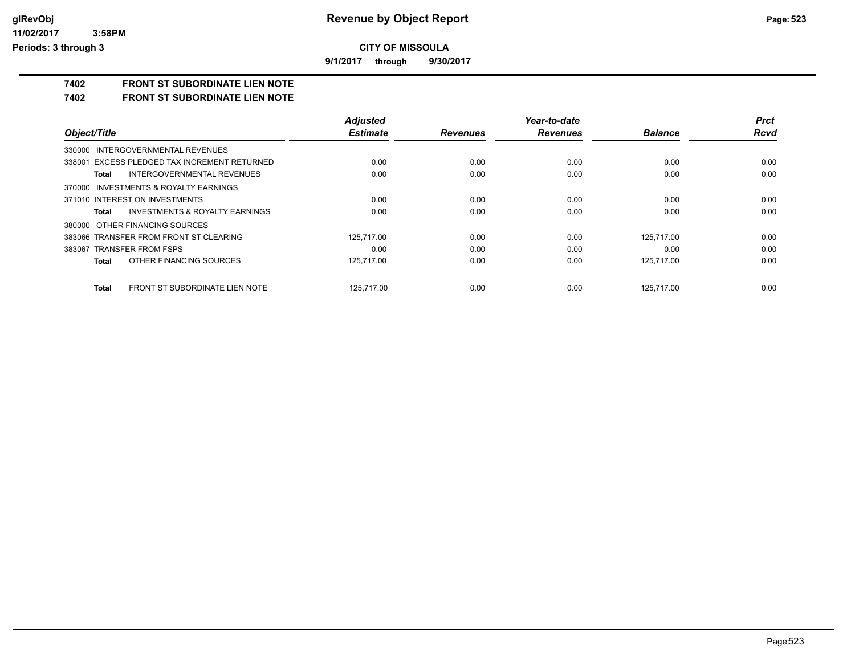**9/1/2017 through 9/30/2017**

## **7402 FRONT ST SUBORDINATE LIEN NOTE**

**7402 FRONT ST SUBORDINATE LIEN NOTE**

|                                                    | <b>Adjusted</b> |                 | Year-to-date    |                | <b>Prct</b> |
|----------------------------------------------------|-----------------|-----------------|-----------------|----------------|-------------|
| Object/Title                                       | <b>Estimate</b> | <b>Revenues</b> | <b>Revenues</b> | <b>Balance</b> | <b>Rcvd</b> |
| 330000 INTERGOVERNMENTAL REVENUES                  |                 |                 |                 |                |             |
| EXCESS PLEDGED TAX INCREMENT RETURNED<br>338001    | 0.00            | 0.00            | 0.00            | 0.00           | 0.00        |
| INTERGOVERNMENTAL REVENUES<br>Total                | 0.00            | 0.00            | 0.00            | 0.00           | 0.00        |
| 370000 INVESTMENTS & ROYALTY EARNINGS              |                 |                 |                 |                |             |
| 371010 INTEREST ON INVESTMENTS                     | 0.00            | 0.00            | 0.00            | 0.00           | 0.00        |
| <b>INVESTMENTS &amp; ROYALTY EARNINGS</b><br>Total | 0.00            | 0.00            | 0.00            | 0.00           | 0.00        |
| 380000 OTHER FINANCING SOURCES                     |                 |                 |                 |                |             |
| 383066 TRANSFER FROM FRONT ST CLEARING             | 125.717.00      | 0.00            | 0.00            | 125.717.00     | 0.00        |
| 383067 TRANSFER FROM FSPS                          | 0.00            | 0.00            | 0.00            | 0.00           | 0.00        |
| OTHER FINANCING SOURCES<br>Total                   | 125,717.00      | 0.00            | 0.00            | 125,717.00     | 0.00        |
| FRONT ST SUBORDINATE LIEN NOTE<br><b>Total</b>     | 125.717.00      | 0.00            | 0.00            | 125.717.00     | 0.00        |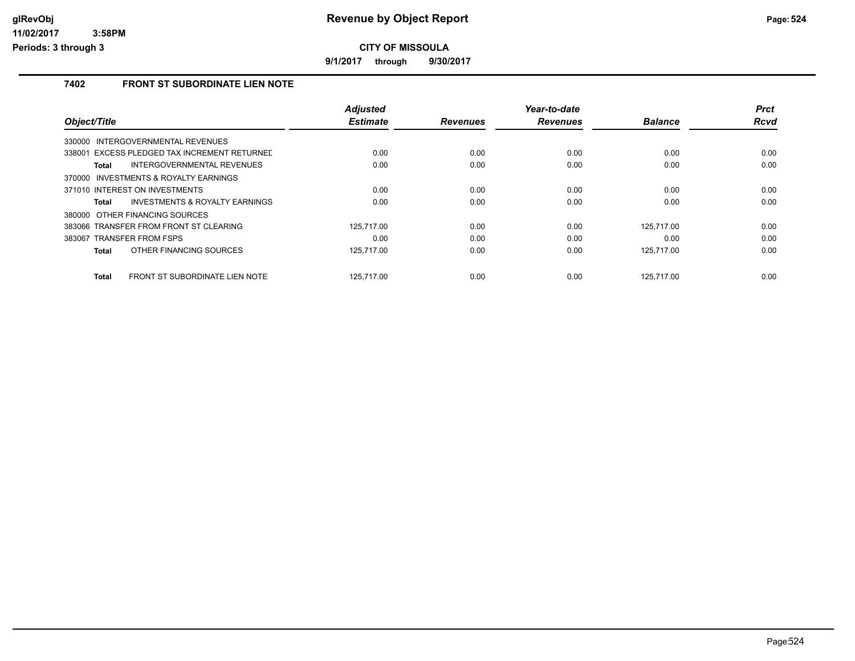**9/1/2017 through 9/30/2017**

#### **7402 FRONT ST SUBORDINATE LIEN NOTE**

|                                                | <b>Adjusted</b> |                 | Year-to-date    |                | <b>Prct</b> |
|------------------------------------------------|-----------------|-----------------|-----------------|----------------|-------------|
| Object/Title                                   | <b>Estimate</b> | <b>Revenues</b> | <b>Revenues</b> | <b>Balance</b> | <b>Rcvd</b> |
| INTERGOVERNMENTAL REVENUES<br>330000           |                 |                 |                 |                |             |
| 338001 EXCESS PLEDGED TAX INCREMENT RETURNED   | 0.00            | 0.00            | 0.00            | 0.00           | 0.00        |
| INTERGOVERNMENTAL REVENUES<br><b>Total</b>     | 0.00            | 0.00            | 0.00            | 0.00           | 0.00        |
| 370000 INVESTMENTS & ROYALTY EARNINGS          |                 |                 |                 |                |             |
| 371010 INTEREST ON INVESTMENTS                 | 0.00            | 0.00            | 0.00            | 0.00           | 0.00        |
| INVESTMENTS & ROYALTY EARNINGS<br><b>Total</b> | 0.00            | 0.00            | 0.00            | 0.00           | 0.00        |
| 380000 OTHER FINANCING SOURCES                 |                 |                 |                 |                |             |
| 383066 TRANSFER FROM FRONT ST CLEARING         | 125.717.00      | 0.00            | 0.00            | 125.717.00     | 0.00        |
| 383067 TRANSFER FROM FSPS                      | 0.00            | 0.00            | 0.00            | 0.00           | 0.00        |
| OTHER FINANCING SOURCES<br><b>Total</b>        | 125.717.00      | 0.00            | 0.00            | 125,717.00     | 0.00        |
| FRONT ST SUBORDINATE LIEN NOTE<br><b>Total</b> | 125.717.00      | 0.00            | 0.00            | 125.717.00     | 0.00        |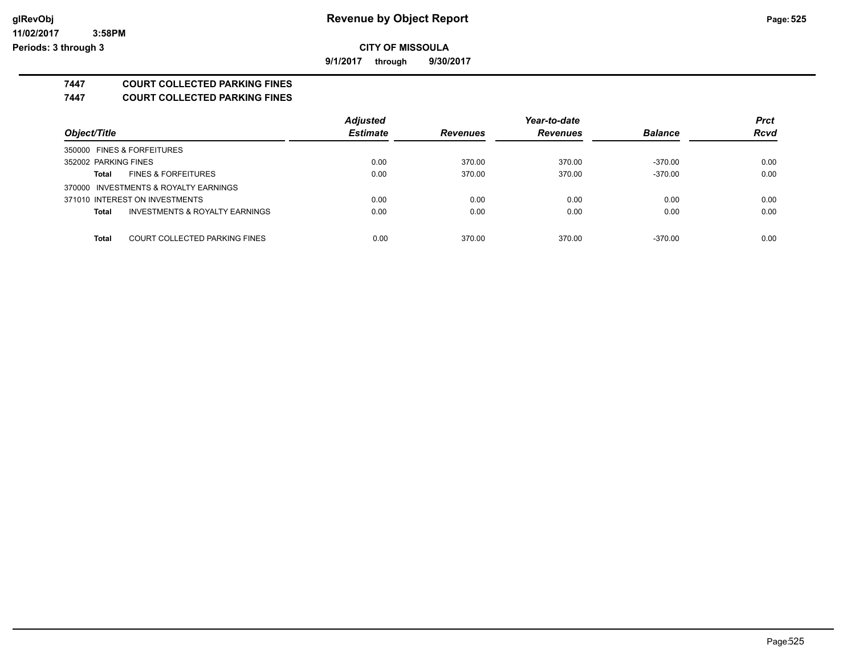**CITY OF MISSOULA**

**9/1/2017 through 9/30/2017**

## **7447 COURT COLLECTED PARKING FINES**

**7447 COURT COLLECTED PARKING FINES**

|                                               | <b>Adjusted</b> |                 | Year-to-date    |                | <b>Prct</b> |
|-----------------------------------------------|-----------------|-----------------|-----------------|----------------|-------------|
| Object/Title                                  | <b>Estimate</b> | <b>Revenues</b> | <b>Revenues</b> | <b>Balance</b> | <b>Rcvd</b> |
| 350000 FINES & FORFEITURES                    |                 |                 |                 |                |             |
| 352002 PARKING FINES                          | 0.00            | 370.00          | 370.00          | $-370.00$      | 0.00        |
| <b>FINES &amp; FORFEITURES</b><br>Total       | 0.00            | 370.00          | 370.00          | $-370.00$      | 0.00        |
| 370000 INVESTMENTS & ROYALTY EARNINGS         |                 |                 |                 |                |             |
| 371010 INTEREST ON INVESTMENTS                | 0.00            | 0.00            | 0.00            | 0.00           | 0.00        |
| INVESTMENTS & ROYALTY EARNINGS<br>Total       | 0.00            | 0.00            | 0.00            | 0.00           | 0.00        |
|                                               |                 |                 |                 |                |             |
| COURT COLLECTED PARKING FINES<br><b>Total</b> | 0.00            | 370.00          | 370.00          | $-370.00$      | 0.00        |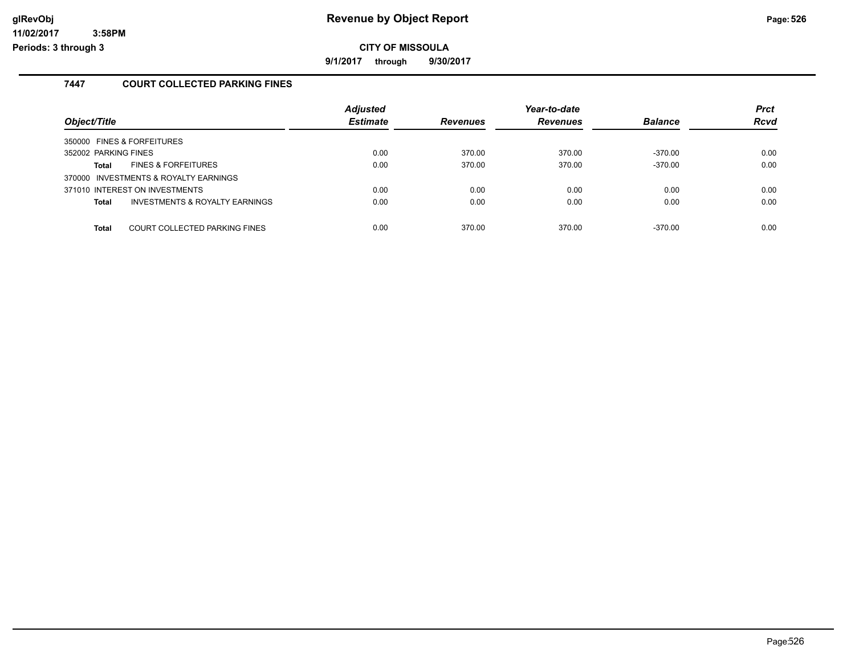**3:58PM**

**CITY OF MISSOULA**

**9/1/2017 through 9/30/2017**

#### **7447 COURT COLLECTED PARKING FINES**

| Object/Title                                              | <b>Adjusted</b><br><b>Estimate</b> | <b>Revenues</b> | Year-to-date<br><b>Revenues</b> | <b>Balance</b> | <b>Prct</b><br><b>Rcvd</b> |
|-----------------------------------------------------------|------------------------------------|-----------------|---------------------------------|----------------|----------------------------|
| <b>FINES &amp; FORFEITURES</b><br>350000                  |                                    |                 |                                 |                |                            |
| 352002 PARKING FINES                                      | 0.00                               | 370.00          | 370.00                          | $-370.00$      | 0.00                       |
| <b>FINES &amp; FORFEITURES</b><br>Total                   | 0.00                               | 370.00          | 370.00                          | $-370.00$      | 0.00                       |
| 370000 INVESTMENTS & ROYALTY EARNINGS                     |                                    |                 |                                 |                |                            |
| 371010 INTEREST ON INVESTMENTS                            | 0.00                               | 0.00            | 0.00                            | 0.00           | 0.00                       |
| <b>INVESTMENTS &amp; ROYALTY EARNINGS</b><br><b>Total</b> | 0.00                               | 0.00            | 0.00                            | 0.00           | 0.00                       |
| COURT COLLECTED PARKING FINES<br>Total                    | 0.00                               | 370.00          | 370.00                          | $-370.00$      | 0.00                       |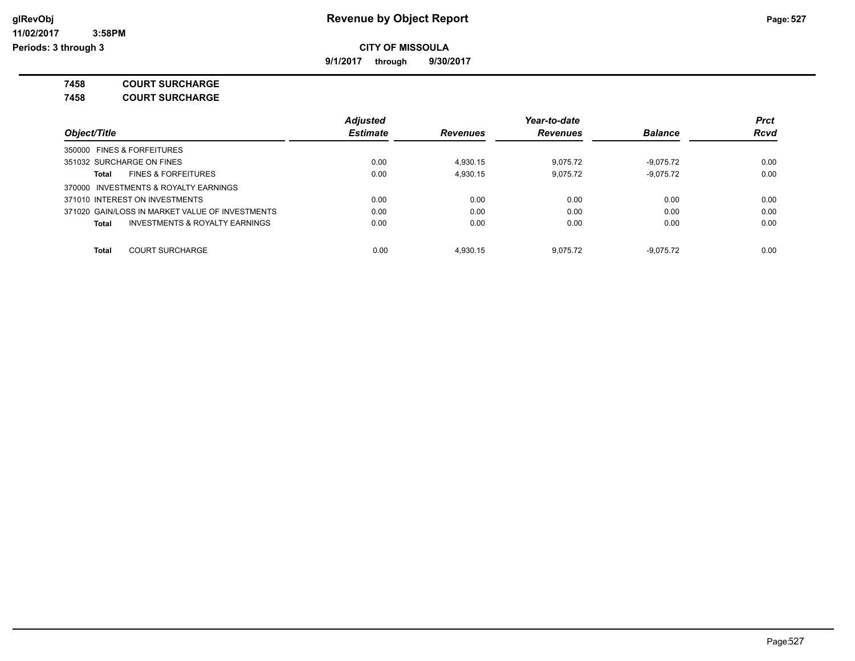**9/1/2017 through 9/30/2017**

**7458 COURT SURCHARGE**

**7458 COURT SURCHARGE**

|                                                 | <b>Adjusted</b> |                 | Year-to-date    |                | <b>Prct</b> |
|-------------------------------------------------|-----------------|-----------------|-----------------|----------------|-------------|
| Object/Title                                    | <b>Estimate</b> | <b>Revenues</b> | <b>Revenues</b> | <b>Balance</b> | Rcvd        |
| 350000 FINES & FORFEITURES                      |                 |                 |                 |                |             |
| 351032 SURCHARGE ON FINES                       | 0.00            | 4.930.15        | 9.075.72        | $-9.075.72$    | 0.00        |
| <b>FINES &amp; FORFEITURES</b><br>Total         | 0.00            | 4,930.15        | 9.075.72        | $-9.075.72$    | 0.00        |
| 370000 INVESTMENTS & ROYALTY EARNINGS           |                 |                 |                 |                |             |
| 371010 INTEREST ON INVESTMENTS                  | 0.00            | 0.00            | 0.00            | 0.00           | 0.00        |
| 371020 GAIN/LOSS IN MARKET VALUE OF INVESTMENTS | 0.00            | 0.00            | 0.00            | 0.00           | 0.00        |
| INVESTMENTS & ROYALTY EARNINGS<br><b>Total</b>  | 0.00            | 0.00            | 0.00            | 0.00           | 0.00        |
| <b>COURT SURCHARGE</b><br><b>Total</b>          | 0.00            | 4.930.15        | 9.075.72        | $-9.075.72$    | 0.00        |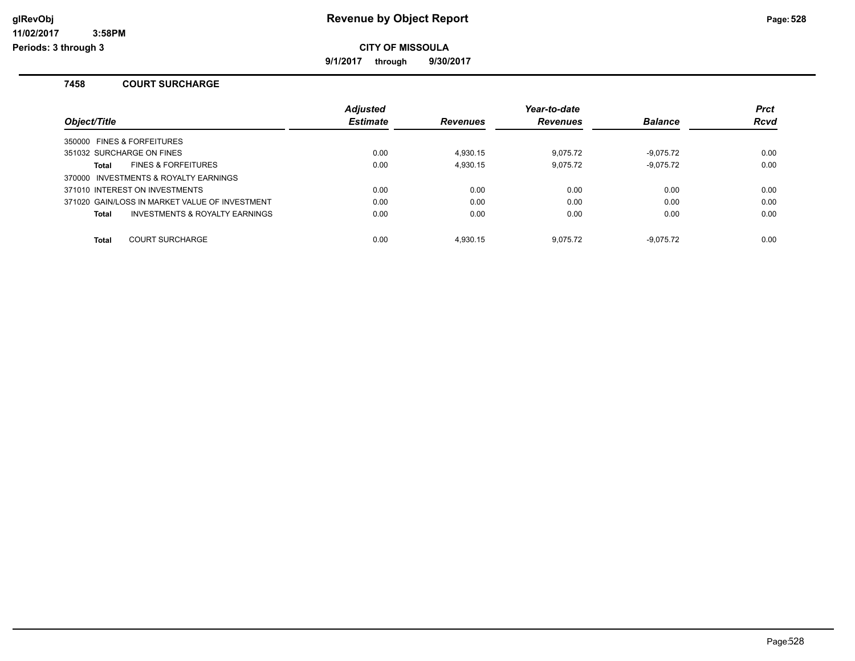**CITY OF MISSOULA**

**9/1/2017 through 9/30/2017**

#### **7458 COURT SURCHARGE**

|                                                | <b>Adjusted</b> |                 | Year-to-date    |                | <b>Prct</b> |
|------------------------------------------------|-----------------|-----------------|-----------------|----------------|-------------|
| Object/Title                                   | <b>Estimate</b> | <b>Revenues</b> | <b>Revenues</b> | <b>Balance</b> | Rcvd        |
| 350000 FINES & FORFEITURES                     |                 |                 |                 |                |             |
| 351032 SURCHARGE ON FINES                      | 0.00            | 4.930.15        | 9.075.72        | $-9.075.72$    | 0.00        |
| <b>FINES &amp; FORFEITURES</b><br>Total        | 0.00            | 4,930.15        | 9.075.72        | $-9,075.72$    | 0.00        |
| 370000 INVESTMENTS & ROYALTY EARNINGS          |                 |                 |                 |                |             |
| 371010 INTEREST ON INVESTMENTS                 | 0.00            | 0.00            | 0.00            | 0.00           | 0.00        |
| 371020 GAIN/LOSS IN MARKET VALUE OF INVESTMENT | 0.00            | 0.00            | 0.00            | 0.00           | 0.00        |
| INVESTMENTS & ROYALTY EARNINGS<br>Total        | 0.00            | 0.00            | 0.00            | 0.00           | 0.00        |
|                                                |                 |                 |                 |                |             |
| <b>Total</b><br><b>COURT SURCHARGE</b>         | 0.00            | 4.930.15        | 9.075.72        | $-9.075.72$    | 0.00        |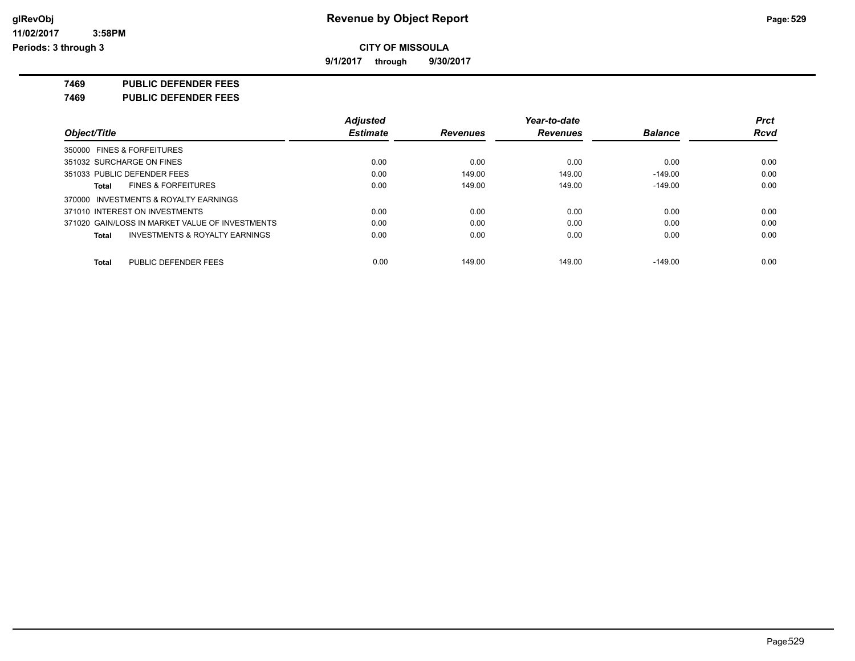**9/1/2017 through 9/30/2017**

**7469 PUBLIC DEFENDER FEES**

**7469 PUBLIC DEFENDER FEES**

|                                                    | <b>Adjusted</b> |                 | Year-to-date    |                | <b>Prct</b> |
|----------------------------------------------------|-----------------|-----------------|-----------------|----------------|-------------|
| Object/Title                                       | <b>Estimate</b> | <b>Revenues</b> | <b>Revenues</b> | <b>Balance</b> | <b>Rcvd</b> |
| 350000 FINES & FORFEITURES                         |                 |                 |                 |                |             |
| 351032 SURCHARGE ON FINES                          | 0.00            | 0.00            | 0.00            | 0.00           | 0.00        |
| 351033 PUBLIC DEFENDER FEES                        | 0.00            | 149.00          | 149.00          | $-149.00$      | 0.00        |
| <b>FINES &amp; FORFEITURES</b><br>Total            | 0.00            | 149.00          | 149.00          | $-149.00$      | 0.00        |
| 370000 INVESTMENTS & ROYALTY EARNINGS              |                 |                 |                 |                |             |
| 371010 INTEREST ON INVESTMENTS                     | 0.00            | 0.00            | 0.00            | 0.00           | 0.00        |
| 371020 GAIN/LOSS IN MARKET VALUE OF INVESTMENTS    | 0.00            | 0.00            | 0.00            | 0.00           | 0.00        |
| <b>INVESTMENTS &amp; ROYALTY EARNINGS</b><br>Total | 0.00            | 0.00            | 0.00            | 0.00           | 0.00        |
| PUBLIC DEFENDER FEES<br><b>Total</b>               | 0.00            | 149.00          | 149.00          | $-149.00$      | 0.00        |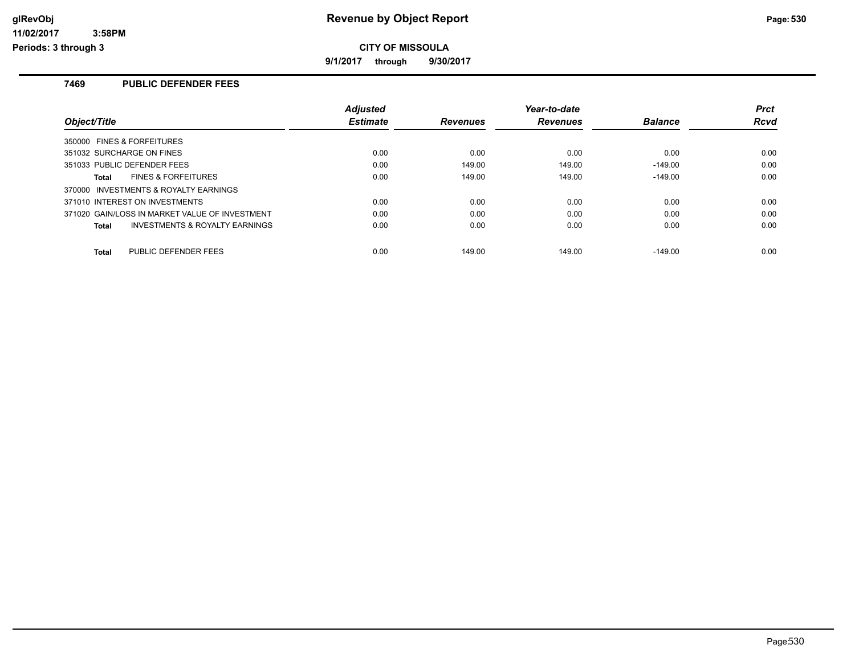**CITY OF MISSOULA**

**9/1/2017 through 9/30/2017**

#### **7469 PUBLIC DEFENDER FEES**

|                                |                                                | <b>Adjusted</b> |                 | Year-to-date    |                | <b>Prct</b> |
|--------------------------------|------------------------------------------------|-----------------|-----------------|-----------------|----------------|-------------|
| Object/Title                   |                                                | <b>Estimate</b> | <b>Revenues</b> | <b>Revenues</b> | <b>Balance</b> | Rcvd        |
| 350000 FINES & FORFEITURES     |                                                |                 |                 |                 |                |             |
| 351032 SURCHARGE ON FINES      |                                                | 0.00            | 0.00            | 0.00            | 0.00           | 0.00        |
| 351033 PUBLIC DEFENDER FEES    |                                                | 0.00            | 149.00          | 149.00          | $-149.00$      | 0.00        |
| Total                          | <b>FINES &amp; FORFEITURES</b>                 | 0.00            | 149.00          | 149.00          | $-149.00$      | 0.00        |
|                                | 370000 INVESTMENTS & ROYALTY EARNINGS          |                 |                 |                 |                |             |
| 371010 INTEREST ON INVESTMENTS |                                                | 0.00            | 0.00            | 0.00            | 0.00           | 0.00        |
|                                | 371020 GAIN/LOSS IN MARKET VALUE OF INVESTMENT | 0.00            | 0.00            | 0.00            | 0.00           | 0.00        |
| Total                          | INVESTMENTS & ROYALTY EARNINGS                 | 0.00            | 0.00            | 0.00            | 0.00           | 0.00        |
| <b>Total</b>                   | PUBLIC DEFENDER FEES                           | 0.00            | 149.00          | 149.00          | $-149.00$      | 0.00        |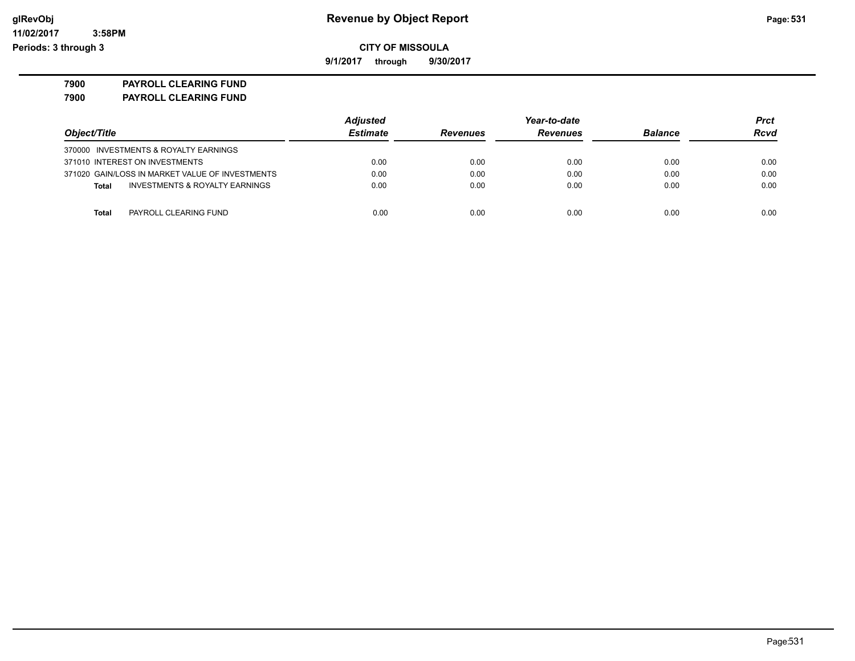**9/1/2017 through 9/30/2017**

**7900 PAYROLL CLEARING FUND**

**7900 PAYROLL CLEARING FUND**

|                                                           | Adjusted        |                 | Year-to-date    |                | Prct |
|-----------------------------------------------------------|-----------------|-----------------|-----------------|----------------|------|
| Object/Title                                              | <b>Estimate</b> | <b>Revenues</b> | <b>Revenues</b> | <b>Balance</b> | Rcvd |
| 370000 INVESTMENTS & ROYALTY EARNINGS                     |                 |                 |                 |                |      |
| 371010 INTEREST ON INVESTMENTS                            | 0.00            | 0.00            | 0.00            | 0.00           | 0.00 |
| 371020 GAIN/LOSS IN MARKET VALUE OF INVESTMENTS           | 0.00            | 0.00            | 0.00            | 0.00           | 0.00 |
| <b>INVESTMENTS &amp; ROYALTY EARNINGS</b><br><b>Total</b> | 0.00            | 0.00            | 0.00            | 0.00           | 0.00 |
|                                                           |                 |                 |                 |                |      |
| <b>Total</b><br>PAYROLL CLEARING FUND                     | 0.00            | 0.00            | 0.00            | 0.00           | 0.00 |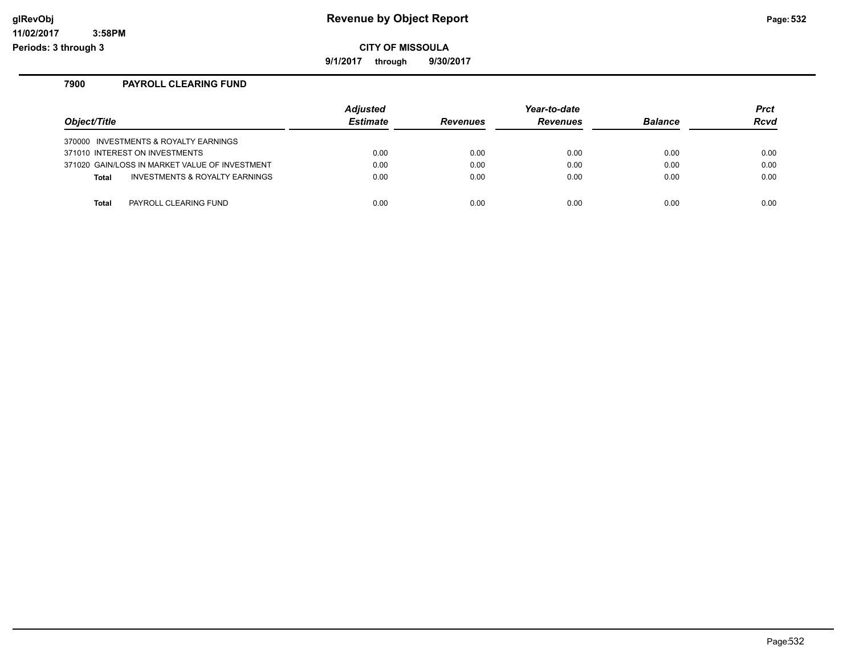**CITY OF MISSOULA**

**9/1/2017 through 9/30/2017**

#### **7900 PAYROLL CLEARING FUND**

| Object/Title |                                                | <b>Adjusted</b><br><b>Estimate</b> | <b>Revenues</b> | Year-to-date<br><b>Revenues</b> | <b>Balance</b> | <b>Prct</b><br>Rcvd |
|--------------|------------------------------------------------|------------------------------------|-----------------|---------------------------------|----------------|---------------------|
|              | 370000 INVESTMENTS & ROYALTY EARNINGS          |                                    |                 |                                 |                |                     |
|              | 371010 INTEREST ON INVESTMENTS                 | 0.00                               | 0.00            | 0.00                            | 0.00           | 0.00                |
|              | 371020 GAIN/LOSS IN MARKET VALUE OF INVESTMENT | 0.00                               | 0.00            | 0.00                            | 0.00           | 0.00                |
| <b>Total</b> | <b>INVESTMENTS &amp; ROYALTY EARNINGS</b>      | 0.00                               | 0.00            | 0.00                            | 0.00           | 0.00                |
|              |                                                |                                    |                 |                                 |                |                     |
| Total        | PAYROLL CLEARING FUND                          | 0.00                               | 0.00            | 0.00                            | 0.00           | 0.00                |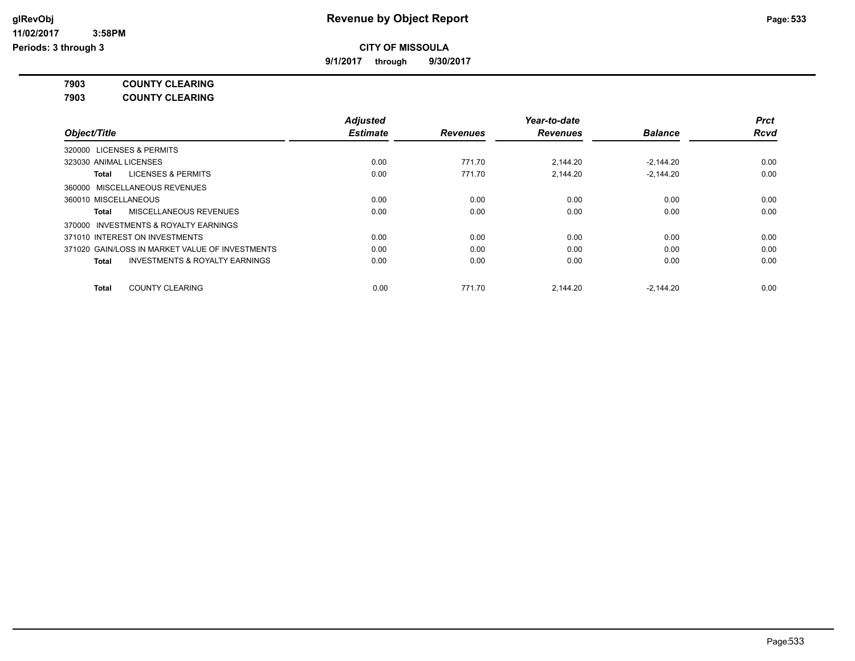**9/1/2017 through 9/30/2017**

**7903 COUNTY CLEARING**

**7903 COUNTY CLEARING**

|                                                    | <b>Adjusted</b> |                 | Year-to-date    |                | <b>Prct</b> |
|----------------------------------------------------|-----------------|-----------------|-----------------|----------------|-------------|
| Object/Title                                       | <b>Estimate</b> | <b>Revenues</b> | <b>Revenues</b> | <b>Balance</b> | <b>Rcvd</b> |
| <b>LICENSES &amp; PERMITS</b><br>320000            |                 |                 |                 |                |             |
| 323030 ANIMAL LICENSES                             | 0.00            | 771.70          | 2.144.20        | $-2,144.20$    | 0.00        |
| <b>LICENSES &amp; PERMITS</b><br>Total             | 0.00            | 771.70          | 2,144.20        | $-2,144.20$    | 0.00        |
| MISCELLANEOUS REVENUES<br>360000                   |                 |                 |                 |                |             |
| 360010 MISCELLANEOUS                               | 0.00            | 0.00            | 0.00            | 0.00           | 0.00        |
| MISCELLANEOUS REVENUES<br>Total                    | 0.00            | 0.00            | 0.00            | 0.00           | 0.00        |
| 370000 INVESTMENTS & ROYALTY EARNINGS              |                 |                 |                 |                |             |
| 371010 INTEREST ON INVESTMENTS                     | 0.00            | 0.00            | 0.00            | 0.00           | 0.00        |
| 371020 GAIN/LOSS IN MARKET VALUE OF INVESTMENTS    | 0.00            | 0.00            | 0.00            | 0.00           | 0.00        |
| <b>INVESTMENTS &amp; ROYALTY EARNINGS</b><br>Total | 0.00            | 0.00            | 0.00            | 0.00           | 0.00        |
| <b>COUNTY CLEARING</b><br><b>Total</b>             | 0.00            | 771.70          | 2.144.20        | $-2.144.20$    | 0.00        |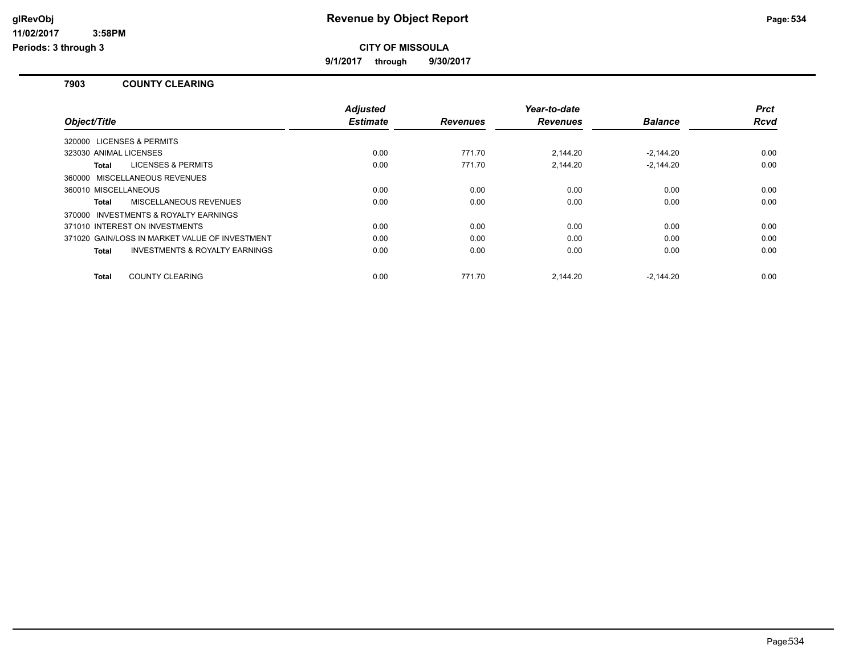**CITY OF MISSOULA**

**9/1/2017 through 9/30/2017**

#### **7903 COUNTY CLEARING**

|                                                           | <b>Adjusted</b> |                 | Year-to-date    |                | <b>Prct</b> |
|-----------------------------------------------------------|-----------------|-----------------|-----------------|----------------|-------------|
| Object/Title                                              | <b>Estimate</b> | <b>Revenues</b> | <b>Revenues</b> | <b>Balance</b> | <b>Rcvd</b> |
| 320000 LICENSES & PERMITS                                 |                 |                 |                 |                |             |
| 323030 ANIMAL LICENSES                                    | 0.00            | 771.70          | 2.144.20        | $-2.144.20$    | 0.00        |
| <b>LICENSES &amp; PERMITS</b><br>Total                    | 0.00            | 771.70          | 2.144.20        | $-2.144.20$    | 0.00        |
| 360000 MISCELLANEOUS REVENUES                             |                 |                 |                 |                |             |
| 360010 MISCELLANEOUS                                      | 0.00            | 0.00            | 0.00            | 0.00           | 0.00        |
| MISCELLANEOUS REVENUES<br>Total                           | 0.00            | 0.00            | 0.00            | 0.00           | 0.00        |
| <b>INVESTMENTS &amp; ROYALTY EARNINGS</b><br>370000       |                 |                 |                 |                |             |
| 371010 INTEREST ON INVESTMENTS                            | 0.00            | 0.00            | 0.00            | 0.00           | 0.00        |
| 371020 GAIN/LOSS IN MARKET VALUE OF INVESTMENT            | 0.00            | 0.00            | 0.00            | 0.00           | 0.00        |
| <b>INVESTMENTS &amp; ROYALTY EARNINGS</b><br><b>Total</b> | 0.00            | 0.00            | 0.00            | 0.00           | 0.00        |
| <b>COUNTY CLEARING</b><br><b>Total</b>                    | 0.00            | 771.70          | 2.144.20        | $-2.144.20$    | 0.00        |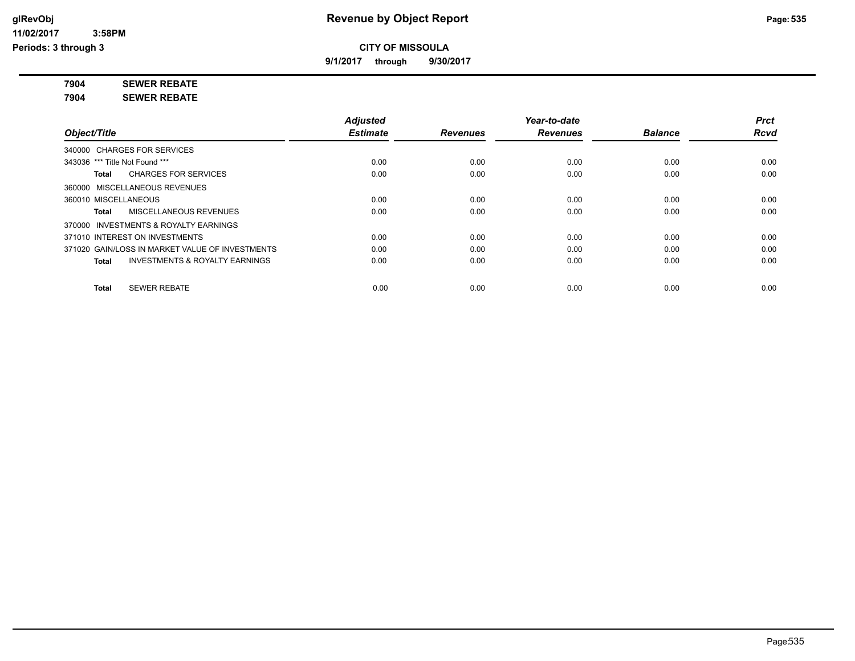**9/1/2017 through 9/30/2017**

**7904 SEWER REBATE**

**7904 SEWER REBATE**

|                                                           | <b>Adjusted</b> |                 | Year-to-date    |                | <b>Prct</b> |
|-----------------------------------------------------------|-----------------|-----------------|-----------------|----------------|-------------|
| Object/Title                                              | <b>Estimate</b> | <b>Revenues</b> | <b>Revenues</b> | <b>Balance</b> | <b>Rcvd</b> |
| 340000 CHARGES FOR SERVICES                               |                 |                 |                 |                |             |
| 343036 *** Title Not Found ***                            | 0.00            | 0.00            | 0.00            | 0.00           | 0.00        |
| <b>CHARGES FOR SERVICES</b><br>Total                      | 0.00            | 0.00            | 0.00            | 0.00           | 0.00        |
| 360000 MISCELLANEOUS REVENUES                             |                 |                 |                 |                |             |
| 360010 MISCELLANEOUS                                      | 0.00            | 0.00            | 0.00            | 0.00           | 0.00        |
| MISCELLANEOUS REVENUES<br>Total                           | 0.00            | 0.00            | 0.00            | 0.00           | 0.00        |
| INVESTMENTS & ROYALTY EARNINGS<br>370000                  |                 |                 |                 |                |             |
| 371010 INTEREST ON INVESTMENTS                            | 0.00            | 0.00            | 0.00            | 0.00           | 0.00        |
| 371020 GAIN/LOSS IN MARKET VALUE OF INVESTMENTS           | 0.00            | 0.00            | 0.00            | 0.00           | 0.00        |
| <b>INVESTMENTS &amp; ROYALTY EARNINGS</b><br><b>Total</b> | 0.00            | 0.00            | 0.00            | 0.00           | 0.00        |
| <b>SEWER REBATE</b><br><b>Total</b>                       | 0.00            | 0.00            | 0.00            | 0.00           | 0.00        |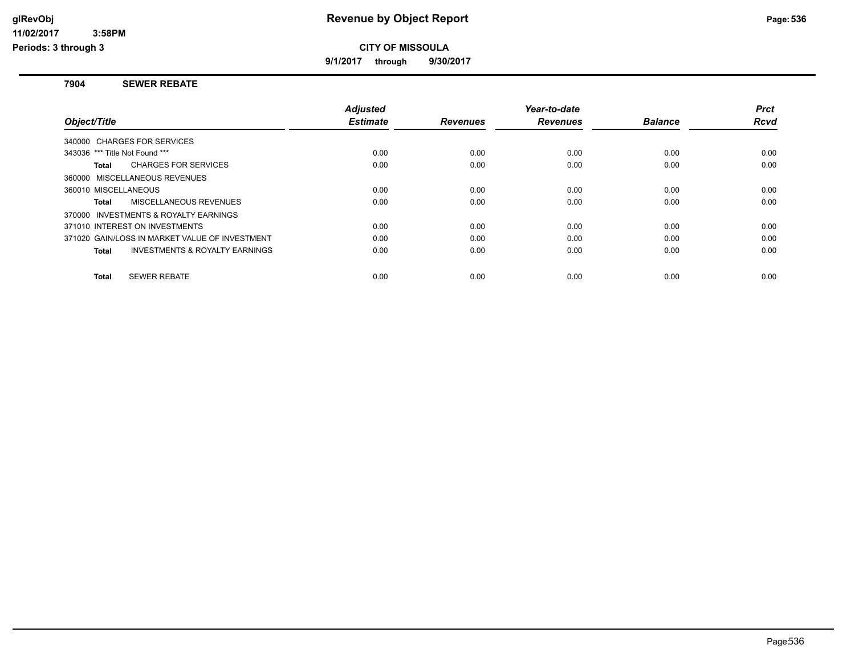**CITY OF MISSOULA**

**9/1/2017 through 9/30/2017**

#### **7904 SEWER REBATE**

| Object/Title                                       | <b>Adjusted</b><br><b>Estimate</b> | <b>Revenues</b> | Year-to-date<br><b>Revenues</b> | <b>Balance</b> | <b>Prct</b><br><b>Rcvd</b> |
|----------------------------------------------------|------------------------------------|-----------------|---------------------------------|----------------|----------------------------|
|                                                    |                                    |                 |                                 |                |                            |
| 340000 CHARGES FOR SERVICES                        |                                    |                 |                                 |                |                            |
| 343036 *** Title Not Found ***                     | 0.00                               | 0.00            | 0.00                            | 0.00           | 0.00                       |
| <b>CHARGES FOR SERVICES</b><br>Total               | 0.00                               | 0.00            | 0.00                            | 0.00           | 0.00                       |
| 360000 MISCELLANEOUS REVENUES                      |                                    |                 |                                 |                |                            |
| 360010 MISCELLANEOUS                               | 0.00                               | 0.00            | 0.00                            | 0.00           | 0.00                       |
| MISCELLANEOUS REVENUES<br>Total                    | 0.00                               | 0.00            | 0.00                            | 0.00           | 0.00                       |
| 370000 INVESTMENTS & ROYALTY EARNINGS              |                                    |                 |                                 |                |                            |
| 371010 INTEREST ON INVESTMENTS                     | 0.00                               | 0.00            | 0.00                            | 0.00           | 0.00                       |
| 371020 GAIN/LOSS IN MARKET VALUE OF INVESTMENT     | 0.00                               | 0.00            | 0.00                            | 0.00           | 0.00                       |
| <b>INVESTMENTS &amp; ROYALTY EARNINGS</b><br>Total | 0.00                               | 0.00            | 0.00                            | 0.00           | 0.00                       |
|                                                    |                                    |                 |                                 |                |                            |
| <b>SEWER REBATE</b><br>Total                       | 0.00                               | 0.00            | 0.00                            | 0.00           | 0.00                       |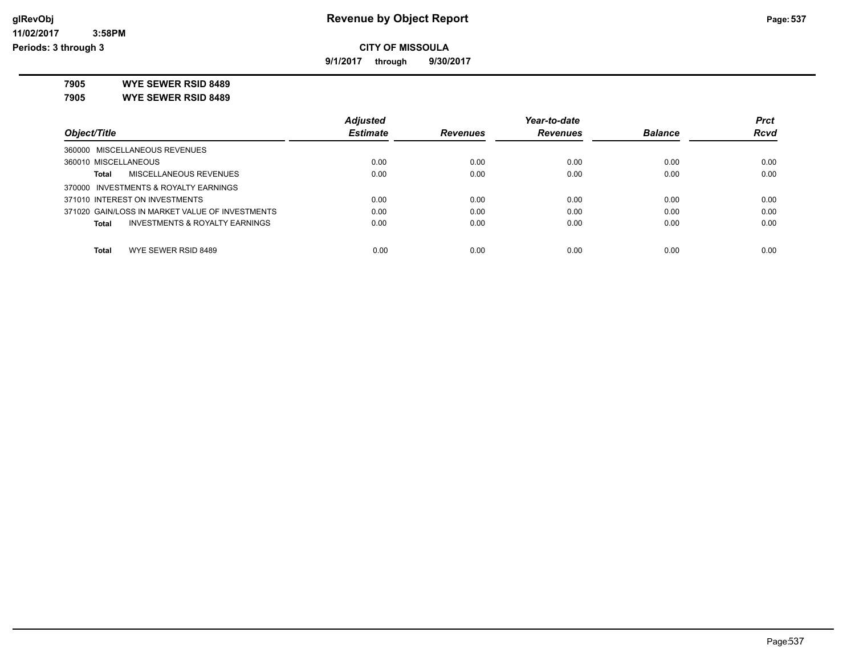**9/1/2017 through 9/30/2017**

**7905 WYE SEWER RSID 8489**

**7905 WYE SEWER RSID 8489**

|                                                 | <b>Adjusted</b> |                 | Year-to-date    |                | Prct        |
|-------------------------------------------------|-----------------|-----------------|-----------------|----------------|-------------|
| Object/Title                                    | <b>Estimate</b> | <b>Revenues</b> | <b>Revenues</b> | <b>Balance</b> | <b>Rcvd</b> |
| 360000 MISCELLANEOUS REVENUES                   |                 |                 |                 |                |             |
| 360010 MISCELLANEOUS                            | 0.00            | 0.00            | 0.00            | 0.00           | 0.00        |
| MISCELLANEOUS REVENUES<br>Total                 | 0.00            | 0.00            | 0.00            | 0.00           | 0.00        |
| 370000 INVESTMENTS & ROYALTY EARNINGS           |                 |                 |                 |                |             |
| 371010 INTEREST ON INVESTMENTS                  | 0.00            | 0.00            | 0.00            | 0.00           | 0.00        |
| 371020 GAIN/LOSS IN MARKET VALUE OF INVESTMENTS | 0.00            | 0.00            | 0.00            | 0.00           | 0.00        |
| INVESTMENTS & ROYALTY EARNINGS<br>Total         | 0.00            | 0.00            | 0.00            | 0.00           | 0.00        |
|                                                 |                 |                 |                 |                |             |
| WYE SEWER RSID 8489<br>Total                    | 0.00            | 0.00            | 0.00            | 0.00           | 0.00        |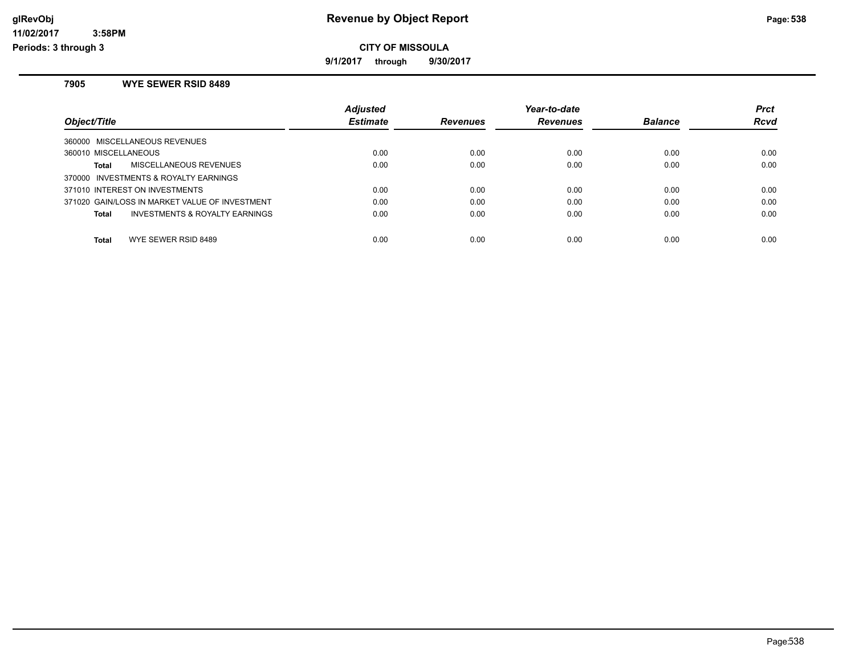**CITY OF MISSOULA**

**9/1/2017 through 9/30/2017**

#### **7905 WYE SEWER RSID 8489**

|                                                    | <b>Adjusted</b> |                 | Year-to-date    |                | <b>Prct</b> |
|----------------------------------------------------|-----------------|-----------------|-----------------|----------------|-------------|
| Object/Title                                       | <b>Estimate</b> | <b>Revenues</b> | <b>Revenues</b> | <b>Balance</b> | <b>Rcvd</b> |
| 360000 MISCELLANEOUS REVENUES                      |                 |                 |                 |                |             |
| 360010 MISCELLANEOUS                               | 0.00            | 0.00            | 0.00            | 0.00           | 0.00        |
| <b>MISCELLANEOUS REVENUES</b><br>Total             | 0.00            | 0.00            | 0.00            | 0.00           | 0.00        |
| 370000 INVESTMENTS & ROYALTY EARNINGS              |                 |                 |                 |                |             |
| 371010 INTEREST ON INVESTMENTS                     | 0.00            | 0.00            | 0.00            | 0.00           | 0.00        |
| 371020 GAIN/LOSS IN MARKET VALUE OF INVESTMENT     | 0.00            | 0.00            | 0.00            | 0.00           | 0.00        |
| <b>INVESTMENTS &amp; ROYALTY EARNINGS</b><br>Total | 0.00            | 0.00            | 0.00            | 0.00           | 0.00        |
|                                                    |                 |                 |                 |                |             |
| Total<br>WYE SEWER RSID 8489                       | 0.00            | 0.00            | 0.00            | 0.00           | 0.00        |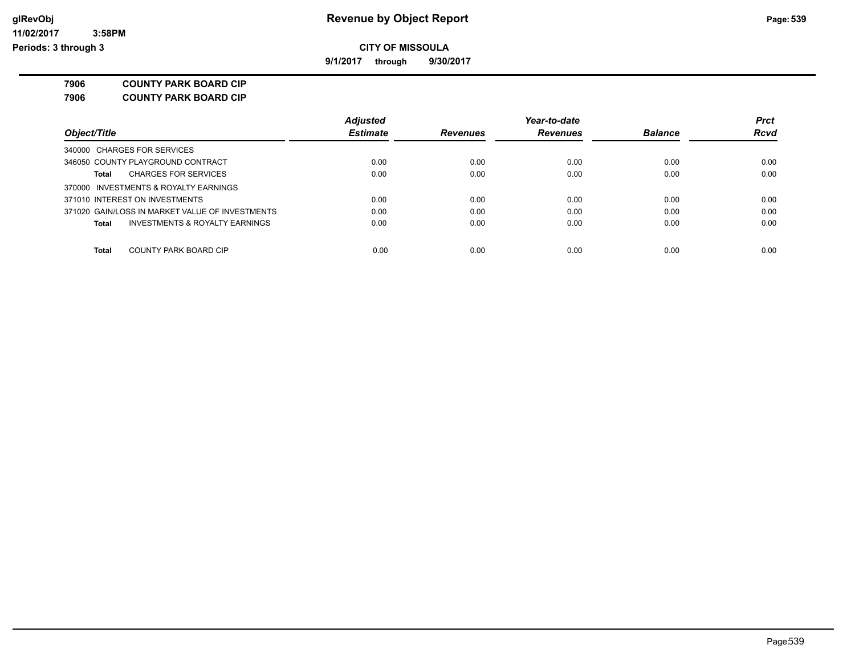**9/1/2017 through 9/30/2017**

**7906 COUNTY PARK BOARD CIP**

**7906 COUNTY PARK BOARD CIP**

|                                                 | <b>Adjusted</b> |                 | Year-to-date    |                | <b>Prct</b> |
|-------------------------------------------------|-----------------|-----------------|-----------------|----------------|-------------|
| Object/Title                                    | <b>Estimate</b> | <b>Revenues</b> | <b>Revenues</b> | <b>Balance</b> | <b>Rcvd</b> |
| 340000 CHARGES FOR SERVICES                     |                 |                 |                 |                |             |
| 346050 COUNTY PLAYGROUND CONTRACT               | 0.00            | 0.00            | 0.00            | 0.00           | 0.00        |
| <b>CHARGES FOR SERVICES</b><br>Total            | 0.00            | 0.00            | 0.00            | 0.00           | 0.00        |
| 370000 INVESTMENTS & ROYALTY EARNINGS           |                 |                 |                 |                |             |
| 371010 INTEREST ON INVESTMENTS                  | 0.00            | 0.00            | 0.00            | 0.00           | 0.00        |
| 371020 GAIN/LOSS IN MARKET VALUE OF INVESTMENTS | 0.00            | 0.00            | 0.00            | 0.00           | 0.00        |
| INVESTMENTS & ROYALTY EARNINGS<br>Total         | 0.00            | 0.00            | 0.00            | 0.00           | 0.00        |
|                                                 |                 |                 |                 |                |             |
| COUNTY PARK BOARD CIP<br>Total                  | 0.00            | 0.00            | 0.00            | 0.00           | 0.00        |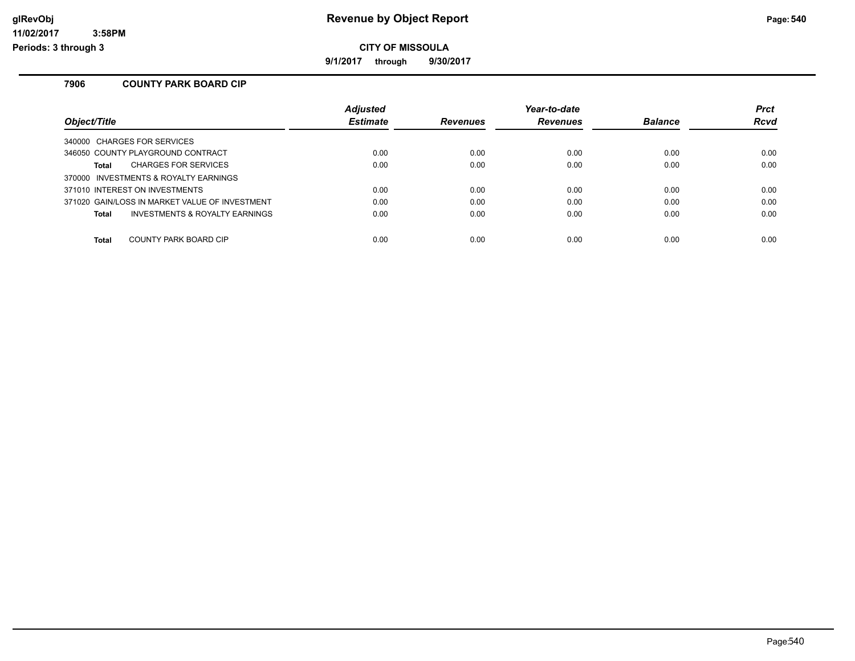**CITY OF MISSOULA**

**9/1/2017 through 9/30/2017**

#### **7906 COUNTY PARK BOARD CIP**

|                                                    | <b>Adjusted</b> |                 | Year-to-date    |                | <b>Prct</b> |
|----------------------------------------------------|-----------------|-----------------|-----------------|----------------|-------------|
| Object/Title                                       | <b>Estimate</b> | <b>Revenues</b> | <b>Revenues</b> | <b>Balance</b> | <b>Rcvd</b> |
| 340000 CHARGES FOR SERVICES                        |                 |                 |                 |                |             |
| 346050 COUNTY PLAYGROUND CONTRACT                  | 0.00            | 0.00            | 0.00            | 0.00           | 0.00        |
| <b>CHARGES FOR SERVICES</b><br>Total               | 0.00            | 0.00            | 0.00            | 0.00           | 0.00        |
| 370000 INVESTMENTS & ROYALTY EARNINGS              |                 |                 |                 |                |             |
| 371010 INTEREST ON INVESTMENTS                     | 0.00            | 0.00            | 0.00            | 0.00           | 0.00        |
| 371020 GAIN/LOSS IN MARKET VALUE OF INVESTMENT     | 0.00            | 0.00            | 0.00            | 0.00           | 0.00        |
| <b>INVESTMENTS &amp; ROYALTY EARNINGS</b><br>Total | 0.00            | 0.00            | 0.00            | 0.00           | 0.00        |
|                                                    |                 |                 |                 |                |             |
| Total<br>COUNTY PARK BOARD CIP                     | 0.00            | 0.00            | 0.00            | 0.00           | 0.00        |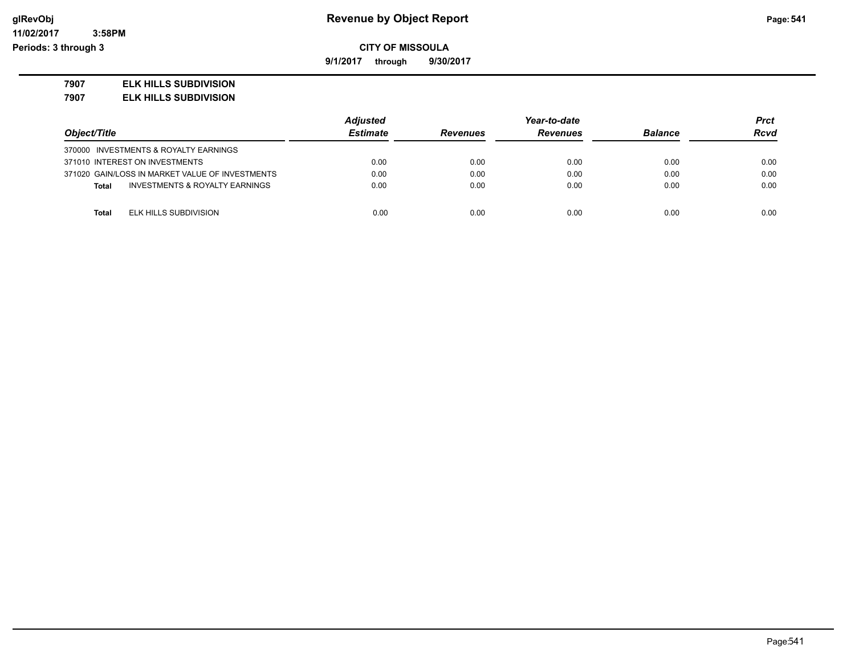**9/1/2017 through 9/30/2017**

#### **7907 ELK HILLS SUBDIVISION**

**7907 ELK HILLS SUBDIVISION**

|                                                           | <b>Adjusted</b> |                 | Year-to-date    |                | Prct |
|-----------------------------------------------------------|-----------------|-----------------|-----------------|----------------|------|
| Object/Title                                              | <b>Estimate</b> | <b>Revenues</b> | <b>Revenues</b> | <b>Balance</b> | Rcvd |
| 370000 INVESTMENTS & ROYALTY EARNINGS                     |                 |                 |                 |                |      |
| 371010 INTEREST ON INVESTMENTS                            | 0.00            | 0.00            | 0.00            | 0.00           | 0.00 |
| 371020 GAIN/LOSS IN MARKET VALUE OF INVESTMENTS           | 0.00            | 0.00            | 0.00            | 0.00           | 0.00 |
| <b>INVESTMENTS &amp; ROYALTY EARNINGS</b><br><b>Total</b> | 0.00            | 0.00            | 0.00            | 0.00           | 0.00 |
|                                                           |                 |                 |                 |                |      |
| <b>Total</b><br>ELK HILLS SUBDIVISION                     | 0.00            | 0.00            | 0.00            | 0.00           | 0.00 |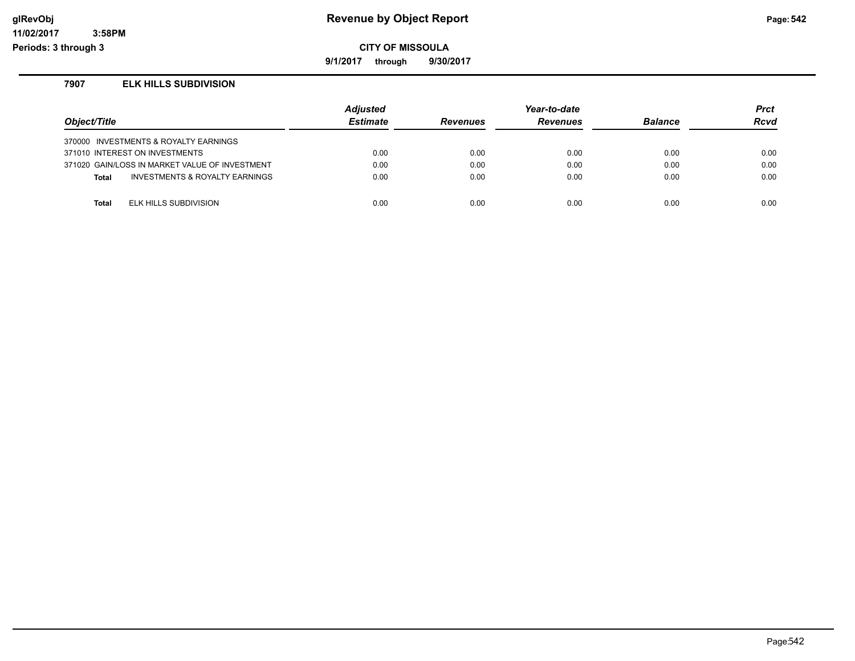**CITY OF MISSOULA**

**9/1/2017 through 9/30/2017**

#### **7907 ELK HILLS SUBDIVISION**

 **3:58PM**

| Object/Title |                                                | <b>Adjusted</b><br><b>Estimate</b> | <b>Revenues</b> | Year-to-date<br><b>Revenues</b> | <b>Balance</b> | <b>Prct</b><br><b>Rcvd</b> |
|--------------|------------------------------------------------|------------------------------------|-----------------|---------------------------------|----------------|----------------------------|
|              | 370000 INVESTMENTS & ROYALTY EARNINGS          |                                    |                 |                                 |                |                            |
|              | 371010 INTEREST ON INVESTMENTS                 | 0.00                               | 0.00            | 0.00                            | 0.00           | 0.00                       |
|              | 371020 GAIN/LOSS IN MARKET VALUE OF INVESTMENT | 0.00                               | 0.00            | 0.00                            | 0.00           | 0.00                       |
| <b>Total</b> | INVESTMENTS & ROYALTY EARNINGS                 | 0.00                               | 0.00            | 0.00                            | 0.00           | 0.00                       |
|              |                                                |                                    |                 |                                 |                |                            |
| Total        | ELK HILLS SUBDIVISION                          | 0.00                               | 0.00            | 0.00                            | 0.00           | 0.00                       |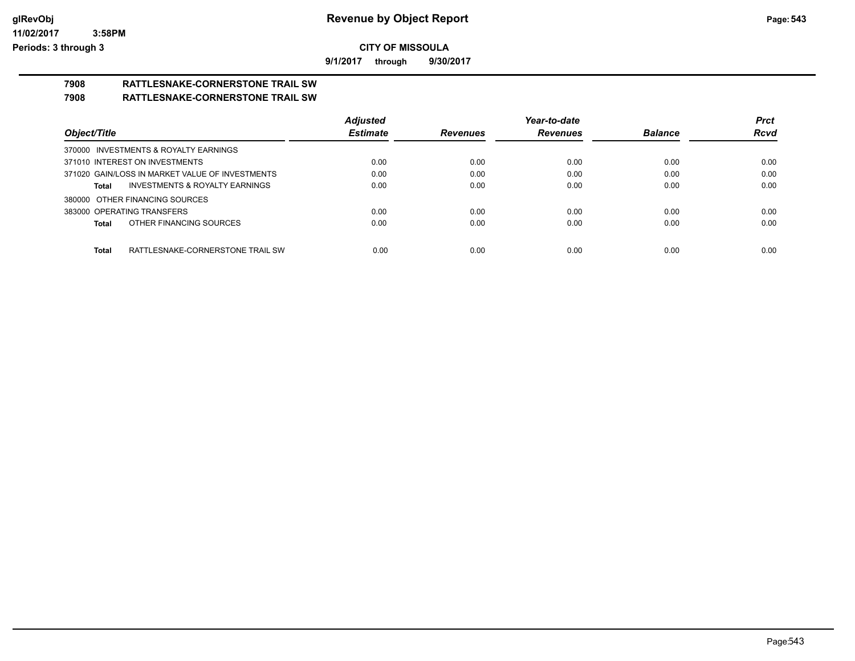**3:58PM**

**CITY OF MISSOULA**

**9/1/2017 through 9/30/2017**

# **7908 RATTLESNAKE-CORNERSTONE TRAIL SW**

# **7908 RATTLESNAKE-CORNERSTONE TRAIL SW**

|                                                    | <b>Adjusted</b> |                 | Year-to-date    |                | <b>Prct</b> |
|----------------------------------------------------|-----------------|-----------------|-----------------|----------------|-------------|
| Object/Title                                       | <b>Estimate</b> | <b>Revenues</b> | <b>Revenues</b> | <b>Balance</b> | <b>Rcvd</b> |
| 370000 INVESTMENTS & ROYALTY EARNINGS              |                 |                 |                 |                |             |
| 371010 INTEREST ON INVESTMENTS                     | 0.00            | 0.00            | 0.00            | 0.00           | 0.00        |
| 371020 GAIN/LOSS IN MARKET VALUE OF INVESTMENTS    | 0.00            | 0.00            | 0.00            | 0.00           | 0.00        |
| <b>INVESTMENTS &amp; ROYALTY EARNINGS</b><br>Total | 0.00            | 0.00            | 0.00            | 0.00           | 0.00        |
| 380000 OTHER FINANCING SOURCES                     |                 |                 |                 |                |             |
| 383000 OPERATING TRANSFERS                         | 0.00            | 0.00            | 0.00            | 0.00           | 0.00        |
| OTHER FINANCING SOURCES<br>Total                   | 0.00            | 0.00            | 0.00            | 0.00           | 0.00        |
|                                                    |                 |                 |                 |                |             |
| Total<br>RATTLESNAKE-CORNERSTONE TRAIL SW          | 0.00            | 0.00            | 0.00            | 0.00           | 0.00        |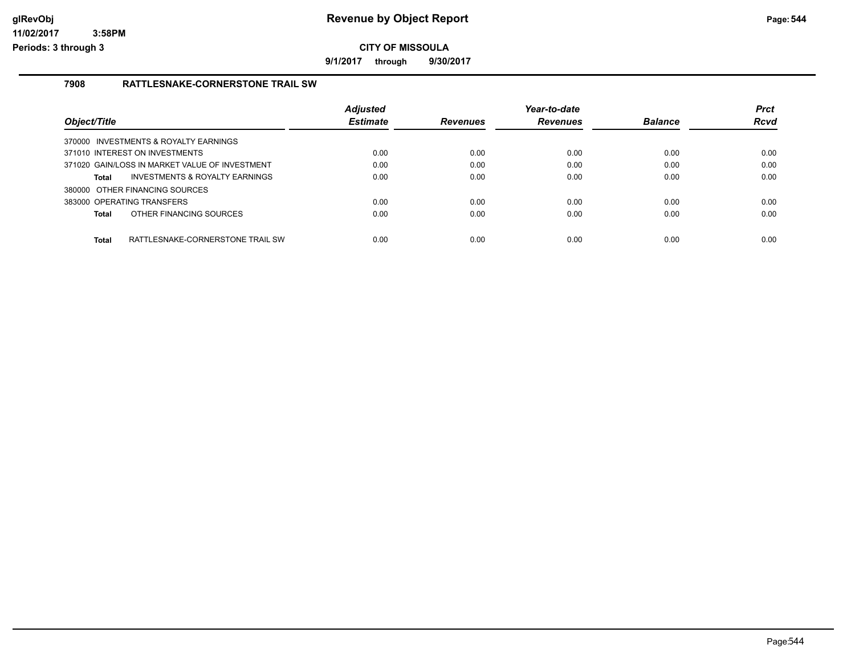**3:58PM**

**CITY OF MISSOULA**

**9/1/2017 through 9/30/2017**

#### **7908 RATTLESNAKE-CORNERSTONE TRAIL SW**

|                                                | <b>Adjusted</b> |                 | Year-to-date    |                | <b>Prct</b> |
|------------------------------------------------|-----------------|-----------------|-----------------|----------------|-------------|
| Object/Title                                   | <b>Estimate</b> | <b>Revenues</b> | <b>Revenues</b> | <b>Balance</b> | <b>Rcvd</b> |
| 370000 INVESTMENTS & ROYALTY EARNINGS          |                 |                 |                 |                |             |
| 371010 INTEREST ON INVESTMENTS                 | 0.00            | 0.00            | 0.00            | 0.00           | 0.00        |
| 371020 GAIN/LOSS IN MARKET VALUE OF INVESTMENT | 0.00            | 0.00            | 0.00            | 0.00           | 0.00        |
| INVESTMENTS & ROYALTY EARNINGS<br>Total        | 0.00            | 0.00            | 0.00            | 0.00           | 0.00        |
| 380000 OTHER FINANCING SOURCES                 |                 |                 |                 |                |             |
| 383000 OPERATING TRANSFERS                     | 0.00            | 0.00            | 0.00            | 0.00           | 0.00        |
| OTHER FINANCING SOURCES<br>Total               | 0.00            | 0.00            | 0.00            | 0.00           | 0.00        |
|                                                |                 |                 |                 |                |             |
| Total<br>RATTLESNAKE-CORNERSTONE TRAIL SW      | 0.00            | 0.00            | 0.00            | 0.00           | 0.00        |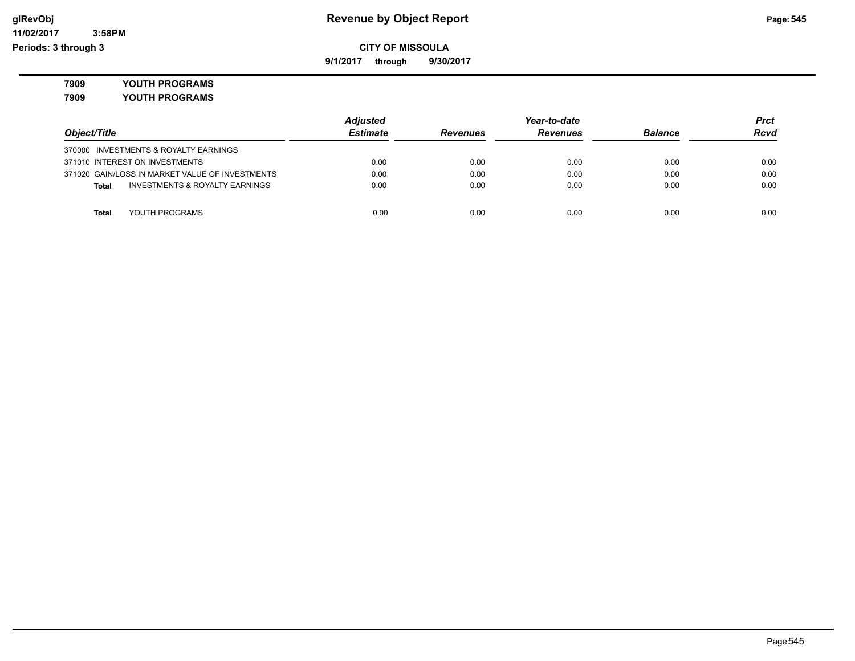**9/1/2017 through 9/30/2017**

# **7909 YOUTH PROGRAMS**

**7909 YOUTH PROGRAMS**

|                                                           | <b>Adjusted</b> |                 | Year-to-date    |                |             |
|-----------------------------------------------------------|-----------------|-----------------|-----------------|----------------|-------------|
| Object/Title                                              | <b>Estimate</b> | <b>Revenues</b> | <b>Revenues</b> | <b>Balance</b> | <b>Rcvd</b> |
| 370000 INVESTMENTS & ROYALTY EARNINGS                     |                 |                 |                 |                |             |
| 371010 INTEREST ON INVESTMENTS                            | 0.00            | 0.00            | 0.00            | 0.00           | 0.00        |
| 371020 GAIN/LOSS IN MARKET VALUE OF INVESTMENTS           | 0.00            | 0.00            | 0.00            | 0.00           | 0.00        |
| <b>INVESTMENTS &amp; ROYALTY EARNINGS</b><br><b>Total</b> | 0.00            | 0.00            | 0.00            | 0.00           | 0.00        |
|                                                           |                 |                 |                 |                |             |
| YOUTH PROGRAMS<br>Total                                   | 0.00            | 0.00            | 0.00            | 0.00           | 0.00        |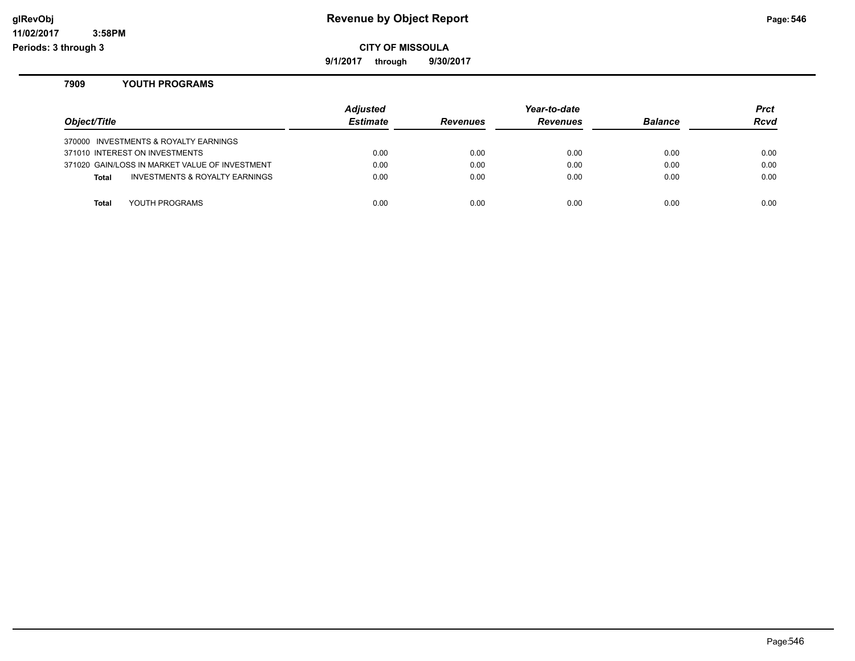**CITY OF MISSOULA**

**9/1/2017 through 9/30/2017**

#### **7909 YOUTH PROGRAMS**

 **3:58PM**

| Object/Title                                   | Adjusted<br><b>Estimate</b> | <b>Revenues</b> | Year-to-date<br><b>Revenues</b> | <b>Balance</b> | <b>Prct</b><br><b>Rcvd</b> |
|------------------------------------------------|-----------------------------|-----------------|---------------------------------|----------------|----------------------------|
| 370000 INVESTMENTS & ROYALTY EARNINGS          |                             |                 |                                 |                |                            |
| 371010 INTEREST ON INVESTMENTS                 | 0.00                        | 0.00            | 0.00                            | 0.00           | 0.00                       |
| 371020 GAIN/LOSS IN MARKET VALUE OF INVESTMENT | 0.00                        | 0.00            | 0.00                            | 0.00           | 0.00                       |
| INVESTMENTS & ROYALTY EARNINGS<br><b>Total</b> | 0.00                        | 0.00            | 0.00                            | 0.00           | 0.00                       |
|                                                |                             |                 |                                 |                |                            |
| YOUTH PROGRAMS<br>Total                        | 0.00                        | 0.00            | 0.00                            | 0.00           | 0.00                       |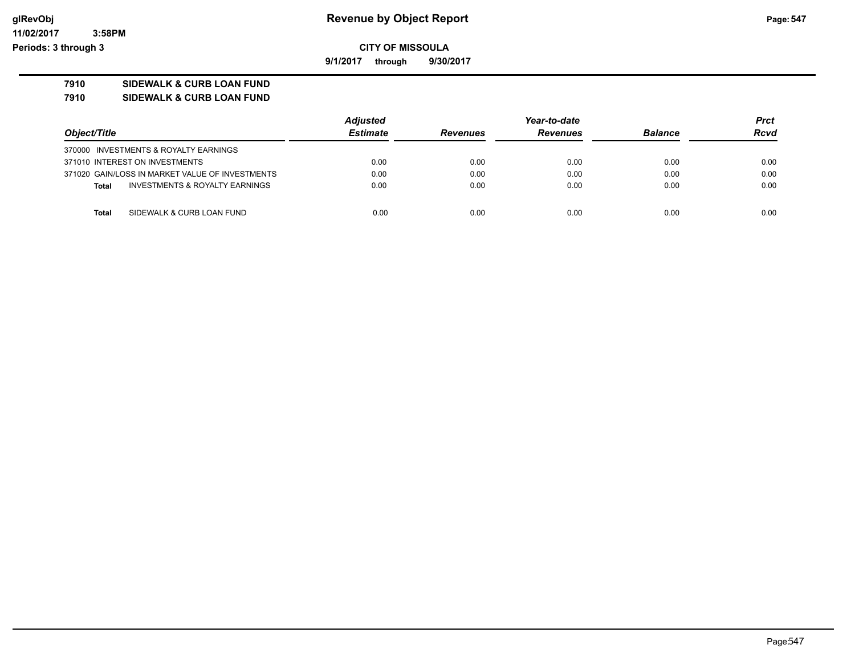**11/02/2017 3:58PM Periods: 3 through 3**

**CITY OF MISSOULA**

**9/1/2017 through 9/30/2017**

# **7910 SIDEWALK & CURB LOAN FUND**

**7910 SIDEWALK & CURB LOAN FUND**

|                                                    | Adjusted        | Year-to-date    |                 |                | Prct |
|----------------------------------------------------|-----------------|-----------------|-----------------|----------------|------|
| Object/Title                                       | <b>Estimate</b> | <b>Revenues</b> | <b>Revenues</b> | <b>Balance</b> | Rcvd |
| 370000 INVESTMENTS & ROYALTY EARNINGS              |                 |                 |                 |                |      |
| 371010 INTEREST ON INVESTMENTS                     | 0.00            | 0.00            | 0.00            | 0.00           | 0.00 |
| 371020 GAIN/LOSS IN MARKET VALUE OF INVESTMENTS    | 0.00            | 0.00            | 0.00            | 0.00           | 0.00 |
| <b>INVESTMENTS &amp; ROYALTY EARNINGS</b><br>Total | 0.00            | 0.00            | 0.00            | 0.00           | 0.00 |
| SIDEWALK & CURB LOAN FUND<br>Total                 | 0.00            | 0.00            | 0.00            | 0.00           | 0.00 |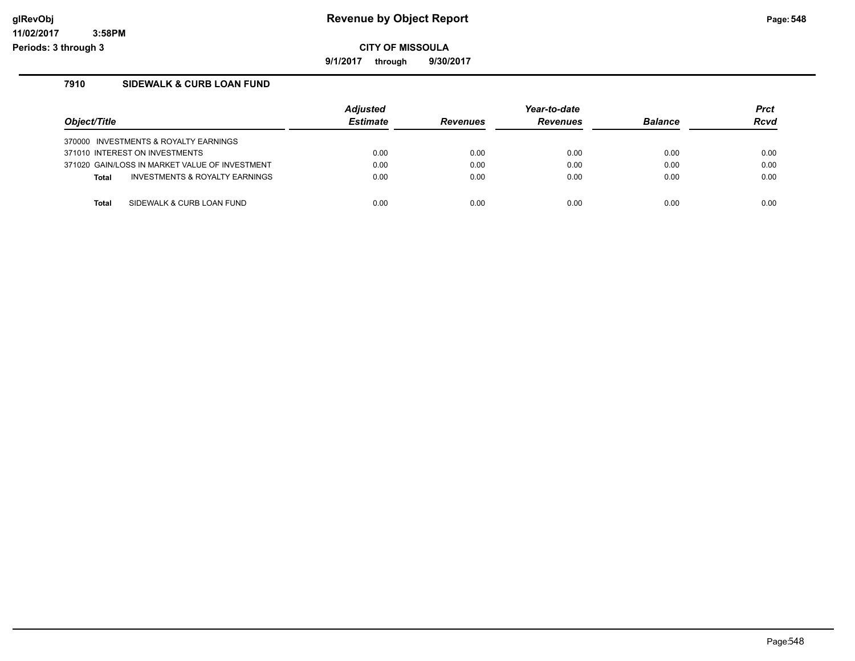**CITY OF MISSOULA**

**9/1/2017 through 9/30/2017**

#### **7910 SIDEWALK & CURB LOAN FUND**

 **3:58PM**

| Object/Title                                              | <b>Adjusted</b><br><b>Estimate</b> | <b>Revenues</b> | Year-to-date<br><b>Revenues</b> | <b>Balance</b> | <b>Prct</b><br><b>Rcvd</b> |
|-----------------------------------------------------------|------------------------------------|-----------------|---------------------------------|----------------|----------------------------|
| 370000 INVESTMENTS & ROYALTY EARNINGS                     |                                    |                 |                                 |                |                            |
| 371010 INTEREST ON INVESTMENTS                            | 0.00                               | 0.00            | 0.00                            | 0.00           | 0.00                       |
| 371020 GAIN/LOSS IN MARKET VALUE OF INVESTMENT            | 0.00                               | 0.00            | 0.00                            | 0.00           | 0.00                       |
| <b>INVESTMENTS &amp; ROYALTY EARNINGS</b><br><b>Total</b> | 0.00                               | 0.00            | 0.00                            | 0.00           | 0.00                       |
|                                                           |                                    |                 |                                 |                |                            |
| SIDEWALK & CURB LOAN FUND<br>Total                        | 0.00                               | 0.00            | 0.00                            | 0.00           | 0.00                       |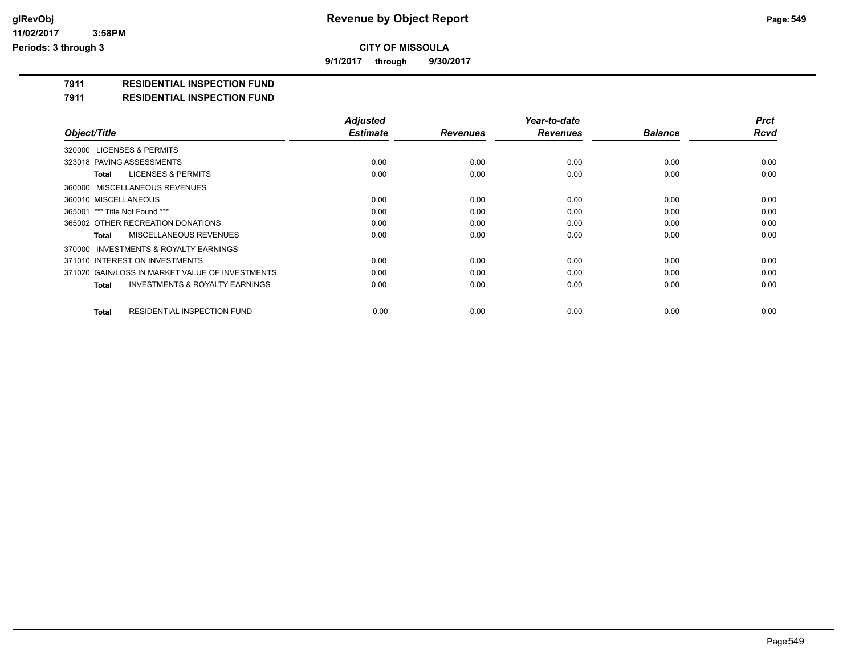**3:58PM**

**CITY OF MISSOULA**

**9/1/2017 through 9/30/2017**

**7911 RESIDENTIAL INSPECTION FUND**

**7911 RESIDENTIAL INSPECTION FUND**

|                                                    | <b>Adjusted</b> |                 | Year-to-date    |                | <b>Prct</b> |
|----------------------------------------------------|-----------------|-----------------|-----------------|----------------|-------------|
| Object/Title                                       | <b>Estimate</b> | <b>Revenues</b> | <b>Revenues</b> | <b>Balance</b> | <b>Rcvd</b> |
| 320000 LICENSES & PERMITS                          |                 |                 |                 |                |             |
| 323018 PAVING ASSESSMENTS                          | 0.00            | 0.00            | 0.00            | 0.00           | 0.00        |
| <b>LICENSES &amp; PERMITS</b><br>Total             | 0.00            | 0.00            | 0.00            | 0.00           | 0.00        |
| 360000 MISCELLANEOUS REVENUES                      |                 |                 |                 |                |             |
| 360010 MISCELLANEOUS                               | 0.00            | 0.00            | 0.00            | 0.00           | 0.00        |
| 365001 *** Title Not Found ***                     | 0.00            | 0.00            | 0.00            | 0.00           | 0.00        |
| 365002 OTHER RECREATION DONATIONS                  | 0.00            | 0.00            | 0.00            | 0.00           | 0.00        |
| MISCELLANEOUS REVENUES<br>Total                    | 0.00            | 0.00            | 0.00            | 0.00           | 0.00        |
| 370000 INVESTMENTS & ROYALTY EARNINGS              |                 |                 |                 |                |             |
| 371010 INTEREST ON INVESTMENTS                     | 0.00            | 0.00            | 0.00            | 0.00           | 0.00        |
| 371020 GAIN/LOSS IN MARKET VALUE OF INVESTMENTS    | 0.00            | 0.00            | 0.00            | 0.00           | 0.00        |
| <b>INVESTMENTS &amp; ROYALTY EARNINGS</b><br>Total | 0.00            | 0.00            | 0.00            | 0.00           | 0.00        |
| <b>RESIDENTIAL INSPECTION FUND</b><br>Total        | 0.00            | 0.00            | 0.00            | 0.00           | 0.00        |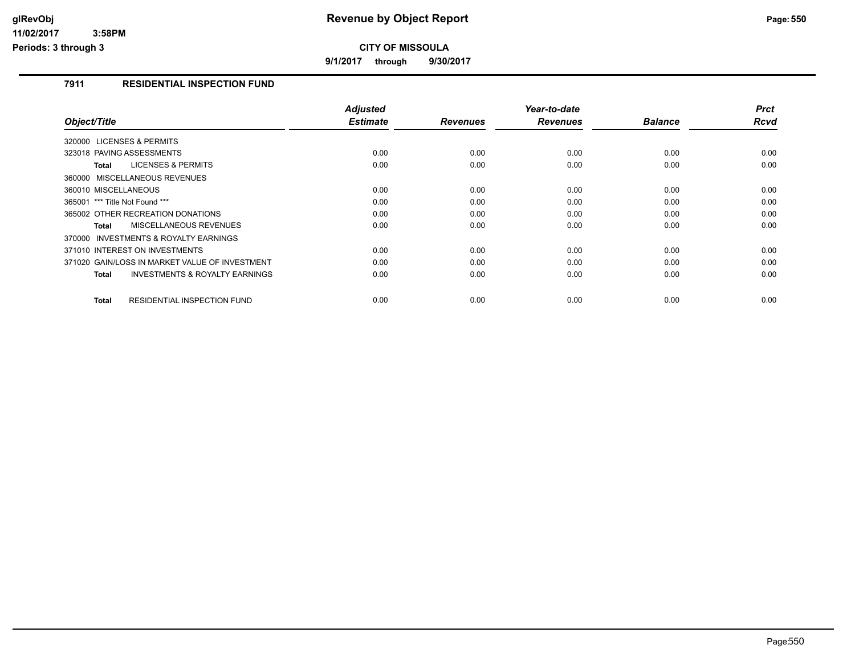**CITY OF MISSOULA**

**9/1/2017 through 9/30/2017**

#### **7911 RESIDENTIAL INSPECTION FUND**

 **3:58PM**

| Object/Title                                              | <b>Adjusted</b><br><b>Estimate</b> | <b>Revenues</b> | Year-to-date<br><b>Revenues</b> | <b>Balance</b> | <b>Prct</b><br><b>Rcvd</b> |
|-----------------------------------------------------------|------------------------------------|-----------------|---------------------------------|----------------|----------------------------|
|                                                           |                                    |                 |                                 |                |                            |
| 320000 LICENSES & PERMITS                                 |                                    |                 |                                 |                |                            |
| 323018 PAVING ASSESSMENTS                                 | 0.00                               | 0.00            | 0.00                            | 0.00           | 0.00                       |
| <b>LICENSES &amp; PERMITS</b><br><b>Total</b>             | 0.00                               | 0.00            | 0.00                            | 0.00           | 0.00                       |
| 360000 MISCELLANEOUS REVENUES                             |                                    |                 |                                 |                |                            |
| 360010 MISCELLANEOUS                                      | 0.00                               | 0.00            | 0.00                            | 0.00           | 0.00                       |
| 365001 *** Title Not Found ***                            | 0.00                               | 0.00            | 0.00                            | 0.00           | 0.00                       |
| 365002 OTHER RECREATION DONATIONS                         | 0.00                               | 0.00            | 0.00                            | 0.00           | 0.00                       |
| <b>MISCELLANEOUS REVENUES</b><br><b>Total</b>             | 0.00                               | 0.00            | 0.00                            | 0.00           | 0.00                       |
| INVESTMENTS & ROYALTY EARNINGS<br>370000                  |                                    |                 |                                 |                |                            |
| 371010 INTEREST ON INVESTMENTS                            | 0.00                               | 0.00            | 0.00                            | 0.00           | 0.00                       |
| 371020 GAIN/LOSS IN MARKET VALUE OF INVESTMENT            | 0.00                               | 0.00            | 0.00                            | 0.00           | 0.00                       |
| <b>INVESTMENTS &amp; ROYALTY EARNINGS</b><br><b>Total</b> | 0.00                               | 0.00            | 0.00                            | 0.00           | 0.00                       |
|                                                           |                                    |                 |                                 |                |                            |
| RESIDENTIAL INSPECTION FUND<br><b>Total</b>               | 0.00                               | 0.00            | 0.00                            | 0.00           | 0.00                       |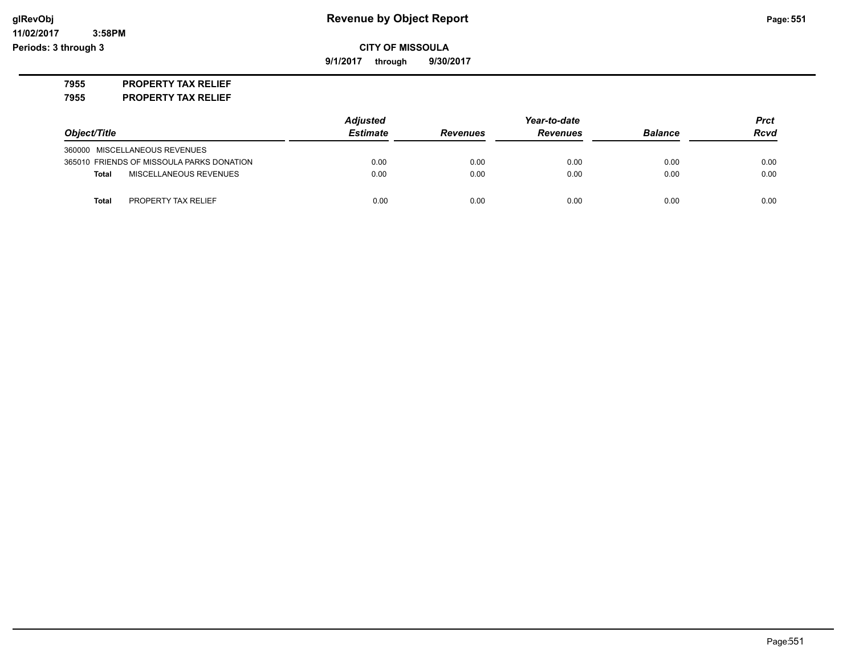**11/02/2017 3:58PM Periods: 3 through 3**

**CITY OF MISSOULA**

**9/1/2017 through 9/30/2017**

**7955 PROPERTY TAX RELIEF**

**7955 PROPERTY TAX RELIEF**

|                                           | <b>Adjusted</b> |                 | Year-to-date    |                |             |  |
|-------------------------------------------|-----------------|-----------------|-----------------|----------------|-------------|--|
| Object/Title                              | <b>Estimate</b> | <b>Revenues</b> | <b>Revenues</b> | <b>Balance</b> | <b>Rcvd</b> |  |
| 360000 MISCELLANEOUS REVENUES             |                 |                 |                 |                |             |  |
| 365010 FRIENDS OF MISSOULA PARKS DONATION | 0.00            | 0.00            | 0.00            | 0.00           | 0.00        |  |
| MISCELLANEOUS REVENUES<br><b>Total</b>    | 0.00            | 0.00            | 0.00            | 0.00           | 0.00        |  |
| PROPERTY TAX RELIEF<br><b>Total</b>       | 0.00            | 0.00            | 0.00            | 0.00           | 0.00        |  |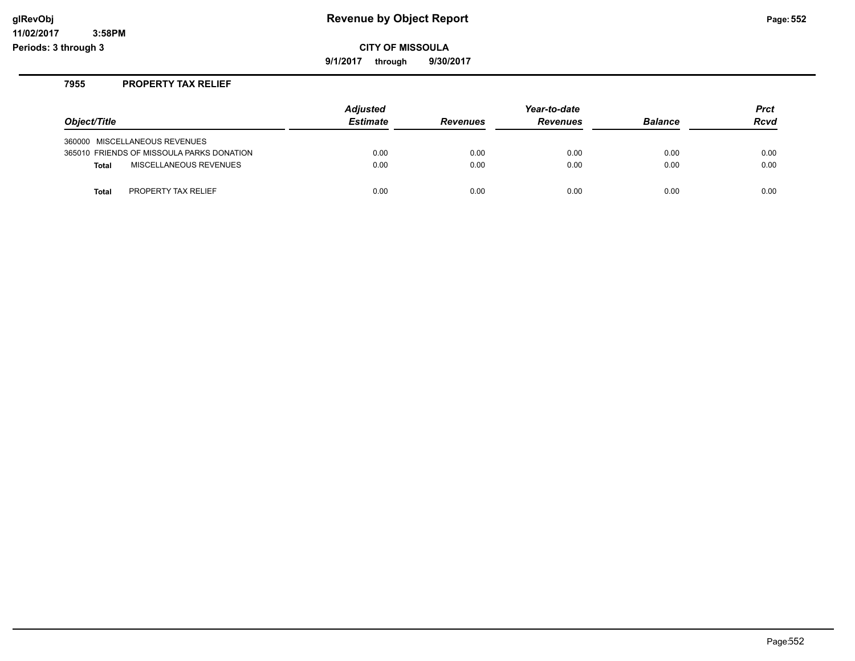**CITY OF MISSOULA**

**9/1/2017 through 9/30/2017**

#### **7955 PROPERTY TAX RELIEF**

 **3:58PM**

| Object/Title                              | <b>Adjusted</b><br><b>Estimate</b> | <b>Revenues</b> | Year-to-date<br><b>Revenues</b> | <b>Balance</b> | <b>Prct</b><br><b>Rcvd</b> |
|-------------------------------------------|------------------------------------|-----------------|---------------------------------|----------------|----------------------------|
| 360000 MISCELLANEOUS REVENUES             |                                    |                 |                                 |                |                            |
| 365010 FRIENDS OF MISSOULA PARKS DONATION | 0.00                               | 0.00            | 0.00                            | 0.00           | 0.00                       |
| MISCELLANEOUS REVENUES<br><b>Total</b>    | 0.00                               | 0.00            | 0.00                            | 0.00           | 0.00                       |
| PROPERTY TAX RELIEF<br>Total              | 0.00                               | 0.00            | 0.00                            | 0.00           | 0.00                       |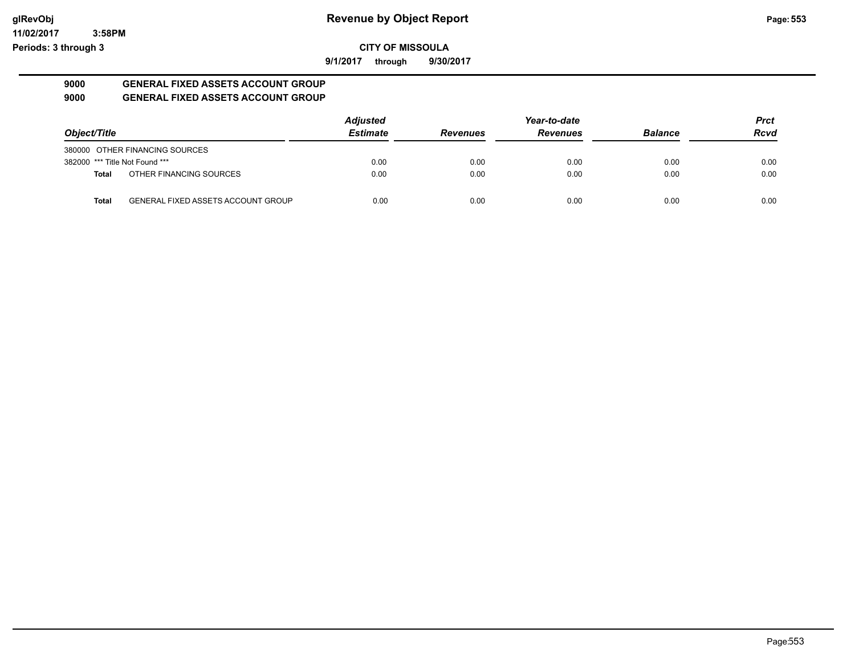**11/02/2017 3:58PM Periods: 3 through 3**

**CITY OF MISSOULA**

**9/1/2017 through 9/30/2017**

#### **9000 GENERAL FIXED ASSETS ACCOUNT GROUP 9000 GENERAL FIXED ASSETS ACCOUNT GROUP**

|                                |                                           | <b>Adjusted</b> |                 | Year-to-date    |                | Prct |
|--------------------------------|-------------------------------------------|-----------------|-----------------|-----------------|----------------|------|
| Object/Title                   |                                           | <b>Estimate</b> | <b>Revenues</b> | <b>Revenues</b> | <b>Balance</b> | Rcvd |
|                                | 380000 OTHER FINANCING SOURCES            |                 |                 |                 |                |      |
| 382000 *** Title Not Found *** |                                           | 0.00            | 0.00            | 0.00            | 0.00           | 0.00 |
| Total                          | OTHER FINANCING SOURCES                   | 0.00            | 0.00            | 0.00            | 0.00           | 0.00 |
| <b>Total</b>                   | <b>GENERAL FIXED ASSETS ACCOUNT GROUP</b> | 0.00            | 0.00            | 0.00            | 0.00           | 0.00 |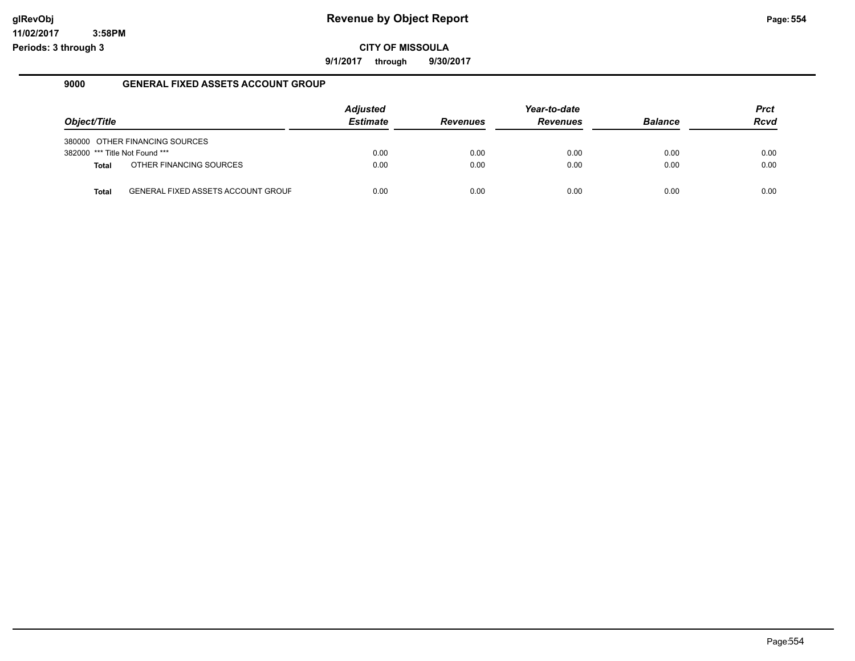**3:58PM**

**CITY OF MISSOULA**

**9/1/2017 through 9/30/2017**

#### **9000 GENERAL FIXED ASSETS ACCOUNT GROUP**

| Object/Title                   |                                           | <b>Adjusted</b><br><b>Estimate</b> | <b>Revenues</b> | Year-to-date<br><b>Revenues</b> | <b>Balance</b> | <b>Prct</b><br><b>Rcvd</b> |
|--------------------------------|-------------------------------------------|------------------------------------|-----------------|---------------------------------|----------------|----------------------------|
|                                | 380000 OTHER FINANCING SOURCES            |                                    |                 |                                 |                |                            |
| 382000 *** Title Not Found *** |                                           | 0.00                               | 0.00            | 0.00                            | 0.00           | 0.00                       |
| <b>Total</b>                   | OTHER FINANCING SOURCES                   | 0.00                               | 0.00            | 0.00                            | 0.00           | 0.00                       |
| <b>Total</b>                   | <b>GENERAL FIXED ASSETS ACCOUNT GROUF</b> | 0.00                               | 0.00            | 0.00                            | 0.00           | 0.00                       |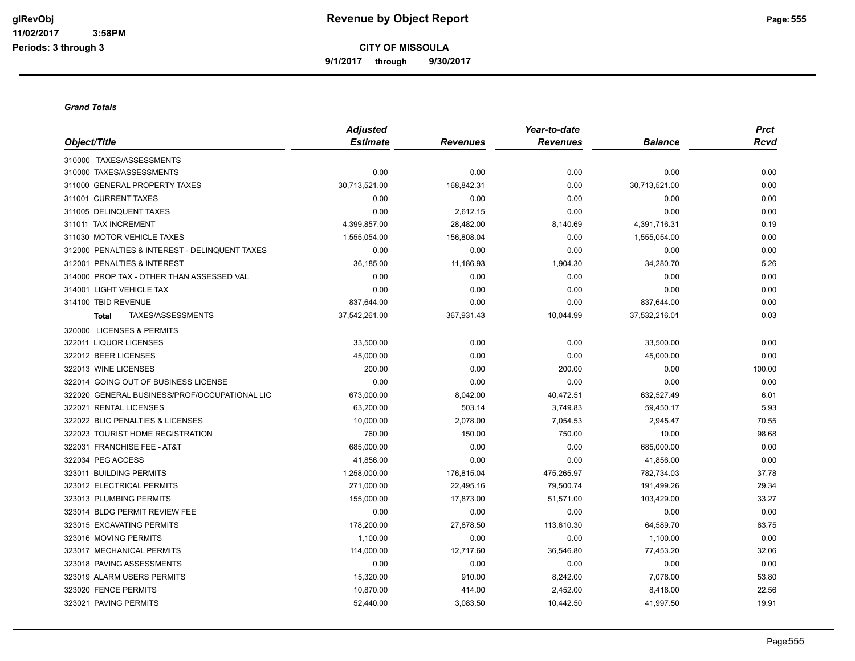**CITY OF MISSOULA 9/1/2017 through 9/30/2017**

#### *Grand Totals*

|                                                | <b>Adjusted</b> |                 | Year-to-date    |                | <b>Prct</b> |
|------------------------------------------------|-----------------|-----------------|-----------------|----------------|-------------|
| Object/Title                                   | <b>Estimate</b> | <b>Revenues</b> | <b>Revenues</b> | <b>Balance</b> | Rcvd        |
| 310000 TAXES/ASSESSMENTS                       |                 |                 |                 |                |             |
| 310000 TAXES/ASSESSMENTS                       | 0.00            | 0.00            | 0.00            | 0.00           | 0.00        |
| 311000 GENERAL PROPERTY TAXES                  | 30,713,521.00   | 168,842.31      | 0.00            | 30,713,521.00  | 0.00        |
| 311001 CURRENT TAXES                           | 0.00            | 0.00            | 0.00            | 0.00           | 0.00        |
| 311005 DELINQUENT TAXES                        | 0.00            | 2,612.15        | 0.00            | 0.00           | 0.00        |
| 311011 TAX INCREMENT                           | 4,399,857.00    | 28,482.00       | 8,140.69        | 4,391,716.31   | 0.19        |
| 311030 MOTOR VEHICLE TAXES                     | 1,555,054.00    | 156,808.04      | 0.00            | 1,555,054.00   | 0.00        |
| 312000 PENALTIES & INTEREST - DELINQUENT TAXES | 0.00            | 0.00            | 0.00            | 0.00           | 0.00        |
| 312001 PENALTIES & INTEREST                    | 36,185.00       | 11,186.93       | 1,904.30        | 34,280.70      | 5.26        |
| 314000 PROP TAX - OTHER THAN ASSESSED VAL      | 0.00            | 0.00            | 0.00            | 0.00           | 0.00        |
| 314001 LIGHT VEHICLE TAX                       | 0.00            | 0.00            | 0.00            | 0.00           | 0.00        |
| 314100 TBID REVENUE                            | 837,644.00      | 0.00            | 0.00            | 837,644.00     | 0.00        |
| TAXES/ASSESSMENTS<br><b>Total</b>              | 37,542,261.00   | 367,931.43      | 10,044.99       | 37,532,216.01  | 0.03        |
| 320000 LICENSES & PERMITS                      |                 |                 |                 |                |             |
| 322011 LIQUOR LICENSES                         | 33,500.00       | 0.00            | 0.00            | 33,500.00      | 0.00        |
| 322012 BEER LICENSES                           | 45,000.00       | 0.00            | 0.00            | 45,000.00      | 0.00        |
| 322013 WINE LICENSES                           | 200.00          | 0.00            | 200.00          | 0.00           | 100.00      |
| 322014 GOING OUT OF BUSINESS LICENSE           | 0.00            | 0.00            | 0.00            | 0.00           | 0.00        |
| 322020 GENERAL BUSINESS/PROF/OCCUPATIONAL LIC  | 673,000.00      | 8,042.00        | 40,472.51       | 632,527.49     | 6.01        |
| 322021 RENTAL LICENSES                         | 63,200.00       | 503.14          | 3,749.83        | 59,450.17      | 5.93        |
| 322022 BLIC PENALTIES & LICENSES               | 10,000.00       | 2,078.00        | 7,054.53        | 2,945.47       | 70.55       |
| 322023 TOURIST HOME REGISTRATION               | 760.00          | 150.00          | 750.00          | 10.00          | 98.68       |
| 322031 FRANCHISE FEE - AT&T                    | 685,000.00      | 0.00            | 0.00            | 685,000.00     | 0.00        |
| 322034 PEG ACCESS                              | 41,856.00       | 0.00            | 0.00            | 41,856.00      | 0.00        |
| 323011 BUILDING PERMITS                        | 1,258,000.00    | 176,815.04      | 475,265.97      | 782,734.03     | 37.78       |
| 323012 ELECTRICAL PERMITS                      | 271,000.00      | 22,495.16       | 79,500.74       | 191,499.26     | 29.34       |
| 323013 PLUMBING PERMITS                        | 155,000.00      | 17,873.00       | 51,571.00       | 103,429.00     | 33.27       |
| 323014 BLDG PERMIT REVIEW FEE                  | 0.00            | 0.00            | 0.00            | 0.00           | 0.00        |
| 323015 EXCAVATING PERMITS                      | 178,200.00      | 27,878.50       | 113,610.30      | 64,589.70      | 63.75       |
| 323016 MOVING PERMITS                          | 1,100.00        | 0.00            | 0.00            | 1,100.00       | 0.00        |
| 323017 MECHANICAL PERMITS                      | 114,000.00      | 12,717.60       | 36,546.80       | 77,453.20      | 32.06       |
| 323018 PAVING ASSESSMENTS                      | 0.00            | 0.00            | 0.00            | 0.00           | 0.00        |
| 323019 ALARM USERS PERMITS                     | 15,320.00       | 910.00          | 8,242.00        | 7,078.00       | 53.80       |
| 323020 FENCE PERMITS                           | 10,870.00       | 414.00          | 2,452.00        | 8,418.00       | 22.56       |
| 323021 PAVING PERMITS                          | 52,440.00       | 3,083.50        | 10,442.50       | 41,997.50      | 19.91       |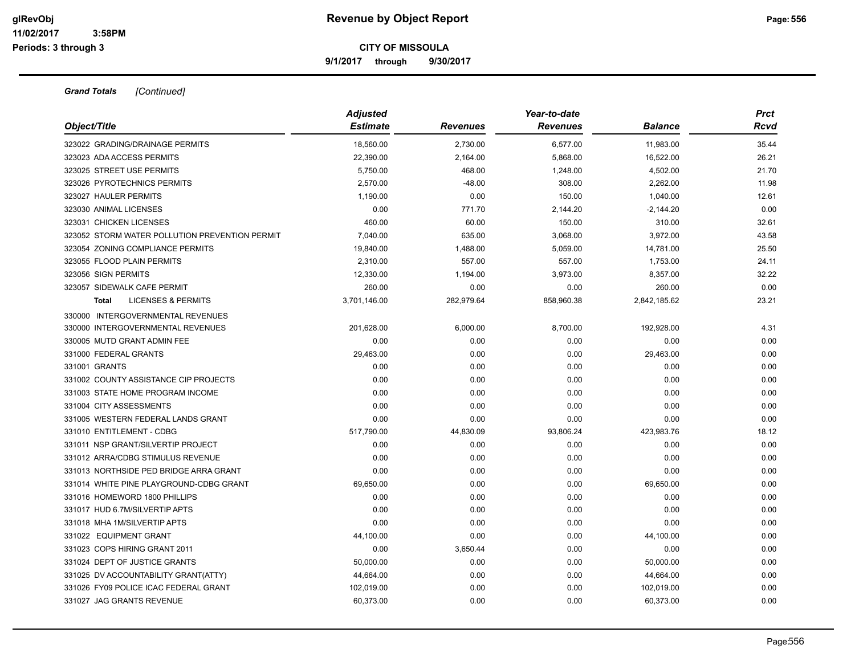**9/1/2017 through 9/30/2017**

| Object/Title                                   | <b>Adjusted</b><br><b>Estimate</b> | <b>Revenues</b> | Year-to-date<br><b>Revenues</b> | <b>Balance</b> | <b>Prct</b><br>Rcvd |
|------------------------------------------------|------------------------------------|-----------------|---------------------------------|----------------|---------------------|
|                                                |                                    |                 |                                 |                |                     |
| 323022 GRADING/DRAINAGE PERMITS                | 18,560.00                          | 2,730.00        | 6,577.00                        | 11,983.00      | 35.44               |
| 323023 ADA ACCESS PERMITS                      | 22,390.00                          | 2,164.00        | 5,868.00                        | 16,522.00      | 26.21               |
| 323025 STREET USE PERMITS                      | 5,750.00                           | 468.00          | 1,248.00                        | 4,502.00       | 21.70               |
| 323026 PYROTECHNICS PERMITS                    | 2,570.00                           | $-48.00$        | 308.00                          | 2,262.00       | 11.98               |
| 323027 HAULER PERMITS                          | 1,190.00                           | 0.00            | 150.00                          | 1,040.00       | 12.61               |
| 323030 ANIMAL LICENSES                         | 0.00                               | 771.70          | 2,144.20                        | $-2,144.20$    | 0.00                |
| 323031 CHICKEN LICENSES                        | 460.00                             | 60.00           | 150.00                          | 310.00         | 32.61               |
| 323052 STORM WATER POLLUTION PREVENTION PERMIT | 7,040.00                           | 635.00          | 3,068.00                        | 3,972.00       | 43.58               |
| 323054 ZONING COMPLIANCE PERMITS               | 19,840.00                          | 1,488.00        | 5,059.00                        | 14,781.00      | 25.50               |
| 323055 FLOOD PLAIN PERMITS                     | 2,310.00                           | 557.00          | 557.00                          | 1,753.00       | 24.11               |
| 323056 SIGN PERMITS                            | 12,330.00                          | 1,194.00        | 3,973.00                        | 8,357.00       | 32.22               |
| 323057 SIDEWALK CAFE PERMIT                    | 260.00                             | 0.00            | 0.00                            | 260.00         | 0.00                |
| <b>LICENSES &amp; PERMITS</b><br><b>Total</b>  | 3,701,146.00                       | 282,979.64      | 858,960.38                      | 2,842,185.62   | 23.21               |
| 330000 INTERGOVERNMENTAL REVENUES              |                                    |                 |                                 |                |                     |
| 330000 INTERGOVERNMENTAL REVENUES              | 201,628.00                         | 6,000.00        | 8,700.00                        | 192,928.00     | 4.31                |
| 330005 MUTD GRANT ADMIN FEE                    | 0.00                               | 0.00            | 0.00                            | 0.00           | 0.00                |
| 331000 FEDERAL GRANTS                          | 29,463.00                          | 0.00            | 0.00                            | 29,463.00      | 0.00                |
| 331001 GRANTS                                  | 0.00                               | 0.00            | 0.00                            | 0.00           | 0.00                |
| 331002 COUNTY ASSISTANCE CIP PROJECTS          | 0.00                               | 0.00            | 0.00                            | 0.00           | 0.00                |
| 331003 STATE HOME PROGRAM INCOME               | 0.00                               | 0.00            | 0.00                            | 0.00           | 0.00                |
| 331004 CITY ASSESSMENTS                        | 0.00                               | 0.00            | 0.00                            | 0.00           | 0.00                |
| 331005 WESTERN FEDERAL LANDS GRANT             | 0.00                               | 0.00            | 0.00                            | 0.00           | 0.00                |
| 331010 ENTITLEMENT - CDBG                      | 517,790.00                         | 44,830.09       | 93,806.24                       | 423,983.76     | 18.12               |
| 331011 NSP GRANT/SILVERTIP PROJECT             | 0.00                               | 0.00            | 0.00                            | 0.00           | 0.00                |
| 331012 ARRA/CDBG STIMULUS REVENUE              | 0.00                               | 0.00            | 0.00                            | 0.00           | 0.00                |
| 331013 NORTHSIDE PED BRIDGE ARRA GRANT         | 0.00                               | 0.00            | 0.00                            | 0.00           | 0.00                |
| 331014 WHITE PINE PLAYGROUND-CDBG GRANT        | 69,650.00                          | 0.00            | 0.00                            | 69,650.00      | 0.00                |
| 331016 HOMEWORD 1800 PHILLIPS                  | 0.00                               | 0.00            | 0.00                            | 0.00           | 0.00                |
| 331017 HUD 6.7M/SILVERTIP APTS                 | 0.00                               | 0.00            | 0.00                            | 0.00           | 0.00                |
| 331018 MHA 1M/SILVERTIP APTS                   | 0.00                               | 0.00            | 0.00                            | 0.00           | 0.00                |
| 331022 EQUIPMENT GRANT                         | 44,100.00                          | 0.00            | 0.00                            | 44,100.00      | 0.00                |
| 331023 COPS HIRING GRANT 2011                  | 0.00                               | 3,650.44        | 0.00                            | 0.00           | 0.00                |
| 331024 DEPT OF JUSTICE GRANTS                  | 50,000.00                          | 0.00            | 0.00                            | 50,000.00      | 0.00                |
| 331025 DV ACCOUNTABILITY GRANT(ATTY)           | 44,664.00                          | 0.00            | 0.00                            | 44,664.00      | 0.00                |
| 331026 FY09 POLICE ICAC FEDERAL GRANT          | 102,019.00                         | 0.00            | 0.00                            | 102,019.00     | 0.00                |
| 331027 JAG GRANTS REVENUE                      | 60,373.00                          | 0.00            | 0.00                            | 60,373.00      | 0.00                |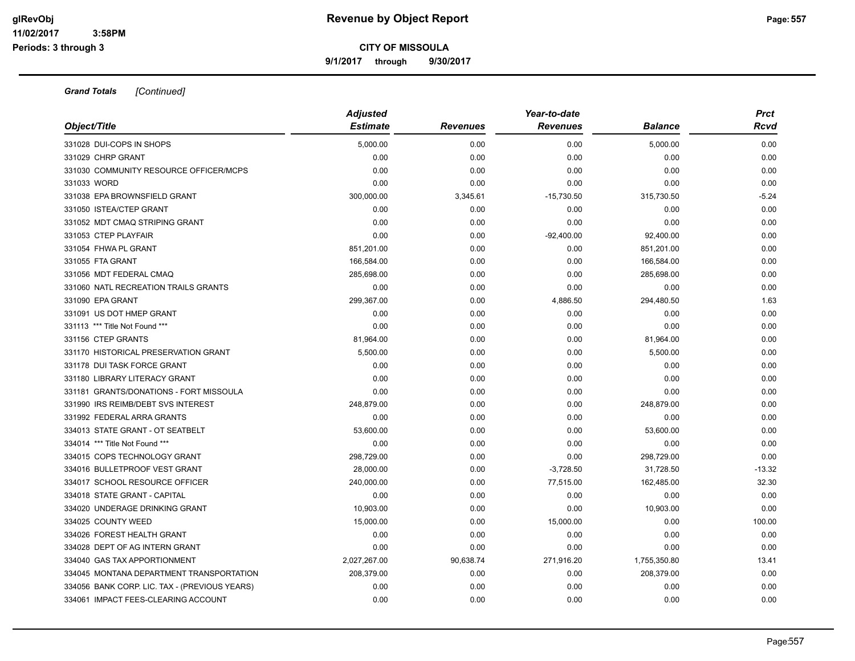**9/1/2017 through 9/30/2017**

|                                               | <b>Adjusted</b> |                 | Year-to-date    |                | <b>Prct</b> |
|-----------------------------------------------|-----------------|-----------------|-----------------|----------------|-------------|
| Object/Title                                  | <b>Estimate</b> | <b>Revenues</b> | <b>Revenues</b> | <b>Balance</b> | Rcvd        |
| 331028 DUI-COPS IN SHOPS                      | 5,000.00        | 0.00            | 0.00            | 5,000.00       | 0.00        |
| 331029 CHRP GRANT                             | 0.00            | 0.00            | 0.00            | 0.00           | 0.00        |
| 331030 COMMUNITY RESOURCE OFFICER/MCPS        | 0.00            | 0.00            | 0.00            | 0.00           | 0.00        |
| 331033 WORD                                   | 0.00            | 0.00            | 0.00            | 0.00           | 0.00        |
| 331038 EPA BROWNSFIELD GRANT                  | 300,000.00      | 3,345.61        | $-15,730.50$    | 315,730.50     | $-5.24$     |
| 331050 ISTEA/CTEP GRANT                       | 0.00            | 0.00            | 0.00            | 0.00           | 0.00        |
| 331052 MDT CMAQ STRIPING GRANT                | 0.00            | 0.00            | 0.00            | 0.00           | 0.00        |
| 331053 CTEP PLAYFAIR                          | 0.00            | 0.00            | $-92,400.00$    | 92,400.00      | 0.00        |
| 331054 FHWA PL GRANT                          | 851,201.00      | 0.00            | 0.00            | 851,201.00     | 0.00        |
| 331055 FTA GRANT                              | 166,584.00      | 0.00            | 0.00            | 166,584.00     | 0.00        |
| 331056 MDT FEDERAL CMAQ                       | 285,698.00      | 0.00            | 0.00            | 285,698.00     | 0.00        |
| 331060 NATL RECREATION TRAILS GRANTS          | 0.00            | 0.00            | 0.00            | 0.00           | 0.00        |
| 331090 EPA GRANT                              | 299,367.00      | 0.00            | 4,886.50        | 294,480.50     | 1.63        |
| 331091 US DOT HMEP GRANT                      | 0.00            | 0.00            | 0.00            | 0.00           | 0.00        |
| 331113 *** Title Not Found ***                | 0.00            | 0.00            | 0.00            | 0.00           | 0.00        |
| 331156 CTEP GRANTS                            | 81,964.00       | 0.00            | 0.00            | 81,964.00      | 0.00        |
| 331170 HISTORICAL PRESERVATION GRANT          | 5,500.00        | 0.00            | 0.00            | 5,500.00       | 0.00        |
| 331178 DUI TASK FORCE GRANT                   | 0.00            | 0.00            | 0.00            | 0.00           | 0.00        |
| 331180 LIBRARY LITERACY GRANT                 | 0.00            | 0.00            | 0.00            | 0.00           | 0.00        |
| 331181 GRANTS/DONATIONS - FORT MISSOULA       | 0.00            | 0.00            | 0.00            | 0.00           | 0.00        |
| 331990 IRS REIMB/DEBT SVS INTEREST            | 248,879.00      | 0.00            | 0.00            | 248,879.00     | 0.00        |
| 331992 FEDERAL ARRA GRANTS                    | 0.00            | 0.00            | 0.00            | 0.00           | 0.00        |
| 334013 STATE GRANT - OT SEATBELT              | 53,600.00       | 0.00            | 0.00            | 53,600.00      | 0.00        |
| 334014 *** Title Not Found ***                | 0.00            | 0.00            | 0.00            | 0.00           | 0.00        |
| 334015 COPS TECHNOLOGY GRANT                  | 298,729.00      | 0.00            | 0.00            | 298,729.00     | 0.00        |
| 334016 BULLETPROOF VEST GRANT                 | 28,000.00       | 0.00            | $-3,728.50$     | 31,728.50      | $-13.32$    |
| 334017 SCHOOL RESOURCE OFFICER                | 240,000.00      | 0.00            | 77,515.00       | 162,485.00     | 32.30       |
| 334018 STATE GRANT - CAPITAL                  | 0.00            | 0.00            | 0.00            | 0.00           | 0.00        |
| 334020 UNDERAGE DRINKING GRANT                | 10,903.00       | 0.00            | 0.00            | 10,903.00      | 0.00        |
| 334025 COUNTY WEED                            | 15,000.00       | 0.00            | 15,000.00       | 0.00           | 100.00      |
| 334026 FOREST HEALTH GRANT                    | 0.00            | 0.00            | 0.00            | 0.00           | 0.00        |
| 334028 DEPT OF AG INTERN GRANT                | 0.00            | 0.00            | 0.00            | 0.00           | 0.00        |
| 334040 GAS TAX APPORTIONMENT                  | 2,027,267.00    | 90,638.74       | 271,916.20      | 1,755,350.80   | 13.41       |
| 334045 MONTANA DEPARTMENT TRANSPORTATION      | 208,379.00      | 0.00            | 0.00            | 208,379.00     | 0.00        |
| 334056 BANK CORP. LIC. TAX - (PREVIOUS YEARS) | 0.00            | 0.00            | 0.00            | 0.00           | 0.00        |
| 334061 IMPACT FEES-CLEARING ACCOUNT           | 0.00            | 0.00            | 0.00            | 0.00           | 0.00        |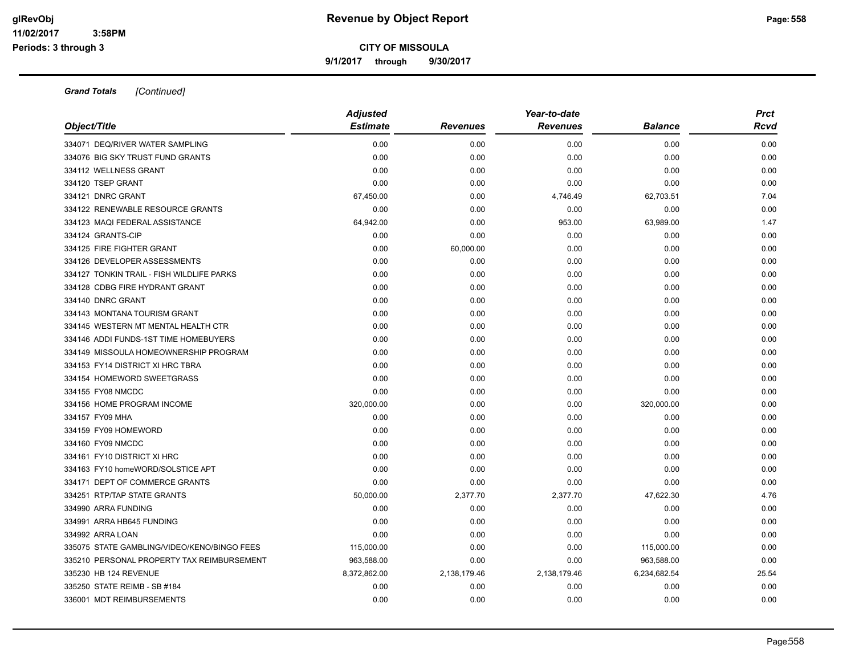**9/1/2017 through 9/30/2017**

| Object/Title                                | <b>Adjusted</b><br><b>Estimate</b> | <b>Revenues</b> | Year-to-date<br><b>Revenues</b> | <b>Balance</b> | <b>Prct</b><br>Rcvd |
|---------------------------------------------|------------------------------------|-----------------|---------------------------------|----------------|---------------------|
| 334071 DEQ/RIVER WATER SAMPLING             | 0.00                               | 0.00            | 0.00                            | 0.00           | 0.00                |
| 334076 BIG SKY TRUST FUND GRANTS            | 0.00                               | 0.00            | 0.00                            | 0.00           | 0.00                |
| 334112 WELLNESS GRANT                       | 0.00                               | 0.00            | 0.00                            | 0.00           | 0.00                |
| 334120 TSEP GRANT                           | 0.00                               | 0.00            | 0.00                            | 0.00           | 0.00                |
| 334121 DNRC GRANT                           | 67,450.00                          | 0.00            | 4,746.49                        | 62,703.51      | 7.04                |
| 334122 RENEWABLE RESOURCE GRANTS            | 0.00                               | 0.00            | 0.00                            | 0.00           | 0.00                |
| 334123 MAQI FEDERAL ASSISTANCE              | 64,942.00                          | 0.00            | 953.00                          | 63,989.00      | 1.47                |
| 334124 GRANTS-CIP                           | 0.00                               | 0.00            | 0.00                            | 0.00           | 0.00                |
| 334125 FIRE FIGHTER GRANT                   | 0.00                               | 60,000.00       | 0.00                            | 0.00           | 0.00                |
| 334126 DEVELOPER ASSESSMENTS                | 0.00                               | 0.00            | 0.00                            | 0.00           | 0.00                |
| 334127 TONKIN TRAIL - FISH WILDLIFE PARKS   | 0.00                               | 0.00            | 0.00                            | 0.00           | 0.00                |
| 334128 CDBG FIRE HYDRANT GRANT              | 0.00                               | 0.00            | 0.00                            | 0.00           | 0.00                |
| 334140 DNRC GRANT                           | 0.00                               | 0.00            | 0.00                            | 0.00           | 0.00                |
| 334143 MONTANA TOURISM GRANT                | 0.00                               | 0.00            | 0.00                            | 0.00           | 0.00                |
| 334145 WESTERN MT MENTAL HEALTH CTR         | 0.00                               | 0.00            | 0.00                            | 0.00           | 0.00                |
| 334146 ADDI FUNDS-1ST TIME HOMEBUYERS       | 0.00                               | 0.00            | 0.00                            | 0.00           | 0.00                |
| 334149 MISSOULA HOMEOWNERSHIP PROGRAM       | 0.00                               | 0.00            | 0.00                            | 0.00           | 0.00                |
| 334153 FY14 DISTRICT XI HRC TBRA            | 0.00                               | 0.00            | 0.00                            | 0.00           | 0.00                |
| 334154 HOMEWORD SWEETGRASS                  | 0.00                               | 0.00            | 0.00                            | 0.00           | 0.00                |
| 334155 FY08 NMCDC                           | 0.00                               | 0.00            | 0.00                            | 0.00           | 0.00                |
| 334156 HOME PROGRAM INCOME                  | 320,000.00                         | 0.00            | 0.00                            | 320,000.00     | 0.00                |
| 334157 FY09 MHA                             | 0.00                               | 0.00            | 0.00                            | 0.00           | 0.00                |
| 334159 FY09 HOMEWORD                        | 0.00                               | 0.00            | 0.00                            | 0.00           | 0.00                |
| 334160 FY09 NMCDC                           | 0.00                               | 0.00            | 0.00                            | 0.00           | 0.00                |
| 334161 FY10 DISTRICT XI HRC                 | 0.00                               | 0.00            | 0.00                            | 0.00           | 0.00                |
| 334163 FY10 homeWORD/SOLSTICE APT           | 0.00                               | 0.00            | 0.00                            | 0.00           | 0.00                |
| 334171 DEPT OF COMMERCE GRANTS              | 0.00                               | 0.00            | 0.00                            | 0.00           | 0.00                |
| 334251 RTP/TAP STATE GRANTS                 | 50,000.00                          | 2,377.70        | 2,377.70                        | 47,622.30      | 4.76                |
| 334990 ARRA FUNDING                         | 0.00                               | 0.00            | 0.00                            | 0.00           | 0.00                |
| 334991 ARRA HB645 FUNDING                   | 0.00                               | 0.00            | 0.00                            | 0.00           | 0.00                |
| 334992 ARRA LOAN                            | 0.00                               | 0.00            | 0.00                            | 0.00           | 0.00                |
| 335075 STATE GAMBLING/VIDEO/KENO/BINGO FEES | 115,000.00                         | 0.00            | 0.00                            | 115,000.00     | 0.00                |
| 335210 PERSONAL PROPERTY TAX REIMBURSEMENT  | 963,588.00                         | 0.00            | 0.00                            | 963,588.00     | 0.00                |
| 335230 HB 124 REVENUE                       | 8,372,862.00                       | 2,138,179.46    | 2,138,179.46                    | 6,234,682.54   | 25.54               |
| 335250 STATE REIMB - SB #184                | 0.00                               | 0.00            | 0.00                            | 0.00           | 0.00                |
| 336001 MDT REIMBURSEMENTS                   | 0.00                               | 0.00            | 0.00                            | 0.00           | 0.00                |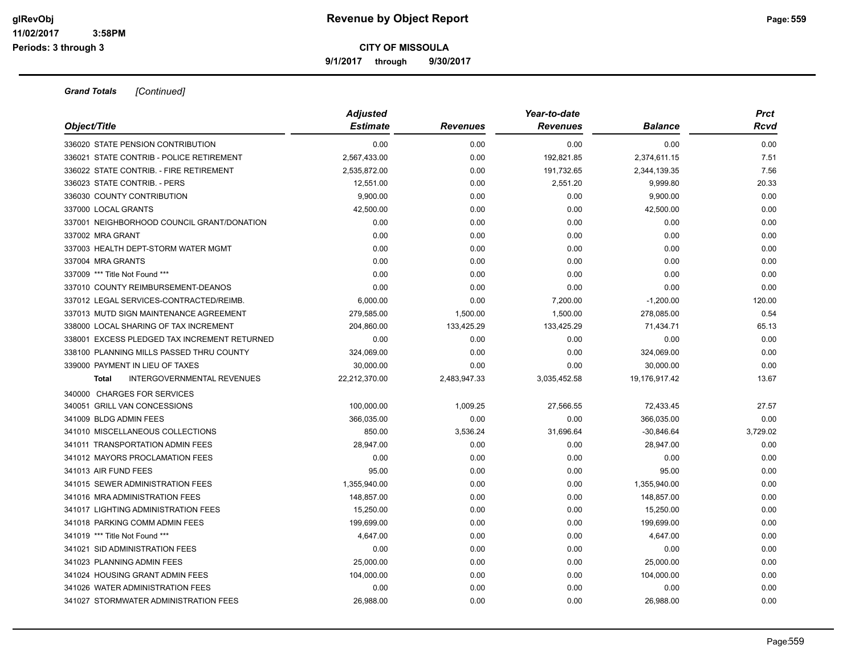**9/1/2017 through 9/30/2017**

|                                                   | <b>Adjusted</b> |                 | Year-to-date    | <b>Prct</b>    |          |
|---------------------------------------------------|-----------------|-----------------|-----------------|----------------|----------|
| Object/Title                                      | <b>Estimate</b> | <b>Revenues</b> | <b>Revenues</b> | <b>Balance</b> | Rcvd     |
| 336020 STATE PENSION CONTRIBUTION                 | 0.00            | 0.00            | 0.00            | 0.00           | 0.00     |
| 336021 STATE CONTRIB - POLICE RETIREMENT          | 2,567,433.00    | 0.00            | 192,821.85      | 2,374,611.15   | 7.51     |
| 336022 STATE CONTRIB. - FIRE RETIREMENT           | 2,535,872.00    | 0.00            | 191,732.65      | 2,344,139.35   | 7.56     |
| 336023 STATE CONTRIB. - PERS                      | 12,551.00       | 0.00            | 2,551.20        | 9,999.80       | 20.33    |
| 336030 COUNTY CONTRIBUTION                        | 9,900.00        | 0.00            | 0.00            | 9,900.00       | 0.00     |
| 337000 LOCAL GRANTS                               | 42,500.00       | 0.00            | 0.00            | 42,500.00      | 0.00     |
| 337001 NEIGHBORHOOD COUNCIL GRANT/DONATION        | 0.00            | 0.00            | 0.00            | 0.00           | 0.00     |
| 337002 MRA GRANT                                  | 0.00            | 0.00            | 0.00            | 0.00           | 0.00     |
| 337003 HEALTH DEPT-STORM WATER MGMT               | 0.00            | 0.00            | 0.00            | 0.00           | 0.00     |
| 337004 MRA GRANTS                                 | 0.00            | 0.00            | 0.00            | 0.00           | 0.00     |
| 337009 *** Title Not Found ***                    | 0.00            | 0.00            | 0.00            | 0.00           | 0.00     |
| 337010 COUNTY REIMBURSEMENT-DEANOS                | 0.00            | 0.00            | 0.00            | 0.00           | 0.00     |
| 337012 LEGAL SERVICES-CONTRACTED/REIMB.           | 6,000.00        | 0.00            | 7,200.00        | $-1,200.00$    | 120.00   |
| 337013 MUTD SIGN MAINTENANCE AGREEMENT            | 279,585.00      | 1,500.00        | 1,500.00        | 278,085.00     | 0.54     |
| 338000 LOCAL SHARING OF TAX INCREMENT             | 204,860.00      | 133,425.29      | 133,425.29      | 71,434.71      | 65.13    |
| 338001 EXCESS PLEDGED TAX INCREMENT RETURNED      | 0.00            | 0.00            | 0.00            | 0.00           | 0.00     |
| 338100 PLANNING MILLS PASSED THRU COUNTY          | 324,069.00      | 0.00            | 0.00            | 324,069.00     | 0.00     |
| 339000 PAYMENT IN LIEU OF TAXES                   | 30,000.00       | 0.00            | 0.00            | 30,000.00      | 0.00     |
| <b>INTERGOVERNMENTAL REVENUES</b><br><b>Total</b> | 22,212,370.00   | 2,483,947.33    | 3,035,452.58    | 19,176,917.42  | 13.67    |
| 340000 CHARGES FOR SERVICES                       |                 |                 |                 |                |          |
| 340051 GRILL VAN CONCESSIONS                      | 100,000.00      | 1,009.25        | 27,566.55       | 72,433.45      | 27.57    |
| 341009 BLDG ADMIN FEES                            | 366,035.00      | 0.00            | 0.00            | 366,035.00     | 0.00     |
| 341010 MISCELLANEOUS COLLECTIONS                  | 850.00          | 3,536.24        | 31,696.64       | $-30,846.64$   | 3,729.02 |
| 341011 TRANSPORTATION ADMIN FEES                  | 28,947.00       | 0.00            | 0.00            | 28,947.00      | 0.00     |
| 341012 MAYORS PROCLAMATION FEES                   | 0.00            | 0.00            | 0.00            | 0.00           | 0.00     |
| 341013 AIR FUND FEES                              | 95.00           | 0.00            | 0.00            | 95.00          | 0.00     |
| 341015 SEWER ADMINISTRATION FEES                  | 1,355,940.00    | 0.00            | 0.00            | 1,355,940.00   | 0.00     |
| 341016 MRA ADMINISTRATION FEES                    | 148,857.00      | 0.00            | 0.00            | 148,857.00     | 0.00     |
| 341017 LIGHTING ADMINISTRATION FEES               | 15,250.00       | 0.00            | 0.00            | 15,250.00      | 0.00     |
| 341018 PARKING COMM ADMIN FEES                    | 199,699.00      | 0.00            | 0.00            | 199,699.00     | 0.00     |
| 341019 *** Title Not Found ***                    | 4,647.00        | 0.00            | 0.00            | 4,647.00       | 0.00     |
| 341021 SID ADMINISTRATION FEES                    | 0.00            | 0.00            | 0.00            | 0.00           | 0.00     |
| 341023 PLANNING ADMIN FEES                        | 25,000.00       | 0.00            | 0.00            | 25,000.00      | 0.00     |
| 341024 HOUSING GRANT ADMIN FEES                   | 104,000.00      | 0.00            | 0.00            | 104,000.00     | 0.00     |
| 341026 WATER ADMINISTRATION FEES                  | 0.00            | 0.00            | 0.00            | 0.00           | 0.00     |
| 341027 STORMWATER ADMINISTRATION FEES             | 26.988.00       | 0.00            | 0.00            | 26.988.00      | 0.00     |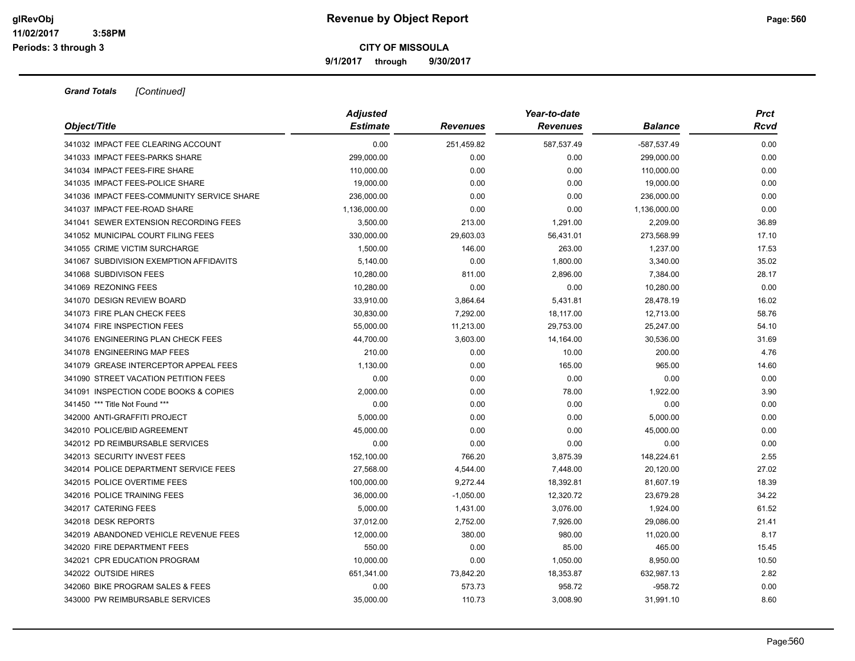**9/1/2017 through 9/30/2017**

| Object/Title                                                   | <b>Adjusted</b><br><b>Estimate</b> | <b>Revenues</b>       | Year-to-date<br><b>Revenues</b> | <b>Balance</b>           | Prct<br><b>Rcvd</b> |
|----------------------------------------------------------------|------------------------------------|-----------------------|---------------------------------|--------------------------|---------------------|
| 341032 IMPACT FEE CLEARING ACCOUNT                             | 0.00                               |                       | 587,537.49                      | $-587,537.49$            |                     |
| 341033 IMPACT FEES-PARKS SHARE                                 | 299,000.00                         | 251,459.82<br>0.00    | 0.00                            | 299,000.00               | 0.00<br>0.00        |
| 341034 IMPACT FEES-FIRE SHARE                                  | 110,000.00                         | 0.00                  | 0.00                            | 110,000.00               | 0.00                |
| 341035 IMPACT FEES-POLICE SHARE                                | 19,000.00                          | 0.00                  | 0.00                            | 19,000.00                | 0.00                |
| 341036 IMPACT FEES-COMMUNITY SERVICE SHARE                     | 236,000.00                         | 0.00                  | 0.00                            | 236,000.00               | 0.00                |
| 341037 IMPACT FEE-ROAD SHARE                                   |                                    | 0.00                  | 0.00                            |                          | 0.00                |
| 341041 SEWER EXTENSION RECORDING FEES                          | 1,136,000.00<br>3,500.00           | 213.00                | 1,291.00                        | 1,136,000.00<br>2,209.00 | 36.89               |
| 341052 MUNICIPAL COURT FILING FEES                             | 330,000.00                         | 29,603.03             | 56,431.01                       | 273,568.99               | 17.10               |
| 341055 CRIME VICTIM SURCHARGE                                  | 1,500.00                           | 146.00                | 263.00                          | 1,237.00                 | 17.53               |
| 341067 SUBDIVISION EXEMPTION AFFIDAVITS                        | 5,140.00                           | 0.00                  | 1,800.00                        | 3,340.00                 | 35.02               |
| 341068 SUBDIVISON FEES                                         | 10,280.00                          | 811.00                | 2,896.00                        | 7,384.00                 | 28.17               |
| 341069 REZONING FEES                                           | 10,280.00                          | 0.00                  | 0.00                            | 10,280.00                | 0.00                |
| 341070 DESIGN REVIEW BOARD                                     | 33,910.00                          | 3,864.64              | 5,431.81                        | 28,478.19                | 16.02               |
| 341073 FIRE PLAN CHECK FEES                                    |                                    |                       |                                 |                          | 58.76               |
| 341074 FIRE INSPECTION FEES                                    | 30,830.00<br>55,000.00             | 7,292.00              | 18,117.00<br>29,753.00          | 12,713.00<br>25,247.00   | 54.10               |
| 341076 ENGINEERING PLAN CHECK FEES                             | 44,700.00                          | 11,213.00<br>3,603.00 |                                 |                          | 31.69               |
| 341078 ENGINEERING MAP FEES                                    | 210.00                             | 0.00                  | 14,164.00                       | 30,536.00<br>200.00      | 4.76                |
| 341079 GREASE INTERCEPTOR APPEAL FEES                          | 1,130.00                           | 0.00                  | 10.00<br>165.00                 | 965.00                   | 14.60               |
| 341090 STREET VACATION PETITION FEES                           | 0.00                               | 0.00                  | 0.00                            | 0.00                     | 0.00                |
| 341091 INSPECTION CODE BOOKS & COPIES                          | 2,000.00                           | 0.00                  | 78.00                           | 1,922.00                 | 3.90                |
| 341450 *** Title Not Found ***                                 |                                    |                       |                                 |                          |                     |
|                                                                | 0.00                               | 0.00                  | 0.00                            | 0.00                     | 0.00                |
| 342000 ANTI-GRAFFITI PROJECT                                   | 5,000.00                           | 0.00                  | 0.00                            | 5,000.00                 | 0.00                |
| 342010 POLICE/BID AGREEMENT                                    | 45,000.00                          | 0.00                  | 0.00                            | 45,000.00                | 0.00                |
| 342012 PD REIMBURSABLE SERVICES<br>342013 SECURITY INVEST FEES | 0.00                               | 0.00                  | 0.00                            | 0.00                     | 0.00<br>2.55        |
| 342014 POLICE DEPARTMENT SERVICE FEES                          | 152,100.00                         | 766.20                | 3,875.39                        | 148,224.61               |                     |
|                                                                | 27,568.00                          | 4,544.00              | 7,448.00                        | 20,120.00                | 27.02               |
| 342015 POLICE OVERTIME FEES<br>342016 POLICE TRAINING FEES     | 100,000.00                         | 9,272.44              | 18,392.81                       | 81,607.19                | 18.39               |
|                                                                | 36,000.00                          | $-1,050.00$           | 12,320.72                       | 23,679.28                | 34.22               |
| 342017 CATERING FEES                                           | 5,000.00                           | 1,431.00              | 3,076.00                        | 1,924.00                 | 61.52               |
| 342018 DESK REPORTS                                            | 37,012.00                          | 2,752.00              | 7,926.00                        | 29,086.00                | 21.41               |
| 342019 ABANDONED VEHICLE REVENUE FEES                          | 12,000.00                          | 380.00                | 980.00                          | 11,020.00                | 8.17                |
| 342020 FIRE DEPARTMENT FEES                                    | 550.00                             | 0.00                  | 85.00                           | 465.00                   | 15.45               |
| 342021 CPR EDUCATION PROGRAM                                   | 10,000.00                          | 0.00                  | 1,050.00                        | 8,950.00                 | 10.50               |
| 342022 OUTSIDE HIRES                                           | 651,341.00                         | 73,842.20             | 18,353.87                       | 632,987.13               | 2.82                |
| 342060 BIKE PROGRAM SALES & FEES                               | 0.00                               | 573.73                | 958.72                          | $-958.72$                | 0.00                |
| 343000 PW REIMBURSABLE SERVICES                                | 35,000.00                          | 110.73                | 3,008.90                        | 31,991.10                | 8.60                |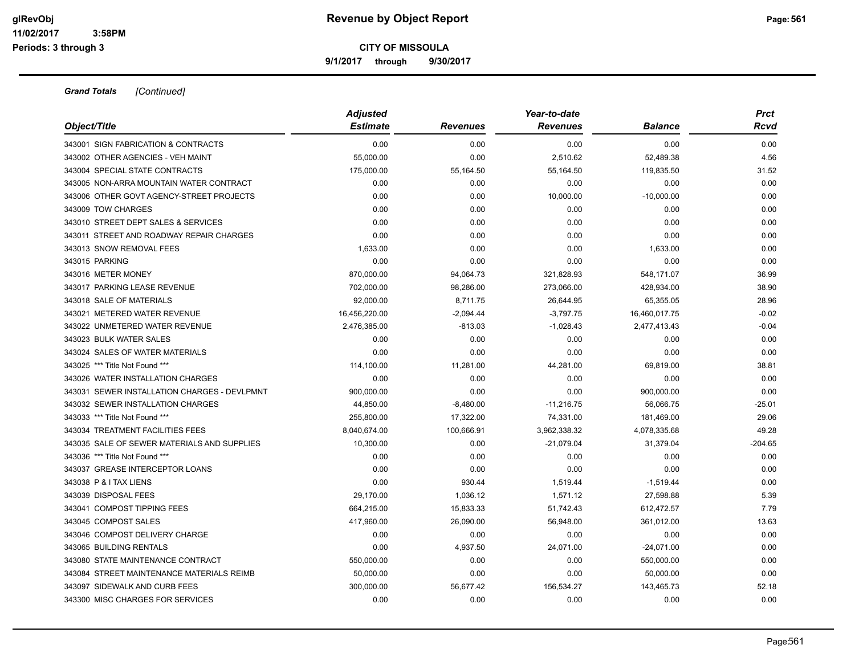**9/1/2017 through 9/30/2017**

| Object/Title                                 | <b>Adjusted</b><br><b>Estimate</b> | <b>Revenues</b> | Year-to-date<br><b>Revenues</b> | <b>Balance</b> | <b>Prct</b><br>Rcvd |
|----------------------------------------------|------------------------------------|-----------------|---------------------------------|----------------|---------------------|
| 343001 SIGN FABRICATION & CONTRACTS          | 0.00                               | 0.00            | 0.00                            | 0.00           | 0.00                |
| 343002 OTHER AGENCIES - VEH MAINT            | 55,000.00                          | 0.00            | 2,510.62                        | 52,489.38      | 4.56                |
| 343004 SPECIAL STATE CONTRACTS               | 175,000.00                         | 55,164.50       | 55,164.50                       | 119,835.50     | 31.52               |
| 343005 NON-ARRA MOUNTAIN WATER CONTRACT      | 0.00                               | 0.00            | 0.00                            | 0.00           | 0.00                |
| 343006 OTHER GOVT AGENCY-STREET PROJECTS     | 0.00                               | 0.00            | 10,000.00                       | $-10,000.00$   | 0.00                |
| 343009 TOW CHARGES                           | 0.00                               | 0.00            | 0.00                            | 0.00           | 0.00                |
| 343010 STREET DEPT SALES & SERVICES          | 0.00                               | 0.00            | 0.00                            | 0.00           | 0.00                |
| 343011 STREET AND ROADWAY REPAIR CHARGES     | 0.00                               | 0.00            | 0.00                            | 0.00           | 0.00                |
| 343013 SNOW REMOVAL FEES                     | 1,633.00                           | 0.00            | 0.00                            | 1,633.00       | 0.00                |
| 343015 PARKING                               | 0.00                               | 0.00            | 0.00                            | 0.00           | 0.00                |
| 343016 METER MONEY                           | 870.000.00                         | 94,064.73       | 321,828.93                      | 548.171.07     | 36.99               |
| 343017 PARKING LEASE REVENUE                 | 702,000.00                         | 98,286.00       | 273,066.00                      | 428,934.00     | 38.90               |
| 343018 SALE OF MATERIALS                     | 92,000.00                          | 8,711.75        | 26,644.95                       | 65,355.05      | 28.96               |
| 343021 METERED WATER REVENUE                 | 16,456,220.00                      | $-2,094.44$     | $-3,797.75$                     | 16,460,017.75  | $-0.02$             |
| 343022 UNMETERED WATER REVENUE               | 2,476,385.00                       | $-813.03$       | $-1,028.43$                     | 2,477,413.43   | $-0.04$             |
| 343023 BULK WATER SALES                      | 0.00                               | 0.00            | 0.00                            | 0.00           | 0.00                |
| 343024 SALES OF WATER MATERIALS              | 0.00                               | 0.00            | 0.00                            | 0.00           | 0.00                |
| 343025 *** Title Not Found ***               | 114,100.00                         | 11,281.00       | 44,281.00                       | 69,819.00      | 38.81               |
| 343026 WATER INSTALLATION CHARGES            | 0.00                               | 0.00            | 0.00                            | 0.00           | 0.00                |
| 343031 SEWER INSTALLATION CHARGES - DEVLPMNT | 900,000.00                         | 0.00            | 0.00                            | 900,000.00     | 0.00                |
| 343032 SEWER INSTALLATION CHARGES            | 44,850.00                          | $-8,480.00$     | $-11,216.75$                    | 56,066.75      | $-25.01$            |
| 343033 *** Title Not Found ***               | 255,800.00                         | 17,322.00       | 74,331.00                       | 181,469.00     | 29.06               |
| 343034 TREATMENT FACILITIES FEES             | 8,040,674.00                       | 100.666.91      | 3,962,338.32                    | 4,078,335.68   | 49.28               |
| 343035 SALE OF SEWER MATERIALS AND SUPPLIES  | 10,300.00                          | 0.00            | $-21,079.04$                    | 31,379.04      | $-204.65$           |
| 343036 *** Title Not Found ***               | 0.00                               | 0.00            | 0.00                            | 0.00           | 0.00                |
| 343037 GREASE INTERCEPTOR LOANS              | 0.00                               | 0.00            | 0.00                            | 0.00           | 0.00                |
| 343038 P & I TAX LIENS                       | 0.00                               | 930.44          | 1,519.44                        | $-1,519.44$    | 0.00                |
| 343039 DISPOSAL FEES                         | 29,170.00                          | 1,036.12        | 1,571.12                        | 27,598.88      | 5.39                |
| 343041 COMPOST TIPPING FEES                  | 664,215.00                         | 15,833.33       | 51,742.43                       | 612,472.57     | 7.79                |
| 343045 COMPOST SALES                         | 417,960.00                         | 26,090.00       | 56,948.00                       | 361,012.00     | 13.63               |
| 343046 COMPOST DELIVERY CHARGE               | 0.00                               | 0.00            | 0.00                            | 0.00           | 0.00                |
| 343065 BUILDING RENTALS                      | 0.00                               | 4,937.50        | 24,071.00                       | $-24,071.00$   | 0.00                |
| 343080 STATE MAINTENANCE CONTRACT            | 550,000.00                         | 0.00            | 0.00                            | 550,000.00     | 0.00                |
| 343084 STREET MAINTENANCE MATERIALS REIMB    | 50,000.00                          | 0.00            | 0.00                            | 50,000.00      | 0.00                |
| 343097 SIDEWALK AND CURB FEES                | 300,000.00                         | 56,677.42       | 156,534.27                      | 143,465.73     | 52.18               |
| 343300 MISC CHARGES FOR SERVICES             | 0.00                               | 0.00            | 0.00                            | 0.00           | 0.00                |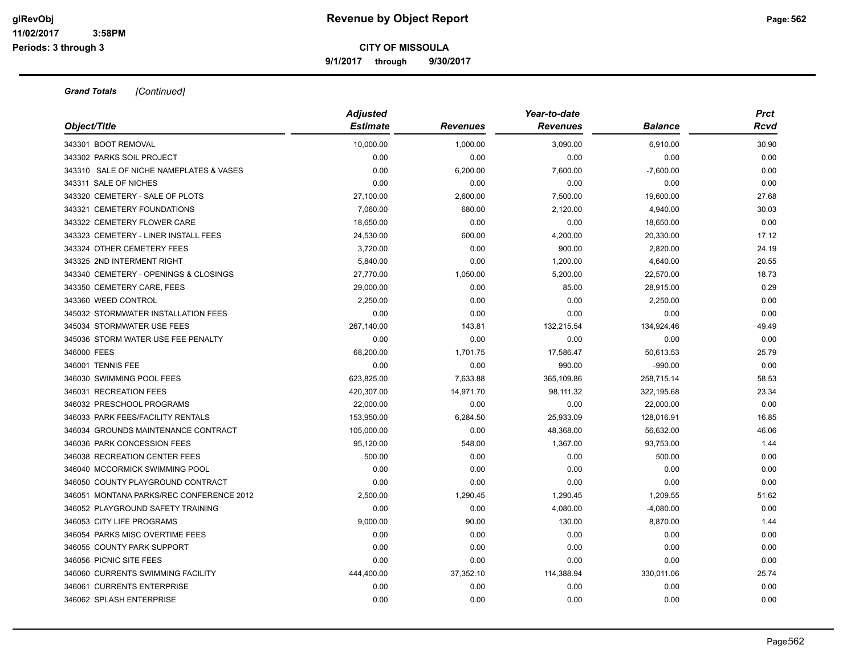**9/1/2017 through 9/30/2017**

| Object/Title                             | <b>Adjusted</b><br><b>Estimate</b> | <b>Revenues</b> | Year-to-date<br><b>Revenues</b> | <b>Balance</b> | <b>Prct</b><br>Rcvd |
|------------------------------------------|------------------------------------|-----------------|---------------------------------|----------------|---------------------|
| 343301 BOOT REMOVAL                      | 10,000.00                          | 1,000.00        | 3,090.00                        | 6,910.00       | 30.90               |
| 343302 PARKS SOIL PROJECT                | 0.00                               | 0.00            | 0.00                            | 0.00           | 0.00                |
| 343310 SALE OF NICHE NAMEPLATES & VASES  | 0.00                               | 6,200.00        | 7,600.00                        | $-7,600.00$    | 0.00                |
| 343311 SALE OF NICHES                    | 0.00                               | 0.00            | 0.00                            | 0.00           | 0.00                |
| 343320 CEMETERY - SALE OF PLOTS          | 27,100.00                          | 2,600.00        | 7,500.00                        | 19,600.00      | 27.68               |
| 343321 CEMETERY FOUNDATIONS              | 7,060.00                           | 680.00          | 2,120.00                        | 4,940.00       | 30.03               |
| 343322 CEMETERY FLOWER CARE              | 18,650.00                          | 0.00            | 0.00                            | 18,650.00      | 0.00                |
| 343323 CEMETERY - LINER INSTALL FEES     | 24,530.00                          | 600.00          | 4,200.00                        | 20,330.00      | 17.12               |
| 343324 OTHER CEMETERY FEES               | 3,720.00                           | 0.00            | 900.00                          | 2,820.00       | 24.19               |
| 343325 2ND INTERMENT RIGHT               | 5,840.00                           | 0.00            | 1,200.00                        | 4,640.00       | 20.55               |
| 343340 CEMETERY - OPENINGS & CLOSINGS    | 27,770.00                          | 1,050.00        | 5,200.00                        | 22,570.00      | 18.73               |
| 343350 CEMETERY CARE, FEES               | 29,000.00                          | 0.00            | 85.00                           | 28,915.00      | 0.29                |
| 343360 WEED CONTROL                      | 2,250.00                           | 0.00            | 0.00                            | 2,250.00       | 0.00                |
| 345032 STORMWATER INSTALLATION FEES      | 0.00                               | 0.00            | 0.00                            | 0.00           | 0.00                |
| 345034 STORMWATER USE FEES               | 267,140.00                         | 143.81          | 132,215.54                      | 134,924.46     | 49.49               |
| 345036 STORM WATER USE FEE PENALTY       | 0.00                               | 0.00            | 0.00                            | 0.00           | 0.00                |
| 346000 FEES                              | 68,200.00                          | 1,701.75        | 17,586.47                       | 50,613.53      | 25.79               |
| 346001 TENNIS FEE                        | 0.00                               | 0.00            | 990.00                          | $-990.00$      | 0.00                |
| 346030 SWIMMING POOL FEES                | 623,825.00                         | 7,633.88        | 365,109.86                      | 258,715.14     | 58.53               |
| 346031 RECREATION FEES                   | 420,307.00                         | 14,971.70       | 98,111.32                       | 322,195.68     | 23.34               |
| 346032 PRESCHOOL PROGRAMS                | 22,000.00                          | 0.00            | 0.00                            | 22,000.00      | 0.00                |
| 346033 PARK FEES/FACILITY RENTALS        | 153,950.00                         | 6,284.50        | 25,933.09                       | 128,016.91     | 16.85               |
| 346034 GROUNDS MAINTENANCE CONTRACT      | 105,000.00                         | 0.00            | 48,368.00                       | 56,632.00      | 46.06               |
| 346036 PARK CONCESSION FEES              | 95,120.00                          | 548.00          | 1,367.00                        | 93,753.00      | 1.44                |
| 346038 RECREATION CENTER FEES            | 500.00                             | 0.00            | 0.00                            | 500.00         | 0.00                |
| 346040 MCCORMICK SWIMMING POOL           | 0.00                               | 0.00            | 0.00                            | 0.00           | 0.00                |
| 346050 COUNTY PLAYGROUND CONTRACT        | 0.00                               | 0.00            | 0.00                            | 0.00           | 0.00                |
| 346051 MONTANA PARKS/REC CONFERENCE 2012 | 2,500.00                           | 1,290.45        | 1,290.45                        | 1,209.55       | 51.62               |
| 346052 PLAYGROUND SAFETY TRAINING        | 0.00                               | 0.00            | 4,080.00                        | $-4,080.00$    | 0.00                |
| 346053 CITY LIFE PROGRAMS                | 9,000.00                           | 90.00           | 130.00                          | 8,870.00       | 1.44                |
| 346054 PARKS MISC OVERTIME FEES          | 0.00                               | 0.00            | 0.00                            | 0.00           | 0.00                |
| 346055 COUNTY PARK SUPPORT               | 0.00                               | 0.00            | 0.00                            | 0.00           | 0.00                |
| 346056 PICNIC SITE FEES                  | 0.00                               | 0.00            | 0.00                            | 0.00           | 0.00                |
| 346060 CURRENTS SWIMMING FACILITY        | 444,400.00                         | 37,352.10       | 114,388.94                      | 330,011.06     | 25.74               |
| 346061 CURRENTS ENTERPRISE               | 0.00                               | 0.00            | 0.00                            | 0.00           | 0.00                |
| 346062 SPLASH ENTERPRISE                 | 0.00                               | 0.00            | 0.00                            | 0.00           | 0.00                |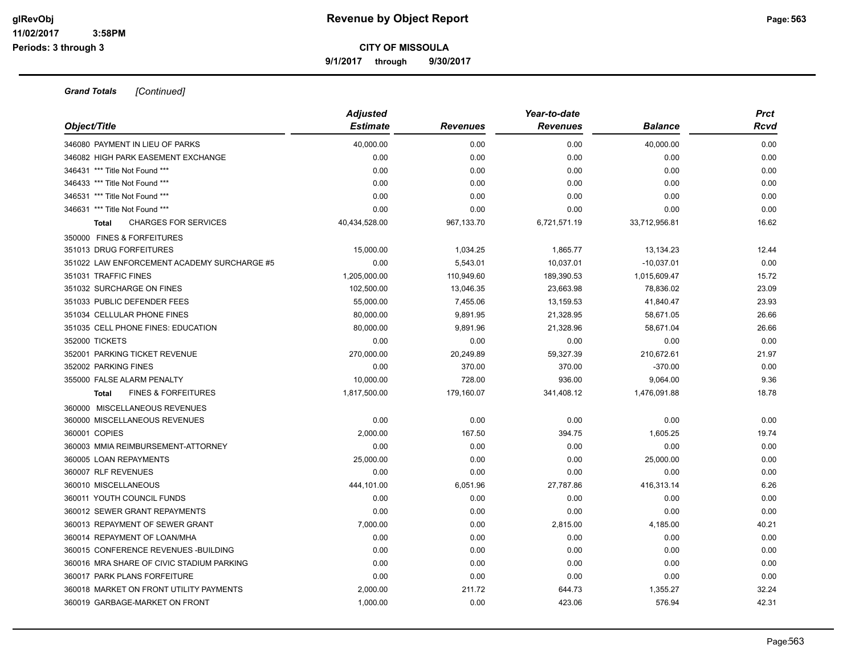**9/1/2017 through 9/30/2017**

| Object/Title                                   | <b>Adjusted</b><br><b>Estimate</b> | <b>Revenues</b> | Year-to-date<br><b>Revenues</b> | <b>Balance</b> | <b>Prct</b><br>Rcvd |
|------------------------------------------------|------------------------------------|-----------------|---------------------------------|----------------|---------------------|
| 346080 PAYMENT IN LIEU OF PARKS                | 40,000.00                          | 0.00            | 0.00                            | 40,000.00      | 0.00                |
| 346082 HIGH PARK EASEMENT EXCHANGE             | 0.00                               | 0.00            | 0.00                            | 0.00           | 0.00                |
| 346431 *** Title Not Found ***                 | 0.00                               | 0.00            | 0.00                            | 0.00           | 0.00                |
| 346433 *** Title Not Found ***                 | 0.00                               | 0.00            | 0.00                            | 0.00           | 0.00                |
| 346531 *** Title Not Found ***                 | 0.00                               | 0.00            | 0.00                            | 0.00           | 0.00                |
| 346631 *** Title Not Found ***                 |                                    |                 |                                 |                |                     |
|                                                | 0.00                               | 0.00            | 0.00                            | 0.00           | 0.00                |
| <b>CHARGES FOR SERVICES</b><br><b>Total</b>    | 40,434,528.00                      | 967,133.70      | 6,721,571.19                    | 33,712,956.81  | 16.62               |
| 350000 FINES & FORFEITURES                     |                                    |                 |                                 |                |                     |
| 351013 DRUG FORFEITURES                        | 15,000.00                          | 1,034.25        | 1,865.77                        | 13,134.23      | 12.44               |
| 351022 LAW ENFORCEMENT ACADEMY SURCHARGE #5    | 0.00                               | 5,543.01        | 10,037.01                       | $-10,037.01$   | 0.00                |
| 351031 TRAFFIC FINES                           | 1,205,000.00                       | 110,949.60      | 189,390.53                      | 1,015,609.47   | 15.72               |
| 351032 SURCHARGE ON FINES                      | 102,500.00                         | 13,046.35       | 23,663.98                       | 78,836.02      | 23.09               |
| 351033 PUBLIC DEFENDER FEES                    | 55,000.00                          | 7,455.06        | 13,159.53                       | 41,840.47      | 23.93               |
| 351034 CELLULAR PHONE FINES                    | 80,000.00                          | 9,891.95        | 21,328.95                       | 58,671.05      | 26.66               |
| 351035 CELL PHONE FINES: EDUCATION             | 80,000.00                          | 9,891.96        | 21,328.96                       | 58,671.04      | 26.66               |
| 352000 TICKETS                                 | 0.00                               | 0.00            | 0.00                            | 0.00           | 0.00                |
| 352001 PARKING TICKET REVENUE                  | 270,000.00                         | 20,249.89       | 59,327.39                       | 210,672.61     | 21.97               |
| 352002 PARKING FINES                           | 0.00                               | 370.00          | 370.00                          | $-370.00$      | 0.00                |
| 355000 FALSE ALARM PENALTY                     | 10,000.00                          | 728.00          | 936.00                          | 9,064.00       | 9.36                |
| <b>FINES &amp; FORFEITURES</b><br><b>Total</b> | 1,817,500.00                       | 179,160.07      | 341,408.12                      | 1,476,091.88   | 18.78               |
| 360000 MISCELLANEOUS REVENUES                  |                                    |                 |                                 |                |                     |
| 360000 MISCELLANEOUS REVENUES                  | 0.00                               | 0.00            | 0.00                            | 0.00           | 0.00                |
| 360001 COPIES                                  | 2,000.00                           | 167.50          | 394.75                          | 1,605.25       | 19.74               |
| 360003 MMIA REIMBURSEMENT-ATTORNEY             | 0.00                               | 0.00            | 0.00                            | 0.00           | 0.00                |
| 360005 LOAN REPAYMENTS                         | 25,000.00                          | 0.00            | 0.00                            | 25,000.00      | 0.00                |
| 360007 RLF REVENUES                            | 0.00                               | 0.00            | 0.00                            | 0.00           | 0.00                |
| 360010 MISCELLANEOUS                           | 444,101.00                         | 6,051.96        | 27,787.86                       | 416,313.14     | 6.26                |
| 360011 YOUTH COUNCIL FUNDS                     | 0.00                               | 0.00            | 0.00                            | 0.00           | 0.00                |
| 360012 SEWER GRANT REPAYMENTS                  | 0.00                               | 0.00            | 0.00                            | 0.00           | 0.00                |
| 360013 REPAYMENT OF SEWER GRANT                | 7,000.00                           | 0.00            | 2,815.00                        | 4,185.00       | 40.21               |
| 360014 REPAYMENT OF LOAN/MHA                   | 0.00                               | 0.00            | 0.00                            | 0.00           | 0.00                |
| 360015 CONFERENCE REVENUES - BUILDING          | 0.00                               | 0.00            | 0.00                            | 0.00           | 0.00                |
| 360016 MRA SHARE OF CIVIC STADIUM PARKING      | 0.00                               | 0.00            | 0.00                            | 0.00           | 0.00                |
| 360017 PARK PLANS FORFEITURE                   | 0.00                               | 0.00            | 0.00                            | 0.00           | 0.00                |
| 360018 MARKET ON FRONT UTILITY PAYMENTS        | 2,000.00                           | 211.72          | 644.73                          | 1,355.27       | 32.24               |
| 360019 GARBAGE-MARKET ON FRONT                 | 1,000.00                           | 0.00            | 423.06                          | 576.94         | 42.31               |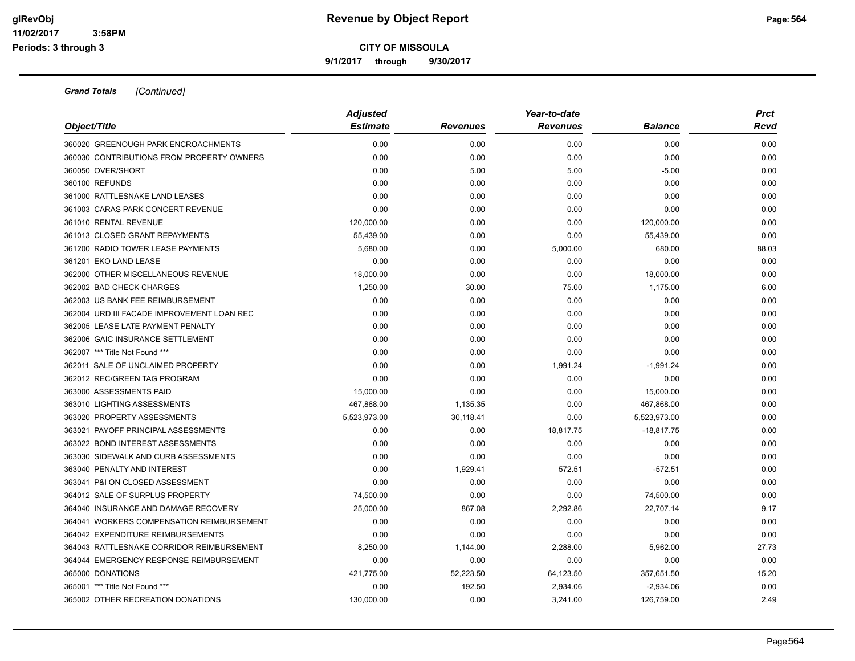**9/1/2017 through 9/30/2017**

|                                            | <b>Adjusted</b> |                 | Year-to-date    |                | <b>Prct</b> |
|--------------------------------------------|-----------------|-----------------|-----------------|----------------|-------------|
| Object/Title                               | <b>Estimate</b> | <b>Revenues</b> | <b>Revenues</b> | <b>Balance</b> | Rcvd        |
| 360020 GREENOUGH PARK ENCROACHMENTS        | 0.00            | 0.00            | 0.00            | 0.00           | 0.00        |
| 360030 CONTRIBUTIONS FROM PROPERTY OWNERS  | 0.00            | 0.00            | 0.00            | 0.00           | 0.00        |
| 360050 OVER/SHORT                          | 0.00            | 5.00            | 5.00            | $-5.00$        | 0.00        |
| 360100 REFUNDS                             | 0.00            | 0.00            | 0.00            | 0.00           | 0.00        |
| 361000 RATTLESNAKE LAND LEASES             | 0.00            | 0.00            | 0.00            | 0.00           | 0.00        |
| 361003 CARAS PARK CONCERT REVENUE          | 0.00            | 0.00            | 0.00            | 0.00           | 0.00        |
| 361010 RENTAL REVENUE                      | 120,000.00      | 0.00            | 0.00            | 120,000.00     | 0.00        |
| 361013 CLOSED GRANT REPAYMENTS             | 55,439.00       | 0.00            | 0.00            | 55,439.00      | 0.00        |
| 361200 RADIO TOWER LEASE PAYMENTS          | 5,680.00        | 0.00            | 5,000.00        | 680.00         | 88.03       |
| 361201 EKO LAND LEASE                      | 0.00            | 0.00            | 0.00            | 0.00           | 0.00        |
| 362000 OTHER MISCELLANEOUS REVENUE         | 18,000.00       | 0.00            | 0.00            | 18,000.00      | 0.00        |
| 362002 BAD CHECK CHARGES                   | 1,250.00        | 30.00           | 75.00           | 1,175.00       | 6.00        |
| 362003 US BANK FEE REIMBURSEMENT           | 0.00            | 0.00            | 0.00            | 0.00           | 0.00        |
| 362004 URD III FACADE IMPROVEMENT LOAN REC | 0.00            | 0.00            | 0.00            | 0.00           | 0.00        |
| 362005 LEASE LATE PAYMENT PENALTY          | 0.00            | 0.00            | 0.00            | 0.00           | 0.00        |
| 362006 GAIC INSURANCE SETTLEMENT           | 0.00            | 0.00            | 0.00            | 0.00           | 0.00        |
| 362007 *** Title Not Found ***             | 0.00            | 0.00            | 0.00            | 0.00           | 0.00        |
| 362011 SALE OF UNCLAIMED PROPERTY          | 0.00            | 0.00            | 1,991.24        | $-1,991.24$    | 0.00        |
| 362012 REC/GREEN TAG PROGRAM               | 0.00            | 0.00            | 0.00            | 0.00           | 0.00        |
| 363000 ASSESSMENTS PAID                    | 15,000.00       | 0.00            | 0.00            | 15,000.00      | 0.00        |
| 363010 LIGHTING ASSESSMENTS                | 467,868.00      | 1,135.35        | 0.00            | 467,868.00     | 0.00        |
| 363020 PROPERTY ASSESSMENTS                | 5,523,973.00    | 30,118.41       | 0.00            | 5,523,973.00   | 0.00        |
| 363021 PAYOFF PRINCIPAL ASSESSMENTS        | 0.00            | 0.00            | 18,817.75       | $-18,817.75$   | 0.00        |
| 363022 BOND INTEREST ASSESSMENTS           | 0.00            | 0.00            | 0.00            | 0.00           | 0.00        |
| 363030 SIDEWALK AND CURB ASSESSMENTS       | 0.00            | 0.00            | 0.00            | 0.00           | 0.00        |
| 363040 PENALTY AND INTEREST                | 0.00            | 1,929.41        | 572.51          | $-572.51$      | 0.00        |
| 363041 P&I ON CLOSED ASSESSMENT            | 0.00            | 0.00            | 0.00            | 0.00           | 0.00        |
| 364012 SALE OF SURPLUS PROPERTY            | 74,500.00       | 0.00            | 0.00            | 74,500.00      | 0.00        |
| 364040 INSURANCE AND DAMAGE RECOVERY       | 25,000.00       | 867.08          | 2,292.86        | 22,707.14      | 9.17        |
| 364041 WORKERS COMPENSATION REIMBURSEMENT  | 0.00            | 0.00            | 0.00            | 0.00           | 0.00        |
| 364042 EXPENDITURE REIMBURSEMENTS          | 0.00            | 0.00            | 0.00            | 0.00           | 0.00        |
| 364043 RATTLESNAKE CORRIDOR REIMBURSEMENT  | 8,250.00        | 1,144.00        | 2,288.00        | 5,962.00       | 27.73       |
| 364044 EMERGENCY RESPONSE REIMBURSEMENT    | 0.00            | 0.00            | 0.00            | 0.00           | 0.00        |
| 365000 DONATIONS                           | 421,775.00      | 52,223.50       | 64,123.50       | 357,651.50     | 15.20       |
| 365001 *** Title Not Found ***             | 0.00            | 192.50          | 2,934.06        | $-2,934.06$    | 0.00        |
| 365002 OTHER RECREATION DONATIONS          | 130.000.00      | 0.00            | 3,241.00        | 126,759.00     | 2.49        |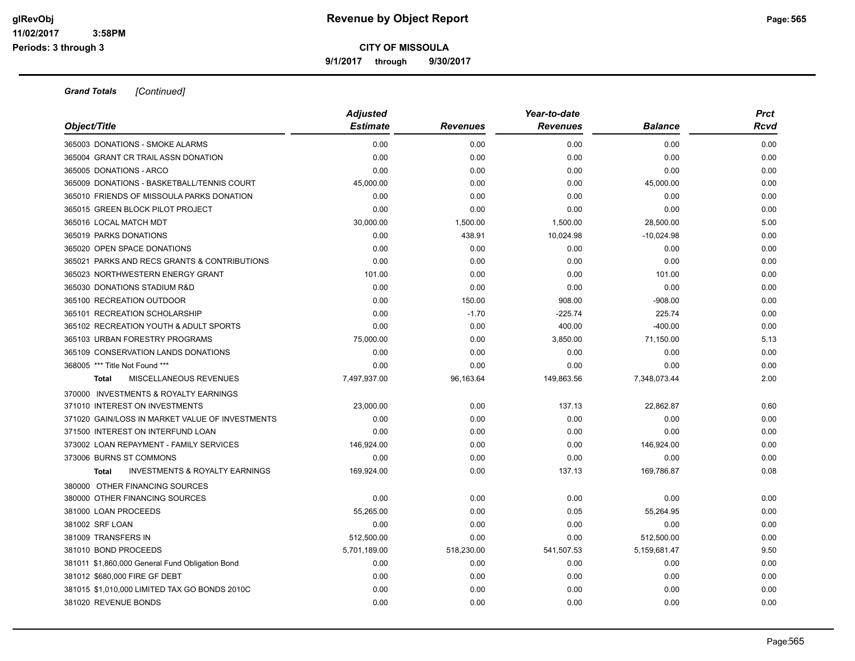**9/1/2017 through 9/30/2017**

| Object/Title                                              | <b>Adjusted</b><br><b>Estimate</b> | <b>Revenues</b> | Year-to-date<br><b>Revenues</b> | <b>Balance</b> | <b>Prct</b><br>Rcvd |
|-----------------------------------------------------------|------------------------------------|-----------------|---------------------------------|----------------|---------------------|
| 365003 DONATIONS - SMOKE ALARMS                           | 0.00                               | 0.00            | 0.00                            | 0.00           | 0.00                |
| 365004 GRANT CR TRAIL ASSN DONATION                       | 0.00                               | 0.00            | 0.00                            | 0.00           | 0.00                |
| 365005 DONATIONS - ARCO                                   | 0.00                               | 0.00            | 0.00                            | 0.00           | 0.00                |
| 365009 DONATIONS - BASKETBALL/TENNIS COURT                | 45,000.00                          | 0.00            | 0.00                            | 45,000.00      | 0.00                |
| 365010 FRIENDS OF MISSOULA PARKS DONATION                 | 0.00                               | 0.00            | 0.00                            | 0.00           | 0.00                |
| 365015 GREEN BLOCK PILOT PROJECT                          | 0.00                               | 0.00            | 0.00                            | 0.00           | 0.00                |
| 365016 LOCAL MATCH MDT                                    | 30,000.00                          | 1,500.00        | 1,500.00                        | 28,500.00      | 5.00                |
| 365019 PARKS DONATIONS                                    | 0.00                               | 438.91          | 10,024.98                       | $-10,024.98$   | 0.00                |
| 365020 OPEN SPACE DONATIONS                               | 0.00                               | 0.00            | 0.00                            | 0.00           | 0.00                |
| 365021 PARKS AND RECS GRANTS & CONTRIBUTIONS              | 0.00                               | 0.00            | 0.00                            | 0.00           | 0.00                |
| 365023 NORTHWESTERN ENERGY GRANT                          | 101.00                             | 0.00            | 0.00                            | 101.00         | 0.00                |
| 365030 DONATIONS STADIUM R&D                              | 0.00                               | 0.00            | 0.00                            | 0.00           | 0.00                |
| 365100 RECREATION OUTDOOR                                 | 0.00                               | 150.00          | 908.00                          | $-908.00$      | 0.00                |
| 365101 RECREATION SCHOLARSHIP                             | 0.00                               | $-1.70$         | $-225.74$                       | 225.74         | 0.00                |
| 365102 RECREATION YOUTH & ADULT SPORTS                    | 0.00                               | 0.00            | 400.00                          | $-400.00$      | 0.00                |
| 365103 URBAN FORESTRY PROGRAMS                            | 75,000.00                          | 0.00            | 3,850.00                        | 71,150.00      | 5.13                |
| 365109 CONSERVATION LANDS DONATIONS                       | 0.00                               | 0.00            | 0.00                            | 0.00           | 0.00                |
| 368005 *** Title Not Found ***                            | 0.00                               | 0.00            | 0.00                            | 0.00           | 0.00                |
| MISCELLANEOUS REVENUES<br><b>Total</b>                    | 7,497,937.00                       | 96,163.64       | 149,863.56                      | 7,348,073.44   | 2.00                |
| 370000 INVESTMENTS & ROYALTY EARNINGS                     |                                    |                 |                                 |                |                     |
| 371010 INTEREST ON INVESTMENTS                            | 23,000.00                          | 0.00            | 137.13                          | 22,862.87      | 0.60                |
| 371020 GAIN/LOSS IN MARKET VALUE OF INVESTMENTS           | 0.00                               | 0.00            | 0.00                            | 0.00           | 0.00                |
| 371500 INTEREST ON INTERFUND LOAN                         | 0.00                               | 0.00            | 0.00                            | 0.00           | 0.00                |
| 373002 LOAN REPAYMENT - FAMILY SERVICES                   | 146,924.00                         | 0.00            | 0.00                            | 146,924.00     | 0.00                |
| 373006 BURNS ST COMMONS                                   | 0.00                               | 0.00            | 0.00                            | 0.00           | 0.00                |
| <b>INVESTMENTS &amp; ROYALTY EARNINGS</b><br><b>Total</b> | 169,924.00                         | 0.00            | 137.13                          | 169,786.87     | 0.08                |
| 380000 OTHER FINANCING SOURCES                            |                                    |                 |                                 |                |                     |
| 380000 OTHER FINANCING SOURCES                            | 0.00                               | 0.00            | 0.00                            | 0.00           | 0.00                |
| 381000 LOAN PROCEEDS                                      | 55,265.00                          | 0.00            | 0.05                            | 55,264.95      | 0.00                |
| 381002 SRF LOAN                                           | 0.00                               | 0.00            | 0.00                            | 0.00           | 0.00                |
| 381009 TRANSFERS IN                                       | 512,500.00                         | 0.00            | 0.00                            | 512,500.00     | 0.00                |
| 381010 BOND PROCEEDS                                      | 5,701,189.00                       | 518,230.00      | 541,507.53                      | 5,159,681.47   | 9.50                |
| 381011 \$1,860,000 General Fund Obligation Bond           | 0.00                               | 0.00            | 0.00                            | 0.00           | 0.00                |
| 381012 \$680,000 FIRE GF DEBT                             | 0.00                               | 0.00            | 0.00                            | 0.00           | 0.00                |
| 381015 \$1,010,000 LIMITED TAX GO BONDS 2010C             | 0.00                               | 0.00            | 0.00                            | 0.00           | 0.00                |
| 381020 REVENUE BONDS                                      | 0.00                               | 0.00            | 0.00                            | 0.00           | 0.00                |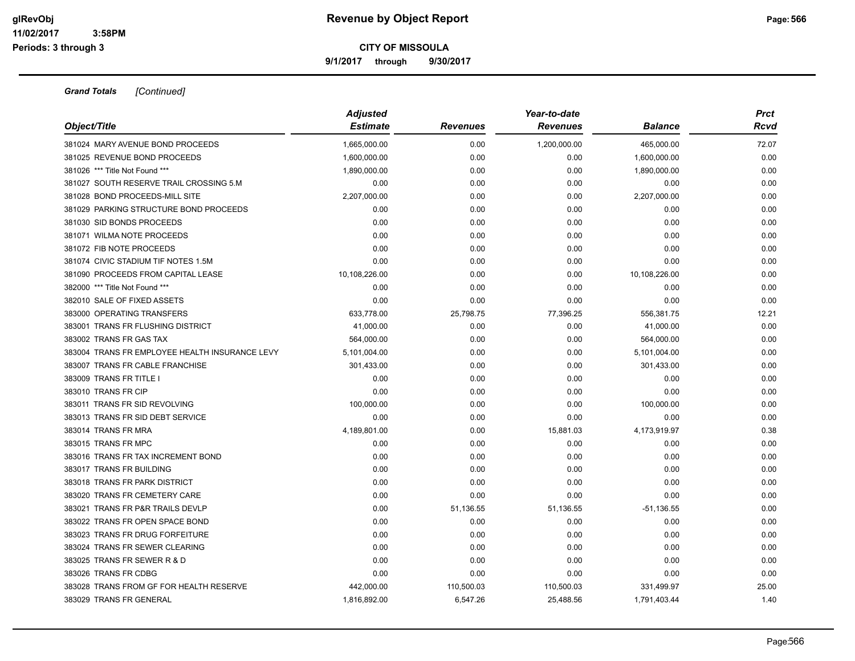**9/1/2017 through 9/30/2017**

| Object/Title                                   | <b>Adjusted</b><br><b>Estimate</b> | <b>Revenues</b> | Year-to-date<br><b>Revenues</b> | <b>Balance</b> | <b>Prct</b><br>Rcvd |
|------------------------------------------------|------------------------------------|-----------------|---------------------------------|----------------|---------------------|
| 381024 MARY AVENUE BOND PROCEEDS               | 1,665,000.00                       | 0.00            | 1,200,000.00                    | 465,000.00     | 72.07               |
| 381025 REVENUE BOND PROCEEDS                   | 1,600,000.00                       | 0.00            | 0.00                            | 1,600,000.00   | 0.00                |
| 381026 *** Title Not Found ***                 | 1,890,000.00                       | 0.00            | 0.00                            | 1,890,000.00   | 0.00                |
| 381027 SOUTH RESERVE TRAIL CROSSING 5.M        | 0.00                               | 0.00            | 0.00                            | 0.00           | 0.00                |
| 381028 BOND PROCEEDS-MILL SITE                 | 2,207,000.00                       | 0.00            | 0.00                            | 2,207,000.00   | 0.00                |
| 381029 PARKING STRUCTURE BOND PROCEEDS         | 0.00                               | 0.00            | 0.00                            | 0.00           | 0.00                |
| 381030 SID BONDS PROCEEDS                      | 0.00                               | 0.00            | 0.00                            | 0.00           | 0.00                |
| 381071 WILMA NOTE PROCEEDS                     | 0.00                               | 0.00            | 0.00                            | 0.00           | 0.00                |
| 381072 FIB NOTE PROCEEDS                       | 0.00                               | 0.00            | 0.00                            | 0.00           | 0.00                |
| 381074 CIVIC STADIUM TIF NOTES 1.5M            | 0.00                               | 0.00            | 0.00                            | 0.00           | 0.00                |
| 381090 PROCEEDS FROM CAPITAL LEASE             | 10,108,226.00                      | 0.00            | 0.00                            | 10,108,226.00  | 0.00                |
| 382000 *** Title Not Found ***                 | 0.00                               | 0.00            | 0.00                            | 0.00           | 0.00                |
| 382010 SALE OF FIXED ASSETS                    | 0.00                               | 0.00            | 0.00                            | 0.00           | 0.00                |
| 383000 OPERATING TRANSFERS                     | 633,778.00                         | 25,798.75       | 77,396.25                       | 556,381.75     | 12.21               |
| 383001 TRANS FR FLUSHING DISTRICT              | 41,000.00                          | 0.00            | 0.00                            | 41,000.00      | 0.00                |
| 383002 TRANS FR GAS TAX                        | 564,000.00                         | 0.00            | 0.00                            | 564,000.00     | 0.00                |
| 383004 TRANS FR EMPLOYEE HEALTH INSURANCE LEVY | 5,101,004.00                       | 0.00            | 0.00                            | 5,101,004.00   | 0.00                |
| 383007 TRANS FR CABLE FRANCHISE                | 301,433.00                         | 0.00            | 0.00                            | 301,433.00     | 0.00                |
| 383009 TRANS FR TITLE I                        | 0.00                               | 0.00            | 0.00                            | 0.00           | 0.00                |
| 383010 TRANS FR CIP                            | 0.00                               | 0.00            | 0.00                            | 0.00           | 0.00                |
| 383011 TRANS FR SID REVOLVING                  | 100,000.00                         | 0.00            | 0.00                            | 100,000.00     | 0.00                |
| 383013 TRANS FR SID DEBT SERVICE               | 0.00                               | 0.00            | 0.00                            | 0.00           | 0.00                |
| 383014 TRANS FR MRA                            | 4,189,801.00                       | 0.00            | 15,881.03                       | 4,173,919.97   | 0.38                |
| 383015 TRANS FR MPC                            | 0.00                               | 0.00            | 0.00                            | 0.00           | 0.00                |
| 383016 TRANS FR TAX INCREMENT BOND             | 0.00                               | 0.00            | 0.00                            | 0.00           | 0.00                |
| 383017 TRANS FR BUILDING                       | 0.00                               | 0.00            | 0.00                            | 0.00           | 0.00                |
| 383018 TRANS FR PARK DISTRICT                  | 0.00                               | 0.00            | 0.00                            | 0.00           | 0.00                |
| 383020 TRANS FR CEMETERY CARE                  | 0.00                               | 0.00            | 0.00                            | 0.00           | 0.00                |
| 383021 TRANS FR P&R TRAILS DEVLP               | 0.00                               | 51,136.55       | 51,136.55                       | $-51,136.55$   | 0.00                |
| 383022 TRANS FR OPEN SPACE BOND                | 0.00                               | 0.00            | 0.00                            | 0.00           | 0.00                |
| 383023 TRANS FR DRUG FORFEITURE                | 0.00                               | 0.00            | 0.00                            | 0.00           | 0.00                |
| 383024 TRANS FR SEWER CLEARING                 | 0.00                               | 0.00            | 0.00                            | 0.00           | 0.00                |
| 383025 TRANS FR SEWER R & D                    | 0.00                               | 0.00            | 0.00                            | 0.00           | 0.00                |
| 383026 TRANS FR CDBG                           | 0.00                               | 0.00            | 0.00                            | 0.00           | 0.00                |
| 383028 TRANS FROM GF FOR HEALTH RESERVE        | 442,000.00                         | 110,500.03      | 110,500.03                      | 331,499.97     | 25.00               |
| 383029 TRANS FR GENERAL                        | 1,816,892.00                       | 6.547.26        | 25,488.56                       | 1,791,403.44   | 1.40                |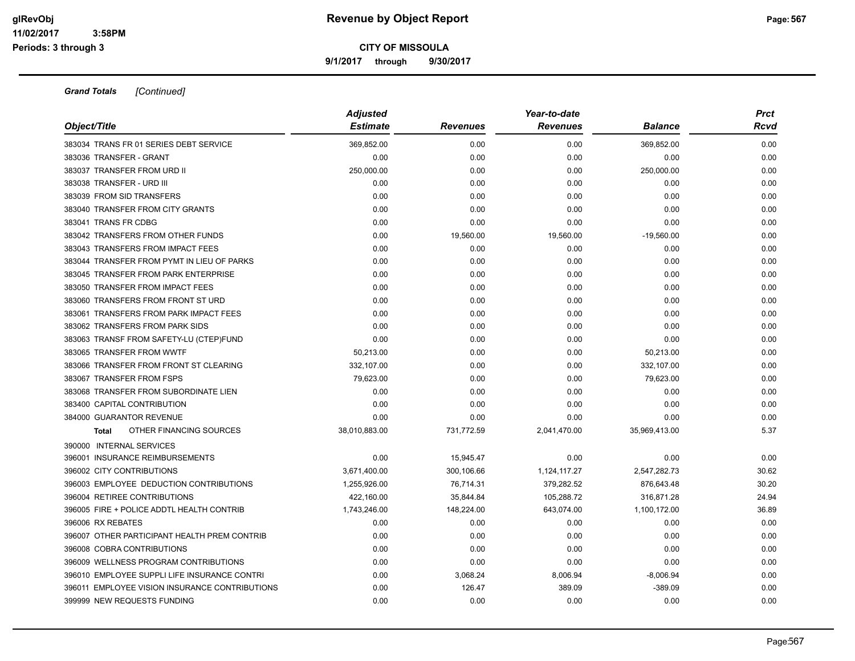**9/1/2017 through 9/30/2017**

| Object/Title                                   | <b>Adjusted</b><br><b>Estimate</b> | <b>Revenues</b> | Year-to-date<br><b>Revenues</b> | <b>Balance</b> | <b>Prct</b><br>Rcvd |
|------------------------------------------------|------------------------------------|-----------------|---------------------------------|----------------|---------------------|
|                                                |                                    |                 |                                 |                |                     |
| 383034 TRANS FR 01 SERIES DEBT SERVICE         | 369.852.00                         | 0.00            | 0.00                            | 369,852.00     | 0.00                |
| 383036 TRANSFER - GRANT                        | 0.00                               | 0.00            | 0.00                            | 0.00           | 0.00                |
| 383037 TRANSFER FROM URD II                    | 250,000.00                         | 0.00            | 0.00                            | 250,000.00     | 0.00                |
| 383038 TRANSFER - URD III                      | 0.00                               | 0.00            | 0.00                            | 0.00           | 0.00                |
| 383039 FROM SID TRANSFERS                      | 0.00                               | 0.00            | 0.00                            | 0.00           | 0.00                |
| 383040 TRANSFER FROM CITY GRANTS               | 0.00                               | 0.00            | 0.00                            | 0.00           | 0.00                |
| 383041 TRANS FR CDBG                           | 0.00                               | 0.00            | 0.00                            | 0.00           | 0.00                |
| 383042 TRANSFERS FROM OTHER FUNDS              | 0.00                               | 19,560.00       | 19,560.00                       | $-19,560.00$   | 0.00                |
| 383043 TRANSFERS FROM IMPACT FEES              | 0.00                               | 0.00            | 0.00                            | 0.00           | 0.00                |
| 383044 TRANSFER FROM PYMT IN LIEU OF PARKS     | 0.00                               | 0.00            | 0.00                            | 0.00           | 0.00                |
| 383045 TRANSFER FROM PARK ENTERPRISE           | 0.00                               | 0.00            | 0.00                            | 0.00           | 0.00                |
| 383050 TRANSFER FROM IMPACT FEES               | 0.00                               | 0.00            | 0.00                            | 0.00           | 0.00                |
| 383060 TRANSFERS FROM FRONT ST URD             | 0.00                               | 0.00            | 0.00                            | 0.00           | 0.00                |
| 383061 TRANSFERS FROM PARK IMPACT FEES         | 0.00                               | 0.00            | 0.00                            | 0.00           | 0.00                |
| 383062 TRANSFERS FROM PARK SIDS                | 0.00                               | 0.00            | 0.00                            | 0.00           | 0.00                |
| 383063 TRANSF FROM SAFETY-LU (CTEP)FUND        | 0.00                               | 0.00            | 0.00                            | 0.00           | 0.00                |
| 383065 TRANSFER FROM WWTF                      | 50,213.00                          | 0.00            | 0.00                            | 50,213.00      | 0.00                |
| 383066 TRANSFER FROM FRONT ST CLEARING         | 332,107.00                         | 0.00            | 0.00                            | 332,107.00     | 0.00                |
| 383067 TRANSFER FROM FSPS                      | 79,623.00                          | 0.00            | 0.00                            | 79,623.00      | 0.00                |
| 383068 TRANSFER FROM SUBORDINATE LIEN          | 0.00                               | 0.00            | 0.00                            | 0.00           | 0.00                |
| 383400 CAPITAL CONTRIBUTION                    | 0.00                               | 0.00            | 0.00                            | 0.00           | 0.00                |
| 384000 GUARANTOR REVENUE                       | 0.00                               | 0.00            | 0.00                            | 0.00           | 0.00                |
| OTHER FINANCING SOURCES<br><b>Total</b>        | 38,010,883.00                      | 731,772.59      | 2,041,470.00                    | 35,969,413.00  | 5.37                |
| 390000 INTERNAL SERVICES                       |                                    |                 |                                 |                |                     |
| 396001 INSURANCE REIMBURSEMENTS                | 0.00                               | 15,945.47       | 0.00                            | 0.00           | 0.00                |
| 396002 CITY CONTRIBUTIONS                      | 3,671,400.00                       | 300,106.66      | 1,124,117.27                    | 2,547,282.73   | 30.62               |
| 396003 EMPLOYEE DEDUCTION CONTRIBUTIONS        | 1,255,926.00                       | 76,714.31       | 379,282.52                      | 876,643.48     | 30.20               |
| 396004 RETIREE CONTRIBUTIONS                   | 422,160.00                         | 35,844.84       | 105,288.72                      | 316,871.28     | 24.94               |
| 396005 FIRE + POLICE ADDTL HEALTH CONTRIB      | 1,743,246.00                       | 148,224.00      | 643,074.00                      | 1,100,172.00   | 36.89               |
| 396006 RX REBATES                              | 0.00                               | 0.00            | 0.00                            | 0.00           | 0.00                |
| 396007 OTHER PARTICIPANT HEALTH PREM CONTRIB   | 0.00                               | 0.00            | 0.00                            | 0.00           | 0.00                |
| 396008 COBRA CONTRIBUTIONS                     | 0.00                               | 0.00            | 0.00                            | 0.00           | 0.00                |
| 396009 WELLNESS PROGRAM CONTRIBUTIONS          | 0.00                               | 0.00            | 0.00                            | 0.00           | 0.00                |
| 396010 EMPLOYEE SUPPLI LIFE INSURANCE CONTRI   | 0.00                               | 3,068.24        | 8,006.94                        | $-8,006.94$    | 0.00                |
| 396011 EMPLOYEE VISION INSURANCE CONTRIBUTIONS | 0.00                               | 126.47          | 389.09                          | $-389.09$      | 0.00                |
| 399999 NEW REQUESTS FUNDING                    | 0.00                               | 0.00            | 0.00                            | 0.00           | 0.00                |